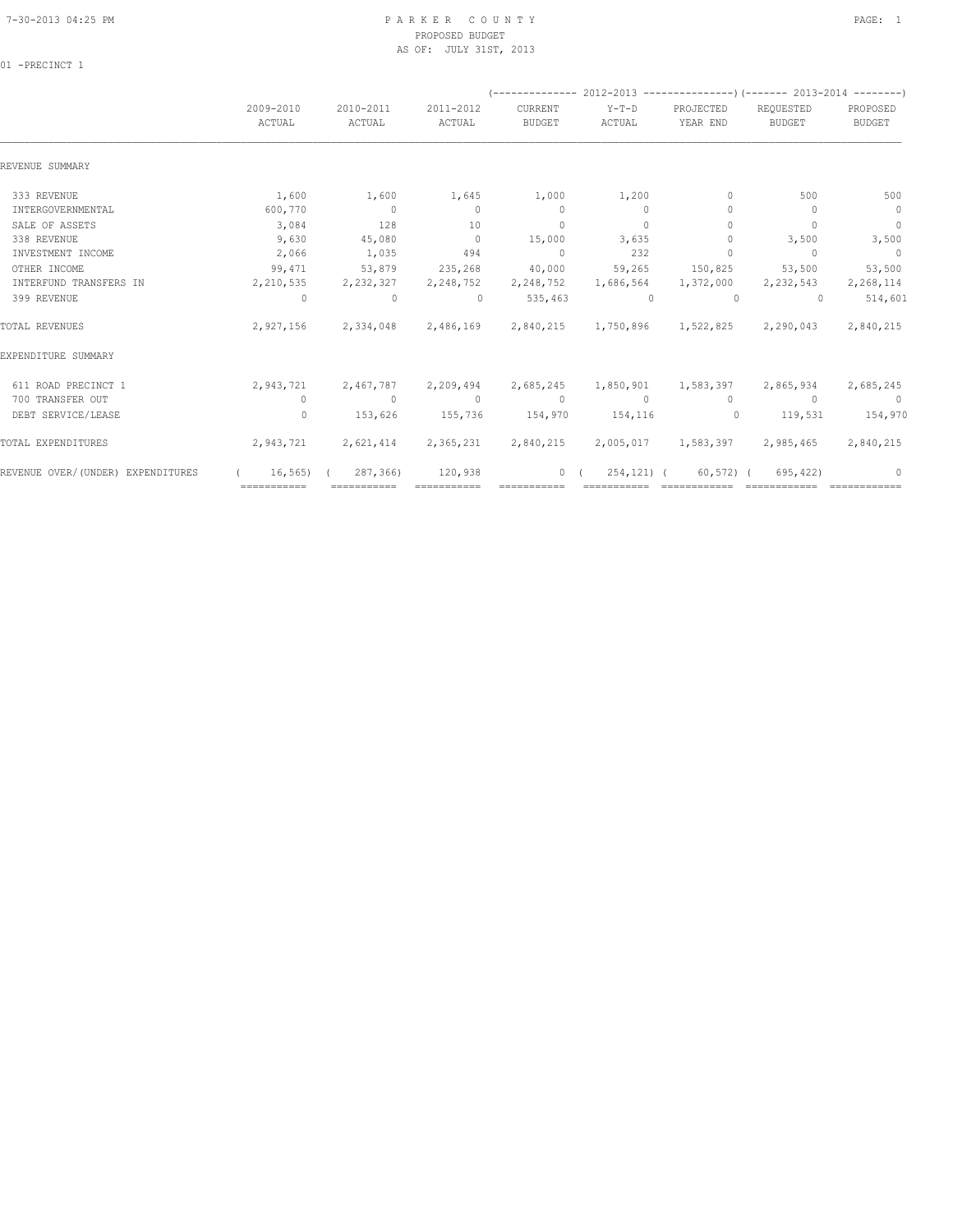### 7-30-2013 04:25 PM P A R K E R C O U N T Y PAGE: 1 PROPOSED BUDGET AS OF: JULY 31ST, 2013

01 -PRECINCT 1

| 2009-2010<br>ACTUAL | 2010-2011<br>ACTUAL | 2011-2012<br>ACTUAL                 | CURRENT<br><b>BUDGET</b>                       | Y-T-D<br>ACTUAL | PROJECTED<br>YEAR END                                      | REQUESTED<br><b>BUDGET</b> | PROPOSED<br>BUDGET                                                                                                                                                                                                                                                                                                   |
|---------------------|---------------------|-------------------------------------|------------------------------------------------|-----------------|------------------------------------------------------------|----------------------------|----------------------------------------------------------------------------------------------------------------------------------------------------------------------------------------------------------------------------------------------------------------------------------------------------------------------|
|                     |                     |                                     |                                                |                 |                                                            |                            |                                                                                                                                                                                                                                                                                                                      |
| 1,600               | 1,600               | 1,645                               | 1,000                                          | 1,200           | $\mathbf{0}$                                               | 500                        | 500                                                                                                                                                                                                                                                                                                                  |
| 600,770             | $\sim$ 0            | $\Omega$                            | $\sim$ 0                                       | $\Omega$        | $\mathbf{0}$                                               | $\Omega$                   | $\overline{0}$                                                                                                                                                                                                                                                                                                       |
| 3,084               | 128                 | 10                                  | $\circ$                                        | $\Omega$        | $\Omega$                                                   | $\Omega$                   | $\overline{0}$                                                                                                                                                                                                                                                                                                       |
| 9,630               | 45,080              | $\overline{0}$                      | 15,000                                         | 3,635           | $\circ$                                                    | 3,500                      | 3,500                                                                                                                                                                                                                                                                                                                |
| 2,066               | 1,035               | 494                                 | $\sim$ 0                                       | 232             | $\Omega$                                                   | $\sim$ 0                   | $\sim$ 0                                                                                                                                                                                                                                                                                                             |
| 99,471              | 53,879              |                                     |                                                | 59,265          |                                                            |                            | 53,500                                                                                                                                                                                                                                                                                                               |
|                     |                     |                                     | 2,248,752                                      | 1,686,564       |                                                            |                            | 2,268,114                                                                                                                                                                                                                                                                                                            |
| $\overline{0}$      | $\sim$ 0            | $\sim$ 0                            |                                                | $\sim$ 0        | $\sim$ 0                                                   | $\Omega$                   | 514,601                                                                                                                                                                                                                                                                                                              |
|                     |                     |                                     |                                                |                 |                                                            |                            | 2,840,215                                                                                                                                                                                                                                                                                                            |
|                     |                     |                                     |                                                |                 |                                                            |                            |                                                                                                                                                                                                                                                                                                                      |
| 2,943,721           | 2,467,787           |                                     |                                                |                 |                                                            |                            | 2,685,245                                                                                                                                                                                                                                                                                                            |
| $\circ$             | $\sim$ 0            | $\sim$ 0                            | $\sim$ 0                                       | $\sim$ 0        | $\circ$                                                    | $\sim$ 0                   | $\sim$ 0                                                                                                                                                                                                                                                                                                             |
| $\Omega$            | 153,626             | 155,736                             |                                                |                 | $\sim$ 0.000 $\sim$ 0.000 $\sim$ 0.000 $\sim$ 0.000 $\sim$ | 119,531                    | 154,970                                                                                                                                                                                                                                                                                                              |
|                     |                     |                                     |                                                |                 |                                                            |                            | 2,840,215                                                                                                                                                                                                                                                                                                            |
|                     | 287,366)            | 120,938                             |                                                |                 |                                                            | 695,422)                   | $\Omega$                                                                                                                                                                                                                                                                                                             |
|                     |                     | 2,943,721<br>16,565)<br>=========== | 235,268<br>2, 210, 535 2, 232, 327 2, 248, 752 | 2,209,494       | 40,000<br>535,463<br>154,970 154,116<br>$\circ$            | 254,121) (<br>============ | (-------------- 2012-2013 ----------------) (------- 2013-2014 --------)<br>150,825 53,500<br>1,372,000 2,232,543<br>2,927,156 2,334,048 2,486,169 2,840,215 1,750,896 1,522,825 2,290,043<br>2,685,245 1,850,901 1,583,397 2,865,934<br>2,621,414 2,365,231 2,840,215 2,005,017 1,583,397 2,985,465<br>$60,572$ ) ( |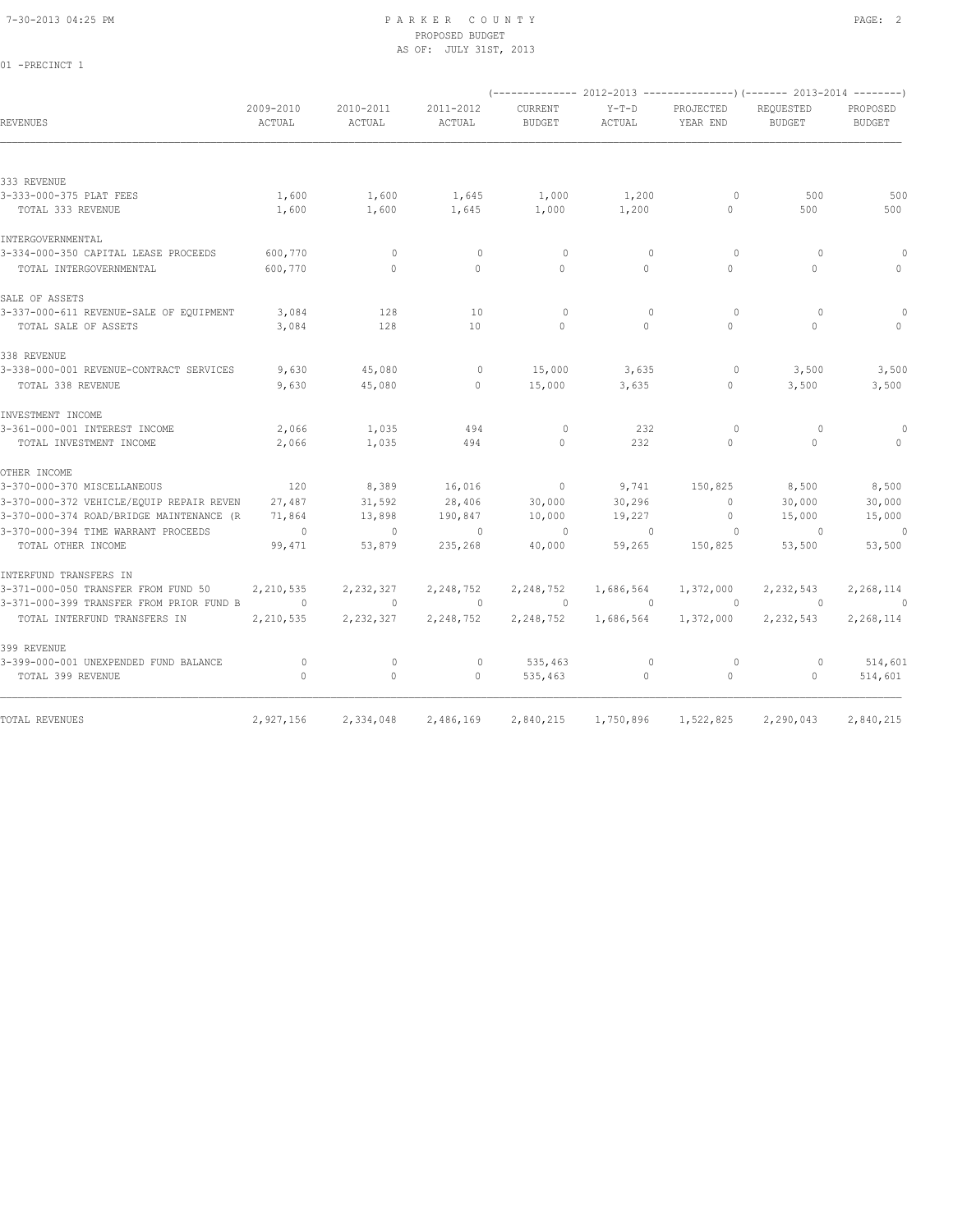01 -PRECINCT 1

# PROPOSED BUDGET AS OF: JULY 31ST, 2013

| <b>REVENUES</b>                                                          | 2009-2010<br>ACTUAL  | 2010-2011<br>ACTUAL       | 2011-2012<br>ACTUAL  | <b>CURRENT</b><br><b>BUDGET</b> | $Y-T-D$<br>ACTUAL     | PROJECTED<br>YEAR END | (-------------- 2012-2013 ----------------) (------- 2013-2014 --------)<br>REQUESTED<br><b>BUDGET</b> | PROPOSED<br><b>BUDGET</b> |
|--------------------------------------------------------------------------|----------------------|---------------------------|----------------------|---------------------------------|-----------------------|-----------------------|--------------------------------------------------------------------------------------------------------|---------------------------|
| 333 REVENUE                                                              |                      |                           |                      |                                 |                       |                       |                                                                                                        |                           |
| 3-333-000-375 PLAT FEES                                                  | 1,600                | 1,600                     | 1,645                | 1,000                           | 1,200                 | $\Omega$              | 500                                                                                                    | 500                       |
| TOTAL 333 REVENUE                                                        | 1,600                | 1,600                     | 1,645                | 1,000                           | 1,200                 | $\Omega$              | 500                                                                                                    | 500                       |
| INTERGOVERNMENTAL                                                        |                      |                           |                      |                                 |                       |                       |                                                                                                        |                           |
| 3-334-000-350 CAPITAL LEASE PROCEEDS                                     | 600,770              | $\mathbf{0}$              | $\circ$              | $\circ$                         | $\mathbf{0}$          | $\Omega$              | 0                                                                                                      | $\Omega$                  |
| TOTAL INTERGOVERNMENTAL                                                  | 600,770              | $\Omega$                  | $\Omega$             | $\Omega$                        | $\Omega$              | $\Omega$              | $\Omega$                                                                                               | $\Omega$                  |
| SALE OF ASSETS                                                           |                      |                           |                      |                                 |                       |                       |                                                                                                        |                           |
| 3-337-000-611 REVENUE-SALE OF EQUIPMENT                                  | 3,084                | 128                       | 10                   | $\Omega$                        | $\Omega$              | $\Omega$              | $\Omega$                                                                                               | $\Omega$                  |
| TOTAL SALE OF ASSETS                                                     | 3,084                | 128                       | 10                   | $\bigcap$                       | $\Omega$              | $\Omega$              | $\cap$                                                                                                 |                           |
| 338 REVENUE                                                              |                      |                           |                      |                                 |                       |                       |                                                                                                        |                           |
| 3-338-000-001 REVENUE-CONTRACT SERVICES                                  | 9,630                | 45,080                    | $\mathbf{0}$         | 15,000                          | 3,635                 | $\circ$               | 3,500                                                                                                  | 3,500                     |
| TOTAL 338 REVENUE                                                        | 9,630                | 45,080                    | $\Omega$             | 15,000                          | 3,635                 | $\Omega$              | 3,500                                                                                                  | 3,500                     |
| INVESTMENT INCOME                                                        |                      |                           |                      |                                 |                       |                       |                                                                                                        |                           |
| 3-361-000-001 INTEREST INCOME                                            | 2,066                | 1,035                     | 494                  | $\circ$                         | 232                   | $\Omega$              | $\circ$                                                                                                | 0                         |
| TOTAL INVESTMENT INCOME                                                  | 2,066                | 1,035                     | 494                  | $\Omega$                        | 232                   | $\Omega$              | $\Omega$                                                                                               | $\Omega$                  |
| OTHER INCOME                                                             |                      |                           |                      |                                 |                       |                       |                                                                                                        |                           |
| 3-370-000-370 MISCELLANEOUS                                              | 120                  | 8,389                     | 16,016               | $\mathbf{0}$                    | 9,741                 | 150,825               | 8,500                                                                                                  | 8,500                     |
| 3-370-000-372 VEHICLE/EQUIP REPAIR REVEN                                 | 27,487               | 31,592                    | 28,406               | 30,000                          | 30,296                | $\circ$               | 30,000                                                                                                 | 30,000                    |
| 3-370-000-374 ROAD/BRIDGE MAINTENANCE (R                                 | 71,864               | 13,898                    | 190,847              | 10,000                          | 19,227                | 0                     | 15,000                                                                                                 | 15,000                    |
| 3-370-000-394 TIME WARRANT PROCEEDS<br>TOTAL OTHER INCOME                | $\circ$<br>99,471    | $\Omega$<br>53,879        | $\Omega$<br>235,268  | $\Omega$<br>40,000              | $\Omega$<br>59,265    | $\circ$<br>150,825    | $\Omega$<br>53,500                                                                                     | $\theta$<br>53,500        |
|                                                                          |                      |                           |                      |                                 |                       |                       |                                                                                                        |                           |
| INTERFUND TRANSFERS IN                                                   |                      |                           |                      |                                 |                       |                       |                                                                                                        |                           |
| 3-371-000-050 TRANSFER FROM FUND 50                                      | 2,210,535            | 2,232,327                 | 2,248,752            | 2,248,752<br>$\Omega$           | 1,686,564             | 1,372,000             | 2,232,543                                                                                              | 2,268,114                 |
| 3-371-000-399 TRANSFER FROM PRIOR FUND B<br>TOTAL INTERFUND TRANSFERS IN | $\circ$<br>2,210,535 | $\mathbf{0}$<br>2,232,327 | $\circ$<br>2,248,752 | 2,248,752                       | $\Omega$<br>1,686,564 | $\Omega$<br>1,372,000 | $\Omega$<br>2,232,543                                                                                  | $\Omega$<br>2,268,114     |
|                                                                          |                      |                           |                      |                                 |                       |                       |                                                                                                        |                           |
| 399 REVENUE<br>3-399-000-001 UNEXPENDED FUND BALANCE                     | $\circ$              | $\mathbf{0}$              | $\mathbf{0}$         | 535,463                         | $\mathbf{0}$          | $\circ$               | $\Omega$                                                                                               | 514,601                   |
| TOTAL 399 REVENUE                                                        | $\mathbf{0}$         | 0                         | $\mathbf{0}$         | 535,463                         | $\circ$               | $\circ$               | $\mathbf{0}$                                                                                           | 514,601                   |
| TOTAL REVENUES                                                           | 2,927,156            | 2,334,048                 | 2,486,169            | 2,840,215                       | 1,750,896             | 1,522,825             | 2,290,043                                                                                              | 2,840,215                 |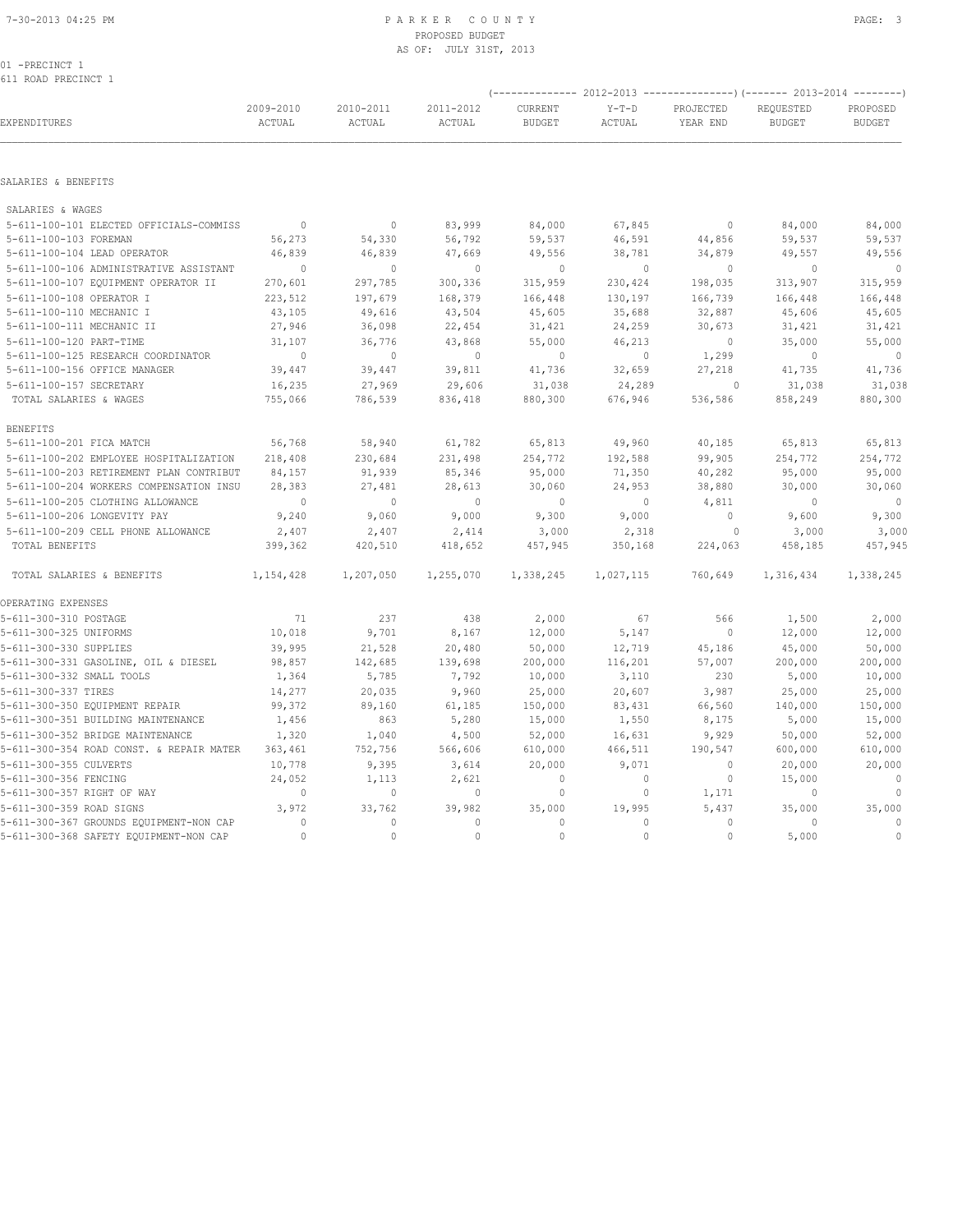# PROPOSED BUDGET AS OF: JULY 31ST, 2013

01 -PRECINCT 1 611 ROAD PRECINCT 1

|                                          |                     |                     |                     | ----------------) (------- 2013-2014 |                   |                       |                            |                           |
|------------------------------------------|---------------------|---------------------|---------------------|--------------------------------------|-------------------|-----------------------|----------------------------|---------------------------|
| EXPENDITURES                             | 2009-2010<br>ACTUAL | 2010-2011<br>ACTUAL | 2011-2012<br>ACTUAL | CURRENT<br><b>BUDGET</b>             | $Y-T-D$<br>ACTUAL | PROJECTED<br>YEAR END | REQUESTED<br><b>BUDGET</b> | PROPOSED<br><b>BUDGET</b> |
| SALARIES & BENEFITS                      |                     |                     |                     |                                      |                   |                       |                            |                           |
| SALARIES & WAGES                         |                     |                     |                     |                                      |                   |                       |                            |                           |
| 5-611-100-101 ELECTED OFFICIALS-COMMISS  | $\mathbf{0}$        | $\mathbf{0}$        | 83,999              | 84,000                               | 67,845            | $\circ$               | 84,000                     | 84,000                    |
| 5-611-100-103 FOREMAN                    | 56,273              | 54,330              | 56,792              | 59,537                               | 46,591            | 44,856                | 59,537                     | 59,537                    |
| 5-611-100-104 LEAD OPERATOR              | 46,839              | 46,839              | 47,669              | 49,556                               | 38,781            | 34,879                | 49,557                     | 49,556                    |
| 5-611-100-106 ADMINISTRATIVE ASSISTANT   | $\mathbf{0}$        | $\circ$             | $\mathbf{0}$        | $\circ$                              | $\circ$           | $\circ$               | $\mathbf{0}$               | $\overline{0}$            |
| 5-611-100-107 EQUIPMENT OPERATOR II      | 270,601             | 297,785             | 300,336             | 315,959                              | 230,424           | 198,035               | 313,907                    | 315,959                   |
| 5-611-100-108 OPERATOR I                 | 223,512             | 197,679             | 168,379             | 166,448                              | 130,197           | 166,739               | 166,448                    | 166,448                   |
| 5-611-100-110 MECHANIC I                 | 43,105              | 49,616              | 43,504              | 45,605                               | 35,688            | 32,887                | 45,606                     | 45,605                    |
| 5-611-100-111 MECHANIC II                | 27,946              | 36,098              | 22,454              | 31,421                               | 24,259            | 30,673                | 31,421                     | 31,421                    |
| 5-611-100-120 PART-TIME                  | 31,107              | 36,776              | 43,868              | 55,000                               | 46,213            | $\circ$               | 35,000                     | 55,000                    |
| 5-611-100-125 RESEARCH COORDINATOR       | $\mathbf{0}$        | $\mathbf{0}$        | $\mathbf{0}$        | $\mathbf{0}$                         | $\circ$           | 1,299                 | $\mathbf{0}$               | $\circ$                   |
| 5-611-100-156 OFFICE MANAGER             | 39,447              | 39,447              | 39,811              | 41,736                               | 32,659            | 27,218                | 41,735                     | 41,736                    |
| 5-611-100-157 SECRETARY                  | 16,235              | 27,969              | 29,606              | 31,038                               | 24,289            | $\circ$               | 31,038                     | 31,038                    |
| TOTAL SALARIES & WAGES                   | 755,066             | 786,539             | 836,418             | 880,300                              | 676,946           | 536,586               | 858,249                    | 880,300                   |
| <b>BENEFITS</b>                          |                     |                     |                     |                                      |                   |                       |                            |                           |
| 5-611-100-201 FICA MATCH                 | 56,768              | 58,940              | 61,782              | 65,813                               | 49,960            | 40,185                | 65,813                     | 65,813                    |
| 5-611-100-202 EMPLOYEE HOSPITALIZATION   | 218,408             | 230,684             | 231,498             | 254,772                              | 192,588           | 99,905                | 254,772                    | 254,772                   |
| 5-611-100-203 RETIREMENT PLAN CONTRIBUT  | 84,157              | 91,939              | 85,346              | 95,000                               | 71,350            | 40,282                | 95,000                     | 95,000                    |
| 5-611-100-204 WORKERS COMPENSATION INSU  | 28,383              | 27,481              | 28,613              | 30,060                               | 24,953            | 38,880                | 30,000                     | 30,060                    |
| 5-611-100-205 CLOTHING ALLOWANCE         | $\circ$             | $\Omega$            | $\mathbf{0}$        | $\circ$                              | $\circ$           | 4,811                 | $\Omega$                   | $\circ$                   |
| 5-611-100-206 LONGEVITY PAY              | 9,240               | 9,060               | 9,000               | 9,300                                | 9,000             | $\circ$               | 9,600                      | 9,300                     |
| 5-611-100-209 CELL PHONE ALLOWANCE       | 2,407               | 2,407               | 2,414               | 3,000                                | 2,318             | $\circ$               | 3,000                      | 3,000                     |
| TOTAL BENEFITS                           | 399,362             | 420,510             | 418,652             | 457,945                              | 350,168           | 224,063               | 458,185                    | 457,945                   |
| TOTAL SALARIES & BENEFITS                | 1,154,428           | 1,207,050           | 1,255,070           | 1,338,245                            | 1,027,115         | 760,649               | 1,316,434                  | 1,338,245                 |
| OPERATING EXPENSES                       |                     |                     |                     |                                      |                   |                       |                            |                           |
| 5-611-300-310 POSTAGE                    | 71                  | 237                 | 438                 | 2,000                                | 67                | 566                   | 1,500                      | 2,000                     |
| 5-611-300-325 UNIFORMS                   | 10,018              | 9,701               | 8,167               | 12,000                               | 5,147             | $\mathbb O$           | 12,000                     | 12,000                    |
| 5-611-300-330 SUPPLIES                   | 39,995              | 21,528              | 20,480              | 50,000                               | 12,719            | 45,186                | 45,000                     | 50,000                    |
| 5-611-300-331 GASOLINE, OIL & DIESEL     | 98,857              | 142,685             | 139,698             | 200,000                              | 116,201           | 57,007                | 200,000                    | 200,000                   |
| 5-611-300-332 SMALL TOOLS                | 1,364               | 5,785               | 7,792               | 10,000                               | 3,110             | 230                   | 5,000                      | 10,000                    |
| 5-611-300-337 TIRES                      | 14,277              | 20,035              | 9,960               | 25,000                               | 20,607            | 3,987                 | 25,000                     | 25,000                    |
| 5-611-300-350 EQUIPMENT REPAIR           | 99,372              | 89,160              | 61,185              | 150,000                              | 83,431            | 66,560                | 140,000                    | 150,000                   |
| 5-611-300-351 BUILDING MAINTENANCE       | 1,456               | 863                 | 5,280               | 15,000                               | 1,550             | 8,175                 | 5,000                      | 15,000                    |
| 5-611-300-352 BRIDGE MAINTENANCE         | 1,320               | 1,040               | 4,500               | 52,000                               | 16,631            | 9,929                 | 50,000                     | 52,000                    |
| 5-611-300-354 ROAD CONST. & REPAIR MATER | 363,461             | 752,756             | 566,606             | 610,000                              | 466,511           | 190,547               | 600,000                    | 610,000                   |
| 5-611-300-355 CULVERTS                   | 10,778              | 9,395               | 3,614               | 20,000                               | 9,071             | $\circ$               | 20,000                     | 20,000                    |
| 5-611-300-356 FENCING                    | 24,052              | 1,113               | 2,621               | $\circ$                              | $\circ$           | $\mathbb O$           | 15,000                     | $\mathbb O$               |
| 5-611-300-357 RIGHT OF WAY               | $\circ$             | $\circ$             | $\circ$             | 0                                    | $\circ$           | 1,171                 | 0                          | $\mathbf{0}$              |
| 5-611-300-359 ROAD SIGNS                 | 3,972               | 33,762              | 39,982              | 35,000                               | 19,995            | 5,437                 | 35,000                     | 35,000                    |
| 5-611-300-367 GROUNDS EQUIPMENT-NON CAP  | $\circ$             | $\circ$             | $\mathbf{0}$        | $\mathbf{0}$                         | $\circ$           | $\circ$               | $\mathbf{0}$               | $\mathbb O$               |
| 5-611-300-368 SAFETY EQUIPMENT-NON CAP   | $\Omega$            | $\Omega$            | $\Omega$            | $\Omega$                             | $\cap$            | $\Omega$              | 5,000                      | $\mathbf{0}$              |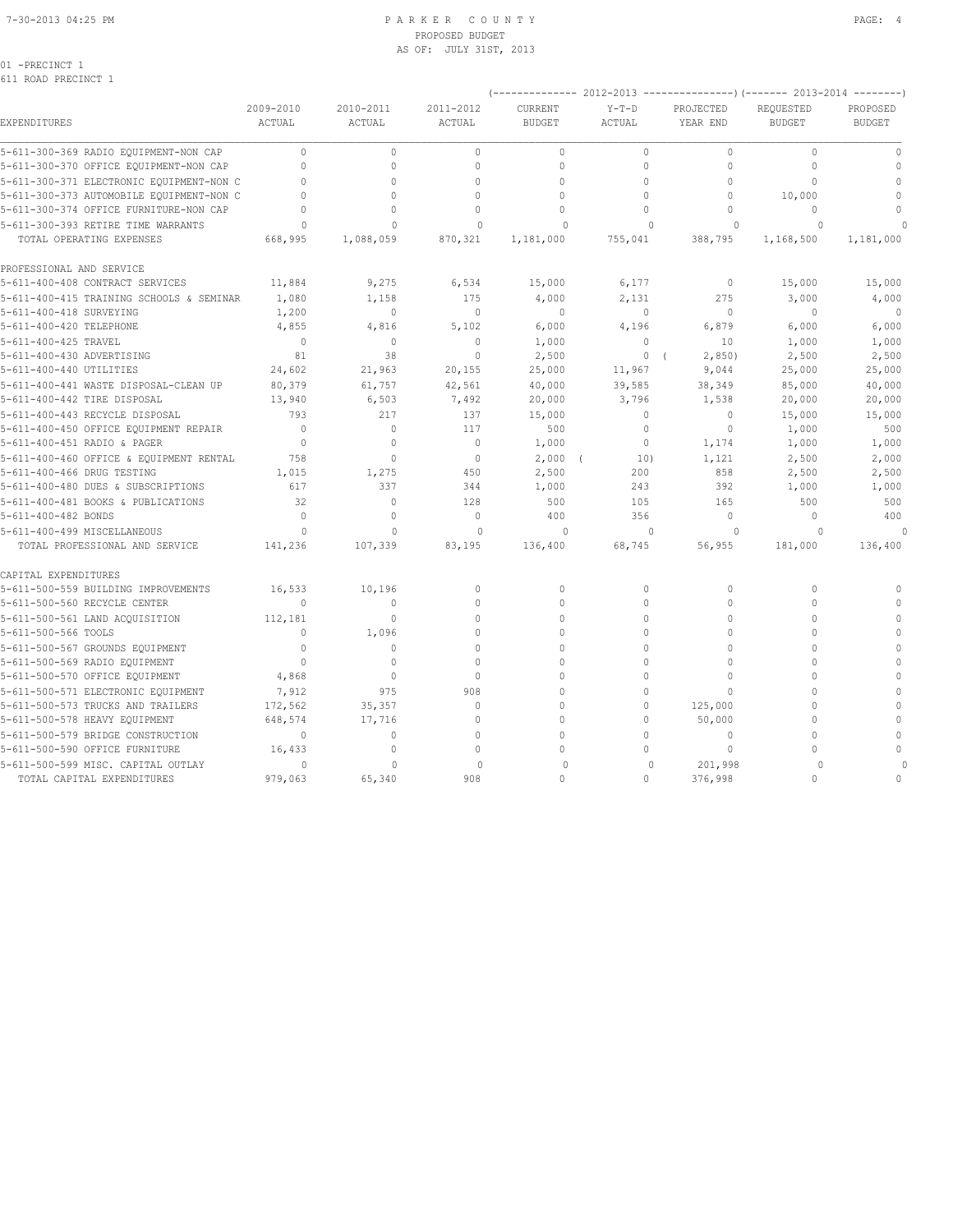### 7-30-2013 04:25 PM P A R K E R C O U N T Y PAGE: 4 PROPOSED BUDGET AS OF: JULY 31ST, 2013

01 -PRECINCT 1

611 ROAD PRECINCT 1

|                                          |                |              |                |                | (-------------- 2012-2013 ---------------) (------- 2013-2014 --------) |                |               |               |
|------------------------------------------|----------------|--------------|----------------|----------------|-------------------------------------------------------------------------|----------------|---------------|---------------|
|                                          | 2009-2010      | 2010-2011    | 2011-2012      | <b>CURRENT</b> | $Y-T-D$                                                                 | PROJECTED      | REOUESTED     | PROPOSED      |
| EXPENDITURES                             | ACTUAL         | ACTUAL       | ACTUAL         | <b>BUDGET</b>  | ACTUAL                                                                  | YEAR END       | <b>BUDGET</b> | <b>BUDGET</b> |
| 5-611-300-369 RADIO EQUIPMENT-NON CAP    | $\mathbf{0}$   | $\circ$      | $\mathbf{0}$   | $\mathbf{0}$   | $\circ$                                                                 | $\circ$        | $\mathbf{0}$  | $\mathbf{0}$  |
| 5-611-300-370 OFFICE EQUIPMENT-NON CAP   | $\Omega$       | $\Omega$     | $\Omega$       | $\Omega$       | $\Omega$                                                                | $\Omega$       | $\Omega$      | $\mathbf{0}$  |
| 5-611-300-371 ELECTRONIC EQUIPMENT-NON C | $\mathbf{0}$   | $\Omega$     | $\mathbf{0}$   | $\mathbf{0}$   | $\mathbf{0}$                                                            | $\Omega$       | $\Omega$      | $\mathbf{0}$  |
| 5-611-300-373 AUTOMOBILE EQUIPMENT-NON C | $\Omega$       |              | $\Omega$       | $\Omega$       | $\circ$                                                                 | $\Omega$       | 10,000        | $\mathbf{0}$  |
| 5-611-300-374 OFFICE FURNITURE-NON CAP   | $\Omega$       | $\Omega$     | $\Omega$       | $\Omega$       | $\Omega$                                                                | $\Omega$       | $\Omega$      |               |
| 5-611-300-393 RETIRE TIME WARRANTS       | $\Omega$       | $\Omega$     | $\mathbf{0}$   | $\Omega$       | $\mathbf{0}$                                                            | $\Omega$       | $\circ$       |               |
| TOTAL OPERATING EXPENSES                 | 668,995        | 1,088,059    | 870,321        | 1,181,000      | 755,041                                                                 | 388,795        | 1,168,500     | 1,181,000     |
| PROFESSIONAL AND SERVICE                 |                |              |                |                |                                                                         |                |               |               |
| 5-611-400-408 CONTRACT SERVICES          | 11,884         | 9,275        | 6,534          | 15,000         | 6,177                                                                   | $\overline{0}$ | 15,000        | 15,000        |
| 5-611-400-415 TRAINING SCHOOLS & SEMINAR | 1,080          | 1,158        | 175            | 4,000          | 2,131                                                                   | 275            | 3,000         | 4,000         |
| 5-611-400-418 SURVEYING                  | 1,200          | $\circ$      | $\mathbb{O}$   | $\circ$        | 0                                                                       | $\mathbf{0}$   | $\mathbf{0}$  | $\sim$ 0      |
| 5-611-400-420 TELEPHONE                  | 4,855          | 4,816        | 5,102          | 6,000          | 4,196                                                                   | 6,879          | 6,000         | 6,000         |
| 5-611-400-425 TRAVEL                     | $\bigcirc$     | $\circ$      | $\mathbf{0}$   | 1,000          | $\Omega$                                                                | 10             | 1,000         | 1,000         |
| 5-611-400-430 ADVERTISING                | 81             | 38           | $\mathbf{0}$   | 2,500          | 0(                                                                      | 2,850          | 2,500         | 2,500         |
| 5-611-400-440 UTILITIES                  | 24,602         | 21,963       | 20,155         | 25,000         | 11,967                                                                  | 9,044          | 25,000        | 25,000        |
| 5-611-400-441 WASTE DISPOSAL-CLEAN UP    | 80,379         | 61,757       | 42,561         | 40,000         | 39,585                                                                  | 38,349         | 85,000        | 40,000        |
| 5-611-400-442 TIRE DISPOSAL              | 13,940         | 6,503        | 7,492          | 20,000         | 3,796                                                                   | 1,538          | 20,000        | 20,000        |
| 5-611-400-443 RECYCLE DISPOSAL           | 793            | 217          | 137            | 15,000         | $\circ$                                                                 | $\mathbf{0}$   | 15,000        | 15,000        |
| 5-611-400-450 OFFICE EQUIPMENT REPAIR    | $\overline{0}$ | $\circ$      | 117            | 500            | $\circ$                                                                 | $\circ$        | 1,000         | 500           |
| 5-611-400-451 RADIO & PAGER              | $\overline{0}$ | $\mathbf{0}$ | $\overline{0}$ | 1,000          | 0                                                                       | 1,174          | 1,000         | 1,000         |
| 5-611-400-460 OFFICE & EQUIPMENT RENTAL  | 758            | $\Omega$     | $\mathbf{0}$   | $2,000$ (      | 10)                                                                     | 1,121          | 2,500         | 2,000         |
| 5-611-400-466 DRUG TESTING               | 1,015          | 1,275        | 450            | 2,500          | 200                                                                     | 858            | 2,500         | 2,500         |
| 5-611-400-480 DUES & SUBSCRIPTIONS       | 617            | 337          | 344            | 1,000          | 243                                                                     | 392            | 1,000         | 1,000         |
| 5-611-400-481 BOOKS & PUBLICATIONS       | 32             | $\mathbf{0}$ | 128            | 500            | 105                                                                     | 165            | 500           | 500           |
| 5-611-400-482 BONDS                      | $\Omega$       | $\mathbf{0}$ | $\Omega$       | 400            | 356                                                                     | $\circ$        | $\mathbf{0}$  | 400           |
| 5-611-400-499 MISCELLANEOUS              | $\Omega$       | $\mathbf{0}$ | $\mathbf{0}$   | $\circ$        | $\mathbf{0}$                                                            | $\circ$        | $\circ$       | $\Omega$      |
| TOTAL PROFESSIONAL AND SERVICE           | 141,236        | 107,339      | 83,195         | 136,400        | 68,745                                                                  | 56,955         | 181,000       | 136,400       |
| CAPITAL EXPENDITURES                     |                |              |                |                |                                                                         |                |               |               |
| 5-611-500-559 BUILDING IMPROVEMENTS      | 16,533         | 10,196       | $\mathbb O$    | $\mathbf{0}$   | $\mathbb O$                                                             | $\mathbf{0}$   | $\mathbf 0$   |               |
| 5-611-500-560 RECYCLE CENTER             | $\mathbf{0}$   | $\circ$      | $\mathbf{0}$   | $\mathbf{0}$   | $\circ$                                                                 | $\mathbf{0}$   | $\Omega$      |               |
| 5-611-500-561 LAND ACQUISITION           | 112,181        | $\circ$      | $\Omega$       | $\mathbf{0}$   | $\Omega$                                                                | $\Omega$       | $\Omega$      | $\mathbf{0}$  |
| 5-611-500-566 TOOLS                      | $\Omega$       | 1,096        | $\Omega$       | $\Omega$       | $\Omega$                                                                | $\Omega$       |               | $\mathbf{0}$  |
| 5-611-500-567 GROUNDS EQUIPMENT          | $\Omega$       | $\Omega$     | $\Omega$       | $\Omega$       | $\Omega$                                                                | $\Omega$       | $\Omega$      | $\mathbf{0}$  |
| 5-611-500-569 RADIO EQUIPMENT            | $\overline{0}$ | $\Omega$     | $\Omega$       | $\Omega$       | $\Omega$                                                                | $\Omega$       | $\Omega$      | $\circ$       |
| 5-611-500-570 OFFICE EQUIPMENT           | 4,868          | $\circ$      | $\Omega$       | $\Omega$       | $\Omega$                                                                | $\Omega$       | $\Omega$      | $\Omega$      |
| 5-611-500-571 ELECTRONIC EQUIPMENT       | 7,912          | 975          | 908            | $\mathbf{0}$   | $\mathbf 0$                                                             | $\Omega$       | $\Omega$      | $\mathbf 0$   |
| 5-611-500-573 TRUCKS AND TRAILERS        | 172,562        | 35,357       | $\mathbf{0}$   | $\mathbf{0}$   | $\circ$                                                                 | 125,000        | $\Omega$      | $\mathbf{0}$  |
| 5-611-500-578 HEAVY EQUIPMENT            | 648,574        | 17,716       | $\mathbf{0}$   | $\mathbf{0}$   | $\circ$                                                                 | 50,000         | $\Omega$      | $\mathbf{0}$  |
| 5-611-500-579 BRIDGE CONSTRUCTION        | $\Omega$       | $\circ$      | $\Omega$       | $\Omega$       | $\Omega$                                                                | $\circ$        | $\cap$        |               |
| 5-611-500-590 OFFICE FURNITURE           | 16,433         | $\circ$      | $\Omega$       | $\Omega$       | $\Omega$                                                                | $\Omega$       | $\cap$        | $\Omega$      |
| 5-611-500-599 MISC. CAPITAL OUTLAY       | $\Omega$       | $\Omega$     | $\Omega$       | $\Omega$       | $\Omega$                                                                | 201,998        | $\cap$        |               |
| TOTAL CAPITAL EXPENDITURES               | 979,063        | 65,340       | 908            | $\Omega$       | $\Omega$                                                                | 376,998        | $\cap$        | $\Omega$      |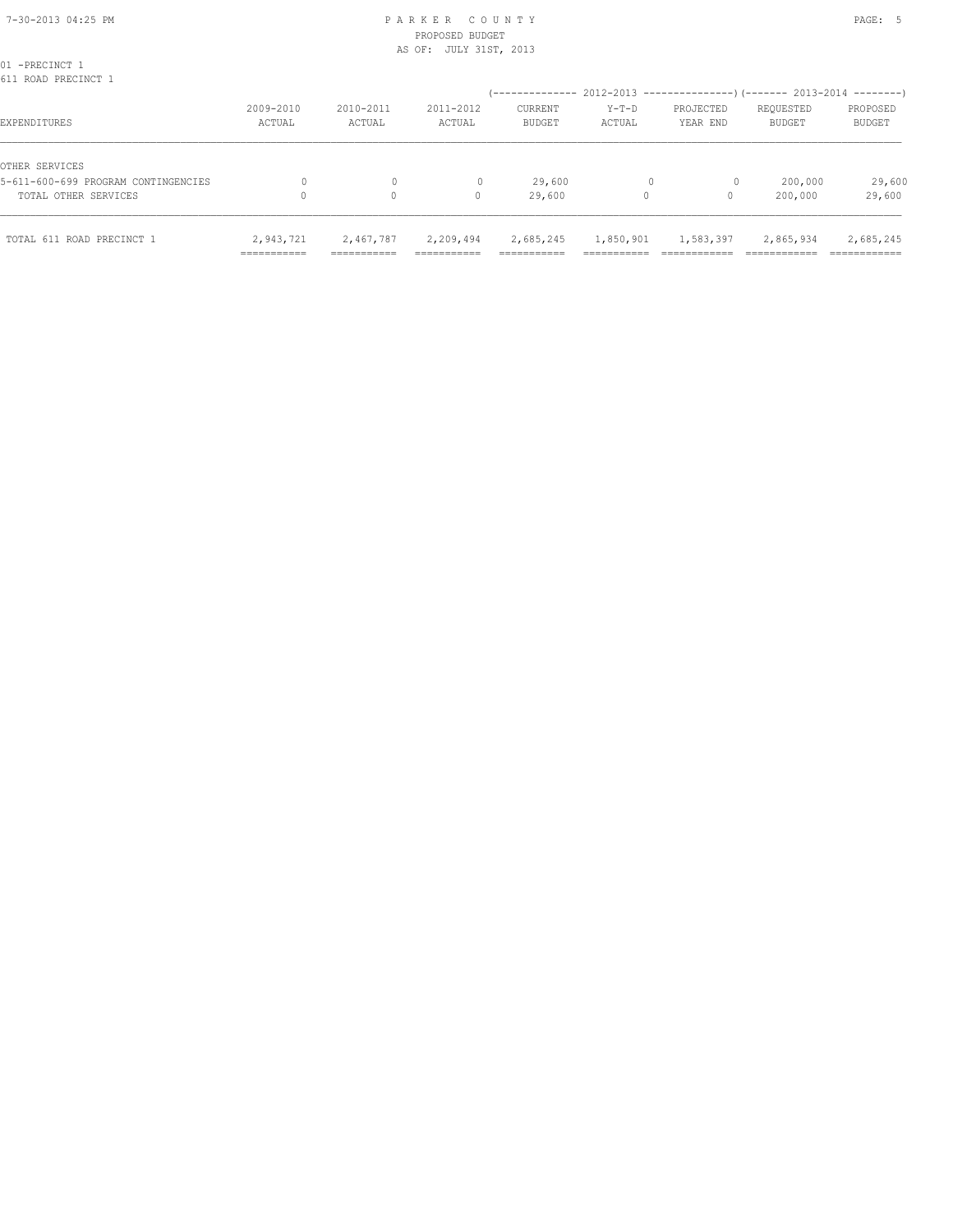# PROPOSED BUDGET AS OF: JULY 31ST, 2013

| TOTAL 611 ROAD PRECINCT 1                             | 2,943,721<br>=========== | 2,467,787<br>=========== | 2,209,494<br>------------- | 2,685,245<br>__________<br>---------- | 1,850,901<br>_________ | 1,583,397             | 2,865,934                                                 | 2,685,245<br>------------ |
|-------------------------------------------------------|--------------------------|--------------------------|----------------------------|---------------------------------------|------------------------|-----------------------|-----------------------------------------------------------|---------------------------|
| TOTAL OTHER SERVICES                                  |                          | 0                        | 0                          | 29,600                                | 0                      | 0                     | 200,000                                                   | 29,600                    |
| OTHER SERVICES<br>5-611-600-699 PROGRAM CONTINGENCIES |                          | 0                        |                            | 29,600                                |                        | $\circ$               | 200,000                                                   | 29,600                    |
| EXPENDITURES                                          | 2009-2010<br>ACTUAL      | 2010-2011<br>ACTUAL      | 2011-2012<br>ACTUAL        | CURRENT<br><b>BUDGET</b>              | $Y-T-D$<br>ACTUAL      | PROJECTED<br>YEAR END | REQUESTED<br><b>BUDGET</b>                                | PROPOSED<br><b>BUDGET</b> |
| 01 -PRECINCT 1<br>611 ROAD PRECINCT 1                 |                          |                          |                            | --------------                        |                        |                       | $2012-2013$ ----------------)(------- 2013-2014 --------) |                           |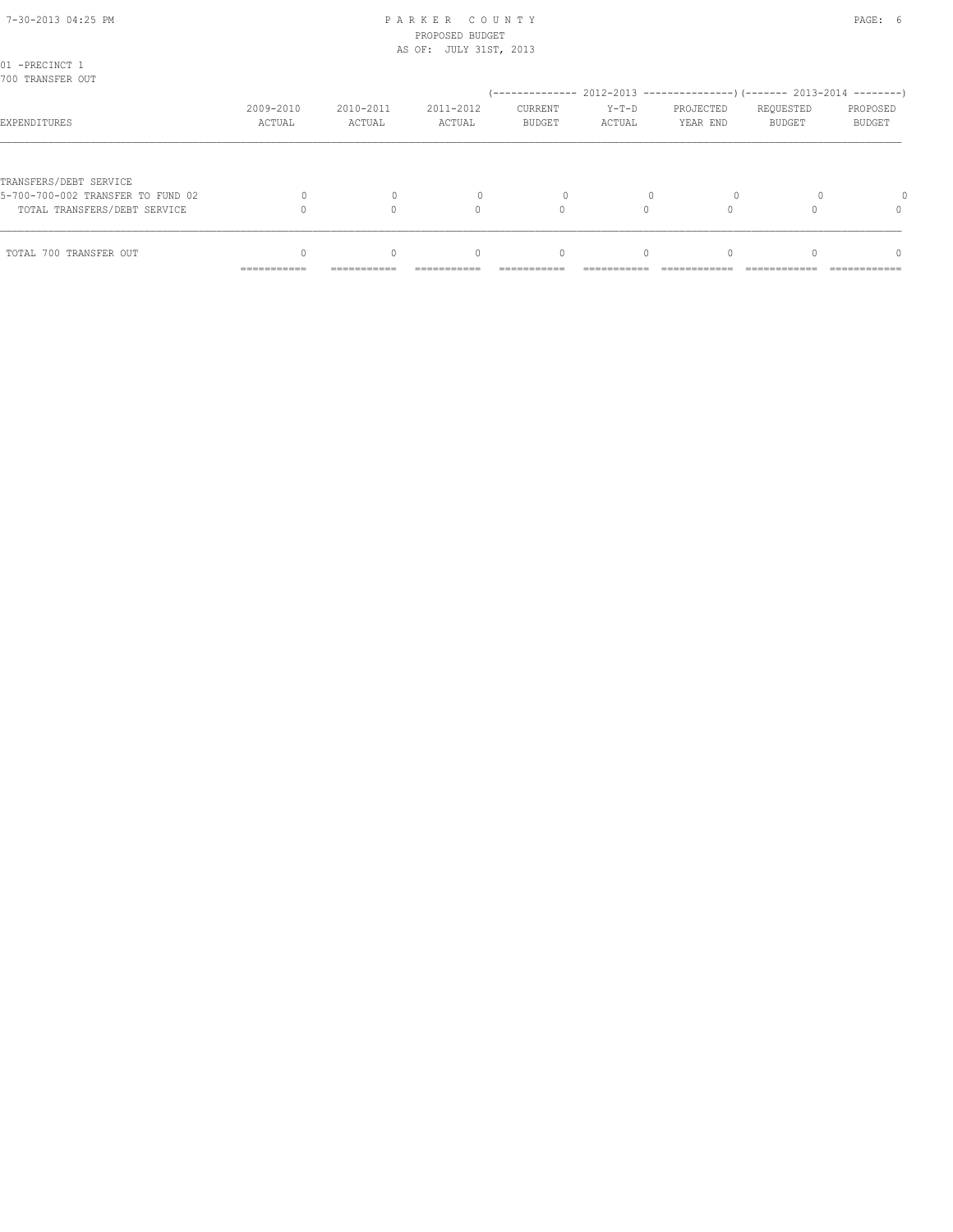### 7-30-2013 04:25 PM P A R K E R C O U N T Y PAGE: 6 PROPOSED BUDGET AS OF: JULY 31ST, 2013

| 01 -PRECINCT 1<br>700 TRANSFER OUT                                |                           |                         |                                                |                                 |                   | (-------------- 2012-2013 --------------------- 2013-2014 ---------- ) |                            |                    |
|-------------------------------------------------------------------|---------------------------|-------------------------|------------------------------------------------|---------------------------------|-------------------|------------------------------------------------------------------------|----------------------------|--------------------|
| EXPENDITURES                                                      | 2009-2010<br>ACTUAL       | 2010-2011<br>ACTUAL     | 2011-2012<br>ACTUAL                            | <b>CURRENT</b><br><b>BUDGET</b> | $Y-T-D$<br>ACTUAL | PROJECTED<br>YEAR END                                                  | REQUESTED<br><b>BUDGET</b> | PROPOSED<br>BUDGET |
| TRANSFERS/DEBT SERVICE                                            |                           |                         |                                                |                                 |                   |                                                                        |                            |                    |
| 5-700-700-002 TRANSFER TO FUND 02<br>TOTAL TRANSFERS/DEBT SERVICE |                           |                         |                                                |                                 |                   |                                                                        |                            |                    |
| TOTAL 700 TRANSFER OUT                                            | __________<br>----------- | $\Omega$<br>----------- | $\begin{array}{c} \n\end{array}$<br>---------- | $\mathbf{0}$                    | $\Omega$          |                                                                        |                            | n<br>------------  |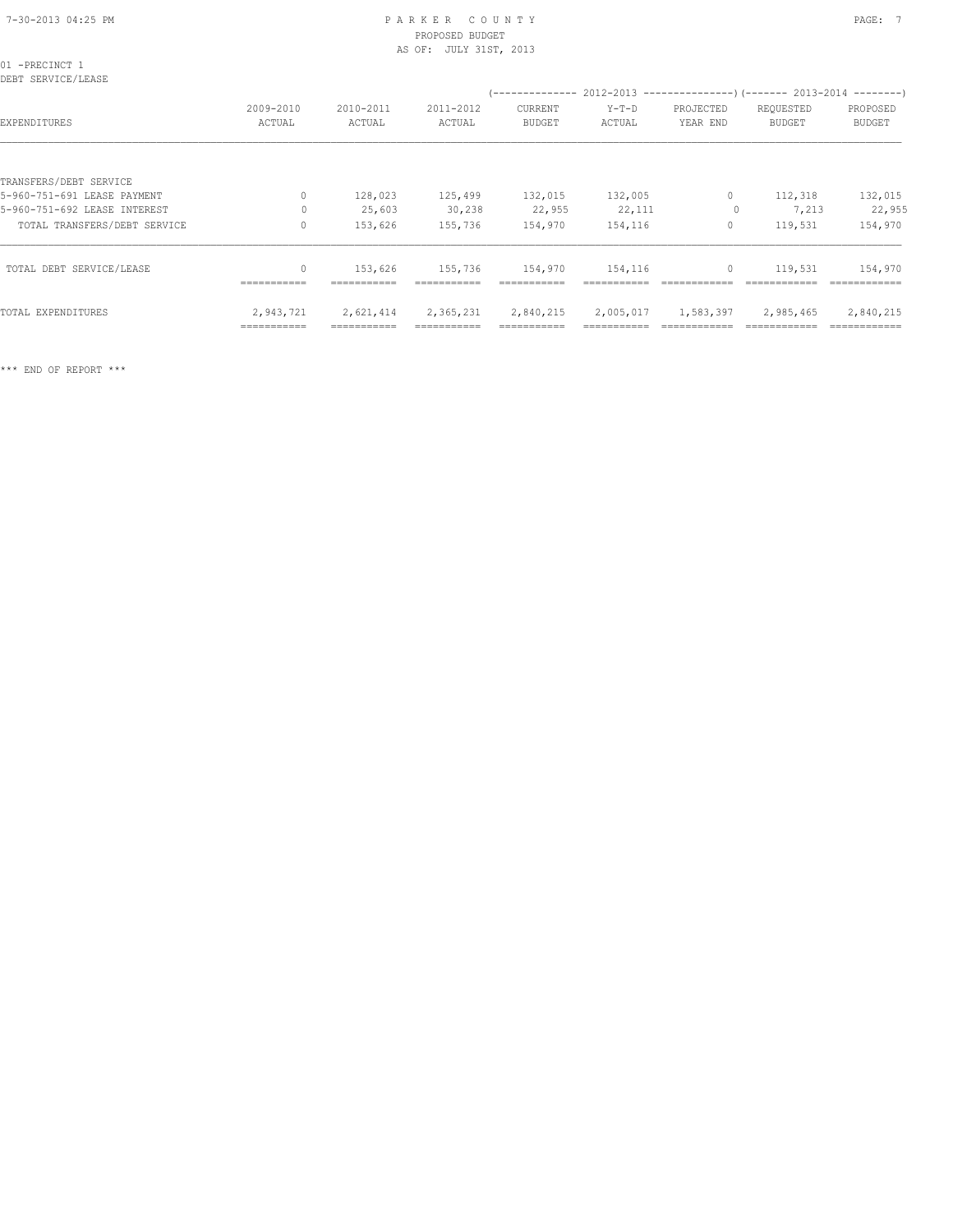# PROPOSED BUDGET AS OF: JULY 31ST, 2013

| 01 -PRECINCT 1<br>DEBT SERVICE/LEASE |                         |                     |                     |                                 |                   | (-------------- 2012-2013 --------------------- 2013-2014 ---------- ) |                            |                           |  |
|--------------------------------------|-------------------------|---------------------|---------------------|---------------------------------|-------------------|------------------------------------------------------------------------|----------------------------|---------------------------|--|
| EXPENDITURES                         | 2009-2010<br>ACTUAL     | 2010-2011<br>ACTUAL | 2011-2012<br>ACTUAL | <b>CURRENT</b><br><b>BUDGET</b> | $Y-T-D$<br>ACTUAL | PROJECTED<br>YEAR END                                                  | REQUESTED<br><b>BUDGET</b> | PROPOSED<br><b>BUDGET</b> |  |
|                                      |                         |                     |                     |                                 |                   |                                                                        |                            |                           |  |
| TRANSFERS/DEBT SERVICE               |                         |                     |                     |                                 |                   |                                                                        |                            |                           |  |
| 5-960-751-691 LEASE PAYMENT          | 0                       | 128,023             | 125,499             | 132,015                         | 132,005           | $\circ$                                                                | 112,318                    | 132,015                   |  |
| 5-960-751-692 LEASE INTEREST         | 0                       | 25,603              | 30,238              | 22,955                          | 22,111            | $\circ$                                                                | 7,213                      | 22,955                    |  |
| TOTAL TRANSFERS/DEBT SERVICE         | 0                       | 153,626             | 155,736             | 154,970                         | 154,116           | 0                                                                      | 119,531                    | 154,970                   |  |
| TOTAL DEBT SERVICE/LEASE             | $\Omega$<br>----------- | 153,626             | 155,736             | 154,970                         | 154,116           | $\circ$                                                                | 119,531                    | 154,970                   |  |
| TOTAL EXPENDITURES                   | 2,943,721               | 2,621,414           | 2,365,231           | 2,840,215                       | 2,005,017         | 1,583,397                                                              | 2,985,465                  | 2,840,215                 |  |

=========== =========== =========== =========== =========== ============ ============ ============

\*\*\* END OF REPORT \*\*\*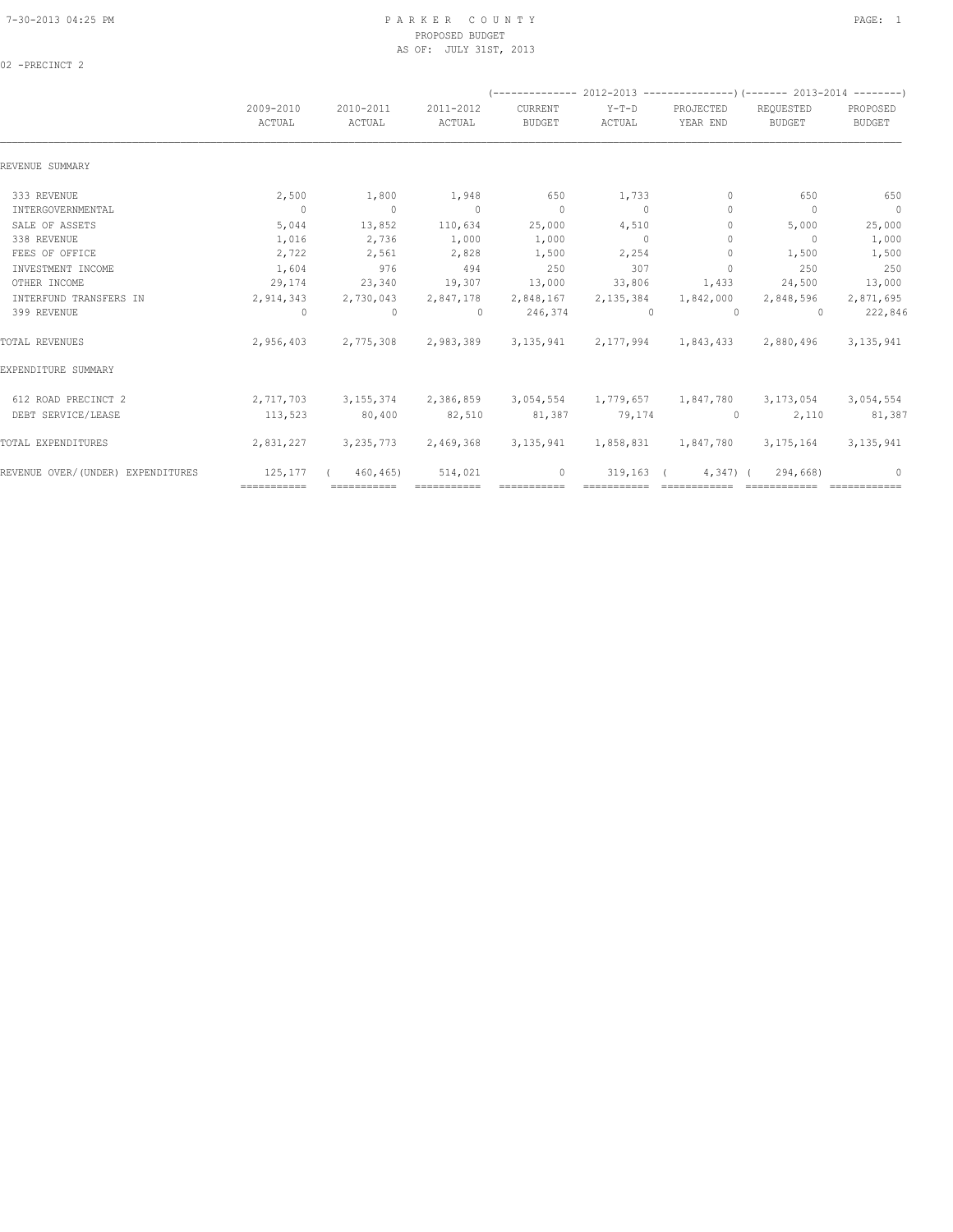### 7-30-2013 04:25 PM P A R K E R C O U N T Y PAGE: 1 PROPOSED BUDGET AS OF: JULY 31ST, 2013

02 -PRECINCT 2

|                                   |                     |                     |                         |                          |                   |                       | (-------------- 2012-2013 ----------------) (------- 2013-2014 --------) |                           |  |
|-----------------------------------|---------------------|---------------------|-------------------------|--------------------------|-------------------|-----------------------|--------------------------------------------------------------------------|---------------------------|--|
|                                   | 2009-2010<br>ACTUAL | 2010-2011<br>ACTUAL | 2011-2012<br>ACTUAL     | CURRENT<br><b>BUDGET</b> | $Y-T-D$<br>ACTUAL | PROJECTED<br>YEAR END | REQUESTED<br><b>BUDGET</b>                                               | PROPOSED<br><b>BUDGET</b> |  |
| REVENUE SUMMARY                   |                     |                     |                         |                          |                   |                       |                                                                          |                           |  |
| 333 REVENUE                       | 2,500               | 1,800               | 1,948                   | 650                      | 1,733             | $\mathbf{0}$          | 650                                                                      | 650                       |  |
| INTERGOVERNMENTAL                 | $\overline{0}$      | $\sim$ 0            | $\sim$ 0                | $\overline{0}$           | $\sim$ 0          | $\mathbf{0}$          | $\mathbf{0}$                                                             | $\overline{0}$            |  |
| SALE OF ASSETS                    | 5,044               | 13,852              | 110,634                 | 25,000                   | 4,510             | $\Omega$              | 5,000                                                                    | 25,000                    |  |
| 338 REVENUE                       | 1,016               | 2,736               | 1,000                   | 1,000                    | $\overline{0}$    | $\circ$               | $\overline{0}$                                                           | 1,000                     |  |
| FEES OF OFFICE                    | 2,722               | 2,561               | 2,828                   | 1,500                    | 2,254             | $\mathbf{0}$          | 1,500                                                                    | 1,500                     |  |
| INVESTMENT INCOME                 | 1,604               | 976                 | 494                     | 250                      | 307               | $\Omega$              | 250                                                                      | 250                       |  |
| OTHER INCOME                      | 29,174              | 23,340              | 19,307                  | 13,000                   | 33,806            | 1,433                 | 24,500                                                                   | 13,000                    |  |
| INTERFUND TRANSFERS IN            | 2,914,343           | 2,730,043           | 2,847,178               | 2,848,167                | 2,135,384         | 1,842,000             | 2,848,596                                                                | 2,871,695                 |  |
| 399 REVENUE                       | $\circ$             | $\circ$             | $\Omega$                | 246,374                  | $\sim$ 0          | $\Omega$              | $\cap$                                                                   | 222,846                   |  |
| TOTAL REVENUES                    | 2,956,403           |                     | 2,775,308 2,983,389     |                          |                   |                       | 3, 135, 941 2, 177, 994 1, 843, 433 2, 880, 496                          | 3, 135, 941               |  |
| EXPENDITURE SUMMARY               |                     |                     |                         |                          |                   |                       |                                                                          |                           |  |
| 612 ROAD PRECINCT 2               | 2,717,703           |                     | 3, 155, 374 2, 386, 859 |                          |                   |                       | 3,054,554 1,779,657 1,847,780 3,173,054                                  | 3,054,554                 |  |
| DEBT SERVICE/LEASE                | 113,523             | 80,400              | 82,510                  | 81,387                   | 79,174            | $\circ$               | 2,110                                                                    | 81,387                    |  |
| TOTAL EXPENDITURES                | 2,831,227           |                     | 3, 235, 773 2, 469, 368 | 3, 135, 941              |                   |                       | 1,858,831 1,847,780 3,175,164                                            | 3, 135, 941               |  |
| REVENUE OVER/(UNDER) EXPENDITURES | 125, 177            | 460,465)            | 514,021                 | $\mathbf{0}$             | 319,163           | $4,347$ (             | 294,668)                                                                 | $\mathbf{0}$              |  |
|                                   | ============        | ============        | ============            |                          |                   | ============          |                                                                          |                           |  |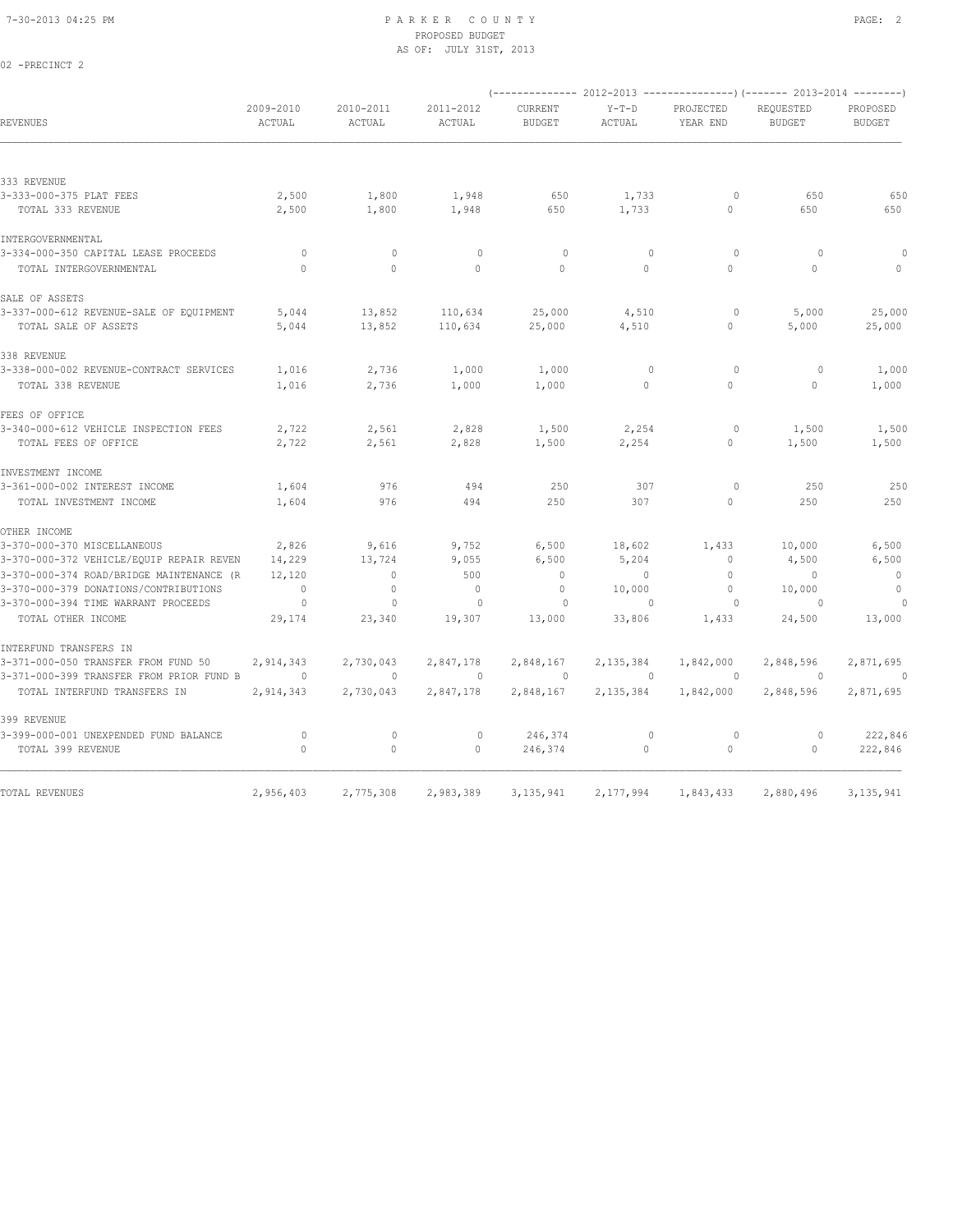02 -PRECINCT 2

### 7-30-2013 04:25 PM P A R K E R C O U N T Y PAGE: 2 PROPOSED BUDGET AS OF: JULY 31ST, 2013

|                                          |                     |                     |                     |                          |                   |                       | (-------------- 2012-2013 ----------------) (------- 2013-2014 --------) |                           |
|------------------------------------------|---------------------|---------------------|---------------------|--------------------------|-------------------|-----------------------|--------------------------------------------------------------------------|---------------------------|
| REVENUES                                 | 2009-2010<br>ACTUAL | 2010-2011<br>ACTUAL | 2011-2012<br>ACTUAL | CURRENT<br><b>BUDGET</b> | $Y-T-D$<br>ACTUAL | PROJECTED<br>YEAR END | REQUESTED<br><b>BUDGET</b>                                               | PROPOSED<br><b>BUDGET</b> |
|                                          |                     |                     |                     |                          |                   |                       |                                                                          |                           |
| 333 REVENUE                              |                     |                     |                     |                          |                   |                       |                                                                          |                           |
| 3-333-000-375 PLAT FEES                  | 2,500               | 1,800               | 1,948               | 650                      | 1,733             | $\circ$               | 650                                                                      | 650                       |
| TOTAL 333 REVENUE                        | 2,500               | 1,800               | 1,948               | 650                      | 1,733             | $\Omega$              | 650                                                                      | 650                       |
| INTERGOVERNMENTAL                        |                     |                     |                     |                          |                   |                       |                                                                          |                           |
| 3-334-000-350 CAPITAL LEASE PROCEEDS     | 0                   | $\mathbf 0$         | $\circ$             | 0                        | $\mathbf 0$       | $\circ$               | $\circ$                                                                  |                           |
| TOTAL INTERGOVERNMENTAL                  | $\Omega$            | $\Omega$            | $\Omega$            | $\Omega$                 | $\Omega$          | $\Omega$              | $\Omega$                                                                 | $\mathbf{0}$              |
| SALE OF ASSETS                           |                     |                     |                     |                          |                   |                       |                                                                          |                           |
| 3-337-000-612 REVENUE-SALE OF EQUIPMENT  | 5,044               | 13,852              | 110,634             | 25,000                   | 4,510             | $\circ$               | 5,000                                                                    | 25,000                    |
| TOTAL SALE OF ASSETS                     | 5,044               | 13,852              | 110,634             | 25,000                   | 4,510             | $\circ$               | 5,000                                                                    | 25,000                    |
| 338 REVENUE                              |                     |                     |                     |                          |                   |                       |                                                                          |                           |
| 3-338-000-002 REVENUE-CONTRACT SERVICES  | 1,016               | 2,736               | 1,000               | 1,000                    | $\mathbf 0$       | $\circ$               | $\circ$                                                                  | 1,000                     |
| TOTAL 338 REVENUE                        | 1,016               | 2,736               | 1,000               | 1,000                    | $\circ$           | $\circ$               | $\Omega$                                                                 | 1,000                     |
| FEES OF OFFICE                           |                     |                     |                     |                          |                   |                       |                                                                          |                           |
| 3-340-000-612 VEHICLE INSPECTION FEES    | 2,722               | 2,561               | 2,828               | 1,500                    | 2,254             | 0                     | 1,500                                                                    | 1,500                     |
| TOTAL FEES OF OFFICE                     | 2,722               | 2,561               | 2,828               | 1,500                    | 2,254             | $\circ$               | 1,500                                                                    | 1,500                     |
| INVESTMENT INCOME                        |                     |                     |                     |                          |                   |                       |                                                                          |                           |
| 3-361-000-002 INTEREST INCOME            | 1,604               | 976                 | 494                 | 250                      | 307               | $\circ$               | 250                                                                      | 250                       |
| TOTAL INVESTMENT INCOME                  | 1,604               | 976                 | 494                 | 250                      | 307               | $\circ$               | 250                                                                      | 250                       |
| OTHER INCOME                             |                     |                     |                     |                          |                   |                       |                                                                          |                           |
| 3-370-000-370 MISCELLANEOUS              | 2,826               | 9,616               | 9,752               | 6,500                    | 18,602            | 1,433                 | 10,000                                                                   | 6,500                     |
| 3-370-000-372 VEHICLE/EQUIP REPAIR REVEN | 14,229              | 13,724              | 9,055               | 6,500                    | 5,204             | 0                     | 4,500                                                                    | 6,500                     |
| 3-370-000-374 ROAD/BRIDGE MAINTENANCE (R | 12,120              | $\mathbf{0}$        | 500                 | $\circ$                  | $\circ$           | $\mathbf{0}$          | $\Omega$                                                                 | $\overline{0}$            |
| 3-370-000-379 DONATIONS/CONTRIBUTIONS    | $\mathbf 0$         | 0                   | $\mathbb O$         | 0                        | 10,000            | $\mathbf{0}$          | 10,000                                                                   | $\mathbb O$               |
| 3-370-000-394 TIME WARRANT PROCEEDS      | $\circ$             | $\mathbf{0}$        | $\circ$             | $\circ$                  | $\mathbf{0}$      | $\circ$               | $\Omega$                                                                 | 0                         |
| TOTAL OTHER INCOME                       | 29,174              | 23,340              | 19,307              | 13,000                   | 33,806            | 1,433                 | 24,500                                                                   | 13,000                    |
| INTERFUND TRANSFERS IN                   |                     |                     |                     |                          |                   |                       |                                                                          |                           |
| 3-371-000-050 TRANSFER FROM FUND 50      | 2,914,343           | 2,730,043           | 2,847,178           | 2,848,167                | 2,135,384         | 1,842,000             | 2,848,596                                                                | 2,871,695                 |
| 3-371-000-399 TRANSFER FROM PRIOR FUND B | $\circ$             | $\mathbf{0}$        | $\mathbf{0}$        | $\circ$                  | $\Omega$          | $\circ$               | 0                                                                        | $\Omega$                  |
| TOTAL INTERFUND TRANSFERS IN             | 2,914,343           | 2,730,043           | 2,847,178           | 2,848,167                | 2,135,384         | 1,842,000             | 2,848,596                                                                | 2,871,695                 |
| 399 REVENUE                              |                     |                     |                     |                          |                   |                       |                                                                          |                           |
| 3-399-000-001 UNEXPENDED FUND BALANCE    | 0                   | $\circ$             | $\mathbf{0}$        | 246,374                  | $\mathbf 0$       | $\circ$               | $\circ$                                                                  | 222,846                   |
| TOTAL 399 REVENUE                        | $\circ$             | $\mathbf{0}$        | $\Omega$            | 246,374                  | $\circ$           | $\circ$               | $\circ$                                                                  | 222,846                   |
| TOTAL REVENUES                           | 2,956,403           | 2,775,308           | 2,983,389           | 3, 135, 941              | 2,177,994         | 1,843,433             | 2,880,496                                                                | 3, 135, 941               |
|                                          |                     |                     |                     |                          |                   |                       |                                                                          |                           |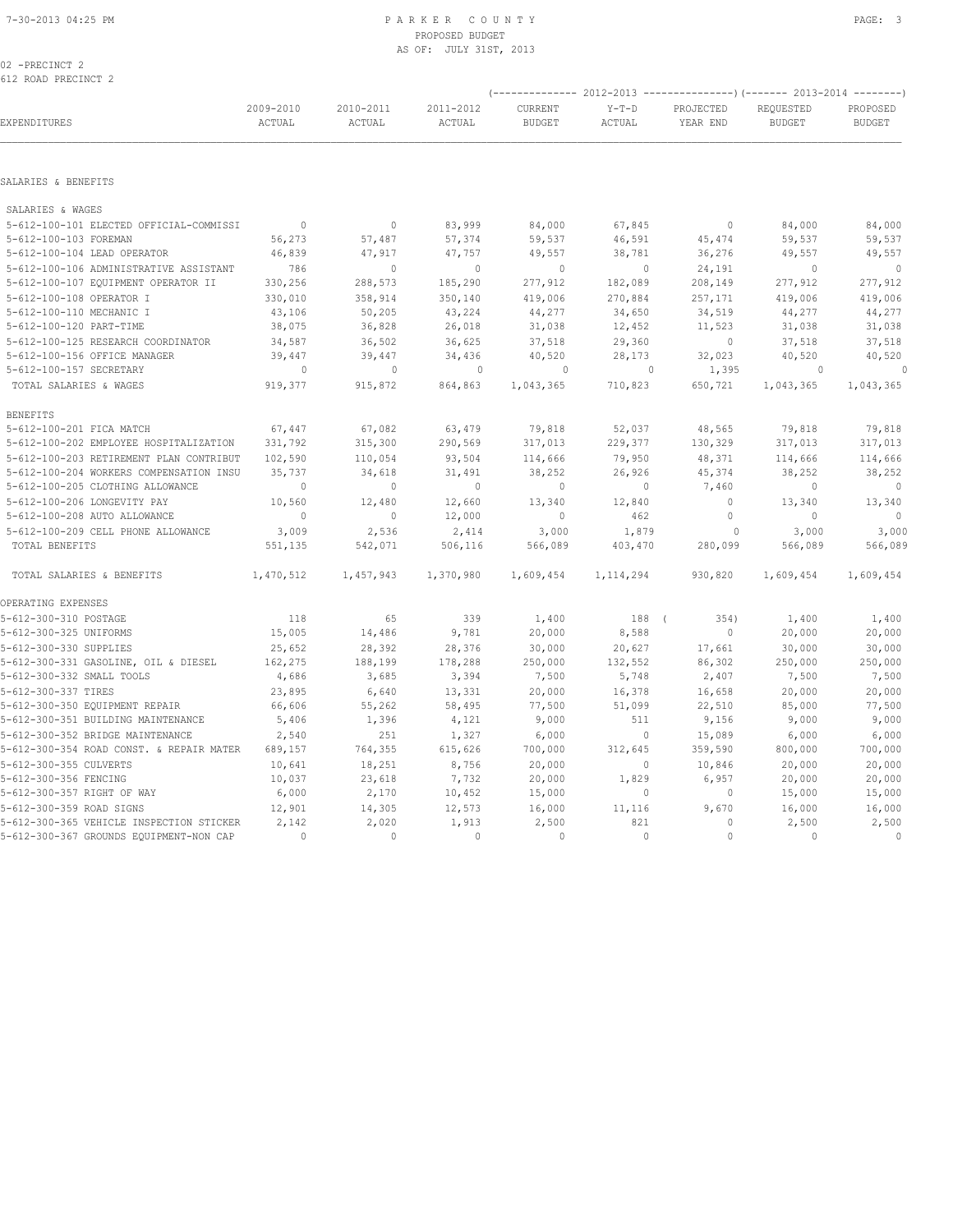### 7-30-2013 04:25 PM P A R K E R C O U N T Y PAGE: 3 PROPOSED BUDGET AS OF: JULY 31ST, 2013

02 -PRECINCT 2 612 ROAD PRECINCT 2

|                                          |                     |                     |                     | (-------------- 2012-2013 ---------------) (------- 2013-2014 --------) |                   |                       |                            |                           |
|------------------------------------------|---------------------|---------------------|---------------------|-------------------------------------------------------------------------|-------------------|-----------------------|----------------------------|---------------------------|
| EXPENDITURES                             | 2009-2010<br>ACTUAL | 2010-2011<br>ACTUAL | 2011-2012<br>ACTUAL | CURRENT<br><b>BUDGET</b>                                                | $Y-T-D$<br>ACTUAL | PROJECTED<br>YEAR END | REQUESTED<br><b>BUDGET</b> | PROPOSED<br><b>BUDGET</b> |
| SALARIES & BENEFITS                      |                     |                     |                     |                                                                         |                   |                       |                            |                           |
| SALARIES & WAGES                         |                     |                     |                     |                                                                         |                   |                       |                            |                           |
| 5-612-100-101 ELECTED OFFICIAL-COMMISSI  | $\mathbf{0}$        | $\circ$             | 83,999              | 84,000                                                                  | 67,845            | $\circ$               | 84,000                     | 84,000                    |
| 5-612-100-103 FOREMAN                    | 56,273              | 57,487              | 57,374              | 59,537                                                                  | 46,591            | 45,474                | 59,537                     | 59,537                    |
| 5-612-100-104 LEAD OPERATOR              | 46,839              | 47,917              | 47,757              | 49,557                                                                  | 38,781            | 36,276                | 49,557                     | 49,557                    |
| 5-612-100-106 ADMINISTRATIVE ASSISTANT   | 786                 | $\mathbf{0}$        | $\mathbf{0}$        | $\mathbb{O}$                                                            | $\circ$           | 24,191                | $\mathbf{0}$               | $\circ$                   |
| 5-612-100-107 EQUIPMENT OPERATOR II      | 330,256             | 288,573             | 185,290             | 277,912                                                                 | 182,089           | 208,149               | 277,912                    | 277,912                   |
| 5-612-100-108 OPERATOR I                 | 330,010             | 358,914             | 350,140             | 419,006                                                                 | 270,884           | 257,171               | 419,006                    | 419,006                   |
| 5-612-100-110 MECHANIC I                 | 43,106              | 50,205              | 43,224              | 44,277                                                                  | 34,650            | 34,519                | 44,277                     | 44,277                    |
| 5-612-100-120 PART-TIME                  | 38,075              | 36,828              | 26,018              | 31,038                                                                  | 12,452            | 11,523                | 31,038                     | 31,038                    |
| 5-612-100-125 RESEARCH COORDINATOR       | 34,587              | 36,502              | 36,625              | 37,518                                                                  | 29,360            | $\circ$               | 37,518                     | 37,518                    |
| 5-612-100-156 OFFICE MANAGER             | 39,447              | 39,447              | 34,436              | 40,520                                                                  | 28,173            | 32,023                | 40,520                     | 40,520                    |
| 5-612-100-157 SECRETARY                  | $\circ$             | $\mathbf 0$         | $\mathbf 0$         | 0                                                                       | 0                 | 1,395                 | 0                          | $\Omega$                  |
| TOTAL SALARIES & WAGES                   | 919,377             | 915,872             | 864,863             | 1,043,365                                                               | 710,823           | 650,721               | 1,043,365                  | 1,043,365                 |
| <b>BENEFITS</b>                          |                     |                     |                     |                                                                         |                   |                       |                            |                           |
| 5-612-100-201 FICA MATCH                 | 67,447              | 67,082              | 63,479              | 79,818                                                                  | 52,037            | 48,565                | 79,818                     | 79,818                    |
| 5-612-100-202 EMPLOYEE HOSPITALIZATION   | 331,792             | 315,300             | 290,569             | 317,013                                                                 | 229,377           | 130,329               | 317,013                    | 317,013                   |
| 5-612-100-203 RETIREMENT PLAN CONTRIBUT  | 102,590             | 110,054             | 93,504              | 114,666                                                                 | 79,950            | 48,371                | 114,666                    | 114,666                   |
| 5-612-100-204 WORKERS COMPENSATION INSU  | 35,737              | 34,618              | 31,491              | 38,252                                                                  | 26,926            | 45,374                | 38,252                     | 38,252                    |
| 5-612-100-205 CLOTHING ALLOWANCE         | $\mathbf{0}$        | $\mathbf{0}$        | $\mathbf{0}$        | $\mathbf{0}$                                                            | $\circ$           | 7,460                 | $\circ$                    | $\mathbf{0}$              |
| 5-612-100-206 LONGEVITY PAY              | 10,560              | 12,480              | 12,660              | 13,340                                                                  | 12,840            | $\mathbf{0}$          | 13,340                     | 13,340                    |
| 5-612-100-208 AUTO ALLOWANCE             | $\mathbf{0}$        | $\circ$             | 12,000              | $\mathbf{0}$                                                            | 462               | $\circ$               | $\mathbf{0}$               | $\mathbf{0}$              |
| 5-612-100-209 CELL PHONE ALLOWANCE       | 3,009               | 2,536               | 2,414               | 3,000                                                                   | 1,879             | $\circ$               | 3,000                      | 3,000                     |
| TOTAL BENEFITS                           | 551,135             | 542,071             | 506,116             | 566,089                                                                 | 403,470           | 280,099               | 566,089                    | 566,089                   |
| TOTAL SALARIES & BENEFITS                | 1,470,512           | 1,457,943           | 1,370,980           | 1,609,454                                                               | 1, 114, 294       | 930,820               | 1,609,454                  | 1,609,454                 |
| OPERATING EXPENSES                       |                     |                     |                     |                                                                         |                   |                       |                            |                           |
| 5-612-300-310 POSTAGE                    | 118                 | 65                  | 339                 | 1,400                                                                   | 188 (             | 354)                  | 1,400                      | 1,400                     |
| 5-612-300-325 UNIFORMS                   | 15,005              | 14,486              | 9,781               | 20,000                                                                  | 8,588             | $\circ$               | 20,000                     | 20,000                    |
| 5-612-300-330 SUPPLIES                   | 25,652              | 28,392              | 28,376              | 30,000                                                                  | 20,627            | 17,661                | 30,000                     | 30,000                    |
| 5-612-300-331 GASOLINE, OIL & DIESEL     | 162,275             | 188,199             | 178,288             | 250,000                                                                 | 132,552           | 86,302                | 250,000                    | 250,000                   |
| 5-612-300-332 SMALL TOOLS                | 4,686               | 3,685               | 3,394               | 7,500                                                                   | 5,748             | 2,407                 | 7,500                      | 7,500                     |
| 5-612-300-337 TIRES                      | 23,895              | 6,640               | 13,331              | 20,000                                                                  | 16,378            | 16,658                | 20,000                     | 20,000                    |
| 5-612-300-350 EQUIPMENT REPAIR           | 66,606              | 55,262              | 58,495              | 77,500                                                                  | 51,099            | 22,510                | 85,000                     | 77,500                    |
| 5-612-300-351 BUILDING MAINTENANCE       | 5,406               | 1,396               | 4,121               | 9,000                                                                   | 511               | 9,156                 | 9,000                      | 9,000                     |
| 5-612-300-352 BRIDGE MAINTENANCE         | 2,540               | 251                 | 1,327               | 6,000                                                                   | $\circ$           | 15,089                | 6,000                      | 6,000                     |
| 5-612-300-354 ROAD CONST. & REPAIR MATER | 689,157             | 764,355             | 615,626             | 700,000                                                                 | 312,645           | 359,590               | 800,000                    | 700,000                   |
| 5-612-300-355 CULVERTS                   | 10,641              | 18,251              | 8,756               | 20,000                                                                  | $\circ$           | 10,846                | 20,000                     | 20,000                    |
| 5-612-300-356 FENCING                    | 10,037              | 23,618              | 7,732               | 20,000                                                                  | 1,829             | 6,957                 | 20,000                     | 20,000                    |
| 5-612-300-357 RIGHT OF WAY               | 6,000               | 2,170               | 10,452              | 15,000                                                                  | $\circ$           | $\mathbb O$           | 15,000                     | 15,000                    |
| 5-612-300-359 ROAD SIGNS                 | 12,901              | 14,305              | 12,573              | 16,000                                                                  | 11,116            | 9,670                 | 16,000                     | 16,000                    |
| 5-612-300-365 VEHICLE INSPECTION STICKER | 2,142               | 2,020               | 1,913               | 2,500                                                                   | 821               | $\circ$               | 2,500                      | 2,500                     |
| 5-612-300-367 GROUNDS EQUIPMENT-NON CAP  | $\Omega$            | $\mathbf{0}$        | $\mathbf{0}$        | $\mathbf{0}$                                                            | $\circ$           | $\circ$               | $\mathbf{0}$               | $\mathbf 0$               |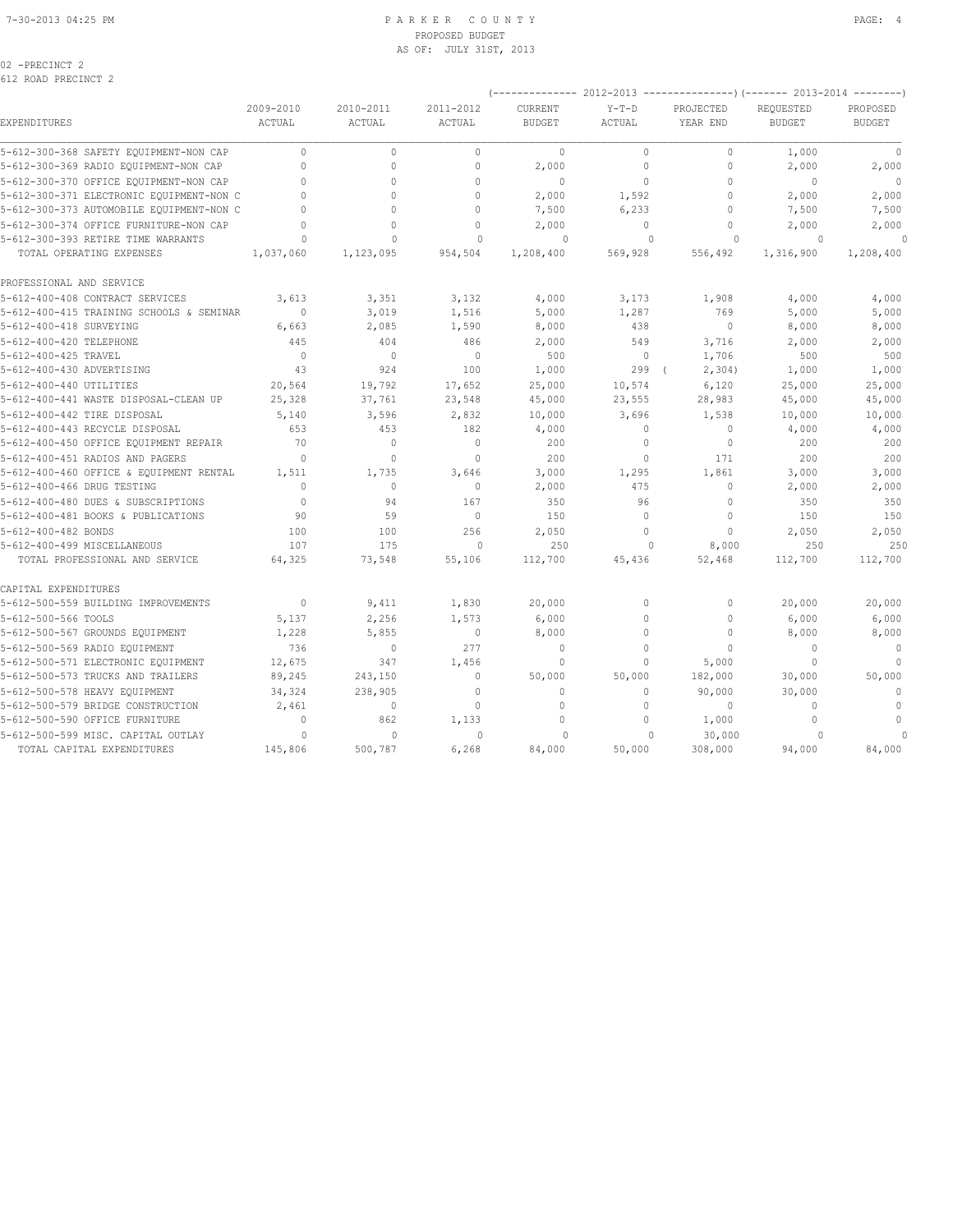### 7-30-2013 04:25 PM P A R K E R C O U N T Y PAGE: 4 PROPOSED BUDGET AS OF: JULY 31ST, 2013

| $-PRECINCT$<br>ſ<br>$\sim$ |  |
|----------------------------|--|
|----------------------------|--|

|                                          | 2009-2010     | 2010-2011    | 2011-2012     | CURRENT       | ----- ∠U1∠-∠U1J<br>$Y-T-D$ | --------<br>----) (-----<br>PROJECTED | 4013-4014<br>REQUESTED | PROPOSED      |
|------------------------------------------|---------------|--------------|---------------|---------------|----------------------------|---------------------------------------|------------------------|---------------|
| EXPENDITURES                             | <b>ACTUAL</b> | ACTUAL       | <b>ACTUAL</b> | <b>BUDGET</b> | ACTUAL                     | YEAR END                              | <b>BUDGET</b>          | <b>BUDGET</b> |
| 5-612-300-368 SAFETY EQUIPMENT-NON CAP   | $\circ$       | $\circ$      | $\circ$       | $\circ$       | $\circ$                    | $\mathbb O$                           | 1,000                  | $\mathbb O$   |
| 5-612-300-369 RADIO EQUIPMENT-NON CAP    | $\mathbf{0}$  | $\Omega$     | $\mathbf{0}$  | 2,000         | $\circ$                    | $\mathbf{0}$                          | 2,000                  | 2,000         |
| 5-612-300-370 OFFICE EQUIPMENT-NON CAP   | $\Omega$      | $\Omega$     | $\Omega$      | $\mathbf{0}$  | $\mathbf 0$                | $\mathbf{0}$                          | $\Omega$               | $\Omega$      |
| 5-612-300-371 ELECTRONIC EQUIPMENT-NON C | $\Omega$      | $\Omega$     | $\Omega$      | 2,000         | 1,592                      | $\mathbf{0}$                          | 2,000                  | 2,000         |
| 5-612-300-373 AUTOMOBILE EQUIPMENT-NON C | $\cap$        | $\Omega$     | $\Omega$      | 7,500         | 6,233                      | $\Omega$                              | 7,500                  | 7,500         |
| 5-612-300-374 OFFICE FURNITURE-NON CAP   |               | $\Omega$     | $\Omega$      | 2,000         | $\mathbf{0}$               | $\mathbf{0}$                          | 2,000                  | 2,000         |
| 5-612-300-393 RETIRE TIME WARRANTS       | O             | $\Omega$     | $\Omega$      | $\Omega$      | $\cap$                     | $\cup$                                | $\Omega$               | $\Omega$      |
| TOTAL OPERATING EXPENSES                 | 1,037,060     | 1,123,095    | 954,504       | 1,208,400     | 569,928                    | 556,492                               | 1,316,900              | 1,208,400     |
| PROFESSIONAL AND SERVICE                 |               |              |               |               |                            |                                       |                        |               |
| 5-612-400-408 CONTRACT SERVICES          | 3,613         | 3,351        | 3,132         | 4,000         | 3,173                      | 1,908                                 | 4,000                  | 4,000         |
| 5-612-400-415 TRAINING SCHOOLS & SEMINAR | $\mathbb O$   | 3,019        | 1,516         | 5,000         | 1,287                      | 769                                   | 5,000                  | 5,000         |
| 5-612-400-418 SURVEYING                  | 6,663         | 2,085        | 1,590         | 8,000         | 438                        | $\mathbf{0}$                          | 8,000                  | 8,000         |
| 5-612-400-420 TELEPHONE                  | 445           | 404          | 486           | 2,000         | 549                        | 3,716                                 | 2,000                  | 2,000         |
| 5-612-400-425 TRAVEL                     | $\mathbf{0}$  | $\mathbf{0}$ | $\mathbf{0}$  | 500           | $\circ$                    | 1,706                                 | 500                    | 500           |
| 5-612-400-430 ADVERTISING                | 43            | 924          | 100           | 1,000         | 299                        | 2,304)                                | 1,000                  | 1,000         |
| 5-612-400-440 UTILITIES                  | 20,564        | 19,792       | 17,652        | 25,000        | 10,574                     | 6,120                                 | 25,000                 | 25,000        |
| 5-612-400-441 WASTE DISPOSAL-CLEAN UP    | 25,328        | 37,761       | 23,548        | 45,000        | 23,555                     | 28,983                                | 45,000                 | 45,000        |
| 5-612-400-442 TIRE DISPOSAL              | 5,140         | 3,596        | 2,832         | 10,000        | 3,696                      | 1,538                                 | 10,000                 | 10,000        |
| 5-612-400-443 RECYCLE DISPOSAL           | 653           | 453          | 182           | 4,000         | $\circ$                    | $\mathbf 0$                           | 4,000                  | 4,000         |
| 5-612-400-450 OFFICE EQUIPMENT REPAIR    | 70            | $\Omega$     | $\mathbf{0}$  | 200           | $\mathbf{0}$               | $\mathbf{0}$                          | 200                    | 200           |
| 5-612-400-451 RADIOS AND PAGERS          | $\Omega$      | $\circ$      | $\mathbf{0}$  | 200           | $\circ$                    | 171                                   | 200                    | 200           |
| 5-612-400-460 OFFICE & EQUIPMENT RENTAL  | 1,511         | 1,735        | 3,646         | 3,000         | 1,295                      | 1,861                                 | 3,000                  | 3,000         |
| 5-612-400-466 DRUG TESTING               | $\Omega$      | $\Omega$     | $\mathbf{0}$  | 2,000         | 475                        | $\mathbf{0}$                          | 2,000                  | 2,000         |
| 5-612-400-480 DUES & SUBSCRIPTIONS       | $\mathbf{0}$  | 94           | 167           | 350           | 96                         | $\mathbf{0}$                          | 350                    | 350           |
| 5-612-400-481 BOOKS & PUBLICATIONS       | 90            | 59           | $\mathbf{0}$  | 150           | $\mathbf 0$                | $\mathbf{0}$                          | 150                    | 150           |
| 5-612-400-482 BONDS                      | 100           | 100          | 256           | 2,050         | $\Omega$                   | $\mathbf{0}$                          | 2,050                  | 2,050         |
| 5-612-400-499 MISCELLANEOUS              | 107           | 175          | $\mathbf{0}$  | 250           | $\Omega$                   | 8,000                                 | 250                    | 250           |
| TOTAL PROFESSIONAL AND SERVICE           | 64,325        | 73,548       | 55,106        | 112,700       | 45,436                     | 52,468                                | 112,700                | 112,700       |
| CAPITAL EXPENDITURES                     |               |              |               |               |                            |                                       |                        |               |
| 5-612-500-559 BUILDING IMPROVEMENTS      | $\Omega$      | 9,411        | 1,830         | 20,000        | $\circ$                    | $\Omega$                              | 20,000                 | 20,000        |
| 5-612-500-566 TOOLS                      | 5,137         | 2,256        | 1,573         | 6,000         | $\mathbf 0$                | $\mathbf{0}$                          | 6,000                  | 6,000         |
| 5-612-500-567 GROUNDS EQUIPMENT          | 1,228         | 5,855        | $\mathbf 0$   | 8,000         | $\Omega$                   | $\mathbf 0$                           | 8,000                  | 8,000         |
| 5-612-500-569 RADIO EQUIPMENT            | 736           | $\circ$      | 277           | $\mathbf{0}$  | $\Omega$                   | $\Omega$                              | $\Omega$               | $\mathbf{0}$  |
| 5-612-500-571 ELECTRONIC EQUIPMENT       | 12,675        | 347          | 1,456         | $\mathbf{0}$  | $\circ$                    | 5,000                                 | $\Omega$               | $\Omega$      |
| 5-612-500-573 TRUCKS AND TRAILERS        | 89,245        | 243,150      | $\mathbf{0}$  | 50,000        | 50,000                     | 182,000                               | 30,000                 | 50,000        |
| 5-612-500-578 HEAVY EQUIPMENT            | 34,324        | 238,905      | $\Omega$      | $\Omega$      | $\Omega$                   | 90,000                                | 30,000                 | $\mathbf{0}$  |
| 5-612-500-579 BRIDGE CONSTRUCTION        | 2,461         | $\mathbf{0}$ | $\mathbf{0}$  | $\circ$       | $\circ$                    | $\mathbf{0}$                          | $\Omega$               | $\mathbf{0}$  |
| 5-612-500-590 OFFICE FURNITURE           | $\mathbf{0}$  | 862          | 1,133         | $\mathbf{0}$  | $\mathbf 0$                | 1,000                                 | $\mathbf{0}$           | $\mathbf{0}$  |
| 5-612-500-599 MISC. CAPITAL OUTLAY       | $\Omega$      | $\Omega$     | $\Omega$      | $\Omega$      |                            | 30,000                                |                        |               |
| TOTAL CAPITAL EXPENDITURES               | 145,806       | 500,787      | 6,268         | 84,000        | 50,000                     | 308,000                               | 94,000                 | 84,000        |

(-------------- 2012-2013 ---------------)(------- 2013-2014 --------)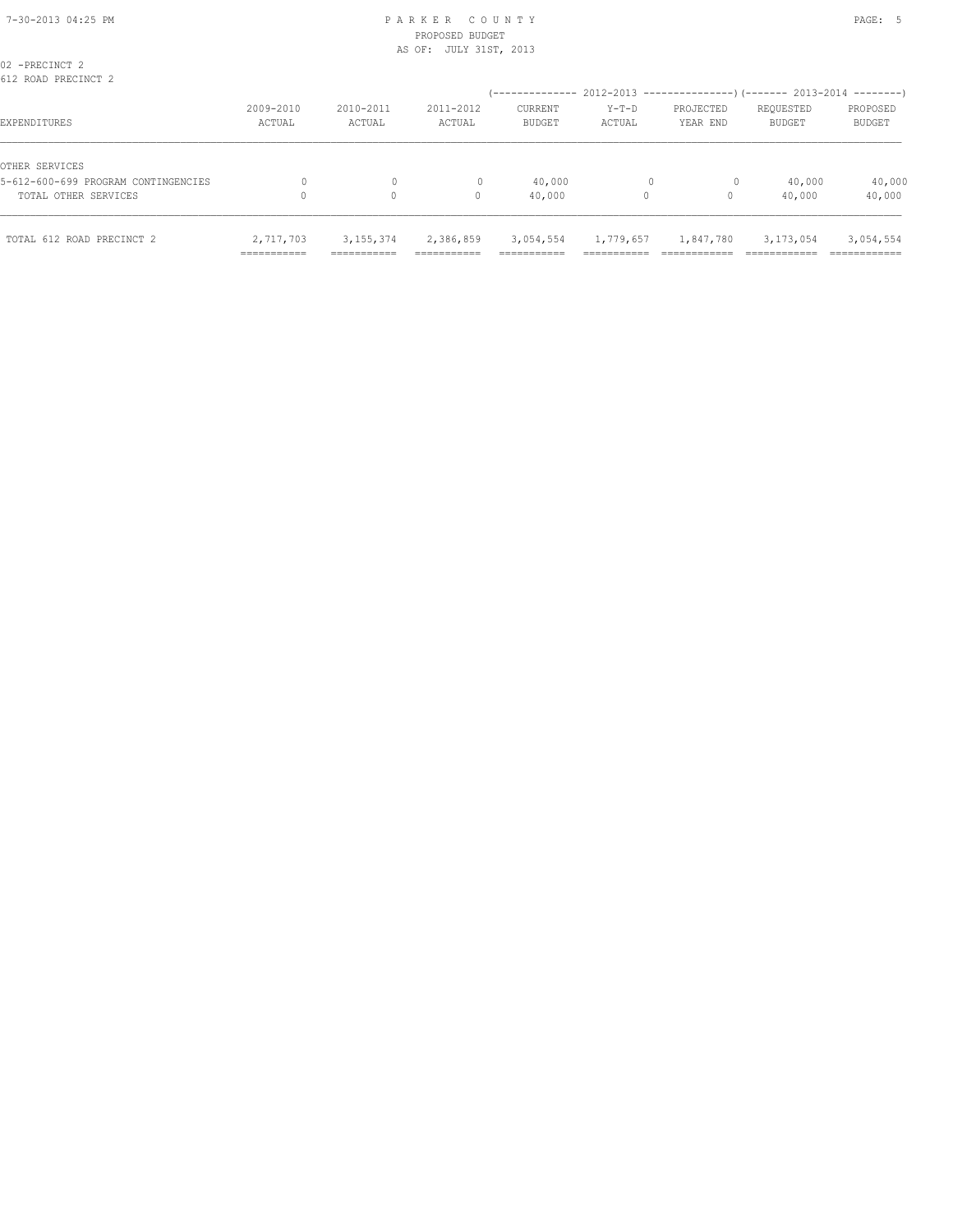# PROPOSED BUDGET AS OF: JULY 31ST, 2013

| TOTAL 612 ROAD PRECINCT 2                             | 2,717,703<br>=========== | 3, 155, 374<br>--------- | 2,386,859<br>------------- | 3,054,554<br>__________  | 1,779,657<br>_________ | 1,847,780             | 3, 173, 054<br>.           | 3,054,554<br>-------------- |
|-------------------------------------------------------|--------------------------|--------------------------|----------------------------|--------------------------|------------------------|-----------------------|----------------------------|-----------------------------|
| TOTAL OTHER SERVICES                                  |                          | 0                        | 0                          | 40,000                   | 0                      | 0                     | 40,000                     | 40,000                      |
| OTHER SERVICES<br>5-612-600-699 PROGRAM CONTINGENCIES |                          | 0                        |                            | 40,000                   |                        | $\circ$               | 40,000                     | 40,000                      |
| EXPENDITURES                                          | 2009-2010<br>ACTUAL      | 2010-2011<br>ACTUAL      | 2011-2012<br>ACTUAL        | CURRENT<br><b>BUDGET</b> | $Y-T-D$<br>ACTUAL      | PROJECTED<br>YEAR END | REQUESTED<br><b>BUDGET</b> | PROPOSED<br>BUDGET          |
| 02 -PRECINCT 2<br>612 ROAD PRECINCT 2                 |                          |                          |                            |                          |                        |                       |                            |                             |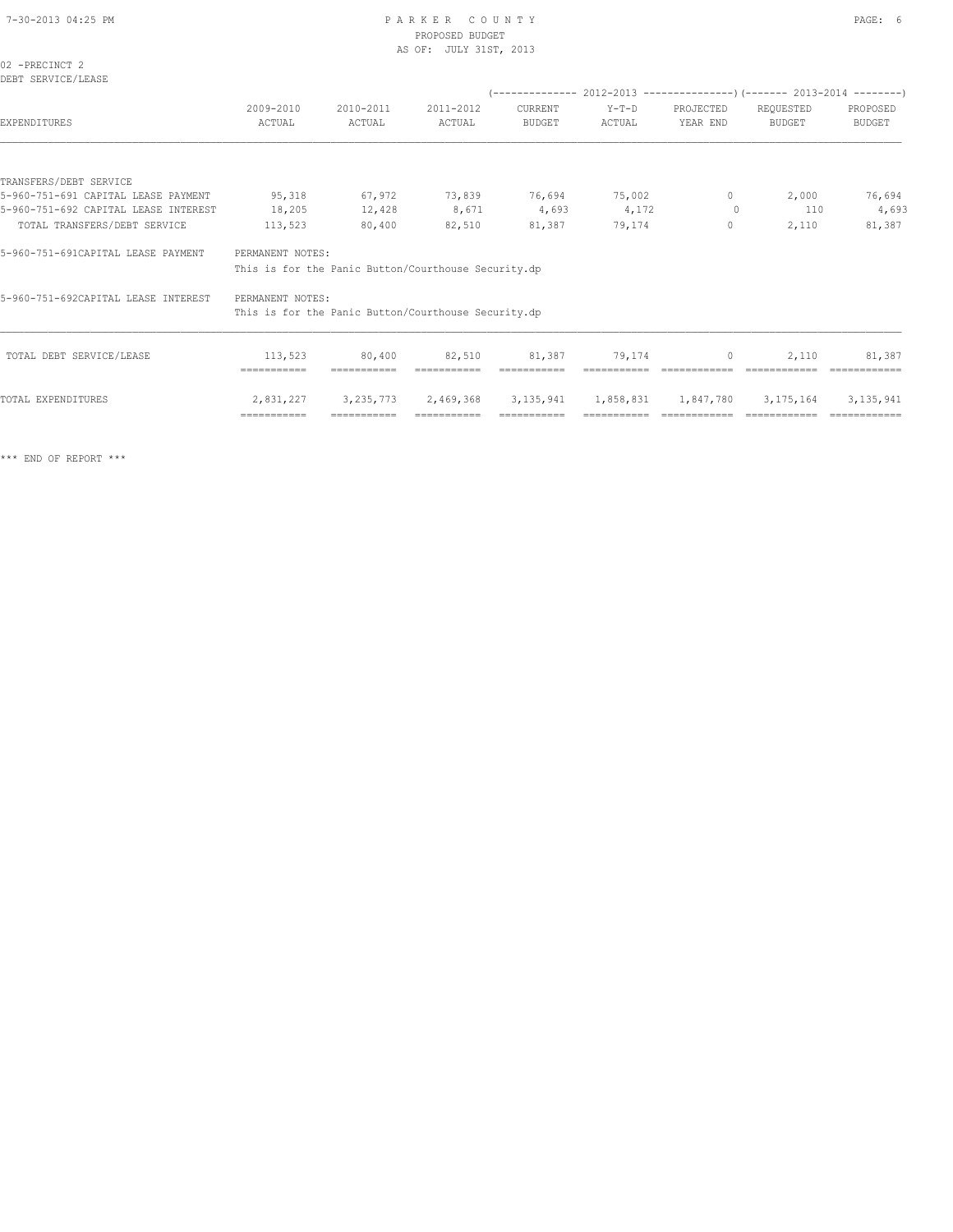# 7-30-2013 04:25 PM P A R K E R C O U N T Y PAGE: 6 PROPOSED BUDGET

|                                      |                  |           | AS OF: JULY 31ST, 2013                              |         |                                                                          |           |               |               |
|--------------------------------------|------------------|-----------|-----------------------------------------------------|---------|--------------------------------------------------------------------------|-----------|---------------|---------------|
| 02 -PRECINCT 2<br>DEBT SERVICE/LEASE |                  |           |                                                     |         |                                                                          |           |               |               |
|                                      |                  |           |                                                     |         | (-------------- 2012-2013 ----------------) (------- 2013-2014 --------) |           |               |               |
|                                      | 2009-2010        | 2010-2011 | 2011-2012                                           | CURRENT | $Y-T-D$                                                                  | PROJECTED | REQUESTED     | PROPOSED      |
| EXPENDITURES                         | ACTUAL           | ACTUAL    | ACTUAL                                              | BUDGET  | ACTUAL                                                                   | YEAR END  | <b>BUDGET</b> | <b>BUDGET</b> |
|                                      |                  |           |                                                     |         |                                                                          |           |               |               |
| TRANSFERS/DEBT SERVICE               |                  |           |                                                     |         |                                                                          |           |               |               |
| 5-960-751-691 CAPITAL LEASE PAYMENT  | 95,318           | 67,972    | 73,839                                              | 76,694  | 75,002                                                                   | $\circ$   | 2,000         | 76,694        |
| 5-960-751-692 CAPITAL LEASE INTEREST | 18,205           | 12,428    | 8,671                                               | 4,693   | 4,172                                                                    | $\circ$   | 110           | 4,693         |
| TOTAL TRANSFERS/DEBT SERVICE         | 113,523          | 80,400    | 82,510                                              | 81,387  | 79,174                                                                   | 0         | 2,110         | 81,387        |
| 5-960-751-691CAPITAL LEASE PAYMENT   | PERMANENT NOTES: |           |                                                     |         |                                                                          |           |               |               |
|                                      |                  |           | This is for the Panic Button/Courthouse Security.dp |         |                                                                          |           |               |               |
| 5-960-751-692CAPITAL LEASE INTEREST  | PERMANENT NOTES: |           |                                                     |         |                                                                          |           |               |               |
|                                      |                  |           | This is for the Panic Button/Courthouse Security.dp |         |                                                                          |           |               |               |
|                                      |                  |           |                                                     |         |                                                                          |           |               |               |

| TOTAL EXPENDITURES       | 2,831,227   |        |             |             |             |        | 3,235,773  2,469,368  3,135,941  1,858,831  1,847,780  3,175,164  3,135,941 |              |
|--------------------------|-------------|--------|-------------|-------------|-------------|--------|-----------------------------------------------------------------------------|--------------|
|                          | :========== |        | =========== | =========== | =========== |        |                                                                             | ============ |
| TOTAL DEBT SERVICE/LEASE | 113,523     | 80,400 | 82,510      | 81,387      | 79.174      | $\Box$ | 2,110                                                                       | 81,387       |

\*\*\* END OF REPORT \*\*\*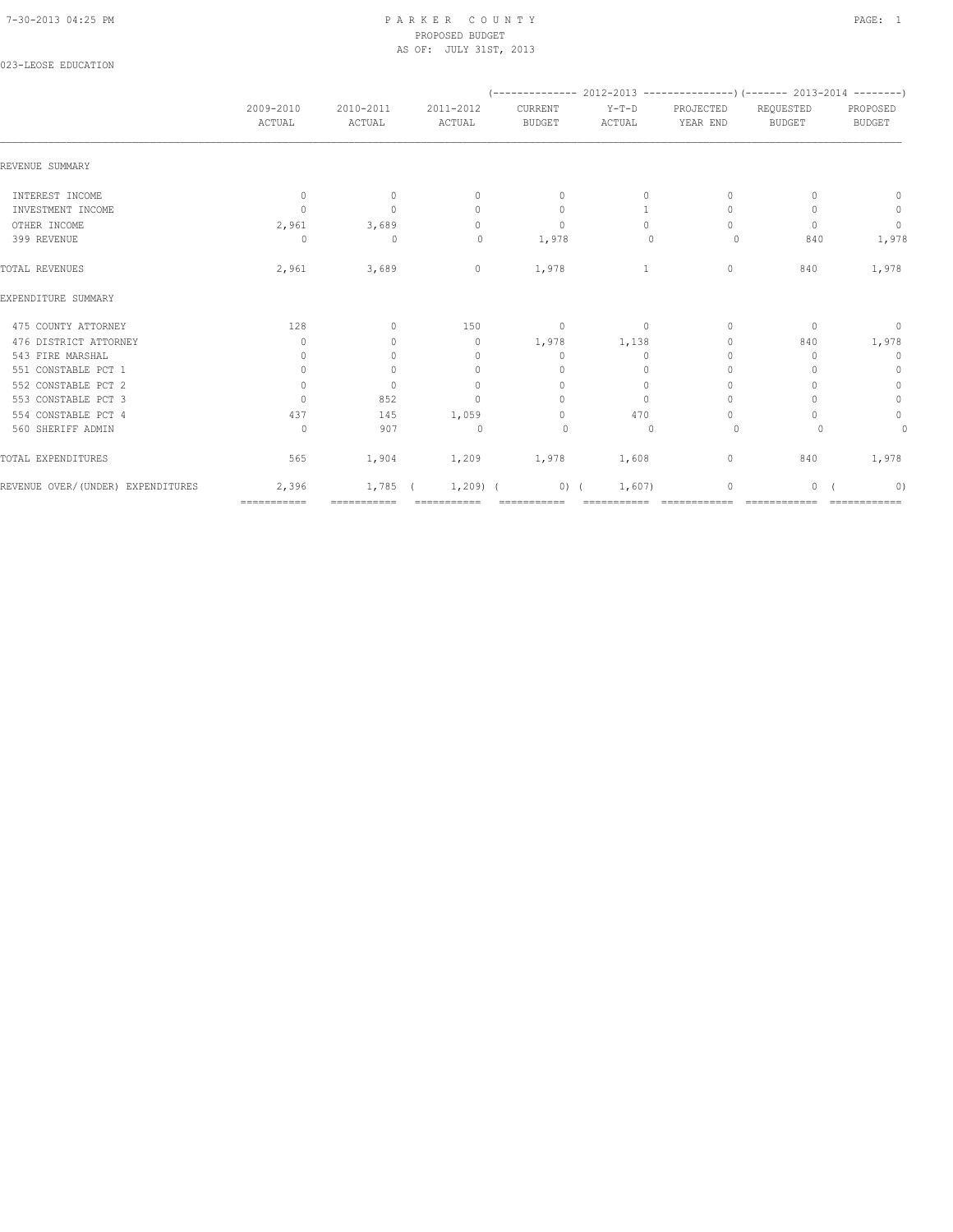### 7-30-2013 04:25 PM P A R K E R C O U N T Y PAGE: 1 PROPOSED BUDGET AS OF: JULY 31ST, 2013

### 023-LEOSE EDUCATION

|                                   |                                  |                     |                                  |                                  |                   | $(---------- 2012-2013$ ----------------) (------- 2013-2014 --------) |                                  |                           |  |
|-----------------------------------|----------------------------------|---------------------|----------------------------------|----------------------------------|-------------------|------------------------------------------------------------------------|----------------------------------|---------------------------|--|
|                                   | 2009-2010<br>ACTUAL              | 2010-2011<br>ACTUAL | 2011-2012<br>ACTUAL              | CURRENT<br><b>BUDGET</b>         | $Y-T-D$<br>ACTUAL | PROJECTED<br>YEAR END                                                  | REQUESTED<br><b>BUDGET</b>       | PROPOSED<br><b>BUDGET</b> |  |
| REVENUE SUMMARY                   |                                  |                     |                                  |                                  |                   |                                                                        |                                  |                           |  |
| INTEREST INCOME                   | $\circ$                          | $\circ$             | $\circ$                          | $\mathbf{0}$                     | $\circ$           | $\mathbf{0}$                                                           | $\Omega$                         | $\circ$                   |  |
| INVESTMENT INCOME                 | $\Omega$                         | $\mathbf{0}$        | $\begin{array}{c} \n\end{array}$ | $\mathbf{0}$                     | $\mathbf{1}$      | $\begin{array}{c} \n\end{array}$                                       |                                  | $\circ$                   |  |
| OTHER INCOME                      | 2,961                            | 3,689               | $\circ$                          | $\circ$                          | $\Omega$          | $\Omega$                                                               | $\begin{array}{c} \n\end{array}$ | $\overline{0}$            |  |
| 399 REVENUE                       | $\Omega$                         | $\mathbf 0$         | $\circ$                          | 1,978                            | $\mathbf{0}$      | $\circ$                                                                | 840                              | 1,978                     |  |
| TOTAL REVENUES                    | 2,961                            | 3,689               | $\circ$                          | 1,978                            | $\mathbf{1}$      | $\mathbf{0}$                                                           | 840                              | 1,978                     |  |
| EXPENDITURE SUMMARY               |                                  |                     |                                  |                                  |                   |                                                                        |                                  |                           |  |
| 475 COUNTY ATTORNEY               | 128                              | $\circ$             | 150                              | $\overline{\phantom{0}}$         | $\overline{0}$    | $\circ$                                                                | $\mathbf{0}$                     | $\overline{0}$            |  |
| 476 DISTRICT ATTORNEY             | $\mathbf{0}$                     | $\mathbf{0}$        | $\circ$                          | 1,978                            | 1,138             | $\mathbf{0}$                                                           | 840                              | 1,978                     |  |
| 543 FIRE MARSHAL                  | $\mathbf{0}$                     | $\circ$             | $\mathbf{0}$                     | $\mathbf{0}$                     | $\circ$           | $\mathbf{0}$                                                           | $\mathbf{0}$                     | $\mathbf 0$               |  |
| 551 CONSTABLE PCT 1               | $\circ$                          | $\circ$             | $\mathbf{0}$                     | $\mathbf{0}$                     | $\Omega$          | $\mathbf{0}$                                                           |                                  | $\mathbf 0$               |  |
| 552 CONSTABLE PCT 2               | $\Omega$                         | $\Omega$            | $\Omega$                         | $\mathbf{0}$                     | $\Omega$          | $\begin{array}{c} \n\end{array}$                                       |                                  | $\mathbb O$               |  |
| 553 CONSTABLE PCT 3               | $\begin{array}{c} \n\end{array}$ | 852                 | $\mathbf{0}$                     | $\begin{array}{c} \n\end{array}$ | $\circ$           | $\mathbf{0}$                                                           |                                  | $\mathbb O$               |  |
| 554 CONSTABLE PCT 4               | 437                              | 145                 | 1,059                            | $\begin{array}{c} \n\end{array}$ | 470               | $\Omega$                                                               |                                  | $\mathbb O$               |  |
| 560 SHERIFF ADMIN                 | $\circ$                          | 907                 | $\Omega$                         | $\circ$                          | $\Omega$          | 0                                                                      |                                  | $\circ$                   |  |
| TOTAL EXPENDITURES                | 565                              | 1,904               | 1,209 1,978                      |                                  | 1,608             | $\circ$                                                                | 840                              | 1,978                     |  |
| REVENUE OVER/(UNDER) EXPENDITURES | 2,396                            | 1,785               | $1,209$ (                        | $0)$ (                           | 1,607)            | $\mathbf 0$                                                            | 0                                | 0)                        |  |
|                                   | ============                     | ===========         | ============                     | ===========                      |                   |                                                                        | =============                    |                           |  |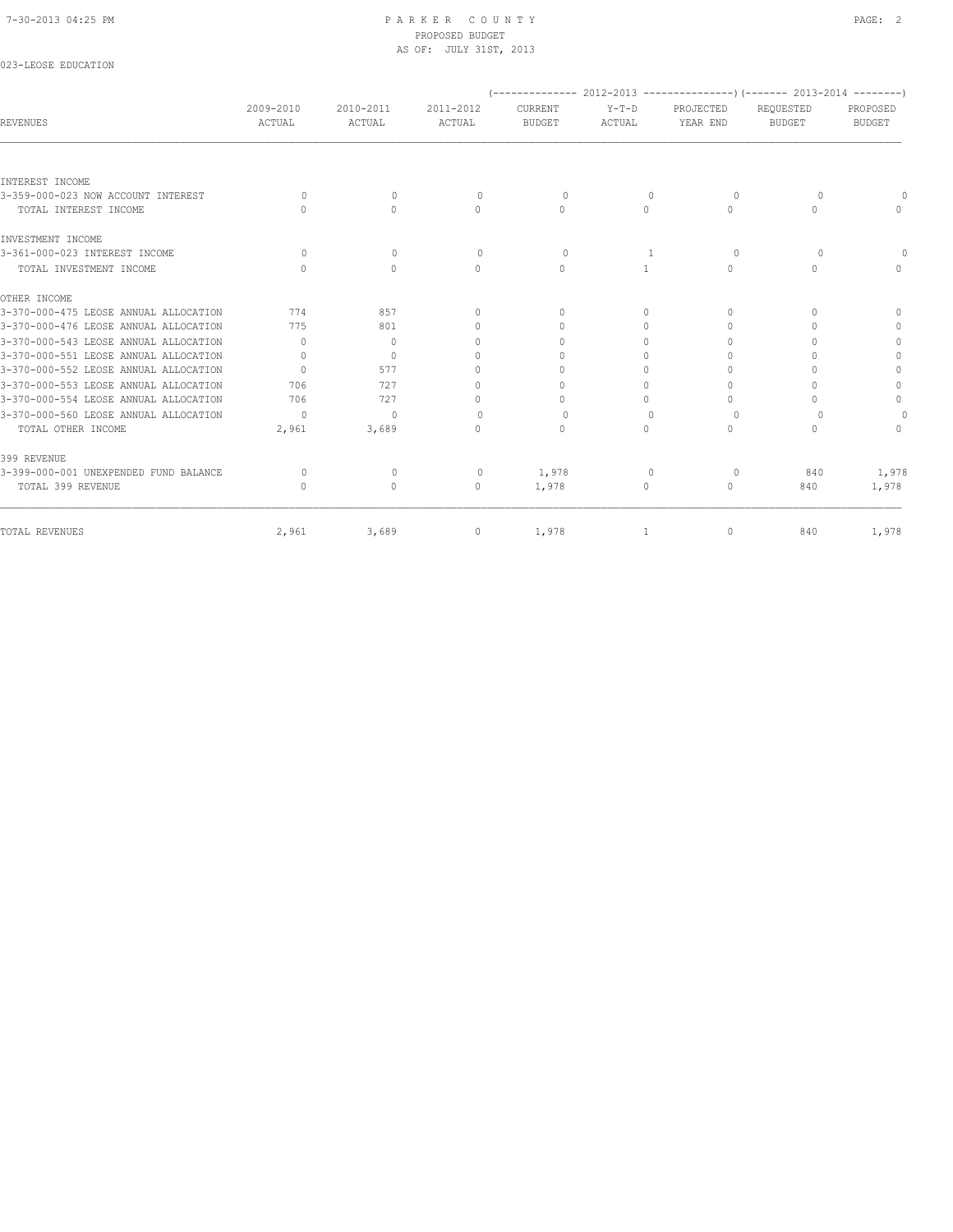023-LEOSE EDUCATION

# PROPOSED BUDGET AS OF: JULY 31ST, 2013

| <b>REVENUES</b>                       | 2009-2010<br>ACTUAL | 2010-2011<br>ACTUAL              | 2011-2012<br>ACTUAL              | CURRENT<br><b>BUDGET</b>         | $Y-T-D$<br>ACTUAL | PROJECTED<br>YEAR END            | (-------------- 2012-2013 ----------------) (------- 2013-2014 --------)<br>REQUESTED<br><b>BUDGET</b> | PROPOSED<br><b>BUDGET</b> |
|---------------------------------------|---------------------|----------------------------------|----------------------------------|----------------------------------|-------------------|----------------------------------|--------------------------------------------------------------------------------------------------------|---------------------------|
|                                       |                     |                                  |                                  |                                  |                   |                                  |                                                                                                        |                           |
| INTEREST INCOME                       |                     |                                  |                                  |                                  |                   |                                  |                                                                                                        |                           |
| 3-359-000-023 NOW ACCOUNT INTEREST    | $\Omega$            | $\Omega$                         | $\Omega$                         | $\Omega$                         | $\Omega$          | $\Omega$                         | $\Omega$                                                                                               |                           |
| TOTAL INTEREST INCOME                 | $\Omega$            | $\Omega$                         | $\Omega$                         | $\Omega$                         | $\Omega$          | $\Omega$                         | $\Omega$                                                                                               | $\cap$                    |
| INVESTMENT INCOME                     |                     |                                  |                                  |                                  |                   |                                  |                                                                                                        |                           |
| 3-361-000-023 INTEREST INCOME         | $\Omega$            | $\Omega$                         | $\Omega$                         | $\Omega$                         | -1                | 0                                | $\Omega$                                                                                               |                           |
| TOTAL INVESTMENT INCOME               | $\bigcap$           | $\Omega$                         | $\Omega$                         | $\Omega$                         | $\mathbf{1}$      | $\Omega$                         | $\Omega$                                                                                               |                           |
| OTHER INCOME                          |                     |                                  |                                  |                                  |                   |                                  |                                                                                                        |                           |
| 3-370-000-475 LEOSE ANNUAL ALLOCATION | 774                 | 857                              | $\begin{array}{c} \n\end{array}$ | $\begin{array}{c} \n\end{array}$ | $\Omega$          | $\begin{array}{c} \n\end{array}$ | ∩                                                                                                      |                           |
| 3-370-000-476 LEOSE ANNUAL ALLOCATION | 775                 | 801                              | $\begin{array}{c} \n\end{array}$ | $\bigcap$                        | $\Omega$          | $\bigcap$                        |                                                                                                        | $\Omega$                  |
| 3-370-000-543 LEOSE ANNUAL ALLOCATION | $\Omega$            | $\begin{array}{c} \n\end{array}$ | $\begin{array}{c} \n\end{array}$ | $\Omega$                         | $\Omega$          | $\Omega$                         |                                                                                                        | $\mathbf{0}$              |
| 3-370-000-551 LEOSE ANNUAL ALLOCATION | $\Omega$            | $\begin{array}{c} \n\end{array}$ | $\cap$                           | $\cap$                           | $\Omega$          | $\Omega$                         |                                                                                                        | $\Omega$                  |
| 3-370-000-552 LEOSE ANNUAL ALLOCATION | $\Omega$            | 577                              | 0                                | $\bigcap$                        | $\Omega$          | $\bigcap$                        |                                                                                                        | $\Omega$                  |
| 3-370-000-553 LEOSE ANNUAL ALLOCATION | 706                 | 727                              | $\Omega$                         | $\Omega$                         | 0                 | $\Omega$                         |                                                                                                        | $\mathbf{0}$              |
| 3-370-000-554 LEOSE ANNUAL ALLOCATION | 706                 | 727                              | 0                                | $\cap$                           | $\Omega$          | $\bigcap$                        | n                                                                                                      | $\mathbf{0}$              |
| 3-370-000-560 LEOSE ANNUAL ALLOCATION | $\Omega$            | $\Omega$                         | $\begin{array}{c} \n\end{array}$ | $\Omega$                         | $\cup$            | $\Omega$                         | ∩                                                                                                      |                           |
| TOTAL OTHER INCOME                    | 2,961               | 3,689                            | $\Omega$                         | $\Omega$                         | $\Omega$          | $\Omega$                         | $\Omega$                                                                                               | $\Omega$                  |
| 399 REVENUE                           |                     |                                  |                                  |                                  |                   |                                  |                                                                                                        |                           |
| 3-399-000-001 UNEXPENDED FUND BALANCE | $\Omega$            | $\mathbf{0}$                     | $\mathbf{0}$                     | 1,978                            | $\Omega$          | $\circ$                          | 840                                                                                                    | 1,978                     |
| TOTAL 399 REVENUE                     | $\bigcap$           | $\circ$                          | $\mathbf{0}$                     | 1,978                            | 0                 | $\circ$                          | 840                                                                                                    | 1,978                     |
| TOTAL REVENUES                        | 2,961               | 3,689                            | 0                                | 1,978                            | 1                 | $\circ$                          | 840                                                                                                    | 1,978                     |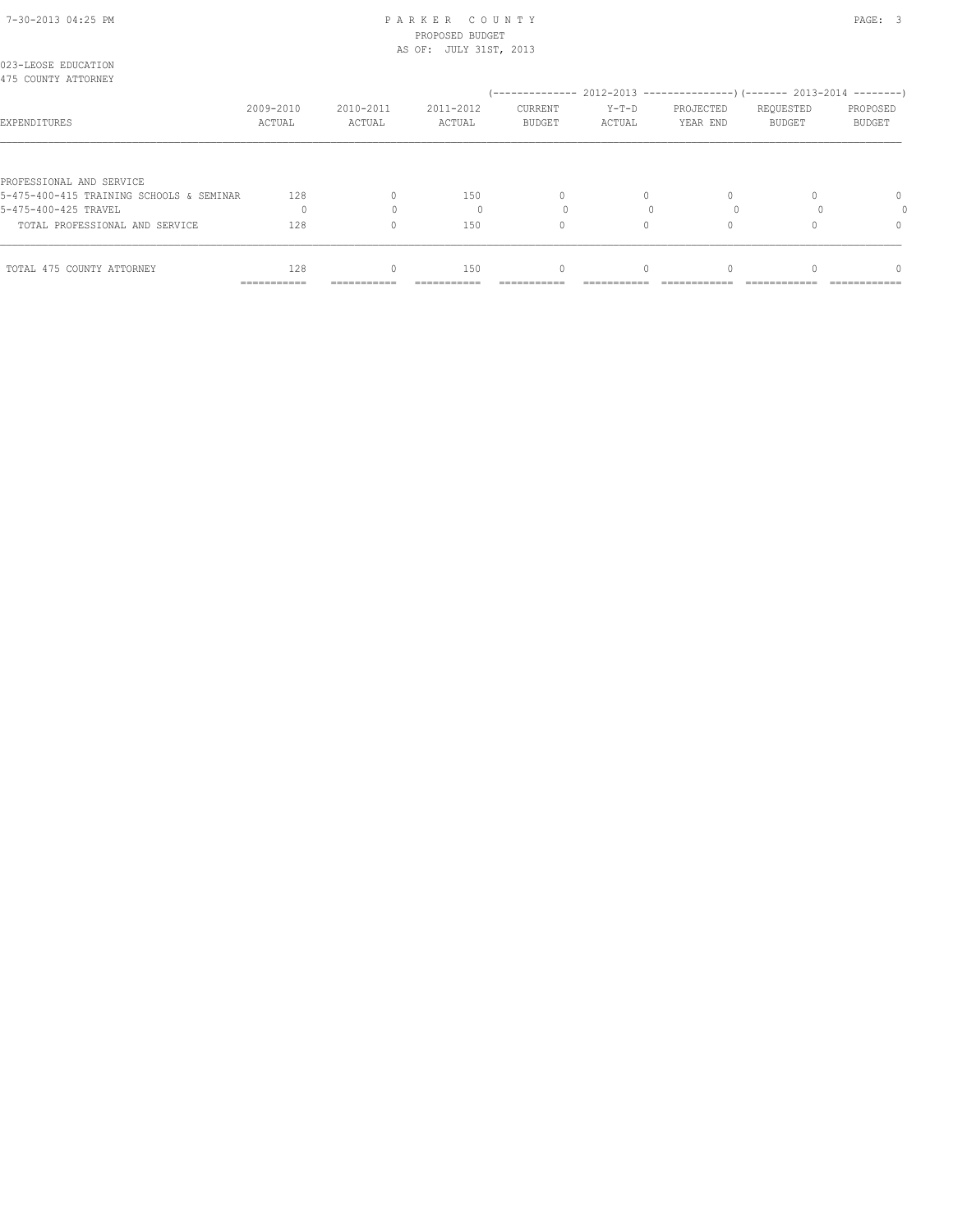### 7-30-2013 04:25 PM P A R K E R C O U N T Y PAGE: 3 PROPOSED BUDGET AS OF: JULY 31ST, 2013

| 023-LEOSE EDUCATION<br>475 COUNTY ATTORNEY |                     |                     |                     |                          |                   |                       |                                                                                                        |                    |
|--------------------------------------------|---------------------|---------------------|---------------------|--------------------------|-------------------|-----------------------|--------------------------------------------------------------------------------------------------------|--------------------|
| EXPENDITURES                               | 2009-2010<br>ACTUAL | 2010-2011<br>ACTUAL | 2011-2012<br>ACTUAL | CURRENT<br><b>BUDGET</b> | $Y-T-D$<br>ACTUAL | PROJECTED<br>YEAR END | (-------------- 2012-2013 ----------------) (------- 2013-2014 --------)<br>REQUESTED<br><b>BUDGET</b> | PROPOSED<br>BUDGET |
| PROFESSIONAL AND SERVICE                   |                     |                     |                     |                          |                   |                       |                                                                                                        |                    |
| 5-475-400-415 TRAINING SCHOOLS & SEMINAR   | 128                 |                     | 150                 | $\Omega$                 | $\Omega$          |                       |                                                                                                        | $\Omega$           |
| 5-475-400-425 TRAVEL                       |                     |                     |                     |                          |                   |                       |                                                                                                        |                    |
| TOTAL PROFESSIONAL AND SERVICE             | 128                 | $\Omega$            | 150                 | 0                        |                   |                       |                                                                                                        | 0                  |
| TOTAL 475 COUNTY ATTORNEY                  | 128<br>===========  | U<br>===========    | 150                 | 0                        |                   |                       |                                                                                                        | n                  |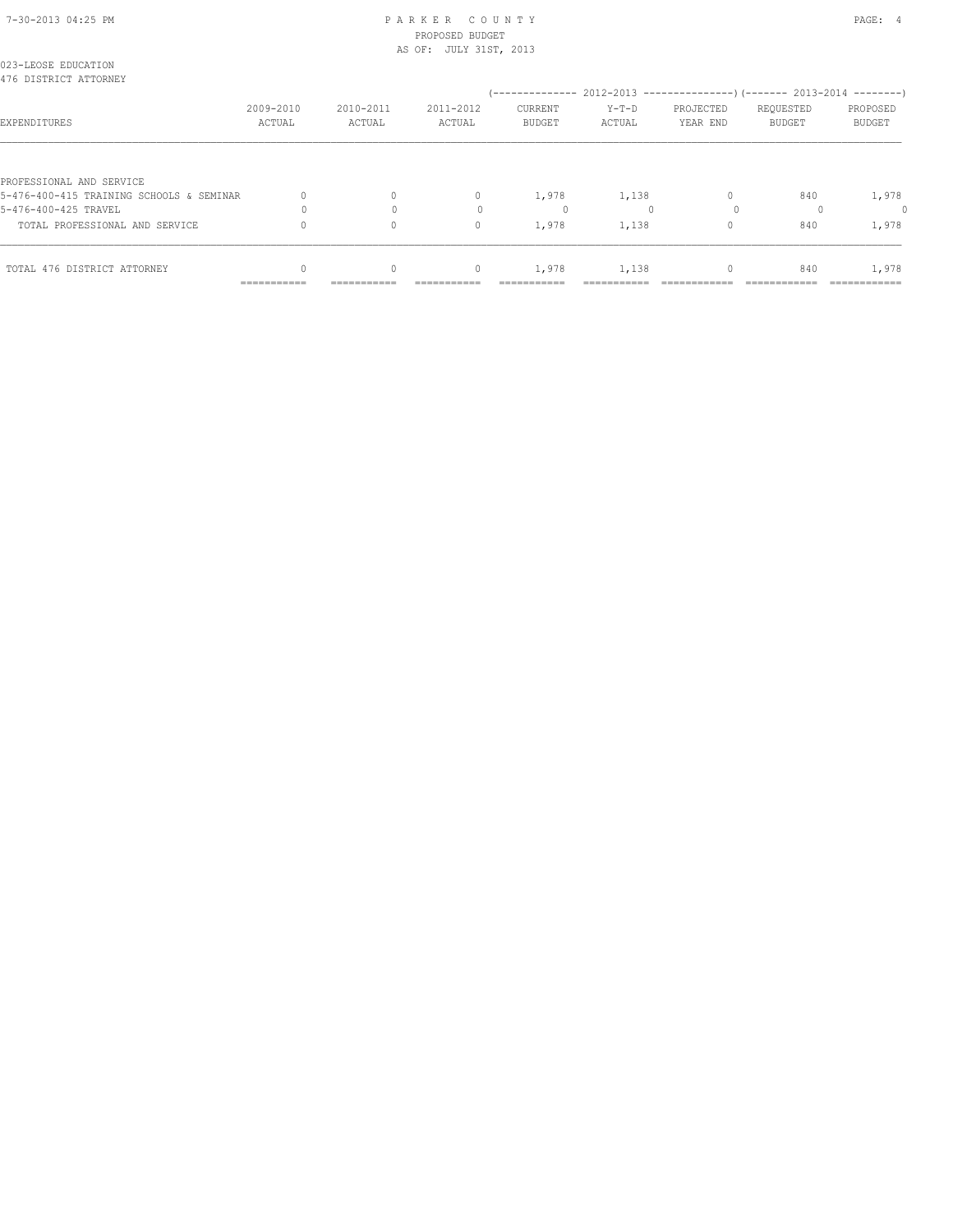### 7-30-2013 04:25 PM P A R K E R C O U N T Y PAGE: 4 PROPOSED BUDGET AS OF: JULY 31ST, 2013

| 023-LEOSE EDUCATION<br>476 DISTRICT ATTORNEY |                     |                     |                     |                          |                 |                       |                            |                    |
|----------------------------------------------|---------------------|---------------------|---------------------|--------------------------|-----------------|-----------------------|----------------------------|--------------------|
| EXPENDITURES                                 | 2009-2010<br>ACTUAL | 2010-2011<br>ACTUAL | 2011-2012<br>ACTUAL | CURRENT<br><b>BUDGET</b> | Y-T-D<br>ACTUAL | PROJECTED<br>YEAR END | REQUESTED<br><b>BUDGET</b> | PROPOSED<br>BUDGET |
| PROFESSIONAL AND SERVICE                     |                     |                     |                     |                          |                 |                       |                            |                    |
| 5-476-400-415 TRAINING SCHOOLS & SEMINAR     |                     | $\Omega$            | $\mathbf{0}$        | 1,978                    | 1,138           |                       | 840                        | 1,978              |
| 5-476-400-425 TRAVEL                         |                     |                     |                     | 0                        |                 |                       |                            |                    |
| TOTAL PROFESSIONAL AND SERVICE               |                     | 0                   | $\mathbf{0}$        | 1,978                    | 1,138           | $\Omega$              | 840                        | 1,978              |
| TOTAL 476 DISTRICT ATTORNEY                  | ===========         | ===========         | $\mathbf{0}$        | 1,978                    | 1,138           |                       | 840                        | 1,978              |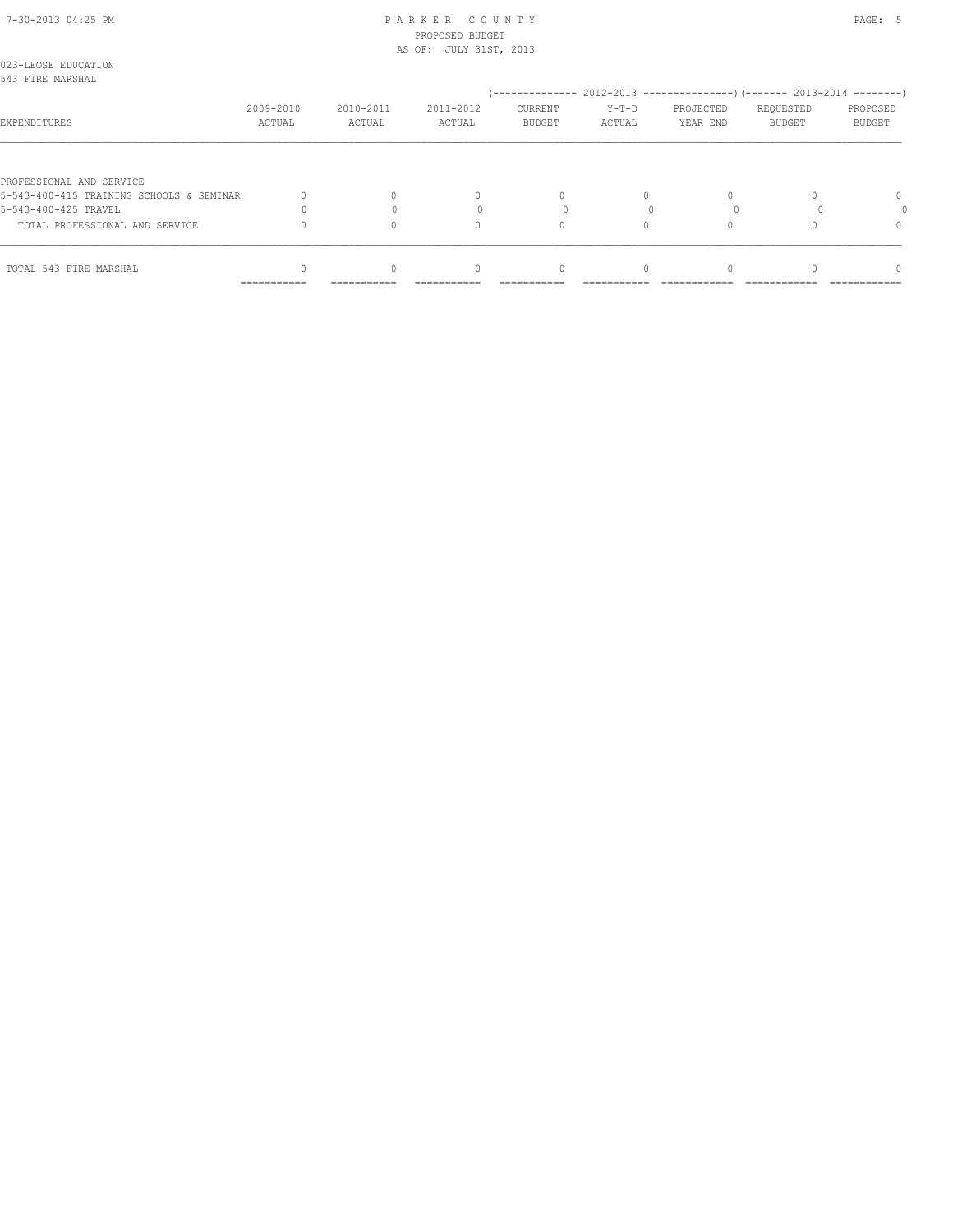### 7-30-2013 04:25 PM P A R K E R C O U N T Y PAGE: 5 PROPOSED BUDGET AS OF: JULY 31ST, 2013

| 023-LEOSE EDUCATION<br>543 FIRE MARSHAL  |                     |                     |                     |                                 |                   |                       |                            |                           |
|------------------------------------------|---------------------|---------------------|---------------------|---------------------------------|-------------------|-----------------------|----------------------------|---------------------------|
|                                          |                     |                     |                     |                                 |                   |                       |                            |                           |
| EXPENDITURES                             | 2009-2010<br>ACTUAL | 2010-2011<br>ACTUAL | 2011-2012<br>ACTUAL | <b>CURRENT</b><br><b>BUDGET</b> | $Y-T-D$<br>ACTUAL | PROJECTED<br>YEAR END | REQUESTED<br><b>BUDGET</b> | PROPOSED<br><b>BUDGET</b> |
|                                          |                     |                     |                     |                                 |                   |                       |                            |                           |
| PROFESSIONAL AND SERVICE                 |                     |                     |                     |                                 |                   |                       |                            |                           |
| 5-543-400-415 TRAINING SCHOOLS & SEMINAR |                     |                     | 0                   | $\Omega$                        | $\Omega$          |                       |                            | $\Omega$                  |
| 5-543-400-425 TRAVEL                     |                     |                     |                     |                                 |                   |                       |                            |                           |
| TOTAL PROFESSIONAL AND SERVICE           |                     |                     | $\Omega$            | 0                               |                   |                       |                            |                           |
| TOTAL 543 FIRE MARSHAL                   |                     |                     | $\Omega$            |                                 |                   |                       |                            | n                         |
|                                          | ===========         | ===========         |                     |                                 |                   |                       |                            |                           |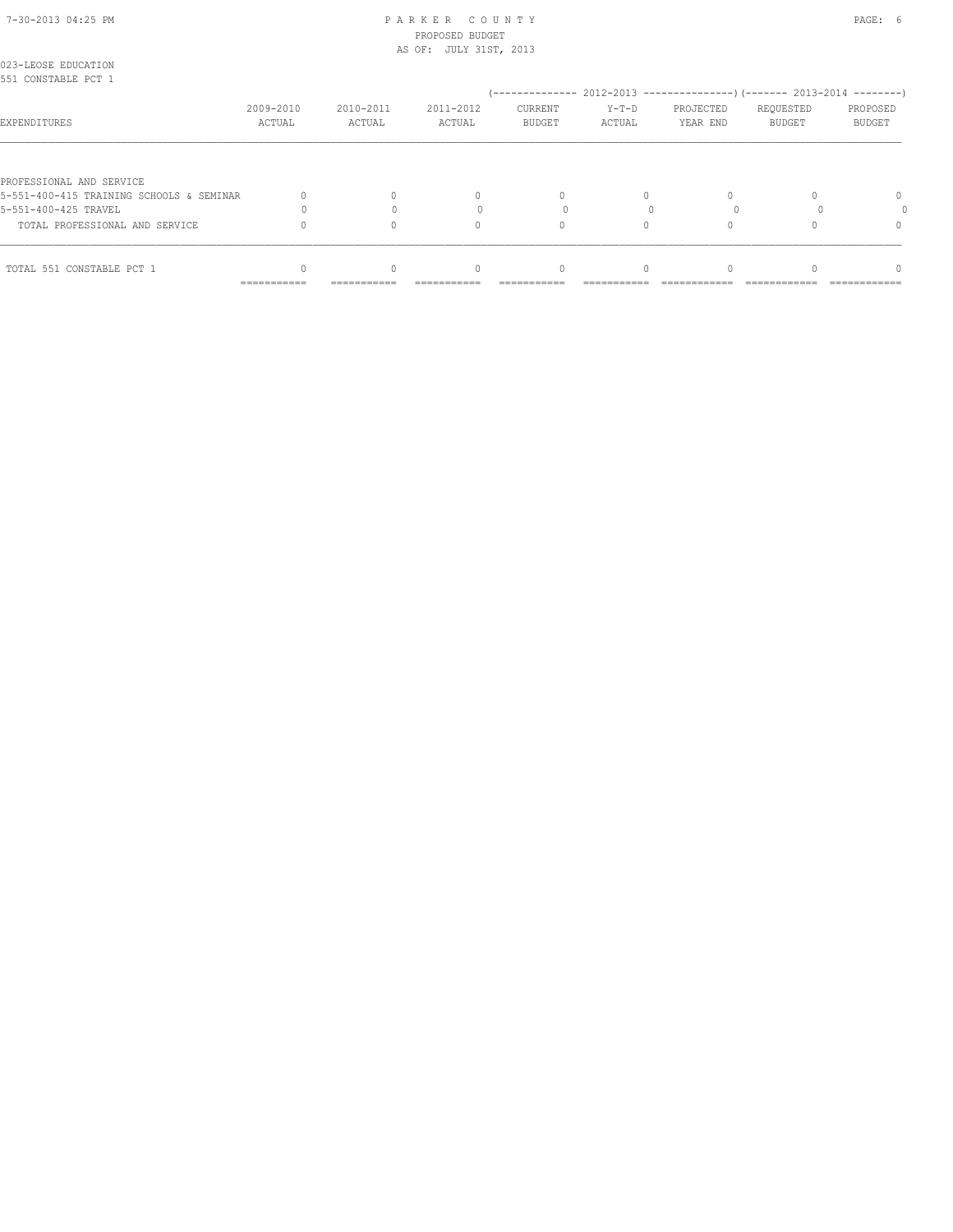### 7-30-2013 04:25 PM P A R K E R C O U N T Y PAGE: 6 PROPOSED BUDGET AS OF: JULY 31ST, 2013

|                                            |                     |                     | .                   |                          |                   |                       |                                                                           |                    |
|--------------------------------------------|---------------------|---------------------|---------------------|--------------------------|-------------------|-----------------------|---------------------------------------------------------------------------|--------------------|
| 023-LEOSE EDUCATION<br>551 CONSTABLE PCT 1 |                     |                     |                     |                          |                   |                       | (-------------- 2012-2013 -----------------) (------- 2013-2014 --------) |                    |
| EXPENDITURES                               | 2009-2010<br>ACTUAL | 2010-2011<br>ACTUAL | 2011-2012<br>ACTUAL | CURRENT<br><b>BUDGET</b> | $Y-T-D$<br>ACTUAL | PROJECTED<br>YEAR END | REQUESTED<br><b>BUDGET</b>                                                | PROPOSED<br>BUDGET |
| PROFESSIONAL AND SERVICE                   |                     |                     |                     |                          |                   |                       |                                                                           |                    |
| 5-551-400-415 TRAINING SCHOOLS & SEMINAR   |                     |                     | 0                   |                          |                   |                       |                                                                           | 0                  |
| 5-551-400-425 TRAVEL                       |                     |                     |                     |                          |                   |                       |                                                                           |                    |
| TOTAL PROFESSIONAL AND SERVICE             |                     |                     | $\cap$              |                          |                   |                       |                                                                           | $^{0}$             |
| TOTAL 551 CONSTABLE PCT 1                  | ===========         | ===========         | $\Omega$            | 0                        |                   |                       |                                                                           |                    |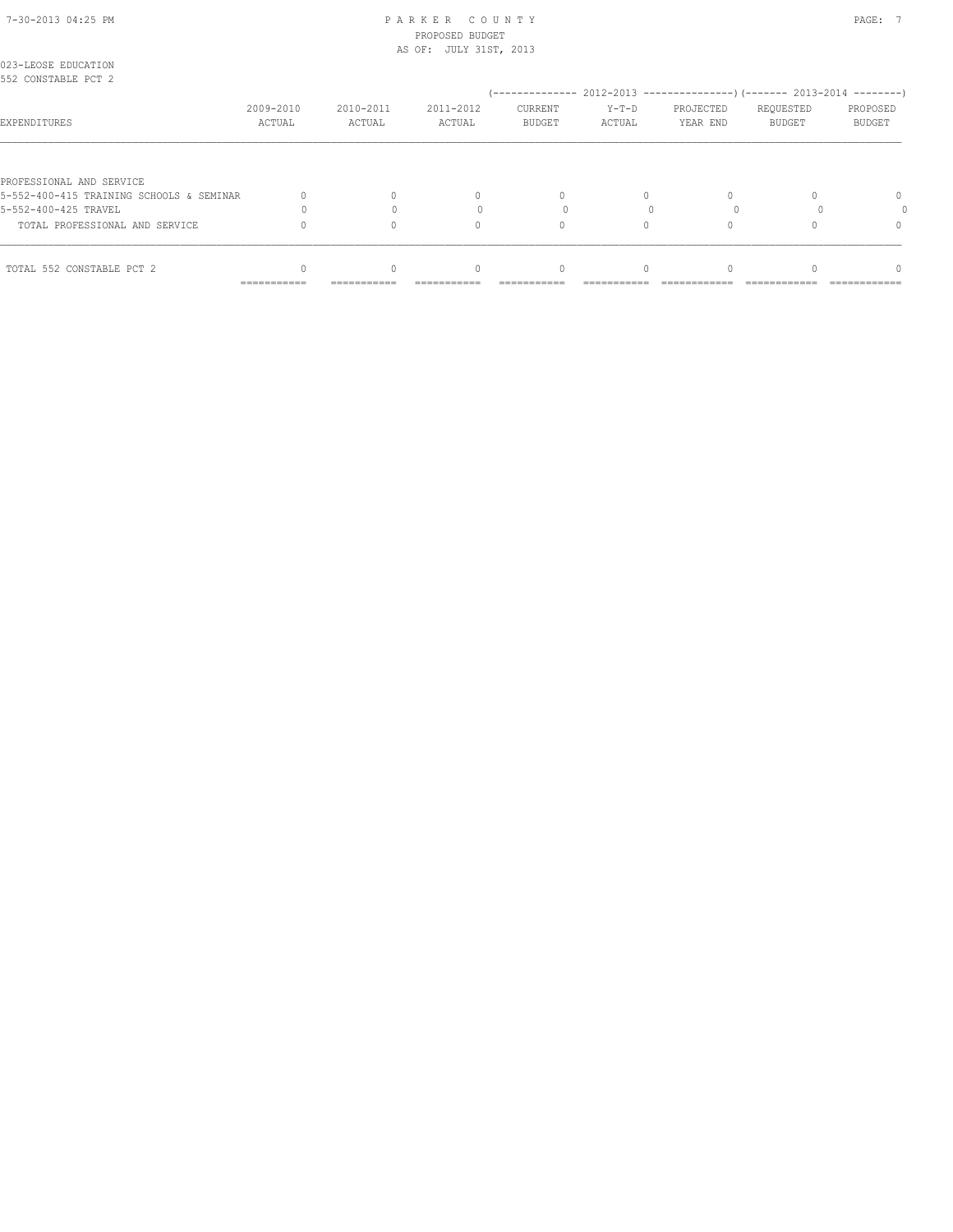### 7-30-2013 04:25 PM P A R K E R C O U N T Y PAGE: 7 PROPOSED BUDGET AS OF: JULY 31ST, 2013

| 023-LEOSE EDUCATION<br>552 CONSTABLE PCT 2 |                     |                     |                     |                                                                           |                 |                       |                     |                    |
|--------------------------------------------|---------------------|---------------------|---------------------|---------------------------------------------------------------------------|-----------------|-----------------------|---------------------|--------------------|
|                                            |                     |                     |                     | (-------------- 2012-2013 -----------------) (------- 2013-2014 --------) |                 |                       |                     |                    |
| EXPENDITURES                               | 2009-2010<br>ACTUAL | 2010-2011<br>ACTUAL | 2011-2012<br>ACTUAL | CURRENT<br>BUDGET                                                         | Y-T-D<br>ACTUAL | PROJECTED<br>YEAR END | REQUESTED<br>BUDGET | PROPOSED<br>BUDGET |
|                                            |                     |                     |                     |                                                                           |                 |                       |                     |                    |
| PROFESSIONAL AND SERVICE                   |                     |                     |                     |                                                                           |                 |                       |                     |                    |
| 5-552-400-415 TRAINING SCHOOLS & SEMINAR   |                     |                     | 0                   | $\Omega$                                                                  | $\Omega$        |                       |                     | 0                  |
| 5-552-400-425 TRAVEL                       |                     |                     |                     |                                                                           |                 |                       |                     |                    |
| TOTAL PROFESSIONAL AND SERVICE             |                     |                     | $\Omega$            |                                                                           |                 |                       |                     | 0                  |
| TOTAL 552 CONSTABLE PCT 2                  |                     |                     | $\bigcap$           | $\Omega$                                                                  | $\cap$          |                       |                     | $\cap$             |
|                                            | ------------        | ------------        | -----------         | -----------                                                               |                 |                       | ------------------  | ------------       |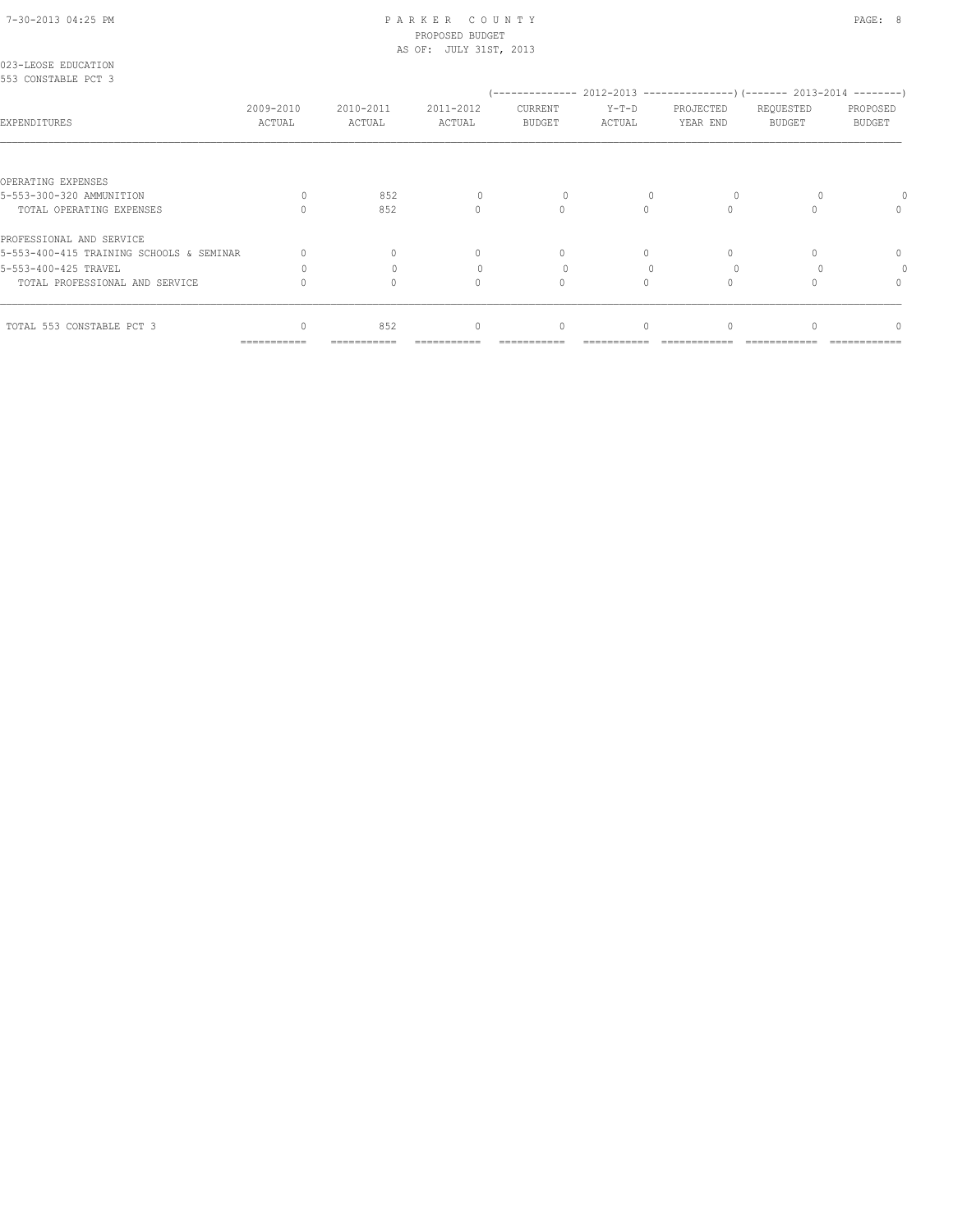# 7-30-2013 04:25 PM P A R K E R C O U N T Y PAGE: 8 PROPOSED BUDGET

|                                            |                     |                     | AS OF: JULY 31ST, 2013 |                   |                   |                       |                     |                           |
|--------------------------------------------|---------------------|---------------------|------------------------|-------------------|-------------------|-----------------------|---------------------|---------------------------|
| 023-LEOSE EDUCATION<br>553 CONSTABLE PCT 3 |                     |                     |                        |                   |                   |                       |                     |                           |
| EXPENDITURES                               | 2009-2010<br>ACTUAL | 2010-2011<br>ACTUAL | 2011-2012<br>ACTUAL    | CURRENT<br>BUDGET | $Y-T-D$<br>ACTUAL | PROJECTED<br>YEAR END | REQUESTED<br>BUDGET | PROPOSED<br><b>BUDGET</b> |
|                                            |                     |                     |                        |                   |                   |                       |                     |                           |
| OPERATING EXPENSES                         |                     |                     |                        |                   |                   |                       |                     |                           |
| 5-553-300-320 AMMUNITION                   | $\bigcap$           | 852                 |                        |                   |                   |                       |                     |                           |
| TOTAL OPERATING EXPENSES                   |                     | 852                 | $\Omega$               | $\Omega$          | $\bigcap$         | $\Omega$              |                     | 0                         |
| PROFESSIONAL AND SERVICE                   |                     |                     |                        |                   |                   |                       |                     |                           |
| 5-553-400-415 TRAINING SCHOOLS & SEMINAR   |                     |                     | $\mathbf{0}$           | $\Omega$          | $\Omega$          |                       |                     | $\mathbf{0}$              |
| 5-553-400-425 TRAVEL                       | $\Omega$            |                     |                        |                   |                   |                       |                     | 0                         |
| TOTAL PROFESSIONAL AND SERVICE             |                     | $\Omega$            | $\Omega$               | $\circ$           | $\Omega$          | $\Omega$              |                     | $\mathbf{0}$              |
| TOTAL 553 CONSTABLE PCT 3                  |                     | 852                 | $\mathbf{0}$           | $\mathbf{0}$      | $\Omega$          | 0                     |                     | $\Omega$                  |
|                                            | ===========         | ===========         |                        |                   |                   |                       |                     |                           |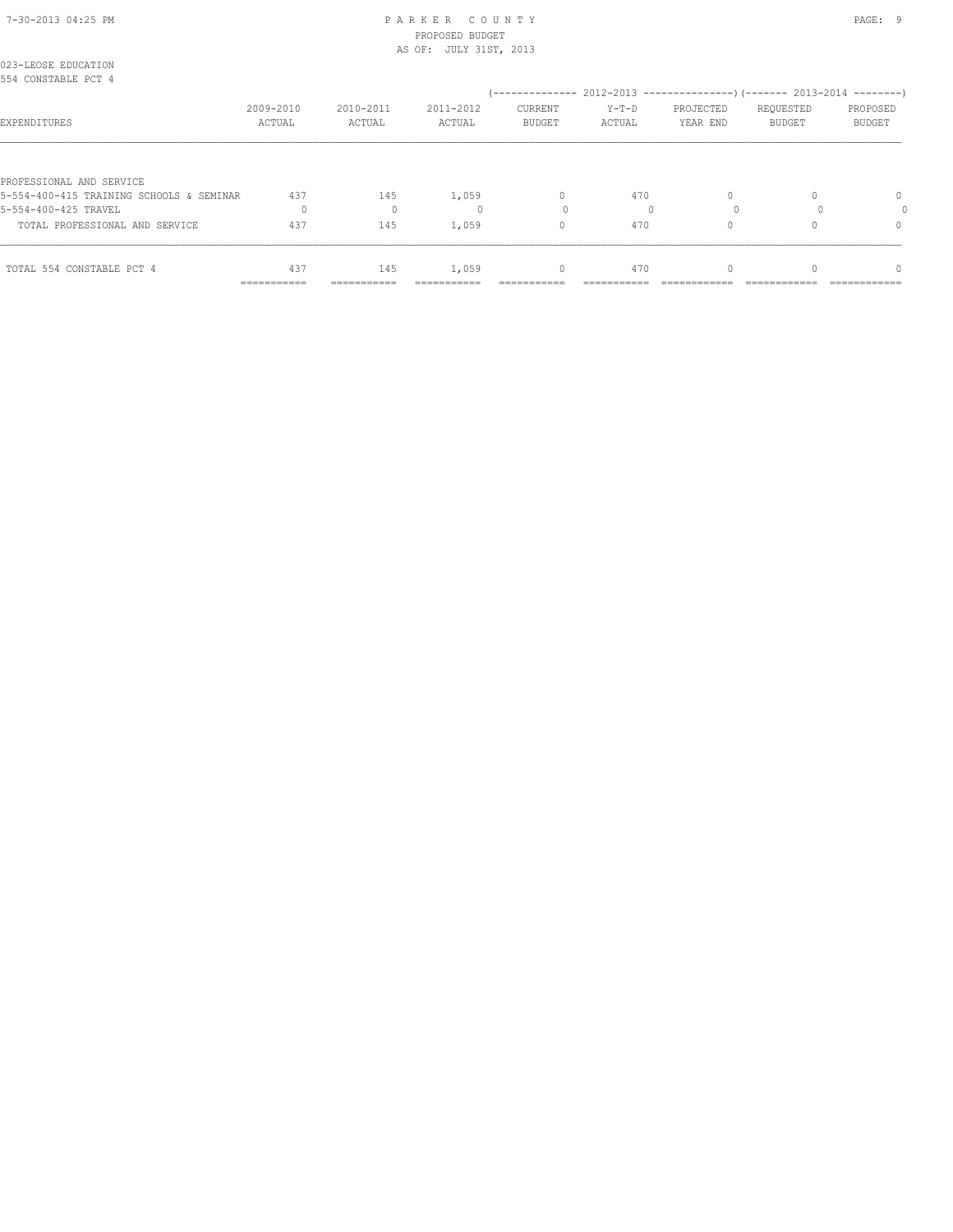### 7-30-2013 04:25 PM P A R K E R C O U N T Y PAGE: 9 PROPOSED BUDGET AS OF: JULY 31ST, 2013

| TOTAL 554 CONSTABLE PCT 4                                            | 437                 | 145                 | 1,059               | $\begin{array}{c} \n\end{array}$                                         | 470               | $\Omega$              |                            | $\bigcap$                 |
|----------------------------------------------------------------------|---------------------|---------------------|---------------------|--------------------------------------------------------------------------|-------------------|-----------------------|----------------------------|---------------------------|
| TOTAL PROFESSIONAL AND SERVICE                                       | 437                 | 145                 | 1,059               | 0                                                                        | 470               |                       |                            | $\Omega$                  |
| 5-554-400-425 TRAVEL                                                 | $\Omega$            | $\mathbf{0}$        |                     |                                                                          |                   | $\Omega$              |                            |                           |
| PROFESSIONAL AND SERVICE<br>5-554-400-415 TRAINING SCHOOLS & SEMINAR | 437                 | 145                 | 1,059               | $\begin{array}{c} \n\end{array}$                                         | 470               |                       |                            | $\Omega$                  |
| EXPENDITURES                                                         | 2009-2010<br>ACTUAL | 2010-2011<br>ACTUAL | 2011-2012<br>ACTUAL | CURRENT<br><b>BUDGET</b>                                                 | $Y-T-D$<br>ACTUAL | PROJECTED<br>YEAR END | REQUESTED<br><b>BUDGET</b> | PROPOSED<br><b>BUDGET</b> |
| 023-LEOSE EDUCATION<br>554 CONSTABLE PCT 4                           |                     |                     |                     | (-------------- 2012-2013 ----------------) (------- 2013-2014 --------) |                   |                       |                            |                           |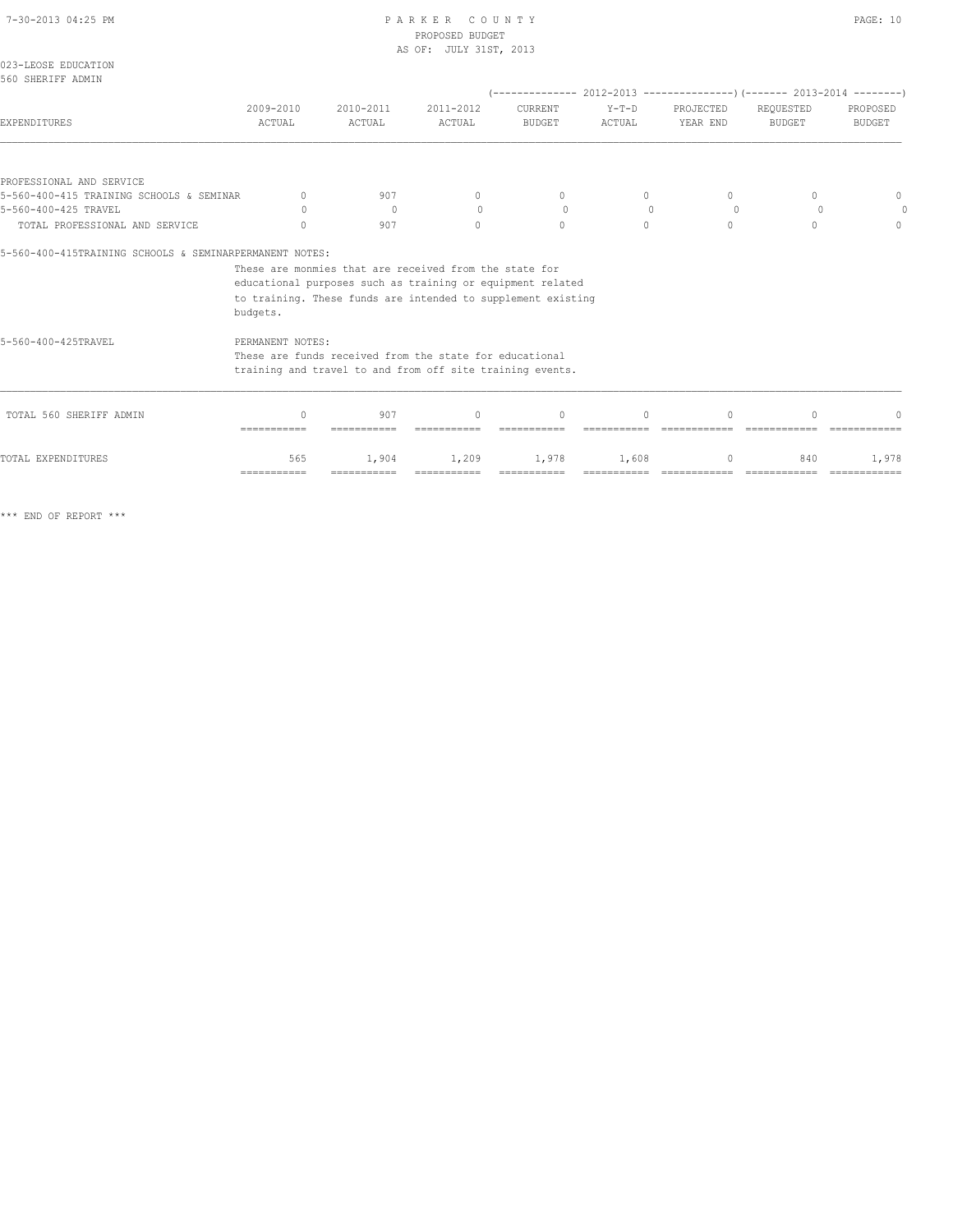# 7-30-2013 04:25 PM P A R K E R C O U N T Y PAGE: 10

|                                                                  |                                  |                                                              | PROPOSED BUDGET                  |                                  |                     |                                                                          |                            |                                  |
|------------------------------------------------------------------|----------------------------------|--------------------------------------------------------------|----------------------------------|----------------------------------|---------------------|--------------------------------------------------------------------------|----------------------------|----------------------------------|
|                                                                  |                                  |                                                              | AS OF: JULY 31ST, 2013           |                                  |                     |                                                                          |                            |                                  |
| 023-LEOSE EDUCATION<br>560 SHERIFF ADMIN                         |                                  |                                                              |                                  |                                  |                     |                                                                          |                            |                                  |
|                                                                  |                                  |                                                              |                                  |                                  |                     | (-------------- 2012-2013 ----------------) (------- 2013-2014 --------) |                            |                                  |
| <b>EXPENDITURES</b>                                              | 2009-2010<br>ACTUAL              | 2010-2011<br>ACTUAL                                          | 2011-2012<br><b>ACTUAL</b>       | CURRENT<br><b>BUDGET</b>         | $Y-T-D$<br>ACTUAL   | PROJECTED<br>YEAR END                                                    | REQUESTED<br><b>BUDGET</b> | PROPOSED<br><b>BUDGET</b>        |
|                                                                  |                                  |                                                              |                                  |                                  |                     |                                                                          |                            |                                  |
| PROFESSIONAL AND SERVICE                                         |                                  |                                                              |                                  |                                  |                     |                                                                          |                            |                                  |
| 5-560-400-415 TRAINING SCHOOLS & SEMINAR<br>5-560-400-425 TRAVEL | $\mathbf{0}$<br>$\bigcap$        | 907<br>$\overline{0}$                                        | $\circ$<br>$\Omega$              | $\mathbf{0}$<br>$\Omega$         | $\circ$<br>$\Omega$ | $\Omega$<br>$\circ$                                                      | $\Omega$<br>$\Omega$       | 0                                |
| TOTAL PROFESSIONAL AND SERVICE                                   | $\begin{array}{c} \n\end{array}$ | 907                                                          | $\Omega$                         | $\Omega$                         | $\Omega$            | $\Omega$                                                                 | $\Omega$                   | $\begin{array}{c} \n\end{array}$ |
|                                                                  |                                  |                                                              |                                  |                                  |                     |                                                                          |                            |                                  |
| 5-560-400-415TRAINING SCHOOLS & SEMINARPERMANENT NOTES:          |                                  |                                                              |                                  |                                  |                     |                                                                          |                            |                                  |
|                                                                  |                                  | These are monmies that are received from the state for       |                                  |                                  |                     |                                                                          |                            |                                  |
|                                                                  |                                  | educational purposes such as training or equipment related   |                                  |                                  |                     |                                                                          |                            |                                  |
|                                                                  |                                  | to training. These funds are intended to supplement existing |                                  |                                  |                     |                                                                          |                            |                                  |
|                                                                  | budgets.                         |                                                              |                                  |                                  |                     |                                                                          |                            |                                  |
| 5-560-400-425TRAVEL                                              | PERMANENT NOTES:                 |                                                              |                                  |                                  |                     |                                                                          |                            |                                  |
|                                                                  |                                  | These are funds received from the state for educational      |                                  |                                  |                     |                                                                          |                            |                                  |
|                                                                  |                                  | training and travel to and from off site training events.    |                                  |                                  |                     |                                                                          |                            |                                  |
| TOTAL 560 SHERIFF ADMIN                                          | $\bigcap$                        | 907                                                          | $\begin{array}{c} \n\end{array}$ | $\begin{array}{c} \n\end{array}$ | $\bigcap$           | $\bigcap$                                                                | $\cap$                     |                                  |
|                                                                  | ------------                     |                                                              |                                  |                                  |                     |                                                                          |                            |                                  |
| TOTAL EXPENDITURES                                               | 565                              | 1,904                                                        | 1,209                            | 1,978                            | 1,608               |                                                                          | 840                        | 1,978                            |
|                                                                  | ------------                     | ===========                                                  |                                  |                                  |                     |                                                                          |                            |                                  |

\*\*\* END OF REPORT \*\*\*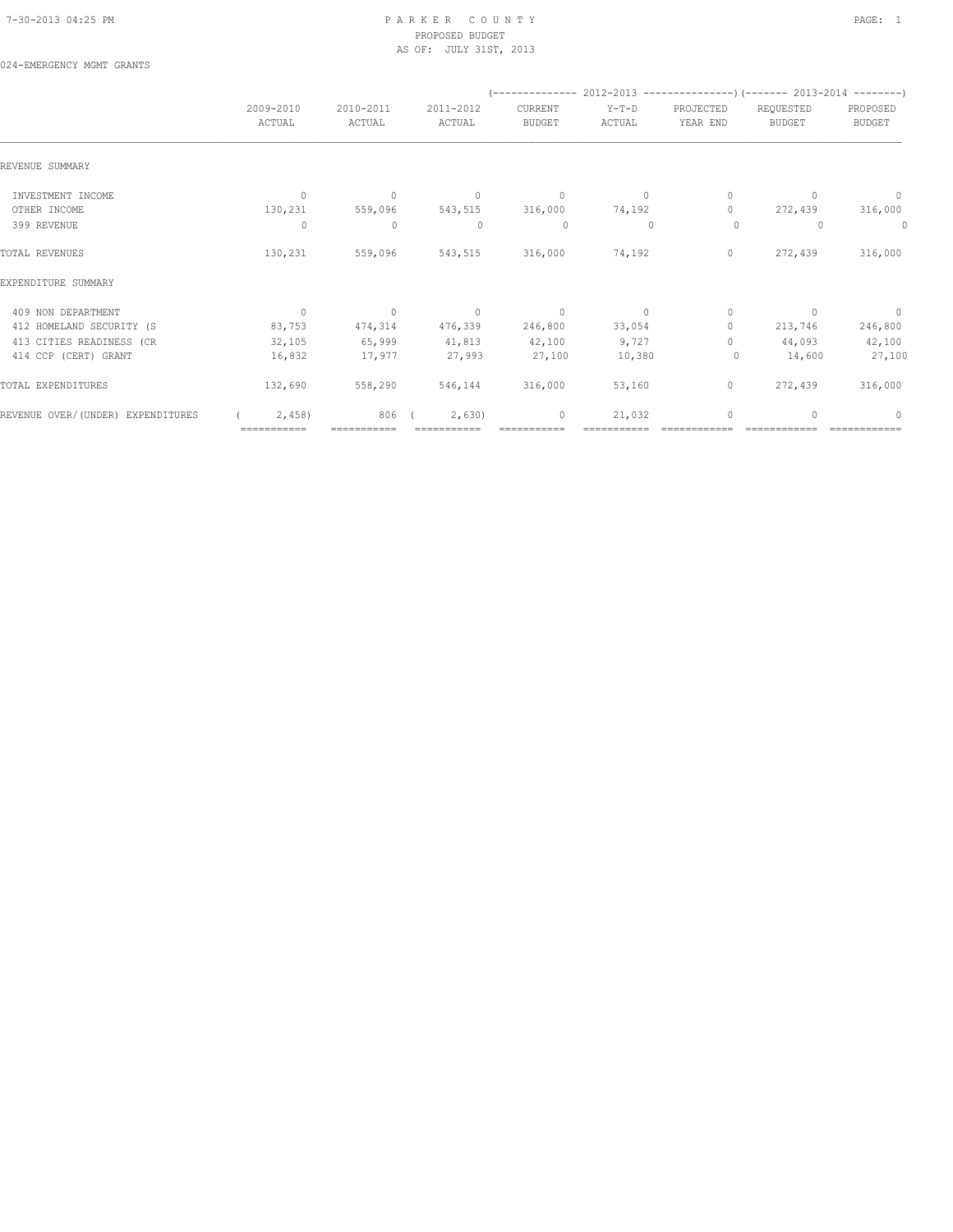024-EMERGENCY MGMT GRANTS

### 7-30-2013 04:25 PM P A R K E R C O U N T Y PAGE: 1 PROPOSED BUDGET AS OF: JULY 31ST, 2013

|                                   |              |             |              |               | (-------------- 2012-2013 -------------------) (------- 2013-2014 ---------) |              |                                  |                          |
|-----------------------------------|--------------|-------------|--------------|---------------|------------------------------------------------------------------------------|--------------|----------------------------------|--------------------------|
|                                   | 2009-2010    | 2010-2011   | 2011-2012    | CURRENT       | Y-T-D                                                                        | PROJECTED    | REQUESTED                        | PROPOSED                 |
|                                   | ACTUAL       | ACTUAL      | ACTUAL       | <b>BUDGET</b> | ACTUAL                                                                       | YEAR END     | <b>BUDGET</b>                    | <b>BUDGET</b>            |
| REVENUE SUMMARY                   |              |             |              |               |                                                                              |              |                                  |                          |
| INVESTMENT INCOME                 | $\mathbf{0}$ | $\circ$     | $\mathbf{0}$ | $\circ$       | $\circ$                                                                      | 0            | $\begin{array}{c} \n\end{array}$ | $\circ$                  |
| OTHER INCOME                      | 130,231      | 559,096     | 543,515      | 316,000       | 74,192                                                                       | $\Omega$     | 272,439                          | 316,000                  |
| 399 REVENUE                       | 0            | $\mathbf 0$ | $\mathbf{0}$ | $\circ$       | $\mathbf{0}$                                                                 | $\circ$      | $\Omega$                         | 0                        |
| TOTAL REVENUES                    | 130,231      | 559,096     | 543,515      | 316,000       | 74,192                                                                       | 0            | 272,439                          | 316,000                  |
| EXPENDITURE SUMMARY               |              |             |              |               |                                                                              |              |                                  |                          |
| 409 NON DEPARTMENT                | $\circ$      | $\circ$     | $\circ$      | $\circ$       | $\circ$                                                                      | 0            | $\Omega$                         | $\overline{\phantom{0}}$ |
| 412 HOMELAND SECURITY (S          | 83,753       | 474,314     | 476,339      | 246,800       | 33,054                                                                       | $\mathbf{0}$ | 213,746                          | 246,800                  |
| 413 CITIES READINESS (CR          | 32,105       | 65,999      | 41,813       | 42,100        | 9,727                                                                        | $\Omega$     | 44,093                           | 42,100                   |
| 414 CCP (CERT) GRANT              | 16,832       | 17,977      | 27,993       | 27,100        | 10,380                                                                       | 0            | 14,600                           | 27,100                   |
| TOTAL EXPENDITURES                | 132,690      | 558,290     | 546,144      | 316,000       | 53,160                                                                       | $\circ$      | 272,439                          | 316,000                  |
| REVENUE OVER/(UNDER) EXPENDITURES | 2,458        | 806         | 2,630        | 0             | 21,032                                                                       | 0            | $\bigcap$                        | $\Omega$                 |
|                                   | ===========  |             |              |               |                                                                              |              |                                  |                          |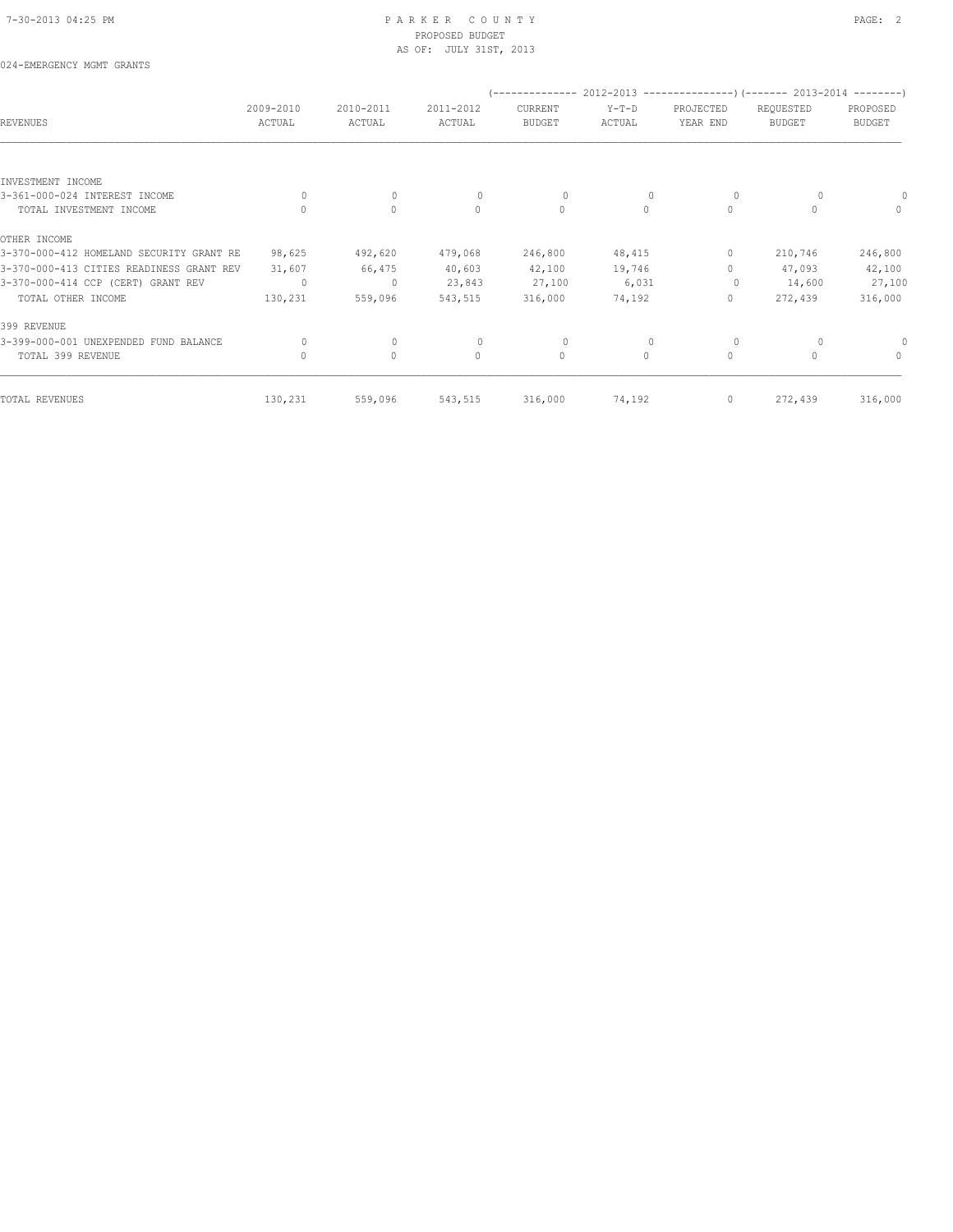### 7-30-2013 04:25 PM P A R K E R C O U N T Y PAGE: 2 PROPOSED BUDGET AS OF: JULY 31ST, 2013

## 024-EMERGENCY MGMT GRANTS

| REVENUES                                 | 2009-2010<br>ACTUAL | 2010-2011<br>ACTUAL | 2011-2012<br>ACTUAL | CURRENT<br><b>BUDGET</b> | $Y-T-D$<br>ACTUAL | PROJECTED<br>YEAR END            | (-------------- 2012-2013 ----------------) (------- 2013-2014 --------)<br>REQUESTED<br><b>BUDGET</b> | PROPOSED<br><b>BUDGET</b> |
|------------------------------------------|---------------------|---------------------|---------------------|--------------------------|-------------------|----------------------------------|--------------------------------------------------------------------------------------------------------|---------------------------|
|                                          |                     |                     |                     |                          |                   |                                  |                                                                                                        |                           |
| INVESTMENT INCOME                        |                     |                     |                     |                          |                   |                                  |                                                                                                        |                           |
| 3-361-000-024 INTEREST INCOME            | $\Omega$            | $\mathbf 0$         | $\Omega$            | 0                        |                   | $\circ$                          |                                                                                                        |                           |
| TOTAL INVESTMENT INCOME                  | $\Omega$            | $\circ$             | $\mathbf{0}$        | $\circ$                  | $\circ$           | $\circ$                          | $\Omega$                                                                                               | $\Omega$                  |
| OTHER INCOME                             |                     |                     |                     |                          |                   |                                  |                                                                                                        |                           |
| 3-370-000-412 HOMELAND SECURITY GRANT RE | 98,625              | 492,620             | 479,068             | 246,800                  | 48,415            | 0                                | 210,746                                                                                                | 246,800                   |
| 3-370-000-413 CITIES READINESS GRANT REV | 31,607              | 66,475              | 40,603              | 42,100                   | 19,746            | $\begin{array}{c} \n\end{array}$ | 47,093                                                                                                 | 42,100                    |
| 3-370-000-414 CCP (CERT) GRANT REV       | $\circ$             | $\mathbf 0$         | 23,843              | 27,100                   | 6,031             | 0                                | 14,600                                                                                                 | 27,100                    |
| TOTAL OTHER INCOME                       | 130,231             | 559,096             | 543,515             | 316,000                  | 74,192            | $\circ$                          | 272,439                                                                                                | 316,000                   |
| 399 REVENUE                              |                     |                     |                     |                          |                   |                                  |                                                                                                        |                           |
| 3-399-000-001 UNEXPENDED FUND BALANCE    | $\Omega$            | $\mathbf{0}$        | $\Omega$            | 0                        |                   | $\circ$                          |                                                                                                        |                           |
| TOTAL 399 REVENUE                        | $\mathbf{0}$        | $\mathbf{0}$        | $\Omega$            | $\circ$                  | $\circ$           | $\circ$                          | 0                                                                                                      | $\mathbf{0}$              |
|                                          |                     |                     |                     |                          |                   |                                  |                                                                                                        |                           |
| TOTAL REVENUES                           | 130,231             | 559,096             | 543,515             | 316,000                  | 74,192            | $\circ$                          | 272,439                                                                                                | 316,000                   |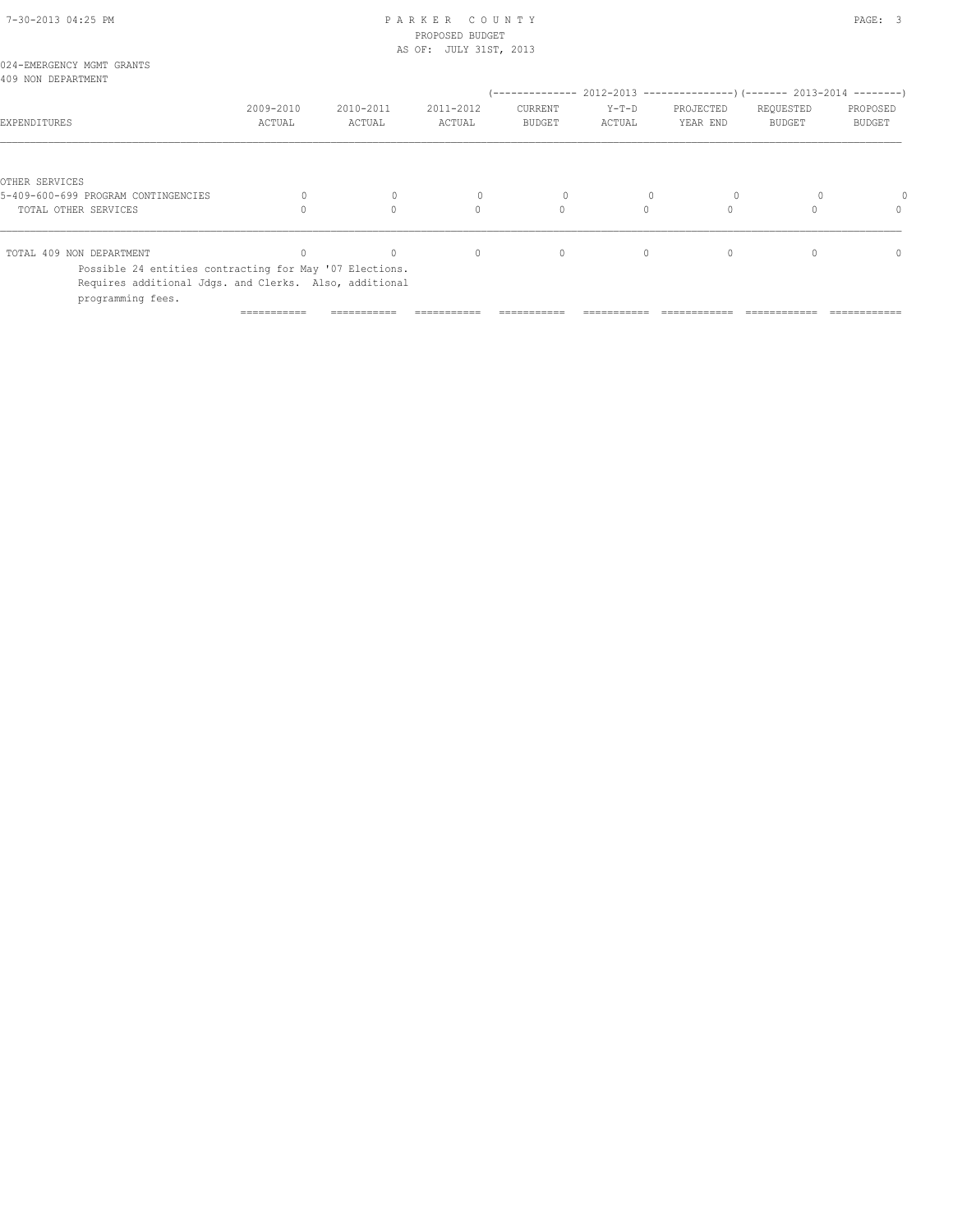### 7-30-2013 04:25 PM P A R K E R C O U N T Y PAGE: 3 PROPOSED BUDGET AS OF: JULY 31ST, 2013

| 024-EMERGENCY MGMT GRANTS<br>409 NON DEPARTMENT                                                                                        |                     |                     |                     |                          |                   |                       |                                                                                                      |                           |
|----------------------------------------------------------------------------------------------------------------------------------------|---------------------|---------------------|---------------------|--------------------------|-------------------|-----------------------|------------------------------------------------------------------------------------------------------|---------------------------|
| EXPENDITURES                                                                                                                           | 2009-2010<br>ACTUAL | 2010-2011<br>ACTUAL | 2011-2012<br>ACTUAL | CURRENT<br><b>BUDGET</b> | $Y-T-D$<br>ACTUAL | PROJECTED<br>YEAR END | (-------------- 2012-2013 --------------------- 2013-2014 ---------- )<br>REQUESTED<br><b>BUDGET</b> | PROPOSED<br><b>BUDGET</b> |
|                                                                                                                                        |                     |                     |                     |                          |                   |                       |                                                                                                      |                           |
| OTHER SERVICES                                                                                                                         |                     |                     |                     |                          |                   |                       |                                                                                                      |                           |
| 5-409-600-699 PROGRAM CONTINGENCIES                                                                                                    |                     |                     |                     | 0                        |                   |                       |                                                                                                      |                           |
| TOTAL OTHER SERVICES                                                                                                                   |                     |                     | $\Omega$            | $\circ$                  |                   |                       |                                                                                                      | 0                         |
| TOTAL 409 NON DEPARTMENT                                                                                                               |                     |                     | $\mathbf{0}$        | 0                        | 0                 | 0                     |                                                                                                      | $\Omega$                  |
| Possible 24 entities contracting for May '07 Elections.<br>Requires additional Jdgs. and Clerks. Also, additional<br>programming fees. |                     |                     |                     |                          |                   |                       |                                                                                                      |                           |

=========== =========== =========== =========== =========== ============ ============ ============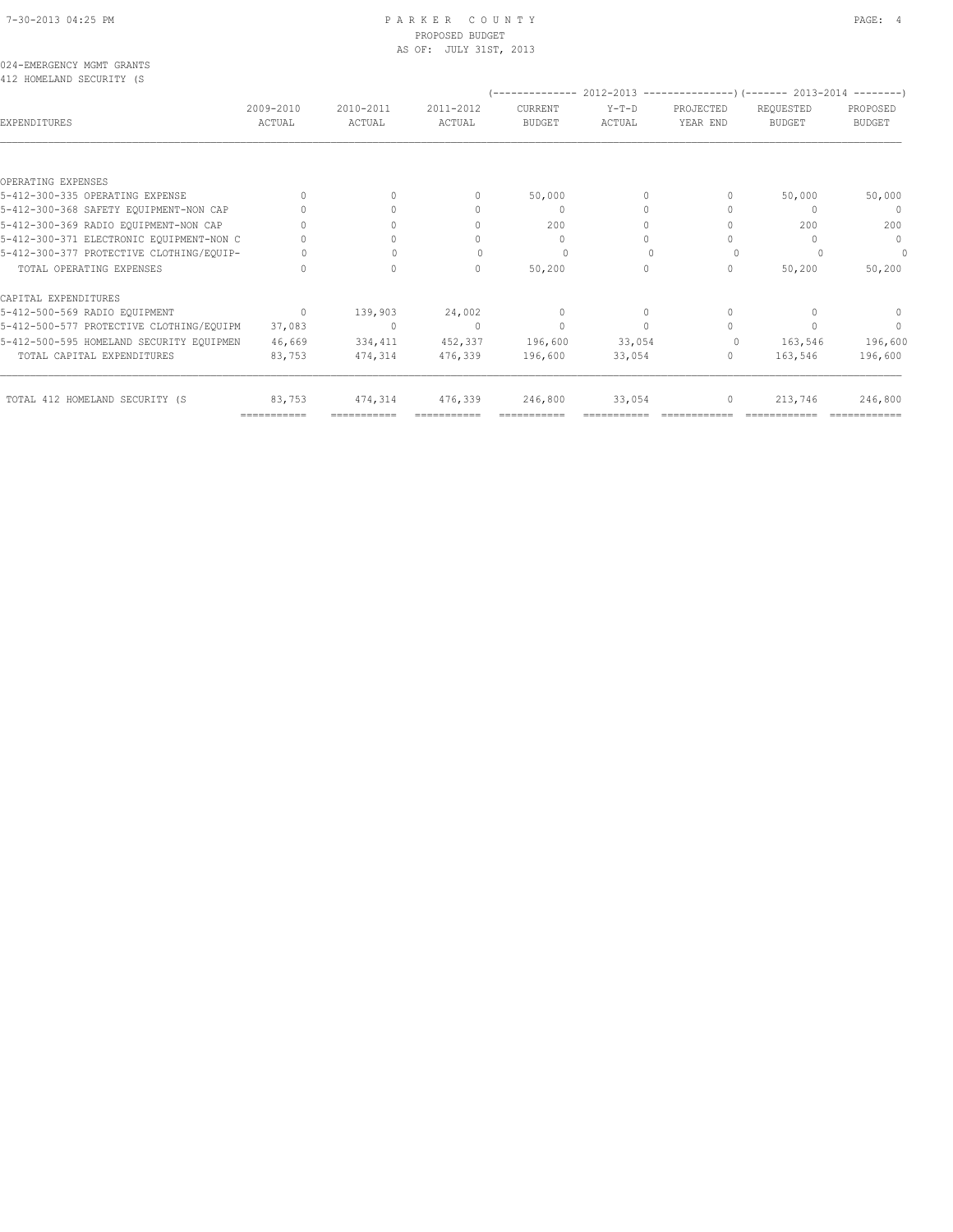# PROPOSED BUDGET AS OF: JULY 31ST, 2013

024-EMERGENCY MGMT GRANTS 412 HOMELAND SECURITY (S

| ATS HOMEBWAD SECOVITI (S                 |                     |                     |                                  | --------------           |                   |                       | $2012 - 2013$ ----------------) (------- 2013-2014 --------- |                           |
|------------------------------------------|---------------------|---------------------|----------------------------------|--------------------------|-------------------|-----------------------|--------------------------------------------------------------|---------------------------|
| EXPENDITURES                             | 2009-2010<br>ACTUAL | 2010-2011<br>ACTUAL | 2011-2012<br>ACTUAL              | CURRENT<br><b>BUDGET</b> | $Y-T-D$<br>ACTUAL | PROJECTED<br>YEAR END | REQUESTED<br><b>BUDGET</b>                                   | PROPOSED<br><b>BUDGET</b> |
|                                          |                     |                     |                                  |                          |                   |                       |                                                              |                           |
| OPERATING EXPENSES                       |                     |                     |                                  |                          |                   |                       |                                                              |                           |
| 5-412-300-335 OPERATING EXPENSE          |                     |                     |                                  | 50,000                   | 0                 | 0                     | 50,000                                                       | 50,000                    |
| 5-412-300-368 SAFETY EQUIPMENT-NON CAP   |                     |                     |                                  | 0                        | 0                 |                       |                                                              | $\mathbf{0}$              |
| 5-412-300-369 RADIO EQUIPMENT-NON CAP    |                     |                     |                                  | 200                      | 0                 |                       | 200                                                          | 200                       |
| 5-412-300-371 ELECTRONIC EQUIPMENT-NON C |                     |                     |                                  | $\mathbf{0}$             | 0                 |                       |                                                              | $\mathbf{0}$              |
| 5-412-300-377 PROTECTIVE CLOTHING/EQUIP- |                     |                     |                                  | $\Omega$                 |                   |                       |                                                              | 0                         |
| TOTAL OPERATING EXPENSES                 |                     |                     | 0                                | 50,200                   | 0                 | 0                     | 50,200                                                       | 50,200                    |
| CAPITAL EXPENDITURES                     |                     |                     |                                  |                          |                   |                       |                                                              |                           |
| 5-412-500-569 RADIO EQUIPMENT            | $\mathbf{0}$        | 139,903             | 24,002                           | $\mathbf{0}$             | 0                 | $\mathbf{0}$          |                                                              | $\mathbf{0}$              |
| 5-412-500-577 PROTECTIVE CLOTHING/EQUIPM | 37,083              | $\mathbf{0}$        | $\begin{array}{c} \n\end{array}$ | $\mathbf{0}$             | $\Omega$          | $\Omega$              |                                                              | $\mathbf{0}$              |
| 5-412-500-595 HOMELAND SECURITY EQUIPMEN | 46,669              | 334,411             | 452,337                          | 196,600                  | 33,054            | $\Omega$              | 163,546                                                      | 196,600                   |
| TOTAL CAPITAL EXPENDITURES               | 83,753              | 474,314             | 476,339                          | 196,600                  | 33,054            | 0                     | 163,546                                                      | 196,600                   |
| TOTAL 412 HOMELAND SECURITY (S           | 83,753              | 474,314             | 476,339                          | 246,800                  | 33,054            | $\circ$               | 213,746                                                      | 246,800                   |

=========== =========== =========== =========== =========== ============ ============ ============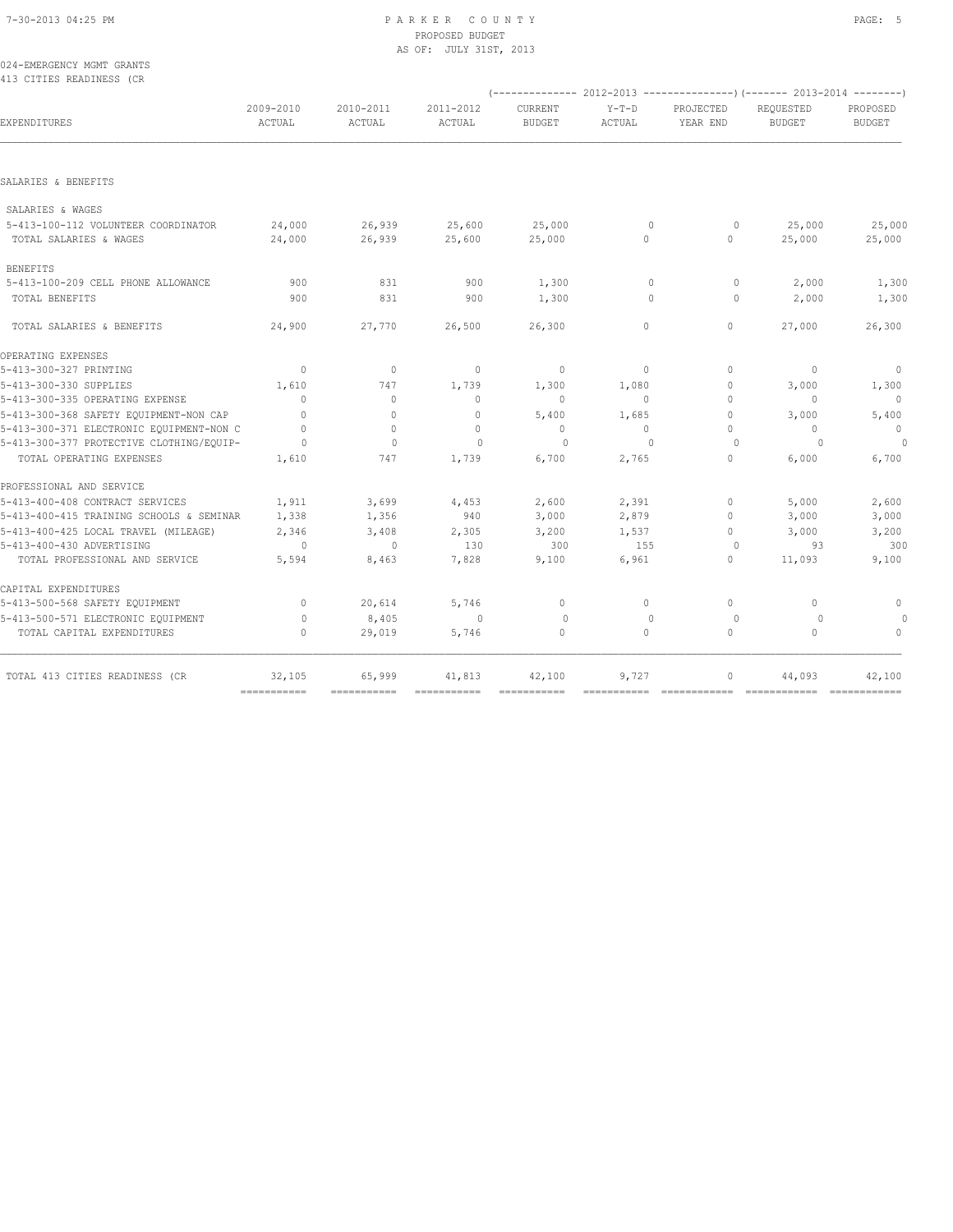### 7-30-2013 04:25 PM P A R K E R C O U N T Y PAGE: 5 PROPOSED BUDGET AS OF: JULY 31ST, 2013

024-EMERGENCY MGMT GRANTS 413 CITIES READINESS (CR

|                                                               |                                  |                     |                     |                          |                        |                                  | $(----------2012-2013------------)$ $(----2013-2014------)$ |                           |
|---------------------------------------------------------------|----------------------------------|---------------------|---------------------|--------------------------|------------------------|----------------------------------|-------------------------------------------------------------|---------------------------|
| EXPENDITURES                                                  | 2009-2010<br>ACTUAL              | 2010-2011<br>ACTUAL | 2011-2012<br>ACTUAL | CURRENT<br><b>BUDGET</b> | $Y-T-D$<br>ACTUAL      | PROJECTED<br>YEAR END            | REQUESTED<br><b>BUDGET</b>                                  | PROPOSED<br><b>BUDGET</b> |
|                                                               |                                  |                     |                     |                          |                        |                                  |                                                             |                           |
| SALARIES & BENEFITS                                           |                                  |                     |                     |                          |                        |                                  |                                                             |                           |
| SALARIES & WAGES                                              |                                  |                     |                     |                          |                        |                                  |                                                             |                           |
| 5-413-100-112 VOLUNTEER COORDINATOR<br>TOTAL SALARIES & WAGES | 24,000<br>24,000                 | 26,939<br>26,939    | 25,600<br>25,600    | 25,000<br>25,000         | $\mathbf 0$<br>$\circ$ | $\circ$<br>$\circ$               | 25,000<br>25,000                                            | 25,000<br>25,000          |
| <b>BENEFITS</b>                                               |                                  |                     |                     |                          |                        |                                  |                                                             |                           |
| 5-413-100-209 CELL PHONE ALLOWANCE                            | 900                              | 831                 | 900                 | 1,300                    | $\mathbf{0}$           | 0                                | 2,000                                                       | 1,300                     |
| TOTAL BENEFITS                                                | 900                              | 831                 | 900                 | 1,300                    | $\mathbf{0}$           | $\circ$                          | 2,000                                                       | 1,300                     |
| TOTAL SALARIES & BENEFITS                                     | 24,900                           | 27,770              | 26,500              | 26,300                   | $\Omega$               | $\circ$                          | 27,000                                                      | 26,300                    |
| OPERATING EXPENSES                                            |                                  |                     |                     |                          |                        |                                  |                                                             |                           |
| 5-413-300-327 PRINTING                                        | $\mathbf{0}$                     | $\mathbf{0}$        | $\mathbf{0}$        | $\mathbf{0}$             | $\circ$                | $\Omega$                         | $\mathbf{0}$                                                | $\mathbf 0$               |
| 5-413-300-330 SUPPLIES                                        | 1,610                            | 747                 | 1,739               | 1,300                    | 1,080                  | $\mathbf 0$                      | 3,000                                                       | 1,300                     |
| 5-413-300-335 OPERATING EXPENSE                               | $\Omega$                         | $\mathbf{0}$        | $\Omega$            | $\Omega$                 | $\Omega$               | $\Omega$                         | $\Omega$                                                    | $\Omega$                  |
| 5-413-300-368 SAFETY EQUIPMENT-NON CAP                        | $\Omega$                         | $\mathbf{0}$        | $\mathbf{0}$        | 5,400                    | 1,685                  | $\circ$                          | 3,000                                                       | 5,400                     |
| 5-413-300-371 ELECTRONIC EQUIPMENT-NON C                      | $\Omega$                         | $\mathbf{0}$        | $\mathbf 0$         | $\mathbf{0}$             | $\circ$                | $\Omega$                         | $\mathbf{0}$                                                | $\mathbf{0}$              |
| 5-413-300-377 PROTECTIVE CLOTHING/EQUIP-                      | $\Omega$                         | $\Omega$            | $\Omega$            | $\Omega$                 | $\Omega$               | $\Omega$                         | $\Omega$                                                    | $\circ$                   |
| TOTAL OPERATING EXPENSES                                      | 1,610                            | 747                 | 1,739               | 6,700                    | 2,765                  | 0                                | 6,000                                                       | 6,700                     |
| PROFESSIONAL AND SERVICE                                      |                                  |                     |                     |                          |                        |                                  |                                                             |                           |
| 5-413-400-408 CONTRACT SERVICES                               | 1,911                            | 3,699               | 4,453               | 2,600                    | 2,391                  | $\mathbf 0$                      | 5,000                                                       | 2,600                     |
| 5-413-400-415 TRAINING SCHOOLS & SEMINAR                      | 1,338                            | 1,356               | 940                 | 3,000                    | 2,879                  | $\Omega$                         | 3,000                                                       | 3,000                     |
| 5-413-400-425 LOCAL TRAVEL (MILEAGE)                          | 2,346                            | 3,408               | 2,305               | 3,200                    | 1,537                  | $\Omega$                         | 3,000                                                       | 3,200                     |
| 5-413-400-430 ADVERTISING                                     | 0                                | $\mathbf{0}$        | 130                 | 300                      | 155                    | 0                                | 93                                                          | 300                       |
| TOTAL PROFESSIONAL AND SERVICE                                | 5,594                            | 8,463               | 7,828               | 9,100                    | 6,961                  | $\circ$                          | 11,093                                                      | 9,100                     |
| CAPITAL EXPENDITURES                                          |                                  |                     |                     |                          |                        |                                  |                                                             |                           |
| 5-413-500-568 SAFETY EQUIPMENT                                | $\Omega$                         | 20,614              | 5,746               | $\mathbf{0}$             | $\Omega$               | $\begin{array}{c} \n\end{array}$ | $\mathbf{0}$                                                | 0                         |
| 5-413-500-571 ELECTRONIC EQUIPMENT                            | $\circ$                          | 8,405               | $\mathbf{0}$        | $\circ$                  | $\mathbf{0}$           | $\circ$                          | $\circ$                                                     |                           |
| TOTAL CAPITAL EXPENDITURES                                    | $\begin{array}{c} \n\end{array}$ | 29,019              | 5,746               | $\Omega$                 | $\Omega$               | $\Omega$                         | $\Omega$                                                    | $\Omega$                  |
| TOTAL 413 CITIES READINESS (CR                                | 32,105                           | 65,999              | 41,813              | 42,100                   | 9,727                  | 0                                | 44,093                                                      | 42,100                    |
|                                                               | ===========                      |                     |                     |                          |                        |                                  |                                                             |                           |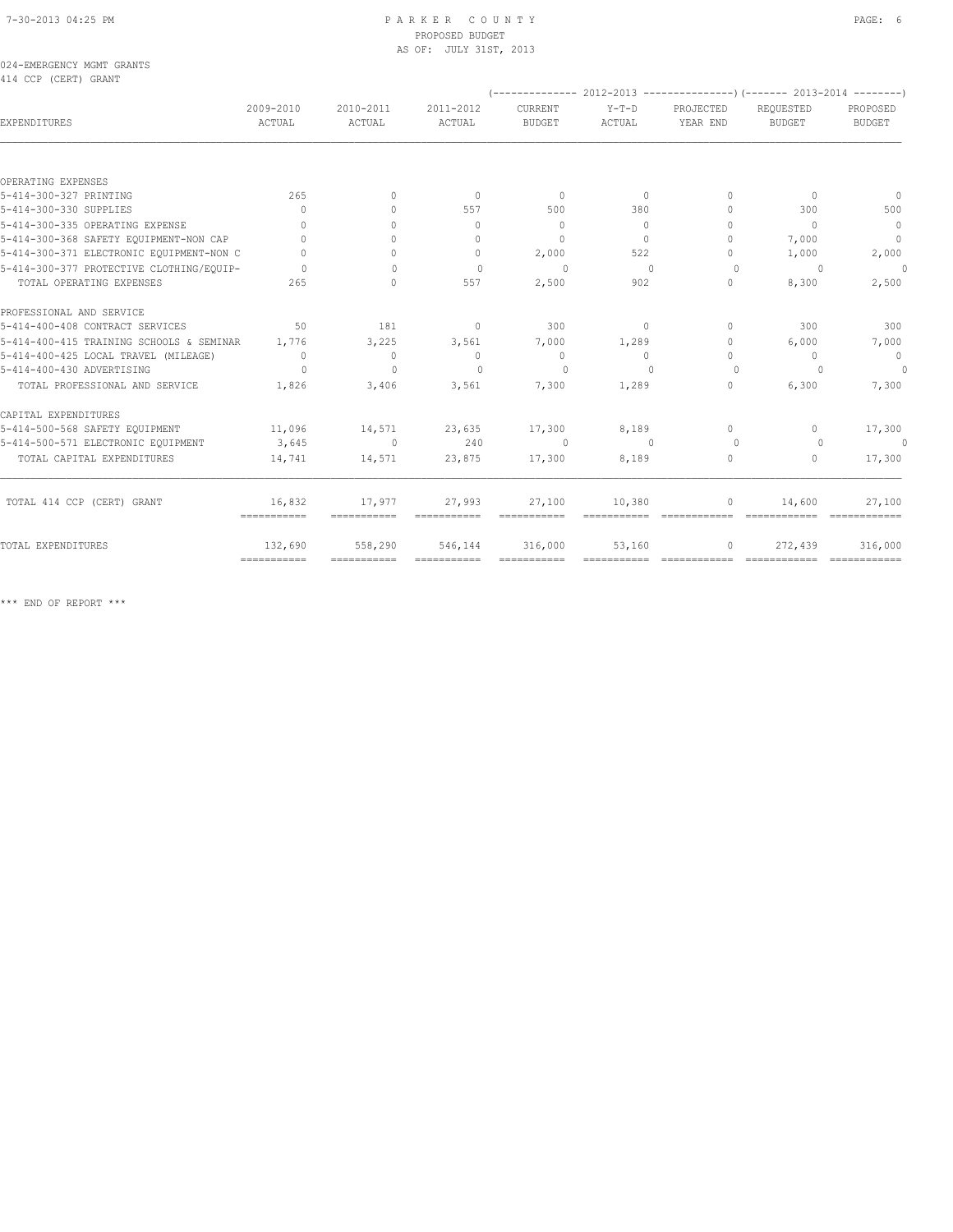### 7-30-2013 04:25 PM P A R K E R C O U N T Y PAGE: 6 PROPOSED BUDGET AS OF: JULY 31ST, 2013

024-EMERGENCY MGMT GRANTS 414 CCP (CERT) GRANT

|                                          |                         |                                  |                                  |                          |                   |                                  | $(----------2012-2013$ ----------------) (------- 2013-2014 -------) |                           |
|------------------------------------------|-------------------------|----------------------------------|----------------------------------|--------------------------|-------------------|----------------------------------|----------------------------------------------------------------------|---------------------------|
| <b>EXPENDITURES</b>                      | 2009-2010<br>ACTUAL     | 2010-2011<br>ACTUAL              | 2011-2012<br>ACTUAL              | CURRENT<br><b>BUDGET</b> | $Y-T-D$<br>ACTUAL | PROJECTED<br>YEAR END            | REOUESTED<br><b>BUDGET</b>                                           | PROPOSED<br><b>BUDGET</b> |
|                                          |                         |                                  |                                  |                          |                   |                                  |                                                                      |                           |
| OPERATING EXPENSES                       |                         |                                  |                                  |                          |                   |                                  |                                                                      |                           |
| 5-414-300-327 PRINTING                   | 265                     | $\Omega$                         | $\Omega$                         | $\overline{0}$           | $\Omega$          | $\Omega$                         | $\Omega$                                                             | $\overline{0}$            |
| 5-414-300-330 SUPPLIES                   | $\Omega$                | $\begin{array}{c} \n\end{array}$ | 557                              | 500                      | 380               | $\begin{array}{c} \n\end{array}$ | 300                                                                  | 500                       |
| 5-414-300-335 OPERATING EXPENSE          | $\Omega$                | $\begin{array}{c} \n\end{array}$ | $\begin{array}{c} \n\end{array}$ | $\Omega$                 | $\Omega$          | $\Omega$                         | $\begin{array}{c} \n\end{array}$                                     | $\overline{0}$            |
| 5-414-300-368 SAFETY EQUIPMENT-NON CAP   | $\bigcap$               | $\bigcap$                        | $\begin{array}{c} \n\end{array}$ | $\Omega$                 | $\Omega$          | $\begin{array}{c} \n\end{array}$ | 7,000                                                                | $\overline{0}$            |
| 5-414-300-371 ELECTRONIC EQUIPMENT-NON C | $\bigcap$               | $\bigcap$                        | $\begin{array}{c} \n\end{array}$ | 2,000                    | 522               | $\Omega$                         | 1,000                                                                | 2,000                     |
| 5-414-300-377 PROTECTIVE CLOTHING/EOUIP- | $\cap$                  | $\bigcap$                        | $\Omega$                         | $\Omega$                 | $\mathbf{0}$      | $\Omega$                         | $\circ$                                                              | $\theta$                  |
| TOTAL OPERATING EXPENSES                 | 265                     | $\begin{array}{c} \n\end{array}$ | 557                              | 2,500                    | 902               | 0                                | 8,300                                                                | 2,500                     |
| PROFESSIONAL AND SERVICE                 |                         |                                  |                                  |                          |                   |                                  |                                                                      |                           |
| 5-414-400-408 CONTRACT SERVICES          | 50                      | 181                              | $\circ$                          | 300                      | $\circ$           | $\Omega$                         | 300                                                                  | 300                       |
| 5-414-400-415 TRAINING SCHOOLS & SEMINAR | 1,776                   | 3,225                            | 3,561                            | 7,000                    | 1,289             | $\circ$                          | 6,000                                                                | 7,000                     |
| 5-414-400-425 LOCAL TRAVEL (MILEAGE)     | $\Omega$                | $\Omega$                         | $\Omega$                         | $\overline{0}$           | $\Omega$          | $\Omega$                         | $\Omega$                                                             | $\overline{0}$            |
| 5-414-400-430 ADVERTISING                | $\Omega$                | $\Omega$                         | $\Omega$                         | $\Omega$                 | $\cap$            | $\Omega$                         | $\cup$                                                               | $\theta$                  |
| TOTAL PROFESSIONAL AND SERVICE           | 1,826                   | 3,406                            | 3,561                            | 7,300                    | 1,289             | $\circ$                          | 6,300                                                                | 7,300                     |
| CAPITAL EXPENDITURES                     |                         |                                  |                                  |                          |                   |                                  |                                                                      |                           |
| 5-414-500-568 SAFETY EQUIPMENT           | 11,096                  | 14,571                           | 23,635                           | 17,300                   | 8,189             | $\Omega$                         | $\Omega$                                                             | 17,300                    |
| 5-414-500-571 ELECTRONIC EQUIPMENT       | 3,645                   | $\circ$                          | 240                              | $\Omega$                 | $\overline{0}$    | $\Omega$                         | $\Omega$                                                             | $\circ$                   |
| TOTAL CAPITAL EXPENDITURES               | 14,741                  | 14,571                           | 23,875                           | 17,300                   | 8,189             | 0                                | $\mathbf{0}$                                                         | 17,300                    |
| TOTAL 414 CCP (CERT) GRANT               | 16,832                  | 17,977                           | 27,993                           | 27,100                   | 10,380            | 0                                | 14,600                                                               | 27,100                    |
|                                          | ============            | ===========                      |                                  |                          |                   |                                  |                                                                      |                           |
| TOTAL EXPENDITURES                       | 132,690<br>============ | 558,290                          | 546,144                          | 316,000<br>===========   | 53,160            | $\circ$                          | 272,439                                                              | 316,000                   |
|                                          |                         |                                  |                                  |                          |                   |                                  |                                                                      |                           |

\*\*\* END OF REPORT \*\*\*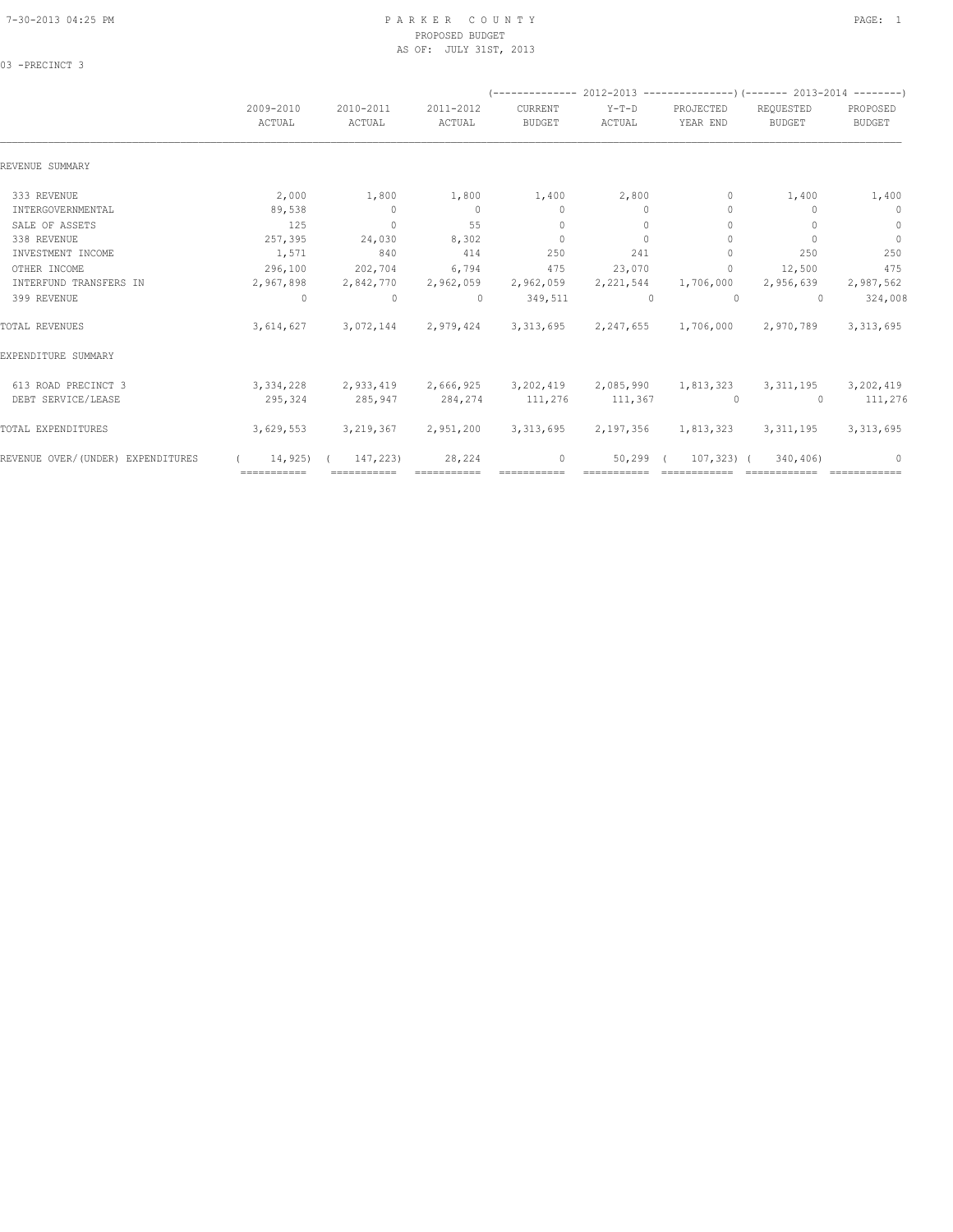### 7-30-2013 04:25 PM P A R K E R C O U N T Y PAGE: 1 PROPOSED BUDGET AS OF: JULY 31ST, 2013

03 -PRECINCT 3

|                                   |                     |                                     |                     |                          |                   | (-------------- 2012-2013 -----------------) (------- 2013-2014 ---------) |                            |                           |
|-----------------------------------|---------------------|-------------------------------------|---------------------|--------------------------|-------------------|----------------------------------------------------------------------------|----------------------------|---------------------------|
|                                   | 2009-2010<br>ACTUAL | 2010-2011<br>ACTUAL                 | 2011-2012<br>ACTUAL | CURRENT<br><b>BUDGET</b> | $Y-T-D$<br>ACTUAL | PROJECTED<br>YEAR END                                                      | REQUESTED<br><b>BUDGET</b> | PROPOSED<br><b>BUDGET</b> |
| REVENUE SUMMARY                   |                     |                                     |                     |                          |                   |                                                                            |                            |                           |
| 333 REVENUE                       | 2,000               | 1,800                               | 1,800               | 1,400                    | 2,800             | $\circ$                                                                    | 1,400                      | 1,400                     |
| INTERGOVERNMENTAL                 | 89,538              | $\overline{0}$                      | $\Omega$            | $\mathbf{0}$             | $\Omega$          | $\begin{array}{c} \n\end{array}$                                           | n                          | $\mathbf 0$               |
| SALE OF ASSETS                    | 125                 | $\circ$                             | 55                  | $\circ$                  | $\Omega$          | $\mathbf{0}$                                                               |                            | $\mathbf{0}$              |
| 338 REVENUE                       | 257,395             | 24,030                              | 8,302               | $\circ$                  | $\Omega$          | $\mathbf{0}$                                                               |                            | $\Omega$                  |
| INVESTMENT INCOME                 | 1,571               | 840                                 | 414                 | 250                      | 241               | $\Omega$                                                                   | 250                        | 250                       |
| OTHER INCOME                      | 296,100             | 202,704                             | 6,794               | 475                      | 23,070            | $\circ$                                                                    | 12,500                     | 475                       |
| INTERFUND TRANSFERS IN            | 2,967,898           | 2,842,770                           | 2,962,059           | 2,962,059                | 2,221,544         | 1,706,000                                                                  | 2,956,639                  | 2,987,562                 |
| 399 REVENUE                       | $\Omega$            | $\mathbf{0}$                        | $\circ$             | 349,511                  | $\Omega$          | $\Omega$                                                                   | $\Omega$                   | 324,008                   |
| TOTAL REVENUES                    | 3,614,627           | 3,072,144                           | 2,979,424           | 3, 313, 695              | 2, 247, 655       | 1,706,000                                                                  | 2,970,789                  | 3, 313, 695               |
| EXPENDITURE SUMMARY               |                     |                                     |                     |                          |                   |                                                                            |                            |                           |
| 613 ROAD PRECINCT 3               |                     | 3, 334, 228 2, 933, 419 2, 666, 925 |                     |                          |                   | 3, 202, 419 2, 085, 990 1, 813, 323                                        | 3, 311, 195                | 3,202,419                 |
| DEBT SERVICE/LEASE                | 295,324             | 285,947                             | 284,274             | 111,276                  | 111,367           | $\sim$ 000 $\sim$ 000 $\sim$ 000 $\sim$                                    | $\bigcirc$                 | 111,276                   |
| TOTAL EXPENDITURES                | 3,629,553           | 3, 219, 367                         | 2,951,200           | 3, 313, 695              | 2,197,356         | 1,813,323                                                                  | 3,311,195                  | 3, 313, 695               |
| REVENUE OVER/(UNDER) EXPENDITURES | 14,925)             | 147,223)                            | 28,224              | 0                        | 50,299            | $107,323$ (                                                                | 340,406)                   | 0                         |
|                                   | ===========         |                                     |                     |                          |                   |                                                                            |                            |                           |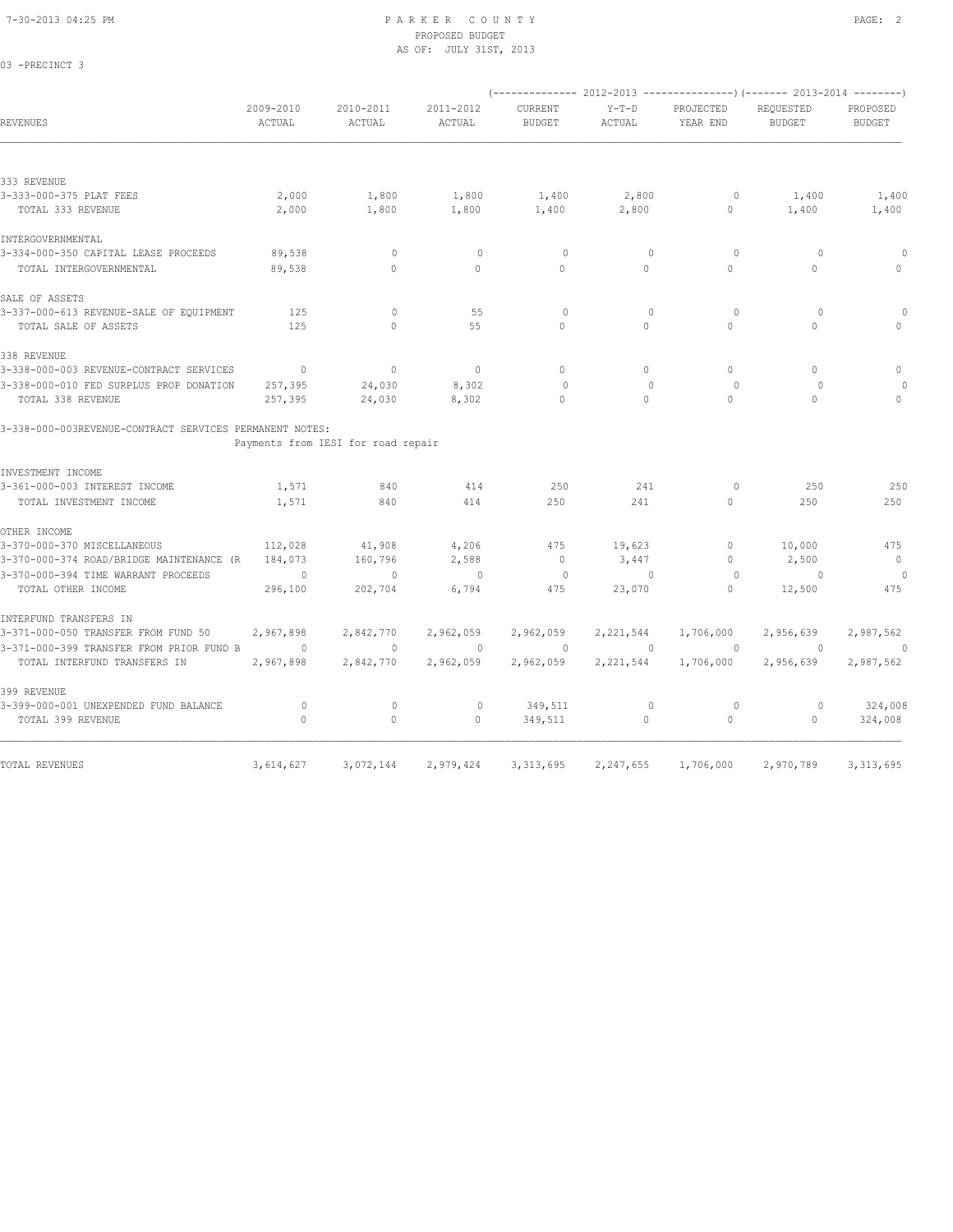03 -PRECINCT 3

### 7-30-2013 04:25 PM P A R K E R C O U N T Y PAGE: 2 PROPOSED BUDGET AS OF: JULY 31ST, 2013

|                                                         |                     |                                    |                     |                                 |                   |                       | (-------------- 2012-2013 ----------------) (------- 2013-2014 --------) |                           |
|---------------------------------------------------------|---------------------|------------------------------------|---------------------|---------------------------------|-------------------|-----------------------|--------------------------------------------------------------------------|---------------------------|
| REVENUES                                                | 2009-2010<br>ACTUAL | 2010-2011<br>ACTUAL                | 2011-2012<br>ACTUAL | <b>CURRENT</b><br><b>BUDGET</b> | $Y-T-D$<br>ACTUAL | PROJECTED<br>YEAR END | REQUESTED<br><b>BUDGET</b>                                               | PROPOSED<br><b>BUDGET</b> |
|                                                         |                     |                                    |                     |                                 |                   |                       |                                                                          |                           |
| 333 REVENUE                                             |                     |                                    |                     |                                 |                   |                       |                                                                          |                           |
| 3-333-000-375 PLAT FEES                                 | 2,000               | 1,800                              | 1,800               | 1,400                           | 2,800             | 0                     | 1,400                                                                    | 1,400                     |
| TOTAL 333 REVENUE                                       | 2,000               | 1,800                              | 1,800               | 1,400                           | 2,800             | $\circ$               | 1,400                                                                    | 1,400                     |
| INTERGOVERNMENTAL                                       |                     |                                    |                     |                                 |                   |                       |                                                                          |                           |
| 3-334-000-350 CAPITAL LEASE PROCEEDS                    | 89,538              | $\mathbf{0}$                       | $\mathbf{0}$        | $\circ$                         | $\mathbf{0}$      | $\circ$               | $\circ$                                                                  | $\theta$                  |
| TOTAL INTERGOVERNMENTAL                                 | 89,538              | $\Omega$                           | $\Omega$            | $\Omega$                        | $\Omega$          | $\Omega$              | $\mathbf{0}$                                                             | $\Omega$                  |
| SALE OF ASSETS                                          |                     |                                    |                     |                                 |                   |                       |                                                                          |                           |
| 3-337-000-613 REVENUE-SALE OF EQUIPMENT                 | 125                 | $\circ$                            | 55                  | $\circ$                         | $\mathbf{0}$      | $\circ$               | $\circ$                                                                  | 0                         |
| TOTAL SALE OF ASSETS                                    | 125                 | $\circ$                            | 55                  | 0                               | $\circ$           | $\circ$               | $\circ$                                                                  | $\cap$                    |
| 338 REVENUE                                             |                     |                                    |                     |                                 |                   |                       |                                                                          |                           |
| 3-338-000-003 REVENUE-CONTRACT SERVICES                 | $\mathbf{0}$        | $\circ$                            | $\bigcirc$          | $\Omega$                        | $\Omega$          | $\Omega$              | $\Omega$                                                                 | $\mathbf 0$               |
| 3-338-000-010 FED SURPLUS PROP DONATION                 | 257,395             | 24,030                             | 8,302               | $\Omega$                        | $\Omega$          | $\Omega$              | $\Omega$                                                                 |                           |
| TOTAL 338 REVENUE                                       | 257,395             | 24,030                             | 8,302               | $\Omega$                        | $\Omega$          | $\Omega$              | $\Omega$                                                                 | $\Omega$                  |
| 3-338-000-003REVENUE-CONTRACT SERVICES PERMANENT NOTES: |                     |                                    |                     |                                 |                   |                       |                                                                          |                           |
|                                                         |                     | Payments from IESI for road repair |                     |                                 |                   |                       |                                                                          |                           |
| INVESTMENT INCOME                                       |                     |                                    |                     |                                 |                   |                       |                                                                          |                           |
| 3-361-000-003 INTEREST INCOME                           | 1,571               | 840                                | 414                 | 250                             | 241               | $\circ$               | 250                                                                      | 250                       |
| TOTAL INVESTMENT INCOME                                 | 1,571               | 840                                | 414                 | 250                             | 241               | $\circ$               | 250                                                                      | 250                       |
| OTHER INCOME                                            |                     |                                    |                     |                                 |                   |                       |                                                                          |                           |
| 3-370-000-370 MISCELLANEOUS                             | 112,028             | 41,908                             | 4,206               | 475                             | 19,623            | $\circ$               | 10,000                                                                   | 475                       |
| 3-370-000-374 ROAD/BRIDGE MAINTENANCE (R                | 184,073             | 160,796                            | 2,588               | $\mathbb{O}$                    | 3,447             | $\circ$               | 2,500                                                                    | $\circ$                   |
| 3-370-000-394 TIME WARRANT PROCEEDS                     | $\circ$             | $\mathbf{0}$                       | $\mathbf{0}$        | $\circ$                         | $\mathbf{0}$      | 0                     | $\circ$                                                                  | $\Omega$                  |
| TOTAL OTHER INCOME                                      | 296,100             | 202,704                            | 6,794               | 475                             | 23,070            | $\circ$               | 12,500                                                                   | 475                       |
| INTERFUND TRANSFERS IN                                  |                     |                                    |                     |                                 |                   |                       |                                                                          |                           |
| 3-371-000-050 TRANSFER FROM FUND 50                     | 2,967,898           | 2,842,770                          | 2,962,059           | 2,962,059                       | 2,221,544         | 1,706,000             | 2,956,639                                                                | 2,987,562                 |
| 3-371-000-399 TRANSFER FROM PRIOR FUND B                | $\circ$             | $\mathbf{0}$                       | $\mathbf{0}$        | $\circ$                         | $\mathbf{0}$      | $\circ$               | $\overline{0}$                                                           | $\circ$                   |
| TOTAL INTERFUND TRANSFERS IN                            | 2,967,898           | 2,842,770                          | 2,962,059           | 2,962,059                       | 2,221,544         | 1,706,000             | 2,956,639                                                                | 2,987,562                 |
| 399 REVENUE                                             |                     |                                    |                     |                                 |                   |                       |                                                                          |                           |
| 3-399-000-001 UNEXPENDED FUND BALANCE                   | $\circ$             | $\mathbf 0$                        | $\circ$             | 349,511                         | $\mathbf 0$       | $\circ$               | $\circ$                                                                  | 324,008                   |
| TOTAL 399 REVENUE                                       | $\mathbf{0}$        | $\mathbb O$                        | $\mathbf{0}$        | 349,511                         | $\circ$           | $\circ$               | $\circ$                                                                  | 324,008                   |
|                                                         |                     |                                    |                     |                                 |                   |                       |                                                                          |                           |
| TOTAL REVENUES                                          | 3,614,627           | 3,072,144                          | 2,979,424           | 3, 313, 695                     | 2, 247, 655       | 1,706,000             | 2,970,789                                                                | 3, 313, 695               |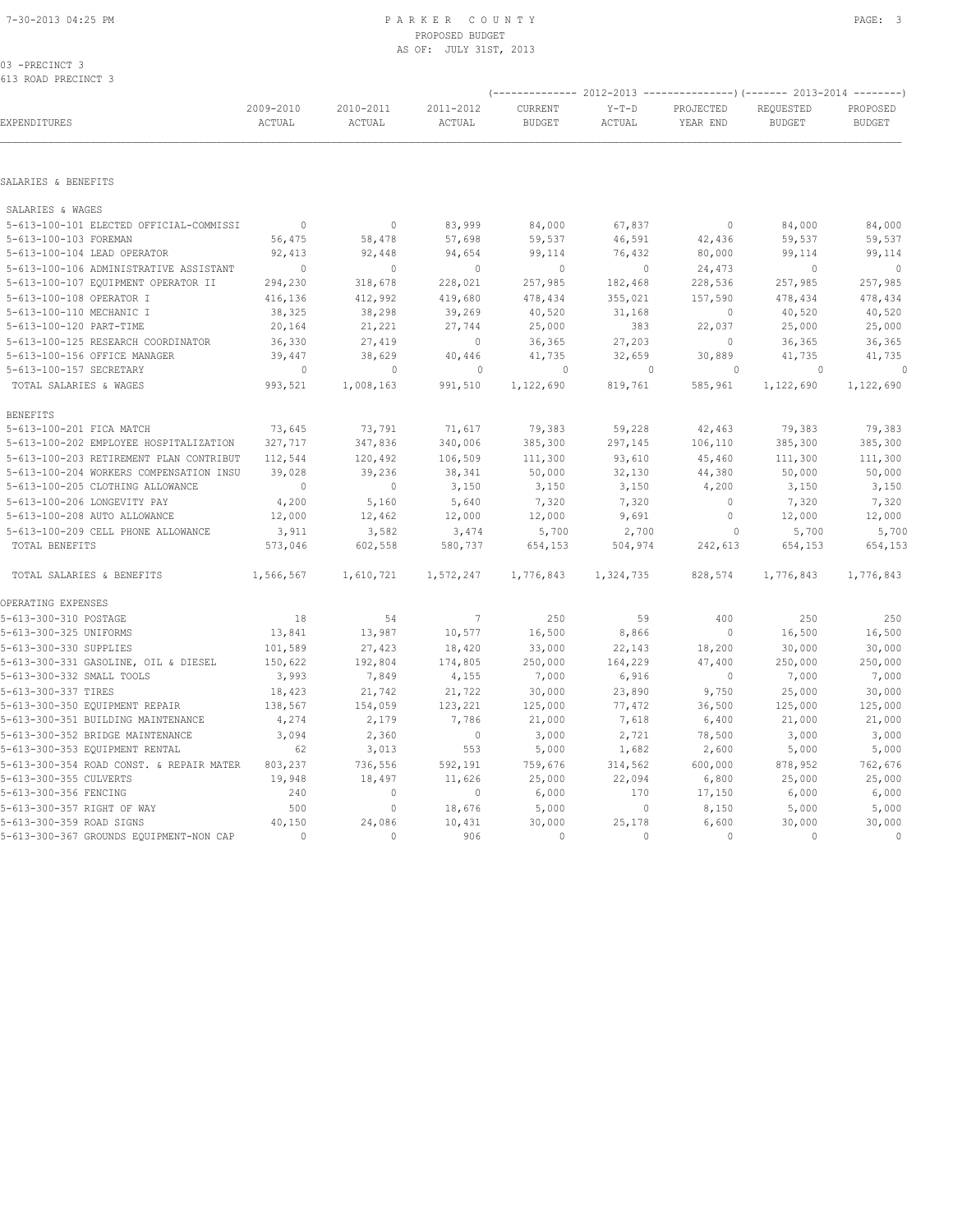# PROPOSED BUDGET AS OF: JULY 31ST, 2013

03 -PRECINCT 3 613 ROAD PRECINCT 3

|                                          |                     |                     |                     |                          |                   | (-------------- 2012-2013 -------------------) (------- 2013-2014 ---------) |                            |                           |  |
|------------------------------------------|---------------------|---------------------|---------------------|--------------------------|-------------------|------------------------------------------------------------------------------|----------------------------|---------------------------|--|
| EXPENDITURES                             | 2009-2010<br>ACTUAL | 2010-2011<br>ACTUAL | 2011-2012<br>ACTUAL | CURRENT<br><b>BUDGET</b> | $Y-T-D$<br>ACTUAL | PROJECTED<br>YEAR END                                                        | REQUESTED<br><b>BUDGET</b> | PROPOSED<br><b>BUDGET</b> |  |
| SALARIES & BENEFITS                      |                     |                     |                     |                          |                   |                                                                              |                            |                           |  |
|                                          |                     |                     |                     |                          |                   |                                                                              |                            |                           |  |
| SALARIES & WAGES                         |                     |                     |                     |                          |                   |                                                                              |                            |                           |  |
| 5-613-100-101 ELECTED OFFICIAL-COMMISSI  | $\mathbf{0}$        | $\circ$             | 83,999              | 84,000                   | 67,837            | $\circ$                                                                      | 84,000                     | 84,000                    |  |
| 5-613-100-103 FOREMAN                    | 56,475              | 58,478              | 57,698              | 59,537                   | 46,591            | 42,436                                                                       | 59,537                     | 59,537                    |  |
| 5-613-100-104 LEAD OPERATOR              | 92,413              | 92,448              | 94,654              | 99,114                   | 76,432            | 80,000                                                                       | 99,114                     | 99,114                    |  |
| 5-613-100-106 ADMINISTRATIVE ASSISTANT   | $\Omega$            | $\mathbf{0}$        | $\mathbf{0}$        | $\mathbf{0}$             | $\circ$           | 24,473                                                                       | $\mathbf{0}$               | $\mathbf{0}$              |  |
| 5-613-100-107 EQUIPMENT OPERATOR II      | 294,230             | 318,678             | 228,021             | 257,985                  | 182,468           | 228,536                                                                      | 257,985                    | 257,985                   |  |
| 5-613-100-108 OPERATOR I                 | 416,136             | 412,992             | 419,680             | 478,434                  | 355,021           | 157,590                                                                      | 478,434                    | 478,434                   |  |
| 5-613-100-110 MECHANIC I                 | 38,325              | 38,298              | 39,269              | 40,520                   | 31,168            | $\mathbf 0$                                                                  | 40,520                     | 40,520                    |  |
| 5-613-100-120 PART-TIME                  | 20,164              | 21,221              | 27,744              | 25,000                   | 383               | 22,037                                                                       | 25,000                     | 25,000                    |  |
| 5-613-100-125 RESEARCH COORDINATOR       | 36,330              | 27,419              | $\mathbb O$         | 36,365                   | 27,203            | 0                                                                            | 36,365                     | 36,365                    |  |
| 5-613-100-156 OFFICE MANAGER             | 39,447              | 38,629              | 40,446              | 41,735                   | 32,659            | 30,889                                                                       | 41,735                     | 41,735                    |  |
| 5-613-100-157 SECRETARY                  | $\overline{0}$      | $\circ$             | $\circ$             | $\Omega$                 | $\Omega$          | $\Omega$                                                                     | $\Omega$                   | $\Omega$                  |  |
| TOTAL SALARIES & WAGES                   | 993,521             | 1,008,163           | 991,510             | 1,122,690                | 819,761           | 585,961                                                                      | 1,122,690                  | 1,122,690                 |  |
| <b>BENEFITS</b>                          |                     |                     |                     |                          |                   |                                                                              |                            |                           |  |
| 5-613-100-201 FICA MATCH                 | 73,645              | 73,791              | 71,617              | 79,383                   | 59,228            | 42,463                                                                       | 79,383                     | 79,383                    |  |
| 5-613-100-202 EMPLOYEE HOSPITALIZATION   | 327,717             | 347,836             | 340,006             | 385,300                  | 297,145           | 106,110                                                                      | 385,300                    | 385,300                   |  |
| 5-613-100-203 RETIREMENT PLAN CONTRIBUT  | 112,544             | 120,492             | 106,509             | 111,300                  | 93,610            | 45,460                                                                       | 111,300                    | 111,300                   |  |
| 5-613-100-204 WORKERS COMPENSATION INSU  | 39,028              | 39,236              | 38,341              | 50,000                   | 32,130            | 44,380                                                                       | 50,000                     | 50,000                    |  |
| 5-613-100-205 CLOTHING ALLOWANCE         | $\mathbf{0}$        | $\mathbf{0}$        | 3,150               | 3,150                    | 3,150             | 4,200                                                                        | 3,150                      | 3,150                     |  |
| 5-613-100-206 LONGEVITY PAY              | 4,200               | 5,160               | 5,640               | 7,320                    | 7,320             | $\circ$                                                                      | 7,320                      | 7,320                     |  |
| 5-613-100-208 AUTO ALLOWANCE             | 12,000              | 12,462              | 12,000              | 12,000                   | 9,691             | $\circ$                                                                      | 12,000                     | 12,000                    |  |
| 5-613-100-209 CELL PHONE ALLOWANCE       | 3,911               | 3,582               | 3,474               | 5,700                    | 2,700             | $\circ$                                                                      | 5,700                      | 5,700                     |  |
| TOTAL BENEFITS                           | 573,046             | 602,558             | 580,737             | 654,153                  | 504,974           | 242,613                                                                      | 654,153                    | 654,153                   |  |
| TOTAL SALARIES & BENEFITS                | 1,566,567           | 1,610,721           | 1,572,247           | 1,776,843                | 1,324,735         | 828,574                                                                      | 1,776,843                  | 1,776,843                 |  |
| OPERATING EXPENSES                       |                     |                     |                     |                          |                   |                                                                              |                            |                           |  |
| 5-613-300-310 POSTAGE                    | 18                  | 54                  | $\overline{7}$      | 250                      | 59                | 400                                                                          | 250                        | 250                       |  |
| 5-613-300-325 UNIFORMS                   | 13,841              | 13,987              | 10,577              | 16,500                   | 8,866             | $\circ$                                                                      | 16,500                     | 16,500                    |  |
| 5-613-300-330 SUPPLIES                   | 101,589             | 27,423              | 18,420              | 33,000                   | 22,143            | 18,200                                                                       | 30,000                     | 30,000                    |  |
| 5-613-300-331 GASOLINE, OIL & DIESEL     | 150,622             | 192,804             | 174,805             | 250,000                  | 164,229           | 47,400                                                                       | 250,000                    | 250,000                   |  |
| 5-613-300-332 SMALL TOOLS                | 3,993               | 7,849               | 4,155               | 7,000                    | 6,916             | 0                                                                            | 7,000                      | 7,000                     |  |
| 5-613-300-337 TIRES                      | 18,423              | 21,742              | 21,722              | 30,000                   | 23,890            | 9,750                                                                        | 25,000                     | 30,000                    |  |
| 5-613-300-350 EQUIPMENT REPAIR           | 138,567             | 154,059             | 123,221             | 125,000                  | 77,472            | 36,500                                                                       | 125,000                    | 125,000                   |  |
| 5-613-300-351 BUILDING MAINTENANCE       | 4,274               | 2,179               | 7,786               | 21,000                   | 7,618             | 6,400                                                                        | 21,000                     | 21,000                    |  |
| 5-613-300-352 BRIDGE MAINTENANCE         | 3,094               | 2,360               | $\overline{0}$      | 3,000                    | 2,721             | 78,500                                                                       | 3,000                      | 3,000                     |  |
| 5-613-300-353 EQUIPMENT RENTAL           | 62                  | 3,013               | 553                 | 5,000                    | 1,682             | 2,600                                                                        | 5,000                      | 5,000                     |  |
| 5-613-300-354 ROAD CONST. & REPAIR MATER | 803,237             | 736,556             | 592,191             | 759,676                  | 314,562           | 600,000                                                                      | 878,952                    | 762,676                   |  |
| 5-613-300-355 CULVERTS                   | 19,948              | 18,497              | 11,626              | 25,000                   | 22,094            | 6,800                                                                        | 25,000                     | 25,000                    |  |
| 5-613-300-356 FENCING                    | 240                 | $\mathbf{0}$        | $\circ$             | 6,000                    | 170               | 17,150                                                                       | 6,000                      | 6,000                     |  |
| 5-613-300-357 RIGHT OF WAY               | 500                 | $\circ$             | 18,676              | 5,000                    | $\circ$           | 8,150                                                                        | 5,000                      | 5,000                     |  |
| 5-613-300-359 ROAD SIGNS                 | 40,150              | 24,086              | 10,431              | 30,000                   | 25,178            | 6,600                                                                        | 30,000                     | 30,000                    |  |
| 5-613-300-367 GROUNDS EQUIPMENT-NON CAP  | $\mathbf{0}$        | $\circ$             | 906                 | $\mathbb O$              | $\circ$           | $\circ$                                                                      | $\mathbf{0}$               | $\mathbb O$               |  |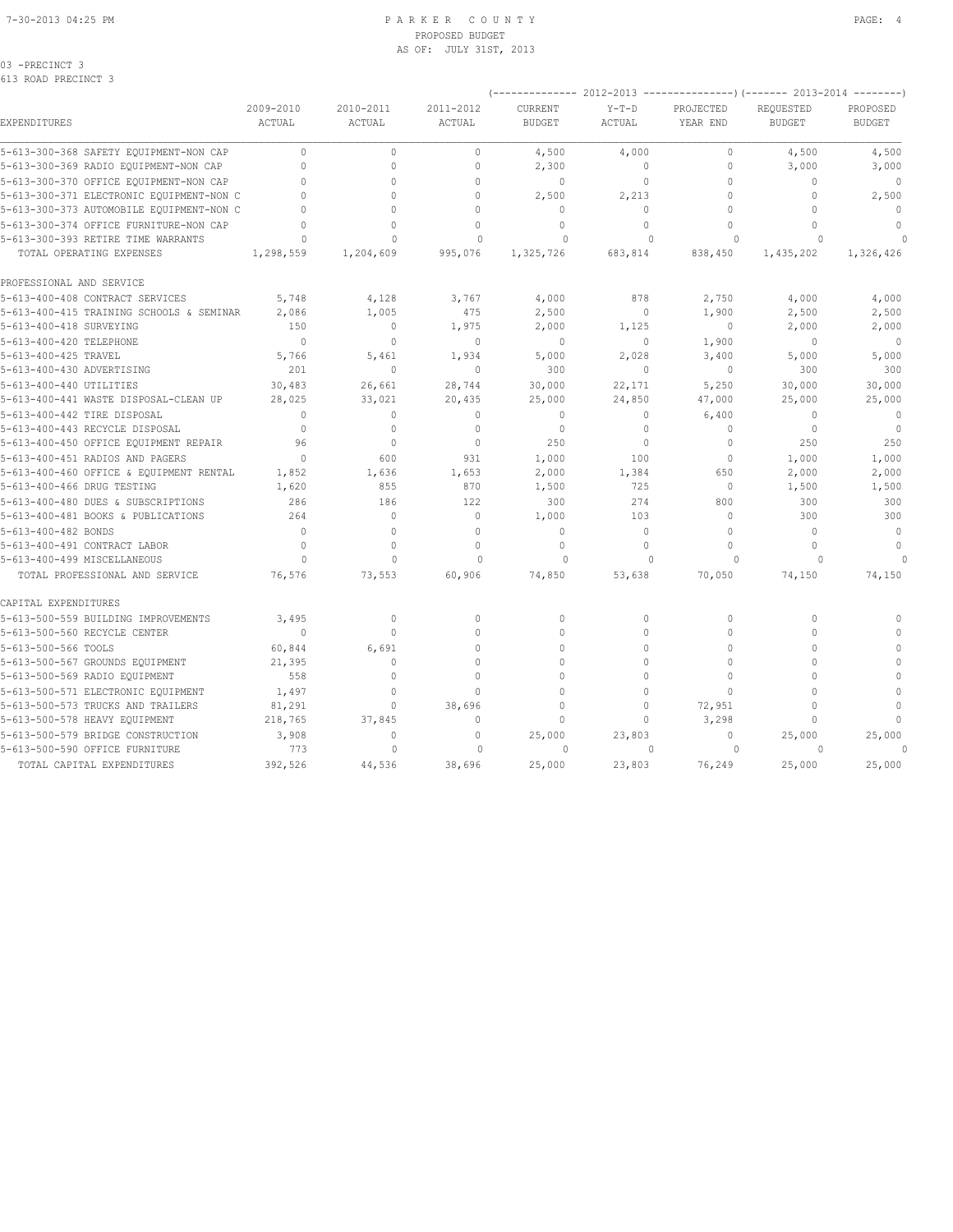### 7-30-2013 04:25 PM P A R K E R C O U N T Y PAGE: 4 PROPOSED BUDGET AS OF: JULY 31ST, 2013

| -PRECINCT<br>ſ |  |
|----------------|--|
|----------------|--|

| EXPENDITURES                             | 2009-2010<br><b>ACTUAL</b> | 2010-2011<br>ACTUAL | 2011-2012<br>ACTUAL              | CURRENT<br><b>BUDGET</b> | $Y-T-D$<br>ACTUAL | PROJECTED<br>YEAR END            | REQUESTED<br><b>BUDGET</b> | PROPOSED<br><b>BUDGET</b> |
|------------------------------------------|----------------------------|---------------------|----------------------------------|--------------------------|-------------------|----------------------------------|----------------------------|---------------------------|
| 5-613-300-368 SAFETY EQUIPMENT-NON CAP   | $\Omega$                   | $\Omega$            | $\begin{array}{c} \n\end{array}$ | 4,500                    | 4,000             | $\begin{array}{c} \n\end{array}$ | 4,500                      | 4,500                     |
| 5-613-300-369 RADIO EQUIPMENT-NON CAP    | $\Omega$                   | $\Omega$            | 0                                | 2,300                    | 0                 | 0                                | 3,000                      | 3,000                     |
| 5-613-300-370 OFFICE EQUIPMENT-NON CAP   | $\bigcap$                  | $\cap$              | $\Omega$                         | $\mathbf{0}$             | 0                 | $\Omega$                         | $\Omega$                   | $\mathbf{0}$              |
| 5-613-300-371 ELECTRONIC EQUIPMENT-NON C | $\bigcap$                  | $\Omega$            | $\Omega$                         | 2,500                    | 2,213             | $\Omega$                         | $\Omega$                   | 2,500                     |
| 5-613-300-373 AUTOMOBILE EQUIPMENT-NON C | $\bigcap$                  | $\Omega$            | $\Omega$                         | $\mathbf{0}$             | $\Omega$          | 0                                | $\Omega$                   | $\mathbb{O}$              |
| 5-613-300-374 OFFICE FURNITURE-NON CAP   |                            | $\Omega$            | $\Omega$                         | $\Omega$                 | $\Omega$          | $\Omega$                         | $\cap$                     | $\Omega$                  |
| 5-613-300-393 RETIRE TIME WARRANTS       | $\Omega$                   | $\Omega$            | $\mathbf 0$                      | 0                        | $\Omega$          | $\Omega$                         | $\Omega$                   |                           |
| TOTAL OPERATING EXPENSES                 | 1,298,559                  | 1,204,609           | 995,076                          | 1,325,726                | 683,814           | 838,450                          | 1,435,202                  | 1,326,426                 |
| PROFESSIONAL AND SERVICE                 |                            |                     |                                  |                          |                   |                                  |                            |                           |
| 5-613-400-408 CONTRACT SERVICES          | 5,748                      | 4,128               | 3,767                            | 4,000                    | 878               | 2,750                            | 4,000                      | 4,000                     |
| 5-613-400-415 TRAINING SCHOOLS & SEMINAR | 2,086                      | 1,005               | 475                              | 2,500                    | 0                 | 1,900                            | 2,500                      | 2,500                     |
| 5-613-400-418 SURVEYING                  | 150                        | $\circ$             | 1,975                            | 2,000                    | 1,125             | $\circ$                          | 2,000                      | 2,000                     |
| 5-613-400-420 TELEPHONE                  | $\Omega$                   | $\Omega$            | $\Omega$                         | $\mathbf{0}$             | $\circ$           | 1,900                            | $\Omega$                   | $\Omega$                  |
| 5-613-400-425 TRAVEL                     | 5,766                      | 5,461               | 1,934                            | 5,000                    | 2,028             | 3,400                            | 5,000                      | 5,000                     |
| 5-613-400-430 ADVERTISING                | 201                        | $\mathbf 0$         | $\mathbf 0$                      | 300                      | 0                 | $\mathbf{0}$                     | 300                        | 300                       |
| 5-613-400-440 UTILITIES                  | 30,483                     | 26,661              | 28,744                           | 30,000                   | 22,171            | 5,250                            | 30,000                     | 30,000                    |
| 5-613-400-441 WASTE DISPOSAL-CLEAN UP    | 28,025                     | 33,021              | 20,435                           | 25,000                   | 24,850            | 47,000                           | 25,000                     | 25,000                    |
| 5-613-400-442 TIRE DISPOSAL              | $\Omega$                   | $\Omega$            | $\Omega$                         | $\Omega$                 | $\Omega$          | 6,400                            | $\Omega$                   | $\mathbf{0}$              |
| 5-613-400-443 RECYCLE DISPOSAL           | $\Omega$                   | $\mathbf 0$         | $\mathbf{0}$                     | $\mathbf{0}$             | $\circ$           | $\mathbf{0}$                     | $\circ$                    | $\overline{0}$            |
| 5-613-400-450 OFFICE EQUIPMENT REPAIR    | 96                         | $\Omega$            | $\Omega$                         | 250                      | $\Omega$          | $\Omega$                         | 250                        | 250                       |
| 5-613-400-451 RADIOS AND PAGERS          | $\Omega$                   | 600                 | 931                              | 1,000                    | 100               | $\circ$                          | 1,000                      | 1,000                     |
| 5-613-400-460 OFFICE & EQUIPMENT RENTAL  | 1,852                      | 1,636               | 1,653                            | 2,000                    | 1,384             | 650                              | 2,000                      | 2,000                     |
| 5-613-400-466 DRUG TESTING               | 1,620                      | 855                 | 870                              | 1,500                    | 725               | $\mathbf{0}$                     | 1,500                      | 1,500                     |
| 5-613-400-480 DUES & SUBSCRIPTIONS       | 286                        | 186                 | 122                              | 300                      | 274               | 800                              | 300                        | 300                       |
| 5-613-400-481 BOOKS & PUBLICATIONS       | 264                        | $\mathbf 0$         | $\mathbf{0}$                     | 1,000                    | 103               | $\Omega$                         | 300                        | 300                       |
| 5-613-400-482 BONDS                      | $\Omega$                   | $\mathbf{0}$        | $\circ$                          | $\mathbf{0}$             | $\mathbf 0$       | $\circ$                          | $\mathbf 0$                | $\mathbf{0}$              |
| 5-613-400-491 CONTRACT LABOR             | $\Omega$                   | $\Omega$            | $\Omega$                         | $\mathbf{0}$             | $\Omega$          | $\Omega$                         | $\Omega$                   | $\Omega$                  |
| 5-613-400-499 MISCELLANEOUS              | $\Omega$                   | $\Omega$            | $\Omega$                         | $\Omega$                 | $\Omega$          | $\Omega$                         | $\Omega$                   |                           |
| TOTAL PROFESSIONAL AND SERVICE           | 76,576                     | 73,553              | 60,906                           | 74,850                   | 53,638            | 70,050                           | 74,150                     | 74,150                    |
| CAPITAL EXPENDITURES                     |                            |                     |                                  |                          |                   |                                  |                            |                           |
| 5-613-500-559 BUILDING IMPROVEMENTS      | 3,495                      | $\mathbf{0}$        | $\mathbf{0}$                     | $\mathbf{0}$             | $\circ$           | 0                                | $\mathbf{0}$               | $\Omega$                  |
| 5-613-500-560 RECYCLE CENTER             | $\mathbf{0}$               | $\circ$             | $\mathbf{0}$                     | $\mathbf{0}$             | $\circ$           | $\Omega$                         | $\Omega$                   | $\mathbf{0}$              |
| 5-613-500-566 TOOLS                      | 60,844                     | 6,691               | $\Omega$                         | $\Omega$                 | $\Omega$          | $\Omega$                         | $\Omega$                   | $\Omega$                  |
| 5-613-500-567 GROUNDS EQUIPMENT          | 21,395                     | $\mathbf 0$         | $\circ$                          | $\mathbf{0}$             | $\circ$           | 0                                | $\Omega$                   | $\mathbf{0}$              |
| 5-613-500-569 RADIO EQUIPMENT            | 558                        | $\Omega$            | $\Omega$                         | $\Omega$                 | $\Omega$          | $\Omega$                         | $\Omega$                   | $\mathbf{0}$              |
| 5-613-500-571 ELECTRONIC EQUIPMENT       | 1,497                      | $\mathbf 0$         | $\Omega$                         | $\mathbf{0}$             | $\Omega$          | $\Omega$                         | $\Omega$                   | $\mathbf{0}$              |
| 5-613-500-573 TRUCKS AND TRAILERS        | 81,291                     | $\circ$             | 38,696                           | $\Omega$                 | $\Omega$          | 72,951                           | $\Omega$                   | $\mathbf{0}$              |
| 5-613-500-578 HEAVY EQUIPMENT            | 218,765                    | 37,845              | $\mathbf{0}$                     | $\mathbf{0}$             | $\Omega$          | 3,298                            | $\Omega$                   |                           |
| 5-613-500-579 BRIDGE CONSTRUCTION        | 3,908                      | $\mathbf 0$         | $\mathbf{0}$                     | 25,000                   | 23,803            | $\mathbf{0}$                     | 25,000                     | 25,000                    |
| 5-613-500-590 OFFICE FURNITURE           | 773                        | $\mathbf{0}$        | $\circ$                          | 0                        | $\mathbf{0}$      | $\Omega$                         | $\circ$                    | $\Omega$                  |
| TOTAL CAPITAL EXPENDITURES               | 392,526                    | 44,536              | 38,696                           | 25,000                   | 23,803            | 76,249                           | 25,000                     | 25,000                    |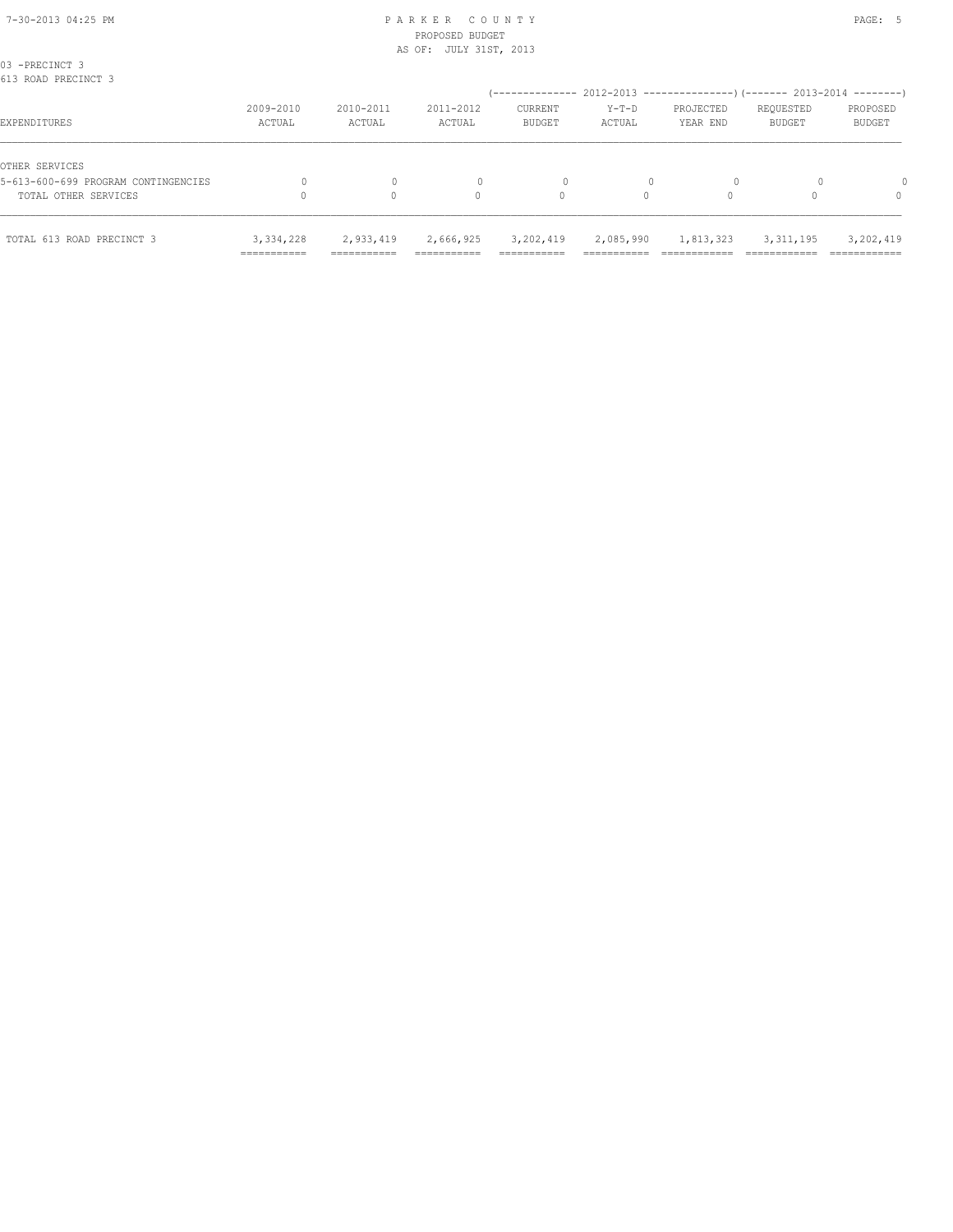# PROPOSED BUDGET AS OF: JULY 31ST, 2013

| TOTAL 613 ROAD PRECINCT 3                             | 3,334,228<br>=========== | 2,933,419<br>=========== | 2,666,925<br>------------ | 3,202,419<br>__________<br>----------- | 2,085,990<br>_________<br>---------- | 1,813,323                                             | 3, 311, 195                | 3,202,419<br>___________  |
|-------------------------------------------------------|--------------------------|--------------------------|---------------------------|----------------------------------------|--------------------------------------|-------------------------------------------------------|----------------------------|---------------------------|
| TOTAL OTHER SERVICES                                  |                          |                          | 0                         | 0                                      | 0                                    | $\Omega$                                              |                            | 0                         |
| OTHER SERVICES<br>5-613-600-699 PROGRAM CONTINGENCIES |                          |                          |                           | 0                                      |                                      | $\Omega$                                              |                            |                           |
| EXPENDITURES                                          | 2009-2010<br>ACTUAL      | 2010-2011<br>ACTUAL      | 2011-2012<br>ACTUAL       | CURRENT<br><b>BUDGET</b>               | $Y-T-D$<br>ACTUAL                    | PROJECTED<br>YEAR END                                 | REQUESTED<br><b>BUDGET</b> | PROPOSED<br><b>BUDGET</b> |
| 03 -PRECINCT 3<br>613 ROAD PRECINCT 3                 |                          |                          |                           | ---------------                        |                                      | 2012-2013 ---------------------- 2013-2014 ---------- |                            |                           |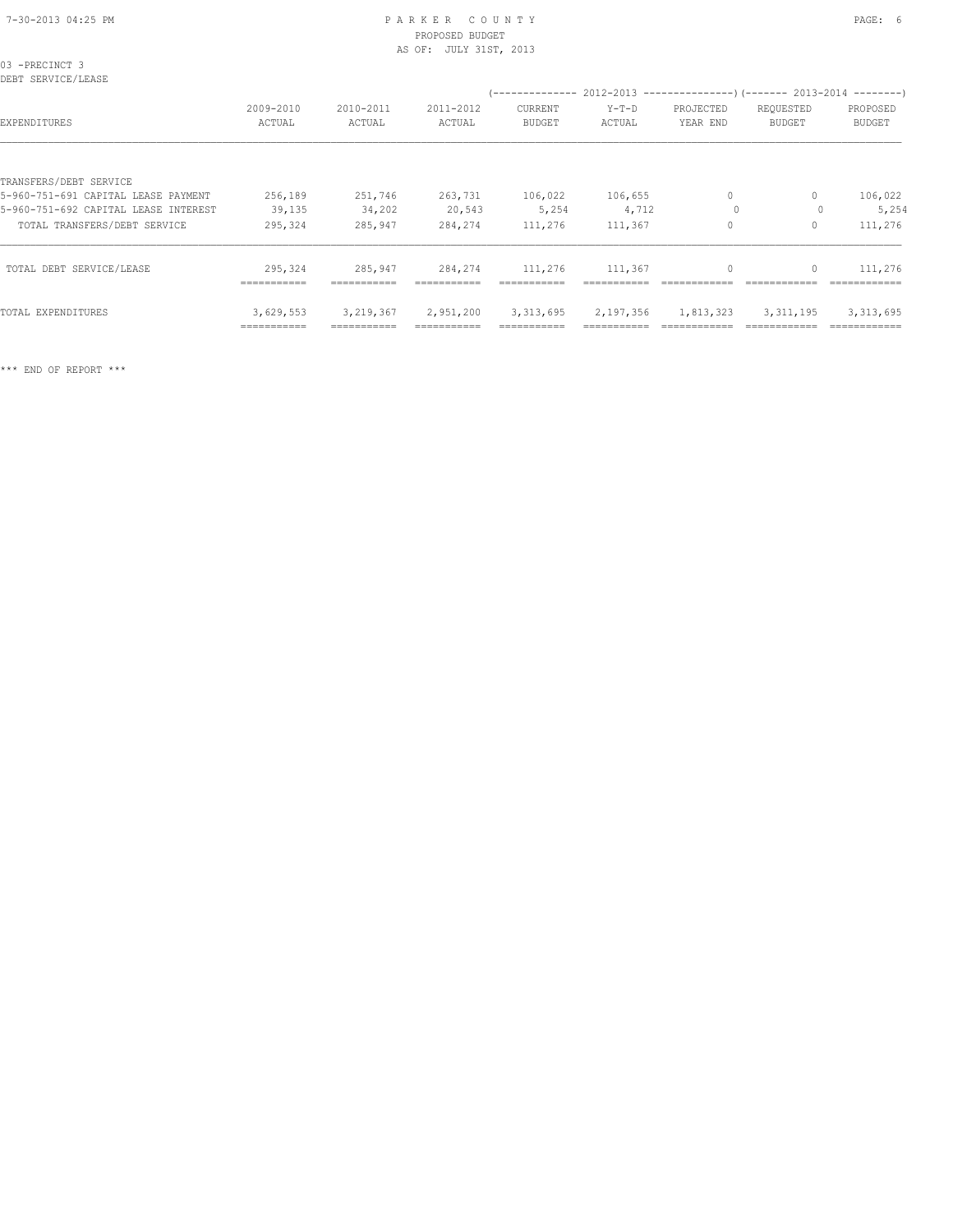### 7-30-2013 04:25 PM P A R K E R C O U N T Y PAGE: 6 PROPOSED BUDGET AS OF: JULY 31ST, 2013

| 03 -PRECINCT 3<br>DEBT SERVICE/LEASE |                        |                     |                     |                                             |                   |                       |                                                                                        |                           |
|--------------------------------------|------------------------|---------------------|---------------------|---------------------------------------------|-------------------|-----------------------|----------------------------------------------------------------------------------------|---------------------------|
| EXPENDITURES                         | 2009-2010<br>ACTUAL    | 2010-2011<br>ACTUAL | 2011-2012<br>ACTUAL | /--------------<br>CURRENT<br><b>BUDGET</b> | $Y-T-D$<br>ACTUAL | PROJECTED<br>YEAR END | $2012-2013$ ---------------)(------- 2013-2014 --------)<br>REQUESTED<br><b>BUDGET</b> | PROPOSED<br><b>BUDGET</b> |
|                                      |                        |                     |                     |                                             |                   |                       |                                                                                        |                           |
| TRANSFERS/DEBT SERVICE               |                        |                     |                     |                                             |                   |                       |                                                                                        |                           |
| 5-960-751-691 CAPITAL LEASE PAYMENT  | 256,189                | 251,746             | 263,731             | 106,022                                     | 106,655           | 0                     | 0                                                                                      | 106,022                   |
| 5-960-751-692 CAPITAL LEASE INTEREST | 39,135                 | 34,202              | 20,543              | 5,254                                       | 4,712             | $\circ$               |                                                                                        | 5,254                     |
| TOTAL TRANSFERS/DEBT SERVICE         | 295,324                | 285,947             | 284,274             | 111,276                                     | 111,367           | $\Omega$              | 0                                                                                      | 111,276                   |
| TOTAL DEBT SERVICE/LEASE             | 295,324<br>=========== | 285,947             | 284,274             | 111,276<br>===========                      | 111,367           | $\Omega$              |                                                                                        | 111,276                   |
| TOTAL EXPENDITURES                   | 3,629,553              | 3,219,367           | 2,951,200           | 3, 313, 695                                 | 2,197,356         | 1,813,323             | 3, 311, 195                                                                            | 3, 313, 695               |

=========== =========== =========== =========== =========== ============ ============ ============

\*\*\* END OF REPORT \*\*\*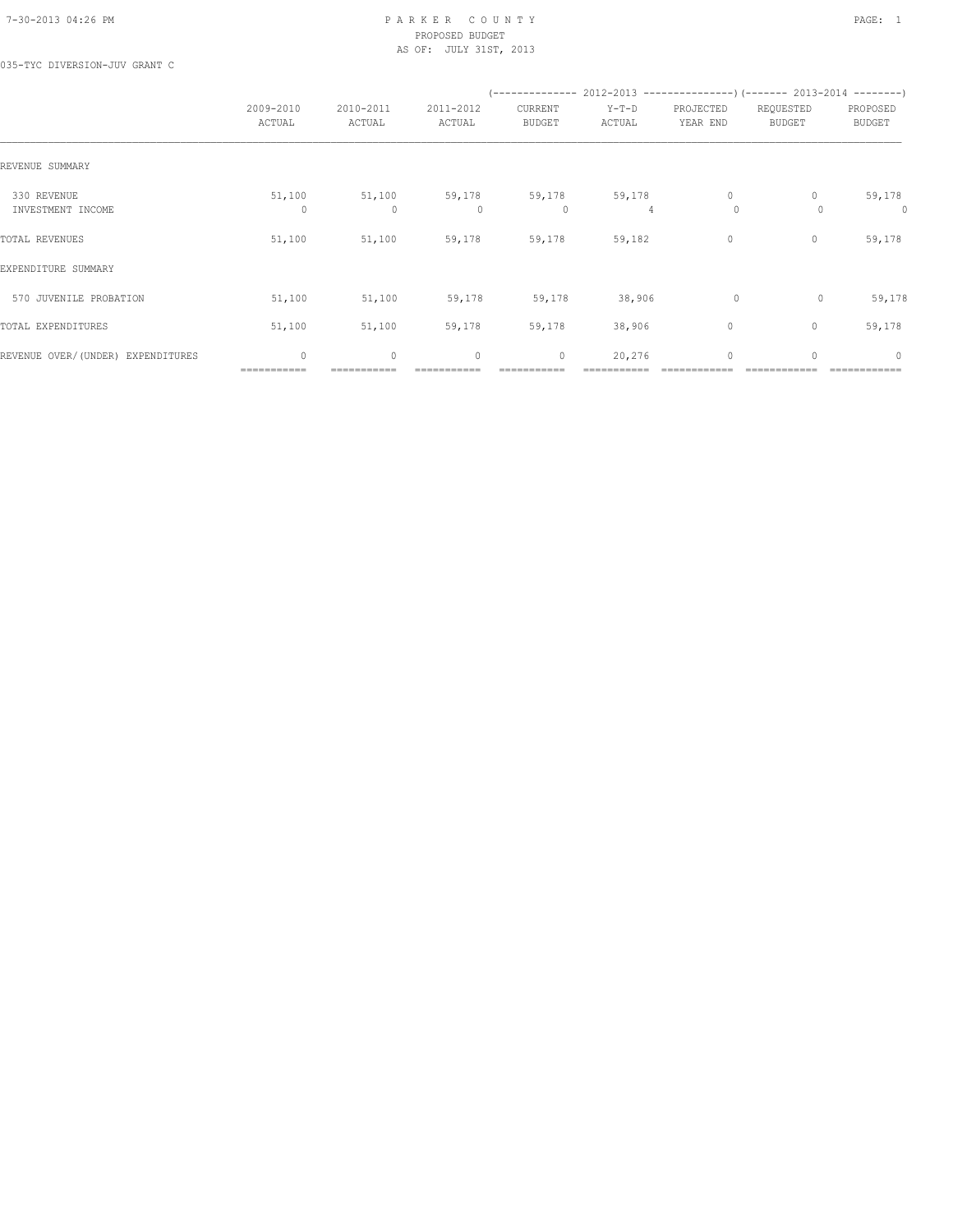### 7-30-2013 04:26 PM P A R K E R C O U N T Y PAGE: 1 PROPOSED BUDGET AS OF: JULY 31ST, 2013

035-TYC DIVERSION-JUV GRANT C

|                                   |                        |                        |                     |                          |                   | (-------------- 2012-2013 -------------------) (------- 2013-2014 ---------) |                            |                           |
|-----------------------------------|------------------------|------------------------|---------------------|--------------------------|-------------------|------------------------------------------------------------------------------|----------------------------|---------------------------|
|                                   | 2009-2010<br>ACTUAL    | 2010-2011<br>ACTUAL    | 2011-2012<br>ACTUAL | CURRENT<br><b>BUDGET</b> | $Y-T-D$<br>ACTUAL | PROJECTED<br>YEAR END                                                        | REQUESTED<br><b>BUDGET</b> | PROPOSED<br><b>BUDGET</b> |
| REVENUE SUMMARY                   |                        |                        |                     |                          |                   |                                                                              |                            |                           |
| 330 REVENUE<br>INVESTMENT INCOME  | 51,100<br>$\Omega$     | 51,100<br>$\mathbf{0}$ | 59,178<br>$\Omega$  | 59,178<br>0              | 59,178<br>4       | $\mathbf{0}$<br>$\circ$                                                      | $\Omega$                   | 59,178<br>0               |
| TOTAL REVENUES                    | 51,100                 | 51,100                 | 59,178              | 59,178                   | 59,182            | $\circ$                                                                      | $\mathbf{0}$               | 59,178                    |
| EXPENDITURE SUMMARY               |                        |                        |                     |                          |                   |                                                                              |                            |                           |
| 570 JUVENILE PROBATION            | 51,100                 | 51,100                 | 59,178              | 59,178                   | 38,906            | $\circ$                                                                      | 0                          | 59,178                    |
| TOTAL EXPENDITURES                | 51,100                 | 51,100                 | 59,178              | 59,178                   | 38,906            | $\circ$                                                                      | $\mathbf{0}$               | 59,178                    |
| REVENUE OVER/(UNDER) EXPENDITURES | $\circ$<br>=========== | 0                      | $\mathbf{0}$        | $\circ$<br>===========   | 20,276            | $\mathbf 0$                                                                  | 0                          | $\mathbf{0}$              |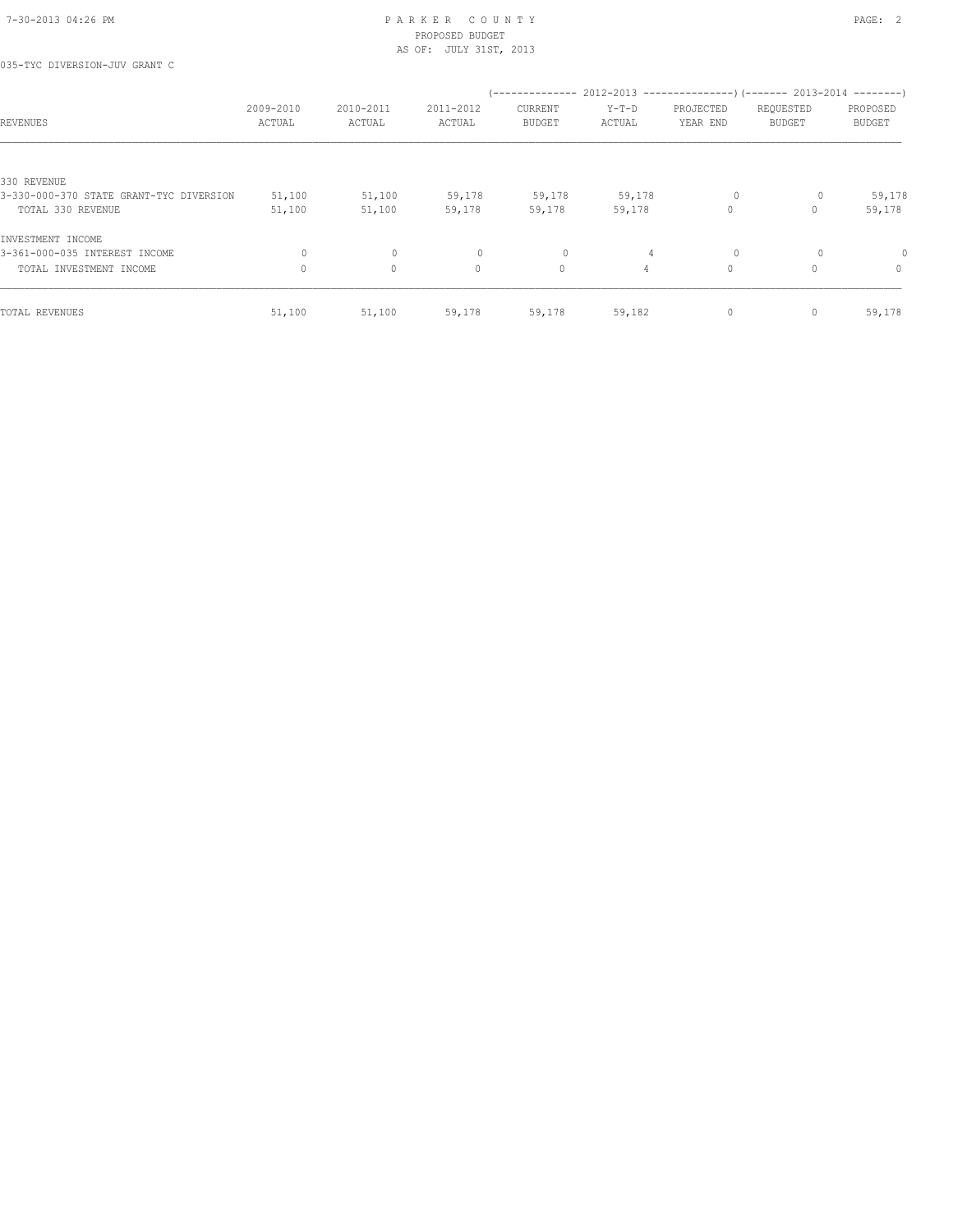035-TYC DIVERSION-JUV GRANT C

| REVENUES                                | 2009-2010<br>ACTUAL | 2010-2011<br>ACTUAL | 2011-2012<br>ACTUAL | --------------<br>CURRENT<br><b>BUDGET</b> | $Y-T-D$<br>ACTUAL | PROJECTED<br>YEAR END | $2012-2013$ ----------------)(------- 2013-2014 --------)<br>REQUESTED<br>BUDGET | PROPOSED<br><b>BUDGET</b> |
|-----------------------------------------|---------------------|---------------------|---------------------|--------------------------------------------|-------------------|-----------------------|----------------------------------------------------------------------------------|---------------------------|
|                                         |                     |                     |                     |                                            |                   |                       |                                                                                  |                           |
| 330 REVENUE                             |                     |                     |                     |                                            |                   |                       |                                                                                  |                           |
| 3-330-000-370 STATE GRANT-TYC DIVERSION | 51,100              | 51,100              | 59,178              | 59,178                                     | 59,178            |                       | 0                                                                                | 59,178                    |
| TOTAL 330 REVENUE                       | 51,100              | 51,100              | 59,178              | 59,178                                     | 59,178            | 0                     |                                                                                  | 59,178                    |
| INVESTMENT INCOME                       |                     |                     |                     |                                            |                   |                       |                                                                                  |                           |
| 3-361-000-035 INTEREST INCOME           | $\Omega$            | $\circ$             | $\circ$             | 0                                          | 4                 |                       | $\Omega$                                                                         | $\Omega$                  |
| TOTAL INVESTMENT INCOME                 | $\Omega$            | $\circ$             | $\circ$             | $\circ$                                    | $\overline{4}$    | 0                     |                                                                                  | $\circ$                   |
| TOTAL REVENUES                          | 51,100              | 51,100              | 59,178              | 59,178                                     | 59,182            | 0                     | 0                                                                                | 59,178                    |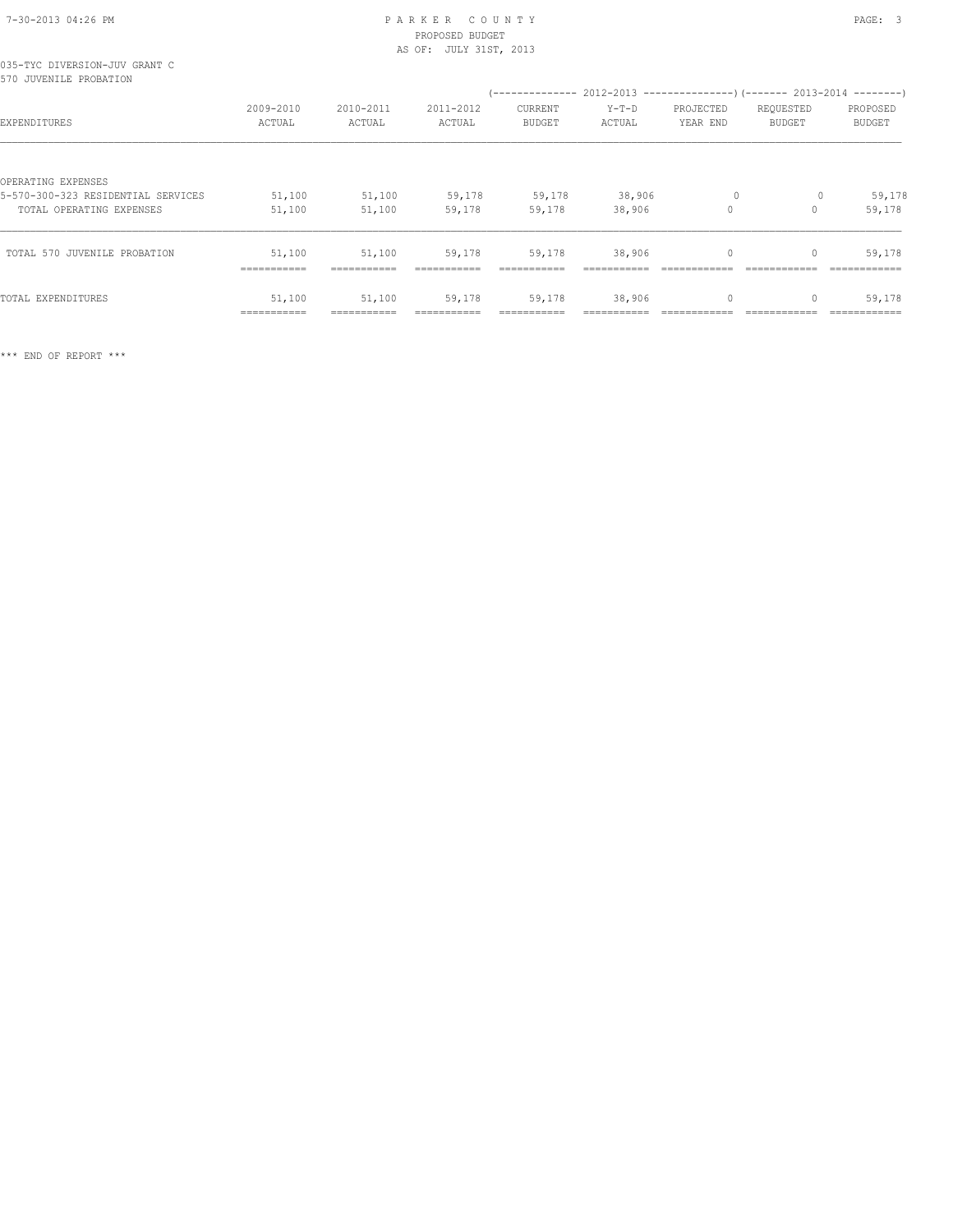| 7-30-2013 04:26 PM |  |
|--------------------|--|

# PARKER COUNTY PARKER S PROPOSED BUDGET

| AS OF: JULY 31ST, 2013                                  |           |           |           |                |                                                                      |           |               |               |  |  |  |  |  |
|---------------------------------------------------------|-----------|-----------|-----------|----------------|----------------------------------------------------------------------|-----------|---------------|---------------|--|--|--|--|--|
| 035-TYC DIVERSION-JUV GRANT C<br>570 JUVENILE PROBATION |           |           |           |                |                                                                      |           |               |               |  |  |  |  |  |
|                                                         |           |           |           |                | (-------------- 2012-2013 --------------------- 2013-2014 ---------- |           |               |               |  |  |  |  |  |
|                                                         | 2009-2010 | 2010-2011 | 2011-2012 | <b>CURRENT</b> | $Y-T-D$                                                              | PROJECTED | REQUESTED     | PROPOSED      |  |  |  |  |  |
| EXPENDITURES                                            | ACTUAL    | ACTUAL    | ACTUAL    | <b>BUDGET</b>  | ACTUAL                                                               | YEAR END  | <b>BUDGET</b> | <b>BUDGET</b> |  |  |  |  |  |
|                                                         |           |           |           |                |                                                                      |           |               |               |  |  |  |  |  |
| OPERATING EXPENSES                                      |           |           |           |                |                                                                      |           |               |               |  |  |  |  |  |
| 5-570-300-323 RESIDENTIAL SERVICES                      | 51,100    | 51,100    | 59,178    | 59,178         | 38,906                                                               | $\circ$   | 0             | 59,178        |  |  |  |  |  |
| TOTAL OPERATING EXPENSES                                | 51,100    | 51,100    | 59,178    | 59,178         | 38,906                                                               | $\circ$   | 0             | 59,178        |  |  |  |  |  |
| TOTAL 570 JUVENILE PROBATION                            | 51,100    | 51,100    | 59,178    | 59,178         | 38,906                                                               |           |               | 59,178        |  |  |  |  |  |

 =========== =========== =========== =========== =========== ============ ============ ============ TOTAL EXPENDITURES 51,100 51,100 59,178 59,178 38,906 0 0 59,178 =========== =========== =========== =========== =========== ============ ============ ============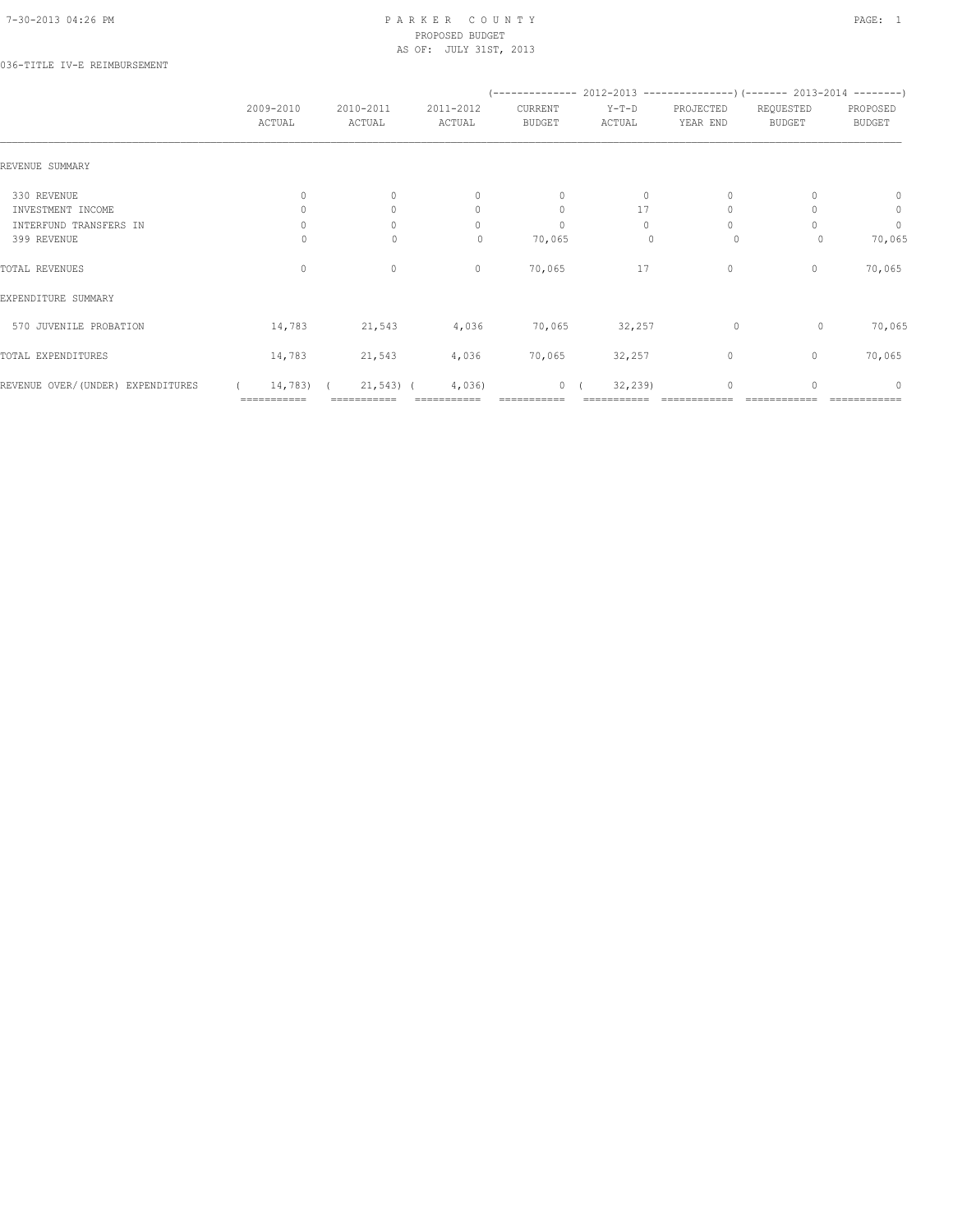### 036-TITLE IV-E REIMBURSEMENT

|                                   | 2009-2010<br>ACTUAL | 2010-2011<br>ACTUAL | 2011-2012<br>ACTUAL | CURRENT<br>BUDGET | $Y-T-D$<br>ACTUAL | PROJECTED<br>YEAR END | REQUESTED<br>BUDGET | PROPOSED<br><b>BUDGET</b>        |
|-----------------------------------|---------------------|---------------------|---------------------|-------------------|-------------------|-----------------------|---------------------|----------------------------------|
| REVENUE SUMMARY                   |                     |                     |                     |                   |                   |                       |                     |                                  |
| 330 REVENUE                       | 0                   | $\Omega$            | $\mathbf{0}$        | $\mathbf{0}$      | $\circ$           | $\Omega$              |                     | $\mathbf{0}$                     |
| INVESTMENT INCOME                 |                     | $\Omega$            | $\mathbf{0}$        | $\circ$           | 17                | $\Omega$              |                     | $\circ$                          |
| INTERFUND TRANSFERS IN            | $\Omega$            | $\Omega$            | $\Omega$            | $\mathbf{0}$      | $\Omega$          | $\Omega$              |                     | $\circ$                          |
| 399 REVENUE                       | U                   | $\mathbf{0}$        | $\mathbf{0}$        | 70,065            | $\Omega$          | $\circ$               | 0                   | 70,065                           |
| TOTAL REVENUES                    | $\mathbf{0}$        | $\circ$             | $\mathbf{0}$        | 70,065            | 17                | $\circ$               | $\Omega$            | 70,065                           |
| EXPENDITURE SUMMARY               |                     |                     |                     |                   |                   |                       |                     |                                  |
| 570 JUVENILE PROBATION            | 14,783              | 21,543              | 4,036               | 70,065            | 32,257            | $\circ$               | $\circ$             | 70,065                           |
| TOTAL EXPENDITURES                | 14,783              | 21,543              | 4,036               | 70,065            | 32,257            | 0                     | $\mathbf{0}$        | 70,065                           |
| REVENUE OVER/(UNDER) EXPENDITURES | 14,783) (           | $21,543$ (          | 4,036)              | 0(                | 32, 239           | $\Omega$              |                     | $\begin{array}{c} \n\end{array}$ |
|                                   | ===========         |                     |                     |                   |                   |                       |                     |                                  |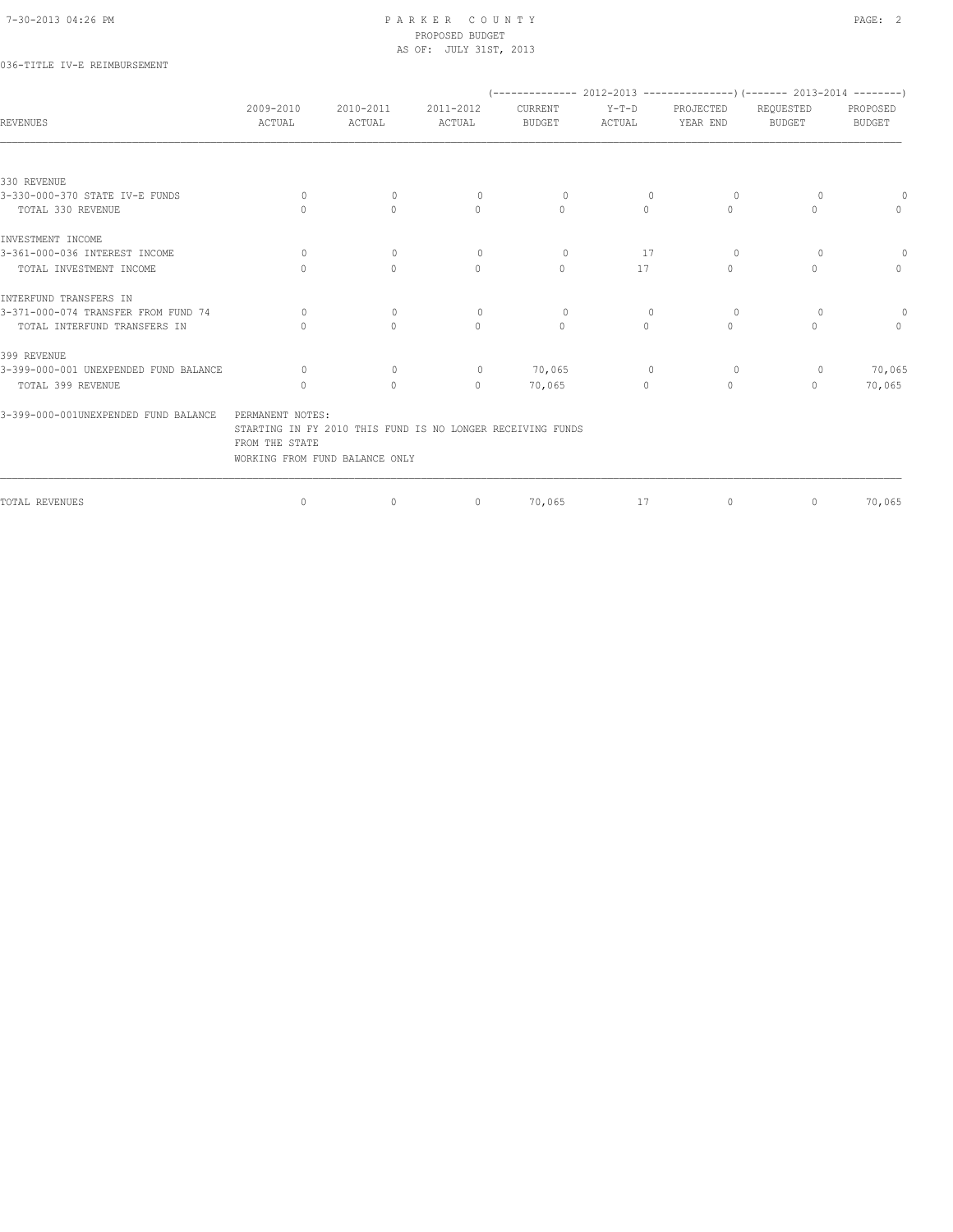## 036-TITLE IV-E REIMBURSEMENT

|                                       |                                                                                                                                    |                     |                                  |                          |                   | $(-----2012-2013)$ $---2013-2013$ $---2013-2014$ $---2013-2014$ |                            |                    |
|---------------------------------------|------------------------------------------------------------------------------------------------------------------------------------|---------------------|----------------------------------|--------------------------|-------------------|-----------------------------------------------------------------|----------------------------|--------------------|
| <b>REVENUES</b>                       | 2009-2010<br>ACTUAL                                                                                                                | 2010-2011<br>ACTUAL | 2011-2012<br>ACTUAL              | CURRENT<br><b>BUDGET</b> | $Y-T-D$<br>ACTUAL | PROJECTED<br>YEAR END                                           | REQUESTED<br><b>BUDGET</b> | PROPOSED<br>BUDGET |
|                                       |                                                                                                                                    |                     |                                  |                          |                   |                                                                 |                            |                    |
| 330 REVENUE                           |                                                                                                                                    |                     |                                  |                          |                   |                                                                 |                            |                    |
| 3-330-000-370 STATE IV-E FUNDS        | $\Omega$                                                                                                                           | $\Omega$            | $\circ$                          | $\Omega$                 | $\Omega$          | 0                                                               | $\bigcap$                  | $\circ$            |
| TOTAL 330 REVENUE                     | $\bigcap$                                                                                                                          | $\Omega$            | $\mathbf{0}$                     | $\mathbf{0}$             | $\circ$           | $\Omega$                                                        | 0                          | $\circ$            |
| INVESTMENT INCOME                     |                                                                                                                                    |                     |                                  |                          |                   |                                                                 |                            |                    |
| 3-361-000-036 INTEREST INCOME         | $\Omega$                                                                                                                           | $\mathbf{0}$        | $\circ$                          | $\Omega$                 | 17                | $\circ$                                                         | $\Omega$                   | $\circ$            |
| TOTAL INVESTMENT INCOME               | $\bigcap$                                                                                                                          | $\Omega$            | $\Omega$                         | $\Omega$                 | 17                | $\begin{array}{c} \n\end{array}$                                | 0                          | $\Omega$           |
| INTERFUND TRANSFERS IN                |                                                                                                                                    |                     |                                  |                          |                   |                                                                 |                            |                    |
| 3-371-000-074 TRANSFER FROM FUND 74   | $\Omega$                                                                                                                           | $\mathbf{0}$        | $\circ$                          | $\circ$                  | $\overline{0}$    | 0                                                               | $\Omega$                   | $\Omega$           |
| TOTAL INTERFUND TRANSFERS IN          |                                                                                                                                    | $\bigcap$           | $\begin{array}{c} \n\end{array}$ | $\Omega$                 | $\Omega$          | $\begin{array}{c} \n\end{array}$                                | 0                          | $\Omega$           |
| 399 REVENUE                           |                                                                                                                                    |                     |                                  |                          |                   |                                                                 |                            |                    |
| 3-399-000-001 UNEXPENDED FUND BALANCE | $\Omega$                                                                                                                           | $\mathbf{0}$        | $\circ$                          | 70,065                   | $\circ$           | $\circ$                                                         | $\circ$                    | 70,065             |
| TOTAL 399 REVENUE                     | $\cap$                                                                                                                             | $\Omega$            | $\Omega$                         | 70,065                   | $\Omega$          | $\begin{array}{c} \n\end{array}$                                | $\bigcap$                  | 70,065             |
| 3-399-000-001UNEXPENDED FUND BALANCE  | PERMANENT NOTES:<br>STARTING IN FY 2010 THIS FUND IS NO LONGER RECEIVING FUNDS<br>FROM THE STATE<br>WORKING FROM FUND BALANCE ONLY |                     |                                  |                          |                   |                                                                 |                            |                    |
| TOTAL REVENUES                        | $\mathbf{0}$                                                                                                                       | $\mathbf{0}$        | $\mathbf{0}$                     | 70,065                   | 17                | $\circ$                                                         | $\circ$                    | 70,065             |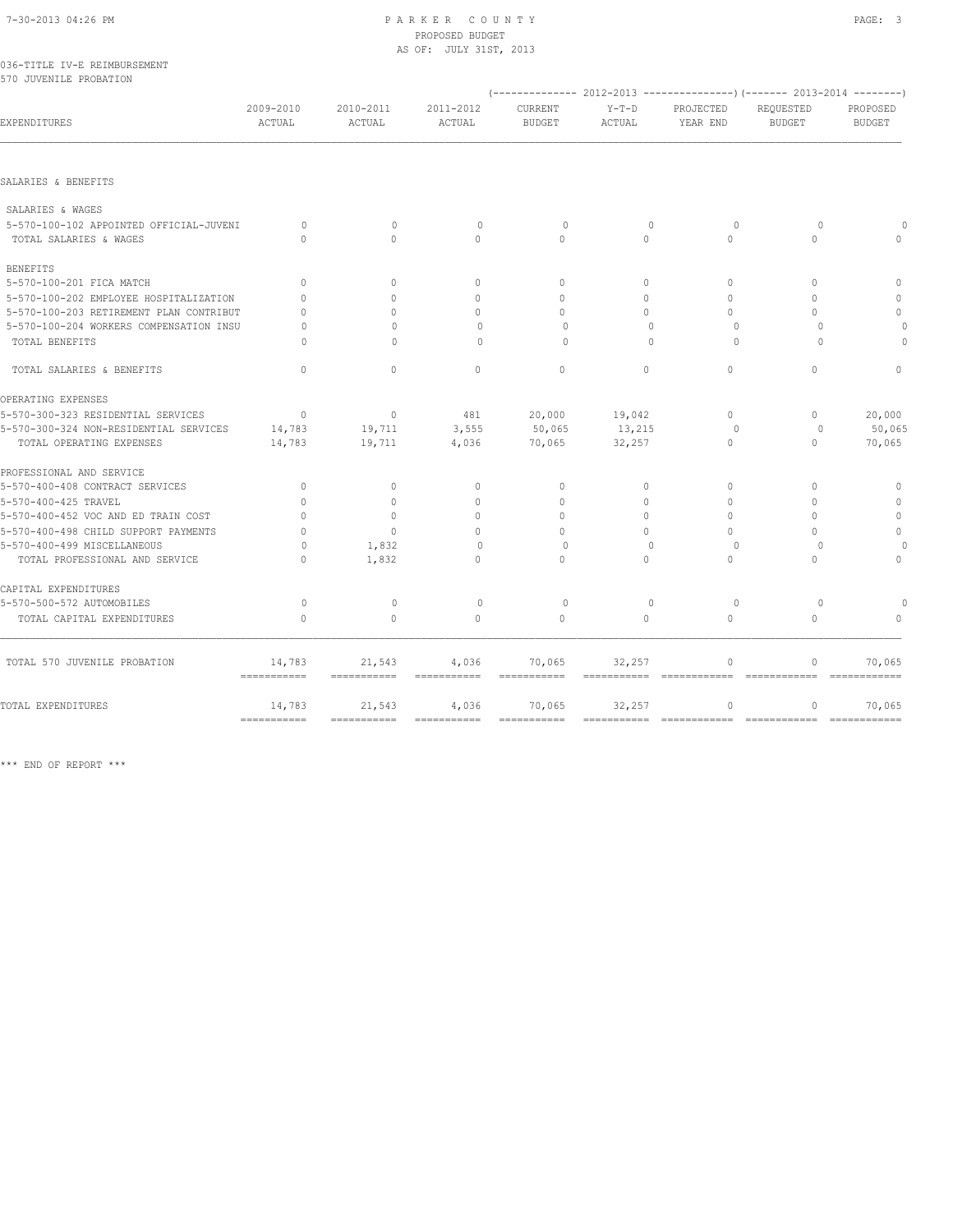| 7-30-2013 04:26 PM                      | PARKER COUNTY<br>PROPOSED BUDGET<br>AS OF: JULY 31ST, 2013 |                            |                     |               |                                                                         |                       |                            | PAGE: 3                   |  |
|-----------------------------------------|------------------------------------------------------------|----------------------------|---------------------|---------------|-------------------------------------------------------------------------|-----------------------|----------------------------|---------------------------|--|
| 036-TITLE IV-E REIMBURSEMENT            |                                                            |                            |                     |               |                                                                         |                       |                            |                           |  |
| 570 JUVENILE PROBATION                  |                                                            |                            |                     |               | (-------------- 2012-2013 ----------------) (------- 2013-2014 -------- |                       |                            |                           |  |
|                                         | 2009-2010                                                  |                            |                     | CURRENT       |                                                                         |                       |                            |                           |  |
| <b>EXPENDITURES</b>                     | ACTUAL                                                     | 2010-2011<br><b>ACTUAL</b> | 2011-2012<br>ACTUAL | <b>BUDGET</b> | $Y-T-D$<br>ACTUAL                                                       | PROJECTED<br>YEAR END | REQUESTED<br><b>BUDGET</b> | PROPOSED<br><b>BUDGET</b> |  |
| SALARIES & BENEFITS                     |                                                            |                            |                     |               |                                                                         |                       |                            |                           |  |
| SALARIES & WAGES                        |                                                            |                            |                     |               |                                                                         |                       |                            |                           |  |
| 5-570-100-102 APPOINTED OFFICIAL-JUVENI | $\Omega$                                                   | $\Omega$                   | $\bigcap$           | $\Omega$      | $\Omega$                                                                | $\Omega$              | $\Omega$                   |                           |  |
| TOTAL SALARIES & WAGES                  | $\Omega$                                                   | $\Omega$                   | $\Omega$            | $\cap$        | $\Omega$                                                                | $\Omega$              | $\Omega$                   |                           |  |
| <b>BENEFITS</b>                         |                                                            |                            |                     |               |                                                                         |                       |                            |                           |  |
| 5-570-100-201 FICA MATCH                | $\Omega$                                                   | $\Omega$                   | $\Omega$            | $\Omega$      | $\Omega$                                                                | $\Omega$              | $\Omega$                   | $\circ$                   |  |
| 5-570-100-202 EMPLOYEE HOSPITALIZATION  | $\Omega$                                                   | $\bigcap$                  | $\mathbf 0$         | $\Omega$      | $\Omega$                                                                | $\Omega$              | $\Omega$                   | $\mathbb O$               |  |
| 5-570-100-203 RETIREMENT PLAN CONTRIBUT | $\Omega$                                                   | $\cap$                     | $\Omega$            | $\bigcap$     | $\Omega$                                                                | $\cap$                | $\bigcap$                  | $\circ$                   |  |
| 5-570-100-204 WORKERS COMPENSATION INSU | $\Omega$                                                   | $\Omega$                   | $\Omega$            | $\Omega$      | $\Omega$                                                                | $\Omega$              | $\Omega$                   | 0                         |  |
| TOTAL BENEFITS                          | $\Omega$                                                   | $\Omega$                   | $\Omega$            | $\Omega$      | $\Omega$                                                                | $\Omega$              | $\Omega$                   |                           |  |
| TOTAL SALARIES & BENEFITS               | $\Omega$                                                   | $\Omega$                   | $\Omega$            | $\Omega$      | $\Omega$                                                                | $\Omega$              | $\Omega$                   | $\Omega$                  |  |
| OPERATING EXPENSES                      |                                                            |                            |                     |               |                                                                         |                       |                            |                           |  |
| 5-570-300-323 RESIDENTIAL SERVICES      | $\mathbf{0}$                                               | $\Omega$                   | 481                 | 20,000        | 19,042                                                                  | $\Omega$              | $\mathbf{0}$               | 20,000                    |  |
| 5-570-300-324 NON-RESIDENTIAL SERVICES  | 14,783                                                     | 19,711                     | 3,555               | 50,065        | 13,215                                                                  | $\circ$               | 0                          | 50,065                    |  |
| TOTAL OPERATING EXPENSES                | 14,783                                                     | 19,711                     | 4,036               | 70,065        | 32,257                                                                  | $\mathbf{0}$          | $\mathbf{0}$               | 70,065                    |  |
| PROFESSIONAL AND SERVICE                |                                                            |                            |                     |               |                                                                         |                       |                            |                           |  |
| 5-570-400-408 CONTRACT SERVICES         | $\mathbf{0}$                                               | $\mathbf{0}$               | $\mathbf{0}$        | $\circ$       | 0                                                                       | $\circ$               | $\circ$                    | $\mathbf{0}$              |  |
| 5-570-400-425 TRAVEL                    | $\mathbf{0}$                                               | $\mathbf{0}$               | $\circ$             | $\Omega$      | $\circ$                                                                 | $\Omega$              | $\Omega$                   | $\circ$                   |  |
| 5-570-400-452 VOC AND ED TRAIN COST     | $\Omega$                                                   | $\mathbf{0}$               | $\circ$             | $\Omega$      | $\circ$                                                                 | $\Omega$              | $\Omega$                   | $\circ$                   |  |
| 5-570-400-498 CHILD SUPPORT PAYMENTS    | $\Omega$                                                   | $\Omega$                   | $\Omega$            | $\bigcap$     | $\Omega$                                                                | $\Omega$              | $\bigcap$                  | $\mathbb O$               |  |
| 5-570-400-499 MISCELLANEOUS             | $\Omega$                                                   | 1,832                      | $\circ$             | $\Omega$      | $\Omega$                                                                | $\Omega$              | $\Omega$                   | $\Omega$                  |  |
| TOTAL PROFESSIONAL AND SERVICE          | $\Omega$                                                   | 1,832                      | $\Omega$            | $\Omega$      | $\Omega$                                                                | $\Omega$              | $\Omega$                   | $\Omega$                  |  |
| CAPITAL EXPENDITURES                    |                                                            |                            |                     |               |                                                                         |                       |                            |                           |  |
| 5-570-500-572 AUTOMOBILES               | $\circ$                                                    | $\mathbf{0}$               | $\circ$             | $\circ$       | $\mathbf{0}$                                                            | $\Omega$              | $\Omega$                   | $\Omega$                  |  |

 TOTAL 570 JUVENILE PROBATION 14,783 21,543 4,036 70,065 32,257 0 0 70,065 =========== =========== =========== =========== =========== ============ ============ ============ TOTAL EXPENDITURES 14,783 21,543 4,036 70,065 32,257 0 0 70,065 =========== =========== =========== =========== =========== ============ ============ ============

TOTAL CAPITAL EXPENDITURES 0 0 0 0 0 0 0 0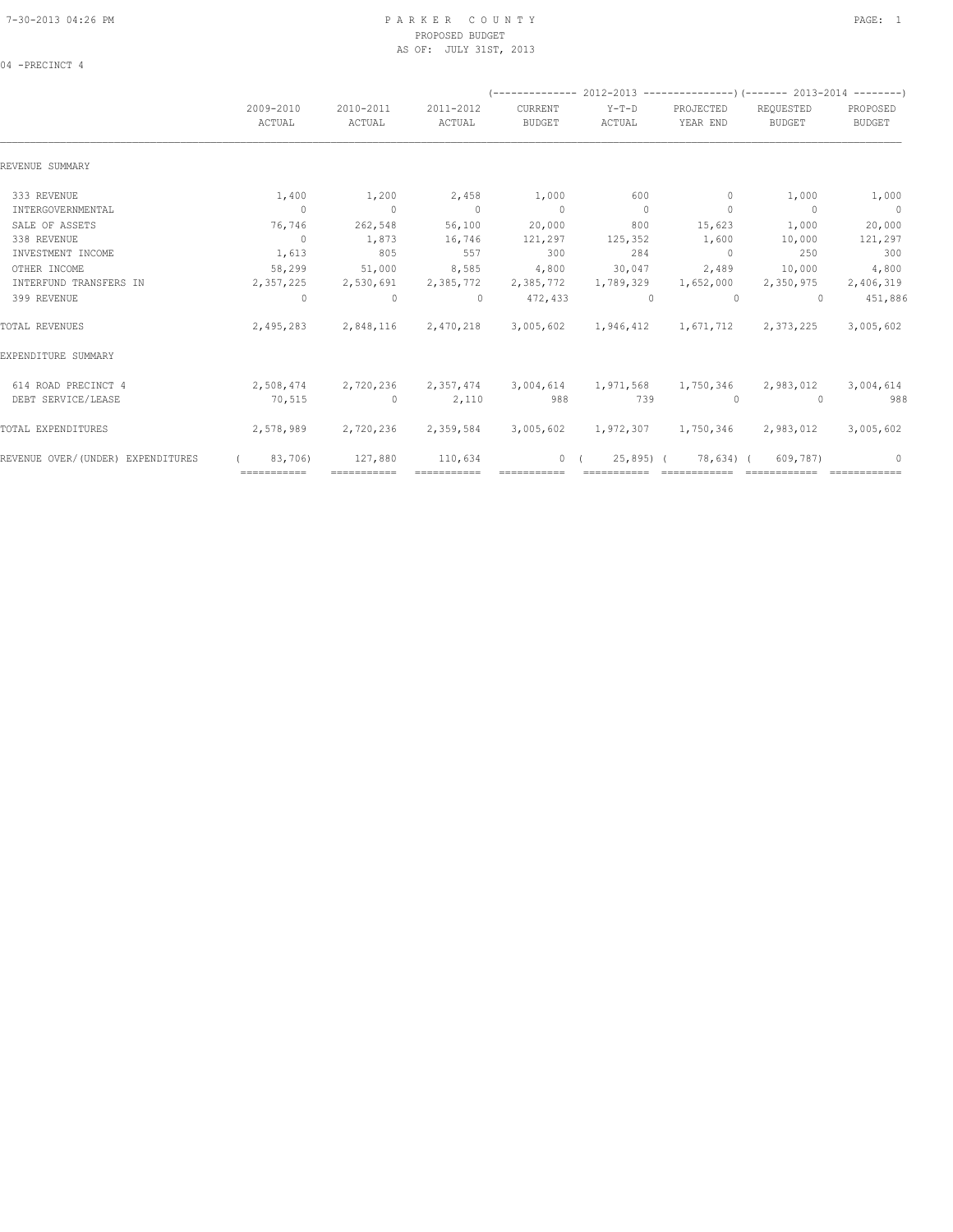04 -PRECINCT 4

|                                   | (-------------- 2012-2013 ----------------) (------- 2013-2014 --------) |                               |                     |                          |                                            |                            |                               |                           |  |  |  |
|-----------------------------------|--------------------------------------------------------------------------|-------------------------------|---------------------|--------------------------|--------------------------------------------|----------------------------|-------------------------------|---------------------------|--|--|--|
|                                   | 2009-2010<br>ACTUAL                                                      | 2010-2011<br>ACTUAL           | 2011-2012<br>ACTUAL | CURRENT<br><b>BUDGET</b> | $Y-T-D$<br>ACTUAL                          | PROJECTED<br>YEAR END      | REQUESTED<br><b>BUDGET</b>    | PROPOSED<br><b>BUDGET</b> |  |  |  |
| REVENUE SUMMARY                   |                                                                          |                               |                     |                          |                                            |                            |                               |                           |  |  |  |
| 333 REVENUE                       | 1,400                                                                    | 1,200                         | 2,458               | 1,000                    | 600                                        | $\circ$                    | 1,000                         | 1,000                     |  |  |  |
| INTERGOVERNMENTAL                 | $\Omega$                                                                 | $\bigcirc$                    | $\overline{0}$      | $\sim$ 0                 | $\overline{0}$                             | $\mathbf{0}$               | $\overline{0}$                | $\sim$ 0                  |  |  |  |
| SALE OF ASSETS                    | 76,746                                                                   | 262,548                       | 56,100              | 20,000                   | 800                                        | 15,623                     | 1,000                         | 20,000                    |  |  |  |
| 338 REVENUE                       | $\overline{0}$                                                           | 1,873                         | 16,746              | 121,297                  | 125,352                                    | 1,600                      | 10,000                        | 121,297                   |  |  |  |
| INVESTMENT INCOME                 | 1,613                                                                    | 805                           | 557                 | 300                      | 284                                        | $\overline{0}$             | 250                           | 300                       |  |  |  |
| OTHER INCOME                      | 58,299                                                                   | 51,000                        | 8,585               | 4,800                    | 30,047                                     | 2,489                      | 10,000                        | 4,800                     |  |  |  |
| INTERFUND TRANSFERS IN            | 2,357,225                                                                | 2,530,691                     | 2,385,772           | 2,385,772                | 1,789,329                                  | 1,652,000                  | 2,350,975                     | 2,406,319                 |  |  |  |
| 399 REVENUE                       | $\Omega$                                                                 | $\circ$                       | $\Omega$            | 472,433                  | $\cap$                                     | $\Omega$                   | $\bigcap$                     | 451,886                   |  |  |  |
| TOTAL REVENUES                    | 2,495,283                                                                |                               | 2,848,116 2,470,218 |                          | 3,005,602  1,946,412  1,671,712  2,373,225 |                            |                               | 3,005,602                 |  |  |  |
| EXPENDITURE SUMMARY               |                                                                          |                               |                     |                          |                                            |                            |                               |                           |  |  |  |
| 614 ROAD PRECINCT 4               |                                                                          | 2,508,474 2,720,236 2,357,474 |                     | 3,004,614                |                                            |                            | 1,971,568 1,750,346 2,983,012 | 3,004,614                 |  |  |  |
| DEBT SERVICE/LEASE                | 70,515                                                                   | $\sim$ 0                      | 2,110               | 988                      | 739                                        | $\Omega$                   | $\Omega$                      | 988                       |  |  |  |
| TOTAL EXPENDITURES                | 2,578,989                                                                | 2,720,236                     | 2,359,584           |                          | 3,005,602 1,972,307 1,750,346 2,983,012    |                            |                               | 3,005,602                 |  |  |  |
| REVENUE OVER/(UNDER) EXPENDITURES | 83,706)                                                                  | 127,880                       | 110,634             | 0(                       | 25,895) (                                  | 78,634) (                  | 609,787)                      | $\circ$                   |  |  |  |
|                                   | $=$ ===========                                                          | ============                  |                     |                          |                                            | ========================== |                               |                           |  |  |  |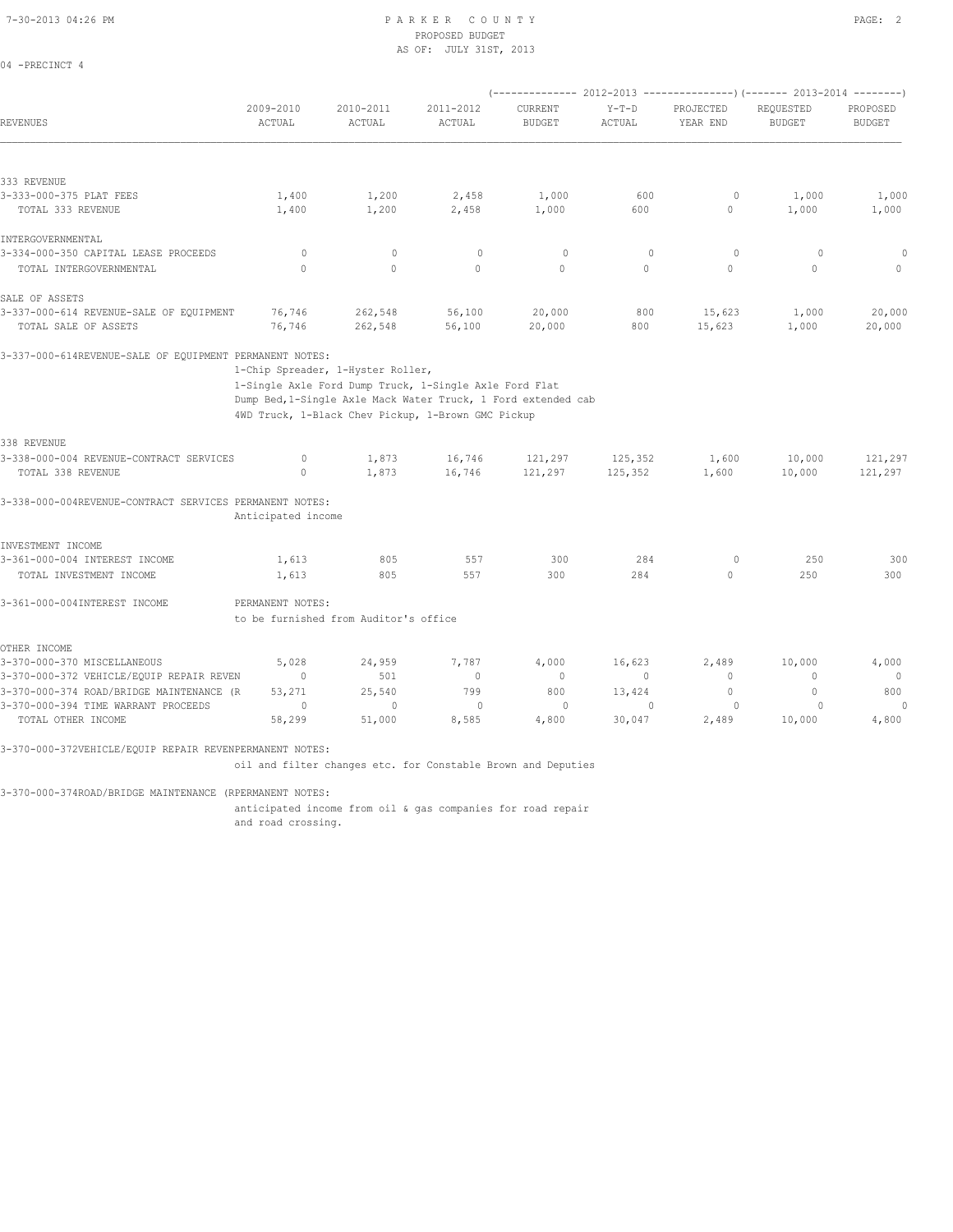04 -PRECINCT 4

## PROPOSED BUDGET AS OF: JULY 31ST, 2013

|                                                                         |                       |                                       |                                                                                                                                                                               |                          |                   | (-------------- 2012-2013 ----------------) (------- 2013-2014 --------) |                            |                           |  |
|-------------------------------------------------------------------------|-----------------------|---------------------------------------|-------------------------------------------------------------------------------------------------------------------------------------------------------------------------------|--------------------------|-------------------|--------------------------------------------------------------------------|----------------------------|---------------------------|--|
| <b>REVENUES</b>                                                         | 2009-2010<br>ACTUAL   | 2010-2011<br>ACTUAL                   | 2011-2012<br>ACTUAL                                                                                                                                                           | CURRENT<br><b>BUDGET</b> | $Y-T-D$<br>ACTUAL | PROJECTED<br>YEAR END                                                    | REQUESTED<br><b>BUDGET</b> | PROPOSED<br><b>BUDGET</b> |  |
|                                                                         |                       |                                       |                                                                                                                                                                               |                          |                   |                                                                          |                            |                           |  |
| 333 REVENUE                                                             |                       |                                       |                                                                                                                                                                               |                          |                   |                                                                          |                            |                           |  |
| 3-333-000-375 PLAT FEES                                                 | 1,400                 | 1,200                                 | 2,458                                                                                                                                                                         | 1,000                    | 600               | $\circ$                                                                  | 1,000                      | 1,000                     |  |
| TOTAL 333 REVENUE                                                       | 1,400                 | 1,200                                 | 2,458                                                                                                                                                                         | 1,000                    | 600               | $\circ$                                                                  | 1,000                      | 1,000                     |  |
| INTERGOVERNMENTAL                                                       |                       |                                       |                                                                                                                                                                               |                          |                   |                                                                          |                            |                           |  |
| 3-334-000-350 CAPITAL LEASE PROCEEDS                                    | $\circ$               | $\mathbf{0}$                          | $\mathbf{0}$                                                                                                                                                                  | $\circ$                  | $\mathbf{0}$      | $\circ$                                                                  | $\circ$                    | 0                         |  |
| TOTAL INTERGOVERNMENTAL                                                 | $\Omega$              | $\Omega$                              | $\Omega$                                                                                                                                                                      | $\Omega$                 | $\Omega$          | $\Omega$                                                                 | $\Omega$                   | $\mathbf{0}$              |  |
| SALE OF ASSETS                                                          |                       |                                       |                                                                                                                                                                               |                          |                   |                                                                          |                            |                           |  |
| 3-337-000-614 REVENUE-SALE OF EQUIPMENT                                 | 76,746                | 262,548                               | 56,100                                                                                                                                                                        | 20,000                   | 800               | 15,623                                                                   | 1,000                      | 20,000                    |  |
| TOTAL SALE OF ASSETS                                                    | 76,746                | 262,548                               | 56,100                                                                                                                                                                        | 20,000                   | 800               | 15,623                                                                   | 1,000                      | 20,000                    |  |
| 3-337-000-614REVENUE-SALE OF EQUIPMENT PERMANENT NOTES:                 |                       | 1-Chip Spreader, 1-Hyster Roller,     | 1-Single Axle Ford Dump Truck, 1-Single Axle Ford Flat<br>Dump Bed, 1-Single Axle Mack Water Truck, 1 Ford extended cab<br>4WD Truck, 1-Black Chev Pickup, 1-Brown GMC Pickup |                          |                   |                                                                          |                            |                           |  |
|                                                                         |                       |                                       |                                                                                                                                                                               |                          |                   |                                                                          |                            |                           |  |
| 338 REVENUE                                                             |                       |                                       |                                                                                                                                                                               |                          |                   |                                                                          |                            |                           |  |
| 3-338-000-004 REVENUE-CONTRACT SERVICES                                 | $\circ$               | 1,873                                 | 16,746                                                                                                                                                                        | 121,297                  | 125,352           | 1,600                                                                    | 10,000                     | 121,297                   |  |
| TOTAL 338 REVENUE                                                       | $\mathbf{0}$          | 1,873                                 | 16,746                                                                                                                                                                        | 121,297                  | 125,352           | 1,600                                                                    | 10,000                     | 121,297                   |  |
| 3-338-000-004REVENUE-CONTRACT SERVICES PERMANENT NOTES:                 | Anticipated income    |                                       |                                                                                                                                                                               |                          |                   |                                                                          |                            |                           |  |
| INVESTMENT INCOME                                                       |                       |                                       |                                                                                                                                                                               |                          |                   |                                                                          |                            |                           |  |
| 3-361-000-004 INTEREST INCOME                                           | 1,613                 | 805                                   | 557                                                                                                                                                                           | 300                      | 284               | $\circ$                                                                  | 250                        | 300                       |  |
| TOTAL INVESTMENT INCOME                                                 | 1,613                 | 805                                   | 557                                                                                                                                                                           | 300                      | 284               | $\circ$                                                                  | 250                        | 300                       |  |
| 3-361-000-004INTEREST INCOME                                            | PERMANENT NOTES:      |                                       |                                                                                                                                                                               |                          |                   |                                                                          |                            |                           |  |
|                                                                         |                       | to be furnished from Auditor's office |                                                                                                                                                                               |                          |                   |                                                                          |                            |                           |  |
|                                                                         |                       |                                       |                                                                                                                                                                               |                          |                   |                                                                          |                            |                           |  |
| OTHER INCOME                                                            |                       |                                       |                                                                                                                                                                               |                          |                   |                                                                          |                            |                           |  |
| 3-370-000-370 MISCELLANEOUS<br>3-370-000-372 VEHICLE/EQUIP REPAIR REVEN | 5,028<br>$\mathbf{0}$ | 24,959<br>501                         | 7,787<br>$\circ$                                                                                                                                                              | 4,000<br>$\mathbf 0$     | 16,623<br>$\circ$ | 2,489<br>0                                                               | 10,000<br>$\mathbf{0}$     | 4,000<br>$\overline{0}$   |  |
| 3-370-000-374 ROAD/BRIDGE MAINTENANCE (R                                | 53,271                | 25,540                                | 799                                                                                                                                                                           | 800                      | 13,424            | $\mathbf{0}$                                                             | $\mathbf{0}$               | 800                       |  |
| 3-370-000-394 TIME WARRANT PROCEEDS                                     | $\circ$               | $\mathbf{0}$                          | $\circ$                                                                                                                                                                       | $\circ$                  | $\mathbf{0}$      | $\circ$                                                                  | $\Omega$                   | $\Omega$                  |  |

3-370-000-372VEHICLE/EQUIP REPAIR REVENPERMANENT NOTES:

oil and filter changes etc. for Constable Brown and Deputies

3-370-000-374ROAD/BRIDGE MAINTENANCE (RPERMANENT NOTES:

anticipated income from oil & gas companies for road repair

and road crossing.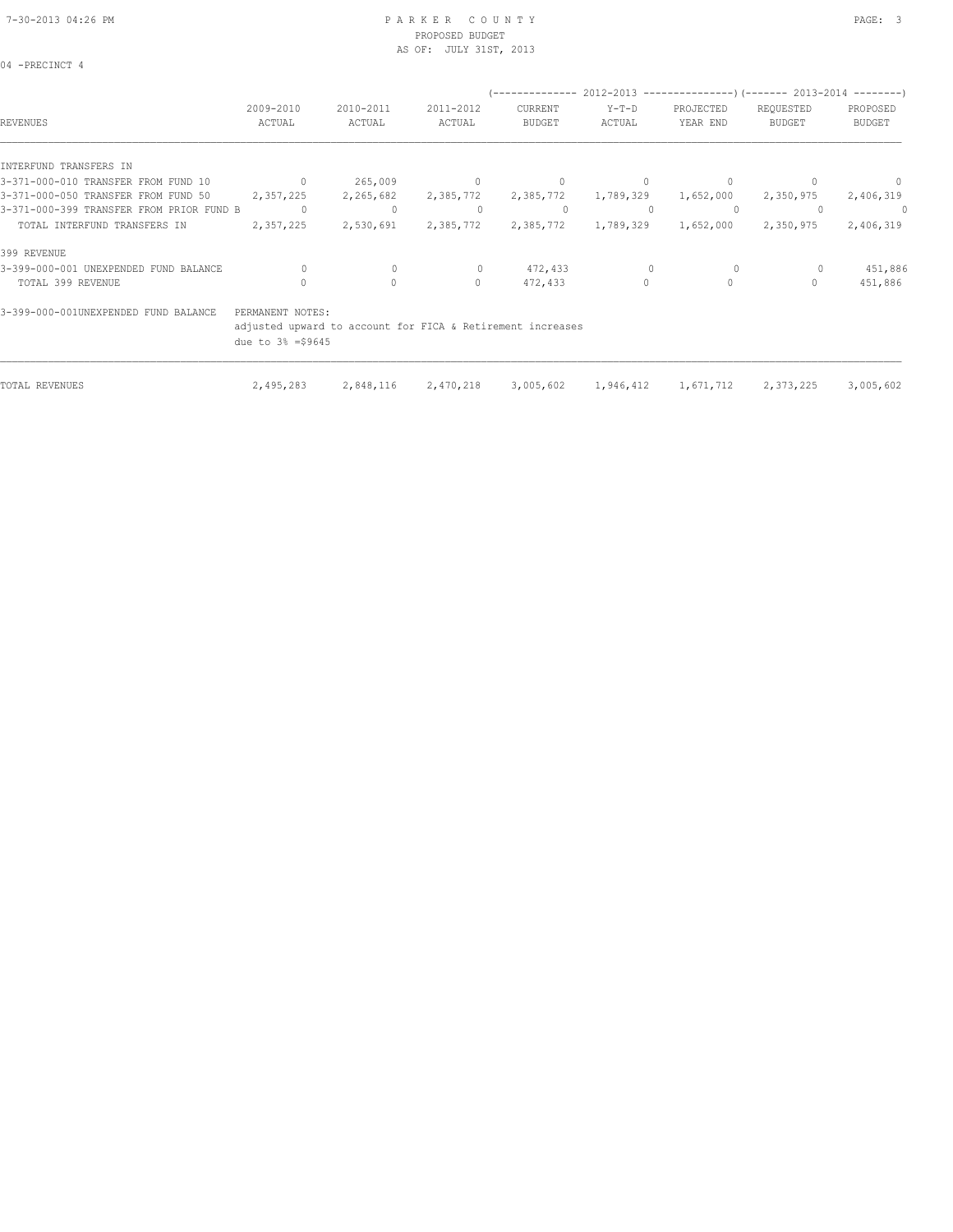04 -PRECINCT 4

#### 7-30-2013 04:26 PM P A R K E R C O U N T Y PAGE: 3 PROPOSED BUDGET AS OF: JULY 31ST, 2013

| <b>REVENUES</b>                          | 2009-2010<br>ACTUAL                                                                                              | 2010-2011<br>ACTUAL | 2011-2012<br>ACTUAL | CURRENT<br><b>BUDGET</b> | Y-T-D<br>ACTUAL | PROJECTED<br>YEAR END | (-------------- 2012-2013 --------------------- 2013-2014 --------- )<br>REQUESTED<br><b>BUDGET</b> | PROPOSED<br><b>BUDGET</b> |
|------------------------------------------|------------------------------------------------------------------------------------------------------------------|---------------------|---------------------|--------------------------|-----------------|-----------------------|-----------------------------------------------------------------------------------------------------|---------------------------|
| INTERFUND TRANSFERS IN                   |                                                                                                                  |                     |                     |                          |                 |                       |                                                                                                     |                           |
| 3-371-000-010 TRANSFER FROM FUND 10      | $\overline{0}$                                                                                                   | 265,009             | $\overline{0}$      | $\mathbf{0}$             | 0               |                       |                                                                                                     |                           |
| 3-371-000-050 TRANSFER FROM FUND 50      | 2,357,225                                                                                                        | 2,265,682           | 2,385,772           | 2,385,772                | 1,789,329       | 1,652,000             | 2,350,975                                                                                           | 2,406,319                 |
| 3-371-000-399 TRANSFER FROM PRIOR FUND B | $\circ$                                                                                                          | $\circ$             | $\Omega$            | 0                        |                 | $\Omega$              |                                                                                                     | - 0                       |
| TOTAL INTERFUND TRANSFERS IN             | 2,357,225                                                                                                        | 2,530,691           | 2,385,772           | 2,385,772                | 1,789,329       | 1,652,000             | 2,350,975                                                                                           | 2,406,319                 |
| 399 REVENUE                              |                                                                                                                  |                     |                     |                          |                 |                       |                                                                                                     |                           |
| 3-399-000-001 UNEXPENDED FUND BALANCE    | $\Omega$                                                                                                         | $\mathbf{0}$        | $\Omega$            | 472,433                  |                 | $\Omega$              |                                                                                                     | 451,886                   |
| TOTAL 399 REVENUE                        | $\Omega$                                                                                                         | $\Omega$            | $\Omega$            | 472,433                  | $\Omega$        | $\Omega$              | $\bigcap$                                                                                           | 451,886                   |
| 3-399-000-001UNEXPENDED FUND BALANCE     | PERMANENT NOTES:<br>adjusted upward to account for FICA & Retirement increases<br>due to $3\frac{1}{2}$ = \$9645 |                     |                     |                          |                 |                       |                                                                                                     |                           |
| TOTAL REVENUES                           | 2,495,283                                                                                                        | 2,848,116           | 2,470,218           | 3,005,602                | 1,946,412       | 1,671,712             | 2,373,225                                                                                           | 3,005,602                 |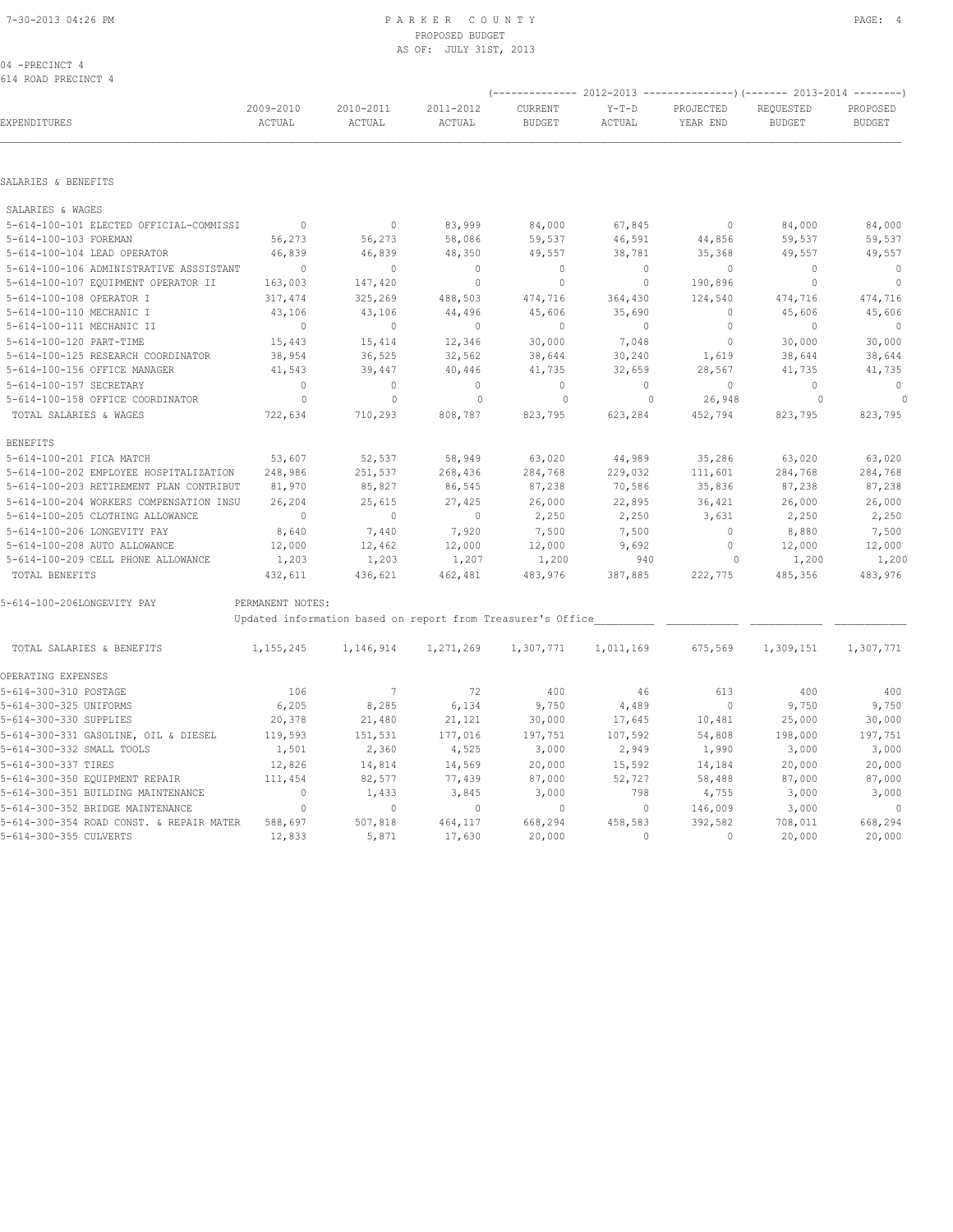# PROPOSED BUDGET AS OF: JULY 31ST, 2013

|  | 04 -PRECINCT 4      |  |
|--|---------------------|--|
|  | 614 ROAD PRECINCT 4 |  |

| EXPENDITURES                            | 2009-2010<br>ACTUAL | 2010-2011<br>ACTUAL                                         | 2011-2012<br>ACTUAL | CURRENT<br><b>BUDGET</b> | $Y-T-D$<br>ACTUAL | PROJECTED<br>YEAR END | REQUESTED<br><b>BUDGET</b> | PROPOSED<br><b>BUDGET</b> |
|-----------------------------------------|---------------------|-------------------------------------------------------------|---------------------|--------------------------|-------------------|-----------------------|----------------------------|---------------------------|
|                                         |                     |                                                             |                     |                          |                   |                       |                            |                           |
| SALARIES & BENEFITS                     |                     |                                                             |                     |                          |                   |                       |                            |                           |
| SALARIES & WAGES                        |                     |                                                             |                     |                          |                   |                       |                            |                           |
| 5-614-100-101 ELECTED OFFICIAL-COMMISSI | $\sim$ 0            | $\overline{0}$                                              | 83,999              | 84,000                   | 67,845            | $\overline{0}$        | 84,000                     | 84,000                    |
| 5-614-100-103 FOREMAN                   | 56,273              | 56,273                                                      | 58,086              | 59,537                   | 46,591            | 44,856                | 59,537                     | 59,537                    |
| 5-614-100-104 LEAD OPERATOR             | 46,839              | 46,839                                                      | 48,350              | 49,557                   | 38,781            | 35,368                | 49,557                     | 49,557                    |
| 5-614-100-106 ADMINISTRATIVE ASSSISTANT | $\Omega$            | $\overline{0}$                                              | $\circ$             | $\mathbf{0}$             | $\circ$           | $\overline{0}$        | $\Omega$                   | $\overline{0}$            |
| 5-614-100-107 EQUIPMENT OPERATOR II     | 163,003             | 147,420                                                     | $\mathbb O$         | $\circ$                  | $\circ$           | 190,896               | $\mathbf{0}$               | $\mathbf{0}$              |
| 5-614-100-108 OPERATOR I                | 317,474             | 325,269                                                     | 488,503             | 474,716                  | 364,430           | 124,540               | 474,716                    | 474,716                   |
| 5-614-100-110 MECHANIC I                | 43,106              | 43,106                                                      | 44,496              | 45,606                   | 35,690            | $\mathbf{0}$          | 45,606                     | 45,606                    |
| 5-614-100-111 MECHANIC II               | $\mathbf{0}$        | $\overline{0}$                                              | $\circ$             | $\Omega$                 | $\circ$           | $\overline{0}$        | $\Omega$                   | $\overline{0}$            |
| 5-614-100-120 PART-TIME                 | 15,443              | 15,414                                                      | 12,346              | 30,000                   | 7,048             | $\overline{0}$        | 30,000                     | 30,000                    |
| 5-614-100-125 RESEARCH COORDINATOR      | 38,954              | 36,525                                                      | 32,562              | 38,644                   | 30,240            | 1,619                 | 38,644                     | 38,644                    |
| 5-614-100-156 OFFICE MANAGER            | 41,543              | 39,447                                                      | 40,446              | 41,735                   | 32,659            | 28,567                | 41,735                     | 41,735                    |
| 5-614-100-157 SECRETARY                 | $\Omega$            | $\Omega$                                                    | $\mathbf{0}$        | $\Omega$                 | $\circ$           | $\Omega$              | $\Omega$                   | $\overline{0}$            |
| 5-614-100-158 OFFICE COORDINATOR        | $\circ$             | $\mathbf{0}$                                                | $\circ$             | $\circ$                  | $\overline{0}$    | 26,948                | $\circ$                    | $\overline{\phantom{0}}$  |
| TOTAL SALARIES & WAGES                  | 722,634             | 710,293                                                     | 808,787             | 823,795                  | 623,284           | 452,794               | 823,795                    | 823,795                   |
| <b>BENEFITS</b>                         |                     |                                                             |                     |                          |                   |                       |                            |                           |
| 5-614-100-201 FICA MATCH                | 53,607              | 52,537                                                      | 58,949              | 63,020                   | 44,989            | 35,286                | 63,020                     | 63,020                    |
| 5-614-100-202 EMPLOYEE HOSPITALIZATION  | 248,986             | 251,537                                                     | 268,436             | 284,768                  | 229,032           | 111,601               | 284,768                    | 284,768                   |
| 5-614-100-203 RETIREMENT PLAN CONTRIBUT | 81,970              | 85,827                                                      | 86,545              | 87,238                   | 70,586            | 35,836                | 87,238                     | 87,238                    |
| 5-614-100-204 WORKERS COMPENSATION INSU | 26,204              | 25,615                                                      | 27,425              | 26,000                   | 22,895            | 36,421                | 26,000                     | 26,000                    |
| 5-614-100-205 CLOTHING ALLOWANCE        | $\Omega$            | $\overline{0}$                                              | $\sim$ 0            | 2,250                    | 2,250             | 3,631                 | 2,250                      | 2,250                     |
| 5-614-100-206 LONGEVITY PAY             | 8,640               | 7,440                                                       | 7,920               | 7,500                    | 7,500             | $\sim$ 0              | 8,880                      | 7,500                     |
| 5-614-100-208 AUTO ALLOWANCE            | 12,000              | 12,462                                                      | 12,000              | 12,000                   | 9,692             | $\circ$               | 12,000                     | 12,000                    |
| 5-614-100-209 CELL PHONE ALLOWANCE      | 1,203               | 1,203                                                       | 1,207               | 1,200                    | 940               | $\overline{0}$        | 1,200                      | 1,200                     |
| TOTAL BENEFITS                          | 432,611             | 436,621                                                     | 462,481             | 483,976                  | 387,885           | 222,775               | 485,356                    | 483,976                   |
| 5-614-100-206LONGEVITY PAY              | PERMANENT NOTES:    |                                                             |                     |                          |                   |                       |                            |                           |
|                                         |                     | Updated information based on report from Treasurer's Office |                     |                          |                   |                       |                            |                           |
| TOTAL SALARIES & BENEFITS               | 1,155,245           | 1,146,914                                                   | 1,271,269           | 1,307,771                | 1,011,169         | 675,569               | 1,309,151                  | 1,307,771                 |
| OPERATING EXPENSES                      |                     |                                                             |                     |                          |                   |                       |                            |                           |
| 5-614-300-310 POSTAGE                   | 106                 | 7                                                           | 72                  | 400                      | 46                | 613                   | 400                        | 400                       |
| 5-614-300-325 UNIFORMS                  | 6,205               | 8,285                                                       | 6,134               | 9,750                    | 4,489             | $\overline{0}$        | 9,750                      | 9,750                     |
| 5-614-300-330 SUPPLIES                  | 20,378              | 21,480                                                      | 21,121              | 30,000                   | 17,645            | 10,481                | 25,000                     | 30,000                    |
| 5-614-300-331 GASOLINE, OIL & DIESEL    | 119,593             | 151,531                                                     | 177,016             | 197,751                  | 107,592           | 54,808                | 198,000                    | 197,751                   |
| 5-614-300-332 SMALL TOOLS               | 1,501               | 2,360                                                       | 4,525               | 3,000                    | 2,949             | 1,990                 | 3,000                      | 3,000                     |
|                                         |                     |                                                             |                     |                          |                   |                       |                            |                           |

5-614-300-337 TIRES 12,826 14,814 14,569 20,000 15,592 14,184 20,000 20,000 5-614-300-350 EQUIPMENT REPAIR 111,454 82,577 77,439 87,000 52,727 58,488 87,000 87,000 5-614-300-351 BUILDING MAINTENANCE 0 1,433 3,845 3,000 798 4,755 3,000 3,000 5-614-300-352 BRIDGE MAINTENANCE 0 0 0 0 0 146,009 3,000 0 5-614-300-354 ROAD CONST. & REPAIR MATER 588,697 507,818 464,117 668,294 458,583 392,582 708,011 668,294 5-614-300-355 CULVERTS 12,833 5,871 17,630 20,000 0 0 20,000 20,000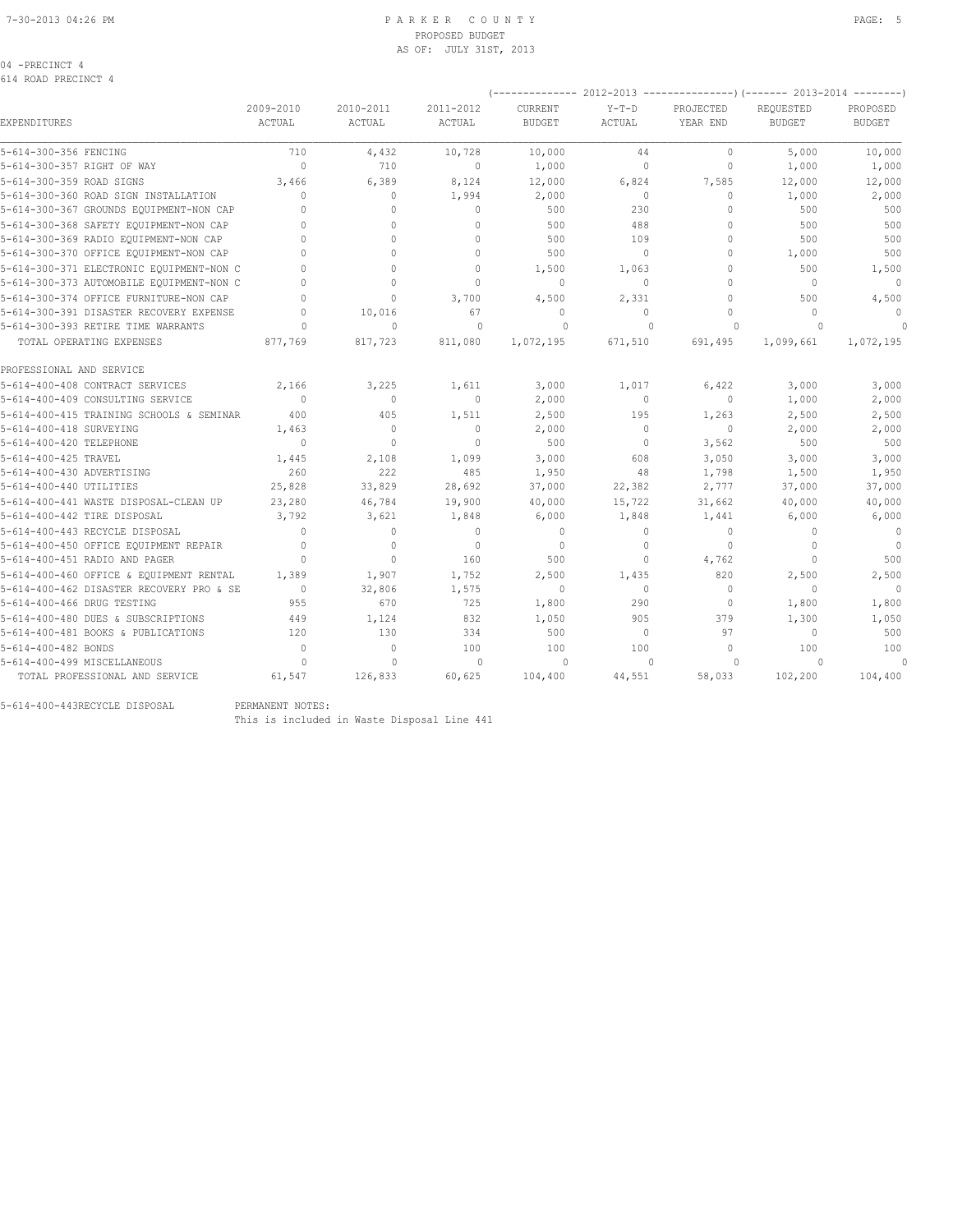# PROPOSED BUDGET AS OF: JULY 31ST, 2013

| 04<br>-PRECINCT |  |
|-----------------|--|
|-----------------|--|

|                                          |                     |                            |                     | (-------------- 2012-2013 ----------------) (------- 2013-2014 --------) |                   |                                  |                            |                           |
|------------------------------------------|---------------------|----------------------------|---------------------|--------------------------------------------------------------------------|-------------------|----------------------------------|----------------------------|---------------------------|
| EXPENDITURES                             | 2009-2010<br>ACTUAL | 2010-2011<br><b>ACTUAL</b> | 2011-2012<br>ACTUAL | <b>CURRENT</b><br><b>BUDGET</b>                                          | $Y-T-D$<br>ACTUAL | PROJECTED<br>YEAR END            | REOUESTED<br><b>BUDGET</b> | PROPOSED<br><b>BUDGET</b> |
| 5-614-300-356 FENCING                    | 710                 | 4,432                      | 10,728              | 10,000                                                                   | 44                | $\mathbf{0}$                     | 5,000                      | 10,000                    |
| 5-614-300-357 RIGHT OF WAY               | $\mathbf{0}$        | 710                        | $\mathbf{0}$        | 1,000                                                                    | 0                 | $\circ$                          | 1,000                      | 1,000                     |
| 5-614-300-359 ROAD SIGNS                 | 3,466               | 6,389                      | 8,124               | 12,000                                                                   | 6,824             | 7,585                            | 12,000                     | 12,000                    |
| 5-614-300-360 ROAD SIGN INSTALLATION     | $\mathbf 0$         | $\circ$                    | 1,994               | 2,000                                                                    | $\circ$           | $\mathbf{0}$                     | 1,000                      | 2,000                     |
| 5-614-300-367 GROUNDS EQUIPMENT-NON CAP  | $\Omega$            | 0                          | $\mathbf{0}$        | 500                                                                      | 230               | $\Omega$                         | 500                        | 500                       |
| 5-614-300-368 SAFETY EQUIPMENT-NON CAP   | $\cap$              | $\Omega$                   | $\Omega$            | 500                                                                      | 488               | $\Omega$                         | 500                        | 500                       |
| 5-614-300-369 RADIO EQUIPMENT-NON CAP    |                     | $\Omega$                   | $\Omega$            | 500                                                                      | 109               | $\Omega$                         | 500                        | 500                       |
| 5-614-300-370 OFFICE EQUIPMENT-NON CAP   |                     | $\Omega$                   | $\cap$              | 500                                                                      | $\Omega$          | $\Omega$                         | 1,000                      | 500                       |
| 5-614-300-371 ELECTRONIC EQUIPMENT-NON C |                     | 0                          | $\Omega$            | 1,500                                                                    | 1,063             | $\circ$                          | 500                        | 1,500                     |
| 5-614-300-373 AUTOMOBILE EQUIPMENT-NON C |                     | $\Omega$                   | $\Omega$            | $\mathbf{0}$                                                             | $\circ$           | $\Omega$                         | $\Omega$                   | $\Omega$                  |
| 5-614-300-374 OFFICE FURNITURE-NON CAP   |                     | $\Omega$                   | 3,700               | 4,500                                                                    | 2,331             | $\Omega$                         | 500                        | 4,500                     |
| 5-614-300-391 DISASTER RECOVERY EXPENSE  | $\cap$              | 10,016                     | 67                  | $\mathbf{0}$                                                             | $\Omega$          | $\Omega$                         | $\Omega$                   | $\Omega$                  |
| 5-614-300-393 RETIRE TIME WARRANTS       |                     | $\Omega$                   | $\Omega$            | $\Omega$                                                                 | $\Omega$          | $\Omega$                         | $\Omega$                   |                           |
| TOTAL OPERATING EXPENSES                 | 877,769             | 817,723                    | 811,080             | 1,072,195                                                                | 671,510           | 691,495                          | 1,099,661                  | 1,072,195                 |
| PROFESSIONAL AND SERVICE                 |                     |                            |                     |                                                                          |                   |                                  |                            |                           |
| 5-614-400-408 CONTRACT SERVICES          | 2,166               | 3,225                      | 1,611               | 3,000                                                                    | 1,017             | 6,422                            | 3,000                      | 3,000                     |
| 5-614-400-409 CONSULTING SERVICE         | $\Omega$            | $\Omega$                   | $\mathbf{0}$        | 2,000                                                                    | $\circ$           | $\Omega$                         | 1,000                      | 2,000                     |
| 5-614-400-415 TRAINING SCHOOLS & SEMINAR | 400                 | 405                        | 1,511               | 2,500                                                                    | 195               | 1,263                            | 2,500                      | 2,500                     |
| 5-614-400-418 SURVEYING                  | 1,463               | $\mathbf{0}$               | $\mathbf{0}$        | 2,000                                                                    | $\circ$           | $\mathbf{0}$                     | 2,000                      | 2,000                     |
| 5-614-400-420 TELEPHONE                  | $\mathbf{0}$        | $\mathbf{0}$               | $\mathbf{0}$        | 500                                                                      | $\circ$           | 3,562                            | 500                        | 500                       |
| 5-614-400-425 TRAVEL                     | 1,445               | 2,108                      | 1,099               | 3,000                                                                    | 608               | 3,050                            | 3,000                      | 3,000                     |
| 5-614-400-430 ADVERTISING                | 260                 | 222                        | 485                 | 1,950                                                                    | 48                | 1,798                            | 1,500                      | 1,950                     |
| 5-614-400-440 UTILITIES                  | 25,828              | 33,829                     | 28,692              | 37,000                                                                   | 22,382            | 2,777                            | 37,000                     | 37,000                    |
| 5-614-400-441 WASTE DISPOSAL-CLEAN UP    | 23,280              | 46,784                     | 19,900              | 40,000                                                                   | 15,722            | 31,662                           | 40,000                     | 40,000                    |
| 5-614-400-442 TIRE DISPOSAL              | 3,792               | 3,621                      | 1,848               | 6,000                                                                    | 1,848             | 1,441                            | 6,000                      | 6,000                     |
| 5-614-400-443 RECYCLE DISPOSAL           | $\Omega$            | $\Omega$                   | $\Omega$            | $\mathbf{0}$                                                             | $\Omega$          | $\begin{array}{c} \n\end{array}$ | $\Omega$                   | $\overline{0}$            |
| 5-614-400-450 OFFICE EQUIPMENT REPAIR    | $\mathbf{0}$        | $\mathbf{0}$               | $\circ$             | $\mathbf{0}$                                                             | $\circ$           | $\circ$                          | $\Omega$                   | $\mathbf{0}$              |
| 5-614-400-451 RADIO AND PAGER            | $\Omega$            | $\Omega$                   | 160                 | 500                                                                      | 0                 | 4,762                            | $\Omega$                   | 500                       |
| 5-614-400-460 OFFICE & EQUIPMENT RENTAL  | 1,389               | 1,907                      | 1,752               | 2,500                                                                    | 1,435             | 820                              | 2,500                      | 2,500                     |
| 5-614-400-462 DISASTER RECOVERY PRO & SE | $\Omega$            | 32,806                     | 1,575               | $\mathbf{0}$                                                             | $\Omega$          | $\Omega$                         | $\Omega$                   |                           |
| 5-614-400-466 DRUG TESTING               | 955                 | 670                        | 725                 | 1,800                                                                    | 290               | $\mathbf{0}$                     | 1,800                      | 1,800                     |
| 5-614-400-480 DUES & SUBSCRIPTIONS       | 449                 | 1,124                      | 832                 | 1,050                                                                    | 905               | 379                              | 1,300                      | 1,050                     |
| 5-614-400-481 BOOKS & PUBLICATIONS       | 120                 | 130                        | 334                 | 500                                                                      | $\Omega$          | 97                               | $\mathbf 0$                | 500                       |
| 5-614-400-482 BONDS                      | $\bigcap$           | $\Omega$                   | 100                 | 100                                                                      | 100               | $\cap$                           | 100                        | 100                       |
| 5-614-400-499 MISCELLANEOUS              |                     | $\Omega$                   | $\Omega$            | $\Omega$                                                                 | $\Omega$          | $\Omega$                         | $\Omega$                   | $\Omega$                  |
| TOTAL PROFESSIONAL AND SERVICE           | 61,547              | 126,833                    | 60,625              | 104,400                                                                  | 44,551            | 58,033                           | 102,200                    | 104,400                   |

5-614-400-443RECYCLE DISPOSAL PERMANENT NOTES:

This is included in Waste Disposal Line 441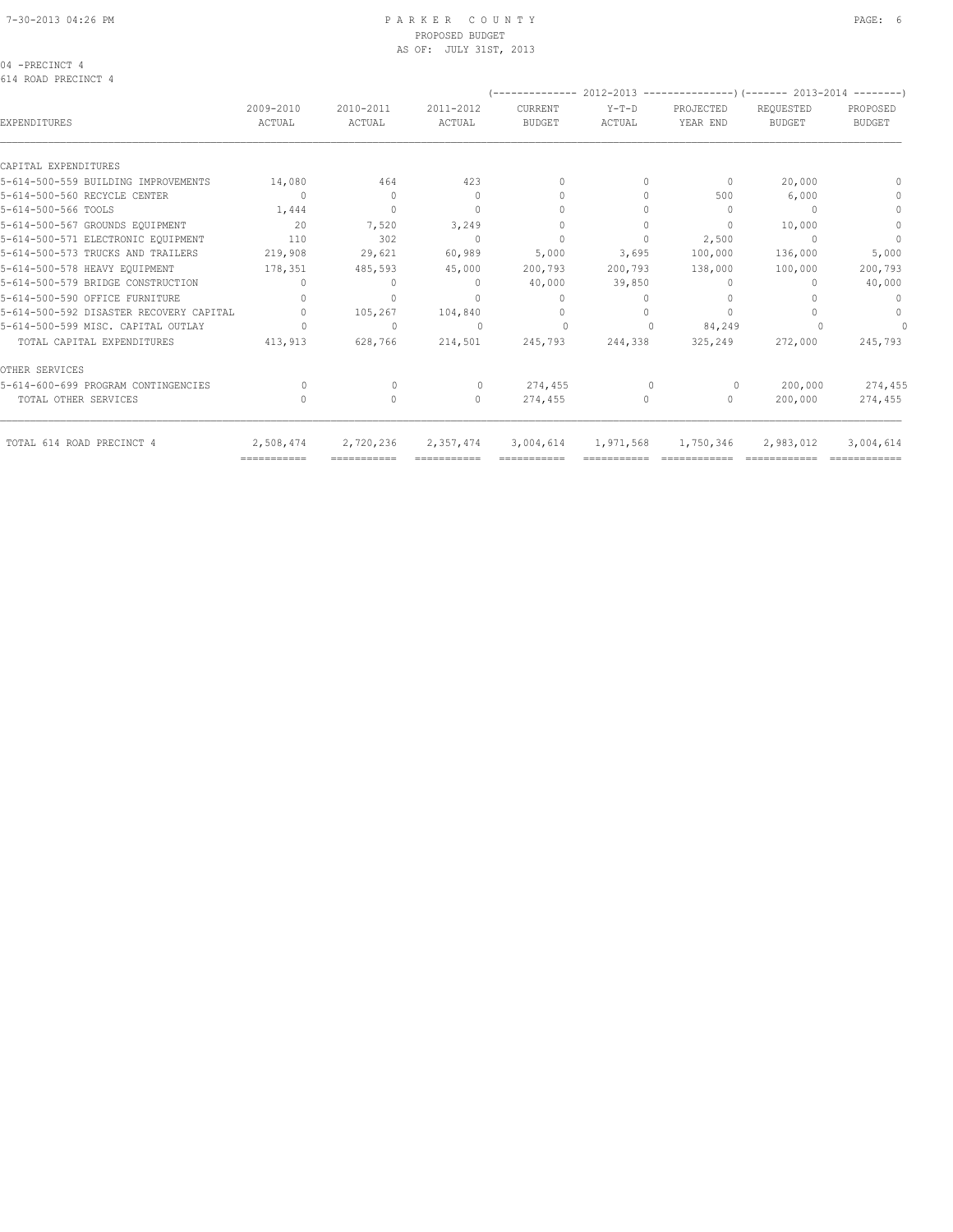04 -PRECINCT 4 614 ROAD PRECINCT 4

|                                         |                                  |                     |                                  | --------------           |                   | 2012-2013 --------------------- (------- 2013-2014 --------- |                            |                                  |
|-----------------------------------------|----------------------------------|---------------------|----------------------------------|--------------------------|-------------------|--------------------------------------------------------------|----------------------------|----------------------------------|
| EXPENDITURES                            | 2009-2010<br>ACTUAL              | 2010-2011<br>ACTUAL | 2011-2012<br>ACTUAL              | CURRENT<br><b>BUDGET</b> | $Y-T-D$<br>ACTUAL | PROJECTED<br>YEAR END                                        | REQUESTED<br><b>BUDGET</b> | PROPOSED<br><b>BUDGET</b>        |
| CAPITAL EXPENDITURES                    |                                  |                     |                                  |                          |                   |                                                              |                            |                                  |
| 5-614-500-559 BUILDING IMPROVEMENTS     | 14,080                           | 464                 | 423                              | $\mathbf{0}$             | 0                 | $\mathbf{0}$                                                 | 20,000                     | $\Omega$                         |
| 5-614-500-560 RECYCLE CENTER            | $\overline{0}$                   | $\Omega$            | $\mathbf{0}$                     | $\mathbf{0}$             | $\Omega$          | 500                                                          | 6,000                      | $\begin{array}{c} \n\end{array}$ |
| 5-614-500-566 TOOLS                     | 1,444                            | $\Omega$            | $\begin{array}{c} \n\end{array}$ | $\Omega$                 |                   | $\cup$                                                       |                            | $\mathbf{0}$                     |
| 5-614-500-567 GROUNDS EQUIPMENT         | 20                               | 7,520               | 3,249                            |                          |                   | $\mathbf{0}$                                                 | 10,000                     | $\mathbf{0}$                     |
| 5-614-500-571 ELECTRONIC EQUIPMENT      | 110                              | 302                 | $\Omega$                         | $\mathbf{0}$             | $\Omega$          | 2,500                                                        |                            | $\Omega$                         |
| 5-614-500-573 TRUCKS AND TRAILERS       | 219,908                          | 29,621              | 60,989                           | 5,000                    | 3,695             | 100,000                                                      | 136,000                    | 5,000                            |
| 5-614-500-578 HEAVY EQUIPMENT           | 178,351                          | 485,593             | 45,000                           | 200,793                  | 200,793           | 138,000                                                      | 100,000                    | 200,793                          |
| 5-614-500-579 BRIDGE CONSTRUCTION       | $\begin{array}{c} \n\end{array}$ | $\Omega$            | $\Omega$                         | 40,000                   | 39,850            | $\Omega$                                                     | n                          | 40,000                           |
| 5-614-500-590 OFFICE FURNITURE          |                                  | $\Omega$            | $\Omega$                         | $\Omega$                 |                   |                                                              |                            | $\Omega$                         |
| 5-614-500-592 DISASTER RECOVERY CAPITAL |                                  | 105,267             | 104,840                          |                          |                   | $\bigcap$                                                    |                            | $\mathbf{0}$                     |
| 5-614-500-599 MISC. CAPITAL OUTLAY      |                                  | $\mathbf{0}$        | $\Omega$                         | 0                        |                   | 84,249                                                       |                            | 0                                |
| TOTAL CAPITAL EXPENDITURES              | 413,913                          | 628,766             | 214,501                          | 245,793                  | 244,338           | 325,249                                                      | 272,000                    | 245,793                          |
| OTHER SERVICES                          |                                  |                     |                                  |                          |                   |                                                              |                            |                                  |
| 5-614-600-699 PROGRAM CONTINGENCIES     | $\bigcap$                        | $\mathbf{0}$        | 0                                | 274,455                  | $\mathbf{0}$      | $\circ$                                                      | 200,000                    | 274,455                          |
| TOTAL OTHER SERVICES                    |                                  | $\circ$             | $\Omega$                         | 274,455                  | 0                 | $\circ$                                                      | 200,000                    | 274,455                          |
| TOTAL 614 ROAD PRECINCT 4               | 2,508,474                        | 2,720,236           | 2,357,474                        | 3,004,614                | 1,971,568         | 1,750,346                                                    | 2,983,012                  | 3,004,614                        |

=========== =========== =========== =========== =========== ============ ============ ============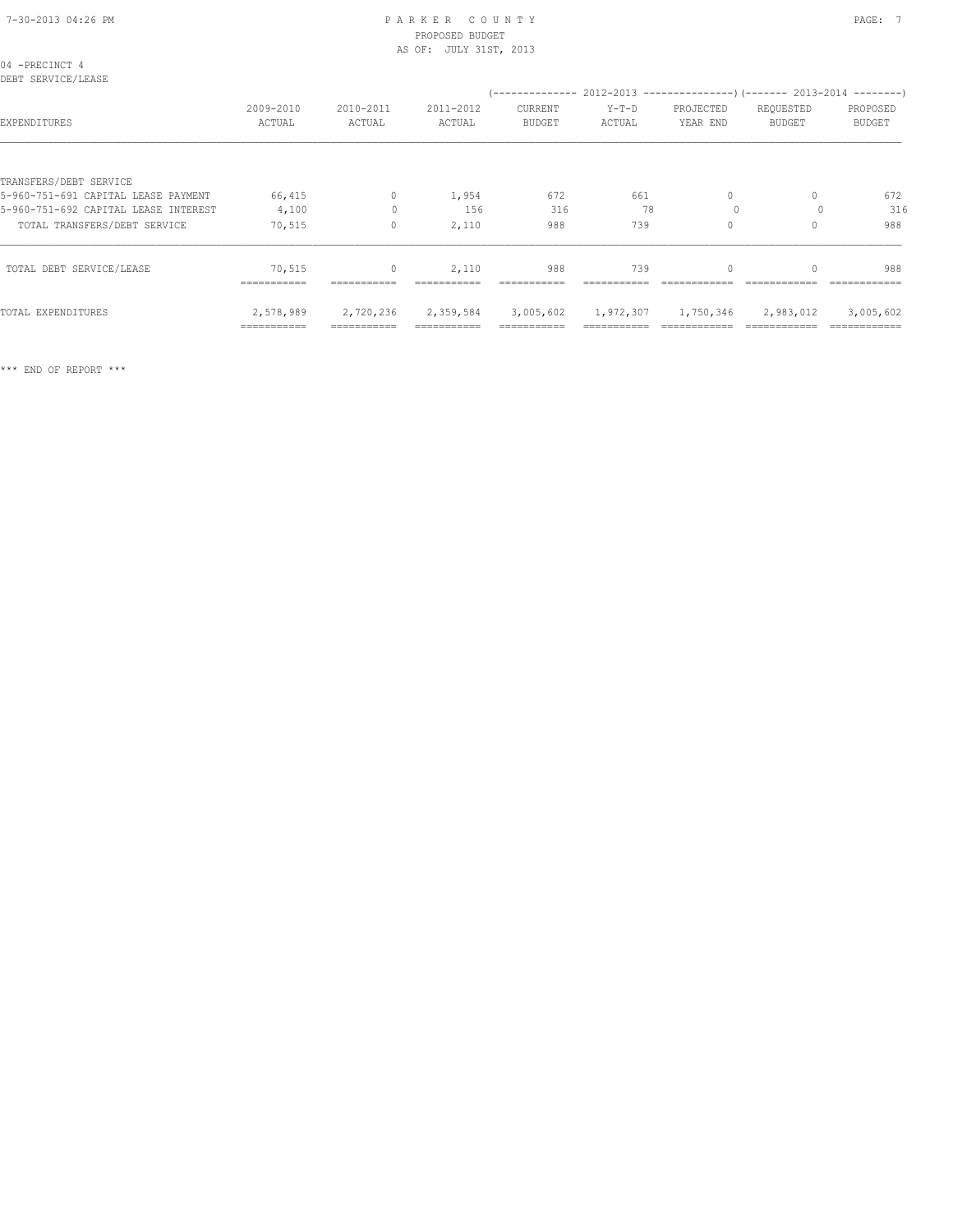| 04 -PRECINCT 4<br>DEBT SERVICE/LEASE |                     |                               |                     | $(---------- 2012-2013 ----------)$ $(---- 2013-2014 ----)$ |                   |                       |                               |                           |
|--------------------------------------|---------------------|-------------------------------|---------------------|-------------------------------------------------------------|-------------------|-----------------------|-------------------------------|---------------------------|
| EXPENDITURES                         | 2009-2010<br>ACTUAL | 2010-2011<br>ACTUAL           | 2011-2012<br>ACTUAL | CURRENT<br>BUDGET                                           | $Y-T-D$<br>ACTUAL | PROJECTED<br>YEAR END | REQUESTED<br>BUDGET           | PROPOSED<br><b>BUDGET</b> |
|                                      |                     |                               |                     |                                                             |                   |                       |                               |                           |
| TRANSFERS/DEBT SERVICE               |                     |                               |                     |                                                             |                   |                       |                               |                           |
| 5-960-751-691 CAPITAL LEASE PAYMENT  | 66,415              | $\circ$                       | 1,954               | 672                                                         | 661               | 0                     | 0                             | 672                       |
| 5-960-751-692 CAPITAL LEASE INTEREST | 4,100               | $\mathbf{0}$                  | 156                 | 316                                                         | 78                | $\Omega$              |                               | 316                       |
| TOTAL TRANSFERS/DEBT SERVICE         | 70,515              | $\circ$                       | 2,110               | 988                                                         | 739               | $\Omega$              |                               | 988                       |
| TOTAL DEBT SERVICE/LEASE             | 70,515              | $\circ$                       | 2,110               | 988                                                         | 739               | $\mathbf{0}$          |                               | 988                       |
|                                      | ------------        |                               |                     |                                                             |                   |                       |                               |                           |
| TOTAL EXPENDITURES                   |                     | 2,578,989 2,720,236 2,359,584 |                     | 3,005,602                                                   |                   |                       | 1,972,307 1,750,346 2,983,012 | 3,005,602                 |
|                                      | ===========         | ===========                   |                     | ===========                                                 |                   |                       |                               | ============              |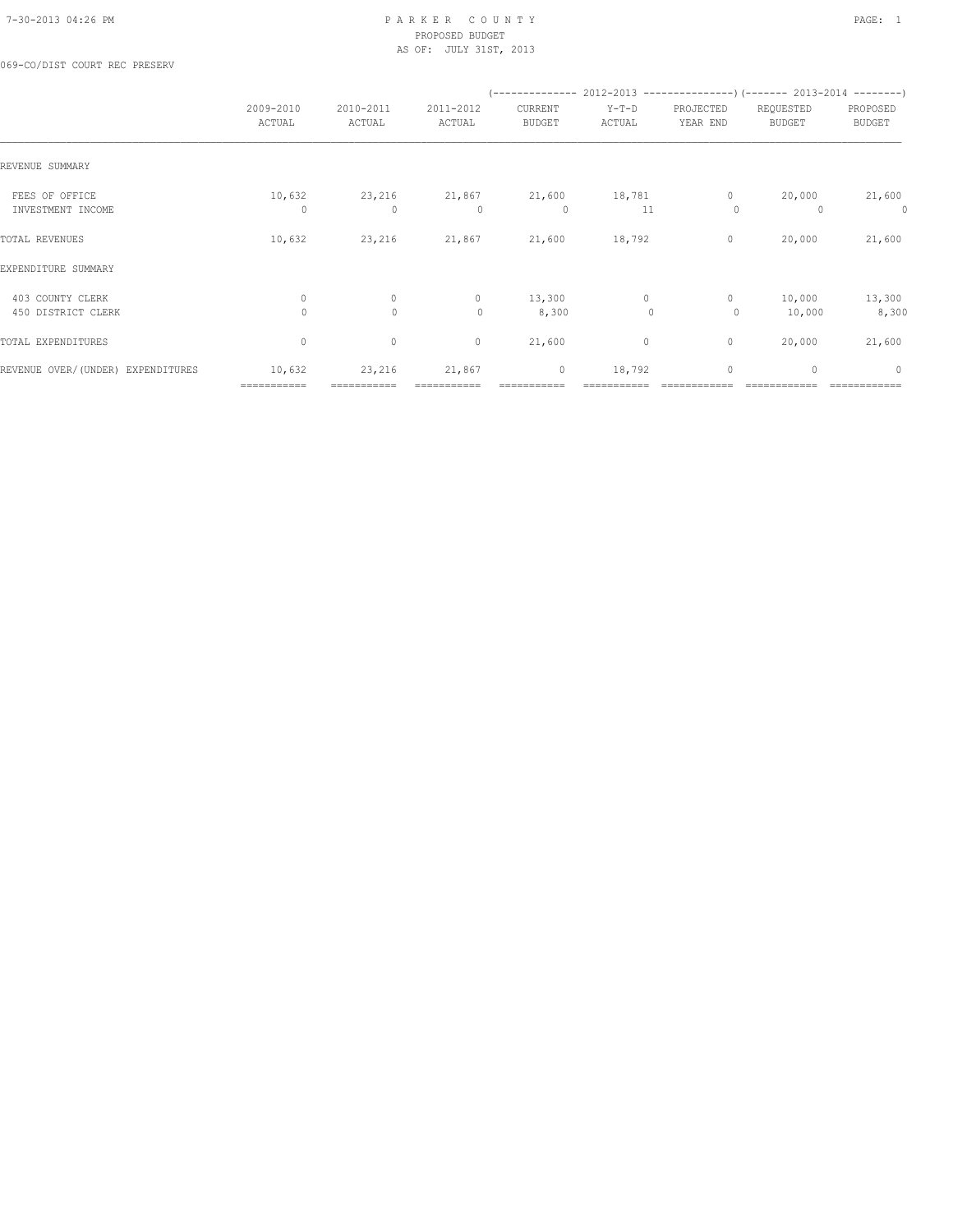069-CO/DIST COURT REC PRESERV

|                                        |                          |                         |                     |                          | $(---------- 2012-2013$ ----------------) (------- 2013-2014 --------) |                         |                            |                           |
|----------------------------------------|--------------------------|-------------------------|---------------------|--------------------------|------------------------------------------------------------------------|-------------------------|----------------------------|---------------------------|
|                                        | 2009-2010<br>ACTUAL      | 2010-2011<br>ACTUAL     | 2011-2012<br>ACTUAL | CURRENT<br><b>BUDGET</b> | $Y-T-D$<br>ACTUAL                                                      | PROJECTED<br>YEAR END   | REQUESTED<br><b>BUDGET</b> | PROPOSED<br><b>BUDGET</b> |
| REVENUE SUMMARY                        |                          |                         |                     |                          |                                                                        |                         |                            |                           |
| FEES OF OFFICE<br>INVESTMENT INCOME    | 10,632<br>$\Omega$       | 23,216<br>$\mathbf{0}$  | 21,867<br>$\Omega$  | 21,600<br>$\circ$        | 18,781<br>11                                                           | $\mathbf{0}$<br>$\circ$ | 20,000                     | 21,600<br>0               |
| TOTAL REVENUES                         | 10,632                   | 23,216                  | 21,867              | 21,600                   | 18,792                                                                 | $\circ$                 | 20,000                     | 21,600                    |
| EXPENDITURE SUMMARY                    |                          |                         |                     |                          |                                                                        |                         |                            |                           |
| 403 COUNTY CLERK<br>450 DISTRICT CLERK | $\mathbf{0}$<br>$\Omega$ | $\circ$<br>$\mathbf{0}$ | $\circ$<br>$\circ$  | 13,300<br>8,300          | $\circ$<br>$\mathbf{0}$                                                | $\mathbf{0}$<br>$\circ$ | 10,000<br>10,000           | 13,300<br>8,300           |
| TOTAL EXPENDITURES                     | $\circ$                  | $\circ$                 | $\circ$             | 21,600                   | 0                                                                      | $\circ$                 | 20,000                     | 21,600                    |
| REVENUE OVER/(UNDER) EXPENDITURES      | 10,632<br>===========    | 23,216<br>===========   | 21,867              | $\circ$                  | 18,792                                                                 | $\circ$                 | $\mathbf{0}$               | $\circ$                   |
|                                        |                          |                         |                     |                          |                                                                        |                         |                            |                           |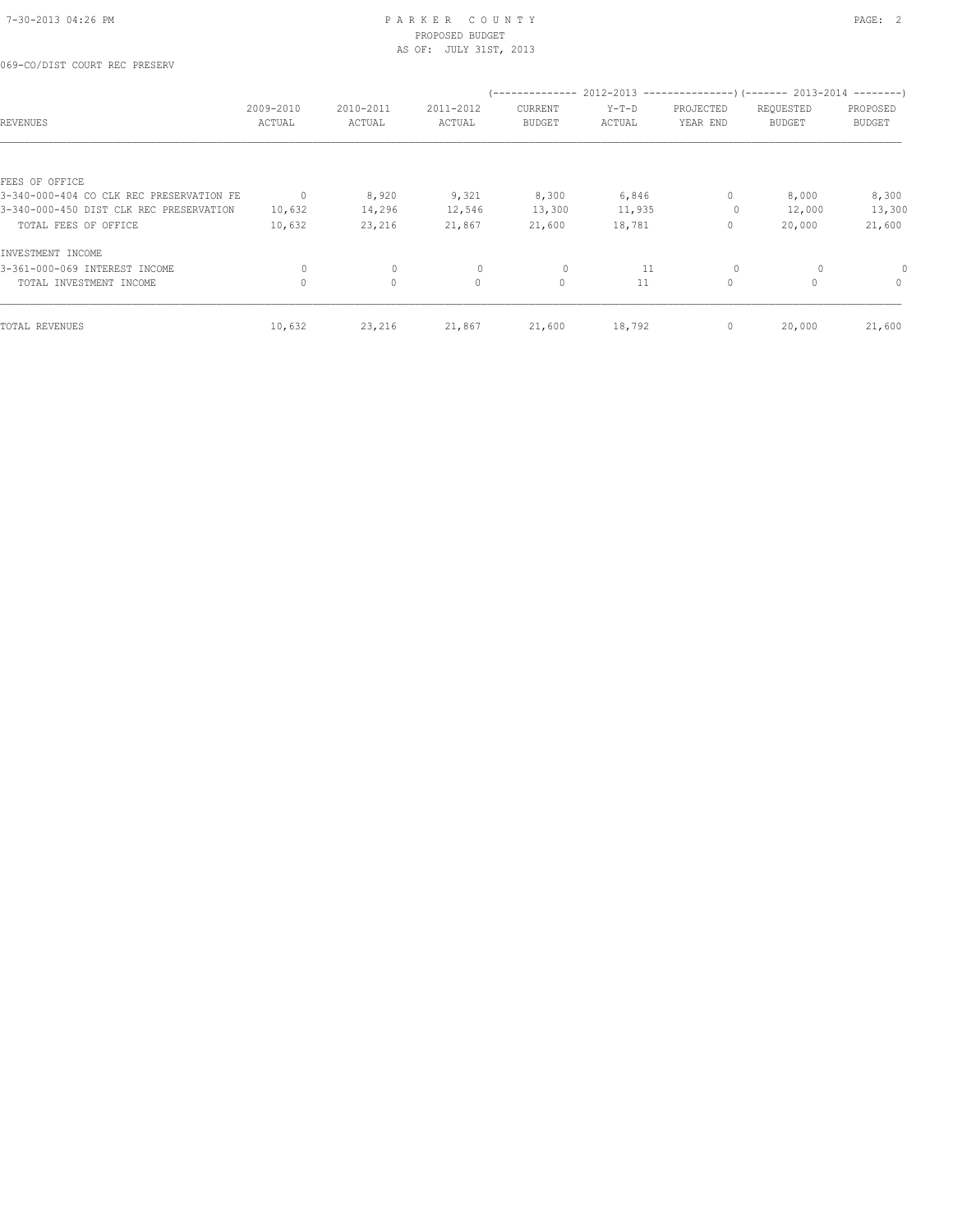| <b>REVENUES</b>                          | 2009-2010<br>ACTUAL | 2010-2011<br>ACTUAL | 2011-2012<br>ACTUAL | CURRENT<br><b>BUDGET</b> | $Y-T-D$<br>ACTUAL | PROJECTED<br>YEAR END | (-------------- 2012-2013 --------------------- 2013-2014 --------- )<br>REQUESTED<br><b>BUDGET</b> | PROPOSED<br><b>BUDGET</b> |
|------------------------------------------|---------------------|---------------------|---------------------|--------------------------|-------------------|-----------------------|-----------------------------------------------------------------------------------------------------|---------------------------|
|                                          |                     |                     |                     |                          |                   |                       |                                                                                                     |                           |
| FEES OF OFFICE                           |                     |                     |                     |                          |                   |                       |                                                                                                     |                           |
| 3-340-000-404 CO CLK REC PRESERVATION FE | $\mathbf{0}$        | 8,920               | 9,321               | 8,300                    | 6,846             | $\circ$               | 8,000                                                                                               | 8,300                     |
| 3-340-000-450 DIST CLK REC PRESERVATION  | 10,632              | 14,296              | 12,546              | 13,300                   | 11,935            | $\circ$               | 12,000                                                                                              | 13,300                    |
| TOTAL FEES OF OFFICE                     | 10,632              | 23,216              | 21,867              | 21,600                   | 18,781            | $\circ$               | 20,000                                                                                              | 21,600                    |
| INVESTMENT INCOME                        |                     |                     |                     |                          |                   |                       |                                                                                                     |                           |
| 3-361-000-069 INTEREST INCOME            | $\circ$             | $\mathbf{0}$        | $\circ$             | $\circ$                  | 11                | $\circ$               |                                                                                                     | 0                         |
| TOTAL INVESTMENT INCOME                  | $\Omega$            | $\Omega$            | $\Omega$            | $\circ$                  | 11                | $\circ$               |                                                                                                     | $\mathbf{0}$              |
| TOTAL REVENUES                           | 10,632              | 23,216              | 21,867              | 21,600                   | 18,792            | $\mathbf{0}$          | 20,000                                                                                              | 21,600                    |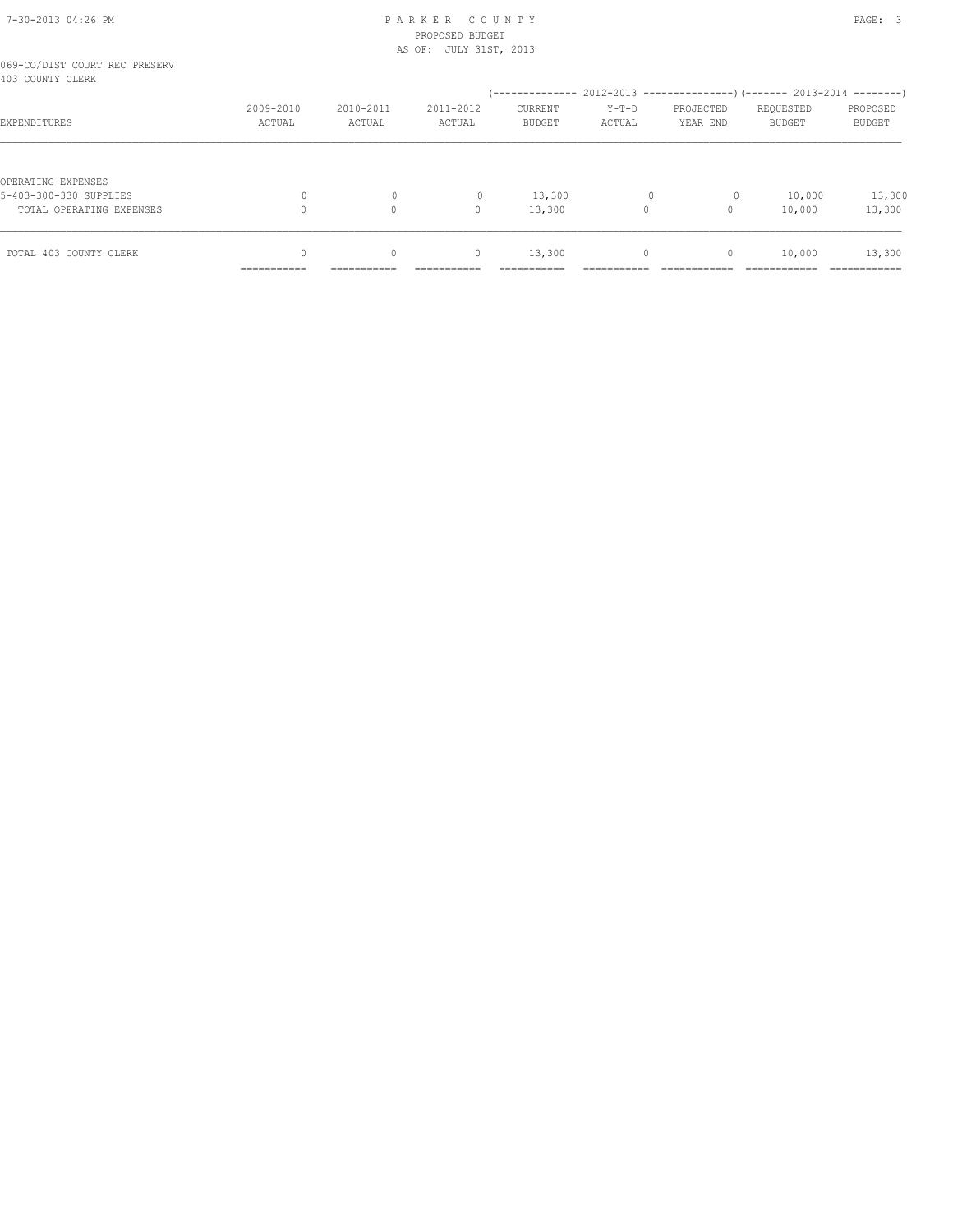# 7-30-2013 04:26 PM P A R K E R C O U N T Y PAGE: 3 PROPOSED BUDGET

|                                                   |             |             | AS OF: JULY 31ST, 2013 |                            |              |              |                                                                        |               |
|---------------------------------------------------|-------------|-------------|------------------------|----------------------------|--------------|--------------|------------------------------------------------------------------------|---------------|
| 069-CO/DIST COURT REC PRESERV<br>403 COUNTY CLERK |             |             |                        |                            |              |              |                                                                        |               |
|                                                   | 2009-2010   | 2010-2011   | 2011-2012              | (--------------<br>CURRENT | $Y-T-D$      | PROJECTED    | $2012-2013$ ---------------) (------- 2013-2014 --------)<br>REQUESTED | PROPOSED      |
| EXPENDITURES                                      | ACTUAL      | ACTUAL      | ACTUAL                 | <b>BUDGET</b>              | ACTUAL       | YEAR END     | <b>BUDGET</b>                                                          | <b>BUDGET</b> |
|                                                   |             |             |                        |                            |              |              |                                                                        |               |
| OPERATING EXPENSES                                |             |             |                        |                            |              |              |                                                                        |               |
| 5-403-300-330 SUPPLIES                            | 0           | $\circ$     | $\mathbf{0}$           | 13,300                     | $\mathbf{0}$ | 0            | 10,000                                                                 | 13,300        |
| TOTAL OPERATING EXPENSES                          | $\Omega$    | $\Omega$    | $\mathbf{0}$           | 13,300                     | 0            | $\circ$      | 10,000                                                                 | 13,300        |
| TOTAL 403 COUNTY CLERK                            | $\Omega$    | $\Omega$    | $\mathbf{0}$           | 13,300                     | 0            | $\mathbf{0}$ | 10,000                                                                 | 13,300        |
|                                                   | =========== | =========== |                        | :==========                |              |              |                                                                        | :===========  |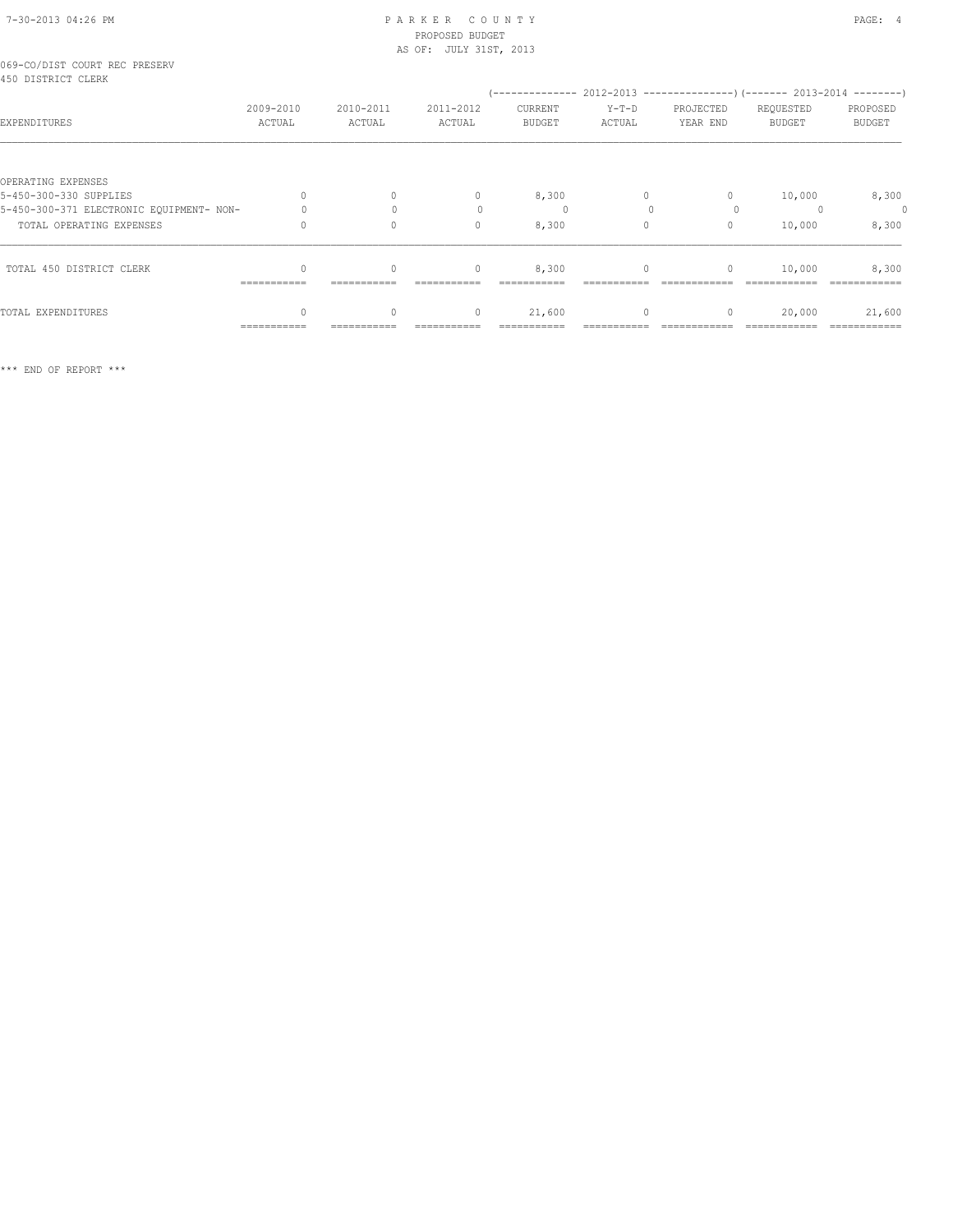# 7-30-2013 04:26 PM P A R K E R C O U N T Y PAGE: 4 PROPOSED BUDGET

|                                                     |                     |                     | AS OF: JULY 31ST, 2013 |                          |                   |                                  |                                                                                                        |                           |
|-----------------------------------------------------|---------------------|---------------------|------------------------|--------------------------|-------------------|----------------------------------|--------------------------------------------------------------------------------------------------------|---------------------------|
| 069-CO/DIST COURT REC PRESERV<br>450 DISTRICT CLERK |                     |                     |                        |                          |                   |                                  |                                                                                                        |                           |
| EXPENDITURES                                        | 2009-2010<br>ACTUAL | 2010-2011<br>ACTUAL | 2011-2012<br>ACTUAL    | CURRENT<br><b>BUDGET</b> | $Y-T-D$<br>ACTUAL | PROJECTED<br>YEAR END            | (-------------- 2012-2013 ----------------) (------- 2013-2014 --------)<br>REQUESTED<br><b>BUDGET</b> | PROPOSED<br><b>BUDGET</b> |
|                                                     |                     |                     |                        |                          |                   |                                  |                                                                                                        |                           |
| OPERATING EXPENSES                                  |                     |                     |                        |                          |                   |                                  |                                                                                                        |                           |
| 5-450-300-330 SUPPLIES                              | $\Omega$            | $\Omega$            | $\mathbf{0}$           | 8,300                    | $\Omega$          | $\begin{array}{c} \n\end{array}$ | 10,000                                                                                                 | 8,300                     |
| 5-450-300-371 ELECTRONIC EQUIPMENT- NON-            |                     | $\bigcap$           |                        | 0                        |                   | $\Omega$                         |                                                                                                        | $\circ$                   |
| TOTAL OPERATING EXPENSES                            |                     | $\circ$             | $\mathbf{0}$           | 8,300                    | $\circ$           | $\mathbf{0}$                     | 10,000                                                                                                 | 8,300                     |
| TOTAL 450 DISTRICT CLERK                            | ===========         | $\Omega$            | $\mathbf{0}$           | 8,300                    | 0                 | 0                                | 10,000                                                                                                 | 8,300                     |
| TOTAL EXPENDITURES                                  | $\Omega$            | $\Omega$            | $\mathbf{0}$           | 21,600                   | $\circ$           | $\mathbf{0}$                     | 20,000                                                                                                 | 21,600                    |
|                                                     | ------------        |                     |                        |                          |                   |                                  |                                                                                                        |                           |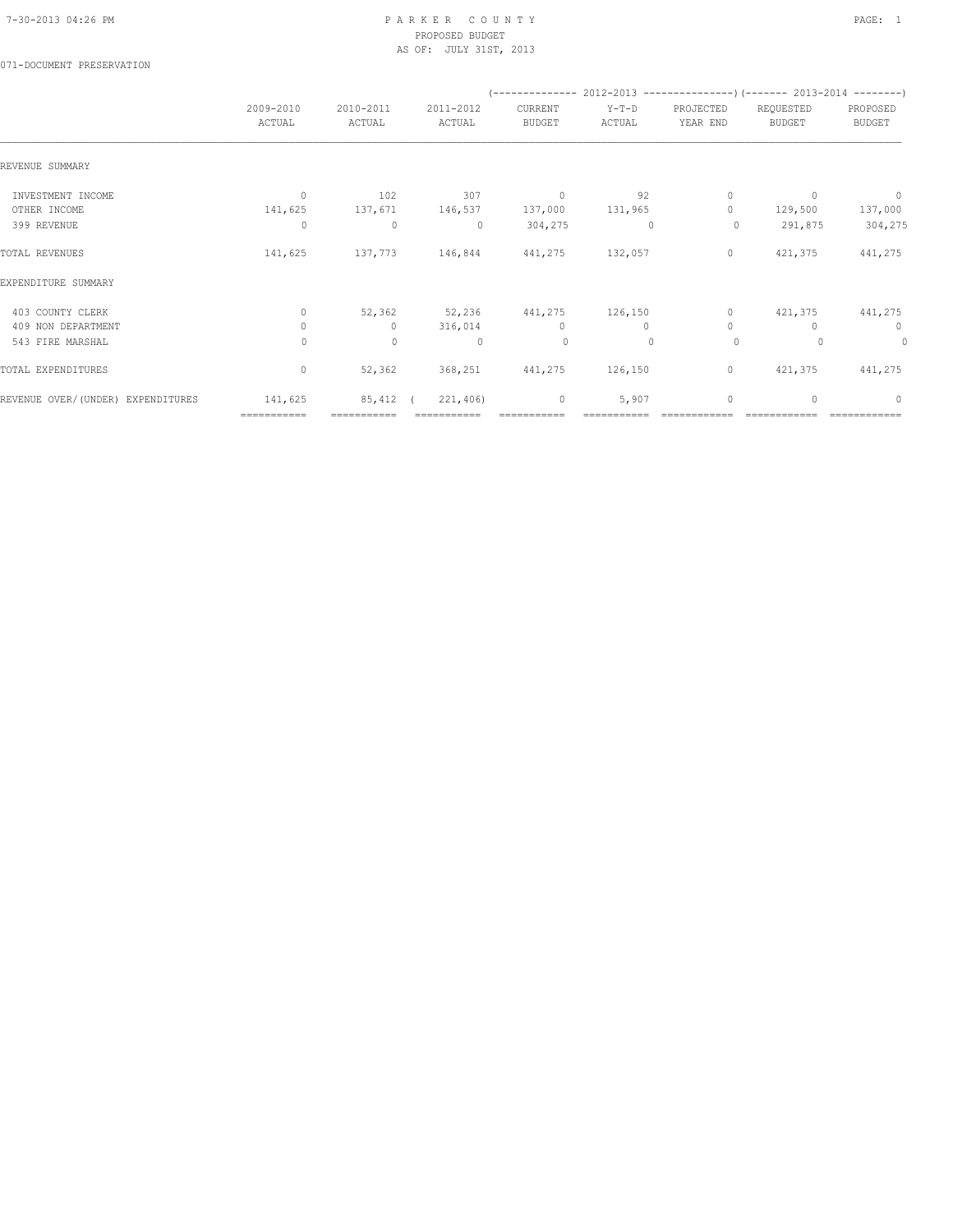### 071-DOCUMENT PRESERVATION

|                                   |                     |                     |                     |                          |                   |                       | $(----------2012-2013------------)$ $(----2013-2014------)$ |                    |
|-----------------------------------|---------------------|---------------------|---------------------|--------------------------|-------------------|-----------------------|-------------------------------------------------------------|--------------------|
|                                   | 2009-2010<br>ACTUAL | 2010-2011<br>ACTUAL | 2011-2012<br>ACTUAL | CURRENT<br><b>BUDGET</b> | $Y-T-D$<br>ACTUAL | PROJECTED<br>YEAR END | REQUESTED<br><b>BUDGET</b>                                  | PROPOSED<br>BUDGET |
| REVENUE SUMMARY                   |                     |                     |                     |                          |                   |                       |                                                             |                    |
| INVESTMENT INCOME                 | $\mathbf{0}$        | 102                 | 307                 | $\circ$                  | 92                | $\circ$               | $\Omega$                                                    | $\overline{0}$     |
| OTHER INCOME                      | 141,625             |                     | 137,671 146,537     | 137,000                  | 131,965           | $\Omega$              | 129,500                                                     | 137,000            |
| 399 REVENUE                       | $\circ$             | $\circ$             | $\circ$             | 304,275                  | $\mathbf{0}$      | $\circ$               | 291,875                                                     | 304,275            |
| TOTAL REVENUES                    | 141,625             | 137,773             | 146,844             | 441,275                  | 132,057           | $\circ$               | 421,375                                                     | 441,275            |
| EXPENDITURE SUMMARY               |                     |                     |                     |                          |                   |                       |                                                             |                    |
| 403 COUNTY CLERK                  | $\circ$             | 52,362              |                     | 52,236 441,275 126,150   |                   | $\circ$               | 421,375                                                     | 441,275            |
| 409 NON DEPARTMENT                | $\circ$             | $\circ$             | 316,014             | $\circ$                  | $\circ$           | $\circ$               | n                                                           | $\circ$            |
| 543 FIRE MARSHAL                  | 0                   | $\circ$             | $\circ$             | $\circ$                  | $\mathbf{0}$      | $\circ$               |                                                             | $\circ$            |
| TOTAL EXPENDITURES                | $\circ$             | 52,362              |                     | 368, 251 441, 275        | 126,150           | $\circ$               | 421,375                                                     | 441,275            |
| REVENUE OVER/(UNDER) EXPENDITURES | 141,625             | 85,412 (            | 221,406)            | $\circ$                  | 5,907             | $\mathbf{0}$          | $\begin{array}{c} \n\end{array}$                            | $\Omega$           |
|                                   | ===========         | ===========         |                     |                          |                   |                       |                                                             |                    |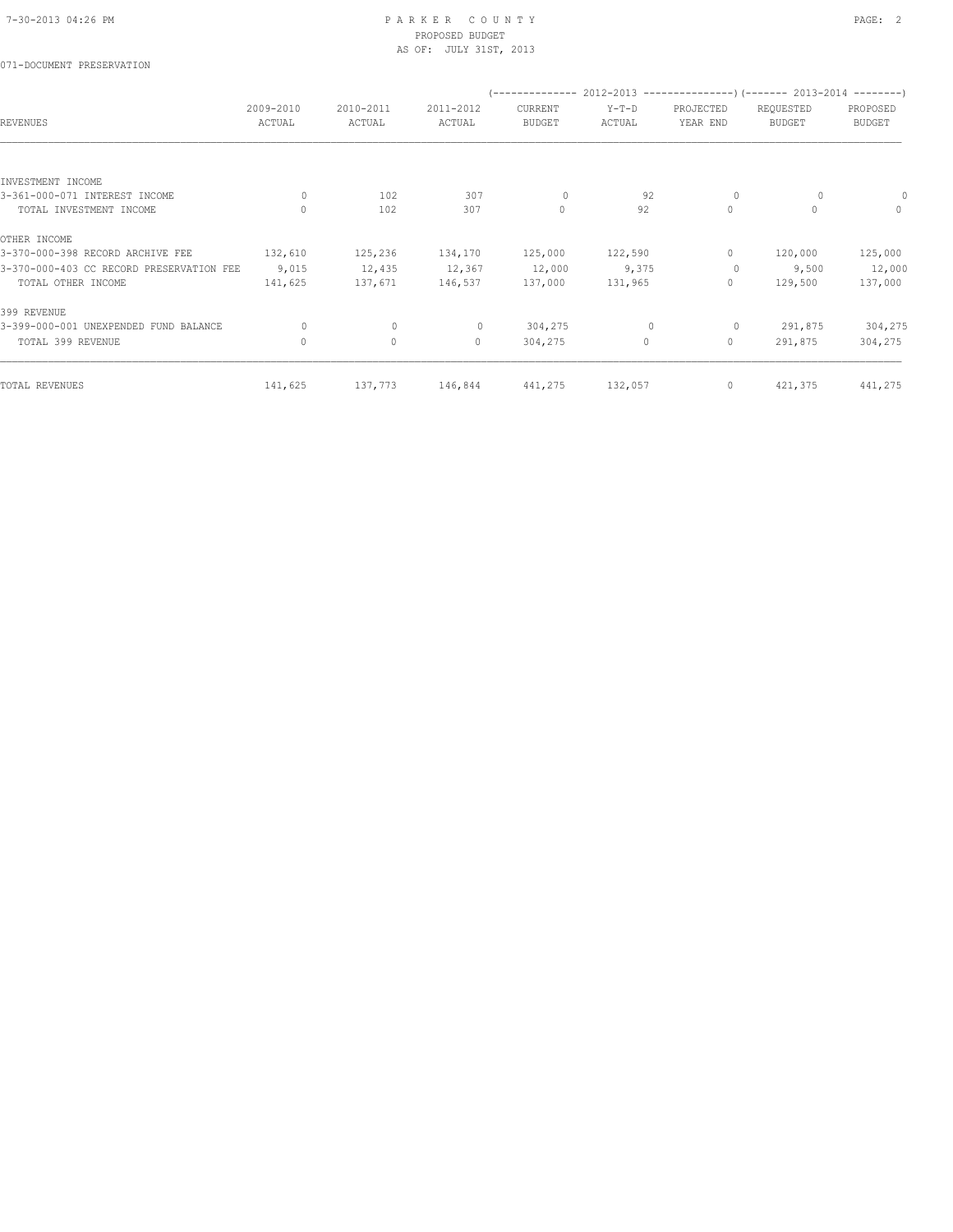## 071-DOCUMENT PRESERVATION

|                                          |                     |                     |                     |                          |                   |                                  | (-------------- 2012-2013 --------------------- 2013-2014 --------- ) |                           |
|------------------------------------------|---------------------|---------------------|---------------------|--------------------------|-------------------|----------------------------------|-----------------------------------------------------------------------|---------------------------|
| <b>REVENUES</b>                          | 2009-2010<br>ACTUAL | 2010-2011<br>ACTUAL | 2011-2012<br>ACTUAL | CURRENT<br><b>BUDGET</b> | $Y-T-D$<br>ACTUAL | PROJECTED<br>YEAR END            | REQUESTED<br><b>BUDGET</b>                                            | PROPOSED<br><b>BUDGET</b> |
|                                          |                     |                     |                     |                          |                   |                                  |                                                                       |                           |
| INVESTMENT INCOME                        |                     |                     |                     |                          |                   |                                  |                                                                       |                           |
| 3-361-000-071 INTEREST INCOME            | $\circ$             | 102                 | 307                 | $\circ$                  | 92                | $\circ$                          | 0                                                                     |                           |
| TOTAL INVESTMENT INCOME                  | $\mathbf{0}$        | 102                 | 307                 | $\circ$                  | 92                | $\circ$                          | $\Omega$                                                              | $\mathbf{0}$              |
| OTHER INCOME                             |                     |                     |                     |                          |                   |                                  |                                                                       |                           |
| 3-370-000-398 RECORD ARCHIVE FEE         | 132,610             | 125,236             | 134,170             | 125,000                  | 122,590           | $\begin{array}{c} \n\end{array}$ | 120,000                                                               | 125,000                   |
| 3-370-000-403 CC RECORD PRESERVATION FEE | 9,015               | 12,435              | 12,367              | 12,000                   | 9,375             | $\circ$                          | 9,500                                                                 | 12,000                    |
| TOTAL OTHER INCOME                       | 141,625             | 137,671             | 146,537             | 137,000                  | 131,965           | $\mathbf{0}$                     | 129,500                                                               | 137,000                   |
| 399 REVENUE                              |                     |                     |                     |                          |                   |                                  |                                                                       |                           |
| 3-399-000-001 UNEXPENDED FUND BALANCE    | $\Omega$            | $\mathbf{0}$        | $\circ$             | 304,275                  | $\mathbf{0}$      | $\circ$                          | 291,875                                                               | 304,275                   |
| TOTAL 399 REVENUE                        | $\circ$             | $\mathbb O$         | $\circ$             | 304,275                  | $\circ$           | $\circ$                          | 291,875                                                               | 304,275                   |
| TOTAL REVENUES                           | 141,625             | 137,773             | 146,844             | 441,275                  | 132,057           | $\circ$                          | 421,375                                                               | 441,275                   |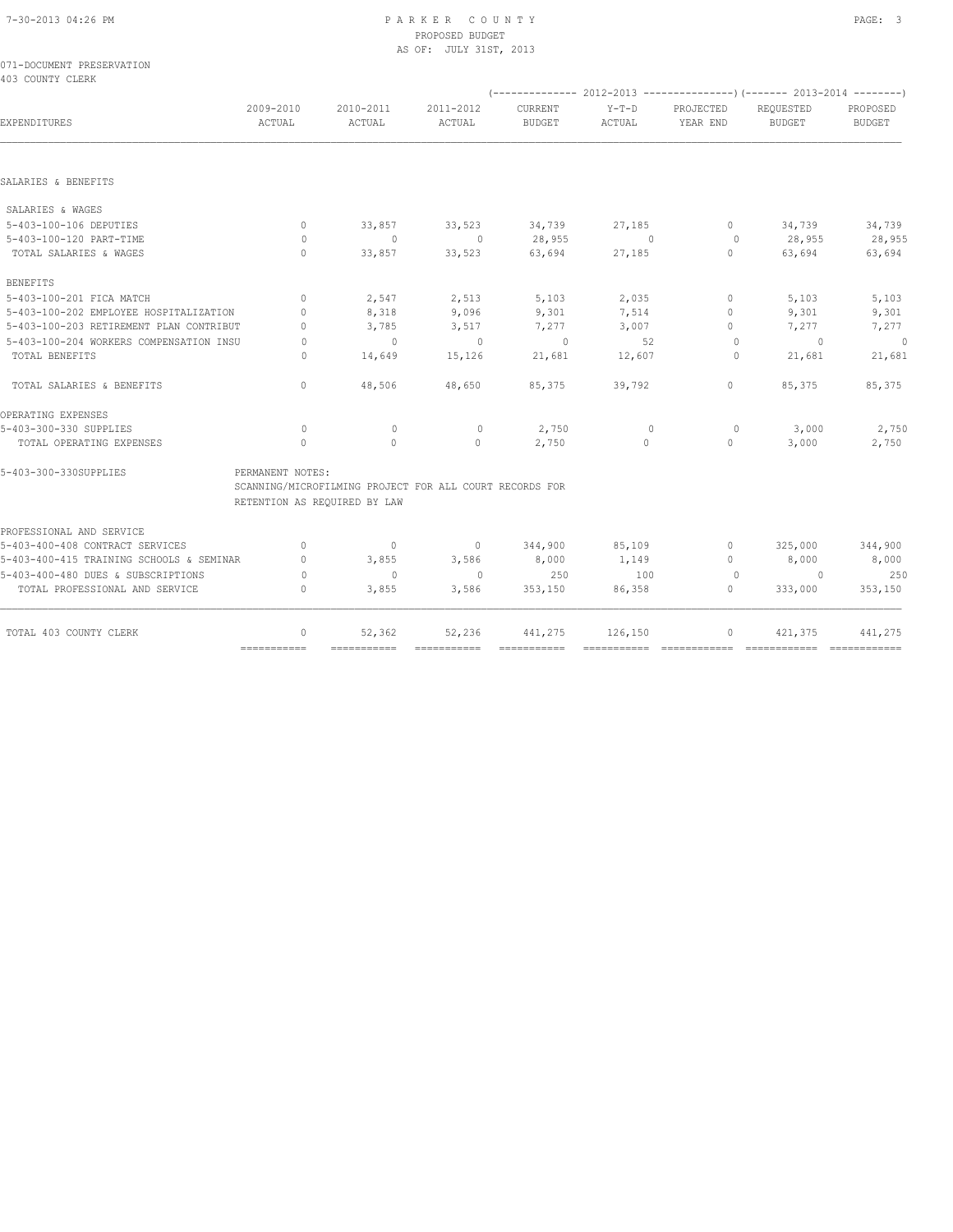|                  | 071-DOCUMENT PRESERVATION |
|------------------|---------------------------|
| 403 COUNTY CLERK |                           |

|                                          |                                  |                                                         |                       | (------------- 2012-2013 ----------------) (------- 2013-2014 --------) |                                      |                                  |                            |                           |
|------------------------------------------|----------------------------------|---------------------------------------------------------|-----------------------|-------------------------------------------------------------------------|--------------------------------------|----------------------------------|----------------------------|---------------------------|
| EXPENDITURES                             | 2009-2010<br>ACTUAL              | 2010-2011<br>ACTUAL                                     | 2011-2012<br>ACTUAL   | <b>CURRENT</b><br><b>BUDGET</b>                                         | $Y-T-D$<br>ACTUAL                    | PROJECTED<br>YEAR END            | REQUESTED<br><b>BUDGET</b> | PROPOSED<br><b>BUDGET</b> |
|                                          |                                  |                                                         |                       |                                                                         |                                      |                                  |                            |                           |
| SALARIES & BENEFITS                      |                                  |                                                         |                       |                                                                         |                                      |                                  |                            |                           |
| SALARIES & WAGES                         |                                  |                                                         |                       |                                                                         |                                      |                                  |                            |                           |
| 5-403-100-106 DEPUTIES                   | $\circ$                          | 33,857                                                  | 33,523                | 34,739                                                                  | 27,185                               | $\circ$                          | 34,739                     | 34,739                    |
| 5-403-100-120 PART-TIME                  | $\Omega$                         | $\circ$                                                 | $\overline{0}$        | 28,955                                                                  | $\sim$ 0                             | $\Omega$                         | 28,955                     | 28,955                    |
| TOTAL SALARIES & WAGES                   | $\mathbf{0}$                     | 33,857                                                  | 33,523                | 63,694                                                                  | 27,185                               | $\circ$                          | 63,694                     | 63,694                    |
| <b>BENEFITS</b>                          |                                  |                                                         |                       |                                                                         |                                      |                                  |                            |                           |
| 5-403-100-201 FICA MATCH                 | $\Omega$                         | 2,547                                                   | 2,513                 | 5,103                                                                   | 2,035                                | $\Omega$                         | 5,103                      | 5,103                     |
| 5-403-100-202 EMPLOYEE HOSPITALIZATION   | $\begin{array}{c} \n\end{array}$ | 8,318                                                   | 9,096                 | 9,301                                                                   | 7,514                                | 0                                | 9,301                      | 9,301                     |
| 5-403-100-203 RETIREMENT PLAN CONTRIBUT  | $\Omega$                         | 3,785                                                   | 3,517                 | 7,277                                                                   | 3,007                                | $\begin{array}{c} \n\end{array}$ | 7,277                      | 7,277                     |
| 5-403-100-204 WORKERS COMPENSATION INSU  | $\Omega$                         | $\overline{0}$                                          | $\Omega$              | $\circ$                                                                 | 52                                   | $\circ$                          | $\circ$                    | $\circ$                   |
| TOTAL BENEFITS                           | $\bigcap$                        | 14,649                                                  | 15,126                | 21,681                                                                  | 12,607                               | $\Omega$                         | 21,681                     | 21,681                    |
| TOTAL SALARIES & BENEFITS                | $\Omega$                         | 48,506                                                  | 48,650                | 85,375                                                                  | 39,792                               | $\mathbf{0}$                     | 85,375                     | 85,375                    |
| OPERATING EXPENSES                       |                                  |                                                         |                       |                                                                         |                                      |                                  |                            |                           |
| 5-403-300-330 SUPPLIES                   | $\circ$                          | $\mathbf{0}$                                            | $\circ$               | 2,750                                                                   | $\mathbf{0}$                         | $\circ$                          | 3,000                      | 2,750                     |
| TOTAL OPERATING EXPENSES                 | $\Omega$                         | $\Omega$                                                | $\Omega$              | 2,750                                                                   | $\Omega$                             | $\circ$                          | 3,000                      | 2,750                     |
| 5-403-300-330SUPPLIES                    | PERMANENT NOTES:                 | SCANNING/MICROFILMING PROJECT FOR ALL COURT RECORDS FOR |                       |                                                                         |                                      |                                  |                            |                           |
|                                          |                                  | RETENTION AS REQUIRED BY LAW                            |                       |                                                                         |                                      |                                  |                            |                           |
| PROFESSIONAL AND SERVICE                 |                                  |                                                         |                       |                                                                         |                                      |                                  |                            |                           |
| 5-403-400-408 CONTRACT SERVICES          | $\Omega$                         | $\circ$                                                 | $\circ$               | 344,900                                                                 | 85,109                               | $\begin{array}{c} \n\end{array}$ | 325,000                    | 344,900                   |
| 5-403-400-415 TRAINING SCHOOLS & SEMINAR | $\mathbf{0}$                     | 3,855                                                   | 3,586                 | 8,000                                                                   | 1,149                                | 0                                | 8,000                      | 8,000                     |
| 5-403-400-480 DUES & SUBSCRIPTIONS       | $\Omega$                         | $\mathbf{0}$                                            | $\Omega$              | 250                                                                     | 100                                  | $\Omega$                         | $\bigcirc$                 | 250                       |
| TOTAL PROFESSIONAL AND SERVICE           | $\mathbf{0}$                     | 3,855                                                   | 3,586                 | 353,150                                                                 | 86,358                               | $\circ$                          | 333,000                    | 353,150                   |
|                                          |                                  |                                                         |                       |                                                                         |                                      |                                  |                            |                           |
| TOTAL 403 COUNTY CLERK                   | $\mathbf{0}$                     | 52,362<br>===========                                   | 52,236<br>=========== | 441,275<br>$=$ = = = = = = = = = = =                                    | 126,150<br>$=$ = = = = = = = = = = = | $\circ$<br>============          | 421,375<br>============    | 441,275                   |
|                                          |                                  |                                                         |                       |                                                                         |                                      |                                  |                            |                           |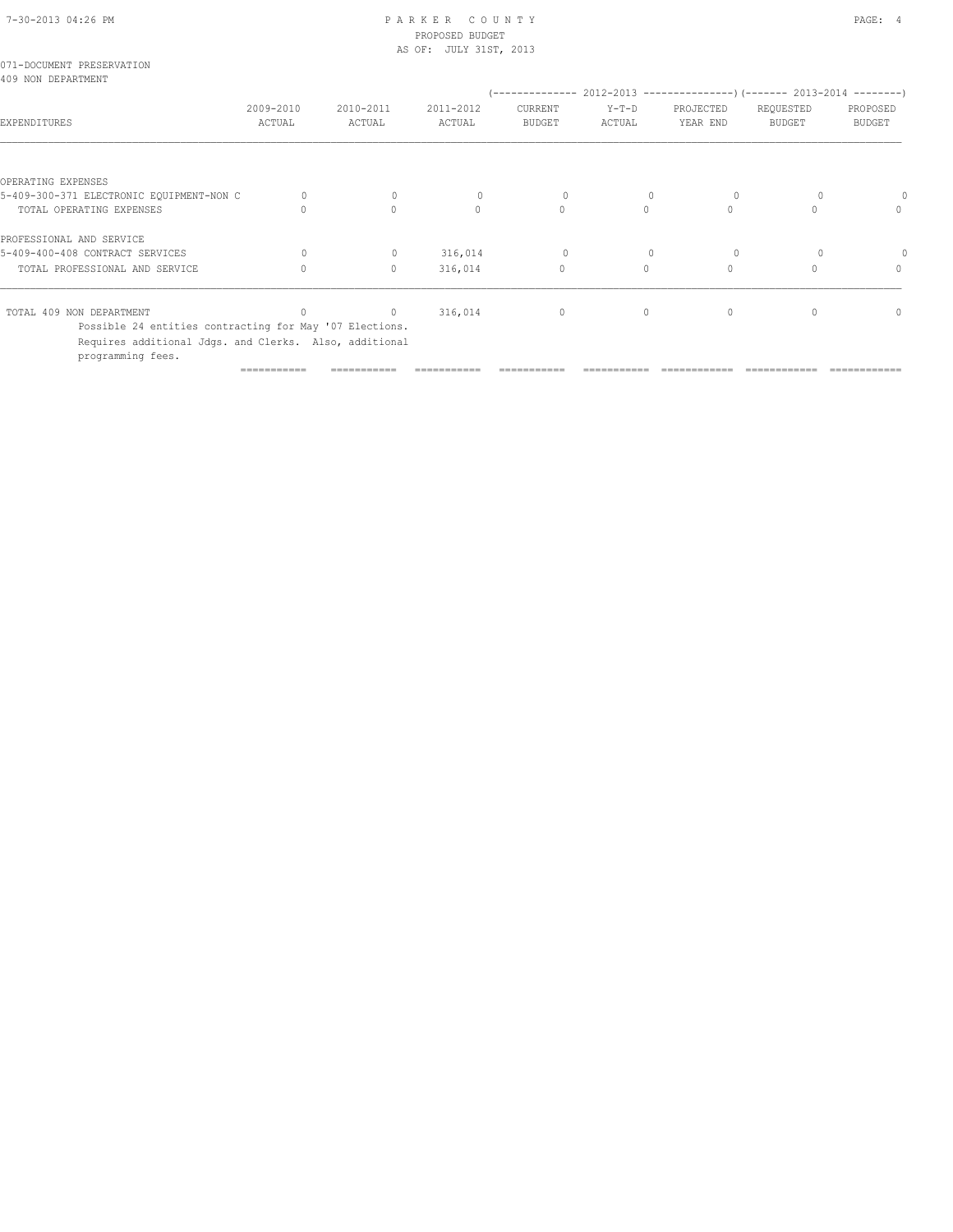| 071-DOCUMENT PRESERVATION<br>409 NON DEPARTMENT                             |             |              |              |                             |          |                                                                      |               |               |
|-----------------------------------------------------------------------------|-------------|--------------|--------------|-----------------------------|----------|----------------------------------------------------------------------|---------------|---------------|
|                                                                             | 2009-2010   | 2010-2011    | 2011-2012    | / ______________<br>CURRENT | $Y-T-D$  | 2012-2013 ----------------) (------- 2013-2014 --------<br>PROJECTED | REQUESTED     | PROPOSED      |
| EXPENDITURES                                                                | ACTUAL      | ACTUAL       | ACTUAL       | <b>BUDGET</b>               | ACTUAL   | YEAR END                                                             | <b>BUDGET</b> | <b>BUDGET</b> |
|                                                                             |             |              |              |                             |          |                                                                      |               |               |
| OPERATING EXPENSES                                                          |             |              |              |                             |          |                                                                      |               |               |
| 5-409-300-371 ELECTRONIC EQUIPMENT-NON C                                    |             | $\mathbf{0}$ | $\mathbf{0}$ | $\circ$                     |          | 0                                                                    |               |               |
| TOTAL OPERATING EXPENSES                                                    |             | $\Omega$     | $\Omega$     | $\Omega$                    | $\Omega$ | $\Omega$                                                             |               | $\Omega$      |
| PROFESSIONAL AND SERVICE                                                    |             |              |              |                             |          |                                                                      |               |               |
| 5-409-400-408 CONTRACT SERVICES                                             | $\Omega$    | $\mathbf{0}$ | 316,014      | $\circ$                     |          | $\Omega$                                                             |               |               |
| TOTAL PROFESSIONAL AND SERVICE                                              |             | 0            | 316,014      | $\mathbf{0}$                | $\circ$  | $\mathbf{0}$                                                         |               | $\Omega$      |
| TOTAL 409 NON DEPARTMENT                                                    |             | $\mathbf{0}$ | 316,014      | $\circ$                     | $\circ$  | $\mathbf{0}$                                                         |               | $\Omega$      |
| Possible 24 entities contracting for May '07 Elections.                     |             |              |              |                             |          |                                                                      |               |               |
| Requires additional Jdgs. and Clerks. Also, additional<br>programming fees. |             |              |              |                             |          |                                                                      |               |               |
|                                                                             | =========== |              |              |                             |          |                                                                      |               |               |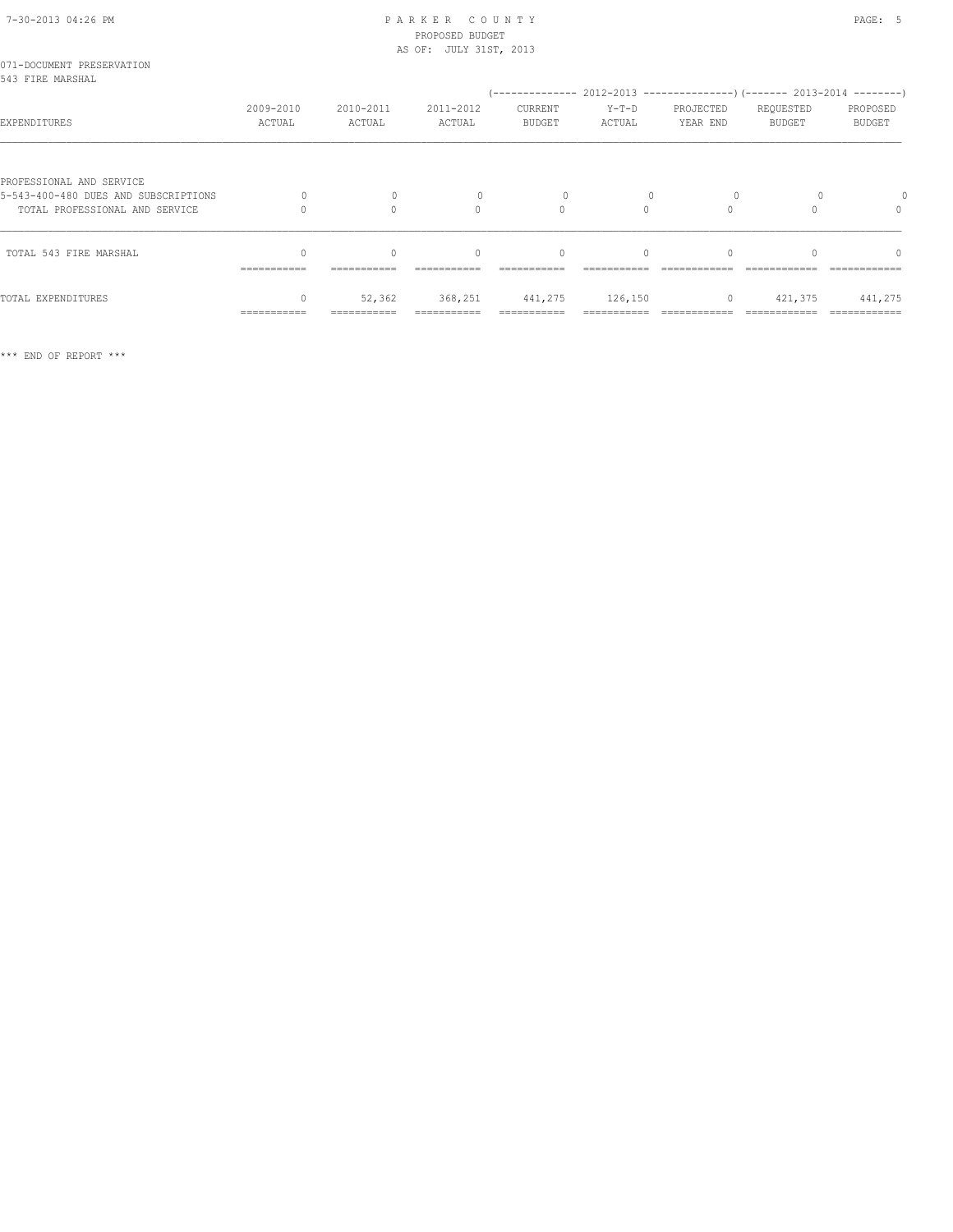| 071-DOCUMENT PRESERVATION<br>543 FIRE MARSHAL                                                      |                     |                     |                                  |                          |                   |                                                                                                   |                            |                                  |
|----------------------------------------------------------------------------------------------------|---------------------|---------------------|----------------------------------|--------------------------|-------------------|---------------------------------------------------------------------------------------------------|----------------------------|----------------------------------|
| EXPENDITURES                                                                                       | 2009-2010<br>ACTUAL | 2010-2011<br>ACTUAL | 2011-2012<br>ACTUAL              | CURRENT<br><b>BUDGET</b> | $Y-T-D$<br>ACTUAL | (-------------- 2012-2013 ----------------) (------- 2013-2014 --------)<br>PROJECTED<br>YEAR END | REQUESTED<br><b>BUDGET</b> | PROPOSED<br><b>BUDGET</b>        |
| PROFESSIONAL AND SERVICE<br>5-543-400-480 DUES AND SUBSCRIPTIONS<br>TOTAL PROFESSIONAL AND SERVICE | $\Omega$            | $\Omega$<br>$\cap$  | $\mathbf{0}$<br>$\Omega$         | 0<br>$\Omega$            | $\bigcap$         | $\circ$<br>$\Omega$                                                                               |                            | $\begin{array}{c} \n\end{array}$ |
| TOTAL 543 FIRE MARSHAL                                                                             |                     | $\Omega$            | $\begin{array}{c} \n\end{array}$ | $\mathbf{0}$             | $\Omega$          |                                                                                                   |                            |                                  |
| TOTAL EXPENDITURES                                                                                 | ===========         | 52,362              | 368,251                          | 441,275                  | 126,150           | $\circ$                                                                                           | 421,375                    | 441,275                          |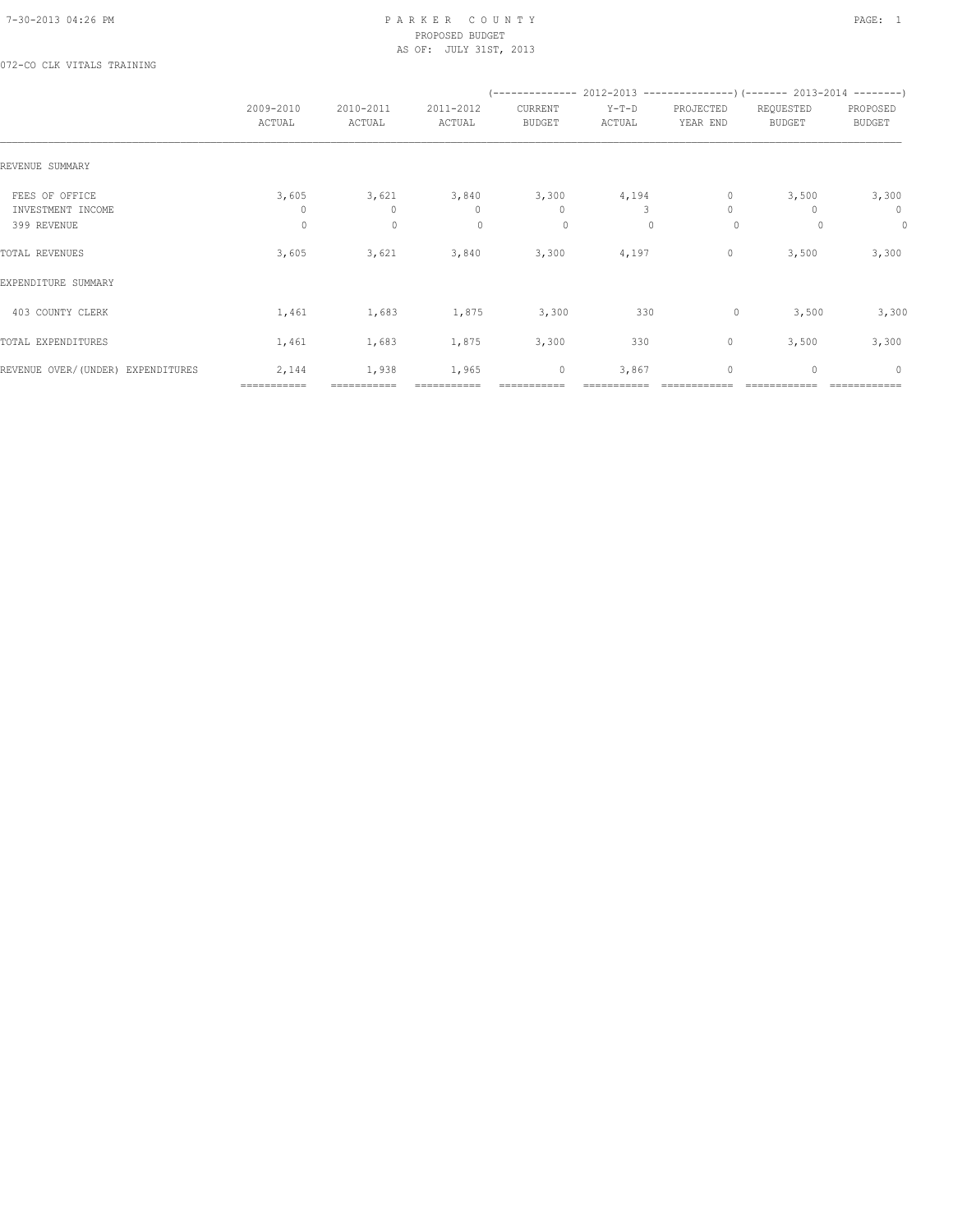072-CO CLK VITALS TRAINING

|                                     |                      |                      |                       |                          | (-------------- 2012-2013 -------------------) (------- 2013-2014 ---------) |                       |                            |                           |
|-------------------------------------|----------------------|----------------------|-----------------------|--------------------------|------------------------------------------------------------------------------|-----------------------|----------------------------|---------------------------|
|                                     | 2009-2010<br>ACTUAL  | 2010-2011<br>ACTUAL  | 2011-2012<br>ACTUAL   | CURRENT<br><b>BUDGET</b> | $Y-T-D$<br>ACTUAL                                                            | PROJECTED<br>YEAR END | REQUESTED<br><b>BUDGET</b> | PROPOSED<br><b>BUDGET</b> |
| REVENUE SUMMARY                     |                      |                      |                       |                          |                                                                              |                       |                            |                           |
| FEES OF OFFICE<br>INVESTMENT INCOME | 3,605<br>0           | 3,621<br>$\Omega$    | 3,840<br>$\mathbf{0}$ | 3,300<br>$\mathbf{0}$    | 4,194<br>3                                                                   | $\circ$<br>$\Omega$   | 3,500                      | 3,300<br>$\mathbf{0}$     |
| 399 REVENUE                         | $\circ$              | $\mathbf 0$          | $\mathbf{0}$          | 0                        | $\mathbf{0}$                                                                 | $\circ$               | 0                          | 0                         |
| TOTAL REVENUES                      | 3,605                | 3,621                | 3,840                 | 3,300                    | 4,197                                                                        | 0                     | 3,500                      | 3,300                     |
| EXPENDITURE SUMMARY                 |                      |                      |                       |                          |                                                                              |                       |                            |                           |
| 403 COUNTY CLERK                    | 1,461                | 1,683                | 1,875                 | 3,300                    | 330                                                                          | 0                     | 3,500                      | 3,300                     |
| TOTAL EXPENDITURES                  | 1,461                | 1,683                | 1,875                 | 3,300                    | 330                                                                          | 0                     | 3,500                      | 3,300                     |
| REVENUE OVER/(UNDER) EXPENDITURES   | 2,144<br>=========== | 1,938<br>=========== | 1,965                 | $\mathbb O$              | 3,867                                                                        | 0                     | $\mathbf{0}$               | $\circ$                   |
|                                     |                      |                      |                       |                          |                                                                              |                       |                            |                           |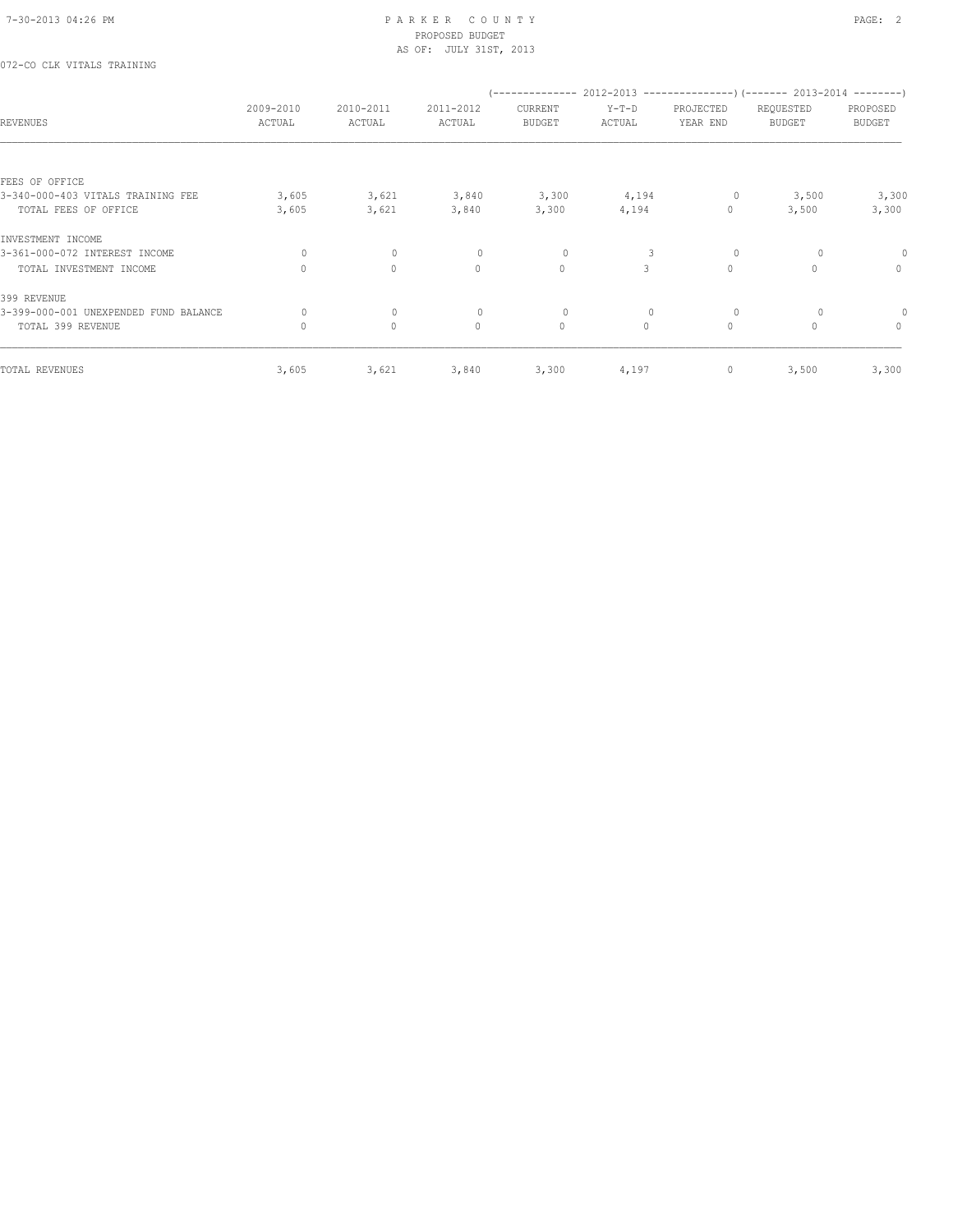## 072-CO CLK VITALS TRAINING

| <b>REVENUES</b>                       | 2009-2010<br>ACTUAL | 2010-2011<br>ACTUAL | 2011-2012<br>ACTUAL | CURRENT<br><b>BUDGET</b> | $Y-T-D$<br>ACTUAL | PROJECTED<br>YEAR END | -------------- 2012-2013 -----------------) (------- 2013-2014 --------)<br>REQUESTED<br><b>BUDGET</b> | PROPOSED<br><b>BUDGET</b> |
|---------------------------------------|---------------------|---------------------|---------------------|--------------------------|-------------------|-----------------------|--------------------------------------------------------------------------------------------------------|---------------------------|
|                                       |                     |                     |                     |                          |                   |                       |                                                                                                        |                           |
| FEES OF OFFICE                        |                     |                     |                     |                          |                   |                       |                                                                                                        |                           |
| 3-340-000-403 VITALS TRAINING FEE     | 3,605               | 3,621               | 3,840               | 3,300                    | 4,194             | 0                     | 3,500                                                                                                  | 3,300                     |
| TOTAL FEES OF OFFICE                  | 3,605               | 3,621               | 3,840               | 3,300                    | 4,194             | 0                     | 3,500                                                                                                  | 3,300                     |
| INVESTMENT INCOME                     |                     |                     |                     |                          |                   |                       |                                                                                                        |                           |
| 3-361-000-072 INTEREST INCOME         | $\circ$             | 0                   | $\circ$             | $\circ$                  | 3                 | $\circ$               | $\circ$                                                                                                | 0                         |
| TOTAL INVESTMENT INCOME               | $\Omega$            | $\circ$             | $\mathbf{0}$        | $\mathbf{0}$             | 3                 | $\mathbf{0}$          | $\Omega$                                                                                               | 0                         |
| 399 REVENUE                           |                     |                     |                     |                          |                   |                       |                                                                                                        |                           |
| 3-399-000-001 UNEXPENDED FUND BALANCE | 0                   | $\circ$             | $\circ$             | 0                        | 0                 | $\circ$               | 0                                                                                                      |                           |
| TOTAL 399 REVENUE                     | $\mathbf{0}$        | $\circ$             | $\mathbf{0}$        | $\circ$                  | $\circ$           | $\circ$               | $\mathbf{0}$                                                                                           | $\circ$                   |
|                                       |                     |                     |                     |                          |                   |                       |                                                                                                        |                           |
| TOTAL REVENUES                        | 3,605               | 3,621               | 3,840               | 3,300                    | 4,197             | 0                     | 3,500                                                                                                  | 3,300                     |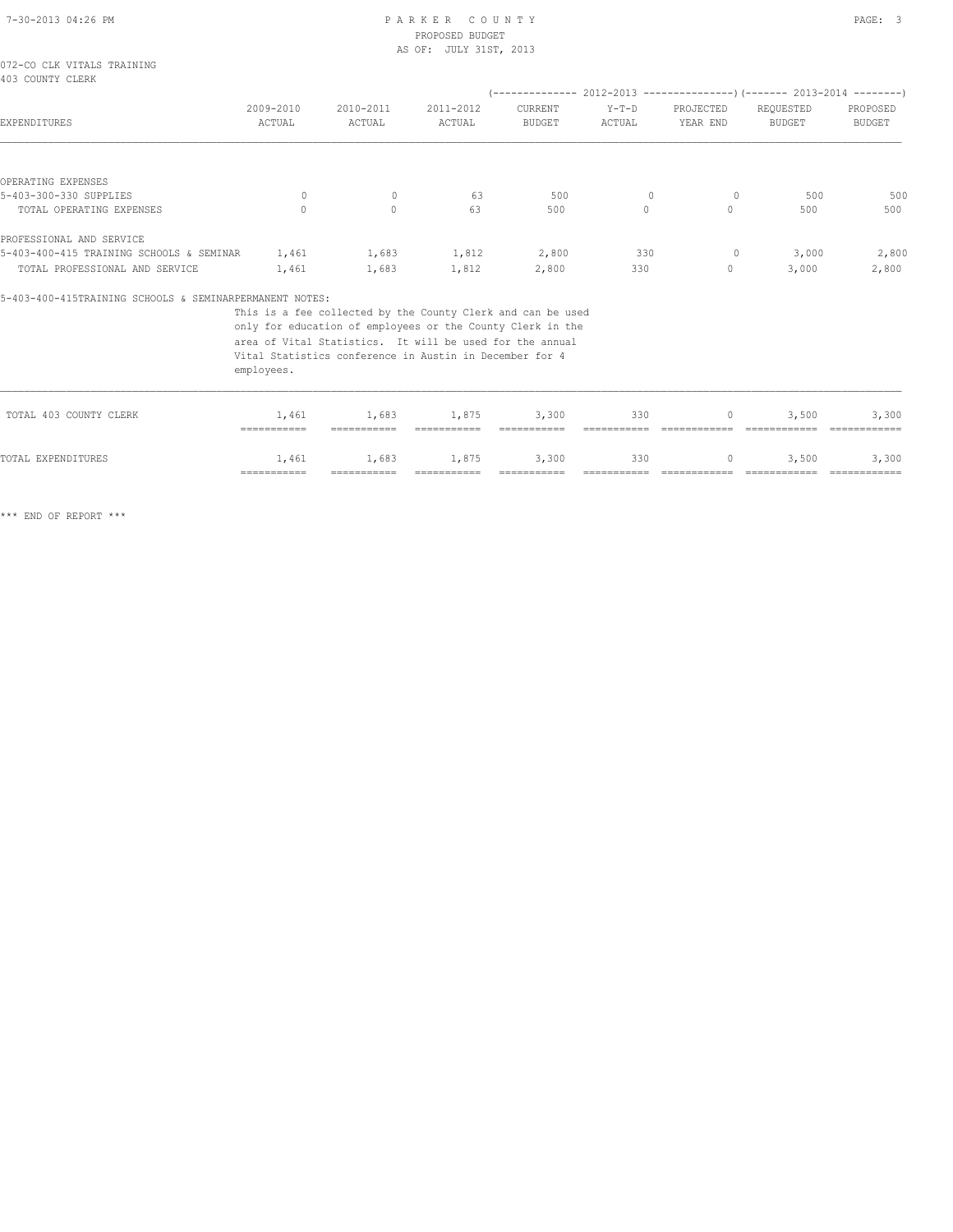|  |                  | 072-CO CLK VITALS TRAINING |
|--|------------------|----------------------------|
|  | 403 COUNTY CLERK |                            |

| 403 COUNTY CLERK                         |                     |                     |                     |                          |                   |                       |                                                           |                           |
|------------------------------------------|---------------------|---------------------|---------------------|--------------------------|-------------------|-----------------------|-----------------------------------------------------------|---------------------------|
|                                          |                     |                     |                     | --------------           |                   |                       | $2012-2013$ ---------------) (------- 2013-2014 --------) |                           |
| EXPENDITURES                             | 2009-2010<br>ACTUAL | 2010-2011<br>ACTUAL | 2011-2012<br>ACTUAL | CURRENT<br><b>BUDGET</b> | $Y-T-D$<br>ACTUAL | PROJECTED<br>YEAR END | REQUESTED<br><b>BUDGET</b>                                | PROPOSED<br><b>BUDGET</b> |
|                                          |                     |                     |                     |                          |                   |                       |                                                           |                           |
| OPERATING EXPENSES                       |                     |                     |                     |                          |                   |                       |                                                           |                           |
| 5-403-300-330 SUPPLIES                   | $\Omega$            | $\mathbf{0}$        | 63                  | 500                      | $\mathbf{0}$      | 0                     | 500                                                       | 500                       |
| TOTAL OPERATING EXPENSES                 |                     | $\circ$             | 63                  | 500                      |                   | 0                     | 500                                                       | 500                       |
| PROFESSIONAL AND SERVICE                 |                     |                     |                     |                          |                   |                       |                                                           |                           |
| 5-403-400-415 TRAINING SCHOOLS & SEMINAR | 1,461               | 1,683               | 1,812               | 2,800                    | 330               | 0                     | 3,000                                                     | 2,800                     |
| TOTAL PROFESSIONAL AND SERVICE           | 1,461               | 1,683               | 1,812               | 2,800                    | 330               | 0                     | 3,000                                                     | 2,800                     |

### 5-403-400-415TRAINING SCHOOLS & SEMINARPERMANENT NOTES:

This is a fee collected by the County Clerk and can be used

only for education of employees or the County Clerk in the

area of Vital Statistics. It will be used for the annual

Vital Statistics conference in Austin in December for 4

employees.

| TOTAL EXPENDITURES     | 1,461           | 1,683       | 1,875       | 3,300       | 330 |              | 3,500<br>$\Omega$ and $\Omega$ | 3,300 |
|------------------------|-----------------|-------------|-------------|-------------|-----|--------------|--------------------------------|-------|
|                        | $=$ =========== | =========== | =========== | =========== |     | ============ | ,,,,,,,,,,,,,                  |       |
| TOTAL 403 COUNTY CLERK | 1,461           | 1,683       | 1,875       | 3,300       | 330 |              | 3,500                          | 3,300 |
|                        |                 |             |             |             |     |              |                                |       |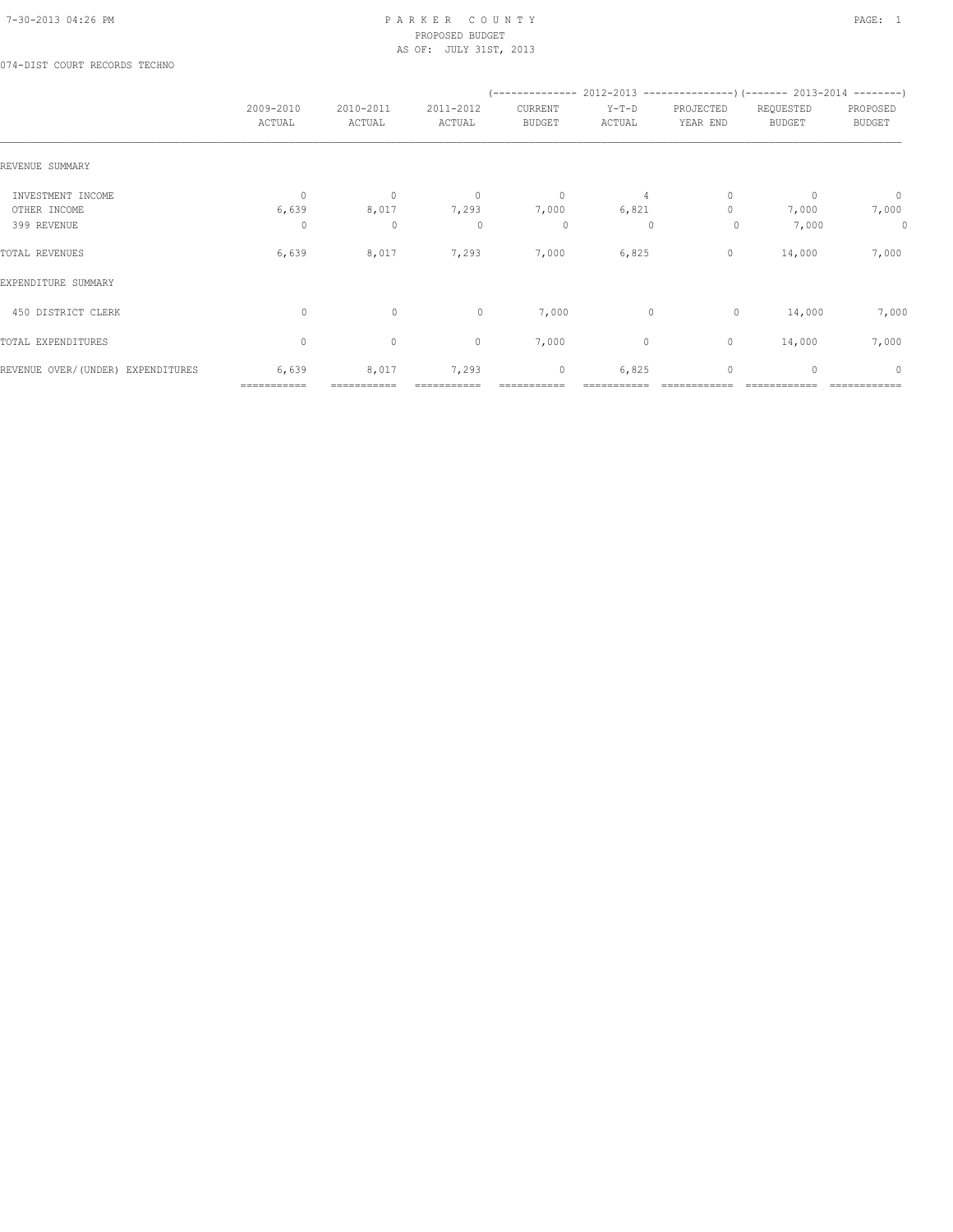074-DIST COURT RECORDS TECHNO

|                                   |                      |                      |                     |                          |                   | (-------------- 2012-2013 -------------------) (------- 2013-2014 ---------) |                            |                           |
|-----------------------------------|----------------------|----------------------|---------------------|--------------------------|-------------------|------------------------------------------------------------------------------|----------------------------|---------------------------|
|                                   | 2009-2010<br>ACTUAL  | 2010-2011<br>ACTUAL  | 2011-2012<br>ACTUAL | CURRENT<br><b>BUDGET</b> | $Y-T-D$<br>ACTUAL | PROJECTED<br>YEAR END                                                        | REQUESTED<br><b>BUDGET</b> | PROPOSED<br><b>BUDGET</b> |
| REVENUE SUMMARY                   |                      |                      |                     |                          |                   |                                                                              |                            |                           |
| INVESTMENT INCOME                 | $\circ$              | $\mathbf{0}$         | $\circ$             | $\circ$                  | 4                 | $\mathbf{0}$                                                                 | $\mathbf{0}$               | $\overline{0}$            |
| OTHER INCOME                      | 6,639                | 8,017                | 7,293               | 7,000                    | 6,821             | $\mathbf{0}$                                                                 | 7,000                      | 7,000                     |
| 399 REVENUE                       | 0                    | $\mathbf 0$          | $\mathbf{0}$        | 0                        | 0                 | $\circ$                                                                      | 7,000                      | 0                         |
| TOTAL REVENUES                    | 6,639                | 8,017                | 7,293               | 7,000                    | 6,825             | 0                                                                            | 14,000                     | 7,000                     |
| EXPENDITURE SUMMARY               |                      |                      |                     |                          |                   |                                                                              |                            |                           |
| 450 DISTRICT CLERK                | $\circ$              | $\circ$              | $\circ$             | 7,000                    | $\mathbf{0}$      | $\circ$                                                                      | 14,000                     | 7,000                     |
| TOTAL EXPENDITURES                | $\mathbf{0}$         | $\circ$              | $\mathbf{0}$        | 7,000                    | 0                 | 0                                                                            | 14,000                     | 7,000                     |
| REVENUE OVER/(UNDER) EXPENDITURES | 6,639<br>=========== | 8,017<br>=========== | 7,293               | $\mathbf 0$              | 6,825             | $\mathbf{0}$                                                                 | $\mathbf{0}$               | $\mathbf{0}$              |
|                                   |                      |                      |                     |                          |                   |                                                                              |                            |                           |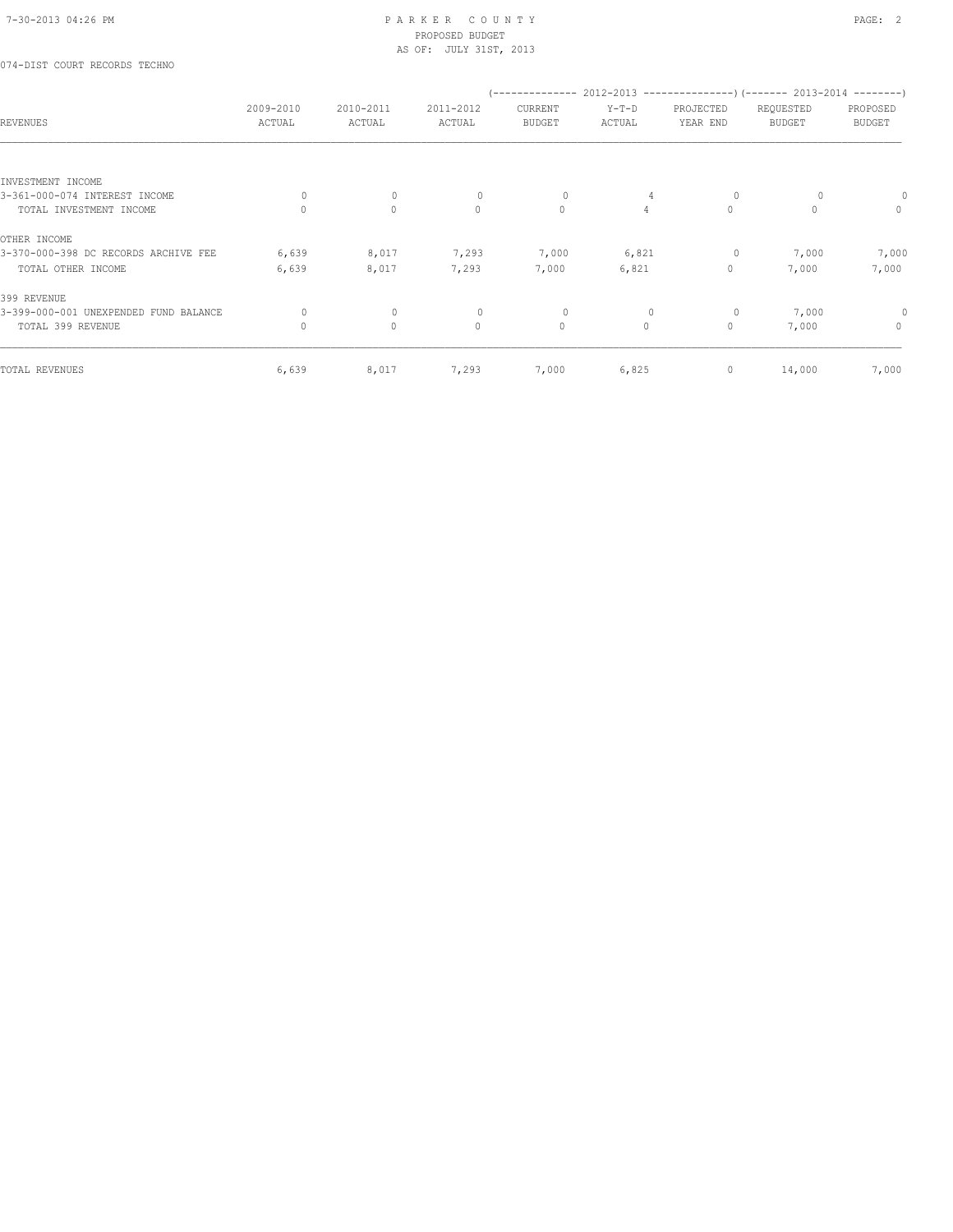## 074-DIST COURT RECORDS TECHNO

| <b>REVENUES</b>                       | 2009-2010<br>ACTUAL | 2010-2011<br>ACTUAL | 2011-2012<br>ACTUAL | CURRENT<br><b>BUDGET</b> | $Y-T-D$<br>ACTUAL | PROJECTED<br>YEAR END | -------------- 2012-2013 --------------------- (------- 2013-2014 ---------)<br>REQUESTED<br><b>BUDGET</b> | PROPOSED<br>BUDGET |
|---------------------------------------|---------------------|---------------------|---------------------|--------------------------|-------------------|-----------------------|------------------------------------------------------------------------------------------------------------|--------------------|
|                                       |                     |                     |                     |                          |                   |                       |                                                                                                            |                    |
| INVESTMENT INCOME                     |                     |                     |                     |                          |                   |                       |                                                                                                            |                    |
| 3-361-000-074 INTEREST INCOME         | $\circ$             | $\circ$             | $\mathbf 0$         | 0                        | 4                 | 0                     | 0                                                                                                          |                    |
| TOTAL INVESTMENT INCOME               | $\Omega$            | $\circ$             | $\mathbf{0}$        | $\circ$                  | $\overline{4}$    | $\circ$               | $\Omega$                                                                                                   | $\circ$            |
| OTHER INCOME                          |                     |                     |                     |                          |                   |                       |                                                                                                            |                    |
| 3-370-000-398 DC RECORDS ARCHIVE FEE  | 6,639               | 8,017               | 7,293               | 7,000                    | 6,821             | 0                     | 7,000                                                                                                      | 7,000              |
| TOTAL OTHER INCOME                    | 6,639               | 8,017               | 7,293               | 7,000                    | 6,821             | $\circ$               | 7,000                                                                                                      | 7,000              |
| 399 REVENUE                           |                     |                     |                     |                          |                   |                       |                                                                                                            |                    |
| 3-399-000-001 UNEXPENDED FUND BALANCE | 0                   | $\circ$             | $\circ$             | 0                        | 0                 | 0                     | 7,000                                                                                                      | 0                  |
| TOTAL 399 REVENUE                     | 0                   | $\circ$             | $\mathbf{0}$        | $\circ$                  | $\circ$           | $\circ$               | 7,000                                                                                                      | $\mathbf{0}$       |
|                                       |                     |                     |                     |                          |                   |                       |                                                                                                            |                    |
| TOTAL REVENUES                        | 6,639               | 8,017               | 7,293               | 7,000                    | 6,825             | 0                     | 14,000                                                                                                     | 7,000              |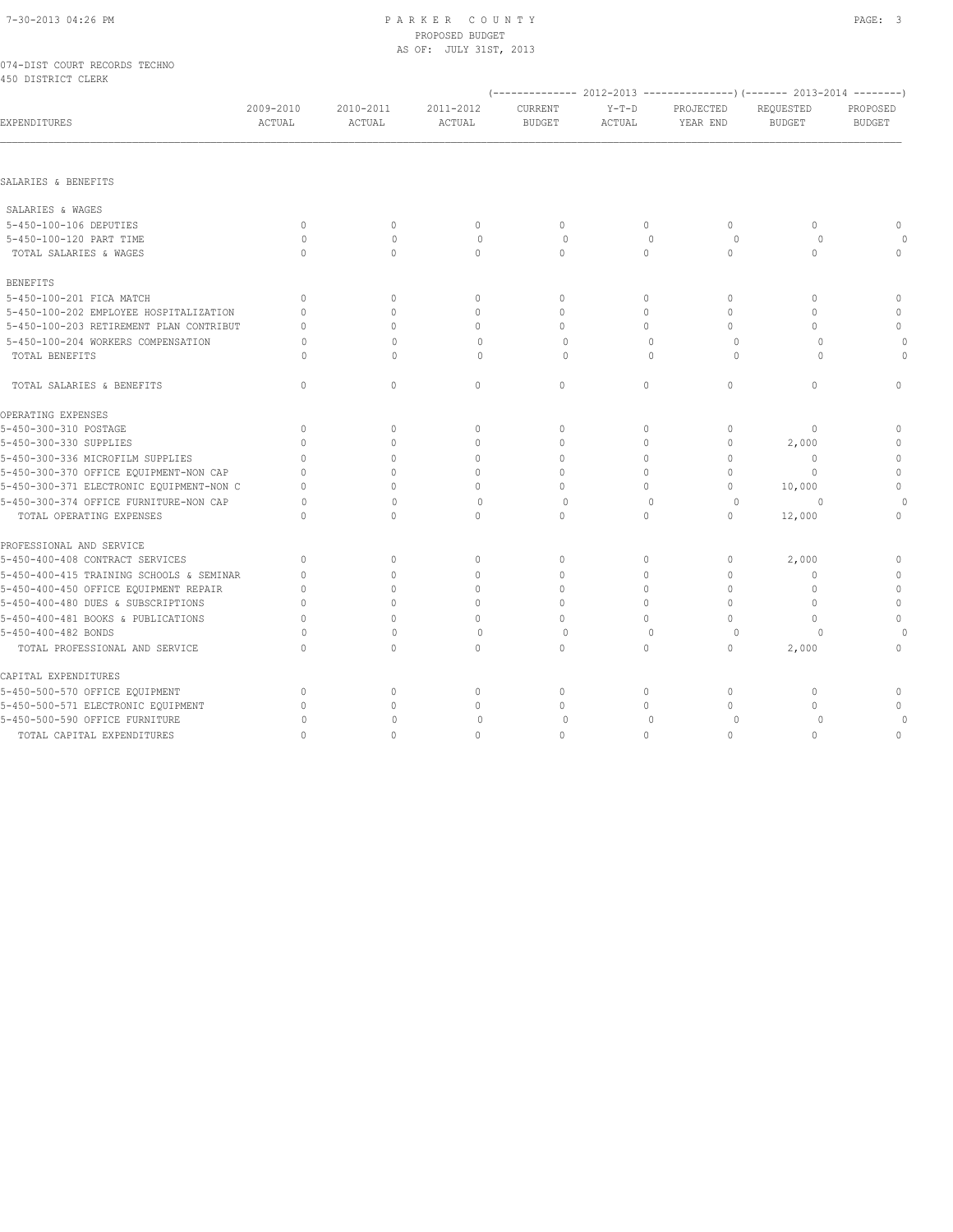|  |                    | 074-DIST COURT RECORDS TECHNO |  |
|--|--------------------|-------------------------------|--|
|  | 450 DISTRICT CLERK |                               |  |

|                                          |                     |                     |                            |                          |                          |                                  | (-------------- 2012-2013 ---------------)(------- 2013-2014 --------) |                           |
|------------------------------------------|---------------------|---------------------|----------------------------|--------------------------|--------------------------|----------------------------------|------------------------------------------------------------------------|---------------------------|
| EXPENDITURES                             | 2009-2010<br>ACTUAL | 2010-2011<br>ACTUAL | 2011-2012<br><b>ACTUAL</b> | CURRENT<br><b>BUDGET</b> | $Y-T-D$<br><b>ACTUAL</b> | PROJECTED<br>YEAR END            | REQUESTED<br><b>BUDGET</b>                                             | PROPOSED<br><b>BUDGET</b> |
|                                          |                     |                     |                            |                          |                          |                                  |                                                                        |                           |
| SALARIES & BENEFITS                      |                     |                     |                            |                          |                          |                                  |                                                                        |                           |
| SALARIES & WAGES                         |                     |                     |                            |                          |                          |                                  |                                                                        |                           |
| 5-450-100-106 DEPUTIES                   | $\Omega$            | $\circ$             | $\mathbf{0}$               | $\circ$                  | $\circ$                  | $\mathbf{0}$                     | $\mathbf{0}$                                                           | $\mathbf{0}$              |
| 5-450-100-120 PART TIME                  | $\Omega$            | $\mathbf{0}$        | $\mathbf{0}$               | $\circ$                  | $\mathbf{0}$             | $\circ$                          | $\circ$                                                                | $\circ$                   |
| TOTAL SALARIES & WAGES                   | $\cap$              | $\Omega$            | $\Omega$                   | $\Omega$                 | $\Omega$                 | $\mathbf{0}$                     | $\Omega$                                                               | $\mathbf{0}$              |
| <b>BENEFITS</b>                          |                     |                     |                            |                          |                          |                                  |                                                                        |                           |
| 5-450-100-201 FICA MATCH                 | $\Omega$            | $\mathbf{0}$        | $\mathbf{0}$               | $\circ$                  | $\circ$                  | $\mathbf{0}$                     | $\Omega$                                                               | $\mathbf{0}$              |
| 5-450-100-202 EMPLOYEE HOSPITALIZATION   | $\Omega$            | $\Omega$            | $\mathbf{0}$               | $\mathbf 0$              | $\circ$                  | $\mathbf{0}$                     | $\Omega$                                                               | $\circ$                   |
| 5-450-100-203 RETIREMENT PLAN CONTRIBUT  | $\cap$              | $\Omega$            | $\Omega$                   | $\Omega$                 | $\Omega$                 | $\Omega$                         | $\bigcap$                                                              | $\Omega$                  |
| 5-450-100-204 WORKERS COMPENSATION       | $\circ$             | $\mathbf 0$         | $\mathbf{0}$               | $\circ$                  | $\mathbf{0}$             | $\circ$                          | $\circ$                                                                | $\circ$                   |
| TOTAL BENEFITS                           | $\Omega$            | $\Omega$            | $\Omega$                   | $\Omega$                 | $\Omega$                 | $\Omega$                         | $\cap$                                                                 | 0                         |
| TOTAL SALARIES & BENEFITS                | $\mathbf{0}$        | $\mathbb O$         | $\mathbf{0}$               | $\circ$                  | 0                        | $\circ$                          | $\mathbf{0}$                                                           | $\mathbf{0}$              |
| OPERATING EXPENSES                       |                     |                     |                            |                          |                          |                                  |                                                                        |                           |
| 5-450-300-310 POSTAGE                    | $\Omega$            | $\mathbf{0}$        | $\mathbf 0$                | $\mathbf 0$              | $\circ$                  | $\mathbf{0}$                     | $\mathbf{0}$                                                           | $\mathbf 0$               |
| 5-450-300-330 SUPPLIES                   | $\Omega$            | $\mathbf{0}$        | $\mathbf{0}$               | $\mathbf 0$              | $\Omega$                 | $\mathbf{0}$                     | 2,000                                                                  | $\circ$                   |
| 5-450-300-336 MICROFILM SUPPLIES         | $\cap$              | $\Omega$            | $\mathbf{0}$               | $\mathbf 0$              | $\Omega$                 | $\mathbf{0}$                     | $\mathbf{0}$                                                           | $\circ$                   |
| 5-450-300-370 OFFICE EQUIPMENT-NON CAP   | $\Omega$            | $\Omega$            | $\Omega$                   | $\Omega$                 | $\Omega$                 | $\Omega$                         | $\Omega$                                                               | $\mathbb O$               |
| 5-450-300-371 ELECTRONIC EQUIPMENT-NON C | $\Omega$            | $\Omega$            | $\Omega$                   | $\mathbf{0}$             | $\circ$                  | $\mathbf{0}$                     | 10,000                                                                 | $\mathbf 0$               |
| 5-450-300-374 OFFICE FURNITURE-NON CAP   | $\cap$              | $\Omega$            | $\Omega$                   | $\Omega$                 | $\Omega$                 | $\circ$                          | $\Omega$                                                               | $\Omega$                  |
| TOTAL OPERATING EXPENSES                 | $\Omega$            | $\Omega$            | $\Omega$                   | $\circ$                  | $\Omega$                 | $\mathbf{0}$                     | 12,000                                                                 | $\mathbf{0}$              |
| PROFESSIONAL AND SERVICE                 |                     |                     |                            |                          |                          |                                  |                                                                        |                           |
| 5-450-400-408 CONTRACT SERVICES          | $\Omega$            | $\circ$             | $\mathbf{0}$               | $\mathbf{0}$             | $\circ$                  | $\circ$                          | 2,000                                                                  | 0                         |
| 5-450-400-415 TRAINING SCHOOLS & SEMINAR | $\Omega$            | $\Omega$            | $\Omega$                   | $\Omega$                 | $\Omega$                 | $\Omega$                         | $\Omega$                                                               | $\mathbf{0}$              |
| 5-450-400-450 OFFICE EQUIPMENT REPAIR    | $\Omega$            | $\Omega$            | $\Omega$                   | $\mathbf{0}$             | $\Omega$                 | $\mathbf{0}$                     | $\mathbf{0}$                                                           | $\circ$                   |
| 5-450-400-480 DUES & SUBSCRIPTIONS       | $\Omega$            | $\Omega$            | $\Omega$                   | $\Omega$                 | $\Omega$                 | $\Omega$                         | $\Omega$                                                               | $\mathbf{0}$              |
| 5-450-400-481 BOOKS & PUBLICATIONS       | $\Omega$            | $\Omega$            | $\mathbf{0}$               | $\mathbf{0}$             | $\circ$                  | $\Omega$                         | $\cap$                                                                 | $\mathbf 0$               |
| 5-450-400-482 BONDS                      | $\Omega$            | $\Omega$            | $\Omega$                   | $\Omega$                 | $\Omega$                 | 0                                | $\cap$                                                                 | $\circ$                   |
| TOTAL PROFESSIONAL AND SERVICE           | $\Omega$            | $\Omega$            | $\Omega$                   | $\mathbf{0}$             | $\Omega$                 | $\Omega$                         | 2,000                                                                  | $\mathbf{0}$              |
| CAPITAL EXPENDITURES                     |                     |                     |                            |                          |                          |                                  |                                                                        |                           |
| 5-450-500-570 OFFICE EQUIPMENT           | $\mathbf{0}$        | 0                   | $\mathbf 0$                | $\mathbf{0}$             | $\circ$                  | $\mathbf{0}$                     | $\mathbf{0}$                                                           | $\mathbf 0$               |
| 5-450-500-571 ELECTRONIC EQUIPMENT       | $\Omega$            | $\Omega$            | $\mathbf{0}$               | $\Omega$                 | $\Omega$                 | $\begin{array}{c} \n\end{array}$ | $\cap$                                                                 | $\mathbf{0}$              |
| 5-450-500-590 OFFICE FURNITURE           | 0                   | 0                   | $\mathbf 0$                | $\Omega$                 | $\mathbf{0}$             | 0                                | 0                                                                      | $\circ$                   |
| TOTAL CAPITAL EXPENDITURES               | $\Omega$            | $\Omega$            | $\Omega$                   | $\Omega$                 | $\Omega$                 | $\Omega$                         | $\Omega$                                                               | $\mathbf{0}$              |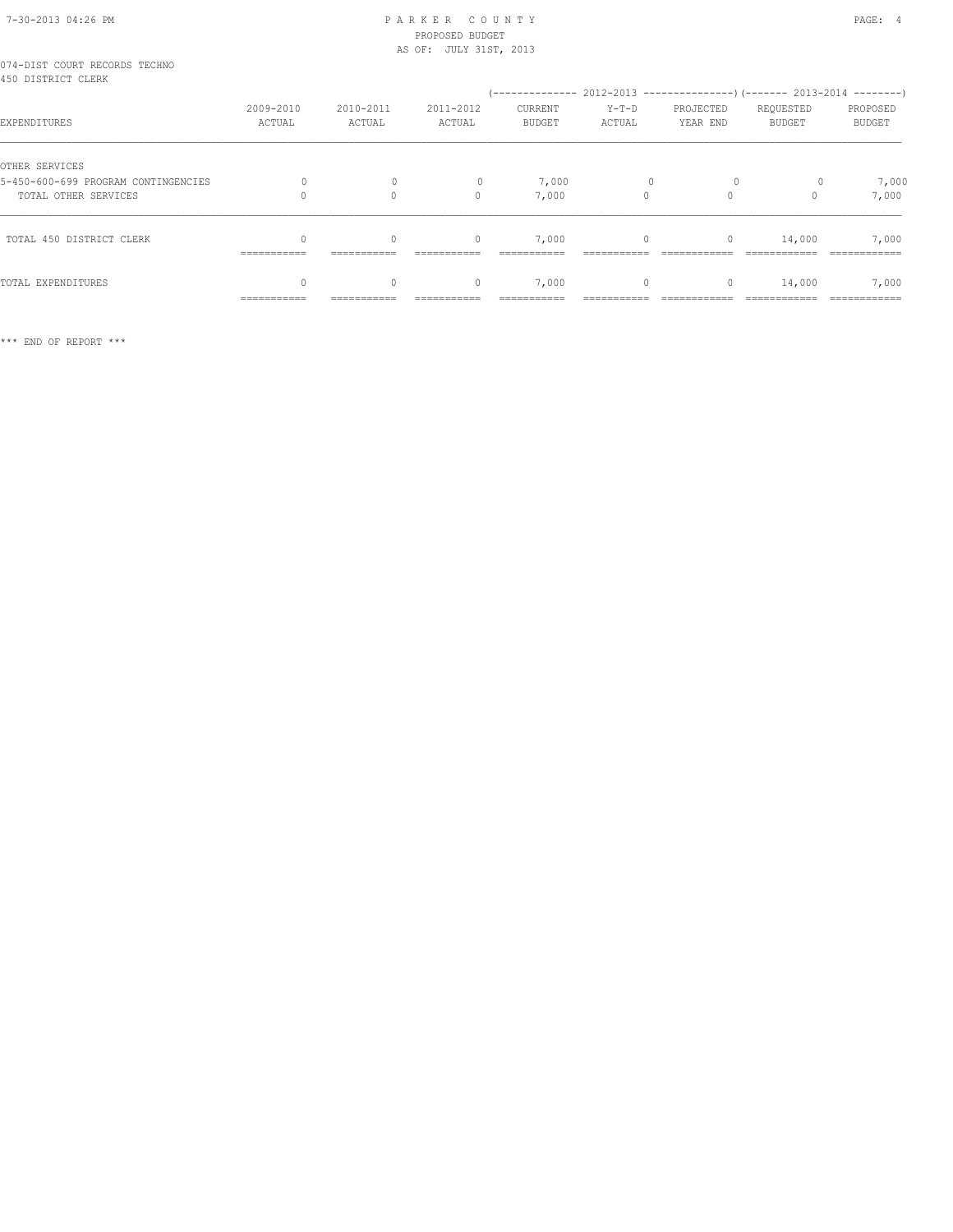# 7-30-2013 04:26 PM P A R K E R C O U N T Y PAGE: 4 PROPOSED BUDGET

|                                                     |                           |              | AS OF: JULY 31ST, 2013 |                                                          |          |              |               |          |
|-----------------------------------------------------|---------------------------|--------------|------------------------|----------------------------------------------------------|----------|--------------|---------------|----------|
| 074-DIST COURT RECORDS TECHNO<br>450 DISTRICT CLERK |                           |              |                        |                                                          |          |              |               |          |
|                                                     |                           |              |                        | $(----------2012-2013---------)$ $(----2013-2014------)$ |          |              |               |          |
|                                                     | 2009-2010                 | 2010-2011    | 2011-2012              | CURRENT                                                  | $Y-T-D$  | PROJECTED    | REQUESTED     | PROPOSED |
| EXPENDITURES                                        | ACTUAL                    | ACTUAL       | ACTUAL                 | <b>BUDGET</b>                                            | ACTUAL   | YEAR END     | <b>BUDGET</b> | BUDGET   |
| OTHER SERVICES                                      |                           |              |                        |                                                          |          |              |               |          |
| 5-450-600-699 PROGRAM CONTINGENCIES                 |                           |              |                        | 7,000                                                    |          |              |               | 7,000    |
| TOTAL OTHER SERVICES                                |                           | $\Omega$     | $\bigcap$              | 7,000                                                    | $\Omega$ | $\Omega$     |               | 7,000    |
|                                                     |                           |              |                        |                                                          |          |              |               |          |
| TOTAL 450 DISTRICT CLERK                            | $\Omega$                  | $\mathbf{0}$ | $\mathbf{0}$           | 7,000                                                    | 0        | $\circ$      | 14,000        | 7,000    |
|                                                     | $=$ = = = = = = = = = = = |              |                        |                                                          |          |              |               |          |
| TOTAL EXPENDITURES                                  | $\cap$                    | $\Omega$     | $\Omega$               | 7,000                                                    | $\circ$  | $\mathbf{0}$ | 14,000        | 7,000    |
|                                                     | -----------               |              |                        |                                                          |          |              |               |          |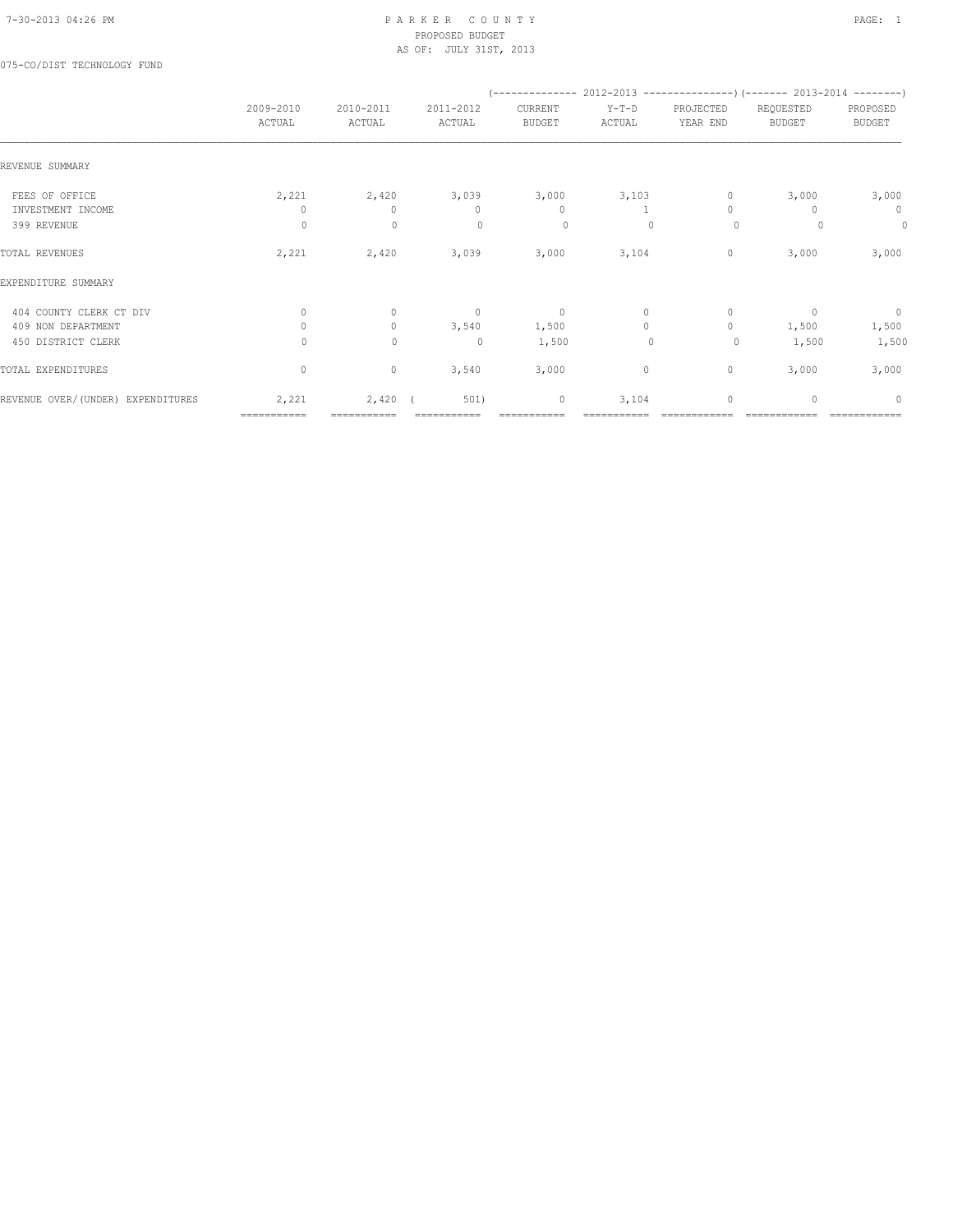075-CO/DIST TECHNOLOGY FUND

|                                   |                     |                     |                     |                          |                   |                       | (-------------- 2012-2013 ----------------) (------- 2013-2014 --------) |                           |
|-----------------------------------|---------------------|---------------------|---------------------|--------------------------|-------------------|-----------------------|--------------------------------------------------------------------------|---------------------------|
|                                   | 2009-2010<br>ACTUAL | 2010-2011<br>ACTUAL | 2011-2012<br>ACTUAL | CURRENT<br><b>BUDGET</b> | $Y-T-D$<br>ACTUAL | PROJECTED<br>YEAR END | REQUESTED<br><b>BUDGET</b>                                               | PROPOSED<br><b>BUDGET</b> |
| REVENUE SUMMARY                   |                     |                     |                     |                          |                   |                       |                                                                          |                           |
| FEES OF OFFICE                    | 2,221               | 2,420               | 3,039               | 3,000                    | 3,103             | 0                     | 3,000                                                                    | 3,000                     |
| INVESTMENT INCOME                 | 0                   | $\mathbf{0}$        | $\mathbf{0}$        | $\mathbf{0}$             |                   | $\Omega$              | n                                                                        | $\mathbf 0$               |
| 399 REVENUE                       | $\circ$             | $\mathbf 0$         | $\circ$             | $\circ$                  | 0                 | $\circ$               |                                                                          | $\circ$                   |
| TOTAL REVENUES                    | 2,221               | 2,420               | 3,039               | 3,000                    | 3,104             | 0                     | 3,000                                                                    | 3,000                     |
| EXPENDITURE SUMMARY               |                     |                     |                     |                          |                   |                       |                                                                          |                           |
| 404 COUNTY CLERK CT DIV           | $\Omega$            | $\mathbf{0}$        | $\overline{0}$      | $\circ$                  | $\circ$           | $\mathbf{0}$          | $\Omega$                                                                 | $\overline{0}$            |
| 409 NON DEPARTMENT                | $\Omega$            | $\circ$             | 3,540               | 1,500                    | $\Omega$          | $\circ$               | 1,500                                                                    | 1,500                     |
| 450 DISTRICT CLERK                | 0                   | $\mathbf 0$         | $\mathbf 0$         | 1,500                    | $\mathbf 0$       | 0                     | 1,500                                                                    | 1,500                     |
| TOTAL EXPENDITURES                | $\circ$             | $\circ$             | 3,540               | 3,000                    | $\circ$           | $\circ$               | 3,000                                                                    | 3,000                     |
| REVENUE OVER/(UNDER) EXPENDITURES | 2,221               | 2,420               | 501)                | 0                        | 3,104             | $\mathbf{0}$          | $\Omega$                                                                 | $\Omega$                  |
|                                   | ===========         |                     |                     |                          |                   |                       |                                                                          |                           |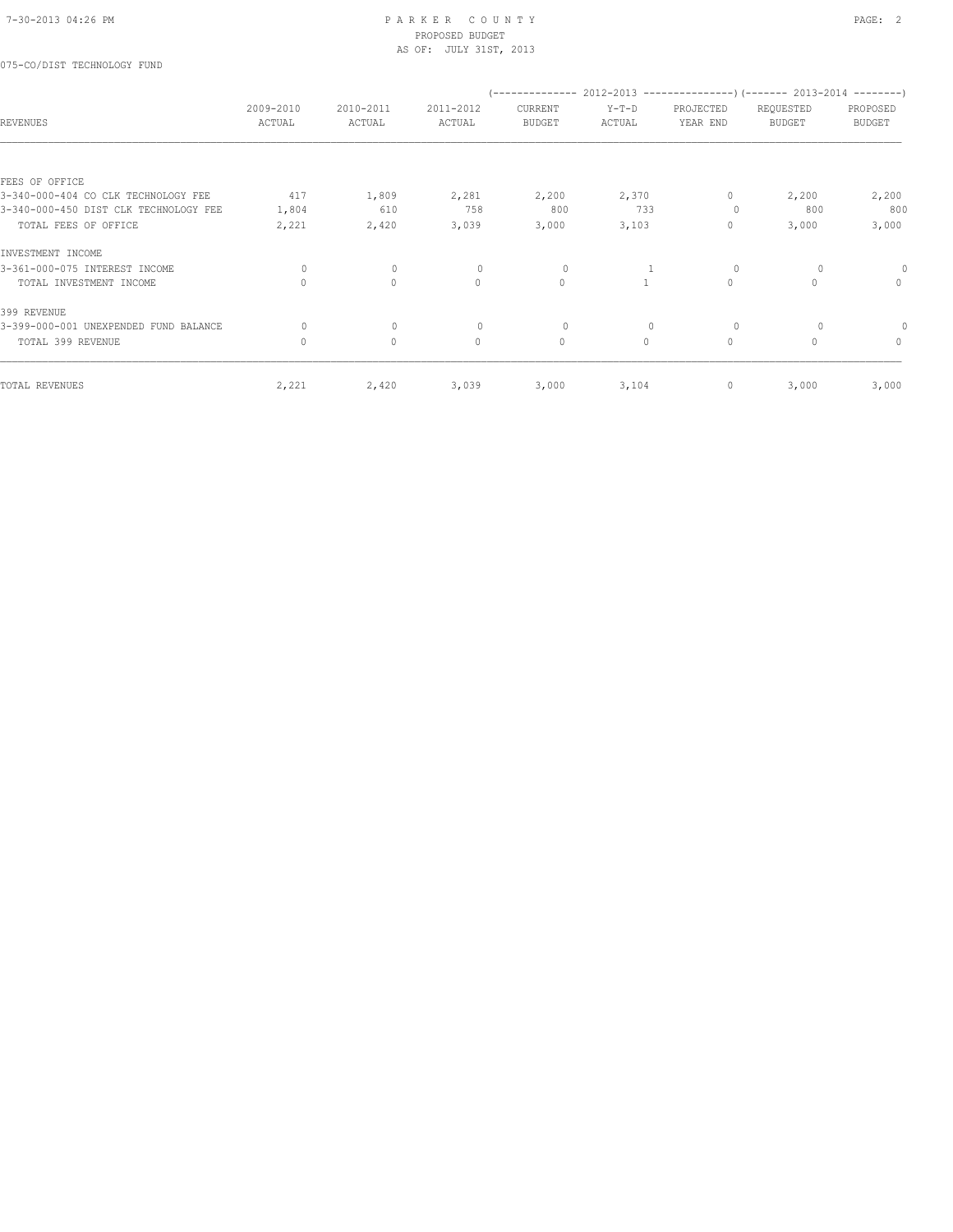## 075-CO/DIST TECHNOLOGY FUND

| 2009-2010    | 2010-2011    | 2011-2012    | CURRENT       | $Y-T-D$                 | PROJECTED    | REQUESTED     | PROPOSED                                                            |
|--------------|--------------|--------------|---------------|-------------------------|--------------|---------------|---------------------------------------------------------------------|
| ACTUAL       | ACTUAL       | ACTUAL       | <b>BUDGET</b> | ACTUAL                  | YEAR END     | <b>BUDGET</b> | <b>BUDGET</b>                                                       |
|              |              |              |               |                         |              |               |                                                                     |
|              |              |              |               |                         |              |               |                                                                     |
| 417          | 1,809        | 2,281        | 2,200         | 2,370                   | $\mathbf{0}$ | 2,200         | 2,200                                                               |
| 1,804        | 610          | 758          | 800           | 733                     | 0            | 800           | 800                                                                 |
| 2,221        | 2,420        | 3,039        | 3,000         | 3,103                   | $\mathbf{0}$ | 3,000         | 3,000                                                               |
|              |              |              |               |                         |              |               |                                                                     |
| $\circ$      | $\circ$      | $\circ$      | $\circ$       |                         | $\circ$      | $\circ$       |                                                                     |
| $\Omega$     | $\circ$      | $\mathbf{0}$ | $\mathbf{0}$  |                         | $\circ$      | $\Omega$      | $\mathbf{0}$                                                        |
|              |              |              |               |                         |              |               |                                                                     |
| $\Omega$     | $\mathbf{0}$ | $\Omega$     | $\circ$       | $\mathbf{0}$            | $\circ$      | $\Omega$      |                                                                     |
| $\mathbf{0}$ | $\circ$      | $\mathbf{0}$ | $\circ$       | $\Omega$                | $\circ$      | $\Omega$      | $\mathbf{0}$                                                        |
|              |              |              |               |                         | 0            |               | 3,000                                                               |
|              | 2,221        | 2,420        | 3,039         | --------------<br>3,000 | 3,104        |               | $2012-2013$ ----------------) (------- 2013-2014 --------)<br>3,000 |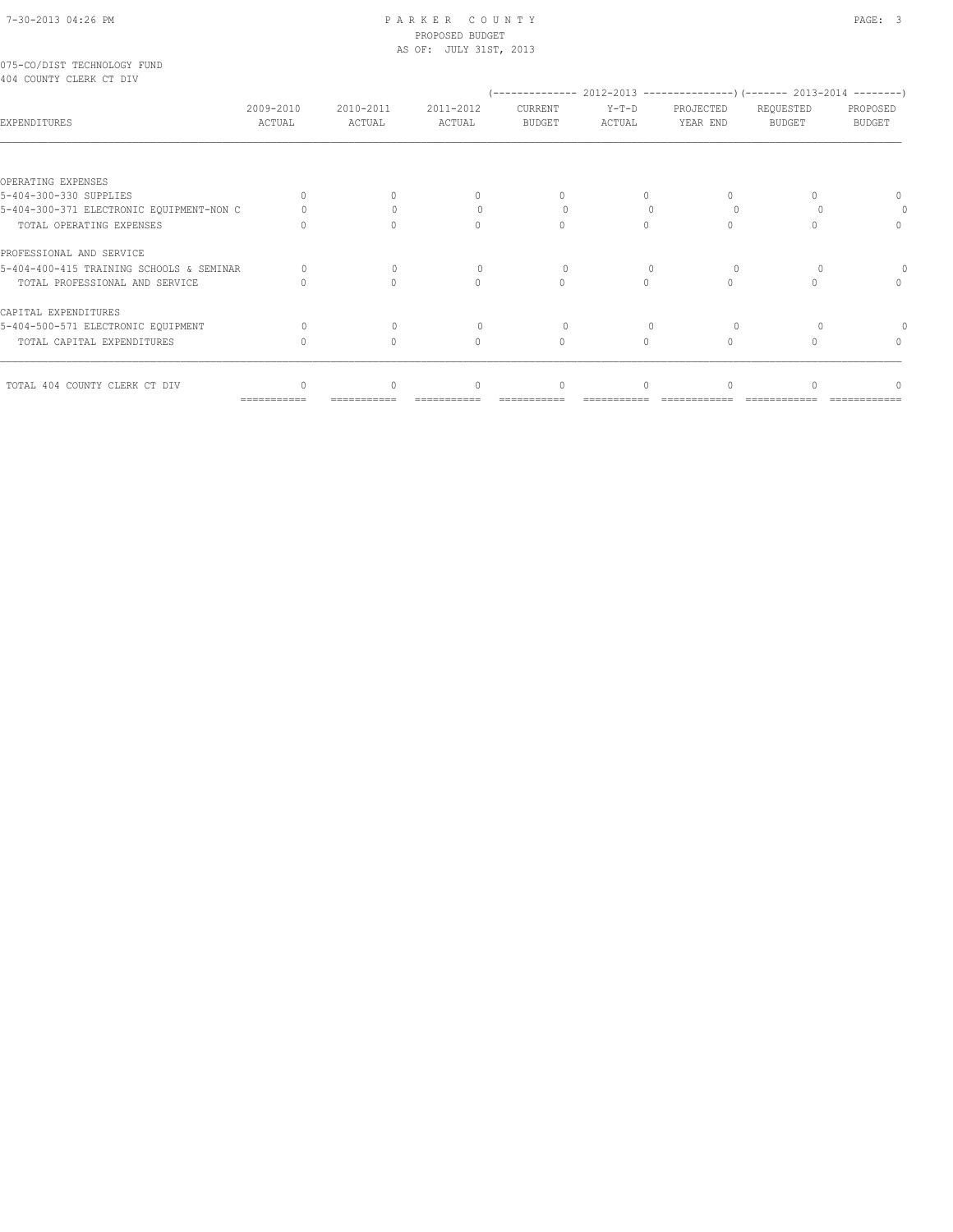|                         |  | 075-CO/DIST TECHNOLOGY FUND |  |
|-------------------------|--|-----------------------------|--|
| 404 COUNTY CLERK CT DIV |  |                             |  |

|                                          |                     |                     |                                  |                          |                   | (-------------- 2012-2013 --------------------- 2013-2014 ---------- |                     |                    |
|------------------------------------------|---------------------|---------------------|----------------------------------|--------------------------|-------------------|----------------------------------------------------------------------|---------------------|--------------------|
| <b>EXPENDITURES</b>                      | 2009-2010<br>ACTUAL | 2010-2011<br>ACTUAL | 2011-2012<br>ACTUAL              | CURRENT<br><b>BUDGET</b> | $Y-T-D$<br>ACTUAL | PROJECTED<br>YEAR END                                                | REQUESTED<br>BUDGET | PROPOSED<br>BUDGET |
|                                          |                     |                     |                                  |                          |                   |                                                                      |                     |                    |
| OPERATING EXPENSES                       |                     |                     |                                  |                          |                   |                                                                      |                     |                    |
| 5-404-300-330 SUPPLIES                   | $\bigcap$           |                     |                                  |                          |                   | 0.                                                                   |                     |                    |
| 5-404-300-371 ELECTRONIC EQUIPMENT-NON C |                     |                     |                                  | $\Omega$                 |                   | $\Omega$                                                             |                     |                    |
| TOTAL OPERATING EXPENSES                 | 0                   | $\cap$              | $\cap$                           | $\cap$                   |                   | 0                                                                    |                     | $\Omega$           |
| PROFESSIONAL AND SERVICE                 |                     |                     |                                  |                          |                   |                                                                      |                     |                    |
| 5-404-400-415 TRAINING SCHOOLS & SEMINAR |                     | $\Omega$            |                                  | $\Omega$                 | $\Omega$          | $\Omega$                                                             |                     |                    |
| TOTAL PROFESSIONAL AND SERVICE           |                     |                     |                                  |                          |                   | 0                                                                    |                     |                    |
| CAPITAL EXPENDITURES                     |                     |                     |                                  |                          |                   |                                                                      |                     |                    |
| 5-404-500-571 ELECTRONIC EQUIPMENT       |                     | $\Omega$            |                                  | $\Omega$                 | $\Omega$          | $\Omega$                                                             |                     |                    |
| TOTAL CAPITAL EXPENDITURES               | U                   | $\Omega$            | $\begin{array}{c} \n\end{array}$ | $\Omega$                 |                   | 0                                                                    |                     |                    |
| TOTAL 404 COUNTY CLERK CT DIV            | $\Omega$            | $\Omega$            | $\begin{array}{c} \n\end{array}$ | $\Omega$                 |                   | 0                                                                    |                     |                    |

=========== =========== =========== =========== =========== ============ ============ ============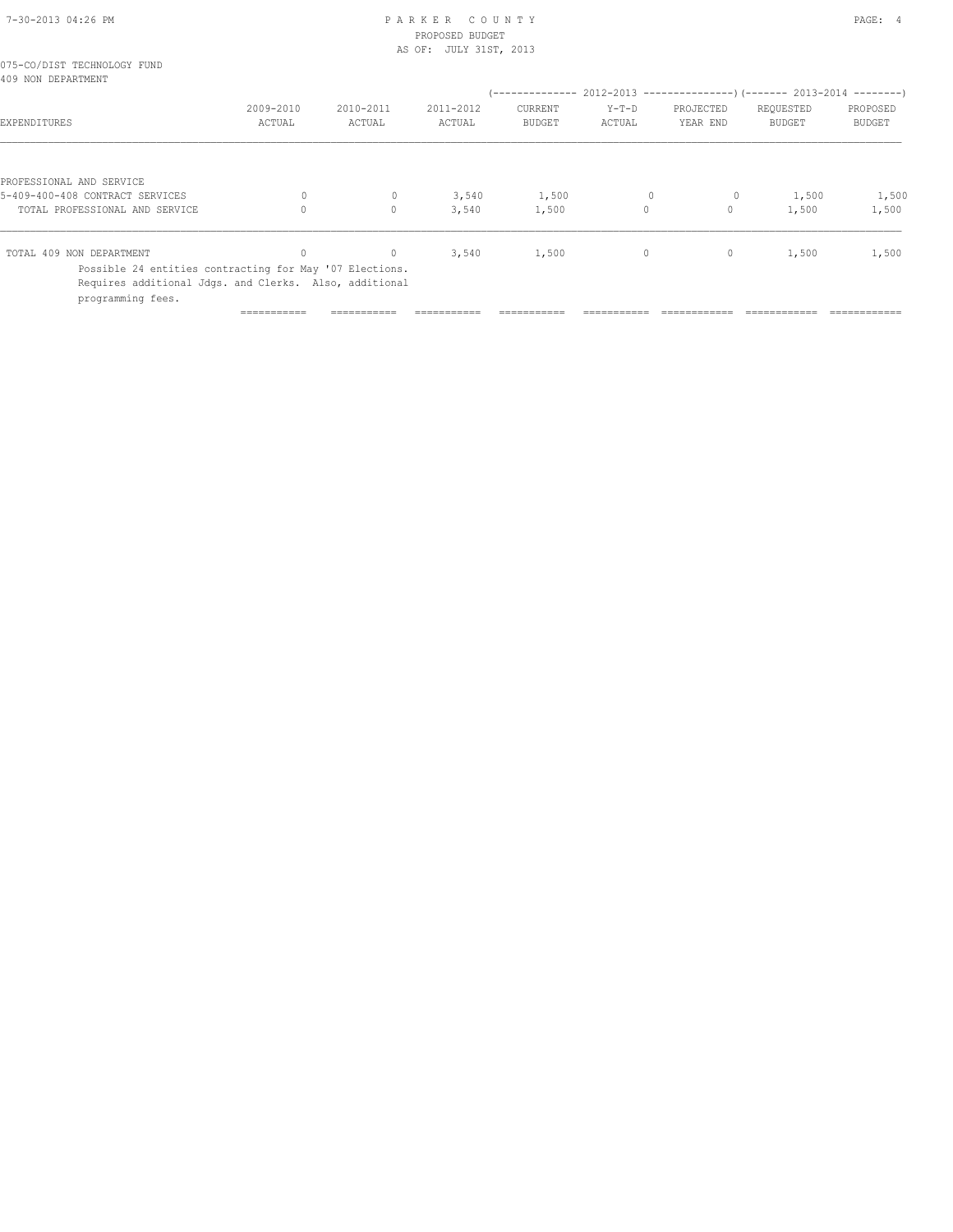| 7-30-2013 04:26 PM |  |
|--------------------|--|

# PARKER COUNTY PAGE: 4 PROPOSED BUDGET

|                                                                                                                                        | AS OF: JULY 31ST, 2013 |                                                  |                |                |         |                     |                                                                      |                |
|----------------------------------------------------------------------------------------------------------------------------------------|------------------------|--------------------------------------------------|----------------|----------------|---------|---------------------|----------------------------------------------------------------------|----------------|
| 075-CO/DIST TECHNOLOGY FUND<br>409 NON DEPARTMENT                                                                                      |                        |                                                  |                |                |         |                     |                                                                      |                |
|                                                                                                                                        |                        |                                                  |                |                |         |                     | (-------------- 2012-2013 --------------------- 2013-2014 ---------- |                |
|                                                                                                                                        | 2009-2010              | 2010-2011                                        | 2011-2012      | CURRENT        | $Y-T-D$ | PROJECTED           | REQUESTED                                                            | PROPOSED       |
| EXPENDITURES                                                                                                                           | ACTUAL                 | ACTUAL                                           | ACTUAL         | <b>BUDGET</b>  | ACTUAL  | YEAR END            | <b>BUDGET</b>                                                        | <b>BUDGET</b>  |
| PROFESSIONAL AND SERVICE<br>5-409-400-408 CONTRACT SERVICES<br>TOTAL PROFESSIONAL AND SERVICE                                          |                        | $\mathbf{0}$<br>$\begin{array}{c} \n\end{array}$ | 3,540<br>3,540 | 1,500<br>1,500 | $\circ$ | $\circ$<br>$\Omega$ | 1,500<br>1,500                                                       | 1,500<br>1,500 |
|                                                                                                                                        |                        |                                                  |                |                |         |                     |                                                                      |                |
| TOTAL 409 NON DEPARTMENT                                                                                                               | 0                      | $\mathbf{0}$                                     | 3,540          | 1,500          | $\circ$ | $\circ$             | 1,500                                                                | 1,500          |
| Possible 24 entities contracting for May '07 Elections.<br>Requires additional Jdgs. and Clerks. Also, additional<br>programming fees. |                        |                                                  |                |                |         |                     |                                                                      |                |

=========== =========== =========== =========== =========== ============ ============ ============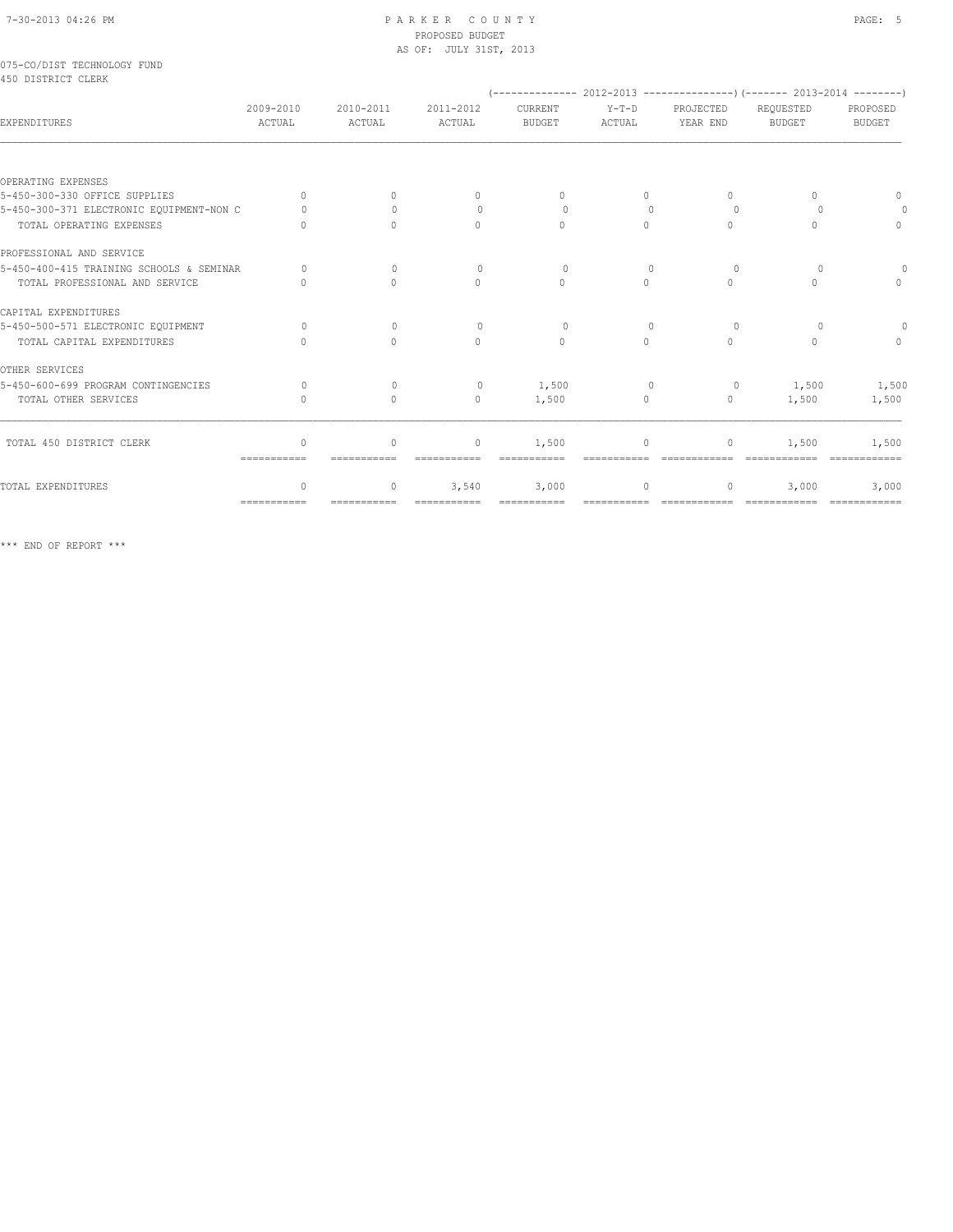|                    | 075-CO/DIST TECHNOLOGY FUND |  |
|--------------------|-----------------------------|--|
| 450 DISTRICT CLERK |                             |  |

|                                          |                                  |                     |                                  |                                  |                   | (-------------- 2012-2013 ----------------) (------- 2013-2014 --------) |                            |                           |
|------------------------------------------|----------------------------------|---------------------|----------------------------------|----------------------------------|-------------------|--------------------------------------------------------------------------|----------------------------|---------------------------|
| EXPENDITURES                             | 2009-2010<br>ACTUAL              | 2010-2011<br>ACTUAL | 2011-2012<br>ACTUAL              | CURRENT<br><b>BUDGET</b>         | $Y-T-D$<br>ACTUAL | PROJECTED<br>YEAR END                                                    | REQUESTED<br><b>BUDGET</b> | PROPOSED<br><b>BUDGET</b> |
|                                          |                                  |                     |                                  |                                  |                   |                                                                          |                            |                           |
| OPERATING EXPENSES                       |                                  |                     |                                  |                                  |                   |                                                                          |                            |                           |
| 5-450-300-330 OFFICE SUPPLIES            | $\Omega$                         | $\Omega$            | $\begin{array}{c} \n\end{array}$ | $\begin{array}{c} \n\end{array}$ | $\Omega$          | 0                                                                        | $\cap$                     | $\Omega$                  |
| 5-450-300-371 ELECTRONIC EQUIPMENT-NON C | $\cap$                           | $\bigcap$           | $\begin{array}{c} \n\end{array}$ | $\bigcap$                        | $\cap$            | $\cup$                                                                   |                            |                           |
| TOTAL OPERATING EXPENSES                 |                                  | $\Omega$            | $\begin{array}{c} \n\end{array}$ | $\begin{array}{c} \n\end{array}$ | $\Omega$          | 0                                                                        | $\cap$                     | $\Omega$                  |
| PROFESSIONAL AND SERVICE                 |                                  |                     |                                  |                                  |                   |                                                                          |                            |                           |
| 5-450-400-415 TRAINING SCHOOLS & SEMINAR | $\Omega$                         | $\Omega$            | $\Omega$                         | $\Omega$                         | $\Omega$          | $\cap$                                                                   | $\Omega$                   |                           |
| TOTAL PROFESSIONAL AND SERVICE           |                                  | $\bigcap$           | $\bigcap$                        | $\bigcap$                        | $\bigcap$         | $\Omega$                                                                 | ∩                          | $\cap$                    |
| CAPITAL EXPENDITURES                     |                                  |                     |                                  |                                  |                   |                                                                          |                            |                           |
| 5-450-500-571 ELECTRONIC EOUIPMENT       | $\Omega$                         | $\Omega$            | $\Omega$                         | $\Omega$                         | $\Omega$          | $\Omega$                                                                 | $\Omega$                   |                           |
| TOTAL CAPITAL EXPENDITURES               |                                  | $\Omega$            | $\Omega$                         | $\Omega$                         | $\Omega$          | $\Omega$                                                                 | $\bigcap$                  | $\Omega$                  |
| OTHER SERVICES                           |                                  |                     |                                  |                                  |                   |                                                                          |                            |                           |
| 5-450-600-699 PROGRAM CONTINGENCIES      | $\bigcap$                        | $\cap$              | $\circ$                          | 1,500                            | $\Omega$          | $\Omega$                                                                 | 1,500                      | 1,500                     |
| TOTAL OTHER SERVICES                     |                                  | $\circ$             | $\mathbf{0}$                     | 1,500                            | $\circ$           | $\circ$                                                                  | 1,500                      | 1,500                     |
|                                          |                                  |                     |                                  |                                  |                   |                                                                          |                            |                           |
| TOTAL 450 DISTRICT CLERK                 | $\begin{array}{c} \n\end{array}$ | $\circ$             | $\mathbf{0}$                     | 1,500                            | $\Omega$          | $\mathbf{0}$                                                             | 1,500                      | 1,500                     |
| TOTAL EXPENDITURES                       | $\cap$                           | 0                   | 3,540                            | 3,000                            | $\circ$           | $\mathbf{0}$                                                             | 3,000                      | 3,000                     |
|                                          | ============                     |                     | ============                     |                                  |                   |                                                                          |                            |                           |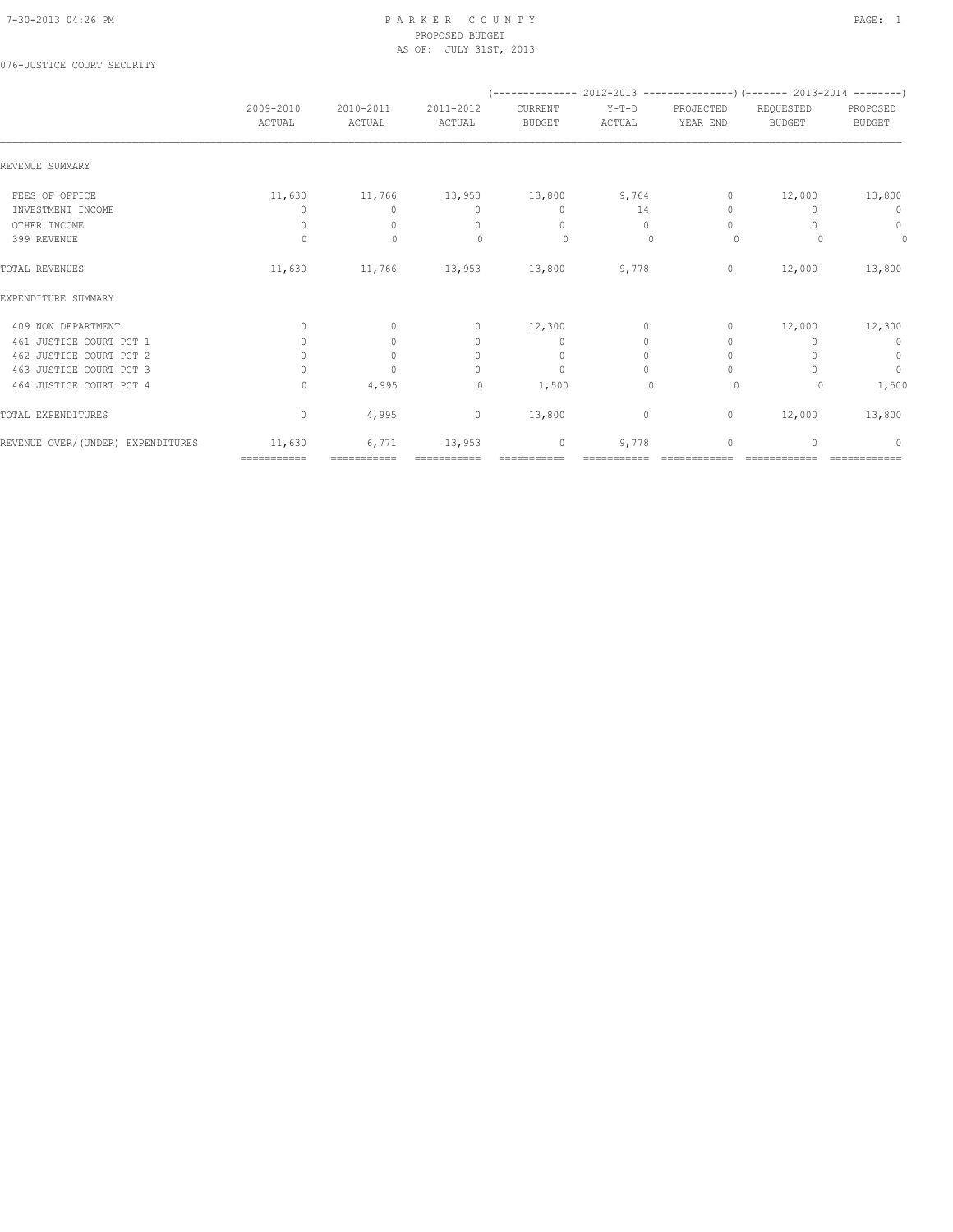076-JUSTICE COURT SECURITY

|                                   |                                  |                     |                                  |                          | (-------------- 2012-2013 ----------------) (------- 2013-2014 --------) |                                  |                            |                           |
|-----------------------------------|----------------------------------|---------------------|----------------------------------|--------------------------|--------------------------------------------------------------------------|----------------------------------|----------------------------|---------------------------|
|                                   | 2009-2010<br>ACTUAL              | 2010-2011<br>ACTUAL | 2011-2012<br>ACTUAL              | CURRENT<br><b>BUDGET</b> | $Y-T-D$<br>ACTUAL                                                        | PROJECTED<br>YEAR END            | REQUESTED<br><b>BUDGET</b> | PROPOSED<br><b>BUDGET</b> |
| REVENUE SUMMARY                   |                                  |                     |                                  |                          |                                                                          |                                  |                            |                           |
| FEES OF OFFICE                    | 11,630                           | 11,766              |                                  | 13,953 13,800            | 9,764                                                                    | 0                                | 12,000                     | 13,800                    |
| INVESTMENT INCOME                 | 0                                | $\Omega$            | $\mathbf{0}$                     | $\mathbf{0}$             | 14                                                                       | $\begin{array}{c} \n\end{array}$ | $\Omega$                   | 0                         |
| OTHER INCOME                      | $\mathbf{0}$                     | $\Omega$            | $\begin{array}{c} \n\end{array}$ | $\mathbf{0}$             | $\Omega$                                                                 | $\Omega$                         |                            | $\circ$                   |
| 399 REVENUE                       | $\circ$                          | $\mathbf{0}$        | $\Omega$                         | $\circ$                  | $\mathbf{0}$                                                             | $\circ$                          |                            | $\circ$                   |
| TOTAL REVENUES                    | 11,630                           | 11,766              | 13,953                           | 13,800                   | 9,778                                                                    | $\circ$                          | 12,000                     | 13,800                    |
| EXPENDITURE SUMMARY               |                                  |                     |                                  |                          |                                                                          |                                  |                            |                           |
| 409 NON DEPARTMENT                | $\circ$                          | $\circ$             | $\circ$                          | 12,300                   | $\circ$                                                                  | $\circ$                          | 12,000                     | 12,300                    |
| 461 JUSTICE COURT PCT 1           | $\circ$                          | $\circ$             | $\circ$                          | $\mathbf{0}$             | $\circ$                                                                  | $\mathbf{0}$                     |                            | $\circ$                   |
| 462 JUSTICE COURT PCT 2           | $\circ$                          | $\mathbf{0}$        | $\circ$                          | $\mathbf 0$              | $\circ$                                                                  | $\mathbf{0}$                     |                            | $\circ$                   |
| 463 JUSTICE COURT PCT 3           | $\begin{array}{c} \n\end{array}$ | $\Omega$            | $\Omega$                         | $\mathbf{0}$             | $\Omega$                                                                 | $\begin{array}{c} \n\end{array}$ |                            | $\mathbf{0}$              |
| 464 JUSTICE COURT PCT 4           | $\Omega$                         | 4,995               | $\circ$                          | 1,500                    | $\mathbf{0}$                                                             | $\circ$                          | 0                          | 1,500                     |
| TOTAL EXPENDITURES                | $\mathbf{0}$                     | 4,995               | $\circ$                          | 13,800                   | 0                                                                        | $\circ$                          | 12,000                     | 13,800                    |
| REVENUE OVER/(UNDER) EXPENDITURES | 11,630                           | 6,771               | 13,953                           | $\mathbf 0$              | 9,778                                                                    | 0                                | U                          | $\Omega$                  |
|                                   | ============                     | ===========         |                                  |                          |                                                                          |                                  | -------------              | =============             |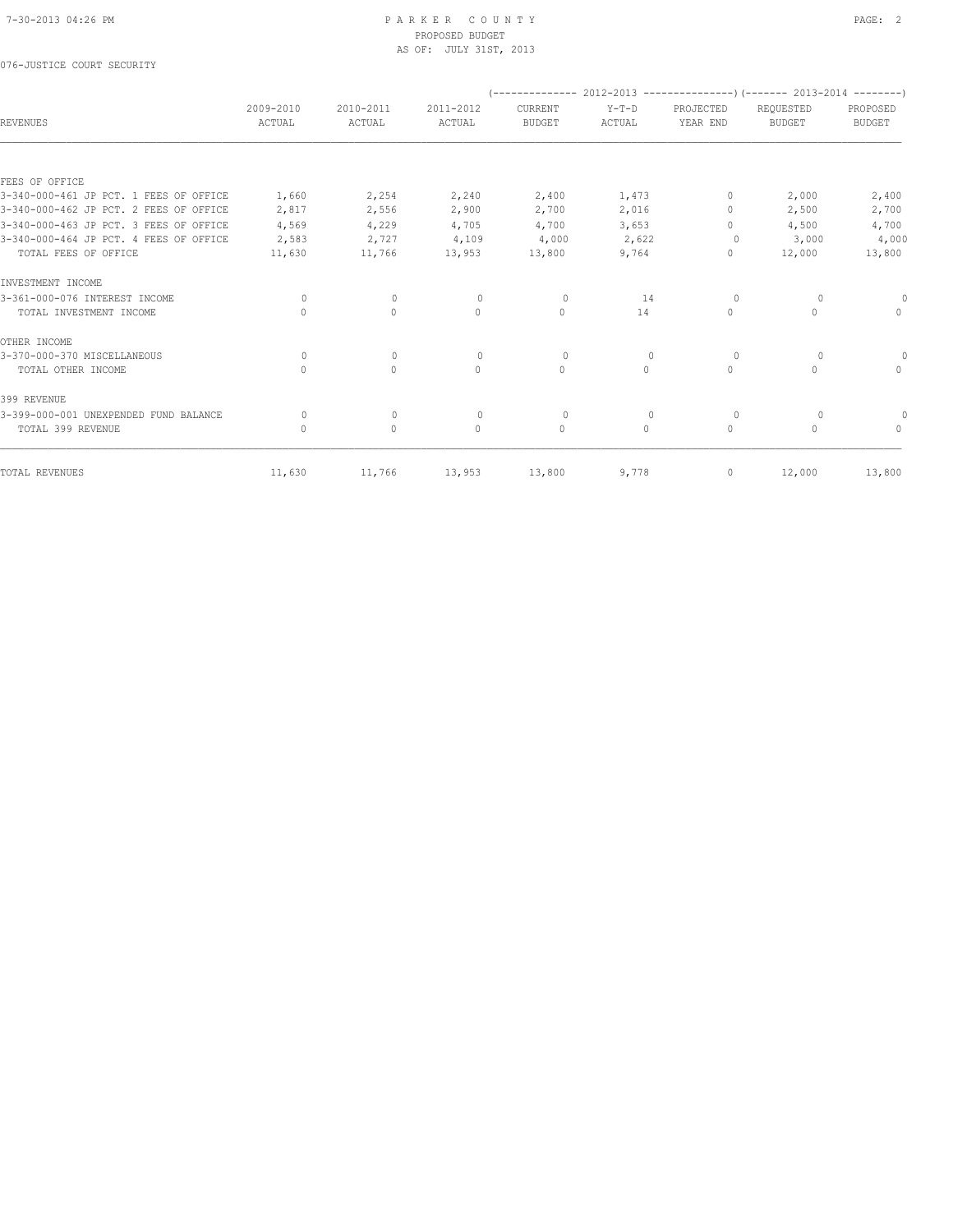076-JUSTICE COURT SECURITY

|                                        |                     |                     |                     |                          |                   | (-------------- 2012-2013 ----------------) (------- 2013-2014 --------) |                            |                                  |
|----------------------------------------|---------------------|---------------------|---------------------|--------------------------|-------------------|--------------------------------------------------------------------------|----------------------------|----------------------------------|
| <b>REVENUES</b>                        | 2009-2010<br>ACTUAL | 2010-2011<br>ACTUAL | 2011-2012<br>ACTUAL | CURRENT<br><b>BUDGET</b> | $Y-T-D$<br>ACTUAL | PROJECTED<br>YEAR END                                                    | REQUESTED<br><b>BUDGET</b> | PROPOSED<br><b>BUDGET</b>        |
|                                        |                     |                     |                     |                          |                   |                                                                          |                            |                                  |
| FEES OF OFFICE                         |                     |                     |                     |                          |                   |                                                                          |                            |                                  |
| 3-340-000-461 JP PCT. 1 FEES OF OFFICE | 1,660               | 2,254               | 2,240               | 2,400                    | 1,473             | 0                                                                        | 2,000                      | 2,400                            |
| 3-340-000-462 JP PCT. 2 FEES OF OFFICE | 2,817               | 2,556               | 2,900               | 2,700                    | 2,016             | $\mathbf{0}$                                                             | 2,500                      | 2,700                            |
| 3-340-000-463 JP PCT. 3 FEES OF OFFICE | 4,569               | 4,229               | 4,705               | 4,700                    | 3,653             | $\Omega$                                                                 | 4,500                      | 4,700                            |
| 3-340-000-464 JP PCT. 4 FEES OF OFFICE | 2,583               | 2,727               | 4,109               | 4,000                    | 2,622             | 0                                                                        | 3,000                      | 4,000                            |
| TOTAL FEES OF OFFICE                   | 11,630              | 11,766              | 13,953              | 13,800                   | 9,764             | $\mathbf{0}$                                                             | 12,000                     | 13,800                           |
| INVESTMENT INCOME                      |                     |                     |                     |                          |                   |                                                                          |                            |                                  |
| 3-361-000-076 INTEREST INCOME          | 0                   | $\mathbf{0}$        | $\circ$             | $\circ$                  | 14                | 0                                                                        | 0                          |                                  |
| TOTAL INVESTMENT INCOME                | $\Omega$            | $\circ$             | $\circ$             | $\mathbf{0}$             | 14                | $\circ$                                                                  | $\mathbf{0}$               | $\mathbf{0}$                     |
| OTHER INCOME                           |                     |                     |                     |                          |                   |                                                                          |                            |                                  |
| 3-370-000-370 MISCELLANEOUS            | $\Omega$            | 0                   | $\Omega$            | $\circ$                  | $\mathbf{0}$      | 0                                                                        | 0                          | 0                                |
| TOTAL OTHER INCOME                     | $\Omega$            | $\Omega$            | $\Omega$            | $\Omega$                 | $\Omega$          | $\circ$                                                                  | $\Omega$                   | $\Omega$                         |
| 399 REVENUE                            |                     |                     |                     |                          |                   |                                                                          |                            |                                  |
| 3-399-000-001 UNEXPENDED FUND BALANCE  | 0                   | $\mathbf 0$         | $\mathbf{0}$        | $\circ$                  | $\mathbf{0}$      | 0                                                                        | $\circ$                    |                                  |
| TOTAL 399 REVENUE                      | $\Omega$            | $\circ$             | $\Omega$            | $\mathbf{0}$             | $\circ$           | $\circ$                                                                  | $\Omega$                   | $\begin{array}{c} \n\end{array}$ |
| TOTAL REVENUES                         | 11,630              | 11,766              | 13,953              | 13,800                   | 9,778             | 0                                                                        | 12,000                     | 13,800                           |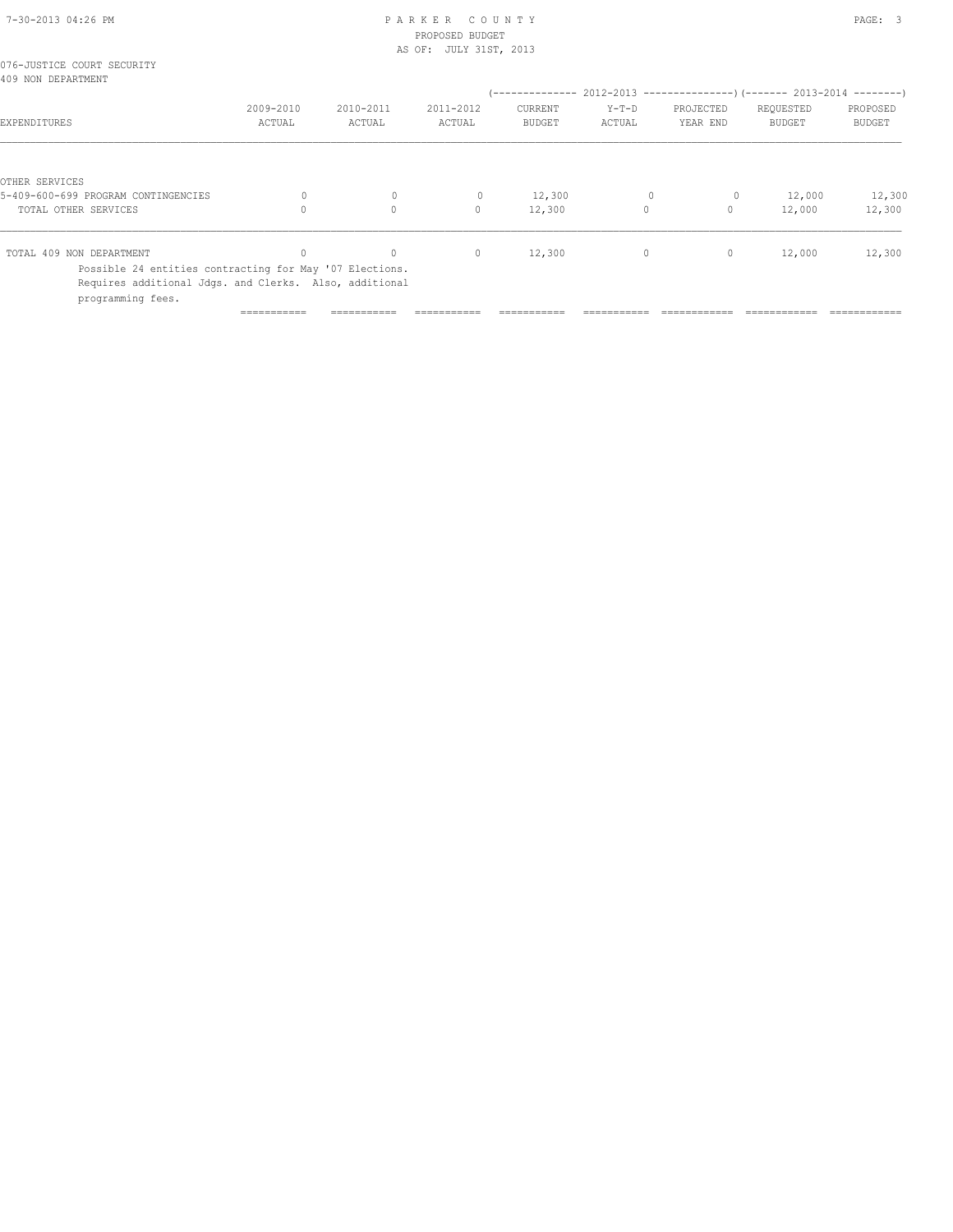# 7-30-2013 04:26 PM P A R K E R C O U N T Y PAGE: 3 PROPOSED BUDGET

|                                                                                                                                        |           | AS OF: JULY 31ST, 2013 |              |               |              |              |               |               |
|----------------------------------------------------------------------------------------------------------------------------------------|-----------|------------------------|--------------|---------------|--------------|--------------|---------------|---------------|
| 076-JUSTICE COURT SECURITY<br>409 NON DEPARTMENT                                                                                       |           |                        |              |               |              |              |               |               |
|                                                                                                                                        |           |                        |              |               |              |              |               |               |
|                                                                                                                                        | 2009-2010 | 2010-2011              | 2011-2012    | CURRENT       | $Y-T-D$      | PROJECTED    | REQUESTED     | PROPOSED      |
| EXPENDITURES                                                                                                                           | ACTUAL    | ACTUAL                 | ACTUAL       | <b>BUDGET</b> | ACTUAL       | YEAR END     | <b>BUDGET</b> | <b>BUDGET</b> |
|                                                                                                                                        |           |                        |              |               |              |              |               |               |
| OTHER SERVICES                                                                                                                         |           |                        |              |               |              |              |               |               |
| 5-409-600-699 PROGRAM CONTINGENCIES                                                                                                    |           | $\mathbf 0$            | 0            | 12,300        | $\mathbf{0}$ | $\circ$      | 12,000        | 12,300        |
| TOTAL OTHER SERVICES                                                                                                                   |           | $\circ$                | $\mathbf{0}$ | 12,300        | $\circ$      | $\mathbf{0}$ | 12,000        | 12,300        |
| TOTAL 409 NON DEPARTMENT                                                                                                               |           | $\Omega$               | $\mathbf{0}$ | 12,300        | $\circ$      | $\circ$      | 12,000        | 12,300        |
| Possible 24 entities contracting for May '07 Elections.<br>Requires additional Jdgs. and Clerks. Also, additional<br>programming fees. |           |                        |              |               |              |              |               |               |

=========== =========== =========== =========== =========== ============ ============ ============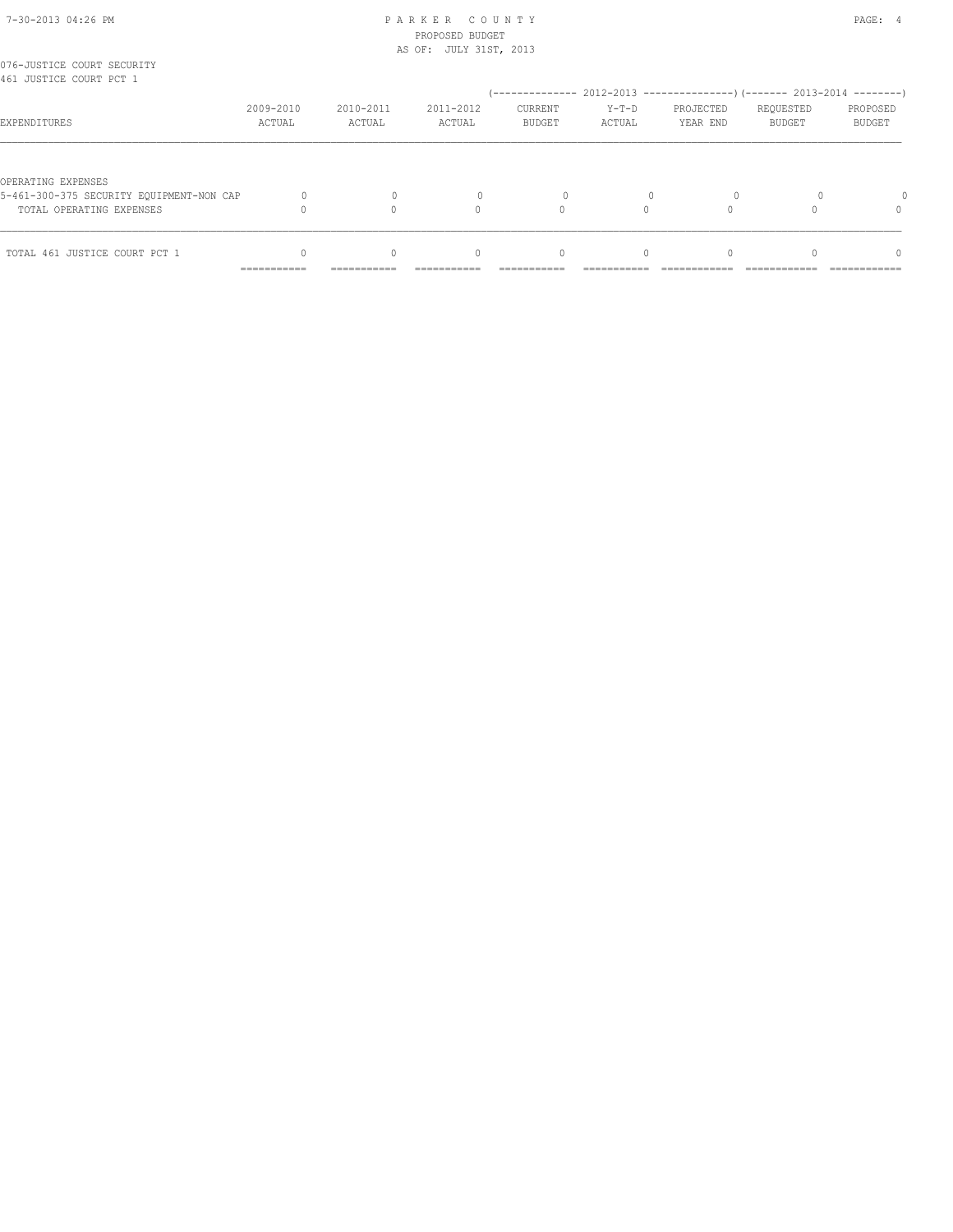| 7-30-2013 04:26 PM |  |
|--------------------|--|

## PARKER COUNTY PAGE: 4 PROPOSED BUDGET AS OF: JULY 31ST, 2013

| 076-JUSTICE COURT SECURITY<br>461 JUSTICE COURT PCT 1                                      |                            |             |                                  |                                                                           |           |           |               |          |
|--------------------------------------------------------------------------------------------|----------------------------|-------------|----------------------------------|---------------------------------------------------------------------------|-----------|-----------|---------------|----------|
|                                                                                            |                            |             |                                  | (-------------- 2012-2013 -----------------) (------- 2013-2014 --------) |           |           |               |          |
|                                                                                            | 2009-2010                  | 2010-2011   | 2011-2012                        | <b>CURRENT</b>                                                            | $Y-T-D$   | PROJECTED | REQUESTED     | PROPOSED |
| EXPENDITURES                                                                               | ACTUAL                     | ACTUAL      | ACTUAL                           | <b>BUDGET</b>                                                             | ACTUAL    | YEAR END  | <b>BUDGET</b> | BUDGET   |
| OPERATING EXPENSES<br>5-461-300-375 SECURITY EQUIPMENT-NON CAP<br>TOTAL OPERATING EXPENSES |                            |             |                                  |                                                                           |           |           |               | $\Omega$ |
| TOTAL 461 JUSTICE COURT PCT 1                                                              |                            | $\Omega$    | $\begin{array}{c} \n\end{array}$ | $\begin{array}{c} \n\end{array}$                                          | $\bigcap$ |           |               | $\Omega$ |
|                                                                                            | -----------<br>----------- | ----------- |                                  |                                                                           |           |           |               | .        |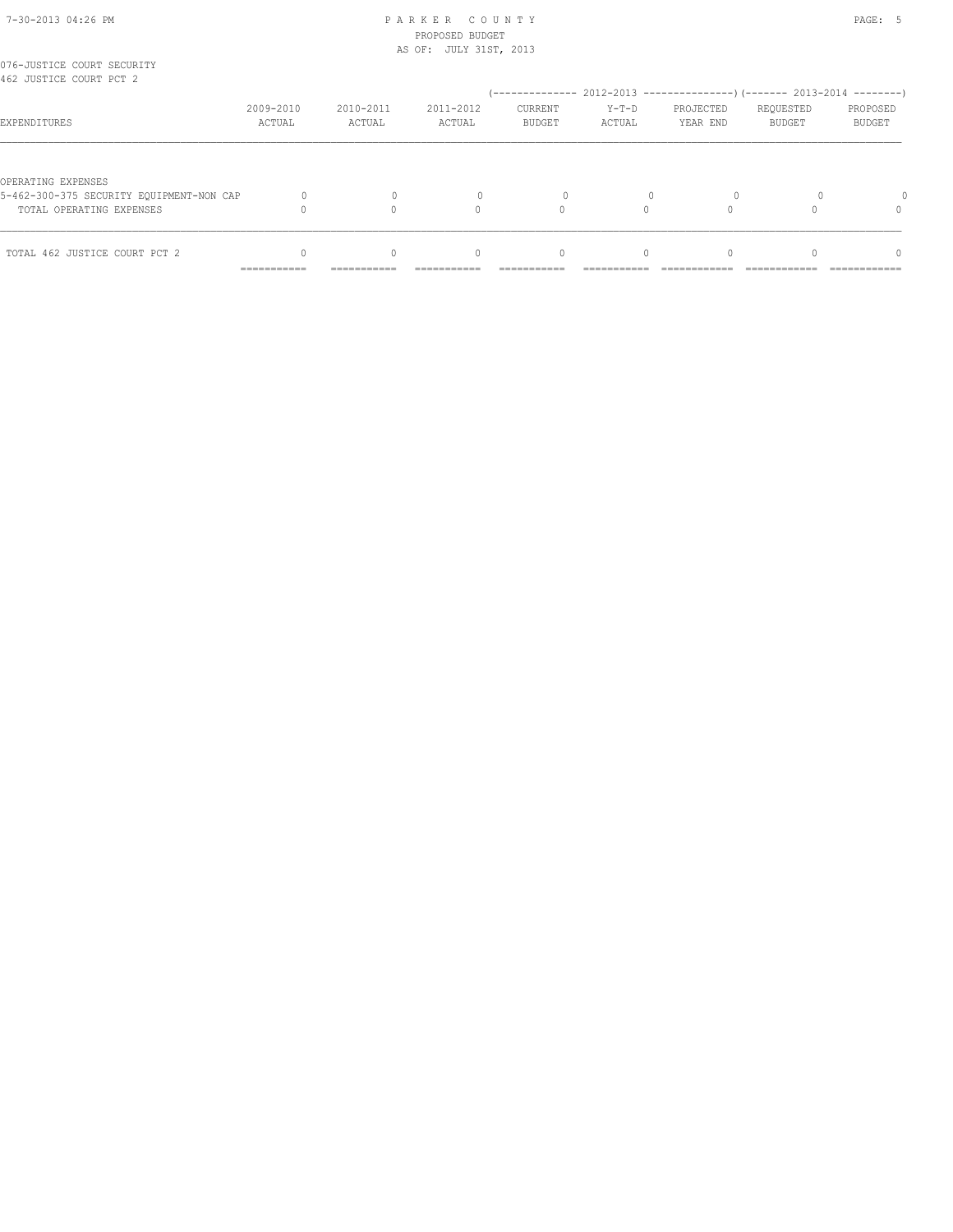## 7-30-2013 04:26 PM P A R K E R C O U N T Y PAGE: 5 PROPOSED BUDGET AS OF: JULY 31ST, 2013

| 076-JUSTICE COURT SECURITY<br>462 JUSTICE COURT PCT 2                                      |                            |             |                                  |                                                                           |           |           |               |              |
|--------------------------------------------------------------------------------------------|----------------------------|-------------|----------------------------------|---------------------------------------------------------------------------|-----------|-----------|---------------|--------------|
|                                                                                            |                            |             |                                  | (-------------- 2012-2013 -----------------) (------- 2013-2014 --------) |           |           |               |              |
|                                                                                            | 2009-2010                  | 2010-2011   | 2011-2012                        | <b>CURRENT</b>                                                            | $Y-T-D$   | PROJECTED | REQUESTED     | PROPOSED     |
| EXPENDITURES                                                                               | ACTUAL                     | ACTUAL      | ACTUAL                           | <b>BUDGET</b>                                                             | ACTUAL    | YEAR END  | <b>BUDGET</b> | BUDGET       |
| OPERATING EXPENSES<br>5-462-300-375 SECURITY EQUIPMENT-NON CAP<br>TOTAL OPERATING EXPENSES |                            |             |                                  |                                                                           |           |           |               | $\Omega$     |
| TOTAL 462 JUSTICE COURT PCT 2                                                              |                            | $\Omega$    | $\begin{array}{c} \n\end{array}$ | $\begin{array}{c} \n\end{array}$                                          | $\bigcap$ |           |               | $\Omega$     |
|                                                                                            | -----------<br>----------- | ----------- |                                  |                                                                           |           |           |               | ------------ |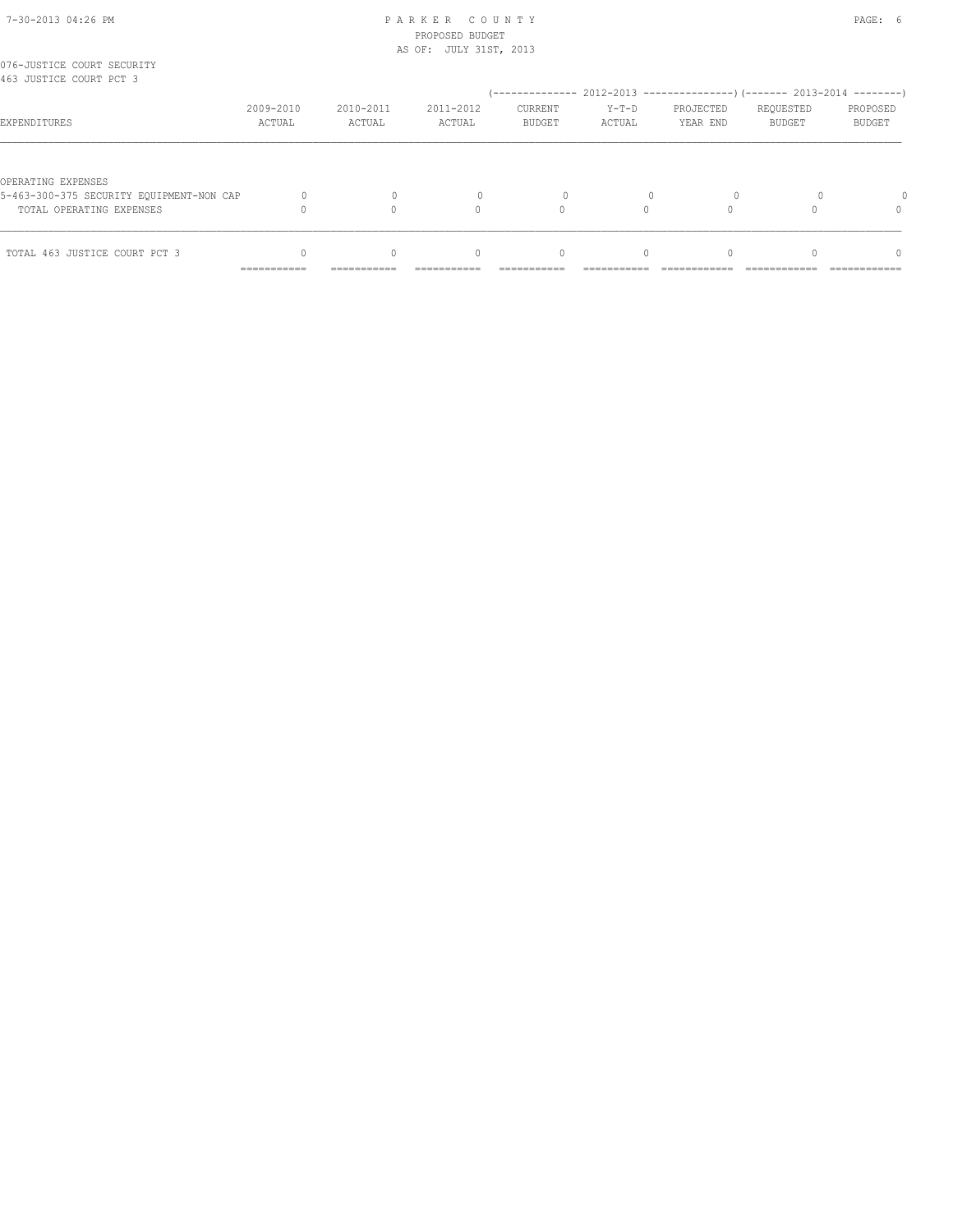| 7-30-2013 04:26 PM |  |
|--------------------|--|

## PARKER COUNTY PAGE: 6 PROPOSED BUDGET

|                                                       |                     |                     | AS OF: JULY 31ST, 2013 |                                  |                   |                                                          |                            |                           |
|-------------------------------------------------------|---------------------|---------------------|------------------------|----------------------------------|-------------------|----------------------------------------------------------|----------------------------|---------------------------|
| 076-JUSTICE COURT SECURITY<br>463 JUSTICE COURT PCT 3 |                     |                     |                        |                                  |                   |                                                          |                            |                           |
|                                                       |                     |                     |                        |                                  |                   | $(----------2012-2013---------)$ $(----2013-2014------)$ |                            |                           |
| EXPENDITURES                                          | 2009-2010<br>ACTUAL | 2010-2011<br>ACTUAL | 2011-2012<br>ACTUAL    | CURRENT<br><b>BUDGET</b>         | $Y-T-D$<br>ACTUAL | PROJECTED<br>YEAR END                                    | REQUESTED<br><b>BUDGET</b> | PROPOSED<br><b>BUDGET</b> |
|                                                       |                     |                     |                        |                                  |                   |                                                          |                            |                           |
| OPERATING EXPENSES                                    |                     |                     |                        |                                  |                   |                                                          |                            |                           |
| 5-463-300-375 SECURITY EQUIPMENT-NON CAP              |                     |                     |                        |                                  |                   |                                                          |                            |                           |
| TOTAL OPERATING EXPENSES                              |                     |                     | 0                      |                                  |                   |                                                          |                            |                           |
| TOTAL 463 JUSTICE COURT PCT 3                         |                     | $\bigcap$           | $\bigcap$              | $\begin{array}{c} \n\end{array}$ | $\Omega$          | $\Omega$                                                 |                            | $\Omega$                  |
|                                                       | ===========         | ===========         |                        |                                  |                   |                                                          |                            |                           |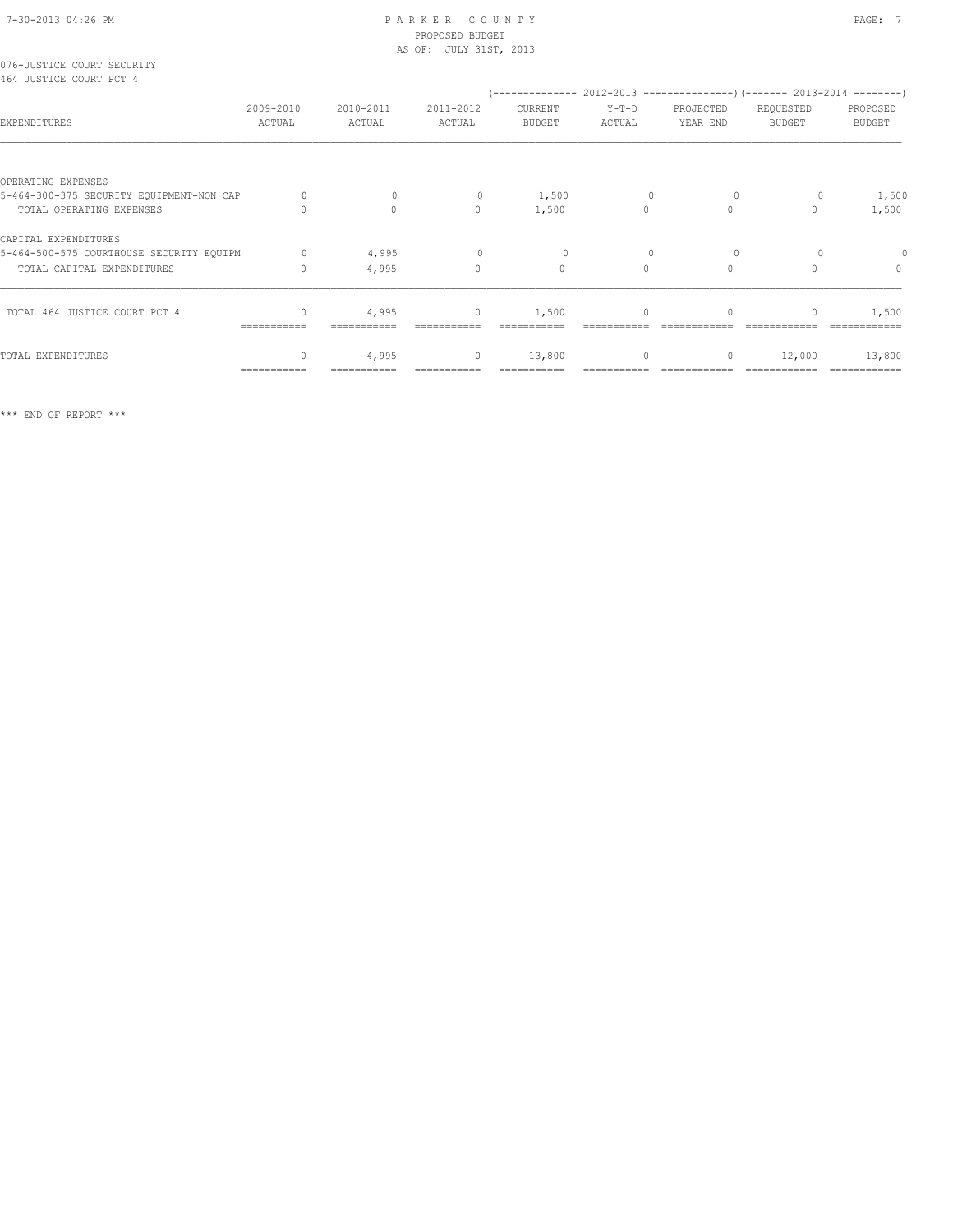## 7-30-2013 04:26 PM P A R K E R C O U N T Y PAGE: 7 PROPOSED BUDGET

|                                                                      |                                  |                     | AS OF: JULY 31ST, 2013  |                                                                                                 |                   |                       |                            |                           |
|----------------------------------------------------------------------|----------------------------------|---------------------|-------------------------|-------------------------------------------------------------------------------------------------|-------------------|-----------------------|----------------------------|---------------------------|
| 076-JUSTICE COURT SECURITY<br>464 JUSTICE COURT PCT 4                |                                  |                     |                         |                                                                                                 |                   |                       |                            |                           |
| EXPENDITURES                                                         | 2009-2010<br>ACTUAL              | 2010-2011<br>ACTUAL | 2011-2012<br>ACTUAL     | (-------------- 2012-2013 ------------------- 2013-2014 --------- )<br>CURRENT<br><b>BUDGET</b> | $Y-T-D$<br>ACTUAL | PROJECTED<br>YEAR END | REQUESTED<br><b>BUDGET</b> | PROPOSED<br><b>BUDGET</b> |
|                                                                      |                                  |                     |                         |                                                                                                 |                   |                       |                            |                           |
| OPERATING EXPENSES                                                   | 0                                | $\mathbf{0}$        |                         |                                                                                                 |                   |                       |                            |                           |
| 5-464-300-375 SECURITY EQUIPMENT-NON CAP<br>TOTAL OPERATING EXPENSES | $\Omega$                         | $\circ$             | $\circ$<br>$\mathbf{0}$ | 1,500<br>1,500                                                                                  | 0<br>$\circ$      | $\circ$<br>$\circ$    | 0<br>$\Omega$              | 1,500<br>1,500            |
|                                                                      |                                  |                     |                         |                                                                                                 |                   |                       |                            |                           |
| CAPITAL EXPENDITURES                                                 |                                  |                     |                         |                                                                                                 |                   |                       |                            |                           |
| 5-464-500-575 COURTHOUSE SECURITY EQUIPM                             | $\circ$                          | 4,995               | $\circ$                 | $\circ$                                                                                         |                   | 0                     |                            | $\circ$                   |
| TOTAL CAPITAL EXPENDITURES                                           | $\mathbf{0}$                     | 4,995               | $\mathbf{0}$            | $\mathbf{0}$                                                                                    | $\Omega$          | $\Omega$              |                            | $\mathbf{0}$              |
| TOTAL 464 JUSTICE COURT PCT 4                                        | $\begin{array}{c} \n\end{array}$ | 4,995               | $\circ$                 | 1,500                                                                                           | $\Omega$          | $\Omega$              | $\Omega$                   | 1,500                     |
|                                                                      |                                  |                     |                         |                                                                                                 |                   |                       |                            |                           |
| TOTAL EXPENDITURES                                                   |                                  | 4,995               | $\circ$                 | 13,800                                                                                          | $\circ$           | 0                     | 12,000                     | 13,800                    |
|                                                                      | ===========                      |                     |                         |                                                                                                 |                   |                       |                            |                           |

\*\*\* END OF REPORT \*\*\*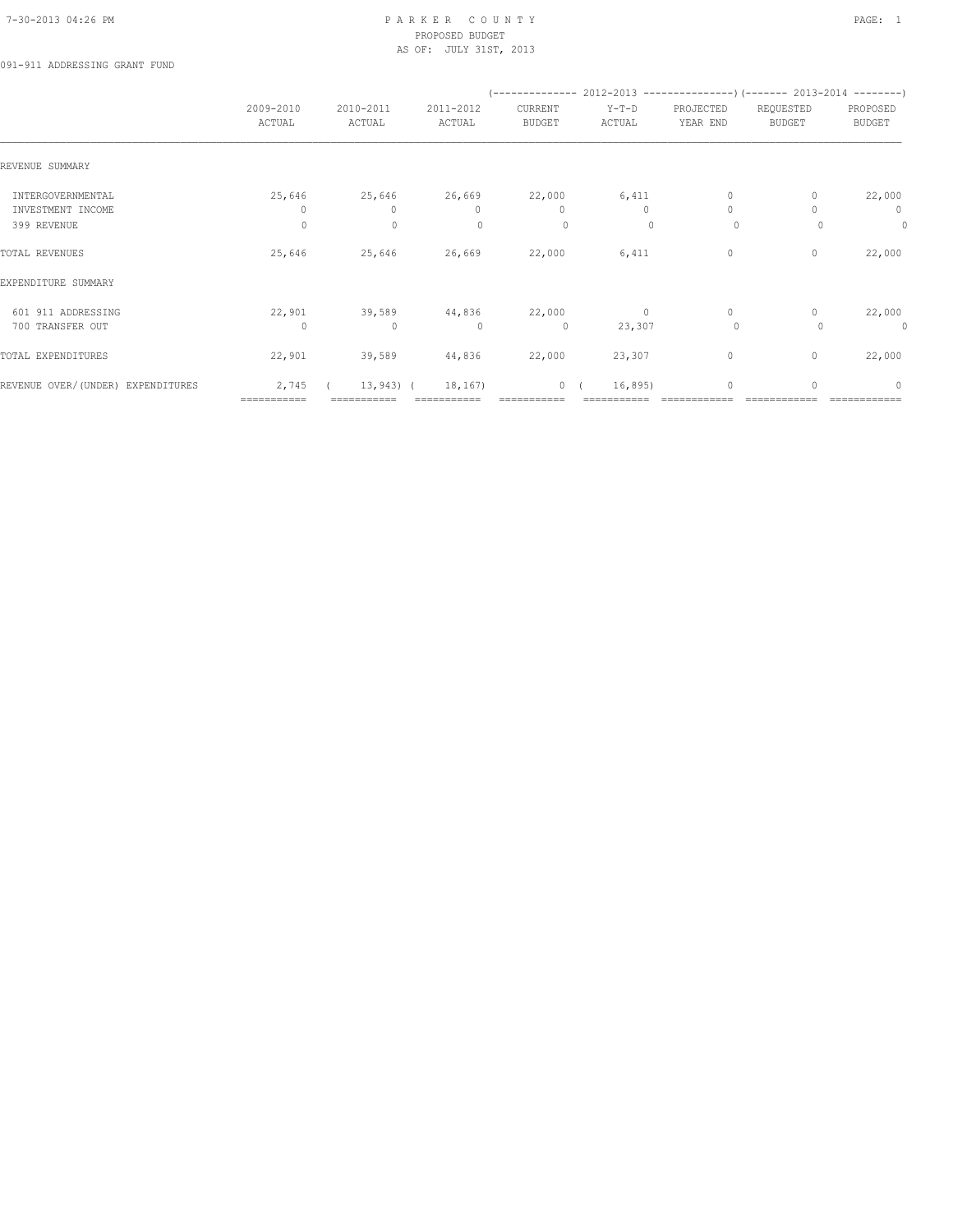## 7-30-2013 04:26 PM P A R K E R C O U N T Y PAGE: 1 PROPOSED BUDGET AS OF: JULY 31ST, 2013

091-911 ADDRESSING GRANT FUND

|                                   |                     |                     |                     |                          | $(----------2012-2013---------)$ $(----2013-2014------)$ |                       |                            |                                  |
|-----------------------------------|---------------------|---------------------|---------------------|--------------------------|----------------------------------------------------------|-----------------------|----------------------------|----------------------------------|
|                                   | 2009-2010<br>ACTUAL | 2010-2011<br>ACTUAL | 2011-2012<br>ACTUAL | CURRENT<br><b>BUDGET</b> | $Y-T-D$<br>ACTUAL                                        | PROJECTED<br>YEAR END | REQUESTED<br><b>BUDGET</b> | PROPOSED<br>BUDGET               |
| REVENUE SUMMARY                   |                     |                     |                     |                          |                                                          |                       |                            |                                  |
| INTERGOVERNMENTAL                 | 25,646              | 25,646              | 26,669              | 22,000                   | 6,411                                                    | 0                     |                            | 22,000                           |
| INVESTMENT INCOME                 | 0                   | 0                   | $\mathbf{0}$        | 0                        | 0                                                        | $\mathbf{0}$          |                            | $\mathbf 0$                      |
| 399 REVENUE                       | 0                   | $\mathbf{0}$        | $\Omega$            | 0                        | $\Omega$                                                 | $\circ$               | $\Omega$                   | $\circ$                          |
| TOTAL REVENUES                    | 25,646              | 25,646              | 26,669              | 22,000                   | 6,411                                                    | 0                     | 0                          | 22,000                           |
| EXPENDITURE SUMMARY               |                     |                     |                     |                          |                                                          |                       |                            |                                  |
| 601 911 ADDRESSING                | 22,901              | 39,589              | 44,836              | 22,000                   | $\circ$                                                  | $\circ$               |                            | 22,000                           |
| 700 TRANSFER OUT                  | $\Omega$            | $\mathbf{0}$        | $\Omega$            | $\circ$                  | 23,307                                                   | $\circ$               |                            | 0                                |
| TOTAL EXPENDITURES                | 22,901              | 39,589              | 44,836              | 22,000                   | 23,307                                                   | $\circ$               | $\mathbf{0}$               | 22,000                           |
| REVENUE OVER/(UNDER) EXPENDITURES | 2,745               | $13,943$ (          | 18,167)             |                          | 0(<br>16,895)                                            | $\mathbf{0}$          | $\Omega$                   | $\begin{array}{c} \n\end{array}$ |
|                                   | ===========         |                     |                     |                          |                                                          |                       |                            |                                  |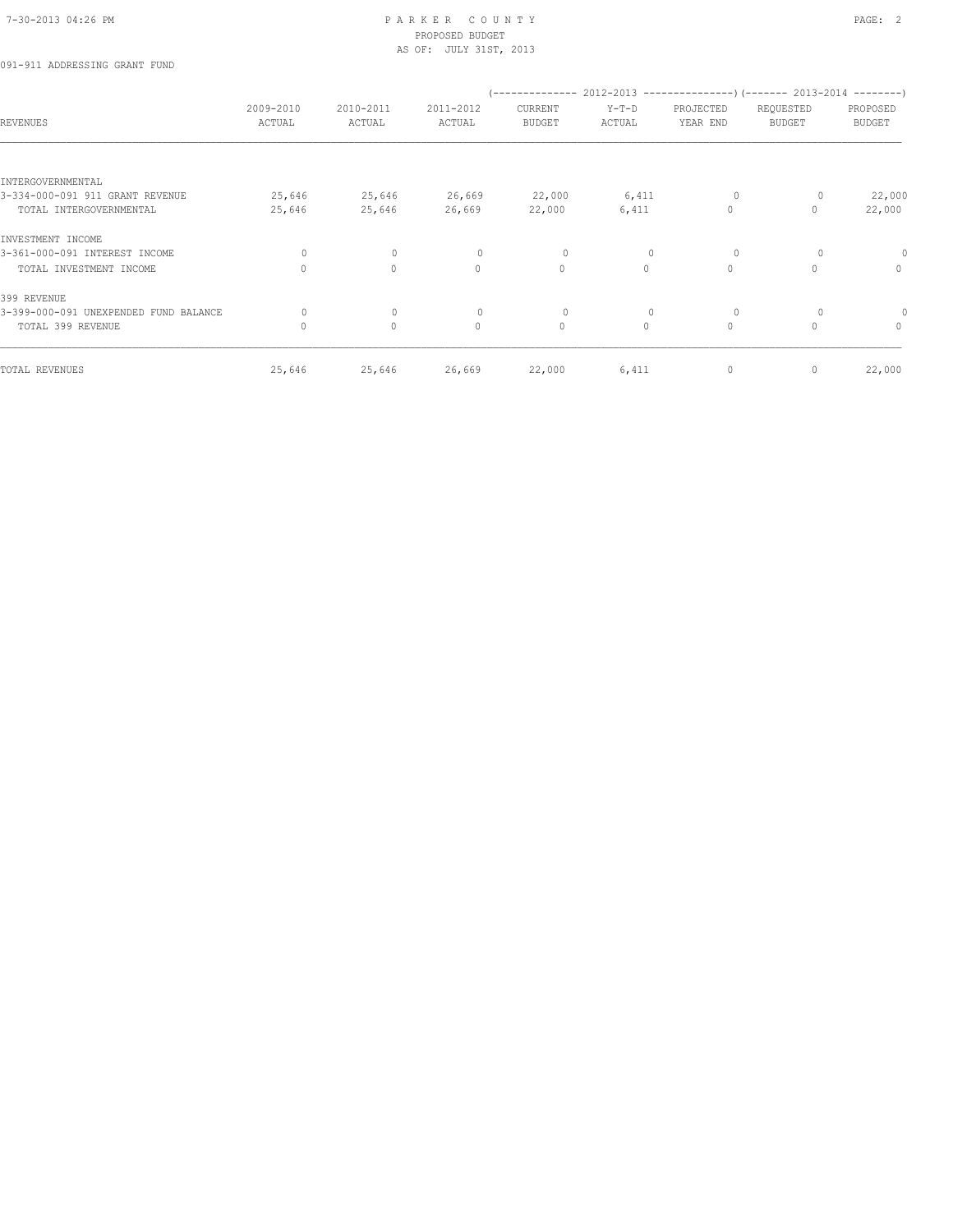## 7-30-2013 04:26 PM P A R K E R C O U N T Y PAGE: 2 PROPOSED BUDGET AS OF: JULY 31ST, 2013

## 091-911 ADDRESSING GRANT FUND

|                                       |                     |                     |                     | --------------           |                   |                       | $2012-2013$ ---------------) (------- 2013-2014 --------) |                           |
|---------------------------------------|---------------------|---------------------|---------------------|--------------------------|-------------------|-----------------------|-----------------------------------------------------------|---------------------------|
| <b>REVENUES</b>                       | 2009-2010<br>ACTUAL | 2010-2011<br>ACTUAL | 2011-2012<br>ACTUAL | CURRENT<br><b>BUDGET</b> | $Y-T-D$<br>ACTUAL | PROJECTED<br>YEAR END | REQUESTED<br><b>BUDGET</b>                                | PROPOSED<br><b>BUDGET</b> |
|                                       |                     |                     |                     |                          |                   |                       |                                                           |                           |
| INTERGOVERNMENTAL                     |                     |                     |                     |                          |                   |                       |                                                           |                           |
| 3-334-000-091 911 GRANT REVENUE       | 25,646              | 25,646              | 26,669              | 22,000                   | 6,411             | 0                     | 0                                                         | 22,000                    |
| TOTAL INTERGOVERNMENTAL               | 25,646              | 25,646              | 26,669              | 22,000                   | 6,411             | 0                     | 0                                                         | 22,000                    |
| INVESTMENT INCOME                     |                     |                     |                     |                          |                   |                       |                                                           |                           |
| 3-361-000-091 INTEREST INCOME         | 0                   | $\circ$             | $\circ$             | 0                        | $\mathbf{0}$      | $\circ$               | 0                                                         | $\Omega$                  |
| TOTAL INVESTMENT INCOME               | $\Omega$            | $\circ$             | $\circ$             | $\circ$                  | $\circ$           | 0                     | $\Omega$                                                  | $\mathbf{0}$              |
| 399 REVENUE                           |                     |                     |                     |                          |                   |                       |                                                           |                           |
| 3-399-000-091 UNEXPENDED FUND BALANCE | 0                   | $\circ$             | $\circ$             | 0                        | 0                 | 0                     | 0                                                         | $\Omega$                  |
| TOTAL 399 REVENUE                     | $\Omega$            | $\circ$             | $\circ$             | $\mathbb O$              | $\circ$           | 0                     | $\Omega$                                                  | $\mathbf{0}$              |
| TOTAL REVENUES                        | 25,646              | 25,646              | 26,669              | 22,000                   | 6,411             | 0                     | 0                                                         | 22,000                    |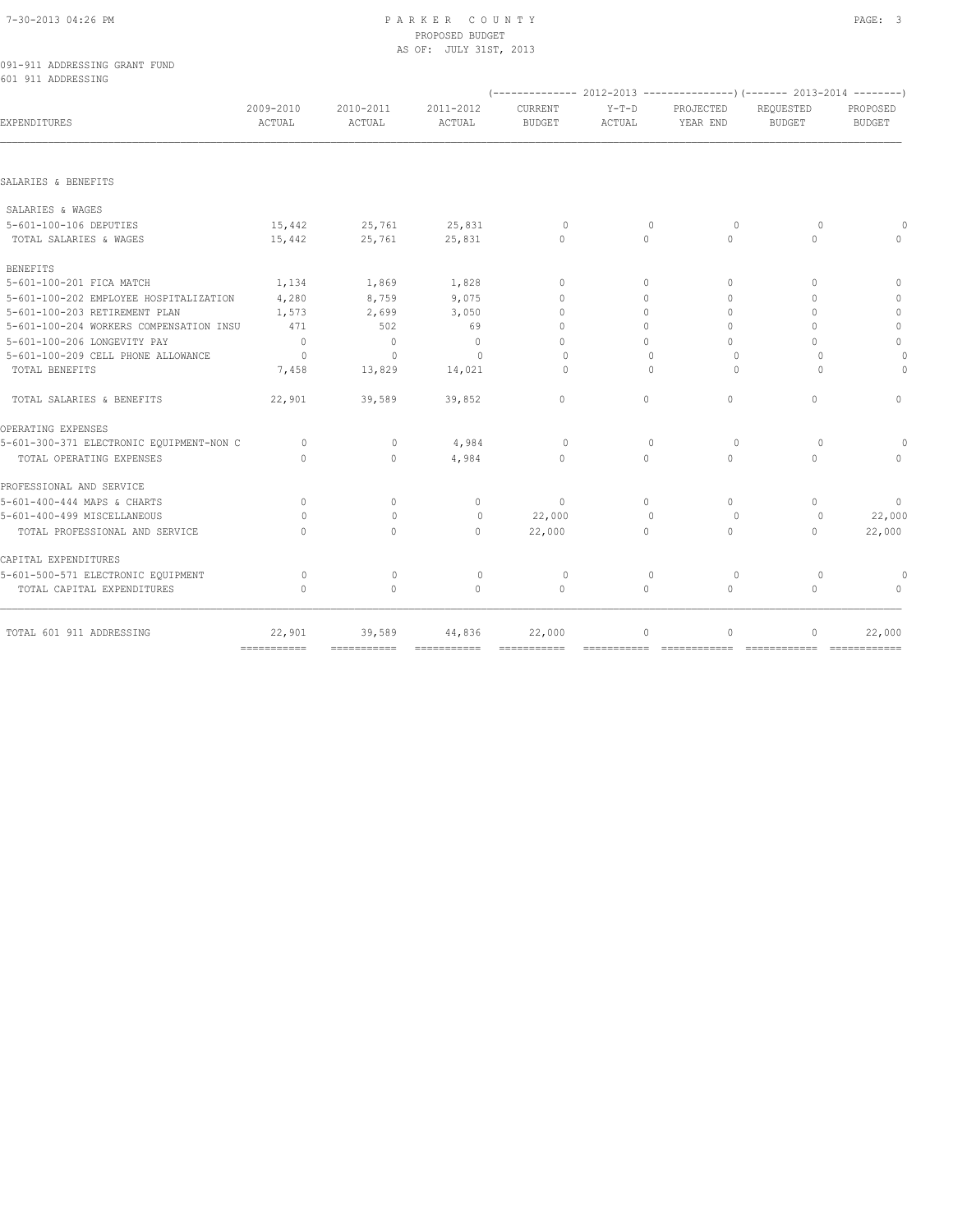## 7-30-2013 04:26 PM P A R K E R C O U N T Y PAGE: 3 PROPOSED BUDGET AS OF: JULY 31ST, 2013

|  | 091-911 ADDRESSING GRANT FUND |  |  |
|--|-------------------------------|--|--|
|  | 601 911 ADDRESSING            |  |  |

|                                          |                     |                     |                     | (-------------- 2012-2013 ------------------- 2013-2014 --------- ) |                   |                                  |                                  |                           |
|------------------------------------------|---------------------|---------------------|---------------------|---------------------------------------------------------------------|-------------------|----------------------------------|----------------------------------|---------------------------|
| EXPENDITURES                             | 2009-2010<br>ACTUAL | 2010-2011<br>ACTUAL | 2011-2012<br>ACTUAL | CURRENT<br><b>BUDGET</b>                                            | $Y-T-D$<br>ACTUAL | PROJECTED<br>YEAR END            | REOUESTED<br><b>BUDGET</b>       | PROPOSED<br><b>BUDGET</b> |
|                                          |                     |                     |                     |                                                                     |                   |                                  |                                  |                           |
| SALARIES & BENEFITS                      |                     |                     |                     |                                                                     |                   |                                  |                                  |                           |
| SALARIES & WAGES                         |                     |                     |                     |                                                                     |                   |                                  |                                  |                           |
| 5-601-100-106 DEPUTIES                   | 15,442              | 25,761              | 25,831              | $\circ$                                                             | $\mathbf{0}$      | $\circ$                          | $\circ$                          |                           |
| TOTAL SALARIES & WAGES                   | 15,442              | 25,761              | 25,831              | $\Omega$                                                            | $\Omega$          | $\Omega$                         | $\Omega$                         | $\Omega$                  |
| <b>BENEFITS</b>                          |                     |                     |                     |                                                                     |                   |                                  |                                  |                           |
| 5-601-100-201 FICA MATCH                 | 1,134               | 1,869               | 1,828               | $\begin{array}{c} \n\end{array}$                                    | $\Omega$          | $\begin{array}{c} \n\end{array}$ | $\begin{array}{c} \n\end{array}$ | $\Omega$                  |
| 5-601-100-202 EMPLOYEE HOSPITALIZATION   | 4,280               | 8,759               | 9,075               | $\Omega$                                                            | $\Omega$          | $\Omega$                         | $\Omega$                         | $\mathbf{0}$              |
| 5-601-100-203 RETIREMENT PLAN            | 1,573               | 2,699               | 3,050               | $\Omega$                                                            | $\Omega$          | $\Omega$                         | $\begin{array}{c} \n\end{array}$ | $\mathbf 0$               |
| 5-601-100-204 WORKERS COMPENSATION INSU  | 471                 | 502                 | 69                  | $\Omega$                                                            | $\cap$            | $\Omega$                         |                                  | $\mathbb{O}$              |
| 5-601-100-206 LONGEVITY PAY              | $\overline{0}$      | $\overline{0}$      | $\overline{0}$      | $\Omega$                                                            | $\Omega$          | $\Omega$                         | 0                                | $\mathbf{0}$              |
| 5-601-100-209 CELL PHONE ALLOWANCE       | $\bigcap$           | $\Omega$            | $\bigcap$           | $\bigcap$                                                           | $\bigcap$         | $\bigcap$                        | $\bigcap$                        | $\Omega$                  |
| TOTAL BENEFITS                           | 7,458               | 13,829              | 14,021              | $\Omega$                                                            | $\Omega$          | $\Omega$                         | $\bigcap$                        | $\Omega$                  |
| TOTAL SALARIES & BENEFITS                | 22,901              | 39,589              | 39,852              | $\mathbf{0}$                                                        | $\Omega$          | $\mathbf{0}$                     | $\Omega$                         | $\Omega$                  |
| OPERATING EXPENSES                       |                     |                     |                     |                                                                     |                   |                                  |                                  |                           |
| 5-601-300-371 ELECTRONIC EQUIPMENT-NON C | $\Omega$            | $\circ$             | 4,984               | $\Omega$                                                            | $\Omega$          | $\Omega$                         | $\Omega$                         |                           |
| TOTAL OPERATING EXPENSES                 | $\Omega$            | $\mathbf{0}$        | 4,984               | $\Omega$                                                            | $\Omega$          | $\Omega$                         | $\cap$                           | $\Omega$                  |
| PROFESSIONAL AND SERVICE                 |                     |                     |                     |                                                                     |                   |                                  |                                  |                           |
| 5-601-400-444 MAPS & CHARTS              | $\Omega$            | $\Omega$            | $\mathbf{0}$        | $\mathbf{0}$                                                        | $\Omega$          | $\Omega$                         | $\Omega$                         | $\overline{0}$            |
| 5-601-400-499 MISCELLANEOUS              | $\Omega$            | $\bigcap$           | $\Omega$            | 22,000                                                              | $\Omega$          | $\Omega$                         | $\Omega$                         | 22,000                    |
| TOTAL PROFESSIONAL AND SERVICE           | $\Omega$            | $\Omega$            | $\Omega$            | 22,000                                                              | $\Omega$          | $\Omega$                         | $\Omega$                         | 22,000                    |
| CAPITAL EXPENDITURES                     |                     |                     |                     |                                                                     |                   |                                  |                                  |                           |
| 5-601-500-571 ELECTRONIC EQUIPMENT       | $\Omega$            | $\mathbf{0}$        | $\circ$             | $\circ$                                                             | $\mathbf{0}$      | $\circ$                          | $\Omega$                         | 0                         |
| TOTAL CAPITAL EXPENDITURES               | $\Omega$            | $\Omega$            | $\Omega$            | $\Omega$                                                            | $\Omega$          | $\Omega$                         | $\Omega$                         | $\Omega$                  |
| TOTAL 601 911 ADDRESSING                 | 22,901              | 39,589              | 44,836              | 22,000                                                              | $\circ$           | $\circ$                          | $\begin{array}{c} \n\end{array}$ | 22,000                    |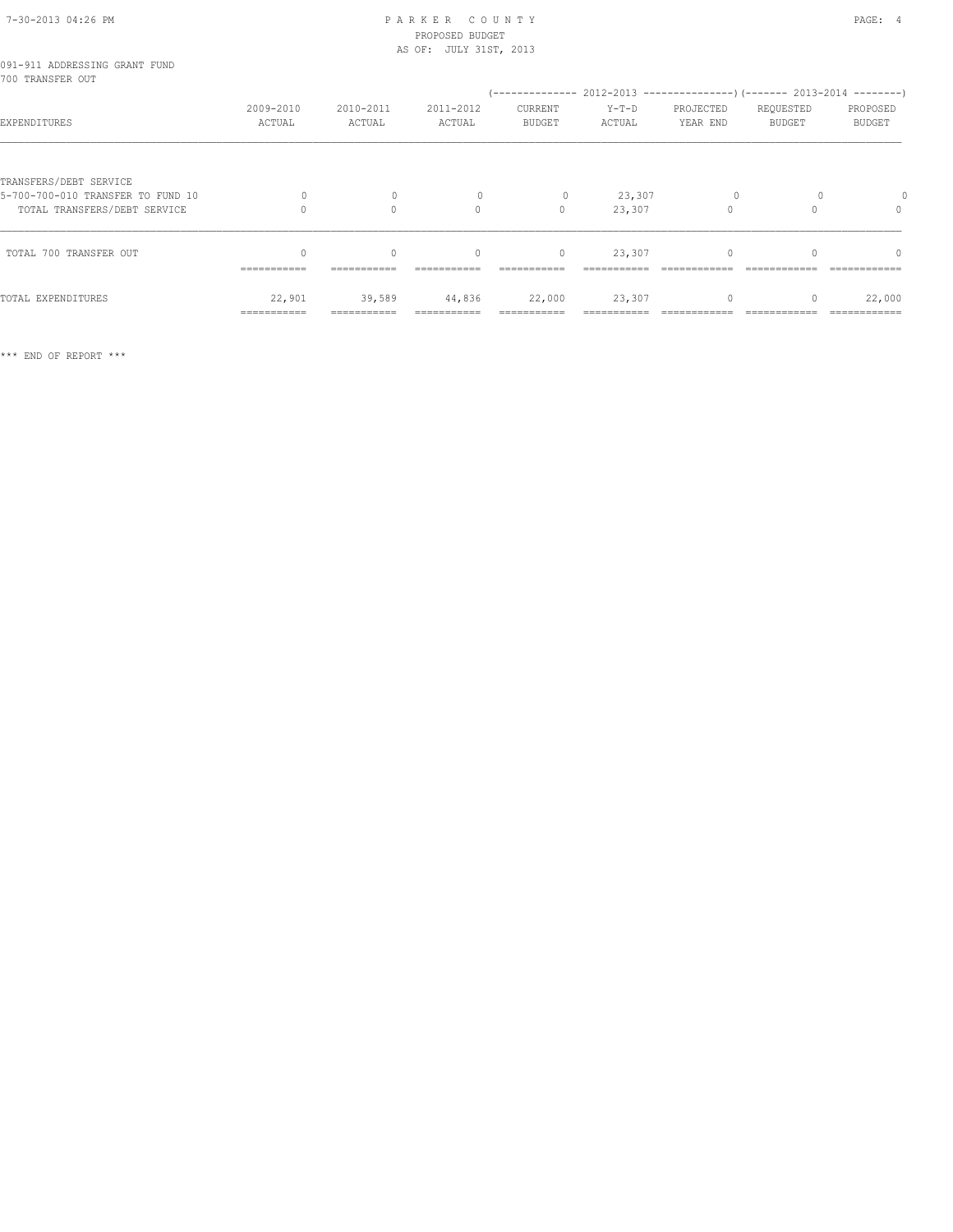## 7-30-2013 04:26 PM P A R K E R C O U N T Y PAGE: 4 PROPOSED BUDGET

|                                                                   | AS OF: JULY 31ST, 2013 |                     |                     |                          |                   |                       |                            |                           |
|-------------------------------------------------------------------|------------------------|---------------------|---------------------|--------------------------|-------------------|-----------------------|----------------------------|---------------------------|
| 091-911 ADDRESSING GRANT FUND<br>700 TRANSFER OUT                 |                        |                     |                     |                          |                   |                       |                            |                           |
| EXPENDITURES                                                      | 2009-2010<br>ACTUAL    | 2010-2011<br>ACTUAL | 2011-2012<br>ACTUAL | CURRENT<br><b>BUDGET</b> | $Y-T-D$<br>ACTUAL | PROJECTED<br>YEAR END | REQUESTED<br><b>BUDGET</b> | PROPOSED<br><b>BUDGET</b> |
| TRANSFERS/DEBT SERVICE                                            |                        | $\mathbf{0}$        |                     |                          |                   |                       |                            |                           |
| 5-700-700-010 TRANSFER TO FUND 10<br>TOTAL TRANSFERS/DEBT SERVICE |                        | $\Omega$            | $\Omega$            | 0<br>$\Omega$            | 23,307<br>23,307  | $\circ$<br>$\cap$     |                            | $\Omega$                  |
| TOTAL 700 TRANSFER OUT                                            | 0<br>===========       | $\circ$             | $\mathbf{0}$        | $\circ$                  | 23,307            | 0                     |                            | 0                         |
| TOTAL EXPENDITURES                                                | 22,901<br>===========  | 39,589              | 44,836              | 22,000                   | 23,307            | 0                     |                            | 22,000                    |

\*\*\* END OF REPORT \*\*\*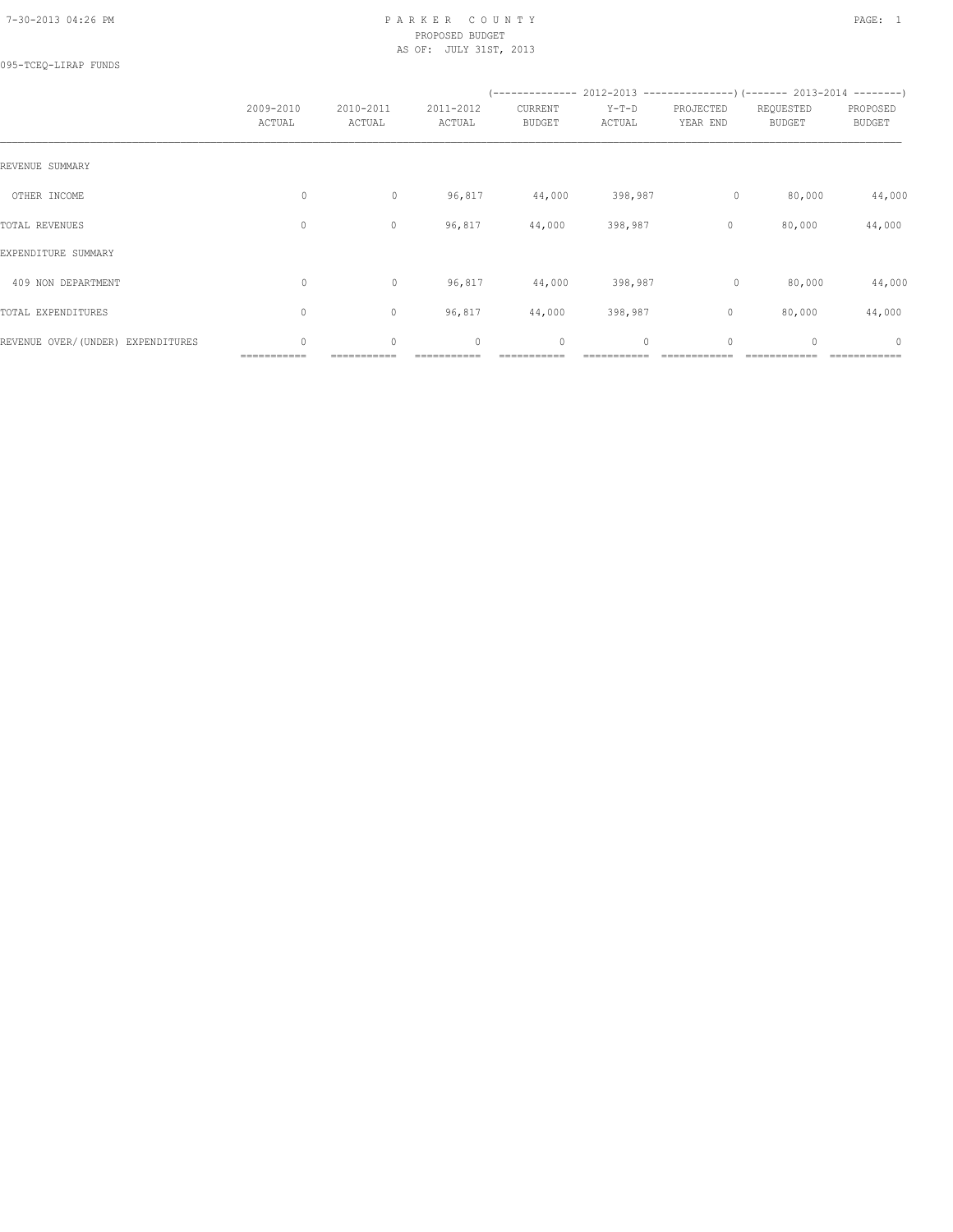## 7-30-2013 04:26 PM P A R K E R C O U N T Y PAGE: 1 PROPOSED BUDGET AS OF: JULY 31ST, 2013

095-TCEQ-LIRAP FUNDS

|                                   | 2009-2010<br>ACTUAL | 2010-2011<br>ACTUAL | 2011-2012<br>ACTUAL | CURRENT<br><b>BUDGET</b> | $Y-T-D$<br>ACTUAL | PROJECTED<br>YEAR END | (-------------- 2012-2013 --------------------- 2013-2014 ---------- )<br>REQUESTED<br><b>BUDGET</b> | PROPOSED<br><b>BUDGET</b> |
|-----------------------------------|---------------------|---------------------|---------------------|--------------------------|-------------------|-----------------------|------------------------------------------------------------------------------------------------------|---------------------------|
| REVENUE SUMMARY                   |                     |                     |                     |                          |                   |                       |                                                                                                      |                           |
| OTHER INCOME                      | $\circ$             | $\circ$             | 96,817              | 44,000                   | 398,987           | $\circ$               | 80,000                                                                                               | 44,000                    |
| TOTAL REVENUES                    | 0                   | $\circ$             | 96,817              | 44,000                   | 398,987           | $\circ$               | 80,000                                                                                               | 44,000                    |
| EXPENDITURE SUMMARY               |                     |                     |                     |                          |                   |                       |                                                                                                      |                           |
| 409 NON DEPARTMENT                | $\circ$             | $\circ$             | 96,817              | 44,000                   | 398,987           | $\circ$               | 80,000                                                                                               | 44,000                    |
| TOTAL EXPENDITURES                | 0                   | $\circ$             | 96,817              | 44,000                   | 398,987           | $\circ$               | 80,000                                                                                               | 44,000                    |
| REVENUE OVER/(UNDER) EXPENDITURES | 0                   | $\circ$             | $\circ$             | $\circ$                  | 0                 | $\circ$               | $\mathbf{0}$                                                                                         | 0                         |

 $\blacksquare$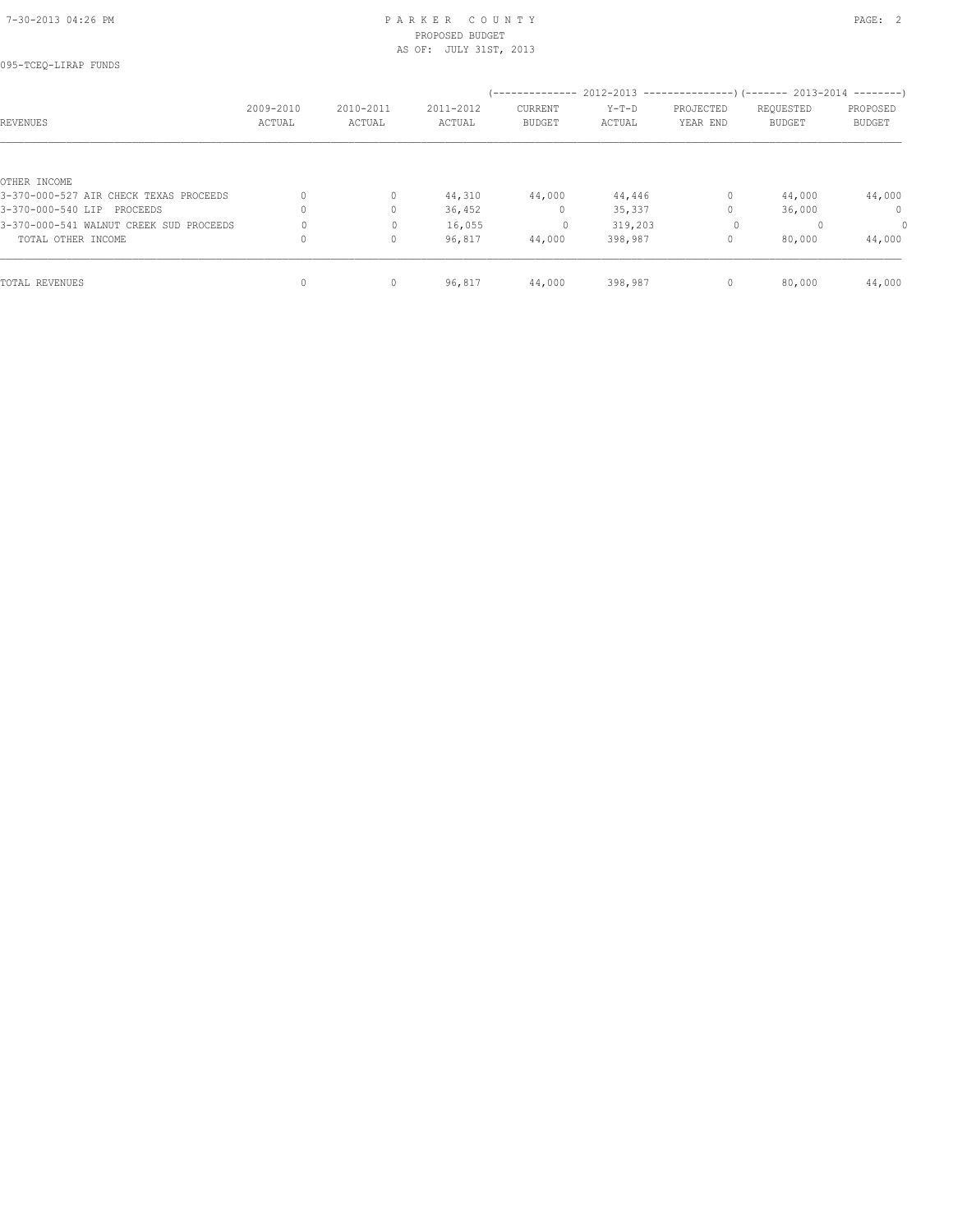## 7-30-2013 04:26 PM P A R K E R C O U N T Y PAGE: 2 PROPOSED BUDGET AS OF: JULY 31ST, 2013

| 095-TCEQ-LIRAP FUNDS                    |           |              |           |               |         |              |                                                                          |               |
|-----------------------------------------|-----------|--------------|-----------|---------------|---------|--------------|--------------------------------------------------------------------------|---------------|
|                                         |           |              |           |               |         |              | (-------------- 2012-2013 ----------------) (------- 2013-2014 --------) |               |
|                                         | 2009-2010 | 2010-2011    | 2011-2012 | CURRENT       | $Y-T-D$ | PROJECTED    | REQUESTED                                                                | PROPOSED      |
| REVENUES                                | ACTUAL    | ACTUAL       | ACTUAL    | <b>BUDGET</b> | ACTUAL  | YEAR END     | <b>BUDGET</b>                                                            | <b>BUDGET</b> |
|                                         |           |              |           |               |         |              |                                                                          |               |
| OTHER INCOME                            |           |              |           |               |         |              |                                                                          |               |
| 3-370-000-527 AIR CHECK TEXAS PROCEEDS  | 0         | $\circ$      | 44,310    | 44,000        | 44,446  | $\circ$      | 44,000                                                                   | 44,000        |
| 3-370-000-540 LIP PROCEEDS              | $\Omega$  | $\Omega$     | 36,452    | $\mathbf{0}$  | 35,337  |              | 36,000                                                                   | $\Omega$      |
| 3-370-000-541 WALNUT CREEK SUD PROCEEDS |           | $\mathbf{0}$ | 16,055    | $\circ$       | 319,203 | $\circ$      |                                                                          | $\circ$       |
| TOTAL OTHER INCOME                      | 0         | $\mathbf{0}$ | 96,817    | 44,000        | 398,987 | 0            | 80,000                                                                   | 44,000        |
| TOTAL REVENUES                          | 0         |              |           |               |         | $\mathbf{0}$ |                                                                          |               |
|                                         |           | 0            | 96,817    | 44,000        | 398,987 |              | 80,000                                                                   | 44,000        |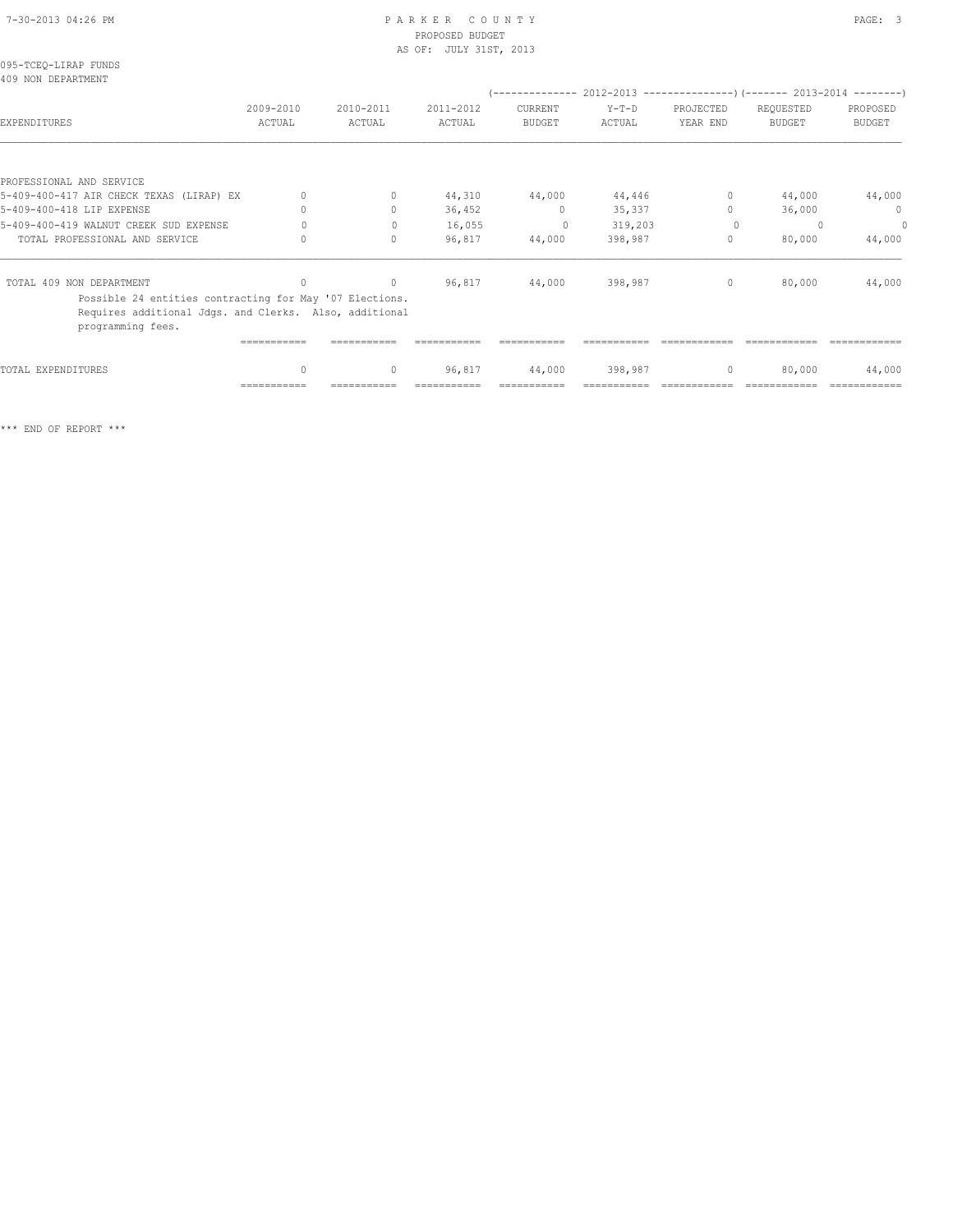## 7-30-2013 04:26 PM P A R K E R C O U N T Y PAGE: 3 PROPOSED BUDGET

|                                                                                                                                        |                                  |                                  | AS OF: JULY 31ST, 2013 |                          |                 |                                  |                                                                                           |                               |
|----------------------------------------------------------------------------------------------------------------------------------------|----------------------------------|----------------------------------|------------------------|--------------------------|-----------------|----------------------------------|-------------------------------------------------------------------------------------------|-------------------------------|
| 095-TCEO-LIRAP FUNDS<br>409 NON DEPARTMENT                                                                                             |                                  |                                  |                        |                          |                 |                                  |                                                                                           |                               |
| EXPENDITURES                                                                                                                           | 2009-2010<br>ACTUAL              | 2010-2011<br>ACTUAL              | 2011-2012<br>ACTUAL    | CURRENT<br><b>BUDGET</b> | Y-T-D<br>ACTUAL | PROJECTED<br>YEAR END            | $(----------2012-2013------------)$ $(----2013-2014------)$<br>REQUESTED<br><b>BUDGET</b> | PROPOSED<br><b>BUDGET</b>     |
|                                                                                                                                        |                                  |                                  |                        |                          |                 |                                  |                                                                                           |                               |
| PROFESSIONAL AND SERVICE                                                                                                               |                                  |                                  |                        |                          |                 |                                  |                                                                                           |                               |
| 5-409-400-417 AIR CHECK TEXAS (LIRAP) EX                                                                                               |                                  | $\circ$                          | 44,310                 | 44,000                   | 44,446          | $\circ$                          | 44,000                                                                                    | 44,000                        |
| 5-409-400-418 LIP EXPENSE                                                                                                              |                                  | $\begin{array}{c} \n\end{array}$ | 36,452                 | $\mathbf{0}$             | 35,337          | $\begin{array}{c} \n\end{array}$ | 36,000                                                                                    | $\mathbf 0$                   |
| 5-409-400-419 WALNUT CREEK SUD EXPENSE                                                                                                 | $\Omega$                         | $\mathbf{0}$                     | 16,055                 | $\Omega$                 | 319,203         | $\Omega$                         | $\Omega$                                                                                  | $\Omega$                      |
| TOTAL PROFESSIONAL AND SERVICE                                                                                                         |                                  | $\circ$                          | 96,817                 | 44,000                   | 398,987         | $\circ$                          | 80,000                                                                                    | 44,000                        |
| TOTAL 409 NON DEPARTMENT                                                                                                               | $\Omega$                         | $\circ$                          | 96,817                 | 44,000                   | 398,987         | $\circ$                          | 80,000                                                                                    | 44,000                        |
| Possible 24 entities contracting for May '07 Elections.<br>Requires additional Jdgs. and Clerks. Also, additional<br>programming fees. |                                  |                                  |                        |                          |                 |                                  |                                                                                           |                               |
|                                                                                                                                        | -----------                      |                                  |                        |                          |                 |                                  |                                                                                           |                               |
| TOTAL EXPENDITURES                                                                                                                     | $\begin{array}{c} \n\end{array}$ | $\circ$                          | 96,817                 | 44,000                   | 398,987         | $\mathbf{0}$                     | 80,000                                                                                    | 44,000                        |
|                                                                                                                                        | ===========                      |                                  |                        |                          |                 |                                  |                                                                                           | $=$ = = = = = = = = = = = = = |

\*\*\* END OF REPORT \*\*\*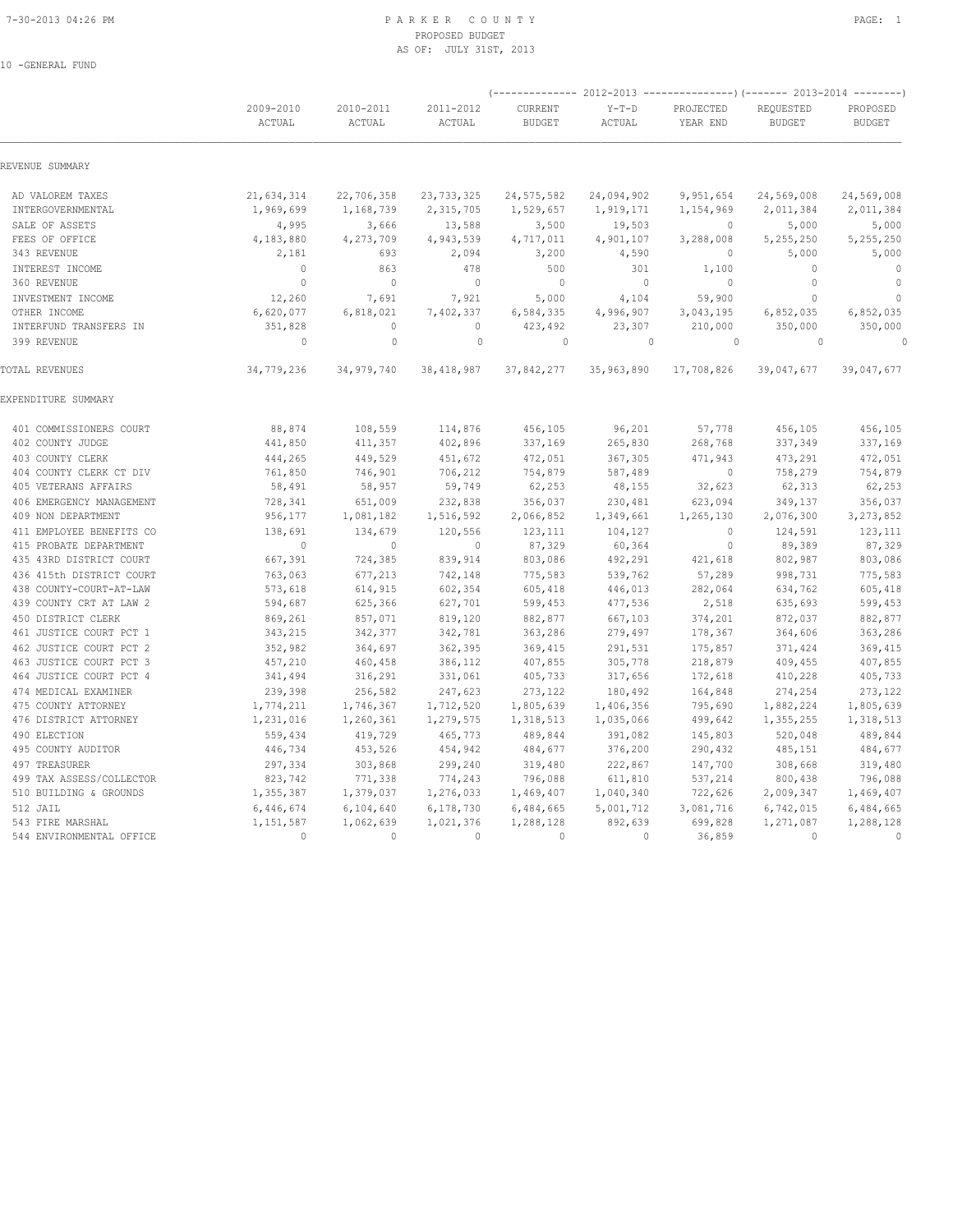10 -GENERAL FUND

## 7-30-2013 04:26 PM P A R K E R C O U N T Y PROPOSED BUDGET AS OF: JULY 31ST, 2013

|                          |                     |                     |                     |                          |                          | (-------------- 2012-2013 ------------------- 2013-2014 --------- ) |                            |                           |
|--------------------------|---------------------|---------------------|---------------------|--------------------------|--------------------------|---------------------------------------------------------------------|----------------------------|---------------------------|
|                          | 2009-2010<br>ACTUAL | 2010-2011<br>ACTUAL | 2011-2012<br>ACTUAL | CURRENT<br><b>BUDGET</b> | $Y-T-D$<br><b>ACTUAL</b> | PROJECTED<br>YEAR END                                               | REQUESTED<br><b>BUDGET</b> | PROPOSED<br><b>BUDGET</b> |
| REVENUE SUMMARY          |                     |                     |                     |                          |                          |                                                                     |                            |                           |
| AD VALOREM TAXES         | 21,634,314          | 22,706,358          | 23, 733, 325        | 24,575,582               | 24,094,902               | 9,951,654                                                           | 24,569,008                 | 24,569,008                |
| INTERGOVERNMENTAL        | 1,969,699           | 1,168,739           | 2,315,705           | 1,529,657                | 1,919,171                | 1,154,969                                                           | 2,011,384                  | 2,011,384                 |
| SALE OF ASSETS           | 4,995               | 3,666               | 13,588              | 3,500                    | 19,503                   | 0                                                                   | 5,000                      | 5,000                     |
| FEES OF OFFICE           | 4,183,880           | 4,273,709           | 4,943,539           | 4,717,011                | 4,901,107                | 3,288,008                                                           | 5,255,250                  | 5,255,250                 |
| 343 REVENUE              | 2,181               | 693                 | 2,094               | 3,200                    | 4,590                    | $\mathbf{0}$                                                        | 5,000                      | 5,000                     |
| INTEREST INCOME          | $\circ$             | 863                 | 478                 | 500                      | 301                      | 1,100                                                               | $\mathbf{0}$               | $\mathbf{0}$              |
| 360 REVENUE              | $\mathbf{0}$        | $\mathbf{0}$        | $\mathbf{0}$        | $\mathbf{0}$             | $\circ$                  | $\mathbf{0}$                                                        | $\mathbf 0$                | $\mathbf{0}$              |
| INVESTMENT INCOME        | 12,260              | 7,691               | 7,921               | 5,000                    | 4,104                    | 59,900                                                              | $\Omega$                   | $\Omega$                  |
| OTHER INCOME             | 6,620,077           | 6,818,021           | 7,402,337           | 6,584,335                | 4,996,907                | 3,043,195                                                           | 6,852,035                  | 6,852,035                 |
| INTERFUND TRANSFERS IN   | 351,828             | $\circ$             | $\mathbf{0}$        | 423,492                  | 23,307                   | 210,000                                                             | 350,000                    | 350,000                   |
| 399 REVENUE              | $\circ$             | $\mathbb O$         | $\circ$             | $\circ$                  | $\mathbf{0}$             | $\circ$                                                             | $\circ$                    | $\Omega$                  |
| TOTAL REVENUES           | 34,779,236          | 34,979,740          | 38, 418, 987        | 37,842,277               | 35,963,890               | 17,708,826                                                          | 39,047,677                 | 39,047,677                |
| EXPENDITURE SUMMARY      |                     |                     |                     |                          |                          |                                                                     |                            |                           |
| 401 COMMISSIONERS COURT  | 88,874              | 108,559             | 114,876             | 456,105                  | 96,201                   | 57,778                                                              | 456,105                    | 456,105                   |
| 402 COUNTY JUDGE         | 441,850             | 411,357             | 402,896             | 337,169                  | 265,830                  | 268,768                                                             | 337,349                    | 337,169                   |
| 403 COUNTY CLERK         | 444,265             | 449,529             | 451,672             | 472,051                  | 367,305                  | 471,943                                                             | 473,291                    | 472,051                   |
| 404 COUNTY CLERK CT DIV  | 761,850             | 746,901             | 706,212             | 754,879                  | 587,489                  | $\mathbb O$                                                         | 758,279                    | 754,879                   |
| 405 VETERANS AFFAIRS     | 58,491              | 58,957              | 59,749              | 62,253                   | 48,155                   | 32,623                                                              | 62,313                     | 62,253                    |
| 406 EMERGENCY MANAGEMENT | 728,341             | 651,009             | 232,838             | 356,037                  | 230,481                  | 623,094                                                             | 349,137                    | 356,037                   |
| 409 NON DEPARTMENT       | 956,177             | 1,081,182           | 1,516,592           | 2,066,852                | 1,349,661                | 1,265,130                                                           | 2,076,300                  | 3, 273, 852               |
| 411 EMPLOYEE BENEFITS CO | 138,691             | 134,679             | 120,556             | 123,111                  | 104,127                  | $\mathbf{0}$                                                        | 124,591                    | 123,111                   |
| 415 PROBATE DEPARTMENT   | $\Omega$            | $\circ$             | $\Omega$            | 87,329                   | 60,364                   | $\Omega$                                                            | 89,389                     | 87,329                    |
| 435 43RD DISTRICT COURT  | 667,391             | 724,385             | 839,914             | 803,086                  | 492,291                  | 421,618                                                             | 802,987                    | 803,086                   |
| 436 415th DISTRICT COURT | 763,063             | 677,213             | 742,148             | 775,583                  | 539,762                  | 57,289                                                              | 998,731                    | 775,583                   |
| 438 COUNTY-COURT-AT-LAW  | 573,618             | 614,915             | 602,354             | 605,418                  | 446,013                  | 282,064                                                             | 634,762                    | 605,418                   |
| 439 COUNTY CRT AT LAW 2  | 594,687             | 625,366             | 627,701             | 599,453                  | 477,536                  | 2,518                                                               | 635,693                    | 599,453                   |
| 450 DISTRICT CLERK       | 869,261             | 857,071             | 819,120             | 882,877                  | 667,103                  | 374,201                                                             | 872,037                    | 882,877                   |
| 461 JUSTICE COURT PCT 1  | 343,215             | 342,377             | 342,781             | 363,286                  | 279,497                  | 178,367                                                             | 364,606                    | 363,286                   |
| 462 JUSTICE COURT PCT 2  | 352,982             | 364,697             | 362,395             | 369,415                  | 291,531                  | 175,857                                                             | 371,424                    | 369,415                   |
| 463 JUSTICE COURT PCT 3  | 457,210             | 460,458             | 386,112             | 407,855                  | 305,778                  | 218,879                                                             | 409,455                    | 407,855                   |
| 464 JUSTICE COURT PCT 4  | 341,494             | 316,291             | 331,061             | 405,733                  | 317,656                  | 172,618                                                             | 410,228                    | 405,733                   |
| 474 MEDICAL EXAMINER     | 239,398             | 256,582             | 247,623             | 273,122                  | 180,492                  | 164,848                                                             | 274,254                    | 273,122                   |
| 475 COUNTY ATTORNEY      | 1,774,211           | 1,746,367           | 1,712,520           | 1,805,639                | 1,406,356                | 795,690                                                             | 1,882,224                  | 1,805,639                 |
| 476 DISTRICT ATTORNEY    | 1,231,016           | 1,260,361           | 1,279,575           | 1,318,513                | 1,035,066                | 499,642                                                             | 1,355,255                  | 1,318,513                 |
| 490 ELECTION             | 559,434             | 419,729             | 465,773             | 489,844                  | 391,082                  | 145,803                                                             | 520,048                    | 489,844                   |
| 495 COUNTY AUDITOR       | 446,734             | 453,526             | 454,942             | 484,677                  | 376,200                  | 290,432                                                             | 485,151                    | 484,677                   |
| 497 TREASURER            | 297,334             | 303,868             | 299,240             | 319,480                  | 222,867                  | 147,700                                                             | 308,668                    | 319,480                   |
| 499 TAX ASSESS/COLLECTOR | 823,742             | 771,338             | 774,243             | 796,088                  | 611,810                  | 537,214                                                             | 800,438                    | 796,088                   |
| 510 BUILDING & GROUNDS   | 1,355,387           | 1,379,037           | 1,276,033           | 1,469,407                | 1,040,340                | 722,626                                                             | 2,009,347                  | 1,469,407                 |
| 512 JAIL                 | 6,446,674           | 6,104,640           | 6,178,730           | 6,484,665                | 5,001,712                | 3,081,716                                                           | 6,742,015                  | 6,484,665                 |
| 543 FIRE MARSHAL         | 1,151,587           | 1,062,639           | 1,021,376           | 1,288,128                | 892,639                  | 699,828                                                             | 1,271,087                  | 1,288,128                 |
| 544 ENVIRONMENTAL OFFICE | $\Omega$            | $\Omega$            | $\Omega$            | $\Omega$                 | $\Omega$                 | 36,859                                                              | $\Omega$                   | $\Omega$                  |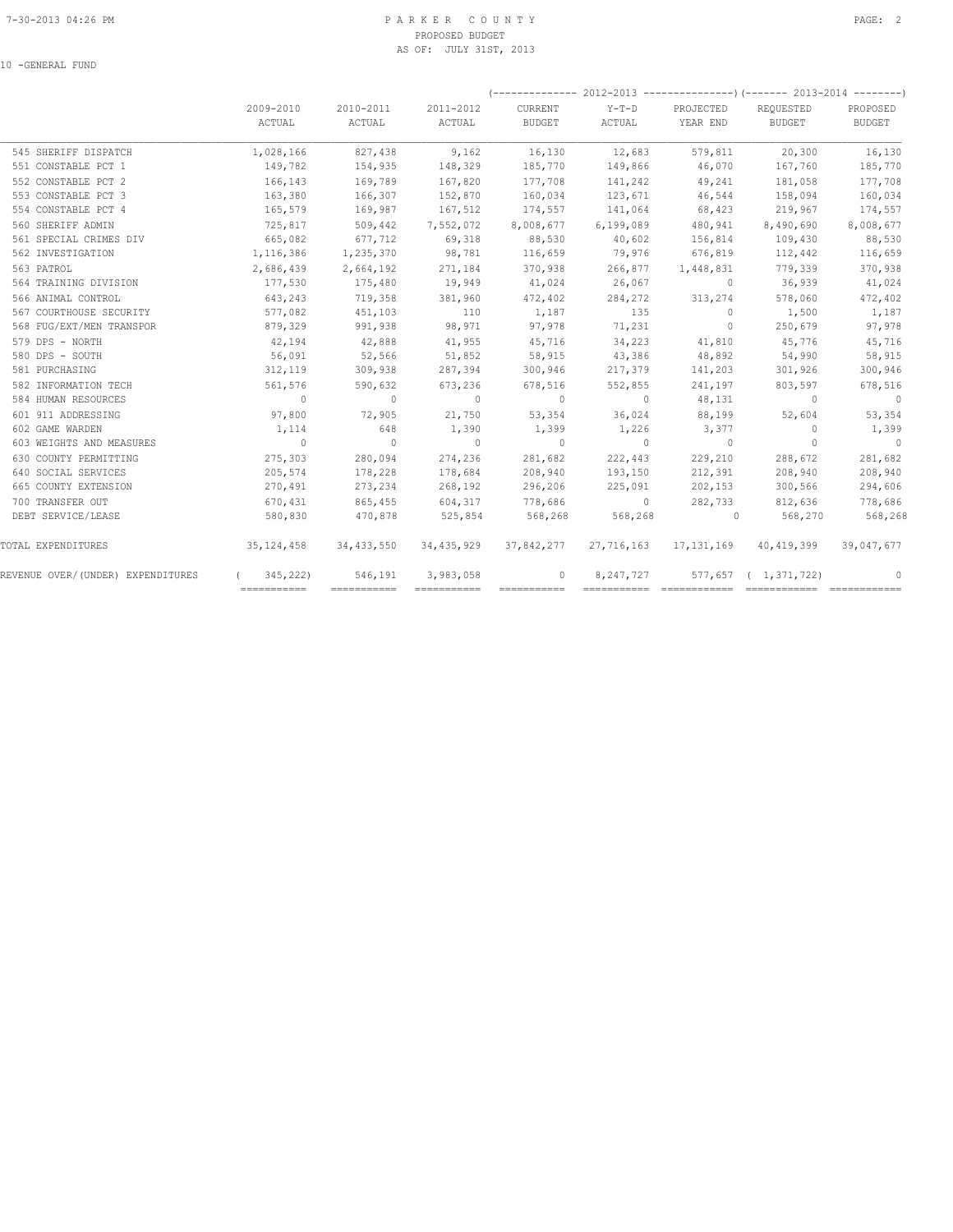## 7-30-2013 04:26 PM P A R K E R C O U N T Y PAGE: 2 PROPOSED BUDGET AS OF: JULY 31ST, 2013

|                                   |                        |                     |                     |                   |                   |                       | $(---------- 2012-2013 ------------)$ $(---- 2013-2014 ------)$ |                    |
|-----------------------------------|------------------------|---------------------|---------------------|-------------------|-------------------|-----------------------|-----------------------------------------------------------------|--------------------|
|                                   | 2009-2010<br>ACTUAL    | 2010-2011<br>ACTUAL | 2011-2012<br>ACTUAL | CURRENT<br>BUDGET | $Y-T-D$<br>ACTUAL | PROJECTED<br>YEAR END | REQUESTED<br>BUDGET                                             | PROPOSED<br>BUDGET |
| 545 SHERIFF DISPATCH              | 1,028,166              | 827,438             | 9,162               | 16,130            | 12,683            | 579,811               | 20,300                                                          | 16,130             |
| 551 CONSTABLE PCT 1               | 149,782                | 154,935             | 148,329             | 185,770           | 149,866           | 46,070                | 167,760                                                         | 185,770            |
| 552 CONSTABLE PCT 2               | 166,143                | 169,789             | 167,820             | 177,708           | 141,242           | 49,241                | 181,058                                                         | 177,708            |
| 553 CONSTABLE PCT 3               | 163,380                | 166,307             | 152,870             | 160,034           | 123,671           | 46,544                | 158,094                                                         | 160,034            |
| 554 CONSTABLE PCT 4               | 165,579                | 169,987             | 167,512             | 174,557           | 141,064           | 68,423                | 219,967                                                         | 174,557            |
| 560 SHERIFF ADMIN                 | 725,817                | 509,442             | 7,552,072           | 8,008,677         | 6,199,089         | 480,941               | 8,490,690                                                       | 8,008,677          |
| 561 SPECIAL CRIMES DIV            | 665,082                | 677,712             | 69,318              | 88,530            | 40,602            | 156,814               | 109,430                                                         | 88,530             |
| 562 INVESTIGATION                 | 1,116,386              | 1,235,370           | 98,781              | 116,659           | 79,976            | 676,819               | 112,442                                                         | 116,659            |
| 563 PATROL                        | 2,686,439              | 2,664,192           | 271,184             | 370,938           | 266,877           | 1,448,831             | 779,339                                                         | 370,938            |
| 564 TRAINING DIVISION             | 177,530                | 175,480             | 19,949              | 41,024            | 26,067            | $\sim$ 0              | 36,939                                                          | 41,024             |
| 566 ANIMAL CONTROL                | 643,243                | 719,358             | 381,960             | 472,402           | 284,272           | 313,274               | 578,060                                                         | 472,402            |
| 567 COURTHOUSE SECURITY           | 577,082                | 451,103             | 110                 | 1,187             | 135               | $\overline{0}$        | 1,500                                                           | 1,187              |
| 568 FUG/EXT/MEN TRANSPOR          | 879,329                | 991,938             | 98,971              | 97,978            | 71,231            | $\circ$               | 250,679                                                         | 97,978             |
| 579 DPS - NORTH                   | 42,194                 | 42,888              | 41,955              | 45,716            | 34,223            | 41,810                | 45,776                                                          | 45,716             |
| 580 DPS - SOUTH                   | 56,091                 | 52,566              | 51,852              | 58,915            | 43,386            | 48,892                | 54,990                                                          | 58,915             |
| 581 PURCHASING                    | 312,119                | 309,938             | 287,394             | 300,946           | 217,379           | 141,203               | 301,926                                                         | 300,946            |
| 582 INFORMATION TECH              | 561,576                | 590,632             | 673,236             | 678,516           | 552,855           | 241,197               | 803,597                                                         | 678,516            |
| 584 HUMAN RESOURCES               | $\sim$ 0               | $\sim$ 0            | $\overline{0}$      | $\sim$ 0          | $\overline{0}$    | 48,131                | $\sim$ 0                                                        | $\overline{0}$     |
| 601 911 ADDRESSING                | 97,800                 | 72,905              | 21,750              | 53,354            | 36,024            | 88,199                | 52,604                                                          | 53,354             |
| 602 GAME WARDEN                   | 1,114                  | 648                 | 1,390               | 1,399             | 1,226             | 3,377                 | $\sim$ 0                                                        | 1,399              |
| 603 WEIGHTS AND MEASURES          | $\overline{0}$         | $\sim$ 0            | $\sim$ 0            | $\sim$ 0          | $\overline{0}$    | $\sim$ 0              | $\overline{0}$                                                  | $\overline{0}$     |
| 630 COUNTY PERMITTING             | 275,303                | 280,094             | 274,236             | 281,682           | 222,443           | 229,210               | 288,672                                                         | 281,682            |
| 640 SOCIAL SERVICES               | 205,574                | 178,228             | 178,684             | 208,940           | 193,150           | 212,391               | 208,940                                                         | 208,940            |
| 665 COUNTY EXTENSION              | 270,491                | 273,234             | 268,192             | 296,206           | 225,091           | 202,153               | 300,566                                                         | 294,606            |
| 700 TRANSFER OUT                  | 670,431                | 865,455             | 604,317             | 778,686           | $\sim$ 0          | 282,733               | 812,636                                                         | 778,686            |
| DEBT SERVICE/LEASE                | 580,830                | 470,878             | 525,854             | 568,268           | 568,268           | $\sim$ 0              | 568,270                                                         | 568,268            |
| TOTAL EXPENDITURES                | 35, 124, 458           | 34, 433, 550        | 34,435,929          | 37,842,277        |                   |                       | 27,716,163 17,131,169 40,419,399                                | 39,047,677         |
| REVENUE OVER/(UNDER) EXPENDITURES | 345,222)<br>$\sqrt{2}$ | 546,191             | 3,983,058           | $\mathbf{0}$      | 8,247,727         |                       | 577,657 ( 1,371,722)                                            | $\circ$            |
|                                   | ===========            | ===========         | $=$ ===========     |                   |                   |                       |                                                                 |                    |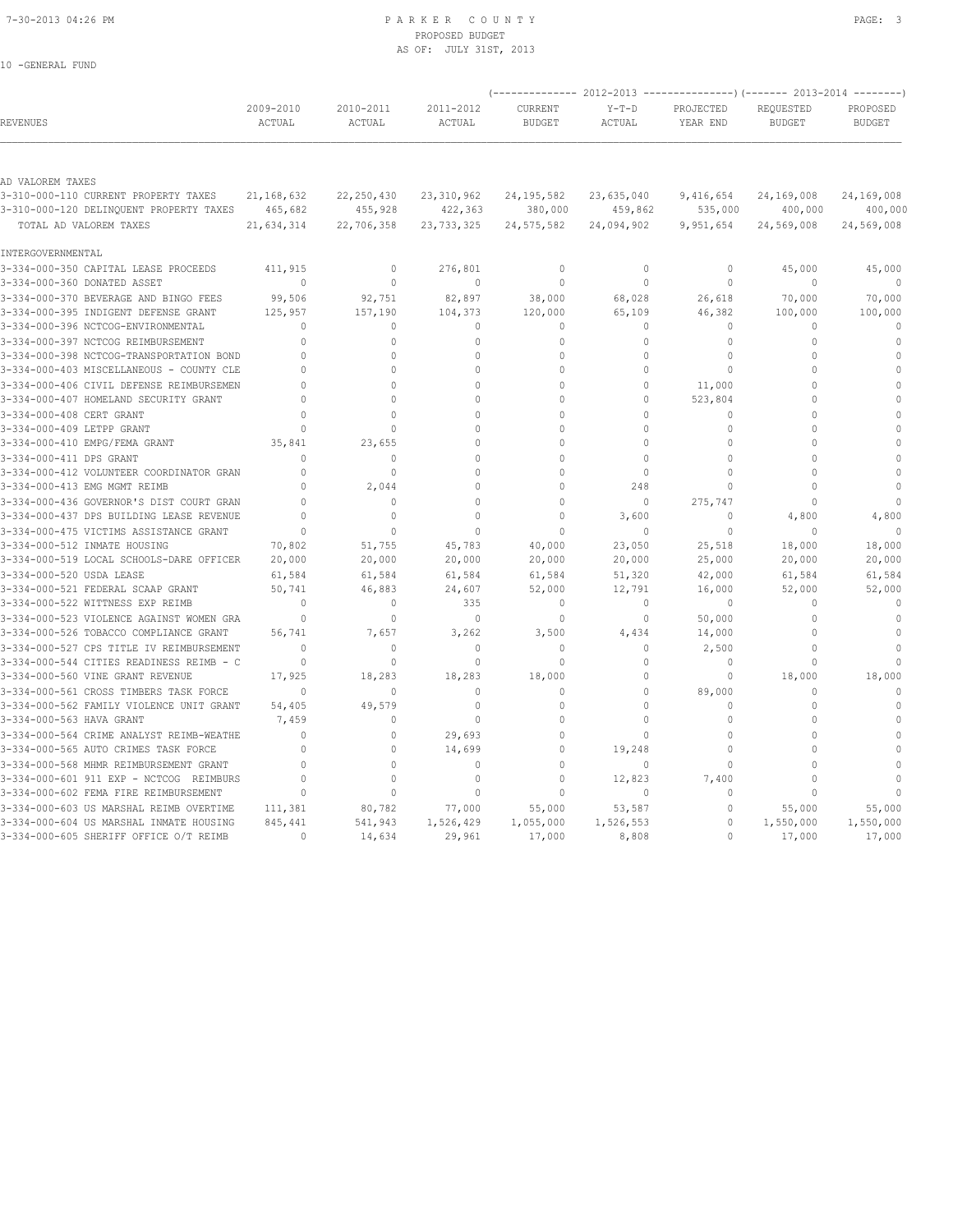10 -GENERAL FUND

## 7-30-2013 04:26 PM P A R K E R C O U N T Y PAGE: 3 PROPOSED BUDGET AS OF: JULY 31ST, 2013

|                                          |                     |                     |                     |                          |                   |                       | (-------------- 2012-2013 ----------------) (------- 2013-2014 --------) |                           |
|------------------------------------------|---------------------|---------------------|---------------------|--------------------------|-------------------|-----------------------|--------------------------------------------------------------------------|---------------------------|
| <b>REVENUES</b>                          | 2009-2010<br>ACTUAL | 2010-2011<br>ACTUAL | 2011-2012<br>ACTUAL | CURRENT<br><b>BUDGET</b> | $Y-T-D$<br>ACTUAL | PROJECTED<br>YEAR END | REQUESTED<br><b>BUDGET</b>                                               | PROPOSED<br><b>BUDGET</b> |
|                                          |                     |                     |                     |                          |                   |                       |                                                                          |                           |
| AD VALOREM TAXES                         |                     |                     |                     |                          |                   |                       |                                                                          |                           |
| 3-310-000-110 CURRENT PROPERTY TAXES     | 21, 168, 632        | 22, 250, 430        | 23, 310, 962        | 24, 195, 582             | 23,635,040        | 9,416,654             | 24,169,008                                                               | 24,169,008                |
| 3-310-000-120 DELINQUENT PROPERTY TAXES  | 465,682             | 455,928             | 422,363             | 380,000                  | 459,862           | 535,000               | 400,000                                                                  | 400,000                   |
| TOTAL AD VALOREM TAXES                   | 21,634,314          | 22,706,358          | 23, 733, 325        | 24, 575, 582             | 24,094,902        | 9,951,654             | 24,569,008                                                               | 24,569,008                |
| INTERGOVERNMENTAL                        |                     |                     |                     |                          |                   |                       |                                                                          |                           |
| 3-334-000-350 CAPITAL LEASE PROCEEDS     | 411,915             | $\mathbb O$         | 276,801             | $\circ$                  | $\circ$           | $\mathbb O$           | 45,000                                                                   | 45,000                    |
| 3-334-000-360 DONATED ASSET              | $\mathbf{0}$        | $\mathbf{0}$        | $\Omega$            | $\Omega$                 | $\Omega$          | $\mathbf{0}$          | $\Omega$                                                                 | $\Omega$                  |
| 3-334-000-370 BEVERAGE AND BINGO FEES    | 99,506              | 92,751              | 82,897              | 38,000                   | 68,028            | 26,618                | 70,000                                                                   | 70,000                    |
| 3-334-000-395 INDIGENT DEFENSE GRANT     | 125,957             | 157,190             | 104,373             | 120,000                  | 65,109            | 46,382                | 100,000                                                                  | 100,000                   |
| 3-334-000-396 NCTCOG-ENVIRONMENTAL       | $\Omega$            | $\Omega$            | 0                   | $\mathbf 0$              | 0                 | 0                     | $\mathbf{0}$                                                             | $\mathbb O$               |
| 3-334-000-397 NCTCOG REIMBURSEMENT       | $\Omega$            | $\Omega$            | $\Omega$            | $\Omega$                 | $\Omega$          | $\Omega$              | $\Omega$                                                                 | $\theta$                  |
| 3-334-000-398 NCTCOG-TRANSPORTATION BOND | $\Omega$            | $\Omega$            | $\mathbf{0}$        | $\Omega$                 | $\Omega$          | $\Omega$              | $\Omega$                                                                 | $\mathbf{0}$              |
| 3-334-000-403 MISCELLANEOUS - COUNTY CLE | $\Omega$            | $\Omega$            | $\Omega$            | $\Omega$                 | $\Omega$          | $\Omega$              | $\Omega$                                                                 | $\Omega$                  |
| 3-334-000-406 CIVIL DEFENSE REIMBURSEMEN | $\cap$              | $\Omega$            | $\Omega$            | $\Omega$                 | $\Omega$          | 11,000                | $\Omega$                                                                 | $\Omega$                  |
| 3-334-000-407 HOMELAND SECURITY GRANT    | $\Omega$            | $\Omega$            | $\cap$              | $\cap$                   | $\circ$           | 523,804               | $\Omega$                                                                 | $\Omega$                  |
| 3-334-000-408 CERT GRANT                 | $\Omega$            | $\Omega$            | $\Omega$            | $\Omega$                 | $\Omega$          | $\Omega$              | $\Omega$                                                                 | $\Omega$                  |
| 3-334-000-409 LETPP GRANT                | $\Omega$            | $\Omega$            | $\Omega$            | $\Omega$                 | $\Omega$          | $\Omega$              | $\Omega$                                                                 | $\Omega$                  |
| 3-334-000-410 EMPG/FEMA GRANT            | 35,841              | 23,655              | $\Omega$            | $\Omega$                 | $\Omega$          | $\mathbf{0}$          | $\Omega$                                                                 | $\Omega$                  |
| 3-334-000-411 DPS GRANT                  | $\Omega$            | $\Omega$            | $\Omega$            | $\Omega$                 | $\Omega$          | $\Omega$              | $\Omega$                                                                 | $\Omega$                  |
| 3-334-000-412 VOLUNTEER COORDINATOR GRAN | $\Omega$            | $\mathbf{0}$        | $\cap$              | $\cap$                   | $\circ$           | $\mathbf{0}$          | $\cap$                                                                   | $\Omega$                  |
| 3-334-000-413 EMG MGMT REIMB             | $\Omega$            | 2,044               | $\Omega$            | 0                        | 248               | $\Omega$              | $\Omega$                                                                 | $\mathbf{0}$              |
| 3-334-000-436 GOVERNOR'S DIST COURT GRAN | $\Omega$            | $\mathbf{0}$        | $\Omega$            | $\Omega$                 | $\circ$           | 275,747               | $\bigcap$                                                                | $\Omega$                  |
| 3-334-000-437 DPS BUILDING LEASE REVENUE | $\Omega$            | $\Omega$            | $\Omega$            | $\Omega$                 | 3,600             | $\Omega$              | 4,800                                                                    | 4,800                     |
| 3-334-000-475 VICTIMS ASSISTANCE GRANT   | $\cap$              | $\cap$              | $\cap$              | $\cap$                   | $\Omega$          | $\Omega$              | $\Omega$                                                                 | $\cap$                    |
| 3-334-000-512 INMATE HOUSING             | 70,802              | 51,755              | 45,783              | 40,000                   | 23,050            | 25,518                | 18,000                                                                   | 18,000                    |
| 3-334-000-519 LOCAL SCHOOLS-DARE OFFICER | 20,000              | 20,000              | 20,000              | 20,000                   | 20,000            | 25,000                | 20,000                                                                   | 20,000                    |
| 3-334-000-520 USDA LEASE                 | 61,584              | 61,584              | 61,584              | 61,584                   | 51,320            | 42,000                | 61,584                                                                   | 61,584                    |
| 3-334-000-521 FEDERAL SCAAP GRANT        | 50,741              | 46,883              | 24,607              | 52,000                   | 12,791            | 16,000                | 52,000                                                                   | 52,000                    |
| 3-334-000-522 WITTNESS EXP REIMB         | $\Omega$            | $\mathbf{0}$        | 335                 | $\mathbf{0}$             | $\circ$           | $\Omega$              | $\Omega$                                                                 | $\mathbf{0}$              |
| 3-334-000-523 VIOLENCE AGAINST WOMEN GRA | $\Omega$            | $\Omega$            | $\Omega$            | $\Omega$                 | $\Omega$          | 50,000                | $\Omega$                                                                 | $\Omega$                  |
| 3-334-000-526 TOBACCO COMPLIANCE GRANT   | 56,741              | 7,657               | 3,262               | 3,500                    | 4,434             | 14,000                | $\Omega$                                                                 | $\mathbf{0}$              |
| 3-334-000-527 CPS TITLE IV REIMBURSEMENT | $\Omega$            | $\mathbf{0}$        | $\Omega$            | $\Omega$                 | $\circ$           | 2,500                 | $\Omega$                                                                 | $\Omega$                  |
| 3-334-000-544 CITIES READINESS REIMB - C | $\mathbf{0}$        | $\mathbf{0}$        | $\mathbf{0}$        | $\mathbf{0}$             | $\circ$           | $\circ$               | $\Omega$                                                                 | $\Omega$                  |
| 3-334-000-560 VINE GRANT REVENUE         | 17,925              | 18,283              | 18,283              | 18,000                   | $\circ$           | $\circ$               | 18,000                                                                   | 18,000                    |
| 3-334-000-561 CROSS TIMBERS TASK FORCE   | $\Omega$            | $\Omega$            | $\Omega$            | $\Omega$                 | $\Omega$          | 89,000                | $\Omega$                                                                 | $\Omega$                  |
| 3-334-000-562 FAMILY VIOLENCE UNIT GRANT | 54,405              | 49,579              | $\mathbf 0$         | $\Omega$                 | $\Omega$          | $\mathbf{0}$          | $\mathbf{0}$                                                             | $\Omega$                  |
| 3-334-000-563 HAVA GRANT                 | 7,459               | 0                   | $\Omega$            | $\cap$                   | $\cap$            | $\Omega$              | $\Omega$                                                                 | $\cap$                    |
| 3-334-000-564 CRIME ANALYST REIMB-WEATHE | $\cap$              | $\Omega$            | 29,693              | O                        | $\Omega$          | $\Omega$              | $\Omega$                                                                 | $\Omega$                  |
| 3-334-000-565 AUTO CRIMES TASK FORCE     | $\Omega$            | $\mathbf{0}$        | 14,699              | $\mathbf{0}$             | 19,248            | $\Omega$              | $\Omega$                                                                 | $\Omega$                  |
| 3-334-000-568 MHMR REIMBURSEMENT GRANT   | $\Omega$            | $\mathbf{0}$        | $\Omega$            | $\Omega$                 | $\Omega$          | $\mathbf{0}$          | $\Omega$                                                                 | $\Omega$                  |
| 3-334-000-601 911 EXP - NCTCOG REIMBURS  | $\Omega$            | $\Omega$            | $\Omega$            | $\Omega$                 | 12,823            | 7,400                 | $\Omega$                                                                 | $\Omega$                  |
| 3-334-000-602 FEMA FIRE REIMBURSEMENT    | $\mathbf 0$         | $\mathbf{0}$        | $\mathbf 0$         | $\mathbf 0$              | $\circ$           | $\mathbb O$           | $\cap$                                                                   | $\cap$                    |
| 3-334-000-603 US MARSHAL REIMB OVERTIME  | 111,381             | 80,782              | 77,000              | 55,000                   | 53,587            | $\mathbf 0$           | 55,000                                                                   | 55,000                    |
| 3-334-000-604 US MARSHAL INMATE HOUSING  | 845,441             | 541,943             | 1,526,429           | 1,055,000                | 1,526,553         | $\mathbf 0$           | 1,550,000                                                                | 1,550,000                 |
| 3-334-000-605 SHERIFF OFFICE O/T REIMB   | $\Omega$            | 14,634              | 29,961              | 17,000                   | 8,808             | $\Omega$              | 17,000                                                                   | 17,000                    |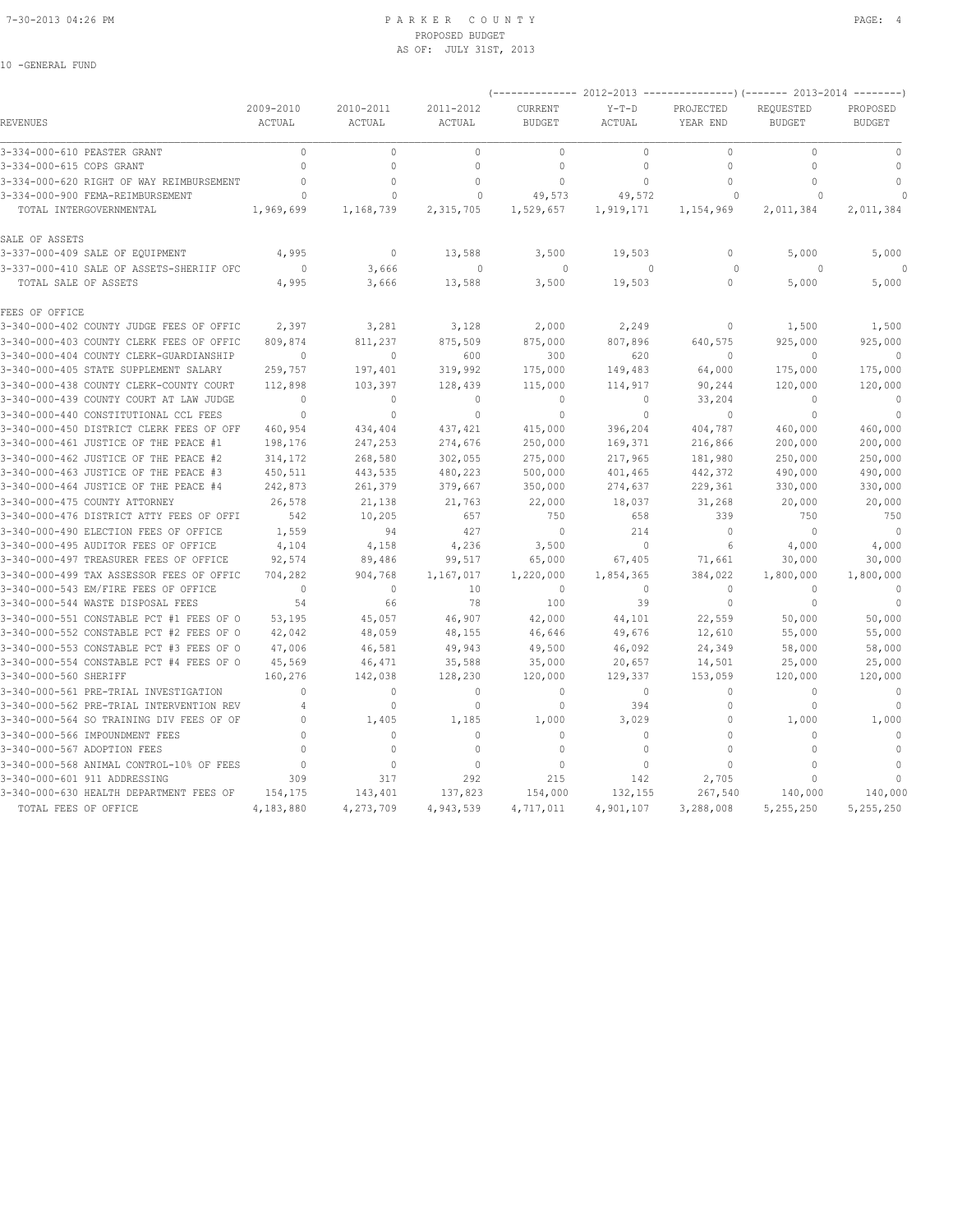## 7-30-2013 04:26 PM P A R K E R C O U N T Y PAGE: 4 PROPOSED BUDGET AS OF: JULY 31ST, 2013

|                                          |                            |                     |                     |                                 |                   |                       | (-------------- 2012-2013 ----------------) (------- 2013-2014 --------) |                           |
|------------------------------------------|----------------------------|---------------------|---------------------|---------------------------------|-------------------|-----------------------|--------------------------------------------------------------------------|---------------------------|
| REVENUES                                 | 2009-2010<br><b>ACTUAL</b> | 2010-2011<br>ACTUAL | 2011-2012<br>ACTUAL | <b>CURRENT</b><br><b>BUDGET</b> | $Y-T-D$<br>ACTUAL | PROJECTED<br>YEAR END | REQUESTED<br><b>BUDGET</b>                                               | PROPOSED<br><b>BUDGET</b> |
| 3-334-000-610 PEASTER GRANT              | $\Omega$                   | $\circ$             | $\mathbf{0}$        | $\mathbf{0}$                    | $\circ$           | $\mathbf 0$           | $\Omega$                                                                 | $\circ$                   |
| 3-334-000-615 COPS GRANT                 | $\mathbf{0}$               | 0                   | $\mathbf{0}$        | $\mathbf{0}$                    | $\circ$           | 0                     | $\circ$                                                                  | $\Omega$                  |
| 3-334-000-620 RIGHT OF WAY REIMBURSEMENT | $\Omega$                   | $\Omega$            | $\mathbf{0}$        | $\mathbf{0}$                    | $\Omega$          | 0                     | 0                                                                        | $\mathbf{0}$              |
| 3-334-000-900 FEMA-REIMBURSEMENT         | $\mathbf{0}$               | $\Omega$            | $\mathbf 0$         | 49,573                          | 49,572            | $\circ$               | $\circ$                                                                  |                           |
| TOTAL INTERGOVERNMENTAL                  | 1,969,699                  | 1,168,739           | 2,315,705           | 1,529,657                       | 1,919,171         | 1,154,969             | 2,011,384                                                                | 2,011,384                 |
| SALE OF ASSETS                           |                            |                     |                     |                                 |                   |                       |                                                                          |                           |
| 3-337-000-409 SALE OF EQUIPMENT          | 4,995                      | $\mathbf{0}$        | 13,588              | 3,500                           | 19,503            | 0                     | 5,000                                                                    | 5,000                     |
| 3-337-000-410 SALE OF ASSETS-SHERIIF OFC | $\Omega$                   | 3,666               | $\mathbf{0}$        | $\Omega$                        | $\Omega$          | $\circ$               | $\Omega$                                                                 |                           |
| TOTAL SALE OF ASSETS                     | 4,995                      | 3,666               | 13,588              | 3,500                           | 19,503            | 0                     | 5,000                                                                    | 5,000                     |
| FEES OF OFFICE                           |                            |                     |                     |                                 |                   |                       |                                                                          |                           |
| 3-340-000-402 COUNTY JUDGE FEES OF OFFIC | 2,397                      | 3,281               | 3,128               | 2,000                           | 2,249             | 0                     | 1,500                                                                    | 1,500                     |
| 3-340-000-403 COUNTY CLERK FEES OF OFFIC | 809,874                    | 811,237             | 875,509             | 875,000                         | 807,896           | 640,575               | 925,000                                                                  | 925,000                   |
| 3-340-000-404 COUNTY CLERK-GUARDIANSHIP  | $\mathbf{0}$               | $\circ$             | 600                 | 300                             | 620               | $\Omega$              | $\mathbf{0}$                                                             | $\circ$                   |
| 3-340-000-405 STATE SUPPLEMENT SALARY    | 259,757                    | 197,401             | 319,992             | 175,000                         | 149,483           | 64,000                | 175,000                                                                  | 175,000                   |
| 3-340-000-438 COUNTY CLERK-COUNTY COURT  | 112,898                    | 103,397             | 128,439             | 115,000                         | 114,917           | 90,244                | 120,000                                                                  | 120,000                   |
| 3-340-000-439 COUNTY COURT AT LAW JUDGE  | $\mathbf{0}$               | $\mathbf{0}$        | $\mathbf{0}$        | $\mathbf{0}$                    | $\circ$           | 33,204                | $\mathbf{0}$                                                             | $\mathbf{0}$              |
| 3-340-000-440 CONSTITUTIONAL CCL FEES    | $\mathbf{0}$               | $\Omega$            | $\mathbf{0}$        | $\Omega$                        | $\Omega$          | $\Omega$              | $\Omega$                                                                 | $\mathbf{0}$              |
| 3-340-000-450 DISTRICT CLERK FEES OF OFF | 460,954                    | 434,404             | 437, 421            | 415,000                         | 396,204           | 404,787               | 460,000                                                                  | 460,000                   |
| 3-340-000-461 JUSTICE OF THE PEACE #1    | 198,176                    | 247,253             | 274,676             | 250,000                         | 169,371           | 216,866               | 200,000                                                                  | 200,000                   |
| 3-340-000-462 JUSTICE OF THE PEACE #2    | 314,172                    | 268,580             | 302,055             | 275,000                         | 217,965           | 181,980               | 250,000                                                                  | 250,000                   |
| 3-340-000-463 JUSTICE OF THE PEACE #3    | 450,511                    | 443,535             | 480,223             | 500,000                         | 401,465           | 442,372               | 490,000                                                                  | 490,000                   |
| 3-340-000-464 JUSTICE OF THE PEACE #4    | 242,873                    | 261,379             | 379,667             | 350,000                         | 274,637           | 229,361               | 330,000                                                                  | 330,000                   |
| 3-340-000-475 COUNTY ATTORNEY            | 26,578                     | 21,138              | 21,763              | 22,000                          | 18,037            | 31,268                | 20,000                                                                   | 20,000                    |
| 3-340-000-476 DISTRICT ATTY FEES OF OFFI | 542                        | 10,205              | 657                 | 750                             | 658               | 339                   | 750                                                                      | 750                       |
| 3-340-000-490 ELECTION FEES OF OFFICE    | 1,559                      | 94                  | 427                 | $\mathbf{0}$                    | 214               | 0                     | $\mathbf{0}$                                                             | $\mathbf{0}$              |
| 3-340-000-495 AUDITOR FEES OF OFFICE     | 4,104                      | 4,158               | 4,236               | 3,500                           | $\Omega$          | 6                     | 4,000                                                                    | 4,000                     |
| 3-340-000-497 TREASURER FEES OF OFFICE   | 92,574                     | 89,486              | 99,517              | 65,000                          | 67,405            | 71,661                | 30,000                                                                   | 30,000                    |
| 3-340-000-499 TAX ASSESSOR FEES OF OFFIC | 704,282                    | 904,768             | 1,167,017           | 1,220,000                       | 1,854,365         | 384,022               | 1,800,000                                                                | 1,800,000                 |
| 3-340-000-543 EM/FIRE FEES OF OFFICE     | $\Omega$                   | $\Omega$            | 10                  | $\Omega$                        | $\Omega$          | $\Omega$              | $\Omega$                                                                 | $\Omega$                  |
| 3-340-000-544 WASTE DISPOSAL FEES        | 54                         | 66                  | 78                  | 100                             | 39                | 0                     | $\circ$                                                                  |                           |
| 3-340-000-551 CONSTABLE PCT #1 FEES OF O | 53,195                     | 45,057              | 46,907              | 42,000                          | 44,101            | 22,559                | 50,000                                                                   | 50,000                    |
| 3-340-000-552 CONSTABLE PCT #2 FEES OF O | 42,042                     | 48,059              | 48,155              | 46,646                          | 49,676            | 12,610                | 55,000                                                                   | 55,000                    |
| 3-340-000-553 CONSTABLE PCT #3 FEES OF O | 47,006                     | 46,581              | 49,943              | 49,500                          | 46,092            | 24,349                | 58,000                                                                   | 58,000                    |
| 3-340-000-554 CONSTABLE PCT #4 FEES OF O | 45,569                     | 46,471              | 35,588              | 35,000                          | 20,657            | 14,501                | 25,000                                                                   | 25,000                    |
| 3-340-000-560 SHERIFF                    | 160,276                    | 142,038             | 128,230             | 120,000                         | 129,337           | 153,059               | 120,000                                                                  | 120,000                   |
| 3-340-000-561 PRE-TRIAL INVESTIGATION    | $\Omega$                   | 0                   | $\mathbf{0}$        | $\Omega$                        | $\circ$           | 0                     | U                                                                        | $\circ$                   |
| 3-340-000-562 PRE-TRIAL INTERVENTION REV | 4                          | $\mathbb O$         | $\mathbb O$         | $\mathbb O$                     | 394               | 0                     | $\Omega$                                                                 | $\Omega$                  |
| 3-340-000-564 SO TRAINING DIV FEES OF OF | $\Omega$                   | 1,405               | 1,185               | 1,000                           | 3,029             | 0                     | 1,000                                                                    | 1,000                     |
| 3-340-000-566 IMPOUNDMENT FEES           | $\Omega$                   | $\circ$             | $\mathbf{0}$        | $\mathbf{0}$                    | $\circ$           | 0                     | $\Omega$                                                                 | $\Omega$                  |
| 3-340-000-567 ADOPTION FEES              | $\cap$                     | $\Omega$            | $\Omega$            | $\Omega$                        | $\Omega$          | $\Omega$              | $\Omega$                                                                 | $\Omega$                  |
| 3-340-000-568 ANIMAL CONTROL-10% OF FEES | $\mathbf{0}$               | $\circ$             | $\circ$             | $\mathbf{0}$                    | $\mathbb O$       | 0                     | $\mathbf{0}$                                                             | $\mathbf{0}$              |
| 3-340-000-601 911 ADDRESSING             | 309                        | 317                 | 292                 | 215                             | 142               | 2,705                 | O                                                                        | $\cap$                    |
| 3-340-000-630 HEALTH DEPARTMENT FEES OF  | 154,175                    | 143,401             | 137,823             | 154,000                         | 132,155           | 267,540               | 140,000                                                                  | 140,000                   |
| TOTAL FEES OF OFFICE                     | 4,183,880                  | 4,273,709           | 4,943,539           | 4,717,011                       | 4,901,107         | 3,288,008             | 5,255,250                                                                | 5,255,250                 |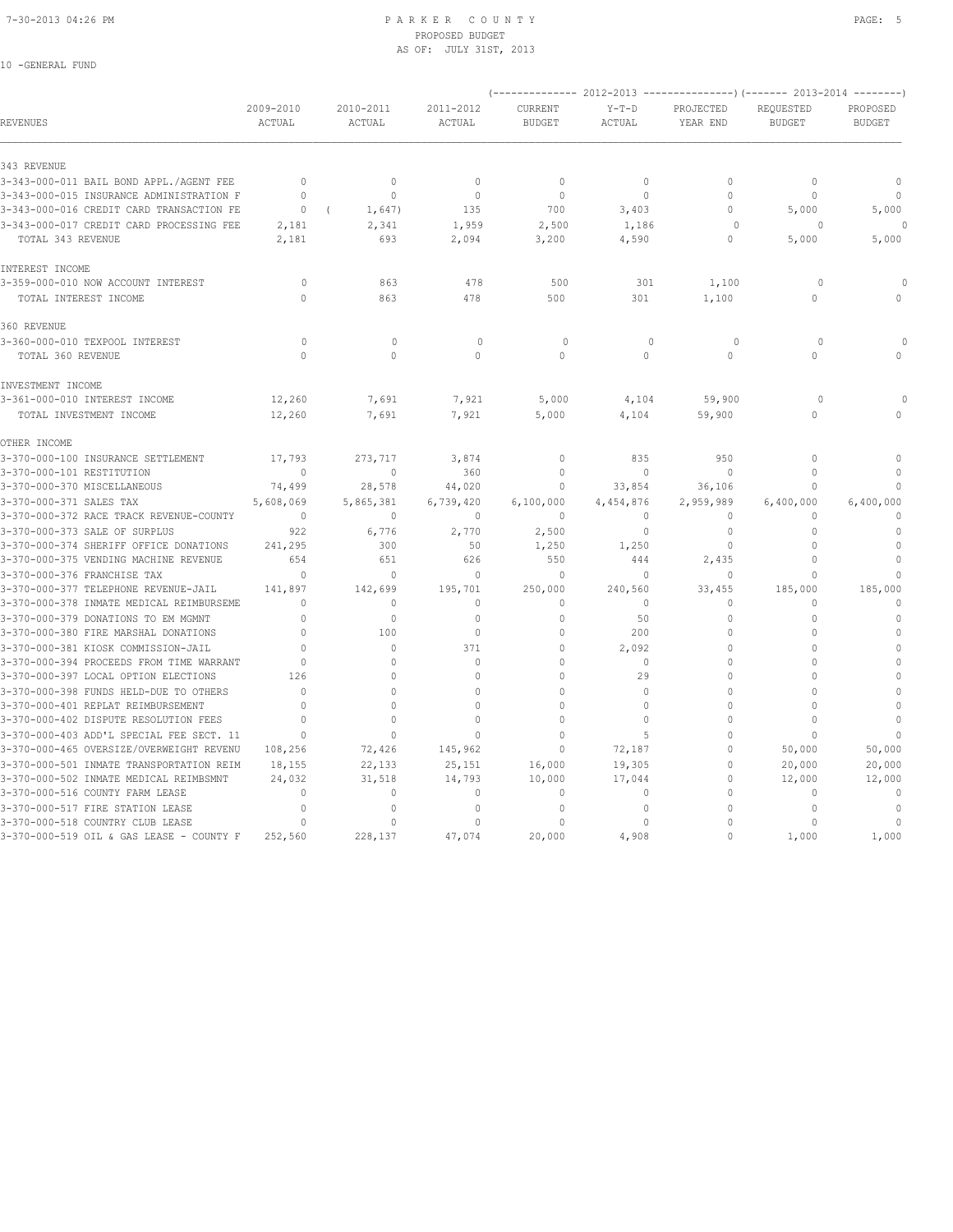## 7-30-2013 04:26 PM P A R K E R C O U N T Y PAGE: 5 PROPOSED BUDGET AS OF: JULY 31ST, 2013

|                                                                     |                     |                         |                     | $(---------- 2012-2013$ ----------------) (------- 2013-2014 --------) |                    |                       |                            |                              |
|---------------------------------------------------------------------|---------------------|-------------------------|---------------------|------------------------------------------------------------------------|--------------------|-----------------------|----------------------------|------------------------------|
| <b>REVENUES</b>                                                     | 2009-2010<br>ACTUAL | 2010-2011<br>ACTUAL     | 2011-2012<br>ACTUAL | CURRENT<br><b>BUDGET</b>                                               | $Y-T-D$<br>ACTUAL  | PROJECTED<br>YEAR END | REQUESTED<br><b>BUDGET</b> | PROPOSED<br><b>BUDGET</b>    |
| 343 REVENUE                                                         |                     |                         |                     |                                                                        |                    |                       |                            |                              |
| 3-343-000-011 BAIL BOND APPL./AGENT FEE                             | $\Omega$            | $\mathbf{0}$            | $\mathbf{0}$        | $\mathbf{0}$                                                           | $\Omega$           | $\Omega$              | $\mathbf{0}$               | $\mathbf 0$                  |
| 3-343-000-015 INSURANCE ADMINISTRATION F                            | $\Omega$            | $\mathbf{0}$            | $\circ$             | $\mathbf{0}$                                                           | $\mathbf{0}$       | $\Omega$              | $\mathbf 0$                | $\mathbf{0}$                 |
| 3-343-000-016 CREDIT CARD TRANSACTION FE                            | $\Omega$            | 1,647)                  | 135                 | 700                                                                    | 3,403              | 0                     | 5,000                      | 5,000                        |
| 3-343-000-017 CREDIT CARD PROCESSING FEE                            | 2,181               | 2,341                   | 1,959               | 2,500                                                                  | 1,186              | $\Omega$              | $\Omega$                   |                              |
| TOTAL 343 REVENUE                                                   | 2,181               | 693                     | 2,094               | 3,200                                                                  | 4,590              | 0                     | 5,000                      | 5,000                        |
| INTEREST INCOME                                                     |                     |                         |                     |                                                                        |                    |                       |                            |                              |
| 3-359-000-010 NOW ACCOUNT INTEREST                                  | 0                   | 863                     | 478                 | 500                                                                    | 301                | 1,100                 | $\circ$                    | $\Omega$                     |
| TOTAL INTEREST INCOME                                               | $\cap$              | 863                     | 478                 | 500                                                                    | 301                | 1,100                 | $\Omega$                   | $\Omega$                     |
| 360 REVENUE                                                         |                     |                         |                     |                                                                        |                    |                       |                            |                              |
| 3-360-000-010 TEXPOOL INTEREST                                      | $\circ$             | $\mathbf{0}$            | $\mathbf{0}$        | $\circ$                                                                | $\mathbf{0}$       | $\circ$               | $\circ$                    |                              |
| TOTAL 360 REVENUE                                                   | $\Omega$            | $\Omega$                | $\Omega$            | $\Omega$                                                               | $\Omega$           | $\Omega$              | $\Omega$                   |                              |
| INVESTMENT INCOME                                                   |                     |                         |                     |                                                                        |                    |                       |                            |                              |
| 3-361-000-010 INTEREST INCOME                                       | 12,260              | 7,691                   | 7,921               | 5,000                                                                  | 4,104              | 59,900                | $\circ$                    |                              |
| TOTAL INVESTMENT INCOME                                             | 12,260              | 7,691                   | 7,921               | 5,000                                                                  | 4,104              | 59,900                | 0                          | $\mathbf{0}$                 |
| OTHER INCOME                                                        |                     |                         |                     |                                                                        |                    |                       |                            |                              |
| 3-370-000-100 INSURANCE SETTLEMENT                                  | 17.793              | 273,717                 | 3,874               | $\mathbf{0}$                                                           | 835                | 950                   | $\Omega$                   | $\mathbf{0}$                 |
| 3-370-000-101 RESTITUTION                                           | $\mathbf{0}$        | $\mathbb O$             | 360                 | $\theta$                                                               | $\circ$            | $\Omega$              | $\mathbb O$                | $\mathbf{0}$                 |
| 3-370-000-370 MISCELLANEOUS                                         | 74,499              | 28,578                  | 44,020              | $\mathbf{0}$                                                           | 33,854             | 36,106                | 0                          | $\cap$                       |
| 3-370-000-371 SALES TAX                                             | 5,608,069           | 5,865,381               | 6,739,420           | 6,100,000                                                              | 4,454,876          | 2,959,989             | 6,400,000                  | 6,400,000                    |
| 3-370-000-372 RACE TRACK REVENUE-COUNTY                             | $\Omega$            | $\mathbf{0}$            | $\mathbf{0}$        | $\Omega$                                                               | $\Omega$           | $\circ$               | $\Omega$                   | $\Omega$                     |
| 3-370-000-373 SALE OF SURPLUS                                       | 922                 | 6,776                   | 2,770               | 2,500                                                                  | $\circ$            | $\Omega$              | 0                          | $\mathbf{0}$                 |
| 3-370-000-374 SHERIFF OFFICE DONATIONS                              | 241,295             | 300                     | 50                  | 1,250                                                                  | 1,250              | $\Omega$              | 0                          | $\mathbf{0}$<br>$\mathbf{0}$ |
| 3-370-000-375 VENDING MACHINE REVENUE                               | 654<br>$\Omega$     | 651                     | 626                 | 550                                                                    | 444                | 2,435<br>$\Omega$     | $\mathbf{0}$               |                              |
| 3-370-000-376 FRANCHISE TAX<br>3-370-000-377 TELEPHONE REVENUE-JAIL | 141,897             | $\mathbf{0}$<br>142,699 | $\circ$<br>195,701  | $\mathbf 0$<br>250,000                                                 | $\circ$<br>240,560 | 33,455                | $\mathbf{0}$<br>185,000    | $\mathbf{0}$<br>185,000      |
| 3-370-000-378 INMATE MEDICAL REIMBURSEME                            | $\bigcap$           | 0                       | $\mathbf{0}$        | $\mathbf{0}$                                                           | 0                  | $\Omega$              | $\Omega$                   | $\mathbf{0}$                 |
| 3-370-000-379 DONATIONS TO EM MGMNT                                 | $\Omega$            | $\Omega$                | $\mathbf{0}$        | $\mathbf{0}$                                                           | 50                 | $\Omega$              | $\mathbf{0}$               | $\mathbf{0}$                 |
| 3-370-000-380 FIRE MARSHAL DONATIONS                                | $\Omega$            | 100                     | $\circ$             | $\Omega$                                                               | 200                | $\Omega$              | $\Omega$                   | $\mathbb O$                  |
| 3-370-000-381 KIOSK COMMISSION-JAIL                                 |                     | $\Omega$                | 371                 | $\Omega$                                                               | 2,092              | $\Omega$              | $\Omega$                   | $\mathbf 0$                  |
| 3-370-000-394 PROCEEDS FROM TIME WARRANT                            | $\Omega$            | $\Omega$                | $\mathbf{0}$        | $\Omega$                                                               | $\circ$            | $\Omega$              | $\Omega$                   | $\mathbf 0$                  |
| 3-370-000-397 LOCAL OPTION ELECTIONS                                | 126                 | $\Omega$                | $\Omega$            | $\Omega$                                                               | 29                 | $\Omega$              | $\Omega$                   | $\mathbf{0}$                 |
| 3-370-000-398 FUNDS HELD-DUE TO OTHERS                              | $\bigcap$           | $\Omega$                | $\Omega$            | $\Omega$                                                               | $\circ$            | $\Omega$              | $\Omega$                   | $\mathbf{0}$                 |
| 3-370-000-401 REPLAT REIMBURSEMENT                                  | $\Omega$            | $\Omega$                | $\Omega$            | $\Omega$                                                               | $\Omega$           | $\Omega$              | $\Omega$                   | $\mathbf{0}$                 |
| 3-370-000-402 DISPUTE RESOLUTION FEES                               |                     | $\Omega$                | $\Omega$            | $\Omega$                                                               | $\Omega$           | $\Omega$              | $\Omega$                   | $\mathbf{0}$                 |
| 3-370-000-403 ADD'L SPECIAL FEE SECT. 11                            | $\Omega$            | $\Omega$                | $\Omega$            | $\Omega$                                                               | 5                  | $\Omega$              | $\Omega$                   |                              |
| 3-370-000-465 OVERSIZE/OVERWEIGHT REVENU                            | 108,256             | 72,426                  | 145,962             | $\Omega$                                                               | 72,187             | 0                     | 50,000                     | 50,000                       |
| 3-370-000-501 INMATE TRANSPORTATION REIM                            | 18,155              | 22,133                  | 25,151              | 16,000                                                                 | 19,305             | $\Omega$              | 20,000                     | 20,000                       |
| 3-370-000-502 INMATE MEDICAL REIMBSMNT                              | 24,032              | 31,518                  | 14,793              | 10,000                                                                 | 17,044             | $\Omega$              | 12,000                     | 12,000                       |
| 3-370-000-516 COUNTY FARM LEASE                                     | $\Omega$            | 0                       | $\circ$             | $\mathbf 0$                                                            | $\circ$            | $\Omega$              | 0                          | $\mathbf 0$                  |
| 3-370-000-517 FIRE STATION LEASE                                    | $\mathbf{0}$        | $\Omega$                | 0                   | $\Omega$                                                               | $\circ$            | $\Omega$              | $\mathbf{0}$               | $\mathbf{0}$                 |
| 3-370-000-518 COUNTRY CLUB LEASE                                    | $\bigcap$           | $\Omega$                | $\Omega$            |                                                                        | 0                  | $\Omega$              | $\Omega$                   | $\mathbf{0}$                 |
| 3-370-000-519 OIL & GAS LEASE - COUNTY F                            | 252,560             | 228,137                 | 47,074              | 20,000                                                                 | 4,908              | $\Omega$              | 1,000                      | 1,000                        |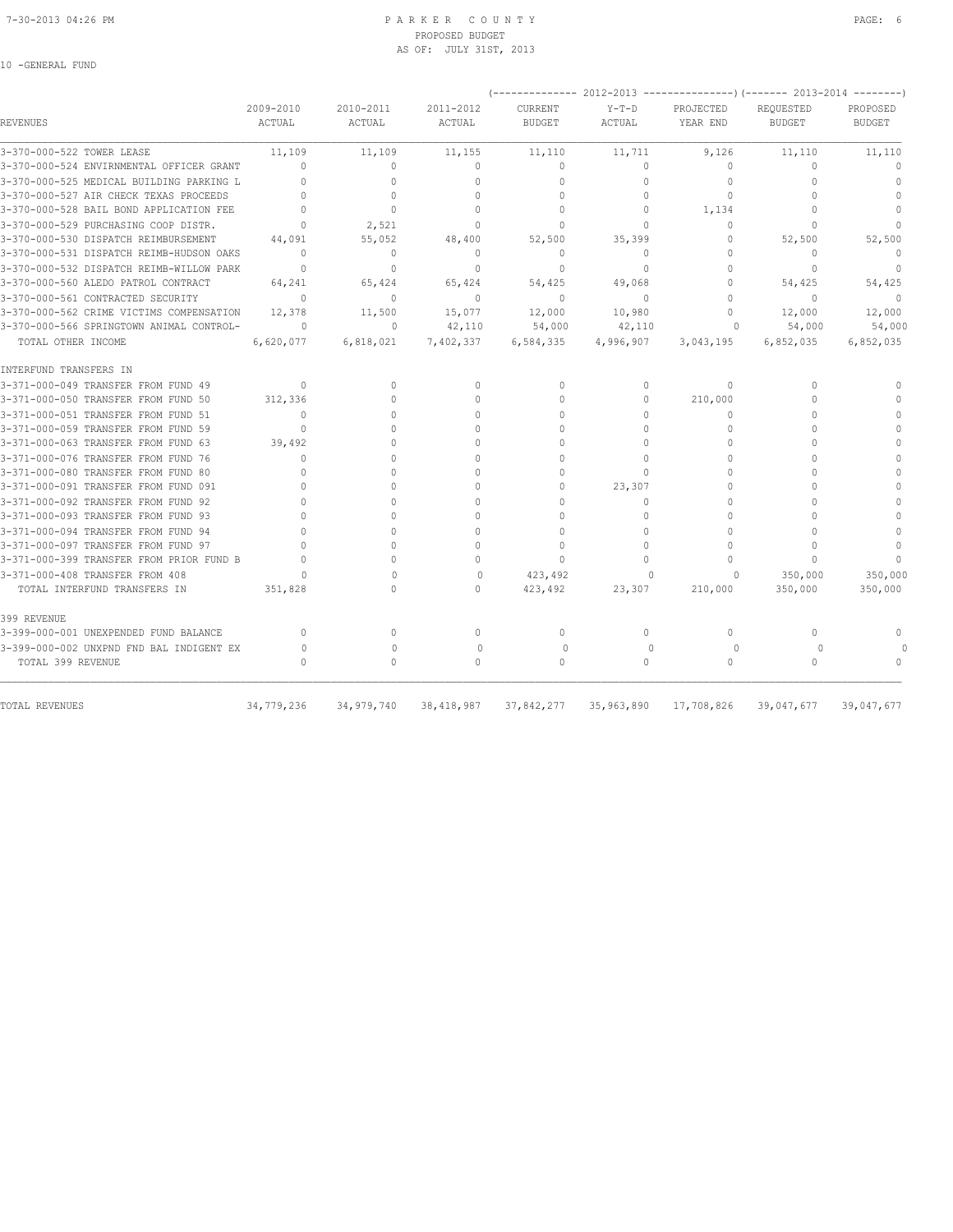## 7-30-2013 04:26 PM P A R K E R C O U N T Y PAGE: 6 PROPOSED BUDGET AS OF: JULY 31ST, 2013

| REVENUES                                                      | 2009-2010<br>ACTUAL                          | 2010-2011                        | 2011-2012                        | CURRENT                          | $Y-T-D$             | PROJECTED           | REQUESTED               | PROPOSED                         |
|---------------------------------------------------------------|----------------------------------------------|----------------------------------|----------------------------------|----------------------------------|---------------------|---------------------|-------------------------|----------------------------------|
|                                                               |                                              | ACTUAL                           | ACTUAL                           | <b>BUDGET</b>                    | ACTUAL              | YEAR END            | <b>BUDGET</b>           | <b>BUDGET</b>                    |
| 3-370-000-522 TOWER LEASE                                     | 11,109                                       | 11,109                           | 11,155                           | 11,110                           | 11,711              | 9,126               | 11,110                  | 11,110                           |
| 3-370-000-524 ENVIRNMENTAL OFFICER GRANT                      | $\begin{array}{c} \n\end{array}$             | $\begin{array}{c} \n\end{array}$ | $\Omega$                         | $\Omega$                         | $\circ$             | $\Omega$            | $\Omega$                | $\Omega$                         |
| 3-370-000-525 MEDICAL BUILDING PARKING L                      |                                              | $\Omega$                         | $\Omega$                         | $\mathbf{0}$                     | $\Omega$            | $\Omega$            | $\cap$                  | $\begin{array}{c} \n\end{array}$ |
| 3-370-000-527 AIR CHECK TEXAS PROCEEDS                        | $\Omega$                                     | $\Omega$                         | $\Omega$                         | $\mathbf{0}$                     | $\circ$             | 0                   | $\cap$                  | $\mathbf{0}$                     |
| 3-370-000-528 BAIL BOND APPLICATION FEE                       | $\Omega$                                     | $\mathbf{0}$                     | $\Omega$                         | $\mathbf{0}$                     | $\Omega$            | 1,134               | $\Omega$                | $\Omega$                         |
| 3-370-000-529 PURCHASING COOP DISTR.                          | $\mathbf{0}$                                 | 2,521                            | $\Omega$                         | $\mathbf{0}$                     | $\Omega$            | $\Omega$            | $\cap$                  | $\begin{array}{c} \n\end{array}$ |
| 3-370-000-530 DISPATCH REIMBURSEMENT                          | 44,091                                       | 55,052                           | 48,400                           | 52,500                           | 35,399              | 0                   | 52,500                  | 52,500                           |
| 3-370-000-531 DISPATCH REIMB-HUDSON OAKS                      | $\Omega$                                     | $\mathbf{0}$                     | $\mathbf{0}$                     | $\mathbf{0}$                     | $\circ$             | $\Omega$            | $\mathbf{0}$            | $\mathbf{0}$                     |
| 3-370-000-532 DISPATCH REIMB-WILLOW PARK                      | $\mathbf{0}$                                 | $\mathbf{0}$                     | $\mathbf{0}$                     | $\mathbf{0}$                     | $\circ$             | $\Omega$            | $\mathbf{0}$            | $\mathbf{0}$                     |
| 3-370-000-560 ALEDO PATROL CONTRACT                           | 64,241                                       | 65,424                           | 65,424                           | 54,425                           | 49,068              | $\Omega$            | 54,425                  | 54,425                           |
| 3-370-000-561 CONTRACTED SECURITY                             | $\Omega$                                     | $\Omega$                         | $\Omega$                         | $\Omega$                         | $\Omega$            | $\Omega$            | $\Omega$                | $\Omega$                         |
| 3-370-000-562 CRIME VICTIMS COMPENSATION                      | 12,378                                       | 11,500                           | 15,077                           | 12,000                           | 10,980              | $\Omega$            | 12,000                  | 12,000                           |
| 3-370-000-566 SPRINGTOWN ANIMAL CONTROL-                      | $\circ$                                      | $\mathbf{0}$                     | 42,110                           | 54,000                           | 42,110              | 0                   | 54,000                  | 54,000                           |
| TOTAL OTHER INCOME                                            | 6,620,077                                    | 6,818,021                        | 7,402,337                        | 6,584,335                        | 4,996,907           | 3,043,195           | 6,852,035               | 6,852,035                        |
| INTERFUND TRANSFERS IN                                        |                                              |                                  |                                  |                                  |                     |                     |                         |                                  |
| 3-371-000-049 TRANSFER FROM FUND 49                           | $\Omega$                                     | $\mathbf{0}$                     | $\begin{array}{c} \n\end{array}$ | $\Omega$                         | $\circ$             | $\Omega$            | $\Omega$                | $\Omega$                         |
| 3-371-000-050 TRANSFER FROM FUND 50                           | 312,336                                      | $\Omega$                         | $\mathbf{0}$                     | $\mathbf{0}$                     | $\circ$             | 210,000             | $\Omega$                |                                  |
| 3-371-000-051 TRANSFER FROM FUND 51                           | $\Omega$                                     | $\cap$                           | $\Omega$                         | $\Omega$                         | $\Omega$            | $\Omega$            | $\Omega$                | $\Omega$                         |
| 3-371-000-059 TRANSFER FROM FUND 59                           |                                              |                                  | $\cap$                           | $\Omega$                         | $\Omega$            | $\Omega$            |                         |                                  |
| 3-371-000-063 TRANSFER FROM FUND 63                           | 39,492                                       | $\Omega$                         | $\Omega$                         | $\Omega$                         | $\Omega$            | $\Omega$            | $\Omega$                | $\Omega$                         |
| 3-371-000-076 TRANSFER FROM FUND 76                           | $\Omega$                                     |                                  | $\Omega$                         | $\Omega$                         | $\Omega$            | $\Omega$            | $\cap$                  |                                  |
| 3-371-000-080 TRANSFER FROM FUND 80                           | $\cap$                                       | $\cap$                           | $\Omega$                         | $\Omega$                         | $\Omega$            | $\Omega$            | $\cap$                  | $\mathbf 0$                      |
| 3-371-000-091 TRANSFER FROM FUND 091                          |                                              | $\cap$                           | $\Omega$                         | $\Omega$                         | 23,307              | $\Omega$            | $\cap$                  | $\cap$                           |
| 3-371-000-092 TRANSFER FROM FUND 92                           | $\Omega$                                     | 0                                | $\Omega$                         | $\Omega$                         | $\Omega$            | $\Omega$            | $\cap$                  | $\Omega$                         |
| 3-371-000-093 TRANSFER FROM FUND 93                           | $\cap$                                       | $\Omega$                         | $\Omega$                         | 0                                | $\Omega$            | $\Omega$            | $\cap$                  | $\mathbf 0$                      |
| 3-371-000-094 TRANSFER FROM FUND 94                           |                                              | $\Omega$                         | $\Omega$                         | $\mathbf{0}$                     | $\Omega$            | $\Omega$            | $\cap$                  | $\mathbf{0}$                     |
| 3-371-000-097 TRANSFER FROM FUND 97                           |                                              | $\Omega$                         | $\Omega$                         | $\mathbf{0}$                     | $\Omega$            | $\Omega$            | $\cap$                  | $\Omega$                         |
| 3-371-000-399 TRANSFER FROM PRIOR FUND B                      |                                              | $\Omega$                         | $\Omega$                         | $\begin{array}{c} \n\end{array}$ | $\Omega$            | $\bigcap$           | $\Omega$                |                                  |
| 3-371-000-408 TRANSFER FROM 408                               | $\Omega$                                     | $\cap$                           | $\Omega$                         | 423,492                          | $\Omega$            | 0                   | 350,000                 | 350,000                          |
| TOTAL INTERFUND TRANSFERS IN                                  | 351,828                                      |                                  | $\Omega$                         | 423,492                          | 23,307              | 210,000             | 350,000                 | 350,000                          |
| 399 REVENUE                                                   |                                              |                                  |                                  |                                  |                     |                     |                         |                                  |
| 3-399-000-001 UNEXPENDED FUND BALANCE                         | $\begin{array}{c} \n\end{array}$             | $\Omega$                         | $\Omega$                         | $\Omega$                         | $\Omega$            | $\Omega$            | $\Omega$                | $\Omega$                         |
| 3-399-000-002 UNXPND FND BAL INDIGENT EX<br>TOTAL 399 REVENUE | $\Omega$<br>$\begin{array}{c} \n\end{array}$ | $\Omega$<br>0                    | $\Omega$<br>$\Omega$             | $\circ$<br>$\mathbf{0}$          | $\Omega$<br>$\circ$ | $\Omega$<br>$\circ$ | $\Omega$<br>$\mathbf 0$ | $\Omega$                         |
| TOTAL REVENUES                                                | 34,779,236                                   | 34,979,740                       | 38, 418, 987                     | 37,842,277                       | 35,963,890          | 17,708,826          | 39,047,677              | 39,047,677                       |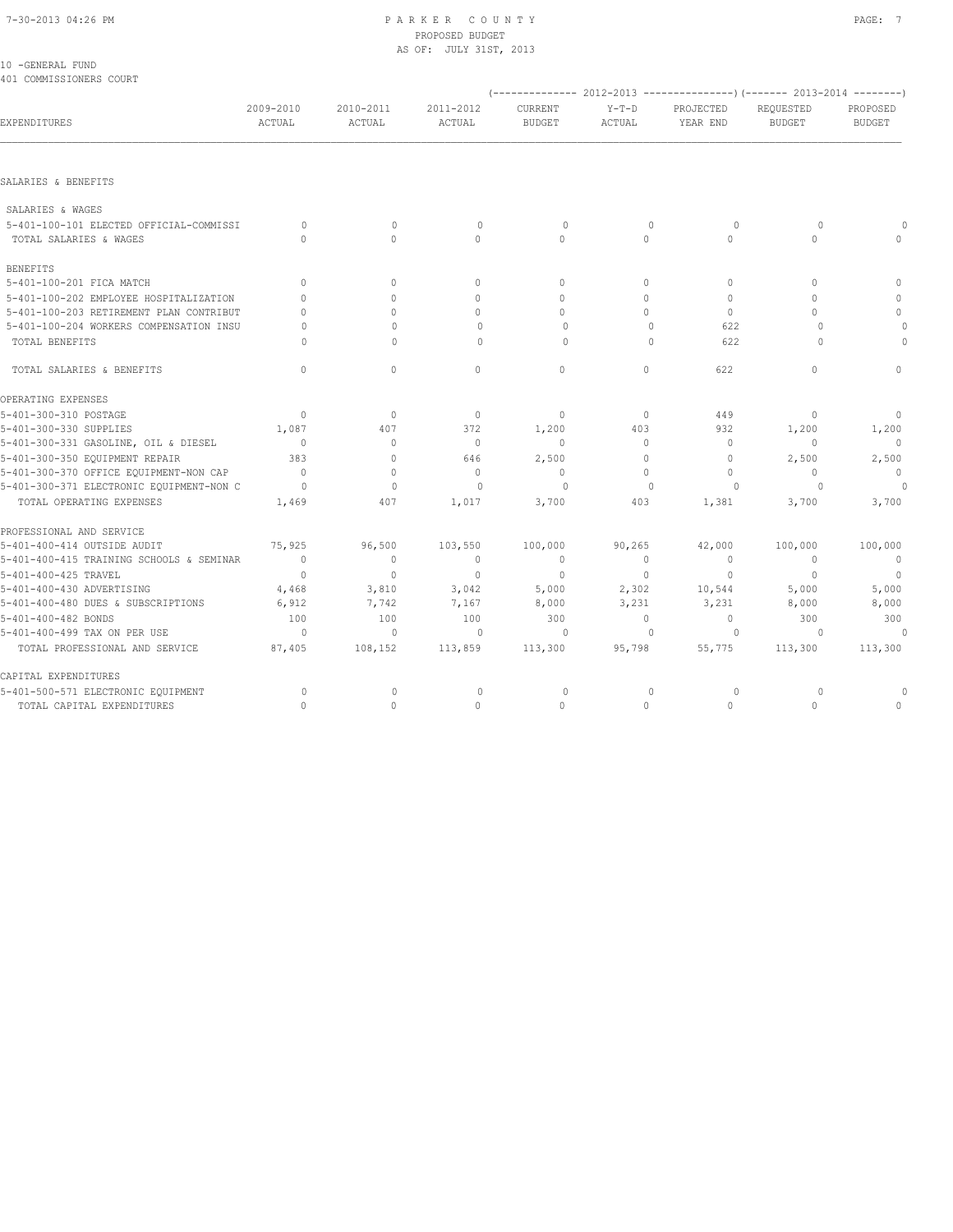## 7-30-2013 04:26 PM P A R K E R C O U N T Y PAGE: 7 PROPOSED BUDGET AS OF: JULY 31ST, 2013

| 10 - GENERAL FUND       |  |
|-------------------------|--|
| 401 COMMISSIONERS COURT |  |

|                                          |                                  |                     |                     |                          |                   |                       | (-------------- 2012-2013 ---------------)(------- 2013-2014 --------) |                           |
|------------------------------------------|----------------------------------|---------------------|---------------------|--------------------------|-------------------|-----------------------|------------------------------------------------------------------------|---------------------------|
| EXPENDITURES                             | 2009-2010<br>ACTUAL              | 2010-2011<br>ACTUAL | 2011-2012<br>ACTUAL | CURRENT<br><b>BUDGET</b> | $Y-T-D$<br>ACTUAL | PROJECTED<br>YEAR END | REQUESTED<br><b>BUDGET</b>                                             | PROPOSED<br><b>BUDGET</b> |
|                                          |                                  |                     |                     |                          |                   |                       |                                                                        |                           |
| SALARIES & BENEFITS                      |                                  |                     |                     |                          |                   |                       |                                                                        |                           |
| SALARIES & WAGES                         |                                  |                     |                     |                          |                   |                       |                                                                        |                           |
| 5-401-100-101 ELECTED OFFICIAL-COMMISSI  | $\circ$                          | $\circ$             | $\mathbb O$         | $\circ$                  | $\mathbf{0}$      | $\circ$               | $\circ$                                                                |                           |
| TOTAL SALARIES & WAGES                   | $\bigcap$                        | $\bigcap$           | $\bigcap$           | $\cap$                   | $\cap$            | $\Omega$              | $\cap$                                                                 | $\bigcap$                 |
| <b>BENEFITS</b>                          |                                  |                     |                     |                          |                   |                       |                                                                        |                           |
| 5-401-100-201 FICA MATCH                 | $\begin{array}{c} \n\end{array}$ | $\circ$             | $\mathbf{0}$        | $\circ$                  | $\Omega$          | $\mathbf{0}$          | $\begin{array}{c} \n\end{array}$                                       | $\mathbf{0}$              |
| 5-401-100-202 EMPLOYEE HOSPITALIZATION   | $\bigcap$                        | $\Omega$            | $\Omega$            | $\Omega$                 | $\Omega$          | $\mathbf{0}$          | $\cap$                                                                 | $\Omega$                  |
| 5-401-100-203 RETIREMENT PLAN CONTRIBUT  | $\Omega$                         | $\Omega$            | $\mathbf{0}$        | $\circ$                  | $\Omega$          | $\circ$               | $\Omega$                                                               | $\mathbf{0}$              |
| 5-401-100-204 WORKERS COMPENSATION INSU  | $\Omega$                         | $\Omega$            | $\Omega$            | $\circ$                  | $\mathbf{0}$      | 622                   | $\Omega$                                                               | $\circ$                   |
| TOTAL BENEFITS                           | $\cap$                           | $\Omega$            | $\Omega$            | $\Omega$                 | $\Omega$          | 622                   | $\cap$                                                                 | $\circ$                   |
| TOTAL SALARIES & BENEFITS                | $\mathbf{0}$                     | $\circ$             | $\circ$             | $\mathbf{0}$             | $\circ$           | 622                   | $\mathbf{0}$                                                           | $\mathbf 0$               |
| OPERATING EXPENSES                       |                                  |                     |                     |                          |                   |                       |                                                                        |                           |
| 5-401-300-310 POSTAGE                    | $\Omega$                         | $\circ$             | $\mathbf{0}$        | $\mathbf{0}$             | $\circ$           | 449                   | 0                                                                      | $\circ$                   |
| 5-401-300-330 SUPPLIES                   | 1,087                            | 407                 | 372                 | 1,200                    | 403               | 932                   | 1,200                                                                  | 1,200                     |
| 5-401-300-331 GASOLINE, OIL & DIESEL     | $\overline{0}$                   | $\circ$             | $\circ$             | $\circ$                  | $\circ$           | $\mathbf{0}$          | $\mathbf{0}$                                                           | $\overline{0}$            |
| 5-401-300-350 EQUIPMENT REPAIR           | 383                              | $\mathbf{0}$        | 646                 | 2,500                    | 0                 | $\circ$               | 2,500                                                                  | 2,500                     |
| 5-401-300-370 OFFICE EQUIPMENT-NON CAP   | $\overline{0}$                   | $\mathbf{0}$        | $\mathbf{0}$        | $\mathbf{0}$             | $\Omega$          | $\mathbf{0}$          | $\circ$                                                                | $\Omega$                  |
| 5-401-300-371 ELECTRONIC EQUIPMENT-NON C | $\overline{0}$                   | $\mathbf{0}$        | $\circ$             | 0                        | $\mathbf{0}$      | $\circ$               | $\circ$                                                                | 0                         |
| TOTAL OPERATING EXPENSES                 | 1,469                            | 407                 | 1,017               | 3,700                    | 403               | 1,381                 | 3,700                                                                  | 3,700                     |
| PROFESSIONAL AND SERVICE                 |                                  |                     |                     |                          |                   |                       |                                                                        |                           |
| 5-401-400-414 OUTSIDE AUDIT              | 75,925                           | 96,500              | 103,550             | 100,000                  | 90, 265           | 42,000                | 100,000                                                                | 100,000                   |
| 5-401-400-415 TRAINING SCHOOLS & SEMINAR | $\overline{0}$                   | $\circ$             | $\mathbf{0}$        | $\mathbf{0}$             | $\circ$           | $\mathbf{0}$          | $\overline{0}$                                                         | $\overline{0}$            |
| 5-401-400-425 TRAVEL                     | $\overline{0}$                   | $\mathbf{0}$        | $\mathbf{0}$        | $\mathbf{0}$             | $\circ$           | $\mathbf{0}$          | $\overline{0}$                                                         | $\overline{0}$            |
| 5-401-400-430 ADVERTISING                | 4,468                            | 3,810               | 3,042               | 5,000                    | 2,302             | 10,544                | 5,000                                                                  | 5,000                     |
| 5-401-400-480 DUES & SUBSCRIPTIONS       | 6,912                            | 7,742               | 7,167               | 8,000                    | 3,231             | 3,231                 | 8,000                                                                  | 8,000                     |
| 5-401-400-482 BONDS                      | 100                              | 100                 | 100                 | 300                      | $\circ$           | $\mathbb O$           | 300                                                                    | 300                       |
| 5-401-400-499 TAX ON PER USE             | $\overline{0}$                   | $\circ$             | $\mathbf{0}$        | $\circ$                  | $\mathbf{0}$      | $\circ$               | $\circ$                                                                | $\overline{0}$            |
| TOTAL PROFESSIONAL AND SERVICE           | 87,405                           | 108,152             | 113,859             | 113,300                  | 95,798            | 55,775                | 113,300                                                                | 113,300                   |
| CAPITAL EXPENDITURES                     |                                  |                     |                     |                          |                   |                       |                                                                        |                           |
| 5-401-500-571 ELECTRONIC EQUIPMENT       | $\circ$                          | 0                   | 0                   | 0                        | 0                 | 0                     | 0                                                                      | 0                         |
| TOTAL CAPITAL EXPENDITURES               | $\Omega$                         | $\mathbf{0}$        | $\Omega$            | $\Omega$                 | $\Omega$          | $\Omega$              | $\Omega$                                                               | $\mathbf{0}$              |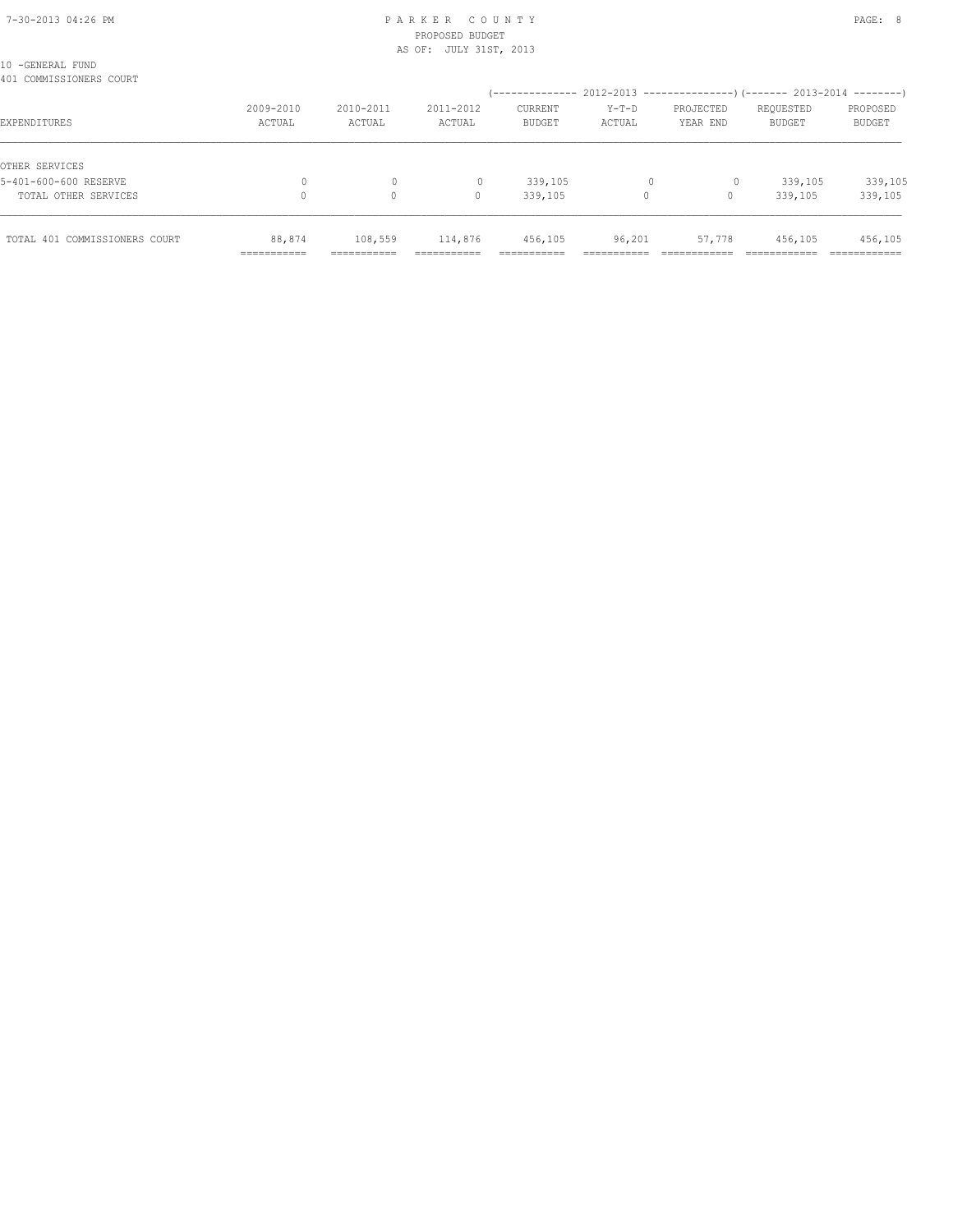## 7-30-2013 04:26 PM P A R K E R C O U N T Y PAGE: 8 PROPOSED BUDGET AS OF: JULY 31ST, 2013

| TOTAL 401 COMMISSIONERS COURT               |                     |                     | 114,876             | 456,105                                                               | 96,201          | 57,778                | 456,105                    | 456,105                   |
|---------------------------------------------|---------------------|---------------------|---------------------|-----------------------------------------------------------------------|-----------------|-----------------------|----------------------------|---------------------------|
| TOTAL OTHER SERVICES                        |                     | $\circ$             | 0                   | 339,105                                                               | 0               | 0                     | 339,105                    | 339,105                   |
| OTHER SERVICES<br>5-401-600-600 RESERVE     |                     | 0                   |                     | 339,105                                                               |                 | 0                     | 339,105                    | 339,105                   |
| EXPENDITURES                                | 2009-2010<br>ACTUAL | 2010-2011<br>ACTUAL | 2011-2012<br>ACTUAL | CURRENT<br><b>BUDGET</b>                                              | Y-T-D<br>ACTUAL | PROJECTED<br>YEAR END | REQUESTED<br><b>BUDGET</b> | PROPOSED<br><b>BUDGET</b> |
| 10 -GENERAL FUND<br>401 COMMISSIONERS COURT |                     |                     |                     | (-------------- 2012-2013 --------------------- 2013-2014 --------- ) |                 |                       |                            |                           |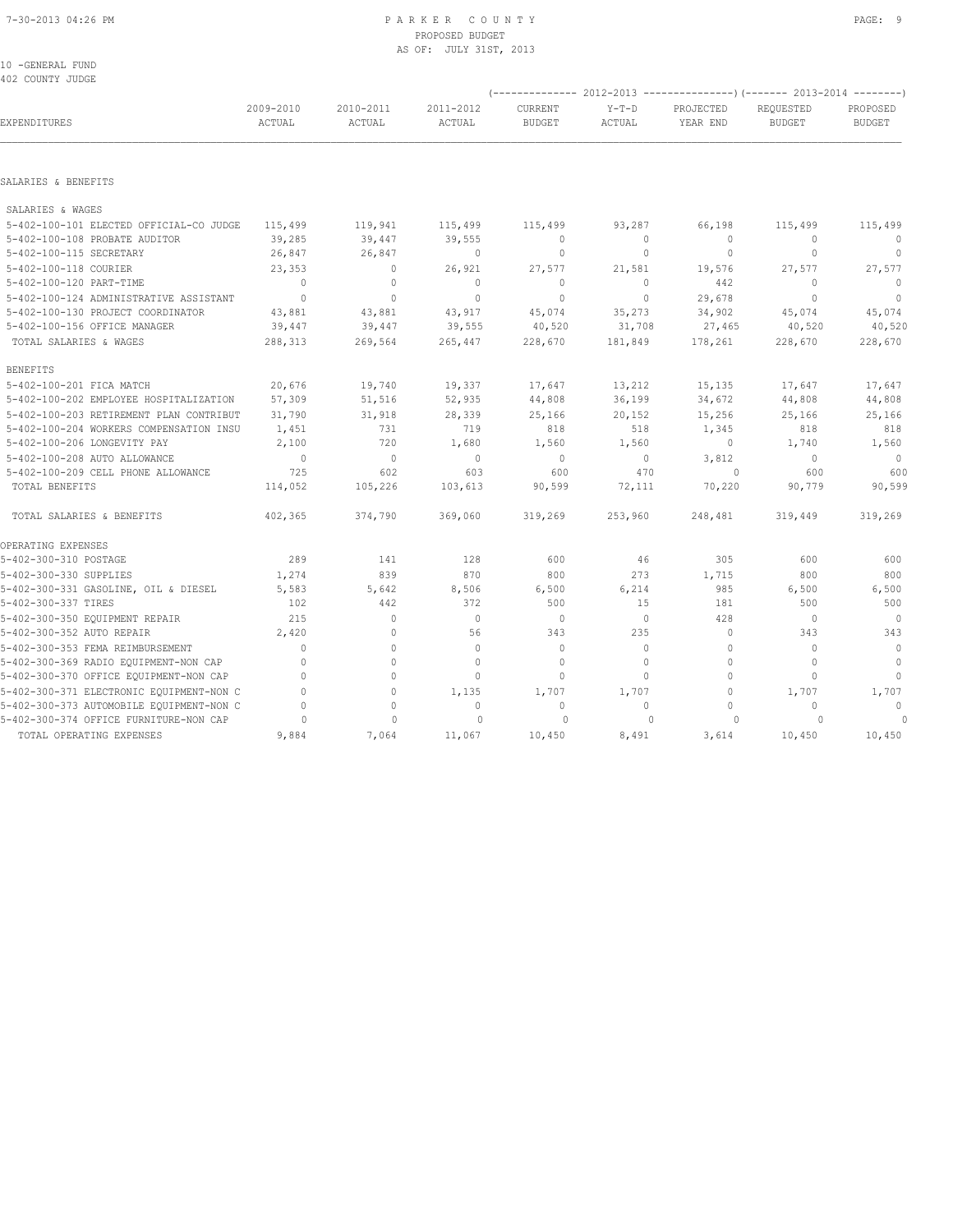## PROPOSED BUDGET AS OF: JULY 31ST, 2013

| 10 -GENERAL FUND |  |
|------------------|--|
| 402 COUNTY JUDGE |  |

|                                          |                     |                     |                     |                          |                   | (-------------- 2012-2013 ----------------) (------- 2013-2014 --------) |                            |                           |
|------------------------------------------|---------------------|---------------------|---------------------|--------------------------|-------------------|--------------------------------------------------------------------------|----------------------------|---------------------------|
| EXPENDITURES                             | 2009-2010<br>ACTUAL | 2010-2011<br>ACTUAL | 2011-2012<br>ACTUAL | CURRENT<br><b>BUDGET</b> | $Y-T-D$<br>ACTUAL | PROJECTED<br>YEAR END                                                    | REOUESTED<br><b>BUDGET</b> | PROPOSED<br><b>BUDGET</b> |
|                                          |                     |                     |                     |                          |                   |                                                                          |                            |                           |
| SALARIES & BENEFITS                      |                     |                     |                     |                          |                   |                                                                          |                            |                           |
| SALARIES & WAGES                         |                     |                     |                     |                          |                   |                                                                          |                            |                           |
| 5-402-100-101 ELECTED OFFICIAL-CO JUDGE  | 115,499             | 119,941             | 115,499             | 115,499                  | 93,287            | 66,198                                                                   | 115,499                    | 115,499                   |
| 5-402-100-108 PROBATE AUDITOR            | 39,285              | 39,447              | 39,555              | $\circ$                  | $\circ$           | $\bigcap$                                                                | $\mathbf{0}$               | $\circ$                   |
| 5-402-100-115 SECRETARY                  | 26,847              | 26,847              | $\circ$             | $\mathbf{0}$             | $\circ$           | $\mathbf{0}$                                                             | $\mathbf{0}$               | $\circ$                   |
| 5-402-100-118 COURIER                    | 23,353              | $\circ$             | 26,921              | 27,577                   | 21,581            | 19,576                                                                   | 27,577                     | 27,577                    |
| 5-402-100-120 PART-TIME                  | $\Omega$            | $\mathbf{0}$        | $\Omega$            | $\Omega$                 | $\circ$           | 442                                                                      | $\Omega$                   | $\Omega$                  |
| 5-402-100-124 ADMINISTRATIVE ASSISTANT   | $\overline{0}$      | $\mathbf{0}$        | $\Omega$            | $\Omega$                 | $\circ$           | 29,678                                                                   | $\Omega$                   | $\overline{0}$            |
| 5-402-100-130 PROJECT COORDINATOR        | 43,881              | 43,881              | 43,917              | 45,074                   | 35,273            | 34,902                                                                   | 45,074                     | 45,074                    |
| 5-402-100-156 OFFICE MANAGER             | 39,447              | 39,447              | 39,555              | 40,520                   | 31,708            | 27,465                                                                   | 40,520                     | 40,520                    |
| TOTAL SALARIES & WAGES                   | 288,313             | 269,564             | 265,447             | 228,670                  | 181,849           | 178,261                                                                  | 228,670                    | 228,670                   |
| <b>BENEFITS</b>                          |                     |                     |                     |                          |                   |                                                                          |                            |                           |
| 5-402-100-201 FICA MATCH                 | 20,676              | 19,740              | 19,337              | 17,647                   | 13,212            | 15,135                                                                   | 17,647                     | 17,647                    |
| 5-402-100-202 EMPLOYEE HOSPITALIZATION   | 57,309              | 51,516              | 52,935              | 44,808                   | 36,199            | 34,672                                                                   | 44,808                     | 44,808                    |
| 5-402-100-203 RETIREMENT PLAN CONTRIBUT  | 31,790              | 31,918              | 28,339              | 25,166                   | 20,152            | 15,256                                                                   | 25,166                     | 25,166                    |
| 5-402-100-204 WORKERS COMPENSATION INSU  | 1,451               | 731                 | 719                 | 818                      | 518               | 1,345                                                                    | 818                        | 818                       |
| 5-402-100-206 LONGEVITY PAY              | 2,100               | 720                 | 1,680               | 1,560                    | 1,560             | $\circ$                                                                  | 1,740                      | 1,560                     |
| 5-402-100-208 AUTO ALLOWANCE             | $\overline{0}$      | $\circ$             | $\circ$             | $\circ$                  | $\circ$           | 3,812                                                                    | $\circ$                    | $\circ$                   |
| 5-402-100-209 CELL PHONE ALLOWANCE       | 725                 | 602                 | 603                 | 600                      | 470               | $\overline{0}$                                                           | 600                        | 600                       |
| TOTAL BENEFITS                           | 114,052             | 105,226             | 103,613             | 90,599                   | 72,111            | 70,220                                                                   | 90,779                     | 90,599                    |
| TOTAL SALARIES & BENEFITS                | 402,365             | 374,790             | 369,060             | 319,269                  | 253,960           | 248,481                                                                  | 319,449                    | 319,269                   |
| OPERATING EXPENSES                       |                     |                     |                     |                          |                   |                                                                          |                            |                           |
| 5-402-300-310 POSTAGE                    | 289                 | 141                 | 128                 | 600                      | 46                | 305                                                                      | 600                        | 600                       |
| 5-402-300-330 SUPPLIES                   | 1,274               | 839                 | 870                 | 800                      | 273               | 1,715                                                                    | 800                        | 800                       |
| 5-402-300-331 GASOLINE, OIL & DIESEL     | 5,583               | 5,642               | 8,506               | 6,500                    | 6,214             | 985                                                                      | 6,500                      | 6,500                     |
| 5-402-300-337 TIRES                      | 102                 | 442                 | 372                 | 500                      | 15                | 181                                                                      | 500                        | 500                       |
| 5-402-300-350 EQUIPMENT REPAIR           | 215                 | $\circ$             | $\overline{0}$      | $\overline{0}$           | $\circ$           | 428                                                                      | $\mathbf{0}$               | $\overline{0}$            |
| 5-402-300-352 AUTO REPAIR                | 2,420               | $\Omega$            | 56                  | 343                      | 235               | $\mathbf{0}$                                                             | 343                        | 343                       |
| 5-402-300-353 FEMA REIMBURSEMENT         | $\circ$             | $\circ$             | $\mathbf{0}$        | $\mathbf{0}$             | $\circ$           | $\mathbf{0}$                                                             | $\Omega$                   | $\overline{0}$            |
| 5-402-300-369 RADIO EQUIPMENT-NON CAP    | $\mathbf{0}$        | $\Omega$            | $\Omega$            | $\mathbf{0}$             | $\Omega$          | $\Omega$                                                                 | $\Omega$                   | $\overline{0}$            |
| 5-402-300-370 OFFICE EQUIPMENT-NON CAP   | $\Omega$            | $\Omega$            | $\Omega$            | $\Omega$                 | $\Omega$          | $\Omega$                                                                 | $\Omega$                   | $\Omega$                  |
| 5-402-300-371 ELECTRONIC EQUIPMENT-NON C | $\circ$             | 0                   | 1,135               | 1,707                    | 1,707             | $\circ$                                                                  | 1,707                      | 1,707                     |
| 5-402-300-373 AUTOMOBILE EQUIPMENT-NON C | $\Omega$            | $\Omega$            | $\mathbf{0}$        | $\mathbf{0}$             | $\Omega$          | $\Omega$                                                                 | $\Omega$                   | $\circ$                   |
| 5-402-300-374 OFFICE FURNITURE-NON CAP   | $\circ$             | $\mathbf{0}$        | $\mathbf{0}$        | $\circ$                  | $\Omega$          | $\Omega$                                                                 | $\Omega$                   | $\theta$                  |
| TOTAL OPERATING EXPENSES                 | 9,884               | 7,064               | 11,067              | 10,450                   | 8,491             | 3,614                                                                    | 10,450                     | 10,450                    |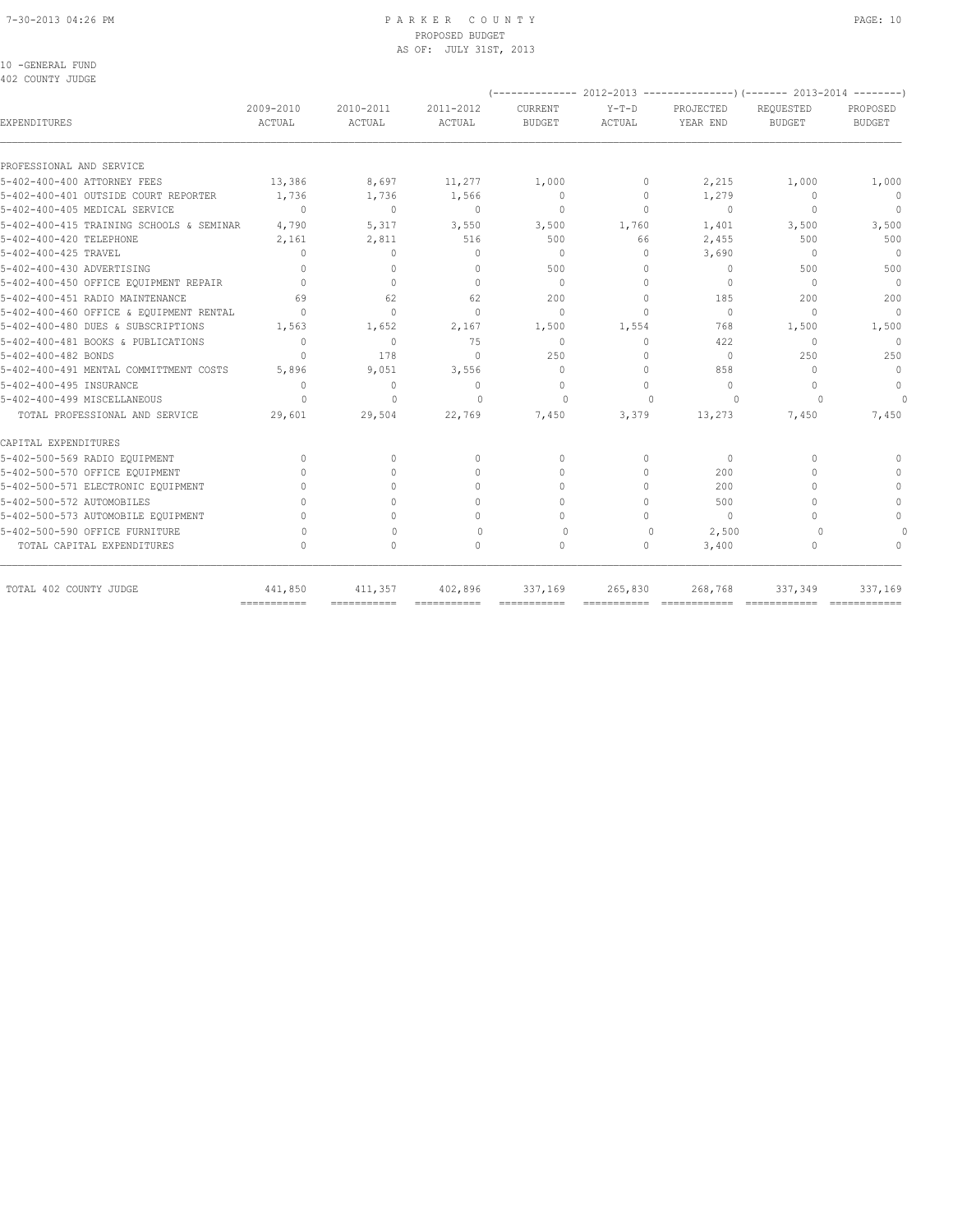## 7-30-2013 04:26 PM P A R K E R C O U N T Y PAGE: 10 PROPOSED BUDGET AS OF: JULY 31ST, 2013

10 -GENERAL FUND 402 COUNTY JUDGE

|                                          |                     |                                  |                     |                          |                   | (-------------- 2012-2013 ----------------) (------- 2013-2014 --------) |                                  |                           |
|------------------------------------------|---------------------|----------------------------------|---------------------|--------------------------|-------------------|--------------------------------------------------------------------------|----------------------------------|---------------------------|
| <b>EXPENDITURES</b>                      | 2009-2010<br>ACTUAL | 2010-2011<br>ACTUAL              | 2011-2012<br>ACTUAL | CURRENT<br><b>BUDGET</b> | $Y-T-D$<br>ACTUAL | PROJECTED<br>YEAR END                                                    | REOUESTED<br><b>BUDGET</b>       | PROPOSED<br><b>BUDGET</b> |
| PROFESSIONAL AND SERVICE                 |                     |                                  |                     |                          |                   |                                                                          |                                  |                           |
| 5-402-400-400 ATTORNEY FEES              | 13,386              | 8,697                            | 11,277              | 1,000                    | $\circ$           | 2,215                                                                    | 1,000                            | 1,000                     |
| 5-402-400-401 OUTSIDE COURT REPORTER     | 1,736               | 1,736                            | 1,566               | $\mathbf{0}$             | $\circ$           | 1,279                                                                    | $\mathbf{0}$                     | $\circ$                   |
| 5-402-400-405 MEDICAL SERVICE            | $\Omega$            | $\mathbf{0}$                     | $\mathbf{0}$        | $\mathbf{0}$             | $\Omega$          | $\mathbf{0}$                                                             | $\mathbf{0}$                     | $\mathbf{0}$              |
| 5-402-400-415 TRAINING SCHOOLS & SEMINAR | 4,790               | 5,317                            | 3,550               | 3,500                    | 1,760             | 1,401                                                                    | 3,500                            | 3,500                     |
| 5-402-400-420 TELEPHONE                  | 2,161               | 2,811                            | 516                 | 500                      | 66                | 2,455                                                                    | 500                              | 500                       |
| 5-402-400-425 TRAVEL                     | 0                   | $\mathbf{0}$                     | $\mathbf{0}$        | $\mathbf{0}$             | 0                 | 3,690                                                                    | $\begin{array}{c} \n\end{array}$ | $\Omega$                  |
| 5-402-400-430 ADVERTISING                | $\Omega$            | $\Omega$                         | $\Omega$            | 500                      | $\Omega$          | $\mathbf{0}$                                                             | 500                              | 500                       |
| 5-402-400-450 OFFICE EQUIPMENT REPAIR    | $\Omega$            | $\Omega$                         | $\Omega$            | $\Omega$                 | $\Omega$          | $\Omega$                                                                 | $\Omega$                         | $\Omega$                  |
| 5-402-400-451 RADIO MAINTENANCE          | 69                  | 62                               | 62                  | 200                      | $\Omega$          | 185                                                                      | 200                              | 200                       |
| 5-402-400-460 OFFICE & EQUIPMENT RENTAL  | $\Omega$            | $\Omega$                         | $\Omega$            | $\Omega$                 | $\Omega$          | $\Omega$                                                                 | $\Omega$                         | $\Omega$                  |
| 5-402-400-480 DUES & SUBSCRIPTIONS       | 1,563               | 1,652                            | 2,167               | 1,500                    | 1,554             | 768                                                                      | 1,500                            | 1,500                     |
| 5-402-400-481 BOOKS & PUBLICATIONS       | $\Omega$            | $\Omega$                         | 75                  | $\Omega$                 | $\Omega$          | 422                                                                      | $\Omega$                         | $\Omega$                  |
| 5-402-400-482 BONDS                      | $\Omega$            | 178                              | $\Omega$            | 250                      | 0                 | $\mathbf{0}$                                                             | 250                              | 250                       |
| 5-402-400-491 MENTAL COMMITTMENT COSTS   | 5,896               | 9,051                            | 3,556               | $\mathbf{0}$             | 0                 | 858                                                                      | $\Omega$                         | $\mathbf{0}$              |
| 5-402-400-495 INSURANCE                  | 0                   | $\circ$                          | 0                   | $\mathbf{0}$             | $\Omega$          | $\circ$                                                                  | $\Omega$                         | $\mathbf 0$               |
| 5-402-400-499 MISCELLANEOUS              | $\Omega$            | $\Omega$                         | $\Omega$            | $\Omega$                 | $\Omega$          | $\Omega$                                                                 | $\cup$                           | $\Omega$                  |
| TOTAL PROFESSIONAL AND SERVICE           | 29,601              | 29,504                           | 22,769              | 7,450                    | 3,379             | 13,273                                                                   | 7,450                            | 7,450                     |
| CAPITAL EXPENDITURES                     |                     |                                  |                     |                          |                   |                                                                          |                                  |                           |
| 5-402-500-569 RADIO EQUIPMENT            | $\Omega$            | $\begin{array}{c} \n\end{array}$ | $\mathbf{0}$        | $\Omega$                 | 0                 | $\mathbf{0}$                                                             | $\bigcap$                        |                           |
| 5-402-500-570 OFFICE EQUIPMENT           | $\bigcap$           | $\bigcap$                        | $\Omega$            | $\cap$                   | $\Omega$          | 200                                                                      | $\cap$                           |                           |
| 5-402-500-571 ELECTRONIC EQUIPMENT       | $\cap$              | U                                | $\Omega$            | $\Omega$                 | 0                 | 200                                                                      | $\cap$                           |                           |
| 5-402-500-572 AUTOMOBILES                | $\cap$              |                                  | $\Omega$            | $\bigcap$                | 0                 | 500                                                                      | $\cap$                           | $\cap$                    |
| 5-402-500-573 AUTOMOBILE EQUIPMENT       | $\cap$              | U                                | $\Omega$            | $\Omega$                 | 0                 | $\circ$                                                                  | $\cap$                           | $\Omega$                  |
| 5-402-500-590 OFFICE FURNITURE           | $\Omega$            | $\bigcap$                        | $\Omega$            | $\Omega$                 | $\circ$           | 2,500                                                                    | $\cap$                           |                           |
| TOTAL CAPITAL EXPENDITURES               | $\Omega$            | 0                                | $\mathbf{0}$        | $\circ$                  | 0                 | 3,400                                                                    | $\mathbf{0}$                     | $\cap$                    |
| TOTAL 402 COUNTY JUDGE                   | 441,850             | 411,357                          | 402,896             | 337,169                  | 265,830           | 268,768                                                                  | 337,349                          | 337,169                   |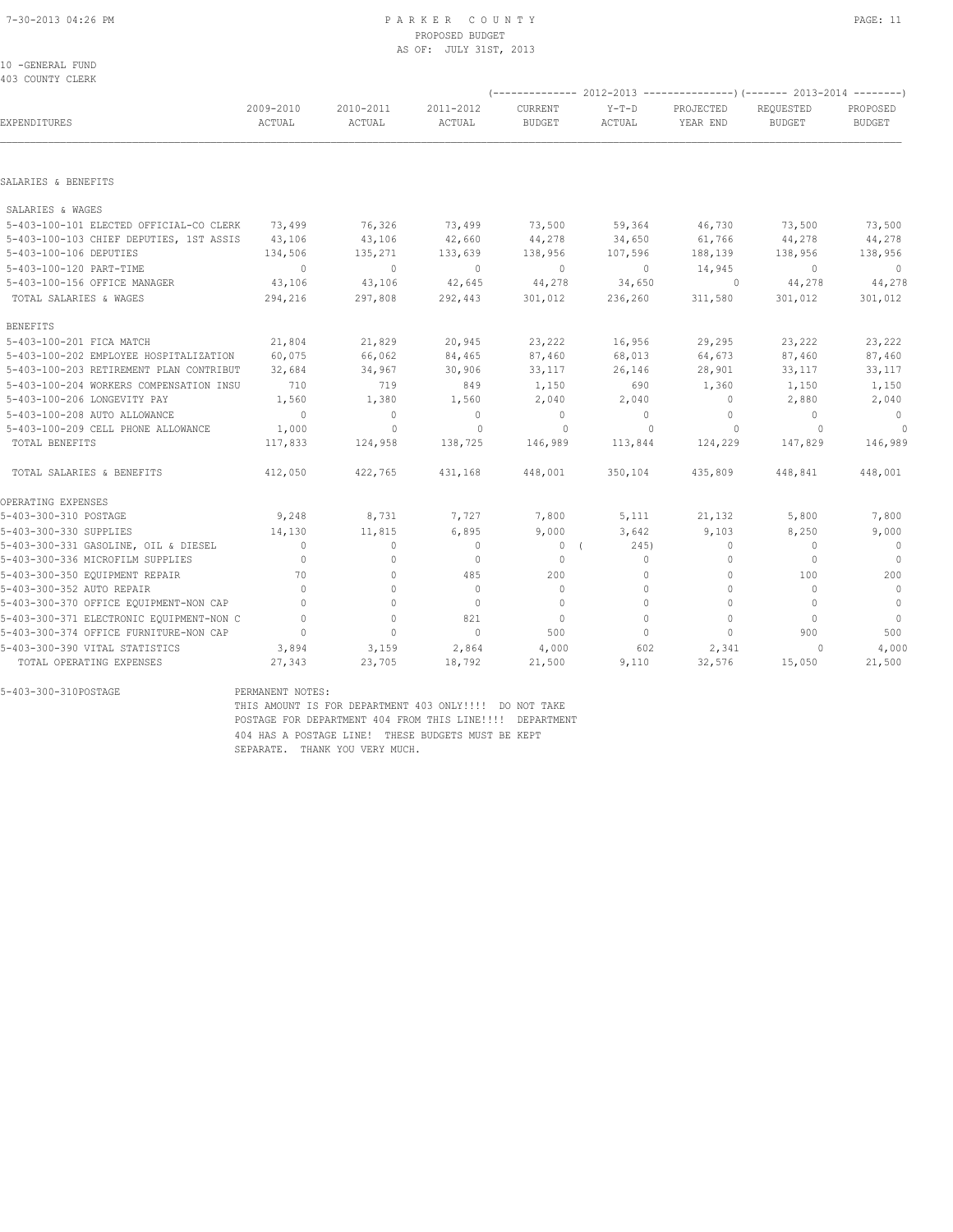## PROPOSED BUDGET AS OF: JULY 31ST, 2013

10 -GENERAL FUND 403 COUNTY CLERK

|                                          |                |                |              |                |          |                | (-------------- 2012-2013 -------------------) (------- 2013-2014 ---------) |                |
|------------------------------------------|----------------|----------------|--------------|----------------|----------|----------------|------------------------------------------------------------------------------|----------------|
|                                          | 2009-2010      | 2010-2011      | 2011-2012    | <b>CURRENT</b> | $Y-T-D$  | PROJECTED      | REQUESTED                                                                    | PROPOSED       |
| EXPENDITURES                             | ACTUAL         | ACTUAL         | ACTUAL       | <b>BUDGET</b>  | ACTUAL   | YEAR END       | BUDGET                                                                       | BUDGET         |
| SALARIES & BENEFITS                      |                |                |              |                |          |                |                                                                              |                |
|                                          |                |                |              |                |          |                |                                                                              |                |
| SALARIES & WAGES                         |                |                |              |                |          |                |                                                                              |                |
| 5-403-100-101 ELECTED OFFICIAL-CO CLERK  | 73,499         | 76,326         | 73,499       | 73,500         | 59,364   | 46,730         | 73,500                                                                       | 73,500         |
| 5-403-100-103 CHIEF DEPUTIES, 1ST ASSIS  | 43,106         | 43,106         | 42,660       | 44,278         | 34,650   | 61,766         | 44,278                                                                       | 44,278         |
| 5-403-100-106 DEPUTIES                   | 134,506        | 135,271        | 133,639      | 138,956        | 107,596  | 188,139        | 138,956                                                                      | 138,956        |
| 5-403-100-120 PART-TIME                  | $\sim$ 0       | $\overline{0}$ | $\Omega$     | $\overline{0}$ | $\circ$  | 14,945         | $\overline{0}$                                                               | $\mathbf{0}$   |
| 5-403-100-156 OFFICE MANAGER             | 43,106         | 43,106         | 42,645       | 44,278         | 34,650   | $\circ$        | 44,278                                                                       | 44,278         |
| TOTAL SALARIES & WAGES                   | 294,216        | 297,808        | 292,443      | 301,012        | 236,260  | 311,580        | 301,012                                                                      | 301,012        |
| <b>BENEFITS</b>                          |                |                |              |                |          |                |                                                                              |                |
| 5-403-100-201 FICA MATCH                 | 21,804         | 21,829         | 20,945       | 23,222         | 16,956   | 29,295         | 23,222                                                                       | 23,222         |
| 5-403-100-202 EMPLOYEE HOSPITALIZATION   | 60,075         | 66,062         | 84,465       | 87,460         | 68,013   | 64,673         | 87,460                                                                       | 87,460         |
| 5-403-100-203 RETIREMENT PLAN CONTRIBUT  | 32,684         | 34,967         | 30,906       | 33,117         | 26,146   | 28,901         | 33,117                                                                       | 33,117         |
| 5-403-100-204 WORKERS COMPENSATION INSU  | 710            | 719            | 849          | 1,150          | 690      | 1,360          | 1,150                                                                        | 1,150          |
| 5-403-100-206 LONGEVITY PAY              | 1,560          | 1,380          | 1,560        | 2,040          | 2,040    | $\overline{0}$ | 2,880                                                                        | 2,040          |
| 5-403-100-208 AUTO ALLOWANCE             | $\overline{0}$ | $\circ$        | $\circ$      | $\overline{0}$ | $\Omega$ | $\circ$        | $\Omega$                                                                     | $\overline{0}$ |
| 5-403-100-209 CELL PHONE ALLOWANCE       | 1,000          | $\mathbf 0$    | $\mathbf{0}$ | $\circ$        | 0        | $\circ$        | $\Omega$                                                                     | $\circ$        |
| TOTAL BENEFITS                           | 117,833        | 124,958        | 138,725      | 146,989        | 113,844  | 124,229        | 147,829                                                                      | 146,989        |
| TOTAL SALARIES & BENEFITS                | 412,050        | 422,765        | 431,168      | 448,001        | 350,104  | 435,809        | 448,841                                                                      | 448,001        |
| OPERATING EXPENSES                       |                |                |              |                |          |                |                                                                              |                |
| 5-403-300-310 POSTAGE                    | 9,248          | 8,731          | 7,727        | 7,800          | 5,111    | 21,132         | 5,800                                                                        | 7,800          |
| 5-403-300-330 SUPPLIES                   | 14,130         | 11,815         | 6,895        | 9,000          | 3,642    | 9,103          | 8,250                                                                        | 9,000          |
| 5-403-300-331 GASOLINE, OIL & DIESEL     | $\Omega$       | $\circ$        | $\circ$      | 0(             | 245)     | $\circ$        | $\mathbf{0}$                                                                 | $\bigcirc$     |
| 5-403-300-336 MICROFILM SUPPLIES         | $\mathbf{0}$   | $\circ$        | $\mathbf{0}$ | $\circ$        | $\circ$  | $\circ$        | $\mathbf{0}$                                                                 | $\overline{0}$ |
| 5-403-300-350 EQUIPMENT REPAIR           | 70             | $\Omega$       | 485          | 200            | $\Omega$ | $\Omega$       | 100                                                                          | 200            |
| 5-403-300-352 AUTO REPAIR                | $\Omega$       | $\circ$        | $\mathbf{0}$ | $\mathbf{0}$   | $\Omega$ | $\circ$        | $\Omega$                                                                     | $\overline{0}$ |
| 5-403-300-370 OFFICE EQUIPMENT-NON CAP   | $\cap$         | $\Omega$       | $\Omega$     | $\Omega$       | $\Omega$ | $\circ$        | $\Omega$                                                                     | $\overline{0}$ |
| 5-403-300-371 ELECTRONIC EQUIPMENT-NON C | $\Omega$       | $\circ$        | 821          | $\mathbf{0}$   | $\Omega$ | $\circ$        | $\Omega$                                                                     | $\overline{0}$ |
| 5-403-300-374 OFFICE FURNITURE-NON CAP   | $\Omega$       | $\circ$        | $\Omega$     | 500            | $\Omega$ | $\circ$        | 900                                                                          | 500            |
| 5-403-300-390 VITAL STATISTICS           | 3,894          | 3,159          | 2,864        | 4,000          | 602      | 2,341          | 0                                                                            | 4,000          |
| TOTAL OPERATING EXPENSES                 | 27,343         | 23,705         | 18,792       | 21,500         | 9,110    | 32,576         | 15,050                                                                       | 21,500         |

5-403-300-310POSTAGE

PERMANENT NOTES:<br>THIS AMOUNT IS FOR DEPARTMENT 403 ONLY!!!! DO NOT TAKE POSTAGE FOR DEPARTMENT 404 FROM THIS LINE!!!! DEPARTMENT 404 HAS A POSTAGE LINE! THESE BUDGETS MUST BE KEPT SEPARATE. THANK YOU VERY MUCH.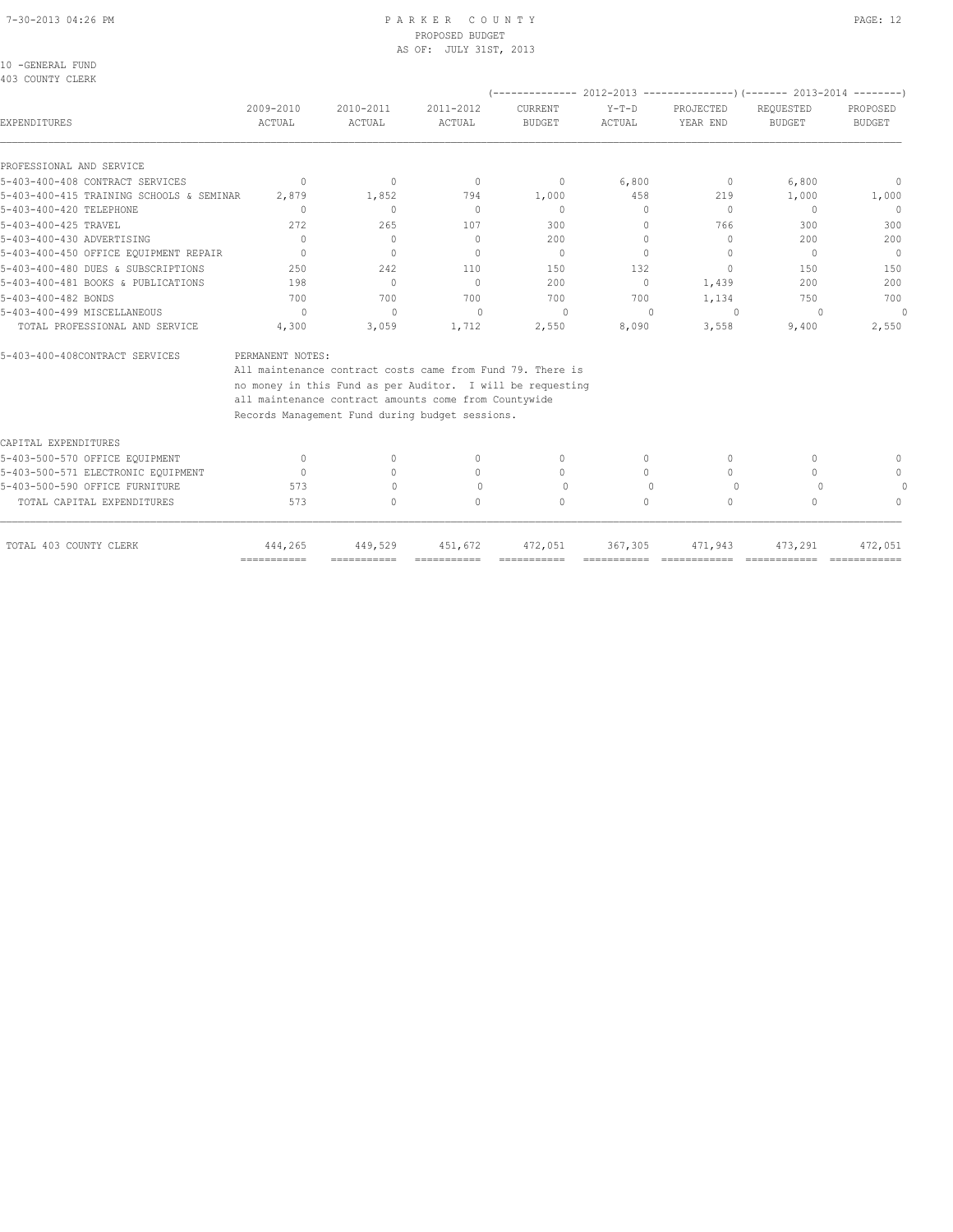## 7-30-2013 04:26 PM P A R K E R C O U N T Y PAGE: 12 PROPOSED BUDGET AS OF: JULY 31ST, 2013

| 10 -GENERAL FUND |         |
|------------------|---------|
|                  | ------- |

| 403 COUNTY CLERK                         |                  |                                  |                                                            |               |                                  |                                  |                                                                                       |                                  |
|------------------------------------------|------------------|----------------------------------|------------------------------------------------------------|---------------|----------------------------------|----------------------------------|---------------------------------------------------------------------------------------|----------------------------------|
|                                          | 2009-2010        | 2010-2011                        | 2011-2012                                                  | CURRENT       | $Y-T-D$                          | PROJECTED                        | (-------------- 2012-2013 ----------------) (------- 2013-2014 --------)<br>REQUESTED | PROPOSED                         |
| EXPENDITURES                             | <b>ACTUAL</b>    | ACTUAL                           | ACTUAL                                                     | <b>BUDGET</b> | ACTUAL                           | YEAR END                         | <b>BUDGET</b>                                                                         | <b>BUDGET</b>                    |
| PROFESSIONAL AND SERVICE                 |                  |                                  |                                                            |               |                                  |                                  |                                                                                       |                                  |
| 5-403-400-408 CONTRACT SERVICES          | $\Omega$         | $\circ$                          | $\circ$                                                    | $\mathbf{0}$  | 6,800                            | $\circ$                          | 6,800                                                                                 | 0                                |
| 5-403-400-415 TRAINING SCHOOLS & SEMINAR | 2,879            | 1,852                            | 794                                                        | 1,000         | 458                              | 219                              | 1,000                                                                                 | 1,000                            |
| 5-403-400-420 TELEPHONE                  | $\Omega$         | $\Omega$                         | $\mathbf{0}$                                               | $\Omega$      | 0                                | $\Omega$                         | $\circ$                                                                               | $\Omega$                         |
| 5-403-400-425 TRAVEL                     | 272              | 265                              | 107                                                        | 300           | 0                                | 766                              | 300                                                                                   | 300                              |
| 5-403-400-430 ADVERTISING                | $\Omega$         | $\Omega$                         | $\Omega$                                                   | 200           | $\Omega$                         | $\begin{array}{c} \n\end{array}$ | 200                                                                                   | 200                              |
| 5-403-400-450 OFFICE EQUIPMENT REPAIR    | $\bigcap$        | $\Omega$                         | $\bigcap$                                                  | $\Omega$      | $\cap$                           | $\bigcap$                        | $\Omega$                                                                              | $\Omega$                         |
| 5-403-400-480 DUES & SUBSCRIPTIONS       | 250              | 242                              | 110                                                        | 150           | 132                              | $\begin{array}{c} \n\end{array}$ | 150                                                                                   | 150                              |
| 5-403-400-481 BOOKS & PUBLICATIONS       | 198              | $\Omega$                         | $\Omega$                                                   | 200           | $\Omega$                         | 1,439                            | 200                                                                                   | 200                              |
| 5-403-400-482 BONDS                      | 700              | 700                              | 700                                                        | 700           | 700                              | 1,134                            | 750                                                                                   | 700                              |
| 5-403-400-499 MISCELLANEOUS              | $\Omega$         | $\mathbf{0}$                     | $\mathbf{0}$                                               | 0             | $\begin{array}{c} \n\end{array}$ | $\Omega$                         | 0                                                                                     | $\Omega$                         |
| TOTAL PROFESSIONAL AND SERVICE           | 4,300            | 3,059                            | 1,712                                                      | 2,550         | 8,090                            | 3,558                            | 9,400                                                                                 | 2,550                            |
| 5-403-400-408CONTRACT SERVICES           | PERMANENT NOTES: |                                  |                                                            |               |                                  |                                  |                                                                                       |                                  |
|                                          |                  |                                  | All maintenance contract costs came from Fund 79. There is |               |                                  |                                  |                                                                                       |                                  |
|                                          |                  |                                  | no money in this Fund as per Auditor. I will be requesting |               |                                  |                                  |                                                                                       |                                  |
|                                          |                  |                                  | all maintenance contract amounts come from Countywide      |               |                                  |                                  |                                                                                       |                                  |
|                                          |                  |                                  | Records Management Fund during budget sessions.            |               |                                  |                                  |                                                                                       |                                  |
| CAPITAL EXPENDITURES                     |                  |                                  |                                                            |               |                                  |                                  |                                                                                       |                                  |
| 5-403-500-570 OFFICE EQUIPMENT           | $\Omega$         | $\begin{array}{c} \n\end{array}$ | $\begin{array}{c} \n\end{array}$                           | $\Omega$      | 0                                | $\bigcap$                        | $\bigcap$                                                                             |                                  |
| 5-403-500-571 ELECTRONIC EQUIPMENT       | $\Omega$         | $\bigcap$                        | $\begin{array}{c} \n\end{array}$                           | $\bigcap$     | 0                                | $\bigcap$                        | $\bigcap$                                                                             | $\begin{array}{c} \n\end{array}$ |
| 5-403-500-590 OFFICE FURNITURE           | 573              | $\begin{array}{c} \n\end{array}$ | $\begin{array}{c} \n\end{array}$                           | $\Omega$      | $\begin{array}{c} \n\end{array}$ | $\Omega$                         | $\Omega$                                                                              | $\cap$                           |
| TOTAL CAPITAL EXPENDITURES               | 573              | $\Omega$                         | $\begin{array}{c} \n\end{array}$                           | $\Omega$      | $\Omega$                         | $\Omega$                         | $\Omega$                                                                              | $\begin{array}{c} \n\end{array}$ |
| TOTAL 403 COUNTY CLERK                   | 444,265          | 449,529                          | 451,672                                                    | 472,051       | 367,305                          | 471,943                          | 473,291                                                                               | 472,051                          |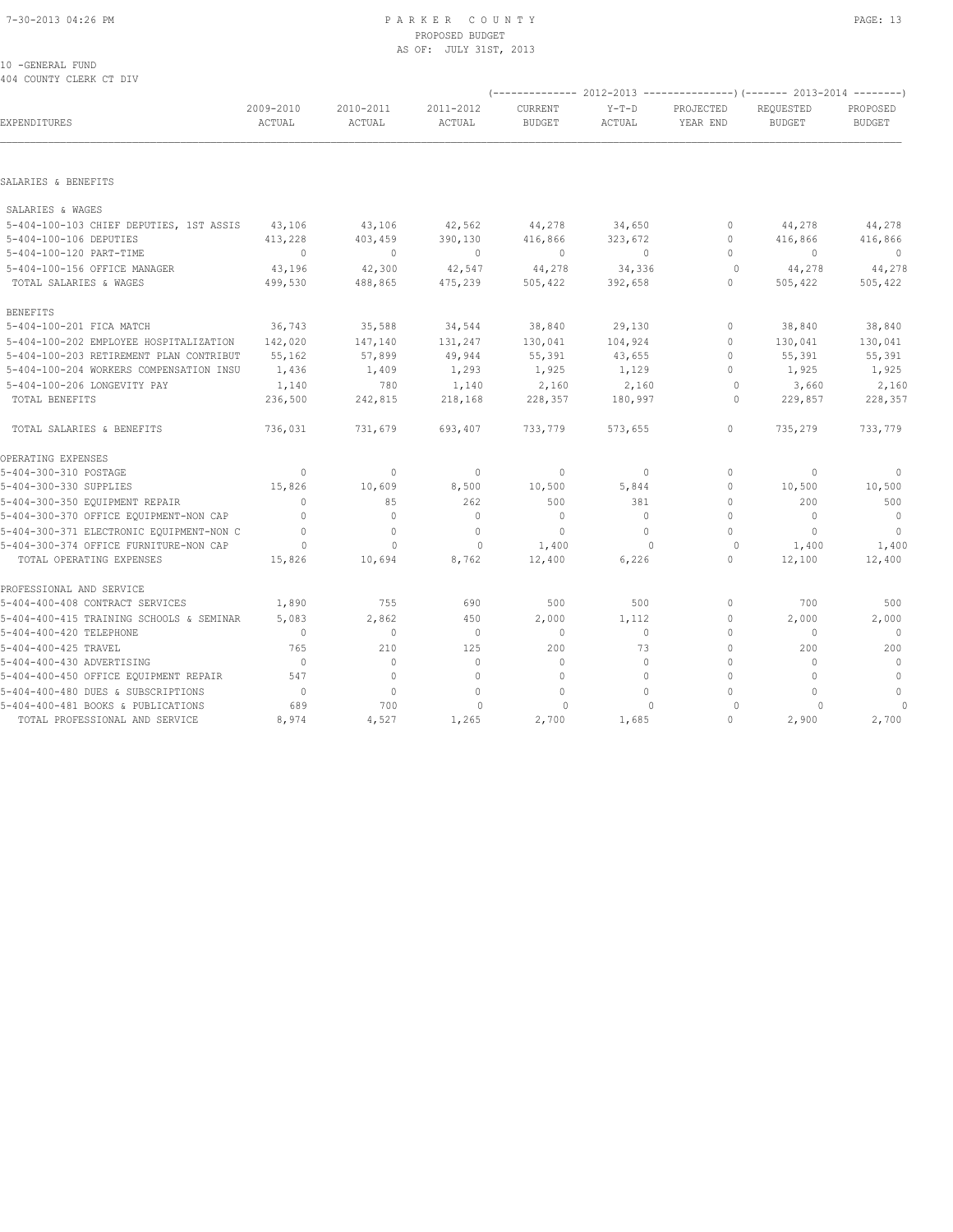## 7-30-2013 04:26 PM P A R K E R C O U N T Y PAGE: 13 PROPOSED BUDGET AS OF: JULY 31ST, 2013

## 10 -GENERAL FUND 404 COUNTY CLERK CT DIV

|                                          |                     |                     |                            | --                       | 2012-2013                |                       | ---)(------- 2013-2014     | ---------                 |
|------------------------------------------|---------------------|---------------------|----------------------------|--------------------------|--------------------------|-----------------------|----------------------------|---------------------------|
| EXPENDITURES                             | 2009-2010<br>ACTUAL | 2010-2011<br>ACTUAL | 2011-2012<br><b>ACTUAL</b> | CURRENT<br><b>BUDGET</b> | $Y-T-D$<br><b>ACTUAL</b> | PROJECTED<br>YEAR END | REQUESTED<br><b>BUDGET</b> | PROPOSED<br><b>BUDGET</b> |
|                                          |                     |                     |                            |                          |                          |                       |                            |                           |
| SALARIES & BENEFITS                      |                     |                     |                            |                          |                          |                       |                            |                           |
| SALARIES & WAGES                         |                     |                     |                            |                          |                          |                       |                            |                           |
| 5-404-100-103 CHIEF DEPUTIES, 1ST ASSIS  | 43,106              | 43,106              | 42,562                     | 44,278                   | 34,650                   | $\mathbf 0$           | 44,278                     | 44,278                    |
| 5-404-100-106 DEPUTIES                   | 413,228             | 403,459             | 390,130                    | 416,866                  | 323,672                  | $\Omega$              | 416,866                    | 416,866                   |
| 5-404-100-120 PART-TIME                  | $\mathbf{0}$        | $\mathbf{0}$        | $\mathbf{0}$               | $\mathbf{0}$             | $\circ$                  | 0                     | $\mathbf{0}$               | $\Omega$                  |
| 5-404-100-156 OFFICE MANAGER             | 43,196              | 42,300              | 42,547                     | 44,278                   | 34,336                   | $\circ$               | 44,278                     | 44,278                    |
| TOTAL SALARIES & WAGES                   | 499,530             | 488,865             | 475,239                    | 505,422                  | 392,658                  | $\Omega$              | 505,422                    | 505,422                   |
| <b>BENEFITS</b>                          |                     |                     |                            |                          |                          |                       |                            |                           |
| 5-404-100-201 FICA MATCH                 | 36,743              | 35,588              | 34,544                     | 38,840                   | 29,130                   | 0                     | 38,840                     | 38,840                    |
| 5-404-100-202 EMPLOYEE HOSPITALIZATION   | 142,020             | 147,140             | 131,247                    | 130,041                  | 104,924                  | $\Omega$              | 130,041                    | 130,041                   |
| 5-404-100-203 RETIREMENT PLAN CONTRIBUT  | 55,162              | 57,899              | 49,944                     | 55,391                   | 43,655                   | $\Omega$              | 55,391                     | 55,391                    |
| 5-404-100-204 WORKERS COMPENSATION INSU  | 1,436               | 1,409               | 1,293                      | 1,925                    | 1,129                    | $\circ$               | 1,925                      | 1,925                     |
| 5-404-100-206 LONGEVITY PAY              | 1,140               | 780                 | 1,140                      | 2,160                    | 2,160                    | $\circ$               | 3,660                      | 2,160                     |
| TOTAL BENEFITS                           | 236,500             | 242,815             | 218,168                    | 228,357                  | 180,997                  | 0                     | 229,857                    | 228,357                   |
| TOTAL SALARIES & BENEFITS                | 736,031             | 731,679             | 693,407                    | 733,779                  | 573,655                  | 0                     | 735,279                    | 733,779                   |
| OPERATING EXPENSES                       |                     |                     |                            |                          |                          |                       |                            |                           |
| 5-404-300-310 POSTAGE                    | $\mathbf{0}$        | $\circ$             | $\circ$                    | $\circ$                  | $\circ$                  | $\mathbf 0$           | $\mathbf{0}$               | 0                         |
| 5-404-300-330 SUPPLIES                   | 15,826              | 10,609              | 8,500                      | 10,500                   | 5,844                    | 0                     | 10,500                     | 10,500                    |
| 5-404-300-350 EQUIPMENT REPAIR           | $\Omega$            | 85                  | 262                        | 500                      | 381                      | $\mathbf 0$           | 200                        | 500                       |
| 5-404-300-370 OFFICE EQUIPMENT-NON CAP   | $\Omega$            | $\circ$             | $\circ$                    | $\mathbf 0$              | $\Omega$                 | $\mathbf 0$           | $\mathbf{0}$               | $\mathbf{0}$              |
| 5-404-300-371 ELECTRONIC EQUIPMENT-NON C | $\Omega$            | $\mathbf{0}$        | $\mathbf{0}$               | $\mathbf{0}$             | $\Omega$                 | $\circ$               | $\Omega$                   | $\Omega$                  |
| 5-404-300-374 OFFICE FURNITURE-NON CAP   | $\Omega$            | $\Omega$            | $\Omega$                   | 1,400                    | $\Omega$                 | $\circ$               | 1,400                      | 1,400                     |
| TOTAL OPERATING EXPENSES                 | 15,826              | 10,694              | 8,762                      | 12,400                   | 6,226                    | 0                     | 12,100                     | 12,400                    |
| PROFESSIONAL AND SERVICE                 |                     |                     |                            |                          |                          |                       |                            |                           |
| 5-404-400-408 CONTRACT SERVICES          | 1,890               | 755                 | 690                        | 500                      | 500                      | $\mathbf 0$           | 700                        | 500                       |
| 5-404-400-415 TRAINING SCHOOLS & SEMINAR | 5,083               | 2,862               | 450                        | 2,000                    | 1,112                    | $\mathbf 0$           | 2,000                      | 2,000                     |
| 5-404-400-420 TELEPHONE                  | $\mathbf{0}$        | $\mathbf{0}$        | $\mathbf{0}$               | $\circ$                  | $\circ$                  | $\mathbf{0}$          | $\mathbf{0}$               | $\mathbf{0}$              |
| 5-404-400-425 TRAVEL                     | 765                 | 210                 | 125                        | 200                      | 73                       | $\Omega$              | 200                        | 200                       |
| 5-404-400-430 ADVERTISING                | $\mathbf{0}$        | $\circ$             | $\mathbf{0}$               | $\mathbf{0}$             | $\circ$                  | $\mathbf{0}$          | $\Omega$                   | $\mathbf{0}$              |
| 5-404-400-450 OFFICE EQUIPMENT REPAIR    | 547                 | $\circ$             | $\mathbf{0}$               | $\mathbb O$              | $\Omega$                 | $\mathbf{0}$          | 0                          | $\mathbb O$               |
| 5-404-400-480 DUES & SUBSCRIPTIONS       | $\mathbf{0}$        | $\circ$             | $\Omega$                   | $\circ$                  | $\Omega$                 | $\Omega$              | $\Omega$                   | $\mathbf 0$               |
| 5-404-400-481 BOOKS & PUBLICATIONS       | 689                 | 700                 | $\mathbf{0}$               | $\Omega$                 | $\cap$                   | $\circ$               | O                          |                           |
| TOTAL PROFESSIONAL AND SERVICE           | 8,974               | 4,527               | 1,265                      | 2,700                    | 1,685                    | $\Omega$              | 2,900                      | 2,700                     |

(-------------- 2012-2013 ---------------)(------- 2013-2014 --------)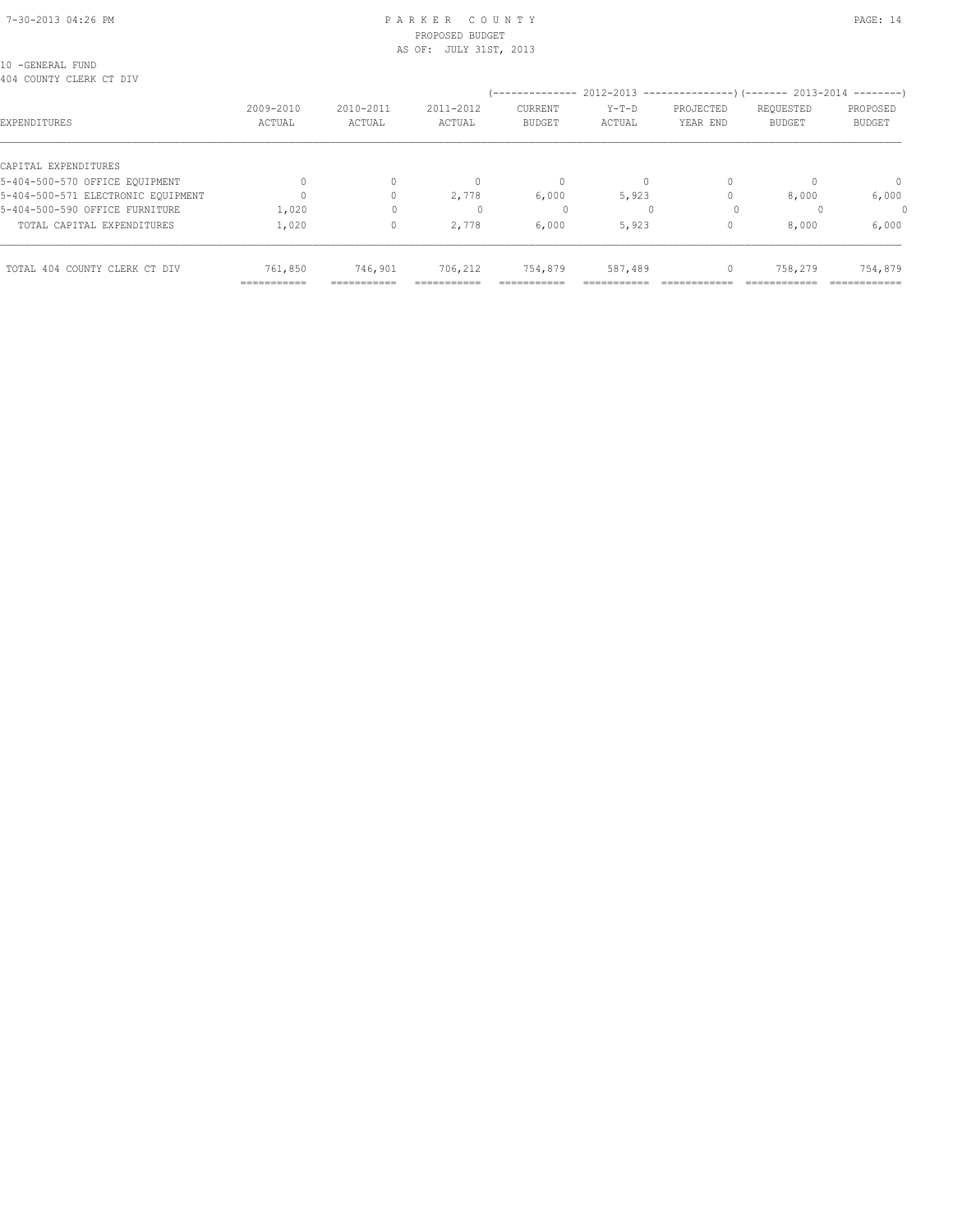#### 7-30-2013 04:26 PM P A R K E R C O U N T Y PAGE: 14 PROPOSED BUDGET AS OF: JULY 31ST, 2013

10 -GENERAL FUND 404 COUNTY CLERK CT DIV

| 5-404-500-570 OFFICE EQUIPMENT<br>5-404-500-571 ELECTRONIC EOUIPMENT<br>5-404-500-590 OFFICE FURNITURE | 1,020                  |                      | U<br>2,778           | 0<br>6,000<br>0       | 5,923   |   | 8,000   | $\mathbf{0}$<br>6,000   |
|--------------------------------------------------------------------------------------------------------|------------------------|----------------------|----------------------|-----------------------|---------|---|---------|-------------------------|
| TOTAL CAPITAL EXPENDITURES                                                                             | 1,020                  |                      | 2,778                | 6,000                 | 5,923   |   | 8,000   | 6,000                   |
| TOTAL 404 COUNTY CLERK CT DIV                                                                          | 761,850<br>=========== | 746,901<br>_________ | 706,212<br>_________ | 754,879<br>---------- | 587,489 | 0 | 758,279 | 754,879<br>------------ |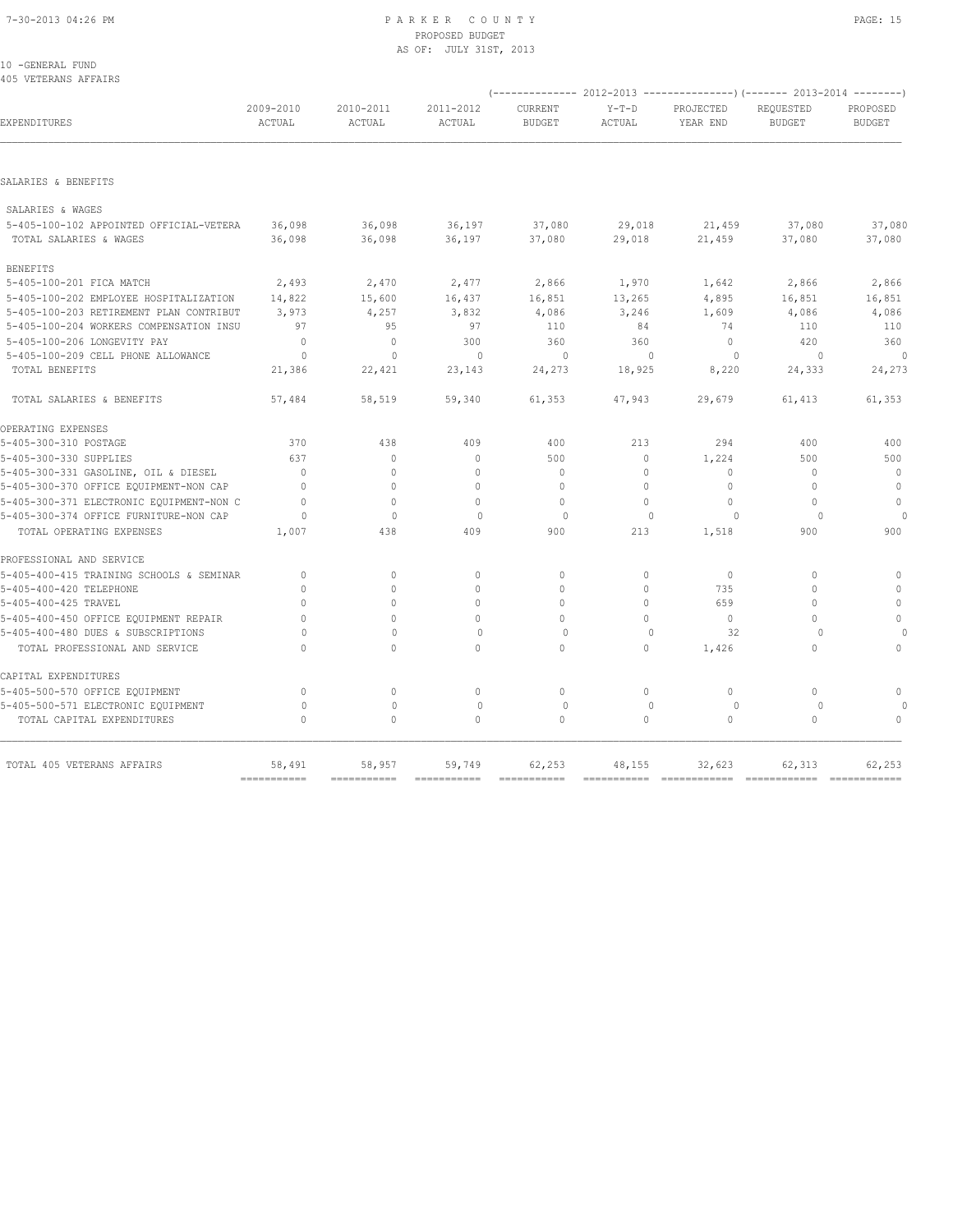## PROPOSED BUDGET AS OF: JULY 31ST, 2013

| 10 - GENERAL FUND    |
|----------------------|
| 405 VETERANS AFFAIRS |

| TUJ VEIENNINO METAINO                    |                           |                     |                     |                          |                   |                       | (-------------- 2012-2013 ------------------- 2013-2014 --------- ) |                           |
|------------------------------------------|---------------------------|---------------------|---------------------|--------------------------|-------------------|-----------------------|---------------------------------------------------------------------|---------------------------|
| EXPENDITURES                             | 2009-2010<br>ACTUAL       | 2010-2011<br>ACTUAL | 2011-2012<br>ACTUAL | CURRENT<br><b>BUDGET</b> | $Y-T-D$<br>ACTUAL | PROJECTED<br>YEAR END | REQUESTED<br><b>BUDGET</b>                                          | PROPOSED<br><b>BUDGET</b> |
|                                          |                           |                     |                     |                          |                   |                       |                                                                     |                           |
| SALARIES & BENEFITS                      |                           |                     |                     |                          |                   |                       |                                                                     |                           |
| SALARIES & WAGES                         |                           |                     |                     |                          |                   |                       |                                                                     |                           |
| 5-405-100-102 APPOINTED OFFICIAL-VETERA  | 36,098                    | 36,098              | 36,197              | 37,080                   | 29,018            | 21,459                | 37,080                                                              | 37,080                    |
| TOTAL SALARIES & WAGES                   | 36,098                    | 36,098              | 36,197              | 37,080                   | 29,018            | 21,459                | 37,080                                                              | 37,080                    |
| <b>BENEFITS</b>                          |                           |                     |                     |                          |                   |                       |                                                                     |                           |
| 5-405-100-201 FICA MATCH                 | 2,493                     | 2,470               | 2,477               | 2,866                    | 1,970             | 1,642                 | 2,866                                                               | 2,866                     |
| 5-405-100-202 EMPLOYEE HOSPITALIZATION   | 14,822                    | 15,600              | 16,437              | 16,851                   | 13,265            | 4,895                 | 16,851                                                              | 16,851                    |
| 5-405-100-203 RETIREMENT PLAN CONTRIBUT  | 3,973                     | 4,257               | 3,832               | 4,086                    | 3,246             | 1,609                 | 4,086                                                               | 4,086                     |
| 5-405-100-204 WORKERS COMPENSATION INSU  | 97                        | 95                  | 97                  | 110                      | 84                | 74                    | 110                                                                 | 110                       |
| 5-405-100-206 LONGEVITY PAY              | $\mathbf{0}$              | $\mathbf{0}$        | 300                 | 360                      | 360               | $\Omega$              | 420                                                                 | 360                       |
| 5-405-100-209 CELL PHONE ALLOWANCE       | $\Omega$                  | $\Omega$            | $\Omega$            | $\Omega$                 | $\Omega$          | $\Omega$              | $\Omega$                                                            | $\Omega$                  |
| TOTAL BENEFITS                           | 21,386                    | 22,421              | 23,143              | 24,273                   | 18,925            | 8,220                 | 24,333                                                              | 24,273                    |
| TOTAL SALARIES & BENEFITS                | 57,484                    | 58,519              | 59,340              | 61,353                   | 47,943            | 29,679                | 61,413                                                              | 61,353                    |
| OPERATING EXPENSES                       |                           |                     |                     |                          |                   |                       |                                                                     |                           |
| 5-405-300-310 POSTAGE                    | 370                       | 438                 | 409                 | 400                      | 213               | 294                   | 400                                                                 | 400                       |
| 5-405-300-330 SUPPLIES                   | 637                       | $\mathbf{0}$        | $\mathbf{0}$        | 500                      | $\circ$           | 1,224                 | 500                                                                 | 500                       |
| 5-405-300-331 GASOLINE, OIL & DIESEL     | $\Omega$                  | 0                   | $\mathbf{0}$        | $\mathbf{0}$             | $\Omega$          | 0                     | $\cap$                                                              | $\mathbf{0}$              |
| 5-405-300-370 OFFICE EQUIPMENT-NON CAP   | $\Omega$                  | $\Omega$            | $\Omega$            | $\Omega$                 | $\Omega$          | $\Omega$              | $\Omega$                                                            | $\mathbf{0}$              |
| 5-405-300-371 ELECTRONIC EQUIPMENT-NON C | $\mathbf{0}$              | $\circ$             | $\mathbf{0}$        | $\mathbf{0}$             | $\circ$           | 0                     | $\circ$                                                             | $\mathbf 0$               |
| 5-405-300-374 OFFICE FURNITURE-NON CAP   | $\circ$                   | $\mathbf{0}$        | 0                   | $\circ$                  | $\mathbf{0}$      | 0                     | 0                                                                   |                           |
| TOTAL OPERATING EXPENSES                 | 1,007                     | 438                 | 409                 | 900                      | 213               | 1,518                 | 900                                                                 | 900                       |
| PROFESSIONAL AND SERVICE                 |                           |                     |                     |                          |                   |                       |                                                                     |                           |
| 5-405-400-415 TRAINING SCHOOLS & SEMINAR | $\mathbf{0}$              | $\mathbf{0}$        | $\mathbf{0}$        | $\mathbf{0}$             | $\circ$           | $\mathbf{0}$          | $\Omega$                                                            | $\mathbf{0}$              |
| 5-405-400-420 TELEPHONE                  | $\Omega$                  | $\Omega$            | $\Omega$            | $\Omega$                 | $\Omega$          | 735                   | $\Omega$                                                            | $\Omega$                  |
| 5-405-400-425 TRAVEL                     | $\cap$                    | 0                   | $\mathbf{0}$        | $\mathbf{0}$             | $\Omega$          | 659                   | O                                                                   | $\mathbf{0}$              |
| 5-405-400-450 OFFICE EQUIPMENT REPAIR    | $\Omega$                  | $\Omega$            | $\Omega$            | $\Omega$                 | $\Omega$          | $\Omega$              | $\Omega$                                                            | $\circ$                   |
| 5-405-400-480 DUES & SUBSCRIPTIONS       |                           | $\Omega$            | $\Omega$            | $\Omega$                 | $\Omega$          | 32                    | $\Omega$                                                            |                           |
| TOTAL PROFESSIONAL AND SERVICE           | $\Omega$                  | 0                   | $\circ$             | $\circ$                  | 0                 | 1,426                 | $\circ$                                                             | $\circ$                   |
| CAPITAL EXPENDITURES                     |                           |                     |                     |                          |                   |                       |                                                                     |                           |
| 5-405-500-570 OFFICE EQUIPMENT           | $\mathbf{0}$              | $\circ$             | $\circ$             | $\circ$                  | $\circ$           | $\circ$               | $\circ$                                                             | $\mathbf{0}$              |
| 5-405-500-571 ELECTRONIC EQUIPMENT       | $\circ$                   | $\mathbf{0}$        | $\circ$             | $\circ$                  | $\mathbf{0}$      | $\circ$               | 0                                                                   |                           |
| TOTAL CAPITAL EXPENDITURES               | $\mathbf 0$               | 0                   | $\mathbf{0}$        | $\circ$                  | 0                 | 0                     | $\circ$                                                             | $\mathbf{0}$              |
| TOTAL 405 VETERANS AFFAIRS               | 58,491                    | 58,957              | 59,749              | 62,253                   | 48,155            | 32,623                | 62,313                                                              | 62,253                    |
|                                          | $=$ = = = = = = = = = = = | ===========         | ===========         |                          |                   |                       |                                                                     | $=$ ============          |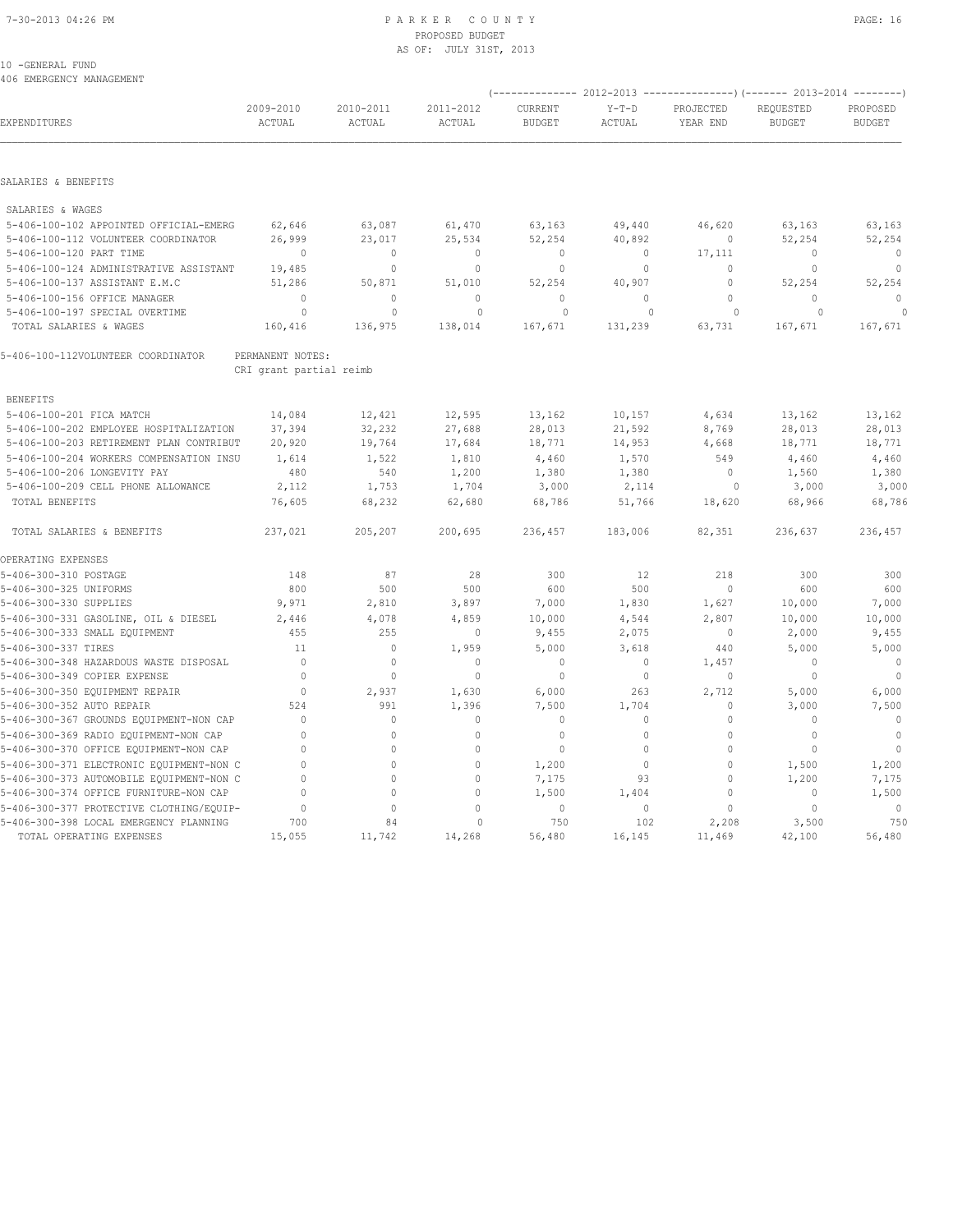## 7-30-2013 04:26 PM P A R K E R C O U N T Y PAGE: 16 PROPOSED BUDGET AS OF: JULY 31ST, 2013

| 10 - GENERAL FUND |                          |  |
|-------------------|--------------------------|--|
|                   | 406 EMERGENCY MANAGEMENT |  |

| EXPENDITURES                             | 2009-2010<br>ACTUAL     | 2010-2011<br>ACTUAL | 2011-2012<br>ACTUAL | CURRENT<br><b>BUDGET</b> | $Y-T-D$<br>ACTUAL | PROJECTED<br>YEAR END | REQUESTED<br><b>BUDGET</b> | PROPOSED<br><b>BUDGET</b> |
|------------------------------------------|-------------------------|---------------------|---------------------|--------------------------|-------------------|-----------------------|----------------------------|---------------------------|
|                                          |                         |                     |                     |                          |                   |                       |                            |                           |
| SALARIES & BENEFITS                      |                         |                     |                     |                          |                   |                       |                            |                           |
| SALARIES & WAGES                         |                         |                     |                     |                          |                   |                       |                            |                           |
| 5-406-100-102 APPOINTED OFFICIAL-EMERG   | 62,646                  | 63,087              | 61,470              | 63,163                   | 49,440            | 46,620                | 63,163                     | 63,163                    |
| 5-406-100-112 VOLUNTEER COORDINATOR      | 26,999                  | 23,017              | 25,534              | 52,254                   | 40,892            | $\mathbf 0$           | 52,254                     | 52,254                    |
| 5-406-100-120 PART TIME                  | $\mathbf 0$             | $\circ$             | 0                   | $\mathbf 0$              | $\Omega$          | 17,111                | 0                          | $\mathbf 0$               |
| 5-406-100-124 ADMINISTRATIVE ASSISTANT   | 19,485                  | $\mathbb O$         | $\circ$             | $\mathbb O$              | $\Omega$          | $\Omega$              | 0                          | $\mathbb O$               |
| 5-406-100-137 ASSISTANT E.M.C            | 51,286                  | 50,871              | 51,010              | 52,254                   | 40,907            | 0                     | 52,254                     | 52,254                    |
| 5-406-100-156 OFFICE MANAGER             | $\Omega$                | $\mathbb O$         | $\circ$             | $\mathbb O$              | $\circ$           | $\mathbb O$           | 0                          | $\mathbf{0}$              |
| 5-406-100-197 SPECIAL OVERTIME           | $\circ$                 | 0                   | $\mathbf 0$         | $\circ$                  | 0                 | $\circ$               | $\circ$                    |                           |
| TOTAL SALARIES & WAGES                   | 160,416                 | 136,975             | 138,014             | 167,671                  | 131,239           | 63,731                | 167,671                    | 167,671                   |
| 5-406-100-112VOLUNTEER COORDINATOR       | PERMANENT NOTES:        |                     |                     |                          |                   |                       |                            |                           |
|                                          | CRI grant partial reimb |                     |                     |                          |                   |                       |                            |                           |
| <b>BENEFITS</b>                          |                         |                     |                     |                          |                   |                       |                            |                           |
| 5-406-100-201 FICA MATCH                 | 14,084                  | 12,421              | 12,595              | 13,162                   | 10,157            | 4,634                 | 13,162                     | 13,162                    |
| 5-406-100-202 EMPLOYEE HOSPITALIZATION   | 37,394                  | 32,232              | 27,688              | 28,013                   | 21,592            | 8,769                 | 28,013                     | 28,013                    |
| 5-406-100-203 RETIREMENT PLAN CONTRIBUT  | 20,920                  | 19,764              | 17,684              | 18,771                   | 14,953            | 4,668                 | 18,771                     | 18,771                    |
| 5-406-100-204 WORKERS COMPENSATION INSU  | 1,614                   | 1,522               | 1,810               | 4,460                    | 1,570             | 549                   | 4,460                      | 4,460                     |
| 5-406-100-206 LONGEVITY PAY              | 480                     | 540                 | 1,200               | 1,380                    | 1,380             | 0                     | 1,560                      | 1,380                     |
| 5-406-100-209 CELL PHONE ALLOWANCE       | 2,112                   | 1,753               | 1,704               | 3,000                    | 2,114             | $\Omega$              | 3,000                      | 3,000                     |
| TOTAL BENEFITS                           | 76,605                  | 68,232              | 62,680              | 68,786                   | 51,766            | 18,620                | 68,966                     | 68,786                    |
| TOTAL SALARIES & BENEFITS                | 237,021                 | 205,207             | 200,695             | 236,457                  | 183,006           | 82,351                | 236,637                    | 236,457                   |
| OPERATING EXPENSES                       |                         |                     |                     |                          |                   |                       |                            |                           |
| 5-406-300-310 POSTAGE                    | 148                     | 87                  | 28                  | 300                      | 12                | 218                   | 300                        | 300                       |
| 5-406-300-325 UNIFORMS                   | 800                     | 500                 | 500                 | 600                      | 500               | $\Omega$              | 600                        | 600                       |
| 5-406-300-330 SUPPLIES                   | 9,971                   | 2,810               | 3,897               | 7,000                    | 1,830             | 1,627                 | 10,000                     | 7,000                     |
| 5-406-300-331 GASOLINE, OIL & DIESEL     | 2,446                   | 4,078               | 4,859               | 10,000                   | 4,544             | 2,807                 | 10,000                     | 10,000                    |
| 5-406-300-333 SMALL EQUIPMENT            | 455                     | 255                 | $\mathbf 0$         | 9,455                    | 2,075             | $\mathbf 0$           | 2,000                      | 9,455                     |
| 5-406-300-337 TIRES                      | 11                      | $\mathbb O$         | 1,959               | 5,000                    | 3,618             | 440                   | 5,000                      | 5,000                     |
| 5-406-300-348 HAZARDOUS WASTE DISPOSAL   | $\Omega$                | $\mathbb O$         | 0                   | $\mathbf 0$              | 0                 | 1,457                 | $\cap$                     | $\mathbf 0$               |
| 5-406-300-349 COPIER EXPENSE             | $\Omega$                | $\mathbf{0}$        | $\mathbf{0}$        | $\mathbb O$              | $\Omega$          | $\mathbf{0}$          | 0                          | $\mathbf{0}$              |
| 5-406-300-350 EQUIPMENT REPAIR           | $\mathbf{0}$            | 2,937               | 1,630               | 6,000                    | 263               | 2,712                 | 5,000                      | 6,000                     |
| 5-406-300-352 AUTO REPAIR                | 524                     | 991                 | 1,396               | 7,500                    | 1,704             | $\mathbb O$           | 3,000                      | 7,500                     |
| 5-406-300-367 GROUNDS EQUIPMENT-NON CAP  | $\Omega$                | $\circ$             | $\mathbf{0}$        | $\mathbf 0$              | $\Omega$          | $\mathbf 0$           | $\Omega$                   | $\mathbf 0$               |
| 5-406-300-369 RADIO EQUIPMENT-NON CAP    | $\Omega$                | $\circ$             | $\mathbf{0}$        | $\mathbb O$              | $\Omega$          | $\mathbf 0$           | 0                          | $\mathbb O$               |
| 5-406-300-370 OFFICE EQUIPMENT-NON CAP   | $\Omega$                | $\mathbb O$         | $\Omega$            | $\mathbb O$              | $\Omega$          | 0                     | 0                          | $\circ$                   |
| 5-406-300-371 ELECTRONIC EQUIPMENT-NON C | $\Omega$                | $\Omega$            | $\mathbb O$         | 1,200                    | $\Omega$          | $\mathbb O$           | 1,500                      | 1,200                     |
| 5-406-300-373 AUTOMOBILE EQUIPMENT-NON C | $\Omega$                | $\circ$             | $\mathbf{0}$        | 7,175                    | 93                | $\mathbf{0}$          | 1,200                      | 7,175                     |
| 5-406-300-374 OFFICE FURNITURE-NON CAP   | $\Omega$                | $\circ$             | $\mathbf{0}$        | 1,500                    | 1,404             | $\mathbf{0}$          | 0                          | 1,500                     |
| 5-406-300-377 PROTECTIVE CLOTHING/EQUIP- | $\Omega$                | $\circ$             | $\Omega$            | $\mathbf{0}$             | $\circ$           | $\Omega$              | 0                          | $\mathbf{0}$              |
| 5-406-300-398 LOCAL EMERGENCY PLANNING   | 700                     | 84                  | $\Omega$            | 750                      | 102               | 2,208                 | 3,500                      | 750                       |
| TOTAL OPERATING EXPENSES                 | 15,055                  | 11,742              | 14,268              | 56,480                   | 16,145            | 11,469                | 42,100                     | 56,480                    |

(-------------- 2012-2013 ---------------)(------- 2013-2014 --------)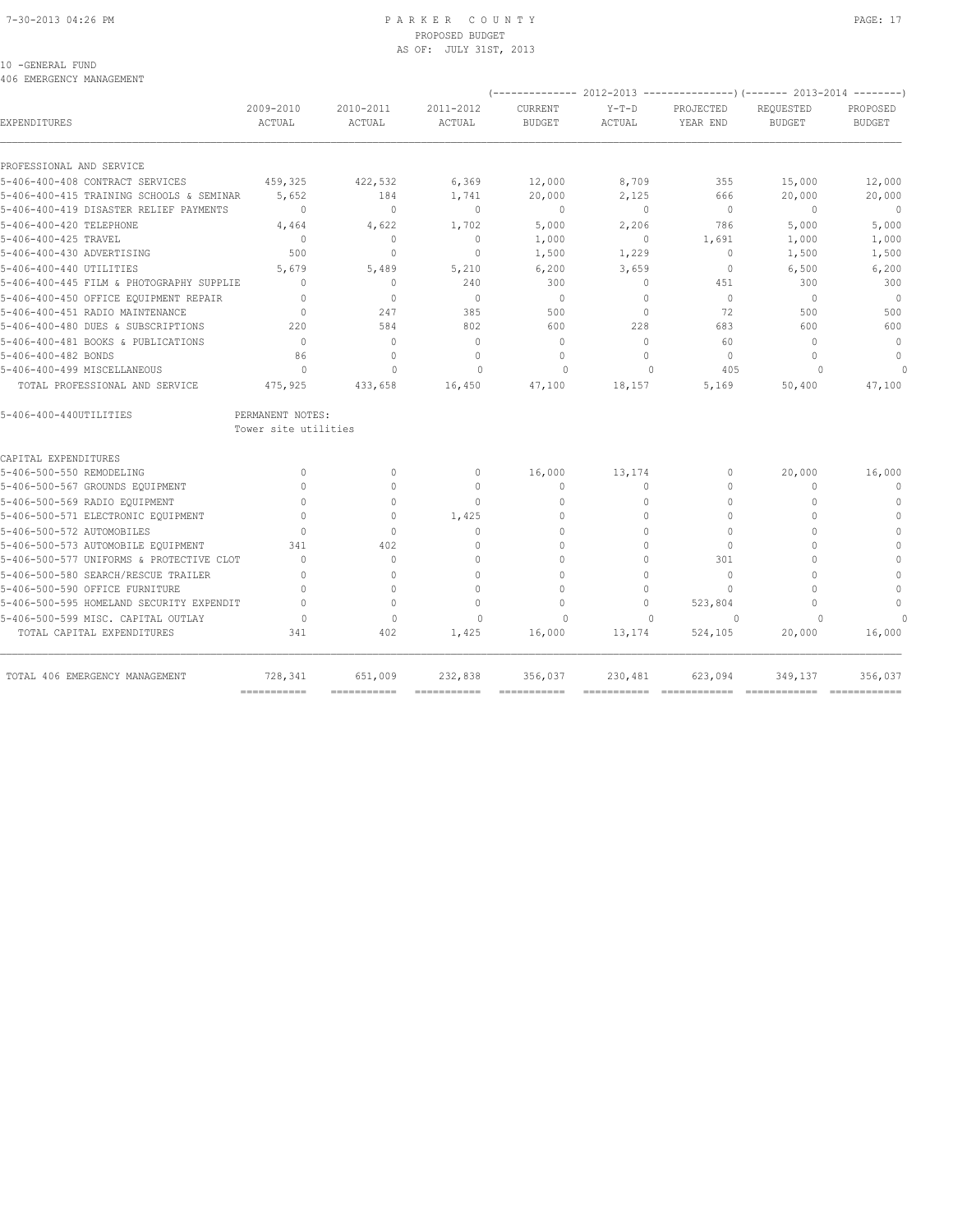## 7-30-2013 04:26 PM P A R K E R C O U N T Y PAGE: 17 PROPOSED BUDGET AS OF: JULY 31ST, 2013

## 10 -GENERAL FUND

406 EMERGENCY MANAGEMENT

|                                          |                                          |                                  |                     | (-------------- 2012-2013 |                   | ----------------) (------- 2013-2014 -------- |                            |                           |
|------------------------------------------|------------------------------------------|----------------------------------|---------------------|---------------------------|-------------------|-----------------------------------------------|----------------------------|---------------------------|
| EXPENDITURES                             | 2009-2010<br>ACTUAL                      | 2010-2011<br>ACTUAL              | 2011-2012<br>ACTUAL | CURRENT<br><b>BUDGET</b>  | $Y-T-D$<br>ACTUAL | PROJECTED<br>YEAR END                         | REQUESTED<br><b>BUDGET</b> | PROPOSED<br><b>BUDGET</b> |
|                                          |                                          |                                  |                     |                           |                   |                                               |                            |                           |
| PROFESSIONAL AND SERVICE                 |                                          |                                  |                     |                           |                   |                                               |                            |                           |
| 5-406-400-408 CONTRACT SERVICES          | 459,325                                  | 422,532                          | 6,369               | 12,000                    | 8,709             | 355                                           | 15,000                     | 12,000                    |
| 5-406-400-415 TRAINING SCHOOLS & SEMINAR | 5,652                                    | 184                              | 1,741               | 20,000                    | 2,125             | 666                                           | 20,000                     | 20,000                    |
| 5-406-400-419 DISASTER RELIEF PAYMENTS   | $\mathbf{0}$                             | $\mathbf{0}$                     | $\mathbf{0}$        | $\overline{0}$            | $\circ$           | $\Omega$                                      | $\Omega$                   | $\overline{0}$            |
| 5-406-400-420 TELEPHONE                  | 4,464                                    | 4,622                            | 1,702               | 5,000                     | 2,206             | 786                                           | 5,000                      | 5,000                     |
| 5-406-400-425 TRAVEL                     | $\Omega$                                 | $\mathbf{0}$                     | $\mathbf{0}$        | 1,000                     | $\circ$           | 1,691                                         | 1,000                      | 1,000                     |
| 5-406-400-430 ADVERTISING                | 500                                      | $\Omega$                         | $\mathbf{0}$        | 1,500                     | 1,229             | $\mathbf{0}$                                  | 1,500                      | 1,500                     |
| 5-406-400-440 UTILITIES                  | 5,679                                    | 5,489                            | 5,210               | 6,200                     | 3,659             | $\mathbf{0}$                                  | 6,500                      | 6,200                     |
| 5-406-400-445 FILM & PHOTOGRAPHY SUPPLIE | $\Omega$                                 | $\begin{array}{c} \n\end{array}$ | 240                 | 300                       | $\Omega$          | 451                                           | 300                        | 300                       |
| 5-406-400-450 OFFICE EQUIPMENT REPAIR    | $\Omega$                                 | $\begin{array}{c} \n\end{array}$ | $\Omega$            | $\Omega$                  | $\Omega$          | $\Omega$                                      | $\Omega$                   | $\circ$                   |
| 5-406-400-451 RADIO MAINTENANCE          | $\Omega$                                 | 247                              | 385                 | 500                       | $\circ$           | 72                                            | 500                        | 500                       |
| 5-406-400-480 DUES & SUBSCRIPTIONS       | 220                                      | 584                              | 802                 | 600                       | 228               | 683                                           | 600                        | 600                       |
| 5-406-400-481 BOOKS & PUBLICATIONS       | $\Omega$                                 | $\Omega$                         | $\Omega$            | $\mathbf{0}$              | $\Omega$          | 60                                            | $\bigcap$                  | $\Omega$                  |
| 5-406-400-482 BONDS                      | 86                                       | $\circ$                          | $\Omega$            | $\mathbf{0}$              | $\Omega$          | $\Omega$                                      | $\bigcap$                  | $\mathbf{0}$              |
| 5-406-400-499 MISCELLANEOUS              | $\cap$                                   | $\cap$                           | $\cap$              | $\cap$                    | $\cap$            | 405                                           |                            | $\cap$                    |
| TOTAL PROFESSIONAL AND SERVICE           | 475,925                                  | 433,658                          | 16,450              | 47,100                    | 18,157            | 5,169                                         | 50,400                     | 47,100                    |
| 5-406-400-440UTILITIES                   | PERMANENT NOTES:<br>Tower site utilities |                                  |                     |                           |                   |                                               |                            |                           |
| CAPITAL EXPENDITURES                     |                                          |                                  |                     |                           |                   |                                               |                            |                           |
| 5-406-500-550 REMODELING                 | $\Omega$                                 | $\Omega$                         | $\Omega$            | 16,000                    | 13,174            | $\Omega$                                      | 20,000                     | 16,000                    |
| 5-406-500-567 GROUNDS EQUIPMENT          | $\Omega$                                 | $\Omega$                         | $\mathbf{0}$        | $\mathbf{0}$              | $\circ$           | $\mathbf{0}$                                  | $\Omega$                   | $\mathbf{0}$              |
| 5-406-500-569 RADIO EQUIPMENT            | $\cap$                                   | $\Omega$                         | $\Omega$            | $\Omega$                  | $\Omega$          | $\Omega$                                      | $\Omega$                   | $\mathbf{0}$              |
| 5-406-500-571 ELECTRONIC EQUIPMENT       |                                          | $\circ$                          | 1,425               | $\mathbf{0}$              | $\circ$           | $\mathbf{0}$                                  | $\Omega$                   | $\mathbf{0}$              |
| 5-406-500-572 AUTOMOBILES                | $\Omega$                                 | $\mathbf{0}$                     | $\mathbf{0}$        | $\mathbf{0}$              | $\circ$           | $\mathbf{0}$                                  | O                          | $\mathbf{0}$              |
| 5-406-500-573 AUTOMOBILE EQUIPMENT       | 341                                      | 402                              | $\Omega$            | $\Omega$                  | $\Omega$          | $\mathbf{0}$                                  | $\cap$                     | $\Omega$                  |
| 5-406-500-577 UNIFORMS & PROTECTIVE CLOT | $\Omega$                                 | $\mathbf{0}$                     | $\Omega$            | $\Omega$                  | $\Omega$          | 301                                           | $\cap$                     | $\mathbf{0}$              |
| 5-406-500-580 SEARCH/RESCUE TRAILER      | $\cap$                                   | $\Omega$                         | $\Omega$            | $\Omega$                  | $\Omega$          | $\Omega$                                      | $\cap$                     | $\mathbf 0$               |
| 5-406-500-590 OFFICE FURNITURE           |                                          | $\Omega$                         | $\Omega$            | $\Omega$                  | $\Omega$          | $\Omega$                                      | $\bigcap$                  | $\Omega$                  |
| 5-406-500-595 HOMELAND SECURITY EXPENDIT | $\Omega$                                 | $\circ$                          | $\Omega$            | $\circ$                   | $\circ$           | 523,804                                       | $\Omega$                   | $\mathbf{0}$              |
| 5-406-500-599 MISC. CAPITAL OUTLAY       | $\Omega$                                 | $\Omega$                         | $\cap$              | $\Omega$                  | $\cap$            | $\Omega$                                      | $\cap$                     |                           |
| TOTAL CAPITAL EXPENDITURES               | 341                                      | 402                              | 1,425               | 16,000                    | 13,174            | 524,105                                       | 20,000                     | 16,000                    |
| TOTAL 406 EMERGENCY MANAGEMENT           | 728,341                                  | 651,009                          | 232,838             | 356,037                   | 230,481           | 623,094                                       | 349,137                    | 356,037                   |
|                                          | $=$ ===========                          | $=$ ===========                  | $=$ ===========     | $=$ ===========           |                   |                                               |                            | ============              |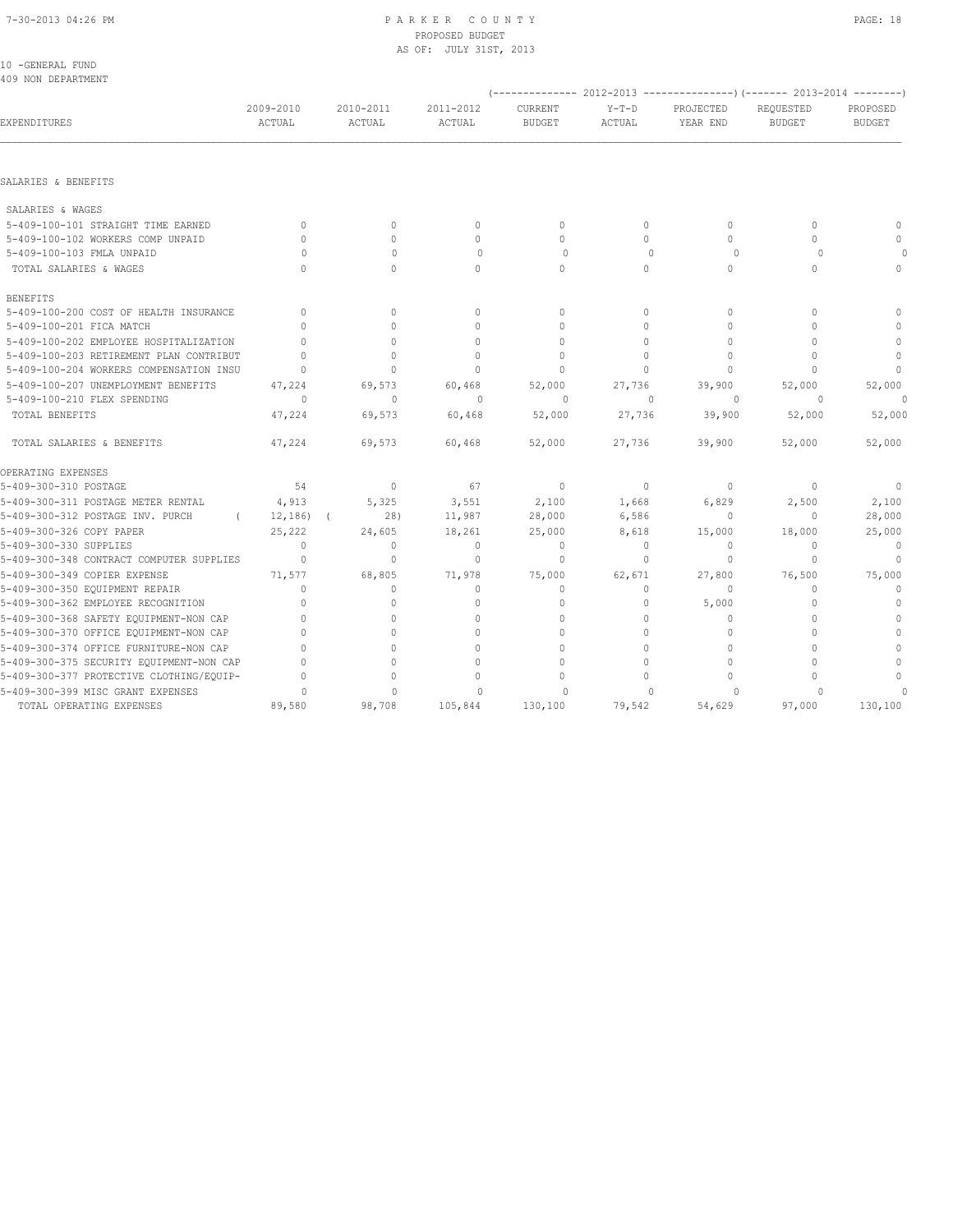## 7-30-2013 04:26 PM P A R K E R C O U N T Y PAGE: 18 PROPOSED BUDGET AS OF: JULY 31ST, 2013

| 10 -GENERAL FUND<br>409 NON DEPARTMENT   |                            |                     |                            |                          |                   |                                                                         |                            |                           |
|------------------------------------------|----------------------------|---------------------|----------------------------|--------------------------|-------------------|-------------------------------------------------------------------------|----------------------------|---------------------------|
|                                          |                            |                     |                            |                          |                   | (-------------- 2012-2013 ----------------) (------- 2013-2014 -------- |                            |                           |
| EXPENDITURES                             | 2009-2010<br><b>ACTUAL</b> | 2010-2011<br>ACTUAL | 2011-2012<br><b>ACTUAL</b> | CURRENT<br><b>BUDGET</b> | $Y-T-D$<br>ACTUAL | PROJECTED<br>YEAR END                                                   | REQUESTED<br><b>BUDGET</b> | PROPOSED<br><b>BUDGET</b> |
|                                          |                            |                     |                            |                          |                   |                                                                         |                            |                           |
| SALARIES & BENEFITS                      |                            |                     |                            |                          |                   |                                                                         |                            |                           |
| SALARIES & WAGES                         |                            |                     |                            |                          |                   |                                                                         |                            |                           |
| 5-409-100-101 STRAIGHT TIME EARNED       | $\Omega$                   | $\Omega$            | $\mathbf{0}$               | $\Omega$                 | $\circ$           | $\Omega$                                                                | $\Omega$                   | $\mathbf{0}$              |
| 5-409-100-102 WORKERS COMP UNPAID        | $\Omega$                   | $\Omega$            | $\mathbf{0}$               | $\Omega$                 | $\Omega$          | $\Omega$                                                                | $\Omega$                   | $\cap$                    |
| 5-409-100-103 FMLA UNPAID                | $\Omega$                   | $\mathbf{0}$        | $\circ$                    | $\circ$                  | $\Omega$          | $\circ$                                                                 | $\Omega$                   |                           |
| TOTAL SALARIES & WAGES                   | $\cap$                     | $\Omega$            | $\Omega$                   | $\Omega$                 | $\Omega$          | $\Omega$                                                                | $\Omega$                   | $\circ$                   |
| <b>BENEFITS</b>                          |                            |                     |                            |                          |                   |                                                                         |                            |                           |
| 5-409-100-200 COST OF HEALTH INSURANCE   | $\mathbf{0}$               | $\Omega$            | $\mathbf{0}$               | $\mathbf{0}$             | $\circ$           | $\Omega$                                                                | $\bigcap$                  | $\Omega$                  |
| 5-409-100-201 FICA MATCH                 | $\Omega$                   | $\Omega$            | $\Omega$                   | $\Omega$                 | $\Omega$          | $\Omega$                                                                | $\Omega$                   | $\Omega$                  |
| 5-409-100-202 EMPLOYEE HOSPITALIZATION   | $\Omega$                   | $\circ$             | $\mathbf{0}$               | $\mathbf{0}$             | $\circ$           | $\mathbf{0}$                                                            | $\Omega$                   | $\mathbf{0}$              |
| 5-409-100-203 RETIREMENT PLAN CONTRIBUT  | $\Omega$                   | $\Omega$            | $\Omega$                   | $\Omega$                 | $\Omega$          | $\Omega$                                                                | $\Omega$                   | $\mathbf{0}$              |
| 5-409-100-204 WORKERS COMPENSATION INSU  | $\Omega$                   | $\Omega$            | $\Omega$                   | $\cap$                   | $\Omega$          | $\Omega$                                                                | $\cap$                     | $\mathbf{0}$              |
| 5-409-100-207 UNEMPLOYMENT BENEFITS      | 47,224                     | 69,573              | 60,468                     | 52,000                   | 27,736            | 39,900                                                                  | 52,000                     | 52,000                    |
| 5-409-100-210 FLEX SPENDING              | $\circ$                    | $\mathbf{0}$        | $\mathbf{0}$               | 0                        | $\Omega$          | $\circ$                                                                 | $\circ$                    | $\circ$                   |
| TOTAL BENEFITS                           | 47,224                     | 69,573              | 60,468                     | 52,000                   | 27,736            | 39,900                                                                  | 52,000                     | 52,000                    |
| TOTAL SALARIES & BENEFITS                | 47,224                     | 69,573              | 60,468                     | 52,000                   | 27,736            | 39,900                                                                  | 52,000                     | 52,000                    |
| OPERATING EXPENSES                       |                            |                     |                            |                          |                   |                                                                         |                            |                           |
| 5-409-300-310 POSTAGE                    | 54                         | $\mathbf{0}$        | 67                         | $\mathbf{0}$             | $\circ$           | 0                                                                       | $\mathbf{0}$               | 0                         |
| 5-409-300-311 POSTAGE METER RENTAL       | 4,913                      | 5,325               | 3,551                      | 2,100                    | 1,668             | 6,829                                                                   | 2,500                      | 2,100                     |
| 5-409-300-312 POSTAGE INV. PURCH         | 12, 186)                   | 28)                 | 11,987                     | 28,000                   | 6,586             | $\mathbf{0}$                                                            | $\mathbf{0}$               | 28,000                    |
| 5-409-300-326 COPY PAPER                 | 25,222                     | 24,605              | 18,261                     | 25,000                   | 8,618             | 15,000                                                                  | 18,000                     | 25,000                    |
| 5-409-300-330 SUPPLIES                   | $\mathbf{0}$               | $\circ$             | $\mathbf{0}$               | $\mathbf{0}$             | $\circ$           | 0                                                                       | $\mathbf{0}$               | $\mathbf{0}$              |
| 5-409-300-348 CONTRACT COMPUTER SUPPLIES | $\mathbf{0}$               | $\circ$             | $\circ$                    | $\mathbf{0}$             | $\circ$           | $\mathbf{0}$                                                            | $\Omega$                   | $\mathbf{0}$              |
| 5-409-300-349 COPIER EXPENSE             | 71,577                     | 68,805              | 71,978                     | 75,000                   | 62,671            | 27,800                                                                  | 76,500                     | 75,000                    |
| 5-409-300-350 EQUIPMENT REPAIR           | $\Omega$                   | $\circ$             | $\mathbf{0}$               | $\mathbf{0}$             | $\circ$           | $\mathbf{0}$                                                            | $\Omega$                   | $\mathbf{0}$              |
| 5-409-300-362 EMPLOYEE RECOGNITION       | $\Omega$                   | $\circ$             | $\mathbf{0}$               | $\mathbf{0}$             | $\circ$           | 5,000                                                                   | $\Omega$                   | $\mathbf{0}$              |
| 5-409-300-368 SAFETY EQUIPMENT-NON CAP   | $\Omega$                   | $\Omega$            | $\Omega$                   | $\circ$                  | $\circ$           | $\mathbf{0}$                                                            | $\Omega$                   | $\mathbf{0}$              |
| 5-409-300-370 OFFICE EQUIPMENT-NON CAP   | $\Omega$                   | $\cap$              | $\Omega$                   | $\Omega$                 | $\Omega$          | $\Omega$                                                                | $\cap$                     | $\Omega$                  |
| 5-409-300-374 OFFICE FURNITURE-NON CAP   | $\Omega$                   | $\circ$             | $\Omega$                   | $\Omega$                 | $\circ$           | $\mathbf{0}$                                                            | $\Omega$                   | $\Omega$                  |
| 5-409-300-375 SECURITY EQUIPMENT-NON CAP | $\cap$                     | $\Omega$            | $\Omega$                   | $\Omega$                 | $\Omega$          | $\Omega$                                                                | $\cap$                     | $\mathbf{0}$              |
| 5-409-300-377 PROTECTIVE CLOTHING/EQUIP- |                            | $\Omega$            | $\Omega$                   | $\Omega$                 | $\Omega$          | $\Omega$                                                                |                            | $\Omega$                  |
| 5-409-300-399 MISC GRANT EXPENSES        | $\cap$                     | $\cap$              | $\cap$                     | $\cap$                   | $\cap$            | $\cap$                                                                  |                            |                           |

TOTAL OPERATING EXPENSES 89,580 98,708 105,844 130,100 79,542 54,629 97,000 130,100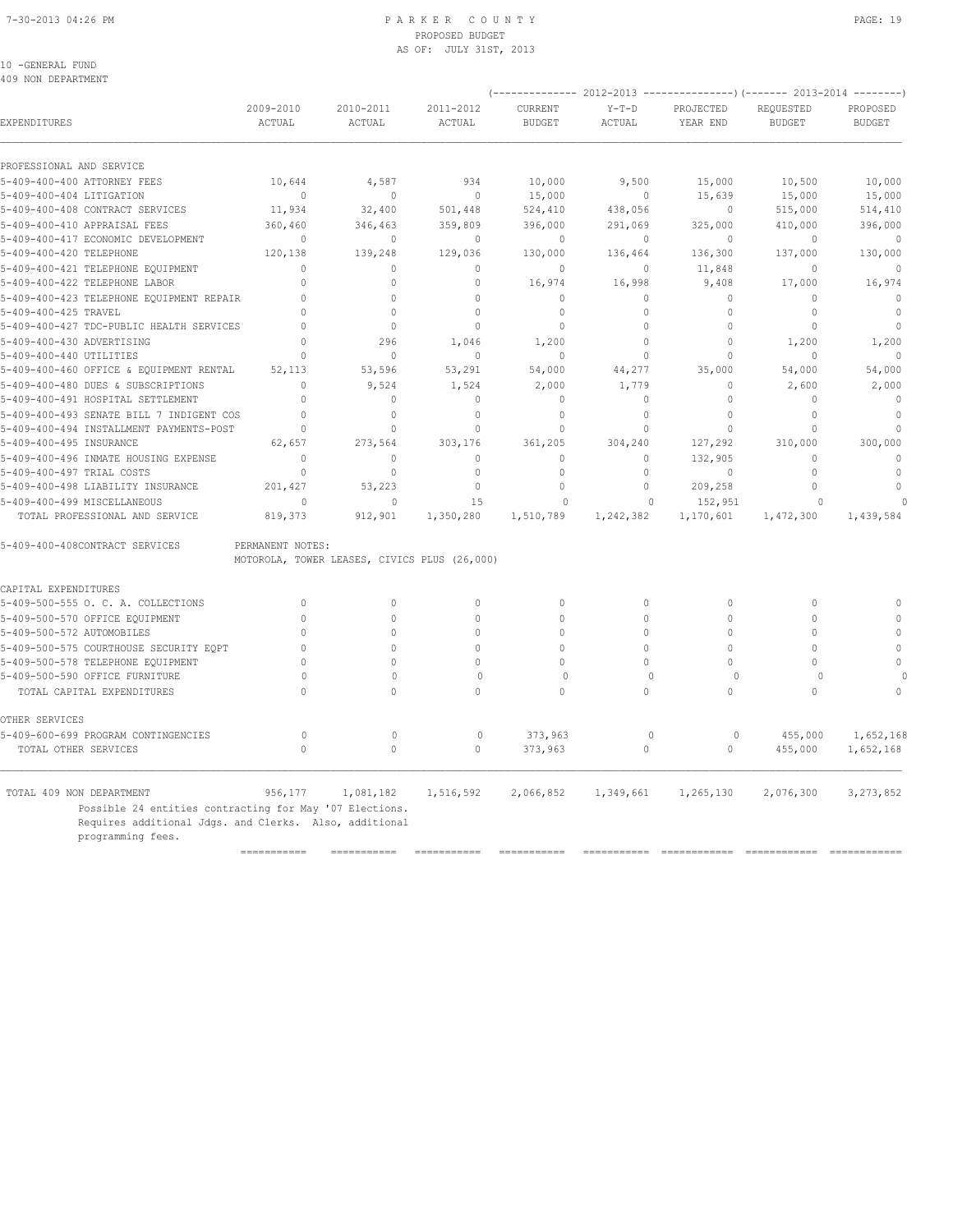## 7-30-2013 04:26 PM P A R K E R C O U N T Y PAGE: 19 PROPOSED BUDGET AS OF: JULY 31ST, 2013

10 -GENERAL FUND 409 NON DEPARTMENT

|                                                                                                                                        |                     |                                              |                     |                          |                          | (-------------- 2012-2013 ----------------) (------- 2013-2014 --------) |                            |                           |
|----------------------------------------------------------------------------------------------------------------------------------------|---------------------|----------------------------------------------|---------------------|--------------------------|--------------------------|--------------------------------------------------------------------------|----------------------------|---------------------------|
| EXPENDITURES                                                                                                                           | 2009-2010<br>ACTUAL | 2010-2011<br>ACTUAL                          | 2011-2012<br>ACTUAL | CURRENT<br><b>BUDGET</b> | $Y-T-D$<br><b>ACTUAL</b> | PROJECTED<br>YEAR END                                                    | REQUESTED<br><b>BUDGET</b> | PROPOSED<br><b>BUDGET</b> |
| PROFESSIONAL AND SERVICE                                                                                                               |                     |                                              |                     |                          |                          |                                                                          |                            |                           |
| 5-409-400-400 ATTORNEY FEES                                                                                                            | 10,644              | 4,587                                        | 934                 | 10,000                   | 9,500                    | 15,000                                                                   | 10,500                     | 10,000                    |
| 5-409-400-404 LITIGATION                                                                                                               | $\mathbf{0}$        | $\mathbf{0}$                                 | $\mathbb O$         | 15,000                   | 0                        | 15,639                                                                   | 15,000                     | 15,000                    |
| 5-409-400-408 CONTRACT SERVICES                                                                                                        | 11,934              | 32,400                                       | 501,448             | 524,410                  | 438,056                  | 0                                                                        | 515,000                    | 514,410                   |
| 5-409-400-410 APPRAISAL FEES                                                                                                           | 360,460             | 346,463                                      | 359,809             | 396,000                  | 291,069                  | 325,000                                                                  | 410,000                    | 396,000                   |
| 5-409-400-417 ECONOMIC DEVELOPMENT                                                                                                     | $\mathbf{0}$        | $\mathbf{0}$                                 | $\mathbf{0}$        | $\mathbf{0}$             | $\circ$                  | 0                                                                        | $\bigcap$                  | $\mathbf 0$               |
| 5-409-400-420 TELEPHONE                                                                                                                | 120,138             | 139,248                                      | 129,036             | 130,000                  | 136,464                  | 136,300                                                                  | 137,000                    | 130,000                   |
| 5-409-400-421 TELEPHONE EQUIPMENT                                                                                                      | $\Omega$            | $\Omega$                                     | $\Omega$            | $\mathbf{0}$             | $\circ$                  | 11,848                                                                   | $\Omega$                   | $\mathbf{0}$              |
| 5-409-400-422 TELEPHONE LABOR                                                                                                          | $\Omega$            | $\Omega$                                     | $\Omega$            | 16,974                   | 16,998                   | 9,408                                                                    | 17,000                     | 16,974                    |
| 5-409-400-423 TELEPHONE EQUIPMENT REPAIR                                                                                               | $\Omega$            | $\Omega$                                     | $\Omega$            | $\Omega$                 | $\Omega$                 | $\Omega$                                                                 | $\Omega$                   | $\Omega$                  |
| 5-409-400-425 TRAVEL                                                                                                                   | $\Omega$            | $\Omega$                                     | $\Omega$            | $\mathbf{0}$             | $\circ$                  | $\mathbf{0}$                                                             | $\mathbf{0}$               | $\mathbf{0}$              |
| 5-409-400-427 TDC-PUBLIC HEALTH SERVICES                                                                                               | $\Omega$            | $\Omega$                                     | $\Omega$            | $\mathbf{0}$             | $\Omega$                 | $\mathbf{0}$                                                             | $\Omega$                   | $\mathbf{0}$              |
| 5-409-400-430 ADVERTISING                                                                                                              | $\Omega$            | 296                                          | 1,046               | 1,200                    | $\circ$                  | $\mathbf{0}$                                                             | 1,200                      | 1,200                     |
| 5-409-400-440 UTILITIES                                                                                                                | $\Omega$            | $\Omega$                                     | $\mathbf{0}$        | $\Omega$                 | $\circ$                  | $\mathbf{0}$                                                             | $\Omega$                   | $\mathbf{0}$              |
| 5-409-400-460 OFFICE & EQUIPMENT RENTAL                                                                                                | 52,113              | 53,596                                       | 53,291              | 54,000                   | 44,277                   | 35,000                                                                   | 54,000                     | 54,000                    |
| 5-409-400-480 DUES & SUBSCRIPTIONS                                                                                                     | $\mathbf{0}$        | 9,524                                        | 1,524               | 2,000                    | 1,779                    | $\mathbf{0}$                                                             | 2,600                      | 2,000                     |
| 5-409-400-491 HOSPITAL SETTLEMENT                                                                                                      | $\Omega$            | $\circ$                                      | $\mathbf{0}$        | $\mathbf{0}$             | $\circ$                  | $\mathbf{0}$                                                             | $\cap$                     | $\mathbf{0}$              |
| 5-409-400-493 SENATE BILL 7 INDIGENT COS                                                                                               | $\Omega$            | $\Omega$                                     | $\Omega$            | $\mathbf{0}$             | $\circ$                  | $\Omega$                                                                 | $\Omega$                   | $\mathbf{0}$              |
| 5-409-400-494 INSTALLMENT PAYMENTS-POST                                                                                                | $\mathbf{0}$        | $\circ$                                      | $\mathbf{0}$        | $\mathbf{0}$             | $\circ$                  | $\mathbf{0}$                                                             | $\Omega$                   | $\mathbf{0}$              |
| 5-409-400-495 INSURANCE                                                                                                                | 62,657              | 273,564                                      | 303,176             | 361,205                  | 304,240                  | 127,292                                                                  | 310,000                    | 300,000                   |
| 5-409-400-496 INMATE HOUSING EXPENSE                                                                                                   | $\mathbf{0}$        | $\mathbf{0}$                                 | $\mathbf{0}$        | $\circ$                  | $\circ$                  | 132,905                                                                  | $\Omega$                   | $\mathbb O$               |
| 5-409-400-497 TRIAL COSTS                                                                                                              | $\Omega$            | $\circ$                                      | $\mathbf{0}$        | $\mathbf{0}$             | $\circ$                  | $\mathbf{0}$                                                             | $\Omega$                   | $\mathbf 0$               |
| 5-409-400-498 LIABILITY INSURANCE                                                                                                      | 201,427             | 53,223                                       | $\mathbb O$         | $\Omega$                 | $\circ$                  | 209,258                                                                  | $\Omega$                   | $\mathbb O$               |
| 5-409-400-499 MISCELLANEOUS                                                                                                            | $\Omega$            | $\Omega$                                     | 15                  | $\Omega$                 | $\Omega$                 | 152,951                                                                  | $\Omega$                   |                           |
| TOTAL PROFESSIONAL AND SERVICE                                                                                                         | 819,373             | 912,901                                      | 1,350,280           | 1,510,789                | 1,242,382                | 1,170,601                                                                | 1,472,300                  | 1,439,584                 |
| 5-409-400-408CONTRACT SERVICES                                                                                                         | PERMANENT NOTES:    | MOTOROLA, TOWER LEASES, CIVICS PLUS (26,000) |                     |                          |                          |                                                                          |                            |                           |
| CAPITAL EXPENDITURES                                                                                                                   |                     |                                              |                     |                          |                          |                                                                          |                            |                           |
| 5-409-500-555 O. C. A. COLLECTIONS                                                                                                     | $\mathbf{0}$        | $\mathbf{0}$                                 | $\mathbf{0}$        | $\mathbf{0}$             | $\circ$                  | $\circ$                                                                  | $\mathbf{0}$               | $\mathbf{0}$              |
| 5-409-500-570 OFFICE EQUIPMENT                                                                                                         | $\Omega$            | $\Omega$                                     | $\Omega$            | $\Omega$                 | $\circ$                  | $\mathbf{0}$                                                             | $\mathbf{0}$               | $\mathbf{0}$              |
| 5-409-500-572 AUTOMOBILES                                                                                                              | $\Omega$            | $\Omega$                                     | 0                   | $\Omega$                 | $\Omega$                 | $\circ$                                                                  | $\Omega$                   | $\mathbf{0}$              |
| 5-409-500-575 COURTHOUSE SECURITY EQPT                                                                                                 | $\mathbf{0}$        | $\Omega$                                     | $\Omega$            | $\Omega$                 | $\Omega$                 | $\circ$                                                                  | $\Omega$                   | $\mathbb O$               |
| 5-409-500-578 TELEPHONE EQUIPMENT                                                                                                      | $\Omega$            | $\Omega$                                     | $\Omega$            | $\Omega$                 | $\Omega$                 | $\Omega$                                                                 | $\Omega$                   | $\Omega$                  |
| 5-409-500-590 OFFICE FURNITURE                                                                                                         | 0                   | $\circ$                                      | $\mathbf 0$         | $\mathbf 0$              | $\Omega$                 | $\circ$                                                                  | $\Omega$                   |                           |
| TOTAL CAPITAL EXPENDITURES                                                                                                             | $\Omega$            | $\mathbf 0$                                  | $\Omega$            | $\mathbf{0}$             | $\circ$                  | $\circ$                                                                  | $\mathbf{0}$               | $\Omega$                  |
| OTHER SERVICES                                                                                                                         |                     |                                              |                     |                          |                          |                                                                          |                            |                           |
| 5-409-600-699 PROGRAM CONTINGENCIES                                                                                                    | $\circ$             | $\circ$                                      | $\circ$             | 373,963                  | $\mathbf 0$              | 0                                                                        | 455,000                    | 1,652,168                 |
| TOTAL OTHER SERVICES                                                                                                                   | $\Omega$            | $\mathbf 0$                                  | $\circ$             | 373,963                  | $\circ$                  | $\circ$                                                                  | 455,000                    | 1,652,168                 |
| TOTAL 409 NON DEPARTMENT                                                                                                               | 956,177             | 1,081,182                                    | 1,516,592           | 2,066,852                | 1,349,661                | 1,265,130                                                                | 2,076,300                  | 3, 273, 852               |
| Possible 24 entities contracting for May '07 Elections.<br>Requires additional Jdgs. and Clerks. Also, additional<br>programming fees. |                     |                                              |                     |                          |                          |                                                                          |                            |                           |

=========== =========== =========== =========== =========== ============ ============ ============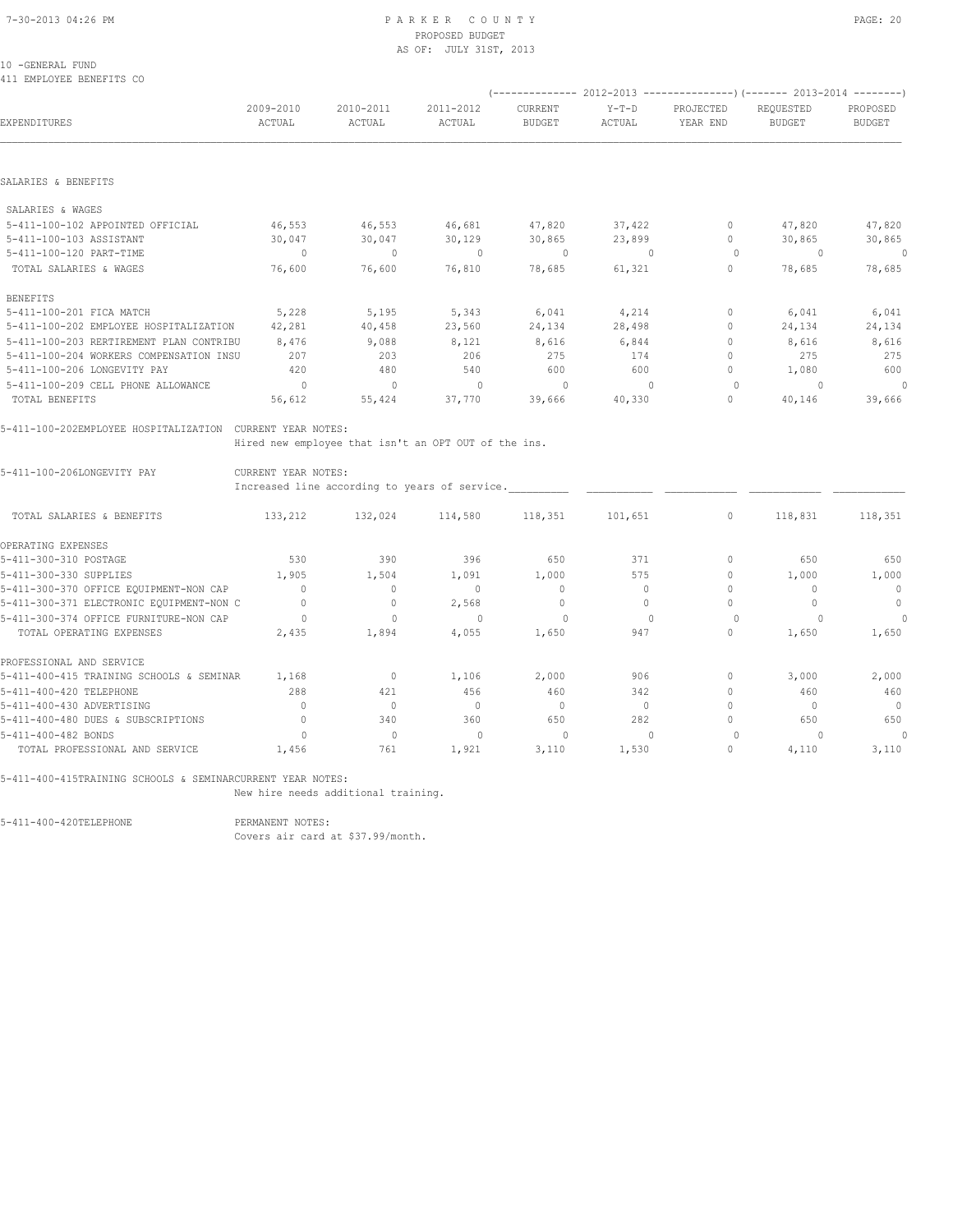## PROPOSED BUDGET AS OF: JULY 31ST, 2013

## 10 -GENERAL FUND

411 EMPLOYEE BENEFITS CO

|                                                           |                     |                                                      |                      |                          |                   |                       | $(----------2012-2013------------)$ $(----2013-2014------)$ |                           |
|-----------------------------------------------------------|---------------------|------------------------------------------------------|----------------------|--------------------------|-------------------|-----------------------|-------------------------------------------------------------|---------------------------|
| <b>EXPENDITURES</b>                                       | 2009-2010<br>ACTUAL | 2010-2011<br>ACTUAL                                  | 2011-2012<br>ACTUAL  | CURRENT<br><b>BUDGET</b> | $Y-T-D$<br>ACTUAL | PROJECTED<br>YEAR END | REQUESTED<br><b>BUDGET</b>                                  | PROPOSED<br><b>BUDGET</b> |
|                                                           |                     |                                                      |                      |                          |                   |                       |                                                             |                           |
| SALARIES & BENEFITS                                       |                     |                                                      |                      |                          |                   |                       |                                                             |                           |
| SALARIES & WAGES                                          |                     |                                                      |                      |                          |                   |                       |                                                             |                           |
| 5-411-100-102 APPOINTED OFFICIAL                          | 46,553              | 46,553                                               | 46,681 47,820 37,422 |                          |                   |                       | 0 $47,820$                                                  | 47,820                    |
| 5-411-100-103 ASSISTANT                                   | 30,047              | 30,047                                               | 30,129               | 30,865                   | 23,899            | $\overline{0}$        | 30,865                                                      | 30,865                    |
| 5-411-100-120 PART-TIME                                   | $\sim$ 0            | $\sim$ 0                                             | $\sim$ 0             | $\sim$ 0                 | $\sim$ 0          | $\sim$ 0              | $\sim$ 0                                                    | $\circ$                   |
| TOTAL SALARIES & WAGES                                    | 76,600              | 76,600                                               | 76,810               |                          | 78,685 61,321     | $\Omega$              | 78,685                                                      | 78,685                    |
| <b>BENEFITS</b>                                           |                     |                                                      |                      |                          |                   |                       |                                                             |                           |
| 5-411-100-201 FICA MATCH                                  | 5,228               | 5,195 5,343 6,041                                    |                      |                          | 4,214             | $\circ$               | 6,041                                                       | 6,041                     |
| 5-411-100-202 EMPLOYEE HOSPITALIZATION                    | 42,281              | 40,458                                               | 23,560               |                          | 24,134 28,498     | $\circ$               | 24,134                                                      | 24,134                    |
| 5-411-100-203 RERTIREMENT PLAN CONTRIBU                   | 8,476               | 9.088                                                | 8,121                | 8,616                    | 6,844             | $\Omega$              | 8,616                                                       | 8,616                     |
| 5-411-100-204 WORKERS COMPENSATION INSU                   | 207                 | 203                                                  | 206                  | 275                      | 174               | $\circ$               | 275                                                         | 275                       |
| 5-411-100-206 LONGEVITY PAY                               | 420                 | 480                                                  | 540                  | 600                      | 600               | $\circ$               | 1,080                                                       | 600                       |
| 5-411-100-209 CELL PHONE ALLOWANCE                        | $\sim$ 0            | $\overline{0}$                                       | $\sim$ 0             | $\overline{0}$           | $\overline{0}$    | $\bigcirc$            | $\sim$ 0                                                    | $\circ$                   |
| TOTAL BENEFITS                                            | 56,612              | 55,424 37,770                                        |                      | 39,666                   | 40,330            | $\circ$               | 40,146                                                      | 39,666                    |
| 5-411-100-202EMPLOYEE HOSPITALIZATION CURRENT YEAR NOTES: |                     |                                                      |                      |                          |                   |                       |                                                             |                           |
|                                                           |                     | Hired new employee that isn't an OPT OUT of the ins. |                      |                          |                   |                       |                                                             |                           |
| 5-411-100-206LONGEVITY PAY                                | CURRENT YEAR NOTES: |                                                      |                      |                          |                   |                       |                                                             |                           |
|                                                           |                     | Increased line according to years of service.        |                      |                          |                   |                       |                                                             |                           |
| TOTAL SALARIES & BENEFITS                                 |                     | 133,212 132,024 114,580 118,351 101,651              |                      |                          |                   | $\circ$               |                                                             | 118,831 118,351           |

| TAIUT AUTUTTA & BENETIN                  | 1001212 | 1.961027     | $+ +     -$ | 1101JJ1      | $+0+1$ $0-1$ |          | 110,001 | 110,001                          |
|------------------------------------------|---------|--------------|-------------|--------------|--------------|----------|---------|----------------------------------|
| OPERATING EXPENSES                       |         |              |             |              |              |          |         |                                  |
| 5-411-300-310 POSTAGE                    | 530     | 390          | 396         | 650          | 371          | $\Omega$ | 650     | 650                              |
| 5-411-300-330 SUPPLIES                   | 1,905   | 1,504        | 1,091       | 1,000        | 575          | $\Omega$ | 1,000   | 1,000                            |
| 5-411-300-370 OFFICE EQUIPMENT-NON CAP   |         | 0            |             | $\mathbf{0}$ |              |          |         | $\mathbf{0}$                     |
| 5-411-300-371 ELECTRONIC EQUIPMENT-NON C |         | $\Omega$     | 2,568       | 0            |              |          |         | $\circ$                          |
| 5-411-300-374 OFFICE FURNITURE-NON CAP   |         |              |             |              |              |          |         |                                  |
| TOTAL OPERATING EXPENSES                 | 2,435   | 1,894        | 4,055       | 1,650        | 947          | 0        | 1,650   | 1,650                            |
| PROFESSIONAL AND SERVICE                 |         |              |             |              |              |          |         |                                  |
| 5-411-400-415 TRAINING SCHOOLS & SEMINAR | 1,168   | $\mathbf{0}$ | 1,106       | 2,000        | 906          | $\Omega$ | 3,000   | 2,000                            |
| 5-411-400-420 TELEPHONE                  | 288     | 421          | 456         | 460          | 342          | 0        | 460     | 460                              |
| 5-411-400-430 ADVERTISING                |         | 0            |             | $\mathbf{0}$ |              |          |         | $\begin{array}{c} \n\end{array}$ |
| 5-411-400-480 DUES & SUBSCRIPTIONS       |         | 340          | 360         | 650          | 282          | $\Omega$ | 650     | 650                              |
| 5-411-400-482 BONDS                      |         | $\Omega$     |             |              |              |          |         |                                  |
| TOTAL PROFESSIONAL AND SERVICE           | 1,456   | 761          | 1,921       | 3,110        | 1,530        | 0        | 4,110   | 3,110                            |

5-411-400-415TRAINING SCHOOLS & SEMINARCURRENT YEAR NOTES:

New hire needs additional training.

5-411-400-420TELEPHONE

PERMANENT NOTES:<br>Covers air card at \$37.99/month.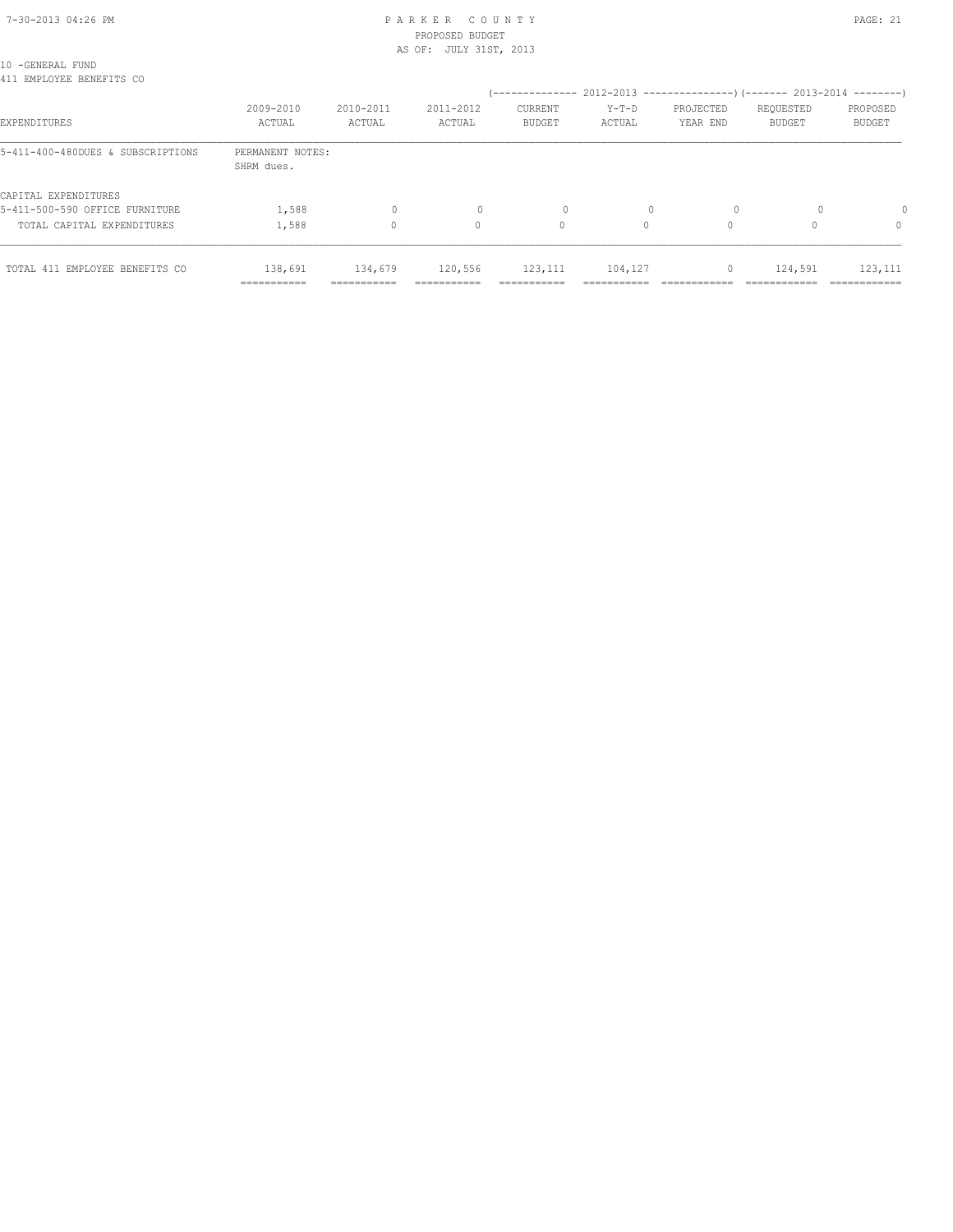## 7-30-2013 04:26 PM P A R K E R C O U N T Y PAGE: 21 PROPOSED BUDGET AS OF: JULY 31ST, 2013

10 -GENERAL FUND 10 SENERIE IONE<br>111 EMBLOVEE BENEFITS CO

| 411 EMPLOYEE BENEFITS CO          |                                |                     |                     |                                 |                   | (-------------- 2012-2013 --------------------- 2013-2014 ---------- |                     |                           |
|-----------------------------------|--------------------------------|---------------------|---------------------|---------------------------------|-------------------|----------------------------------------------------------------------|---------------------|---------------------------|
| EXPENDITURES                      | 2009-2010<br>ACTUAL            | 2010-2011<br>ACTUAL | 2011-2012<br>ACTUAL | <b>CURRENT</b><br><b>BUDGET</b> | $Y-T-D$<br>ACTUAL | PROJECTED<br>YEAR END                                                | REQUESTED<br>BUDGET | PROPOSED<br><b>BUDGET</b> |
| 5-411-400-480DUES & SUBSCRIPTIONS | PERMANENT NOTES:<br>SHRM dues. |                     |                     |                                 |                   |                                                                      |                     |                           |
| CAPITAL EXPENDITURES              |                                |                     |                     |                                 |                   |                                                                      |                     |                           |
| 5-411-500-590 OFFICE FURNITURE    | 1,588                          | 0                   |                     | $\Omega$                        |                   |                                                                      |                     |                           |
| TOTAL CAPITAL EXPENDITURES        | 1,588                          | $\Omega$            | 0                   | 0                               | $\Omega$          |                                                                      |                     | $\Omega$                  |
| TOTAL 411 EMPLOYEE BENEFITS CO    | 138,691                        | 134,679             | 120,556             | 123, 111                        | 104,127           | 0                                                                    | 124,591             | 123, 111                  |
|                                   | ===========                    | ===========         | ===========         | ===========                     | ------------      | ============                                                         | ============        | =============             |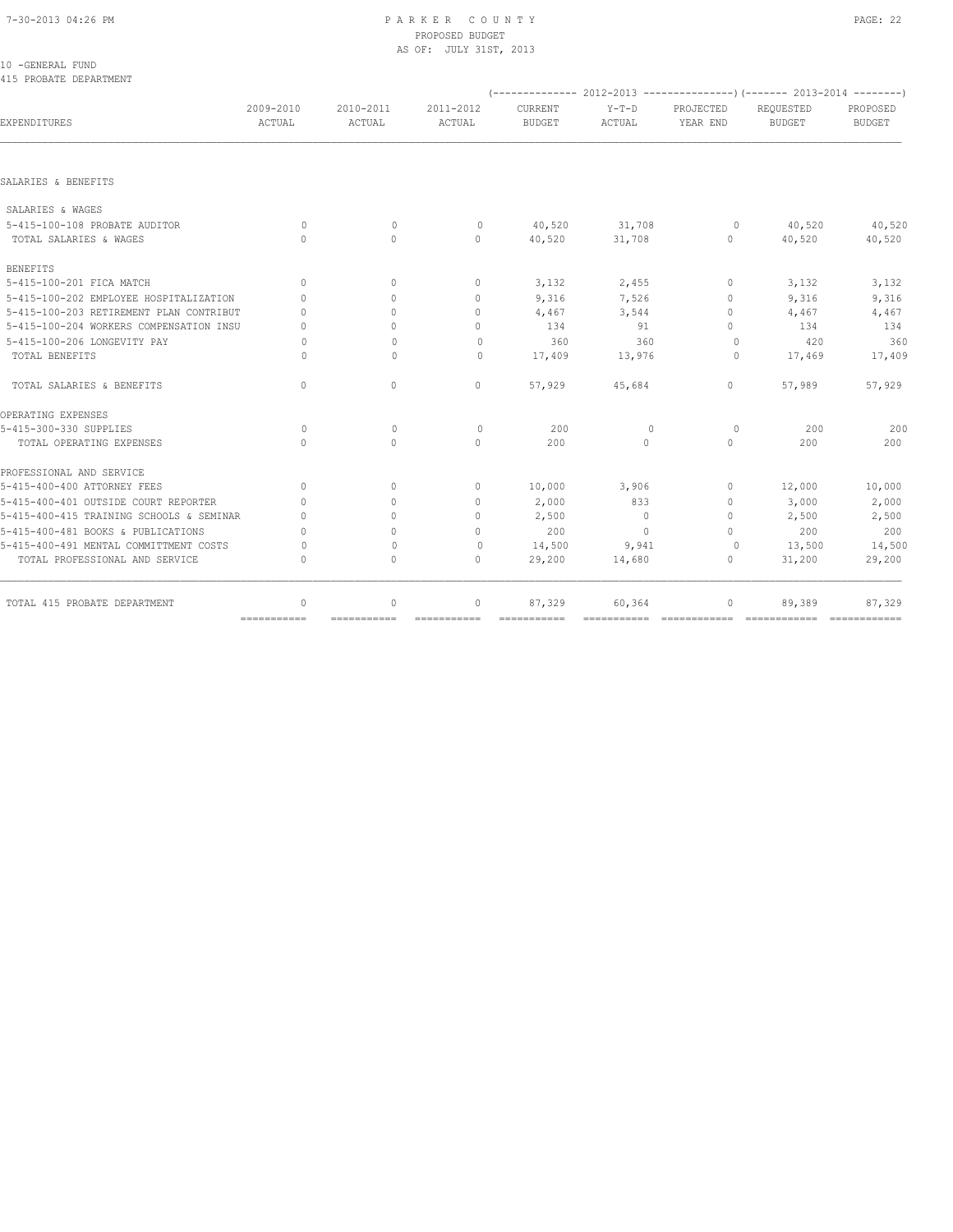# PROPOSED BUDGET

|                                            |           |              | AS OF: JULY 31ST, 2013           |               |         |                                  |                                                                          |          |
|--------------------------------------------|-----------|--------------|----------------------------------|---------------|---------|----------------------------------|--------------------------------------------------------------------------|----------|
| 10 -GENERAL FUND<br>415 PROBATE DEPARTMENT |           |              |                                  |               |         |                                  |                                                                          |          |
|                                            |           |              |                                  |               |         |                                  | (-------------- 2012-2013 ----------------) (------- 2013-2014 --------) |          |
|                                            | 2009-2010 | 2010-2011    | 2011-2012                        | CURRENT       | $Y-T-D$ | PROJECTED                        | REQUESTED                                                                | PROPOSED |
| <b>EXPENDITURES</b>                        | ACTUAL    | ACTUAL       | ACTUAL                           | <b>BUDGET</b> | ACTUAL  | YEAR END                         | <b>BUDGET</b>                                                            | BUDGET   |
|                                            |           |              |                                  |               |         |                                  |                                                                          |          |
| SALARIES & BENEFITS                        |           |              |                                  |               |         |                                  |                                                                          |          |
| SALARIES & WAGES                           |           |              |                                  |               |         |                                  |                                                                          |          |
| 5-415-100-108 PROBATE AUDITOR              | $\Omega$  | $\mathbf{0}$ | $\mathbf{0}$                     | 40,520        | 31,708  | $\circ$                          | 40,520                                                                   | 40,520   |
| TOTAL SALARIES & WAGES                     | $\Omega$  | $\Omega$     | $\Omega$                         | 40,520        | 31,708  | $\Omega$                         | 40,520                                                                   | 40,520   |
| BENEFITS                                   |           |              |                                  |               |         |                                  |                                                                          |          |
| 5-415-100-201 FICA MATCH                   | $\Omega$  |              | $\mathbf{0}$                     | 3,132         | 2,455   | $\mathbf{0}$                     | 3,132                                                                    | 3,132    |
| 5-415-100-202 EMPLOYEE HOSPITALIZATION     | $\circ$   | $\Omega$     | $\mathbf{0}$                     | 9,316         | 7,526   | $\mathbf{0}$                     | 9,316                                                                    | 9,316    |
| 5-415-100-203 RETIREMENT PLAN CONTRIBUT    | $\cap$    |              | $\begin{array}{c} \n\end{array}$ | 4,467         | 3,544   | $\begin{array}{c} \n\end{array}$ | 4,467                                                                    | 4,467    |
| 5-415-100-204 WORKERS COMPENSATION INSU    | $\Omega$  |              | $\Omega$                         | 134           | 91      | 0                                | 134                                                                      | 134      |
| 5-415-100-206 LONGEVITY PAY                |           | $\mathbf{0}$ | 0                                | 360           | 360     | $\Omega$                         | 420                                                                      | 360      |

 TOTAL BENEFITS 0 0 0 17,409 13,976 0 17,469 17,409 TOTAL SALARIES & BENEFITS 0 0 0 57,929 45,684 0 57,989 57,929 OPERATING EXPENSES 5-415-300-330 SUPPLIES 0 0 0 200 0 0 200 200 TOTAL OPERATING EXPENSES 0 0 0 200 0 0 200 200 PROFESSIONAL AND SERVICE<br>5-415-400-400 ATTORNEY FEES 5-415-400-400 ATTORNEY FEES 0 0 0 10,000 3,906 0 12,000 10,000 5-415-400-401 OUTSIDE COURT REPORTER 0 0 0 2,000 833 0 3,000 2,000 5-415-400-415 TRAINING SCHOOLS & SEMINAR 0 0 0 2,500 0 0 2,500 2,500 5-415-400-481 BOOKS & PUBLICATIONS 0 0 0 200 0 0 200 200 5-415-400-491 MENTAL COMMITTMENT COSTS 0 0 0 14,500 9,941 0 13,500 14,500 TOTAL PROFESSIONAL AND SERVICE 0 0 0 29,200 14,680 0 31,200 29,200 TOTAL 415 PROBATE DEPARTMENT 0 0 0 87,329 60,364 0 89,389 87,329

=========== =========== =========== =========== =========== ============ ============ ============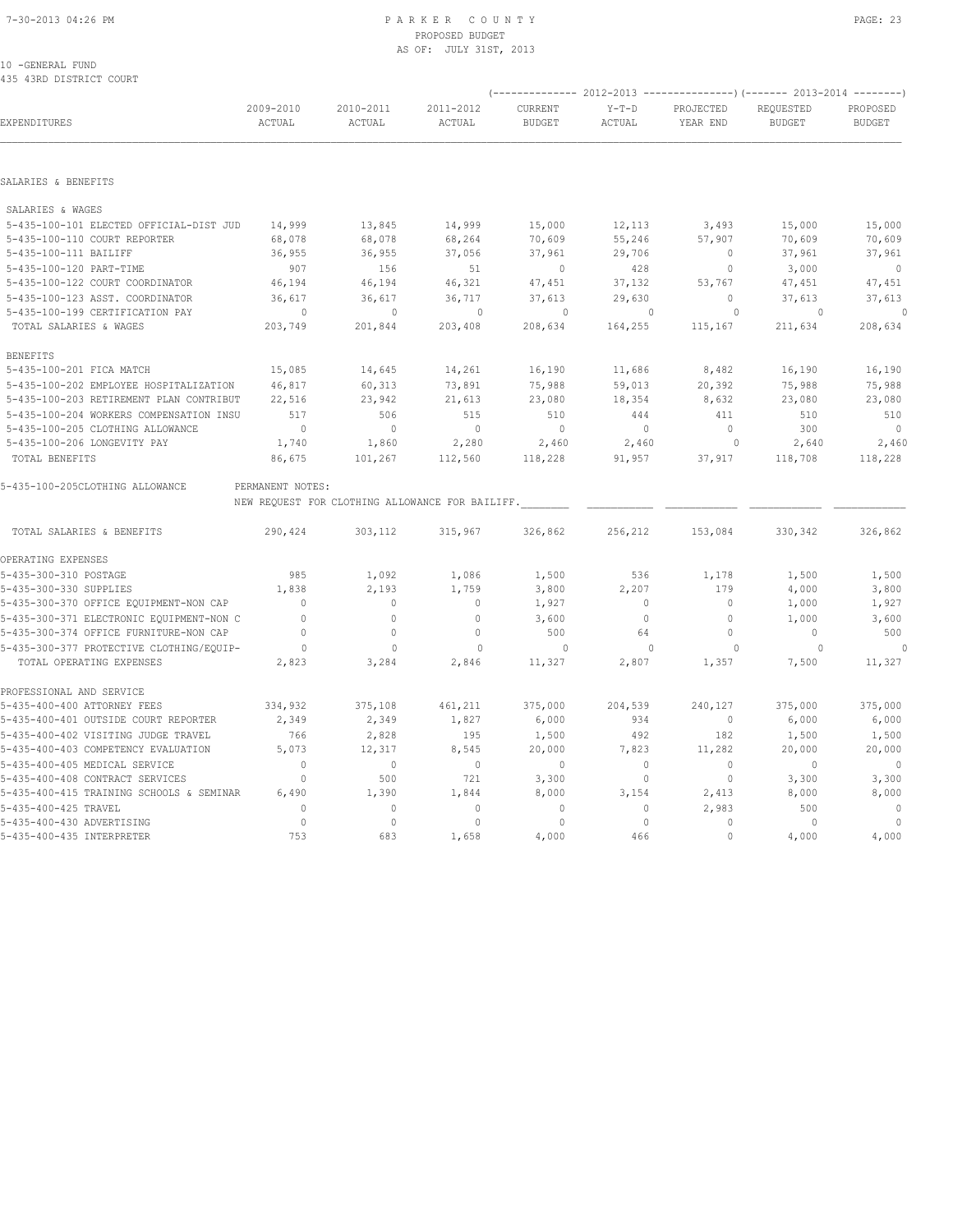## 7-30-2013 04:26 PM P A R K E R C O U N T Y PAGE: 23 PROPOSED BUDGET AS OF: JULY 31ST, 2013

10 -GENERAL FUND 435 43RD DISTRICT COURT

|                                          |                     |                                                 |                     |                          |                   |                       | (-------------- 2012-2013 ----------------) (------- 2013-2014 --------) |                           |
|------------------------------------------|---------------------|-------------------------------------------------|---------------------|--------------------------|-------------------|-----------------------|--------------------------------------------------------------------------|---------------------------|
| EXPENDITURES                             | 2009-2010<br>ACTUAL | 2010-2011<br>ACTUAL                             | 2011-2012<br>ACTUAL | CURRENT<br><b>BUDGET</b> | $Y-T-D$<br>ACTUAL | PROJECTED<br>YEAR END | REQUESTED<br><b>BUDGET</b>                                               | PROPOSED<br><b>BUDGET</b> |
|                                          |                     |                                                 |                     |                          |                   |                       |                                                                          |                           |
| SALARIES & BENEFITS                      |                     |                                                 |                     |                          |                   |                       |                                                                          |                           |
| SALARIES & WAGES                         |                     |                                                 |                     |                          |                   |                       |                                                                          |                           |
| 5-435-100-101 ELECTED OFFICIAL-DIST JUD  | 14,999              | 13,845                                          | 14,999              | 15,000                   | 12,113            | 3,493                 | 15,000                                                                   | 15,000                    |
| 5-435-100-110 COURT REPORTER             | 68,078              | 68,078                                          | 68,264              | 70,609                   | 55,246            | 57,907                | 70,609                                                                   | 70,609                    |
| 5-435-100-111 BAILIFF                    | 36,955              | 36,955                                          | 37,056              | 37,961                   | 29,706            | $\circ$               | 37,961                                                                   | 37,961                    |
| 5-435-100-120 PART-TIME                  | 907                 | 156                                             | 51                  | $\mathbf{0}$             | 428               | $\circ$               | 3,000                                                                    | $\overline{0}$            |
| 5-435-100-122 COURT COORDINATOR          | 46,194              | 46,194                                          | 46,321              | 47,451                   | 37,132            | 53,767                | 47,451                                                                   | 47,451                    |
| 5-435-100-123 ASST. COORDINATOR          | 36,617              | 36,617                                          | 36,717              | 37,613                   | 29,630            | $\circ$               | 37,613                                                                   | 37,613                    |
| 5-435-100-199 CERTIFICATION PAY          | $\circ$             | $\mathbf{0}$                                    | $\circ$             | $\circ$                  | $\mathbf{0}$      | $\circ$               | $\circ$                                                                  | $\circ$                   |
| TOTAL SALARIES & WAGES                   | 203,749             | 201,844                                         | 203,408             | 208,634                  | 164,255           | 115,167               | 211,634                                                                  | 208,634                   |
| <b>BENEFITS</b>                          |                     |                                                 |                     |                          |                   |                       |                                                                          |                           |
| 5-435-100-201 FICA MATCH                 | 15,085              | 14,645                                          | 14,261              | 16,190                   | 11,686            | 8,482                 | 16,190                                                                   | 16,190                    |
| 5-435-100-202 EMPLOYEE HOSPITALIZATION   | 46,817              | 60,313                                          | 73,891              | 75,988                   | 59,013            | 20,392                | 75,988                                                                   | 75,988                    |
| 5-435-100-203 RETIREMENT PLAN CONTRIBUT  | 22,516              | 23,942                                          | 21,613              | 23,080                   | 18,354            | 8,632                 | 23,080                                                                   | 23,080                    |
| 5-435-100-204 WORKERS COMPENSATION INSU  | 517                 | 506                                             | 515                 | 510                      | 444               | 411                   | 510                                                                      | 510                       |
| 5-435-100-205 CLOTHING ALLOWANCE         | $\overline{0}$      | $\mathbb O$                                     | $\overline{0}$      | $\overline{0}$           | $\circ$           | $\circ$               | 300                                                                      | $\overline{0}$            |
| 5-435-100-206 LONGEVITY PAY              | 1,740               | 1,860                                           | 2,280               | 2,460                    | 2,460             | $\circ$               | 2,640                                                                    | 2,460                     |
| TOTAL BENEFITS                           | 86,675              | 101,267                                         | 112,560             | 118,228                  | 91,957            | 37,917                | 118,708                                                                  | 118,228                   |
| 5-435-100-205CLOTHING ALLOWANCE          | PERMANENT NOTES:    |                                                 |                     |                          |                   |                       |                                                                          |                           |
|                                          |                     | NEW REQUEST FOR CLOTHING ALLOWANCE FOR BAILIFF. |                     |                          |                   |                       |                                                                          |                           |
| TOTAL SALARIES & BENEFITS                | 290,424             | 303,112                                         | 315,967             | 326,862                  | 256,212           | 153,084               | 330,342                                                                  | 326,862                   |
| OPERATING EXPENSES                       |                     |                                                 |                     |                          |                   |                       |                                                                          |                           |
| 5-435-300-310 POSTAGE                    | 985                 | 1,092                                           | 1,086               | 1,500                    | 536               | 1,178                 | 1,500                                                                    | 1,500                     |
| 5-435-300-330 SUPPLIES                   | 1,838               | 2,193                                           | 1,759               | 3,800                    | 2,207             | 179                   | 4,000                                                                    | 3,800                     |
| 5-435-300-370 OFFICE EQUIPMENT-NON CAP   | $\circ$             | $\circ$                                         | $\circ$             | 1,927                    | $\circ$           | $\circ$               | 1,000                                                                    | 1,927                     |
| 5-435-300-371 ELECTRONIC EQUIPMENT-NON C | $\overline{0}$      | $\circ$                                         | $\mathbf{0}$        | 3,600                    | $\circ$           | $\circ$               | 1,000                                                                    | 3,600                     |
| 5-435-300-374 OFFICE FURNITURE-NON CAP   | $\mathbf{0}$        | $\circ$                                         | $\circ$             | 500                      | 64                | $\circ$               | $\mathbf{0}$                                                             | 500                       |
| 5-435-300-377 PROTECTIVE CLOTHING/EQUIP- | $\overline{0}$      | $\mathbf{0}$                                    | $\mathbf{0}$        | $\circ$                  | $\mathbf{0}$      | 0                     | $\circ$                                                                  | 0                         |
| TOTAL OPERATING EXPENSES                 | 2,823               | 3,284                                           | 2,846               | 11,327                   | 2,807             | 1,357                 | 7,500                                                                    | 11,327                    |
| PROFESSIONAL AND SERVICE                 |                     |                                                 |                     |                          |                   |                       |                                                                          |                           |
| 5-435-400-400 ATTORNEY FEES              | 334,932             | 375,108                                         | 461,211             | 375,000                  | 204,539           | 240,127               | 375,000                                                                  | 375,000                   |
| 5-435-400-401 OUTSIDE COURT REPORTER     | 2,349               | 2,349                                           | 1,827               | 6,000                    | 934               | $\circ$               | 6,000                                                                    | 6,000                     |
| 5-435-400-402 VISITING JUDGE TRAVEL      | 766                 | 2,828                                           | 195                 | 1,500                    | 492               | 182                   | 1,500                                                                    | 1,500                     |
| 5-435-400-403 COMPETENCY EVALUATION      | 5,073               | 12,317                                          | 8,545               | 20,000                   | 7,823             | 11,282                | 20,000                                                                   | 20,000                    |
| 5-435-400-405 MEDICAL SERVICE            | $\mathbf{0}$        | $\circ$                                         | $\overline{0}$      | $\mathbf{0}$             | $\circ$           | $\mathbf{0}$          | $\mathbf{0}$                                                             | $\overline{0}$            |
| 5-435-400-408 CONTRACT SERVICES          | $\mathbf{0}$        | 500                                             | 721                 | 3,300                    | $\circ$           | $\circ$               | 3,300                                                                    | 3,300                     |
| 5-435-400-415 TRAINING SCHOOLS & SEMINAR | 6,490               | 1,390                                           | 1,844               | 8,000                    | 3,154             | 2,413                 | 8,000                                                                    | 8,000                     |
| 5-435-400-425 TRAVEL                     | $\bigcap$           | $\circ$                                         | $\mathbf{0}$        | $\mathbf{0}$             | $\circ$           | 2,983                 | 500                                                                      | $\sim$ 0                  |
| 5-435-400-430 ADVERTISING                | $\mathbf{0}$        | $\circ$                                         | $\circ$             | $\mathbf{0}$             | $\circ$           | $\mathbf{0}$          | $\mathbf{0}$                                                             | $\overline{0}$            |
| 5-435-400-435 INTERPRETER                | 753                 | 683                                             | 1,658               | 4,000                    | 466               | $\cap$                | 4,000                                                                    | 4,000                     |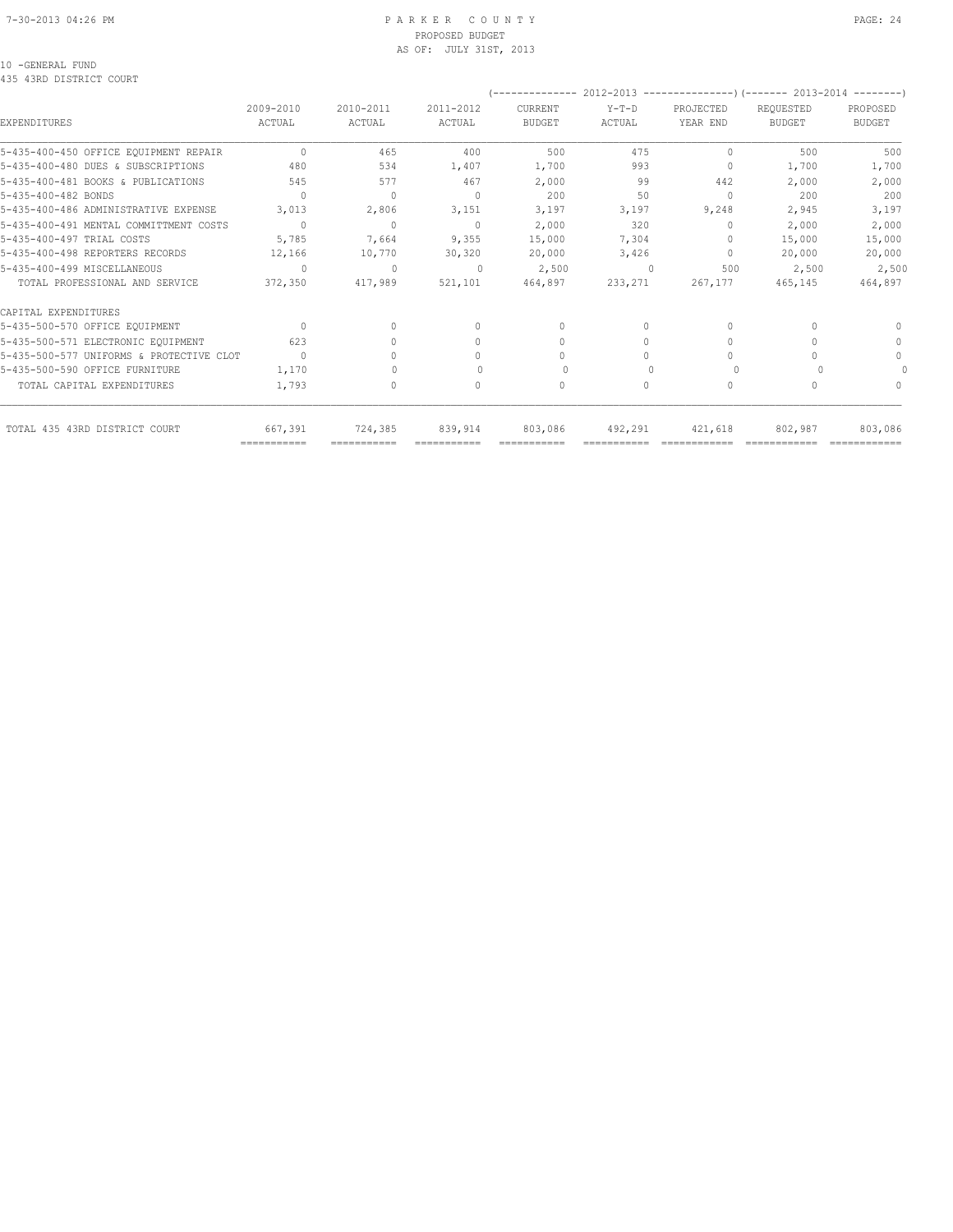## 7-30-2013 04:26 PM P A R K E R C O U N T Y PAGE: 24 PROPOSED BUDGET AS OF: JULY 31ST, 2013

## 10 -GENERAL FUND

435 43RD DISTRICT COURT

|                                          |               |                                  |              | .             |           |                                  | 2012-2013 --------------------- (------- 2013-2014 ----------) |               |
|------------------------------------------|---------------|----------------------------------|--------------|---------------|-----------|----------------------------------|----------------------------------------------------------------|---------------|
|                                          | $2009 - 2010$ | 2010-2011                        | 2011-2012    | CURRENT       | $Y-T-D$   | PROJECTED                        | REQUESTED                                                      | PROPOSED      |
| EXPENDITURES                             | ACTUAL        | ACTUAL                           | ACTUAL       | <b>BUDGET</b> | ACTUAL    | YEAR END                         | <b>BUDGET</b>                                                  | <b>BUDGET</b> |
| 5-435-400-450 OFFICE EQUIPMENT REPAIR    | $\Omega$      | 465                              | 400          | 500           | 475       | $\Omega$                         | 500                                                            | 500           |
| 5-435-400-480 DUES & SUBSCRIPTIONS       | 480           | 534                              | 1,407        | 1,700         | 993       | $\mathbf{0}$                     | 1,700                                                          | 1,700         |
| 5-435-400-481 BOOKS & PUBLICATIONS       | 545           | 577                              | 467          | 2,000         | 99        | 442                              | 2,000                                                          | 2,000         |
| 5-435-400-482 BONDS                      | $\Omega$      | $\mathbf{0}$                     | $\Omega$     | 200           | 50        | $\Omega$                         | 200                                                            | 200           |
| 5-435-400-486 ADMINISTRATIVE EXPENSE     | 3,013         | 2,806                            | 3,151        | 3,197         | 3,197     | 9,248                            | 2,945                                                          | 3,197         |
| 5-435-400-491 MENTAL COMMITTMENT COSTS   | $\Omega$      | $\mathbf{0}$                     | $\mathbf{0}$ | 2,000         | 320       | $\mathbf{0}$                     | 2,000                                                          | 2,000         |
| 5-435-400-497 TRIAL COSTS                | 5,785         | 7,664                            | 9,355        | 15,000        | 7,304     | 0                                | 15,000                                                         | 15,000        |
| 5-435-400-498 REPORTERS RECORDS          | 12,166        | 10,770                           | 30,320       | 20,000        | 3,426     | $\begin{array}{c} \n\end{array}$ | 20,000                                                         | 20,000        |
| 5-435-400-499 MISCELLANEOUS              | $\Omega$      | $\mathbf{0}$                     | $\mathbf{0}$ | 2,500         | $\Omega$  | 500                              | 2,500                                                          | 2,500         |
| TOTAL PROFESSIONAL AND SERVICE           | 372,350       | 417,989                          | 521,101      | 464,897       | 233,271   | 267,177                          | 465,145                                                        | 464,897       |
| CAPITAL EXPENDITURES                     |               |                                  |              |               |           |                                  |                                                                |               |
| 5-435-500-570 OFFICE EQUIPMENT           | $\bigcap$     | $\begin{array}{c} \n\end{array}$ | $\mathbf{0}$ | $\mathbf{0}$  | $\Omega$  | $\begin{array}{c} \n\end{array}$ |                                                                | $\Omega$      |
| 5-435-500-571 ELECTRONIC EQUIPMENT       | 623           |                                  | 0            | 0             | $\Omega$  | $\mathbf{0}$                     |                                                                | $\mathbf{0}$  |
| 5-435-500-577 UNIFORMS & PROTECTIVE CLOT | $\bigcirc$    |                                  | $\Omega$     | $\Omega$      |           | $\Omega$                         |                                                                | $\Omega$      |
| 5-435-500-590 OFFICE FURNITURE           | 1,170         |                                  |              | $\Omega$      |           | $\Omega$                         |                                                                |               |
| TOTAL CAPITAL EXPENDITURES               | 1,793         | 0                                | 0            | 0             | $\bigcap$ | 0                                |                                                                | $\bigcap$     |
| TOTAL 435 43RD DISTRICT COURT            | 667,391       | 724,385                          | 839,914      | 803,086       | 492,291   | 421,618                          | 802,987                                                        | 803,086       |
|                                          | ===========   | ===========                      |              | ===========   |           |                                  |                                                                |               |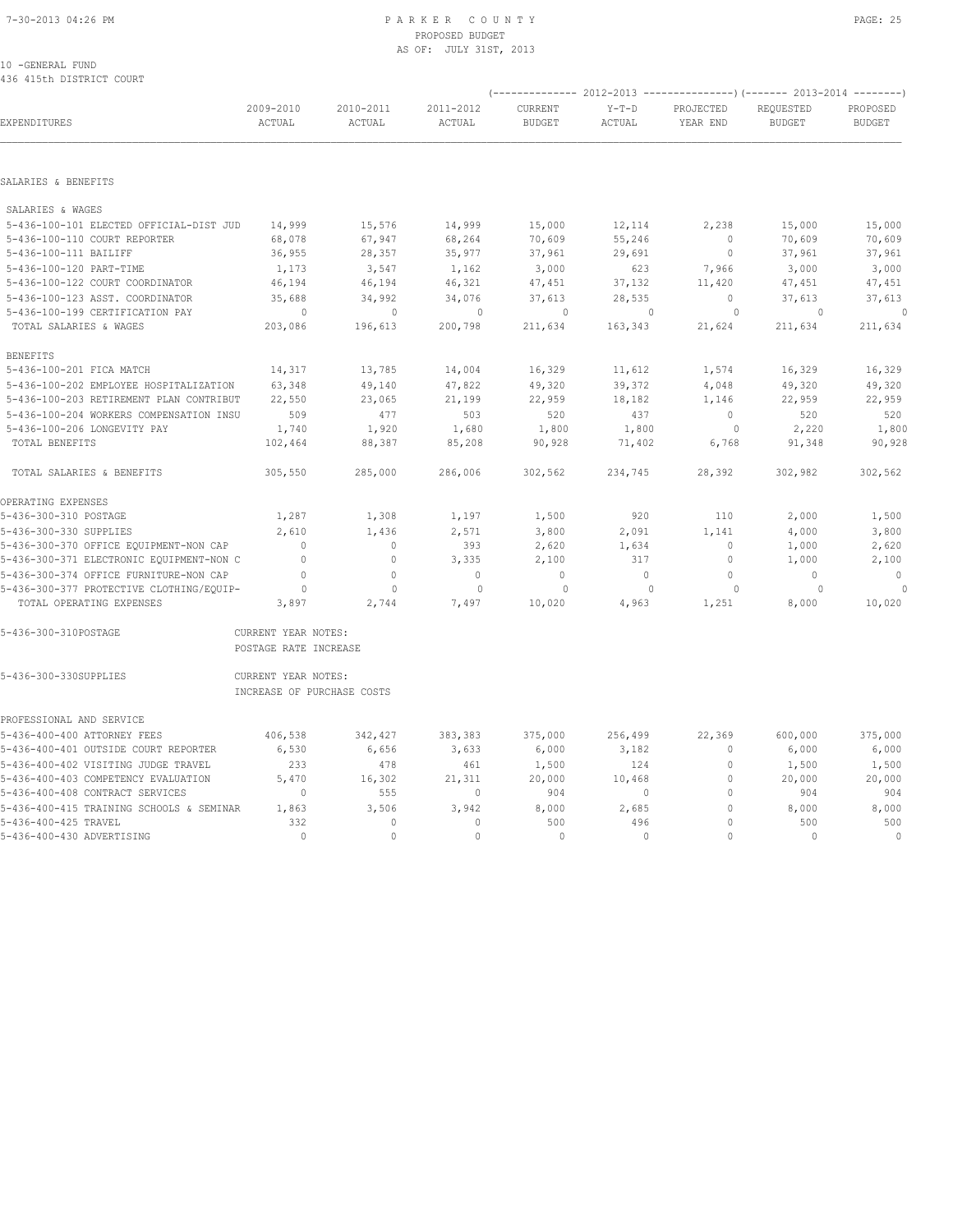## 7-30-2013 04:26 PM P A R K E R C O U N T Y PAGE: 25 PROPOSED BUDGET AS OF: JULY 31ST, 2013

| 490 419UN DISIKIUI UUUKI                 |                                                   |                     |                     |                                 |                          |                       | (-------------- 2012-2013 -------------------) (------- 2013-2014 ---------) |                           |
|------------------------------------------|---------------------------------------------------|---------------------|---------------------|---------------------------------|--------------------------|-----------------------|------------------------------------------------------------------------------|---------------------------|
| EXPENDITURES                             | 2009-2010<br>ACTUAL                               | 2010-2011<br>ACTUAL | 2011-2012<br>ACTUAL | <b>CURRENT</b><br><b>BUDGET</b> | $Y-T-D$<br><b>ACTUAL</b> | PROJECTED<br>YEAR END | REOUESTED<br><b>BUDGET</b>                                                   | PROPOSED<br><b>BUDGET</b> |
|                                          |                                                   |                     |                     |                                 |                          |                       |                                                                              |                           |
| SALARIES & BENEFITS                      |                                                   |                     |                     |                                 |                          |                       |                                                                              |                           |
| SALARIES & WAGES                         |                                                   |                     |                     |                                 |                          |                       |                                                                              |                           |
| 5-436-100-101 ELECTED OFFICIAL-DIST JUD  | 14,999                                            | 15,576              | 14,999              | 15,000                          | 12,114                   | 2,238                 | 15,000                                                                       | 15,000                    |
| 5-436-100-110 COURT REPORTER             | 68,078                                            | 67,947              | 68,264              | 70,609                          | 55,246                   | $\mathbf{0}$          | 70,609                                                                       | 70,609                    |
| 5-436-100-111 BAILIFF                    | 36,955                                            | 28,357              | 35,977              | 37,961                          | 29,691                   | $\circ$               | 37,961                                                                       | 37,961                    |
| 5-436-100-120 PART-TIME                  | 1,173                                             | 3,547               | 1,162               | 3,000                           | 623                      | 7,966                 | 3,000                                                                        | 3,000                     |
| 5-436-100-122 COURT COORDINATOR          | 46,194                                            | 46,194              | 46,321              | 47,451                          | 37,132                   | 11,420                | 47,451                                                                       | 47,451                    |
| 5-436-100-123 ASST. COORDINATOR          | 35,688                                            | 34,992              | 34,076              | 37,613                          | 28,535                   | $\circ$               | 37,613                                                                       | 37,613                    |
| 5-436-100-199 CERTIFICATION PAY          | $\circ$                                           | $\mathbf{0}$        | $\mathbf{0}$        | 0                               | $\mathbf{0}$             | 0                     | $\circ$                                                                      | $\circ$                   |
| TOTAL SALARIES & WAGES                   | 203,086                                           | 196,613             | 200,798             | 211,634                         | 163,343                  | 21,624                | 211,634                                                                      | 211,634                   |
| <b>BENEFITS</b>                          |                                                   |                     |                     |                                 |                          |                       |                                                                              |                           |
| 5-436-100-201 FICA MATCH                 | 14,317                                            | 13,785              | 14,004              | 16,329                          | 11,612                   | 1,574                 | 16,329                                                                       | 16,329                    |
| 5-436-100-202 EMPLOYEE HOSPITALIZATION   | 63,348                                            | 49,140              | 47,822              | 49,320                          | 39,372                   | 4,048                 | 49,320                                                                       | 49,320                    |
| 5-436-100-203 RETIREMENT PLAN CONTRIBUT  | 22,550                                            | 23,065              | 21,199              | 22,959                          | 18,182                   | 1,146                 | 22,959                                                                       | 22,959                    |
| 5-436-100-204 WORKERS COMPENSATION INSU  | 509                                               | 477                 | 503                 | 520                             | 437                      | $\Omega$              | 520                                                                          | 520                       |
| 5-436-100-206 LONGEVITY PAY              | 1,740                                             | 1,920               | 1,680               | 1,800                           | 1,800                    | $\circ$               | 2,220                                                                        | 1,800                     |
| TOTAL BENEFITS                           | 102,464                                           | 88,387              | 85,208              | 90,928                          | 71,402                   | 6,768                 | 91,348                                                                       | 90,928                    |
| TOTAL SALARIES & BENEFITS                | 305,550                                           | 285,000             | 286,006             | 302,562                         | 234,745                  | 28,392                | 302,982                                                                      | 302,562                   |
| OPERATING EXPENSES                       |                                                   |                     |                     |                                 |                          |                       |                                                                              |                           |
| 5-436-300-310 POSTAGE                    | 1,287                                             | 1,308               | 1,197               | 1,500                           | 920                      | 110                   | 2,000                                                                        | 1,500                     |
| 5-436-300-330 SUPPLIES                   | 2,610                                             | 1,436               | 2,571               | 3,800                           | 2,091                    | 1,141                 | 4,000                                                                        | 3,800                     |
| 5-436-300-370 OFFICE EQUIPMENT-NON CAP   | $\mathbf{0}$                                      | $\mathbf{0}$        | 393                 | 2,620                           | 1,634                    | $\mathbf{0}$          | 1,000                                                                        | 2,620                     |
| 5-436-300-371 ELECTRONIC EQUIPMENT-NON C | $\mathbf{0}$                                      | $\mathbf 0$         | 3,335               | 2,100                           | 317                      | $\mathbf{0}$          | 1,000                                                                        | 2,100                     |
| 5-436-300-374 OFFICE FURNITURE-NON CAP   | $\circ$                                           | $\mathbf{0}$        | $\mathbf{0}$        | $\mathbb O$                     | $\circ$                  | $\circ$               | $\mathbf{0}$                                                                 | $\mathbb O$               |
| 5-436-300-377 PROTECTIVE CLOTHING/EQUIP- | 0                                                 | $\mathbf{0}$        | $\mathbf{0}$        | 0                               | $\mathbf{0}$             | 0                     | $\Omega$                                                                     |                           |
| TOTAL OPERATING EXPENSES                 | 3,897                                             | 2,744               | 7,497               | 10,020                          | 4,963                    | 1,251                 | 8,000                                                                        | 10,020                    |
| 5-436-300-310POSTAGE                     | CURRENT YEAR NOTES:<br>POSTAGE RATE INCREASE      |                     |                     |                                 |                          |                       |                                                                              |                           |
| 5-436-300-330SUPPLIES                    | CURRENT YEAR NOTES:<br>INCREASE OF PURCHASE COSTS |                     |                     |                                 |                          |                       |                                                                              |                           |
| PROFESSIONAL AND SERVICE                 |                                                   |                     |                     |                                 |                          |                       |                                                                              |                           |
| 5-436-400-400 ATTORNEY FEES              | 406,538                                           | 342,427             | 383,383             | 375,000                         | 256,499                  | 22,369                | 600,000                                                                      | 375,000                   |
| 5-436-400-401 OUTSIDE COURT REPORTER     | 6,530                                             | 6,656               | 3,633               | 6,000                           | 3,182                    | $\mathbb O$           | 6,000                                                                        | 6,000                     |
| 5-436-400-402 VISITING JUDGE TRAVEL      | 233                                               | 478                 | 461                 | 1,500                           | 124                      | 0                     | 1,500                                                                        | 1,500                     |
| 5-436-400-403 COMPETENCY EVALUATION      | 5,470                                             | 16,302              | 21,311              | 20,000                          | 10,468                   | $\circ$               | 20,000                                                                       | 20,000                    |
| 5-436-400-408 CONTRACT SERVICES          | $\mathbf{0}$                                      | 555                 | $\mathbf 0$         | 904                             | 0                        | $\Omega$              | 904                                                                          | 904                       |
| 5-436-400-415 TRAINING SCHOOLS & SEMINAR | 1,863                                             | 3,506               | 3,942               | 8,000                           | 2,685                    | 0                     | 8,000                                                                        | 8,000                     |
| 5-436-400-425 TRAVEL                     | 332                                               | $\circ$             | $\mathbf{0}$        | 500                             | 496                      | $\Omega$              | 500                                                                          | 500                       |
| 5-436-400-430 ADVERTISING                | $\cap$                                            | $\Omega$            | $\Omega$            | $\Omega$                        | $\Omega$                 | $\cap$                | $\Omega$                                                                     | $\Omega$                  |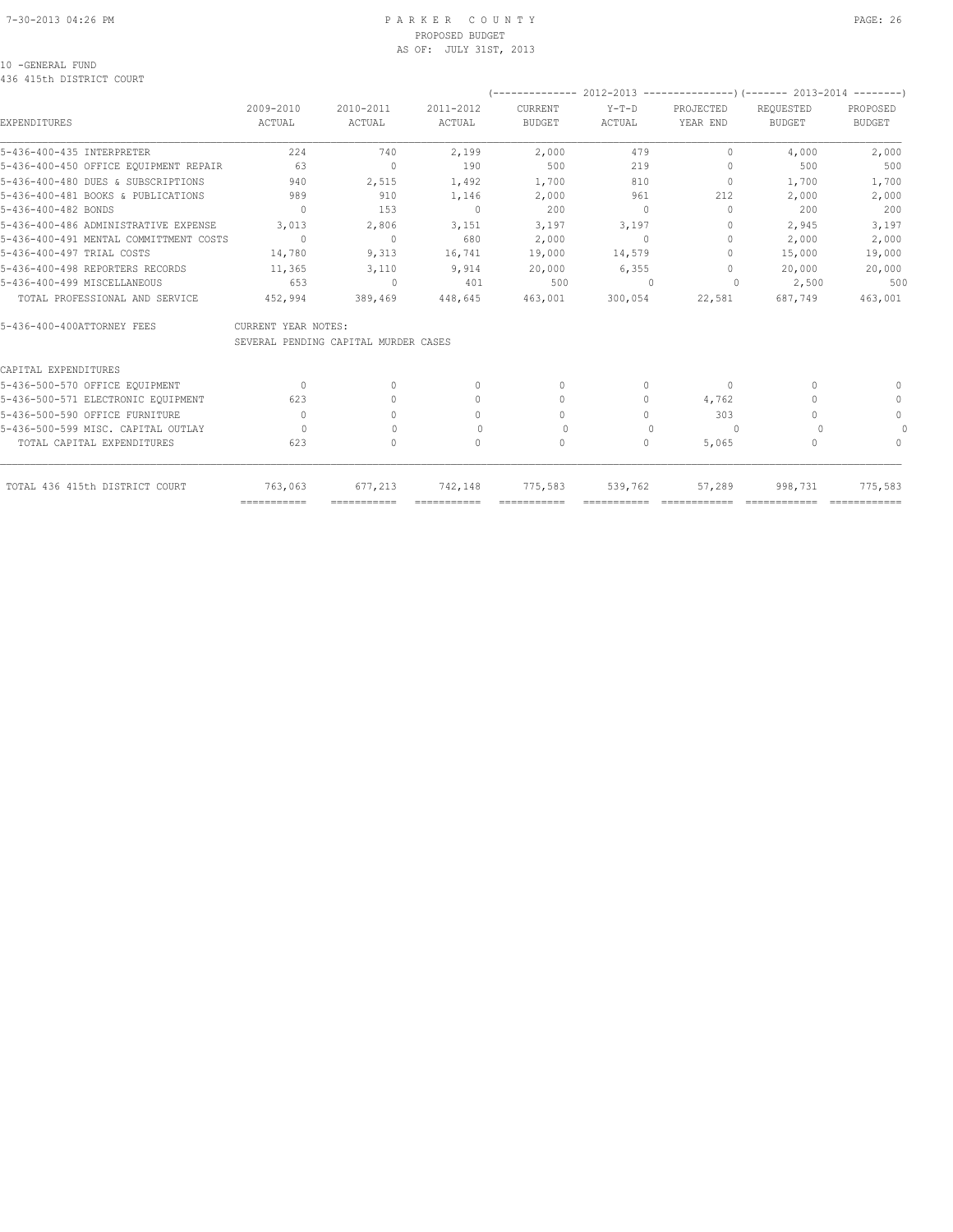#### 7-30-2013 04:26 PM P A R K E R C O U N T Y PAGE: 26 PROPOSED BUDGET AS OF: JULY 31ST, 2013

### 10 -GENERAL FUND

### 436 415th DISTRICT COURT

|                                        |                     |                                      |                                  |               |          |                                  | (-------------- 2012-2013 --------------------- 2013-2014 --------- ) |               |
|----------------------------------------|---------------------|--------------------------------------|----------------------------------|---------------|----------|----------------------------------|-----------------------------------------------------------------------|---------------|
|                                        | 2009-2010           | 2010-2011                            | 2011-2012                        | CURRENT       | $Y-T-D$  | <b>PROJECTED</b>                 | REQUESTED                                                             | PROPOSED      |
| <b>EXPENDITURES</b>                    | ACTUAL              | ACTUAL                               | ACTUAL                           | <b>BUDGET</b> | ACTUAL   | YEAR END                         | <b>BUDGET</b>                                                         | <b>BUDGET</b> |
| 5-436-400-435 INTERPRETER              | 224                 | 740                                  | 2,199                            | 2,000         | 479      | 0                                | 4,000                                                                 | 2,000         |
| 5-436-400-450 OFFICE EQUIPMENT REPAIR  | 63                  | $\begin{array}{c} \n\end{array}$     | 190                              | 500           | 219      | $\Omega$                         | 500                                                                   | 500           |
| 5-436-400-480 DUES & SUBSCRIPTIONS     | 940                 | 2,515                                | 1,492                            | 1,700         | 810      | 0                                | 1,700                                                                 | 1,700         |
| 5-436-400-481 BOOKS & PUBLICATIONS     | 989                 | 910                                  | 1,146                            | 2,000         | 961      | 212                              | 2,000                                                                 | 2,000         |
| 5-436-400-482 BONDS                    | $\Omega$            | 153                                  | $\mathbf{0}$                     | 200           | $\Omega$ | $\Omega$                         | 200                                                                   | 200           |
| 5-436-400-486 ADMINISTRATIVE EXPENSE   | 3,013               | 2,806                                | 3,151                            | 3,197         | 3,197    | $\mathbf{0}$                     | 2,945                                                                 | 3,197         |
| 5-436-400-491 MENTAL COMMITTMENT COSTS | $\Omega$            | $\bigcap$                            | 680                              | 2,000         | $\Omega$ | $\begin{array}{c} \n\end{array}$ | 2,000                                                                 | 2,000         |
| 5-436-400-497 TRIAL COSTS              | 14,780              | 9,313                                | 16,741                           | 19,000        | 14,579   | $\Omega$                         | 15,000                                                                | 19,000        |
| 5-436-400-498 REPORTERS RECORDS        | 11,365              | 3,110                                | 9,914                            | 20,000        | 6,355    | $\Omega$                         | 20,000                                                                | 20,000        |
| 5-436-400-499 MISCELLANEOUS            | 653                 | $\mathbf{0}$                         | 401                              | 500           |          | 0                                | 2,500                                                                 | 500           |
| TOTAL PROFESSIONAL AND SERVICE         | 452,994             | 389,469                              | 448,645                          | 463,001       | 300,054  | 22,581                           | 687,749                                                               | 463,001       |
| 5-436-400-400ATTORNEY FEES             | CURRENT YEAR NOTES: |                                      |                                  |               |          |                                  |                                                                       |               |
|                                        |                     | SEVERAL PENDING CAPITAL MURDER CASES |                                  |               |          |                                  |                                                                       |               |
| CAPITAL EXPENDITURES                   |                     |                                      |                                  |               |          |                                  |                                                                       |               |
| 5-436-500-570 OFFICE EQUIPMENT         | $\bigcap$           | $\Omega$                             | $\begin{array}{c} \n\end{array}$ | $\mathbf{0}$  | 0        | 0                                | n                                                                     |               |
| 5-436-500-571 ELECTRONIC EQUIPMENT     | 623                 | $\Omega$                             | $\mathbf{0}$                     | $\mathbf{0}$  | 0        | 4,762                            |                                                                       | $\mathbf{0}$  |
| 5-436-500-590 OFFICE FURNITURE         | $\bigcap$           | $\bigcap$                            | 0                                | $\Omega$      | $\Omega$ | 303                              |                                                                       | $\circ$       |
| 5-436-500-599 MISC. CAPITAL OUTLAY     | $\Omega$            | $\Omega$                             | $\Omega$                         | 0             | $\cup$   | $\Omega$                         |                                                                       |               |
| TOTAL CAPITAL EXPENDITURES             | 623                 | $\circ$                              | 0                                | 0             | 0        | 5,065                            | 0                                                                     | $\Omega$      |
| TOTAL 436 415th DISTRICT COURT         | 763,063             | 677.213                              | 742,148                          | 775,583       | 539,762  | 57,289                           | 998,731                                                               | 775,583       |
|                                        | ===========         | ===========                          |                                  |               |          |                                  |                                                                       |               |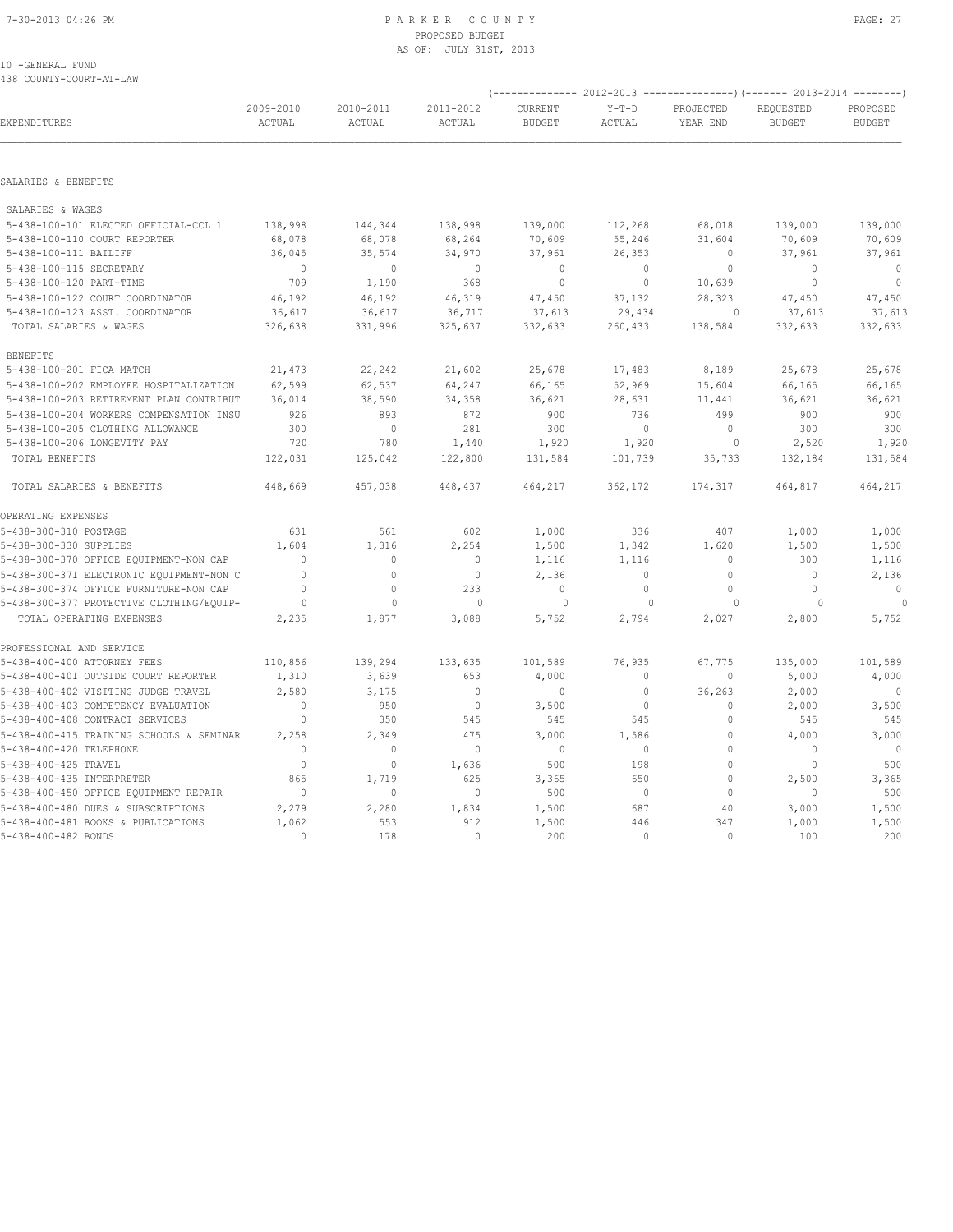#### 7-30-2013 04:26 PM P A R K E R C O U N T Y PAGE: 27 PROPOSED BUDGET AS OF: JULY 31ST, 2013

10 -GENERAL FUND 438 COUNTY-COURT-AT-LAW

|                                                                    |                     |                     |                            | $--------- 2012-2013$           |                   |                       | ---------------) (------- 2013-2014 |                           |
|--------------------------------------------------------------------|---------------------|---------------------|----------------------------|---------------------------------|-------------------|-----------------------|-------------------------------------|---------------------------|
| EXPENDITURES                                                       | 2009-2010<br>ACTUAL | 2010-2011<br>ACTUAL | 2011-2012<br><b>ACTUAL</b> | <b>CURRENT</b><br><b>BUDGET</b> | $Y-T-D$<br>ACTUAL | PROJECTED<br>YEAR END | REQUESTED<br><b>BUDGET</b>          | PROPOSED<br><b>BUDGET</b> |
| SALARIES & BENEFITS                                                |                     |                     |                            |                                 |                   |                       |                                     |                           |
|                                                                    |                     |                     |                            |                                 |                   |                       |                                     |                           |
| SALARIES & WAGES                                                   |                     |                     |                            |                                 |                   |                       |                                     |                           |
| 5-438-100-101 ELECTED OFFICIAL-CCL 1                               | 138,998             | 144,344             | 138,998                    | 139,000                         | 112,268           | 68,018                | 139,000                             | 139,000<br>70,609         |
| 5-438-100-110 COURT REPORTER<br>5-438-100-111 BAILIFF              | 68,078<br>36,045    | 68,078<br>35,574    | 68,264<br>34,970           | 70,609<br>37,961                | 55,246<br>26,353  | 31,604<br>0           | 70,609<br>37,961                    | 37,961                    |
| 5-438-100-115 SECRETARY                                            | $\overline{0}$      | $\circ$             | $\mathbf 0$                | $\circ$                         | $\circ$           | $\mathbf 0$           | $\mathbf 0$                         | $\mathbf 0$               |
| 5-438-100-120 PART-TIME                                            | 709                 | 1,190               | 368                        | $\mathbf 0$                     | $\circ$           | 10,639                | $\mathbf 0$                         | $\circ$                   |
|                                                                    | 46,192              | 46,192              | 46,319                     |                                 | 37,132            | 28,323                |                                     |                           |
| 5-438-100-122 COURT COORDINATOR<br>5-438-100-123 ASST. COORDINATOR | 36,617              | 36,617              | 36,717                     | 47,450<br>37,613                | 29,434            | $\Omega$              | 47,450<br>37,613                    | 47,450<br>37,613          |
| TOTAL SALARIES & WAGES                                             | 326,638             | 331,996             | 325,637                    | 332,633                         | 260,433           | 138,584               | 332,633                             | 332,633                   |
| <b>BENEFITS</b>                                                    |                     |                     |                            |                                 |                   |                       |                                     |                           |
| 5-438-100-201 FICA MATCH                                           | 21,473              | 22,242              | 21,602                     | 25,678                          | 17,483            | 8,189                 | 25,678                              | 25,678                    |
| 5-438-100-202 EMPLOYEE HOSPITALIZATION                             | 62,599              | 62,537              | 64,247                     | 66,165                          | 52,969            | 15,604                | 66,165                              | 66,165                    |
| 5-438-100-203 RETIREMENT PLAN CONTRIBUT                            | 36,014              | 38,590              | 34,358                     | 36,621                          | 28,631            | 11,441                | 36,621                              | 36,621                    |
| 5-438-100-204 WORKERS COMPENSATION INSU                            | 926                 | 893                 | 872                        | 900                             | 736               | 499                   | 900                                 | 900                       |
| 5-438-100-205 CLOTHING ALLOWANCE                                   | 300                 | $\circ$             | 281                        | 300                             | $\circ$           | $\circ$               | 300                                 | 300                       |
| 5-438-100-206 LONGEVITY PAY                                        | 720                 | 780                 | 1,440                      | 1,920                           | 1,920             | $\Omega$              | 2,520                               | 1,920                     |
| TOTAL BENEFITS                                                     | 122,031             | 125,042             | 122,800                    | 131,584                         | 101,739           | 35,733                | 132,184                             | 131,584                   |
| TOTAL SALARIES & BENEFITS                                          | 448,669             | 457,038             | 448,437                    | 464,217                         | 362,172           | 174,317               | 464,817                             | 464,217                   |
| OPERATING EXPENSES                                                 |                     |                     |                            |                                 |                   |                       |                                     |                           |
| 5-438-300-310 POSTAGE                                              | 631                 | 561                 | 602                        | 1,000                           | 336               | 407                   | 1,000                               | 1,000                     |
| 5-438-300-330 SUPPLIES                                             | 1,604               | 1,316               | 2,254                      | 1,500                           | 1,342             | 1,620                 | 1,500                               | 1,500                     |
| 5-438-300-370 OFFICE EQUIPMENT-NON CAP                             | $\Omega$            | $\mathbb O$         | $\mathbf{0}$               | 1,116                           | 1,116             | $\mathbf{0}$          | 300                                 | 1,116                     |
| 5-438-300-371 ELECTRONIC EQUIPMENT-NON C                           | $\Omega$            | $\circ$             | $\circ$                    | 2,136                           | $\circ$           | $\mathbf 0$           | $\mathbf{0}$                        | 2,136                     |
| 5-438-300-374 OFFICE FURNITURE-NON CAP                             | $\mathbf{0}$        | $\mathbf{0}$        | 233                        | $\mathbf{0}$                    | $\circ$           | $\mathbf{0}$          | $\mathbf{0}$                        | $\mathbf{0}$              |
| 5-438-300-377 PROTECTIVE CLOTHING/EQUIP-                           | $\circ$             | $\mathbf{0}$        | $\mathbf{0}$               | $\circ$                         | $\mathbf{0}$      | $\circ$               | 0                                   | $\theta$                  |
| TOTAL OPERATING EXPENSES                                           | 2,235               | 1,877               | 3,088                      | 5,752                           | 2,794             | 2,027                 | 2,800                               | 5,752                     |
| PROFESSIONAL AND SERVICE                                           |                     |                     |                            |                                 |                   |                       |                                     |                           |
| 5-438-400-400 ATTORNEY FEES                                        | 110,856             | 139,294             | 133,635                    | 101,589                         | 76,935            | 67,775                | 135,000                             | 101,589                   |
| 5-438-400-401 OUTSIDE COURT REPORTER                               | 1,310               | 3,639               | 653                        | 4,000                           | 0                 | 0                     | 5,000                               | 4,000                     |
| 5-438-400-402 VISITING JUDGE TRAVEL                                | 2,580               | 3,175               | $\mathbf{0}$               | $\mathbf{0}$                    | $\circ$           | 36,263                | 2,000                               | $\mathbf 0$               |
| 5-438-400-403 COMPETENCY EVALUATION                                | $\mathbf{0}$        | 950                 | $\circ$                    | 3,500                           | $\circ$           | $\mathbf{0}$          | 2,000                               | 3,500                     |
| 5-438-400-408 CONTRACT SERVICES                                    | $\mathbf{0}$        | 350                 | 545                        | 545                             | 545               | $\mathbf{0}$          | 545                                 | 545                       |
| 5-438-400-415 TRAINING SCHOOLS & SEMINAR                           | 2,258               | 2,349               | 475                        | 3,000                           | 1,586             | 0                     | 4,000                               | 3,000                     |
| 5-438-400-420 TELEPHONE                                            | $\mathbf{0}$        | $\circ$             | $\mathbb O$                | $\mathbf 0$                     | $\circ$           | 0                     | 0                                   | $\mathbf 0$               |
| 5-438-400-425 TRAVEL                                               | $\Omega$            | $\circ$             | 1,636                      | 500                             | 198               | 0<br>$\mathbf{0}$     | $\Omega$                            | 500                       |
| 5-438-400-435 INTERPRETER<br>5-438-400-450 OFFICE EQUIPMENT REPAIR | 865<br>$\mathbf{0}$ | 1,719<br>$\circ$    | 625<br>$\circ$             | 3,365<br>500                    | 650<br>$\circ$    | $\mathbf{0}$          | 2,500<br>$\mathbf{0}$               | 3,365<br>500              |
| 5-438-400-480 DUES & SUBSCRIPTIONS                                 |                     |                     |                            |                                 | 687               |                       |                                     |                           |
| 5-438-400-481 BOOKS & PUBLICATIONS                                 | 2,279<br>1,062      | 2,280<br>553        | 1,834<br>912               | 1,500<br>1,500                  | 446               | 40<br>347             | 3,000<br>1,000                      | 1,500<br>1,500            |
| 5-438-400-482 BONDS                                                | $\Omega$            | 178                 | $\Omega$                   | 200                             | $\Omega$          | $\Omega$              | 100                                 | 200                       |
|                                                                    |                     |                     |                            |                                 |                   |                       |                                     |                           |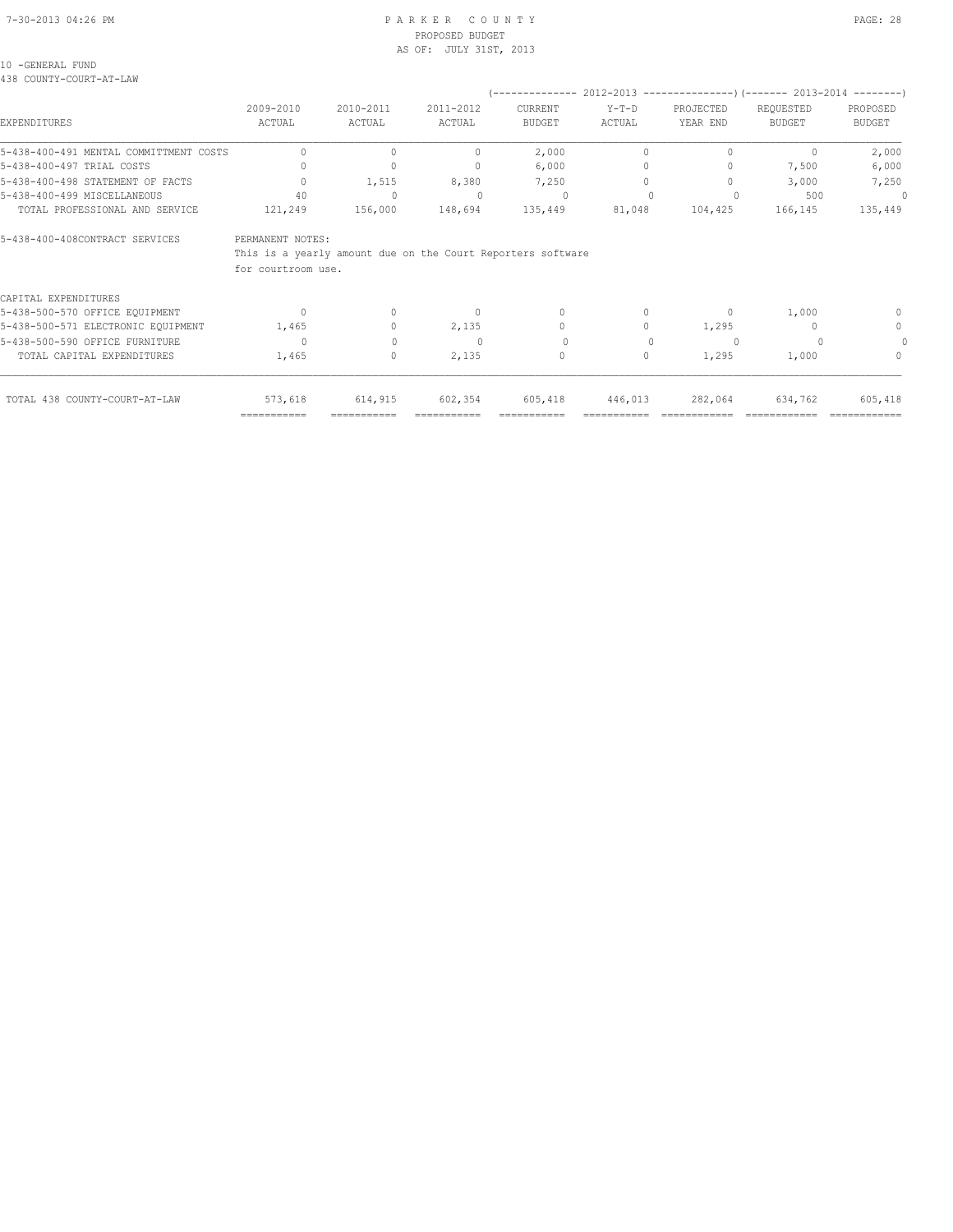#### 7-30-2013 04:26 PM P A R K E R C O U N T Y PAGE: 28 PROPOSED BUDGET AS OF: JULY 31ST, 2013

### 10 -GENERAL FUND

438 COUNTY-COURT-AT-LAW

|                                        |                                                                                                       |                                  |           |                                  |                                  |           | (-------------- 2012-2013 --------------------) (------- 2013-2014 ---------) |               |
|----------------------------------------|-------------------------------------------------------------------------------------------------------|----------------------------------|-----------|----------------------------------|----------------------------------|-----------|-------------------------------------------------------------------------------|---------------|
|                                        | 2009-2010                                                                                             | 2010-2011                        | 2011-2012 | CURRENT                          | $Y-T-D$                          | PROJECTED | REQUESTED                                                                     | PROPOSED      |
| <b>EXPENDITURES</b>                    | ACTUAL                                                                                                | ACTUAL                           | ACTUAL    | BUDGET                           | ACTUAL                           | YEAR END  | <b>BUDGET</b>                                                                 | <b>BUDGET</b> |
| 5-438-400-491 MENTAL COMMITTMENT COSTS |                                                                                                       |                                  | $\Omega$  | 2,000                            |                                  | 0         | $\begin{array}{c} \n\end{array}$                                              | 2,000         |
| 5-438-400-497 TRIAL COSTS              |                                                                                                       |                                  | $\Omega$  | 6,000                            | $\Omega$                         | $\Omega$  | 7,500                                                                         | 6,000         |
| 5-438-400-498 STATEMENT OF FACTS       | $\begin{array}{c} \n\end{array}$                                                                      | 1,515                            | 8,380     | 7,250                            |                                  | $\Omega$  | 3,000                                                                         | 7,250         |
| 5-438-400-499 MISCELLANEOUS            | 40                                                                                                    | $\begin{array}{c} \n\end{array}$ |           | $\Omega$                         | $\cup$                           |           | 500                                                                           | 0             |
| TOTAL PROFESSIONAL AND SERVICE         | 121,249                                                                                               | 156,000                          | 148,694   | 135,449                          | 81,048                           | 104,425   | 166,145                                                                       | 135,449       |
| 5-438-400-408CONTRACT SERVICES         | PERMANENT NOTES:<br>This is a yearly amount due on the Court Reporters software<br>for courtroom use. |                                  |           |                                  |                                  |           |                                                                               |               |
| CAPITAL EXPENDITURES                   |                                                                                                       |                                  |           |                                  |                                  |           |                                                                               |               |
| 5-438-500-570 OFFICE EQUIPMENT         |                                                                                                       | $\bigcap$                        | $\bigcap$ | $\begin{array}{c} \n\end{array}$ |                                  | $\circ$   | 1,000                                                                         | $\Omega$      |
| 5-438-500-571 ELECTRONIC EQUIPMENT     | 1,465                                                                                                 |                                  | 2,135     | $\Omega$                         | $\Omega$                         | 1,295     | n                                                                             | 0             |
| 5-438-500-590 OFFICE FURNITURE         | $\Omega$                                                                                              | $\bigcap$                        |           | $\Omega$                         | $\begin{array}{c} \n\end{array}$ | $\bigcap$ |                                                                               | 0             |
| TOTAL CAPITAL EXPENDITURES             | 1,465                                                                                                 | 0                                | 2,135     | 0                                | 0                                | 1,295     | 1,000                                                                         | $\Omega$      |
| TOTAL 438 COUNTY-COURT-AT-LAW          | 573,618                                                                                               | 614,915                          | 602,354   | 605,418                          | 446,013                          | 282,064   | 634,762                                                                       | 605,418       |

=========== =========== =========== =========== =========== ============ ============ ============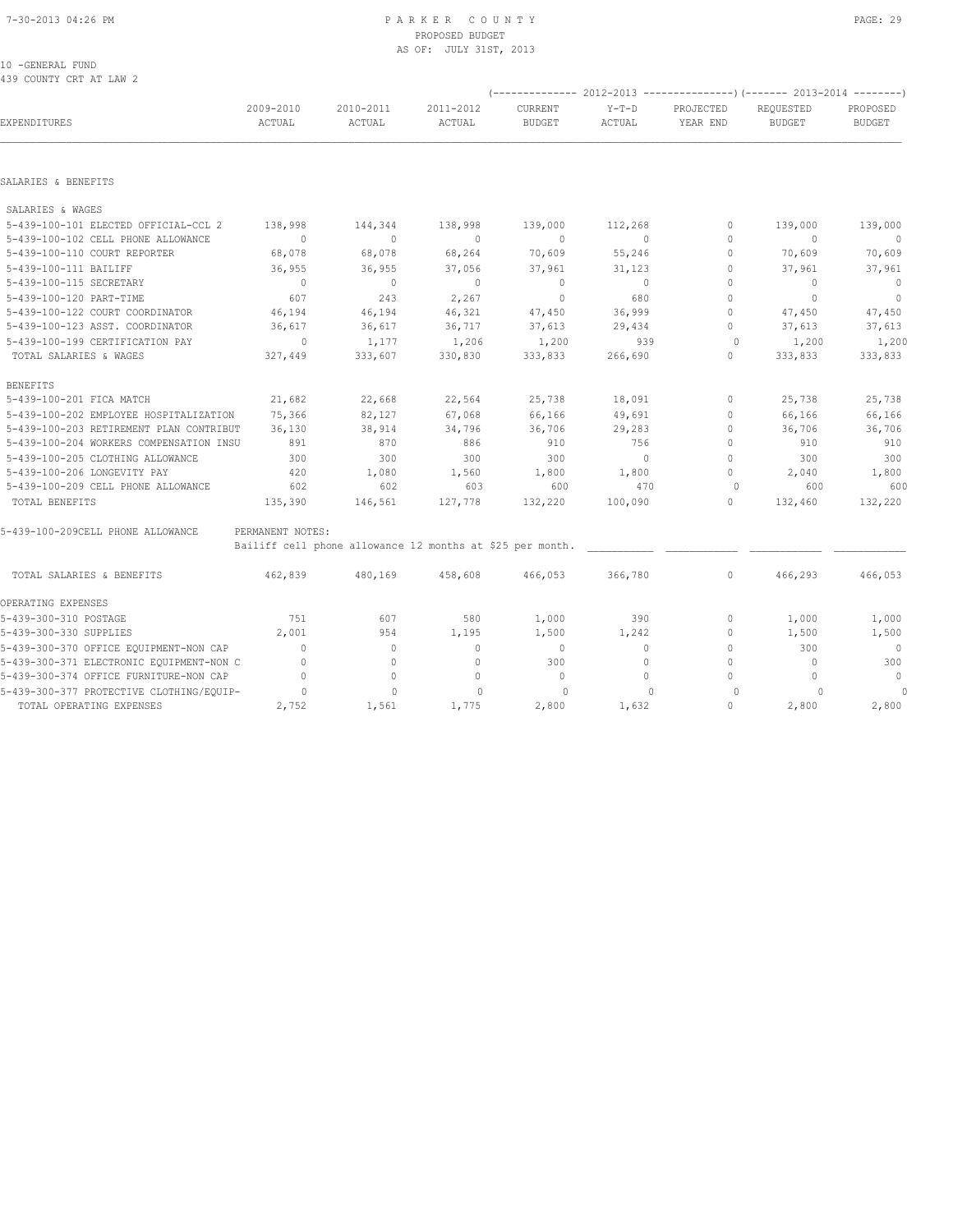#### 7-30-2013 04:26 PM P A R K E R C O U N T Y PAGE: 29 PROPOSED BUDGET AS OF: JULY 31ST, 2013

10 -GENERAL FUND 439 COUNTY CRT AT LAW 2

|                                          |                     |                     |                                                           |                          |                   |                                  | (-------------- 2012-2013 ----------------) (------- 2013-2014 --------) |                           |
|------------------------------------------|---------------------|---------------------|-----------------------------------------------------------|--------------------------|-------------------|----------------------------------|--------------------------------------------------------------------------|---------------------------|
| <b>EXPENDITURES</b>                      | 2009-2010<br>ACTUAL | 2010-2011<br>ACTUAL | 2011-2012<br>ACTUAL                                       | CURRENT<br><b>BUDGET</b> | $Y-T-D$<br>ACTUAL | PROJECTED<br>YEAR END            | REQUESTED<br><b>BUDGET</b>                                               | PROPOSED<br><b>BUDGET</b> |
|                                          |                     |                     |                                                           |                          |                   |                                  |                                                                          |                           |
| SALARIES & BENEFITS                      |                     |                     |                                                           |                          |                   |                                  |                                                                          |                           |
| SALARIES & WAGES                         |                     |                     |                                                           |                          |                   |                                  |                                                                          |                           |
| 5-439-100-101 ELECTED OFFICIAL-CCL 2     | 138,998             | 144,344             | 138,998                                                   | 139,000                  | 112,268           | 0                                | 139,000                                                                  | 139,000                   |
| 5-439-100-102 CELL PHONE ALLOWANCE       | $\overline{0}$      | $\circ$             | $\circ$                                                   | $\circ$                  | $\circ$           | 0                                | $\circ$                                                                  | $\overline{0}$            |
| 5-439-100-110 COURT REPORTER             | 68,078              | 68,078              | 68,264                                                    | 70,609                   | 55,246            | $\circ$                          | 70,609                                                                   | 70,609                    |
| 5-439-100-111 BAILIFF                    | 36,955              | 36,955              | 37,056                                                    | 37,961                   | 31,123            | $\circ$                          | 37,961                                                                   | 37,961                    |
| 5-439-100-115 SECRETARY                  | $\bigcirc$          | $\circ$             | $\Omega$                                                  | $\circ$                  | $\overline{0}$    | $\begin{array}{c} \n\end{array}$ | $\begin{array}{c} \n\end{array}$                                         | $\overline{0}$            |
| 5-439-100-120 PART-TIME                  | 607                 | 243                 | 2,267                                                     | $\circ$                  | 680               | $\circ$                          | $\Omega$                                                                 | $\overline{0}$            |
| 5-439-100-122 COURT COORDINATOR          | 46,194              | 46,194              | 46,321                                                    | 47,450                   | 36,999            | $\Omega$                         | 47,450                                                                   | 47,450                    |
| 5-439-100-123 ASST. COORDINATOR          | 36,617              | 36,617              | 36,717                                                    | 37,613                   | 29,434            | $\circ$                          | 37,613                                                                   | 37,613                    |
| 5-439-100-199 CERTIFICATION PAY          | $\overline{0}$      | 1,177               | 1,206                                                     | 1,200                    | 939               | $\circ$                          | 1,200                                                                    | 1,200                     |
| TOTAL SALARIES & WAGES                   | 327,449             | 333,607             | 330,830                                                   | 333,833                  | 266,690           | $\mathbf 0$                      | 333,833                                                                  | 333,833                   |
| <b>BENEFITS</b>                          |                     |                     |                                                           |                          |                   |                                  |                                                                          |                           |
| 5-439-100-201 FICA MATCH                 | 21,682              | 22,668              | 22,564                                                    | 25,738                   | 18,091            | 0                                | 25,738                                                                   | 25,738                    |
| 5-439-100-202 EMPLOYEE HOSPITALIZATION   | 75,366              | 82,127              | 67,068                                                    | 66,166                   | 49,691            | 0                                | 66,166                                                                   | 66,166                    |
| 5-439-100-203 RETIREMENT PLAN CONTRIBUT  | 36,130              | 38,914              | 34,796                                                    | 36,706                   | 29,283            | $\Omega$                         | 36,706                                                                   | 36,706                    |
| 5-439-100-204 WORKERS COMPENSATION INSU  | 891                 | 870                 | 886                                                       | 910                      | 756               | $\circ$                          | 910                                                                      | 910                       |
| 5-439-100-205 CLOTHING ALLOWANCE         | 300                 | 300                 | 300                                                       | 300                      | $\overline{0}$    | $\circ$                          | 300                                                                      | 300                       |
| 5-439-100-206 LONGEVITY PAY              | 420                 | 1,080               | 1,560                                                     | 1,800                    | 1,800             | 0                                | 2,040                                                                    | 1,800                     |
| 5-439-100-209 CELL PHONE ALLOWANCE       | 602                 | 602                 | 603                                                       | 600                      | 470               | $\circ$                          | 600                                                                      | 600                       |
| TOTAL BENEFITS                           | 135,390             | 146,561             | 127,778                                                   | 132,220                  | 100,090           | $\circ$                          | 132,460                                                                  | 132,220                   |
| 5-439-100-209CELL PHONE ALLOWANCE        | PERMANENT NOTES:    |                     |                                                           |                          |                   |                                  |                                                                          |                           |
|                                          |                     |                     | Bailiff cell phone allowance 12 months at \$25 per month. |                          |                   |                                  |                                                                          |                           |
| TOTAL SALARIES & BENEFITS                | 462,839             | 480,169             | 458,608                                                   | 466,053                  | 366,780           | $\circ$                          | 466,293                                                                  | 466,053                   |
| OPERATING EXPENSES                       |                     |                     |                                                           |                          |                   |                                  |                                                                          |                           |
| 5-439-300-310 POSTAGE                    | 751                 | 607                 | 580                                                       | 1,000                    | 390               | 0                                | 1,000                                                                    | 1,000                     |
| 5-439-300-330 SUPPLIES                   | 2,001               | 954                 | 1,195                                                     | 1,500                    | 1,242             | 0                                | 1,500                                                                    | 1,500                     |
| 5-439-300-370 OFFICE EQUIPMENT-NON CAP   | $\Omega$            | $\circ$             | $\mathbf{0}$                                              | $\overline{0}$           | $\circ$           | $\circ$                          | 300                                                                      | $\overline{0}$            |
| 5-439-300-371 ELECTRONIC EQUIPMENT-NON C | $\Omega$            | $\circ$             | $\mathbf{0}$                                              | 300                      | $\Omega$          | $\circ$                          | $\begin{array}{c} \n\end{array}$                                         | 300                       |
| 5-439-300-374 OFFICE FURNITURE-NON CAP   | $\circ$             | $\circ$             | $\circ$                                                   | $\mathbf{0}$             | $\circ$           | $\circ$                          | $\Omega$                                                                 | $\circ$                   |
| 5-439-300-377 PROTECTIVE CLOTHING/EQUIP- | $\Omega$            | $\Omega$            | $\Omega$                                                  | $\Omega$                 | $\Omega$          | $\Omega$                         | $\Omega$                                                                 | 0                         |
| TOTAL OPERATING EXPENSES                 | 2,752               | 1,561               | 1,775                                                     | 2,800                    | 1,632             | 0                                | 2,800                                                                    | 2,800                     |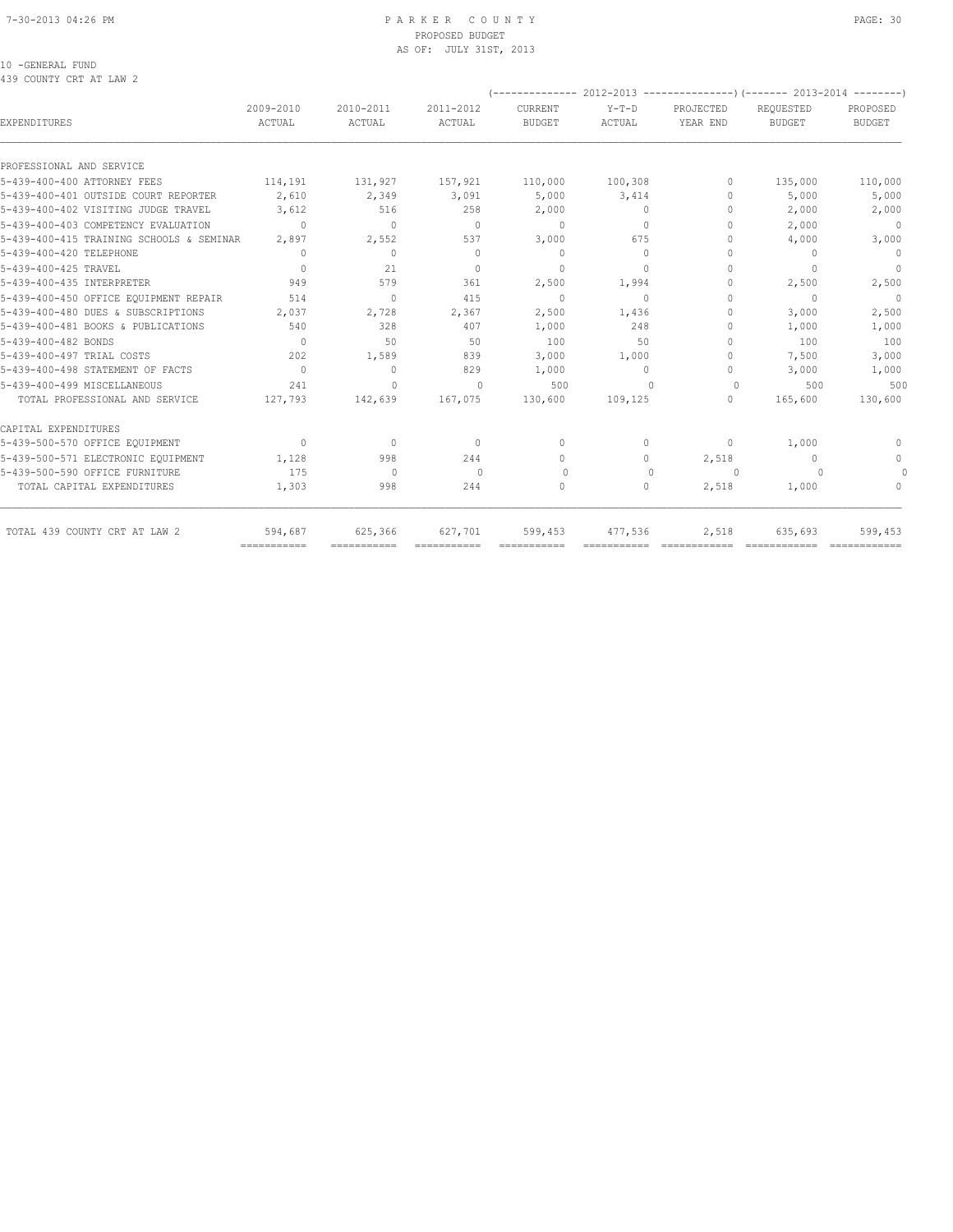#### 7-30-2013 04:26 PM P A R K E R C O U N T Y PAGE: 30 PROPOSED BUDGET AS OF: JULY 31ST, 2013

### 10 -GENERAL FUND

439 COUNTY CRT AT LAW 2

| <b>EXPENDITURES</b>                      | 2009-2010<br>ACTUAL                  | 2010-2011<br>ACTUAL              | 2011-2012<br>ACTUAL | CURRENT<br><b>BUDGET</b> | $Y-T-D$<br>ACTUAL | PROJECTED<br>YEAR END            | REQUESTED<br><b>BUDGET</b>       | PROPOSED<br><b>BUDGET</b> |  |  |  |
|------------------------------------------|--------------------------------------|----------------------------------|---------------------|--------------------------|-------------------|----------------------------------|----------------------------------|---------------------------|--|--|--|
| PROFESSIONAL AND SERVICE                 |                                      |                                  |                     |                          |                   |                                  |                                  |                           |  |  |  |
| 5-439-400-400 ATTORNEY FEES              | 114,191                              | 131,927                          | 157,921             | 110,000                  | 100,308           | $\Omega$                         | 135,000                          | 110,000                   |  |  |  |
| 5-439-400-401 OUTSIDE COURT REPORTER     | 2,610                                | 2,349                            | 3,091               | 5,000                    | 3,414             | 0                                | 5,000                            | 5,000                     |  |  |  |
| 5-439-400-402 VISITING JUDGE TRAVEL      | 3,612                                | 516                              | 258                 | 2,000                    | $\circ$           | 0                                | 2,000                            | 2,000                     |  |  |  |
| 5-439-400-403 COMPETENCY EVALUATION      | $\Omega$                             | $\begin{array}{c} \n\end{array}$ | $\Omega$            | $\mathbf{0}$             | $\Omega$          | $\begin{array}{c} \n\end{array}$ | 2,000                            | $\mathbf{0}$              |  |  |  |
| 5-439-400-415 TRAINING SCHOOLS & SEMINAR | 2,897                                | 2,552                            | 537                 | 3,000                    | 675               | 0                                | 4,000                            | 3,000                     |  |  |  |
| 5-439-400-420 TELEPHONE                  | 0                                    | $\circ$                          | $\mathbf{0}$        | $\mathbf{0}$             | $\Omega$          | $\begin{array}{c} \n\end{array}$ | $\begin{array}{c} \n\end{array}$ | $\mathbf{0}$              |  |  |  |
| 5-439-400-425 TRAVEL                     | $\Omega$                             | 21                               | $\Omega$            | $\Omega$                 | $\Omega$          | 0                                | $\begin{array}{c} \n\end{array}$ | $\mathbf{0}$              |  |  |  |
| 5-439-400-435 INTERPRETER                | 949                                  | 579                              | 361                 | 2,500                    | 1,994             | 0                                | 2,500                            | 2,500                     |  |  |  |
| 5-439-400-450 OFFICE EQUIPMENT REPAIR    | 514                                  | $\mathbf{0}$                     | 415                 | $\mathbf{0}$             | $\Omega$          | $\Omega$                         | $\Omega$                         | $\Omega$                  |  |  |  |
| 5-439-400-480 DUES & SUBSCRIPTIONS       | 2,037                                | 2,728                            | 2,367               | 2,500                    | 1,436             | $\Omega$                         | 3,000                            | 2,500                     |  |  |  |
| 5-439-400-481 BOOKS & PUBLICATIONS       | 540                                  | 328                              | 407                 | 1,000                    | 248               | 0                                | 1,000                            | 1,000                     |  |  |  |
| 5-439-400-482 BONDS                      | $\Omega$                             | 50                               | 50                  | 100                      | 50                | $\Omega$                         | 100                              | 100                       |  |  |  |
| 5-439-400-497 TRIAL COSTS                | 202                                  | 1,589                            | 839                 | 3,000                    | 1,000             | $\Omega$                         | 7,500                            | 3,000                     |  |  |  |
| 5-439-400-498 STATEMENT OF FACTS         | $\Omega$                             | $\circ$                          | 829                 | 1,000                    | $\circ$           | $\circ$                          | 3,000                            | 1,000                     |  |  |  |
| 5-439-400-499 MISCELLANEOUS              | 241                                  | $\Omega$                         | $\Omega$            | 500                      | $\Omega$          | $\Omega$                         | 500                              | 500                       |  |  |  |
| TOTAL PROFESSIONAL AND SERVICE           | 127,793                              | 142,639                          | 167,075             | 130,600                  | 109,125           | 0                                | 165,600                          | 130,600                   |  |  |  |
| CAPITAL EXPENDITURES                     |                                      |                                  |                     |                          |                   |                                  |                                  |                           |  |  |  |
| 5-439-500-570 OFFICE EQUIPMENT           | $\Omega$                             | $\Omega$                         | $\Omega$            | $\Omega$                 | 0                 | 0                                | 1,000                            | $\Omega$                  |  |  |  |
| 5-439-500-571 ELECTRONIC EOUIPMENT       | 1,128                                | 998                              | 244                 | $\mathbf{0}$             | 0                 | 2,518                            | $\mathbf{0}$                     | $\mathbf{0}$              |  |  |  |
| 5-439-500-590 OFFICE FURNITURE           | 175                                  | $\Omega$                         | $\Omega$            | $\Omega$                 | $\Omega$          | $\Omega$                         |                                  |                           |  |  |  |
| TOTAL CAPITAL EXPENDITURES               | 1,303                                | 998                              | 244                 | $\Omega$                 | 0                 | 2,518                            | 1,000                            | $\Omega$                  |  |  |  |
| TOTAL 439 COUNTY CRT AT LAW 2            | 594,687<br>$=$ = = = = = = = = = = = | 625,366                          | 627,701             | 599,453                  | 477,536           | 2,518                            | 635,693                          | 599,453                   |  |  |  |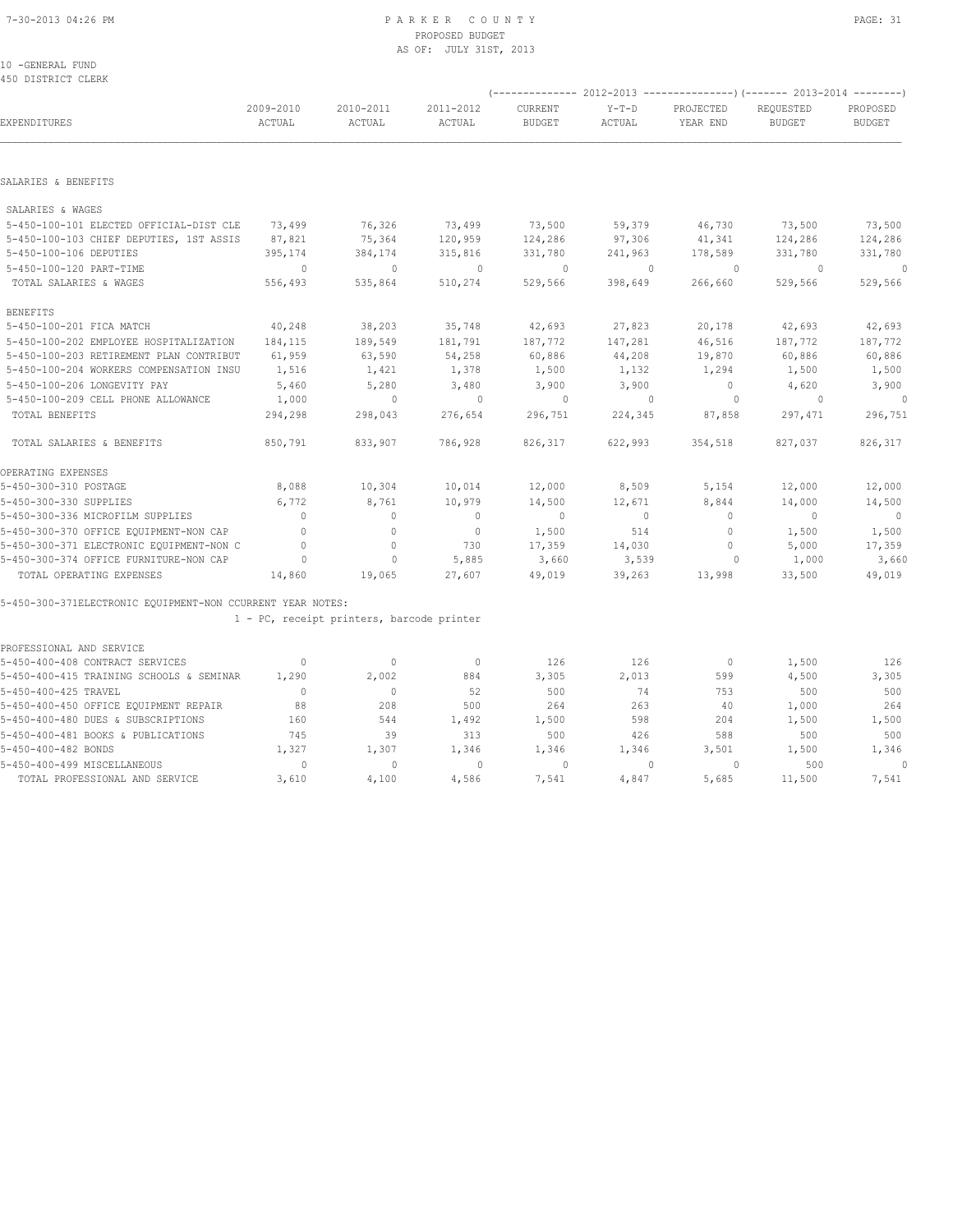10 -GENERAL FUND 450 DISTRICT CLERK

|                                                            |                     |                                           |                     | (------------- 2012-2013        |                   |                       | ----------------) (------- 2013-2014 | $- - - - - - - -$         |  |
|------------------------------------------------------------|---------------------|-------------------------------------------|---------------------|---------------------------------|-------------------|-----------------------|--------------------------------------|---------------------------|--|
| EXPENDITURES                                               | 2009-2010<br>ACTUAL | 2010-2011<br>ACTUAL                       | 2011-2012<br>ACTUAL | <b>CURRENT</b><br><b>BUDGET</b> | $Y-T-D$<br>ACTUAL | PROJECTED<br>YEAR END | REQUESTED<br><b>BUDGET</b>           | PROPOSED<br><b>BUDGET</b> |  |
|                                                            |                     |                                           |                     |                                 |                   |                       |                                      |                           |  |
| SALARIES & BENEFITS                                        |                     |                                           |                     |                                 |                   |                       |                                      |                           |  |
| SALARIES & WAGES                                           |                     |                                           |                     |                                 |                   |                       |                                      |                           |  |
| 5-450-100-101 ELECTED OFFICIAL-DIST CLE                    | 73,499              | 76,326                                    | 73,499              | 73,500                          | 59,379            | 46,730                | 73,500                               | 73,500                    |  |
| 5-450-100-103 CHIEF DEPUTIES, 1ST ASSIS                    | 87,821              | 75,364                                    | 120,959             | 124,286                         | 97,306            | 41,341                | 124,286                              | 124,286                   |  |
| 5-450-100-106 DEPUTIES                                     | 395,174             | 384,174                                   | 315,816             | 331,780                         | 241,963           | 178,589               | 331,780                              | 331,780                   |  |
| 5-450-100-120 PART-TIME                                    | $\Omega$            | $\mathbf{0}$                              | $\mathbf{0}$        | $\circ$                         | $\Omega$          | $\circ$               | $\Omega$                             | $\Omega$                  |  |
| TOTAL SALARIES & WAGES                                     | 556,493             | 535,864                                   | 510,274             | 529,566                         | 398,649           | 266,660               | 529,566                              | 529,566                   |  |
| <b>BENEFITS</b>                                            |                     |                                           |                     |                                 |                   |                       |                                      |                           |  |
| 5-450-100-201 FICA MATCH                                   | 40,248              | 38,203                                    | 35,748              | 42,693                          | 27,823            | 20,178                | 42,693                               | 42,693                    |  |
| 5-450-100-202 EMPLOYEE HOSPITALIZATION                     | 184,115             | 189,549                                   | 181,791             | 187,772                         | 147,281           | 46,516                | 187,772                              | 187,772                   |  |
| 5-450-100-203 RETIREMENT PLAN CONTRIBUT                    | 61,959              | 63,590                                    | 54,258              | 60,886                          | 44,208            | 19,870                | 60,886                               | 60,886                    |  |
| 5-450-100-204 WORKERS COMPENSATION INSU                    | 1,516               | 1,421                                     | 1,378               | 1,500                           | 1,132             | 1,294                 | 1,500                                | 1,500                     |  |
| 5-450-100-206 LONGEVITY PAY                                | 5,460               | 5,280                                     | 3,480               | 3,900                           | 3,900             | $\circ$               | 4,620                                | 3,900                     |  |
| 5-450-100-209 CELL PHONE ALLOWANCE                         | 1,000               | $\mathbf{0}$                              | $\mathbf{0}$        | $\circ$                         | $\mathbf{0}$      | $\circ$               | $\circ$                              | $\cap$                    |  |
| TOTAL BENEFITS                                             | 294,298             | 298,043                                   | 276,654             | 296,751                         | 224,345           | 87,858                | 297,471                              | 296,751                   |  |
| TOTAL SALARIES & BENEFITS                                  | 850,791             | 833,907                                   | 786,928             | 826,317                         | 622,993           | 354,518               | 827,037                              | 826,317                   |  |
| OPERATING EXPENSES                                         |                     |                                           |                     |                                 |                   |                       |                                      |                           |  |
| 5-450-300-310 POSTAGE                                      | 8,088               | 10,304                                    | 10,014              | 12,000                          | 8,509             | 5,154                 | 12,000                               | 12,000                    |  |
| 5-450-300-330 SUPPLIES                                     | 6,772               | 8,761                                     | 10,979              | 14,500                          | 12,671            | 8,844                 | 14,000                               | 14,500                    |  |
| 5-450-300-336 MICROFILM SUPPLIES                           | $\Omega$            | $\circ$                                   | $\mathbf{0}$        | $\mathbf{0}$                    | $\circ$           | 0                     | $\mathbf{0}$                         | $\overline{0}$            |  |
| 5-450-300-370 OFFICE EQUIPMENT-NON CAP                     | $\Omega$            | $\Omega$                                  | $\mathbf{0}$        | 1,500                           | 514               | $\circ$               | 1,500                                | 1,500                     |  |
| 5-450-300-371 ELECTRONIC EQUIPMENT-NON C                   | $\mathbf{0}$        | $\mathbf{0}$                              | 730                 | 17,359                          | 14,030            | 0                     | 5,000                                | 17,359                    |  |
| 5-450-300-374 OFFICE FURNITURE-NON CAP                     | $\circ$             | $\mathbf{0}$                              | 5,885               | 3,660                           | 3,539             | $\circ$               | 1,000                                | 3,660                     |  |
| TOTAL OPERATING EXPENSES                                   | 14,860              | 19,065                                    | 27,607              | 49,019                          | 39,263            | 13,998                | 33,500                               | 49,019                    |  |
| 5-450-300-371ELECTRONIC EQUIPMENT-NON CCURRENT YEAR NOTES: |                     |                                           |                     |                                 |                   |                       |                                      |                           |  |
|                                                            |                     | 1 - PC, receipt printers, barcode printer |                     |                                 |                   |                       |                                      |                           |  |
| PROFESSIONAL AND SERVICE                                   |                     |                                           |                     |                                 |                   |                       |                                      |                           |  |
| 5-450-400-408 CONTRACT SERVICES                            | $\mathbf{0}$        | $\mathbf{0}$                              | $\mathbf{0}$        | 126                             | 126               | $\mathbf{0}$          | 1,500                                | 126                       |  |
| 5-450-400-415 TRAINING SCHOOLS & SEMINAR                   | 1,290               | 2,002                                     | 884                 | 3,305                           | 2,013             | 599                   | 4,500                                | 3,305                     |  |
| 5-450-400-425 TRAVEL                                       | $\Omega$            | $\mathbf{0}$                              | 52                  | 500                             | 74                | 753                   | 500                                  | 500                       |  |
| 5-450-400-450 OFFICE EQUIPMENT REPAIR                      | 88                  | 208                                       | 500                 | 264                             | 263               | 40                    | 1,000                                | 264                       |  |
| 5-450-400-480 DUES & SUBSCRIPTIONS                         | 160                 | 544                                       | 1,492               | 1,500                           | 598               | 204                   | 1,500                                | 1,500                     |  |
| 5-450-400-481 BOOKS & PUBLICATIONS                         | 745                 | 39                                        | 313                 | 500                             | 426               | 588                   | 500                                  | 500                       |  |
| 5-450-400-482 BONDS                                        | 1,327               | 1,307                                     | 1,346               | 1,346                           | 1,346             | 3,501                 | 1,500                                | 1,346                     |  |
| 5-450-400-499 MISCELLANEOUS                                | $\Omega$            | $\cap$                                    | $\Omega$            | $\cap$                          | $\bigcap$         | $\cap$                | 500                                  | $\cap$                    |  |

TOTAL PROFESSIONAL AND SERVICE 3,610 4,100 4,586 7,541 4,847 5,685 11,500 7,541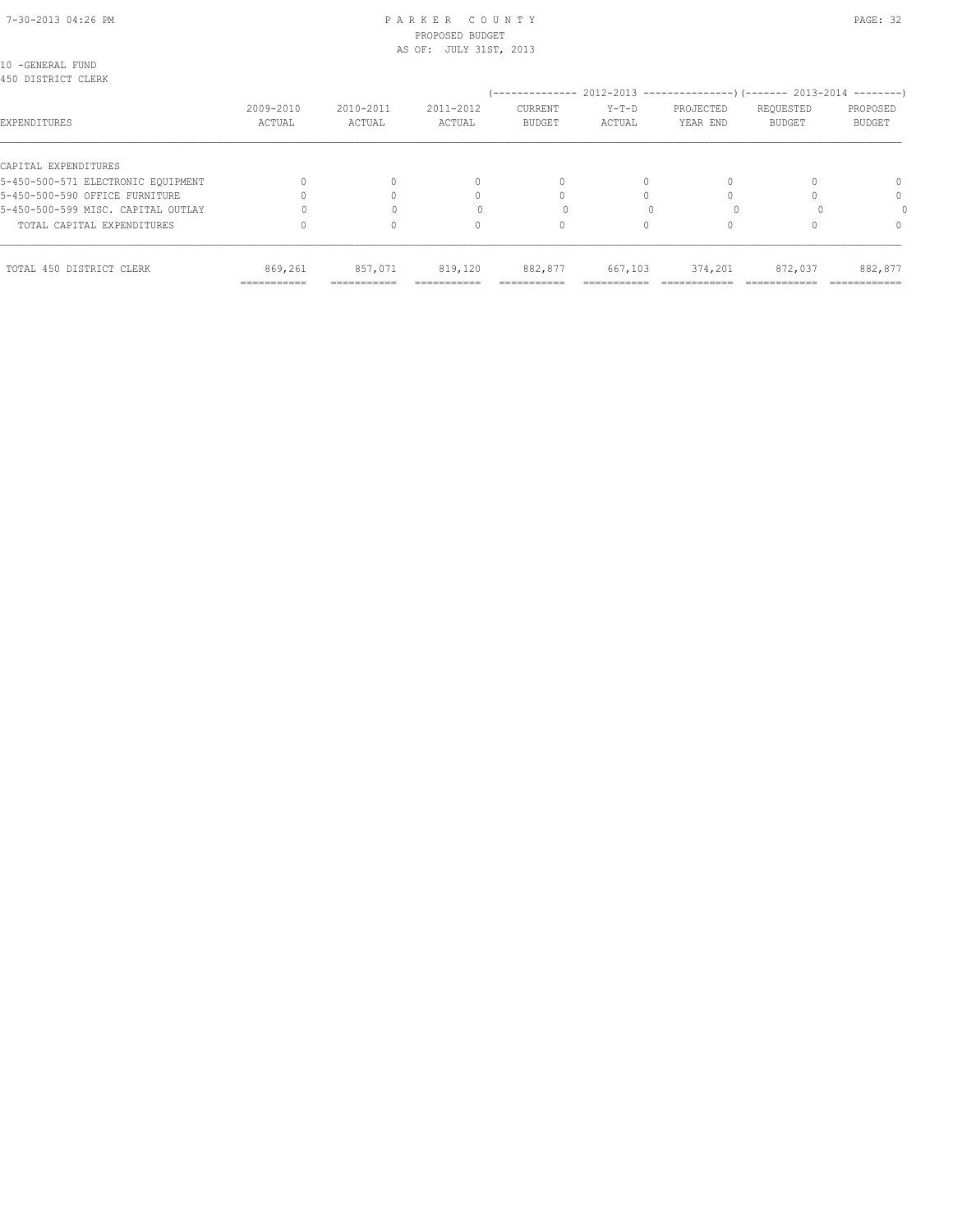#### 7-30-2013 04:26 PM P A R K E R C O U N T Y PAGE: 32 PROPOSED BUDGET AS OF: JULY 31ST, 2013

| 10 -GENERAL FUND<br>450 DISTRICT CLERK |                        |                        |                       | '--------------          |                   |                       | 2012-2013 --------------------- (------- 2013-2014 ----------) |                           |
|----------------------------------------|------------------------|------------------------|-----------------------|--------------------------|-------------------|-----------------------|----------------------------------------------------------------|---------------------------|
| EXPENDITURES                           | 2009-2010<br>ACTUAL    | 2010-2011<br>ACTUAL    | 2011-2012<br>ACTUAL   | CURRENT<br><b>BUDGET</b> | $Y-T-D$<br>ACTUAL | PROJECTED<br>YEAR END | REQUESTED<br><b>BUDGET</b>                                     | PROPOSED<br><b>BUDGET</b> |
| CAPITAL EXPENDITURES                   |                        |                        |                       |                          |                   |                       |                                                                |                           |
| 5-450-500-571 ELECTRONIC EOUIPMENT     |                        |                        | 0                     | 0                        | $\Omega$          |                       |                                                                |                           |
| 5-450-500-590 OFFICE FURNITURE         |                        |                        |                       |                          |                   |                       |                                                                | $\Omega$                  |
| 5-450-500-599 MISC. CAPITAL OUTLAY     |                        |                        |                       |                          |                   |                       |                                                                |                           |
| TOTAL CAPITAL EXPENDITURES             |                        |                        | 0                     | 0                        |                   |                       |                                                                |                           |
| TOTAL 450 DISTRICT CLERK               | 869,261<br>=========== | 857,071<br>=========== | 819,120<br>========== | 882,877<br>===========   | 667,103           | 374,201               | 872,037                                                        | 882,877                   |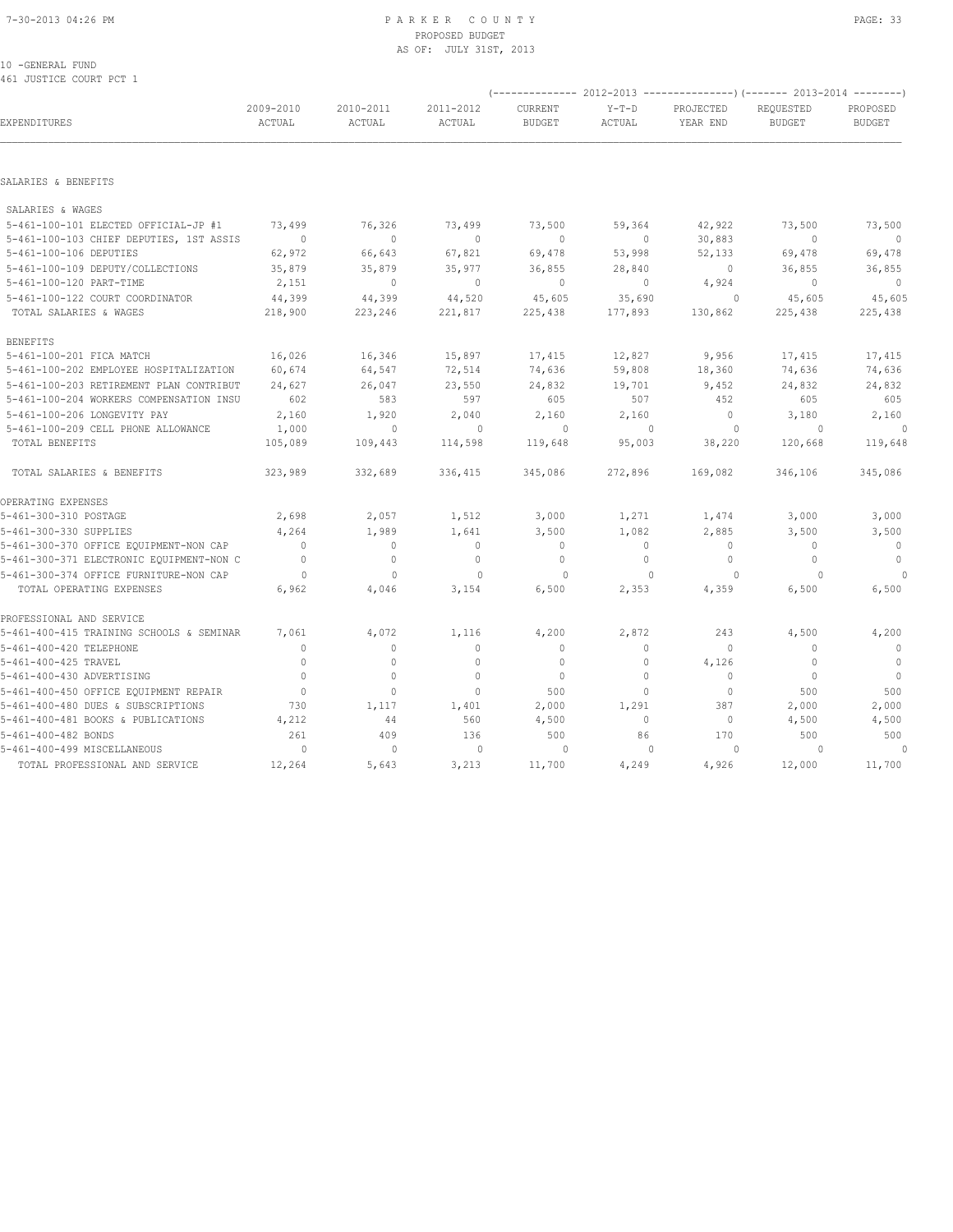#### 7-30-2013 04:26 PM P A R K E R C O U N T Y PAGE: 33 PROPOSED BUDGET AS OF: JULY 31ST, 2013

# 10 -GENERAL FUND

461 JUSTICE COURT PCT 1

| AAT AARITAR CAAWI ECI T                  |                     |                     |                     |                          |                   |                       | $($ -------------- 2012-2013 ----------------) (------- 2013-2014 -------- |                           |
|------------------------------------------|---------------------|---------------------|---------------------|--------------------------|-------------------|-----------------------|----------------------------------------------------------------------------|---------------------------|
| EXPENDITURES                             | 2009-2010<br>ACTUAL | 2010-2011<br>ACTUAL | 2011-2012<br>ACTUAL | CURRENT<br><b>BUDGET</b> | $Y-T-D$<br>ACTUAL | PROJECTED<br>YEAR END | REQUESTED<br><b>BUDGET</b>                                                 | PROPOSED<br><b>BUDGET</b> |
|                                          |                     |                     |                     |                          |                   |                       |                                                                            |                           |
| SALARIES & BENEFITS                      |                     |                     |                     |                          |                   |                       |                                                                            |                           |
| SALARIES & WAGES                         |                     |                     |                     |                          |                   |                       |                                                                            |                           |
| 5-461-100-101 ELECTED OFFICIAL-JP #1     | 73,499              | 76,326              | 73,499              | 73,500                   | 59,364            | 42,922                | 73,500                                                                     | 73,500                    |
| 5-461-100-103 CHIEF DEPUTIES, 1ST ASSIS  | $\overline{0}$      | $\mathbf{0}$        | $\mathbf{0}$        | $\mathbf{0}$             | $\circ$           | 30,883                | $\mathbf{0}$                                                               | $\Omega$                  |
| 5-461-100-106 DEPUTIES                   | 62,972              | 66,643              | 67,821              | 69,478                   | 53,998            | 52,133                | 69,478                                                                     | 69,478                    |
| 5-461-100-109 DEPUTY/COLLECTIONS         | 35,879              | 35,879              | 35,977              | 36,855                   | 28,840            | $\circ$               | 36,855                                                                     | 36,855                    |
| 5-461-100-120 PART-TIME                  | 2,151               | $\mathbf{0}$        | $\mathbf{0}$        | $\mathbf{0}$             | $\circ$           | 4,924                 | $\mathbf{0}$                                                               | $\Omega$                  |
| 5-461-100-122 COURT COORDINATOR          | 44,399              | 44,399              | 44,520              | 45,605                   | 35,690            | 0                     | 45,605                                                                     | 45,605                    |
| TOTAL SALARIES & WAGES                   | 218,900             | 223,246             | 221,817             | 225,438                  | 177,893           | 130,862               | 225,438                                                                    | 225,438                   |
| <b>BENEFITS</b>                          |                     |                     |                     |                          |                   |                       |                                                                            |                           |
| 5-461-100-201 FICA MATCH                 | 16,026              | 16,346              | 15,897              | 17,415                   | 12,827            | 9,956                 | 17,415                                                                     | 17,415                    |
| 5-461-100-202 EMPLOYEE HOSPITALIZATION   | 60,674              | 64,547              | 72,514              | 74,636                   | 59,808            | 18,360                | 74,636                                                                     | 74,636                    |
| 5-461-100-203 RETIREMENT PLAN CONTRIBUT  | 24,627              | 26,047              | 23,550              | 24,832                   | 19,701            | 9,452                 | 24,832                                                                     | 24,832                    |
| 5-461-100-204 WORKERS COMPENSATION INSU  | 602                 | 583                 | 597                 | 605                      | 507               | 452                   | 605                                                                        | 605                       |
| 5-461-100-206 LONGEVITY PAY              | 2,160               | 1,920               | 2,040               | 2,160                    | 2,160             | $\circ$               | 3,180                                                                      | 2,160                     |
| 5-461-100-209 CELL PHONE ALLOWANCE       | 1,000               | $\mathbf{0}$        | $\circ$             | $\circ$                  | $\mathbf{0}$      | $\circ$               | $\circ$                                                                    | $\circ$                   |
| TOTAL BENEFITS                           | 105,089             | 109,443             | 114,598             | 119,648                  | 95,003            | 38,220                | 120,668                                                                    | 119,648                   |
| TOTAL SALARIES & BENEFITS                | 323,989             | 332,689             | 336,415             | 345,086                  | 272,896           | 169,082               | 346,106                                                                    | 345,086                   |
| OPERATING EXPENSES                       |                     |                     |                     |                          |                   |                       |                                                                            |                           |
| 5-461-300-310 POSTAGE                    | 2,698               | 2,057               | 1,512               | 3,000                    | 1,271             | 1,474                 | 3,000                                                                      | 3,000                     |
| 5-461-300-330 SUPPLIES                   | 4,264               | 1,989               | 1,641               | 3,500                    | 1,082             | 2,885                 | 3,500                                                                      | 3,500                     |
| 5-461-300-370 OFFICE EQUIPMENT-NON CAP   | $\Omega$            | $\Omega$            | $\mathbf{0}$        | $\mathbf{0}$             | $\circ$           | $\mathbf{0}$          | $\Omega$                                                                   | $\mathbf{0}$              |
| 5-461-300-371 ELECTRONIC EQUIPMENT-NON C | $\mathbf{0}$        | $\circ$             | $\mathbf{0}$        | $\mathbf{0}$             | $\circ$           | $\mathbf{0}$          | $\mathbf{0}$                                                               | $\mathbf{0}$              |
| 5-461-300-374 OFFICE FURNITURE-NON CAP   | $\circ$             | $\mathbf{0}$        | $\mathbf{0}$        | $\circ$                  | $\mathbf{0}$      | 0                     | $\Omega$                                                                   | $\Omega$                  |
| TOTAL OPERATING EXPENSES                 | 6,962               | 4,046               | 3,154               | 6,500                    | 2,353             | 4,359                 | 6,500                                                                      | 6,500                     |
| PROFESSIONAL AND SERVICE                 |                     |                     |                     |                          |                   |                       |                                                                            |                           |
| 5-461-400-415 TRAINING SCHOOLS & SEMINAR | 7,061               | 4,072               | 1,116               | 4,200                    | 2,872             | 243                   | 4,500                                                                      | 4,200                     |
| 5-461-400-420 TELEPHONE                  | $\Omega$            | $\Omega$            | $\mathbf{0}$        | $\mathbf{0}$             | $\circ$           | $\Omega$              | $\Omega$                                                                   | $\overline{0}$            |
| 5-461-400-425 TRAVEL                     | $\mathbf{0}$        | $\mathbf 0$         | $\mathbf{0}$        | $\mathbf{0}$             | $\circ$           | 4,126                 | $\mathbf{0}$                                                               | $\overline{0}$            |
| 5-461-400-430 ADVERTISING                | $\Omega$            | $\Omega$            | $\Omega$            | $\mathbf{0}$             | $\Omega$          | $\Omega$              | $\Omega$                                                                   | $\overline{0}$            |
| 5-461-400-450 OFFICE EQUIPMENT REPAIR    | $\overline{0}$      | $\mathbf 0$         | $\mathbf{0}$        | 500                      | $\Omega$          | $\circ$               | 500                                                                        | 500                       |
| 5-461-400-480 DUES & SUBSCRIPTIONS       | 730                 | 1,117               | 1,401               | 2,000                    | 1,291             | 387                   | 2,000                                                                      | 2,000                     |
| 5-461-400-481 BOOKS & PUBLICATIONS       | 4,212               | 44                  | 560                 | 4,500                    | $\circ$           | 0                     | 4,500                                                                      | 4,500                     |
| 5-461-400-482 BONDS                      | 261                 | 409                 | 136                 | 500                      | 86                | 170                   | 500                                                                        | 500                       |
| 5-461-400-499 MISCELLANEOUS              | $\circ$             | $\mathbf{0}$        | $\circ$             | 0                        | $\mathbf{0}$      | 0                     | $\Omega$                                                                   | $\circ$                   |
| TOTAL PROFESSIONAL AND SERVICE           | 12,264              | 5,643               | 3,213               | 11,700                   | 4,249             | 4,926                 | 12,000                                                                     | 11,700                    |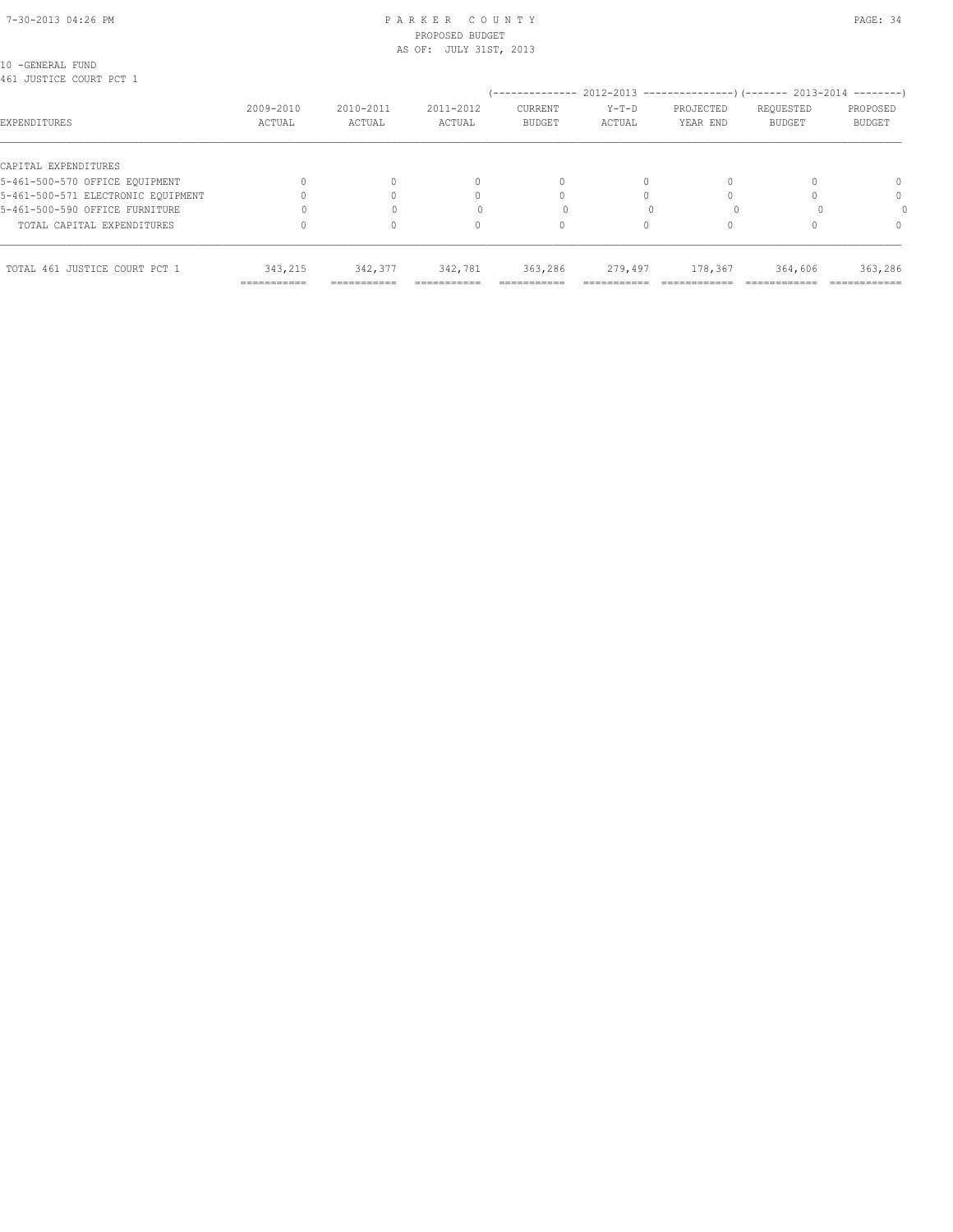#### 7-30-2013 04:26 PM P A R K E R C O U N T Y PAGE: 34 PROPOSED BUDGET AS OF: JULY 31ST, 2013

10 -GENERAL FUND 461 JUSTICE COURT PCT 1

| AAT AARITAR CAAMI EAT T            |                     |                         |                     | --------------                  |                                  | $2012-2013$ ----------------) (------- 2013-2014 --------) |                            |                           |
|------------------------------------|---------------------|-------------------------|---------------------|---------------------------------|----------------------------------|------------------------------------------------------------|----------------------------|---------------------------|
| EXPENDITURES                       | 2009-2010<br>ACTUAL | 2010-2011<br>ACTUAL     | 2011-2012<br>ACTUAL | <b>CURRENT</b><br><b>BUDGET</b> | $Y-T-D$<br>ACTUAL                | PROJECTED<br>YEAR END                                      | REQUESTED<br><b>BUDGET</b> | PROPOSED<br><b>BUDGET</b> |
| CAPITAL EXPENDITURES               |                     |                         |                     |                                 |                                  |                                                            |                            |                           |
| 5-461-500-570 OFFICE EQUIPMENT     |                     |                         | 0                   | 0                               |                                  |                                                            |                            | $\Omega$                  |
| 5-461-500-571 ELECTRONIC EOUIPMENT |                     |                         |                     |                                 |                                  |                                                            |                            | $\Omega$                  |
| 5-461-500-590 OFFICE FURNITURE     |                     |                         |                     |                                 |                                  |                                                            |                            |                           |
| TOTAL CAPITAL EXPENDITURES         |                     |                         | U                   |                                 |                                  |                                                            |                            | $\Omega$                  |
| TOTAL 461 JUSTICE COURT PCT 1      | 343,215             | 342,377                 | 342,781             | 363,286                         | 279,497                          | 178,367                                                    | 364,606                    | 363,286                   |
|                                    | ===========         | --------<br>----------- | __________          | ----------<br>----------        | ________<br>-------------------- |                                                            |                            | ------------              |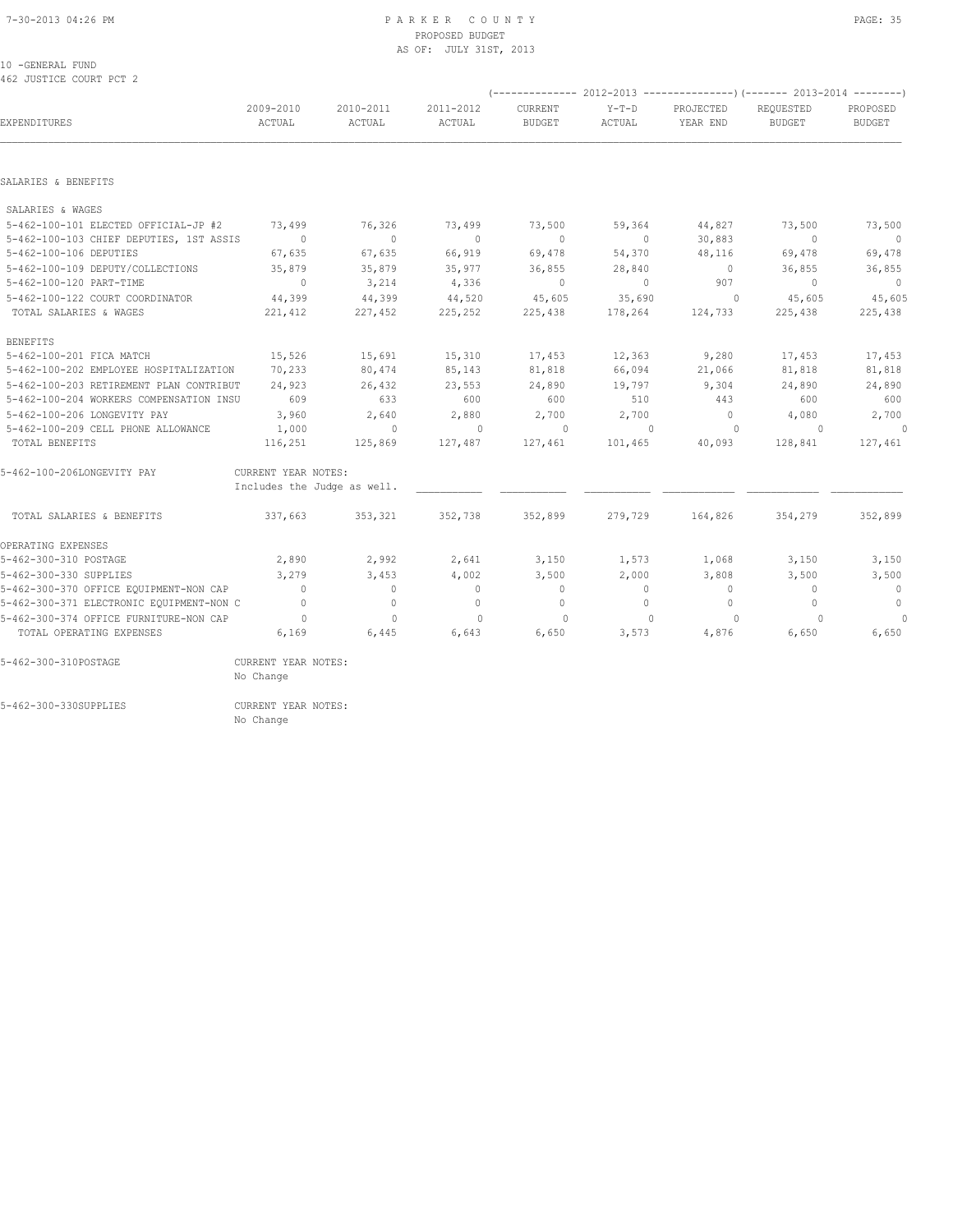#### 7-30-2013 04:26 PM P A R K E R C O U N T Y PAGE: 35 PROPOSED BUDGET AS OF: JULY 31ST, 2013

#### 10 -GENERAL FUND 462 JUSTICE COURT PCT 2

|                                          |                             |                     |                     |                          |                   | (-------------- 2012-2013 ----------------) (------- 2013-2014 --------) |                            |                           |
|------------------------------------------|-----------------------------|---------------------|---------------------|--------------------------|-------------------|--------------------------------------------------------------------------|----------------------------|---------------------------|
| EXPENDITURES                             | 2009-2010<br>ACTUAL         | 2010-2011<br>ACTUAL | 2011-2012<br>ACTUAL | CURRENT<br><b>BUDGET</b> | $Y-T-D$<br>ACTUAL | PROJECTED<br>YEAR END                                                    | REOUESTED<br><b>BUDGET</b> | PROPOSED<br><b>BUDGET</b> |
|                                          |                             |                     |                     |                          |                   |                                                                          |                            |                           |
| SALARIES & BENEFITS                      |                             |                     |                     |                          |                   |                                                                          |                            |                           |
| SALARIES & WAGES                         |                             |                     |                     |                          |                   |                                                                          |                            |                           |
| 5-462-100-101 ELECTED OFFICIAL-JP #2     | 73,499                      | 76,326              | 73,499              | 73,500                   | 59,364            | 44,827                                                                   | 73,500                     | 73,500                    |
| 5-462-100-103 CHIEF DEPUTIES, 1ST ASSIS  | $\sim$ 0                    | $\sqrt{2}$          | $\circ$             | $\Omega$                 | $\circ$           | 30,883                                                                   | $\Omega$                   | $\overline{0}$            |
| 5-462-100-106 DEPUTIES                   | 67,635                      | 67,635              | 66,919              | 69,478                   | 54,370            | 48,116                                                                   | 69,478                     | 69,478                    |
| 5-462-100-109 DEPUTY/COLLECTIONS         | 35,879                      | 35,879              | 35,977              | 36,855                   | 28,840            | $\overline{0}$                                                           | 36,855                     | 36,855                    |
| 5-462-100-120 PART-TIME                  | $\overline{0}$              | 3,214               | 4,336               | $\circ$                  | $\circ$           | 907                                                                      | $\Omega$                   | $\overline{0}$            |
| 5-462-100-122 COURT COORDINATOR          | 44,399                      | 44,399              | 44,520              | 45,605                   | 35,690            | $\circ$                                                                  | 45,605                     | 45,605                    |
| TOTAL SALARIES & WAGES                   | 221,412                     | 227,452             | 225,252             | 225,438                  | 178,264           | 124,733                                                                  | 225,438                    | 225,438                   |
| <b>BENEFITS</b>                          |                             |                     |                     |                          |                   |                                                                          |                            |                           |
| 5-462-100-201 FICA MATCH                 | 15,526                      | 15,691              | 15,310              | 17,453                   | 12,363            | 9,280                                                                    | 17,453                     | 17,453                    |
| 5-462-100-202 EMPLOYEE HOSPITALIZATION   | 70,233                      | 80,474              | 85,143              | 81,818                   | 66,094            | 21,066                                                                   | 81,818                     | 81,818                    |
| 5-462-100-203 RETIREMENT PLAN CONTRIBUT  | 24,923                      | 26,432              | 23,553              | 24,890                   | 19,797            | 9,304                                                                    | 24,890                     | 24,890                    |
| 5-462-100-204 WORKERS COMPENSATION INSU  | 609                         | 633                 | 600                 | 600                      | 510               | 443                                                                      | 600                        | 600                       |
| 5-462-100-206 LONGEVITY PAY              | 3,960                       | 2,640               | 2,880               | 2,700                    | 2,700             | $\overline{0}$                                                           | 4,080                      | 2,700                     |
| 5-462-100-209 CELL PHONE ALLOWANCE       | 1,000                       | $\circ$             | $\circ$             | $\circ$                  | $\overline{0}$    | $\circ$                                                                  | $\overline{0}$             | $\theta$                  |
| TOTAL BENEFITS                           | 116,251                     | 125,869             | 127,487             | 127,461                  | 101,465           | 40,093                                                                   | 128,841                    | 127,461                   |
| 5-462-100-206LONGEVITY PAY               | CURRENT YEAR NOTES:         |                     |                     |                          |                   |                                                                          |                            |                           |
|                                          | Includes the Judge as well. |                     |                     |                          |                   |                                                                          |                            |                           |
| TOTAL SALARIES & BENEFITS                | 337,663                     | 353,321             | 352,738             | 352,899                  | 279,729           | 164,826                                                                  | 354,279                    | 352,899                   |
| OPERATING EXPENSES                       |                             |                     |                     |                          |                   |                                                                          |                            |                           |
| 5-462-300-310 POSTAGE                    | 2,890                       | 2,992               | 2,641               | 3,150                    | 1,573             | 1,068                                                                    | 3,150                      | 3,150                     |
| 5-462-300-330 SUPPLIES                   | 3,279                       | 3,453               | 4,002               | 3,500                    | 2,000             | 3,808                                                                    | 3,500                      | 3,500                     |
| 5-462-300-370 OFFICE EQUIPMENT-NON CAP   | $\sim$ 0                    | $\bigcirc$          | $\Omega$            | $\overline{0}$           | $\Omega$          | $\bigcirc$                                                               | $\Omega$                   | $\overline{0}$            |
| 5-462-300-371 ELECTRONIC EQUIPMENT-NON C | $\bigcap$                   | $\Omega$            | $\Omega$            | $\mathbf{0}$             | $\Omega$          | $\Omega$                                                                 | $\Omega$                   | $\circ$                   |
| 5-462-300-374 OFFICE FURNITURE-NON CAP   | $\overline{0}$              | $\mathbf{0}$        | $\Omega$            | $\circ$                  | $\Omega$          | $\Omega$                                                                 | $\Omega$                   | $\theta$                  |
| TOTAL OPERATING EXPENSES                 | 6,169                       | 6,445               | 6,643               | 6,650                    | 3,573             | 4,876                                                                    | 6,650                      | 6,650                     |
| 5-462-300-310POSTAGE                     | CURRENT YEAR NOTES:         |                     |                     |                          |                   |                                                                          |                            |                           |
|                                          | No Change                   |                     |                     |                          |                   |                                                                          |                            |                           |

5-462-300-330SUPPLIES CURRENT YEAR NOTES:

No Change is a strategies of the Change of the Change of the Change of the Change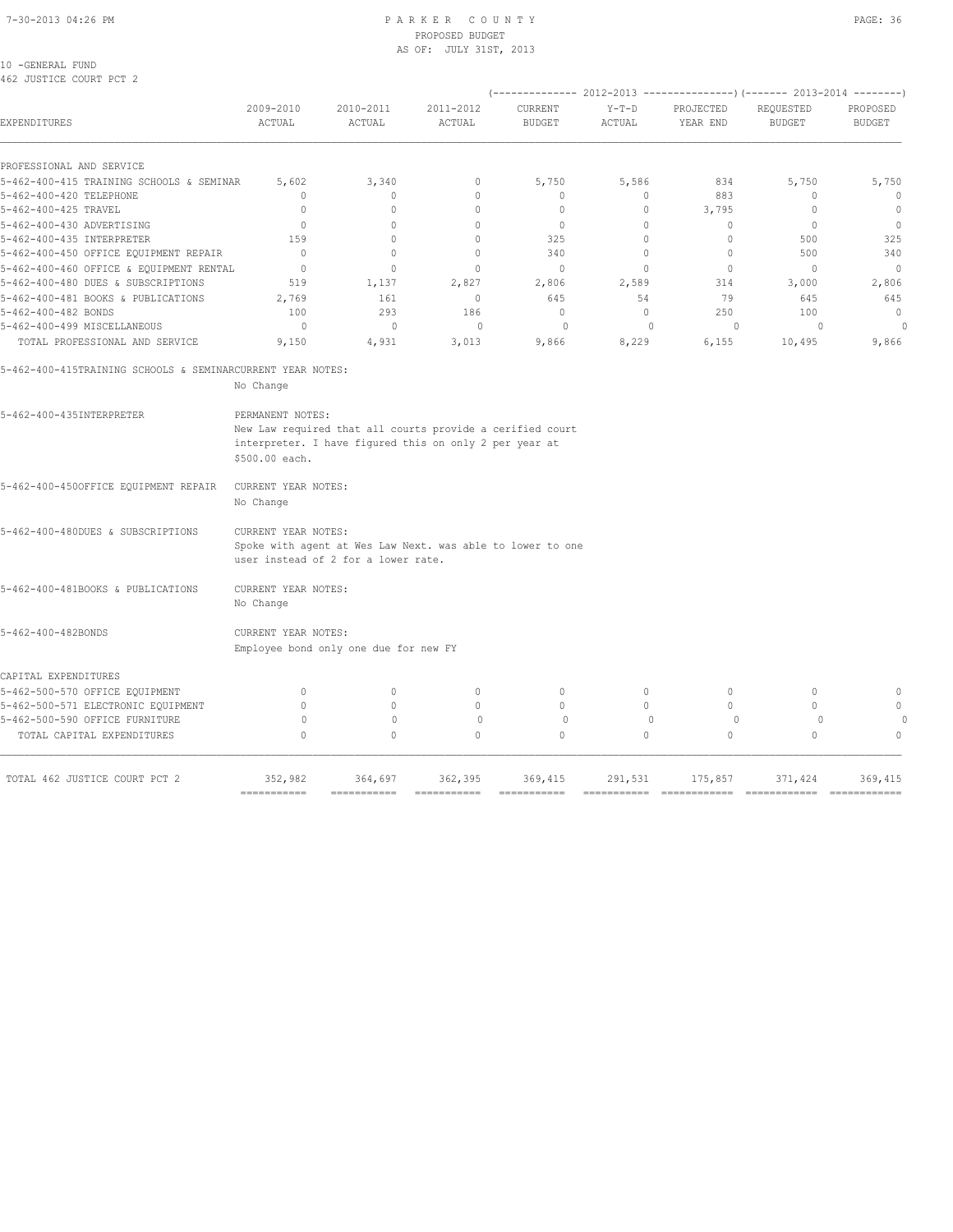10 -GENERAL FUND 462 JUSTICE COURT PCT 2

|                                                            |                                    |                                     |                                                                                                                     |                          |                   |                                  | $(----------2012-2013---------)$ $(----2013-2014------)$ |                           |
|------------------------------------------------------------|------------------------------------|-------------------------------------|---------------------------------------------------------------------------------------------------------------------|--------------------------|-------------------|----------------------------------|----------------------------------------------------------|---------------------------|
| <b>EXPENDITURES</b>                                        | 2009-2010<br>ACTUAL                | 2010-2011<br>ACTUAL                 | 2011-2012<br>ACTUAL                                                                                                 | CURRENT<br><b>BUDGET</b> | $Y-T-D$<br>ACTUAL | PROJECTED<br>YEAR END            | REQUESTED<br><b>BUDGET</b>                               | PROPOSED<br><b>BUDGET</b> |
| PROFESSIONAL AND SERVICE                                   |                                    |                                     |                                                                                                                     |                          |                   |                                  |                                                          |                           |
| 5-462-400-415 TRAINING SCHOOLS & SEMINAR                   | 5,602                              | 3,340                               | 0                                                                                                                   | 5,750                    | 5,586             | 834                              | 5,750                                                    | 5,750                     |
| 5-462-400-420 TELEPHONE                                    | 0                                  | $\circ$                             | $\circ$                                                                                                             | $\mathbf{0}$             | 0                 | 883                              | 0                                                        | $\circ$                   |
| 5-462-400-425 TRAVEL                                       | 0                                  | $\mathbf{0}$                        | $\mathbf{0}$                                                                                                        | 0                        | 0                 | 3,795                            | $\Omega$                                                 | $\circ$                   |
| 5-462-400-430 ADVERTISING                                  | $\Omega$                           | $\Omega$                            | $\Omega$                                                                                                            | $\mathbf{0}$             | $\Omega$          | $\begin{array}{c} \n\end{array}$ | $\Omega$                                                 | $\bigcirc$                |
| 5-462-400-435 INTERPRETER                                  | 159                                | $\begin{array}{c} \n\end{array}$    | $\Omega$                                                                                                            | 325                      | $\Omega$          | 0                                | 500                                                      | 325                       |
| 5-462-400-450 OFFICE EQUIPMENT REPAIR                      | $\Omega$                           | $\mathbf{0}$                        | $\mathbf{0}$                                                                                                        | 340                      | $\Omega$          | $\mathbf{0}$                     | 500                                                      | 340                       |
| 5-462-400-460 OFFICE & EQUIPMENT RENTAL                    | $\mathbf{0}$                       | $\mathbf{0}$                        | $\mathbf{0}$                                                                                                        | $\mathbf{0}$             | $\circ$           | $\mathbf{0}$                     | $\mathbf{0}$                                             | $\overline{0}$            |
| 5-462-400-480 DUES & SUBSCRIPTIONS                         | 519                                | 1,137                               | 2,827                                                                                                               | 2,806                    | 2,589             | 314                              | 3,000                                                    | 2,806                     |
| 5-462-400-481 BOOKS & PUBLICATIONS                         | 2,769                              | 161                                 | $\mathbf{0}$                                                                                                        | 645                      | 54                | 79                               | 645                                                      | 645                       |
| 5-462-400-482 BONDS                                        | 100                                | 293                                 | 186                                                                                                                 | $\Omega$                 | $\Omega$          | 250                              | 100                                                      | $\Omega$                  |
| 5-462-400-499 MISCELLANEOUS                                | $\Omega$                           | $\circ$                             | $\Omega$                                                                                                            | $\Omega$                 | $\Omega$          | $\Omega$                         | $\Omega$                                                 | $\circ$                   |
| TOTAL PROFESSIONAL AND SERVICE                             | 9,150                              | 4,931                               | 3,013                                                                                                               | 9,866                    | 8,229             | 6,155                            | 10,495                                                   | 9,866                     |
|                                                            |                                    |                                     |                                                                                                                     |                          |                   |                                  |                                                          |                           |
| 5-462-400-415TRAINING SCHOOLS & SEMINARCURRENT YEAR NOTES: | No Change                          |                                     |                                                                                                                     |                          |                   |                                  |                                                          |                           |
|                                                            |                                    |                                     |                                                                                                                     |                          |                   |                                  |                                                          |                           |
| 5-462-400-435INTERPRETER                                   | PERMANENT NOTES:<br>\$500.00 each. |                                     | New Law required that all courts provide a cerified court<br>interpreter. I have figured this on only 2 per year at |                          |                   |                                  |                                                          |                           |
| 5-462-400-450OFFICE EQUIPMENT REPAIR                       | CURRENT YEAR NOTES:<br>No Change   |                                     |                                                                                                                     |                          |                   |                                  |                                                          |                           |
| 5-462-400-480DUES & SUBSCRIPTIONS                          | CURRENT YEAR NOTES:                | user instead of 2 for a lower rate. | Spoke with agent at Wes Law Next. was able to lower to one                                                          |                          |                   |                                  |                                                          |                           |

| 5-462-400-481BOOKS & PUBLICATIONS |  |           | CURRENT YEAR NOTES: |
|-----------------------------------|--|-----------|---------------------|
|                                   |  | No Change |                     |

5-462-400-482BONDS CURRENT YEAR NOTES: Employee bond only one due for new FY

|  | 0. |  | $\cap$ |
|--|----|--|--------|
|  |    |  |        |
|  |    |  | $\cap$ |
|  |    |  |        |
|  |    |  |        |
|  |    |  |        |

=========== =========== =========== =========== =========== ============ ============ ============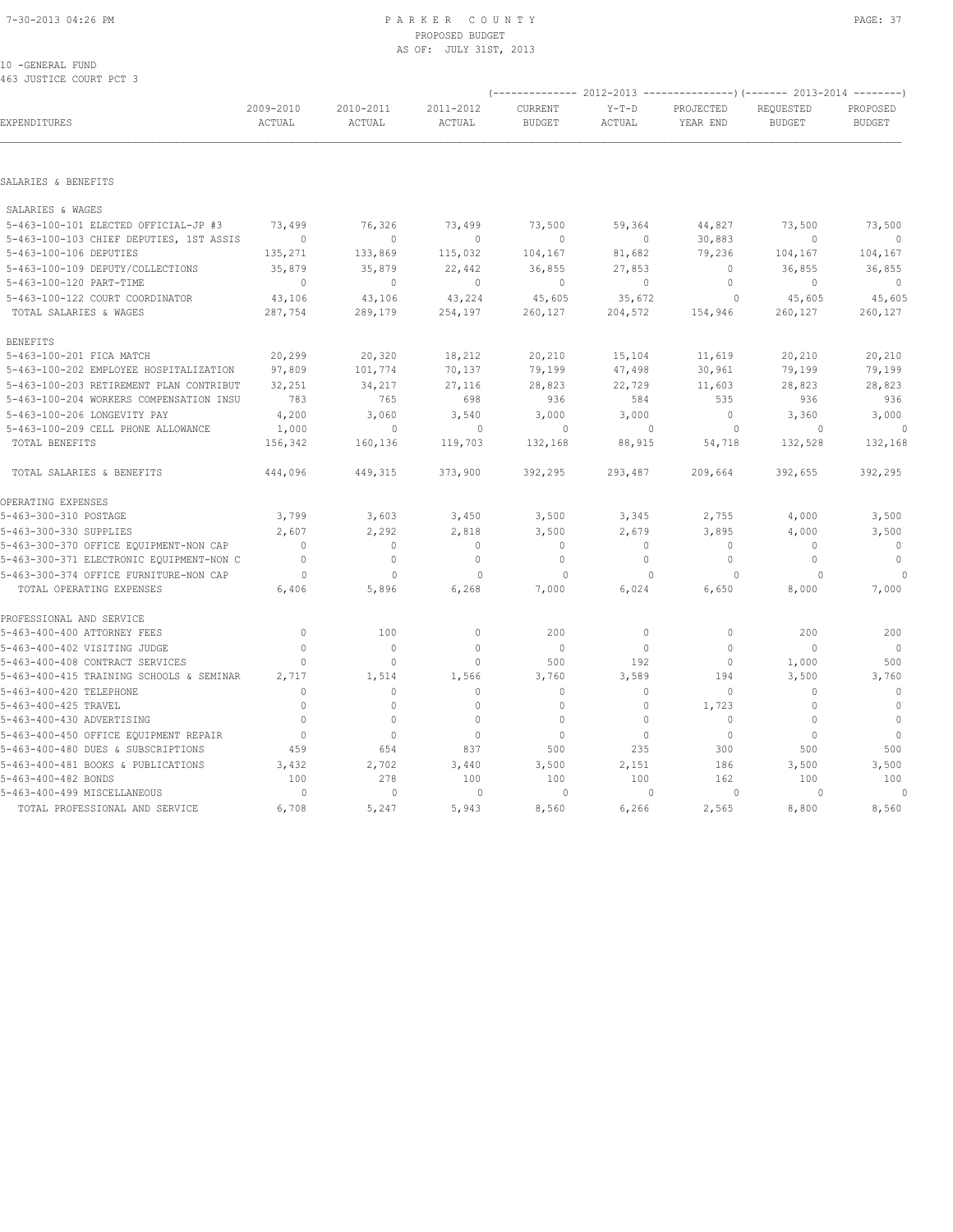### 7-30-2013 04:26 PM P A R K E R C O U N T Y PAGE: 37 PROPOSED BUDGET AS OF: JULY 31ST, 2013

10 -GENERAL FUND 463 JUSTICE COURT PCT 3

|                                          |                     |                     |                     |                          |                   |                       | (-------------- 2012-2013 ---------------) (------- 2013-2014 --------) |                           |  |
|------------------------------------------|---------------------|---------------------|---------------------|--------------------------|-------------------|-----------------------|-------------------------------------------------------------------------|---------------------------|--|
| EXPENDITURES                             | 2009-2010<br>ACTUAL | 2010-2011<br>ACTUAL | 2011-2012<br>ACTUAL | CURRENT<br><b>BUDGET</b> | $Y-T-D$<br>ACTUAL | PROJECTED<br>YEAR END | REQUESTED<br><b>BUDGET</b>                                              | PROPOSED<br><b>BUDGET</b> |  |
|                                          |                     |                     |                     |                          |                   |                       |                                                                         |                           |  |
| SALARIES & BENEFITS                      |                     |                     |                     |                          |                   |                       |                                                                         |                           |  |
| SALARIES & WAGES                         |                     |                     |                     |                          |                   |                       |                                                                         |                           |  |
| 5-463-100-101 ELECTED OFFICIAL-JP #3     | 73,499              | 76,326              | 73,499              | 73,500                   | 59,364            | 44,827                | 73,500                                                                  | 73,500                    |  |
| 5-463-100-103 CHIEF DEPUTIES, 1ST ASSIS  | $\Omega$            | $\Omega$            | $\Omega$            | $\Omega$                 | $\circ$           | 30,883                | $\begin{array}{c} \n\end{array}$                                        | $\overline{0}$            |  |
| 5-463-100-106 DEPUTIES                   | 135,271             | 133,869             | 115,032             | 104,167                  | 81,682            | 79,236                | 104,167                                                                 | 104,167                   |  |
| 5-463-100-109 DEPUTY/COLLECTIONS         | 35,879              | 35,879              | 22,442              | 36,855                   | 27,853            | $\mathbf{0}$          | 36,855                                                                  | 36,855                    |  |
| 5-463-100-120 PART-TIME                  | $\mathbf{0}$        | $\mathbf{0}$        | $\Omega$            | $\mathbf{0}$             | $\circ$           | $\circ$               | $\mathbf{0}$                                                            | $\mathbf{0}$              |  |
| 5-463-100-122 COURT COORDINATOR          | 43,106              | 43,106              | 43,224              | 45,605                   | 35,672            | $\circ$               | 45,605                                                                  | 45,605                    |  |
| TOTAL SALARIES & WAGES                   | 287,754             | 289,179             | 254,197             | 260,127                  | 204,572           | 154,946               | 260,127                                                                 | 260,127                   |  |
| <b>BENEFITS</b>                          |                     |                     |                     |                          |                   |                       |                                                                         |                           |  |
| 5-463-100-201 FICA MATCH                 | 20,299              | 20,320              | 18,212              | 20,210                   | 15,104            | 11,619                | 20,210                                                                  | 20,210                    |  |
| 5-463-100-202 EMPLOYEE HOSPITALIZATION   | 97,809              | 101,774             | 70,137              | 79,199                   | 47,498            | 30,961                | 79,199                                                                  | 79,199                    |  |
| 5-463-100-203 RETIREMENT PLAN CONTRIBUT  | 32,251              | 34,217              | 27,116              | 28,823                   | 22,729            | 11,603                | 28,823                                                                  | 28,823                    |  |
| 5-463-100-204 WORKERS COMPENSATION INSU  | 783                 | 765                 | 698                 | 936                      | 584               | 535                   | 936                                                                     | 936                       |  |
| 5-463-100-206 LONGEVITY PAY              | 4,200               | 3,060               | 3,540               | 3,000                    | 3,000             | $\circ$               | 3,360                                                                   | 3,000                     |  |
| 5-463-100-209 CELL PHONE ALLOWANCE       | 1,000               | $\mathbf{0}$        | $\circ$             | $\Omega$                 | $\mathbf{0}$      | $\overline{0}$        | $\Omega$                                                                | $\circ$                   |  |
| TOTAL BENEFITS                           | 156,342             | 160,136             | 119,703             | 132,168                  | 88,915            | 54,718                | 132,528                                                                 | 132,168                   |  |
| TOTAL SALARIES & BENEFITS                | 444,096             | 449,315             | 373,900             | 392,295                  | 293,487           | 209,664               | 392,655                                                                 | 392,295                   |  |
| OPERATING EXPENSES                       |                     |                     |                     |                          |                   |                       |                                                                         |                           |  |
| 5-463-300-310 POSTAGE                    | 3,799               | 3,603               | 3,450               | 3,500                    | 3,345             | 2,755                 | 4,000                                                                   | 3,500                     |  |
| 5-463-300-330 SUPPLIES                   | 2,607               | 2,292               | 2,818               | 3,500                    | 2,679             | 3,895                 | 4,000                                                                   | 3,500                     |  |
| 5-463-300-370 OFFICE EQUIPMENT-NON CAP   | $\mathbf{0}$        | $\circ$             | $\mathbf{0}$        | $\mathbf{0}$             | $\circ$           | $\mathbf{0}$          | $\mathbf{0}$                                                            | $\overline{0}$            |  |
| 5-463-300-371 ELECTRONIC EQUIPMENT-NON C | $\mathbf{0}$        | $\mathbb O$         | $\mathbb O$         | $\mathbb O$              | $\circ$           | $\mathbb O$           | $\mathbb O$                                                             | $\mathbb O$               |  |
| 5-463-300-374 OFFICE FURNITURE-NON CAP   | $\circ$             | $\mathbf{0}$        | $\mathbf{0}$        | $\circ$                  | $\mathbf{0}$      | $\circ$               | $\Omega$                                                                |                           |  |
| TOTAL OPERATING EXPENSES                 | 6,406               | 5,896               | 6,268               | 7,000                    | 6,024             | 6,650                 | 8,000                                                                   | 7,000                     |  |
| PROFESSIONAL AND SERVICE                 |                     |                     |                     |                          |                   |                       |                                                                         |                           |  |
| 5-463-400-400 ATTORNEY FEES              | $\mathbf{0}$        | 100                 | $\circ$             | 200                      | $\circ$           | $\mathbf{0}$          | 200                                                                     | 200                       |  |
| 5-463-400-402 VISITING JUDGE             | $\Omega$            | $\circ$             | $\Omega$            | $\mathbf{0}$             | $\circ$           | $\circ$               | $\Omega$                                                                | $\overline{0}$            |  |
| 5-463-400-408 CONTRACT SERVICES          | $\Omega$            | $\circ$             | $\mathbf{0}$        | 500                      | 192               | $\circ$               | 1,000                                                                   | 500                       |  |
| 5-463-400-415 TRAINING SCHOOLS & SEMINAR | 2,717               | 1,514               | 1,566               | 3,760                    | 3,589             | 194                   | 3,500                                                                   | 3,760                     |  |
| 5-463-400-420 TELEPHONE                  | $\Omega$            | $\circ$             | $\mathbf{0}$        | $\mathbf{0}$             | $\circ$           | $\circ$               | $\mathbf{0}$                                                            | $\mathbb O$               |  |
| 5-463-400-425 TRAVEL                     | $\Omega$            | $\mathbf{0}$        | $\mathbf{0}$        | $\mathbf{0}$             | $\circ$           | 1,723                 | $\mathbf{0}$                                                            | $\mathbb O$               |  |
| 5-463-400-430 ADVERTISING                | $\mathbf{0}$        | $\mathbf{0}$        | $\mathbf{0}$        | $\mathbf{0}$             | $\circ$           | $\circ$               | $\mathbf{0}$                                                            | $\circ$                   |  |
| 5-463-400-450 OFFICE EQUIPMENT REPAIR    | $\mathbf{0}$        | $\mathbf{0}$        | $\mathbf{0}$        | $\mathbf{0}$             | $\circ$           | $\mathbb O$           | $\mathbf{0}$                                                            | $\mathbb O$               |  |
| 5-463-400-480 DUES & SUBSCRIPTIONS       | 459                 | 654                 | 837                 | 500                      | 235               | 300                   | 500                                                                     | 500                       |  |
| 5-463-400-481 BOOKS & PUBLICATIONS       | 3,432               | 2,702               | 3,440               | 3,500                    | 2,151             | 186                   | 3,500                                                                   | 3,500                     |  |
| 5-463-400-482 BONDS                      | 100                 | 278                 | 100                 | 100                      | 100               | 162                   | 100                                                                     | 100                       |  |
| 5-463-400-499 MISCELLANEOUS              | 0                   | $\mathbf{0}$        | $\circ$             | $\circ$                  | $\mathbf{0}$      | $\circ$               | $\Omega$                                                                | 0                         |  |
| TOTAL PROFESSIONAL AND SERVICE           | 6,708               | 5,247               | 5,943               | 8,560                    | 6,266             | 2,565                 | 8,800                                                                   | 8,560                     |  |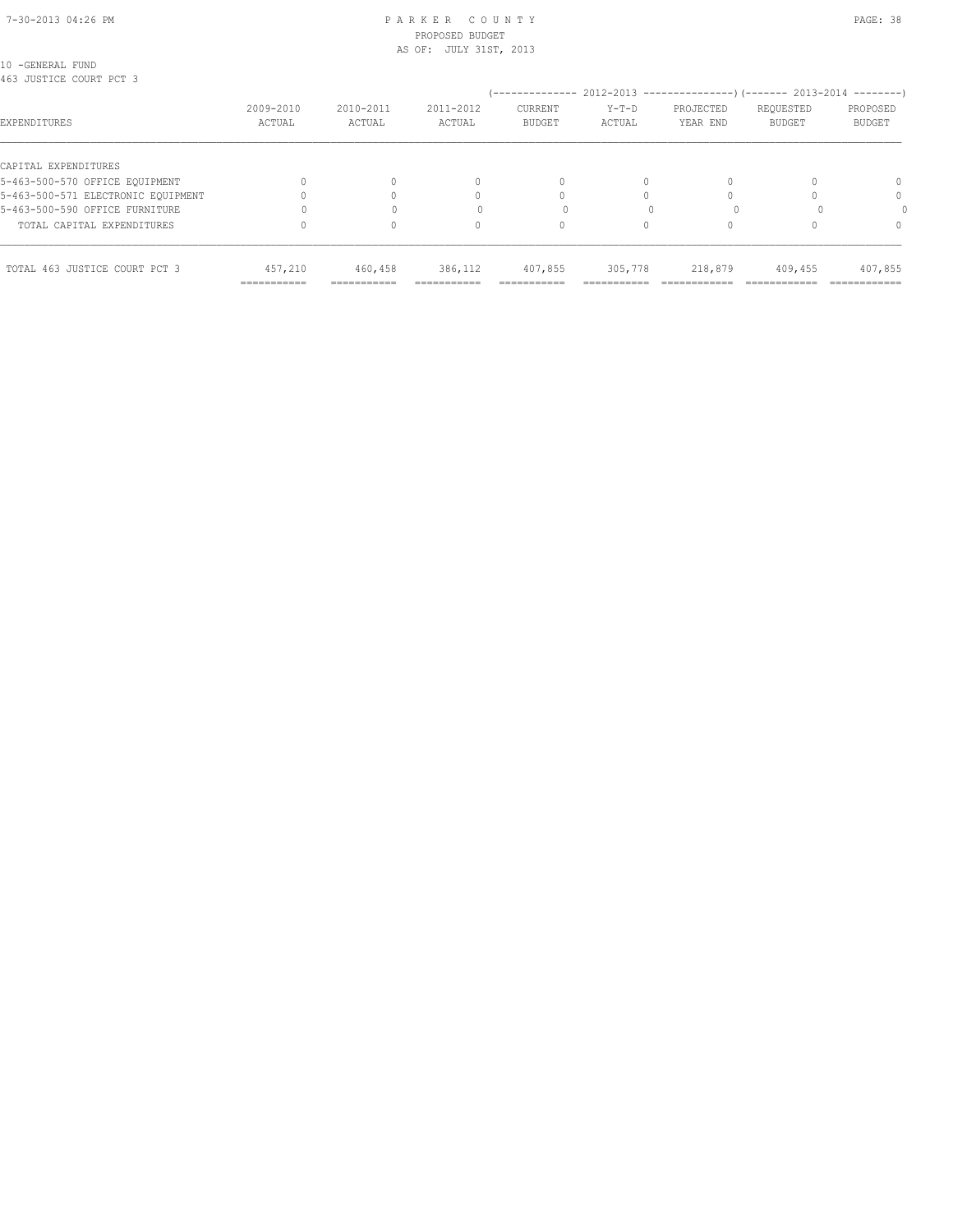#### 7-30-2013 04:26 PM P A R K E R C O U N T Y PAGE: 38 PROPOSED BUDGET AS OF: JULY 31ST, 2013

10 -GENERAL FUND 463 JUSTICE COURT PCT 3

| YUJ UUJIIYA GUUNI EVI J            |                     |                          |                     | --------------                  |                                  | $2012-2013$ ----------------) (------- 2013-2014 --------) |                            |                           |
|------------------------------------|---------------------|--------------------------|---------------------|---------------------------------|----------------------------------|------------------------------------------------------------|----------------------------|---------------------------|
| EXPENDITURES                       | 2009-2010<br>ACTUAL | 2010-2011<br>ACTUAL      | 2011-2012<br>ACTUAL | <b>CURRENT</b><br><b>BUDGET</b> | $Y-T-D$<br>ACTUAL                | PROJECTED<br>YEAR END                                      | REQUESTED<br><b>BUDGET</b> | PROPOSED<br><b>BUDGET</b> |
| CAPITAL EXPENDITURES               |                     |                          |                     |                                 |                                  |                                                            |                            |                           |
| 5-463-500-570 OFFICE EQUIPMENT     |                     |                          | 0                   | 0                               |                                  |                                                            |                            | $\Omega$                  |
| 5-463-500-571 ELECTRONIC EOUIPMENT |                     |                          |                     |                                 |                                  |                                                            |                            | $\Omega$                  |
| 5-463-500-590 OFFICE FURNITURE     |                     |                          |                     |                                 |                                  |                                                            |                            |                           |
| TOTAL CAPITAL EXPENDITURES         |                     |                          | U                   |                                 |                                  |                                                            |                            | $\Omega$                  |
| TOTAL 463 JUSTICE COURT PCT 3      | 457,210             | 460,458                  | 386,112             | 407,855                         | 305,778                          | 218,879                                                    | 409,455                    | 407,855                   |
|                                    | ===========         | ---------<br>----------- | -----------         | _________<br>----------         | ________<br>-------------------- |                                                            |                            | ------------              |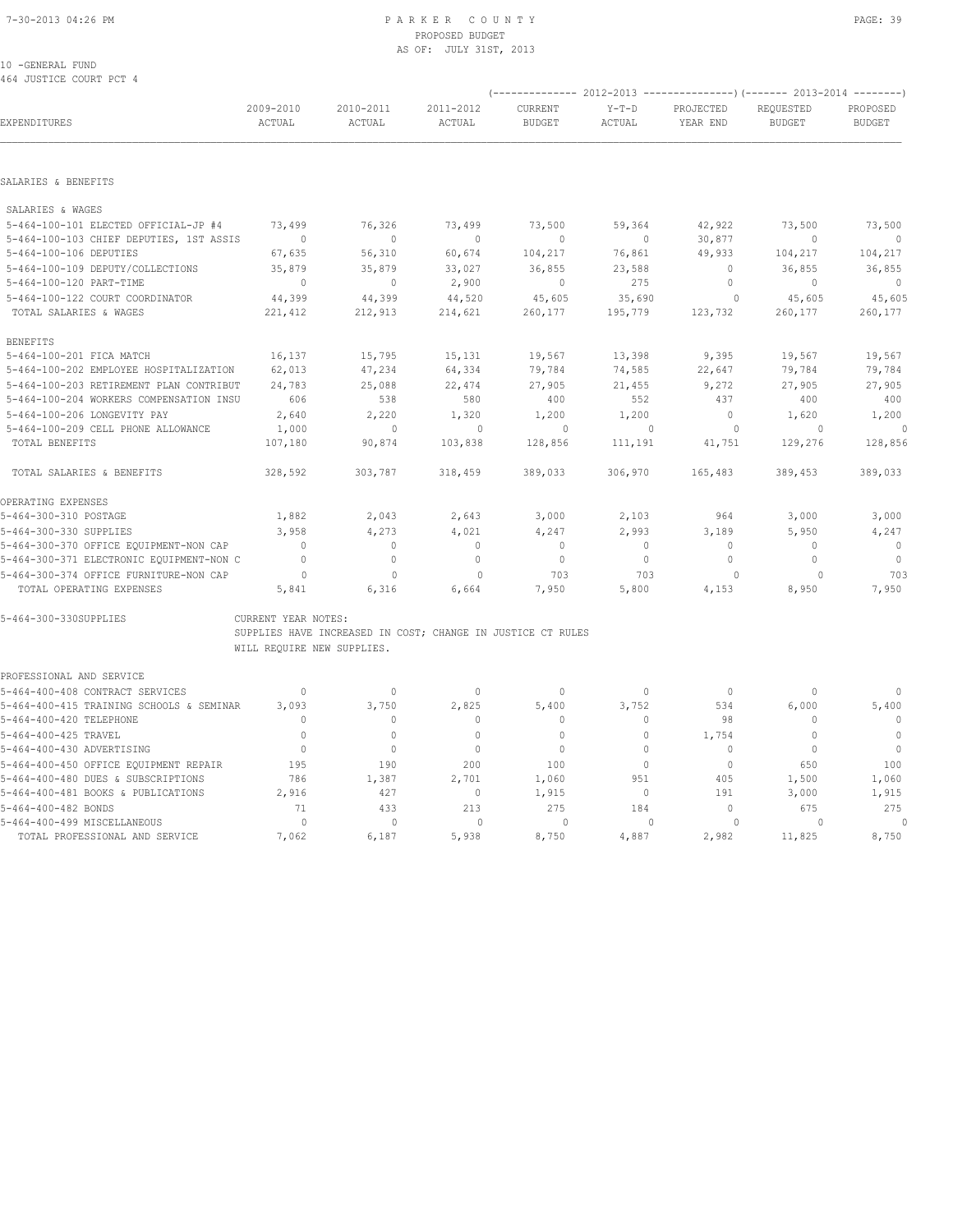#### 10 -GENERAL FUND 464 JUSTICE COURT PCT 4

| YUY UUJIICE COURI FCI Y                  |                            |                     |                                                             |                          |                   |                       | (-------------- 2012-2013 ----------------) (------- 2013-2014 --------) |                           |
|------------------------------------------|----------------------------|---------------------|-------------------------------------------------------------|--------------------------|-------------------|-----------------------|--------------------------------------------------------------------------|---------------------------|
| EXPENDITURES                             | 2009-2010<br>ACTUAL        | 2010-2011<br>ACTUAL | 2011-2012<br>ACTUAL                                         | CURRENT<br><b>BUDGET</b> | $Y-T-D$<br>ACTUAL | PROJECTED<br>YEAR END | REQUESTED<br><b>BUDGET</b>                                               | PROPOSED<br><b>BUDGET</b> |
|                                          |                            |                     |                                                             |                          |                   |                       |                                                                          |                           |
| SALARIES & BENEFITS                      |                            |                     |                                                             |                          |                   |                       |                                                                          |                           |
| SALARIES & WAGES                         |                            |                     |                                                             |                          |                   |                       |                                                                          |                           |
| 5-464-100-101 ELECTED OFFICIAL-JP #4     | 73,499                     | 76,326              | 73,499                                                      | 73,500                   | 59,364            | 42,922                | 73,500                                                                   | 73,500                    |
| 5-464-100-103 CHIEF DEPUTIES, 1ST ASSIS  | $\mathbf{0}$               | $\mathbf{0}$        | $\mathbf{0}$                                                | $\mathbf{0}$             | $\circ$           | 30,877                | $\mathbf{0}$                                                             | $\overline{0}$            |
| 5-464-100-106 DEPUTIES                   | 67,635                     | 56,310              | 60,674                                                      | 104,217                  | 76,861            | 49,933                | 104,217                                                                  | 104,217                   |
| 5-464-100-109 DEPUTY/COLLECTIONS         | 35,879                     | 35,879              | 33,027                                                      | 36,855                   | 23,588            | $\circ$               | 36,855                                                                   | 36,855                    |
| 5-464-100-120 PART-TIME                  | $\overline{0}$             | $\circ$             | 2,900                                                       | $\mathbf 0$              | 275               | 0                     | $\circ$                                                                  | $\mathbf 0$               |
| 5-464-100-122 COURT COORDINATOR          | 44,399                     | 44,399              | 44,520                                                      | 45,605                   | 35,690            | $\circ$               | 45,605                                                                   | 45,605                    |
| TOTAL SALARIES & WAGES                   | 221,412                    | 212,913             | 214,621                                                     | 260,177                  | 195,779           | 123,732               | 260,177                                                                  | 260,177                   |
| <b>BENEFITS</b>                          |                            |                     |                                                             |                          |                   |                       |                                                                          |                           |
| 5-464-100-201 FICA MATCH                 | 16,137                     | 15,795              | 15,131                                                      | 19,567                   | 13,398            | 9,395                 | 19,567                                                                   | 19,567                    |
| 5-464-100-202 EMPLOYEE HOSPITALIZATION   | 62,013                     | 47,234              | 64,334                                                      | 79,784                   | 74,585            | 22,647                | 79,784                                                                   | 79,784                    |
| 5-464-100-203 RETIREMENT PLAN CONTRIBUT  | 24,783                     | 25,088              | 22,474                                                      | 27,905                   | 21,455            | 9,272                 | 27,905                                                                   | 27,905                    |
| 5-464-100-204 WORKERS COMPENSATION INSU  | 606                        | 538                 | 580                                                         | 400                      | 552               | 437                   | 400                                                                      | 400                       |
| 5-464-100-206 LONGEVITY PAY              | 2,640                      | 2,220               | 1,320                                                       | 1,200                    | 1,200             | $\circ$               | 1,620                                                                    | 1,200                     |
| 5-464-100-209 CELL PHONE ALLOWANCE       | 1,000                      | $\mathbf{0}$        | $\circ$                                                     | $\circ$                  | $\mathbf{0}$      | $\circ$               | $\circ$                                                                  | $\circ$                   |
| TOTAL BENEFITS                           | 107,180                    | 90,874              | 103,838                                                     | 128,856                  | 111,191           | 41,751                | 129,276                                                                  | 128,856                   |
| TOTAL SALARIES & BENEFITS                | 328,592                    | 303,787             | 318,459                                                     | 389,033                  | 306,970           | 165,483               | 389,453                                                                  | 389,033                   |
| OPERATING EXPENSES                       |                            |                     |                                                             |                          |                   |                       |                                                                          |                           |
| 5-464-300-310 POSTAGE                    | 1,882                      | 2,043               | 2,643                                                       | 3,000                    | 2,103             | 964                   | 3,000                                                                    | 3,000                     |
| 5-464-300-330 SUPPLIES                   | 3,958                      | 4,273               | 4,021                                                       | 4,247                    | 2,993             | 3,189                 | 5,950                                                                    | 4,247                     |
| 5-464-300-370 OFFICE EQUIPMENT-NON CAP   | $\circ$                    | $\circ$             | $\mathbf{0}$                                                | $\mathbf{0}$             | $\circ$           | $\circ$               | $\mathbf{0}$                                                             | $\overline{0}$            |
| 5-464-300-371 ELECTRONIC EQUIPMENT-NON C | $\mathbf{0}$               | $\mathbf{0}$        | $\mathbf{0}$                                                | $\circ$                  | $\circ$           | $\circ$               | $\mathbf{0}$                                                             | $\overline{0}$            |
| 5-464-300-374 OFFICE FURNITURE-NON CAP   | $\circ$                    | $\mathbf{0}$        | 0                                                           | 703                      | 703               | 0                     | 0                                                                        | 703                       |
| TOTAL OPERATING EXPENSES                 | 5,841                      | 6,316               | 6,664                                                       | 7,950                    | 5,800             | 4,153                 | 8,950                                                                    | 7,950                     |
| 5-464-300-330SUPPLIES                    | CURRENT YEAR NOTES:        |                     |                                                             |                          |                   |                       |                                                                          |                           |
|                                          |                            |                     | SUPPLIES HAVE INCREASED IN COST; CHANGE IN JUSTICE CT RULES |                          |                   |                       |                                                                          |                           |
|                                          | WILL REQUIRE NEW SUPPLIES. |                     |                                                             |                          |                   |                       |                                                                          |                           |
| PROFESSIONAL AND SERVICE                 |                            |                     |                                                             |                          |                   |                       |                                                                          |                           |
| 5-464-400-408 CONTRACT SERVICES          | $\circ$                    | $\circ$             | $\circ$                                                     | $\mathbf 0$              | 0                 | $\overline{0}$        | 0                                                                        | 0                         |
| 5-464-400-415 TRAINING SCHOOLS & SEMINAR | 3,093                      | 3,750               | 2,825                                                       | 5,400                    | 3,752             | 534                   | 6,000                                                                    | 5,400                     |
| 5-464-400-420 TELEPHONE                  | $\mathbf{0}$               | $\circ$             | $\mathbf 0$                                                 | $\mathbf 0$              | 0                 | 98                    | $\mathbf 0$                                                              | $\mathbb{O}$              |
| 5-464-400-425 TRAVEL                     | $\mathbf{0}$               | $\mathbf{0}$        | $\mathbf{0}$                                                | $\mathbf{0}$             | $\circ$           | 1,754                 | $\mathbf{0}$                                                             | $\mathbf{0}$              |
| 5-464-400-430 ADVERTISING                | $\circ$                    | $\mathbf{0}$        | $\mathbf{0}$                                                | $\mathbf{0}$             | $\circ$           | $\Omega$              | $\mathbf{0}$                                                             | $\overline{0}$            |
| 5-464-400-450 OFFICE EQUIPMENT REPAIR    | 195                        | 190                 | 200                                                         | 100                      | $\circ$           | $\circ$               | 650                                                                      | 100                       |
| 5-464-400-480 DUES & SUBSCRIPTIONS       | 786                        | 1,387               | 2,701                                                       | 1,060                    | 951               | 405                   | 1,500                                                                    | 1,060                     |
| 5-464-400-481 BOOKS & PUBLICATIONS       | 2,916                      | 427                 | $\circ$                                                     | 1,915                    | $\circ$           | 191                   | 3,000                                                                    | 1,915                     |
| 5-464-400-482 BONDS                      | 71                         | 433                 | 213                                                         | 275                      | 184               | $\circ$               | 675                                                                      | 275                       |
| 5-464-400-499 MISCELLANEOUS              | $\Omega$                   | $\cap$              | $\Omega$                                                    | $\cap$                   | $\cap$            | $\cap$                | $\cap$                                                                   | $\Omega$                  |

TOTAL PROFESSIONAL AND SERVICE 7,062 6,187 5,938 8,750 4,887 2,982 11,825 8,750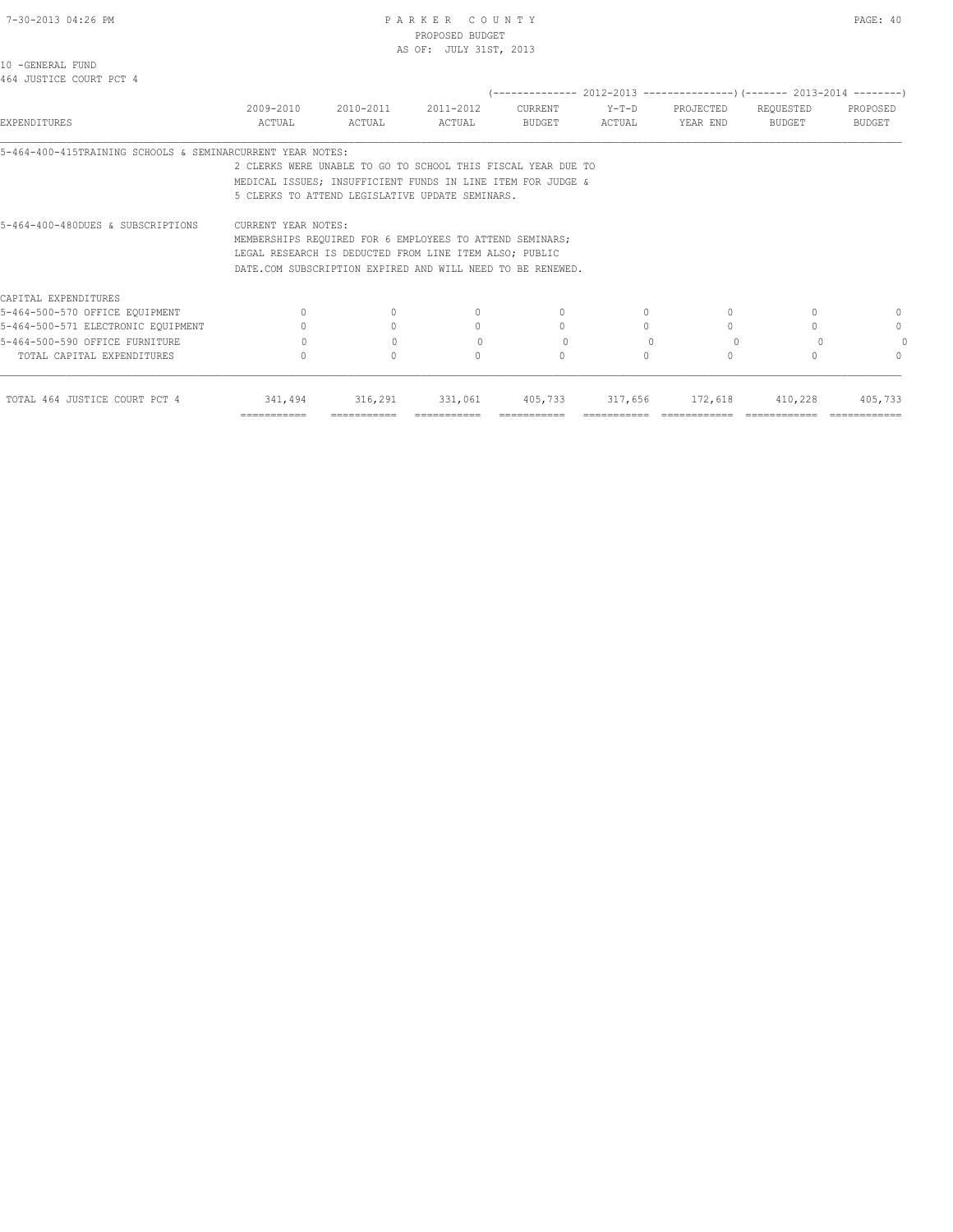|                                                            |                                                              |                     | PROPOSED BUDGET        |              |           |                                                                         |           |               |
|------------------------------------------------------------|--------------------------------------------------------------|---------------------|------------------------|--------------|-----------|-------------------------------------------------------------------------|-----------|---------------|
|                                                            |                                                              |                     | AS OF: JULY 31ST, 2013 |              |           |                                                                         |           |               |
| 10 -GENERAL FUND<br>464 JUSTICE COURT PCT 4                |                                                              |                     |                        |              |           |                                                                         |           |               |
|                                                            |                                                              |                     |                        |              |           | (-------------- 2012-2013 ----------------) (------- 2013-2014 -------- |           |               |
|                                                            | 2009-2010                                                    | 2010-2011 2011-2012 |                        | CURRENT      | Y-T-D     | PROJECTED                                                               | REQUESTED | PROPOSED      |
| EXPENDITURES                                               | ACTUAL                                                       | ACTUAL              | ACTUAL                 | BUDGET       | ACTUAL    | YEAR END                                                                | BUDGET    | <b>BUDGET</b> |
| 5-464-400-415TRAINING SCHOOLS & SEMINARCURRENT YEAR NOTES: |                                                              |                     |                        |              |           |                                                                         |           |               |
|                                                            | 2 CLERKS WERE UNABLE TO GO TO SCHOOL THIS FISCAL YEAR DUE TO |                     |                        |              |           |                                                                         |           |               |
|                                                            | MEDICAL ISSUES: INSUFFICIENT FUNDS IN LINE ITEM FOR JUDGE &  |                     |                        |              |           |                                                                         |           |               |
|                                                            | 5 CLERKS TO ATTEND LEGISLATIVE UPDATE SEMINARS.              |                     |                        |              |           |                                                                         |           |               |
| 5-464-400-480DUES & SUBSCRIPTIONS                          | CURRENT YEAR NOTES:                                          |                     |                        |              |           |                                                                         |           |               |
|                                                            | MEMBERSHIPS REQUIRED FOR 6 EMPLOYEES TO ATTEND SEMINARS;     |                     |                        |              |           |                                                                         |           |               |
|                                                            | LEGAL RESEARCH IS DEDUCTED FROM LINE ITEM ALSO: PUBLIC       |                     |                        |              |           |                                                                         |           |               |
|                                                            | DATE.COM SUBSCRIPTION EXPIRED AND WILL NEED TO BE RENEWED.   |                     |                        |              |           |                                                                         |           |               |
| CAPITAL EXPENDITURES                                       |                                                              |                     |                        |              |           |                                                                         |           |               |
| 5-464-500-570 OFFICE EQUIPMENT                             |                                                              |                     | $\Omega$               | $\Omega$     | $\Omega$  | $\Omega$                                                                |           | 0             |
| 5-464-500-571 ELECTRONIC EQUIPMENT                         |                                                              | $\cap$              | $\bigcap$              | $\Omega$     | $\bigcap$ | $\bigcap$                                                               |           | $\mathbf{0}$  |
| 5-464-500-590 OFFICE FURNITURE                             |                                                              | $\Omega$            |                        | $\Omega$     |           | $\Omega$                                                                |           | $\Omega$      |
| TOTAL CAPITAL EXPENDITURES                                 |                                                              | $\Omega$            | $\bigcap$              | $\mathbf{0}$ | $\bigcap$ | $\mathbf{0}$                                                            | $\Omega$  | $\bigcap$     |
| TOTAL 464 JUSTICE COURT PCT 4                              | 341,494                                                      | 316,291             | 331,061                | 405,733      |           | 317,656 172,618                                                         | 410,228   | 405,733       |

=========== =========== =========== =========== =========== ============ ============ ============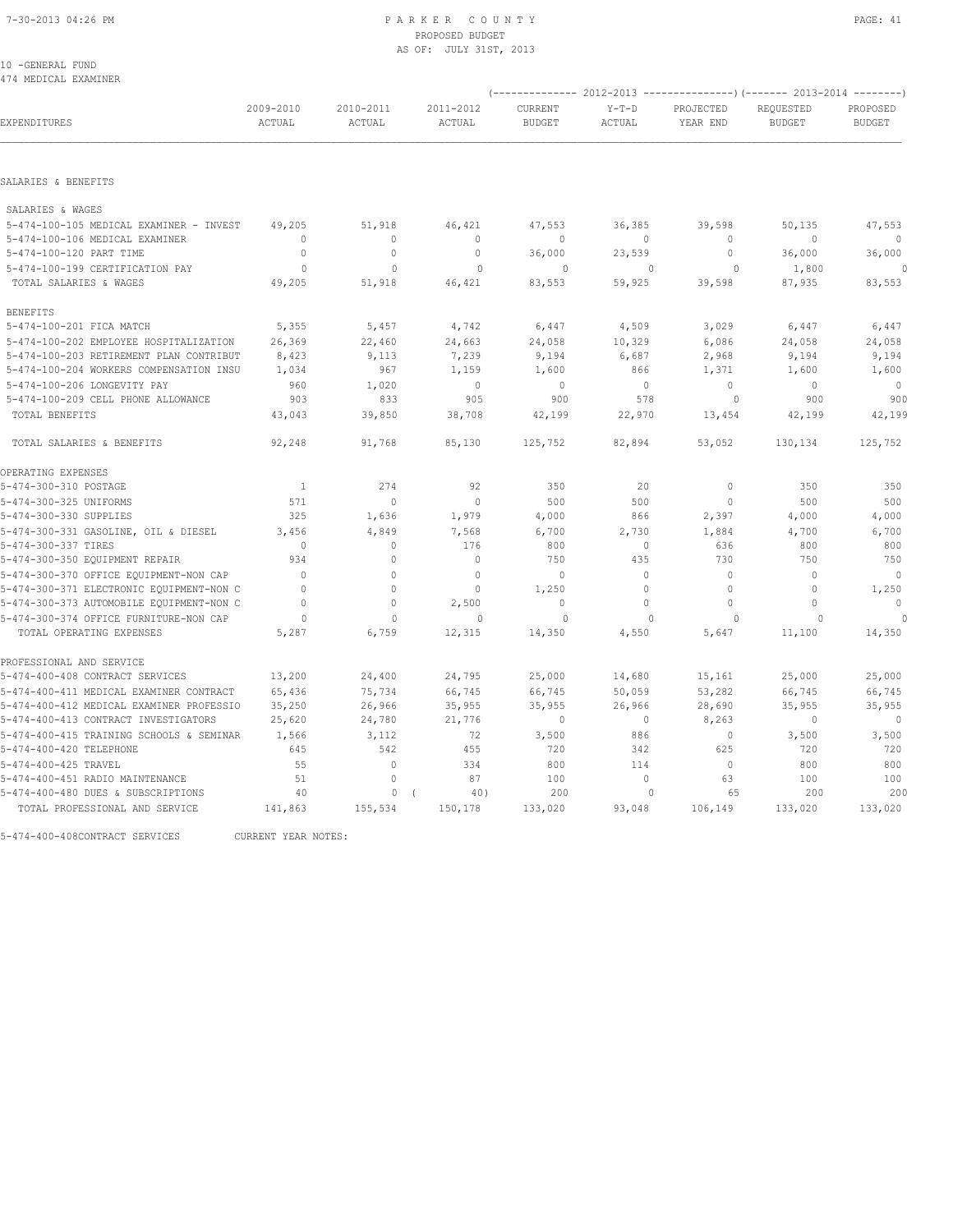10 -GENERAL FUND 474 MEDICAL EXAMINER

|                                          |                     |                     |                     |                          |                   |                       | (-------------- 2012-2013 ----------------) (------- 2013-2014 --------) |                           |  |
|------------------------------------------|---------------------|---------------------|---------------------|--------------------------|-------------------|-----------------------|--------------------------------------------------------------------------|---------------------------|--|
| EXPENDITURES                             | 2009-2010<br>ACTUAL | 2010-2011<br>ACTUAL | 2011-2012<br>ACTUAL | CURRENT<br><b>BUDGET</b> | $Y-T-D$<br>ACTUAL | PROJECTED<br>YEAR END | REQUESTED<br><b>BUDGET</b>                                               | PROPOSED<br><b>BUDGET</b> |  |
|                                          |                     |                     |                     |                          |                   |                       |                                                                          |                           |  |
| SALARIES & BENEFITS                      |                     |                     |                     |                          |                   |                       |                                                                          |                           |  |
| SALARIES & WAGES                         |                     |                     |                     |                          |                   |                       |                                                                          |                           |  |
| 5-474-100-105 MEDICAL EXAMINER - INVEST  | 49,205              | 51,918              | 46,421              | 47,553                   | 36,385            | 39,598                | 50,135                                                                   | 47,553                    |  |
| 5-474-100-106 MEDICAL EXAMINER           | $\Omega$            | $\Omega$            | $\mathbf{0}$        | $\Omega$                 | $\Omega$          | $\Omega$              | $\Omega$                                                                 | $\circ$                   |  |
| 5-474-100-120 PART TIME                  | $\mathbf{0}$        | $\mathbf{0}$        | $\mathbf{0}$        | 36,000                   | 23,539            | $\circ$               | 36,000                                                                   | 36,000                    |  |
| 5-474-100-199 CERTIFICATION PAY          | $\Omega$            | $\Omega$            | $\Omega$            | $\Omega$                 | $\Omega$          | $\Omega$              | 1,800                                                                    | 0                         |  |
| TOTAL SALARIES & WAGES                   | 49,205              | 51,918              | 46,421              | 83,553                   | 59,925            | 39,598                | 87,935                                                                   | 83,553                    |  |
| <b>BENEFITS</b>                          |                     |                     |                     |                          |                   |                       |                                                                          |                           |  |
| 5-474-100-201 FICA MATCH                 | 5,355               | 5,457               | 4,742               | 6,447                    | 4,509             | 3,029                 | 6,447                                                                    | 6,447                     |  |
| 5-474-100-202 EMPLOYEE HOSPITALIZATION   | 26,369              | 22,460              | 24,663              | 24,058                   | 10,329            | 6,086                 | 24,058                                                                   | 24,058                    |  |
| 5-474-100-203 RETIREMENT PLAN CONTRIBUT  | 8,423               | 9,113               | 7,239               | 9,194                    | 6,687             | 2,968                 | 9,194                                                                    | 9,194                     |  |
| 5-474-100-204 WORKERS COMPENSATION INSU  | 1,034               | 967                 | 1,159               | 1,600                    | 866               | 1,371                 | 1,600                                                                    | 1,600                     |  |
| 5-474-100-206 LONGEVITY PAY              | 960                 | 1,020               | $\mathbb O$         | $\circ$                  | 0                 | $\circ$               | $\mathbf{0}$                                                             | $\mathbb O$               |  |
| 5-474-100-209 CELL PHONE ALLOWANCE       | 903                 | 833                 | 905                 | 900                      | 578               | $\circ$               | 900                                                                      | 900                       |  |
| TOTAL BENEFITS                           | 43,043              | 39,850              | 38,708              | 42,199                   | 22,970            | 13,454                | 42,199                                                                   | 42,199                    |  |
| TOTAL SALARIES & BENEFITS                | 92,248              | 91,768              | 85,130              | 125,752                  | 82,894            | 53,052                | 130,134                                                                  | 125,752                   |  |
| OPERATING EXPENSES                       |                     |                     |                     |                          |                   |                       |                                                                          |                           |  |
| 5-474-300-310 POSTAGE                    | $\overline{1}$      | 274                 | 92                  | 350                      | 20                | $\mathbf 0$           | 350                                                                      | 350                       |  |
| 5-474-300-325 UNIFORMS                   | 571                 | $\circ$             | $\mathbf{0}$        | 500                      | 500               | $\mathbf{0}$          | 500                                                                      | 500                       |  |
| 5-474-300-330 SUPPLIES                   | 325                 | 1,636               | 1,979               | 4,000                    | 866               | 2,397                 | 4,000                                                                    | 4,000                     |  |
| 5-474-300-331 GASOLINE, OIL & DIESEL     | 3,456               | 4,849               | 7,568               | 6,700                    | 2,730             | 1,884                 | 4,700                                                                    | 6,700                     |  |
| 5-474-300-337 TIRES                      | $\mathbf{0}$        | $\circ$             | 176                 | 800                      | $\circ$           | 636                   | 800                                                                      | 800                       |  |
| 5-474-300-350 EQUIPMENT REPAIR           | 934                 | $\circ$             | $\mathbf 0$         | 750                      | 435               | 730                   | 750                                                                      | 750                       |  |
| 5-474-300-370 OFFICE EQUIPMENT-NON CAP   | $\Omega$            | $\circ$             | $\mathbf{0}$        | $\mathbf{0}$             | $\circ$           | $\mathbf{0}$          | $\mathbf{0}$                                                             | $\overline{0}$            |  |
| 5-474-300-371 ELECTRONIC EQUIPMENT-NON C | $\Omega$            | $\circ$             | $\Omega$            | 1,250                    | $\circ$           | $\mathbf{0}$          | $\mathbf{0}$                                                             | 1,250                     |  |
| 5-474-300-373 AUTOMOBILE EQUIPMENT-NON C | $\mathbf{0}$        | $\circ$             | 2,500               | $\mathbf{0}$             | $\circ$           | $\mathbf{0}$          | $\mathbf{0}$                                                             | $\mathbf{0}$              |  |
| 5-474-300-374 OFFICE FURNITURE-NON CAP   | $\Omega$            | $\Omega$            | $\mathbf{0}$        | $\Omega$                 | $\cap$            | $\cap$                | $\Omega$                                                                 |                           |  |
| TOTAL OPERATING EXPENSES                 | 5,287               | 6,759               | 12,315              | 14,350                   | 4,550             | 5,647                 | 11,100                                                                   | 14,350                    |  |
| PROFESSIONAL AND SERVICE                 |                     |                     |                     |                          |                   |                       |                                                                          |                           |  |
| 5-474-400-408 CONTRACT SERVICES          | 13,200              | 24,400              | 24,795              | 25,000                   | 14,680            | 15,161                | 25,000                                                                   | 25,000                    |  |
| 5-474-400-411 MEDICAL EXAMINER CONTRACT  | 65,436              | 75,734              | 66,745              | 66,745                   | 50,059            | 53,282                | 66,745                                                                   | 66,745                    |  |
| 5-474-400-412 MEDICAL EXAMINER PROFESSIO | 35,250              | 26,966              | 35,955              | 35,955                   | 26,966            | 28,690                | 35,955                                                                   | 35,955                    |  |
| 5-474-400-413 CONTRACT INVESTIGATORS     | 25,620              | 24,780              | 21,776              | $\mathbf{0}$             | $\circ$           | 8,263                 | $\mathbf{0}$                                                             | $\circ$                   |  |
| 5-474-400-415 TRAINING SCHOOLS & SEMINAR | 1,566               | 3,112               | 72                  | 3,500                    | 886               | $\mathbf{0}$          | 3,500                                                                    | 3,500                     |  |
| 5-474-400-420 TELEPHONE                  | 645                 | 542                 | 455                 | 720                      | 342               | 625                   | 720                                                                      | 720                       |  |
| 5-474-400-425 TRAVEL                     | 55                  | $\circ$             | 334                 | 800                      | 114               | $\mathbf{0}$          | 800                                                                      | 800                       |  |
| 5-474-400-451 RADIO MAINTENANCE          | 51                  | $\circ$             | 87                  | 100                      | $\circ$           | 63                    | 100                                                                      | 100                       |  |
| 5-474-400-480 DUES & SUBSCRIPTIONS       | 40                  | 0                   | 40)                 | 200                      | $\Omega$          | 65                    | 200                                                                      | 200                       |  |
| TOTAL PROFESSIONAL AND SERVICE           | 141,863             | 155,534             | 150,178             | 133,020                  | 93,048            | 106,149               | 133,020                                                                  | 133,020                   |  |
|                                          |                     |                     |                     |                          |                   |                       |                                                                          |                           |  |

5-474-400-408CONTRACT SERVICES CURRENT YEAR NOTES: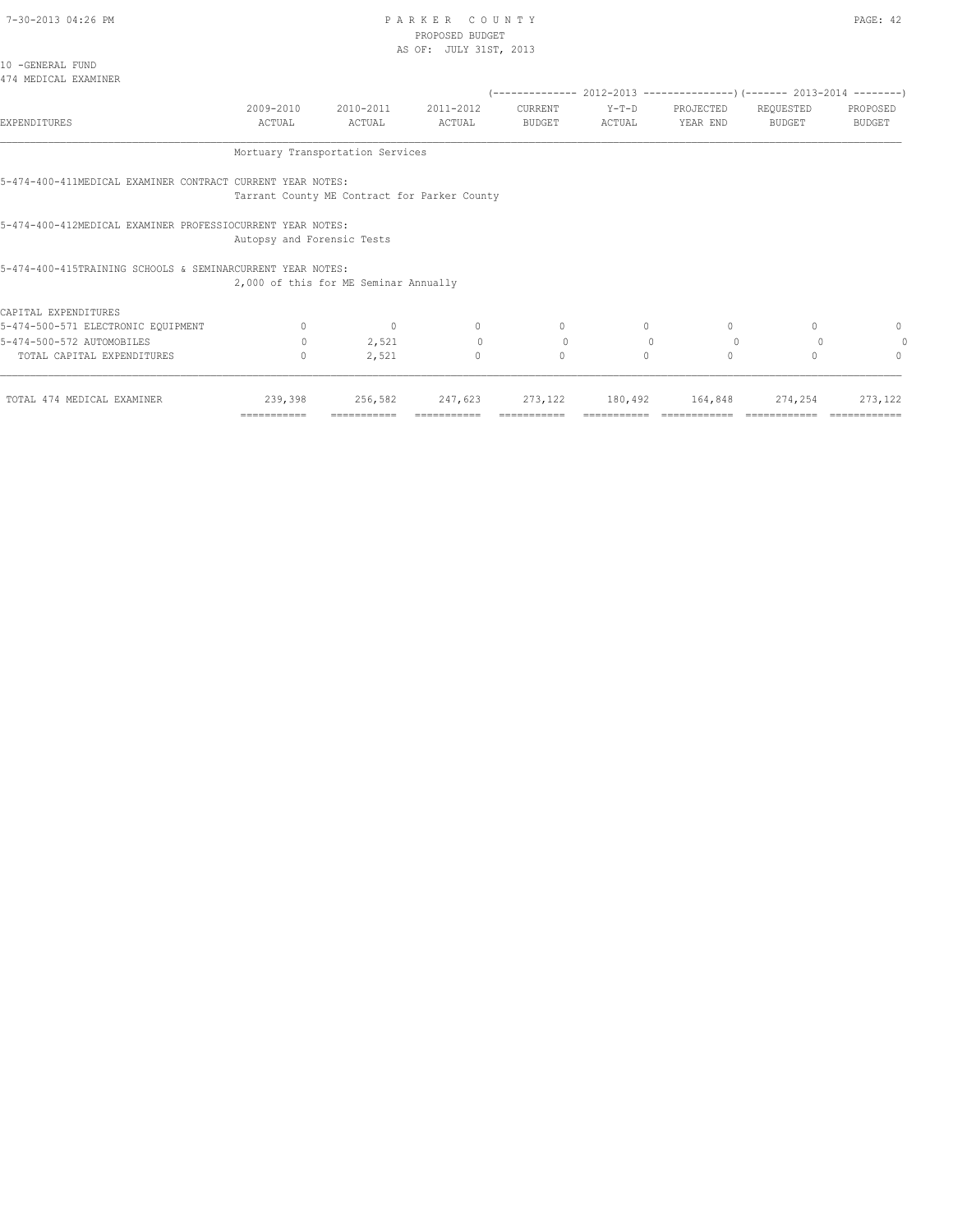10 -GENERAL FUND

#### 7-30-2013 04:26 PM PAGE: 42 PROPOSED BUDGET AS OF: JULY 31ST, 2013

| ב בבטי |          |  |  |  |  |  |  |
|--------|----------|--|--|--|--|--|--|
|        | ST, 2013 |  |  |  |  |  |  |
|        |          |  |  |  |  |  |  |
|        |          |  |  |  |  |  |  |
|        |          |  |  |  |  |  |  |

| 474 MEDICAL EXAMINER                                       |                                              |                        |                     |                          |                 |                       | (-------------- 2012-2013 ------------------- (------- 2013-2014 ---------) |                           |
|------------------------------------------------------------|----------------------------------------------|------------------------|---------------------|--------------------------|-----------------|-----------------------|-----------------------------------------------------------------------------|---------------------------|
| <b>EXPENDITURES</b>                                        | 2009-2010<br>ACTUAL                          | 2010-2011<br>ACTUAL    | 2011-2012<br>ACTUAL | CURRENT<br><b>BUDGET</b> | Y-T-D<br>ACTUAL | PROJECTED<br>YEAR END | REQUESTED<br>BUDGET                                                         | PROPOSED<br><b>BUDGET</b> |
|                                                            | Mortuary Transportation Services             |                        |                     |                          |                 |                       |                                                                             |                           |
| 5-474-400-411MEDICAL EXAMINER CONTRACT CURRENT YEAR NOTES: | Tarrant County ME Contract for Parker County |                        |                     |                          |                 |                       |                                                                             |                           |
| 5-474-400-412MEDICAL EXAMINER PROFESSIOCURRENT YEAR NOTES: | Autopsy and Forensic Tests                   |                        |                     |                          |                 |                       |                                                                             |                           |
| 5-474-400-415TRAINING SCHOOLS & SEMINARCURRENT YEAR NOTES: | 2,000 of this for ME Seminar Annually        |                        |                     |                          |                 |                       |                                                                             |                           |
| CAPITAL EXPENDITURES                                       |                                              |                        |                     |                          |                 |                       |                                                                             |                           |
| 5-474-500-571 ELECTRONIC EQUIPMENT                         | $\circ$                                      | $\circ$                | $\circ$             | $\mathbf{0}$             | $\circ$         | $\circ$               | $\mathbf{0}$                                                                | 0                         |
| 5-474-500-572 AUTOMOBILES                                  | $\circ$                                      | 2,521                  | $\circ$             | $\circ$                  | $\mathbb{O}$    | $\overline{0}$        |                                                                             | 0                         |
| TOTAL CAPITAL EXPENDITURES                                 | $\mathbf{0}$                                 | 2,521                  | $\mathbf{0}$        | $\mathbf{0}$             | $\Omega$        | $\circ$               | $\Omega$                                                                    | $\Omega$                  |
| TOTAL 474 MEDICAL EXAMINER                                 | 239,398<br>===========                       | 256,582<br>=========== | 247,623             | 273,122                  | 180,492         | 164,848               | 274,254                                                                     | 273, 122                  |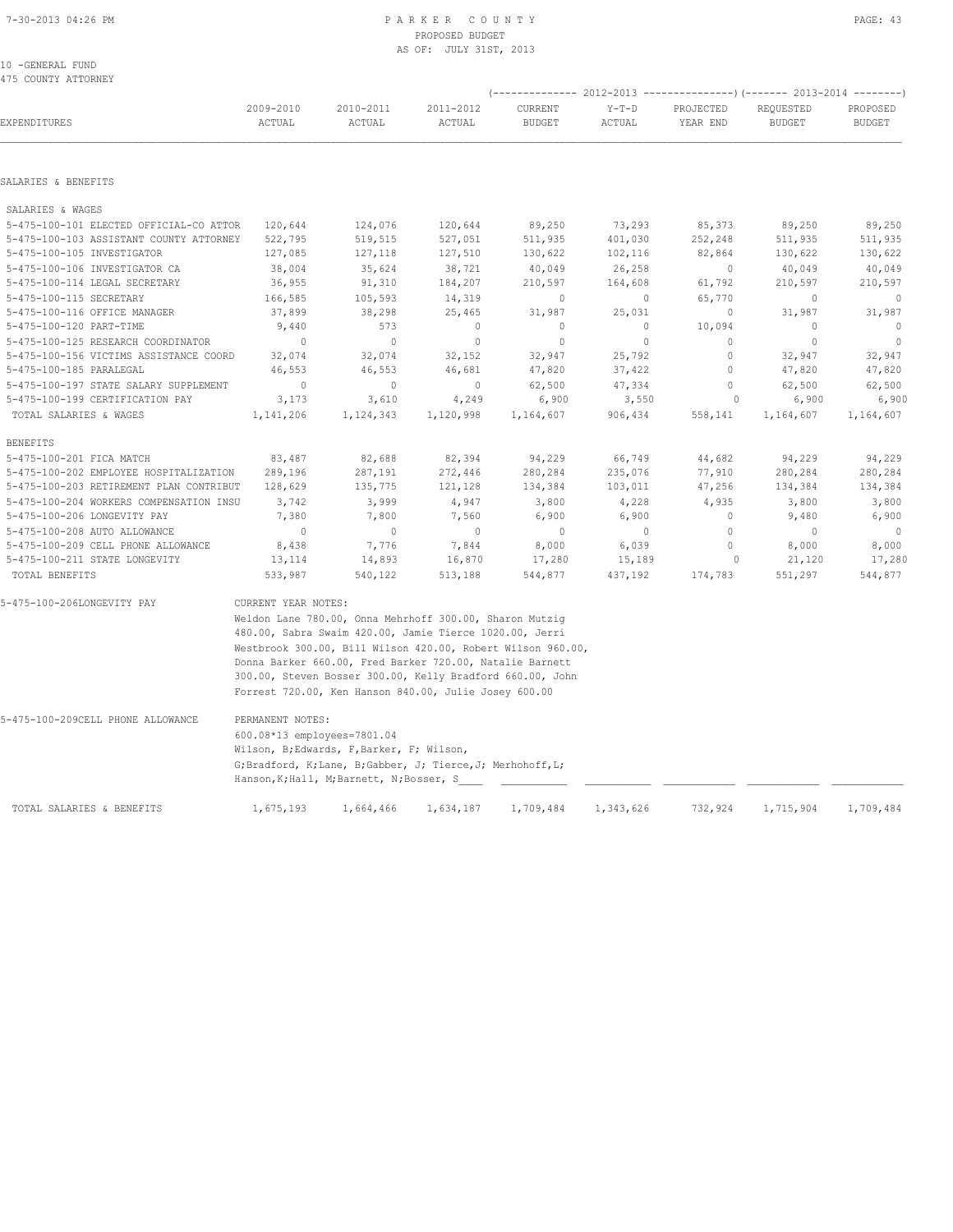|                                         |                                                                          |                                                                                                        |                     | (-------------- 2012-2013 ----------------) (------- 2013-2014 --------) |                   |                       |                            |                           |  |  |  |
|-----------------------------------------|--------------------------------------------------------------------------|--------------------------------------------------------------------------------------------------------|---------------------|--------------------------------------------------------------------------|-------------------|-----------------------|----------------------------|---------------------------|--|--|--|
| EXPENDITURES                            | 2009-2010<br>ACTUAL                                                      | 2010-2011<br>ACTUAL                                                                                    | 2011-2012<br>ACTUAL | CURRENT<br><b>BUDGET</b>                                                 | $Y-T-D$<br>ACTUAL | PROJECTED<br>YEAR END | REQUESTED<br><b>BUDGET</b> | PROPOSED<br><b>BUDGET</b> |  |  |  |
|                                         |                                                                          |                                                                                                        |                     |                                                                          |                   |                       |                            |                           |  |  |  |
| SALARIES & BENEFITS                     |                                                                          |                                                                                                        |                     |                                                                          |                   |                       |                            |                           |  |  |  |
| SALARIES & WAGES                        |                                                                          |                                                                                                        |                     |                                                                          |                   |                       |                            |                           |  |  |  |
| 5-475-100-101 ELECTED OFFICIAL-CO ATTOR | 120,644                                                                  | 124,076                                                                                                | 120,644             | 89,250                                                                   | 73,293            | 85,373                | 89,250                     | 89,250                    |  |  |  |
| 5-475-100-103 ASSISTANT COUNTY ATTORNEY | 522,795                                                                  | 519,515                                                                                                | 527,051             | 511,935                                                                  | 401,030           | 252,248               | 511,935                    | 511,935                   |  |  |  |
| 5-475-100-105 INVESTIGATOR              | 127,085                                                                  | 127,118                                                                                                | 127,510             | 130,622                                                                  | 102,116           | 82,864                | 130,622                    | 130,622                   |  |  |  |
| 5-475-100-106 INVESTIGATOR CA           | 38,004                                                                   | 35,624                                                                                                 | 38,721              | 40,049                                                                   | 26,258            | $\circ$               | 40,049                     | 40,049                    |  |  |  |
| 5-475-100-114 LEGAL SECRETARY           | 36,955                                                                   | 91,310                                                                                                 | 184,207             | 210,597                                                                  | 164,608           | 61,792                | 210,597                    | 210,597                   |  |  |  |
| 5-475-100-115 SECRETARY                 | 166,585                                                                  | 105,593                                                                                                | 14,319              | $\mathbf{0}$                                                             | $\circ$           | 65,770                | $\mathbf{0}$               | $\mathbf{0}$              |  |  |  |
| 5-475-100-116 OFFICE MANAGER            | 37,899                                                                   | 38,298                                                                                                 | 25,465              | 31,987                                                                   | 25,031            | $\circ$               | 31,987                     | 31,987                    |  |  |  |
| 5-475-100-120 PART-TIME                 | 9,440                                                                    | 573                                                                                                    | $\mathbf 0$         | $\circ$                                                                  | $\circ$           | 10,094                | $\mathbf{0}$               | $\circ$                   |  |  |  |
| 5-475-100-125 RESEARCH COORDINATOR      | $\Omega$                                                                 | $\circ$                                                                                                | $\mathbf{0}$        | $\mathbf{0}$                                                             | $\circ$           | $\Omega$              | $\circ$                    | $\circ$                   |  |  |  |
| 5-475-100-156 VICTIMS ASSISTANCE COORD  | 32,074                                                                   | 32,074                                                                                                 | 32,152              | 32,947                                                                   | 25,792            | $\circ$               | 32,947                     | 32,947                    |  |  |  |
| 5-475-100-185 PARALEGAL                 | 46,553                                                                   | 46,553                                                                                                 | 46,681              | 47,820                                                                   | 37,422            | $\circ$               | 47,820                     | 47,820                    |  |  |  |
| 5-475-100-197 STATE SALARY SUPPLEMENT   | $\mathbf{0}$                                                             | $\circ$                                                                                                | $\mathbb O$         | 62,500                                                                   | 47,334            | $\circ$               | 62,500                     | 62,500                    |  |  |  |
| 5-475-100-199 CERTIFICATION PAY         | 3,173                                                                    | 3,610                                                                                                  | 4,249               | 6,900                                                                    | 3,550             | $\circ$               | 6,900                      | 6,900                     |  |  |  |
| TOTAL SALARIES & WAGES                  | 1,141,206                                                                | 1,124,343                                                                                              | 1,120,998           | 1,164,607                                                                | 906,434           | 558,141               | 1,164,607                  | 1,164,607                 |  |  |  |
| <b>BENEFITS</b>                         |                                                                          |                                                                                                        |                     |                                                                          |                   |                       |                            |                           |  |  |  |
| 5-475-100-201 FICA MATCH                | 83,487                                                                   | 82,688                                                                                                 | 82,394              | 94,229                                                                   | 66,749            | 44,682                | 94,229                     | 94,229                    |  |  |  |
| 5-475-100-202 EMPLOYEE HOSPITALIZATION  | 289,196                                                                  | 287,191                                                                                                | 272,446             | 280,284                                                                  | 235,076           | 77,910                | 280,284                    | 280,284                   |  |  |  |
| 5-475-100-203 RETIREMENT PLAN CONTRIBUT | 128,629                                                                  | 135,775                                                                                                | 121,128             | 134,384                                                                  | 103,011           | 47,256                | 134,384                    | 134,384                   |  |  |  |
| 5-475-100-204 WORKERS COMPENSATION INSU | 3,742                                                                    | 3,999                                                                                                  | 4,947               | 3,800                                                                    | 4,228             | 4,935                 | 3,800                      | 3,800                     |  |  |  |
| 5-475-100-206 LONGEVITY PAY             | 7,380                                                                    | 7,800                                                                                                  | 7,560               | 6,900                                                                    | 6,900             | 0                     | 9,480                      | 6,900                     |  |  |  |
| 5-475-100-208 AUTO ALLOWANCE            | $\circ$                                                                  | $\circ$                                                                                                | $\mathbb O$         | $\mathbb O$                                                              | $\circ$           | $\mathbb O$           | $\mathbf{0}$               | $\circ$                   |  |  |  |
| 5-475-100-209 CELL PHONE ALLOWANCE      | 8,438                                                                    | 7,776                                                                                                  | 7,844               | 8,000                                                                    | 6,039             | $\Omega$              | 8,000                      | 8,000                     |  |  |  |
| 5-475-100-211 STATE LONGEVITY           | 13,114                                                                   | 14,893                                                                                                 | 16,870              | 17,280                                                                   | 15,189            | $\circ$               | 21,120                     | 17,280                    |  |  |  |
| TOTAL BENEFITS                          | 533,987                                                                  | 540,122                                                                                                | 513,188             | 544,877                                                                  | 437,192           | 174,783               | 551,297                    | 544,877                   |  |  |  |
| 5-475-100-206LONGEVITY PAY              | CURRENT YEAR NOTES:                                                      |                                                                                                        |                     |                                                                          |                   |                       |                            |                           |  |  |  |
|                                         |                                                                          | Weldon Lane 780.00, Onna Mehrhoff 300.00, Sharon Mutzig                                                |                     |                                                                          |                   |                       |                            |                           |  |  |  |
|                                         |                                                                          | 480.00, Sabra Swaim 420.00, Jamie Tierce 1020.00, Jerri                                                |                     |                                                                          |                   |                       |                            |                           |  |  |  |
|                                         |                                                                          | Westbrook 300.00, Bill Wilson 420.00, Robert Wilson 960.00,                                            |                     |                                                                          |                   |                       |                            |                           |  |  |  |
|                                         |                                                                          | Donna Barker 660.00, Fred Barker 720.00, Natalie Barnett                                               |                     |                                                                          |                   |                       |                            |                           |  |  |  |
|                                         |                                                                          | 300.00, Steven Bosser 300.00, Kelly Bradford 660.00, John                                              |                     |                                                                          |                   |                       |                            |                           |  |  |  |
|                                         |                                                                          | Forrest 720.00, Ken Hanson 840.00, Julie Josey 600.00                                                  |                     |                                                                          |                   |                       |                            |                           |  |  |  |
| 5-475-100-209CELL PHONE ALLOWANCE       | PERMANENT NOTES:                                                         |                                                                                                        |                     |                                                                          |                   |                       |                            |                           |  |  |  |
|                                         |                                                                          |                                                                                                        |                     |                                                                          |                   |                       |                            |                           |  |  |  |
|                                         | 600.08*13 employees=7801.04<br>Wilson, B; Edwards, F, Barker, F; Wilson, |                                                                                                        |                     |                                                                          |                   |                       |                            |                           |  |  |  |
|                                         |                                                                          | G;Bradford, K;Lane, B;Gabber, J; Tierce, J; Merhohoff, L;<br>Hanson, K; Hall, M; Barnett, N; Bosser, S |                     |                                                                          |                   |                       |                            |                           |  |  |  |
|                                         |                                                                          |                                                                                                        |                     |                                                                          |                   |                       |                            |                           |  |  |  |
| TOTAL SALARIES & BENEFITS               | 1,675,193                                                                | 1,664,466                                                                                              | 1,634,187           | 1,709,484                                                                | 1,343,626         | 732,924               | 1,715,904                  | 1,709,484                 |  |  |  |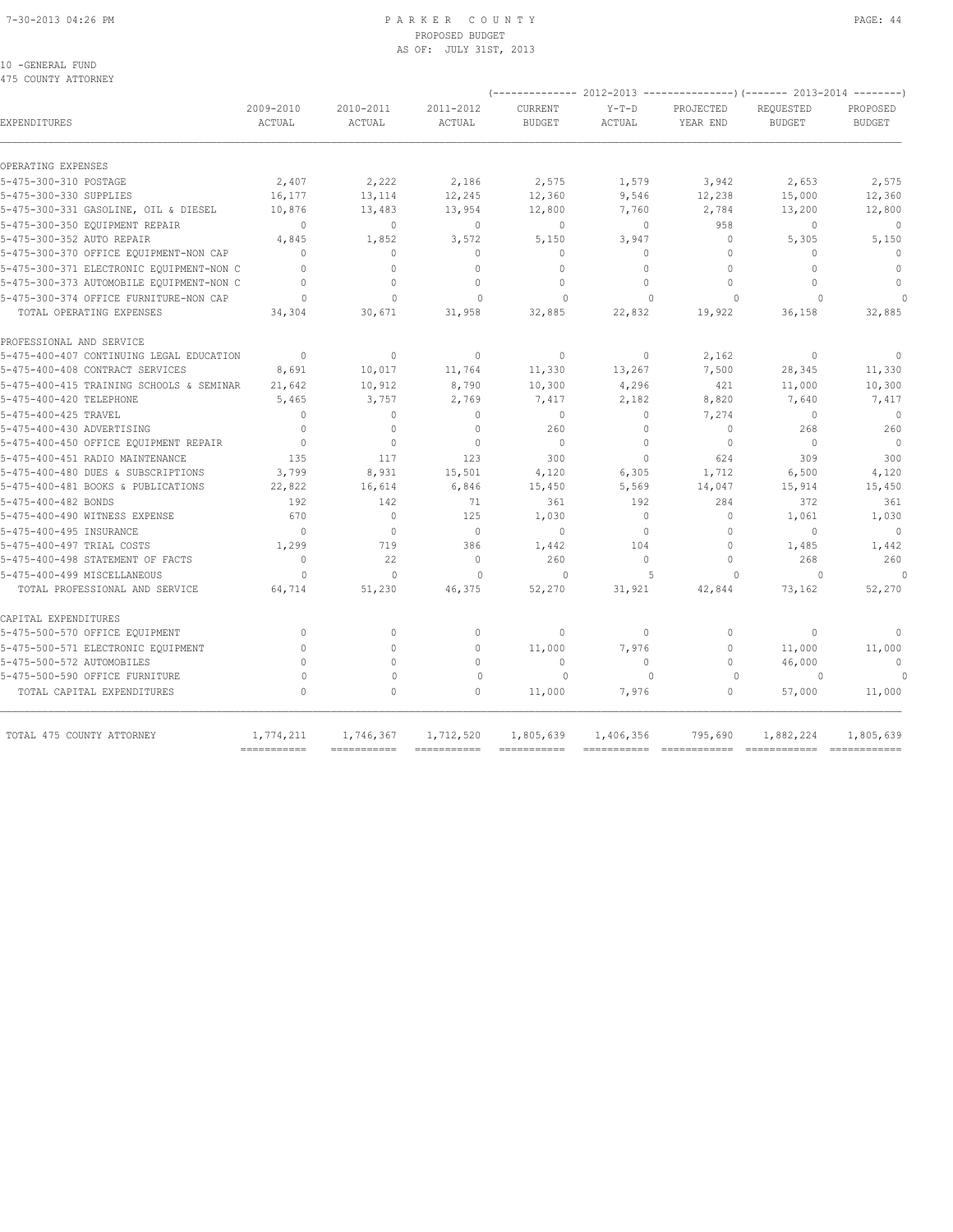#### 7-30-2013 04:26 PM P A R K E R C O U N T Y PAGE: 44 PROPOSED BUDGET AS OF: JULY 31ST, 2013

#### 10 -GENERAL FUND 475 COUNTY ATTORNEY

| EXPENDITURES                             | 2009-2010<br>ACTUAL                    | 2010-2011<br>ACTUAL          | 2011-2012<br><b>ACTUAL</b>             | CURRENT<br><b>BUDGET</b> | $Y-T-D$<br>ACTUAL | PROJECTED<br>YEAR END    | REQUESTED<br><b>BUDGET</b>               | PROPOSED<br><b>BUDGET</b> |
|------------------------------------------|----------------------------------------|------------------------------|----------------------------------------|--------------------------|-------------------|--------------------------|------------------------------------------|---------------------------|
| OPERATING EXPENSES                       |                                        |                              |                                        |                          |                   |                          |                                          |                           |
| 5-475-300-310 POSTAGE                    | 2,407                                  | 2,222                        | 2,186                                  | 2,575                    | 1,579             | 3,942                    | 2,653                                    | 2,575                     |
| 5-475-300-330 SUPPLIES                   | 16,177                                 | 13,114                       | 12,245                                 | 12,360                   | 9,546             | 12,238                   | 15,000                                   | 12,360                    |
| 5-475-300-331 GASOLINE, OIL & DIESEL     | 10,876                                 | 13,483                       | 13,954                                 | 12,800                   | 7,760             | 2,784                    | 13,200                                   | 12,800                    |
| 5-475-300-350 EQUIPMENT REPAIR           | $\mathbf{0}$                           | $\mathbf{0}$                 | $\circ$                                | $\mathbf{0}$             | $\circ$           | 958                      | $\mathbf{0}$                             | $\mathbb O$               |
| 5-475-300-352 AUTO REPAIR                | 4,845                                  | 1,852                        | 3,572                                  | 5,150                    | 3,947             | $\mathbf{0}$             | 5,305                                    | 5,150                     |
| 5-475-300-370 OFFICE EQUIPMENT-NON CAP   | $\bigcap$                              | 0                            | $\Omega$                               | 0                        | $\Omega$          | $\Omega$                 | $\cap$                                   | $\mathbf{0}$              |
| 5-475-300-371 ELECTRONIC EQUIPMENT-NON C | $\bigcap$                              | $\Omega$                     | $\Omega$                               | $\mathbf{0}$             | $\Omega$          | $\Omega$                 | $\Omega$                                 | $\circ$                   |
| 5-475-300-373 AUTOMOBILE EQUIPMENT-NON C | $\Omega$                               | $\Omega$                     | $\Omega$                               | $\mathbf{0}$             | $\Omega$          | $\Omega$                 | $\Omega$                                 | $\Omega$                  |
| 5-475-300-374 OFFICE FURNITURE-NON CAP   | 0                                      | $\mathbf{0}$                 | 0                                      | $\circ$                  | $\Omega$          | $\Omega$                 | $\Omega$                                 | $\Omega$                  |
| TOTAL OPERATING EXPENSES                 | 34,304                                 | 30,671                       | 31,958                                 | 32,885                   | 22,832            | 19,922                   | 36,158                                   | 32,885                    |
| PROFESSIONAL AND SERVICE                 |                                        |                              |                                        |                          |                   |                          |                                          |                           |
| 5-475-400-407 CONTINUING LEGAL EDUCATION | $\Omega$                               | $\mathbf{0}$                 | $\mathbf{0}$                           | $\mathbf{0}$             | $\circ$           | 2,162                    | $\Omega$                                 | $\Omega$                  |
| 5-475-400-408 CONTRACT SERVICES          | 8,691                                  | 10,017                       | 11,764                                 | 11,330                   | 13,267            | 7,500                    | 28,345                                   | 11,330                    |
| 5-475-400-415 TRAINING SCHOOLS & SEMINAR | 21,642                                 | 10,912                       | 8,790                                  | 10,300                   | 4,296             | 421                      | 11,000                                   | 10,300                    |
| 5-475-400-420 TELEPHONE                  | 5,465                                  | 3,757                        | 2,769                                  | 7,417                    | 2,182             | 8,820                    | 7,640                                    | 7,417                     |
| 5-475-400-425 TRAVEL                     | $\Omega$                               | $\circ$                      | 0                                      | $\mathbf{0}$             | $\circ$           | 7,274                    | $\mathbf{0}$                             | $\mathbf{0}$              |
| 5-475-400-430 ADVERTISING                | $\mathbf{0}$                           | $\circ$                      | $\mathbf{0}$                           | 260                      | $\circ$           | $\Omega$                 | 268                                      | 260                       |
| 5-475-400-450 OFFICE EQUIPMENT REPAIR    | $\Omega$                               | $\Omega$                     | $\Omega$                               | $\Omega$                 | $\Omega$          | $\Omega$                 | $\Omega$                                 | $\Omega$                  |
| 5-475-400-451 RADIO MAINTENANCE          | 135                                    | 117                          | 123                                    | 300                      | $\Omega$          | 624                      | 309                                      | 300                       |
| 5-475-400-480 DUES & SUBSCRIPTIONS       | 3,799                                  | 8,931                        | 15,501                                 | 4,120                    | 6,305             | 1,712                    | 6,500                                    | 4,120                     |
| 5-475-400-481 BOOKS & PUBLICATIONS       | 22,822                                 | 16,614                       | 6,846                                  | 15,450                   | 5,569             | 14,047                   | 15,914                                   | 15,450                    |
| 5-475-400-482 BONDS                      | 192                                    | 142                          | 71                                     | 361                      | 192               | 284                      | 372                                      | 361                       |
| 5-475-400-490 WITNESS EXPENSE            | 670                                    | $\circ$                      | 125                                    | 1,030                    | $\circ$           | $\mathbf 0$              | 1,061                                    | 1,030                     |
| 5-475-400-495 INSURANCE                  | $\Omega$                               | $\Omega$                     | $\Omega$                               | $\Omega$                 | $\Omega$          | $\Omega$                 | $\Omega$                                 | $\Omega$                  |
| 5-475-400-497 TRIAL COSTS                | 1,299                                  | 719                          | 386                                    | 1,442                    | 104               | $\mathbf 0$              | 1,485                                    | 1,442                     |
| 5-475-400-498 STATEMENT OF FACTS         | $\Omega$                               | 22                           | $\Omega$                               | 260                      | $\Omega$          | $\mathbf 0$              | 268                                      | 260                       |
| 5-475-400-499 MISCELLANEOUS              | 0                                      | $\mathbf{0}$                 | $\Omega$                               | $\Omega$                 | 5                 | $\Omega$                 | $\Omega$                                 |                           |
| TOTAL PROFESSIONAL AND SERVICE           | 64,714                                 | 51,230                       | 46,375                                 | 52,270                   | 31,921            | 42,844                   | 73,162                                   | 52,270                    |
| CAPITAL EXPENDITURES                     |                                        |                              |                                        |                          |                   |                          |                                          |                           |
| 5-475-500-570 OFFICE EQUIPMENT           | $\Omega$                               | $\mathbf{0}$                 | $\mathbf{0}$                           | $\mathbf{0}$             | $\circ$           | $\mathbf 0$              | $\Omega$                                 | 0                         |
| 5-475-500-571 ELECTRONIC EQUIPMENT       | $\Omega$                               | 0                            | $\mathbf{0}$                           | 11,000                   | 7,976             | $\mathbf 0$              | 11,000                                   | 11,000                    |
| 5-475-500-572 AUTOMOBILES                | $\Omega$                               | $\Omega$                     | $\mathbf{0}$                           | $\mathbf{0}$             | $\circ$           | $\mathbf{0}$             | 46,000                                   | $\mathbf{0}$              |
| 5-475-500-590 OFFICE FURNITURE           | $\Omega$                               | $\Omega$                     | $\Omega$                               | $\Omega$                 | $\Omega$          | $\Omega$                 | $\Omega$                                 |                           |
| TOTAL CAPITAL EXPENDITURES               | $\Omega$                               | 0                            | $\mathbf{0}$                           | 11,000                   | 7,976             | $\mathbb O$              | 57,000                                   | 11,000                    |
| TOTAL 475 COUNTY ATTORNEY                | 1,774,211<br>$=$ = = = = = = = = = = = | 1,746,367<br>$=$ =========== | 1,712,520<br>$=$ = = = = = = = = = = = | 1,805,639                | 1,406,356         | 795,690<br>============= | 1,882,224<br>--------------------------- | 1,805,639                 |

(-------------- 2012-2013 ---------------)(------- 2013-2014 --------)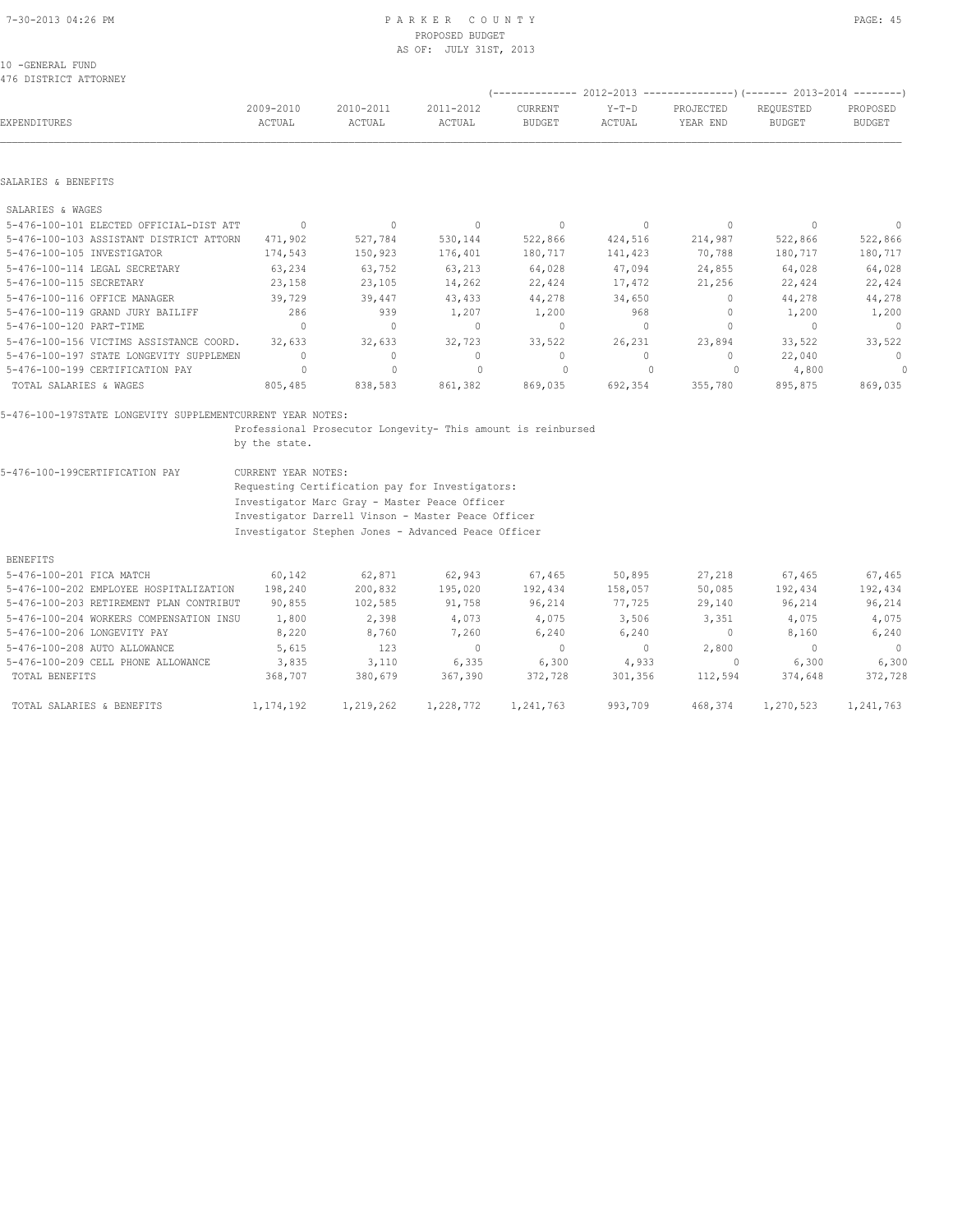10 -GENERAL FUND 476 DISTRICT ATTORNEY

|  |  | PP |
|--|--|----|
|  |  |    |

(-------------- 2012-2013 ---------------)(------- 2013-2014 --------)

| <b>EXPENDITURES</b>                     | 2009-2010<br>ACTUAL | 2010-2011<br>ACTUAL | 2011-2012<br>ACTUAL              | <b>CURRENT</b><br><b>BUDGET</b>  | $Y-T-D$<br>ACTUAL | PROJECTED<br>YEAR END            | REQUESTED<br><b>BUDGET</b> | PROPOSED<br><b>BUDGET</b>        |
|-----------------------------------------|---------------------|---------------------|----------------------------------|----------------------------------|-------------------|----------------------------------|----------------------------|----------------------------------|
|                                         |                     |                     |                                  |                                  |                   |                                  |                            |                                  |
| SALARIES & BENEFITS                     |                     |                     |                                  |                                  |                   |                                  |                            |                                  |
| SALARIES & WAGES                        |                     |                     |                                  |                                  |                   |                                  |                            |                                  |
| 5-476-100-101 ELECTED OFFICIAL-DIST ATT | $\Omega$            | $\Omega$            | $\begin{array}{c} \n\end{array}$ | $\begin{array}{c} \n\end{array}$ | $\Omega$          | $\begin{array}{c} \n\end{array}$ | $\cap$                     | $\Omega$                         |
| 5-476-100-103 ASSISTANT DISTRICT ATTORN | 471,902             | 527,784             | 530,144                          | 522,866                          | 424,516           | 214,987                          | 522,866                    | 522,866                          |
| 5-476-100-105 INVESTIGATOR              | 174,543             | 150,923             | 176,401                          | 180,717                          | 141,423           | 70,788                           | 180,717                    | 180,717                          |
| 5-476-100-114 LEGAL SECRETARY           | 63,234              | 63,752              | 63,213                           | 64,028                           | 47,094            | 24,855                           | 64,028                     | 64,028                           |
| 5-476-100-115 SECRETARY                 | 23,158              | 23,105              | 14,262                           | 22,424                           | 17,472            | 21,256                           | 22,424                     | 22,424                           |
| 5-476-100-116 OFFICE MANAGER            | 39,729              | 39,447              | 43,433                           | 44,278                           | 34,650            | $\Omega$                         | 44,278                     | 44,278                           |
| 5-476-100-119 GRAND JURY BAILIFF        | 286                 | 939                 | 1,207                            | 1,200                            | 968               | 0                                | 1,200                      | 1,200                            |
| 5-476-100-120 PART-TIME                 | $\Omega$            | $\Omega$            | $\Omega$                         | $\mathbf{0}$                     | $\Omega$          | 0                                |                            | $\Omega$                         |
| 5-476-100-156 VICTIMS ASSISTANCE COORD. | 32,633              | 32,633              | 32,723                           | 33,522                           | 26,231            | 23,894                           | 33,522                     | 33,522                           |
| 5-476-100-197 STATE LONGEVITY SUPPLEMEN | $\mathbf{0}$        | $\cup$              | 0                                | $\Omega$                         | $\Omega$          | $\Omega$                         | 22,040                     | $\begin{array}{c} \n\end{array}$ |
| 5-476-100-199 CERTIFICATION PAY         |                     |                     |                                  | $\Omega$                         |                   |                                  | 4,800                      | 0                                |
| TOTAL SALARIES & WAGES                  | 805,485             | 838,583             | 861,382                          | 869,035                          | 692,354           | 355,780                          | 895,875                    | 869,035                          |

 Professional Prosecutor Longevity- This amount is reinbursed by the state.

5-476-100-199CERTIFICATION PAY CURRENT YEAR NOTES:

 Requesting Certification pay for Investigators: Investigator Marc Gray - Master Peace Officer Investigator Darrell Vinson - Master Peace Officer Investigator Stephen Jones - Advanced Peace Officer

BENEFITS

| 5-476-100-201 FICA MATCH                | 60,142      | 62,871    | 62,943    | 67,465    | 50,895  | 27,218  | 67,465    | 67,465    |
|-----------------------------------------|-------------|-----------|-----------|-----------|---------|---------|-----------|-----------|
| 5-476-100-202 EMPLOYEE HOSPITALIZATION  | 198,240     | 200,832   | 195,020   | 192,434   | 158,057 | 50,085  | 192,434   | 192,434   |
| 5-476-100-203 RETIREMENT PLAN CONTRIBUT | 90,855      | 102,585   | 91,758    | 96,214    | 77,725  | 29,140  | 96,214    | 96,214    |
| 5-476-100-204 WORKERS COMPENSATION INSU | 1,800       | 2,398     | 4,073     | 4,075     | 3,506   | 3,351   | 4,075     | 4,075     |
| 5-476-100-206 LONGEVITY PAY             | 8,220       | 8,760     | 7,260     | 6,240     | 6,240   | w       | 8,160     | 6,240     |
| 5-476-100-208 AUTO ALLOWANCE            | 5,615       | 123       | 0         | $\circ$   |         | 2,800   |           | $\Omega$  |
| 5-476-100-209 CELL PHONE ALLOWANCE      | 3,835       | 3,110     | 6,335     | 6,300     | 4,933   |         | 6,300     | 6,300     |
| TOTAL BENEFITS                          | 368,707     | 380,679   | 367,390   | 372,728   | 301,356 | 112,594 | 374,648   | 372,728   |
| TOTAL SALARIES & BENEFITS               | 1, 174, 192 | 1,219,262 | 1,228,772 | 1,241,763 | 993,709 | 468,374 | 1,270,523 | 1,241,763 |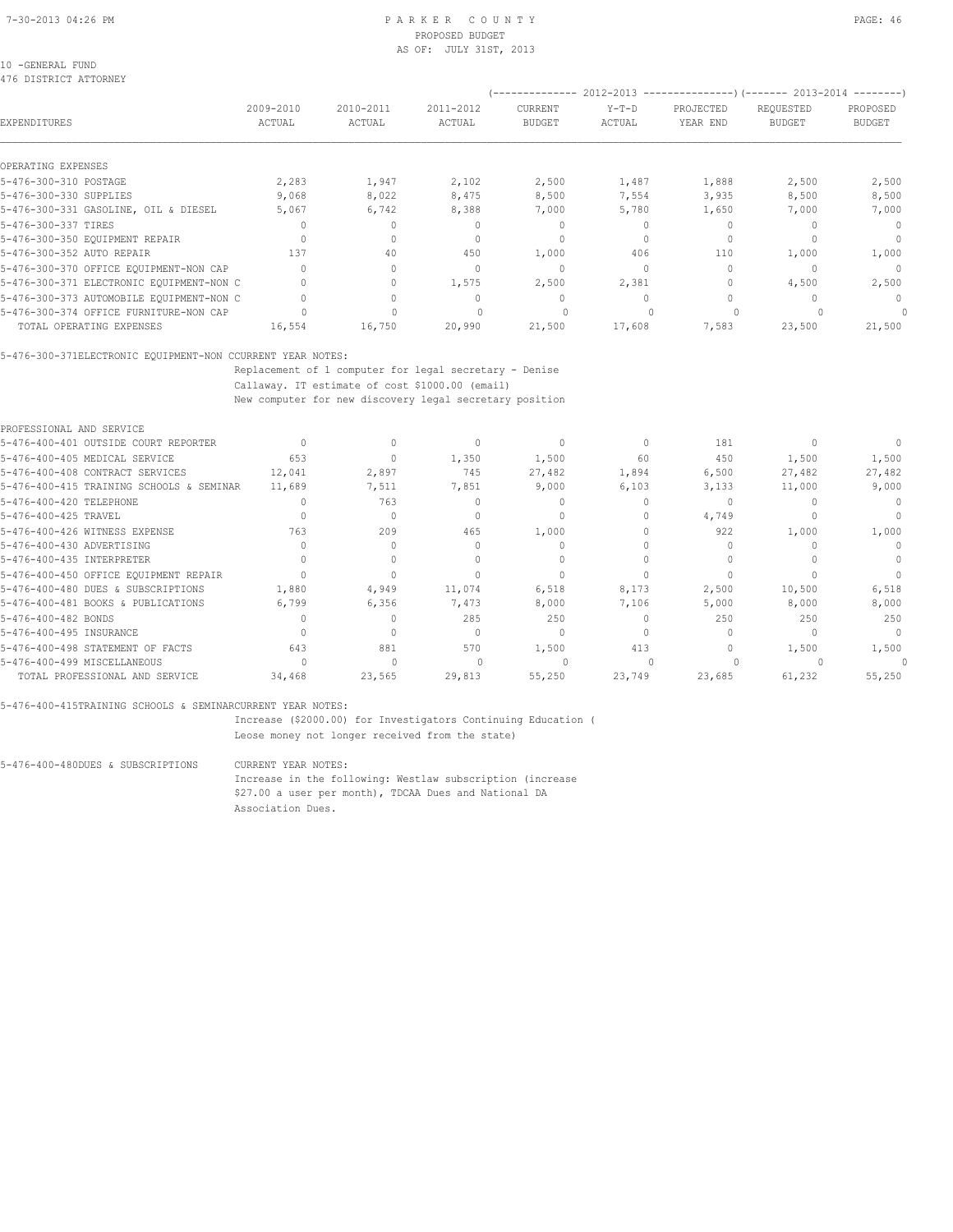### 10 -GENERAL FUND

476 DISTRICT ATTORNEY

| . , o picinici nitonumi                  |                     |                         |                     | --------------                  |                   |                       | $2012-2013$ ----------------)(------- 2013-2014 --------) |                                  |
|------------------------------------------|---------------------|-------------------------|---------------------|---------------------------------|-------------------|-----------------------|-----------------------------------------------------------|----------------------------------|
| EXPENDITURES                             | 2009-2010<br>ACTUAL | $2010 - 2011$<br>ACTUAL | 2011-2012<br>ACTUAL | <b>CURRENT</b><br><b>BUDGET</b> | $Y-T-D$<br>ACTUAL | PROJECTED<br>YEAR END | REQUESTED<br><b>BUDGET</b>                                | PROPOSED<br><b>BUDGET</b>        |
| OPERATING EXPENSES                       |                     |                         |                     |                                 |                   |                       |                                                           |                                  |
| 5-476-300-310 POSTAGE                    | 2,283               | 1,947                   | 2,102               | 2,500                           | 1,487             | 1,888                 | 2,500                                                     | 2,500                            |
| 5-476-300-330 SUPPLIES                   | 9,068               | 8,022                   | 8,475               | 8,500                           | 7,554             | 3,935                 | 8,500                                                     | 8,500                            |
| 5-476-300-331 GASOLINE, OIL & DIESEL     | 5,067               | 6,742                   | 8,388               | 7,000                           | 5,780             | 1,650                 | 7,000                                                     | 7,000                            |
| 5-476-300-337 TIRES                      |                     |                         |                     |                                 |                   |                       |                                                           | $\Omega$                         |
| 5-476-300-350 EQUIPMENT REPAIR           |                     |                         |                     | $\Omega$                        |                   | $\Omega$              |                                                           | $\begin{array}{c} \n\end{array}$ |
| 5-476-300-352 AUTO REPAIR                | 137                 | 40                      | 450                 | 1,000                           | 406               | 110                   | 1,000                                                     | 1,000                            |
| 5-476-300-370 OFFICE EQUIPMENT-NON CAP   |                     |                         |                     | $\Omega$                        |                   |                       |                                                           | $\cap$                           |
| 5-476-300-371 ELECTRONIC EQUIPMENT-NON C |                     |                         | 1,575               | 2,500                           | 2,381             |                       | 4,500                                                     | 2,500                            |
| 5-476-300-373 AUTOMOBILE EQUIPMENT-NON C |                     |                         |                     | $\cup$                          |                   |                       |                                                           | $\cap$                           |
| 5-476-300-374 OFFICE FURNITURE-NON CAP   |                     |                         |                     |                                 |                   |                       |                                                           |                                  |
| TOTAL OPERATING EXPENSES                 | 16,554              | 16,750                  | 20,990              | 21,500                          | 17,608            | 7,583                 | 23,500                                                    | 21,500                           |

5-476-300-371ELECTRONIC EQUIPMENT-NON CCURRENT YEAR NOTES:

 Replacement of 1 computer for legal secretary - Denise Callaway. IT estimate of cost \$1000.00 (email)

New computer for new discovery legal secretary position

|        |        |        |        |        | 181    |        |        |
|--------|--------|--------|--------|--------|--------|--------|--------|
| 653    |        | 1,350  | 1,500  | 60     | 450    | 1,500  | 1,500  |
| 12,041 | 2,897  | 745    | 27,482 | 1,894  | 6,500  | 27,482 | 27,482 |
| 11,689 | 7,511  | 7,851  | 9,000  | 6,103  | 3,133  | 11,000 | 9,000  |
|        | 763    |        |        |        |        |        |        |
|        |        |        |        |        | 4,749  |        |        |
| 763    | 209    | 465    | 1,000  |        | 922    | 1,000  | 1,000  |
|        |        |        |        |        |        |        |        |
|        |        |        |        |        |        |        |        |
|        |        |        |        |        |        |        |        |
| 1,880  | 4,949  | 11,074 | 6,518  | 8,173  | 2,500  | 10,500 | 6,518  |
| 6,799  | 6,356  | 7,473  | 8,000  | 7,106  | 5,000  | 8,000  | 8,000  |
|        |        | 285    | 250    |        | 250    | 250    | 250    |
|        |        |        | $\cap$ |        |        |        | $\cap$ |
| 643    | 881    | 570    | 1,500  | 413    |        | 1,500  | 1,500  |
|        |        |        |        |        |        |        |        |
| 34,468 | 23,565 | 29,813 | 55,250 | 23,749 | 23,685 | 61,232 | 55,250 |
|        |        |        |        |        |        |        |        |

5-476-400-415TRAINING SCHOOLS & SEMINARCURRENT YEAR NOTES:

 Increase (\$2000.00) for Investigators Continuing Education ( Leose money not longer received from the state)

5-476-400-480DUES & SUBSCRIPTIONS CURRENT YEAR NOTES:

 Increase in the following: Westlaw subscription (increase \$27.00 a user per month), TDCAA Dues and National DA Association Dues.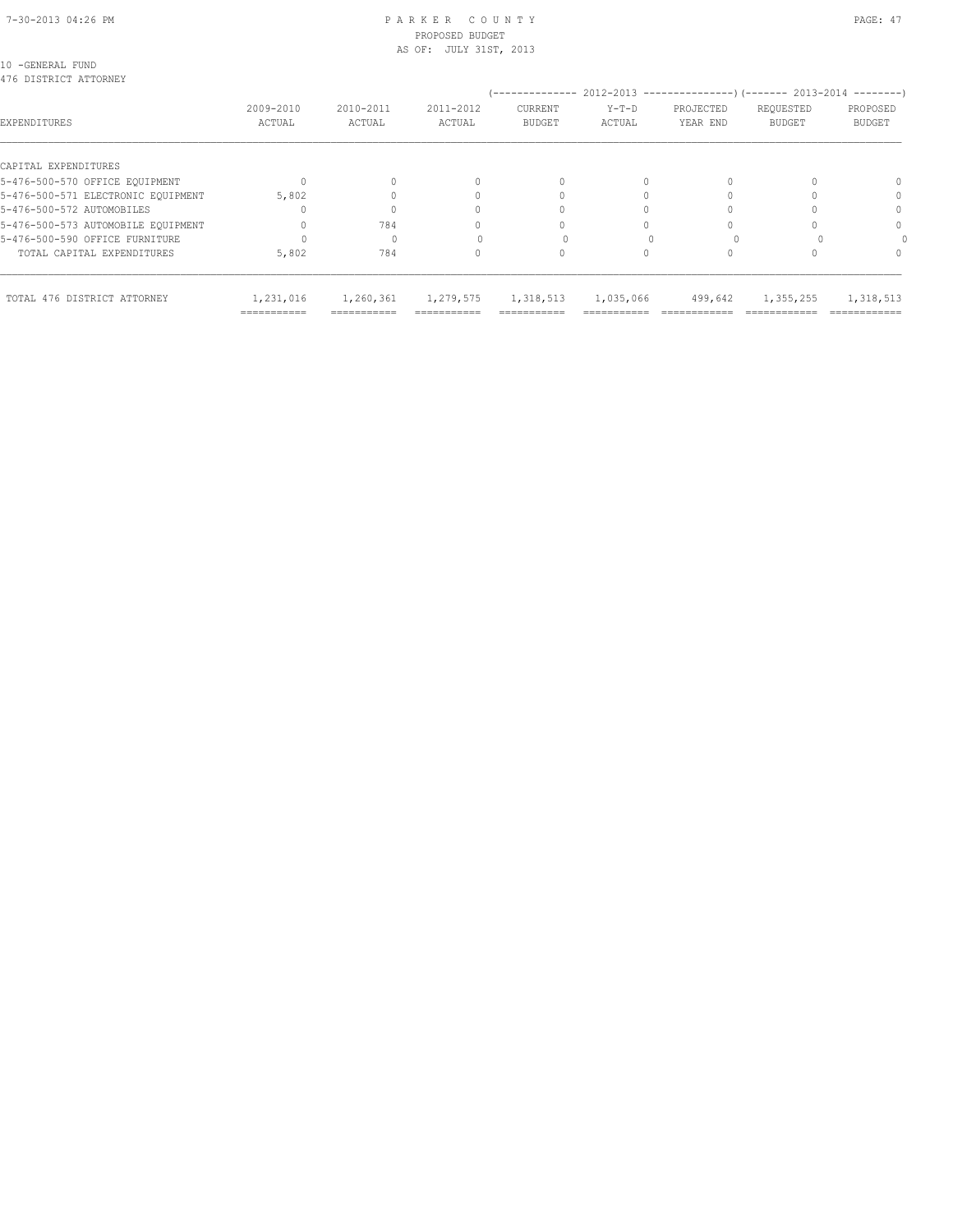#### 7-30-2013 04:26 PM P A R K E R C O U N T Y PAGE: 47 PROPOSED BUDGET AS OF: JULY 31ST, 2013

10 -GENERAL FUND

| TOTAL 476 DISTRICT ATTORNEY        | 1,231,016<br>=========== | 1,260,361 | 1,279,575 | 1,318,513      | 1,035,066 | 499,642                                                        | 1,355,255     | 1,318,513     |
|------------------------------------|--------------------------|-----------|-----------|----------------|-----------|----------------------------------------------------------------|---------------|---------------|
| TOTAL CAPITAL EXPENDITURES         | 5,802                    | 784       |           |                |           |                                                                |               |               |
| 5-476-500-590 OFFICE FURNITURE     |                          |           |           |                |           |                                                                |               |               |
| 5-476-500-573 AUTOMOBILE EQUIPMENT |                          | 784       |           |                |           |                                                                |               | $\Omega$      |
| 5-476-500-572 AUTOMOBILES          |                          |           |           |                |           |                                                                |               | $\Omega$      |
| 5-476-500-571 ELECTRONIC EOUIPMENT | 5,802                    |           |           |                |           |                                                                |               | $\Omega$      |
| 5-476-500-570 OFFICE EQUIPMENT     |                          |           |           |                |           |                                                                |               |               |
| CAPITAL EXPENDITURES               |                          |           |           |                |           |                                                                |               |               |
| EXPENDITURES                       | ACTUAL                   | ACTUAL    | ACTUAL    | <b>BUDGET</b>  | ACTUAL    | YEAR END                                                       | <b>BUDGET</b> | <b>BUDGET</b> |
|                                    | 2009-2010                | 2010-2011 | 2011-2012 | CURRENT        | $Y-T-D$   | PROJECTED                                                      | REQUESTED     | PROPOSED      |
| 476 DISTRICT ATTORNEY              |                          |           |           | -------------- |           | 2012-2013 --------------------- (------- 2013-2014 ----------) |               |               |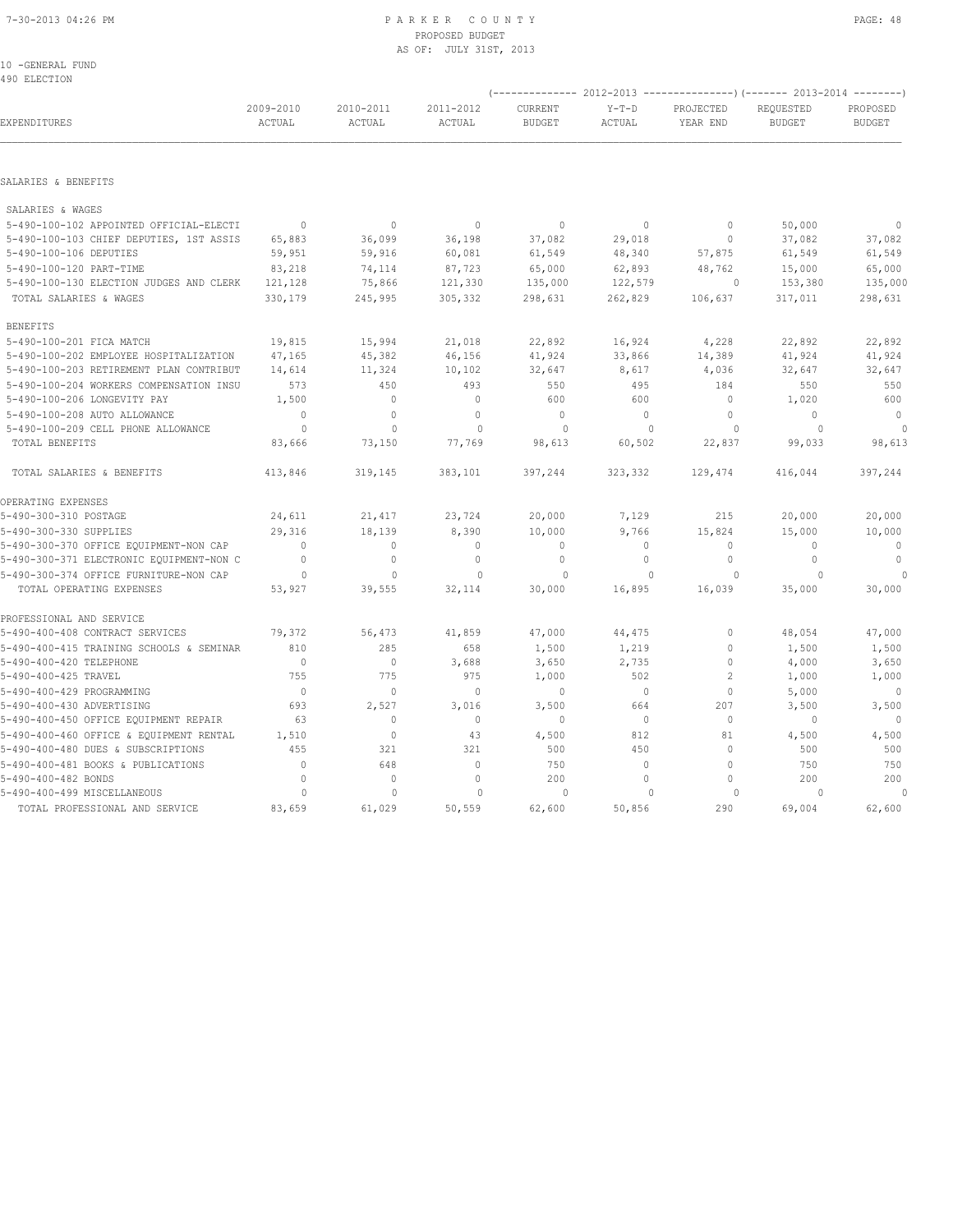#### 7-30-2013 04:26 PM P A R K E R C O U N T Y PAGE: 48 PROPOSED BUDGET AS OF: JULY 31ST, 2013

10 -GENERAL FUND 490 ELECTION

|                                          |                     |                     | (-------------- 2012-2013 ---------------) (------- 2013-2014 --------) |                          |                   |                       |                            |                           |
|------------------------------------------|---------------------|---------------------|-------------------------------------------------------------------------|--------------------------|-------------------|-----------------------|----------------------------|---------------------------|
| EXPENDITURES                             | 2009-2010<br>ACTUAL | 2010-2011<br>ACTUAL | 2011-2012<br>ACTUAL                                                     | CURRENT<br><b>BUDGET</b> | $Y-T-D$<br>ACTUAL | PROJECTED<br>YEAR END | REQUESTED<br><b>BUDGET</b> | PROPOSED<br><b>BUDGET</b> |
|                                          |                     |                     |                                                                         |                          |                   |                       |                            |                           |
| SALARIES & BENEFITS                      |                     |                     |                                                                         |                          |                   |                       |                            |                           |
| SALARIES & WAGES                         |                     |                     |                                                                         |                          |                   |                       |                            |                           |
| 5-490-100-102 APPOINTED OFFICIAL-ELECTI  | $\mathbf{0}$        | $\mathbb O$         | $\mathbb O$                                                             | $\mathbf{0}$             | $\circ$           | $\mathbb O$           | 50,000                     | $\mathbf{0}$              |
| 5-490-100-103 CHIEF DEPUTIES, 1ST ASSIS  | 65,883              | 36,099              | 36,198                                                                  | 37,082                   | 29,018            | $\circ$               | 37,082                     | 37,082                    |
| 5-490-100-106 DEPUTIES                   | 59,951              | 59,916              | 60,081                                                                  | 61,549                   | 48,340            | 57,875                | 61,549                     | 61,549                    |
| 5-490-100-120 PART-TIME                  | 83,218              | 74,114              | 87,723                                                                  | 65,000                   | 62,893            | 48,762                | 15,000                     | 65,000                    |
| 5-490-100-130 ELECTION JUDGES AND CLERK  | 121,128             | 75,866              | 121,330                                                                 | 135,000                  | 122,579           | $\circ$               | 153,380                    | 135,000                   |
| TOTAL SALARIES & WAGES                   | 330,179             | 245,995             | 305,332                                                                 | 298,631                  | 262,829           | 106,637               | 317,011                    | 298,631                   |
| <b>BENEFITS</b>                          |                     |                     |                                                                         |                          |                   |                       |                            |                           |
| 5-490-100-201 FICA MATCH                 | 19,815              | 15,994              | 21,018                                                                  | 22,892                   | 16,924            | 4,228                 | 22,892                     | 22,892                    |
| 5-490-100-202 EMPLOYEE HOSPITALIZATION   | 47,165              | 45,382              | 46,156                                                                  | 41,924                   | 33,866            | 14,389                | 41,924                     | 41,924                    |
| 5-490-100-203 RETIREMENT PLAN CONTRIBUT  | 14,614              | 11,324              | 10,102                                                                  | 32,647                   | 8,617             | 4,036                 | 32,647                     | 32,647                    |
| 5-490-100-204 WORKERS COMPENSATION INSU  | 573                 | 450                 | 493                                                                     | 550                      | 495               | 184                   | 550                        | 550                       |
| 5-490-100-206 LONGEVITY PAY              | 1,500               | $\mathbf{0}$        | $\mathbf{0}$                                                            | 600                      | 600               | $\circ$               | 1,020                      | 600                       |
| 5-490-100-208 AUTO ALLOWANCE             | $\circ$             | $\circ$             | $\mathbf{0}$                                                            | $\mathbf{0}$             | $\Omega$          | $\circ$               | $\Omega$                   | $\mathbb O$               |
| 5-490-100-209 CELL PHONE ALLOWANCE       | $\Omega$            | $\mathbf{0}$        | $\Omega$                                                                | $\circ$                  | $\Omega$          | $\circ$               | $\circ$                    | $\circ$                   |
| TOTAL BENEFITS                           | 83,666              | 73,150              | 77,769                                                                  | 98,613                   | 60,502            | 22,837                | 99,033                     | 98,613                    |
| TOTAL SALARIES & BENEFITS                | 413,846             | 319,145             | 383,101                                                                 | 397,244                  | 323,332           | 129,474               | 416,044                    | 397,244                   |
| OPERATING EXPENSES                       |                     |                     |                                                                         |                          |                   |                       |                            |                           |
| 5-490-300-310 POSTAGE                    | 24,611              | 21,417              | 23,724                                                                  | 20,000                   | 7,129             | 215                   | 20,000                     | 20,000                    |
| 5-490-300-330 SUPPLIES                   | 29,316              | 18,139              | 8,390                                                                   | 10,000                   | 9,766             | 15,824                | 15,000                     | 10,000                    |
| 5-490-300-370 OFFICE EQUIPMENT-NON CAP   | $\Omega$            | 0                   | $\mathbf{0}$                                                            | $\mathbf{0}$             | $\circ$           | $\mathbf{0}$          | $\mathbf{0}$               | $\mathbf 0$               |
| 5-490-300-371 ELECTRONIC EQUIPMENT-NON C | $\mathbf{0}$        | $\mathbb O$         | $\mathbf{0}$                                                            | $\mathbf{0}$             | $\circ$           | $\circ$               | $\circ$                    | $\mathbb O$               |
| 5-490-300-374 OFFICE FURNITURE-NON CAP   | $\circ$             | $\mathbb O$         | $\mathbf{0}$                                                            | $\circ$                  | $\mathbf{0}$      | $\circ$               | $\Omega$                   |                           |
| TOTAL OPERATING EXPENSES                 | 53,927              | 39,555              | 32,114                                                                  | 30,000                   | 16,895            | 16,039                | 35,000                     | 30,000                    |
| PROFESSIONAL AND SERVICE                 |                     |                     |                                                                         |                          |                   |                       |                            |                           |
| 5-490-400-408 CONTRACT SERVICES          | 79,372              | 56,473              | 41,859                                                                  | 47,000                   | 44,475            | $\mathbb O$           | 48,054                     | 47,000                    |
| 5-490-400-415 TRAINING SCHOOLS & SEMINAR | 810                 | 285                 | 658                                                                     | 1,500                    | 1,219             | $\mathbb O$           | 1,500                      | 1,500                     |
| 5-490-400-420 TELEPHONE                  | $\circ$             | $\mathbb O$         | 3,688                                                                   | 3,650                    | 2,735             | $\mathbb O$           | 4,000                      | 3,650                     |
| 5-490-400-425 TRAVEL                     | 755                 | 775                 | 975                                                                     | 1,000                    | 502               | $\overline{c}$        | 1,000                      | 1,000                     |
| 5-490-400-429 PROGRAMMING                | $\overline{0}$      | $\mathbb O$         | $\mathbf 0$                                                             | $\mathbb O$              | $\circ$           | $\circ$               | 5,000                      | $\mathbf 0$               |
| 5-490-400-430 ADVERTISING                | 693                 | 2,527               | 3,016                                                                   | 3,500                    | 664               | 207                   | 3,500                      | 3,500                     |
| 5-490-400-450 OFFICE EQUIPMENT REPAIR    | 63                  | $\circ$             | $\mathbf 0$                                                             | $\circ$                  | $\circ$           | $\circ$               | 0                          | $\mathbf{0}$              |
| 5-490-400-460 OFFICE & EQUIPMENT RENTAL  | 1,510               | $\mathbb O$         | 43                                                                      | 4,500                    | 812               | 81                    | 4,500                      | 4,500                     |
| 5-490-400-480 DUES & SUBSCRIPTIONS       | 455                 | 321                 | 321                                                                     | 500                      | 450               | $\mathbf{0}$          | 500                        | 500                       |
| 5-490-400-481 BOOKS & PUBLICATIONS       | $\mathbb O$         | 648                 | $\mathbb O$                                                             | 750                      | $\circ$           | $\circ$               | 750                        | 750                       |
| 5-490-400-482 BONDS                      | $\mathbf{0}$        | $\mathbf{0}$        | $\mathbf{0}$                                                            | 200                      | $\circ$           | $\circ$               | 200                        | 200                       |
| 5-490-400-499 MISCELLANEOUS              | $\circ$             | $\mathbf{0}$        | $\mathbf{0}$                                                            | $\circ$                  | $\mathbf{0}$      | $\circ$               | $\Omega$                   | $\mathbf{0}$              |
| TOTAL PROFESSIONAL AND SERVICE           | 83,659              | 61,029              | 50,559                                                                  | 62,600                   | 50,856            | 290                   | 69,004                     | 62,600                    |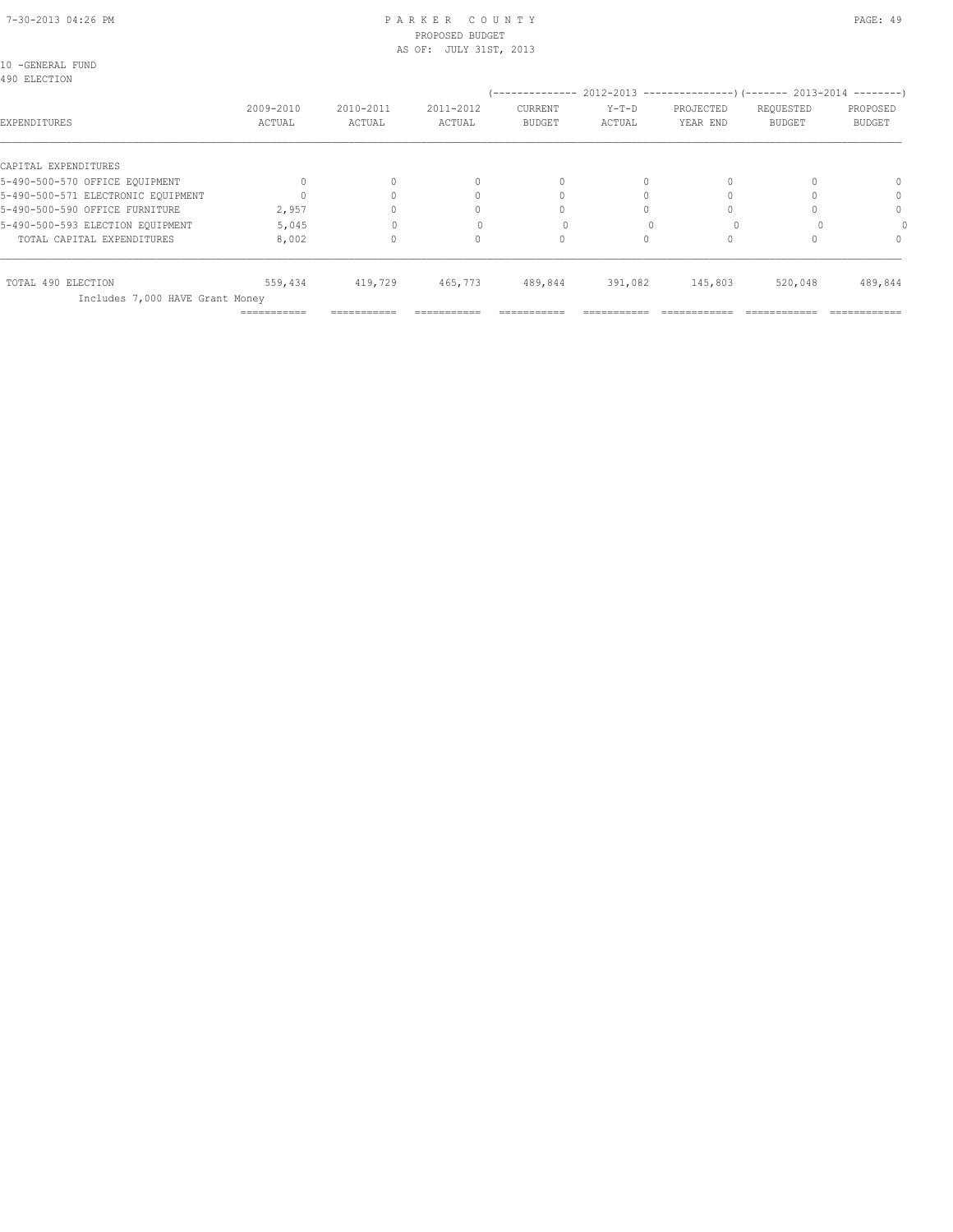|  |                     | 10 -GENERAL FUND |
|--|---------------------|------------------|
|  | <b>AOO RIROTION</b> |                  |

| 490 ELECTION                       |                     |                     |                     | --------------                  |                   |                       |                            | $2012-2013$ ---------------) (------- 2013-2014 --------) |
|------------------------------------|---------------------|---------------------|---------------------|---------------------------------|-------------------|-----------------------|----------------------------|-----------------------------------------------------------|
| EXPENDITURES                       | 2009-2010<br>ACTUAL | 2010-2011<br>ACTUAL | 2011-2012<br>ACTUAL | <b>CURRENT</b><br><b>BUDGET</b> | $Y-T-D$<br>ACTUAL | PROJECTED<br>YEAR END | REQUESTED<br><b>BUDGET</b> | PROPOSED<br><b>BUDGET</b>                                 |
| CAPITAL EXPENDITURES               |                     |                     |                     |                                 |                   |                       |                            |                                                           |
| 5-490-500-570 OFFICE EQUIPMENT     |                     | 0                   |                     |                                 |                   |                       |                            |                                                           |
| 5-490-500-571 ELECTRONIC EOUIPMENT |                     |                     |                     |                                 |                   |                       |                            |                                                           |
| 5-490-500-590 OFFICE FURNITURE     | 2,957               |                     |                     |                                 |                   |                       |                            |                                                           |
| 5-490-500-593 ELECTION EQUIPMENT   | 5,045               |                     | $\Omega$            |                                 |                   |                       | O                          |                                                           |
| TOTAL CAPITAL EXPENDITURES         | 8,002               | 0                   |                     |                                 |                   |                       |                            |                                                           |
| TOTAL 490 ELECTION                 | 559,434             | 419,729             | 465,773             | 489,844                         | 391,082           | 145,803               | 520,048                    | 489,844                                                   |
| Includes 7,000 HAVE Grant Money    |                     |                     |                     |                                 |                   |                       |                            |                                                           |
|                                    | ===========         |                     |                     |                                 |                   |                       |                            |                                                           |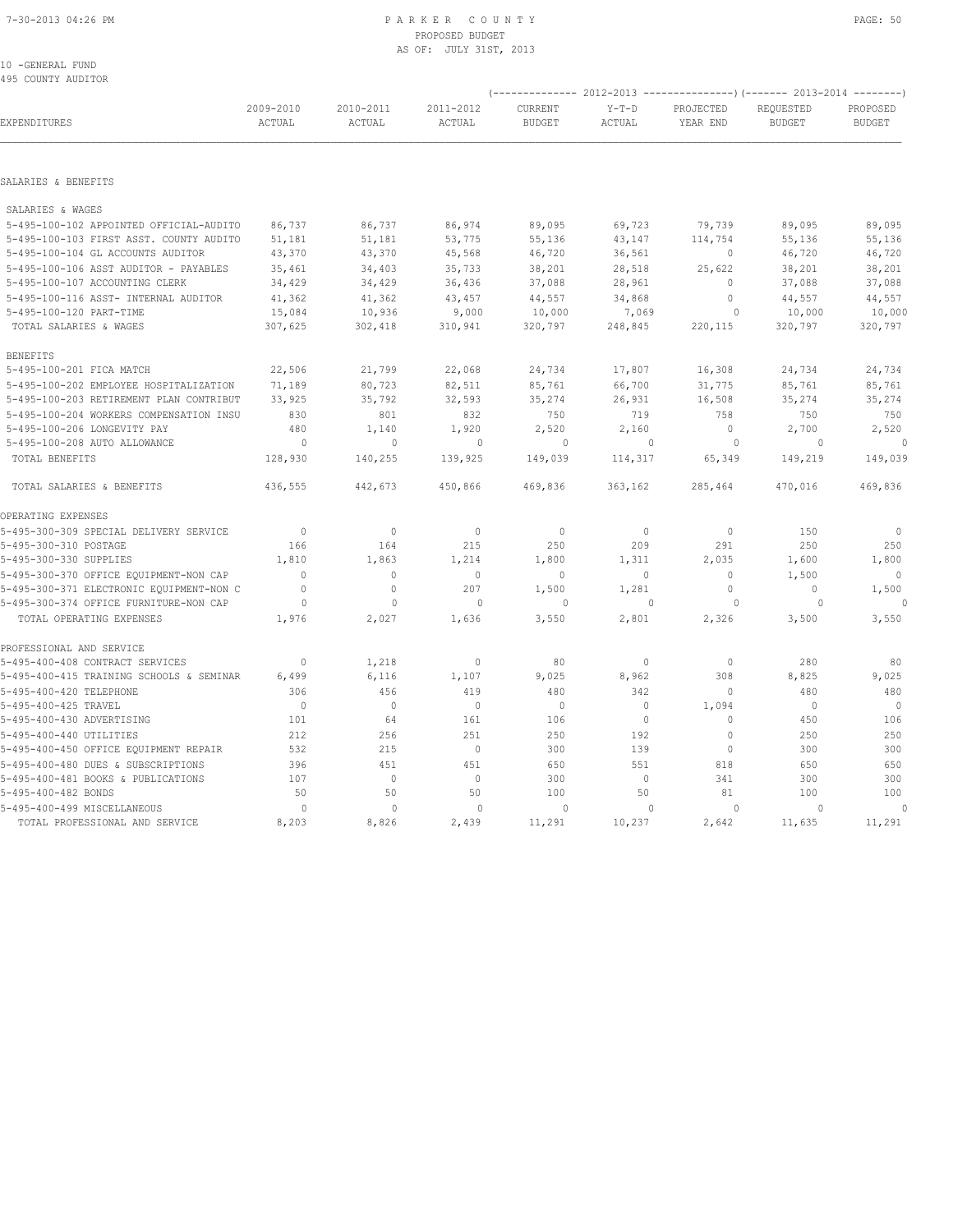### 7-30-2013 04:26 PM P A R K E R C O U N T Y PAGE: 50 PROPOSED BUDGET AS OF: JULY 31ST, 2013

10 -GENERAL FUND 495 COUNTY AUDITOR

|                                          |                     |                     |                     |                          |                   |                       | (-------------- 2012-2013 ----------------) (------- 2013-2014 -------- |                           |
|------------------------------------------|---------------------|---------------------|---------------------|--------------------------|-------------------|-----------------------|-------------------------------------------------------------------------|---------------------------|
| EXPENDITURES                             | 2009-2010<br>ACTUAL | 2010-2011<br>ACTUAL | 2011-2012<br>ACTUAL | CURRENT<br><b>BUDGET</b> | $Y-T-D$<br>ACTUAL | PROJECTED<br>YEAR END | REQUESTED<br><b>BUDGET</b>                                              | PROPOSED<br><b>BUDGET</b> |
|                                          |                     |                     |                     |                          |                   |                       |                                                                         |                           |
| SALARIES & BENEFITS                      |                     |                     |                     |                          |                   |                       |                                                                         |                           |
| SALARIES & WAGES                         |                     |                     |                     |                          |                   |                       |                                                                         |                           |
| 5-495-100-102 APPOINTED OFFICIAL-AUDITO  | 86,737              | 86,737              | 86,974              | 89,095                   | 69,723            | 79,739                | 89,095                                                                  | 89,095                    |
| 5-495-100-103 FIRST ASST. COUNTY AUDITO  | 51,181              | 51,181              | 53,775              | 55,136                   | 43,147            | 114,754               | 55,136                                                                  | 55,136                    |
| 5-495-100-104 GL ACCOUNTS AUDITOR        | 43,370              | 43,370              | 45,568              | 46,720                   | 36,561            | $\mathbf{0}$          | 46,720                                                                  | 46,720                    |
| 5-495-100-106 ASST AUDITOR - PAYABLES    | 35,461              | 34,403              | 35,733              | 38,201                   | 28,518            | 25,622                | 38,201                                                                  | 38,201                    |
| 5-495-100-107 ACCOUNTING CLERK           | 34,429              | 34,429              | 36,436              | 37,088                   | 28,961            | $\mathbf{0}$          | 37,088                                                                  | 37,088                    |
| 5-495-100-116 ASST- INTERNAL AUDITOR     | 41,362              | 41,362              | 43,457              | 44,557                   | 34,868            | $\circ$               | 44,557                                                                  | 44,557                    |
| 5-495-100-120 PART-TIME                  | 15,084              | 10,936              | 9,000               | 10,000                   | 7,069             | $\circ$               | 10,000                                                                  | 10,000                    |
| TOTAL SALARIES & WAGES                   | 307,625             | 302,418             | 310,941             | 320,797                  | 248,845           | 220,115               | 320,797                                                                 | 320,797                   |
| <b>BENEFITS</b>                          |                     |                     |                     |                          |                   |                       |                                                                         |                           |
| 5-495-100-201 FICA MATCH                 | 22,506              | 21,799              | 22,068              | 24,734                   | 17,807            | 16,308                | 24,734                                                                  | 24,734                    |
| 5-495-100-202 EMPLOYEE HOSPITALIZATION   | 71,189              | 80,723              | 82,511              | 85,761                   | 66,700            | 31,775                | 85,761                                                                  | 85,761                    |
| 5-495-100-203 RETIREMENT PLAN CONTRIBUT  | 33,925              | 35,792              | 32,593              | 35,274                   | 26,931            | 16,508                | 35,274                                                                  | 35,274                    |
| 5-495-100-204 WORKERS COMPENSATION INSU  | 830                 | 801                 | 832                 | 750                      | 719               | 758                   | 750                                                                     | 750                       |
| 5-495-100-206 LONGEVITY PAY              | 480                 | 1,140               | 1,920               | 2,520                    | 2,160             | $\circ$               | 2,700                                                                   | 2,520                     |
| 5-495-100-208 AUTO ALLOWANCE             | $\circ$             | $\circ$             | $\circ$             | $\circ$                  | $\mathbf{0}$      | $\circ$               | $\Omega$                                                                | $\mathbf{0}$              |
| TOTAL BENEFITS                           | 128,930             | 140,255             | 139,925             | 149,039                  | 114,317           | 65,349                | 149,219                                                                 | 149,039                   |
| TOTAL SALARIES & BENEFITS                | 436,555             | 442,673             | 450,866             | 469,836                  | 363,162           | 285,464               | 470,016                                                                 | 469,836                   |
| OPERATING EXPENSES                       |                     |                     |                     |                          |                   |                       |                                                                         |                           |
| 5-495-300-309 SPECIAL DELIVERY SERVICE   | $\mathbf{0}$        | $\mathbf{0}$        | $\mathbf{0}$        | $\mathbf{0}$             | $\circ$           | $\mathbf{0}$          | 150                                                                     | $\circ$                   |
| 5-495-300-310 POSTAGE                    | 166                 | 164                 | 215                 | 250                      | 209               | 291                   | 250                                                                     | 250                       |
| 5-495-300-330 SUPPLIES                   | 1,810               | 1,863               | 1,214               | 1,800                    | 1,311             | 2,035                 | 1,600                                                                   | 1,800                     |
| 5-495-300-370 OFFICE EQUIPMENT-NON CAP   | $\Omega$            | $\mathbf{0}$        | $\mathbf{0}$        | $\mathbf{0}$             | $\circ$           | $\mathbf{0}$          | 1,500                                                                   | $\mathbf{0}$              |
| 5-495-300-371 ELECTRONIC EQUIPMENT-NON C | $\mathbf{0}$        | $\circ$             | 207                 | 1,500                    | 1,281             | $\circ$               | $\mathbf{0}$                                                            | 1,500                     |
| 5-495-300-374 OFFICE FURNITURE-NON CAP   | $\circ$             | $\circ$             | $\circ$             | $\Omega$                 | $\bigcap$         | $\circ$               | $\Omega$                                                                |                           |
| TOTAL OPERATING EXPENSES                 | 1,976               | 2,027               | 1,636               | 3,550                    | 2,801             | 2,326                 | 3,500                                                                   | 3,550                     |
| PROFESSIONAL AND SERVICE                 |                     |                     |                     |                          |                   |                       |                                                                         |                           |
| 5-495-400-408 CONTRACT SERVICES          | $\mathbf{0}$        | 1,218               | $\mathbb O$         | 80                       | $\circ$           | $\circ$               | 280                                                                     | 80                        |
| 5-495-400-415 TRAINING SCHOOLS & SEMINAR | 6,499               | 6,116               | 1,107               | 9,025                    | 8,962             | 308                   | 8,825                                                                   | 9,025                     |
| 5-495-400-420 TELEPHONE                  | 306                 | 456                 | 419                 | 480                      | 342               | $\circ$               | 480                                                                     | 480                       |
| 5-495-400-425 TRAVEL                     | $\mathbf{0}$        | $\mathbf{0}$        | $\mathbf{0}$        | $\mathbf{0}$             | $\circ$           | 1,094                 | $\Omega$                                                                | $\mathbf{0}$              |
| 5-495-400-430 ADVERTISING                | 101                 | 64                  | 161                 | 106                      | $\circ$           | $\mathbf{0}$          | 450                                                                     | 106                       |
| 5-495-400-440 UTILITIES                  | 212                 | 256                 | 251                 | 250                      | 192               | $\mathbf{0}$          | 250                                                                     | 250                       |
| 5-495-400-450 OFFICE EQUIPMENT REPAIR    | 532                 | 215                 | $\mathbb O$         | 300                      | 139               | $\mathbf 0$           | 300                                                                     | 300                       |
| 5-495-400-480 DUES & SUBSCRIPTIONS       | 396                 | 451                 | 451                 | 650                      | 551               | 818                   | 650                                                                     | 650                       |
| 5-495-400-481 BOOKS & PUBLICATIONS       | 107                 | $\circ$             | $\mathbb O$         | 300                      | $\circ$           | 341                   | 300                                                                     | 300                       |
| 5-495-400-482 BONDS                      | 50                  | 50                  | 50                  | 100                      | 50                | 81                    | 100                                                                     | 100                       |
| 5-495-400-499 MISCELLANEOUS              | 0                   | $\mathbf{0}$        | 0                   | 0                        | $\Omega$          | $\circ$               | $\Omega$                                                                | 0                         |
| TOTAL PROFESSIONAL AND SERVICE           | 8,203               | 8,826               | 2,439               | 11,291                   | 10,237            | 2,642                 | 11,635                                                                  | 11,291                    |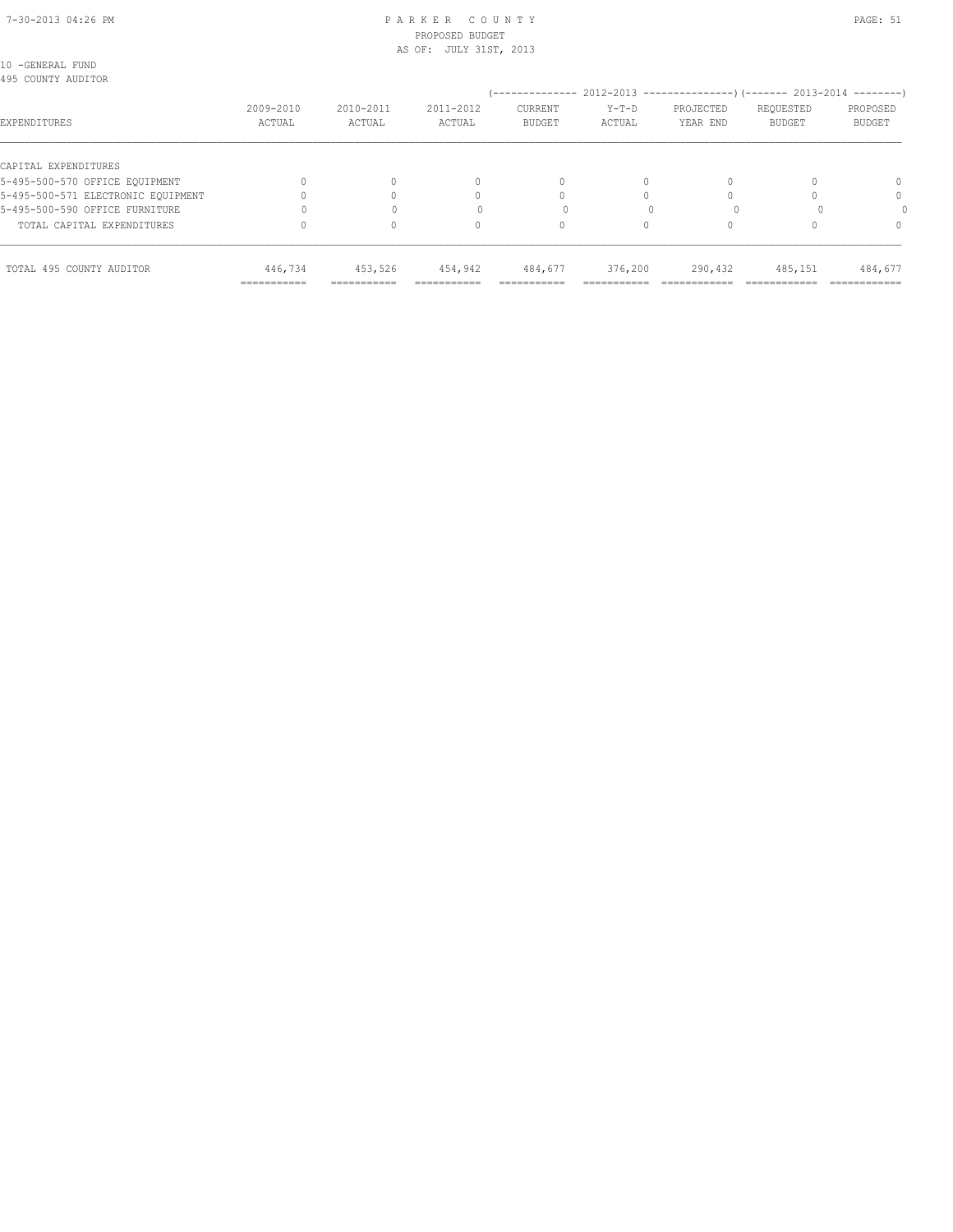# 7-30-2013 04:26 PM P A R K E R C O U N T Y PAGE: 51 PROPOSED BUDGET

| TOTAL 495 COUNTY AUDITOR               | 446,734<br>=========== | 453,526             | 454,942                | 484,677                  | 376,200           | 290,432                                                                | 485,151                    | 484,677                   |
|----------------------------------------|------------------------|---------------------|------------------------|--------------------------|-------------------|------------------------------------------------------------------------|----------------------------|---------------------------|
| TOTAL CAPITAL EXPENDITURES             |                        |                     | 0                      |                          |                   |                                                                        |                            | $\Omega$                  |
| 5-495-500-590 OFFICE FURNITURE         |                        |                     |                        |                          |                   |                                                                        |                            |                           |
| 5-495-500-571 ELECTRONIC EOUIPMENT     |                        |                     | $\bigcap$              |                          |                   |                                                                        |                            | 0                         |
| 5-495-500-570 OFFICE EQUIPMENT         |                        |                     | $\mathbf{0}$           | $\Omega$                 | $\Omega$          |                                                                        |                            | 0                         |
| CAPITAL EXPENDITURES                   |                        |                     |                        |                          |                   |                                                                        |                            |                           |
| EXPENDITURES                           | 2009-2010<br>ACTUAL    | 2010-2011<br>ACTUAL | 2011-2012<br>ACTUAL    | CURRENT<br><b>BUDGET</b> | $Y-T-D$<br>ACTUAL | PROJECTED<br>YEAR END                                                  | REQUESTED<br><b>BUDGET</b> | PROPOSED<br><b>BUDGET</b> |
| 10 -GENERAL FUND<br>495 COUNTY AUDITOR |                        |                     |                        |                          |                   | (-------------- 2012-2013 --------------------- 2013-2014 ---------- ) |                            |                           |
|                                        |                        |                     | AS OF: JULY 31ST, 2013 |                          |                   |                                                                        |                            |                           |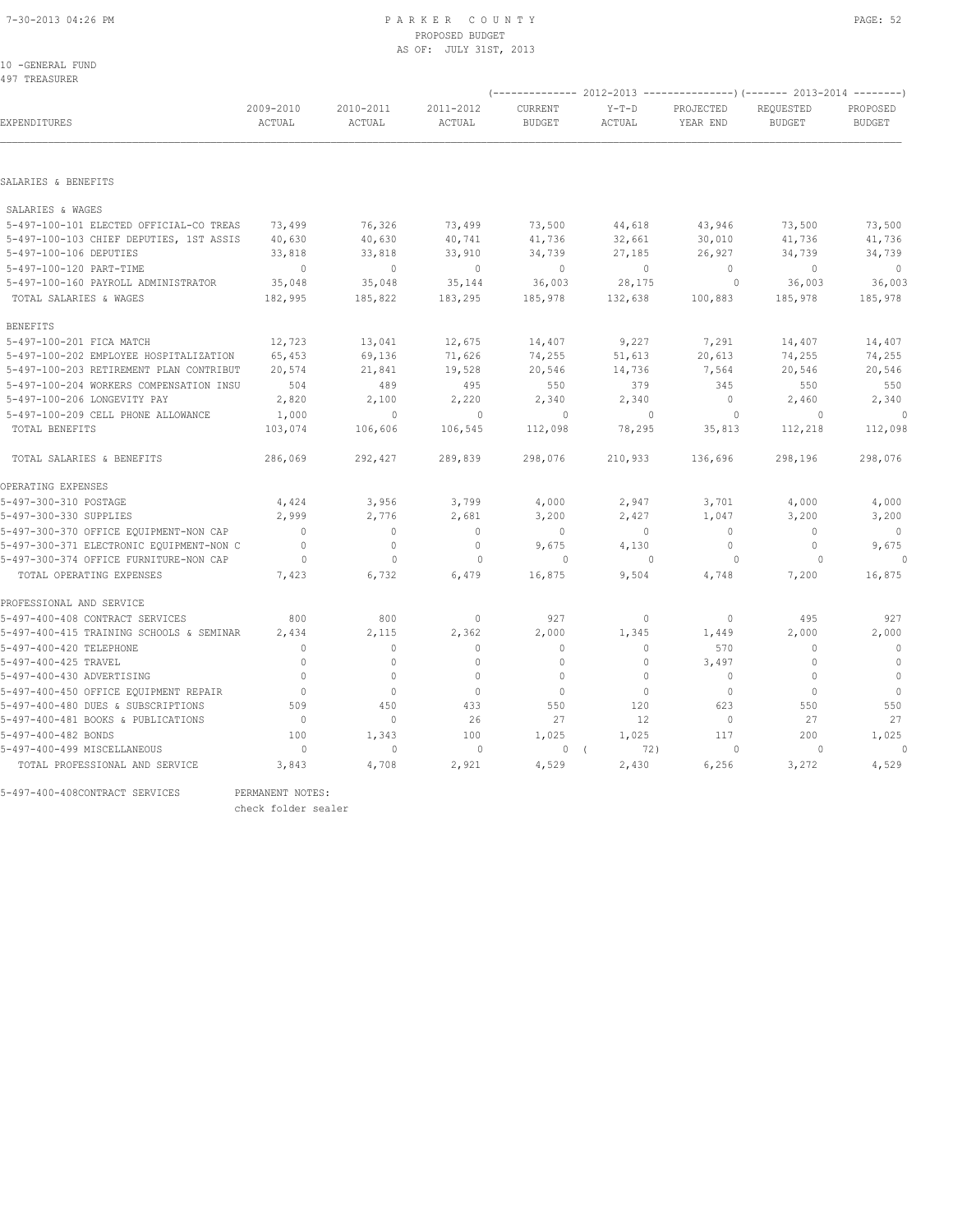10 -GENERAL FUND 497 TREASURER

|                                          |                     |                     |                     |                          |                   | (-------------- 2012-2013 ----------------) (------- 2013-2014 --------) |                            |                           |  |
|------------------------------------------|---------------------|---------------------|---------------------|--------------------------|-------------------|--------------------------------------------------------------------------|----------------------------|---------------------------|--|
| EXPENDITURES                             | 2009-2010<br>ACTUAL | 2010-2011<br>ACTUAL | 2011-2012<br>ACTUAL | CURRENT<br><b>BUDGET</b> | $Y-T-D$<br>ACTUAL | PROJECTED<br>YEAR END                                                    | REOUESTED<br><b>BUDGET</b> | PROPOSED<br><b>BUDGET</b> |  |
|                                          |                     |                     |                     |                          |                   |                                                                          |                            |                           |  |
| SALARIES & BENEFITS                      |                     |                     |                     |                          |                   |                                                                          |                            |                           |  |
| SALARIES & WAGES                         |                     |                     |                     |                          |                   |                                                                          |                            |                           |  |
| 5-497-100-101 ELECTED OFFICIAL-CO TREAS  | 73,499              | 76,326              | 73,499              | 73,500                   | 44,618            | 43,946                                                                   | 73,500                     | 73,500                    |  |
| 5-497-100-103 CHIEF DEPUTIES, 1ST ASSIS  | 40,630              | 40,630              | 40,741              | 41,736                   | 32,661            | 30,010                                                                   | 41,736                     | 41,736                    |  |
| 5-497-100-106 DEPUTIES                   | 33,818              | 33,818              | 33,910              | 34,739                   | 27,185            | 26,927                                                                   | 34,739                     | 34,739                    |  |
| 5-497-100-120 PART-TIME                  | $\mathbb O$         | $\mathbf{0}$        | $\overline{0}$      | $\circ$                  | $\circ$           | $\circ$                                                                  | $\mathbf{0}$               | $\circ$                   |  |
| 5-497-100-160 PAYROLL ADMINISTRATOR      | 35,048              | 35,048              | 35,144              | 36,003                   | 28,175            | $\circ$                                                                  | 36,003                     | 36,003                    |  |
| TOTAL SALARIES & WAGES                   | 182,995             | 185,822             | 183,295             | 185,978                  | 132,638           | 100,883                                                                  | 185,978                    | 185,978                   |  |
|                                          |                     |                     |                     |                          |                   |                                                                          |                            |                           |  |
| <b>BENEFITS</b>                          |                     |                     |                     |                          |                   |                                                                          |                            |                           |  |
| 5-497-100-201 FICA MATCH                 | 12,723              | 13,041              | 12,675              | 14,407                   | 9,227             | 7,291                                                                    | 14,407                     | 14,407                    |  |
| 5-497-100-202 EMPLOYEE HOSPITALIZATION   | 65,453              | 69,136              | 71,626              | 74,255                   | 51,613            | 20,613                                                                   | 74,255                     | 74,255                    |  |
| 5-497-100-203 RETIREMENT PLAN CONTRIBUT  | 20,574              | 21,841              | 19,528              | 20,546                   | 14,736            | 7,564                                                                    | 20,546                     | 20,546                    |  |
| 5-497-100-204 WORKERS COMPENSATION INSU  | 504                 | 489                 | 495                 | 550                      | 379               | 345                                                                      | 550                        | 550                       |  |
| 5-497-100-206 LONGEVITY PAY              | 2,820               | 2,100               | 2,220               | 2,340                    | 2,340             | $\mathbf{0}$                                                             | 2,460                      | 2,340                     |  |
| 5-497-100-209 CELL PHONE ALLOWANCE       | 1,000               | $\mathbf{0}$        | $\mathbf{0}$        | $\circ$                  | $\mathbf{0}$      | $\circ$                                                                  | $\circ$                    | $\circ$                   |  |
| TOTAL BENEFITS                           | 103,074             | 106,606             | 106,545             | 112,098                  | 78,295            | 35,813                                                                   | 112,218                    | 112,098                   |  |
| TOTAL SALARIES & BENEFITS                | 286,069             | 292,427             | 289,839             | 298,076                  | 210,933           | 136,696                                                                  | 298,196                    | 298,076                   |  |
| OPERATING EXPENSES                       |                     |                     |                     |                          |                   |                                                                          |                            |                           |  |
| 5-497-300-310 POSTAGE                    | 4,424               | 3,956               | 3,799               | 4,000                    | 2,947             | 3,701                                                                    | 4,000                      | 4,000                     |  |
| 5-497-300-330 SUPPLIES                   | 2,999               | 2,776               | 2,681               | 3,200                    | 2,427             | 1,047                                                                    | 3,200                      | 3,200                     |  |
| 5-497-300-370 OFFICE EQUIPMENT-NON CAP   | $\bigcirc$          | $\mathbf{0}$        | $\mathbf{0}$        | $\circ$                  | $\circ$           | $\mathbf{0}$                                                             | $\mathbf{0}$               | $\mathbf 0$               |  |
| 5-497-300-371 ELECTRONIC EQUIPMENT-NON C | $\mathbf{0}$        | $\mathbf{0}$        | $\mathbf{0}$        | 9,675                    | 4,130             | $\circ$                                                                  | $\mathbf{0}$               | 9,675                     |  |
| 5-497-300-374 OFFICE FURNITURE-NON CAP   | $\circ$             | $\mathbf{0}$        | $\mathbf{0}$        | $\circ$                  | $\Omega$          | $\circ$                                                                  | $\Omega$                   |                           |  |
| TOTAL OPERATING EXPENSES                 | 7,423               | 6,732               | 6,479               | 16,875                   | 9,504             | 4,748                                                                    | 7,200                      | 16,875                    |  |
|                                          |                     |                     |                     |                          |                   |                                                                          |                            |                           |  |
| PROFESSIONAL AND SERVICE                 |                     |                     |                     |                          |                   |                                                                          |                            |                           |  |
| 5-497-400-408 CONTRACT SERVICES          | 800                 | 800                 | $\mathbf{0}$        | 927                      | 0                 | $\mathbf{0}$                                                             | 495                        | 927                       |  |
| 5-497-400-415 TRAINING SCHOOLS & SEMINAR | 2,434               | 2,115               | 2,362               | 2,000                    | 1,345             | 1,449                                                                    | 2,000                      | 2,000                     |  |
| 5-497-400-420 TELEPHONE                  | $\Omega$            | $\mathbf{0}$        | $\Omega$            | $\mathbf{0}$             | $\circ$           | 570                                                                      | $\Omega$                   | $\mathbf{0}$              |  |
| 5-497-400-425 TRAVEL                     | $\Omega$            | $\circ$             | $\Omega$            | $\Omega$                 | $\circ$           | 3,497                                                                    | $\Omega$                   | $\mathbf{0}$              |  |
| 5-497-400-430 ADVERTISING                | $\Omega$            | $\circ$             | $\mathbf{0}$        | $\mathbf{0}$             | $\circ$           | $\circ$                                                                  | $\Omega$                   | $\mathbf{0}$              |  |
| 5-497-400-450 OFFICE EQUIPMENT REPAIR    | $\mathbf{0}$        | $\mathbf{0}$        | $\mathbf{0}$        | $\mathbf{0}$             | $\circ$           | $\circ$                                                                  | $\mathbf{0}$               | $\overline{0}$            |  |
| 5-497-400-480 DUES & SUBSCRIPTIONS       | 509                 | 450                 | 433                 | 550                      | 120               | 623                                                                      | 550                        | 550                       |  |
| 5-497-400-481 BOOKS & PUBLICATIONS       | $\mathbf{0}$        | $\circ$             | 26                  | 27                       | 12                | $\circ$                                                                  | 27                         | 27                        |  |
| 5-497-400-482 BONDS                      | 100                 | 1,343               | 100                 | 1,025                    | 1,025             | 117                                                                      | 200                        | 1,025                     |  |
| 5-497-400-499 MISCELLANEOUS              | $\circ$             | $\mathbf 0$         | $\circ$             | $\circ$                  | 72)<br>$\sqrt{ }$ | $\circ$                                                                  | $\circ$                    | $\theta$                  |  |
| TOTAL PROFESSIONAL AND SERVICE           | 3,843               | 4,708               | 2,921               | 4,529                    | 2,430             | 6,256                                                                    | 3,272                      | 4,529                     |  |
|                                          |                     |                     |                     |                          |                   |                                                                          |                            |                           |  |

5-497-400-408CONTRACT SERVICES PERMANENT NOTES:

check folder sealer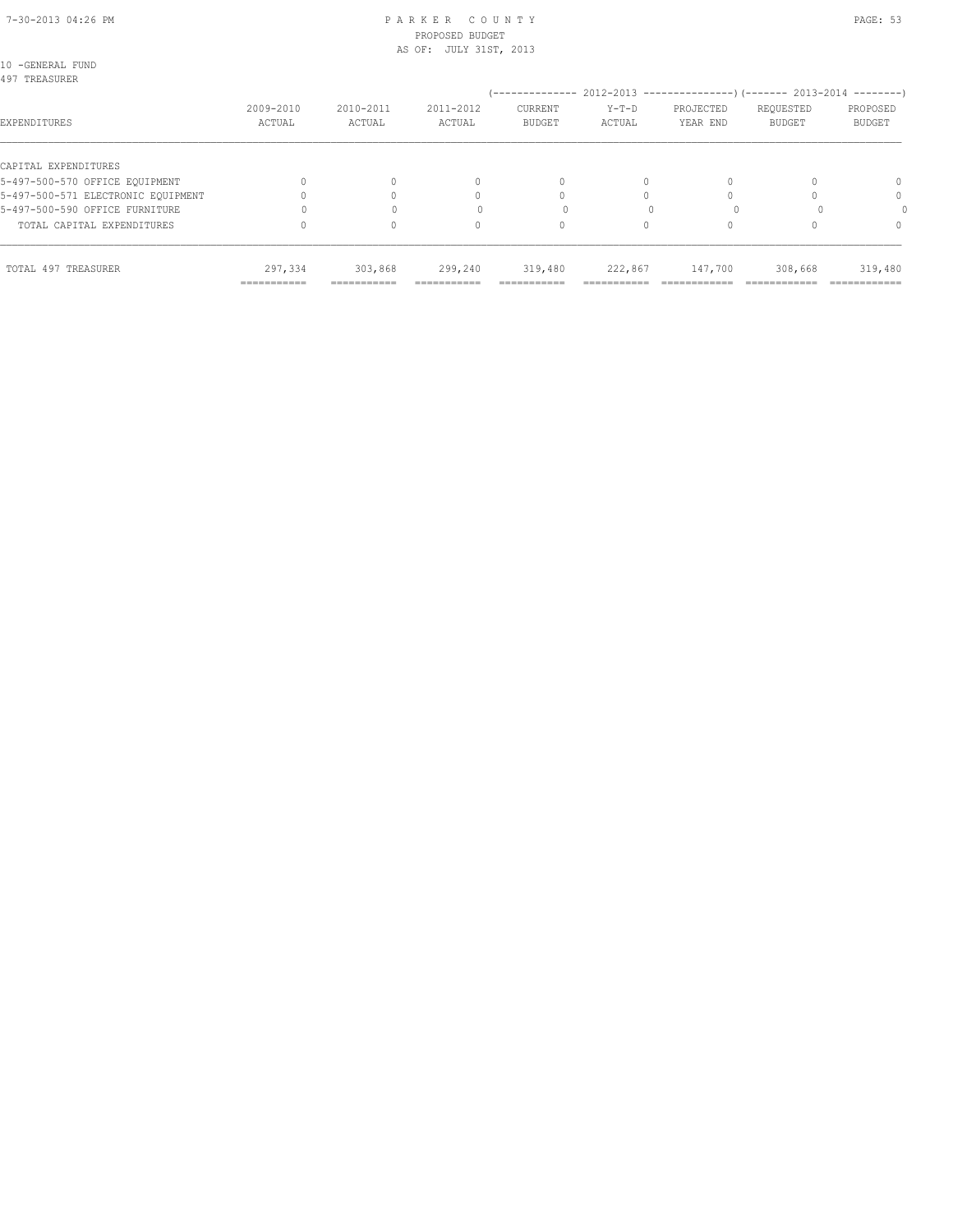#### 7-30-2013 04:26 PM P A R K E R C O U N T Y PAGE: 53 PROPOSED BUDGET AS OF: JULY 31ST, 2013

10 -GENERAL FUND

| 2009-2010<br>ACTUAL | 2010-2011<br>ACTUAL | 2011-2012<br>ACTUAL | <b>CURRENT</b><br><b>BUDGET</b> | $Y-T-D$<br>ACTUAL | PROJECTED<br>YEAR END | REQUESTED<br><b>BUDGET</b> | PROPOSED<br><b>BUDGET</b>                                                                                             |
|---------------------|---------------------|---------------------|---------------------------------|-------------------|-----------------------|----------------------------|-----------------------------------------------------------------------------------------------------------------------|
|                     |                     |                     |                                 |                   |                       |                            |                                                                                                                       |
|                     |                     | 0                   | $\Omega$                        | $\Omega$          |                       |                            | $\Omega$                                                                                                              |
|                     |                     | n                   |                                 |                   |                       |                            | $\Omega$                                                                                                              |
|                     |                     |                     |                                 |                   |                       |                            |                                                                                                                       |
|                     |                     | 0                   | 0                               |                   |                       |                            | $\Omega$                                                                                                              |
| 297,334             | 303,868             | 299,240             | 319,480                         | 222,867           | 147,700               | 308,668                    | 319,480<br>=============                                                                                              |
|                     | ===========         | ===========         | ===========                     | ===========       |                       |                            | (-------------- 2012-2013 --------------------- 2013-2014 ---------- )<br>===========<br>============<br>============ |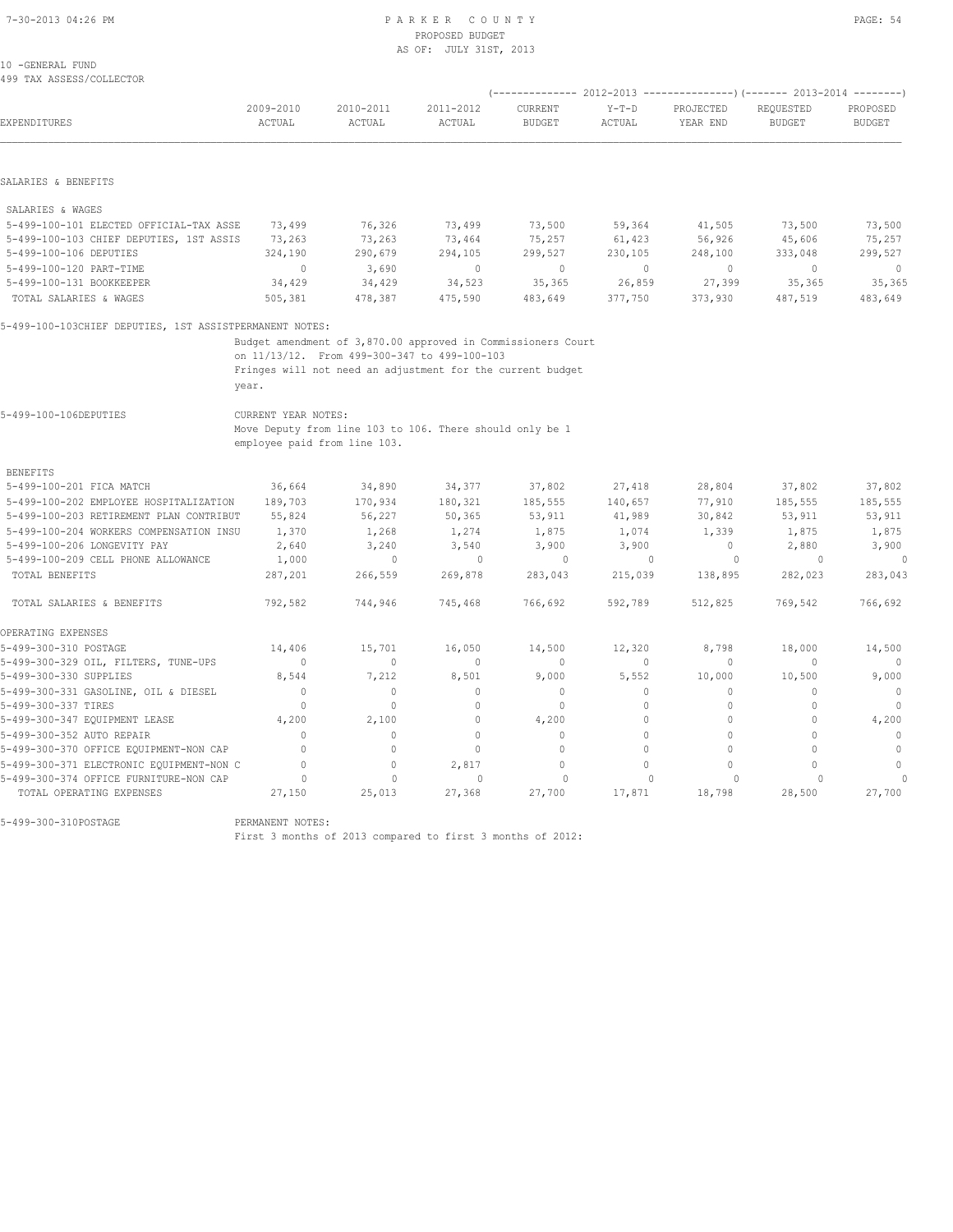#### 7-30-2013 04:26 PM P A R K E R C O U N T Y PAGE: 54 PROPOSED BUDGET AS OF: JULY 31ST, 2013

| 10 -GENERAL FUND |                          |
|------------------|--------------------------|
|                  | 499 TAX ASSESS/COLLECTOR |

| EXPENDITURES                                            | 2009-2010<br>ACTUAL              | 2010-2011<br>ACTUAL                                          | 2011-2012<br>ACTUAL | CURRENT<br><b>BUDGET</b> | $Y-T-D$<br><b>ACTUAL</b> | PROJECTED<br>YEAR END | REQUESTED<br><b>BUDGET</b> | PROPOSED<br><b>BUDGET</b> |
|---------------------------------------------------------|----------------------------------|--------------------------------------------------------------|---------------------|--------------------------|--------------------------|-----------------------|----------------------------|---------------------------|
|                                                         |                                  |                                                              |                     |                          |                          |                       |                            |                           |
| SALARIES & BENEFITS                                     |                                  |                                                              |                     |                          |                          |                       |                            |                           |
| SALARIES & WAGES                                        |                                  |                                                              |                     |                          |                          |                       |                            |                           |
| 5-499-100-101 ELECTED OFFICIAL-TAX ASSE                 | 73,499                           | 76,326                                                       | 73,499              | 73,500                   | 59,364                   | 41,505                | 73,500                     | 73,500                    |
| 5-499-100-103 CHIEF DEPUTIES, 1ST ASSIS                 | 73,263                           | 73,263                                                       | 73,464              | 75,257                   | 61,423                   | 56,926                | 45,606                     | 75,257                    |
| 5-499-100-106 DEPUTIES                                  | 324,190                          | 290,679                                                      | 294,105             | 299,527                  | 230,105                  | 248,100               | 333,048                    | 299,527                   |
| 5-499-100-120 PART-TIME                                 | $\mathbf{0}$                     | 3,690                                                        | $\circ$             | $\mathbf{0}$             | $\circ$                  | $\mathbf{0}$          | $\mathbf{0}$               | $\mathbf{0}$              |
| 5-499-100-131 BOOKKEEPER                                | 34,429                           | 34,429                                                       | 34,523              | 35,365                   | 26,859                   | 27,399                | 35,365                     | 35,365                    |
| TOTAL SALARIES & WAGES                                  | 505,381                          | 478,387                                                      | 475,590             | 483,649                  | 377,750                  | 373,930               | 487,519                    | 483,649                   |
| 5-499-100-103CHIEF DEPUTIES, 1ST ASSISTPERMANENT NOTES: |                                  |                                                              |                     |                          |                          |                       |                            |                           |
|                                                         |                                  | Budget amendment of 3,870.00 approved in Commissioners Court |                     |                          |                          |                       |                            |                           |
|                                                         |                                  | on 11/13/12. From 499-300-347 to 499-100-103                 |                     |                          |                          |                       |                            |                           |
|                                                         |                                  | Fringes will not need an adjustment for the current budget   |                     |                          |                          |                       |                            |                           |
|                                                         | year.                            |                                                              |                     |                          |                          |                       |                            |                           |
| 5-499-100-106DEPUTIES                                   | CURRENT YEAR NOTES:              |                                                              |                     |                          |                          |                       |                            |                           |
|                                                         |                                  | Move Deputy from line 103 to 106. There should only be 1     |                     |                          |                          |                       |                            |                           |
|                                                         |                                  | employee paid from line 103.                                 |                     |                          |                          |                       |                            |                           |
| <b>BENEFITS</b>                                         |                                  |                                                              |                     |                          |                          |                       |                            |                           |
| 5-499-100-201 FICA MATCH                                | 36,664                           | 34,890                                                       | 34,377              | 37,802                   | 27,418                   | 28,804                | 37,802                     | 37,802                    |
| 5-499-100-202 EMPLOYEE HOSPITALIZATION                  | 189,703                          | 170,934                                                      | 180,321             | 185,555                  | 140,657                  | 77,910                | 185,555                    | 185,555                   |
| 5-499-100-203 RETIREMENT PLAN CONTRIBUT                 | 55,824                           | 56,227                                                       | 50,365              | 53,911                   | 41,989                   | 30,842                | 53,911                     | 53,911                    |
| 5-499-100-204 WORKERS COMPENSATION INSU                 | 1,370                            | 1,268                                                        | 1,274               | 1,875                    | 1,074                    | 1,339                 | 1,875                      | 1,875                     |
| 5-499-100-206 LONGEVITY PAY                             | 2,640                            | 3,240                                                        | 3,540               | 3,900                    | 3,900                    | $\Omega$              | 2,880                      | 3,900                     |
| 5-499-100-209 CELL PHONE ALLOWANCE                      | 1,000                            | $\mathbf{0}$                                                 | $\mathbf{0}$        | $\circ$                  | $\mathbf{0}$             | $\circ$               | $\circ$                    | $\Omega$                  |
| TOTAL BENEFITS                                          | 287,201                          | 266,559                                                      | 269,878             | 283,043                  | 215,039                  | 138,895               | 282,023                    | 283,043                   |
| TOTAL SALARIES & BENEFITS                               | 792,582                          | 744,946                                                      | 745,468             | 766,692                  | 592,789                  | 512,825               | 769,542                    | 766,692                   |
|                                                         |                                  |                                                              |                     |                          |                          |                       |                            |                           |
| OPERATING EXPENSES                                      |                                  |                                                              |                     |                          |                          |                       |                            |                           |
| 5-499-300-310 POSTAGE                                   | 14,406                           | 15,701                                                       | 16,050              | 14,500                   | 12,320                   | 8,798                 | 18,000                     | 14,500                    |
| 5-499-300-329 OIL, FILTERS, TUNE-UPS                    | $\begin{array}{c} \n\end{array}$ | $\circ$                                                      | $\mathbf{0}$        | $\mathbf{0}$             | $\Omega$                 | O                     | $\Omega$                   |                           |
| 5-499-300-330 SUPPLIES                                  | 8,544                            | 7,212                                                        | 8,501               | 9,000                    | 5,552                    | 10,000                | 10,500                     | 9,000                     |
| 5-499-300-331 GASOLINE, OIL & DIESEL                    | $\Omega$                         | $\mathbf{0}$                                                 | $\mathbf{0}$        | $\mathbf{0}$             | 0                        | $\Omega$              | $\Omega$                   | $\mathbf{0}$              |
| 5-499-300-337 TIRES                                     | $\Omega$                         | $\Omega$                                                     | $\Omega$            | $\mathbf{0}$             | $\Omega$                 | $\Omega$              | $\Omega$                   | $\Omega$                  |
| 5-499-300-347 EQUIPMENT LEASE                           | 4,200                            | 2,100                                                        | $\mathbf{0}$        | 4,200                    | $\Omega$                 | 0                     | 0                          | 4,200                     |
| 5-499-300-352 AUTO REPAIR                               | $\Omega$                         | $\mathbf{0}$                                                 | $\mathbf{0}$        | $\mathbf{0}$             | $\Omega$                 | $\Omega$              | $\Omega$                   | $\mathbf{0}$              |
| 5-499-300-370 OFFICE EQUIPMENT-NON CAP                  | $\Omega$                         | $\Omega$                                                     | $\Omega$            | $\Omega$                 | $\Omega$                 | $\Omega$              | $\Omega$                   | $\Omega$                  |
| 5-499-300-371 ELECTRONIC EQUIPMENT-NON C                | $\Omega$                         | $\mathbf 0$                                                  | 2,817               | $\mathbf{0}$             | 0                        | $\Omega$              | $\circ$                    | $\mathbf{0}$              |
| 5-499-300-374 OFFICE FURNITURE-NON CAP                  | $\circ$                          | $\mathbf{0}$                                                 | $\mathbf{0}$        | $\circ$                  | $\Omega$                 | $\Omega$              | $\Omega$                   | $\Omega$                  |
| TOTAL OPERATING EXPENSES                                | 27,150                           | 25,013                                                       | 27,368              | 27,700                   | 17,871                   | 18,798                | 28,500                     | 27,700                    |

5-499-300-310POSTAGE PERMANENT NOTES:

First 3 months of 2013 compared to first 3 months of 2012: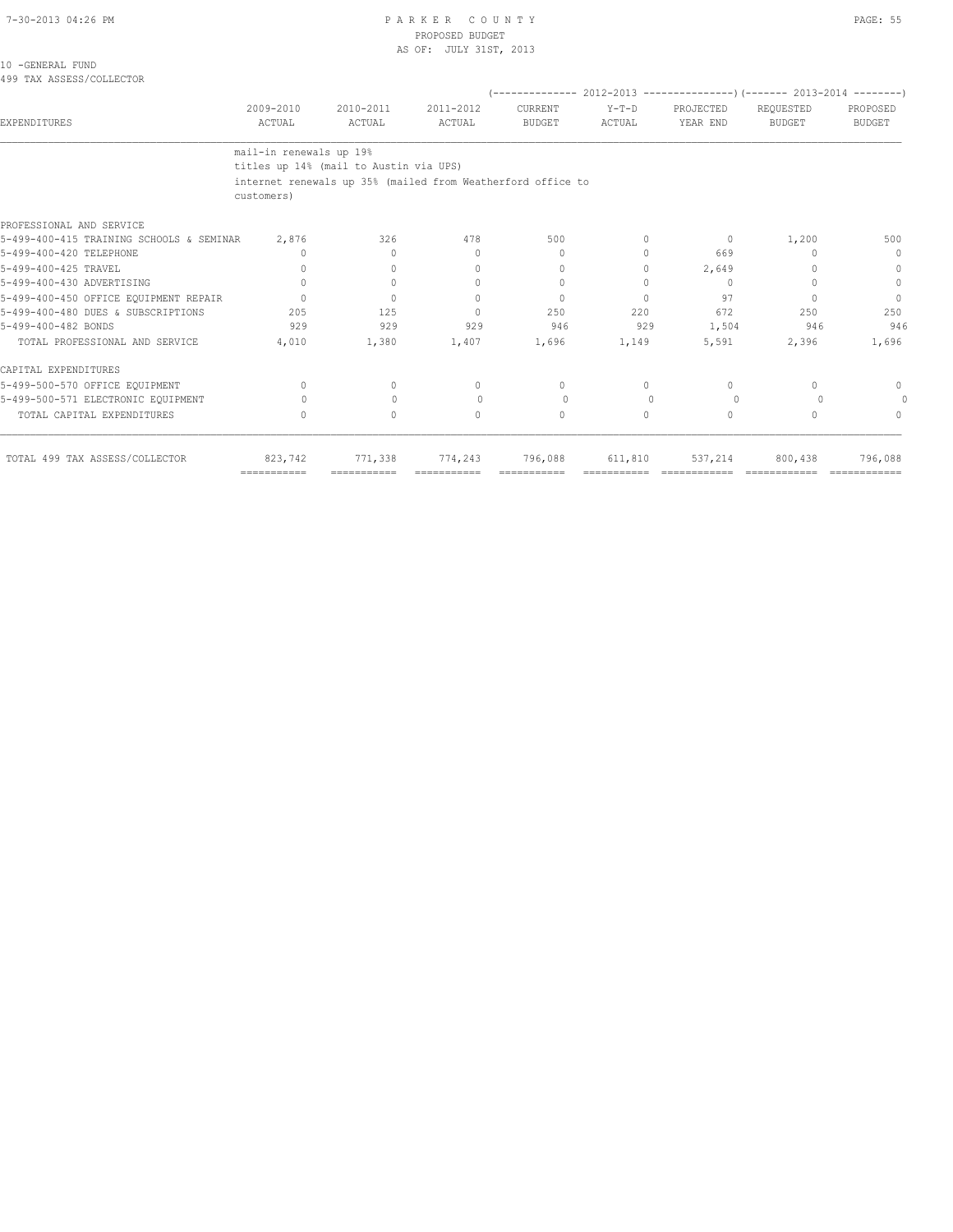#### PARKER COUNTY PAGE: 55 PROPOSED BUDGET AS OF: JULY 31ST, 2013

|  | 10 - GENERAL FUND        |
|--|--------------------------|
|  | 499 TAX ASSESS/COLLECTOR |

| 2009-2010<br>ACTUAL | 2010-2011<br>ACTUAL                                                   | 2011-2012<br>ACTUAL              | <b>CURRENT</b><br><b>BUDGET</b>        | $Y-T-D$<br>ACTUAL | PROJECTED<br>YEAR END                                       | REQUESTED<br><b>BUDGET</b> | PROPOSED<br><b>BUDGET</b>                                             |  |
|---------------------|-----------------------------------------------------------------------|----------------------------------|----------------------------------------|-------------------|-------------------------------------------------------------|----------------------------|-----------------------------------------------------------------------|--|
|                     |                                                                       |                                  |                                        |                   |                                                             |                            |                                                                       |  |
|                     |                                                                       |                                  |                                        |                   |                                                             |                            |                                                                       |  |
|                     |                                                                       |                                  |                                        |                   |                                                             |                            |                                                                       |  |
| 2,876               | 326                                                                   | 478                              | 500                                    | $\Omega$          | 0                                                           | 1,200                      | 500                                                                   |  |
| 0                   | $\Omega$                                                              | $\begin{array}{c} \n\end{array}$ | $\begin{array}{c} \n\end{array}$       | $\Omega$          | 669                                                         | 0                          | $\Omega$                                                              |  |
| $\cap$              | $\Omega$                                                              | $\begin{array}{c} \n\end{array}$ | $\begin{array}{c} \n\end{array}$       | $\Omega$          | 2,649                                                       |                            | $\bigcap$                                                             |  |
| $\Omega$            | $\circ$                                                               | $\mathbf{0}$                     | $\mathbf{0}$                           |                   | $\mathbf{0}$                                                |                            | $\Omega$                                                              |  |
| $\bigcap$           | $\Omega$                                                              | $\Omega$                         | $\Omega$                               | $\bigcap$         | 97                                                          | $\bigcap$                  | $\Omega$                                                              |  |
| 205                 | 125                                                                   | $\Omega$                         | 250                                    | 220               | 672                                                         | 250                        | 250                                                                   |  |
| 929                 | 929                                                                   | 929                              | 946                                    | 929               | 1,504                                                       | 946                        | 946                                                                   |  |
| 4,010               | 1,380                                                                 | 1,407                            | 1,696                                  | 1,149             | 5,591                                                       | 2,396                      | 1,696                                                                 |  |
|                     |                                                                       |                                  |                                        |                   |                                                             |                            |                                                                       |  |
| $\bigcap$           | $\begin{array}{c} \n\end{array}$                                      | $\Omega$                         | $\Omega$                               | $\cap$            | 0                                                           | $\cap$                     | $\cap$                                                                |  |
| 0                   | $\mathbf{0}$                                                          | $\Omega$                         | $\circ$                                | $\Omega$          | $\circ$                                                     | $\Omega$                   |                                                                       |  |
| $\Omega$            | $\Omega$                                                              | $\Omega$                         | $\Omega$                               | $\Omega$          | $\Omega$                                                    | $\cap$                     | $\cap$                                                                |  |
| 823,742             | 771,338                                                               | 774,243                          | 796,088                                | 611,810           | 537,214                                                     | 800,438                    | 796,088                                                               |  |
|                     | customers)<br>5-499-400-415 TRAINING SCHOOLS & SEMINAR<br>=========== | mail-in renewals up 19%          | titles up 14% (mail to Austin via UPS) |                   | internet renewals up 35% (mailed from Weatherford office to |                            | (-------------- 2012-2013 ---------------------- 2013-2014 ---------- |  |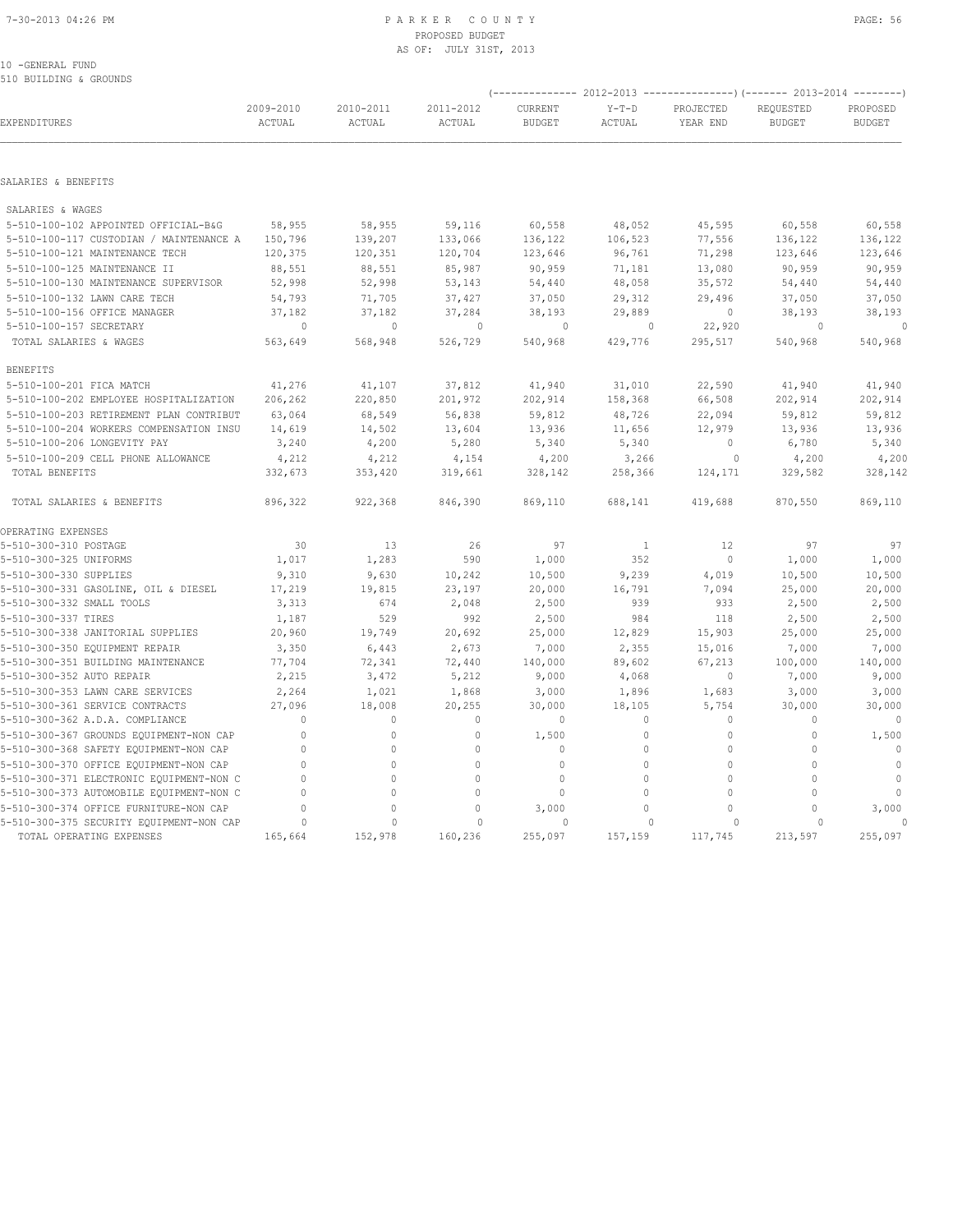### 7-30-2013 04:26 PM P A R K E R C O U N T Y PAGE: 56 PROPOSED BUDGET AS OF: JULY 31ST, 2013

#### 10 -GENERAL FUND 510 BUILDING & GROUNDS

| SIA RATTDIMA & AKAAMDP                                                             |                     | (-------------- 2012-2013 -------------------) (------- 2013-2014 ---------) |                            |                          |                            |                       |                            |                           |
|------------------------------------------------------------------------------------|---------------------|------------------------------------------------------------------------------|----------------------------|--------------------------|----------------------------|-----------------------|----------------------------|---------------------------|
| EXPENDITURES                                                                       | 2009-2010<br>ACTUAL | 2010-2011<br>ACTUAL                                                          | 2011-2012<br>ACTUAL        | CURRENT<br><b>BUDGET</b> | $Y-T-D$<br>ACTUAL          | PROJECTED<br>YEAR END | REQUESTED<br><b>BUDGET</b> | PROPOSED<br><b>BUDGET</b> |
|                                                                                    |                     |                                                                              |                            |                          |                            |                       |                            |                           |
| SALARIES & BENEFITS                                                                |                     |                                                                              |                            |                          |                            |                       |                            |                           |
| SALARIES & WAGES                                                                   |                     |                                                                              |                            |                          |                            |                       |                            |                           |
| 5-510-100-102 APPOINTED OFFICIAL-B&G                                               | 58,955              | 58,955                                                                       | 59,116                     | 60,558                   | 48,052                     | 45,595                | 60,558                     | 60,558                    |
| 5-510-100-117 CUSTODIAN / MAINTENANCE A                                            | 150,796             | 139,207                                                                      | 133,066                    | 136,122                  | 106,523                    | 77,556                | 136,122                    | 136,122                   |
| 5-510-100-121 MAINTENANCE TECH                                                     | 120,375             | 120,351                                                                      | 120,704                    | 123,646                  | 96,761                     | 71,298                | 123,646                    | 123,646                   |
| 5-510-100-125 MAINTENANCE II                                                       | 88,551              | 88,551                                                                       | 85,987                     | 90,959                   | 71,181                     | 13,080                | 90,959                     | 90,959                    |
| 5-510-100-130 MAINTENANCE SUPERVISOR                                               | 52,998              | 52,998                                                                       | 53,143                     | 54,440                   | 48,058                     | 35,572                | 54,440                     | 54,440                    |
| 5-510-100-132 LAWN CARE TECH                                                       | 54,793              | 71,705                                                                       | 37,427                     | 37,050                   | 29,312                     | 29,496                | 37,050                     | 37,050                    |
| 5-510-100-156 OFFICE MANAGER                                                       | 37,182              | 37,182                                                                       | 37,284                     | 38,193                   | 29,889                     | 0                     | 38,193                     | 38,193                    |
| 5-510-100-157 SECRETARY                                                            | 0                   | 0                                                                            | 0                          | 0                        | 0                          | 22,920                | 0                          | $\Omega$                  |
| TOTAL SALARIES & WAGES                                                             | 563,649             | 568,948                                                                      | 526,729                    | 540,968                  | 429,776                    | 295,517               | 540,968                    | 540,968                   |
| <b>BENEFITS</b>                                                                    |                     |                                                                              |                            |                          |                            |                       |                            |                           |
| 5-510-100-201 FICA MATCH                                                           | 41,276              | 41,107                                                                       | 37,812                     | 41,940                   | 31,010                     | 22,590                | 41,940                     | 41,940                    |
| 5-510-100-202 EMPLOYEE HOSPITALIZATION                                             | 206,262             | 220,850                                                                      | 201,972                    | 202,914                  | 158,368                    | 66,508                | 202,914                    | 202,914                   |
| 5-510-100-203 RETIREMENT PLAN CONTRIBUT                                            | 63,064              | 68,549                                                                       | 56,838                     | 59,812                   | 48,726                     | 22,094                | 59,812                     | 59,812                    |
| 5-510-100-204 WORKERS COMPENSATION INSU                                            | 14,619              | 14,502                                                                       | 13,604                     | 13,936                   | 11,656                     | 12,979                | 13,936                     | 13,936                    |
| 5-510-100-206 LONGEVITY PAY                                                        | 3,240               | 4,200                                                                        | 5,280                      | 5,340                    | 5,340                      | 0                     | 6,780                      | 5,340                     |
| 5-510-100-209 CELL PHONE ALLOWANCE                                                 | 4,212               | 4,212                                                                        | 4,154                      | 4,200                    | 3,266                      | 0                     | 4,200                      | 4,200                     |
| TOTAL BENEFITS                                                                     | 332,673             | 353,420                                                                      | 319,661                    | 328,142                  | 258,366                    | 124,171               | 329,582                    | 328,142                   |
| TOTAL SALARIES & BENEFITS                                                          | 896,322             | 922,368                                                                      | 846,390                    | 869,110                  | 688,141                    | 419,688               | 870,550                    | 869,110                   |
| OPERATING EXPENSES                                                                 |                     |                                                                              |                            |                          |                            |                       |                            |                           |
| 5-510-300-310 POSTAGE                                                              | 30                  | 13                                                                           | 26                         | 97                       | $\mathbf{1}$               | 12                    | 97                         | 97                        |
| 5-510-300-325 UNIFORMS                                                             | 1,017               | 1,283                                                                        | 590                        | 1,000                    | 352                        | $\circ$               | 1,000                      | 1,000                     |
| 5-510-300-330 SUPPLIES                                                             | 9,310               | 9,630                                                                        | 10,242                     | 10,500                   | 9,239                      | 4,019                 | 10,500                     | 10,500                    |
| 5-510-300-331 GASOLINE, OIL & DIESEL                                               | 17,219              | 19,815                                                                       | 23,197                     | 20,000                   | 16,791                     | 7,094                 | 25,000                     | 20,000                    |
| 5-510-300-332 SMALL TOOLS                                                          | 3,313               | 674                                                                          | 2,048                      | 2,500                    | 939                        | 933                   | 2,500                      | 2,500                     |
| 5-510-300-337 TIRES                                                                | 1,187               | 529                                                                          | 992                        | 2,500                    | 984                        | 118                   | 2,500                      | 2,500                     |
| 5-510-300-338 JANITORIAL SUPPLIES                                                  | 20,960              | 19,749                                                                       | 20,692                     | 25,000                   | 12,829                     | 15,903                | 25,000                     | 25,000                    |
| 5-510-300-350 EQUIPMENT REPAIR                                                     | 3,350               | 6,443                                                                        | 2,673                      | 7,000                    | 2,355                      | 15,016                | 7,000                      | 7,000                     |
| 5-510-300-351 BUILDING MAINTENANCE                                                 | 77,704              | 72,341                                                                       | 72,440                     | 140,000                  | 89,602                     | 67,213                | 100,000                    | 140,000                   |
| 5-510-300-352 AUTO REPAIR                                                          | 2,215               | 3,472                                                                        | 5,212                      | 9,000                    | 4,068                      | 0                     | 7,000                      | 9,000                     |
| 5-510-300-353 LAWN CARE SERVICES                                                   | 2,264               | 1,021                                                                        | 1,868                      | 3,000                    | 1,896                      | 1,683                 | 3,000                      | 3,000                     |
| 5-510-300-361 SERVICE CONTRACTS                                                    | 27,096<br>$\Omega$  | 18,008<br>0                                                                  | 20,255<br>$\mathbf{0}$     | 30,000<br>$\mathbf{0}$   | 18,105<br>$\Omega$         | 5,754<br>0            | 30,000<br>$\Omega$         | 30,000<br>$\mathbf{0}$    |
| 5-510-300-362 A.D.A. COMPLIANCE                                                    |                     |                                                                              |                            |                          |                            |                       |                            |                           |
| 5-510-300-367 GROUNDS EQUIPMENT-NON CAP<br>5-510-300-368 SAFETY EQUIPMENT-NON CAP  | $\mathbf{0}$<br>0   | 0<br>0                                                                       | $\mathbb O$<br>$\mathbb O$ | 1,500<br>$\mathbf{0}$    | $\mathbf 0$<br>$\mathbf 0$ | $\mathbf 0$<br>0      | 0<br>$\mathbf{0}$          | 1,500<br>$\mathbb O$      |
|                                                                                    | $\Omega$            |                                                                              | $\mathbb O$                | $\mathbf{0}$             | $\Omega$                   |                       | $\Omega$                   |                           |
| 5-510-300-370 OFFICE EQUIPMENT-NON CAP<br>5-510-300-371 ELECTRONIC EQUIPMENT-NON C | $\Omega$            | 0<br>$\Omega$                                                                | $\mathbf{0}$               | $\mathbf 0$              | $\Omega$                   | 0<br>0                | $\Omega$                   | $\circ$<br>$\circ$        |
| 5-510-300-373 AUTOMOBILE EQUIPMENT-NON C                                           | $\Omega$            | 0                                                                            | $\mathbf{0}$               | $\mathbf 0$              | $\Omega$                   | 0                     | $\circ$                    | $\mathbf{0}$              |
| 5-510-300-374 OFFICE FURNITURE-NON CAP                                             | $\cap$              | 0                                                                            | $\Omega$                   | 3,000                    | $\Omega$                   | 0                     | 0                          | 3,000                     |
| 5-510-300-375 SECURITY EQUIPMENT-NON CAP                                           | $\Omega$            | $\Omega$                                                                     | $\mathbf 0$                | $\Omega$                 | $\mathbf{0}$               | $\Omega$              | $\Omega$                   |                           |
| TOTAL OPERATING EXPENSES                                                           | 165,664             | 152,978                                                                      | 160,236                    | 255,097                  | 157,159                    | 117,745               | 213,597                    | 255,097                   |
|                                                                                    |                     |                                                                              |                            |                          |                            |                       |                            |                           |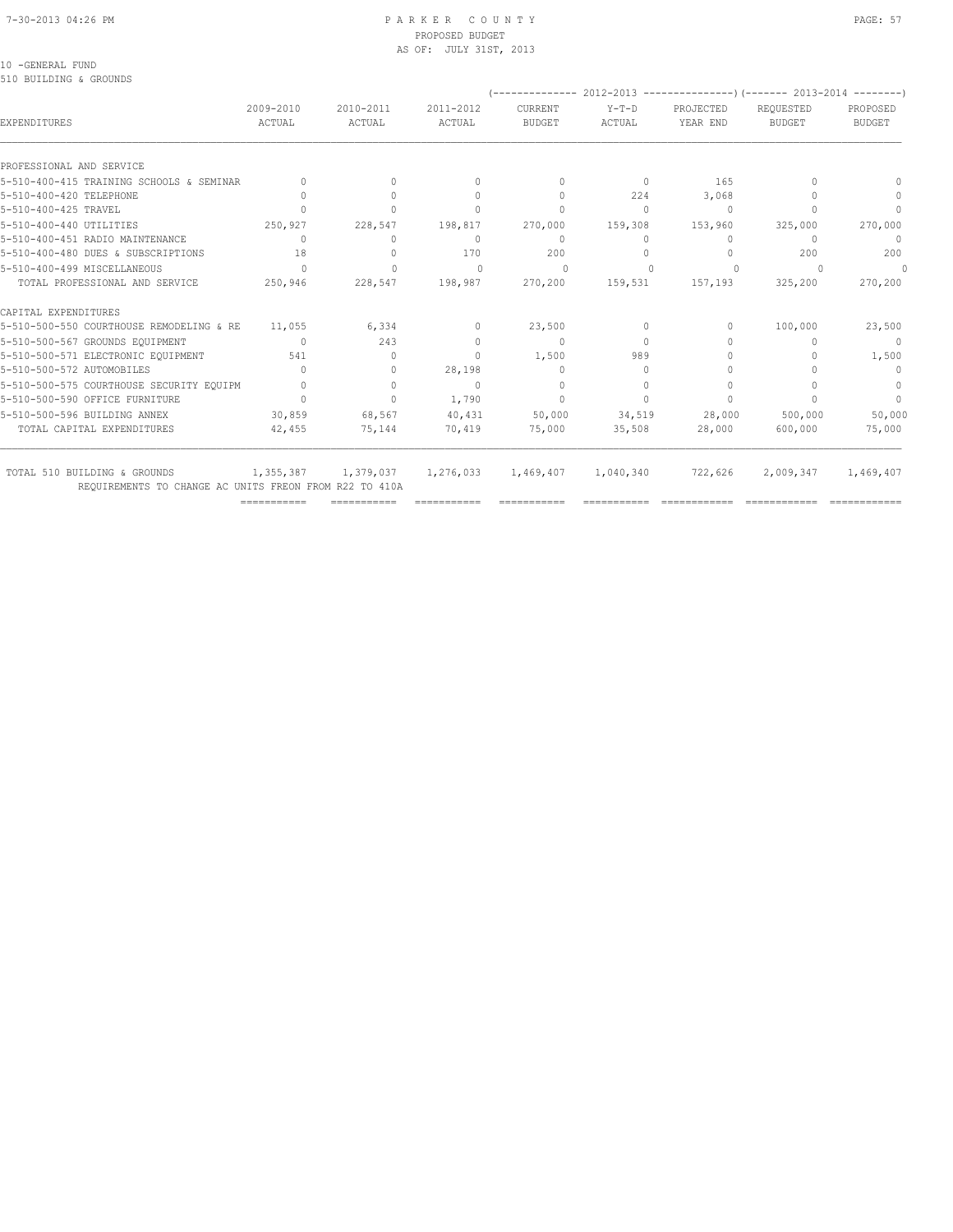#### 7-30-2013 04:26 PM P A R K E R C O U N T Y PAGE: 57 PROPOSED BUDGET AS OF: JULY 31ST, 2013

### 10 -GENERAL FUND

510 BUILDING & GROUNDS

|                                                                                        |                                  |                                  |                                  |                                  |                          |                                  | (-------------- 2012-2013 ----------------) (------- 2013-2014 -------- |                                  |
|----------------------------------------------------------------------------------------|----------------------------------|----------------------------------|----------------------------------|----------------------------------|--------------------------|----------------------------------|-------------------------------------------------------------------------|----------------------------------|
| EXPENDITURES                                                                           | 2009-2010<br>ACTUAL              | 2010-2011<br>ACTUAL              | 2011-2012<br>ACTUAL              | CURRENT<br><b>BUDGET</b>         | $Y-T-D$<br><b>ACTUAL</b> | PROJECTED<br>YEAR END            | REQUESTED<br><b>BUDGET</b>                                              | PROPOSED<br><b>BUDGET</b>        |
| PROFESSIONAL AND SERVICE                                                               |                                  |                                  |                                  |                                  |                          |                                  |                                                                         |                                  |
| 5-510-400-415 TRAINING SCHOOLS & SEMINAR                                               |                                  | $\Omega$                         | $\Omega$                         | $\begin{array}{c} \n\end{array}$ | $\circ$                  | 165                              |                                                                         |                                  |
| 5-510-400-420 TELEPHONE                                                                |                                  | $\bigcap$                        | $\bigcap$                        | $\begin{array}{c} \n\end{array}$ | 224                      | 3,068                            |                                                                         | $\Omega$                         |
| 5-510-400-425 TRAVEL                                                                   |                                  |                                  | $\Omega$                         | $\mathbf{0}$                     | $\circ$                  | 0                                |                                                                         | $\begin{array}{c} \n\end{array}$ |
| 5-510-400-440 UTILITIES                                                                | 250,927                          | 228,547                          | 198,817                          | 270,000                          | 159,308                  | 153,960                          | 325,000                                                                 | 270,000                          |
| 5-510-400-451 RADIO MAINTENANCE                                                        | $\Omega$                         | $\Omega$                         | $\Omega$                         | $\mathbf{0}$                     | $\Omega$                 | $\begin{array}{c} \n\end{array}$ | $\cup$                                                                  | $\circ$                          |
| 5-510-400-480 DUES & SUBSCRIPTIONS                                                     | 18                               | $\Omega$                         | 170                              | 200                              | $\Omega$                 | $\begin{array}{c} \n\end{array}$ | 200                                                                     | 200                              |
| 5-510-400-499 MTSCELLANEOUS                                                            | $\bigcap$                        | $\Omega$                         | $\Omega$                         | $\Omega$                         |                          | $\Omega$                         |                                                                         | 0                                |
| TOTAL PROFESSIONAL AND SERVICE                                                         | 250,946                          | 228,547                          | 198,987                          | 270,200                          | 159,531                  | 157,193                          | 325,200                                                                 | 270,200                          |
| CAPITAL EXPENDITURES                                                                   |                                  |                                  |                                  |                                  |                          |                                  |                                                                         |                                  |
| 5-510-500-550 COURTHOUSE REMODELING & RE                                               | 11,055                           | 6,334                            | $\mathbf{0}$                     | 23,500                           | 0                        | 0                                | 100,000                                                                 | 23,500                           |
| 5-510-500-567 GROUNDS EQUIPMENT                                                        | $\Omega$                         | 243                              | $\mathbf{0}$                     | $\mathbf{0}$                     | $\Omega$                 |                                  |                                                                         | $\Omega$                         |
| 5-510-500-571 ELECTRONIC EQUIPMENT                                                     | 541                              | $\Omega$                         | $\begin{array}{c} \n\end{array}$ | 1,500                            | 989                      |                                  |                                                                         | 1,500                            |
| 5-510-500-572 AUTOMOBILES                                                              | n                                | $\begin{array}{c} \n\end{array}$ | 28,198                           | $\mathbf{0}$                     | $\Omega$                 |                                  |                                                                         | $\begin{array}{c} \n\end{array}$ |
| 5-510-500-575 COURTHOUSE SECURITY EQUIPM                                               |                                  | $\Omega$                         | $\begin{array}{c} \n\end{array}$ | $\mathbf{0}$                     | $\Omega$                 | $\Omega$                         |                                                                         | $\mathbf{0}$                     |
| 5-510-500-590 OFFICE FURNITURE                                                         | $\begin{array}{c} \n\end{array}$ | $\Omega$                         | 1,790                            | $\Omega$                         | $\bigcap$                | $\bigcap$                        |                                                                         | $\Omega$                         |
| 5-510-500-596 BUILDING ANNEX                                                           | 30,859                           | 68,567                           | 40,431                           | 50,000                           | 34,519                   | 28,000                           | 500,000                                                                 | 50,000                           |
| TOTAL CAPITAL EXPENDITURES                                                             | 42,455                           | 75,144                           | 70,419                           | 75,000                           | 35,508                   | 28,000                           | 600,000                                                                 | 75,000                           |
| TOTAL 510 BUILDING & GROUNDS<br>REQUIREMENTS TO CHANGE AC UNITS FREON FROM R22 TO 410A | 1,355,387                        | 1,379,037                        | 1,276,033                        | 1,469,407                        | 1,040,340                | 722,626                          | 2,009,347                                                               | 1,469,407                        |

=========== =========== =========== =========== =========== ============ ============ ============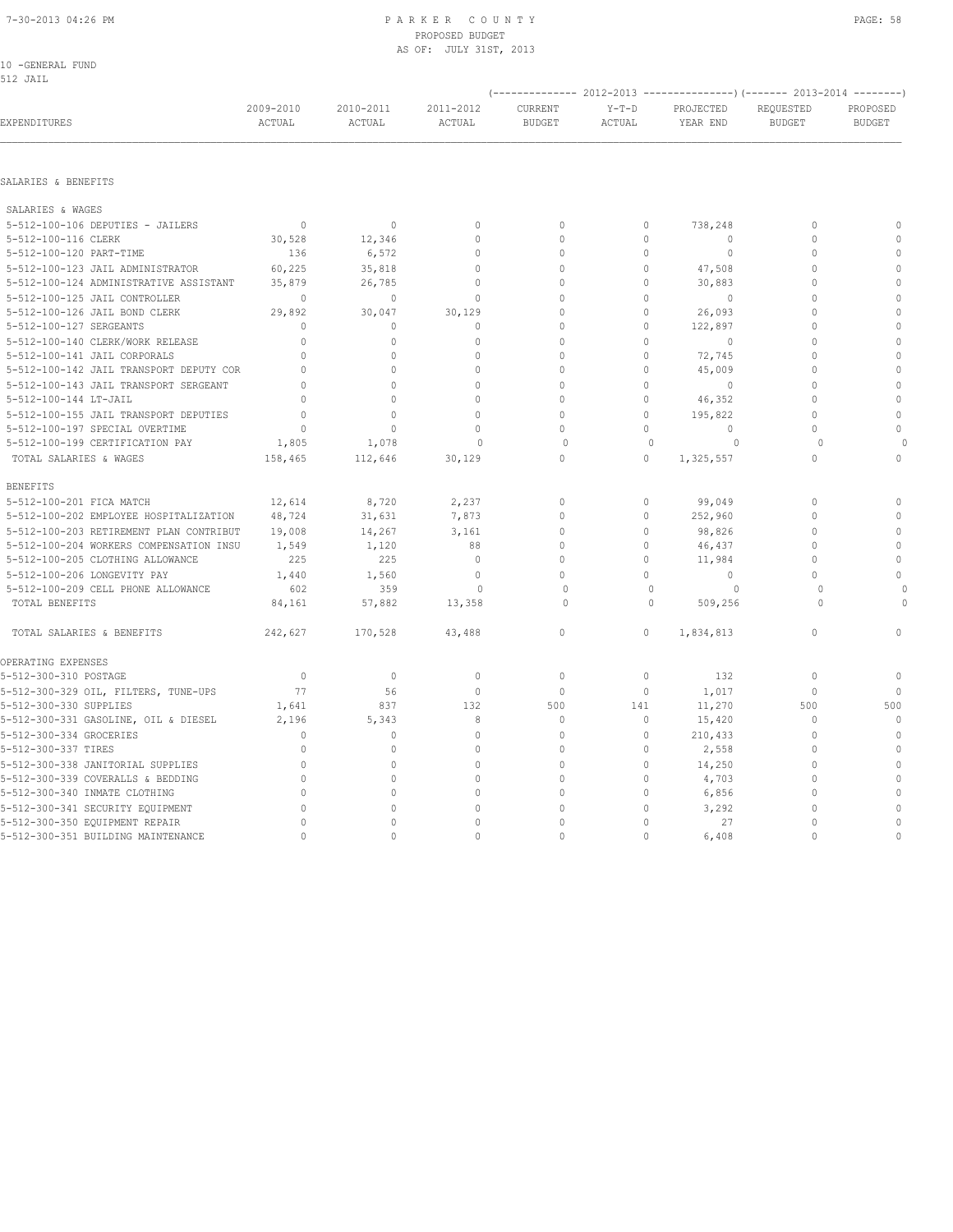10 -GENERAL FUND 512 JAIL

| سيمت عدب                                |                                  |                                  |                                  |                          |                   |                       | $(-$ -------------- 2012-2013 -----------------) (------- 2013-2014 --------) |                                  |
|-----------------------------------------|----------------------------------|----------------------------------|----------------------------------|--------------------------|-------------------|-----------------------|-------------------------------------------------------------------------------|----------------------------------|
| EXPENDITURES                            | 2009-2010<br>ACTUAL              | 2010-2011<br>ACTUAL              | 2011-2012<br>ACTUAL              | CURRENT<br><b>BUDGET</b> | $Y-T-D$<br>ACTUAL | PROJECTED<br>YEAR END | REQUESTED<br><b>BUDGET</b>                                                    | PROPOSED<br><b>BUDGET</b>        |
|                                         |                                  |                                  |                                  |                          |                   |                       |                                                                               |                                  |
| SALARIES & BENEFITS                     |                                  |                                  |                                  |                          |                   |                       |                                                                               |                                  |
| SALARIES & WAGES                        |                                  |                                  |                                  |                          |                   |                       |                                                                               |                                  |
| 5-512-100-106 DEPUTIES - JAILERS        | $\Omega$                         | $\Omega$                         | $\Omega$                         | $\Omega$                 | $\Omega$          | 738,248               | $\Omega$                                                                      | $\bigcap$                        |
| 5-512-100-116 CLERK                     | 30,528                           | 12,346                           | $\Omega$                         | $\Omega$                 | $\Omega$          | $\Omega$              | $\Omega$                                                                      | $\Omega$                         |
| 5-512-100-120 PART-TIME                 | 136                              | 6,572                            | $\mathbf{0}$                     | $\circ$                  | $\Omega$          | $\mathbf{0}$          | $\Omega$                                                                      | $\Omega$                         |
| 5-512-100-123 JAIL ADMINISTRATOR        | 60,225                           | 35,818                           | $\mathbf 0$                      | $\circ$                  | $\circ$           | 47,508                | $\mathbf{0}$                                                                  | $\Omega$                         |
| 5-512-100-124 ADMINISTRATIVE ASSISTANT  | 35,879                           | 26,785                           | $\Omega$                         | $\Omega$                 | $\Omega$          | 30,883                | $\Omega$                                                                      | $\bigcap$                        |
| 5-512-100-125 JAIL CONTROLLER           | $\circ$                          | $\circ$                          | $\Omega$                         | $\Omega$                 | $\Omega$          | $\overline{0}$        | $\Omega$                                                                      | $\cap$                           |
| 5-512-100-126 JAIL BOND CLERK           | 29,892                           | 30,047                           | 30,129                           | $\Omega$                 | $\bigcap$         | 26,093                | $\bigcap$                                                                     | $\Omega$                         |
| 5-512-100-127 SERGEANTS                 | $\Omega$                         | $\begin{array}{c} \n\end{array}$ | $\Omega$                         | $\Omega$                 | $\Omega$          | 122,897               | $\Omega$                                                                      | $\Omega$                         |
| 5-512-100-140 CLERK/WORK RELEASE        | $\bigcap$                        | $\bigcap$                        | $\begin{array}{c} \n\end{array}$ | $\bigcap$                | $\cap$            | $\Omega$              | $\bigcap$                                                                     | $\Omega$                         |
| 5-512-100-141 JAIL CORPORALS            | $\bigcap$                        | $\begin{array}{c} \n\end{array}$ | $\Omega$                         | $\Omega$                 | $\Omega$          | 72,745                | $\Omega$                                                                      | $\bigcap$                        |
| 5-512-100-142 JAIL TRANSPORT DEPUTY COR | $\begin{array}{c} \n\end{array}$ | $\Omega$                         | $\mathbf{0}$                     | $\Omega$                 | $\Omega$          | 45,009                | $\Omega$                                                                      | $\bigcap$                        |
| 5-512-100-143 JAIL TRANSPORT SERGEANT   | $\Omega$                         | $\Omega$                         | $\Omega$                         | $\Omega$                 | $\Omega$          | $\Omega$              | $\Omega$                                                                      | $\cap$                           |
| 5-512-100-144 LT-JAIL                   | $\bigcap$                        | $\Omega$                         | $\bigcap$                        | $\cap$                   | $\Omega$          | 46,352                | $\bigcap$                                                                     | $\cap$                           |
| 5-512-100-155 JAIL TRANSPORT DEPUTIES   | $\Omega$                         | $\Omega$                         | $\Omega$                         | $\cap$                   | $\Omega$          | 195,822               | $\bigcap$                                                                     | $\cap$                           |
| 5-512-100-197 SPECIAL OVERTIME          | $\Omega$                         | $\Omega$                         | $\Omega$                         | $\Omega$                 | $\Omega$          | $\Omega$              | $\Omega$                                                                      | $\Omega$                         |
| 5-512-100-199 CERTIFICATION PAY         | 1,805                            | 1,078                            | $\Omega$                         | $\bigcap$                | $\Omega$          | $\Omega$              | $\cap$                                                                        | $\Omega$                         |
| TOTAL SALARIES & WAGES                  | 158,465                          | 112,646                          | 30,129                           | $\Omega$                 | $\Omega$          | 1,325,557             | $\Omega$                                                                      | $\Omega$                         |
| <b>BENEFITS</b>                         |                                  |                                  |                                  |                          |                   |                       |                                                                               |                                  |
| 5-512-100-201 FICA MATCH                | 12,614                           | 8,720                            | 2,237                            | $\Omega$                 | $\Omega$          | 99,049                | $\Omega$                                                                      | $\bigcap$                        |
| 5-512-100-202 EMPLOYEE HOSPITALIZATION  | 48,724                           | 31,631                           | 7,873                            | $\Omega$                 | $\Omega$          | 252,960               | $\Omega$                                                                      | $\Omega$                         |
| 5-512-100-203 RETIREMENT PLAN CONTRIBUT | 19,008                           | 14,267                           | 3,161                            | $\bigcap$                | $\bigcap$         | 98,826                | $\bigcap$                                                                     | $\bigcap$                        |
| 5-512-100-204 WORKERS COMPENSATION INSU | 1,549                            | 1,120                            | 88                               | $\Omega$                 | $\Omega$          | 46,437                | $\bigcap$                                                                     | $\cap$                           |
| 5-512-100-205 CLOTHING ALLOWANCE        | 225                              | 225                              | $\Omega$                         | $\Omega$                 | $\cap$            | 11,984                | $\Omega$                                                                      | $\cap$                           |
| 5-512-100-206 LONGEVITY PAY             | 1,440                            | 1,560                            | $\mathbf{0}$                     | $\Omega$                 | $\cap$            | $\Omega$              | $\Omega$                                                                      | $\cap$                           |
| 5-512-100-209 CELL PHONE ALLOWANCE      | 602                              | 359                              | $\Omega$                         | $\circ$                  | $\mathbf{0}$      | $\Omega$              | $\Omega$                                                                      | $\circ$                          |
| TOTAL BENEFITS                          | 84,161                           | 57,882                           | 13,358                           | $\bigcap$                | $\Omega$          | 509,256               | $\bigcap$                                                                     | $\Omega$                         |
| TOTAL SALARIES & BENEFITS               | 242,627                          | 170,528                          | 43,488                           | $\circ$                  | $\Omega$          | 1,834,813             | $\mathbf{0}$                                                                  | $\begin{array}{c} \n\end{array}$ |

5-512-300-310 POSTAGE 0 0 0 0 0 132 0 0 5-512-300-329 OIL, FILTERS, TUNE-UPS 77 56 0 0 0 1,017 0 0 5-512-300-330 SUPPLIES 1,641 837 132 500 141 11,270 500 500 5-512-300-331 GASOLINE, OIL & DIESEL 2,196 5,343 8 0 0 15,420 0 0 5-512-300-334 GROCERIES 0 0 0 0 0 210,433 0 0 5-512-300-337 TIRES 0 0 0 0 0 2,558 0 0 5-512-300-338 JANITORIAL SUPPLIES 0 0 0 0 14,250 0 0 5-512-300-339 COVERALLS & BEDDING 0 0 0 0 0 4,703 0 0 5-512-300-340 INMATE CLOTHING 0 0 0 0 0 6,856 0 0 5-512-300-341 SECURITY EQUIPMENT 0 0 0 0 0 3,292 0 0 5-512-300-350 EQUIPMENT REPAIR 0 0 0 0 0 27 0 0 5-512-300-351 BUILDING MAINTENANCE 0 0 0 0 6,408 0 0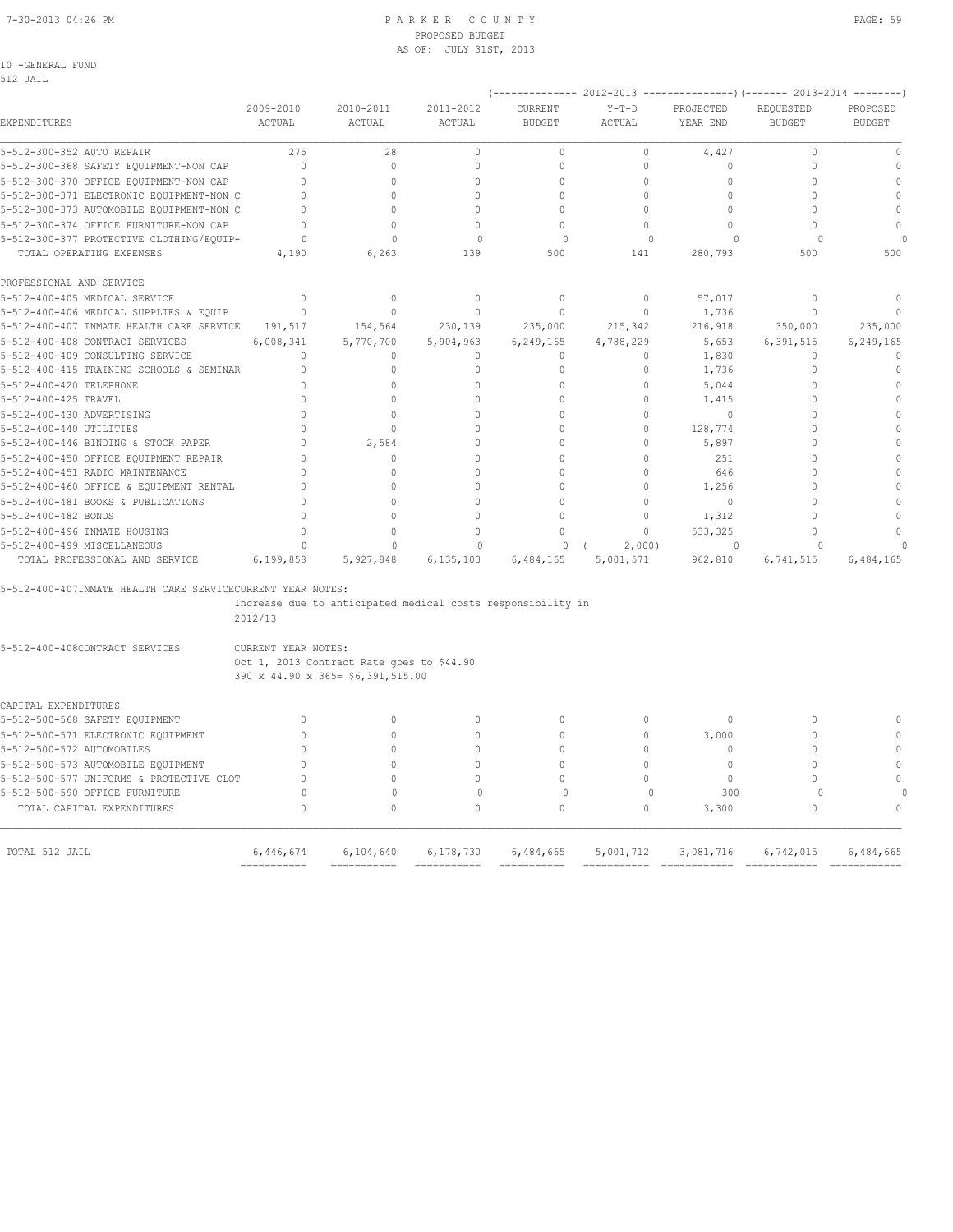#### 7-30-2013 04:26 PM P A R K E R C O U N T Y PAGE: 59 PROPOSED BUDGET AS OF: JULY 31ST, 2013

10 -GENERAL FUND

| 512 JAIL                                                   |                     |                                                                                |                     |                          |                          |                       | $(---------- 2012-2013$ ----------------)(------- 2013-2014 --------) |                           |
|------------------------------------------------------------|---------------------|--------------------------------------------------------------------------------|---------------------|--------------------------|--------------------------|-----------------------|-----------------------------------------------------------------------|---------------------------|
| EXPENDITURES                                               | 2009-2010<br>ACTUAL | 2010-2011<br>ACTUAL                                                            | 2011-2012<br>ACTUAL | CURRENT<br><b>BUDGET</b> | $Y-T-D$<br><b>ACTUAL</b> | PROJECTED<br>YEAR END | REQUESTED<br><b>BUDGET</b>                                            | PROPOSED<br><b>BUDGET</b> |
| 5-512-300-352 AUTO REPAIR                                  | 275                 | 28                                                                             | $\circ$             | $\mathbf{0}$             | $\circ$                  | 4,427                 | $\Omega$                                                              | $\mathbb O$               |
| 5-512-300-368 SAFETY EQUIPMENT-NON CAP                     | $\mathbf{0}$        | $\circ$                                                                        | $\mathbf 0$         | $\mathbf 0$              | $\circ$                  | $\Omega$              | $\Omega$                                                              | $\mathbb O$               |
| 5-512-300-370 OFFICE EQUIPMENT-NON CAP                     | $\Omega$            | $\Omega$                                                                       | $\Omega$            | $\Omega$                 | $\Omega$                 | $\Omega$              | $\Omega$                                                              | $\mathbf{0}$              |
| 5-512-300-371 ELECTRONIC EQUIPMENT-NON C                   | $\mathbf{0}$        | $\Omega$                                                                       | $\Omega$            | $\Omega$                 | $\circ$                  | $\Omega$              | $\Omega$                                                              | $\mathbf{0}$              |
| 5-512-300-373 AUTOMOBILE EQUIPMENT-NON C                   | $\mathbf{0}$        | $\Omega$                                                                       | $\cap$              | $\mathbf 0$              | $\Omega$                 | $\mathbf 0$           | $\cap$                                                                | $\mathbb O$               |
| 5-512-300-374 OFFICE FURNITURE-NON CAP                     | $\mathbf{0}$        | $\Omega$                                                                       | $\mathbf{0}$        | $\mathbf{0}$             | $\circ$                  | $\Omega$              | $\mathbf 0$                                                           | $\mathbf{0}$              |
| 5-512-300-377 PROTECTIVE CLOTHING/EQUIP-                   | $\Omega$            | $\Omega$                                                                       | $\Omega$            | $\Omega$                 | $\Omega$                 | $\Omega$              | $\Omega$                                                              |                           |
| TOTAL OPERATING EXPENSES                                   | 4,190               | 6,263                                                                          | 139                 | 500                      | 141                      | 280,793               | 500                                                                   | 500                       |
| PROFESSIONAL AND SERVICE                                   |                     |                                                                                |                     |                          |                          |                       |                                                                       |                           |
| 5-512-400-405 MEDICAL SERVICE                              | $\Omega$            | $\Omega$                                                                       | $\mathbf{0}$        | $\Omega$                 | $\circ$                  | 57,017                | $\Omega$                                                              | $\mathbf{0}$              |
| 5-512-400-406 MEDICAL SUPPLIES & EQUIP                     | $\Omega$            | $\Omega$                                                                       | $\mathbf{0}$        | $\mathbf{0}$             | $\circ$                  | 1,736                 | $\Omega$                                                              |                           |
| 5-512-400-407 INMATE HEALTH CARE SERVICE                   | 191,517             | 154,564                                                                        | 230,139             | 235,000                  | 215,342                  | 216,918               | 350,000                                                               | 235,000                   |
| 5-512-400-408 CONTRACT SERVICES                            | 6,008,341           | 5,770,700                                                                      | 5,904,963           | 6,249,165                | 4,788,229                | 5,653                 | 6,391,515                                                             | 6,249,165                 |
| 5-512-400-409 CONSULTING SERVICE                           | $\mathbf{0}$        | $\mathbf{0}$                                                                   | $\mathbf{0}$        | $\mathbf{0}$             | $\circ$                  | 1,830                 | $\mathbf{0}$                                                          | $\mathbf 0$               |
| 5-512-400-415 TRAINING SCHOOLS & SEMINAR                   | $\mathbf{0}$        | $\Omega$                                                                       | 0                   | $\circ$                  | $\circ$                  | 1,736                 | $\mathbf{0}$                                                          | $\mathbb O$               |
| 5-512-400-420 TELEPHONE                                    | $\cap$              | $\Omega$                                                                       | 0                   | $\mathbf{0}$             | $\circ$                  | 5,044                 | $\Omega$                                                              | $\mathbf 0$               |
| 5-512-400-425 TRAVEL                                       | $\cap$              | $\Omega$                                                                       | $\Omega$            | $\Omega$                 | $\Omega$                 | 1,415                 | $\cap$                                                                | $\mathbf{0}$              |
| 5-512-400-430 ADVERTISING                                  | $\Omega$            | $\Omega$                                                                       | $\Omega$            | $\Omega$                 | $\Omega$                 | $\Omega$              | $\Omega$                                                              | $\mathbf 0$               |
| 5-512-400-440 UTILITIES                                    | $\Omega$            | $\Omega$                                                                       | $\Omega$            | $\Omega$                 | $\Omega$                 | 128,774               | $\Omega$                                                              | $\mathbf 0$               |
| 5-512-400-446 BINDING & STOCK PAPER                        | $\Omega$            | 2,584                                                                          | $\mathbf 0$         | $\Omega$                 | $\circ$                  | 5,897                 | $\Omega$                                                              | $\mathbf 0$               |
| 5-512-400-450 OFFICE EQUIPMENT REPAIR                      | $\Omega$            | $\Omega$                                                                       | $\Omega$            | $\Omega$                 | $\Omega$                 | 251                   | $\Omega$                                                              | $\Omega$                  |
| 5-512-400-451 RADIO MAINTENANCE                            | $\Omega$            | $\Omega$                                                                       | $\Omega$            | $\Omega$                 | $\circ$                  | 646                   | $\Omega$                                                              | $\mathbf 0$               |
| 5-512-400-460 OFFICE & EQUIPMENT RENTAL                    | $\Omega$            | $\Omega$                                                                       | $\mathbf 0$         | $\Omega$                 | $\circ$                  | 1,256                 | $\Omega$                                                              | $\mathbf 0$               |
| 5-512-400-481 BOOKS & PUBLICATIONS                         | $\Omega$            | $\Omega$                                                                       | $\Omega$            | $\cap$                   | $\Omega$                 | 0                     | $\Omega$                                                              | $\mathbf{0}$              |
| 5-512-400-482 BONDS                                        | $\cap$              | $\cap$                                                                         | $\mathbf 0$         | $\Omega$                 | $\circ$                  | 1,312                 | $\cap$                                                                | $\mathbf 0$               |
| 5-512-400-496 INMATE HOUSING                               | $\Omega$            | $\Omega$                                                                       | $\mathbf 0$         | $\mathbf{0}$             | $\circ$                  | 533,325               | $\mathbf 0$                                                           | $\mathbf 0$               |
| 5-512-400-499 MISCELLANEOUS                                | $\cap$              | $\Omega$                                                                       | $\Omega$            | $\Omega$                 | 2,000)                   | $\cap$                | $\cap$                                                                |                           |
| TOTAL PROFESSIONAL AND SERVICE                             | 6,199,858           | 5,927,848                                                                      | 6,135,103           | 6,484,165                | 5,001,571                | 962,810               | 6,741,515                                                             | 6,484,165                 |
| 5-512-400-407INMATE HEALTH CARE SERVICECURRENT YEAR NOTES: |                     |                                                                                |                     |                          |                          |                       |                                                                       |                           |
|                                                            | 2012/13             | Increase due to anticipated medical costs responsibility in                    |                     |                          |                          |                       |                                                                       |                           |
| 5-512-400-408CONTRACT SERVICES                             | CURRENT YEAR NOTES: | Oct 1, 2013 Contract Rate goes to \$44.90<br>390 x 44.90 x 365= \$6,391,515.00 |                     |                          |                          |                       |                                                                       |                           |
| CAPITAL EXPENDITURES                                       |                     |                                                                                |                     |                          |                          |                       |                                                                       |                           |
| 5-512-500-568 SAFETY EQUIPMENT                             | $\mathbf{0}$        | $\circ$                                                                        | $\mathbf 0$         | $\Omega$                 | $\circ$                  | $\Omega$              | $\Omega$                                                              | $\Omega$                  |
| 5-512-500-571 ELECTRONIC EOUIPMENT                         | $\Omega$            | 0                                                                              | $\mathbf 0$         | $\Omega$                 | $\circ$                  | 3,000                 | $\Omega$                                                              | $\Omega$                  |
| 5-512-500-572 AUTOMOBILES                                  | $\Omega$            | $\Omega$                                                                       | $\Omega$            | $\Omega$                 | $\circ$                  | $\mathbf 0$           | $\Omega$                                                              | $\mathbf 0$               |
| 5-512-500-573 AUTOMOBILE EQUIPMENT                         | $\Omega$            | $\Omega$                                                                       | $\Omega$            | $\Omega$                 | $\Omega$                 | $\mathbf{0}$          | $\Omega$                                                              | $\mathbf 0$               |
| 5-512-500-577 UNIFORMS & PROTECTIVE CLOT                   | $\Omega$            | $\Omega$                                                                       | $\Omega$            | $\Omega$                 | $\circ$                  | $\circ$               | $\mathbf 0$                                                           | $\mathbf 0$               |
| 5-512-500-590 OFFICE FURNITURE                             | $\circ$             | $\mathbf{0}$                                                                   | $\mathbf{0}$        | $\Omega$                 | $\mathbf{0}$             | 300                   | $\circ$                                                               |                           |
| TOTAL CAPITAL EXPENDITURES                                 | $\Omega$            | $\Omega$                                                                       | $\Omega$            | $\Omega$                 | $\circ$                  | 3,300                 | $\Omega$                                                              | $\mathbf{0}$              |
|                                                            |                     |                                                                                |                     |                          |                          |                       |                                                                       |                           |

 TOTAL 512 JAIL 6,446,674 6,104,640 6,178,730 6,484,665 5,001,712 3,081,716 6,742,015 6,484,665 =========== =========== =========== =========== =========== ============ ============ ============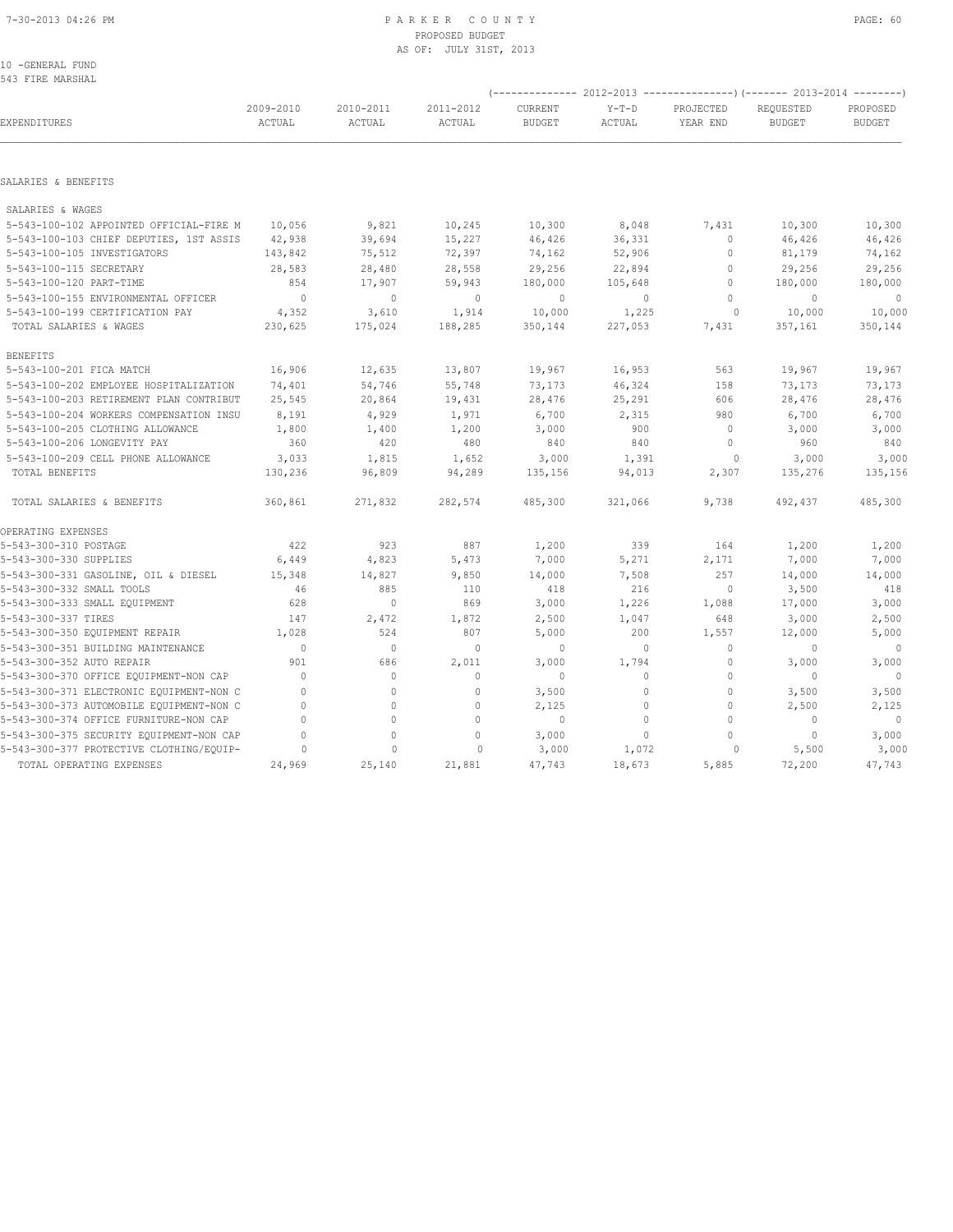| 10 -GENERAL FUND |  |
|------------------|--|
| 543 FIRE MARSHAL |  |

|                                          | (-------------- 2012-2013 ----------------) (------- 2013-2014 --------) |                     |                     |                          |                   |                       |                            |                           |  |  |
|------------------------------------------|--------------------------------------------------------------------------|---------------------|---------------------|--------------------------|-------------------|-----------------------|----------------------------|---------------------------|--|--|
| EXPENDITURES                             | 2009-2010<br>ACTUAL                                                      | 2010-2011<br>ACTUAL | 2011-2012<br>ACTUAL | CURRENT<br><b>BUDGET</b> | $Y-T-D$<br>ACTUAL | PROJECTED<br>YEAR END | REQUESTED<br><b>BUDGET</b> | PROPOSED<br><b>BUDGET</b> |  |  |
|                                          |                                                                          |                     |                     |                          |                   |                       |                            |                           |  |  |
| SALARIES & BENEFITS                      |                                                                          |                     |                     |                          |                   |                       |                            |                           |  |  |
| SALARIES & WAGES                         |                                                                          |                     |                     |                          |                   |                       |                            |                           |  |  |
| 5-543-100-102 APPOINTED OFFICIAL-FIRE M  | 10,056                                                                   | 9,821               | 10,245              | 10,300                   | 8,048             | 7,431                 | 10,300                     | 10,300                    |  |  |
| 5-543-100-103 CHIEF DEPUTIES, 1ST ASSIS  | 42,938                                                                   | 39,694              | 15,227              | 46,426                   | 36,331            | $\circ$               | 46,426                     | 46,426                    |  |  |
| 5-543-100-105 INVESTIGATORS              | 143,842                                                                  | 75,512              | 72,397              | 74,162                   | 52,906            | $\circ$               | 81,179                     | 74,162                    |  |  |
| 5-543-100-115 SECRETARY                  | 28,583                                                                   | 28,480              | 28,558              | 29,256                   | 22,894            | $\circ$               | 29,256                     | 29,256                    |  |  |
| 5-543-100-120 PART-TIME                  | 854                                                                      | 17,907              | 59,943              | 180,000                  | 105,648           | $\circ$               | 180,000                    | 180,000                   |  |  |
| 5-543-100-155 ENVIRONMENTAL OFFICER      | $\overline{0}$                                                           | $\circ$             | $\overline{0}$      | $\circ$                  | 0                 | $\circ$               | $\mathbf{0}$               | $\circ$                   |  |  |
| 5-543-100-199 CERTIFICATION PAY          | 4,352                                                                    | 3,610               | 1,914               | 10,000                   | 1,225             | $\circ$               | 10,000                     | 10,000                    |  |  |
| TOTAL SALARIES & WAGES                   | 230,625                                                                  | 175,024             | 188,285             | 350,144                  | 227,053           | 7,431                 | 357,161                    | 350,144                   |  |  |
| <b>BENEFITS</b>                          |                                                                          |                     |                     |                          |                   |                       |                            |                           |  |  |
| 5-543-100-201 FICA MATCH                 | 16,906                                                                   | 12,635              | 13,807              | 19,967                   | 16,953            | 563                   | 19,967                     | 19,967                    |  |  |
| 5-543-100-202 EMPLOYEE HOSPITALIZATION   | 74,401                                                                   | 54,746              | 55,748              | 73,173                   | 46,324            | 158                   | 73,173                     | 73,173                    |  |  |
| 5-543-100-203 RETIREMENT PLAN CONTRIBUT  | 25,545                                                                   | 20,864              | 19,431              | 28,476                   | 25,291            | 606                   | 28,476                     | 28,476                    |  |  |
| 5-543-100-204 WORKERS COMPENSATION INSU  | 8,191                                                                    | 4,929               | 1,971               | 6,700                    | 2,315             | 980                   | 6,700                      | 6,700                     |  |  |
| 5-543-100-205 CLOTHING ALLOWANCE         | 1,800                                                                    | 1,400               | 1,200               | 3,000                    | 900               | $\mathbf{0}$          | 3,000                      | 3,000                     |  |  |
| 5-543-100-206 LONGEVITY PAY              | 360                                                                      | 420                 | 480                 | 840                      | 840               | $\circ$               | 960                        | 840                       |  |  |
| 5-543-100-209 CELL PHONE ALLOWANCE       | 3,033                                                                    | 1,815               | 1,652               | 3,000                    | 1,391             | $\circ$               | 3,000                      | 3,000                     |  |  |
| TOTAL BENEFITS                           | 130,236                                                                  | 96,809              | 94,289              | 135,156                  | 94,013            | 2,307                 | 135,276                    | 135,156                   |  |  |
| TOTAL SALARIES & BENEFITS                | 360,861                                                                  | 271,832             | 282,574             | 485,300                  | 321,066           | 9,738                 | 492,437                    | 485,300                   |  |  |
| OPERATING EXPENSES                       |                                                                          |                     |                     |                          |                   |                       |                            |                           |  |  |
| 5-543-300-310 POSTAGE                    | 422                                                                      | 923                 | 887                 | 1,200                    | 339               | 164                   | 1,200                      | 1,200                     |  |  |
| 5-543-300-330 SUPPLIES                   | 6,449                                                                    | 4,823               | 5,473               | 7,000                    | 5,271             | 2,171                 | 7,000                      | 7,000                     |  |  |
| 5-543-300-331 GASOLINE, OIL & DIESEL     | 15,348                                                                   | 14,827              | 9,850               | 14,000                   | 7,508             | 257                   | 14,000                     | 14,000                    |  |  |
| 5-543-300-332 SMALL TOOLS                | 46                                                                       | 885                 | 110                 | 418                      | 216               | $\mathbf{0}$          | 3,500                      | 418                       |  |  |
| 5-543-300-333 SMALL EQUIPMENT            | 628                                                                      | $\circ$             | 869                 | 3,000                    | 1,226             | 1,088                 | 17,000                     | 3,000                     |  |  |
| 5-543-300-337 TIRES                      | 147                                                                      | 2,472               | 1,872               | 2,500                    | 1,047             | 648                   | 3,000                      | 2,500                     |  |  |
| 5-543-300-350 EQUIPMENT REPAIR           | 1,028                                                                    | 524                 | 807                 | 5,000                    | 200               | 1,557                 | 12,000                     | 5,000                     |  |  |
| 5-543-300-351 BUILDING MAINTENANCE       | $\Omega$                                                                 | $\Omega$            | $\Omega$            | $\mathbf{0}$             | $\circ$           | $\circ$               | $\Omega$                   | $\overline{0}$            |  |  |
| 5-543-300-352 AUTO REPAIR                | 901                                                                      | 686                 | 2,011               | 3,000                    | 1,794             | 0                     | 3,000                      | 3,000                     |  |  |
| 5-543-300-370 OFFICE EQUIPMENT-NON CAP   | $\mathbf{0}$                                                             | $\circ$             | $\mathbf{0}$        | $\circ$                  | $\circ$           | $\mathbb O$           | $\mathbf{0}$               | $\overline{0}$            |  |  |
| 5-543-300-371 ELECTRONIC EQUIPMENT-NON C | $\Omega$                                                                 | $\mathbf{0}$        | $\mathbf{0}$        | 3,500                    | $\circ$           | $\mathbf{0}$          | 3,500                      | 3,500                     |  |  |
| 5-543-300-373 AUTOMOBILE EQUIPMENT-NON C | $\mathbf{0}$                                                             | $\circ$             | $\mathbf{0}$        | 2,125                    | $\circ$           | $\mathbf{0}$          | 2,500                      | 2,125                     |  |  |
| 5-543-300-374 OFFICE FURNITURE-NON CAP   | $\Omega$                                                                 | $\Omega$            | $\Omega$            | $\mathbf{0}$             | $\circ$           | $\Omega$              | $\mathbf{0}$               | $\overline{\phantom{0}}$  |  |  |
| 5-543-300-375 SECURITY EQUIPMENT-NON CAP | $\mathbf{0}$                                                             | 0                   | $\circ$             | 3,000                    | $\circ$           | $\circ$               | $\mathbf{0}$               | 3,000                     |  |  |
| 5-543-300-377 PROTECTIVE CLOTHING/EQUIP- | $\Omega$                                                                 | $\mathbf{0}$        | $\circ$             | 3,000                    | 1,072             | 0                     | 5,500                      | 3,000                     |  |  |
| TOTAL OPERATING EXPENSES                 | 24,969                                                                   | 25,140              | 21,881              | 47,743                   | 18,673            | 5,885                 | 72,200                     | 47,743                    |  |  |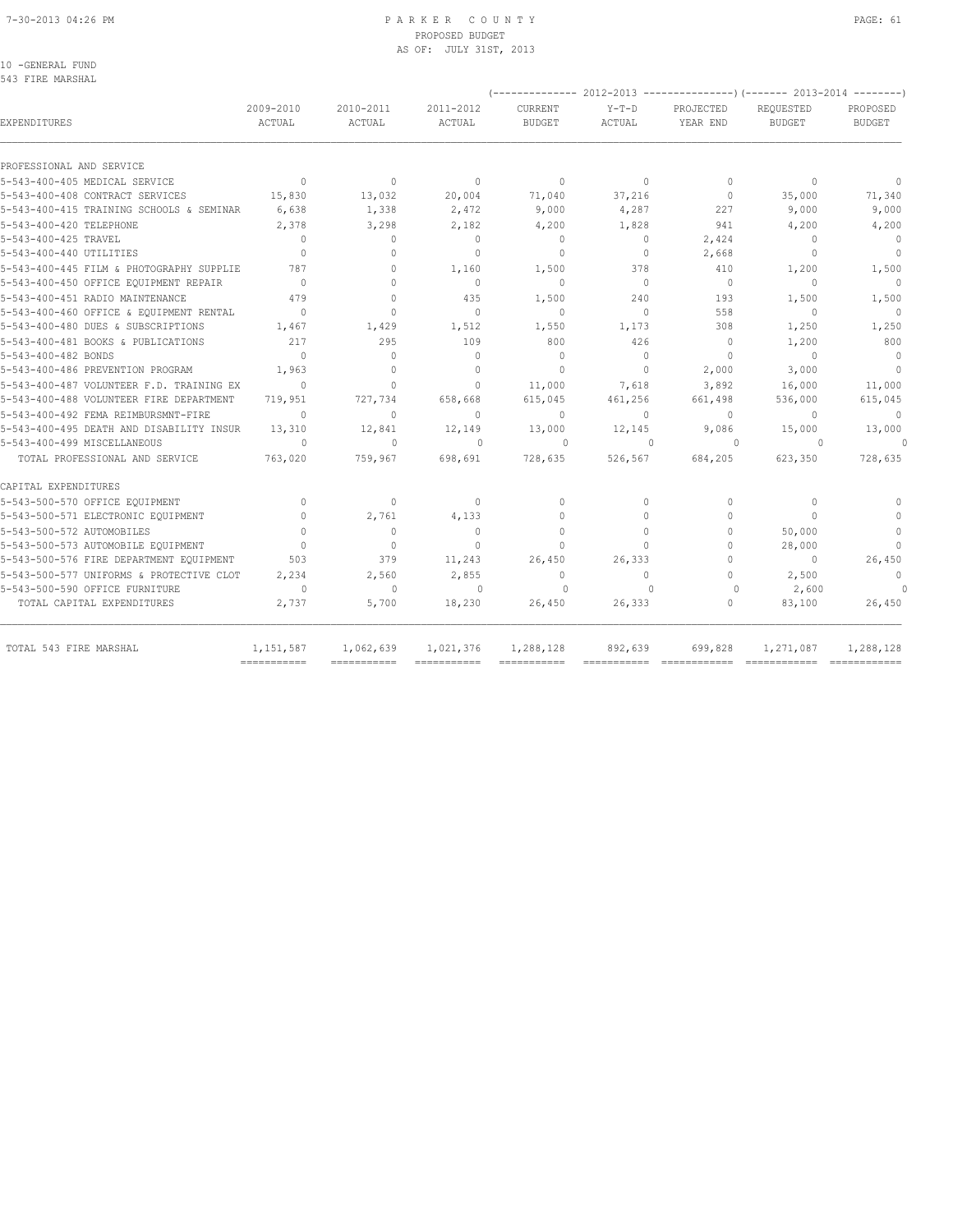#### 7-30-2013 04:26 PM P A R K E R C O U N T Y PAGE: 61 PROPOSED BUDGET AS OF: JULY 31ST, 2013

10 -GENERAL FUND 543 FIRE MARSHAL

| 2009-2010<br>ACTUAL                               | 2010-2011<br>ACTUAL                                                                                                                                                                                                                                                                                                                                                                                           | 2011-2012<br>ACTUAL                                                                                                                                                                                                                                                                              | <b>CURRENT</b><br><b>BUDGET</b>                                                                                                                                                                                                                                                          | $Y-T-D$<br>ACTUAL                                                                                                                                                                                                    | PROJECTED<br>YEAR END                                                                                                                                                                                                          | REQUESTED<br><b>BUDGET</b>                                                                                                                                                                                                          | PROPOSED<br><b>BUDGET</b>                                                                                                                                                                                                                                                                                                                                |
|---------------------------------------------------|---------------------------------------------------------------------------------------------------------------------------------------------------------------------------------------------------------------------------------------------------------------------------------------------------------------------------------------------------------------------------------------------------------------|--------------------------------------------------------------------------------------------------------------------------------------------------------------------------------------------------------------------------------------------------------------------------------------------------|------------------------------------------------------------------------------------------------------------------------------------------------------------------------------------------------------------------------------------------------------------------------------------------|----------------------------------------------------------------------------------------------------------------------------------------------------------------------------------------------------------------------|--------------------------------------------------------------------------------------------------------------------------------------------------------------------------------------------------------------------------------|-------------------------------------------------------------------------------------------------------------------------------------------------------------------------------------------------------------------------------------|----------------------------------------------------------------------------------------------------------------------------------------------------------------------------------------------------------------------------------------------------------------------------------------------------------------------------------------------------------|
|                                                   |                                                                                                                                                                                                                                                                                                                                                                                                               |                                                                                                                                                                                                                                                                                                  |                                                                                                                                                                                                                                                                                          |                                                                                                                                                                                                                      |                                                                                                                                                                                                                                |                                                                                                                                                                                                                                     |                                                                                                                                                                                                                                                                                                                                                          |
|                                                   |                                                                                                                                                                                                                                                                                                                                                                                                               |                                                                                                                                                                                                                                                                                                  |                                                                                                                                                                                                                                                                                          |                                                                                                                                                                                                                      |                                                                                                                                                                                                                                |                                                                                                                                                                                                                                     | $\Omega$                                                                                                                                                                                                                                                                                                                                                 |
|                                                   |                                                                                                                                                                                                                                                                                                                                                                                                               |                                                                                                                                                                                                                                                                                                  |                                                                                                                                                                                                                                                                                          |                                                                                                                                                                                                                      |                                                                                                                                                                                                                                |                                                                                                                                                                                                                                     | 71,340                                                                                                                                                                                                                                                                                                                                                   |
|                                                   |                                                                                                                                                                                                                                                                                                                                                                                                               |                                                                                                                                                                                                                                                                                                  |                                                                                                                                                                                                                                                                                          |                                                                                                                                                                                                                      |                                                                                                                                                                                                                                |                                                                                                                                                                                                                                     | 9,000                                                                                                                                                                                                                                                                                                                                                    |
|                                                   |                                                                                                                                                                                                                                                                                                                                                                                                               |                                                                                                                                                                                                                                                                                                  |                                                                                                                                                                                                                                                                                          |                                                                                                                                                                                                                      |                                                                                                                                                                                                                                |                                                                                                                                                                                                                                     | 4,200                                                                                                                                                                                                                                                                                                                                                    |
|                                                   |                                                                                                                                                                                                                                                                                                                                                                                                               |                                                                                                                                                                                                                                                                                                  |                                                                                                                                                                                                                                                                                          |                                                                                                                                                                                                                      |                                                                                                                                                                                                                                |                                                                                                                                                                                                                                     | $\overline{0}$                                                                                                                                                                                                                                                                                                                                           |
|                                                   |                                                                                                                                                                                                                                                                                                                                                                                                               |                                                                                                                                                                                                                                                                                                  |                                                                                                                                                                                                                                                                                          |                                                                                                                                                                                                                      |                                                                                                                                                                                                                                |                                                                                                                                                                                                                                     | $\overline{0}$                                                                                                                                                                                                                                                                                                                                           |
|                                                   |                                                                                                                                                                                                                                                                                                                                                                                                               |                                                                                                                                                                                                                                                                                                  |                                                                                                                                                                                                                                                                                          |                                                                                                                                                                                                                      |                                                                                                                                                                                                                                |                                                                                                                                                                                                                                     | 1,500                                                                                                                                                                                                                                                                                                                                                    |
|                                                   |                                                                                                                                                                                                                                                                                                                                                                                                               |                                                                                                                                                                                                                                                                                                  |                                                                                                                                                                                                                                                                                          |                                                                                                                                                                                                                      |                                                                                                                                                                                                                                |                                                                                                                                                                                                                                     | $\bigcirc$                                                                                                                                                                                                                                                                                                                                               |
|                                                   |                                                                                                                                                                                                                                                                                                                                                                                                               |                                                                                                                                                                                                                                                                                                  |                                                                                                                                                                                                                                                                                          |                                                                                                                                                                                                                      |                                                                                                                                                                                                                                |                                                                                                                                                                                                                                     | 1,500                                                                                                                                                                                                                                                                                                                                                    |
|                                                   |                                                                                                                                                                                                                                                                                                                                                                                                               |                                                                                                                                                                                                                                                                                                  |                                                                                                                                                                                                                                                                                          |                                                                                                                                                                                                                      |                                                                                                                                                                                                                                |                                                                                                                                                                                                                                     | $\Omega$                                                                                                                                                                                                                                                                                                                                                 |
|                                                   |                                                                                                                                                                                                                                                                                                                                                                                                               |                                                                                                                                                                                                                                                                                                  |                                                                                                                                                                                                                                                                                          |                                                                                                                                                                                                                      |                                                                                                                                                                                                                                |                                                                                                                                                                                                                                     | 1,250                                                                                                                                                                                                                                                                                                                                                    |
|                                                   |                                                                                                                                                                                                                                                                                                                                                                                                               |                                                                                                                                                                                                                                                                                                  |                                                                                                                                                                                                                                                                                          |                                                                                                                                                                                                                      |                                                                                                                                                                                                                                |                                                                                                                                                                                                                                     | 800                                                                                                                                                                                                                                                                                                                                                      |
|                                                   |                                                                                                                                                                                                                                                                                                                                                                                                               |                                                                                                                                                                                                                                                                                                  |                                                                                                                                                                                                                                                                                          |                                                                                                                                                                                                                      |                                                                                                                                                                                                                                |                                                                                                                                                                                                                                     | $\bigcirc$                                                                                                                                                                                                                                                                                                                                               |
|                                                   |                                                                                                                                                                                                                                                                                                                                                                                                               |                                                                                                                                                                                                                                                                                                  |                                                                                                                                                                                                                                                                                          |                                                                                                                                                                                                                      |                                                                                                                                                                                                                                |                                                                                                                                                                                                                                     | $\overline{0}$                                                                                                                                                                                                                                                                                                                                           |
|                                                   |                                                                                                                                                                                                                                                                                                                                                                                                               |                                                                                                                                                                                                                                                                                                  |                                                                                                                                                                                                                                                                                          |                                                                                                                                                                                                                      |                                                                                                                                                                                                                                |                                                                                                                                                                                                                                     | 11,000                                                                                                                                                                                                                                                                                                                                                   |
|                                                   |                                                                                                                                                                                                                                                                                                                                                                                                               |                                                                                                                                                                                                                                                                                                  |                                                                                                                                                                                                                                                                                          |                                                                                                                                                                                                                      |                                                                                                                                                                                                                                |                                                                                                                                                                                                                                     | 615,045                                                                                                                                                                                                                                                                                                                                                  |
|                                                   |                                                                                                                                                                                                                                                                                                                                                                                                               |                                                                                                                                                                                                                                                                                                  |                                                                                                                                                                                                                                                                                          |                                                                                                                                                                                                                      |                                                                                                                                                                                                                                |                                                                                                                                                                                                                                     | $\mathbf{0}$                                                                                                                                                                                                                                                                                                                                             |
|                                                   |                                                                                                                                                                                                                                                                                                                                                                                                               |                                                                                                                                                                                                                                                                                                  |                                                                                                                                                                                                                                                                                          |                                                                                                                                                                                                                      |                                                                                                                                                                                                                                |                                                                                                                                                                                                                                     |                                                                                                                                                                                                                                                                                                                                                          |
|                                                   |                                                                                                                                                                                                                                                                                                                                                                                                               |                                                                                                                                                                                                                                                                                                  |                                                                                                                                                                                                                                                                                          |                                                                                                                                                                                                                      |                                                                                                                                                                                                                                |                                                                                                                                                                                                                                     | 13,000<br>$\Omega$                                                                                                                                                                                                                                                                                                                                       |
|                                                   |                                                                                                                                                                                                                                                                                                                                                                                                               |                                                                                                                                                                                                                                                                                                  |                                                                                                                                                                                                                                                                                          |                                                                                                                                                                                                                      |                                                                                                                                                                                                                                |                                                                                                                                                                                                                                     |                                                                                                                                                                                                                                                                                                                                                          |
|                                                   |                                                                                                                                                                                                                                                                                                                                                                                                               |                                                                                                                                                                                                                                                                                                  |                                                                                                                                                                                                                                                                                          |                                                                                                                                                                                                                      |                                                                                                                                                                                                                                |                                                                                                                                                                                                                                     | 728,635                                                                                                                                                                                                                                                                                                                                                  |
|                                                   |                                                                                                                                                                                                                                                                                                                                                                                                               |                                                                                                                                                                                                                                                                                                  |                                                                                                                                                                                                                                                                                          |                                                                                                                                                                                                                      |                                                                                                                                                                                                                                |                                                                                                                                                                                                                                     |                                                                                                                                                                                                                                                                                                                                                          |
| $\Omega$                                          | $\Omega$                                                                                                                                                                                                                                                                                                                                                                                                      | $\Omega$                                                                                                                                                                                                                                                                                         | $\Omega$                                                                                                                                                                                                                                                                                 | $\bigcap$                                                                                                                                                                                                            | $\Omega$                                                                                                                                                                                                                       | $\Omega$                                                                                                                                                                                                                            | $\begin{array}{c} \n\end{array}$                                                                                                                                                                                                                                                                                                                         |
| $\Omega$                                          | 2,761                                                                                                                                                                                                                                                                                                                                                                                                         | 4,133                                                                                                                                                                                                                                                                                            | $\Omega$                                                                                                                                                                                                                                                                                 | $\Omega$                                                                                                                                                                                                             | $\Omega$                                                                                                                                                                                                                       | $\cap$                                                                                                                                                                                                                              | $\begin{array}{c} \n\end{array}$                                                                                                                                                                                                                                                                                                                         |
| $\bigcap$                                         | $\Omega$                                                                                                                                                                                                                                                                                                                                                                                                      | $\Omega$                                                                                                                                                                                                                                                                                         | $\Omega$                                                                                                                                                                                                                                                                                 | $\Omega$                                                                                                                                                                                                             | $\Omega$                                                                                                                                                                                                                       | 50,000                                                                                                                                                                                                                              | $\mathbf{0}$                                                                                                                                                                                                                                                                                                                                             |
| $\bigcap$                                         | $\Omega$                                                                                                                                                                                                                                                                                                                                                                                                      | $\Omega$                                                                                                                                                                                                                                                                                         | $\bigcap$                                                                                                                                                                                                                                                                                | $\Omega$                                                                                                                                                                                                             | $\Omega$                                                                                                                                                                                                                       | 28,000                                                                                                                                                                                                                              | $\bigcap$                                                                                                                                                                                                                                                                                                                                                |
| 503                                               | 379                                                                                                                                                                                                                                                                                                                                                                                                           | 11,243                                                                                                                                                                                                                                                                                           | 26,450                                                                                                                                                                                                                                                                                   | 26,333                                                                                                                                                                                                               | $\Omega$                                                                                                                                                                                                                       | $\Omega$                                                                                                                                                                                                                            | 26,450                                                                                                                                                                                                                                                                                                                                                   |
| 5-543-500-577 UNIFORMS & PROTECTIVE CLOT<br>2,234 | 2,560                                                                                                                                                                                                                                                                                                                                                                                                         | 2,855                                                                                                                                                                                                                                                                                            | $\mathbf{0}$                                                                                                                                                                                                                                                                             | $\Omega$                                                                                                                                                                                                             | $\Omega$                                                                                                                                                                                                                       |                                                                                                                                                                                                                                     | $\Omega$                                                                                                                                                                                                                                                                                                                                                 |
| $\Omega$                                          | $\Omega$                                                                                                                                                                                                                                                                                                                                                                                                      | $\Omega$                                                                                                                                                                                                                                                                                         | $\Omega$                                                                                                                                                                                                                                                                                 | $\Omega$                                                                                                                                                                                                             | $\Omega$                                                                                                                                                                                                                       | 2,600                                                                                                                                                                                                                               | $\Omega$                                                                                                                                                                                                                                                                                                                                                 |
| 2,737                                             | 5,700                                                                                                                                                                                                                                                                                                                                                                                                         | 18,230                                                                                                                                                                                                                                                                                           | 26,450                                                                                                                                                                                                                                                                                   | 26,333                                                                                                                                                                                                               | $\Omega$                                                                                                                                                                                                                       | 83,100                                                                                                                                                                                                                              | 26,450                                                                                                                                                                                                                                                                                                                                                   |
| 1, 151, 587                                       | 1,062,639                                                                                                                                                                                                                                                                                                                                                                                                     | 1,021,376                                                                                                                                                                                                                                                                                        | 1,288,128                                                                                                                                                                                                                                                                                | 892,639                                                                                                                                                                                                              | 699,828                                                                                                                                                                                                                        | 1,271,087                                                                                                                                                                                                                           | 1,288,128                                                                                                                                                                                                                                                                                                                                                |
|                                                   | $\Omega$<br>15,830<br>5-543-400-415 TRAINING SCHOOLS & SEMINAR<br>6,638<br>2,378<br>$\bigcap$<br>$\Omega$<br>787<br>5-543-400-445 FILM & PHOTOGRAPHY SUPPLIE<br>$\bigcirc$<br>479<br>$\Omega$<br>1,467<br>217<br>$\Omega$<br>1,963<br>$\Omega$<br>5-543-400-487 VOLUNTEER F.D. TRAINING EX<br>719,951<br>$\Omega$<br>5-543-400-495 DEATH AND DISABILITY INSUR<br>13,310<br>$\Omega$<br>763,020<br>=========== | $\Omega$<br>13,032<br>1,338<br>3,298<br>$\Omega$<br>$\begin{array}{c} \n\end{array}$<br>$\begin{array}{c} \n\end{array}$<br>$\Omega$<br>$\Omega$<br>$\Omega$<br>1,429<br>295<br>$\Omega$<br>$\Omega$<br>$\Omega$<br>727,734<br>$\Omega$<br>12,841<br>$\begin{array}{c} \n\end{array}$<br>759,967 | $\Omega$<br>20,004<br>2,472<br>2,182<br>$\Omega$<br>$\Omega$<br>1,160<br>$\begin{array}{c} \n\end{array}$<br>435<br>$\Omega$<br>1,512<br>109<br>$\Omega$<br>$\begin{array}{c} \n\end{array}$<br>$\Omega$<br>658,668<br>$\Omega$<br>12,149<br>$\begin{array}{c} \n\end{array}$<br>698,691 | $\mathbf{0}$<br>71,040<br>9,000<br>4,200<br>$\Omega$<br>$\Omega$<br>1,500<br>$\Omega$<br>1,500<br>$\Omega$<br>1,550<br>800<br>$\Omega$<br>$\Omega$<br>11,000<br>615,045<br>$\Omega$<br>13,000<br>$\Omega$<br>728,635 | $\Omega$<br>37,216<br>4,287<br>1,828<br>$\Omega$<br>$\circ$<br>378<br>$\Omega$<br>240<br>$\Omega$<br>1,173<br>426<br>$\Omega$<br>$\Omega$<br>7,618<br>461,256<br>$\Omega$<br>12,145<br>$\Omega$<br>526,567<br>$=$ ============ | $\begin{array}{c} \n\end{array}$<br>$\mathbf{0}$<br>227<br>941<br>2,424<br>2,668<br>410<br>$\overline{0}$<br>193<br>558<br>308<br>$\mathbf{0}$<br>$\Omega$<br>2,000<br>3,892<br>661,498<br>$\Omega$<br>9,086<br>$\Omega$<br>684,205 | $(----------2012-2013$ ----------------) $(----2013-2014$ -------)<br>$\Omega$<br>35,000<br>9,000<br>4,200<br>$\bigcap$<br>$\Omega$<br>1,200<br>$\begin{array}{c} \n\end{array}$<br>1,500<br>$\Omega$<br>1,250<br>1,200<br>$\Omega$<br>3,000<br>16,000<br>536,000<br>$\Omega$<br>15,000<br>$\Omega$<br>623,350<br>2,500<br>----------------------------- |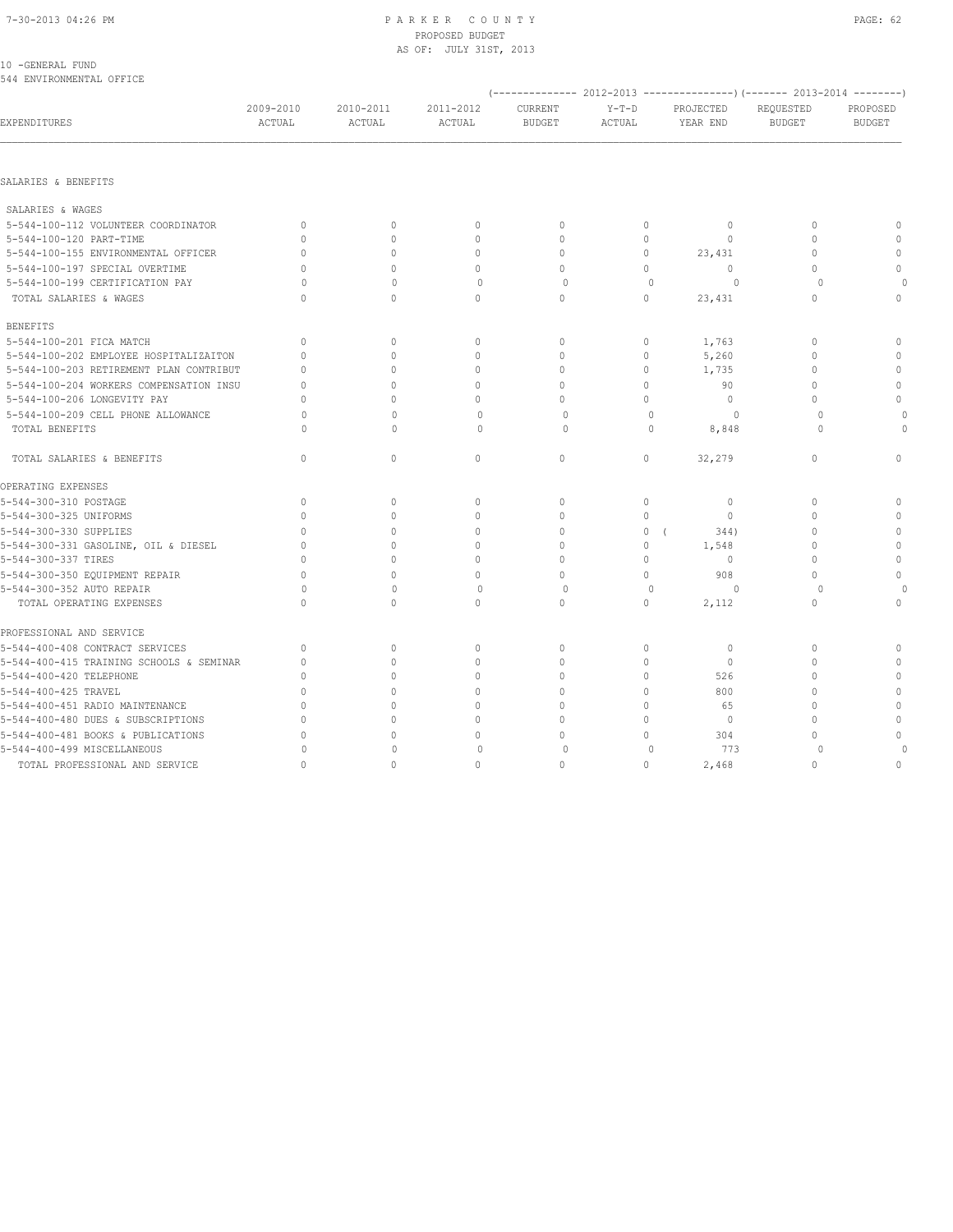#### 7-30-2013 04:26 PM PAGE: 62 PARKER COUNTY PAGE: 62 PROPOSED BUDGET AS OF: JULY 31ST, 2013

| 10 - GENERAL FUND        |  |
|--------------------------|--|
| 544 ENVIRONMENTAL OFFICE |  |

| 044 ENVIRONMENTAL OFFICE                 |                     |                     |                     |                          |                   |                       |                            |                                  |
|------------------------------------------|---------------------|---------------------|---------------------|--------------------------|-------------------|-----------------------|----------------------------|----------------------------------|
| EXPENDITURES                             | 2009-2010<br>ACTUAL | 2010-2011<br>ACTUAL | 2011-2012<br>ACTUAL | CURRENT<br><b>BUDGET</b> | $Y-T-D$<br>ACTUAL | PROJECTED<br>YEAR END | REQUESTED<br><b>BUDGET</b> | PROPOSED<br><b>BUDGET</b>        |
|                                          |                     |                     |                     |                          |                   |                       |                            |                                  |
| SALARIES & BENEFITS                      |                     |                     |                     |                          |                   |                       |                            |                                  |
| SALARIES & WAGES                         |                     |                     |                     |                          |                   |                       |                            |                                  |
| 5-544-100-112 VOLUNTEER COORDINATOR      | $\Omega$            | $\circ$             | $\mathbf{0}$        | $\mathbf{0}$             | $\circ$           | $\mathbf{0}$          | $\mathbf{0}$               | $\Omega$                         |
| 5-544-100-120 PART-TIME                  | $\Omega$            | $\circ$             | $\mathbf{0}$        | $\circ$                  | $\circ$           | $\mathbf{0}$          | $\mathbf{0}$               | $\mathbf{0}$                     |
| 5-544-100-155 ENVIRONMENTAL OFFICER      | $\cap$              | $\Omega$            | $\Omega$            | $\circ$                  | $\circ$           | 23,431                | $\Omega$                   | $\mathbf{0}$                     |
| 5-544-100-197 SPECIAL OVERTIME           |                     | $\Omega$            | $\Omega$            | $\Omega$                 | $\Omega$          | $\Omega$              | $\Omega$                   | $\mathbf{0}$                     |
| 5-544-100-199 CERTIFICATION PAY          | $\Omega$            | $\Omega$            | $\Omega$            | $\Omega$                 | $\Omega$          | $\Omega$              | $\Omega$                   | $\circ$                          |
| TOTAL SALARIES & WAGES                   | $\Omega$            | $\Omega$            | $\mathbf{0}$        | $\circ$                  | $\circ$           | 23,431                | $\Omega$                   | $\circ$                          |
| <b>BENEFITS</b>                          |                     |                     |                     |                          |                   |                       |                            |                                  |
| 5-544-100-201 FICA MATCH                 | $\Omega$            | $\circ$             | $\mathbf{0}$        | $\Omega$                 | 0                 | 1,763                 | $\Omega$                   | $\mathbf{0}$                     |
| 5-544-100-202 EMPLOYEE HOSPITALIZAITON   | $\Omega$            | $\Omega$            | $\Omega$            | $\Omega$                 | $\circ$           | 5,260                 | $\Omega$                   | $\circ$                          |
| 5-544-100-203 RETIREMENT PLAN CONTRIBUT  | $\Omega$            | $\Omega$            | $\Omega$            | $\Omega$                 | $\Omega$          | 1,735                 | $\Omega$                   | $\mathbf{0}$                     |
| 5-544-100-204 WORKERS COMPENSATION INSU  | $\Omega$            | $\Omega$            | $\Omega$            | $\circ$                  | $\Omega$          | 90                    | $\Omega$                   | $\circ$                          |
| 5-544-100-206 LONGEVITY PAY              | $\Omega$            | $\Omega$            | $\Omega$            | $\Omega$                 | $\Omega$          | $\Omega$              | $\cap$                     | $\mathbf{0}$                     |
| 5-544-100-209 CELL PHONE ALLOWANCE       | $\Omega$            | $\Omega$            | $\mathbf{0}$        | $\Omega$                 | $\mathbf{0}$      | $\circ$               | $\Omega$                   | $\Omega$                         |
| TOTAL BENEFITS                           | $\cap$              | $\Omega$            | $\cap$              | $\Omega$                 | $\Omega$          | 8,848                 | $\Omega$                   | $\Omega$                         |
| TOTAL SALARIES & BENEFITS                | $\Omega$            | $\circ$             | $\mathbf 0$         | $\Omega$                 | $\Omega$          | 32,279                | $\Omega$                   | $\Omega$                         |
| OPERATING EXPENSES                       |                     |                     |                     |                          |                   |                       |                            |                                  |
| 5-544-300-310 POSTAGE                    | $\mathbf{0}$        | $\mathbf{0}$        | 0                   | $\circ$                  | $\circ$           | $\mathbf{0}$          | $\mathbf{0}$               | $\mathbf{0}$                     |
| 5-544-300-325 UNIFORMS                   | $\Omega$            | $\Omega$            | $\Omega$            | $\Omega$                 | $\Omega$          | $\Omega$              | $\Omega$                   | $\mathbf{0}$                     |
| 5-544-300-330 SUPPLIES                   | $\cap$              | $\Omega$            | $\Omega$            | $\mathbf{0}$             | $\circ$           | 344)<br>$\sqrt{ }$    | $\Omega$                   | $\mathbb O$                      |
| 5-544-300-331 GASOLINE, OIL & DIESEL     | $\Omega$            | $\mathbf 0$         | $\Omega$            | $\circ$                  | $\Omega$          | 1,548                 | $\Omega$                   | $\mathbb O$                      |
| 5-544-300-337 TIRES                      | $\Omega$            | $\mathbf 0$         | $\mathbf 0$         | $\circ$                  | $\Omega$          | $\mathbf{0}$          | $\mathbf{0}$               | $\mathbb O$                      |
| 5-544-300-350 EQUIPMENT REPAIR           | $\cap$              | $\Omega$            | $\Omega$            | $\Omega$                 | $\Omega$          | 908                   | $\Omega$                   | $\mathbf{0}$                     |
| 5-544-300-352 AUTO REPAIR                | $\Omega$            | 0                   | $\mathbf{0}$        | 0                        | $\mathbf{0}$      | $\circ$               | $\circ$                    | $\circ$                          |
| TOTAL OPERATING EXPENSES                 | $\cap$              | $\cap$              | $\cap$              | $\Omega$                 | $\Omega$          | 2,112                 | $\bigcap$                  | $\begin{array}{c} \n\end{array}$ |
| PROFESSIONAL AND SERVICE                 |                     |                     |                     |                          |                   |                       |                            |                                  |
| 5-544-400-408 CONTRACT SERVICES          | $\Omega$            | $\circ$             | $\mathbf{0}$        | $\circ$                  | $\circ$           | $\mathbf{0}$          | $\mathbf{0}$               | $\mathbf{0}$                     |
| 5-544-400-415 TRAINING SCHOOLS & SEMINAR | $\mathbf{0}$        | $\Omega$            | $\Omega$            | $\circ$                  | $\circ$           | $\mathbf{0}$          | $\mathbf{0}$               | $\circ$                          |
| 5-544-400-420 TELEPHONE                  | $\Omega$            | $\Omega$            | $\Omega$            | $\circ$                  | $\Omega$          | 526                   | $\bigcap$                  | $\mathbf 0$                      |
| 5-544-400-425 TRAVEL                     | $\Omega$            | $\Omega$            | $\Omega$            | $\Omega$                 | $\Omega$          | 800                   | $\Omega$                   | $\mathbb O$                      |
| 5-544-400-451 RADIO MAINTENANCE          | $\Omega$            | $\Omega$            | $\Omega$            | $\Omega$                 | $\Omega$          | 65                    | $\Omega$                   | $\mathbf{0}$                     |
| 5-544-400-480 DUES & SUBSCRIPTIONS       | $\Omega$            | $\Omega$            | $\mathbf{0}$        | $\Omega$                 | $\Omega$          | $\mathbf{0}$          | $\Omega$                   | $\mathbf{0}$                     |
| 5-544-400-481 BOOKS & PUBLICATIONS       | $\Omega$            | $\Omega$            | $\Omega$            | $\circ$                  | $\circ$           | 304                   | $\Omega$                   | $\circ$                          |
| 5-544-400-499 MISCELLANEOUS              | $\Omega$            | $\cap$              | $\mathbf{0}$        | $\cap$                   | $\mathbf{0}$      | 773                   | $\circ$                    | $\circ$                          |
| TOTAL PROFESSIONAL AND SERVICE           | $\Omega$            | $\Omega$            | $\Omega$            | $\Omega$                 | $\Omega$          | 2,468                 | 0                          | $\mathbf{0}$                     |
|                                          |                     |                     |                     |                          |                   |                       |                            |                                  |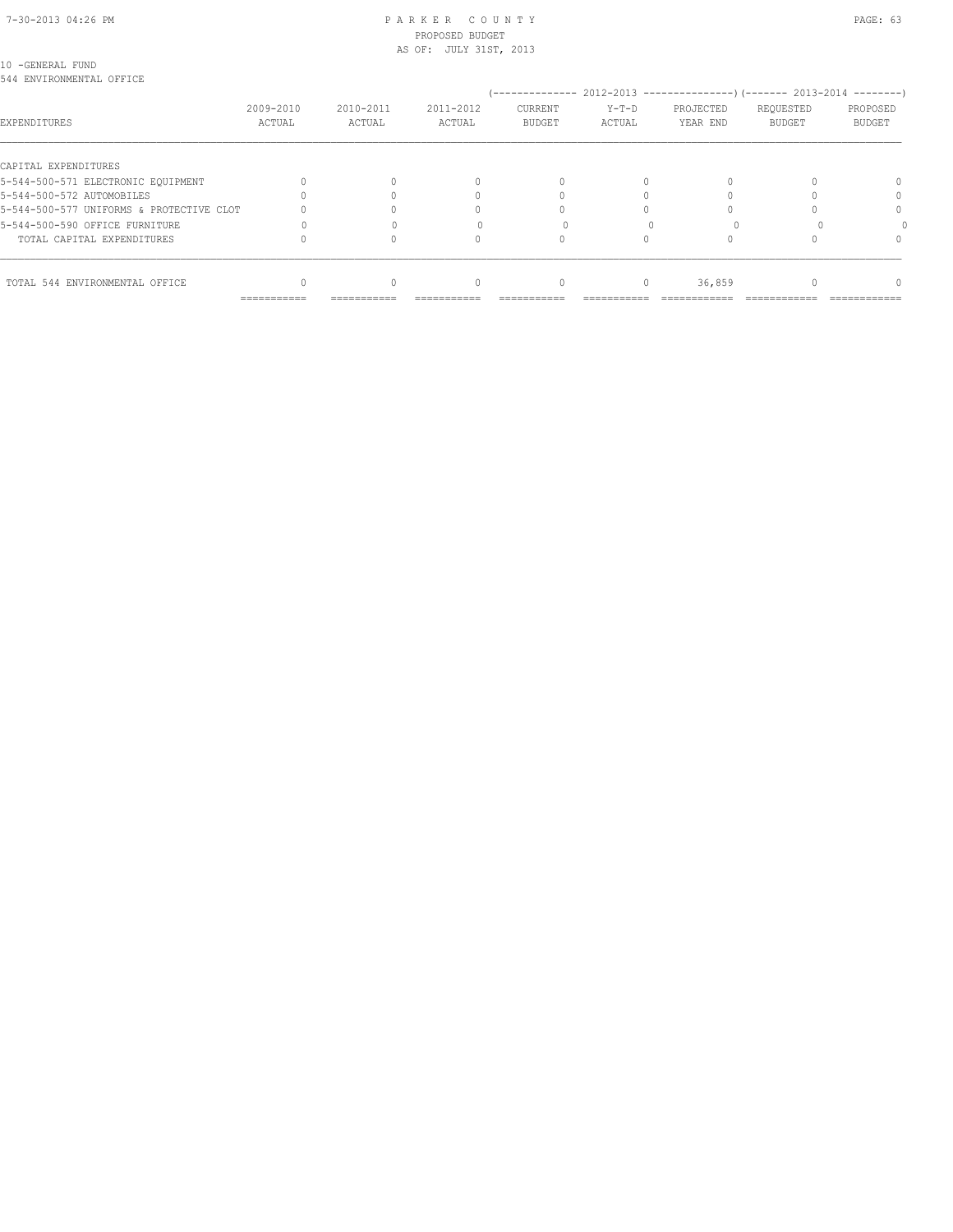#### 7-30-2013 04:26 PM P A R K E R C O U N T Y PAGE: 63 PROPOSED BUDGET AS OF: JULY 31ST, 2013

10 -GENERAL FUND

| 544 ENVIRONMENTAL OFFICE                 |             |             |           |                |           |           |                                                                              |               |
|------------------------------------------|-------------|-------------|-----------|----------------|-----------|-----------|------------------------------------------------------------------------------|---------------|
|                                          |             |             |           |                |           |           | -------------- 2012-2013 --------------------- (------- 2013-2014 ---------) |               |
|                                          | 2009-2010   | 2010-2011   | 2011-2012 | <b>CURRENT</b> | $Y-T-D$   | PROJECTED | REQUESTED                                                                    | PROPOSED      |
| EXPENDITURES                             | ACTUAL      | ACTUAL      | ACTUAL    | <b>BUDGET</b>  | ACTUAL    | YEAR END  | <b>BUDGET</b>                                                                | <b>BUDGET</b> |
| CAPITAL EXPENDITURES                     |             |             |           |                |           |           |                                                                              |               |
| 5-544-500-571 ELECTRONIC EOUIPMENT       |             |             |           |                |           |           |                                                                              |               |
| 5-544-500-572 AUTOMOBILES                |             |             |           |                |           |           |                                                                              |               |
| 5-544-500-577 UNIFORMS & PROTECTIVE CLOT |             |             |           |                |           |           |                                                                              |               |
| 5-544-500-590 OFFICE FURNITURE           |             |             |           |                |           |           |                                                                              |               |
| TOTAL CAPITAL EXPENDITURES               |             |             |           |                |           |           |                                                                              |               |
| TOTAL 544 ENVIRONMENTAL OFFICE           |             |             | n         | $\Omega$       | $\bigcap$ | 36,859    |                                                                              |               |
|                                          | =========== | =========== |           |                |           |           |                                                                              |               |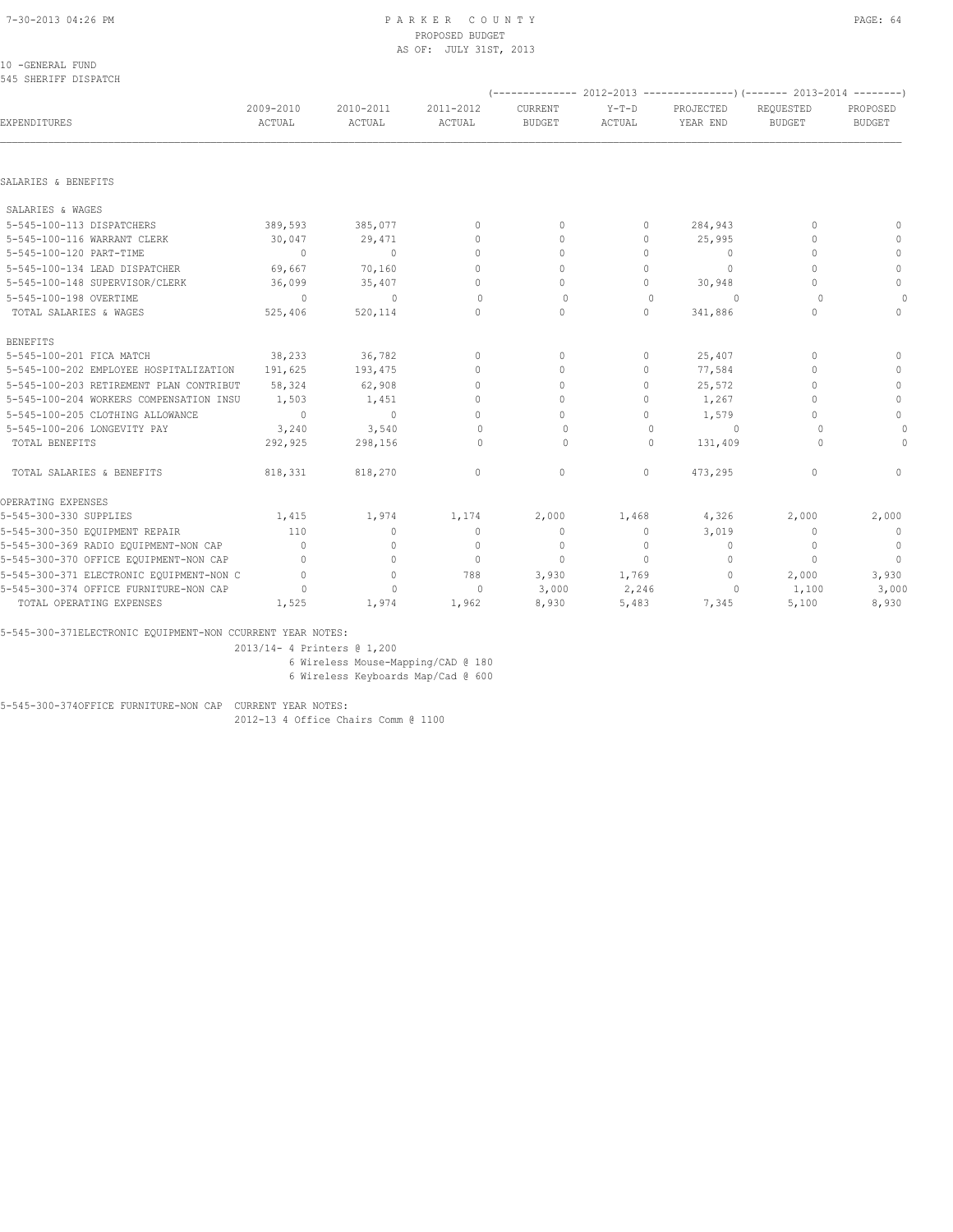#### 10 -GENERAL FUND 545 SHERIFF DISPATCH

|                                          |                     |                     |                                  |                          |                   |                                  | $(-$ ------------- 2012-2013 ----------------) $(-$ ------ 2013-2014 --------) |                           |
|------------------------------------------|---------------------|---------------------|----------------------------------|--------------------------|-------------------|----------------------------------|--------------------------------------------------------------------------------|---------------------------|
| EXPENDITURES                             | 2009-2010<br>ACTUAL | 2010-2011<br>ACTUAL | 2011-2012<br>ACTUAL              | CURRENT<br><b>BUDGET</b> | $Y-T-D$<br>ACTUAL | PROJECTED<br>YEAR END            | REOUESTED<br><b>BUDGET</b>                                                     | PROPOSED<br><b>BUDGET</b> |
|                                          |                     |                     |                                  |                          |                   |                                  |                                                                                |                           |
| SALARIES & BENEFITS                      |                     |                     |                                  |                          |                   |                                  |                                                                                |                           |
| SALARIES & WAGES                         |                     |                     |                                  |                          |                   |                                  |                                                                                |                           |
| 5-545-100-113 DISPATCHERS                | 389,593             | 385,077             | $\mathbf{0}$                     | $\mathbf{0}$             | 0                 | 284,943                          | $\mathbf{0}$                                                                   | $\mathbf{0}$              |
| 5-545-100-116 WARRANT CLERK              | 30,047              | 29,471              | $\mathbf{0}$                     | $\mathbf{0}$             | 0                 | 25,995                           | $\mathbf{0}$                                                                   | $\mathbf{0}$              |
| 5-545-100-120 PART-TIME                  | $\sim$ 0            | $\Omega$            | $\mathbf{0}$                     | $\mathbf{0}$             | 0                 | $\circ$                          | $\mathbf{0}$                                                                   | $\mathbf{0}$              |
| 5-545-100-134 LEAD DISPATCHER            | 69,667              | 70,160              | $\Omega$                         | $\mathbf{0}$             | 0                 | $\Omega$                         | $\bigcap$                                                                      | $\circ$                   |
| 5-545-100-148 SUPERVISOR/CLERK           | 36,099              | 35,407              | $\Omega$                         | $\circ$                  | $\Omega$          | 30,948                           | $\cap$                                                                         | $\mathbf{0}$              |
| 5-545-100-198 OVERTIME                   | $\Omega$            | $\Omega$            | $\Omega$                         | $\Omega$                 | $\Omega$          | $\Omega$                         | $\cap$                                                                         | $\circ$                   |
| TOTAL SALARIES & WAGES                   | 525,406             | 520,114             | $\Omega$                         | $\Omega$                 | $\Omega$          | 341,886                          | $\bigcap$                                                                      | $\Omega$                  |
| <b>BENEFITS</b>                          |                     |                     |                                  |                          |                   |                                  |                                                                                |                           |
| 5-545-100-201 FICA MATCH                 | 38,233              | 36,782              | $\mathbf{0}$                     | $\mathbf{0}$             | 0                 | 25,407                           | $\bigcap$                                                                      | $\circ$                   |
| 5-545-100-202 EMPLOYEE HOSPITALIZATION   | 191,625             | 193,475             | $\begin{array}{c} \n\end{array}$ | $\Omega$                 | $\Omega$          | 77,584                           | $\bigcap$                                                                      | $\circ$                   |
| 5-545-100-203 RETIREMENT PLAN CONTRIBUT  | 58,324              | 62,908              | $\circ$                          | $\circ$                  | 0                 | 25,572                           | $\Omega$                                                                       | $\circ$                   |
| 5-545-100-204 WORKERS COMPENSATION INSU  | 1,503               | 1,451               | $\mathbf{0}$                     | $\circ$                  | $\Omega$          | 1,267                            | $\bigcap$                                                                      | $\mathbf{0}$              |
| 5-545-100-205 CLOTHING ALLOWANCE         | $\sim$ 0            | $\sim$ 0            | $\Omega$                         | $\circ$                  | $\Omega$          | 1,579                            | $\cap$                                                                         | $\circ$                   |
| 5-545-100-206 LONGEVITY PAY              | 3,240               | 3,540               | 0                                | $\Omega$                 | $\mathbf{0}$      | $\Omega$                         | $\bigcap$                                                                      | $\circ$                   |
| TOTAL BENEFITS                           | 292,925             | 298,156             | 0                                | $\circ$                  | $\Omega$          | 131,409                          | 0                                                                              | $\circ$                   |
| TOTAL SALARIES & BENEFITS                | 818,331             | 818,270             | $\mathbf{0}$                     | $\mathbf{0}$             | $\circ$           | 473,295                          | $\begin{array}{c} \n\end{array}$                                               | $\Omega$                  |
| OPERATING EXPENSES                       |                     |                     |                                  |                          |                   |                                  |                                                                                |                           |
| 5-545-300-330 SUPPLIES                   | 1,415               | 1,974               | 1,174                            | 2,000                    | 1,468             | 4,326                            | 2,000                                                                          | 2,000                     |
| 5-545-300-350 EQUIPMENT REPAIR           | 110                 | $\mathbf{0}$        | $\mathbf{0}$                     | $\mathbf{0}$             | $\circ$           | 3,019                            | $\Omega$                                                                       | $\overline{0}$            |
| 5-545-300-369 RADIO EQUIPMENT-NON CAP    | $\Omega$            | $\circ$             | $\mathbf{0}$                     | $\mathbf{0}$             | $\Omega$          | $\Omega$                         | $\Omega$                                                                       | $\circ$                   |
| 5-545-300-370 OFFICE EQUIPMENT-NON CAP   | $\Omega$            | $\circ$             | $\mathbf{0}$                     | $\Omega$                 | $\Omega$          | $\begin{array}{c} \n\end{array}$ | $\Omega$                                                                       | $\overline{0}$            |
| 5-545-300-371 ELECTRONIC EQUIPMENT-NON C | $\Omega$            | $\circ$             | 788                              | 3,930                    | 1,769             | 0                                | 2,000                                                                          | 3,930                     |
| 5-545-300-374 OFFICE FURNITURE-NON CAP   | $\Omega$            | $\mathbf{0}$        | $\mathbf{0}$                     | 3,000                    | 2,246             | 0                                | 1,100                                                                          | 3,000                     |
| TOTAL OPERATING EXPENSES                 | 1,525               | 1,974               | 1,962                            | 8,930                    | 5,483             | 7,345                            | 5,100                                                                          | 8,930                     |

5-545-300-371ELECTRONIC EQUIPMENT-NON CCURRENT YEAR NOTES:

2013/14- 4 Printers @ 1,200

6 Wireless Mouse-Mapping/CAD @ 180

6 Wireless Keyboards Map/Cad @ 600

5-545-300-374OFFICE FURNITURE-NON CAP CURRENT YEAR NOTES: 2012-13 4 Office Chairs Comm @ 1100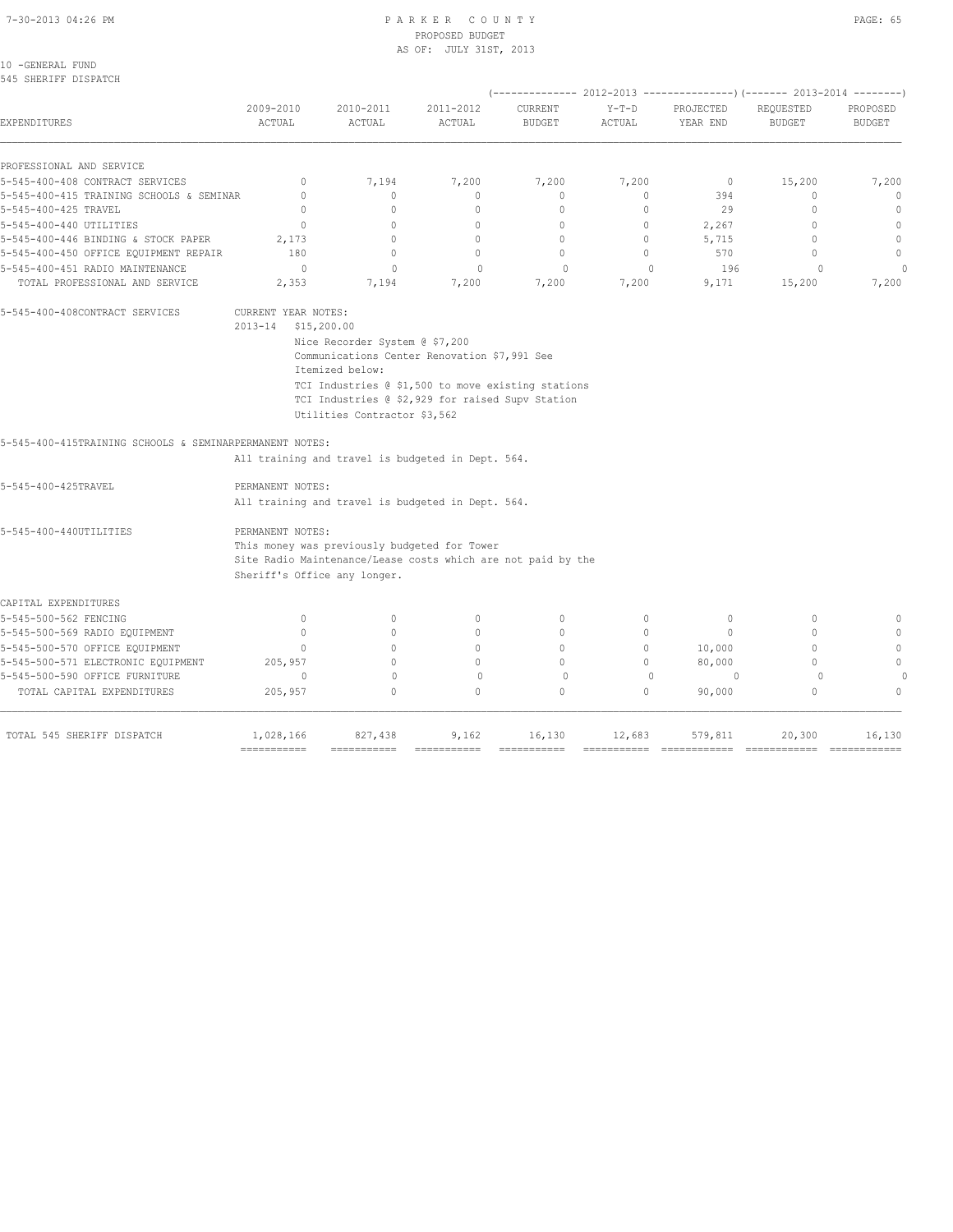### 7-30-2013 04:26 PM P A R K E R C O U N T Y PAGE: 65 PROPOSED BUDGET AS OF: JULY 31ST, 2013

10 -GENERAL FUND 545 SHERIFF DISPATCH

|                                                         |                           |                                                              |                           |                          |                   |                       | (-------------- 2012-2013 ----------------) (------- 2013-2014 --------) |                             |
|---------------------------------------------------------|---------------------------|--------------------------------------------------------------|---------------------------|--------------------------|-------------------|-----------------------|--------------------------------------------------------------------------|-----------------------------|
| EXPENDITURES                                            | 2009-2010<br>ACTUAL       | 2010-2011<br>ACTUAL                                          | 2011-2012<br>ACTUAL       | CURRENT<br><b>BUDGET</b> | $Y-T-D$<br>ACTUAL | PROJECTED<br>YEAR END | REQUESTED<br><b>BUDGET</b>                                               | PROPOSED<br><b>BUDGET</b>   |
| PROFESSIONAL AND SERVICE                                |                           |                                                              |                           |                          |                   |                       |                                                                          |                             |
| 5-545-400-408 CONTRACT SERVICES                         | $\mathbf{0}$              | 7,194                                                        | 7,200                     | 7,200                    | 7,200             | $\mathbf 0$           | 15,200                                                                   | 7,200                       |
| 5-545-400-415 TRAINING SCHOOLS & SEMINAR                | $\circ$                   | $\circ$                                                      | $\mathbf{0}$              | $\mathbf{0}$             | $\circ$           | 394                   | $\mathbf{0}$                                                             | $\mathbf{0}$                |
| 5-545-400-425 TRAVEL                                    | $\Omega$                  | $\circ$                                                      | $\circ$                   | $\mathbf{0}$             | $\circ$           | 29                    | $\Omega$                                                                 | $\circ$                     |
| 5-545-400-440 UTILITIES                                 | $\Omega$                  | $\Omega$                                                     | $\circ$                   | $\mathbf{0}$             | $\circ$           | 2,267                 | $\Omega$                                                                 | $\mathbf{0}$                |
| 5-545-400-446 BINDING & STOCK PAPER                     | 2,173                     | $\circ$                                                      | $\mathbf{0}$              | $\mathbf{0}$             | $\circ$           | 5,715                 | $\mathbf{0}$                                                             | $\mathbf{0}$                |
| 5-545-400-450 OFFICE EQUIPMENT REPAIR                   | 180                       | $\Omega$                                                     | $\Omega$                  | $\mathbf{0}$             | $\bigcap$         | 570                   | $\Omega$                                                                 | $\mathbb O$                 |
| 5-545-400-451 RADIO MAINTENANCE                         | 0                         | $\mathbf{0}$                                                 | $\mathbf 0$               | $\Omega$                 | $\mathbf{0}$      | 196                   | $\Omega$                                                                 |                             |
| TOTAL PROFESSIONAL AND SERVICE                          | 2,353                     | 7,194                                                        | 7,200                     | 7,200                    | 7,200             | 9,171                 | 15,200                                                                   | 7,200                       |
| 5-545-400-408CONTRACT SERVICES                          | CURRENT YEAR NOTES:       |                                                              |                           |                          |                   |                       |                                                                          |                             |
|                                                         | $2013 - 14$               | \$15,200.00                                                  |                           |                          |                   |                       |                                                                          |                             |
|                                                         |                           | Nice Recorder System @ \$7,200                               |                           |                          |                   |                       |                                                                          |                             |
|                                                         |                           | Communications Center Renovation \$7,991 See                 |                           |                          |                   |                       |                                                                          |                             |
|                                                         |                           | Itemized below:                                              |                           |                          |                   |                       |                                                                          |                             |
|                                                         |                           | TCI Industries @ \$1,500 to move existing stations           |                           |                          |                   |                       |                                                                          |                             |
|                                                         |                           | TCI Industries @ \$2,929 for raised Supv Station             |                           |                          |                   |                       |                                                                          |                             |
|                                                         |                           | Utilities Contractor \$3,562                                 |                           |                          |                   |                       |                                                                          |                             |
| 5-545-400-415TRAINING SCHOOLS & SEMINARPERMANENT NOTES: |                           |                                                              |                           |                          |                   |                       |                                                                          |                             |
|                                                         |                           | All training and travel is budgeted in Dept. 564.            |                           |                          |                   |                       |                                                                          |                             |
| 5-545-400-425TRAVEL                                     | PERMANENT NOTES:          |                                                              |                           |                          |                   |                       |                                                                          |                             |
|                                                         |                           | All training and travel is budgeted in Dept. 564.            |                           |                          |                   |                       |                                                                          |                             |
| 5-545-400-440UTILITIES                                  | PERMANENT NOTES:          |                                                              |                           |                          |                   |                       |                                                                          |                             |
|                                                         |                           | This money was previously budgeted for Tower                 |                           |                          |                   |                       |                                                                          |                             |
|                                                         |                           | Site Radio Maintenance/Lease costs which are not paid by the |                           |                          |                   |                       |                                                                          |                             |
|                                                         |                           | Sheriff's Office any longer.                                 |                           |                          |                   |                       |                                                                          |                             |
| CAPITAL EXPENDITURES                                    |                           |                                                              |                           |                          |                   |                       |                                                                          |                             |
| 5-545-500-562 FENCING                                   | $\mathbf{0}$              | $\mathbf{0}$                                                 | $\mathbf{0}$              | $\mathbf{0}$             | 0                 | $\mathbf{0}$          | $\mathbf{0}$                                                             | $\mathbf{0}$                |
| 5-545-500-569 RADIO EQUIPMENT                           | $\circ$                   | $\circ$                                                      | $\mathbf{0}$              | $\mathbf{0}$             | $\circ$           | $\circ$               | $\circ$                                                                  | $\Omega$                    |
| 5-545-500-570 OFFICE EQUIPMENT                          | $\circ$                   | $\Omega$                                                     | $\circ$                   | $\mathbf{0}$             | $\circ$           | 10,000                | $\mathbf{0}$                                                             | $\mathbf{0}$                |
| 5-545-500-571 ELECTRONIC EQUIPMENT                      | 205,957                   | $\Omega$                                                     | $\Omega$                  | $\Omega$                 | $\circ$           | 80,000                | $\Omega$                                                                 | $\mathbf{0}$                |
| 5-545-500-590 OFFICE FURNITURE                          | $\Omega$                  | $\circ$                                                      | $\circ$                   | $\Omega$                 | $\mathbf{0}$      | $\Omega$              | $\circ$                                                                  |                             |
| TOTAL CAPITAL EXPENDITURES                              | 205,957                   | $\Omega$                                                     | $\circ$                   | $\circ$                  | $\circ$           | 90,000                | $\mathbf{0}$                                                             | $\Omega$                    |
| TOTAL 545 SHERIFF DISPATCH                              | 1,028,166                 | 827,438                                                      | 9,162                     | 16,130                   | 12,683            | 579,811               | 20,300                                                                   | 16,130                      |
|                                                         | $=$ = = = = = = = = = = = | ===========                                                  | $=$ = = = = = = = = = = = |                          |                   |                       | =============                                                            | $=$ = = = = = = = = = = = = |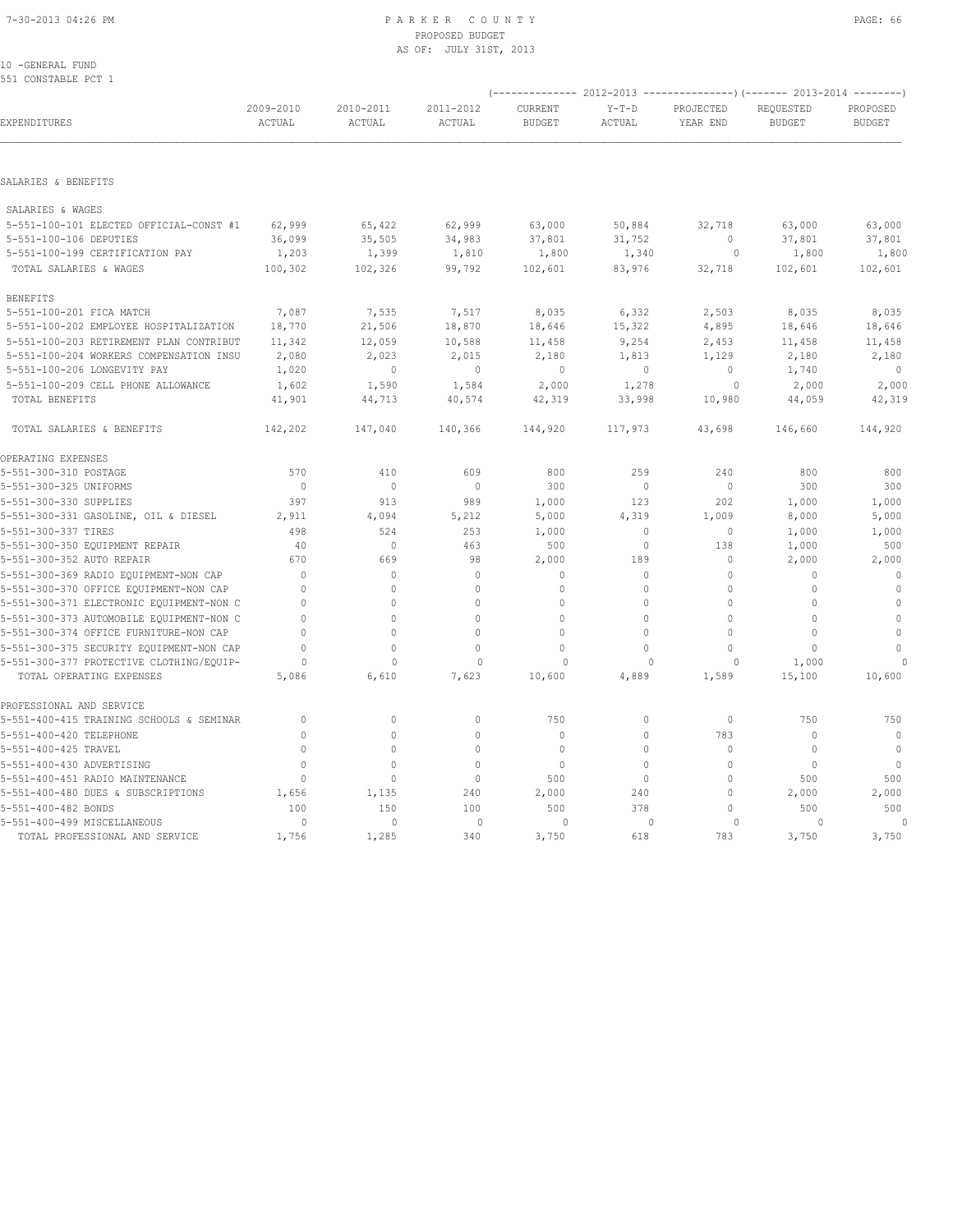10 -GENERAL FUND

| 551 CONSTABLE PCT 1                                                  |                     |                     |                     |                          |                   |                       |                                                                                                       |                    |
|----------------------------------------------------------------------|---------------------|---------------------|---------------------|--------------------------|-------------------|-----------------------|-------------------------------------------------------------------------------------------------------|--------------------|
| EXPENDITURES                                                         | 2009-2010<br>ACTUAL | 2010-2011<br>ACTUAL | 2011-2012<br>ACTUAL | CURRENT<br><b>BUDGET</b> | $Y-T-D$<br>ACTUAL | PROJECTED<br>YEAR END | (-------------- 2012-2013 ----------------)(------- 2013-2014 --------)<br>REQUESTED<br><b>BUDGET</b> | PROPOSED<br>BUDGET |
|                                                                      |                     |                     |                     |                          |                   |                       |                                                                                                       |                    |
| SALARIES & BENEFITS                                                  |                     |                     |                     |                          |                   |                       |                                                                                                       |                    |
| SALARIES & WAGES                                                     |                     |                     |                     |                          |                   |                       |                                                                                                       |                    |
| 5-551-100-101 ELECTED OFFICIAL-CONST #1                              | 62,999              | 65,422              | 62,999              | 63,000                   | 50,884            | 32,718                | 63,000                                                                                                | 63,000             |
| 5-551-100-106 DEPUTIES                                               | 36,099              | 35,505              | 34,983              | 37,801                   | 31,752            | 0                     | 37,801                                                                                                | 37,801             |
| 5-551-100-199 CERTIFICATION PAY                                      | 1,203               | 1,399               | 1,810               | 1,800                    | 1,340             | $\circ$               | 1,800                                                                                                 | 1,800              |
| TOTAL SALARIES & WAGES                                               | 100,302             | 102,326             | 99,792              | 102,601                  | 83,976            | 32,718                | 102,601                                                                                               | 102,601            |
| <b>BENEFITS</b>                                                      |                     |                     |                     |                          |                   |                       |                                                                                                       |                    |
| 5-551-100-201 FICA MATCH                                             | 7,087               | 7,535               | 7,517               | 8,035                    | 6,332             | 2,503                 | 8,035                                                                                                 | 8,035              |
| 5-551-100-202 EMPLOYEE HOSPITALIZATION                               | 18,770              | 21,506              | 18,870              | 18,646                   | 15,322            | 4,895                 | 18,646                                                                                                | 18,646             |
| 5-551-100-203 RETIREMENT PLAN CONTRIBUT                              | 11,342              | 12,059              | 10,588              | 11,458                   | 9,254             | 2,453                 | 11,458                                                                                                | 11,458             |
| 5-551-100-204 WORKERS COMPENSATION INSU                              | 2,080               | 2,023               | 2,015               | 2,180                    | 1,813             | 1,129                 | 2,180                                                                                                 | 2,180              |
| 5-551-100-206 LONGEVITY PAY                                          | 1,020               | $\circ$             | $\mathbb O$         | $\circ$                  | $\circ$           | $\circ$               | 1,740                                                                                                 | $\mathbb O$        |
| 5-551-100-209 CELL PHONE ALLOWANCE                                   | 1,602               | 1,590               | 1,584               | 2,000                    | 1,278             | $\circ$               | 2,000                                                                                                 | 2,000              |
| TOTAL BENEFITS                                                       | 41,901              | 44,713              | 40,574              | 42,319                   | 33,998            | 10,980                | 44,059                                                                                                | 42,319             |
| TOTAL SALARIES & BENEFITS                                            | 142,202             | 147,040             | 140,366             | 144,920                  | 117,973           | 43,698                | 146,660                                                                                               | 144,920            |
| OPERATING EXPENSES                                                   |                     |                     |                     |                          |                   |                       |                                                                                                       |                    |
| 5-551-300-310 POSTAGE                                                | 570                 | 410                 | 609                 | 800                      | 259               | 240                   | 800                                                                                                   | 800                |
| 5-551-300-325 UNIFORMS                                               | $\mathbf{0}$        | $\circ$             | $\mathbf{0}$        | 300                      | $\circ$           | $\circ$               | 300                                                                                                   | 300                |
| 5-551-300-330 SUPPLIES                                               | 397                 | 913                 | 989                 | 1,000                    | 123               | 202                   | 1,000                                                                                                 | 1,000              |
| 5-551-300-331 GASOLINE, OIL & DIESEL                                 | 2,911               | 4,094               | 5,212               | 5,000                    | 4,319             | 1,009                 | 8,000                                                                                                 | 5,000              |
| 5-551-300-337 TIRES                                                  | 498                 | 524                 | 253                 | 1,000                    | $\circ$           | $\mathbf 0$           | 1,000                                                                                                 | 1,000              |
| 5-551-300-350 EQUIPMENT REPAIR                                       | 40                  | 0                   | 463                 | 500                      | $\circ$           | 138                   | 1,000                                                                                                 | 500                |
| 5-551-300-352 AUTO REPAIR                                            | 670                 | 669                 | 98                  | 2,000                    | 189               | 0                     | 2,000                                                                                                 | 2,000              |
| 5-551-300-369 RADIO EQUIPMENT-NON CAP                                | $\Omega$            | $\mathbb O$         | $\mathbf 0$         | $\circ$                  | $\mathbb O$       | $\Omega$              | $\mathbf 0$                                                                                           | $\circ$            |
| 5-551-300-370 OFFICE EQUIPMENT-NON CAP                               | $\Omega$            | $\Omega$            | $\Omega$            | $\Omega$                 | $\circ$           | $\Omega$              | $\Omega$                                                                                              | $\mathbb O$        |
| 5-551-300-371 ELECTRONIC EQUIPMENT-NON C                             | $\mathbf{0}$        | $\circ$             | $\Omega$            | $\Omega$                 | $\Omega$          | $\mathbf 0$           | $\mathbf{0}$                                                                                          | $\circ$            |
| 5-551-300-373 AUTOMOBILE EQUIPMENT-NON C                             | $\Omega$            | $\Omega$            | $\Omega$            | $\Omega$                 | $\Omega$          | $\Omega$              | $\Omega$                                                                                              | $\circ$            |
| 5-551-300-374 OFFICE FURNITURE-NON CAP                               | $\mathbf 0$         | $\mathbb O$         | $\Omega$            | 0                        | $\circ$           | $\mathbf{0}$          | $\Omega$                                                                                              | $\mathbb O$        |
| 5-551-300-375 SECURITY EQUIPMENT-NON CAP                             | $\Omega$            | $\Omega$            | $\Omega$            | 0                        | $\mathbf 0$       | $\mathbf 0$           | $\mathbf{0}$                                                                                          | $\mathbf{0}$       |
| 5-551-300-377 PROTECTIVE CLOTHING/EQUIP-<br>TOTAL OPERATING EXPENSES | $\Omega$<br>5,086   | $\Omega$<br>6,610   | $\Omega$<br>7,623   | $\Omega$<br>10,600       | $\Omega$<br>4,889 | $\Omega$<br>1,589     | 1,000<br>15,100                                                                                       | 10,600             |
| PROFESSIONAL AND SERVICE                                             |                     |                     |                     |                          |                   |                       |                                                                                                       |                    |
| 5-551-400-415 TRAINING SCHOOLS & SEMINAR                             | 0                   | $\mathbb O$         | $\mathbb O$         | 750                      | $\circ$           | 0                     | 750                                                                                                   | 750                |
| 5-551-400-420 TELEPHONE                                              | $\circ$             | $\mathbf{0}$        | $\Omega$            | $\mathbf{0}$             | $\circ$           | 783                   | $\mathbf{0}$                                                                                          | $\mathbf{0}$       |
| 5-551-400-425 TRAVEL                                                 | $\mathbf{0}$        | $\circ$             | $\Omega$            | $\mathbf{0}$             | $\circ$           | $\mathbf 0$           | $\mathbf{0}$                                                                                          | $\mathbf{0}$       |
| 5-551-400-430 ADVERTISING                                            | $\mathbf{0}$        | $\circ$             | $\mathbf{0}$        | $\mathbf{0}$             | $\circ$           | $\Omega$              | $\mathbf{0}$                                                                                          | $\mathbf{0}$       |
| 5-551-400-451 RADIO MAINTENANCE                                      | $\mathbf{0}$        | $\mathbb O$         | $\mathbf{0}$        | 500                      | $\circ$           | $\mathbf 0$           | 500                                                                                                   | 500                |
| 5-551-400-480 DUES & SUBSCRIPTIONS                                   | 1,656               | 1,135               | 240                 | 2,000                    | 240               | $\mathbf 0$           | 2,000                                                                                                 | 2,000              |
| 5-551-400-482 BONDS                                                  | 100                 | 150                 | 100                 | 500                      | 378               | $\mathbf 0$           | 500                                                                                                   | 500                |
| 5-551-400-499 MISCELLANEOUS                                          | 0                   | $\mathbf{0}$        | $\circ$             | $\circ$                  | $\Omega$          | $\Omega$              | $\circ$                                                                                               | $\Omega$           |
| TOTAL PROFESSIONAL AND SERVICE                                       | 1,756               | 1,285               | 340                 | 3,750                    | 618               | 783                   | 3,750                                                                                                 | 3,750              |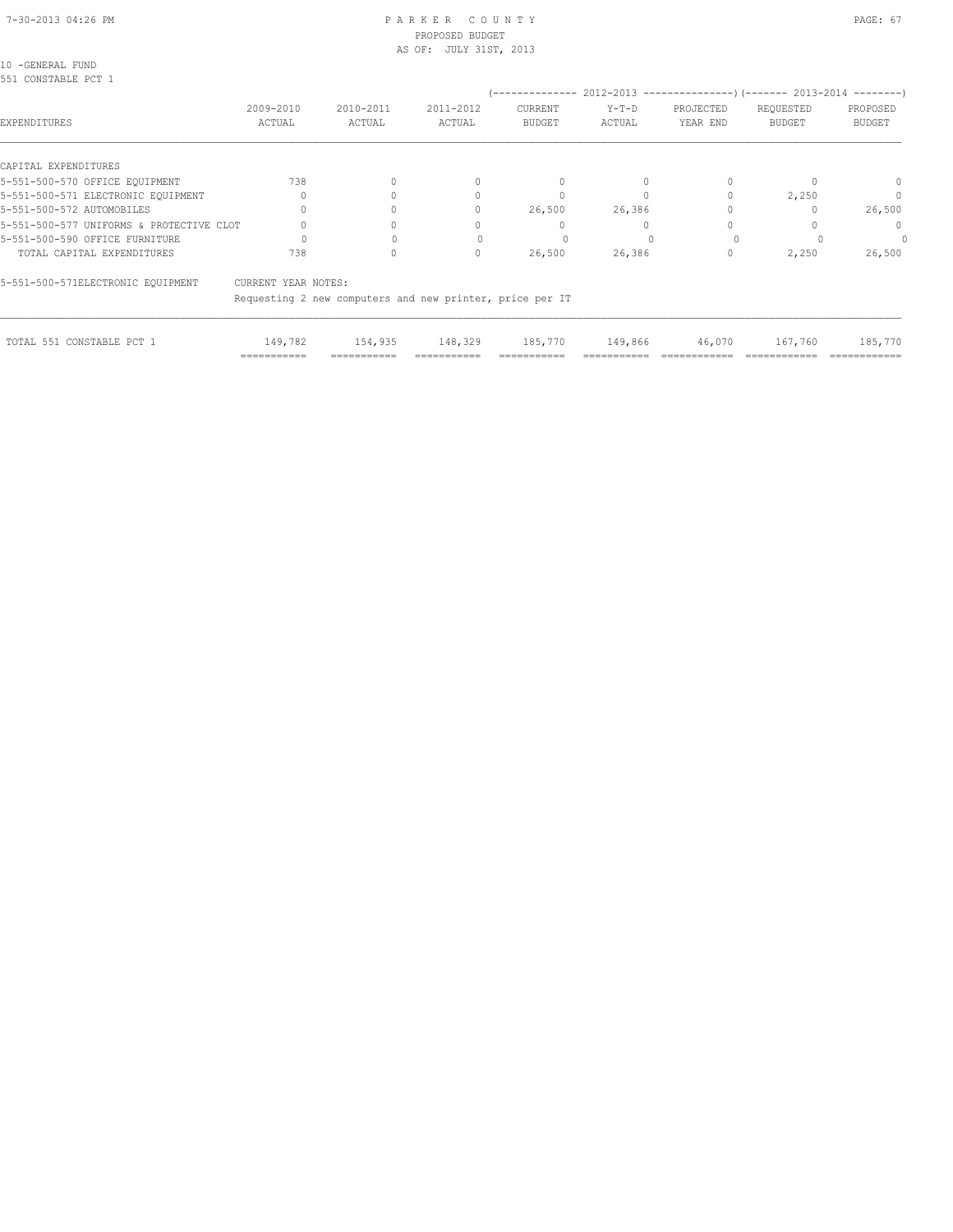#### 7-30-2013 04:26 PM PAGE: 67 PAR K E R C O U N T Y PROPOSED BUDGET AS OF: JULY 31ST, 2013

10 -GENERAL FUND

| 551 CONSTABLE PCT 1                      |                     |                     |                                                          | --------------           |                   |                       |                                                                                   |                           |
|------------------------------------------|---------------------|---------------------|----------------------------------------------------------|--------------------------|-------------------|-----------------------|-----------------------------------------------------------------------------------|---------------------------|
| EXPENDITURES                             | 2009-2010<br>ACTUAL | 2010-2011<br>ACTUAL | 2011-2012<br>ACTUAL                                      | CURRENT<br><b>BUDGET</b> | $Y-T-D$<br>ACTUAL | PROJECTED<br>YEAR END | $2012-2013$ ----------------) (------- 2013-2014 --------)<br>REQUESTED<br>BUDGET | PROPOSED<br><b>BUDGET</b> |
| CAPITAL EXPENDITURES                     |                     |                     |                                                          |                          |                   |                       |                                                                                   |                           |
| 5-551-500-570 OFFICE EQUIPMENT           | 738                 |                     |                                                          | 0                        |                   |                       |                                                                                   | 0                         |
| 5-551-500-571 ELECTRONIC EOUIPMENT       |                     |                     |                                                          |                          |                   |                       | 2,250                                                                             |                           |
| 5-551-500-572 AUTOMOBILES                |                     |                     | $\Omega$                                                 | 26,500                   | 26,386            |                       |                                                                                   | 26,500                    |
| 5-551-500-577 UNIFORMS & PROTECTIVE CLOT |                     |                     |                                                          |                          |                   |                       |                                                                                   | $\Omega$                  |
| 5-551-500-590 OFFICE FURNITURE           |                     |                     |                                                          |                          |                   |                       |                                                                                   |                           |
| TOTAL CAPITAL EXPENDITURES               | 738                 |                     | $\Omega$                                                 | 26,500                   | 26,386            |                       | 2,250                                                                             | 26,500                    |
| 5-551-500-571ELECTRONIC EQUIPMENT        | CURRENT YEAR NOTES: |                     |                                                          |                          |                   |                       |                                                                                   |                           |
|                                          |                     |                     | Requesting 2 new computers and new printer, price per IT |                          |                   |                       |                                                                                   |                           |
|                                          |                     |                     |                                                          |                          |                   |                       |                                                                                   |                           |

| TOTAL 551 CONSTABLE PCT 1 |                              | 149,782 154,935 148,329 185,770 149,866 46,070 167,760 185,770 |              |              |              |               |               |               |
|---------------------------|------------------------------|----------------------------------------------------------------|--------------|--------------|--------------|---------------|---------------|---------------|
|                           | -------------<br>----------- | ------------                                                   | ------------ | ------------ | ------------ | ------------- | ------------- | ------------- |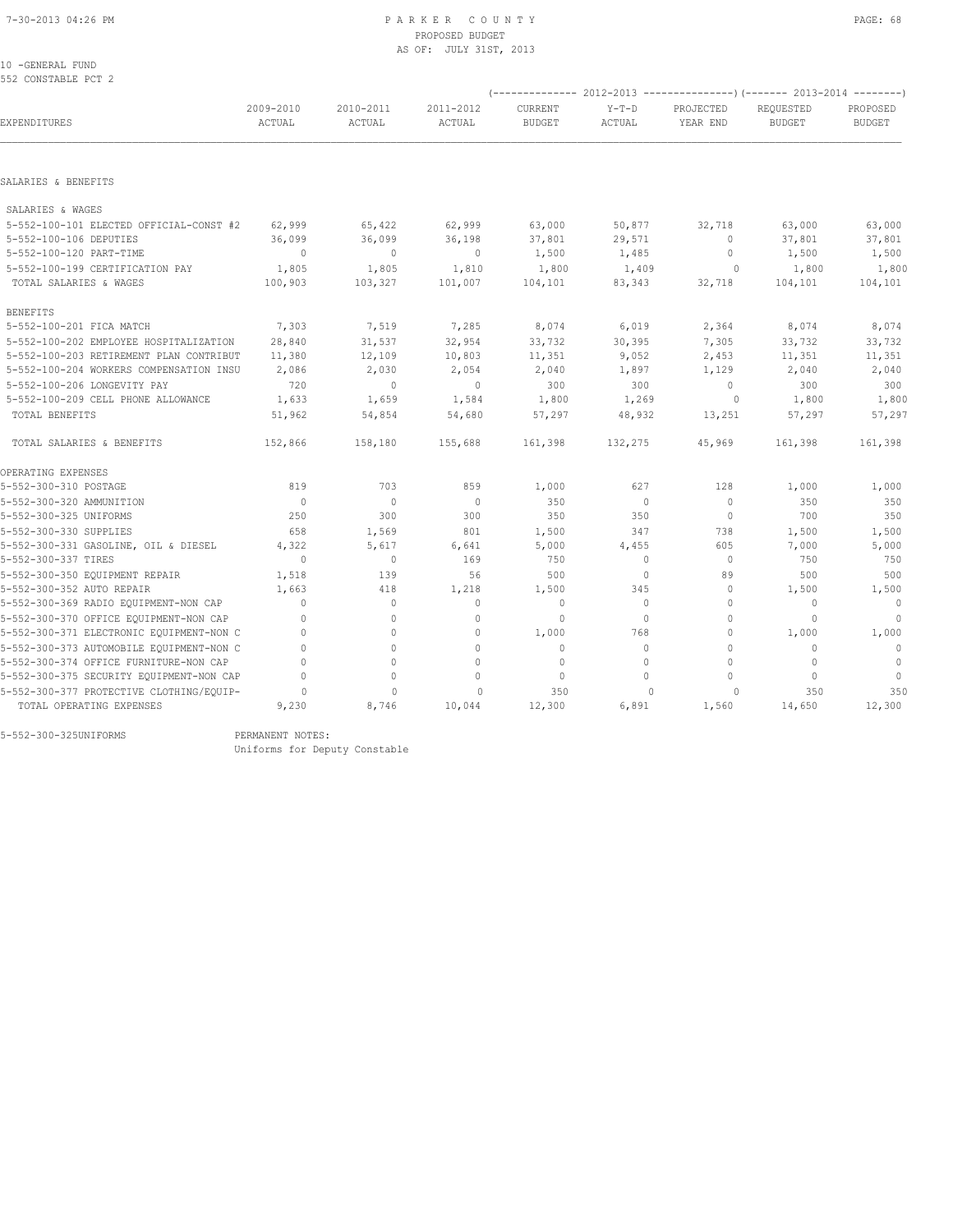#### 7-30-2013 04:26 PM P A R K E R C O U N T Y PAGE: 68 PROPOSED BUDGET AS OF: JULY 31ST, 2013

10 -GENERAL FUND 552 CONSTABLE PCT 2

|                                          | 2009-2010<br>ACTUAL |                     |                          |                          |                   | (-------------- 2012-2013 ----------------) (------- 2013-2014 --------) |                                  |                           |
|------------------------------------------|---------------------|---------------------|--------------------------|--------------------------|-------------------|--------------------------------------------------------------------------|----------------------------------|---------------------------|
| EXPENDITURES                             |                     | 2010-2011<br>ACTUAL | 2011-2012<br>ACTUAL      | CURRENT<br><b>BUDGET</b> | $Y-T-D$<br>ACTUAL | PROJECTED<br>YEAR END                                                    | REOUESTED<br><b>BUDGET</b>       | PROPOSED<br><b>BUDGET</b> |
|                                          |                     |                     |                          |                          |                   |                                                                          |                                  |                           |
| SALARIES & BENEFITS                      |                     |                     |                          |                          |                   |                                                                          |                                  |                           |
| SALARIES & WAGES                         |                     |                     |                          |                          |                   |                                                                          |                                  |                           |
| 5-552-100-101 ELECTED OFFICIAL-CONST #2  | 62,999              | 65,422              | 62,999                   | 63,000                   | 50,877            | 32,718                                                                   | 63,000                           | 63,000                    |
| 5-552-100-106 DEPUTIES                   | 36,099              | 36,099              | 36,198                   | 37,801                   | 29,571            | $\circ$                                                                  | 37,801                           | 37,801                    |
| 5-552-100-120 PART-TIME                  | $\circ$             | $\circ$             | $\overline{\phantom{0}}$ | 1,500                    | 1,485             | 0                                                                        | 1,500                            | 1,500                     |
| 5-552-100-199 CERTIFICATION PAY          | 1,805               | 1,805               | 1,810                    | 1,800                    | 1,409             | $\circ$                                                                  | 1,800                            | 1,800                     |
| TOTAL SALARIES & WAGES                   | 100,903             | 103,327             | 101,007                  | 104,101                  | 83,343            | 32,718                                                                   | 104,101                          | 104,101                   |
| <b>BENEFITS</b>                          |                     |                     |                          |                          |                   |                                                                          |                                  |                           |
| 5-552-100-201 FICA MATCH                 | 7,303               | 7,519               | 7,285                    | 8,074                    | 6,019             | 2,364                                                                    | 8,074                            | 8,074                     |
| 5-552-100-202 EMPLOYEE HOSPITALIZATION   | 28,840              | 31,537              | 32,954                   | 33,732                   | 30, 395           | 7,305                                                                    | 33,732                           | 33,732                    |
| 5-552-100-203 RETIREMENT PLAN CONTRIBUT  | 11,380              | 12,109              | 10,803                   | 11,351                   | 9,052             | 2,453                                                                    | 11,351                           | 11,351                    |
| 5-552-100-204 WORKERS COMPENSATION INSU  | 2,086               | 2,030               | 2,054                    | 2,040                    | 1,897             | 1,129                                                                    | 2,040                            | 2,040                     |
| 5-552-100-206 LONGEVITY PAY              | 720                 | $\circ$             | $\circ$                  | 300                      | 300               | $\circ$                                                                  | 300                              | 300                       |
| 5-552-100-209 CELL PHONE ALLOWANCE       | 1,633               | 1,659               | 1,584                    | 1,800                    | 1,269             | $\circ$                                                                  | 1,800                            | 1,800                     |
| TOTAL BENEFITS                           | 51,962              | 54,854              | 54,680                   | 57,297                   | 48,932            | 13,251                                                                   | 57,297                           | 57,297                    |
| TOTAL SALARIES & BENEFITS                | 152,866             | 158,180             | 155,688                  | 161,398                  | 132,275           | 45,969                                                                   | 161,398                          | 161,398                   |
| OPERATING EXPENSES                       |                     |                     |                          |                          |                   |                                                                          |                                  |                           |
| 5-552-300-310 POSTAGE                    | 819                 | 703                 | 859                      | 1,000                    | 627               | 128                                                                      | 1,000                            | 1,000                     |
| 5-552-300-320 AMMUNITION                 | $\overline{0}$      | $\circ$             | $\mathbf{0}$             | 350                      | $\circ$           | $\mathbf{0}$                                                             | 350                              | 350                       |
| 5-552-300-325 UNIFORMS                   | 250                 | 300                 | 300                      | 350                      | 350               | $\mathbf{0}$                                                             | 700                              | 350                       |
| 5-552-300-330 SUPPLIES                   | 658                 | 1,569               | 801                      | 1,500                    | 347               | 738                                                                      | 1,500                            | 1,500                     |
| 5-552-300-331 GASOLINE, OIL & DIESEL     | 4,322               | 5,617               | 6,641                    | 5,000                    | 4,455             | 605                                                                      | 7,000                            | 5,000                     |
| 5-552-300-337 TIRES                      | $\Omega$            | $\mathbf{0}$        | 169                      | 750                      | $\circ$           | $\mathbf{0}$                                                             | 750                              | 750                       |
| 5-552-300-350 EQUIPMENT REPAIR           | 1,518               | 139                 | 56                       | 500                      | $\circ$           | 89                                                                       | 500                              | 500                       |
| 5-552-300-352 AUTO REPAIR                | 1,663               | 418                 | 1,218                    | 1,500                    | 345               | $\mathbf{0}$                                                             | 1,500                            | 1,500                     |
| 5-552-300-369 RADIO EQUIPMENT-NON CAP    | $\mathbf{0}$        | $\circ$             | $\mathbf{0}$             | $\mathbf{0}$             | $\circ$           | $\circ$                                                                  | $\mathbf{0}$                     | $\sim$ 0                  |
| 5-552-300-370 OFFICE EQUIPMENT-NON CAP   | $\Omega$            | $\circ$             | $\mathbf{0}$             | $\circ$                  | $\circ$           | $\circ$                                                                  | $\Omega$                         | $\Omega$                  |
| 5-552-300-371 ELECTRONIC EQUIPMENT-NON C | $\Omega$            | $\circ$             | $\mathbf{0}$             | 1,000                    | 768               | $\circ$                                                                  | 1,000                            | 1,000                     |
| 5-552-300-373 AUTOMOBILE EQUIPMENT-NON C | $\Omega$            | $\Omega$            | $\Omega$                 | $\circ$                  | $\Omega$          | $\Omega$                                                                 | $\Omega$                         | $\overline{0}$            |
| 5-552-300-374 OFFICE FURNITURE-NON CAP   | $\Omega$            | $\circ$             | $\mathbf{0}$             | $\mathbf{0}$             | $\circ$           | $\circ$                                                                  | $\mathbf{0}$                     | $\circ$                   |
| 5-552-300-375 SECURITY EQUIPMENT-NON CAP | $\Omega$            | $\circ$             | 0                        | $\mathbf{0}$             | $\bigcap$         | $\Omega$                                                                 | $\begin{array}{c} \n\end{array}$ | $\mathbf{0}$              |
| 5-552-300-377 PROTECTIVE CLOTHING/EQUIP- | 0                   | $\mathbf{0}$        | 0                        | 350                      | 0                 | 0                                                                        | 350                              | 350                       |
| TOTAL OPERATING EXPENSES                 | 9,230               | 8,746               | 10,044                   | 12,300                   | 6,891             | 1,560                                                                    | 14,650                           | 12,300                    |
|                                          |                     |                     |                          |                          |                   |                                                                          |                                  |                           |

5-552-300-325UNIFORMS PERMANENT NOTES:

Uniforms for Deputy Constable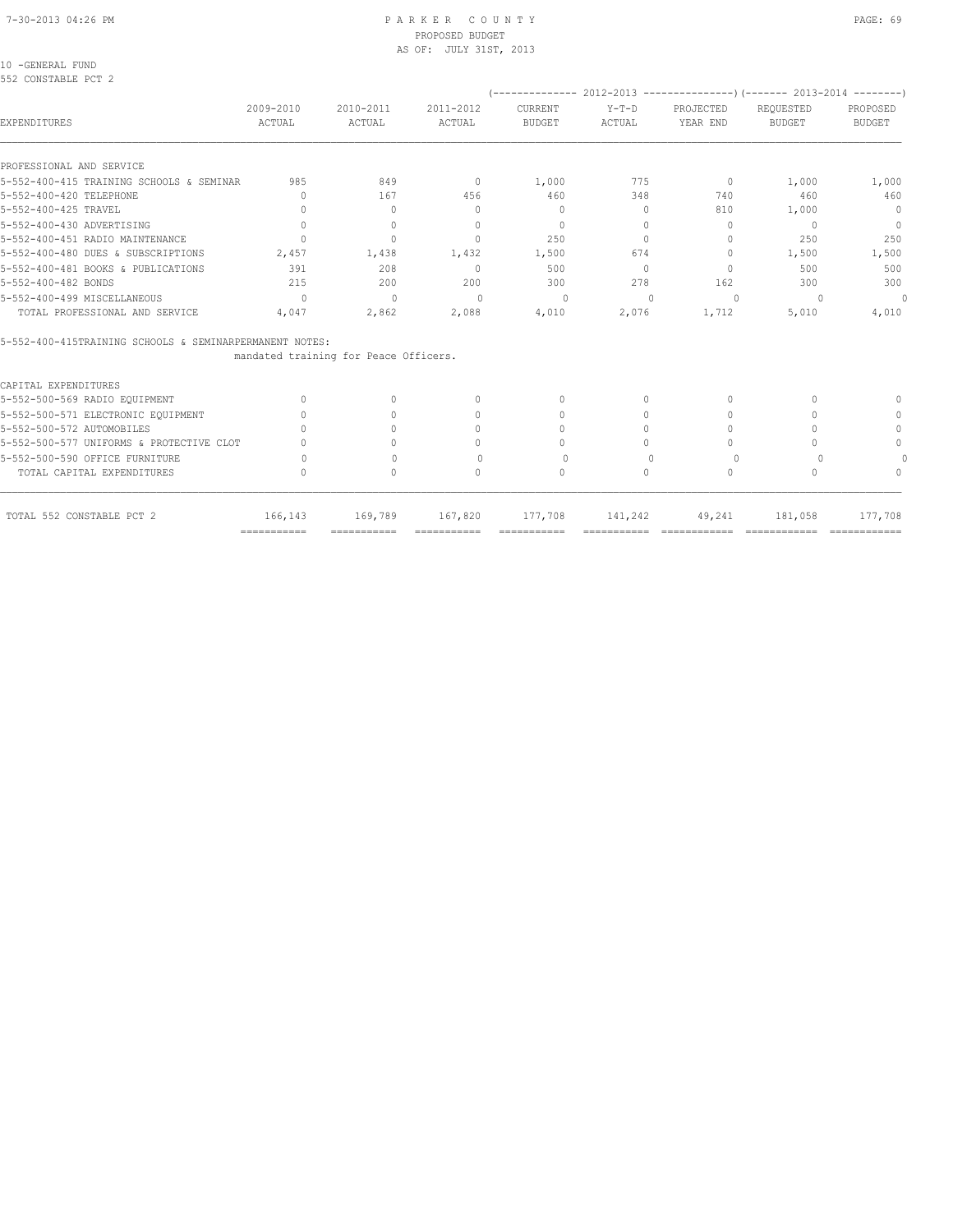#### 7-30-2013 04:26 PM P A R K E R C O U N T Y PAGE: 69 PROPOSED BUDGET AS OF: JULY 31ST, 2013

10 -GENERAL FUND

| 2009-2010<br>ACTUAL              | 2010-2011<br>ACTUAL                                                                                               | 2011-2012<br>ACTUAL                                                    | CURRENT<br><b>BUDGET</b>                                 | $Y-T-D$<br>ACTUAL         | PROJECTED<br>YEAR END            | REOUESTED<br><b>BUDGET</b> | PROPOSED<br><b>BUDGET</b>                                                                                  |
|----------------------------------|-------------------------------------------------------------------------------------------------------------------|------------------------------------------------------------------------|----------------------------------------------------------|---------------------------|----------------------------------|----------------------------|------------------------------------------------------------------------------------------------------------|
|                                  |                                                                                                                   |                                                                        |                                                          |                           |                                  |                            |                                                                                                            |
| 985                              | 849                                                                                                               | $\overline{0}$                                                         | 1,000                                                    | 775                       | $\Omega$                         | 1,000                      | 1,000                                                                                                      |
| $\Omega$                         | 167                                                                                                               | 456                                                                    | 460                                                      | 348                       | 740                              | 460                        | 460                                                                                                        |
| $\Omega$                         | $\begin{array}{c} \n\end{array}$                                                                                  | $\begin{array}{c} \n\end{array}$                                       | $\Omega$                                                 | $\Omega$                  | 810                              | 1,000                      | $\circ$                                                                                                    |
| $\Omega$                         | $\begin{array}{c} \n\end{array}$                                                                                  | $\begin{array}{c} \n\end{array}$                                       | $\Omega$                                                 | $\Omega$                  | $\Omega$                         | $\Omega$                   | $\overline{0}$                                                                                             |
| $\cap$                           | $\Omega$                                                                                                          | $\bigcap$                                                              | 250                                                      | $\Omega$                  | $\bigcap$                        | 250                        | 250                                                                                                        |
| 2,457                            | 1,438                                                                                                             | 1,432                                                                  | 1,500                                                    | 674                       | $\begin{array}{c} \n\end{array}$ | 1,500                      | 1,500                                                                                                      |
| 391                              | 208                                                                                                               | $\Omega$                                                               | 500                                                      | $\Omega$                  | $\bigcirc$                       | 500                        | 500                                                                                                        |
| 215                              | 200                                                                                                               | 200                                                                    | 300                                                      | 278                       | 162                              | 300                        | 300                                                                                                        |
| $\Omega$                         | $\Omega$                                                                                                          | $\Omega$                                                               | $\Omega$                                                 | $\cup$                    | $\Omega$                         | $\Omega$                   | $\circ$                                                                                                    |
| 4,047                            | 2,862                                                                                                             | 2,088                                                                  | 4,010                                                    | 2,076                     | 1,712                            | 5,010                      | 4,010                                                                                                      |
|                                  |                                                                                                                   |                                                                        |                                                          |                           |                                  |                            |                                                                                                            |
|                                  |                                                                                                                   |                                                                        |                                                          |                           |                                  |                            |                                                                                                            |
|                                  |                                                                                                                   |                                                                        |                                                          |                           |                                  |                            |                                                                                                            |
| $\begin{array}{c} \n\end{array}$ | $\Omega$                                                                                                          | $\begin{array}{c} \n\end{array}$                                       | $\begin{array}{c} \n\end{array}$                         | $\bigcap$                 | $\begin{array}{c} \n\end{array}$ | ∩                          | n                                                                                                          |
| $\Omega$                         | $\Omega$                                                                                                          | $\begin{array}{c} \n\end{array}$                                       | $\begin{array}{c} \n\end{array}$                         | $\bigcap$                 | $\begin{array}{c} \n\end{array}$ |                            | $\Omega$                                                                                                   |
|                                  | $\cap$                                                                                                            | $\bigcap$                                                              | $\bigcap$                                                | $\cap$                    | $\bigcap$                        | ∩                          | $\bigcap$                                                                                                  |
|                                  | $\bigcap$                                                                                                         | 0                                                                      | $\bigcap$                                                | $\cap$                    | $\bigcap$                        |                            | $\Omega$                                                                                                   |
| $\bigcap$                        | $\bigcap$                                                                                                         | $\begin{array}{c} \n\end{array}$                                       | $\Omega$                                                 | $\bigcap$                 | $\Omega$                         |                            |                                                                                                            |
|                                  | $\bigcap$                                                                                                         | $\bigcap$                                                              | $\Omega$                                                 | $\Omega$                  | $\begin{array}{c} \n\end{array}$ | $\cap$                     |                                                                                                            |
| 166,143                          | 169,789                                                                                                           | 167,820                                                                | 177,708                                                  | 141,242                   | 49,241                           | 181,058                    | 177,708                                                                                                    |
|                                  | 5-552-400-415 TRAINING SCHOOLS & SEMINAR<br>5-552-500-577 UNIFORMS & PROTECTIVE CLOT<br>$=$ = = = = = = = = = = = | 5-552-400-415TRAINING SCHOOLS & SEMINARPERMANENT NOTES:<br>=========== | mandated training for Peace Officers.<br>$=$ =========== | $=$ = = = = = = = = = = = |                                  | -------------              | (-------------- 2012-2013 ----------------) (------- 2013-2014 --------<br>=============<br>______________ |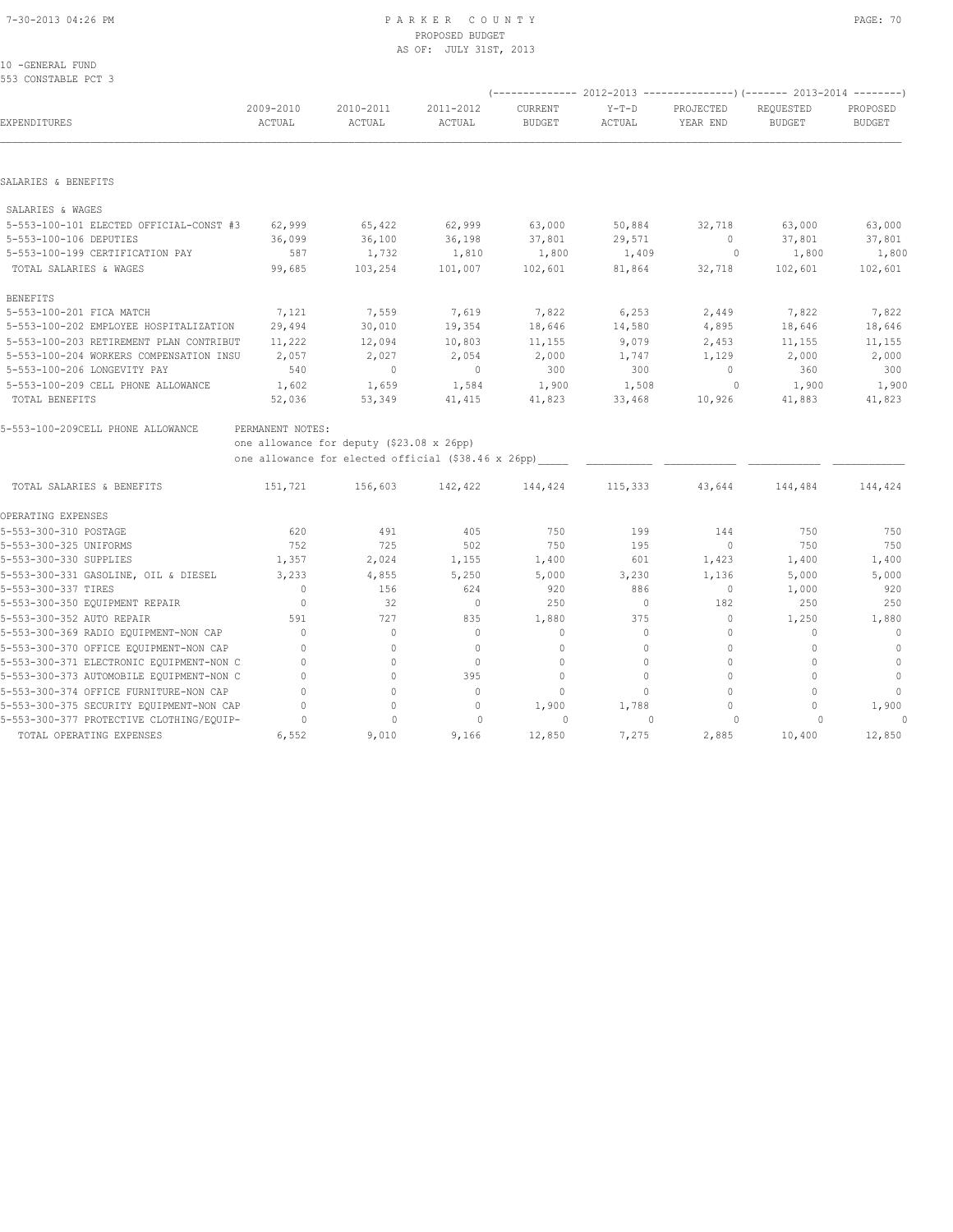10 -GENERAL FUND

| 553 CONSTABLE PCT 3                                  |                     |                                                     |                     |                          |                   |                       |                                                                                                       |                           |
|------------------------------------------------------|---------------------|-----------------------------------------------------|---------------------|--------------------------|-------------------|-----------------------|-------------------------------------------------------------------------------------------------------|---------------------------|
| EXPENDITURES                                         | 2009-2010<br>ACTUAL | 2010-2011<br>ACTUAL                                 | 2011-2012<br>ACTUAL | CURRENT<br><b>BUDGET</b> | $Y-T-D$<br>ACTUAL | PROJECTED<br>YEAR END | (-------------- 2012-2013 ----------------) (------- 2013-2014 --------<br>REOUESTED<br><b>BUDGET</b> | PROPOSED<br><b>BUDGET</b> |
|                                                      |                     |                                                     |                     |                          |                   |                       |                                                                                                       |                           |
| SALARIES & BENEFITS                                  |                     |                                                     |                     |                          |                   |                       |                                                                                                       |                           |
| SALARIES & WAGES                                     |                     |                                                     |                     |                          |                   |                       |                                                                                                       |                           |
| 5-553-100-101 ELECTED OFFICIAL-CONST #3              | 62,999              | 65,422                                              | 62,999              | 63,000                   | 50,884            | 32,718                | 63,000                                                                                                | 63,000                    |
| 5-553-100-106 DEPUTIES                               | 36,099              | 36,100                                              | 36,198              | 37,801                   | 29,571            | $\mathbf{0}$          | 37,801                                                                                                | 37,801                    |
| 5-553-100-199 CERTIFICATION PAY                      | 587                 | 1,732                                               | 1,810               | 1,800                    | 1,409             | 0                     | 1,800                                                                                                 | 1,800                     |
| TOTAL SALARIES & WAGES                               | 99,685              | 103,254                                             | 101,007             | 102,601                  | 81,864            | 32,718                | 102,601                                                                                               | 102,601                   |
| <b>BENEFITS</b>                                      |                     |                                                     |                     |                          |                   |                       |                                                                                                       |                           |
| 5-553-100-201 FICA MATCH                             | 7,121               | 7,559                                               | 7,619               | 7,822                    | 6, 253            | 2,449                 | 7,822                                                                                                 | 7,822                     |
| 5-553-100-202 EMPLOYEE HOSPITALIZATION               | 29,494              | 30,010                                              | 19,354              | 18,646                   | 14,580            | 4,895                 | 18,646                                                                                                | 18,646                    |
| 5-553-100-203 RETIREMENT PLAN CONTRIBUT              | 11,222              | 12,094                                              | 10,803              | 11,155                   | 9,079             | 2,453                 | 11,155                                                                                                | 11,155                    |
| 5-553-100-204 WORKERS COMPENSATION INSU              | 2,057               | 2,027                                               | 2,054               | 2,000                    | 1,747             | 1,129                 | 2,000                                                                                                 | 2,000                     |
| 5-553-100-206 LONGEVITY PAY                          | 540                 | $\mathbf{0}$                                        | $\mathbf{0}$        | 300                      | 300               | 0                     | 360                                                                                                   | 300                       |
| 5-553-100-209 CELL PHONE ALLOWANCE<br>TOTAL BENEFITS | 1,602<br>52,036     | 1,659<br>53,349                                     | 1,584<br>41,415     | 1,900<br>41,823          | 1,508<br>33,468   | $\circ$<br>10,926     | 1,900<br>41,883                                                                                       | 1,900<br>41,823           |
|                                                      |                     |                                                     |                     |                          |                   |                       |                                                                                                       |                           |
| 5-553-100-209CELL PHONE ALLOWANCE                    | PERMANENT NOTES:    | one allowance for deputy (\$23.08 x 26pp)           |                     |                          |                   |                       |                                                                                                       |                           |
|                                                      |                     | one allowance for elected official (\$38.46 x 26pp) |                     |                          |                   |                       |                                                                                                       |                           |
| TOTAL SALARIES & BENEFITS                            | 151,721             | 156,603                                             | 142,422             | 144,424                  | 115,333           | 43,644                | 144,484                                                                                               | 144,424                   |
| OPERATING EXPENSES                                   |                     |                                                     |                     |                          |                   |                       |                                                                                                       |                           |
| 5-553-300-310 POSTAGE                                | 620                 | 491                                                 | 405                 | 750                      | 199               | 144                   | 750                                                                                                   | 750                       |
| 5-553-300-325 UNIFORMS                               | 752                 | 725                                                 | 502                 | 750                      | 195               | $\circ$               | 750                                                                                                   | 750                       |
| 5-553-300-330 SUPPLIES                               | 1,357               | 2,024                                               | 1,155               | 1,400                    | 601               | 1,423                 | 1,400                                                                                                 | 1,400                     |
| 5-553-300-331 GASOLINE, OIL & DIESEL                 | 3,233               | 4,855                                               | 5,250               | 5,000                    | 3,230             | 1,136                 | 5,000                                                                                                 | 5,000                     |
| 5-553-300-337 TIRES                                  | $\mathbf{0}$        | 156                                                 | 624                 | 920                      | 886               | $\circ$               | 1,000                                                                                                 | 920                       |
| 5-553-300-350 EQUIPMENT REPAIR                       | $\mathbf{0}$        | 32                                                  | $\mathbf{0}$        | 250                      | $\circ$           | 182                   | 250                                                                                                   | 250                       |
| 5-553-300-352 AUTO REPAIR                            | 591                 | 727                                                 | 835                 | 1,880                    | 375               | $\circ$               | 1,250                                                                                                 | 1,880                     |
| 5-553-300-369 RADIO EQUIPMENT-NON CAP                | $\Omega$            | $\mathbf{0}$                                        | $\mathbf{0}$        | $\mathbf{0}$             | 0                 | $\mathbf 0$           | $\mathbf{0}$                                                                                          | $\mathbf{0}$              |
| 5-553-300-370 OFFICE EQUIPMENT-NON CAP               | $\mathbf{0}$        | $\circ$                                             | $\mathbf{0}$        | $\mathbf{0}$             | $\circ$           | $\circ$               | $\mathbf{0}$                                                                                          | $\mathbf{0}$              |
| 5-553-300-371 ELECTRONIC EQUIPMENT-NON C             | $\mathbf 0$         | $\mathbf{0}$                                        | $\mathbf 0$         | $\mathbf{0}$             | $\circ$           | $\mathbf{0}$          | $\mathbf{0}$                                                                                          | $\mathbb O$               |
| 5-553-300-373 AUTOMOBILE EQUIPMENT-NON C             | $\mathbf{0}$        | 0                                                   | 395                 | $\Omega$                 | 0                 | $\mathbf{0}$          | $\Omega$                                                                                              | $\mathbf{0}$              |
| 5-553-300-374 OFFICE FURNITURE-NON CAP               | $\Omega$            | $\circ$                                             | $\Omega$            | $\Omega$                 | $\Omega$          | $\Omega$              | $\Omega$                                                                                              | $\Omega$                  |
| 5-553-300-375 SECURITY EQUIPMENT-NON CAP             | $\Omega$            | 0                                                   | $\mathbf{0}$        | 1,900                    | 1,788             | $\Omega$              | $\Omega$                                                                                              | 1,900                     |
| 5-553-300-377 PROTECTIVE CLOTHING/EQUIP-             | $\Omega$            | $\mathbf{0}$                                        | $\Omega$            | $\Omega$                 | $\circ$           | $\Omega$              | $\cap$                                                                                                |                           |
| TOTAL OPERATING EXPENSES                             | 6,552               | 9,010                                               | 9,166               | 12,850                   | 7,275             | 2,885                 | 10,400                                                                                                | 12,850                    |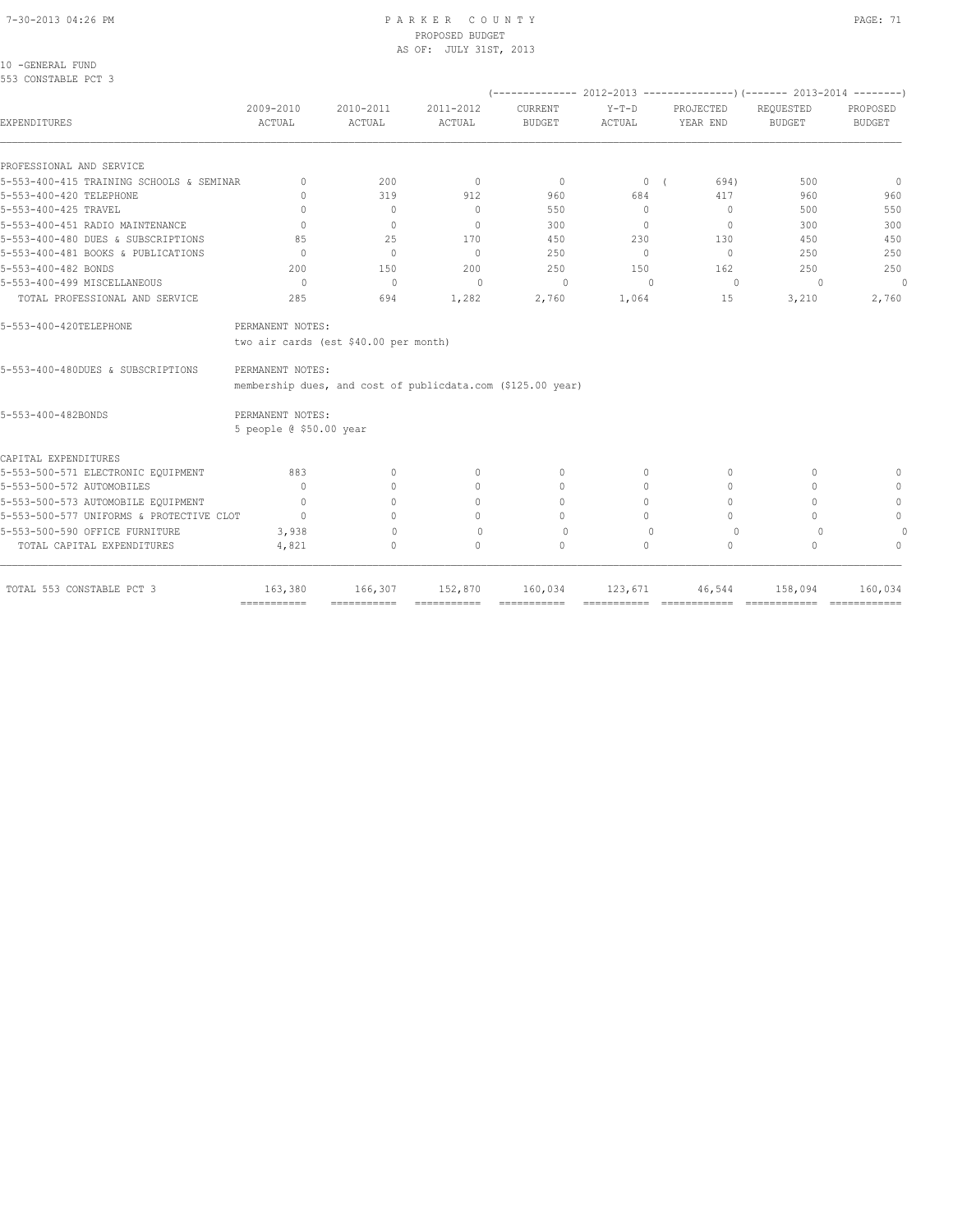#### 7-30-2013 04:26 PM P A R K E R C O U N T Y PAGE: 71 PROPOSED BUDGET AS OF: JULY 31ST, 2013

10 -GENERAL FUND 553 CONSTABLE PCT 3

|                                                                            |                                  |                                                             |                                  |                                  |                                                 |                       | (-------------- 2012-2013 -------------------) (------- 2013-2014 ---------) |                                  |  |  |
|----------------------------------------------------------------------------|----------------------------------|-------------------------------------------------------------|----------------------------------|----------------------------------|-------------------------------------------------|-----------------------|------------------------------------------------------------------------------|----------------------------------|--|--|
| EXPENDITURES                                                               | 2009-2010<br>ACTUAL              | 2010-2011<br>ACTUAL                                         | 2011-2012<br>ACTUAL              | CURRENT<br><b>BUDGET</b>         | $Y-T-D$<br>ACTUAL                               | PROJECTED<br>YEAR END | REQUESTED<br><b>BUDGET</b>                                                   | PROPOSED<br><b>BUDGET</b>        |  |  |
| PROFESSIONAL AND SERVICE                                                   |                                  |                                                             |                                  |                                  |                                                 |                       |                                                                              |                                  |  |  |
| 5-553-400-415 TRAINING SCHOOLS & SEMINAR                                   | $\begin{array}{c} \n\end{array}$ | 200                                                         | $\overline{0}$                   | $\overline{0}$                   | $\begin{array}{ccc} & & 0 & \\ & & \end{array}$ | 694)                  | 500                                                                          | $\overline{0}$                   |  |  |
| 5-553-400-420 TELEPHONE                                                    | $\Omega$                         | 319                                                         | 912                              | 960                              | 684                                             | 417                   | 960                                                                          | 960                              |  |  |
| 5-553-400-425 TRAVEL                                                       | $\bigcap$                        | $\Omega$                                                    | $\Omega$                         | 550                              | $\Omega$                                        | $\Omega$              | 500                                                                          | 550                              |  |  |
| 5-553-400-451 RADIO MAINTENANCE                                            | $\Omega$                         | $\begin{array}{c} \n\end{array}$                            | $\Omega$                         | 300                              | $\Omega$                                        | $\Omega$              | 300                                                                          | 300                              |  |  |
| 5-553-400-480 DUES & SUBSCRIPTIONS                                         | 85                               | 25                                                          | 170                              | 450                              | 230                                             | 130                   | 450                                                                          | 450                              |  |  |
| 5-553-400-481 BOOKS & PUBLICATIONS                                         | $\bigcap$                        | $\bigcirc$                                                  | $\Omega$                         | 250                              | $\Omega$                                        | $\Omega$              | 250                                                                          | 250                              |  |  |
| 5-553-400-482 BONDS                                                        | 200                              | 150                                                         | 200                              | 250                              | 150                                             | 162                   | 250                                                                          | 250                              |  |  |
| 5-553-400-499 MISCELLANEOUS                                                | $\Omega$                         | $\mathbb{O}$                                                | $\mathbf{0}$                     | $\circ$                          | $\mathbf{0}$                                    | $\circ$               | $\circ$                                                                      | $\mathbf{0}$                     |  |  |
| TOTAL PROFESSIONAL AND SERVICE                                             | 285                              | 694                                                         | 1,282                            | 2,760                            | 1,064                                           | 15                    | 3,210                                                                        | 2,760                            |  |  |
| 5-553-400-420TELEPHONE                                                     | PERMANENT NOTES:                 |                                                             |                                  |                                  |                                                 |                       |                                                                              |                                  |  |  |
|                                                                            |                                  | two air cards (est \$40.00 per month)                       |                                  |                                  |                                                 |                       |                                                                              |                                  |  |  |
| 5-553-400-480DUES & SUBSCRIPTIONS                                          | PERMANENT NOTES:                 |                                                             |                                  |                                  |                                                 |                       |                                                                              |                                  |  |  |
|                                                                            |                                  | membership dues, and cost of publicdata.com (\$125.00 year) |                                  |                                  |                                                 |                       |                                                                              |                                  |  |  |
| 5-553-400-482BONDS                                                         | PERMANENT NOTES:                 |                                                             |                                  |                                  |                                                 |                       |                                                                              |                                  |  |  |
|                                                                            | 5 people @ \$50.00 year          |                                                             |                                  |                                  |                                                 |                       |                                                                              |                                  |  |  |
|                                                                            |                                  |                                                             |                                  |                                  |                                                 |                       |                                                                              |                                  |  |  |
| CAPITAL EXPENDITURES                                                       |                                  |                                                             |                                  |                                  |                                                 |                       |                                                                              |                                  |  |  |
| 5-553-500-571 ELECTRONIC EQUIPMENT                                         | 883                              | $\Omega$                                                    | $\mathbf{0}$                     | $\mathbf{0}$                     | 0                                               | $\mathbf{0}$          | 0                                                                            | $\mathbf{0}$                     |  |  |
| 5-553-500-572 AUTOMOBILES                                                  | $\bigcap$                        | $\begin{array}{c} \n\end{array}$                            | $\mathbf{0}$                     | $\begin{array}{c} \n\end{array}$ | 0                                               | $\Omega$              | $\Omega$                                                                     | $\Omega$                         |  |  |
| 5-553-500-573 AUTOMOBILE EQUIPMENT                                         | $\bigcap$                        | $\bigcap$                                                   | $\begin{array}{c} \n\end{array}$ | $\begin{array}{c} \n\end{array}$ | $\Omega$                                        | $\Omega$              | $\bigcap$                                                                    | $\mathbf{0}$                     |  |  |
|                                                                            | $\Omega$                         | $\bigcap$                                                   | 0                                | $\begin{array}{c} \n\end{array}$ | $\bigcap$                                       | $\Omega$              | $\cap$                                                                       | $\mathbf{0}$                     |  |  |
| 5-553-500-577 UNIFORMS & PROTECTIVE CLOT<br>5-553-500-590 OFFICE FURNITURE | 3,938                            | $\Omega$                                                    | $\Omega$                         | $\Omega$                         | $\Omega$                                        | $\Omega$              | $\Omega$                                                                     | $\Omega$                         |  |  |
| TOTAL CAPITAL EXPENDITURES                                                 | 4,821                            | $\circ$                                                     | $\Omega$                         | $\circ$                          | $\circ$                                         | $\circ$               | $\Omega$                                                                     | $\begin{array}{c} \n\end{array}$ |  |  |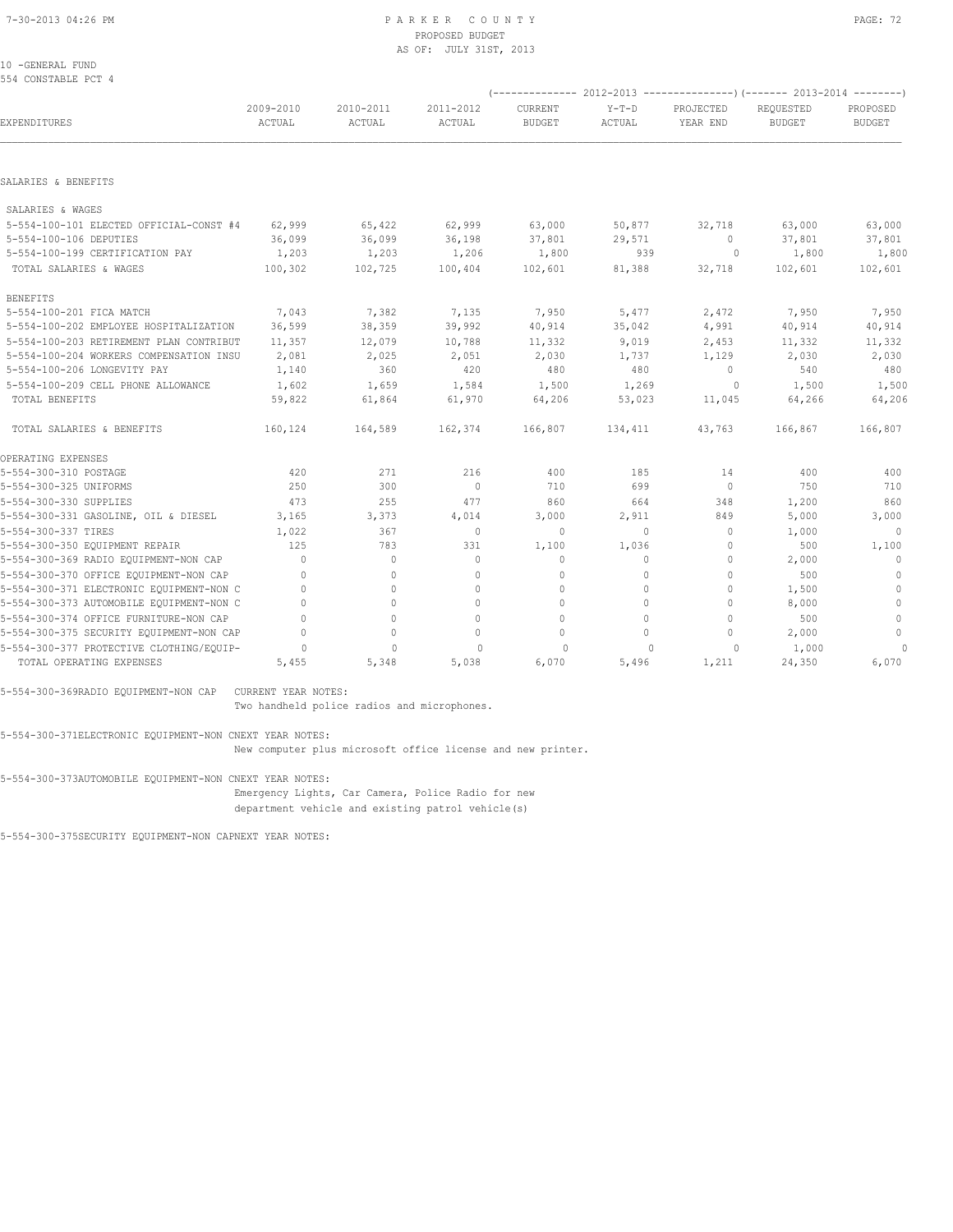#### 10 -GENERAL FUND 554 CONSTABLE PCT 4

| 554 CONSTABLE PCT 4                      |                     |                     |                     |                          |                   | (-------------- 2012-2013 -----------------) (------- 2013-2014 -------- |                            |                           |  |
|------------------------------------------|---------------------|---------------------|---------------------|--------------------------|-------------------|--------------------------------------------------------------------------|----------------------------|---------------------------|--|
| EXPENDITURES                             | 2009-2010<br>ACTUAL | 2010-2011<br>ACTUAL | 2011-2012<br>ACTUAL | CURRENT<br><b>BUDGET</b> | $Y-T-D$<br>ACTUAL | PROJECTED<br>YEAR END                                                    | REQUESTED<br><b>BUDGET</b> | PROPOSED<br><b>BUDGET</b> |  |
|                                          |                     |                     |                     |                          |                   |                                                                          |                            |                           |  |
| SALARIES & BENEFITS                      |                     |                     |                     |                          |                   |                                                                          |                            |                           |  |
| SALARIES & WAGES                         |                     |                     |                     |                          |                   |                                                                          |                            |                           |  |
| 5-554-100-101 ELECTED OFFICIAL-CONST #4  | 62,999              | 65,422              | 62,999              | 63,000                   | 50,877            | 32,718                                                                   | 63,000                     | 63,000                    |  |
| 5-554-100-106 DEPUTIES                   | 36,099              | 36,099              | 36,198              | 37,801                   | 29,571            | $\circ$                                                                  | 37,801                     | 37,801                    |  |
| 5-554-100-199 CERTIFICATION PAY          | 1,203               | 1,203               | 1,206               | 1,800                    | 939               | $\circ$                                                                  | 1,800                      | 1,800                     |  |
| TOTAL SALARIES & WAGES                   | 100,302             | 102,725             | 100,404             | 102,601                  | 81,388            | 32,718                                                                   | 102,601                    | 102,601                   |  |
| <b>BENEFITS</b>                          |                     |                     |                     |                          |                   |                                                                          |                            |                           |  |
| 5-554-100-201 FICA MATCH                 | 7,043               | 7,382               | 7,135               | 7,950                    | 5,477             | 2,472                                                                    | 7,950                      | 7,950                     |  |
| 5-554-100-202 EMPLOYEE HOSPITALIZATION   | 36,599              | 38,359              | 39,992              | 40,914                   | 35,042            | 4,991                                                                    | 40,914                     | 40,914                    |  |
| 5-554-100-203 RETIREMENT PLAN CONTRIBUT  | 11,357              | 12,079              | 10,788              | 11,332                   | 9,019             | 2,453                                                                    | 11,332                     | 11,332                    |  |
| 5-554-100-204 WORKERS COMPENSATION INSU  | 2,081               | 2,025               | 2,051               | 2,030                    | 1,737             | 1,129                                                                    | 2,030                      | 2,030                     |  |
| 5-554-100-206 LONGEVITY PAY              | 1,140               | 360                 | 420                 | 480                      | 480               | 0                                                                        | 540                        | 480                       |  |
| 5-554-100-209 CELL PHONE ALLOWANCE       | 1,602               | 1,659               | 1,584               | 1,500                    | 1,269             | $\circ$                                                                  | 1,500                      | 1,500                     |  |
| TOTAL BENEFITS                           | 59,822              | 61,864              | 61,970              | 64,206                   | 53,023            | 11,045                                                                   | 64,266                     | 64,206                    |  |
| TOTAL SALARIES & BENEFITS                | 160,124             | 164,589             | 162,374             | 166,807                  | 134,411           | 43,763                                                                   | 166,867                    | 166,807                   |  |
| OPERATING EXPENSES                       |                     |                     |                     |                          |                   |                                                                          |                            |                           |  |
| 5-554-300-310 POSTAGE                    | 420                 | 271                 | 216                 | 400                      | 185               | 14                                                                       | 400                        | 400                       |  |
| 5-554-300-325 UNIFORMS                   | 250                 | 300                 | $\mathbf{0}$        | 710                      | 699               | $\mathbf{0}$                                                             | 750                        | 710                       |  |
| 5-554-300-330 SUPPLIES                   | 473                 | 255                 | 477                 | 860                      | 664               | 348                                                                      | 1,200                      | 860                       |  |
| 5-554-300-331 GASOLINE, OIL & DIESEL     | 3,165               | 3,373               | 4,014               | 3,000                    | 2,911             | 849                                                                      | 5,000                      | 3,000                     |  |
| 5-554-300-337 TIRES                      | 1,022               | 367                 | $\mathbf{0}$        | $\Omega$                 | $\Omega$          | $\Omega$                                                                 | 1,000                      | $\cap$                    |  |
| 5-554-300-350 EQUIPMENT REPAIR           | 125                 | 783                 | 331                 | 1,100                    | 1,036             | $\circ$                                                                  | 500                        | 1,100                     |  |
| 5-554-300-369 RADIO EQUIPMENT-NON CAP    | $\mathbf{0}$        | $\circ$             | $\mathbf{0}$        | $\mathbf{0}$             | 0                 | $\mathbf{0}$                                                             | 2,000                      | $\mathbf{0}$              |  |
| 5-554-300-370 OFFICE EQUIPMENT-NON CAP   | $\mathbf{0}$        | $\circ$             | $\mathbf{0}$        | $\mathbf 0$              | 0                 | $\circ$                                                                  | 500                        | $\mathbf 0$               |  |
| 5-554-300-371 ELECTRONIC EQUIPMENT-NON C | $\Omega$            | $\Omega$            | $\Omega$            | $\Omega$                 | $\Omega$          | $\Omega$                                                                 | 1,500                      | $\mathbf{0}$              |  |
| 5-554-300-373 AUTOMOBILE EQUIPMENT-NON C | $\Omega$            | $\Omega$            | $\Omega$            | $\Omega$                 | $\Omega$          | $\circ$                                                                  | 8,000                      | $\mathbb O$               |  |
| 5-554-300-374 OFFICE FURNITURE-NON CAP   | $\Omega$            | $\Omega$            | $\Omega$            | $\Omega$                 | $\cap$            | $\circ$                                                                  | 500                        | $\mathbf{0}$              |  |
| 5-554-300-375 SECURITY EQUIPMENT-NON CAP | $\cap$              | $\circ$             | $\Omega$            | $\mathbf{0}$             | $\Omega$          | $\circ$                                                                  | 2,000                      | $\mathbf{0}$              |  |
| 5-554-300-377 PROTECTIVE CLOTHING/EQUIP- | 0                   | 0                   | 0                   | $\Omega$                 | $\bigcap$         | $\Omega$                                                                 | 1,000                      | $\Omega$                  |  |
| TOTAL OPERATING EXPENSES                 | 5,455               | 5,348               | 5,038               | 6,070                    | 5,496             | 1,211                                                                    | 24,350                     | 6,070                     |  |

5-554-300-369RADIO EQUIPMENT-NON CAP CURRENT YEAR NOTES:

Two handheld police radios and microphones.

5-554-300-371ELECTRONIC EQUIPMENT-NON CNEXT YEAR NOTES:

New computer plus microsoft office license and new printer.

5-554-300-373AUTOMOBILE EQUIPMENT-NON CNEXT YEAR NOTES: Emergency Lights, Car Camera, Police Radio for new department vehicle and existing patrol vehicle(s)

5-554-300-375SECURITY EQUIPMENT-NON CAPNEXT YEAR NOTES: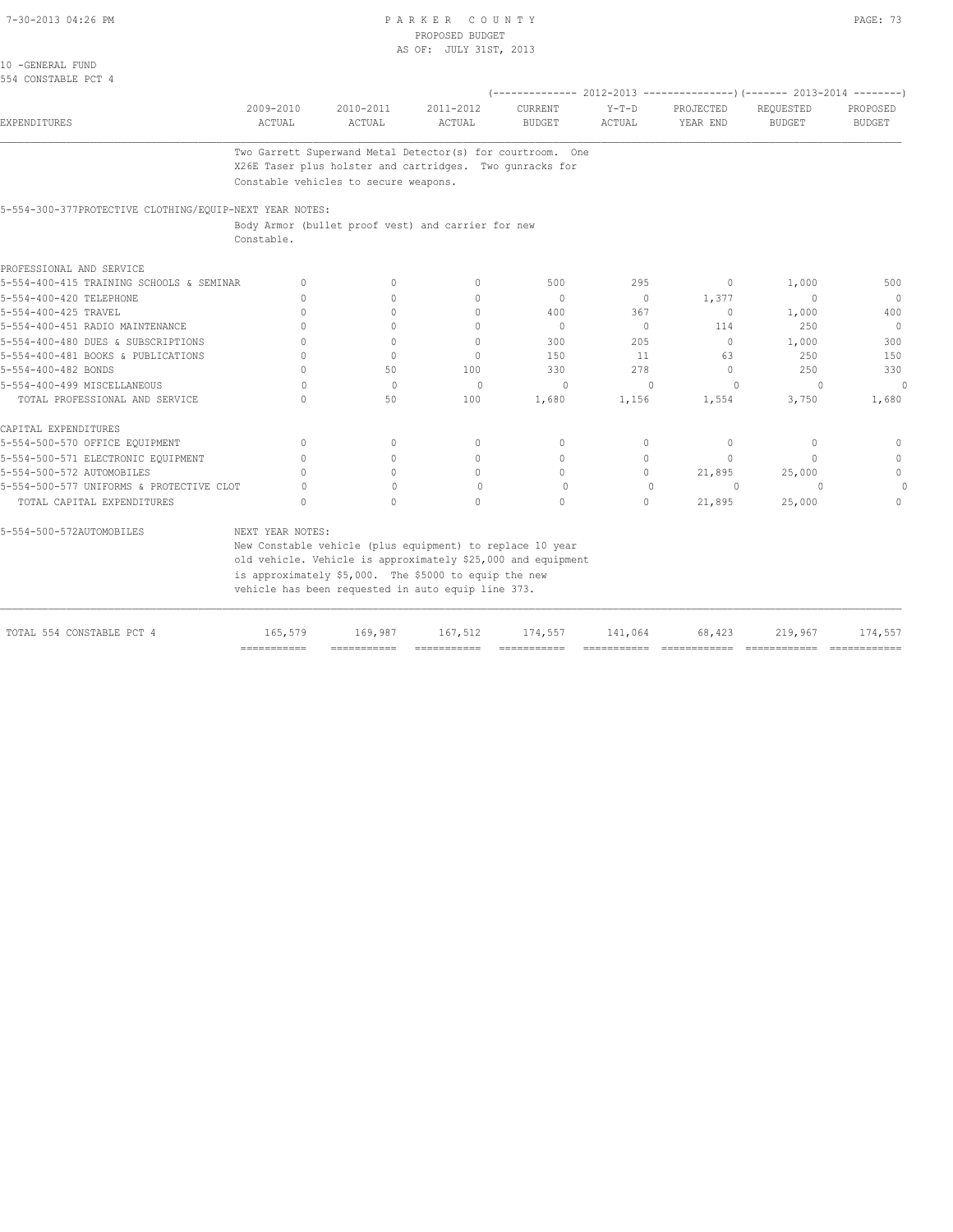#### PARKER COUNTY PROPOSED BUDGET AS OF: JULY 31ST, 2013

| ٠<br>v<br>- | ٠<br>× |
|-------------|--------|
|-------------|--------|

|                                         |           |           | Two Garrett Superwand Metal Detector(s) for courtroom. One |               |        |           |                                                                        |          |
|-----------------------------------------|-----------|-----------|------------------------------------------------------------|---------------|--------|-----------|------------------------------------------------------------------------|----------|
| EXPENDITURES                            | ACTUAL    | ACTUAL    | ACTUAL                                                     | <b>BUDGET</b> | ACTUAL | YEAR END  | <b>BUDGET</b>                                                          | BUDGET   |
|                                         | 2009-2010 | 2010-2011 | 2011-2012                                                  | CURRENT       | Y-T-D  | PROJECTED | REQUESTED                                                              | PROPOSED |
|                                         |           |           |                                                            |               |        |           | (-------------- 2012-2013 ----------------) (------- 2013-2014 ------- |          |
| 10 -GENERAL FUND<br>554 CONSTABLE PCT 4 |           |           |                                                            |               |        |           |                                                                        |          |
|                                         |           |           | AS OF: JULY 31ST, 2013                                     |               |        |           |                                                                        |          |

d Metal Detector(s) for courtroom. One X26E Taser plus holster and cartridges. Two gunracks for Constable vehicles to secure weapons.

5-554-300-377PROTECTIVE CLOTHING/EQUIP-NEXT YEAR NOTES:

 Body Armor (bullet proof vest) and carrier for new Constable.

| 5-554-400-415 TRAINING SCHOOLS & SEMINAR | $\bigcap$ | 0        | 500                              | 295                                                                                                                                                                                                                                      | $\mathbf{0}$                     | 1,000     | 500          |
|------------------------------------------|-----------|----------|----------------------------------|------------------------------------------------------------------------------------------------------------------------------------------------------------------------------------------------------------------------------------------|----------------------------------|-----------|--------------|
|                                          | $\cap$    |          | $\Omega$                         | $\circ$                                                                                                                                                                                                                                  | 1,377                            | $\bigcap$ | $\Omega$     |
|                                          |           |          | 400                              | 367                                                                                                                                                                                                                                      | $\Omega$                         | 1,000     | 400          |
|                                          | $\cap$    |          | $\Omega$                         | $\Omega$                                                                                                                                                                                                                                 | 114                              | 250       | $\mathbf{0}$ |
|                                          | $\Omega$  |          | 300                              | 205                                                                                                                                                                                                                                      | $\mathbf{0}$                     | 1,000     | 300          |
|                                          | $\Omega$  | $\cap$   | 150                              | 11                                                                                                                                                                                                                                       | 63                               | 250       | 150          |
|                                          | 50        | 100      | 330                              | 278                                                                                                                                                                                                                                      | $\begin{array}{c} \n\end{array}$ | 250       | 330          |
|                                          | $\Omega$  | $\Omega$ | $\Omega$                         | $\cap$                                                                                                                                                                                                                                   |                                  |           | $\Omega$     |
|                                          | 50        | 100      | 1,680                            | 1,156                                                                                                                                                                                                                                    | 1,554                            | 3,750     | 1,680        |
|                                          |           |          |                                  |                                                                                                                                                                                                                                          |                                  |           |              |
|                                          | $\cap$    |          | $\bigcap$                        | $\cap$                                                                                                                                                                                                                                   | $\Omega$                         |           |              |
|                                          |           |          | $\begin{array}{c} \n\end{array}$ | 0                                                                                                                                                                                                                                        | $\bigcap$                        |           | $\cap$       |
|                                          | $\cap$    |          | $\cap$                           | $\Omega$                                                                                                                                                                                                                                 | 21,895                           | 25,000    |              |
| 5-554-500-577 UNIFORMS & PROTECTIVE CLOT |           |          | $\Omega$                         | $\bigcap$                                                                                                                                                                                                                                | $\Omega$                         |           |              |
|                                          | $\cap$    | $\cap$   | $\Omega$                         | 0                                                                                                                                                                                                                                        | 21,895                           | 25,000    |              |
| NEXT YEAR NOTES:                         |           |          |                                  |                                                                                                                                                                                                                                          |                                  |           |              |
|                                          |           |          |                                  |                                                                                                                                                                                                                                          |                                  |           |              |
|                                          |           |          |                                  |                                                                                                                                                                                                                                          |                                  |           |              |
|                                          |           |          |                                  |                                                                                                                                                                                                                                          |                                  |           |              |
|                                          |           |          |                                  |                                                                                                                                                                                                                                          |                                  |           |              |
|                                          |           |          |                                  | New Constable vehicle (plus equipment) to replace 10 year<br>old vehicle. Vehicle is approximately \$25,000 and equipment<br>is approximately \$5,000. The \$5000 to equip the new<br>vehicle has been requested in auto equip line 373. |                                  |           |              |

|                           | ----------- | ______<br>-------- |         | _____   | ______  |        |         |        |
|---------------------------|-------------|--------------------|---------|---------|---------|--------|---------|--------|
| TOTAL 554 CONSTABLE PCT 4 | 165,579     | 169.987            | 167.512 | 174,557 | 141,064 | 68,423 | 219,967 | 74,557 |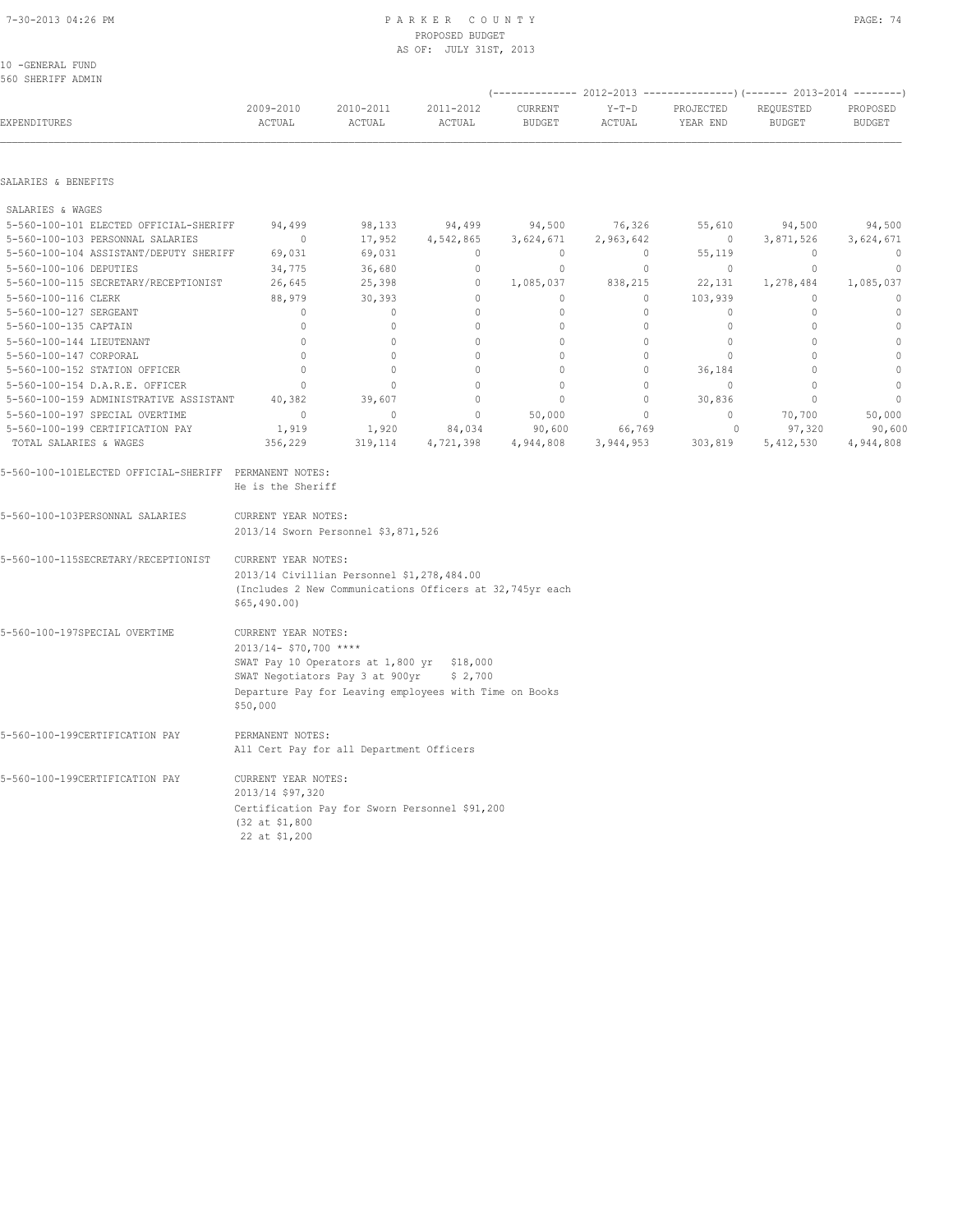#### 7-30-2013 04:26 PM P A R K E R C O U N T Y PAGE: 74 PROPOSED BUDGET AS OF: JULY 31ST, 2013

10 -GENERAL FUND 560 SHERIFF ADMIN

| EXPENDITURES                                           | 2009-2010<br>ACTUAL                                                      | 2010-2011<br>ACTUAL                                    | 2011-2012<br>ACTUAL | CURRENT<br><b>BUDGET</b> | $Y-T-D$<br>ACTUAL | PROJECTED<br>YEAR END | REQUESTED<br><b>BUDGET</b> | PROPOSED<br><b>BUDGET</b> |  |  |
|--------------------------------------------------------|--------------------------------------------------------------------------|--------------------------------------------------------|---------------------|--------------------------|-------------------|-----------------------|----------------------------|---------------------------|--|--|
| SALARIES & BENEFITS                                    |                                                                          |                                                        |                     |                          |                   |                       |                            |                           |  |  |
| SALARIES & WAGES                                       |                                                                          |                                                        |                     |                          |                   |                       |                            |                           |  |  |
| 5-560-100-101 ELECTED OFFICIAL-SHERIFF                 | 94,499                                                                   | 98,133                                                 | 94,499              | 94,500                   | 76,326            | 55,610                | 94,500                     | 94,500                    |  |  |
| 5-560-100-103 PERSONNAL SALARIES                       | $\circ$                                                                  | 17,952                                                 | 4,542,865           | 3,624,671                | 2,963,642         | $\circ$               | 3,871,526                  | 3,624,671                 |  |  |
| 5-560-100-104 ASSISTANT/DEPUTY SHERIFF                 | 69,031                                                                   | 69,031                                                 | $\circ$             | $\circ$                  | $\circ$           | 55,119                | $\circ$                    | $\overline{0}$            |  |  |
| 5-560-100-106 DEPUTIES                                 | 34,775                                                                   | 36,680                                                 | $\mathbf 0$         | $\circ$                  | 0                 | $\circ$               | $\circ$                    | $\mathbf{0}$              |  |  |
| 5-560-100-115 SECRETARY/RECEPTIONIST                   | 26,645                                                                   | 25,398                                                 | $\circ$             | 1,085,037                | 838,215           | 22,131                | 1,278,484                  | 1,085,037                 |  |  |
| 5-560-100-116 CLERK                                    | 88,979                                                                   | 30,393                                                 | $\mathbf 0$         | $\circ$                  | $\circ$           | 103,939               | $\mathbf{0}$               | $\mathbf{0}$              |  |  |
| 5-560-100-127 SERGEANT                                 | $\mathbf{0}$                                                             | 0                                                      | $\mathbf{0}$        | $\circ$                  | $\circ$           | $\circ$               | $\mathbf{0}$               | $\mathbb O$               |  |  |
| 5-560-100-135 CAPTAIN                                  | $\mathbb O$                                                              | $\mathbb O$                                            | $\mathbb O$         | $\mathbb O$              | $\circ$           | $\mathbb O$           | $\mathbb O$                | $\mathbb O$               |  |  |
| 5-560-100-144 LIEUTENANT                               | $\mathbf{0}$                                                             | $\circ$                                                | $\mathbf 0$         | $\circ$                  | $\circ$           | $\circ$               | $\circ$                    | $\mathbb O$               |  |  |
| 5-560-100-147 CORPORAL                                 | $\Omega$                                                                 | $\Omega$                                               | $\mathbb O$         | $\Omega$                 | $\Omega$          | $\mathbb O$           | $\Omega$                   | $\mathbb O$               |  |  |
| 5-560-100-152 STATION OFFICER                          | $\mathbf{0}$                                                             | $\circ$                                                | $\circ$             | $\circ$                  | $\circ$           | 36,184                | $\Omega$                   | $\mathbf{0}$              |  |  |
| 5-560-100-154 D.A.R.E. OFFICER                         | $\Omega$                                                                 | $\circ$                                                | $\circ$             | $\Omega$                 | $\circ$           | $\circ$               | $\Omega$                   | $\mathbf{0}$              |  |  |
| 5-560-100-159 ADMINISTRATIVE ASSISTANT                 | 40,382                                                                   | 39,607                                                 | $\mathbf{0}$        | $\Omega$                 | $\circ$           | 30,836                | $\Omega$                   | $\mathbf{0}$              |  |  |
| 5-560-100-197 SPECIAL OVERTIME                         | $\mathbf{0}$                                                             | $\circ$                                                | $\mathbf{0}$        | 50,000                   | $\circ$           | $\circ$               | 70,700                     | 50,000                    |  |  |
| 5-560-100-199 CERTIFICATION PAY                        | 1,919                                                                    | 1,920                                                  | 84,034              | 90,600                   | 66,769            | $\circ$               | 97,320                     | 90,600                    |  |  |
| TOTAL SALARIES & WAGES                                 | 356,229                                                                  | 319,114                                                | 4,721,398           | 4,944,808                | 3,944,953         | 303,819               | 5,412,530                  | 4,944,808                 |  |  |
| 5-560-100-101ELECTED OFFICIAL-SHERIFF PERMANENT NOTES: | He is the Sheriff                                                        |                                                        |                     |                          |                   |                       |                            |                           |  |  |
| 5-560-100-103PERSONNAL SALARIES                        | CURRENT YEAR NOTES:                                                      | 2013/14 Sworn Personnel \$3,871,526                    |                     |                          |                   |                       |                            |                           |  |  |
| 5-560-100-115SECRETARY/RECEPTIONIST                    | CURRENT YEAR NOTES:                                                      |                                                        |                     |                          |                   |                       |                            |                           |  |  |
|                                                        | 2013/14 Civillian Personnel \$1,278,484.00                               |                                                        |                     |                          |                   |                       |                            |                           |  |  |
|                                                        | (Includes 2 New Communications Officers at 32,745yr each<br>\$65, 490.00 |                                                        |                     |                          |                   |                       |                            |                           |  |  |
| 5-560-100-197SPECIAL OVERTIME                          | CURRENT YEAR NOTES:                                                      |                                                        |                     |                          |                   |                       |                            |                           |  |  |
|                                                        |                                                                          |                                                        |                     |                          |                   |                       |                            |                           |  |  |
|                                                        | 2013/14- \$70,700 ****<br>SWAT Pay 10 Operators at 1,800 yr \$18,000     |                                                        |                     |                          |                   |                       |                            |                           |  |  |
|                                                        |                                                                          | SWAT Negotiators Pay 3 at 900yr                        | \$2,700             |                          |                   |                       |                            |                           |  |  |
|                                                        |                                                                          | Departure Pay for Leaving employees with Time on Books |                     |                          |                   |                       |                            |                           |  |  |
|                                                        | \$50,000                                                                 |                                                        |                     |                          |                   |                       |                            |                           |  |  |
| 5-560-100-199CERTIFICATION PAY                         | PERMANENT NOTES:                                                         | All Cert Pay for all Department Officers               |                     |                          |                   |                       |                            |                           |  |  |
| 5-560-100-199CERTIFICATION PAY                         | CURRENT YEAR NOTES:                                                      |                                                        |                     |                          |                   |                       |                            |                           |  |  |
|                                                        | 2013/14 \$97,320                                                         |                                                        |                     |                          |                   |                       |                            |                           |  |  |
|                                                        | $(32$ at \$1,800<br>22 at \$1,200                                        | Certification Pay for Sworn Personnel \$91,200         |                     |                          |                   |                       |                            |                           |  |  |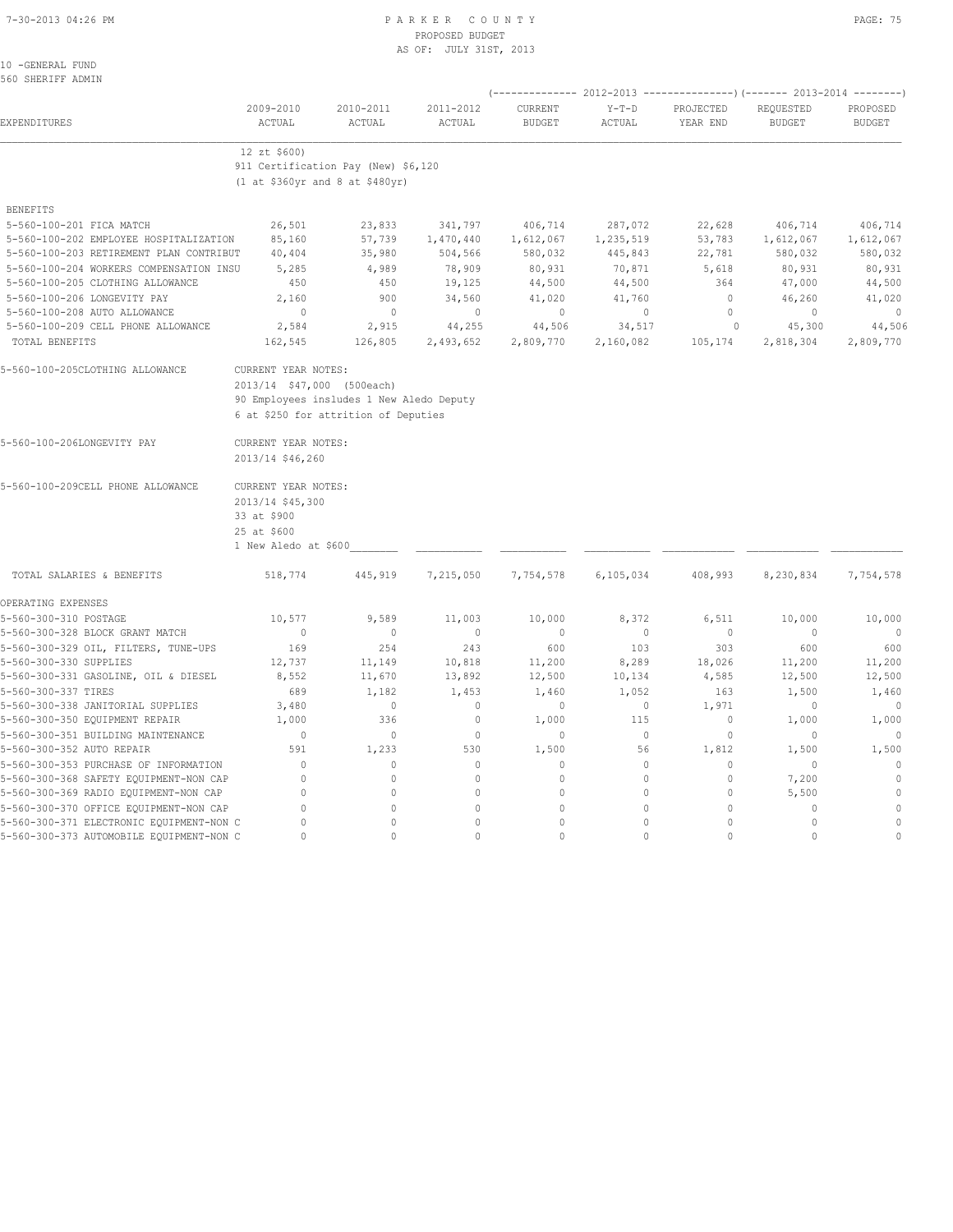#### 7-30-2013 04:26 PM P A R K E R C O U N T Y PAGE: 75 PROPOSED BUDGET AS OF: JULY 31ST, 2013

10 -GENERAL FUND 560 SHERIFF ADMIN

|                                          |                                          |                                      |                     | ----------------) (------- 2013-2014 --------) |                                       |                       |                            |                           |  |  |
|------------------------------------------|------------------------------------------|--------------------------------------|---------------------|------------------------------------------------|---------------------------------------|-----------------------|----------------------------|---------------------------|--|--|
| EXPENDITURES                             | 2009-2010<br>ACTUAL                      | 2010-2011<br>ACTUAL                  | 2011-2012<br>ACTUAL | CURRENT<br><b>BUDGET</b>                       | ------ 2012-2013<br>$Y-T-D$<br>ACTUAL | PROJECTED<br>YEAR END | REQUESTED<br><b>BUDGET</b> | PROPOSED<br><b>BUDGET</b> |  |  |
|                                          | 12 zt \$600)                             |                                      |                     |                                                |                                       |                       |                            |                           |  |  |
|                                          | 911 Certification Pay (New) \$6,120      |                                      |                     |                                                |                                       |                       |                            |                           |  |  |
|                                          |                                          | (1 at \$360yr and 8 at \$480yr)      |                     |                                                |                                       |                       |                            |                           |  |  |
| <b>BENEFITS</b>                          |                                          |                                      |                     |                                                |                                       |                       |                            |                           |  |  |
| 5-560-100-201 FICA MATCH                 | 26,501                                   | 23,833                               | 341,797             | 406,714                                        | 287,072                               | 22,628                | 406,714                    | 406,714                   |  |  |
| 5-560-100-202 EMPLOYEE HOSPITALIZATION   | 85,160                                   | 57,739                               | 1,470,440           | 1,612,067                                      | 1,235,519                             | 53,783                | 1,612,067                  | 1,612,067                 |  |  |
| 5-560-100-203 RETIREMENT PLAN CONTRIBUT  | 40,404                                   | 35,980                               | 504,566             | 580,032                                        | 445,843                               | 22,781                | 580,032                    | 580,032                   |  |  |
| 5-560-100-204 WORKERS COMPENSATION INSU  | 5,285                                    | 4,989                                | 78,909              | 80,931                                         | 70,871                                | 5,618                 | 80,931                     | 80,931                    |  |  |
| 5-560-100-205 CLOTHING ALLOWANCE         | 450                                      | 450                                  | 19,125              | 44,500                                         | 44,500                                | 364                   | 47,000                     | 44,500                    |  |  |
| 5-560-100-206 LONGEVITY PAY              | 2,160                                    | 900                                  | 34,560              | 41,020                                         | 41,760                                | $\circ$               | 46,260                     | 41,020                    |  |  |
| 5-560-100-208 AUTO ALLOWANCE             | $\mathbf{0}$                             | $\mathbf{0}$                         | $\mathbf{0}$        | $\mathbf{0}$                                   | $\circ$                               | $\mathbf{0}$          | $\mathbf{0}$               | $\mathbf{0}$              |  |  |
| 5-560-100-209 CELL PHONE ALLOWANCE       | 2,584                                    | 2,915                                | 44,255              | 44,506                                         | 34,517                                | 0                     | 45,300                     | 44,506                    |  |  |
| TOTAL BENEFITS                           | 162,545                                  | 126,805                              | 2,493,652           | 2,809,770                                      | 2,160,082                             | 105,174               | 2,818,304                  | 2,809,770                 |  |  |
| 5-560-100-205CLOTHING ALLOWANCE          | CURRENT YEAR NOTES:                      |                                      |                     |                                                |                                       |                       |                            |                           |  |  |
|                                          | 2013/14 \$47,000 (500each)               |                                      |                     |                                                |                                       |                       |                            |                           |  |  |
|                                          | 90 Employees insludes 1 New Aledo Deputy |                                      |                     |                                                |                                       |                       |                            |                           |  |  |
|                                          |                                          | 6 at \$250 for attrition of Deputies |                     |                                                |                                       |                       |                            |                           |  |  |
| 5-560-100-206LONGEVITY PAY               | CURRENT YEAR NOTES:                      |                                      |                     |                                                |                                       |                       |                            |                           |  |  |
|                                          | 2013/14 \$46,260                         |                                      |                     |                                                |                                       |                       |                            |                           |  |  |
| 5-560-100-209CELL PHONE ALLOWANCE        | CURRENT YEAR NOTES:                      |                                      |                     |                                                |                                       |                       |                            |                           |  |  |
|                                          | 2013/14 \$45,300                         |                                      |                     |                                                |                                       |                       |                            |                           |  |  |
|                                          | 33 at \$900                              |                                      |                     |                                                |                                       |                       |                            |                           |  |  |
|                                          | 25 at \$600                              |                                      |                     |                                                |                                       |                       |                            |                           |  |  |
|                                          | 1 New Aledo at \$600                     |                                      |                     |                                                |                                       |                       |                            |                           |  |  |
| TOTAL SALARIES & BENEFITS                | 518,774                                  | 445,919                              | 7,215,050           | 7,754,578                                      | 6,105,034                             | 408,993               | 8,230,834                  | 7,754,578                 |  |  |
| OPERATING EXPENSES                       |                                          |                                      |                     |                                                |                                       |                       |                            |                           |  |  |
| 5-560-300-310 POSTAGE                    | 10,577                                   | 9,589                                | 11,003              | 10,000                                         | 8,372                                 | 6,511                 | 10,000                     | 10,000                    |  |  |
| 5-560-300-328 BLOCK GRANT MATCH          | $\mathbf{0}$                             | $\circ$                              | $\mathbf{0}$        | $\mathbf{0}$                                   | $\circ$                               | $\mathbf{0}$          | $\mathbf{0}$               | $\overline{0}$            |  |  |
| 5-560-300-329 OIL, FILTERS, TUNE-UPS     | 169                                      | 254                                  | 243                 | 600                                            | 103                                   | 303                   | 600                        | 600                       |  |  |
| 5-560-300-330 SUPPLIES                   | 12,737                                   | 11,149                               | 10,818              | 11,200                                         | 8,289                                 | 18,026                | 11,200                     | 11,200                    |  |  |
| 5-560-300-331 GASOLINE, OIL & DIESEL     | 8,552                                    | 11,670                               | 13,892              | 12,500                                         | 10,134                                | 4,585                 | 12,500                     | 12,500                    |  |  |
| 5-560-300-337 TIRES                      | 689                                      | 1,182                                | 1,453               | 1,460                                          | 1,052                                 | 163                   | 1,500                      | 1,460                     |  |  |
| 5-560-300-338 JANITORIAL SUPPLIES        | 3,480                                    | $\circ$                              | $\circ$             | $\mathbf{0}$                                   | $\circ$                               | 1,971                 | $\mathbf{0}$               | $\Omega$                  |  |  |
| 5-560-300-350 EQUIPMENT REPAIR           | 1,000                                    | 336                                  | $\circ$             | 1,000                                          | 115                                   | $\circ$               | 1,000                      | 1,000                     |  |  |
| 5-560-300-351 BUILDING MAINTENANCE       | $\mathbf 0$                              | $\mathbb O$                          | $\mathbf 0$         | $\circ$                                        | $\circ$                               | $\circ$               | 0                          | $\mathbf{0}$              |  |  |
| 5-560-300-352 AUTO REPAIR                | 591                                      | 1,233                                | 530                 | 1,500                                          | 56                                    | 1,812                 | 1,500                      | 1,500                     |  |  |
| 5-560-300-353 PURCHASE OF INFORMATION    | $\Omega$                                 | $\circ$                              | $\circ$             | $\Omega$                                       | $\circ$                               | $\circ$               | 0                          | $\Omega$                  |  |  |
| 5-560-300-368 SAFETY EQUIPMENT-NON CAP   | $\Omega$                                 | 0                                    | $\circ$             | $\mathbf{0}$                                   | $\mathbf 0$                           | $\circ$               | 7,200                      | $\mathbb O$               |  |  |
| 5-560-300-369 RADIO EQUIPMENT-NON CAP    | $\mathbf 0$                              | 0                                    | $\mathbf{0}$        | $\mathbf{0}$                                   | $\circ$                               | $\circ$               | 5,500                      | $\mathbb O$               |  |  |
| 5-560-300-370 OFFICE EQUIPMENT-NON CAP   | $\mathbf 0$                              | 0                                    | $\mathbf{0}$        | $\Omega$                                       | $\Omega$                              | $\circ$               | $\mathbf{0}$               | $\circ$                   |  |  |
| 5-560-300-371 ELECTRONIC EQUIPMENT-NON C | $\Omega$                                 | 0                                    | $\circ$             | $\mathbf{0}$                                   | $\circ$                               | $\circ$               | $\mathbf{0}$               | $\circ$                   |  |  |
| 5-560-300-373 AUTOMOBILE EQUIPMENT-NON C | $\Omega$                                 | $\Omega$                             | $\Omega$            | $\bigcap$                                      | $\cap$                                | $\Omega$              | $\Omega$                   | $\mathbf{0}$              |  |  |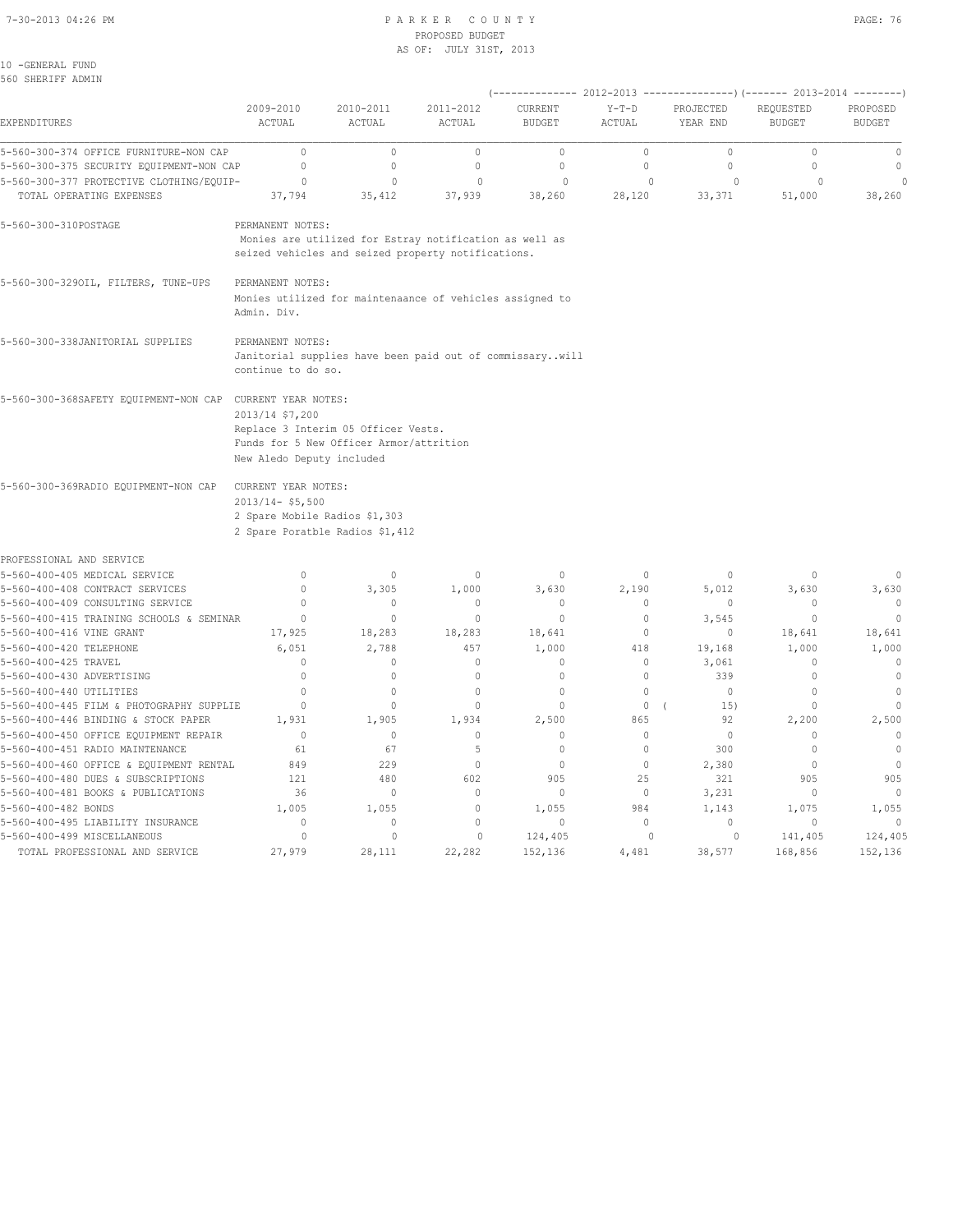#### 7-30-2013 04:26 PM P A R K E R C O U N T Y PAGE: 76 PROPOSED BUDGET AS OF: JULY 31ST, 2013

10 -GENERAL FUND 560 SHERIFF ADMIN

| JUV JHERIFE ADMIN                                         |                                                                            |                                                                                                              |              |               |             | (-------------- 2012-2013 ------------------- 2013-2014 --------- ) |               |                |  |
|-----------------------------------------------------------|----------------------------------------------------------------------------|--------------------------------------------------------------------------------------------------------------|--------------|---------------|-------------|---------------------------------------------------------------------|---------------|----------------|--|
|                                                           | 2009-2010                                                                  | 2010-2011                                                                                                    | 2011-2012    | CURRENT       | $Y-T-D$     | PROJECTED                                                           | REQUESTED     | PROPOSED       |  |
| EXPENDITURES                                              | ACTUAL                                                                     | ACTUAL                                                                                                       | ACTUAL       | <b>BUDGET</b> | ACTUAL      | YEAR END                                                            | <b>BUDGET</b> | <b>BUDGET</b>  |  |
| 5-560-300-374 OFFICE FURNITURE-NON CAP                    | $\mathbb O$                                                                | $\mathbb O$                                                                                                  | $\mathbb O$  | $\mathbb O$   | $\circ$     | $\mathbb O$                                                         | $\mathbb O$   | $\mathbb O$    |  |
| 5-560-300-375 SECURITY EQUIPMENT-NON CAP                  | $\mathbb O$                                                                | $\circ$                                                                                                      | $\circ$      | $\mathbb O$   | $\circ$     | 0                                                                   | $\mathbb O$   | $\mathbb{O}$   |  |
| 5-560-300-377 PROTECTIVE CLOTHING/EQUIP-                  | $\circ$                                                                    | $\mathbf 0$                                                                                                  | $\Omega$     | $\Omega$      | $\Omega$    | $\Omega$                                                            | $\Omega$      | $\Omega$       |  |
| TOTAL OPERATING EXPENSES                                  | 37,794                                                                     | 35,412                                                                                                       | 37,939       | 38,260        | 28,120      | 33,371                                                              | 51,000        | 38,260         |  |
| 5-560-300-310POSTAGE                                      | PERMANENT NOTES:                                                           | Monies are utilized for Estray notification as well as<br>seized vehicles and seized property notifications. |              |               |             |                                                                     |               |                |  |
| 5-560-300-3290IL, FILTERS, TUNE-UPS                       | PERMANENT NOTES:<br>Admin. Div.                                            | Monies utilized for maintenaance of vehicles assigned to                                                     |              |               |             |                                                                     |               |                |  |
| 5-560-300-338JANITORIAL SUPPLIES                          | PERMANENT NOTES:<br>continue to do so.                                     | Janitorial supplies have been paid out of commissarywill                                                     |              |               |             |                                                                     |               |                |  |
| 5-560-300-368SAFETY EQUIPMENT-NON CAP CURRENT YEAR NOTES: | 2013/14 \$7,200<br>New Aledo Deputy included                               | Replace 3 Interim 05 Officer Vests.<br>Funds for 5 New Officer Armor/attrition                               |              |               |             |                                                                     |               |                |  |
| 5-560-300-369RADIO EQUIPMENT-NON CAP                      | CURRENT YEAR NOTES:<br>$2013/14 - $5,500$<br>2 Spare Mobile Radios \$1,303 | 2 Spare Poratble Radios \$1,412                                                                              |              |               |             |                                                                     |               |                |  |
| PROFESSIONAL AND SERVICE                                  |                                                                            |                                                                                                              |              |               |             |                                                                     |               |                |  |
| 5-560-400-405 MEDICAL SERVICE                             | $\mathbb O$                                                                | $\mathbb O$                                                                                                  | $\Omega$     | $\circ$       | $\circ$     | $\Omega$                                                            | $\Omega$      | $\Omega$       |  |
| 5-560-400-408 CONTRACT SERVICES                           | $\mathbf{0}$                                                               | 3,305                                                                                                        | 1,000        | 3,630         | 2,190       | 5,012                                                               | 3,630         | 3,630          |  |
| 5-560-400-409 CONSULTING SERVICE                          | $\mathbf{0}$                                                               | $\circ$                                                                                                      | $\mathbf 0$  | $\circ$       | $\circ$     | $\circ$                                                             | $\mathbf{0}$  | $\circ$        |  |
| 5-560-400-415 TRAINING SCHOOLS & SEMINAR                  | $\mathbb O$                                                                | $\mathbb O$                                                                                                  | $\mathbb O$  | $\mathbb O$   | $\mathbb O$ | 3,545                                                               | $\circ$       | $\circ$        |  |
| 5-560-400-416 VINE GRANT                                  | 17,925                                                                     | 18,283                                                                                                       | 18,283       | 18,641        | $\circ$     | $\mathbf{0}$                                                        | 18,641        | 18,641         |  |
| 5-560-400-420 TELEPHONE                                   | 6,051                                                                      | 2,788                                                                                                        | 457          | 1,000         | 418         | 19,168                                                              | 1,000         | 1,000          |  |
| 5-560-400-425 TRAVEL                                      | $\mathbf{0}$                                                               | $\circ$                                                                                                      | $\circ$      | $\mathbf{0}$  | $\circ$     | 3,061                                                               | $\cup$        | $\mathbf{0}$   |  |
| 5-560-400-430 ADVERTISING                                 | $\mathbb O$                                                                | $\circ$                                                                                                      | $\mathbb O$  | $\mathbb O$   | $\mathbb O$ | 339                                                                 | $\circ$       | $\mathbb O$    |  |
| 5-560-400-440 UTILITIES                                   | $\Omega$                                                                   | $\circ$                                                                                                      | $\mathbf 0$  | $\mathbb O$   | $\mathbb O$ | $\circ$                                                             | $\mathbf 0$   | $\mathbb O$    |  |
| 5-560-400-445 FILM & PHOTOGRAPHY SUPPLIE                  | $\mathbf{0}$                                                               | $\mathbf{0}$                                                                                                 | $\mathbf{0}$ | $\mathbf{0}$  | $\circ$     | 15)                                                                 | $\mathbf{0}$  | $\mathbf{0}$   |  |
| 5-560-400-446 BINDING & STOCK PAPER                       | 1,931                                                                      | 1,905                                                                                                        | 1,934        | 2,500         | 865         | 92                                                                  | 2,200         | 2,500          |  |
| 5-560-400-450 OFFICE EQUIPMENT REPAIR                     | $\mathbf{0}$                                                               | $\circ$                                                                                                      | $\mathbf{0}$ | $\mathbf{0}$  | $\circ$     | $\circ$                                                             | $\mathbf{0}$  | $\mathbf{0}$   |  |
| 5-560-400-451 RADIO MAINTENANCE                           | 61                                                                         | 67                                                                                                           | 5            | $\mathbf{0}$  | $\circ$     | 300                                                                 | $\mathbf{0}$  | $\overline{0}$ |  |
| 5-560-400-460 OFFICE & EQUIPMENT RENTAL                   | 849                                                                        | 229                                                                                                          | $\mathbf{0}$ | $\mathbf{0}$  | $\circ$     | 2,380                                                               | $\mathbf{0}$  | $\overline{0}$ |  |
| 5-560-400-480 DUES & SUBSCRIPTIONS                        | 121                                                                        | 480                                                                                                          | 602          | 905           | 25          | 321                                                                 | 905           | 905            |  |
| 5-560-400-481 BOOKS & PUBLICATIONS                        | 36                                                                         | $\circ$                                                                                                      | $\Omega$     | $\circ$       | $\circ$     | 3,231                                                               | $\circ$       | $\mathbf 0$    |  |
| 5-560-400-482 BONDS                                       | 1,005                                                                      | 1,055                                                                                                        | $\mathbb O$  | 1,055         | 984         | 1,143                                                               | 1,075         | 1,055          |  |
| 5-560-400-495 LIABILITY INSURANCE                         | 0                                                                          | $\circ$                                                                                                      | $\circ$      | $\mathbf{0}$  | $\circ$     | $\circ$                                                             | $\mathbf{0}$  | $\mathbf{0}$   |  |
| 5-560-400-499 MISCELLANEOUS                               | $\circ$                                                                    | 0                                                                                                            | $\circ$      | 124,405       | $\circ$     | $\circ$                                                             | 141,405       | 124,405        |  |
| TOTAL PROFESSIONAL AND SERVICE                            | 27,979                                                                     | 28,111                                                                                                       | 22,282       | 152,136       | 4,481       | 38,577                                                              | 168,856       | 152,136        |  |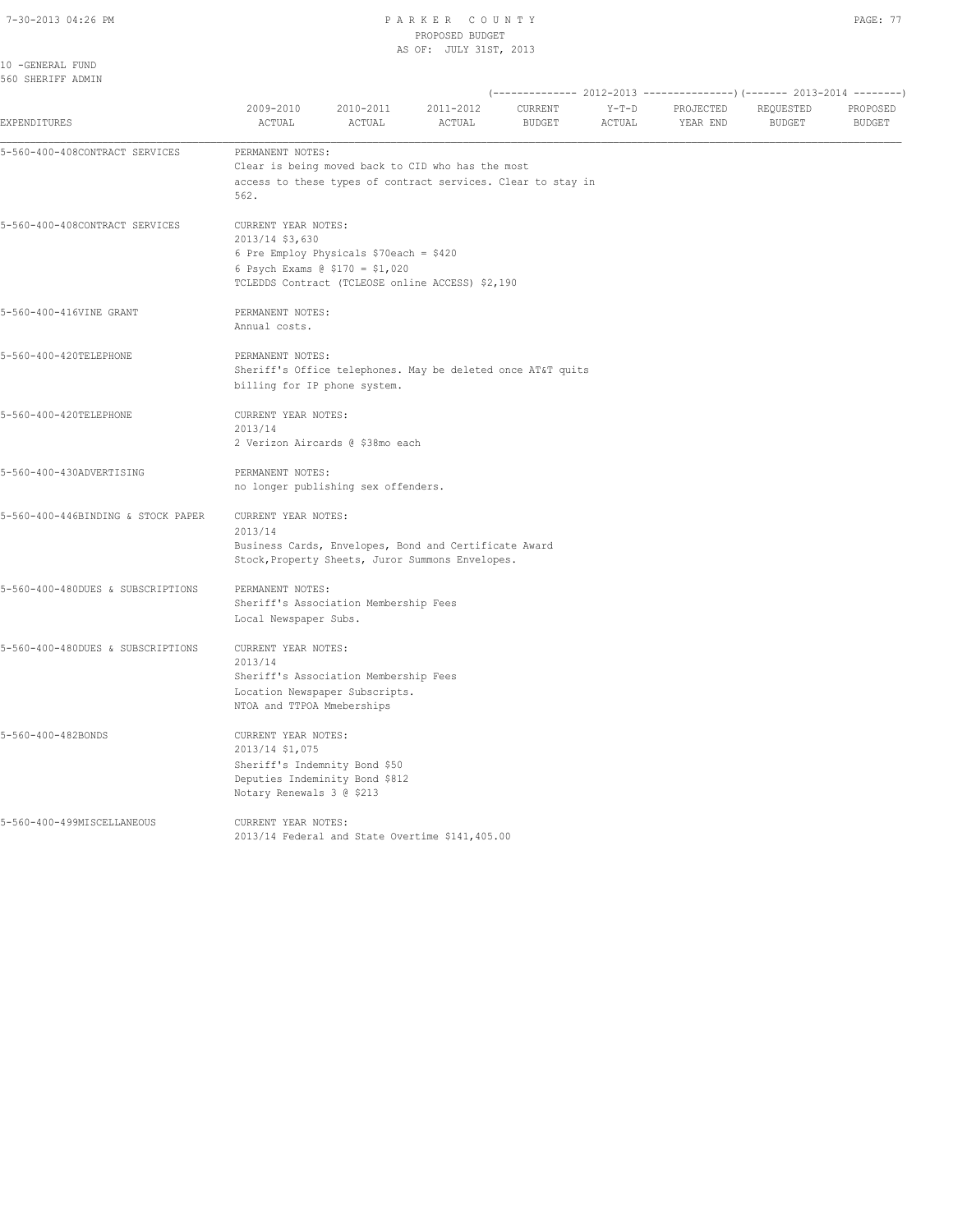10 -GENERAL FUND

#### 7-30-2013 04:26 PM P A R K E R C O U N T Y PROPOSED BUDGET AS OF: JULY 31ST, 2013

| $\sim$<br>- |  |
|-------------|--|
|             |  |

560 SHERIFF ADMIN (-------------- 2012-2013 ---------------)(------- 2013-2014 --------) 2009-2010 2010-2011 2011-2012 CURRENT Y-T-D PROJECTED REQUESTED PROPOSED EXPENDITURES ACTUAL ACTUAL ACTUAL BUDGET ACTUAL YEAR END BUDGET BUDGET 5-560-400-408CONTRACT SERVICES PERMANENT NOTES: Clear is being moved back to CID who has the most access to these types of contract services. Clear to stay in  $562.$ 5-560-400-408CONTRACT SERVICES CURRENT YEAR NOTES: 2013/14 \$3,630 6 Pre Employ Physicals \$70each = \$420 6 Psych Exams @ \$170 = \$1,020 TCLEDDS Contract (TCLEOSE online ACCESS) \$2,190 5-560-400-416VINE GRANT PERMANENT NOTES: Annual costs. 5-560-400-420TELEPHONE PERMANENT NOTES: Sheriff's Office telephones. May be deleted once AT&T quits billing for IP phone system. 5-560-400-420TELEPHONE CURRENT YEAR NOTES: 2013/14 2 Verizon Aircards @ \$38mo each 5-560-400-430ADVERTISING PERMANENT NOTES: no longer publishing sex offenders. 5-560-400-446BINDING & STOCK PAPER CURRENT YEAR NOTES: 2013/14 Business Cards, Envelopes, Bond and Certificate Award Stock,Property Sheets, Juror Summons Envelopes. 5-560-400-480DUES & SUBSCRIPTIONS PERMANENT NOTES: Sheriff's Association Membership Fees Local Newspaper Subs. 5-560-400-480DUES & SUBSCRIPTIONS CURRENT YEAR NOTES: 2013/14 Sheriff's Association Membership Fees Location Newspaper Subscripts. NTOA and TTPOA Mmeberships 5-560-400-482BONDS CURRENT YEAR NOTES: 2013/14 \$1,075 Sheriff's Indemnity Bond \$50 Deputies Indeminity Bond \$812 Notary Renewals 3 @ \$213 5-560-400-499MISCELLANEOUS CURRENT YEAR NOTES: 2013/14 Federal and State Overtime \$141,405.00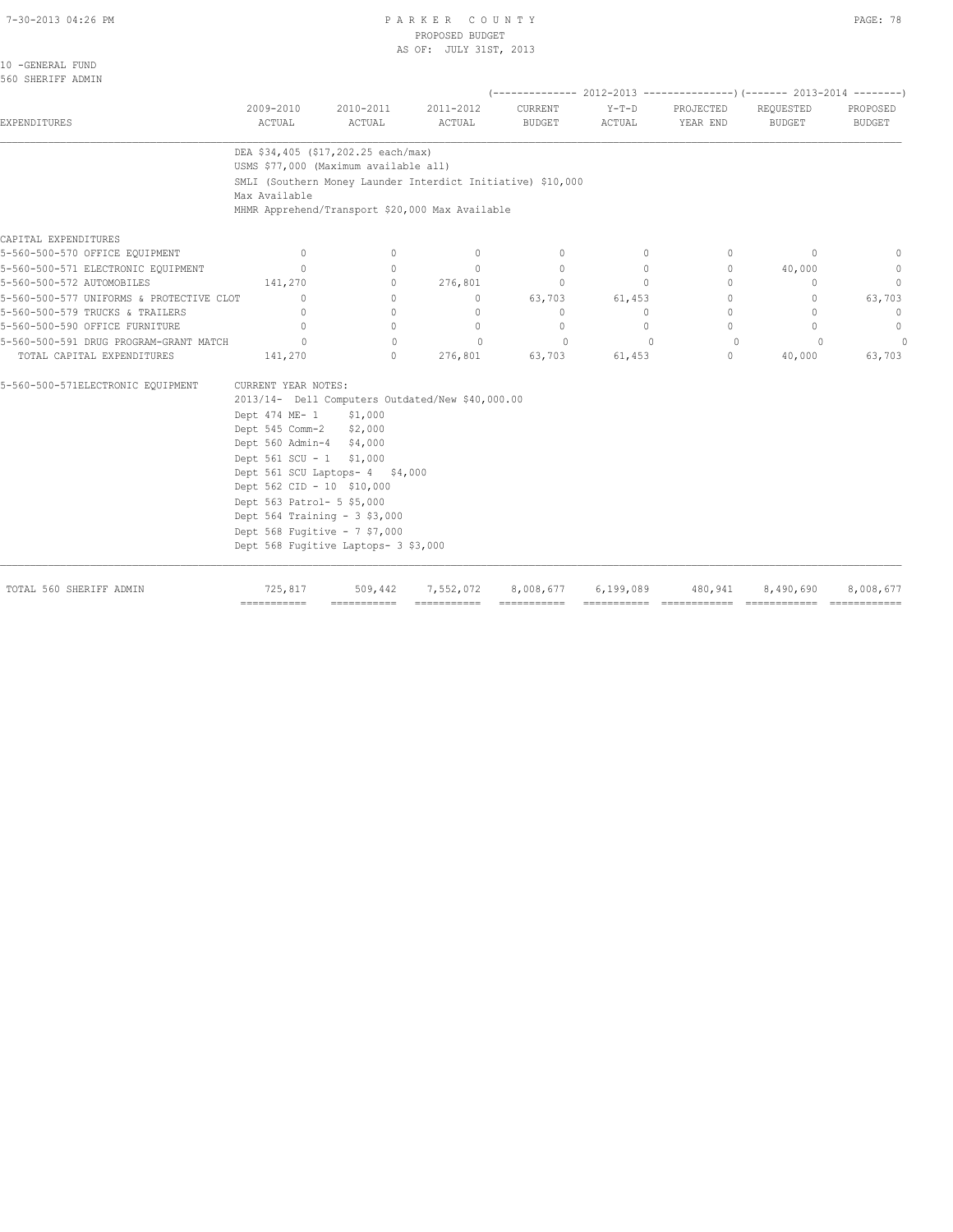#### 7-30-2013 04:26 PM P A R K E R C O U N T Y PAGE: 78 PROPOSED BUDGET AS OF: JULY 31ST, 2013

| 2009-2010<br>ACTUAL | 2010-2011<br>ACTUAL                                                                                                                              | 2011-2012<br>ACTUAL                                                                                                                                                                                                                                                                                              | CURRENT<br><b>BUDGET</b>                                                                                                                                                                                                             | $Y-T-D$<br>ACTUAL                                                                                                                                                             | PROJECTED<br>YEAR END                                                                                                | REQUESTED<br><b>BUDGET</b>                       | PROPOSED<br><b>BUDGET</b>                                                                                                                  |
|---------------------|--------------------------------------------------------------------------------------------------------------------------------------------------|------------------------------------------------------------------------------------------------------------------------------------------------------------------------------------------------------------------------------------------------------------------------------------------------------------------|--------------------------------------------------------------------------------------------------------------------------------------------------------------------------------------------------------------------------------------|-------------------------------------------------------------------------------------------------------------------------------------------------------------------------------|----------------------------------------------------------------------------------------------------------------------|--------------------------------------------------|--------------------------------------------------------------------------------------------------------------------------------------------|
|                     |                                                                                                                                                  |                                                                                                                                                                                                                                                                                                                  |                                                                                                                                                                                                                                      |                                                                                                                                                                               |                                                                                                                      |                                                  |                                                                                                                                            |
| Max Available       |                                                                                                                                                  |                                                                                                                                                                                                                                                                                                                  |                                                                                                                                                                                                                                      |                                                                                                                                                                               |                                                                                                                      |                                                  |                                                                                                                                            |
|                     |                                                                                                                                                  |                                                                                                                                                                                                                                                                                                                  |                                                                                                                                                                                                                                      |                                                                                                                                                                               |                                                                                                                      |                                                  |                                                                                                                                            |
|                     |                                                                                                                                                  |                                                                                                                                                                                                                                                                                                                  |                                                                                                                                                                                                                                      |                                                                                                                                                                               |                                                                                                                      |                                                  |                                                                                                                                            |
|                     |                                                                                                                                                  |                                                                                                                                                                                                                                                                                                                  |                                                                                                                                                                                                                                      |                                                                                                                                                                               |                                                                                                                      |                                                  | $\mathbf{0}$                                                                                                                               |
| $\mathbf{0}$        | 0                                                                                                                                                |                                                                                                                                                                                                                                                                                                                  | $\mathbf{0}$                                                                                                                                                                                                                         | $\circ$                                                                                                                                                                       | $\circ$                                                                                                              | 40,000                                           | $\mathbf{0}$                                                                                                                               |
|                     |                                                                                                                                                  |                                                                                                                                                                                                                                                                                                                  |                                                                                                                                                                                                                                      |                                                                                                                                                                               |                                                                                                                      |                                                  | $\mathbf{0}$                                                                                                                               |
| $\Omega$            | $\Omega$                                                                                                                                         | $\mathbf{0}$                                                                                                                                                                                                                                                                                                     | 63,703                                                                                                                                                                                                                               | 61,453                                                                                                                                                                        | $\circ$                                                                                                              | $\mathbf{0}$                                     | 63,703                                                                                                                                     |
|                     |                                                                                                                                                  |                                                                                                                                                                                                                                                                                                                  |                                                                                                                                                                                                                                      |                                                                                                                                                                               |                                                                                                                      |                                                  | $\mathbf{0}$                                                                                                                               |
|                     |                                                                                                                                                  |                                                                                                                                                                                                                                                                                                                  |                                                                                                                                                                                                                                      |                                                                                                                                                                               |                                                                                                                      |                                                  | $\mathbf{0}$                                                                                                                               |
| $\Omega$            | $\Omega$                                                                                                                                         | $\Omega$                                                                                                                                                                                                                                                                                                         | $\Omega$                                                                                                                                                                                                                             | $\mathbf{0}$                                                                                                                                                                  | $\Omega$                                                                                                             | $\Omega$                                         | $\Omega$                                                                                                                                   |
|                     | $\Omega$                                                                                                                                         |                                                                                                                                                                                                                                                                                                                  |                                                                                                                                                                                                                                      |                                                                                                                                                                               | $\mathbf{0}$                                                                                                         |                                                  | 63,703                                                                                                                                     |
|                     |                                                                                                                                                  |                                                                                                                                                                                                                                                                                                                  |                                                                                                                                                                                                                                      |                                                                                                                                                                               |                                                                                                                      |                                                  |                                                                                                                                            |
|                     |                                                                                                                                                  |                                                                                                                                                                                                                                                                                                                  |                                                                                                                                                                                                                                      |                                                                                                                                                                               |                                                                                                                      |                                                  |                                                                                                                                            |
|                     |                                                                                                                                                  |                                                                                                                                                                                                                                                                                                                  |                                                                                                                                                                                                                                      |                                                                                                                                                                               |                                                                                                                      |                                                  |                                                                                                                                            |
|                     |                                                                                                                                                  |                                                                                                                                                                                                                                                                                                                  |                                                                                                                                                                                                                                      |                                                                                                                                                                               |                                                                                                                      |                                                  |                                                                                                                                            |
|                     |                                                                                                                                                  |                                                                                                                                                                                                                                                                                                                  |                                                                                                                                                                                                                                      |                                                                                                                                                                               |                                                                                                                      |                                                  |                                                                                                                                            |
|                     |                                                                                                                                                  |                                                                                                                                                                                                                                                                                                                  |                                                                                                                                                                                                                                      |                                                                                                                                                                               |                                                                                                                      |                                                  |                                                                                                                                            |
|                     |                                                                                                                                                  |                                                                                                                                                                                                                                                                                                                  |                                                                                                                                                                                                                                      |                                                                                                                                                                               |                                                                                                                      |                                                  |                                                                                                                                            |
|                     |                                                                                                                                                  |                                                                                                                                                                                                                                                                                                                  |                                                                                                                                                                                                                                      |                                                                                                                                                                               |                                                                                                                      |                                                  |                                                                                                                                            |
|                     |                                                                                                                                                  |                                                                                                                                                                                                                                                                                                                  |                                                                                                                                                                                                                                      |                                                                                                                                                                               |                                                                                                                      |                                                  |                                                                                                                                            |
|                     |                                                                                                                                                  |                                                                                                                                                                                                                                                                                                                  |                                                                                                                                                                                                                                      |                                                                                                                                                                               |                                                                                                                      |                                                  |                                                                                                                                            |
|                     |                                                                                                                                                  |                                                                                                                                                                                                                                                                                                                  |                                                                                                                                                                                                                                      |                                                                                                                                                                               |                                                                                                                      |                                                  |                                                                                                                                            |
| 725,817             | 509,442                                                                                                                                          | 7,552,072                                                                                                                                                                                                                                                                                                        | 8,008,677                                                                                                                                                                                                                            | 6,199,089                                                                                                                                                                     | 480,941                                                                                                              | 8,490,690                                        | 8,008,677                                                                                                                                  |
|                     | $\mathbf{0}$<br>141,270<br>5-560-500-577 UNIFORMS & PROTECTIVE CLOT<br>$\Omega$<br>$\Omega$<br>5-560-500-591 DRUG PROGRAM-GRANT MATCH<br>141,270 | $\circ$<br>$\Omega$<br>$\Omega$<br>$\Omega$<br>CURRENT YEAR NOTES:<br>Dept 474 ME- 1 \$1,000<br>Dept 545 Comm-2 \$2,000<br>Dept 560 Admin-4 \$4,000<br>Dept 561 SCU - 1 \$1,000<br>Dept 562 CID - 10 \$10,000<br>Dept 563 Patrol- 5 \$5,000<br>Dept 564 Training - $3$ \$3,000<br>Dept 568 Fugitive - 7 $$7,000$ | DEA \$34,405 (\$17,202.25 each/max)<br>USMS \$77,000 (Maximum available all)<br>$\circ$<br>$\mathbf{0}$<br>276,801<br>$\mathbf{0}$<br>$\Omega$<br>276,801<br>Dept 561 SCU Laptops- 4 \$4,000<br>Dept 568 Fugitive Laptops- 3 \$3,000 | MHMR Apprehend/Transport \$20,000 Max Available<br>$\mathbf{0}$<br>$\mathbf{0}$<br>$\mathbf{0}$<br>$\mathbf{0}$<br>63,703<br>2013/14- Dell Computers Outdated/New \$40,000.00 | SMLI (Southern Money Launder Interdict Initiative) \$10,000<br>$\circ$<br>$\Omega$<br>$\Omega$<br>$\Omega$<br>61,453 | $\mathbf{0}$<br>$\Omega$<br>$\Omega$<br>$\Omega$ | (-------------- 2012-2013 ----------------) (------- 2013-2014 --------)<br>$\mathbf{0}$<br>$\mathbf{0}$<br>$\Omega$<br>$\Omega$<br>40,000 |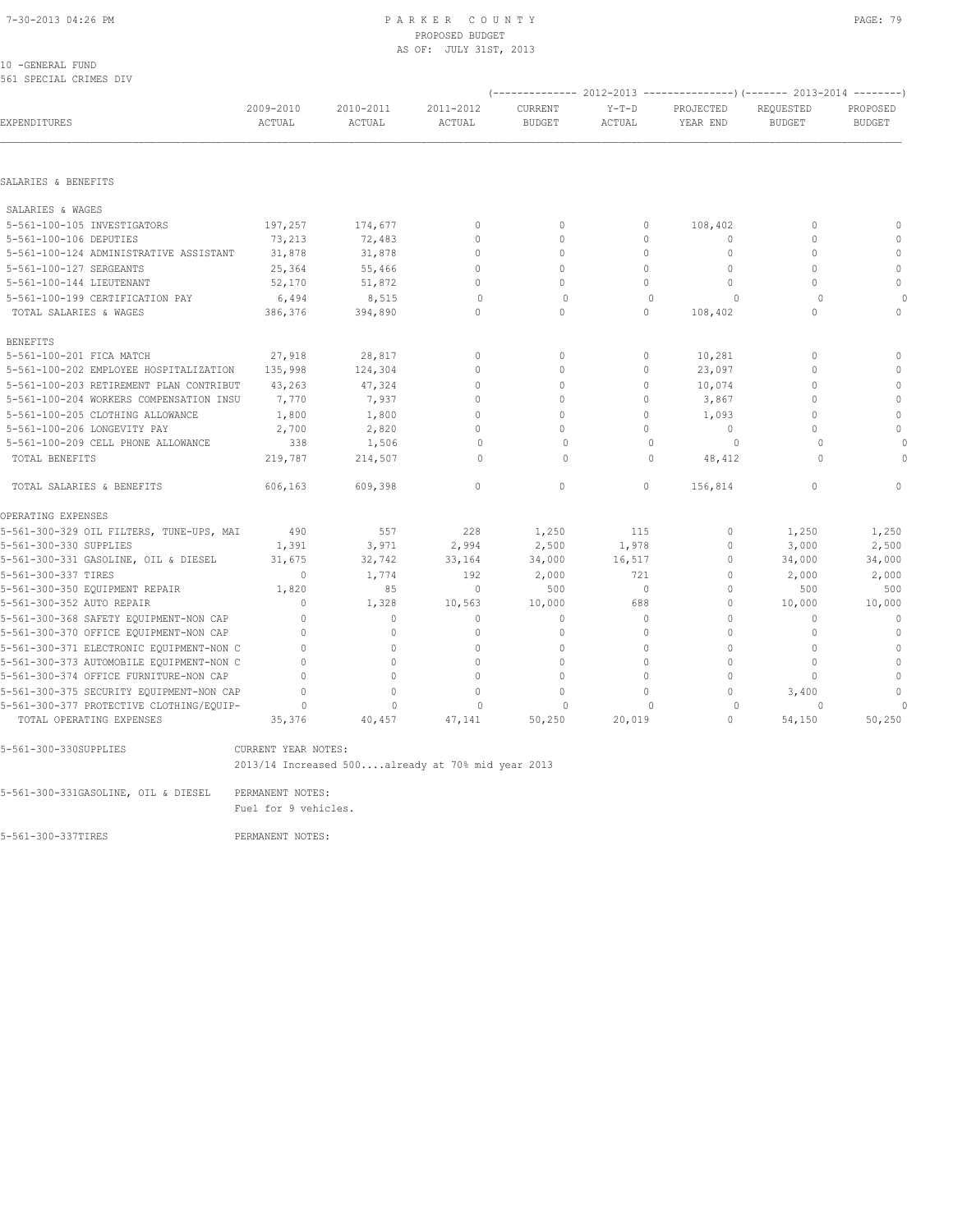#### 10 -GENERAL FUND 561 SPECIAL CRIMES DIV

|                                          |                     |                            |                     |                          |                   | (-------------- 2012-2013 ------------------- 2013-2014 --------- ) |                            |                           |  |
|------------------------------------------|---------------------|----------------------------|---------------------|--------------------------|-------------------|---------------------------------------------------------------------|----------------------------|---------------------------|--|
| EXPENDITURES                             | 2009-2010<br>ACTUAL | 2010-2011<br><b>ACTUAL</b> | 2011-2012<br>ACTUAL | CURRENT<br><b>BUDGET</b> | $Y-T-D$<br>ACTUAL | PROJECTED<br>YEAR END                                               | REOUESTED<br><b>BUDGET</b> | PROPOSED<br><b>BUDGET</b> |  |
|                                          |                     |                            |                     |                          |                   |                                                                     |                            |                           |  |
| SALARIES & BENEFITS                      |                     |                            |                     |                          |                   |                                                                     |                            |                           |  |
| SALARIES & WAGES                         |                     |                            |                     |                          |                   |                                                                     |                            |                           |  |
| 5-561-100-105 INVESTIGATORS              | 197,257             | 174,677                    | $\mathbf{0}$        | $\mathbf{0}$             | $\circ$           | 108,402                                                             | $\mathbf{0}$               | $\Omega$                  |  |
| 5-561-100-106 DEPUTIES                   | 73,213              | 72,483                     | $\Omega$            | $\Omega$                 | $\Omega$          | $\Omega$                                                            | $\Omega$                   | $\Omega$                  |  |
| 5-561-100-124 ADMINISTRATIVE ASSISTANT   | 31,878              | 31,878                     | $\mathbf{0}$        | $\Omega$                 | $\circ$           | $\Omega$                                                            | $\Omega$                   | $\mathbf{0}$              |  |
| 5-561-100-127 SERGEANTS                  | 25,364              | 55,466                     | $\Omega$            | $\Omega$                 | $\Omega$          | $\Omega$                                                            | $\Omega$                   | $\mathbf{0}$              |  |
| 5-561-100-144 LIEUTENANT                 | 52,170              | 51,872                     | $\cap$              | $\Omega$                 | $\cap$            | $\Omega$                                                            | $\Omega$                   | $\mathbf{0}$              |  |
| 5-561-100-199 CERTIFICATION PAY          | 6,494               | 8,515                      | $\Omega$            | $\Omega$                 | $\Omega$          | $\Omega$                                                            | $\Omega$                   | $\cap$                    |  |
| TOTAL SALARIES & WAGES                   | 386,376             | 394,890                    | $\mathbf{0}$        | $\mathbf{0}$             | $\Omega$          | 108,402                                                             | $\Omega$                   | $\Omega$                  |  |
| <b>BENEFITS</b>                          |                     |                            |                     |                          |                   |                                                                     |                            |                           |  |
| 5-561-100-201 FICA MATCH                 | 27,918              | 28,817                     | $\Omega$            | $\Omega$                 | $\Omega$          | 10,281                                                              | $\Omega$                   | $\Omega$                  |  |
| 5-561-100-202 EMPLOYEE HOSPITALIZATION   | 135,998             | 124,304                    | $\Omega$            | $\mathbf{0}$             | 0                 | 23,097                                                              | $\Omega$                   | $\mathbf{0}$              |  |
| 5-561-100-203 RETIREMENT PLAN CONTRIBUT  | 43,263              | 47,324                     | $\mathbf{0}$        | $\mathbf{0}$             | $\Omega$          | 10,074                                                              | $\Omega$                   | $\mathbf{0}$              |  |
| 5-561-100-204 WORKERS COMPENSATION INSU  | 7,770               | 7,937                      | $\Omega$            | $\Omega$                 | $\Omega$          | 3,867                                                               | $\Omega$                   | $\mathbf{0}$              |  |
| 5-561-100-205 CLOTHING ALLOWANCE         | 1,800               | 1,800                      | $\bigcap$           | $\bigcap$                | $\Omega$          | 1,093                                                               | $\bigcap$                  | $\mathbf{0}$              |  |
| 5-561-100-206 LONGEVITY PAY              | 2,700               | 2,820                      | $\circ$             | $\Omega$                 | $\Omega$          | $\circ$                                                             | $\cap$                     | $\mathbf{0}$              |  |
| 5-561-100-209 CELL PHONE ALLOWANCE       | 338                 | 1,506                      | $\circ$             | $\Omega$                 | $\Omega$          | $\circ$                                                             | $\Omega$                   | $\Omega$                  |  |
| TOTAL BENEFITS                           | 219,787             | 214,507                    | $\Omega$            | $\Omega$                 | $\Omega$          | 48,412                                                              | $\cap$                     | $\Omega$                  |  |
| TOTAL SALARIES & BENEFITS                | 606,163             | 609,398                    | $\mathbf{0}$        | $\circ$                  | $\circ$           | 156,814                                                             | 0                          |                           |  |
| OPERATING EXPENSES                       |                     |                            |                     |                          |                   |                                                                     |                            |                           |  |
| 5-561-300-329 OIL FILTERS, TUNE-UPS, MAI | 490                 | 557                        | 228                 | 1,250                    | 115               | $\circ$                                                             | 1,250                      | 1,250                     |  |
| 5-561-300-330 SUPPLIES                   | 1,391               | 3,971                      | 2,994               | 2,500                    | 1,978             | $\Omega$                                                            | 3,000                      | 2,500                     |  |
| 5-561-300-331 GASOLINE, OIL & DIESEL     | 31,675              | 32,742                     | 33,164              | 34,000                   | 16,517            | $\circ$                                                             | 34,000                     | 34,000                    |  |
| 5-561-300-337 TIRES                      | $\Omega$            | 1,774                      | 192                 | 2,000                    | 721               | $\circ$                                                             | 2,000                      | 2,000                     |  |
| 5-561-300-350 EQUIPMENT REPAIR           | 1,820               | 85                         | $\mathbf{0}$        | 500                      | $\bigcirc$        | $\Omega$                                                            | 500                        | 500                       |  |
| 5-561-300-352 AUTO REPAIR                | $\Omega$            | 1,328                      | 10,563              | 10,000                   | 688               | $\Omega$                                                            | 10,000                     | 10,000                    |  |
| 5-561-300-368 SAFETY EQUIPMENT-NON CAP   | $\mathbf{0}$        | $\mathbf{0}$               | $\mathbf{0}$        | $\mathbf{0}$             | 0                 | $\circ$                                                             | $\mathbf{0}$               | $\mathbf{0}$              |  |
| 5-561-300-370 OFFICE EQUIPMENT-NON CAP   | $\Omega$            | $\Omega$                   | $\Omega$            | $\Omega$                 | $\Omega$          | $\Omega$                                                            | $\Omega$                   | $\mathbf{0}$              |  |
| 5-561-300-371 ELECTRONIC EQUIPMENT-NON C | $\bigcap$           | $\Omega$                   | $\Omega$            | $\Omega$                 | $\Omega$          | $\Omega$                                                            | $\bigcap$                  | $\Omega$                  |  |
| 5-561-300-373 AUTOMOBILE EQUIPMENT-NON C | $\Omega$            | $\Omega$                   | $\Omega$            | $\Omega$                 | $\Omega$          | $\Omega$                                                            | $\Omega$                   | $\mathbf{0}$              |  |
| 5-561-300-374 OFFICE FURNITURE-NON CAP   | $\Omega$            | $\Omega$                   | $\Omega$            | $\Omega$                 | $\Omega$          | $\circ$                                                             | $\Omega$                   | $\mathbf{0}$              |  |
| 5-561-300-375 SECURITY EQUIPMENT-NON CAP | $\cap$              | $\Omega$                   | $\Omega$            | $\Omega$                 | $\Omega$          | $\Omega$                                                            | 3,400                      | $\Omega$                  |  |
| 5-561-300-377 PROTECTIVE CLOTHING/EQUIP- | $\Omega$            | $\Omega$                   | $\Omega$            | $\Omega$                 | $\Omega$          | $\circ$                                                             | $\Omega$                   | $\Omega$                  |  |
| TOTAL OPERATING EXPENSES                 | 35,376              | 40,457                     | 47,141              | 50,250                   | 20,019            | $\Omega$                                                            | 54,150                     | 50,250                    |  |
|                                          |                     |                            |                     |                          |                   |                                                                     |                            |                           |  |

5-561-300-330SUPPLIES CURRENT YEAR NOTES:

2013/14 Increased 500....already at 70% mid year 2013

5-561-300-331GASOLINE, OIL & DIESEL PERMANENT NOTES:

Fuel for 9 vehicles.

5-561-300-337TIRES PERMANENT NOTES: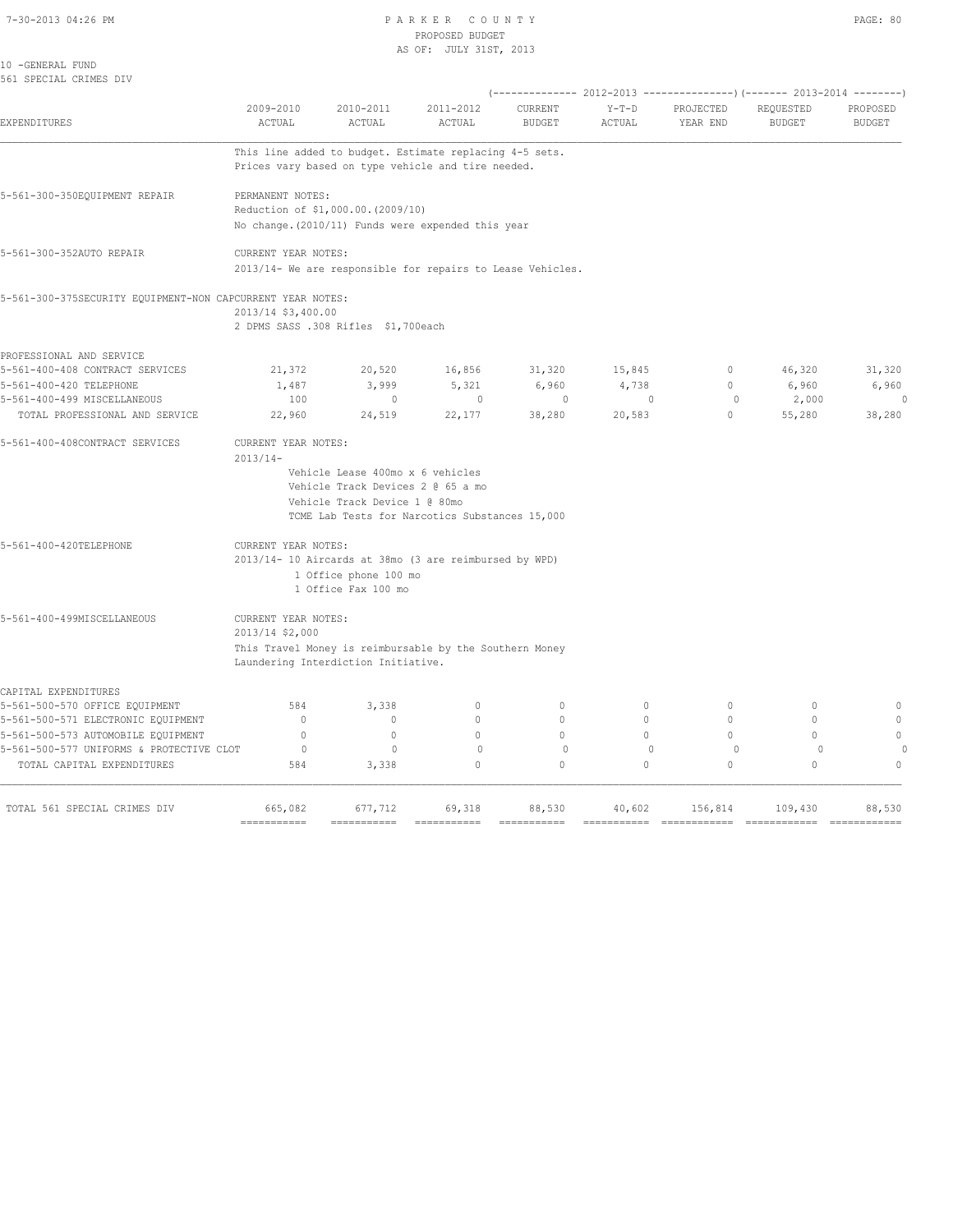#### 7-30-2013 04:26 PM P A R K E R C O U N T Y PAGE: 80 PROPOSED BUDGET AS OF: JULY 31ST, 2013

| ACTUAL                                              | ACTUAL                         | ACTUAL                                                                                                                                                                                                                        | <b>BUDGET</b>                                                                                                                                                                                                                                                                                      | <b>ACTUAL</b>                                                                                                                                                                                                                                                                                                                                                    | PROJECTED<br>YEAR END                                                            | REQUESTED<br><b>BUDGET</b> | PROPOSED<br><b>BUDGET</b>                                                             |
|-----------------------------------------------------|--------------------------------|-------------------------------------------------------------------------------------------------------------------------------------------------------------------------------------------------------------------------------|----------------------------------------------------------------------------------------------------------------------------------------------------------------------------------------------------------------------------------------------------------------------------------------------------|------------------------------------------------------------------------------------------------------------------------------------------------------------------------------------------------------------------------------------------------------------------------------------------------------------------------------------------------------------------|----------------------------------------------------------------------------------|----------------------------|---------------------------------------------------------------------------------------|
|                                                     |                                |                                                                                                                                                                                                                               |                                                                                                                                                                                                                                                                                                    |                                                                                                                                                                                                                                                                                                                                                                  |                                                                                  |                            |                                                                                       |
|                                                     |                                |                                                                                                                                                                                                                               |                                                                                                                                                                                                                                                                                                    |                                                                                                                                                                                                                                                                                                                                                                  |                                                                                  |                            |                                                                                       |
|                                                     |                                |                                                                                                                                                                                                                               |                                                                                                                                                                                                                                                                                                    |                                                                                                                                                                                                                                                                                                                                                                  |                                                                                  |                            |                                                                                       |
|                                                     |                                |                                                                                                                                                                                                                               |                                                                                                                                                                                                                                                                                                    |                                                                                                                                                                                                                                                                                                                                                                  |                                                                                  |                            |                                                                                       |
|                                                     |                                |                                                                                                                                                                                                                               |                                                                                                                                                                                                                                                                                                    |                                                                                                                                                                                                                                                                                                                                                                  |                                                                                  |                            |                                                                                       |
|                                                     |                                |                                                                                                                                                                                                                               |                                                                                                                                                                                                                                                                                                    |                                                                                                                                                                                                                                                                                                                                                                  |                                                                                  |                            |                                                                                       |
|                                                     |                                |                                                                                                                                                                                                                               |                                                                                                                                                                                                                                                                                                    |                                                                                                                                                                                                                                                                                                                                                                  |                                                                                  |                            |                                                                                       |
| 21,372                                              | 20,520                         | 16,856                                                                                                                                                                                                                        | 31,320                                                                                                                                                                                                                                                                                             | 15,845                                                                                                                                                                                                                                                                                                                                                           | $\mathbb O$                                                                      | 46,320                     | 31,320                                                                                |
| 1,487                                               | 3,999                          | 5,321                                                                                                                                                                                                                         | 6,960                                                                                                                                                                                                                                                                                              | 4,738                                                                                                                                                                                                                                                                                                                                                            | $\circ$                                                                          | 6,960                      | 6,960                                                                                 |
|                                                     |                                |                                                                                                                                                                                                                               |                                                                                                                                                                                                                                                                                                    |                                                                                                                                                                                                                                                                                                                                                                  |                                                                                  |                            | $\Omega$                                                                              |
| 22,960                                              | 24,519                         | 22,177                                                                                                                                                                                                                        | 38,280                                                                                                                                                                                                                                                                                             | 20,583                                                                                                                                                                                                                                                                                                                                                           | $\circ$                                                                          | 55,280                     | 38,280                                                                                |
|                                                     |                                |                                                                                                                                                                                                                               |                                                                                                                                                                                                                                                                                                    |                                                                                                                                                                                                                                                                                                                                                                  |                                                                                  |                            |                                                                                       |
|                                                     |                                |                                                                                                                                                                                                                               |                                                                                                                                                                                                                                                                                                    |                                                                                                                                                                                                                                                                                                                                                                  |                                                                                  |                            |                                                                                       |
|                                                     |                                |                                                                                                                                                                                                                               |                                                                                                                                                                                                                                                                                                    |                                                                                                                                                                                                                                                                                                                                                                  |                                                                                  |                            |                                                                                       |
|                                                     |                                |                                                                                                                                                                                                                               |                                                                                                                                                                                                                                                                                                    |                                                                                                                                                                                                                                                                                                                                                                  |                                                                                  |                            |                                                                                       |
|                                                     |                                |                                                                                                                                                                                                                               |                                                                                                                                                                                                                                                                                                    |                                                                                                                                                                                                                                                                                                                                                                  |                                                                                  |                            |                                                                                       |
|                                                     |                                |                                                                                                                                                                                                                               |                                                                                                                                                                                                                                                                                                    |                                                                                                                                                                                                                                                                                                                                                                  |                                                                                  |                            |                                                                                       |
|                                                     |                                |                                                                                                                                                                                                                               |                                                                                                                                                                                                                                                                                                    |                                                                                                                                                                                                                                                                                                                                                                  |                                                                                  |                            |                                                                                       |
|                                                     |                                |                                                                                                                                                                                                                               |                                                                                                                                                                                                                                                                                                    |                                                                                                                                                                                                                                                                                                                                                                  |                                                                                  |                            |                                                                                       |
| 2013/14 \$2,000                                     |                                |                                                                                                                                                                                                                               |                                                                                                                                                                                                                                                                                                    |                                                                                                                                                                                                                                                                                                                                                                  |                                                                                  |                            |                                                                                       |
|                                                     |                                |                                                                                                                                                                                                                               |                                                                                                                                                                                                                                                                                                    |                                                                                                                                                                                                                                                                                                                                                                  |                                                                                  |                            |                                                                                       |
|                                                     |                                |                                                                                                                                                                                                                               |                                                                                                                                                                                                                                                                                                    |                                                                                                                                                                                                                                                                                                                                                                  |                                                                                  |                            |                                                                                       |
| 584                                                 | 3,338                          | $\circ$                                                                                                                                                                                                                       | $\circ$                                                                                                                                                                                                                                                                                            | $\circ$                                                                                                                                                                                                                                                                                                                                                          | $\circ$                                                                          | $\mathbf{0}$               | $\mathbb O$                                                                           |
| $\mathbb O$                                         | $\circ$                        | $\circ$                                                                                                                                                                                                                       | $\circ$                                                                                                                                                                                                                                                                                            | $\circ$                                                                                                                                                                                                                                                                                                                                                          | $\circ$                                                                          | $\circ$                    | $\circ$                                                                               |
| $\circ$                                             | $\circ$                        | $\Omega$                                                                                                                                                                                                                      | $\Omega$                                                                                                                                                                                                                                                                                           | $\Omega$                                                                                                                                                                                                                                                                                                                                                         | $\Omega$                                                                         | $\Omega$                   | $\circ$                                                                               |
| 5-561-500-577 UNIFORMS & PROTECTIVE CLOT<br>$\circ$ | $\mathbf{0}$                   | $\mathbf{0}$                                                                                                                                                                                                                  | $\circ$                                                                                                                                                                                                                                                                                            | $\overline{0}$                                                                                                                                                                                                                                                                                                                                                   | $\circ$                                                                          | $\circ$                    |                                                                                       |
| 584                                                 | 3,338                          | $\Omega$                                                                                                                                                                                                                      | $\Omega$                                                                                                                                                                                                                                                                                           | $\Omega$                                                                                                                                                                                                                                                                                                                                                         | $\Omega$                                                                         | $\Omega$                   | $\Omega$                                                                              |
|                                                     |                                |                                                                                                                                                                                                                               |                                                                                                                                                                                                                                                                                                    |                                                                                                                                                                                                                                                                                                                                                                  |                                                                                  |                            |                                                                                       |
|                                                     | 2009-2010<br>100<br>$2013/14-$ | 2010-2011<br>PERMANENT NOTES:<br>CURRENT YEAR NOTES:<br>5-561-300-375SECURITY EQUIPMENT-NON CAPCURRENT YEAR NOTES:<br>2013/14 \$3,400.00<br>$\mathbf{0}$<br>CURRENT YEAR NOTES:<br>CURRENT YEAR NOTES:<br>CURRENT YEAR NOTES: | 2011-2012<br>Reduction of \$1,000.00. (2009/10)<br>2 DPMS SASS .308 Rifles \$1,700each<br>$\circ$<br>Vehicle Lease 400mo x 6 vehicles<br>Vehicle Track Devices 2 @ 65 a mo<br>Vehicle Track Device 1 @ 80mo<br>1 Office phone 100 mo<br>1 Office Fax 100 mo<br>Laundering Interdiction Initiative. | CURRENT<br>This line added to budget. Estimate replacing 4-5 sets.<br>Prices vary based on type vehicle and tire needed.<br>No change. (2010/11) Funds were expended this year<br>$\circ$<br>TCME Lab Tests for Narcotics Substances 15,000<br>2013/14- 10 Aircards at 38mo (3 are reimbursed by WPD)<br>This Travel Money is reimbursable by the Southern Money | $Y-T-D$<br>2013/14- We are responsible for repairs to Lease Vehicles.<br>$\circ$ | $\circ$                    | (-------------- 2012-2013 -------------------) (------- 2013-2014 ---------)<br>2,000 |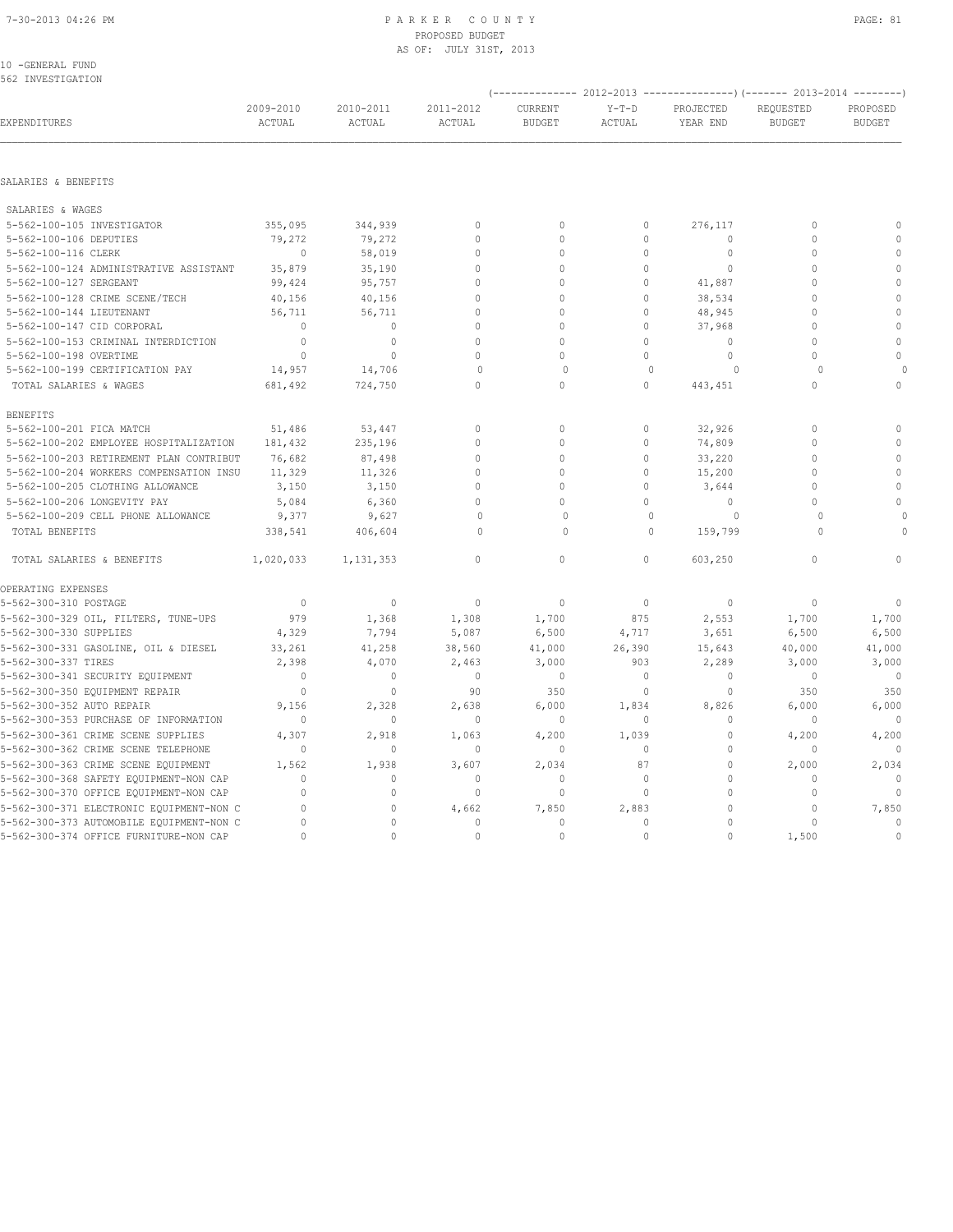#### 7-30-2013 04:26 PM P A R K E R C O U N T Y PAGE: 81 PROPOSED BUDGET AS OF: JULY 31ST, 2013

#### 10 -GENERAL FUND 562 INVESTIGATION

|                                               |                        |                     |                              |                              |                   |                             | (-------------- 2012-2013 ---------------) (------- 2013-2014 --------) |                           |
|-----------------------------------------------|------------------------|---------------------|------------------------------|------------------------------|-------------------|-----------------------------|-------------------------------------------------------------------------|---------------------------|
| EXPENDITURES                                  | 2009-2010<br>ACTUAL    | 2010-2011<br>ACTUAL | 2011-2012<br>ACTUAL          | CURRENT<br><b>BUDGET</b>     | $Y-T-D$<br>ACTUAL | PROJECTED<br>YEAR END       | REQUESTED<br><b>BUDGET</b>                                              | PROPOSED<br><b>BUDGET</b> |
| SALARIES & BENEFITS                           |                        |                     |                              |                              |                   |                             |                                                                         |                           |
|                                               |                        |                     |                              |                              |                   |                             |                                                                         |                           |
| SALARIES & WAGES                              |                        |                     |                              |                              |                   |                             |                                                                         |                           |
| 5-562-100-105 INVESTIGATOR                    | 355,095                | 344,939             | $\mathbf{0}$                 | $\mathbf{0}$                 | 0<br>$\Omega$     | 276,117                     | 0<br>$\Omega$                                                           | $\mathbf{0}$<br>$\circ$   |
| 5-562-100-106 DEPUTIES<br>5-562-100-116 CLERK | 79,272<br>$\mathbf{0}$ | 79,272<br>58,019    | $\mathbf{0}$<br>$\mathbf{0}$ | $\mathbf{0}$<br>$\mathbf{0}$ | $\circ$           | $\mathbf{0}$<br>$\mathbb O$ | 0                                                                       | $\mathbb O$               |
| 5-562-100-124 ADMINISTRATIVE ASSISTANT        | 35,879                 | 35,190              | $\mathbf{0}$                 | $\mathbf{0}$                 | $\mathbf 0$       | $\mathbf{0}$                | $\Omega$                                                                | $\mathbb O$               |
| 5-562-100-127 SERGEANT                        | 99,424                 | 95,757              | $\mathbf{0}$                 | $\mathbf{0}$                 | $\circ$           | 41,887                      | $\Omega$                                                                | $\mathbb O$               |
| 5-562-100-128 CRIME SCENE/TECH                | 40,156                 | 40,156              | $\Omega$                     | $\mathbf{0}$                 | $\mathbf 0$       | 38,534                      | $\Omega$                                                                | $\mathbb O$               |
| 5-562-100-144 LIEUTENANT                      | 56,711                 | 56,711              | $\Omega$                     | $\mathbf{0}$                 | $\Omega$          | 48,945                      | 0                                                                       | $\mathbb O$               |
| 5-562-100-147 CID CORPORAL                    | $\mathbf{0}$           | $\mathbf{0}$        | $\Omega$                     | $\mathbf{0}$                 | $\Omega$          | 37,968                      | $\Omega$                                                                | $\mathbb O$               |
| 5-562-100-153 CRIMINAL INTERDICTION           | $\circ$                | $\circ$             | $\Omega$                     | $\Omega$                     | $\Omega$          | $\Omega$                    | $\Omega$                                                                | $\mathbf{0}$              |
| 5-562-100-198 OVERTIME                        | $\mathbf{0}$           | $\circ$             | $\Omega$                     | $\Omega$                     | $\circ$           | $\mathbf{0}$                | $\Omega$                                                                | $\mathbf 0$               |
| 5-562-100-199 CERTIFICATION PAY               | 14,957                 | 14,706              | $\mathbf{0}$                 | $\Omega$                     | $\mathbf{0}$      | $\circ$                     | $\Omega$                                                                | $\cap$                    |
| TOTAL SALARIES & WAGES                        | 681,492                | 724,750             | $\Omega$                     | $\Omega$                     | $\Omega$          | 443,451                     | $\Omega$                                                                | $\mathbf 0$               |
| <b>BENEFITS</b>                               |                        |                     |                              |                              |                   |                             |                                                                         |                           |
| 5-562-100-201 FICA MATCH                      | 51,486                 | 53,447              | $\mathbf{0}$                 | $\circ$                      | 0                 | 32,926                      | 0                                                                       | $\circ$                   |
| 5-562-100-202 EMPLOYEE HOSPITALIZATION        | 181,432                | 235,196             | $\mathbf{0}$                 | $\mathbf{0}$                 | $\circ$           | 74,809                      | $\Omega$                                                                | $\circ$                   |
| 5-562-100-203 RETIREMENT PLAN CONTRIBUT       | 76,682                 | 87,498              | $\Omega$                     | $\mathbf{0}$                 | $\Omega$          | 33,220                      | $\Omega$                                                                | $\mathbf{0}$              |
| 5-562-100-204 WORKERS COMPENSATION INSU       | 11,329                 | 11,326              | $\mathbf{0}$                 | $\mathbf{0}$                 | $\Omega$          | 15,200                      | $\Omega$                                                                | $\mathbf{0}$              |
| 5-562-100-205 CLOTHING ALLOWANCE              | 3,150                  | 3,150               | $\circ$                      | $\mathbf{0}$                 | $\mathbf 0$       | 3,644                       | $\Omega$                                                                | $\circ$                   |
| 5-562-100-206 LONGEVITY PAY                   | 5,084                  | 6,360               | $\Omega$                     | $\Omega$                     | $\Omega$          | $\circ$                     | $\Omega$                                                                | $\mathbf 0$               |
| 5-562-100-209 CELL PHONE ALLOWANCE            | 9,377                  | 9,627               | $\mathbf{0}$                 | $\circ$                      | $\mathbf{0}$      | $\circ$                     | $\Omega$                                                                |                           |
| TOTAL BENEFITS                                | 338,541                | 406,604             | $\Omega$                     | $\Omega$                     | $\Omega$          | 159,799                     | $\Omega$                                                                | $\Omega$                  |
| TOTAL SALARIES & BENEFITS                     | 1,020,033              | 1, 131, 353         | $\Omega$                     | $\Omega$                     | $\Omega$          | 603,250                     | $\Omega$                                                                |                           |
| OPERATING EXPENSES                            |                        |                     |                              |                              |                   |                             |                                                                         |                           |
| 5-562-300-310 POSTAGE                         | $\mathbf{0}$           | $\mathbf{0}$        | $\mathbf{0}$                 | $\circ$                      | $\circ$           | $\mathbf{0}$                | $\mathbf{0}$                                                            | $\mathbf{0}$              |
| 5-562-300-329 OIL, FILTERS, TUNE-UPS          | 979                    | 1,368               | 1,308                        | 1,700                        | 875               | 2,553                       | 1,700                                                                   | 1,700                     |
| 5-562-300-330 SUPPLIES                        | 4,329                  | 7,794               | 5,087                        | 6,500                        | 4,717             | 3,651                       | 6,500                                                                   | 6,500                     |
| 5-562-300-331 GASOLINE, OIL & DIESEL          | 33,261                 | 41,258              | 38,560                       | 41,000                       | 26,390            | 15,643                      | 40,000                                                                  | 41,000                    |
| 5-562-300-337 TIRES                           | 2,398                  | 4,070               | 2,463                        | 3,000                        | 903               | 2,289                       | 3,000                                                                   | 3,000                     |
| 5-562-300-341 SECURITY EQUIPMENT              | $\Omega$               | $\mathbf{0}$        | $\mathbf{0}$                 | $\mathbf{0}$                 | $\circ$           | $\Omega$                    | $\mathbf{0}$                                                            | $\overline{0}$            |
| 5-562-300-350 EQUIPMENT REPAIR                | $\Omega$               | $\Omega$            | 90                           | 350                          | $\Omega$          | $\Omega$                    | 350                                                                     | 350                       |
| 5-562-300-352 AUTO REPAIR                     | 9,156                  | 2,328               | 2,638                        | 6,000                        | 1,834             | 8,826                       | 6,000                                                                   | 6,000                     |
| 5-562-300-353 PURCHASE OF INFORMATION         | $\mathbf{0}$           | $\mathbf{0}$        | $\mathbf{0}$                 | $\mathbf{0}$                 | $\circ$           | $\mathbf{0}$                | $\mathbf{0}$                                                            | $\mathbf{0}$              |
| 5-562-300-361 CRIME SCENE SUPPLIES            | 4,307                  | 2,918               | 1,063                        | 4,200                        | 1,039             | $\mathbf{0}$                | 4,200                                                                   | 4,200                     |
| 5-562-300-362 CRIME SCENE TELEPHONE           | $\Omega$               | $\mathbf{0}$        | $\mathbf{0}$                 | $\mathbf{0}$                 | $\circ$           | $\mathbf{0}$                | $\mathbf{0}$                                                            | $\Omega$                  |
| 5-562-300-363 CRIME SCENE EQUIPMENT           | 1,562                  | 1,938               | 3,607                        | 2,034                        | 87                | $\mathbb O$                 | 2,000                                                                   | 2,034                     |
| 5-562-300-368 SAFETY EQUIPMENT-NON CAP        | $\Omega$               | $\circ$             | $\mathbf{0}$                 | $\mathbf{0}$                 | $\Omega$          | $\mathbf{0}$                | 0                                                                       | $\circ$                   |
| 5-562-300-370 OFFICE EQUIPMENT-NON CAP        | $\Omega$               | $\circ$             | $\Omega$                     | $\mathbf{0}$                 | $\Omega$          | $\Omega$                    | $\Omega$                                                                | $\Omega$                  |
| 5-562-300-371 ELECTRONIC EQUIPMENT-NON C      | $\Omega$               | $\circ$             | 4,662                        | 7,850                        | 2,883             | $\Omega$                    | $\mathbf{0}$                                                            | 7,850                     |
| 5-562-300-373 AUTOMOBILE EQUIPMENT-NON C      |                        | $\Omega$            | $\mathbf 0$                  | $\Omega$                     | $\Omega$          | $\Omega$                    | $\Omega$                                                                | $\Omega$                  |
| 5-562-300-374 OFFICE FURNITURE-NON CAP        | $\Omega$               | $\Omega$            | $\Omega$                     | $\Omega$                     | $\Omega$          | $\Omega$                    | 1,500                                                                   | $\circ$                   |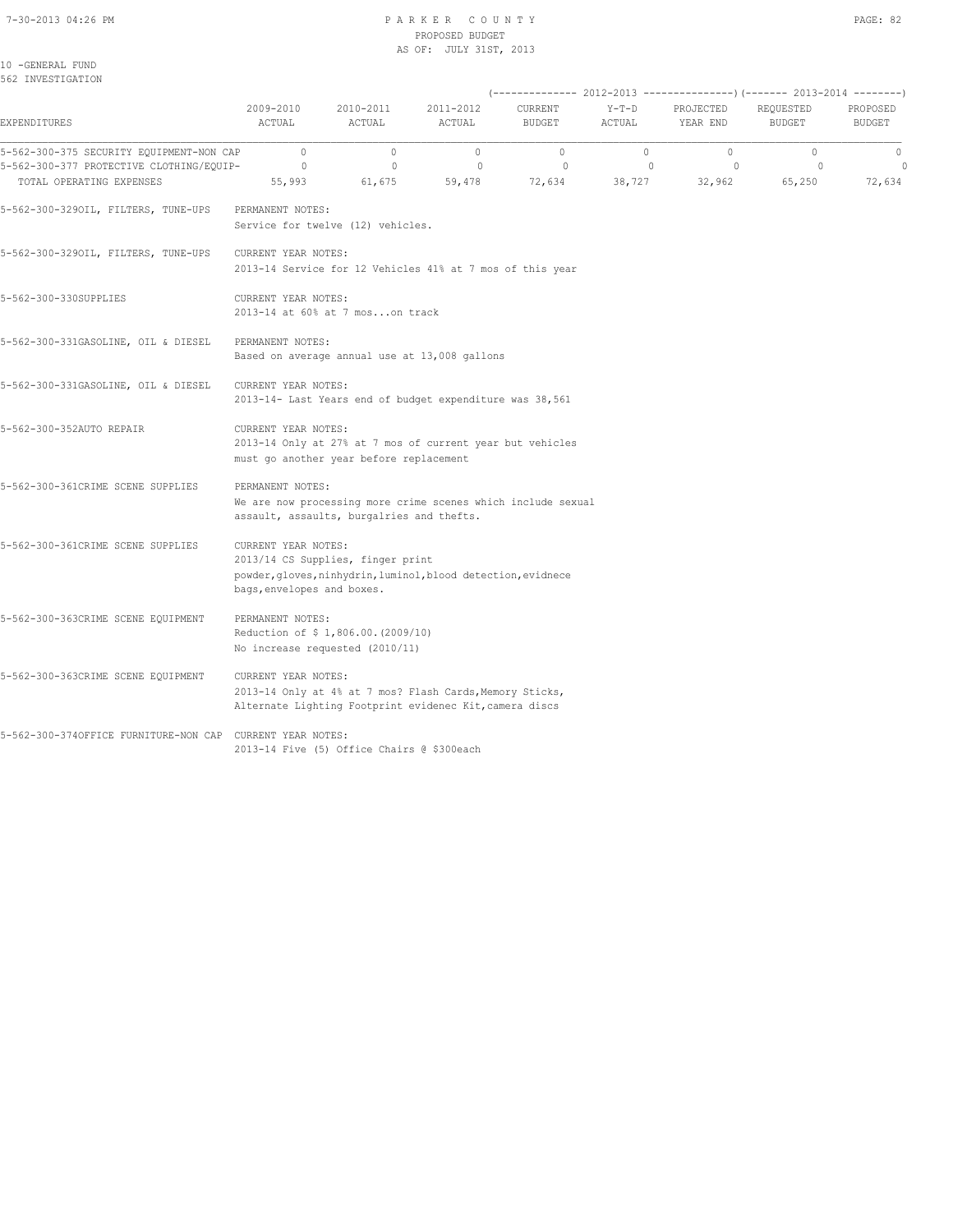#### 7-30-2013 04:26 PM P A R K E R C O U N T Y PAGE: 82 PROPOSED BUDGET AS OF: JULY 31ST, 2013

10 -GENERAL FUND 562 INVESTIGATION

|                                                                                                                  |                                                   |                                                                       |                                                                                                                     | (-------------- 2012-2013 ----------------) (------- 2013-2014 --------) |                                   |                              |                              |                                  |
|------------------------------------------------------------------------------------------------------------------|---------------------------------------------------|-----------------------------------------------------------------------|---------------------------------------------------------------------------------------------------------------------|--------------------------------------------------------------------------|-----------------------------------|------------------------------|------------------------------|----------------------------------|
| EXPENDITURES                                                                                                     | 2009-2010<br>ACTUAL                               | 2010-2011<br>ACTUAL                                                   | 2011-2012<br>ACTUAL                                                                                                 | CURRENT<br><b>BUDGET</b>                                                 | $Y-T-D$<br>ACTUAL                 | PROJECTED<br>YEAR END        | REQUESTED<br><b>BUDGET</b>   | PROPOSED<br><b>BUDGET</b>        |
| 5-562-300-375 SECURITY EQUIPMENT-NON CAP<br>5-562-300-377 PROTECTIVE CLOTHING/EQUIP-<br>TOTAL OPERATING EXPENSES | $\circ$<br>$\circ$<br>55,993                      | $\circ$<br>$\mathbf{0}$<br>61,675                                     | $\circ$<br>$\mathbf{0}$<br>59,478                                                                                   | $\circ$<br>$\circ$<br>72,634                                             | $\circ$<br>$\mathbf{0}$<br>38,727 | $\circ$<br>$\circ$<br>32,962 | $\circ$<br>$\circ$<br>65,250 | $\mathbf 0$<br>$\circ$<br>72,634 |
| 5-562-300-3290IL, FILTERS, TUNE-UPS                                                                              | PERMANENT NOTES:                                  | Service for twelve (12) vehicles.                                     |                                                                                                                     |                                                                          |                                   |                              |                              |                                  |
| 5-562-300-3290IL, FILTERS, TUNE-UPS                                                                              | CURRENT YEAR NOTES:                               |                                                                       | 2013-14 Service for 12 Vehicles 41% at 7 mos of this year                                                           |                                                                          |                                   |                              |                              |                                  |
| 5-562-300-330SUPPLIES                                                                                            | CURRENT YEAR NOTES:                               | 2013-14 at 60% at 7 moson track                                       |                                                                                                                     |                                                                          |                                   |                              |                              |                                  |
| 5-562-300-331GASOLINE, OIL & DIESEL                                                                              | PERMANENT NOTES:                                  |                                                                       | Based on average annual use at 13,008 gallons                                                                       |                                                                          |                                   |                              |                              |                                  |
| 5-562-300-331GASOLINE, OIL & DIESEL                                                                              | CURRENT YEAR NOTES:                               |                                                                       | 2013-14- Last Years end of budget expenditure was 38,561                                                            |                                                                          |                                   |                              |                              |                                  |
| 5-562-300-352AUTO REPAIR                                                                                         | CURRENT YEAR NOTES:                               | must go another year before replacement                               | 2013-14 Only at 27% at 7 mos of current year but vehicles                                                           |                                                                          |                                   |                              |                              |                                  |
| 5-562-300-361CRIME SCENE SUPPLIES                                                                                | PERMANENT NOTES:                                  | assault, assaults, burgalries and thefts.                             | We are now processing more crime scenes which include sexual                                                        |                                                                          |                                   |                              |                              |                                  |
| 5-562-300-361CRIME SCENE SUPPLIES                                                                                | CURRENT YEAR NOTES:<br>bags, envelopes and boxes. | 2013/14 CS Supplies, finger print                                     | powder, gloves, ninhydrin, luminol, blood detection, evidnece                                                       |                                                                          |                                   |                              |                              |                                  |
| 5-562-300-363CRIME SCENE EQUIPMENT                                                                               | PERMANENT NOTES:                                  | Reduction of \$1,806.00. (2009/10)<br>No increase requested (2010/11) |                                                                                                                     |                                                                          |                                   |                              |                              |                                  |
| 5-562-300-363CRIME SCENE EQUIPMENT                                                                               | CURRENT YEAR NOTES:                               |                                                                       | 2013-14 Only at 4% at 7 mos? Flash Cards, Memory Sticks,<br>Alternate Lighting Footprint evidenec Kit, camera discs |                                                                          |                                   |                              |                              |                                  |
| 5-562-300-3740FFICE FURNITURE-NON CAP CURRENT YEAR NOTES:                                                        |                                                   | 2013-14 Five (5) Office Chairs @ \$300each                            |                                                                                                                     |                                                                          |                                   |                              |                              |                                  |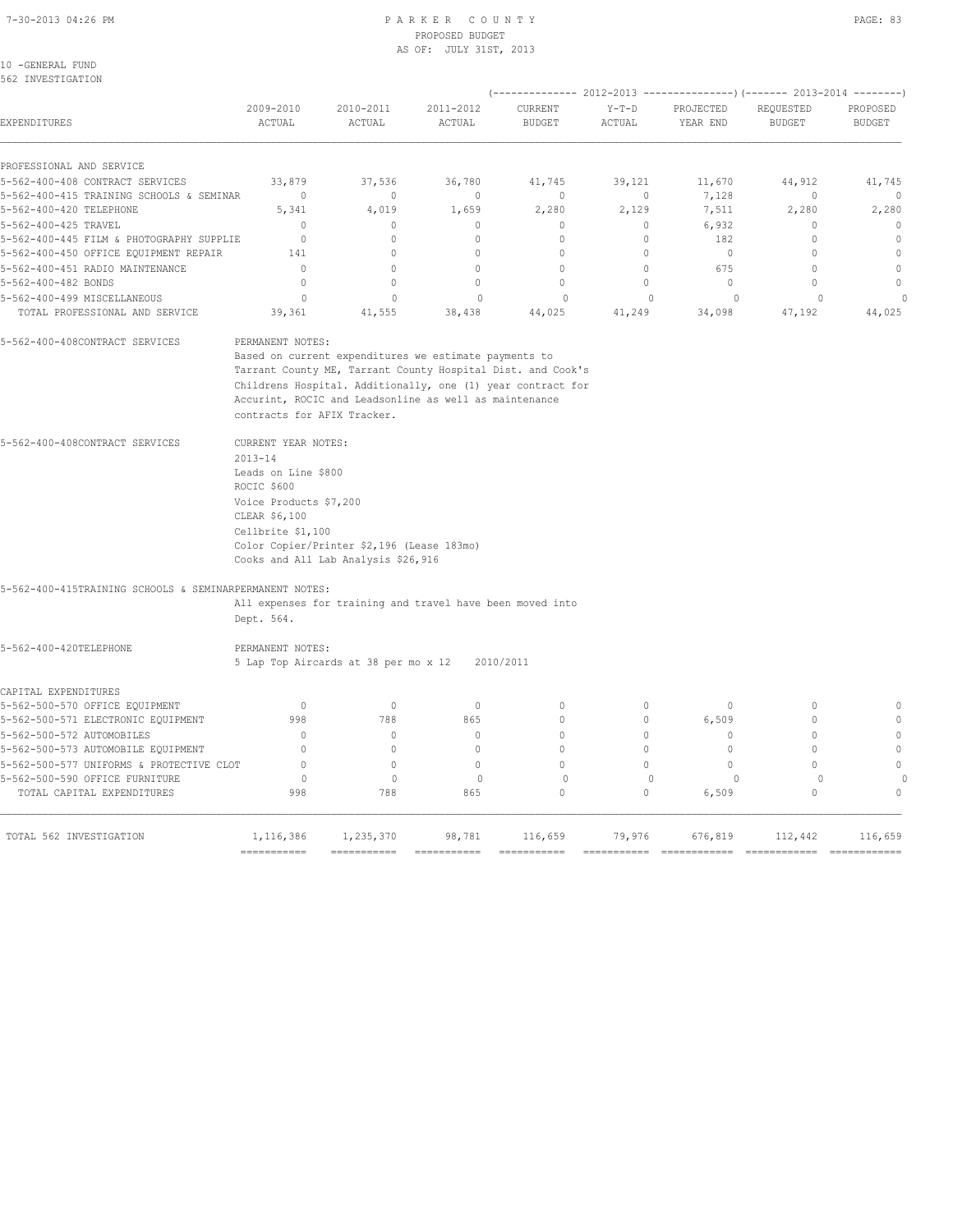#### 7-30-2013 04:26 PM P A R K E R C O U N T Y PAGE: 83 PROPOSED BUDGET AS OF: JULY 31ST, 2013

| 10 | -GENERAL FUND |  |
|----|---------------|--|
|    |               |  |

| 2009-2010<br>ACTUAL                         | 2010-2011<br>ACTUAL                                                                                                                                                                               | 2011-2012<br>ACTUAL                                                                                                                                                                                                                                                                            | <b>CURRENT</b><br><b>BUDGET</b>                                                                                                                                                              | $Y-T-D$<br>ACTUAL                                                                                                                                                                                                                                            | PROJECTED<br>YEAR END                                                                                                                                                                                                                                   | REQUESTED<br><b>BUDGET</b>                    | PROPOSED<br><b>BUDGET</b>                                                                                                                                                  |
|---------------------------------------------|---------------------------------------------------------------------------------------------------------------------------------------------------------------------------------------------------|------------------------------------------------------------------------------------------------------------------------------------------------------------------------------------------------------------------------------------------------------------------------------------------------|----------------------------------------------------------------------------------------------------------------------------------------------------------------------------------------------|--------------------------------------------------------------------------------------------------------------------------------------------------------------------------------------------------------------------------------------------------------------|---------------------------------------------------------------------------------------------------------------------------------------------------------------------------------------------------------------------------------------------------------|-----------------------------------------------|----------------------------------------------------------------------------------------------------------------------------------------------------------------------------|
|                                             |                                                                                                                                                                                                   |                                                                                                                                                                                                                                                                                                |                                                                                                                                                                                              |                                                                                                                                                                                                                                                              |                                                                                                                                                                                                                                                         |                                               |                                                                                                                                                                            |
| 33,879                                      | 37,536                                                                                                                                                                                            | 36,780                                                                                                                                                                                                                                                                                         | 41,745                                                                                                                                                                                       | 39,121                                                                                                                                                                                                                                                       | 11,670                                                                                                                                                                                                                                                  | 44,912                                        | 41,745                                                                                                                                                                     |
| $\Omega$                                    | $\Omega$                                                                                                                                                                                          | $\Omega$                                                                                                                                                                                                                                                                                       | $\Omega$                                                                                                                                                                                     | $\circ$                                                                                                                                                                                                                                                      | 7,128                                                                                                                                                                                                                                                   | $\mathbf{0}$                                  | $\mathbf{0}$                                                                                                                                                               |
| 5,341                                       | 4,019                                                                                                                                                                                             | 1,659                                                                                                                                                                                                                                                                                          | 2,280                                                                                                                                                                                        | 2,129                                                                                                                                                                                                                                                        | 7,511                                                                                                                                                                                                                                                   | 2,280                                         | 2,280                                                                                                                                                                      |
| $\mathbb O$                                 | $\mathbb O$                                                                                                                                                                                       | $\mathbf 0$                                                                                                                                                                                                                                                                                    | 0                                                                                                                                                                                            | 0                                                                                                                                                                                                                                                            | 6,932                                                                                                                                                                                                                                                   | $\Omega$                                      | $\mathbb O$                                                                                                                                                                |
| $\mathbf{0}$                                | $\circ$                                                                                                                                                                                           | $\mathbf{0}$                                                                                                                                                                                                                                                                                   | $\mathbf{0}$                                                                                                                                                                                 | $\circ$                                                                                                                                                                                                                                                      | 182                                                                                                                                                                                                                                                     | $\mathbf{0}$                                  | $\mathbf{0}$                                                                                                                                                               |
|                                             |                                                                                                                                                                                                   |                                                                                                                                                                                                                                                                                                |                                                                                                                                                                                              |                                                                                                                                                                                                                                                              |                                                                                                                                                                                                                                                         |                                               | $\mathbf{0}$                                                                                                                                                               |
|                                             |                                                                                                                                                                                                   |                                                                                                                                                                                                                                                                                                |                                                                                                                                                                                              |                                                                                                                                                                                                                                                              |                                                                                                                                                                                                                                                         |                                               | $\Omega$                                                                                                                                                                   |
|                                             |                                                                                                                                                                                                   |                                                                                                                                                                                                                                                                                                |                                                                                                                                                                                              |                                                                                                                                                                                                                                                              |                                                                                                                                                                                                                                                         |                                               | $\mathbf{0}$                                                                                                                                                               |
| 39,361                                      | 41,555                                                                                                                                                                                            | 38,438                                                                                                                                                                                                                                                                                         | 44,025                                                                                                                                                                                       | 41,249                                                                                                                                                                                                                                                       | 34,098                                                                                                                                                                                                                                                  | 47,192                                        | $\cap$<br>44,025                                                                                                                                                           |
|                                             |                                                                                                                                                                                                   |                                                                                                                                                                                                                                                                                                |                                                                                                                                                                                              |                                                                                                                                                                                                                                                              |                                                                                                                                                                                                                                                         |                                               |                                                                                                                                                                            |
| $2013 - 14$<br>ROCIC \$600<br>CLEAR \$6,100 |                                                                                                                                                                                                   |                                                                                                                                                                                                                                                                                                |                                                                                                                                                                                              |                                                                                                                                                                                                                                                              |                                                                                                                                                                                                                                                         |                                               |                                                                                                                                                                            |
| Dept. 564.                                  |                                                                                                                                                                                                   |                                                                                                                                                                                                                                                                                                |                                                                                                                                                                                              |                                                                                                                                                                                                                                                              |                                                                                                                                                                                                                                                         |                                               |                                                                                                                                                                            |
|                                             |                                                                                                                                                                                                   |                                                                                                                                                                                                                                                                                                |                                                                                                                                                                                              |                                                                                                                                                                                                                                                              |                                                                                                                                                                                                                                                         |                                               |                                                                                                                                                                            |
|                                             |                                                                                                                                                                                                   |                                                                                                                                                                                                                                                                                                |                                                                                                                                                                                              |                                                                                                                                                                                                                                                              |                                                                                                                                                                                                                                                         |                                               |                                                                                                                                                                            |
| $\mathbf{0}$                                | $\mathbb O$                                                                                                                                                                                       | $\mathbb O$                                                                                                                                                                                                                                                                                    | $\mathbf{0}$                                                                                                                                                                                 | $\circ$                                                                                                                                                                                                                                                      | $\circ$                                                                                                                                                                                                                                                 | $\mathbf{0}$                                  | $\mathbb O$                                                                                                                                                                |
| 998                                         | 788                                                                                                                                                                                               | 865                                                                                                                                                                                                                                                                                            | $\Omega$                                                                                                                                                                                     | $\Omega$                                                                                                                                                                                                                                                     | 6,509                                                                                                                                                                                                                                                   | $\Omega$                                      | $\circ$                                                                                                                                                                    |
| $\Omega$                                    | $\circ$                                                                                                                                                                                           | $\mathbf{0}$                                                                                                                                                                                                                                                                                   | $\Omega$                                                                                                                                                                                     | 0                                                                                                                                                                                                                                                            | $\mathbf{0}$                                                                                                                                                                                                                                            | $\mathbf{0}$                                  | $\mathbf{0}$                                                                                                                                                               |
| $\bigcap$                                   | $\Omega$                                                                                                                                                                                          | $\Omega$                                                                                                                                                                                                                                                                                       | $\Omega$                                                                                                                                                                                     | $\Omega$                                                                                                                                                                                                                                                     | $\Omega$                                                                                                                                                                                                                                                | $\cap$                                        | $\Omega$                                                                                                                                                                   |
| $\Omega$                                    | $\Omega$                                                                                                                                                                                          | $\Omega$                                                                                                                                                                                                                                                                                       | $\Omega$                                                                                                                                                                                     | $\Omega$                                                                                                                                                                                                                                                     | $\Omega$                                                                                                                                                                                                                                                | $\cap$                                        | $\theta$                                                                                                                                                                   |
| 998                                         | 788                                                                                                                                                                                               | 865                                                                                                                                                                                                                                                                                            | $\Omega$                                                                                                                                                                                     | $\Omega$                                                                                                                                                                                                                                                     | 0<br>6,509                                                                                                                                                                                                                                              | $\Omega$                                      | $\Omega$                                                                                                                                                                   |
| 1,116,386                                   | 1,235,370                                                                                                                                                                                         | 98,781                                                                                                                                                                                                                                                                                         | 116,659                                                                                                                                                                                      | 79,976                                                                                                                                                                                                                                                       | 676,819                                                                                                                                                                                                                                                 | 112,442                                       | 116,659<br>============                                                                                                                                                    |
|                                             | 5-562-400-415 TRAINING SCHOOLS & SEMINAR<br>5-562-400-445 FILM & PHOTOGRAPHY SUPPLIE<br>141<br>$\Omega$<br>$\mathbf{0}$<br>$\mathbf 0$<br>5-562-500-577 UNIFORMS & PROTECTIVE CLOT<br>$\mathbf 0$ | $\Omega$<br>$\Omega$<br>$\circ$<br>$\mathbf{0}$<br>PERMANENT NOTES:<br>contracts for AFIX Tracker.<br>CURRENT YEAR NOTES:<br>Leads on Line \$800<br>Voice Products \$7,200<br>Cellbrite \$1,100<br>5-562-400-415TRAINING SCHOOLS & SEMINARPERMANENT NOTES:<br>PERMANENT NOTES:<br>$\mathbf{0}$ | $\circ$<br>$\Omega$<br>$\mathbf{0}$<br>$\Omega$<br>Color Copier/Printer \$2,196 (Lease 183mo)<br>Cooks and All Lab Analysis \$26,916<br>5 Lap Top Aircards at 38 per mo x 12<br>$\mathbf{0}$ | $\cap$<br>$\Omega$<br>$\mathbf 0$<br>$\mathbf 0$<br>Based on current expenditures we estimate payments to<br>Accurint, ROCIC and Leadsonline as well as maintenance<br>All expenses for training and travel have been moved into<br>2010/2011<br>$\mathbf 0$ | $\circ$<br>$\Omega$<br>$\circ$<br>$\mathbf{0}$<br>Tarrant County ME, Tarrant County Hospital Dist. and Cook's<br>Childrens Hospital. Additionally, one (1) year contract for<br>$\mathbf{0}$<br>===========<br>===========<br>$=$ = = = = = = = = = = = | $\mathbf{0}$<br>675<br>$\mathbb O$<br>$\circ$ | (-------------- 2012-2013 ---------------) (------- 2013-2014 --------)<br>$\mathbf{0}$<br>$\Omega$<br>$\mathbf{0}$<br>$\cap$<br>$\mathbf 0$<br>------------- ------------ |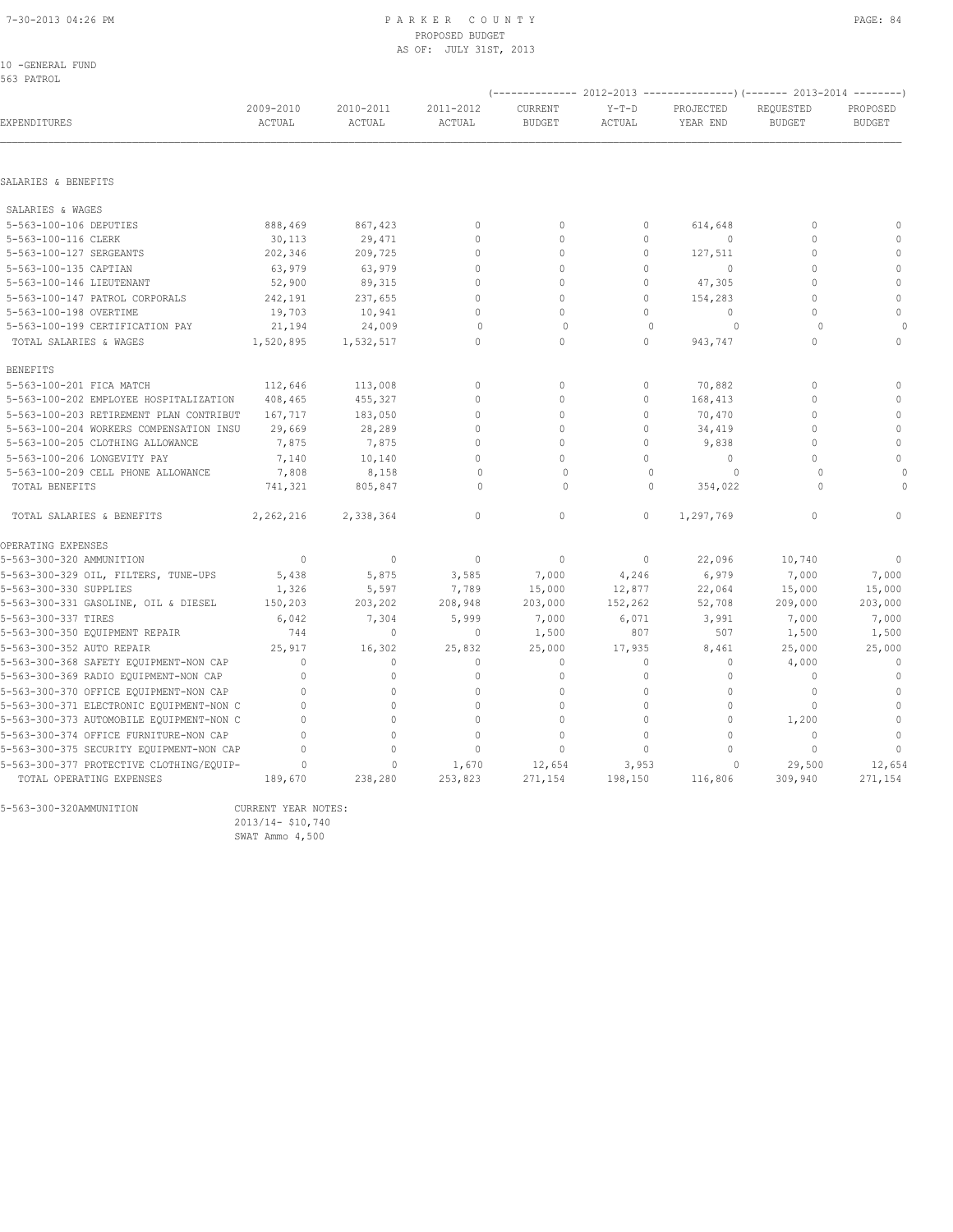#### 7-30-2013 04:26 PM P A R K E R C O U N T Y PAGE: 84 PROPOSED BUDGET AS OF: JULY 31ST, 2013

10 -GENERAL FUND

| 563 PATROL                               |                     |                     |                     |                                 |                   |                       |                                                                                                 |                           |
|------------------------------------------|---------------------|---------------------|---------------------|---------------------------------|-------------------|-----------------------|-------------------------------------------------------------------------------------------------|---------------------------|
| EXPENDITURES                             | 2009-2010<br>ACTUAL | 2010-2011<br>ACTUAL | 2011-2012<br>ACTUAL | <b>CURRENT</b><br><b>BUDGET</b> | $Y-T-D$<br>ACTUAL | PROJECTED<br>YEAR END | (-------------- 2012-2013 ----------------) (------- 2013-2014 --------)<br>REQUESTED<br>BUDGET | PROPOSED<br><b>BUDGET</b> |
| SALARIES & BENEFITS                      |                     |                     |                     |                                 |                   |                       |                                                                                                 |                           |
|                                          |                     |                     |                     |                                 |                   |                       |                                                                                                 |                           |
| SALARIES & WAGES                         |                     |                     |                     |                                 |                   |                       |                                                                                                 |                           |
| 5-563-100-106 DEPUTIES                   | 888,469             | 867,423             | $\mathbf{0}$        | $\Omega$                        | $\circ$           | 614,648               | $\Omega$                                                                                        | $\Omega$                  |
| 5-563-100-116 CLERK                      | 30,113              | 29,471              | $\mathbb O$         | $\mathbf{0}$                    | $\circ$           | $\circ$               | $\mathbf{0}$                                                                                    | $\Omega$                  |
| 5-563-100-127 SERGEANTS                  | 202,346             | 209,725             | $\mathbf{0}$        | $\Omega$                        | $\circ$           | 127,511               | $\Omega$                                                                                        | $\mathbf{0}$              |
| 5-563-100-135 CAPTIAN                    | 63,979              | 63,979              | $\Omega$            | $\Omega$                        | $\Omega$          | $\bigcirc$            | $\Omega$                                                                                        | $\mathbf{0}$              |
| 5-563-100-146 LIEUTENANT                 | 52,900              | 89,315              | $\Omega$            | $\Omega$                        | $\circ$           | 47,305                | $\mathbf{0}$                                                                                    | $\mathbf{0}$              |
| 5-563-100-147 PATROL CORPORALS           | 242,191             | 237,655             | $\Omega$            | $\Omega$                        | $\Omega$          | 154,283               | $\Omega$                                                                                        | $\mathbf{0}$              |
| 5-563-100-198 OVERTIME                   | 19,703              | 10,941              | $\Omega$            | $\Omega$                        | $\Omega$          | $\bigcirc$            | $\Omega$                                                                                        | $\Omega$                  |
| 5-563-100-199 CERTIFICATION PAY          | 21,194              | 24,009              | $\Omega$            | $\Omega$                        | $\Omega$          | $\Omega$              | $\Omega$                                                                                        |                           |
| TOTAL SALARIES & WAGES                   | 1,520,895           | 1,532,517           | $\mathbf{0}$        | 0                               | 0                 | 943,747               | $\mathbf{0}$                                                                                    | $\Omega$                  |
| <b>BENEFITS</b>                          |                     |                     |                     |                                 |                   |                       |                                                                                                 |                           |
| 5-563-100-201 FICA MATCH                 | 112,646             | 113,008             | $\mathbf{0}$        | $\Omega$                        | $\circ$           | 70,882                | $\Omega$                                                                                        | $\mathbf{0}$              |
| 5-563-100-202 EMPLOYEE HOSPITALIZATION   | 408,465             | 455,327             | $\Omega$            | $\Omega$                        | $\Omega$          | 168,413               | $\Omega$                                                                                        | $\theta$                  |
| 5-563-100-203 RETIREMENT PLAN CONTRIBUT  | 167,717             | 183,050             | $\Omega$            | $\Omega$                        | $\circ$           | 70,470                | $\mathbf{0}$                                                                                    | $\mathbf{0}$              |
| 5-563-100-204 WORKERS COMPENSATION INSU  | 29,669              | 28,289              | $\mathbf{0}$        | $\Omega$                        | $\circ$           | 34,419                | $\Omega$                                                                                        | $\mathbf{0}$              |
| 5-563-100-205 CLOTHING ALLOWANCE         | 7,875               | 7,875               | $\Omega$            | $\Omega$                        | $\Omega$          | 9,838                 | $\Omega$                                                                                        | $\mathbf{0}$              |
| 5-563-100-206 LONGEVITY PAY              | 7,140               | 10,140              | $\Omega$            | $\Omega$                        | 0                 | $\circ$               | $\Omega$                                                                                        | $\Omega$                  |
| 5-563-100-209 CELL PHONE ALLOWANCE       | 7,808               | 8,158               | $\Omega$            | $\Omega$                        | $\Omega$          | $\Omega$              | $\Omega$                                                                                        |                           |
| TOTAL BENEFITS                           | 741,321             | 805,847             | $\cap$              | $\cap$                          | $\cap$            | 354,022               | $\cap$                                                                                          |                           |
| TOTAL SALARIES & BENEFITS                | 2,262,216           | 2,338,364           | $\Omega$            | $\Omega$                        | $\Omega$          | 1,297,769             | $\Omega$                                                                                        | $\cap$                    |
| OPERATING EXPENSES                       |                     |                     |                     |                                 |                   |                       |                                                                                                 |                           |
| 5-563-300-320 AMMUNITION                 | $\mathbf{0}$        | $\circ$             | $\mathbf{0}$        | $\mathbf{0}$                    | $\circ$           | 22,096                | 10,740                                                                                          | $\mathbf{0}$              |
| 5-563-300-329 OIL, FILTERS, TUNE-UPS     | 5,438               | 5,875               | 3,585               | 7,000                           | 4,246             | 6,979                 | 7,000                                                                                           | 7,000                     |
| 5-563-300-330 SUPPLIES                   | 1,326               | 5,597               | 7,789               | 15,000                          | 12,877            | 22,064                | 15,000                                                                                          | 15,000                    |
| 5-563-300-331 GASOLINE, OIL & DIESEL     | 150,203             | 203,202             | 208,948             | 203,000                         | 152,262           | 52,708                | 209,000                                                                                         | 203,000                   |
| 5-563-300-337 TIRES                      | 6,042               | 7,304               | 5,999               | 7,000                           | 6,071             | 3,991                 | 7,000                                                                                           | 7,000                     |
| 5-563-300-350 EQUIPMENT REPAIR           | 744                 | $\circ$             | $\mathbf{0}$        | 1,500                           | 807               | 507                   | 1,500                                                                                           | 1,500                     |
| 5-563-300-352 AUTO REPAIR                | 25,917              | 16,302              | 25,832              | 25,000                          | 17,935            | 8,461                 | 25,000                                                                                          | 25,000                    |
| 5-563-300-368 SAFETY EQUIPMENT-NON CAP   | $\Omega$            | $\mathbf{0}$        | $\mathbf{0}$        | $\mathbf{0}$                    | $\circ$           | 0                     | 4,000                                                                                           | $\mathbf{0}$              |
| 5-563-300-369 RADIO EQUIPMENT-NON CAP    | $\Omega$            | $\Omega$            | $\Omega$            | $\Omega$                        | $\Omega$          | $\mathbf{0}$          | $\mathbf{0}$                                                                                    | $\mathbf{0}$              |
| 5-563-300-370 OFFICE EQUIPMENT-NON CAP   | $\Omega$            | $\Omega$            | $\Omega$            | $\Omega$                        | $\Omega$          | $\mathbf{0}$          | $\mathbf{0}$                                                                                    | $\mathbf{0}$              |
| 5-563-300-371 ELECTRONIC EQUIPMENT-NON C | 0                   | $\circ$             | $\mathbf{0}$        | $\Omega$                        | $\circ$           | $\mathbf{0}$          | $\mathbf{0}$                                                                                    | $\mathbb O$               |
| 5-563-300-373 AUTOMOBILE EQUIPMENT-NON C | $\Omega$            | $\circ$             | $\mathbf{0}$        | $\Omega$                        | $\Omega$          | $\circ$               | 1,200                                                                                           | $\mathbf{0}$              |
| 5-563-300-374 OFFICE FURNITURE-NON CAP   | $\Omega$            | $\Omega$            | $\Omega$            | $\Omega$                        | $\Omega$          | $\Omega$              | $\Omega$                                                                                        | $\mathbb O$               |
| 5-563-300-375 SECURITY EQUIPMENT-NON CAP | 0                   | $\Omega$            | $\mathbf{0}$        | $\Omega$                        | $\circ$           | $\Omega$              | $\mathbf{0}$                                                                                    | $\mathbf{0}$              |
| 5-563-300-377 PROTECTIVE CLOTHING/EOUIP- | $\mathbf 0$         | $\circ$             | 1,670               | 12,654                          | 3,953             | 0                     | 29,500                                                                                          | 12,654                    |
| TOTAL OPERATING EXPENSES                 | 189,670             | 238,280             | 253,823             | 271,154                         | 198,150           | 116,806               | 309,940                                                                                         | 271,154                   |

5-563-300-320AMMUNITION CURRENT YEAR NOTES:

 2013/14- \$10,740 2013/14- \$10,740<br>SWAT Ammo 4,500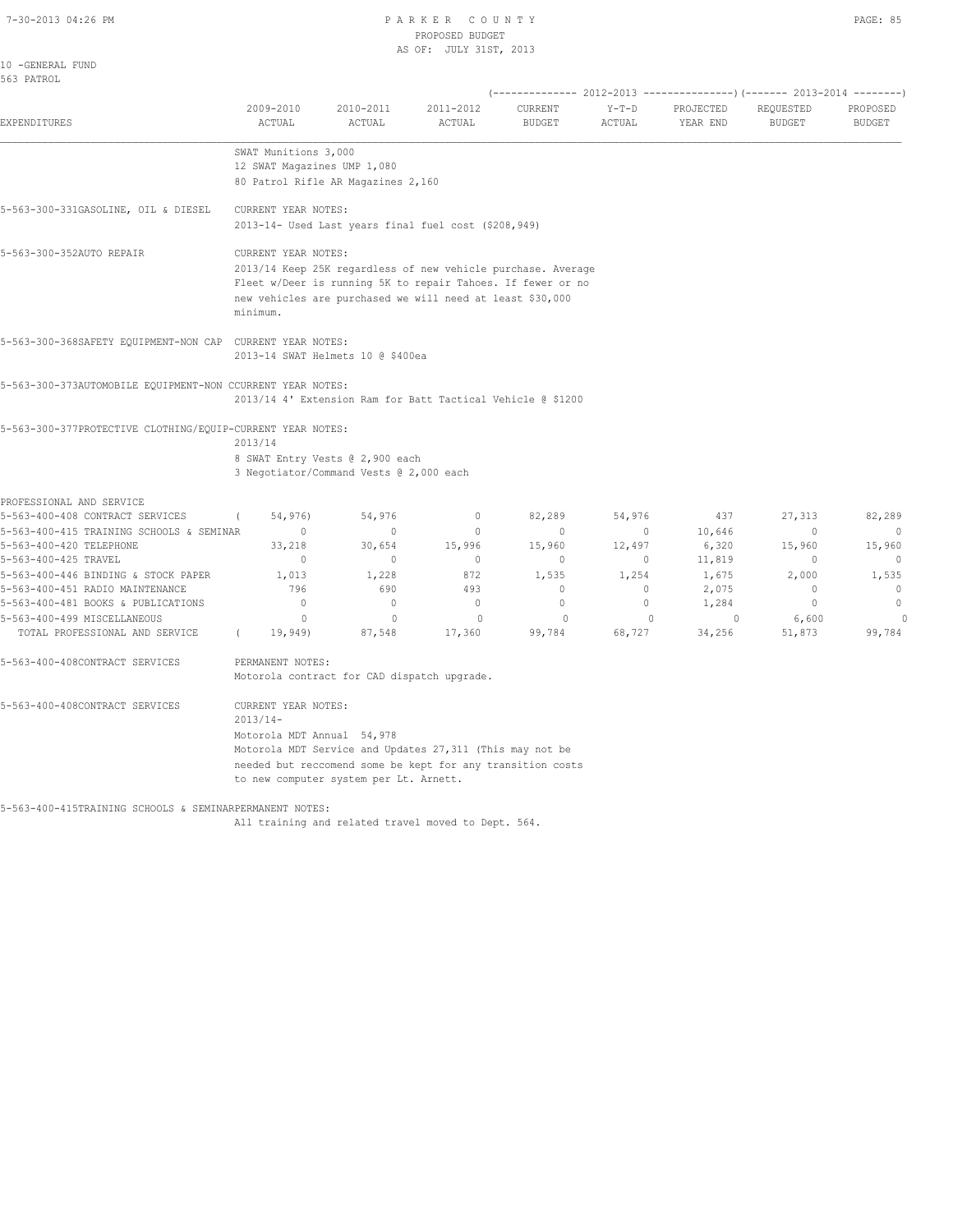#### 7-30-2013 04:26 PM P A R K E R C O U N T Y PAGE: 85 PROPOSED BUDGET AS OF: JULY 31ST, 2013

| 10 -GENERAL FUND<br>563 PATROL                                      |                                   |                                                              |                        |                          |                   |                       |                                                                                                        |                           |
|---------------------------------------------------------------------|-----------------------------------|--------------------------------------------------------------|------------------------|--------------------------|-------------------|-----------------------|--------------------------------------------------------------------------------------------------------|---------------------------|
| EXPENDITURES                                                        | 2009-2010<br>ACTUAL               | 2010-2011<br>ACTUAL                                          | 2011-2012<br>ACTUAL    | CURRENT<br><b>BUDGET</b> | $Y-T-D$<br>ACTUAL | PROJECTED<br>YEAR END | (-------------- 2012-2013 ----------------) (------- 2013-2014 --------)<br>REQUESTED<br><b>BUDGET</b> | PROPOSED<br><b>BUDGET</b> |
|                                                                     | SWAT Munitions 3,000              |                                                              |                        |                          |                   |                       |                                                                                                        |                           |
|                                                                     | 12 SWAT Magazines UMP 1,080       |                                                              |                        |                          |                   |                       |                                                                                                        |                           |
|                                                                     |                                   | 80 Patrol Rifle AR Magazines 2,160                           |                        |                          |                   |                       |                                                                                                        |                           |
| 5-563-300-331GASOLINE, OIL & DIESEL                                 | CURRENT YEAR NOTES:               |                                                              |                        |                          |                   |                       |                                                                                                        |                           |
|                                                                     |                                   | 2013-14- Used Last years final fuel cost (\$208,949)         |                        |                          |                   |                       |                                                                                                        |                           |
| 5-563-300-352AUTO REPAIR                                            | CURRENT YEAR NOTES:               |                                                              |                        |                          |                   |                       |                                                                                                        |                           |
|                                                                     |                                   | 2013/14 Keep 25K regardless of new vehicle purchase. Average |                        |                          |                   |                       |                                                                                                        |                           |
|                                                                     |                                   | Fleet w/Deer is running 5K to repair Tahoes. If fewer or no  |                        |                          |                   |                       |                                                                                                        |                           |
|                                                                     | minimum.                          | new vehicles are purchased we will need at least \$30,000    |                        |                          |                   |                       |                                                                                                        |                           |
| 5-563-300-368SAFETY EQUIPMENT-NON CAP CURRENT YEAR NOTES:           |                                   |                                                              |                        |                          |                   |                       |                                                                                                        |                           |
|                                                                     |                                   | 2013-14 SWAT Helmets 10 @ \$400ea                            |                        |                          |                   |                       |                                                                                                        |                           |
| 5-563-300-373AUTOMOBILE EQUIPMENT-NON CCURRENT YEAR NOTES:          |                                   |                                                              |                        |                          |                   |                       |                                                                                                        |                           |
|                                                                     |                                   | 2013/14 4' Extension Ram for Batt Tactical Vehicle @ \$1200  |                        |                          |                   |                       |                                                                                                        |                           |
| 5-563-300-377PROTECTIVE CLOTHING/EOUIP-CURRENT YEAR NOTES:          |                                   |                                                              |                        |                          |                   |                       |                                                                                                        |                           |
|                                                                     | 2013/14                           |                                                              |                        |                          |                   |                       |                                                                                                        |                           |
|                                                                     |                                   | 8 SWAT Entry Vests @ 2,900 each                              |                        |                          |                   |                       |                                                                                                        |                           |
|                                                                     |                                   | 3 Negotiator/Command Vests @ 2,000 each                      |                        |                          |                   |                       |                                                                                                        |                           |
| PROFESSIONAL AND SERVICE                                            |                                   |                                                              |                        |                          |                   |                       |                                                                                                        |                           |
| 5-563-400-408 CONTRACT SERVICES                                     | 54,976)<br>$\circ$                | 54,976                                                       | 0                      | 82,289                   | 54,976            | 437                   | 27,313                                                                                                 | 82,289                    |
| 5-563-400-415 TRAINING SCHOOLS & SEMINAR<br>5-563-400-420 TELEPHONE | 33,218                            | $\mathbf{0}$<br>30,654                                       | $\mathbf{0}$<br>15,996 | $\mathbf{0}$<br>15,960   | $\circ$<br>12,497 | 10,646<br>6,320       | $\mathbf{0}$<br>15,960                                                                                 | $\mathbf{0}$<br>15,960    |
| 5-563-400-425 TRAVEL                                                | $\mathbf{0}$                      | $\mathbf{0}$                                                 | $\mathbf{0}$           | $\mathbf{0}$             | $\circ$           | 11,819                | $\mathbf 0$                                                                                            | $\mathbf{0}$              |
| 5-563-400-446 BINDING & STOCK PAPER                                 | 1,013                             | 1,228                                                        | 872                    | 1,535                    | 1,254             | 1,675                 | 2,000                                                                                                  | 1,535                     |
| 5-563-400-451 RADIO MAINTENANCE                                     | 796                               | 690                                                          | 493                    | $\mathbf{0}$             | $\circ$           | 2,075                 | $\mathbf{0}$                                                                                           | $\mathbf{0}$              |
| 5-563-400-481 BOOKS & PUBLICATIONS                                  | $\circ$                           | $\mathbf{0}$                                                 | $\circ$                | $\mathbf{0}$             | $\circ$           | 1,284                 | $\circ$                                                                                                | $\circ$                   |
| 5-563-400-499 MISCELLANEOUS                                         | $\circ$                           | $\mathbf{0}$                                                 | $\mathbf{0}$           | $\circ$                  | $\mathbf{0}$      | $\circ$               | 6,600                                                                                                  | $\circ$                   |
| TOTAL PROFESSIONAL AND SERVICE                                      | 19,949)<br>$\left($               | 87,548                                                       | 17,360                 | 99,784                   | 68,727            | 34,256                | 51,873                                                                                                 | 99,784                    |
| 5-563-400-408CONTRACT SERVICES                                      | PERMANENT NOTES:                  |                                                              |                        |                          |                   |                       |                                                                                                        |                           |
|                                                                     |                                   | Motorola contract for CAD dispatch upgrade.                  |                        |                          |                   |                       |                                                                                                        |                           |
| 5-563-400-408CONTRACT SERVICES                                      | CURRENT YEAR NOTES:<br>$2013/14-$ |                                                              |                        |                          |                   |                       |                                                                                                        |                           |
|                                                                     | Motorola MDT Annual 54,978        |                                                              |                        |                          |                   |                       |                                                                                                        |                           |
|                                                                     |                                   | Motorola MDT Service and Updates 27,311 (This may not be     |                        |                          |                   |                       |                                                                                                        |                           |
|                                                                     |                                   | needed but reccomend some be kept for any transition costs   |                        |                          |                   |                       |                                                                                                        |                           |
|                                                                     |                                   | to new computer system per Lt. Arnett.                       |                        |                          |                   |                       |                                                                                                        |                           |
| 5-563-400-415TRAINING SCHOOLS & SEMINARPERMANENT NOTES:             |                                   |                                                              |                        |                          |                   |                       |                                                                                                        |                           |

All training and related travel moved to Dept. 564.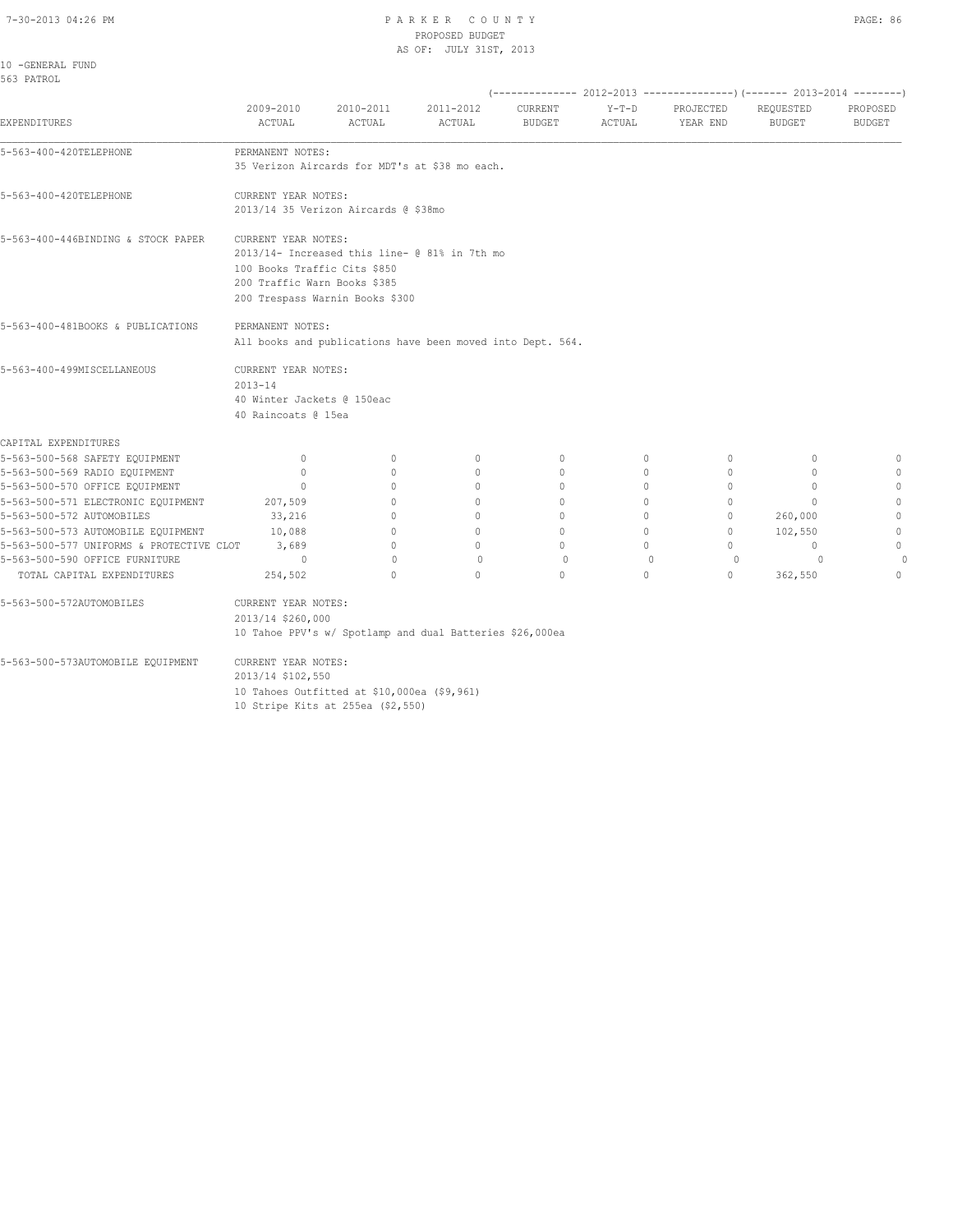10 Stripe Kits at 255ea (\$2,550)

# 7-30-2013 04:26 PM P A R K E R C O U N T Y PAGE: 86 PROPOSED BUDGET

|                                          |                                  |                                             | AS OF: JULY 31ST, 2013                                     |                                  |              |                                                                          |                                  |               |
|------------------------------------------|----------------------------------|---------------------------------------------|------------------------------------------------------------|----------------------------------|--------------|--------------------------------------------------------------------------|----------------------------------|---------------|
| 10 -GENERAL FUND                         |                                  |                                             |                                                            |                                  |              |                                                                          |                                  |               |
| 563 PATROL                               |                                  |                                             |                                                            |                                  |              |                                                                          |                                  |               |
|                                          |                                  |                                             |                                                            |                                  |              | (-------------- 2012-2013 ----------------) (------- 2013-2014 --------) |                                  |               |
|                                          | 2009-2010                        | 2010-2011                                   | 2011-2012                                                  | CURRENT                          | $Y-T-D$      | PROJECTED                                                                | REQUESTED                        | PROPOSED      |
| EXPENDITURES                             | ACTUAL                           | ACTUAL                                      | ACTUAL                                                     | <b>BUDGET</b>                    | ACTUAL       | YEAR END                                                                 | <b>BUDGET</b>                    | <b>BUDGET</b> |
|                                          |                                  |                                             |                                                            |                                  |              |                                                                          |                                  |               |
| 5-563-400-420TELEPHONE                   | PERMANENT NOTES:                 |                                             |                                                            |                                  |              |                                                                          |                                  |               |
|                                          |                                  |                                             | 35 Verizon Aircards for MDT's at \$38 mo each.             |                                  |              |                                                                          |                                  |               |
| 5-563-400-420TELEPHONE                   | CURRENT YEAR NOTES:              |                                             |                                                            |                                  |              |                                                                          |                                  |               |
|                                          |                                  | 2013/14 35 Verizon Aircards @ \$38mo        |                                                            |                                  |              |                                                                          |                                  |               |
| 5-563-400-446BINDING & STOCK PAPER       | CURRENT YEAR NOTES:              |                                             |                                                            |                                  |              |                                                                          |                                  |               |
|                                          |                                  |                                             | 2013/14- Increased this line- @ 81% in 7th mo              |                                  |              |                                                                          |                                  |               |
|                                          | 100 Books Traffic Cits \$850     |                                             |                                                            |                                  |              |                                                                          |                                  |               |
|                                          | 200 Traffic Warn Books \$385     |                                             |                                                            |                                  |              |                                                                          |                                  |               |
|                                          |                                  | 200 Trespass Warnin Books \$300             |                                                            |                                  |              |                                                                          |                                  |               |
| 5-563-400-481BOOKS & PUBLICATIONS        | PERMANENT NOTES:                 |                                             |                                                            |                                  |              |                                                                          |                                  |               |
|                                          |                                  |                                             | All books and publications have been moved into Dept. 564. |                                  |              |                                                                          |                                  |               |
| 5-563-400-499MISCELLANEOUS               | CURRENT YEAR NOTES:              |                                             |                                                            |                                  |              |                                                                          |                                  |               |
|                                          | $2013 - 14$                      |                                             |                                                            |                                  |              |                                                                          |                                  |               |
|                                          | 40 Winter Jackets @ 150eac       |                                             |                                                            |                                  |              |                                                                          |                                  |               |
|                                          | 40 Raincoats @ 15ea              |                                             |                                                            |                                  |              |                                                                          |                                  |               |
| CAPITAL EXPENDITURES                     |                                  |                                             |                                                            |                                  |              |                                                                          |                                  |               |
| 5-563-500-568 SAFETY EQUIPMENT           | $\circ$                          | $\mathbf{0}$                                | 0                                                          | $\mathbf{0}$                     | 0            | $\mathbf{0}$                                                             | 0                                | $\mathbf 0$   |
| 5-563-500-569 RADIO EQUIPMENT            | $\circ$                          | $\circ$                                     | $\mathbf{0}$                                               | $\mathbf{0}$                     | $\circ$      | $\circ$                                                                  | $\mathbf{0}$                     | $\mathbf{0}$  |
| 5-563-500-570 OFFICE EQUIPMENT           | $\begin{array}{c} \n\end{array}$ | $\begin{array}{c} \n\end{array}$            | $\Omega$                                                   | $\Omega$                         | $\Omega$     | $\Omega$                                                                 | $\Omega$                         | $\circ$       |
| 5-563-500-571 ELECTRONIC EQUIPMENT       | 207,509                          | $\Omega$                                    | $\Omega$                                                   | $\Omega$                         | $\Omega$     | $\Omega$                                                                 | $\Omega$                         | $\Omega$      |
| 5-563-500-572 AUTOMOBILES                | 33,216                           | 0                                           | 0                                                          | $\mathbf{0}$                     | 0            | $\circ$                                                                  | 260,000                          | $\mathbf{0}$  |
| 5-563-500-573 AUTOMOBILE EQUIPMENT       | 10,088                           | $\circ$                                     | $\circ$                                                    | $\mathbf{0}$                     | $\circ$      | $\circ$                                                                  | 102,550                          | $\circ$       |
| 5-563-500-577 UNIFORMS & PROTECTIVE CLOT | 3,689                            | $\Omega$                                    | $\begin{array}{c} \n\end{array}$                           | $\begin{array}{c} \n\end{array}$ | $\bigcap$    | $\Omega$                                                                 | $\begin{array}{c} \n\end{array}$ | $\circ$       |
| 5-563-500-590 OFFICE FURNITURE           | $\Omega$                         | $\mathbf{0}$                                | $\mathbf{0}$                                               | $\circ$                          | $\mathbf{0}$ | $\circ$                                                                  | $\Omega$                         | $\Omega$      |
| TOTAL CAPITAL EXPENDITURES               | 254,502                          | $\cap$                                      | $\Omega$                                                   | $\Omega$                         | $\Omega$     | $\Omega$                                                                 | 362,550                          | $\Omega$      |
| 5-563-500-572AUTOMOBILES                 | CURRENT YEAR NOTES:              |                                             |                                                            |                                  |              |                                                                          |                                  |               |
|                                          | 2013/14 \$260,000                |                                             |                                                            |                                  |              |                                                                          |                                  |               |
|                                          |                                  |                                             | 10 Tahoe PPV's w/ Spotlamp and dual Batteries \$26,000ea   |                                  |              |                                                                          |                                  |               |
| 5-563-500-573AUTOMOBILE EQUIPMENT        | CURRENT YEAR NOTES:              |                                             |                                                            |                                  |              |                                                                          |                                  |               |
|                                          | 2013/14 \$102,550                |                                             |                                                            |                                  |              |                                                                          |                                  |               |
|                                          |                                  | 10 Tahoes Outfitted at \$10,000ea (\$9,961) |                                                            |                                  |              |                                                                          |                                  |               |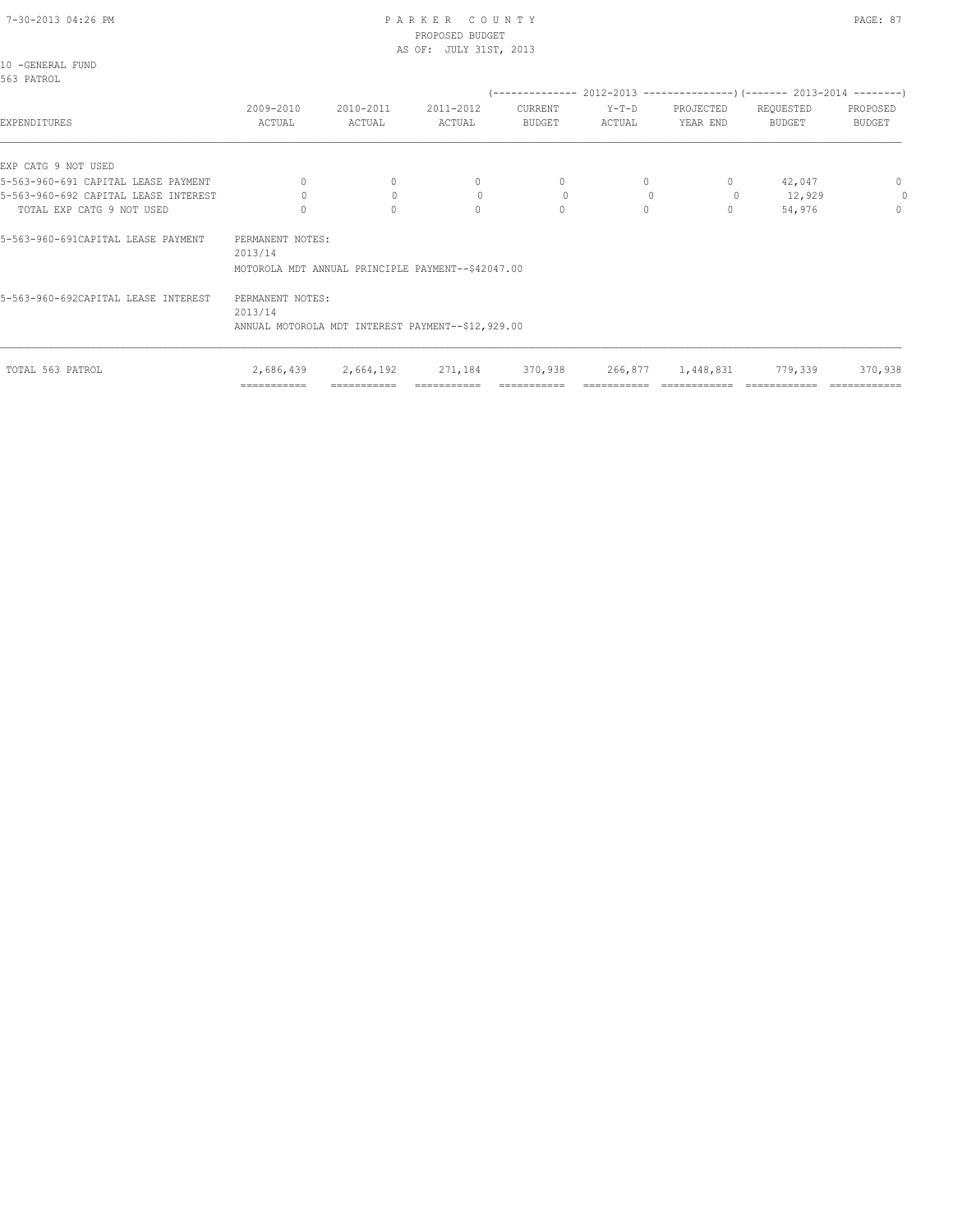# 7-30-2013 04:26 PM P A R K E R C O U N T Y PAGE: 87 PROPOSED BUDGET

|                  |  | AS OF: JULY 31ST, 2013 |                 |      |
|------------------|--|------------------------|-----------------|------|
| 10 -GENERAL FUND |  |                        |                 |      |
| 563 PATROL       |  |                        |                 |      |
|                  |  |                        | (-------------- | 2012 |
|                  |  |                        | $\alpha$        |      |

| 2009-2010<br>ACTUAL | 2010-2011<br>ACTUAL | 2011-2012<br>ACTUAL                  | CURRENT<br><b>BUDGET</b> | $Y-T-D$<br>ACTUAL                                                                                      | PROJECTED<br>YEAR END | REQUESTED<br>BUDGET | PROPOSED<br>BUDGET                                                          |
|---------------------|---------------------|--------------------------------------|--------------------------|--------------------------------------------------------------------------------------------------------|-----------------------|---------------------|-----------------------------------------------------------------------------|
|                     |                     |                                      |                          |                                                                                                        |                       |                     |                                                                             |
| $\bigcap$           | $\mathbf{0}$        | $\begin{array}{c} \n\end{array}$     | 0                        |                                                                                                        | 0                     | 42,047              | $\mathbf{0}$                                                                |
|                     | $\circ$             | $\circ$                              | $\circ$                  |                                                                                                        | $\circ$               | 12,929              | $\Omega$                                                                    |
|                     | 0                   | $\Omega$                             | $\circ$                  | $\Omega$                                                                                               | 0                     | 54,976              | $\circ$                                                                     |
| 2013/14             |                     |                                      |                          |                                                                                                        |                       |                     |                                                                             |
| 2013/14             |                     |                                      |                          |                                                                                                        |                       |                     |                                                                             |
|                     |                     | PERMANENT NOTES:<br>PERMANENT NOTES: |                          | MOTOROLA MDT ANNUAL PRINCIPLE PAYMENT--\$42047.00<br>ANNUAL MOTOROLA MDT INTEREST PAYMENT--\$12,929.00 |                       |                     | ------------- 2012-2013 -------------------- (------- 2013-2014 --------- ) |

|                  | ______________<br>---------- | ____________<br>___________ | ___________ |         |                   |         |         |
|------------------|------------------------------|-----------------------------|-------------|---------|-------------------|---------|---------|
| TOTAL 563 PATROL | 2,686,439                    | 2,664,192                   | 271,184     | 370,938 | 266,877 1,448,831 | 779,339 | 370,938 |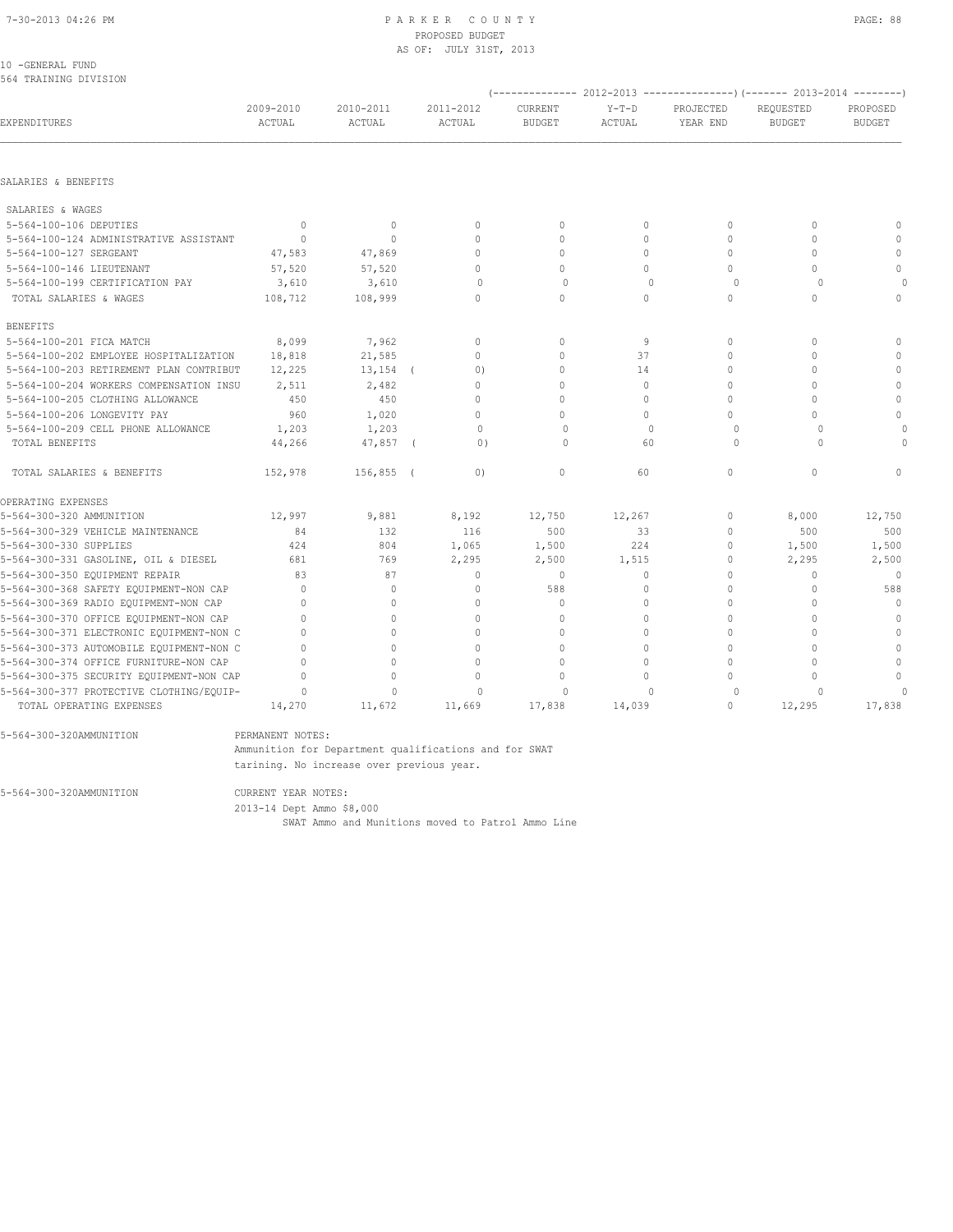#### 10 -GENERAL FUND 564 TRAINING DIVISION

|                                          |                     |                     |                     |                          |                   |                       | (-------------- 2012-2013 ----------------)(------- 2013-2014 --------) |                           |
|------------------------------------------|---------------------|---------------------|---------------------|--------------------------|-------------------|-----------------------|-------------------------------------------------------------------------|---------------------------|
| EXPENDITURES                             | 2009-2010<br>ACTUAL | 2010-2011<br>ACTUAL | 2011-2012<br>ACTUAL | CURRENT<br><b>BUDGET</b> | $Y-T-D$<br>ACTUAL | PROJECTED<br>YEAR END | REQUESTED<br><b>BUDGET</b>                                              | PROPOSED<br><b>BUDGET</b> |
|                                          |                     |                     |                     |                          |                   |                       |                                                                         |                           |
| SALARIES & BENEFITS                      |                     |                     |                     |                          |                   |                       |                                                                         |                           |
| SALARIES & WAGES                         |                     |                     |                     |                          |                   |                       |                                                                         |                           |
| 5-564-100-106 DEPUTIES                   | $\mathbf{0}$        | $\mathbf{0}$        | $\mathbf{0}$        | $\mathbf{0}$             | $\circ$           | $\mathbf{0}$          | $\mathbf{0}$                                                            | $\mathbf{0}$              |
| 5-564-100-124 ADMINISTRATIVE ASSISTANT   | $\Omega$            | $\circ$             | $\Omega$            | $\Omega$                 | $\circ$           | $\Omega$              | $\Omega$                                                                | $\Omega$                  |
| 5-564-100-127 SERGEANT                   | 47,583              | 47,869              | $\Omega$            | $\Omega$                 | $\Omega$          | $\Omega$              | $\Omega$                                                                | $\mathbf{0}$              |
| 5-564-100-146 LIEUTENANT                 | 57,520              | 57,520              | $\Omega$            | $\Omega$                 | $\Omega$          | $\Omega$              | $\Omega$                                                                | $\mathbf 0$               |
| 5-564-100-199 CERTIFICATION PAY          | 3,610               | 3,610               | $\circ$             | $\circ$                  | $\mathbf{0}$      | $\circ$               | $\circ$                                                                 |                           |
| TOTAL SALARIES & WAGES                   | 108,712             | 108,999             | $\Omega$            | $\circ$                  | $\circ$           | $\mathbf{0}$          | $\mathbf 0$                                                             | $\mathbf{0}$              |
| <b>BENEFITS</b>                          |                     |                     |                     |                          |                   |                       |                                                                         |                           |
| 5-564-100-201 FICA MATCH                 | 8,099               | 7,962               | $\mathbf{0}$        | $\mathbf{0}$             | 9                 | $\Omega$              | 0                                                                       | $\mathbf{0}$              |
| 5-564-100-202 EMPLOYEE HOSPITALIZATION   | 18,818              | 21,585              | $\Omega$            | $\Omega$                 | 37                | $\Omega$              | $\Omega$                                                                | $\Omega$                  |
| 5-564-100-203 RETIREMENT PLAN CONTRIBUT  | 12,225              | $13, 154$ (         | (0)                 | $\mathbf 0$              | 14                | $\mathbf 0$           | $\Omega$                                                                | $\mathbf 0$               |
| 5-564-100-204 WORKERS COMPENSATION INSU  | 2,511               | 2,482               | $\mathbf 0$         | $\mathbf{0}$             | $\circ$           | $\mathbf 0$           | $\Omega$                                                                | $\mathbf{0}$              |
| 5-564-100-205 CLOTHING ALLOWANCE         | 450                 | 450                 | $\mathbf 0$         | $\circ$                  | $\circ$           | $\mathbf 0$           | $\mathbf 0$                                                             | $\mathbf{0}$              |
| 5-564-100-206 LONGEVITY PAY              | 960                 | 1,020               | $\Omega$            | $\Omega$                 | $\Omega$          | $\Omega$              | $\Omega$                                                                | $\mathbf 0$               |
| 5-564-100-209 CELL PHONE ALLOWANCE       | 1,203               | 1,203               | $\Omega$            | $\Omega$                 | $\Omega$          | $\Omega$              | $\Omega$                                                                | 0                         |
| TOTAL BENEFITS                           | 44,266              | 47,857 (            | 0)                  | $\Omega$                 | 60                | $\Omega$              | $\Omega$                                                                | O                         |
| TOTAL SALARIES & BENEFITS                | 152,978             | 156,855 (           | (0)                 | $\mathbf{0}$             | 60                | $\mathbf{0}$          | $\mathbf 0$                                                             | $\mathbf{0}$              |
| OPERATING EXPENSES                       |                     |                     |                     |                          |                   |                       |                                                                         |                           |
| 5-564-300-320 AMMUNITION                 | 12,997              | 9,881               | 8,192               | 12,750                   | 12,267            | $\mathbf{0}$          | 8,000                                                                   | 12,750                    |
| 5-564-300-329 VEHICLE MAINTENANCE        | 84                  | 132                 | 116                 | 500                      | 33                | $\mathbf{0}$          | 500                                                                     | 500                       |
| 5-564-300-330 SUPPLIES                   | 424                 | 804                 | 1,065               | 1,500                    | 224               | 0                     | 1,500                                                                   | 1,500                     |
| 5-564-300-331 GASOLINE, OIL & DIESEL     | 681                 | 769                 | 2,295               | 2,500                    | 1,515             | $\mathbf{0}$          | 2,295                                                                   | 2,500                     |
| 5-564-300-350 EOUIPMENT REPAIR           | 83                  | 87                  | $\Omega$            | $\Omega$                 | $\Omega$          | $\Omega$              | $\begin{array}{c} \n\end{array}$                                        | $\Omega$                  |
| 5-564-300-368 SAFETY EQUIPMENT-NON CAP   | $\Omega$            | $\mathbf{0}$        | $\mathbf{0}$        | 588                      | $\circ$           | $\Omega$              | $\Omega$                                                                | 588                       |
| 5-564-300-369 RADIO EQUIPMENT-NON CAP    | $\Omega$            | $\Omega$            | $\Omega$            | $\mathbf{0}$             | $\Omega$          | $\Omega$              | $\Omega$                                                                | $\circ$                   |
| 5-564-300-370 OFFICE EQUIPMENT-NON CAP   | $\Omega$            | $\Omega$            | $\Omega$            | $\mathbf{0}$             | $\Omega$          | $\Omega$              | $\Omega$                                                                | $\mathbf{0}$              |
| 5-564-300-371 ELECTRONIC EQUIPMENT-NON C | $\cap$              | $\Omega$            | $\Omega$            | $\Omega$                 | $\Omega$          | $\Omega$              | $\cap$                                                                  | $\mathbf{0}$              |
| 5-564-300-373 AUTOMOBILE EQUIPMENT-NON C | $\Omega$            | $\Omega$            | $\cap$              | $\Omega$                 | $\cap$            | $\Omega$              | $\cap$                                                                  | $\circ$                   |
| 5-564-300-374 OFFICE FURNITURE-NON CAP   |                     | $\Omega$            | $\Omega$            | $\Omega$                 | $\Omega$          | $\Omega$              | $\Omega$                                                                | $\mathbf{0}$              |
| 5-564-300-375 SECURITY EQUIPMENT-NON CAP | $\Omega$            | 0                   | $\mathbf{0}$        | $\mathbf{0}$             | $\circ$           | $\mathbf 0$           | $\mathbf{0}$                                                            | $\mathbf{0}$              |
| 5-564-300-377 PROTECTIVE CLOTHING/EOUIP- | $\Omega$            | $\mathbf{0}$        | $\Omega$            | $\Omega$                 | $\cap$            | $\Omega$              | $\Omega$                                                                |                           |
| TOTAL OPERATING EXPENSES                 | 14,270              | 11,672              | 11,669              | 17,838                   | 14,039            | $\mathbf 0$           | 12,295                                                                  | 17,838                    |

5-564-300-320AMMUNITION PERMANENT NOTES:

Ammunition for Department qualifications and for SWAT

tarining. No increase over previous year.

5-564-300-320AMMUNITION CURRENT YEAR NOTES:

 2013-14 Dept Ammo \$8,000 SWAT Ammo and Munitions moved to Patrol Ammo Line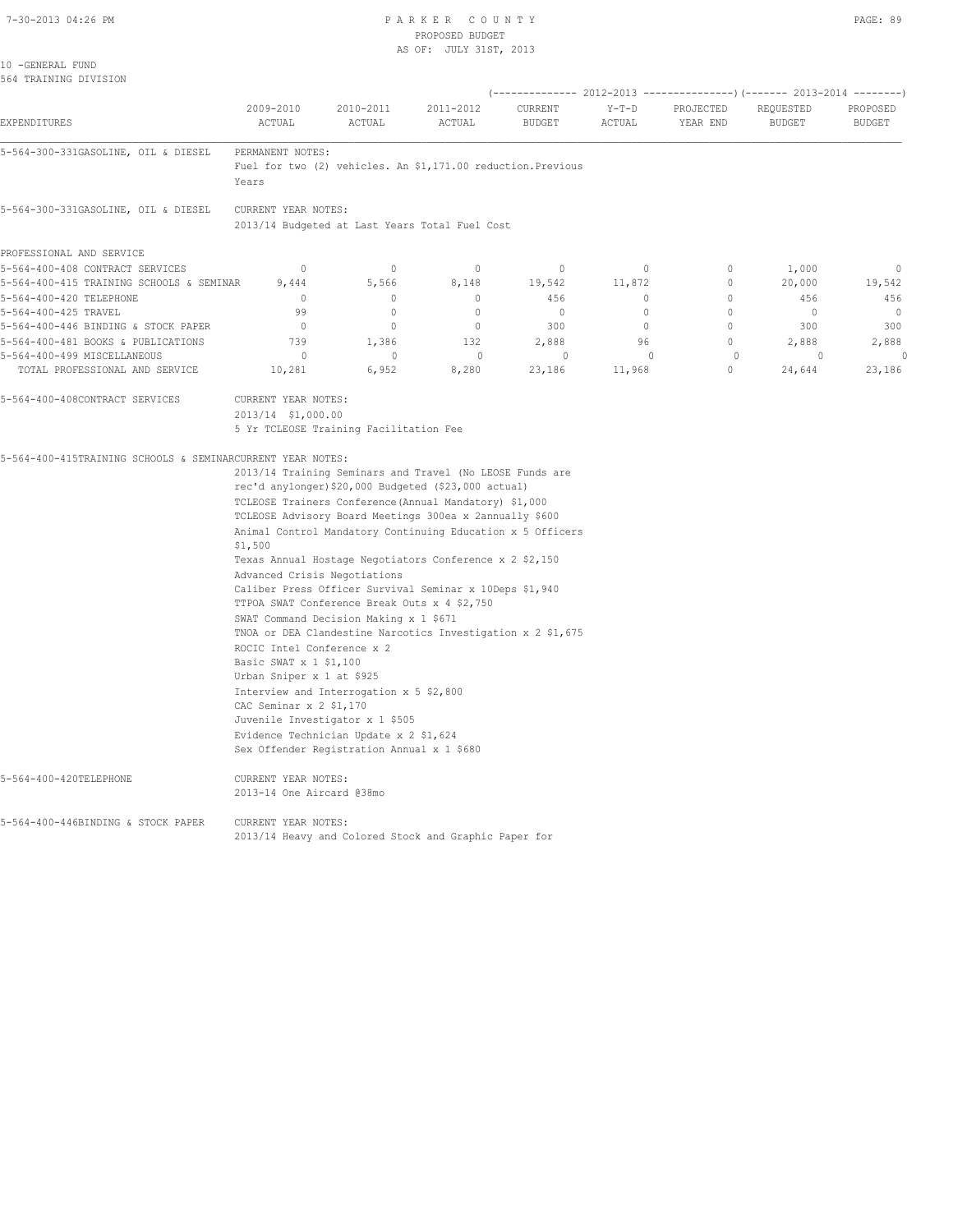# 7-30-2013 04:26 PM P A R K E R C O U N T Y PAGE: 89 PROPOSED BUDGET

| 10 -GENERAL FUND                                           |                              |                                                                                      |                                                                                                                   |                          |                   |                       |                            |                                        |  |  |  |  |  |  |  |  |
|------------------------------------------------------------|------------------------------|--------------------------------------------------------------------------------------|-------------------------------------------------------------------------------------------------------------------|--------------------------|-------------------|-----------------------|----------------------------|----------------------------------------|--|--|--|--|--|--|--|--|
|                                                            |                              |                                                                                      |                                                                                                                   |                          |                   |                       |                            |                                        |  |  |  |  |  |  |  |  |
| 564 TRAINING DIVISION                                      |                              |                                                                                      |                                                                                                                   |                          |                   |                       |                            |                                        |  |  |  |  |  |  |  |  |
|                                                            |                              |                                                                                      | (-------------- 2012-2013 ---------------) (------- 2013-2014 --------)                                           |                          |                   |                       |                            |                                        |  |  |  |  |  |  |  |  |
| EXPENDITURES                                               | 2009-2010<br>ACTUAL          | 2010-2011<br>ACTUAL                                                                  | 2011-2012<br>ACTUAL                                                                                               | CURRENT<br><b>BUDGET</b> | $Y-T-D$<br>ACTUAL | PROJECTED<br>YEAR END | REQUESTED<br><b>BUDGET</b> | PROPOSED<br><b>BUDGET</b>              |  |  |  |  |  |  |  |  |
| 5-564-300-331GASOLINE, OIL & DIESEL                        | PERMANENT NOTES:             |                                                                                      |                                                                                                                   |                          |                   |                       |                            |                                        |  |  |  |  |  |  |  |  |
|                                                            | Years                        |                                                                                      | Fuel for two (2) vehicles. An \$1,171.00 reduction. Previous                                                      |                          |                   |                       |                            |                                        |  |  |  |  |  |  |  |  |
| 5-564-300-331GASOLINE, OIL & DIESEL                        | CURRENT YEAR NOTES:          |                                                                                      |                                                                                                                   |                          |                   |                       |                            |                                        |  |  |  |  |  |  |  |  |
|                                                            |                              |                                                                                      | 2013/14 Budgeted at Last Years Total Fuel Cost                                                                    |                          |                   |                       |                            |                                        |  |  |  |  |  |  |  |  |
| PROFESSIONAL AND SERVICE                                   |                              |                                                                                      |                                                                                                                   |                          |                   |                       |                            |                                        |  |  |  |  |  |  |  |  |
| 5-564-400-408 CONTRACT SERVICES                            | $\mathbf 0$                  | $\circ$                                                                              | $\mathbf 0$                                                                                                       | $\mathbf 0$              | $\circ$           | $\circ$               | 1,000                      | $\circ$                                |  |  |  |  |  |  |  |  |
| 5-564-400-415 TRAINING SCHOOLS & SEMINAR                   | 9,444                        | 5,566                                                                                | 8,148                                                                                                             | 19,542                   | 11,872            | 0                     | 20,000                     | 19,542                                 |  |  |  |  |  |  |  |  |
| 5-564-400-420 TELEPHONE                                    | $\mathbf{0}$                 | 0                                                                                    | $\mathbf 0$                                                                                                       | 456                      | 0                 | $\circ$               | 456                        | 456                                    |  |  |  |  |  |  |  |  |
| 5-564-400-425 TRAVEL                                       | 99                           | $\circ$                                                                              | $\circ$                                                                                                           | $\circ$                  | $\circ$           | $\circ$               | $\circ$                    | $\mathbf 0$                            |  |  |  |  |  |  |  |  |
| 5-564-400-446 BINDING & STOCK PAPER                        | $\overline{0}$               | $\circ$                                                                              | $\circ$                                                                                                           | 300                      | 0                 | $\circ$               | 300                        | 300                                    |  |  |  |  |  |  |  |  |
| 5-564-400-481 BOOKS & PUBLICATIONS                         | 739                          | 1,386                                                                                | 132                                                                                                               | 2,888                    | 96                | $\mathbf{0}$          | 2,888                      | 2,888                                  |  |  |  |  |  |  |  |  |
| 5-564-400-499 MISCELLANEOUS                                | 0                            | $\mathbf 0$                                                                          | $\mathbf 0$                                                                                                       | $\circ$                  | $\circ$           | $\circ$               | $\circ$                    | $\Omega$                               |  |  |  |  |  |  |  |  |
| TOTAL PROFESSIONAL AND SERVICE                             | 10,281                       | 6,952                                                                                | 8,280                                                                                                             | 23,186                   | 11,968            | 0                     | 24,644                     | 23,186                                 |  |  |  |  |  |  |  |  |
| 5-564-400-408CONTRACT SERVICES                             | CURRENT YEAR NOTES:          |                                                                                      |                                                                                                                   |                          |                   |                       |                            |                                        |  |  |  |  |  |  |  |  |
|                                                            |                              | 2013/14 \$1,000.00                                                                   |                                                                                                                   |                          |                   |                       |                            |                                        |  |  |  |  |  |  |  |  |
|                                                            |                              |                                                                                      |                                                                                                                   |                          |                   |                       |                            | 5 Yr TCLEOSE Training Facilitation Fee |  |  |  |  |  |  |  |  |
|                                                            |                              |                                                                                      |                                                                                                                   |                          |                   |                       |                            |                                        |  |  |  |  |  |  |  |  |
|                                                            |                              |                                                                                      |                                                                                                                   |                          |                   |                       |                            |                                        |  |  |  |  |  |  |  |  |
|                                                            |                              |                                                                                      |                                                                                                                   |                          |                   |                       |                            |                                        |  |  |  |  |  |  |  |  |
|                                                            |                              |                                                                                      | 2013/14 Training Seminars and Travel (No LEOSE Funds are                                                          |                          |                   |                       |                            |                                        |  |  |  |  |  |  |  |  |
|                                                            |                              |                                                                                      | rec'd anylonger) \$20,000 Budgeted (\$23,000 actual)                                                              |                          |                   |                       |                            |                                        |  |  |  |  |  |  |  |  |
|                                                            |                              |                                                                                      | TCLEOSE Trainers Conference (Annual Mandatory) \$1,000<br>TCLEOSE Advisory Board Meetings 300ea x 2annually \$600 |                          |                   |                       |                            |                                        |  |  |  |  |  |  |  |  |
|                                                            | \$1,500                      |                                                                                      | Animal Control Mandatory Continuing Education x 5 Officers                                                        |                          |                   |                       |                            |                                        |  |  |  |  |  |  |  |  |
| 5-564-400-415TRAINING SCHOOLS & SEMINARCURRENT YEAR NOTES: |                              |                                                                                      | Texas Annual Hostage Negotiators Conference x 2 \$2,150                                                           |                          |                   |                       |                            |                                        |  |  |  |  |  |  |  |  |
|                                                            | Advanced Crisis Negotiations |                                                                                      |                                                                                                                   |                          |                   |                       |                            |                                        |  |  |  |  |  |  |  |  |
|                                                            |                              |                                                                                      | Caliber Press Officer Survival Seminar x 10Deps \$1,940                                                           |                          |                   |                       |                            |                                        |  |  |  |  |  |  |  |  |
|                                                            |                              | TTPOA SWAT Conference Break Outs x 4 \$2,750                                         |                                                                                                                   |                          |                   |                       |                            |                                        |  |  |  |  |  |  |  |  |
|                                                            |                              | SWAT Command Decision Making x 1 \$671                                               |                                                                                                                   |                          |                   |                       |                            |                                        |  |  |  |  |  |  |  |  |
|                                                            |                              |                                                                                      | TNOA or DEA Clandestine Narcotics Investigation x 2 \$1,675                                                       |                          |                   |                       |                            |                                        |  |  |  |  |  |  |  |  |
|                                                            | ROCIC Intel Conference x 2   |                                                                                      |                                                                                                                   |                          |                   |                       |                            |                                        |  |  |  |  |  |  |  |  |
|                                                            | Basic SWAT x 1 \$1,100       |                                                                                      |                                                                                                                   |                          |                   |                       |                            |                                        |  |  |  |  |  |  |  |  |
|                                                            | Urban Sniper x 1 at \$925    |                                                                                      |                                                                                                                   |                          |                   |                       |                            |                                        |  |  |  |  |  |  |  |  |
|                                                            |                              | Interview and Interrogation x 5 \$2,800                                              |                                                                                                                   |                          |                   |                       |                            |                                        |  |  |  |  |  |  |  |  |
|                                                            | CAC Seminar x 2 \$1,170      |                                                                                      |                                                                                                                   |                          |                   |                       |                            |                                        |  |  |  |  |  |  |  |  |
|                                                            |                              | Juvenile Investigator x 1 \$505                                                      |                                                                                                                   |                          |                   |                       |                            |                                        |  |  |  |  |  |  |  |  |
|                                                            |                              | Evidence Technician Update x 2 \$1,624<br>Sex Offender Registration Annual x 1 \$680 |                                                                                                                   |                          |                   |                       |                            |                                        |  |  |  |  |  |  |  |  |
| 5-564-400-420TELEPHONE                                     | CURRENT YEAR NOTES:          |                                                                                      |                                                                                                                   |                          |                   |                       |                            |                                        |  |  |  |  |  |  |  |  |
|                                                            | 2013-14 One Aircard @38mo    |                                                                                      |                                                                                                                   |                          |                   |                       |                            |                                        |  |  |  |  |  |  |  |  |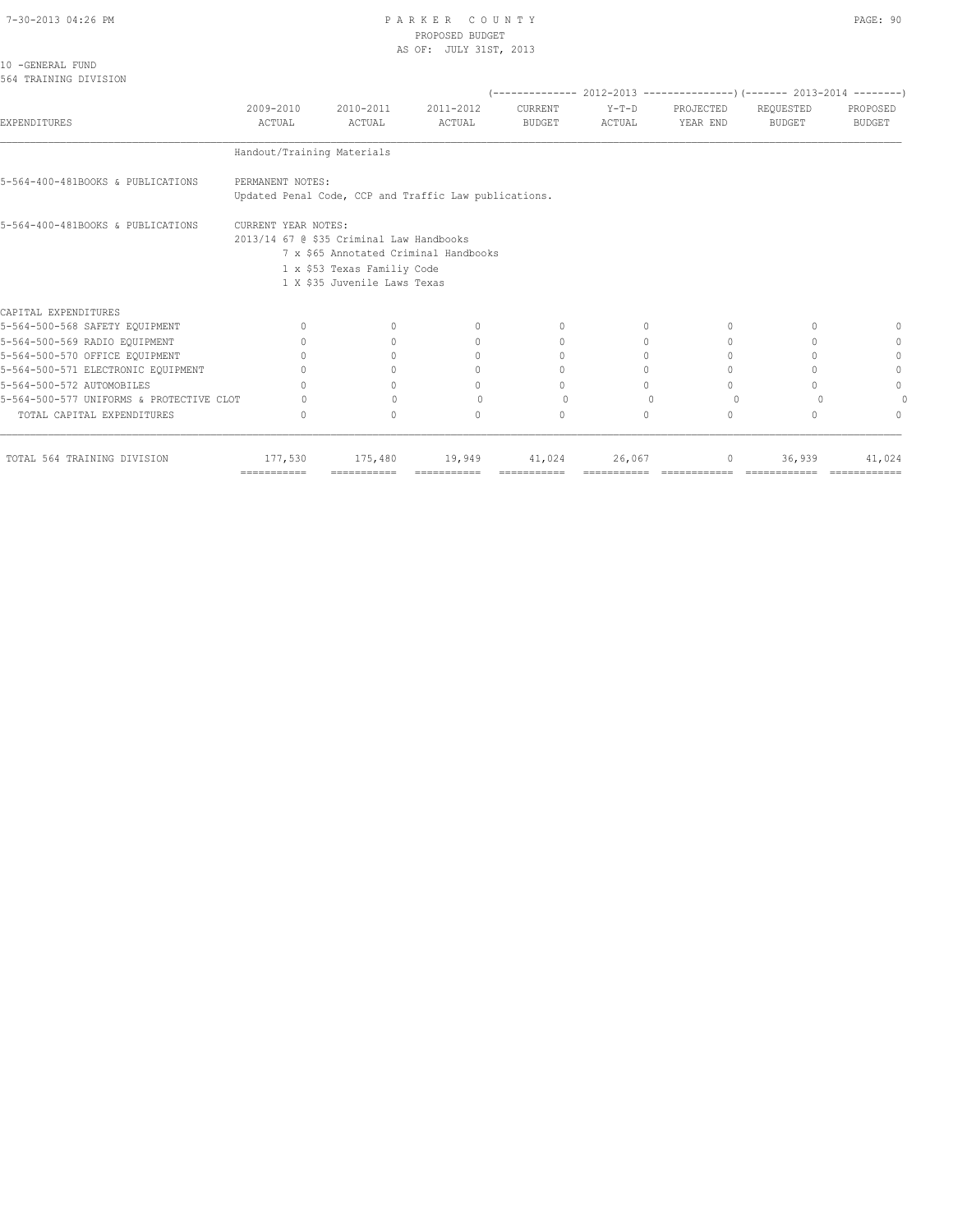| 10 - GENERAL FUND     |  |
|-----------------------|--|
| 564 TRAINING DIVISION |  |

|                                          |                                                                 |                                                             |                                                       |                          |                   |                                  | $(---------- 2012-2013$ ----------------) (------- 2013-2014 --------) |                           |
|------------------------------------------|-----------------------------------------------------------------|-------------------------------------------------------------|-------------------------------------------------------|--------------------------|-------------------|----------------------------------|------------------------------------------------------------------------|---------------------------|
| <b>EXPENDITURES</b>                      | 2009-2010<br>ACTUAL                                             | 2010-2011<br>ACTUAL                                         | 2011-2012<br>ACTUAL                                   | CURRENT<br><b>BUDGET</b> | $Y-T-D$<br>ACTUAL | PROJECTED<br>YEAR END            | REQUESTED<br><b>BUDGET</b>                                             | PROPOSED<br><b>BUDGET</b> |
|                                          | Handout/Training Materials                                      |                                                             |                                                       |                          |                   |                                  |                                                                        |                           |
| 5-564-400-481BOOKS & PUBLICATIONS        | PERMANENT NOTES:                                                |                                                             | Updated Penal Code, CCP and Traffic Law publications. |                          |                   |                                  |                                                                        |                           |
| 5-564-400-481BOOKS & PUBLICATIONS        | CURRENT YEAR NOTES:<br>2013/14 67 @ \$35 Criminal Law Handbooks | 1 x \$53 Texas Familiy Code<br>1 X \$35 Juvenile Laws Texas | 7 x \$65 Annotated Criminal Handbooks                 |                          |                   |                                  |                                                                        |                           |
| CAPITAL EXPENDITURES                     |                                                                 |                                                             |                                                       |                          |                   |                                  |                                                                        |                           |
| 5-564-500-568 SAFETY EQUIPMENT           | $\Omega$                                                        | $\begin{array}{c} \n\end{array}$                            | $\Omega$                                              | $\mathbf{0}$             | 0                 | $\begin{array}{c} \n\end{array}$ |                                                                        |                           |
| 5-564-500-569 RADIO EQUIPMENT            | n                                                               |                                                             | $\mathbf{0}$                                          | 0                        | 0                 | 0                                |                                                                        | 0                         |
| 5-564-500-570 OFFICE EQUIPMENT           | $\cap$                                                          |                                                             | $\Omega$                                              | 0                        | $\Omega$          | $\begin{array}{c} \n\end{array}$ |                                                                        | 0                         |
| 5-564-500-571 ELECTRONIC EQUIPMENT       | ∩                                                               |                                                             | $\bigcap$                                             | $\bigcap$                | 0                 | $\bigcap$                        |                                                                        | $\Omega$                  |
| 5-564-500-572 AUTOMOBILES                | ∩                                                               |                                                             | $\bigcap$                                             | $\Omega$                 | $\Omega$          | $\cap$                           |                                                                        | $\Omega$                  |
| 5-564-500-577 UNIFORMS & PROTECTIVE CLOT |                                                                 | $\cap$                                                      | $\cap$                                                | $\Omega$                 | $\Omega$          | $\Omega$                         |                                                                        |                           |
| TOTAL CAPITAL EXPENDITURES               | $\Omega$                                                        | $\bigcap$                                                   | $\Omega$                                              | $\Omega$                 | $\Omega$          | $\Omega$                         |                                                                        | $\cup$                    |
| TOTAL 564 TRAINING DIVISION              | 177,530<br>$=$ = = = = = = = = = = =                            | 175,480<br>-----------                                      | 19,949                                                | 41,024                   | 26,067            | 0                                | 36,939                                                                 | 41,024                    |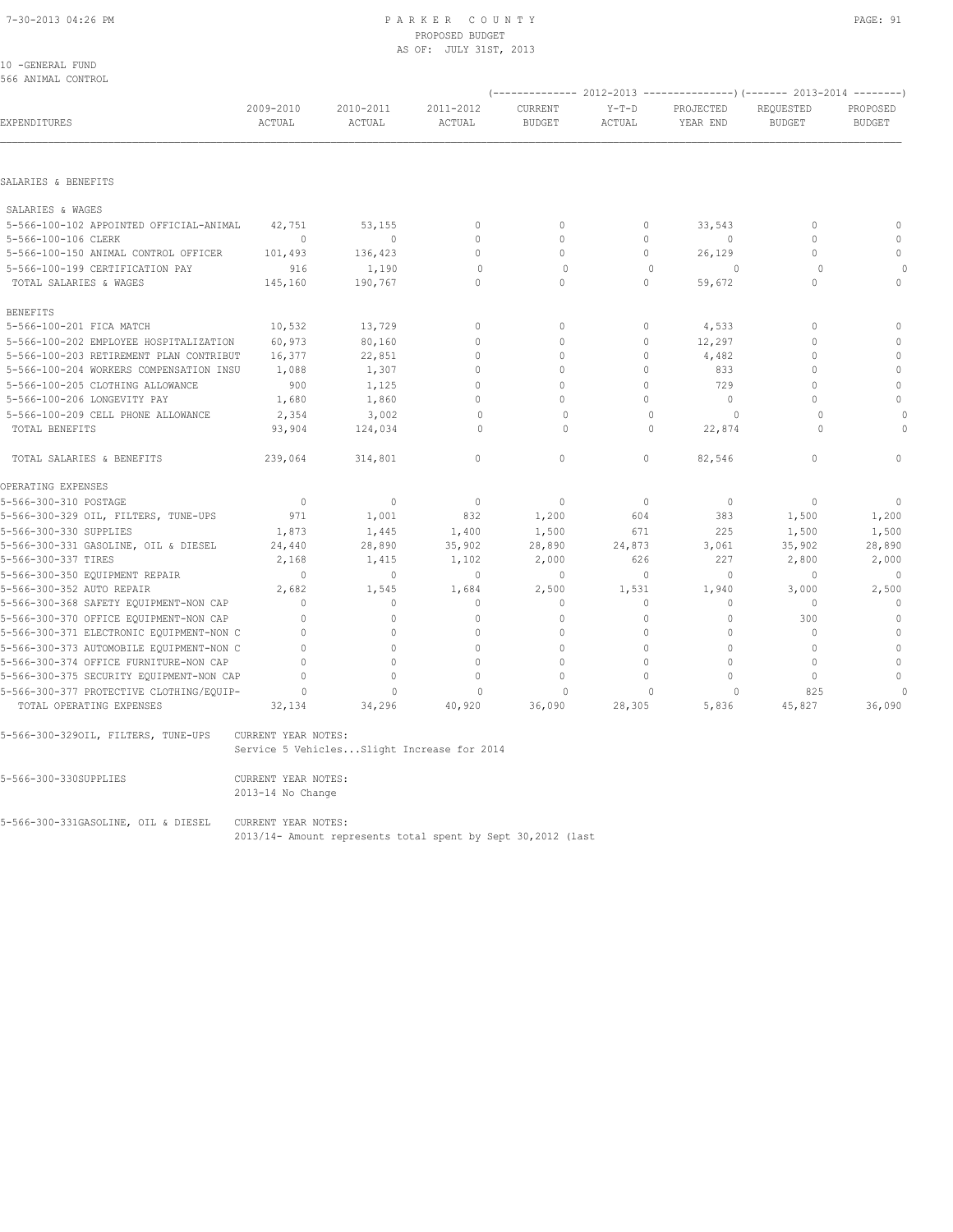| 10 - GENERAL FUND  |  |
|--------------------|--|
| 566 ANIMAL CONTROL |  |

| OOO ANIMAL CUNTKUL                       |                     |                                            |                     |                          |                   | (-------------- 2012-2013 ----------------) (------- 2013-2014 --------) |                            |                           |
|------------------------------------------|---------------------|--------------------------------------------|---------------------|--------------------------|-------------------|--------------------------------------------------------------------------|----------------------------|---------------------------|
| EXPENDITURES                             | 2009-2010<br>ACTUAL | 2010-2011<br>ACTUAL                        | 2011-2012<br>ACTUAL | CURRENT<br><b>BUDGET</b> | $Y-T-D$<br>ACTUAL | PROJECTED<br>YEAR END                                                    | REQUESTED<br><b>BUDGET</b> | PROPOSED<br><b>BUDGET</b> |
|                                          |                     |                                            |                     |                          |                   |                                                                          |                            |                           |
| SALARIES & BENEFITS                      |                     |                                            |                     |                          |                   |                                                                          |                            |                           |
| SALARIES & WAGES                         |                     |                                            |                     |                          |                   |                                                                          |                            |                           |
| 5-566-100-102 APPOINTED OFFICIAL-ANIMAL  | 42,751              | 53,155                                     | $\circ$             | $\mathbf{0}$             | 0                 | 33,543                                                                   | 0                          | $\mathbf{0}$              |
| 5-566-100-106 CLERK                      | $\Omega$            | $\Omega$                                   | $\mathbf{0}$        | $\Omega$                 | $\circ$           | $\begin{array}{c} \n\end{array}$                                         | $\Omega$                   | $\mathbf{0}$              |
| 5-566-100-150 ANIMAL CONTROL OFFICER     | 101,493             | 136,423                                    | $\Omega$            | $\mathbf{0}$             | $\circ$           | 26,129                                                                   | $\mathbf 0$                | $\circ$                   |
| 5-566-100-199 CERTIFICATION PAY          | 916                 | 1,190                                      | $\circ$             | $\circ$                  | $\mathbf{0}$      | <sup>0</sup>                                                             | $\Omega$                   | $\cap$                    |
| TOTAL SALARIES & WAGES                   | 145,160             | 190,767                                    | $\cap$              | $\Omega$                 | $\Omega$          | 59,672                                                                   | $\Omega$                   | $\mathbf{0}$              |
| <b>BENEFITS</b>                          |                     |                                            |                     |                          |                   |                                                                          |                            |                           |
| 5-566-100-201 FICA MATCH                 | 10,532              | 13,729                                     | $\mathbf{0}$        | $\mathbf{0}$             | 0                 | 4,533                                                                    | $\mathbf{0}$               | $\mathbf{0}$              |
| 5-566-100-202 EMPLOYEE HOSPITALIZATION   | 60,973              | 80,160                                     | $\circ$             | $\mathbf{0}$             | $\circ$           | 12,297                                                                   | $\mathbf 0$                | $\mathbb O$               |
| 5-566-100-203 RETIREMENT PLAN CONTRIBUT  | 16,377              | 22,851                                     | $\mathbf{0}$        | $\circ$                  | $\circ$           | 4,482                                                                    | $\Omega$                   | $\mathbf{0}$              |
| 5-566-100-204 WORKERS COMPENSATION INSU  | 1,088               | 1,307                                      | $\mathbf{0}$        | $\Omega$                 | $\Omega$          | 833                                                                      | $\Omega$                   | $\mathbb O$               |
| 5-566-100-205 CLOTHING ALLOWANCE         | 900                 | 1,125                                      | $\mathbf{0}$        | $\mathbf{0}$             | $\circ$           | 729                                                                      | $\Omega$                   | $\mathbb O$               |
| 5-566-100-206 LONGEVITY PAY              | 1,680               | 1,860                                      | $\mathbf{0}$        | $\circ$                  | $\circ$           | $\circ$                                                                  | $\Omega$                   | $\mathbf{0}$              |
| 5-566-100-209 CELL PHONE ALLOWANCE       | 2,354               | 3,002                                      | $\Omega$            | $\Omega$                 | $\Omega$          | $\Omega$                                                                 | $\Omega$                   | 0                         |
| TOTAL BENEFITS                           | 93,904              | 124,034                                    | $\Omega$            | $\Omega$                 | $\Omega$          | 22,874                                                                   | $\cap$                     | $\Omega$                  |
| TOTAL SALARIES & BENEFITS                | 239,064             | 314,801                                    | $\circ$             | $\mathbf{0}$             | $\circ$           | 82,546                                                                   | $\circ$                    | 0                         |
| OPERATING EXPENSES                       |                     |                                            |                     |                          |                   |                                                                          |                            |                           |
| 5-566-300-310 POSTAGE                    | $\circ$             | $\mathbf{0}$                               | $\overline{0}$      | $\mathbf{0}$             | $\circ$           | $\mathbf{0}$                                                             | $\mathbf{0}$               | $\mathbf{0}$              |
| 5-566-300-329 OIL, FILTERS, TUNE-UPS     | 971                 | 1,001                                      | 832                 | 1,200                    | 604               | 383                                                                      | 1,500                      | 1,200                     |
| 5-566-300-330 SUPPLIES                   | 1,873               | 1,445                                      | 1,400               | 1,500                    | 671               | 225                                                                      | 1,500                      | 1,500                     |
| 5-566-300-331 GASOLINE, OIL & DIESEL     | 24,440              | 28,890                                     | 35,902              | 28,890                   | 24,873            | 3,061                                                                    | 35,902                     | 28,890                    |
| 5-566-300-337 TIRES                      | 2,168               | 1,415                                      | 1,102               | 2,000                    | 626               | 227                                                                      | 2,800                      | 2,000                     |
| 5-566-300-350 EQUIPMENT REPAIR           | $\Omega$            | $\circ$                                    | $\mathbf{0}$        | $\mathbf{0}$             | 0                 | $\mathbf{0}$                                                             | $\mathbf 0$                | $\mathbf{0}$              |
| 5-566-300-352 AUTO REPAIR                | 2,682               | 1,545                                      | 1,684               | 2,500                    | 1,531             | 1,940                                                                    | 3,000                      | 2,500                     |
| 5-566-300-368 SAFETY EQUIPMENT-NON CAP   | $\Omega$            | $\Omega$                                   | $\mathbf{0}$        | $\Omega$                 | $\Omega$          | $\Omega$                                                                 | $\Omega$                   | $\mathbf{0}$              |
| 5-566-300-370 OFFICE EQUIPMENT-NON CAP   | $\mathbf{0}$        | 0                                          | $\mathbf{0}$        | 0                        | $\circ$           | $\circ$                                                                  | 300                        | $\mathbf 0$               |
| 5-566-300-371 ELECTRONIC EQUIPMENT-NON C | $\Omega$            | $\Omega$                                   | $\Omega$            | $\Omega$                 | $\Omega$          | $\Omega$                                                                 | $\Omega$                   | $\circ$                   |
| 5-566-300-373 AUTOMOBILE EQUIPMENT-NON C | $\Omega$            | $\Omega$                                   | $\Omega$            | $\Omega$                 | $\Omega$          | $\Omega$                                                                 | $\Omega$                   | $\mathbf{0}$              |
| 5-566-300-374 OFFICE FURNITURE-NON CAP   | $\Omega$            | 0                                          | $\Omega$            | $\mathbf{0}$             | $\circ$           | $\circ$                                                                  | $\mathbf 0$                | $\circ$                   |
| 5-566-300-375 SECURITY EQUIPMENT-NON CAP | $\Omega$            | $\mathbf{0}$                               | $\mathbf{0}$        | $\mathbf{0}$             | $\circ$           | $\circ$                                                                  | $\circ$                    | $\mathbf{0}$              |
| 5-566-300-377 PROTECTIVE CLOTHING/EQUIP- | $\circ$             | $\Omega$                                   | $\Omega$            | $\mathbf 0$              | $\Omega$          | $\Omega$                                                                 | 825                        | $\Omega$                  |
| TOTAL OPERATING EXPENSES                 | 32,134              | 34,296                                     | 40,920              | 36,090                   | 28,305            | 5,836                                                                    | 45,827                     | 36,090                    |
| 5-566-300-3290IL, FILTERS, TUNE-UPS      | CURRENT YEAR NOTES: | Service 5 VehiclesSlight Increase for 2014 |                     |                          |                   |                                                                          |                            |                           |
|                                          |                     |                                            |                     |                          |                   |                                                                          |                            |                           |
| 5-566-300-330SUPPLIES                    | CURRENT YEAR NOTES: |                                            |                     |                          |                   |                                                                          |                            |                           |

2013-14 No Change

5-566-300-331GASOLINE, OIL & DIESEL CURRENT YEAR NOTES:

2013/14- Amount represents total spent by Sept 30,2012 (last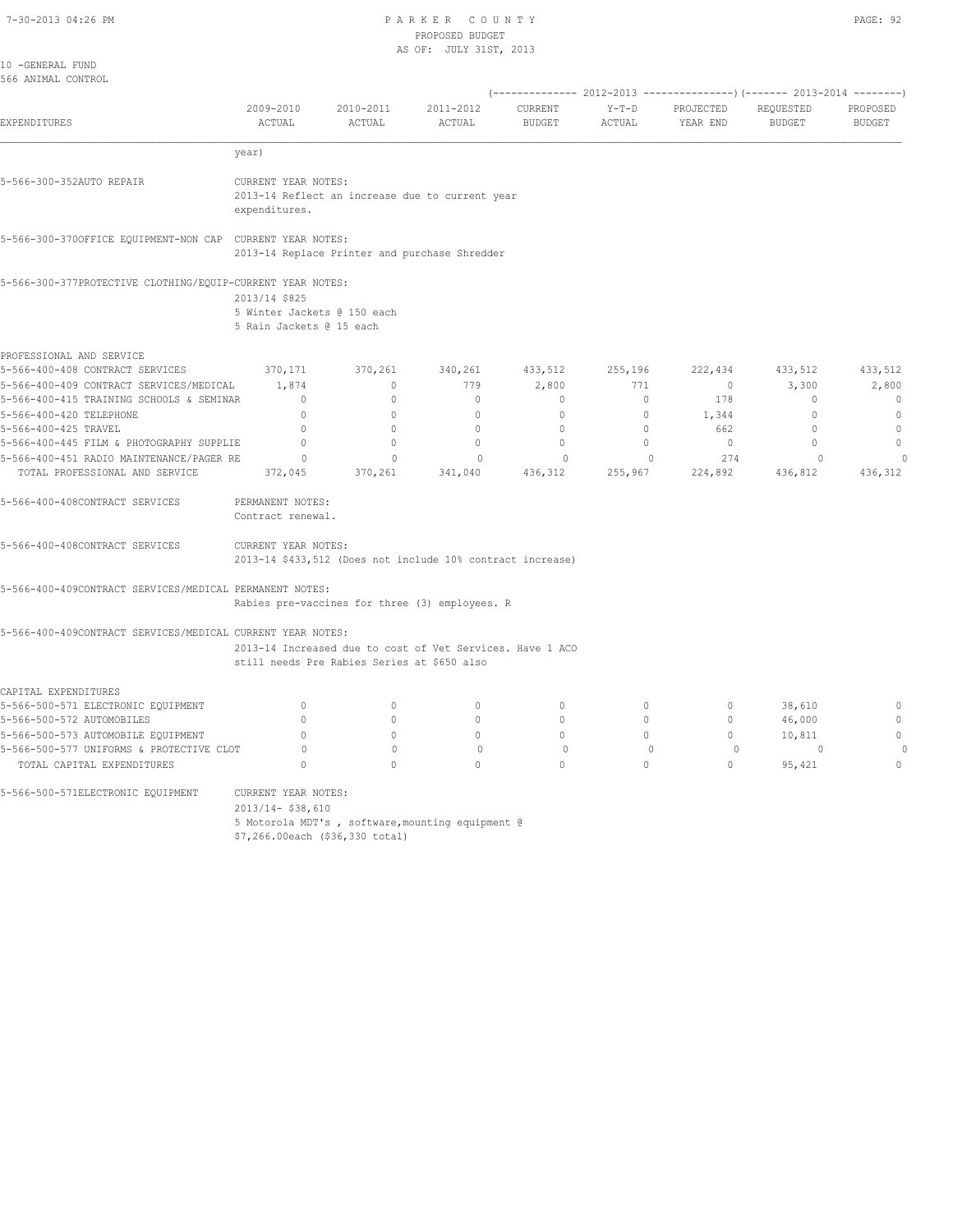# 7-30-2013 04:26 PM P A R K E R C O U N T Y PROPOSED BUDGET

| w<br>v<br>-<br>۰, |  |
|-------------------|--|
|-------------------|--|

|                                                                            |                                                         |                                             | AS OF: JULY 31ST, 2013                                     |                          |                         |                       |                                                             |                           |
|----------------------------------------------------------------------------|---------------------------------------------------------|---------------------------------------------|------------------------------------------------------------|--------------------------|-------------------------|-----------------------|-------------------------------------------------------------|---------------------------|
| 10 -GENERAL FUND<br>566 ANIMAL CONTROL                                     |                                                         |                                             |                                                            |                          |                         |                       |                                                             |                           |
|                                                                            |                                                         |                                             |                                                            |                          |                         |                       | $(----------2012-2013------------)$ $(----2013-2014------)$ |                           |
| EXPENDITURES                                                               | 2009-2010<br>ACTUAL                                     | 2010-2011<br>ACTUAL                         | 2011-2012<br>ACTUAL                                        | CURRENT<br><b>BUDGET</b> | $Y-T-D$<br>ACTUAL       | PROJECTED<br>YEAR END | REQUESTED<br><b>BUDGET</b>                                  | PROPOSED<br><b>BUDGET</b> |
|                                                                            | year)                                                   |                                             |                                                            |                          |                         |                       |                                                             |                           |
| 5-566-300-352AUTO REPAIR                                                   | CURRENT YEAR NOTES:<br>expenditures.                    |                                             | 2013-14 Reflect an increase due to current year            |                          |                         |                       |                                                             |                           |
| 5-566-300-370OFFICE EQUIPMENT-NON CAP CURRENT YEAR NOTES:                  |                                                         |                                             | 2013-14 Replace Printer and purchase Shredder              |                          |                         |                       |                                                             |                           |
| 5-566-300-377PROTECTIVE CLOTHING/EQUIP-CURRENT YEAR NOTES:                 |                                                         |                                             |                                                            |                          |                         |                       |                                                             |                           |
|                                                                            | 2013/14 \$825                                           |                                             |                                                            |                          |                         |                       |                                                             |                           |
|                                                                            | 5 Winter Jackets @ 150 each<br>5 Rain Jackets @ 15 each |                                             |                                                            |                          |                         |                       |                                                             |                           |
| PROFESSIONAL AND SERVICE                                                   |                                                         |                                             |                                                            |                          |                         |                       |                                                             |                           |
| 5-566-400-408 CONTRACT SERVICES                                            | 370,171                                                 | 370,261                                     | 340,261                                                    | 433,512                  | 255,196                 | 222,434               | 433,512                                                     | 433,512                   |
| 5-566-400-409 CONTRACT SERVICES/MEDICAL                                    | 1,874                                                   | $\mathbb O$                                 | 779                                                        | 2,800                    | 771                     | $\circ$               | 3,300                                                       | 2,800                     |
| 5-566-400-415 TRAINING SCHOOLS & SEMINAR                                   | $\Omega$                                                | $\circ$                                     | 0                                                          | $\mathbf 0$              | $\circ$                 | 178                   | $\circ$                                                     | $\circ$                   |
| 5-566-400-420 TELEPHONE                                                    | $\circ$                                                 | $\circ$                                     | $\mathbb O$                                                | $\mathbf 0$              | $\circ$                 | 1,344                 | $\mathbb O$                                                 | $\mathbf 0$               |
| 5-566-400-425 TRAVEL                                                       | $\Omega$                                                | $\Omega$                                    | $\mathbf{0}$                                               | $\mathbf{0}$             | $\circ$                 | 662                   | $\mathbf{0}$                                                | $\mathbf{0}$              |
| 5-566-400-445 FILM & PHOTOGRAPHY SUPPLIE                                   | $\mathbf{0}$                                            | $\circ$                                     | $\circ$                                                    | $\mathbf{0}$             | $\circ$                 | $\circ$               | $\mathbf{0}$                                                | $\circ$                   |
| 5-566-400-451 RADIO MAINTENANCE/PAGER RE<br>TOTAL PROFESSIONAL AND SERVICE | $\circ$<br>372,045                                      | $\mathbf{0}$<br>370,261                     | $\mathbf{0}$<br>341,040                                    | $\Omega$<br>436,312      | $\mathbf{0}$<br>255,967 | 274<br>224,892        | $\circ$<br>436,812                                          | $\circ$<br>436,312        |
| 5-566-400-408CONTRACT SERVICES                                             | PERMANENT NOTES:<br>Contract renewal.                   |                                             |                                                            |                          |                         |                       |                                                             |                           |
| 5-566-400-408CONTRACT SERVICES                                             | CURRENT YEAR NOTES:                                     |                                             | 2013-14 \$433,512 (Does not include 10% contract increase) |                          |                         |                       |                                                             |                           |
| 5-566-400-409CONTRACT SERVICES/MEDICAL PERMANENT NOTES:                    |                                                         |                                             | Rabies pre-vaccines for three (3) employees. R             |                          |                         |                       |                                                             |                           |
| 5-566-400-409CONTRACT SERVICES/MEDICAL CURRENT YEAR NOTES:                 |                                                         |                                             |                                                            |                          |                         |                       |                                                             |                           |
|                                                                            |                                                         | still needs Pre Rabies Series at \$650 also | 2013-14 Increased due to cost of Vet Services. Have 1 ACO  |                          |                         |                       |                                                             |                           |
| CAPITAL EXPENDITURES                                                       |                                                         |                                             |                                                            |                          |                         |                       |                                                             |                           |
| 5-566-500-571 ELECTRONIC EQUIPMENT                                         | $\mathbf{0}$                                            | $\circ$                                     | $\mathbf 0$                                                | $\circ$                  | $\circ$                 | $\circ$               | 38,610                                                      | $\mathbf{0}$              |
| 5-566-500-572 AUTOMOBILES                                                  | $\circ$                                                 | $\circ$                                     | 0                                                          | $\mathbf{0}$             | $\circ$                 | $\circ$               | 46,000                                                      | $\mathbf{0}$              |
| 5-566-500-573 AUTOMOBILE EQUIPMENT                                         | $\Omega$                                                | $\Omega$                                    | $\mathbf{0}$                                               | $\mathbf{0}$             | $\circ$                 | $\circ$               | 10,811                                                      | $\circ$                   |
| 5-566-500-577 UNIFORMS & PROTECTIVE CLOT<br>TOTAL CAPITAL EXPENDITURES     | 0<br>$\circ$                                            | $\mathbf{0}$<br>$\Omega$                    | $\circ$<br>$\Omega$                                        | $\circ$<br>$\circ$       | $\mathbf{0}$<br>$\circ$ | $\circ$<br>$\circ$    | $\circ$<br>95,421                                           | $\circ$<br>$\circ$        |
| 5-566-500-571ELECTRONIC EQUIPMENT                                          | CURRENT YEAR NOTES:                                     |                                             |                                                            |                          |                         |                       |                                                             |                           |
|                                                                            | 2013/14- \$38,610                                       |                                             | 5 Motorola MDT's, software, mounting equipment @           |                          |                         |                       |                                                             |                           |

\$7,266.00each (\$36,330 total)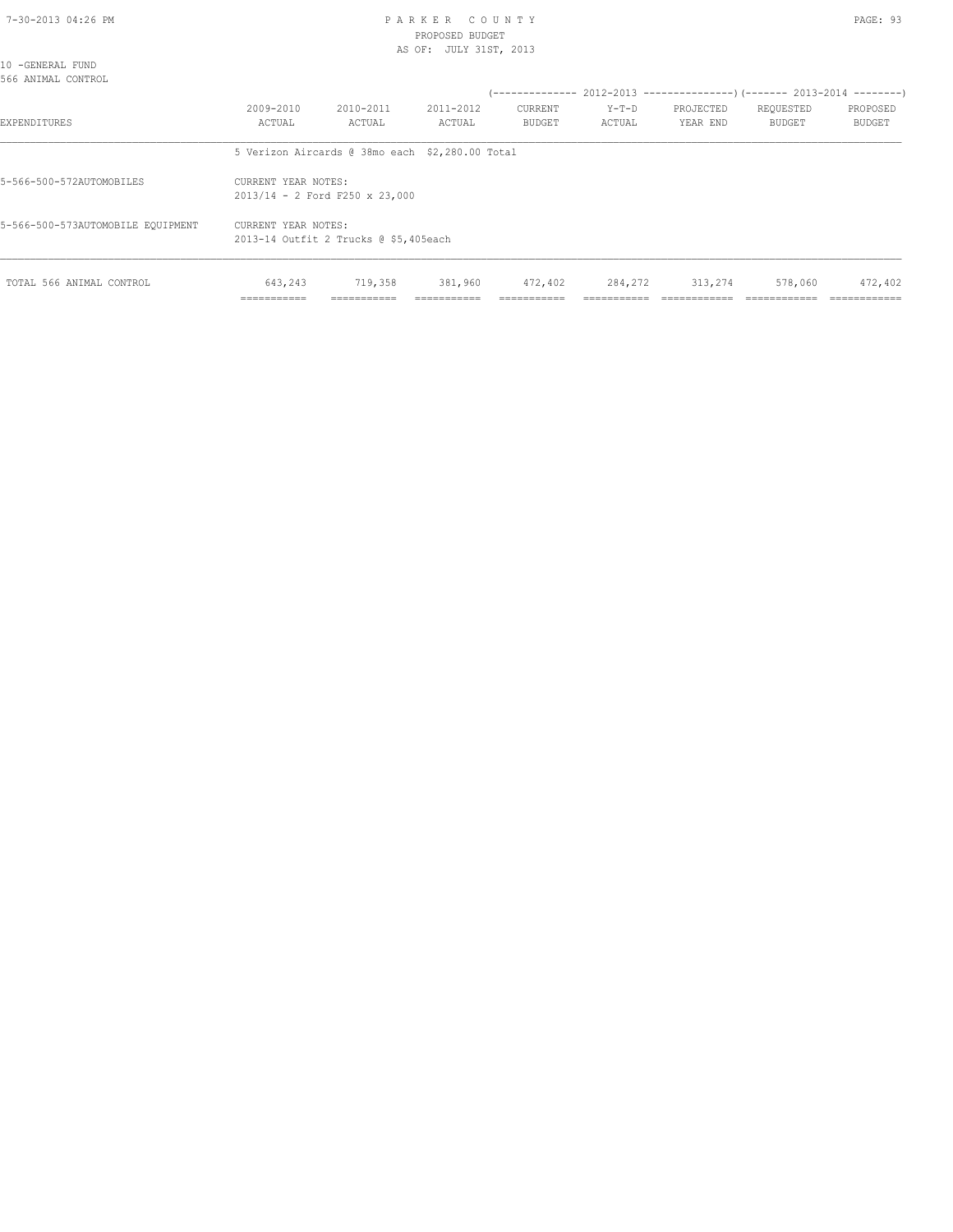#### 7-30-2013 04:26 PM P A R K E R C O U N T Y PROPOSED BUDGET AS OF: JULY 31ST, 2013

|--|--|

| 10 -GENERAL FUND<br>566 ANIMAL CONTROL |                     |                                       |                                                 |                   |                   |                       |                            |                                                                      |
|----------------------------------------|---------------------|---------------------------------------|-------------------------------------------------|-------------------|-------------------|-----------------------|----------------------------|----------------------------------------------------------------------|
|                                        |                     |                                       |                                                 |                   |                   |                       |                            | (-------------- 2012-2013 --------------------- 2013-2014 ---------- |
| <b>EXPENDITURES</b>                    | 2009-2010<br>ACTUAL | 2010-2011<br>ACTUAL                   | 2011-2012<br>ACTUAL                             | CURRENT<br>BUDGET | $Y-T-D$<br>ACTUAL | PROJECTED<br>YEAR END | REQUESTED<br><b>BUDGET</b> | PROPOSED<br><b>BUDGET</b>                                            |
|                                        |                     |                                       | 5 Verizon Aircards @ 38mo each \$2,280.00 Total |                   |                   |                       |                            |                                                                      |
| 5-566-500-572AUTOMOBILES               | CURRENT YEAR NOTES: | $2013/14 - 2$ Ford F250 x 23,000      |                                                 |                   |                   |                       |                            |                                                                      |
| 5-566-500-573AUTOMOBILE EQUIPMENT      | CURRENT YEAR NOTES: | 2013-14 Outfit 2 Trucks @ \$5,405each |                                                 |                   |                   |                       |                            |                                                                      |
| TOTAL 566 ANIMAL CONTROL               | 643,243             | 719,358                               | 381,960                                         | 472,402           | 284,272           | 313,274               | 578,060                    | 472,402                                                              |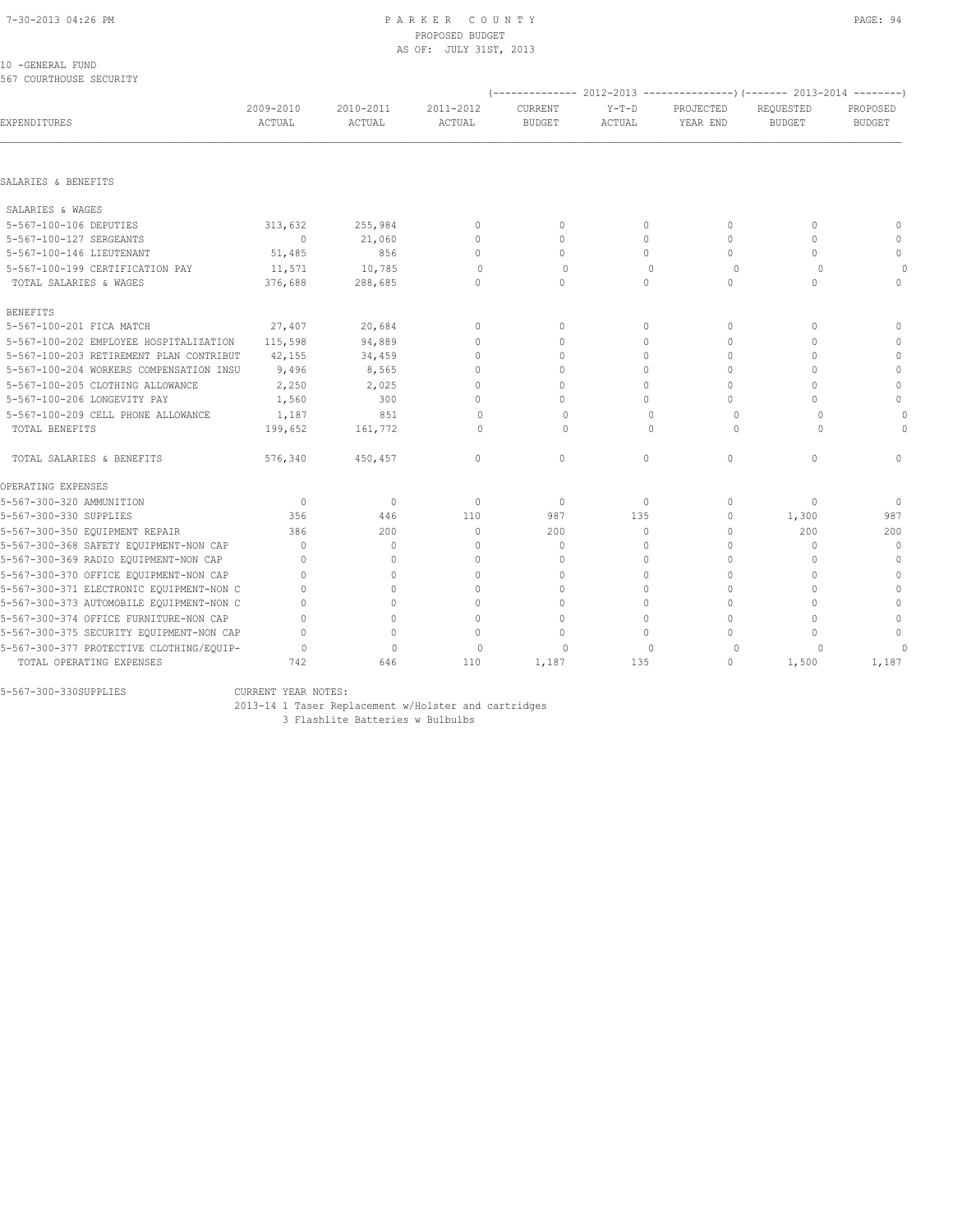| 10 - GENERAL FUND |                         |
|-------------------|-------------------------|
|                   | 567 COURTHOUSE SECURITY |

| 307 COORTHOUSE SECURITI                  |                                  |                     |                     |                          |                   |                                  | (-------------- 2012-2013 ----------------) (------- 2013-2014 --------) |                           |
|------------------------------------------|----------------------------------|---------------------|---------------------|--------------------------|-------------------|----------------------------------|--------------------------------------------------------------------------|---------------------------|
| EXPENDITURES                             | 2009-2010<br><b>ACTUAL</b>       | 2010-2011<br>ACTUAL | 2011-2012<br>ACTUAL | CURRENT<br><b>BUDGET</b> | $Y-T-D$<br>ACTUAL | PROJECTED<br>YEAR END            | REQUESTED<br><b>BUDGET</b>                                               | PROPOSED<br><b>BUDGET</b> |
|                                          |                                  |                     |                     |                          |                   |                                  |                                                                          |                           |
| SALARIES & BENEFITS                      |                                  |                     |                     |                          |                   |                                  |                                                                          |                           |
| SALARIES & WAGES                         |                                  |                     |                     |                          |                   |                                  |                                                                          |                           |
| 5-567-100-106 DEPUTIES                   | 313,632                          | 255,984             | $\mathbf{0}$        | $\mathbf 0$              | $\circ$           | $\mathbf{0}$                     | $\Omega$                                                                 | $\mathbf{0}$              |
| 5-567-100-127 SERGEANTS                  | $\Omega$                         | 21,060              | $\Omega$            | $\Omega$                 | $\Omega$          | $\Omega$                         | $\Omega$                                                                 | $\Omega$                  |
| 5-567-100-146 LIEUTENANT                 | 51,485                           | 856                 | $\mathbf{0}$        | $\Omega$                 | $\Omega$          | $\circ$                          | $\Omega$                                                                 | $\mathbf{0}$              |
| 5-567-100-199 CERTIFICATION PAY          | 11,571                           | 10,785              | $\Omega$            | $\Omega$                 | $\Omega$          | $\circ$                          | $\Omega$                                                                 | $\Omega$                  |
| TOTAL SALARIES & WAGES                   | 376,688                          | 288,685             | $\mathbf{0}$        | $\mathbf{0}$             | 0                 | $\circ$                          | $\circ$                                                                  | $\mathbf{0}$              |
| <b>BENEFITS</b>                          |                                  |                     |                     |                          |                   |                                  |                                                                          |                           |
| 5-567-100-201 FICA MATCH                 | 27,407                           | 20,684              | $\mathbf{0}$        | $\Omega$                 | $\Omega$          | $\mathbf{0}$                     | $\Omega$                                                                 | $\Omega$                  |
| 5-567-100-202 EMPLOYEE HOSPITALIZATION   | 115,598                          | 94,889              | $\mathbf{0}$        | $\Omega$                 | $\Omega$          | $\Omega$                         | $\Omega$                                                                 | $\Omega$                  |
| 5-567-100-203 RETIREMENT PLAN CONTRIBUT  | 42,155                           | 34,459              | $\mathbf{0}$        | $\mathbf 0$              | $\Omega$          | $\circ$                          | $\cap$                                                                   | $\mathbf{0}$              |
| 5-567-100-204 WORKERS COMPENSATION INSU  | 9,496                            | 8,565               | $\mathbf{0}$        | $\Omega$                 | $\Omega$          | $\Omega$                         | $\cap$                                                                   | $\mathbf{0}$              |
| 5-567-100-205 CLOTHING ALLOWANCE         | 2,250                            | 2,025               | $\Omega$            | $\Omega$                 | $\Omega$          | $\Omega$                         | $\cap$                                                                   | $\mathbf{0}$              |
| 5-567-100-206 LONGEVITY PAY              | 1,560                            | 300                 | $\Omega$            | $\Omega$                 | $\Omega$          | $\Omega$                         | $\cap$                                                                   | $\mathbf{0}$              |
| 5-567-100-209 CELL PHONE ALLOWANCE       | 1,187                            | 851                 | $\Omega$            | $\Omega$                 | $\Omega$          | $\circ$                          | $\Omega$                                                                 | $\circ$                   |
| TOTAL BENEFITS                           | 199,652                          | 161,772             | $\Omega$            | $\Omega$                 | $\Omega$          | $\Omega$                         | $\Omega$                                                                 | $\Omega$                  |
| TOTAL SALARIES & BENEFITS                | 576,340                          | 450,457             | $\mathbf{0}$        | $\circ$                  | $\circ$           | $\mathbf{0}$                     | $\mathbf{0}$                                                             | $\Omega$                  |
| OPERATING EXPENSES                       |                                  |                     |                     |                          |                   |                                  |                                                                          |                           |
| 5-567-300-320 AMMUNITION                 | $\Omega$                         | $\circ$             | $\mathbf{0}$        | $\Omega$                 | 0                 | $\begin{array}{c} \n\end{array}$ | $\Omega$                                                                 | $\Omega$                  |
| 5-567-300-330 SUPPLIES                   | 356                              | 446                 | 110                 | 987                      | 135               | $\circ$                          | 1,300                                                                    | 987                       |
| 5-567-300-350 EQUIPMENT REPAIR           | 386                              | 200                 | $\Omega$            | 200                      | $\Omega$          | $\Omega$                         | 200                                                                      | 200                       |
| 5-567-300-368 SAFETY EQUIPMENT-NON CAP   | $\begin{array}{c} \n\end{array}$ | $\mathbf{0}$        | $\mathbf{0}$        | 0                        | 0                 | $\mathbf{0}$                     | $\mathbf{0}$                                                             | $\circ$                   |
| 5-567-300-369 RADIO EQUIPMENT-NON CAP    | 0                                | $\mathbf{0}$        | $\mathbf{0}$        | $\mathbf 0$              | $\Omega$          | $\Omega$                         | $\cap$                                                                   | $\mathbf{0}$              |
| 5-567-300-370 OFFICE EQUIPMENT-NON CAP   | $\Omega$                         | 0                   | $\Omega$            | $\mathbf 0$              | $\Omega$          | $\Omega$                         | $\Omega$                                                                 | $\mathbf{0}$              |
| 5-567-300-371 ELECTRONIC EQUIPMENT-NON C | $\Omega$                         | $\Omega$            | $\Omega$            | $\mathbf 0$              | $\Omega$          | $\circ$                          | $\Omega$                                                                 | $\mathbf{0}$              |
| 5-567-300-373 AUTOMOBILE EQUIPMENT-NON C | $\Omega$                         | $\Omega$            | $\Omega$            | $\Omega$                 | $\Omega$          | $\Omega$                         | $\Omega$                                                                 | $\Omega$                  |
| 5-567-300-374 OFFICE FURNITURE-NON CAP   | $\Omega$                         | $\Omega$            | $\Omega$            | $\Omega$                 | $\Omega$          | $\Omega$                         | $\cap$                                                                   | $\Omega$                  |
| 5-567-300-375 SECURITY EQUIPMENT-NON CAP | $\bigcap$                        | $\circ$             | $\Omega$            | $\Omega$                 | $\Omega$          | $\Omega$                         | $\cap$                                                                   | $\Omega$                  |
| 5-567-300-377 PROTECTIVE CLOTHING/EQUIP- | $\cap$                           | $\mathbf{0}$        | $\Omega$            | $\cap$                   | $\Omega$          | $\Omega$                         | $\Omega$                                                                 | $\cap$                    |
| TOTAL OPERATING EXPENSES                 | 742                              | 646                 | 110                 | 1,187                    | 135               | 0                                | 1,500                                                                    | 1,187                     |

5-567-300-330SUPPLIES CURRENT YEAR NOTES:

2013-14 1 Taser Replacement w/Holster and cartridges

3 Flashlite Batteries w Bulbulbs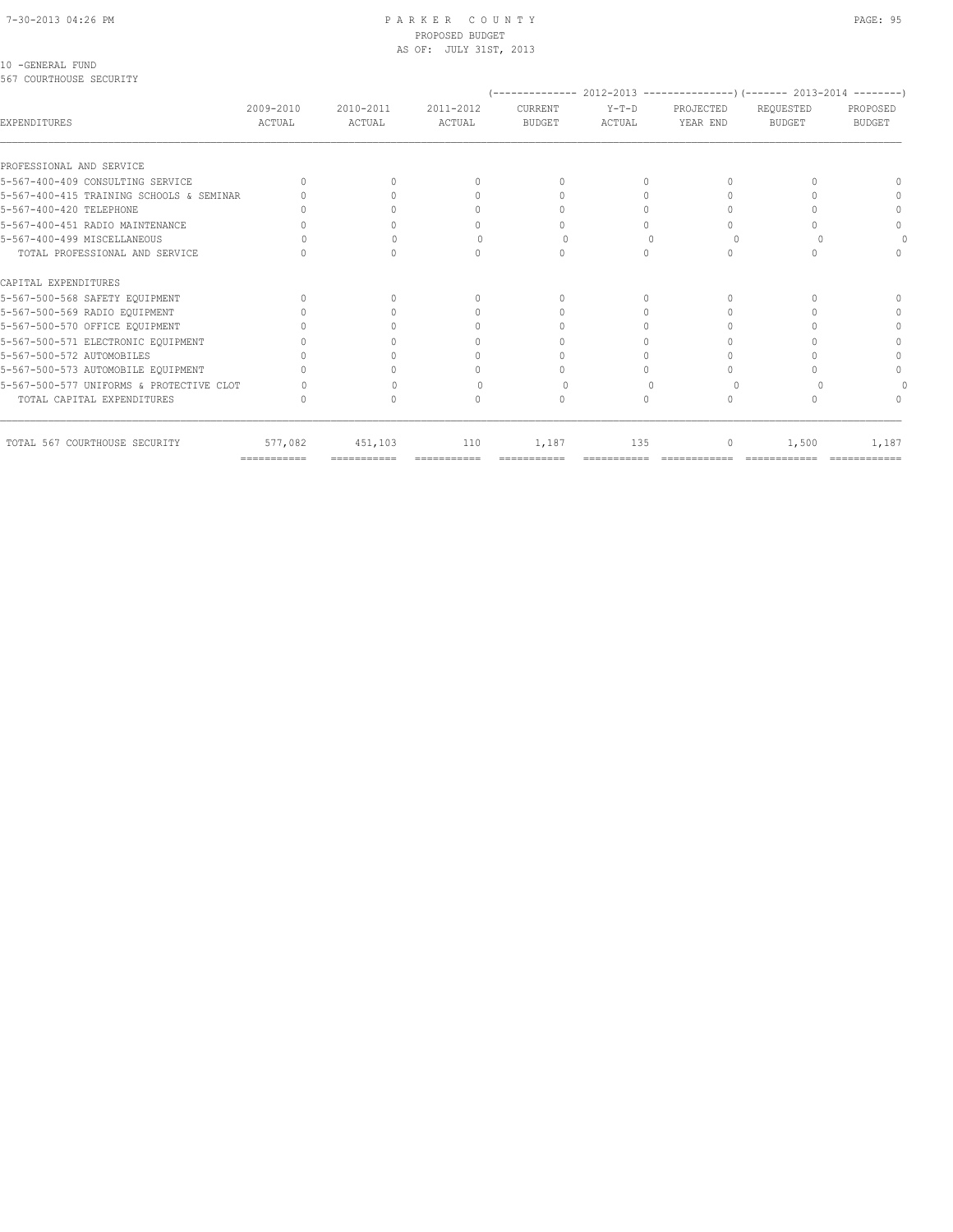#### 7-30-2013 04:26 PM P A R K E R C O U N T Y PAGE: 95 PROPOSED BUDGET AS OF: JULY 31ST, 2013

#### 10 -GENERAL FUND

567 COURTHOUSE SECURITY

| EXPENDITURES                                                        |                     | 2010-2011<br>ACTUAL |                     |                          |                   |                       |                            |                           |
|---------------------------------------------------------------------|---------------------|---------------------|---------------------|--------------------------|-------------------|-----------------------|----------------------------|---------------------------|
|                                                                     | 2009-2010<br>ACTUAL |                     | 2011-2012<br>ACTUAL | CURRENT<br><b>BUDGET</b> | $Y-T-D$<br>ACTUAL | PROJECTED<br>YEAR END | REQUESTED<br><b>BUDGET</b> | PROPOSED<br><b>BUDGET</b> |
| PROFESSIONAL AND SERVICE                                            |                     |                     |                     |                          |                   |                       |                            |                           |
| 5-567-400-409 CONSULTING SERVICE                                    |                     | 0                   | $\cup$              | $\cup$                   |                   |                       |                            |                           |
|                                                                     |                     |                     |                     |                          |                   |                       |                            |                           |
| 5-567-400-415 TRAINING SCHOOLS & SEMINAR<br>5-567-400-420 TELEPHONE |                     |                     |                     |                          |                   |                       |                            |                           |
|                                                                     |                     |                     |                     |                          |                   |                       |                            |                           |
| 5-567-400-451 RADIO MAINTENANCE                                     |                     |                     | $\Omega$            |                          |                   |                       |                            |                           |
| 5-567-400-499 MISCELLANEOUS                                         |                     |                     |                     |                          |                   |                       |                            |                           |
| TOTAL PROFESSIONAL AND SERVICE                                      |                     |                     | $\cap$              |                          |                   |                       |                            |                           |
| CAPITAL EXPENDITURES                                                |                     |                     |                     |                          |                   |                       |                            |                           |
| 5-567-500-568 SAFETY EQUIPMENT                                      |                     |                     | $\cup$              | $\cup$                   |                   |                       |                            |                           |
| 5-567-500-569 RADIO EQUIPMENT                                       |                     |                     |                     |                          |                   |                       |                            |                           |
| 5-567-500-570 OFFICE EQUIPMENT                                      |                     |                     | 0                   |                          |                   |                       |                            | ∩                         |
| 5-567-500-571 ELECTRONIC EQUIPMENT                                  |                     |                     | $\Omega$            |                          |                   |                       |                            | ∩                         |
| 5-567-500-572 AUTOMOBILES                                           |                     |                     | 0                   |                          |                   |                       |                            |                           |
| 5-567-500-573 AUTOMOBILE EQUIPMENT                                  |                     |                     |                     |                          |                   |                       |                            |                           |
| 5-567-500-577 UNIFORMS & PROTECTIVE CLOT                            |                     |                     |                     |                          |                   |                       |                            |                           |
| TOTAL CAPITAL EXPENDITURES                                          |                     |                     | $\Omega$            | $\Omega$                 | $\bigcap$         |                       |                            |                           |
| TOTAL 567 COURTHOUSE SECURITY                                       | 577,082             | 451,103             | 110                 | 1,187                    | 135               | 0                     | 1,500                      | 1,187                     |
|                                                                     | ============        |                     | ============        |                          |                   |                       |                            |                           |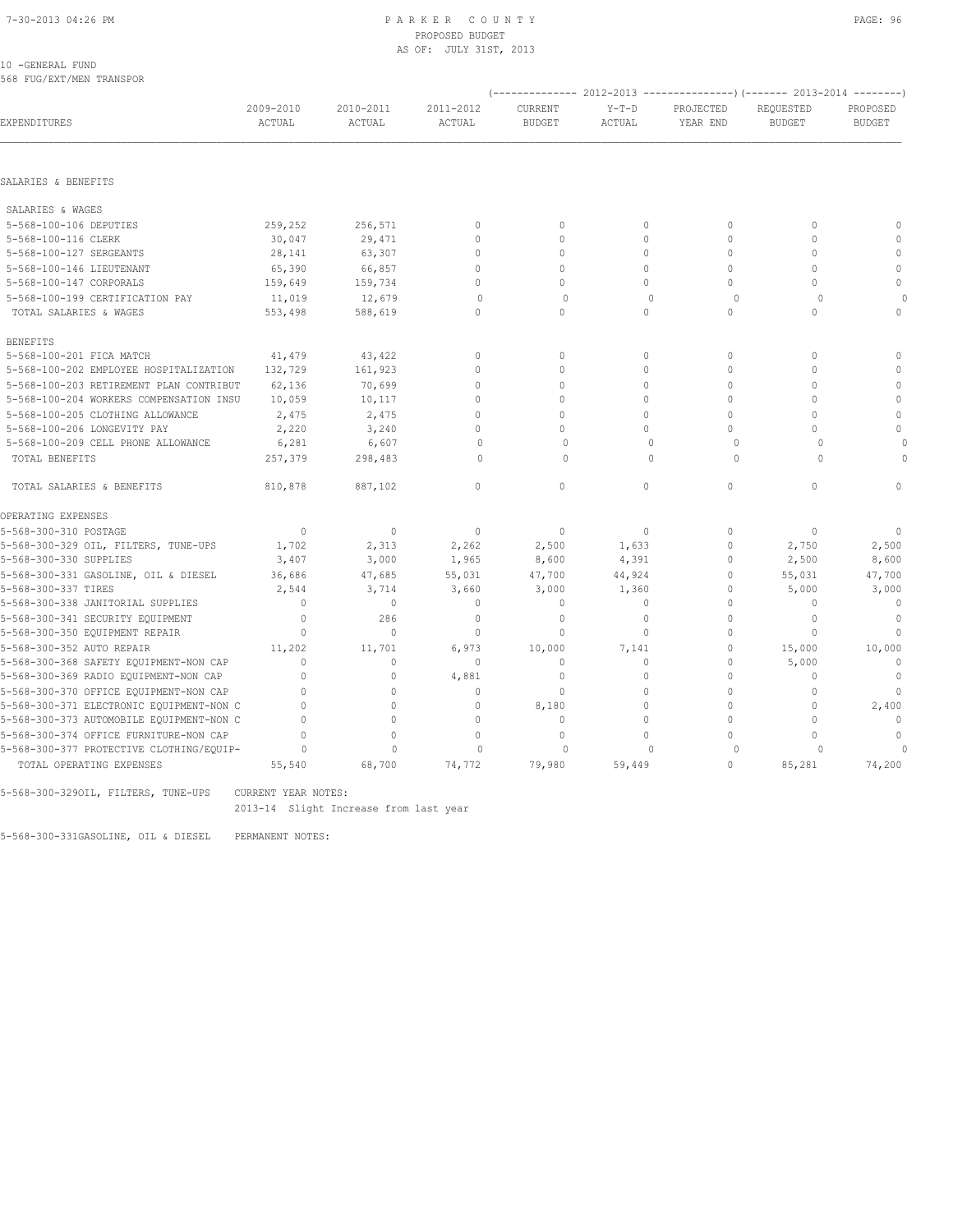#### 7-30-2013 04:26 PM P A R K E R C O U N T Y PAGE: 96 PROPOSED BUDGET AS OF: JULY 31ST, 2013

10 -GENERAL FUND 568 FUG/EXT/MEN TRANSPOR

|                                          |                     |                     |                                  |                                 |                   |                       | (-------------- 2012-2013 ---------------) (------- 2013-2014 --------) |                           |
|------------------------------------------|---------------------|---------------------|----------------------------------|---------------------------------|-------------------|-----------------------|-------------------------------------------------------------------------|---------------------------|
| EXPENDITURES                             | 2009-2010<br>ACTUAL | 2010-2011<br>ACTUAL | 2011-2012<br>ACTUAL              | <b>CURRENT</b><br><b>BUDGET</b> | $Y-T-D$<br>ACTUAL | PROJECTED<br>YEAR END | REOUESTED<br><b>BUDGET</b>                                              | PROPOSED<br><b>BUDGET</b> |
|                                          |                     |                     |                                  |                                 |                   |                       |                                                                         |                           |
| SALARIES & BENEFITS                      |                     |                     |                                  |                                 |                   |                       |                                                                         |                           |
| SALARIES & WAGES                         |                     |                     |                                  |                                 |                   |                       |                                                                         |                           |
| 5-568-100-106 DEPUTIES                   | 259,252             | 256,571             | $\mathbf{0}$                     | $\mathbf{0}$                    | $\circ$           | $\mathbf{0}$          | $\mathbf{0}$                                                            | $\mathbf{0}$              |
| 5-568-100-116 CLERK                      | 30,047              | 29,471              | $\Omega$                         | $\Omega$                        | $\Omega$          | $\Omega$              | $\Omega$                                                                | $\mathbf{0}$              |
| 5-568-100-127 SERGEANTS                  | 28,141              | 63,307              | $\mathbf{0}$                     | $\mathbf{0}$                    | $\circ$           | $\mathbf{0}$          | $\Omega$                                                                | $\mathbb O$               |
| 5-568-100-146 LIEUTENANT                 | 65,390              | 66,857              | $\Omega$                         | $\circ$                         | $\Omega$          | $\Omega$              | $\Omega$                                                                | $\mathbf{0}$              |
| 5-568-100-147 CORPORALS                  | 159,649             | 159,734             | $\Omega$                         | $\circ$                         | $\circ$           | $\Omega$              | $\Omega$                                                                | $\Omega$                  |
| 5-568-100-199 CERTIFICATION PAY          | 11,019              | 12,679              | $\circ$                          | $\mathbf 0$                     | $\Omega$          | $\circ$               | $\Omega$                                                                |                           |
| TOTAL SALARIES & WAGES                   | 553,498             | 588,619             | $\Omega$                         | $\Omega$                        | $\Omega$          | $\Omega$              | $\Omega$                                                                | $\Omega$                  |
| <b>BENEFITS</b>                          |                     |                     |                                  |                                 |                   |                       |                                                                         |                           |
| 5-568-100-201 FICA MATCH                 | 41,479              | 43,422              | $\mathbf{0}$                     | $\mathbf{0}$                    | $\circ$           | $\mathbf{0}$          | $\mathbf{0}$                                                            | $\Omega$                  |
| 5-568-100-202 EMPLOYEE HOSPITALIZATION   | 132,729             | 161,923             | $\Omega$                         | $\circ$                         | $\circ$           | $\mathbf{0}$          | $\Omega$                                                                | $\Omega$                  |
| 5-568-100-203 RETIREMENT PLAN CONTRIBUT  | 62,136              | 70,699              | $\Omega$                         | $\circ$                         | $\circ$           | $\mathbf{0}$          | $\mathbf{0}$                                                            | $\mathbb O$               |
| 5-568-100-204 WORKERS COMPENSATION INSU  | 10,059              | 10,117              | $\Omega$                         | $\Omega$                        | $\Omega$          | $\mathbf{0}$          | $\Omega$                                                                | $\mathbf{0}$              |
| 5-568-100-205 CLOTHING ALLOWANCE         | 2,475               | 2,475               | $\Omega$                         | $\Omega$                        | $\Omega$          | $\Omega$              | $\Omega$                                                                | $\Omega$                  |
| 5-568-100-206 LONGEVITY PAY              | 2,220               | 3,240               | $\Omega$                         | $\Omega$                        | $\Omega$          | $\Omega$              | $\Omega$                                                                | $\Omega$                  |
| 5-568-100-209 CELL PHONE ALLOWANCE       | 6,281               | 6,607               | $\begin{array}{c} \n\end{array}$ | $\Omega$                        | $\Omega$          | $\Omega$              | $\Omega$                                                                |                           |
| TOTAL BENEFITS                           | 257,379             | 298,483             | $\Omega$                         | $\Omega$                        | $\Omega$          | $\Omega$              | $\Omega$                                                                |                           |
| TOTAL SALARIES & BENEFITS                | 810,878             | 887,102             | $\mathbf{0}$                     | $\circ$                         | $\circ$           | $\circ$               | $\mathbf{0}$                                                            | $\Omega$                  |
| OPERATING EXPENSES                       |                     |                     |                                  |                                 |                   |                       |                                                                         |                           |
| 5-568-300-310 POSTAGE                    | $\mathbf{0}$        | $\mathbf{0}$        | $\mathbb O$                      | $\mathbf{0}$                    | $\circ$           | $\mathbf{0}$          | $\mathbf{0}$                                                            | $\mathbf{0}$              |
| 5-568-300-329 OIL, FILTERS, TUNE-UPS     | 1,702               | 2,313               | 2,262                            | 2,500                           | 1,633             | $\mathbf{0}$          | 2,750                                                                   | 2,500                     |
| 5-568-300-330 SUPPLIES                   | 3,407               | 3,000               | 1,965                            | 8,600                           | 4,391             | $\mathbf{0}$          | 2,500                                                                   | 8,600                     |
| 5-568-300-331 GASOLINE, OIL & DIESEL     | 36,686              | 47,685              | 55,031                           | 47,700                          | 44,924            | $\mathbf{0}$          | 55,031                                                                  | 47,700                    |
| 5-568-300-337 TIRES                      | 2,544               | 3,714               | 3,660                            | 3,000                           | 1,360             | 0                     | 5,000                                                                   | 3,000                     |
| 5-568-300-338 JANITORIAL SUPPLIES        | $\mathbf{0}$        | $\mathbf{0}$        | $\mathbf{0}$                     | $\mathbf{0}$                    | $\circ$           | $\mathbf{0}$          | $\mathbf{0}$                                                            | $\circ$                   |
| 5-568-300-341 SECURITY EQUIPMENT         | $\mathbf{0}$        | 286                 | $\mathbf{0}$                     | $\mathbf{0}$                    | $\circ$           | $\Omega$              | $\Omega$                                                                | $\Omega$                  |
| 5-568-300-350 EQUIPMENT REPAIR           | $\mathbf{0}$        | $\mathbf{0}$        | $\mathbf{0}$                     | $\mathbf{0}$                    | $\circ$           | $\mathbf{0}$          | $\Omega$                                                                | $\mathbf{0}$              |
| 5-568-300-352 AUTO REPAIR                | 11,202              | 11,701              | 6,973                            | 10,000                          | 7,141             | $\mathbf{0}$          | 15,000                                                                  | 10,000                    |
| 5-568-300-368 SAFETY EQUIPMENT-NON CAP   | $\mathbf{0}$        | $\circ$             | $\circ$                          | 0                               | 0                 | $\mathbf 0$           | 5,000                                                                   | $\mathbf{0}$              |
| 5-568-300-369 RADIO EQUIPMENT-NON CAP    | $\mathbf{0}$        | $\circ$             | 4,881                            | $\mathbf{0}$                    | $\circ$           | $\mathbf{0}$          | $\mathbf{0}$                                                            | $\mathbf 0$               |
| 5-568-300-370 OFFICE EQUIPMENT-NON CAP   | $\Omega$            | $\Omega$            | $\mathbf{0}$                     | $\mathbf{0}$                    | $\Omega$          | $\Omega$              | $\Omega$                                                                | $\Omega$                  |
| 5-568-300-371 ELECTRONIC EQUIPMENT-NON C | $\mathbf{0}$        | $\circ$             | $\mathbf{0}$                     | 8,180                           | $\circ$           | $\mathbf{0}$          | $\mathbf{0}$                                                            | 2,400                     |
| 5-568-300-373 AUTOMOBILE EQUIPMENT-NON C | $\Omega$            | $\Omega$            | $\Omega$                         | $\mathbf{0}$                    | $\Omega$          | $\Omega$              | $\Omega$                                                                | $\cap$                    |
| 5-568-300-374 OFFICE FURNITURE-NON CAP   | $\mathbf{0}$        | $\circ$             | $\mathbf{0}$                     | $\mathbf{0}$                    | $\circ$           | $\cap$                | $\Omega$                                                                | $\mathbf{0}$              |
| 5-568-300-377 PROTECTIVE CLOTHING/EQUIP- | $\Omega$            | $\Omega$            | $\Omega$                         | $\Omega$                        | $\cap$            | $\Omega$              |                                                                         | $\Omega$                  |
| TOTAL OPERATING EXPENSES                 | 55,540              | 68,700              | 74,772                           | 79,980                          | 59,449            | $\Omega$              | 85,281                                                                  | 74,200                    |

5-568-300-329OIL, FILTERS, TUNE-UPS CURRENT YEAR NOTES:

2013-14 Slight Increase from last year

5-568-300-331GASOLINE, OIL & DIESEL PERMANENT NOTES: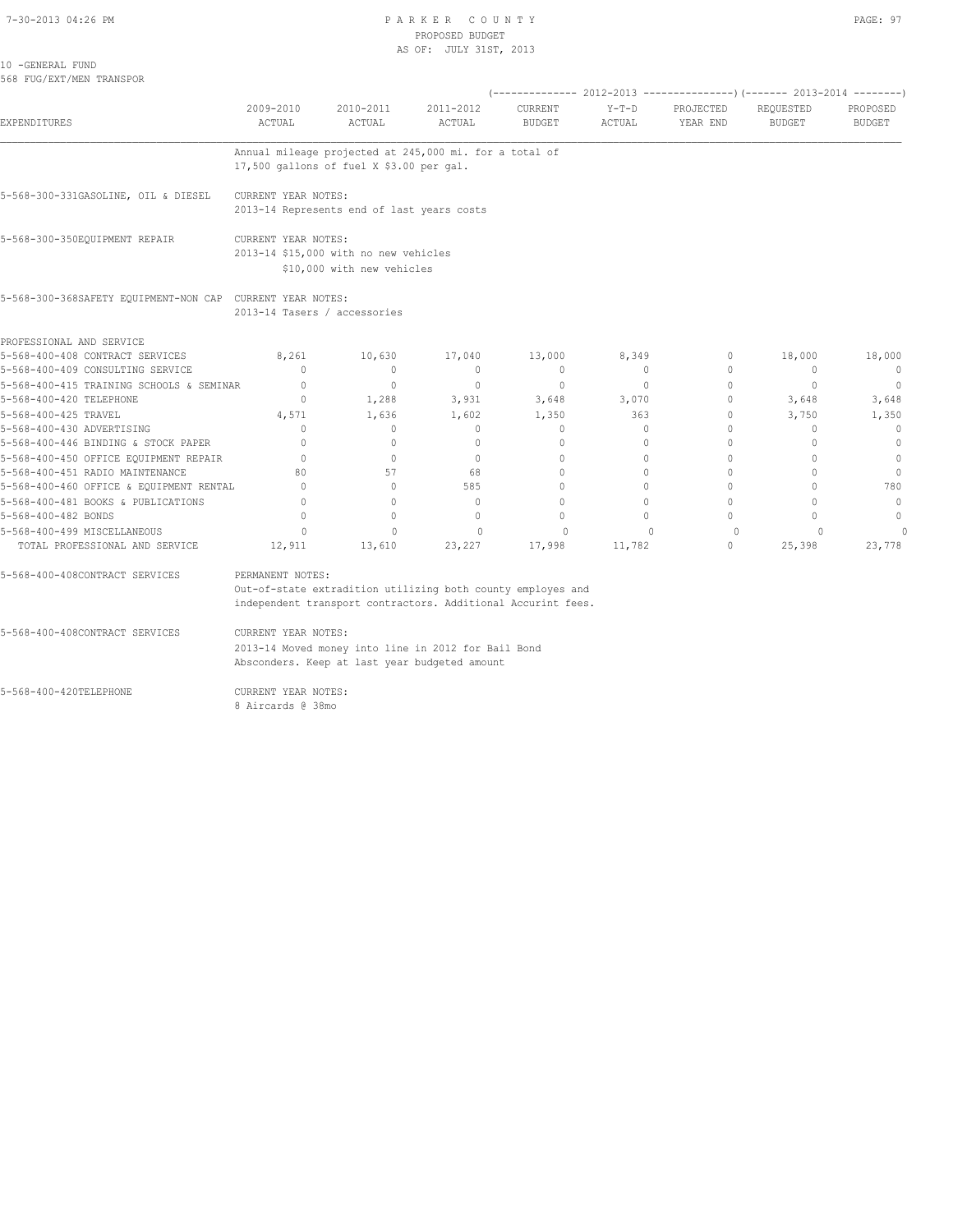#### 7-30-2013 04:26 PM PAGE: 97 PROPOSED BUDGET AS OF: JULY 31ST, 2013

10 -GENERAL FUND 568 FUG/EXT/MEN TRANSPOR

| <b>EXPENDITURES</b>                                       |                                                                                                                                                 |                                  |                            |                                  |                   |                       |                            |                           |  |  |
|-----------------------------------------------------------|-------------------------------------------------------------------------------------------------------------------------------------------------|----------------------------------|----------------------------|----------------------------------|-------------------|-----------------------|----------------------------|---------------------------|--|--|
|                                                           | 2009-2010<br><b>ACTUAL</b>                                                                                                                      | 2010-2011<br>ACTUAL              | 2011-2012<br><b>ACTUAL</b> | CURRENT<br><b>BUDGET</b>         | $Y-T-D$<br>ACTUAL | PROJECTED<br>YEAR END | REQUESTED<br><b>BUDGET</b> | PROPOSED<br><b>BUDGET</b> |  |  |
|                                                           | Annual mileage projected at 245,000 mi. for a total of<br>17,500 gallons of fuel X \$3.00 per gal.                                              |                                  |                            |                                  |                   |                       |                            |                           |  |  |
| 5-568-300-331GASOLINE, OIL & DIESEL                       | CURRENT YEAR NOTES:<br>2013-14 Represents end of last years costs                                                                               |                                  |                            |                                  |                   |                       |                            |                           |  |  |
| 5-568-300-350EQUIPMENT REPAIR                             | CURRENT YEAR NOTES:<br>2013-14 \$15,000 with no new vehicles<br>\$10,000 with new vehicles                                                      |                                  |                            |                                  |                   |                       |                            |                           |  |  |
| 5-568-300-368SAFETY EOUIPMENT-NON CAP CURRENT YEAR NOTES: | 2013-14 Tasers / accessories                                                                                                                    |                                  |                            |                                  |                   |                       |                            |                           |  |  |
| PROFESSIONAL AND SERVICE                                  |                                                                                                                                                 |                                  |                            |                                  |                   |                       |                            |                           |  |  |
| 5-568-400-408 CONTRACT SERVICES                           | 8,261                                                                                                                                           | 10,630                           | 17,040                     | 13,000                           | 8,349             | 0                     | 18,000                     | 18,000                    |  |  |
| 5-568-400-409 CONSULTING SERVICE                          | $\Omega$                                                                                                                                        | $\Omega$                         | $\mathbf{0}$               | $\Omega$                         | $\circ$           | $\Omega$              | $\Omega$                   | $\overline{0}$            |  |  |
| 5-568-400-415 TRAINING SCHOOLS & SEMINAR                  | $\Omega$                                                                                                                                        | $\circ$                          | $\mathbf{0}$               | $\mathbf{0}$                     | $\circ$           | $\Omega$              | $\mathbf{0}$               | $\overline{0}$            |  |  |
| 5-568-400-420 TELEPHONE                                   | $\Omega$                                                                                                                                        | 1,288                            | 3,931                      | 3,648                            | 3,070             | $\Omega$              | 3,648                      | 3,648                     |  |  |
| 5-568-400-425 TRAVEL                                      | 4,571                                                                                                                                           | 1,636                            | 1,602                      | 1,350                            | 363               | 0                     | 3,750                      | 1,350                     |  |  |
| 5-568-400-430 ADVERTISING                                 | $\Omega$                                                                                                                                        | $\circ$                          | $\Omega$                   | $\mathbf{0}$                     | $\circ$           | $\Omega$              | $\Omega$                   | $\Omega$                  |  |  |
| 5-568-400-446 BINDING & STOCK PAPER                       | $\Omega$                                                                                                                                        | $\Omega$                         | $\Omega$                   | $\begin{array}{c} \n\end{array}$ | $\Omega$          | $\Omega$              | $\Omega$                   | $\mathbf{0}$              |  |  |
| 5-568-400-450 OFFICE EQUIPMENT REPAIR                     | $\Omega$                                                                                                                                        | $\begin{array}{c} \n\end{array}$ | $\Omega$                   | $\begin{array}{c} \n\end{array}$ | $\Omega$          | $\Omega$              | $\Omega$                   | $\Omega$                  |  |  |
| 5-568-400-451 RADIO MAINTENANCE                           | 80                                                                                                                                              | 57                               | 68                         | $\begin{array}{c} \n\end{array}$ | $\Omega$          | $\Omega$              | $\Omega$                   | $\mathbf{0}$              |  |  |
| 5-568-400-460 OFFICE & EQUIPMENT RENTAL                   | $\Omega$                                                                                                                                        | $\Omega$                         | 585                        | $\Omega$                         | $\Omega$          | $\Omega$              | $\Omega$                   | 780                       |  |  |
| 5-568-400-481 BOOKS & PUBLICATIONS                        | $\Omega$                                                                                                                                        | $\Omega$                         | $\Omega$                   | $\begin{array}{c} \n\end{array}$ | $\Omega$          | $\Omega$              | $\Omega$                   | $\circ$                   |  |  |
| 5-568-400-482 BONDS                                       | $\bigcap$                                                                                                                                       | $\Omega$                         | $\Omega$                   | $\Omega$                         | $\Omega$          | $\Omega$              | $\Omega$                   | $\mathbf{0}$              |  |  |
| 5-568-400-499 MISCELLANEOUS                               | $\Omega$                                                                                                                                        | $\Omega$                         | $\Omega$                   | $\Omega$                         | $\Omega$          | $\circ$               | $\Omega$                   | $\cap$                    |  |  |
| TOTAL PROFESSIONAL AND SERVICE                            | 12,911                                                                                                                                          | 13,610                           | 23,227                     | 17,998                           | 11,782            | $\circ$               | 25,398                     | 23,778                    |  |  |
| 5-568-400-408CONTRACT SERVICES                            | PERMANENT NOTES:<br>Out-of-state extradition utilizing both county employes and<br>independent transport contractors. Additional Accurint fees. |                                  |                            |                                  |                   |                       |                            |                           |  |  |
| 5-568-400-408CONTRACT SERVICES                            | CURRENT YEAR NOTES:                                                                                                                             |                                  |                            |                                  |                   |                       |                            |                           |  |  |
|                                                           | 2013-14 Moved money into line in 2012 for Bail Bond<br>Absconders. Keep at last year budgeted amount                                            |                                  |                            |                                  |                   |                       |                            |                           |  |  |
| 5-568-400-420TELEPHONE                                    | CURRENT YEAR NOTES:<br>8 Aircards @ 38mo                                                                                                        |                                  |                            |                                  |                   |                       |                            |                           |  |  |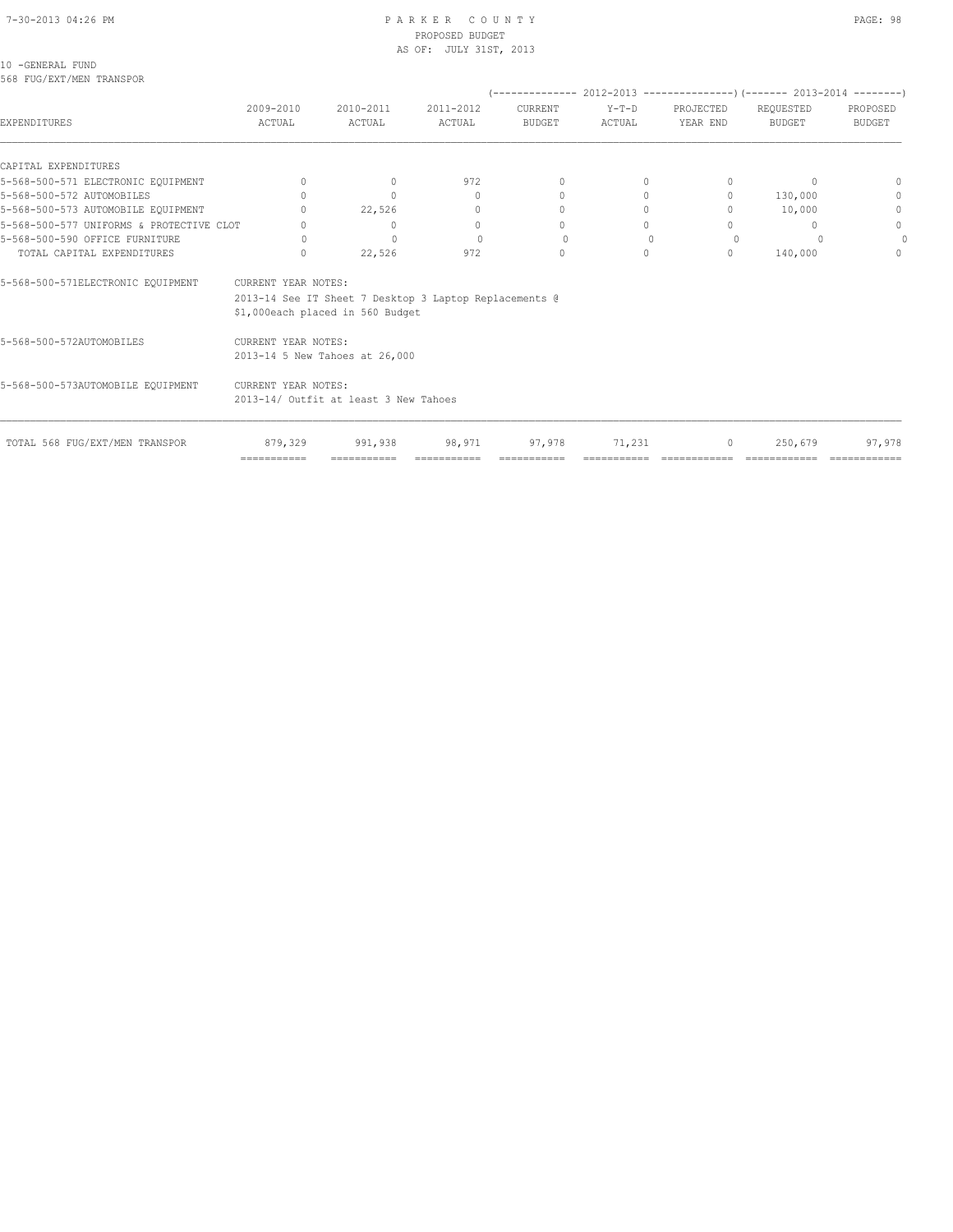#### 7-30-2013 04:26 PM P A R K E R C O U N T Y PAGE: 98 PROPOSED BUDGET AS OF: JULY 31ST, 2013

| 10 - GENERAL FUND |                          |
|-------------------|--------------------------|
|                   | 568 FUG/EXT/MEN TRANSPOR |

|                                          |                                      |                                                                                            |                       |                                  |                   | $(-$ -------------- 2012-2013 -----------------) (------- 2013-2014 ---------) |                                  |                                  |
|------------------------------------------|--------------------------------------|--------------------------------------------------------------------------------------------|-----------------------|----------------------------------|-------------------|--------------------------------------------------------------------------------|----------------------------------|----------------------------------|
| EXPENDITURES                             | 2009-2010<br>ACTUAL                  | 2010-2011<br>ACTUAL                                                                        | 2011-2012<br>ACTUAL   | CURRENT<br><b>BUDGET</b>         | $Y-T-D$<br>ACTUAL | PROJECTED<br>YEAR END                                                          | REQUESTED<br><b>BUDGET</b>       | PROPOSED<br><b>BUDGET</b>        |
| CAPITAL EXPENDITURES                     |                                      |                                                                                            |                       |                                  |                   |                                                                                |                                  |                                  |
| 5-568-500-571 ELECTRONIC EQUIPMENT       | $\Omega$                             | $\Omega$                                                                                   | 972                   | $\begin{array}{c} \n\end{array}$ | $\Omega$          | $\Omega$                                                                       | $\Omega$                         | $\begin{array}{c} \n\end{array}$ |
| 5-568-500-572 AUTOMOBILES                | $\bigcap$                            | $\Omega$                                                                                   | 0                     | $\begin{array}{c} \n\end{array}$ | $\Omega$          | $\circ$                                                                        | 130,000                          | 0                                |
| 5-568-500-573 AUTOMOBILE EQUIPMENT       |                                      | 22,526                                                                                     | $\mathbf{0}$          |                                  | $\Omega$          | $\begin{array}{c} \n\end{array}$                                               | 10,000                           | $\mathbf{0}$                     |
| 5-568-500-577 UNIFORMS & PROTECTIVE CLOT |                                      | $\mathbf{0}$                                                                               | $\mathbf{0}$          | 0                                | $\Omega$          | $\cap$                                                                         | $\begin{array}{c} \n\end{array}$ | $\circ$                          |
| 5-568-500-590 OFFICE FURNITURE           | $\Omega$                             | $\Omega$                                                                                   | $\Omega$              | $\Omega$                         | $\mathbf{0}$      | $\Omega$                                                                       |                                  | $\Omega$                         |
| TOTAL CAPITAL EXPENDITURES               | $\cup$                               | 22,526                                                                                     | 972                   | $\Omega$                         | $\Omega$          | $\circ$                                                                        | 140,000                          | $\Omega$                         |
| 5-568-500-571ELECTRONIC EQUIPMENT        | CURRENT YEAR NOTES:                  | 2013-14 See IT Sheet 7 Desktop 3 Laptop Replacements @<br>\$1,000each placed in 560 Budget |                       |                                  |                   |                                                                                |                                  |                                  |
| 5-568-500-572AUTOMOBILES                 | CURRENT YEAR NOTES:                  | 2013-14 5 New Tahoes at 26,000                                                             |                       |                                  |                   |                                                                                |                                  |                                  |
| 5-568-500-573AUTOMOBILE EQUIPMENT        | CURRENT YEAR NOTES:                  | 2013-14/ Outfit at least 3 New Tahoes                                                      |                       |                                  |                   |                                                                                |                                  |                                  |
| TOTAL 568 FUG/EXT/MEN TRANSPOR           | 879,329<br>$=$ = = = = = = = = = = = | 991,938<br>===========                                                                     | 98,971<br>=========== | 97,978                           | 71,231            | $\circ$                                                                        | 250,679                          | 97,978                           |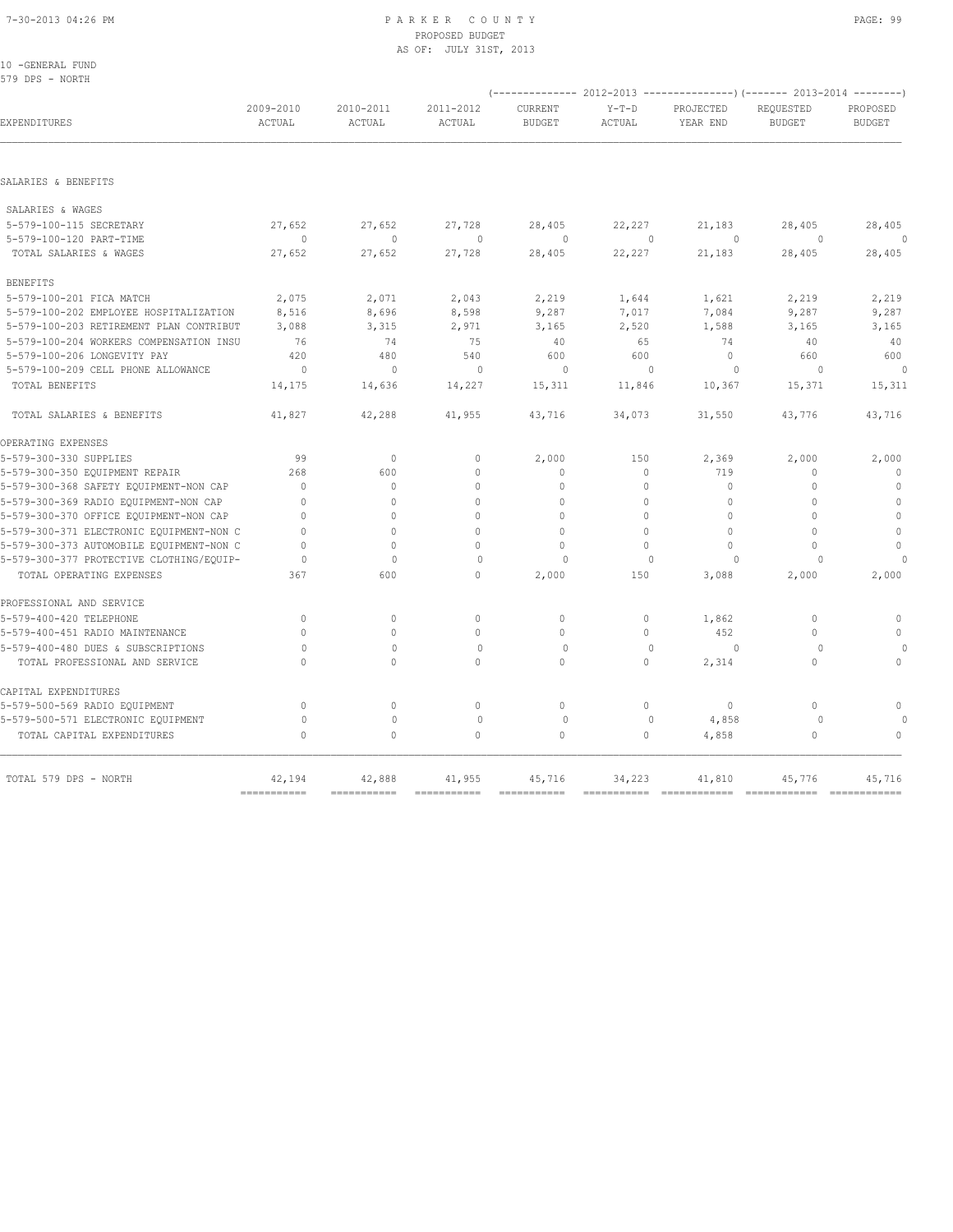# 7-30-2013 04:26 PM P A R K E R C O U N T Y PAGE: 99 PROPOSED BUDGET

| 10 -GENERAL FUND                         |                     |                     |                     |                          |                   |                       |                                                                        |                           |
|------------------------------------------|---------------------|---------------------|---------------------|--------------------------|-------------------|-----------------------|------------------------------------------------------------------------|---------------------------|
| 579 DPS - NORTH                          |                     |                     |                     |                          |                   |                       |                                                                        |                           |
|                                          |                     |                     |                     |                          |                   |                       | (------------- 2012-2013 ---------------) (------- 2013-2014 --------) |                           |
| EXPENDITURES                             | 2009-2010<br>ACTUAL | 2010-2011<br>ACTUAL | 2011-2012<br>ACTUAL | CURRENT<br><b>BUDGET</b> | $Y-T-D$<br>ACTUAL | PROJECTED<br>YEAR END | REQUESTED<br><b>BUDGET</b>                                             | PROPOSED<br><b>BUDGET</b> |
|                                          |                     |                     |                     |                          |                   |                       |                                                                        |                           |
| SALARIES & BENEFITS                      |                     |                     |                     |                          |                   |                       |                                                                        |                           |
| SALARIES & WAGES                         |                     |                     |                     |                          |                   |                       |                                                                        |                           |
| 5-579-100-115 SECRETARY                  | 27,652              | 27,652              | 27,728              | 28,405                   | 22,227            | 21,183                | 28,405                                                                 | 28,405                    |
| 5-579-100-120 PART-TIME                  | $\circ$             | $\mathbf{0}$        | $\circ$             | $\circ$                  | $\mathbf{0}$      | $\circ$               | $\circ$                                                                | 0                         |
| TOTAL SALARIES & WAGES                   | 27,652              | 27,652              | 27,728              | 28,405                   | 22,227            | 21,183                | 28,405                                                                 | 28,405                    |
| <b>BENEFITS</b>                          |                     |                     |                     |                          |                   |                       |                                                                        |                           |
| 5-579-100-201 FICA MATCH                 | 2,075               | 2,071               | 2,043               | 2,219                    | 1,644             | 1,621                 | 2,219                                                                  | 2,219                     |
| 5-579-100-202 EMPLOYEE HOSPITALIZATION   | 8,516               | 8,696               | 8,598               | 9,287                    | 7,017             | 7,084                 | 9,287                                                                  | 9,287                     |
| 5-579-100-203 RETIREMENT PLAN CONTRIBUT  | 3,088               | 3,315               | 2,971               | 3,165                    | 2,520             | 1,588                 | 3,165                                                                  | 3,165                     |
| 5-579-100-204 WORKERS COMPENSATION INSU  | 76                  | 74                  | 75                  | 40                       | 65                | 74                    | 40                                                                     | 40                        |
| 5-579-100-206 LONGEVITY PAY              | 420                 | 480                 | 540                 | 600                      | 600               | $\mathbb O$           | 660                                                                    | 600                       |
| 5-579-100-209 CELL PHONE ALLOWANCE       | $\circ$             | $\mathbf{0}$        | $\mathbf{0}$        | $\circ$                  | $\Omega$          | $\mathbf{0}$          | $\Omega$                                                               | $\theta$                  |
| TOTAL BENEFITS                           | 14,175              | 14,636              | 14,227              | 15,311                   | 11,846            | 10,367                | 15,371                                                                 | 15,311                    |
| TOTAL SALARIES & BENEFITS                | 41,827              | 42,288              | 41,955              | 43,716                   | 34,073            | 31,550                | 43,776                                                                 | 43,716                    |
| OPERATING EXPENSES                       |                     |                     |                     |                          |                   |                       |                                                                        |                           |
| 5-579-300-330 SUPPLIES                   | 99                  | $\mathbb O$         | $\circ$             | 2,000                    | 150               | 2,369                 | 2,000                                                                  | 2,000                     |
| 5-579-300-350 EQUIPMENT REPAIR           | 268                 | 600                 | $\Omega$            | $\mathbf{0}$             | 0                 | 719                   | $\mathbf{0}$                                                           | $\mathbf{0}$              |
| 5-579-300-368 SAFETY EQUIPMENT-NON CAP   | $\mathbf{0}$        | $\circ$             | $\Omega$            | $\mathbf{0}$             | 0                 | 0                     | $\Omega$                                                               | $\mathbf{0}$              |
| 5-579-300-369 RADIO EQUIPMENT-NON CAP    | $\mathbf{0}$        | $\circ$             | $\Omega$            | 0                        | $\mathbf 0$       | 0                     | $\mathbf{0}$                                                           | $\mathbb O$               |
| 5-579-300-370 OFFICE EQUIPMENT-NON CAP   | $\mathbf{0}$        | $\circ$             | $\Omega$            | $\circ$                  | $\circ$           | $\mathbf 0$           | $\Omega$                                                               | $\mathbb O$               |
| 5-579-300-371 ELECTRONIC EQUIPMENT-NON C | $\mathbf{0}$        | $\Omega$            | $\Omega$            | $\mathbf{0}$             | $\circ$           | $\mathbf{0}$          | $\Omega$                                                               | $\mathbb O$               |
| 5-579-300-373 AUTOMOBILE EQUIPMENT-NON C | $\Omega$            | $\Omega$            | $\Omega$            | 0                        | $\circ$           | $\mathbf{0}$          | $\Omega$                                                               | $\mathbf 0$               |
| 5-579-300-377 PROTECTIVE CLOTHING/EQUIP- | $\circ$             | $\mathbf{0}$        | $\circ$             | $\circ$                  | $\cap$            | $\circ$               |                                                                        | 0                         |
| TOTAL OPERATING EXPENSES                 | 367                 | 600                 | $\Omega$            | 2,000                    | 150               | 3,088                 | 2,000                                                                  | 2,000                     |
| PROFESSIONAL AND SERVICE                 |                     |                     |                     |                          |                   |                       |                                                                        |                           |
| 5-579-400-420 TELEPHONE                  | $\mathbf 0$         | $\circ$             | $\mathbb O$         | $\circ$                  | 0                 | 1,862                 | 0                                                                      | $\mathbb O$               |
| 5-579-400-451 RADIO MAINTENANCE          | $\circ$             | $\circ$             | $\mathbf{0}$        | $\circ$                  | $\circ$           | 452                   | $\mathbf{0}$                                                           | $\mathbf{0}$              |
| 5-579-400-480 DUES & SUBSCRIPTIONS       | $\circ$             | $\mathbf{0}$        | $\circ$             | $\circ$                  | $\mathbf{0}$      | $\circ$               | $\Omega$                                                               | 0                         |
| TOTAL PROFESSIONAL AND SERVICE           | $\Omega$            | $\circ$             | 0                   | $\circ$                  | $\circ$           | 2,314                 | $\circ$                                                                | 0                         |
| CAPITAL EXPENDITURES                     |                     |                     |                     |                          |                   |                       |                                                                        |                           |
| 5-579-500-569 RADIO EQUIPMENT            | $\circ$             | $\circ$             | $\mathbb O$         | $\mathbb O$              | $\circ$           | $\mathbb O$           | $\circ$                                                                | $\circ$                   |
| 5-579-500-571 ELECTRONIC EQUIPMENT       | $\circ$             | $\mathbb O$         | $\mathbf{0}$        | $\circ$                  | $\Omega$          | 4,858                 | $\circ$                                                                |                           |
| TOTAL CAPITAL EXPENDITURES               | $\circ$             | $\circ$             | $\circ$             | $\circ$                  | $\circ$           | 4,858                 | $\circ$                                                                | $\mathbf{0}$              |

|                       |                                                                         |  | ------------ | ------------- | ------------- |
|-----------------------|-------------------------------------------------------------------------|--|--------------|---------------|---------------|
| TOTAL 579 DPS - NORTH | $42,194$ $42,888$ $41,955$ $45,716$ $34,223$ $41,810$ $45,776$ $45,716$ |  |              |               |               |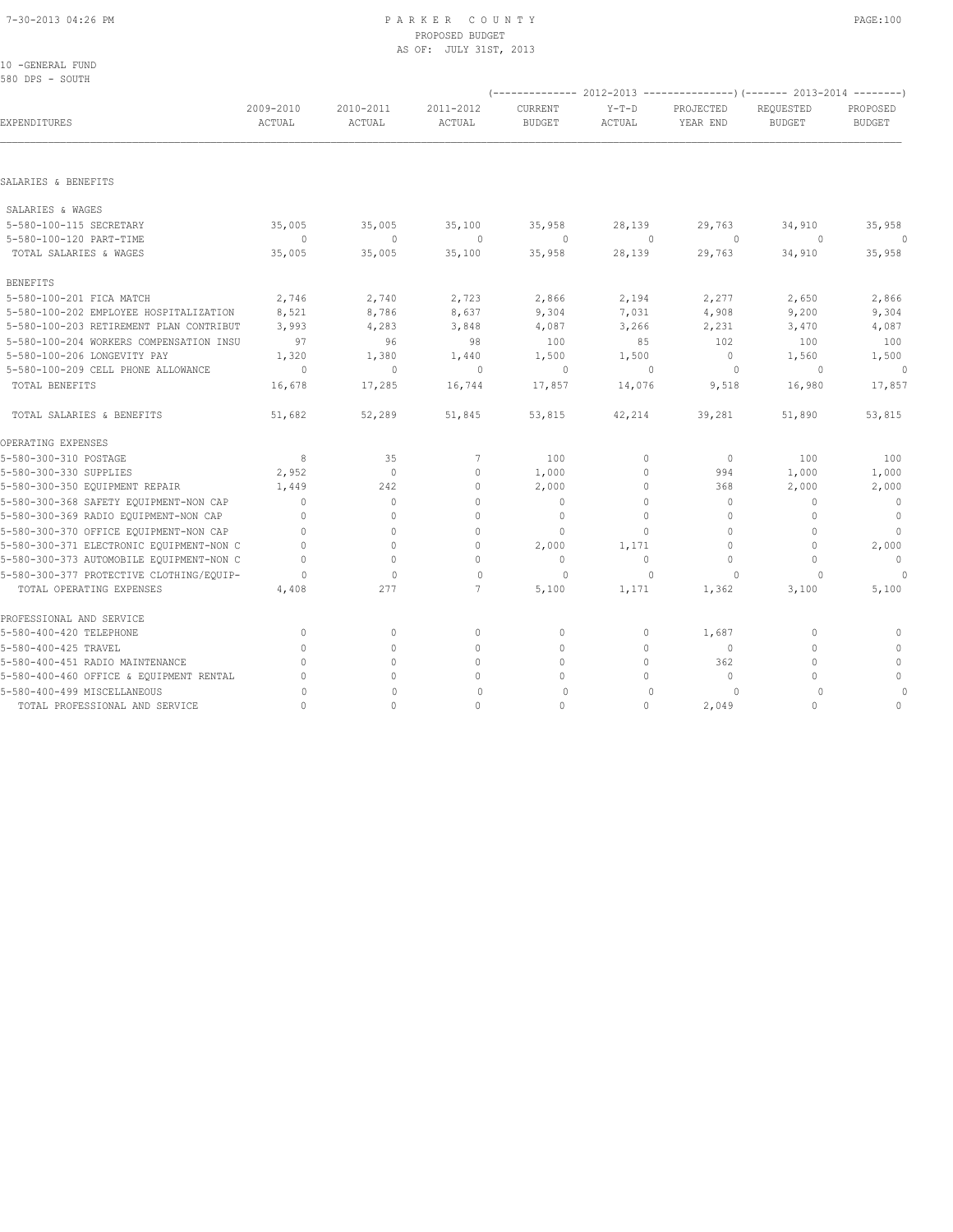## 7-30-2013 04:26 PM P A R K E R C O U N T Y PAGE:100 PROPOSED BUDGET AS OF: JULY 31ST, 2013

| ٠.<br>w<br>۰, | . .<br>- |  | τ |
|---------------|----------|--|---|
|               |          |  |   |

| 10 -GENERAL FUND<br>580 DPS - SOUTH      |                     |                     |                     |                          |                   |                       |                                                                          |                           |
|------------------------------------------|---------------------|---------------------|---------------------|--------------------------|-------------------|-----------------------|--------------------------------------------------------------------------|---------------------------|
|                                          |                     |                     |                     |                          |                   |                       | (-------------- 2012-2013 ----------------) (------- 2013-2014 --------) |                           |
| EXPENDITURES                             | 2009-2010<br>ACTUAL | 2010-2011<br>ACTUAL | 2011-2012<br>ACTUAL | CURRENT<br><b>BUDGET</b> | $Y-T-D$<br>ACTUAL | PROJECTED<br>YEAR END | REQUESTED<br><b>BUDGET</b>                                               | PROPOSED<br><b>BUDGET</b> |
|                                          |                     |                     |                     |                          |                   |                       |                                                                          |                           |
| SALARIES & BENEFITS                      |                     |                     |                     |                          |                   |                       |                                                                          |                           |
| SALARIES & WAGES                         |                     |                     |                     |                          |                   |                       |                                                                          |                           |
| 5-580-100-115 SECRETARY                  | 35,005              | 35,005              | 35,100              | 35,958                   | 28,139            | 29,763                | 34,910                                                                   | 35,958                    |
| 5-580-100-120 PART-TIME                  | $\circ$             | $\circ$             | $\circ$             | $\Omega$                 | $\mathbf{0}$      | $\circ$               | $\circ$                                                                  | $\Omega$                  |
| TOTAL SALARIES & WAGES                   | 35,005              | 35,005              | 35,100              | 35,958                   | 28,139            | 29,763                | 34,910                                                                   | 35,958                    |
| <b>BENEFITS</b>                          |                     |                     |                     |                          |                   |                       |                                                                          |                           |
| 5-580-100-201 FICA MATCH                 | 2,746               | 2,740               | 2,723               | 2,866                    | 2,194             | 2,277                 | 2,650                                                                    | 2,866                     |
| 5-580-100-202 EMPLOYEE HOSPITALIZATION   | 8,521               | 8,786               | 8,637               | 9,304                    | 7,031             | 4,908                 | 9,200                                                                    | 9,304                     |
| 5-580-100-203 RETIREMENT PLAN CONTRIBUT  | 3,993               | 4,283               | 3,848               | 4,087                    | 3,266             | 2,231                 | 3,470                                                                    | 4,087                     |
| 5-580-100-204 WORKERS COMPENSATION INSU  | 97                  | 96                  | 98                  | 100                      | 85                | 102                   | 100                                                                      | 100                       |
| 5-580-100-206 LONGEVITY PAY              | 1,320               | 1,380               | 1,440               | 1,500                    | 1,500             | $\circ$               | 1,560                                                                    | 1,500                     |
| 5-580-100-209 CELL PHONE ALLOWANCE       | $\circ$             | $\mathbf{0}$        | $\circ$             | $\circ$                  | $\mathbb O$       | $\circ$               | $\circ$                                                                  | $\Omega$                  |
| TOTAL BENEFITS                           | 16,678              | 17,285              | 16,744              | 17,857                   | 14,076            | 9,518                 | 16,980                                                                   | 17,857                    |
| TOTAL SALARIES & BENEFITS                | 51,682              | 52,289              | 51,845              | 53,815                   | 42,214            | 39,281                | 51,890                                                                   | 53,815                    |
| OPERATING EXPENSES                       |                     |                     |                     |                          |                   |                       |                                                                          |                           |
| 5-580-300-310 POSTAGE                    | 8                   | 35                  | 7                   | 100                      | $\circ$           | $\circ$               | 100                                                                      | 100                       |
| 5-580-300-330 SUPPLIES                   | 2,952               | $\circ$             | $\Omega$            | 1,000                    | $\circ$           | 994                   | 1,000                                                                    | 1,000                     |
| 5-580-300-350 EQUIPMENT REPAIR           | 1,449               | 242                 | $\mathbf{0}$        | 2,000                    | 0                 | 368                   | 2,000                                                                    | 2,000                     |
| 5-580-300-368 SAFETY EQUIPMENT-NON CAP   | $\Omega$            | $\mathbf{0}$        | $\Omega$            | $\mathbf{0}$             | $\Omega$          | $\mathbf{0}$          | $\mathbf{0}$                                                             | $\mathbf{0}$              |
| 5-580-300-369 RADIO EQUIPMENT-NON CAP    | $\mathbf{0}$        | $\mathbf{0}$        | $\Omega$            | 0                        | 0                 | 0                     | $\mathbf{0}$                                                             | $\mathbf{0}$              |
| 5-580-300-370 OFFICE EQUIPMENT-NON CAP   | $\mathbf{0}$        | $\mathbf{0}$        | $\mathbf{0}$        | $\Omega$                 | $\Omega$          | $\Omega$              | $\mathbf{0}$                                                             | $\Omega$                  |
| 5-580-300-371 ELECTRONIC EQUIPMENT-NON C | $\Omega$            | $\mathbf{0}$        | $\Omega$            | 2,000                    | 1,171             | $\Omega$              | $\mathbf{0}$                                                             | 2,000                     |
| 5-580-300-373 AUTOMOBILE EQUIPMENT-NON C | $\mathbf{0}$        | $\mathbf{0}$        | $\mathbf 0$         | $\circ$                  | $\circ$           | $\Omega$              | $\mathbf{0}$                                                             | $\mathbf{0}$              |
| 5-580-300-377 PROTECTIVE CLOTHING/EQUIP- | $\circ$             | $\mathbf{0}$        | 0                   | $\circ$                  | $\mathbf{0}$      | $\Omega$              | $\Omega$                                                                 |                           |
| TOTAL OPERATING EXPENSES                 | 4,408               | 277                 | 7                   | 5,100                    | 1,171             | 1,362                 | 3,100                                                                    | 5,100                     |
| PROFESSIONAL AND SERVICE                 |                     |                     |                     |                          |                   |                       |                                                                          |                           |
| 5-580-400-420 TELEPHONE                  | $\mathbf{0}$        | $\mathbf{0}$        | $\mathbf{0}$        | 0                        | $\circ$           | 1,687                 | $\mathbf{0}$                                                             | 0                         |
| 5-580-400-425 TRAVEL                     | $\mathbf{0}$        | $\mathbf 0$         | $\mathbf{0}$        | 0                        | 0                 | $\mathbf{0}$          | $\mathbf{0}$                                                             | $\mathbf{0}$              |
| 5-580-400-451 RADIO MAINTENANCE          | $\Omega$            | $\mathbf{0}$        | $\Omega$            | $\Omega$                 | $\circ$           | 362                   | $\Omega$                                                                 | $\mathbf 0$               |
| 5-580-400-460 OFFICE & EQUIPMENT RENTAL  | $\cap$              | $\mathbf{0}$        | $\Omega$            | $\Omega$                 | $\Omega$          | $\Omega$              | $\bigcap$                                                                | $\mathbf{0}$              |
| 5-580-400-499 MISCELLANEOUS              | 0                   | $\mathbf{0}$        | $\circ$             | $\Omega$                 | $\Omega$          | $\Omega$              | $\Omega$                                                                 | $\Omega$                  |
| TOTAL PROFESSIONAL AND SERVICE           | $\Omega$            | $\mathbf{0}$        | $\Omega$            | 0                        | $\circ$           | 2,049                 | 0                                                                        | $\mathbf{0}$              |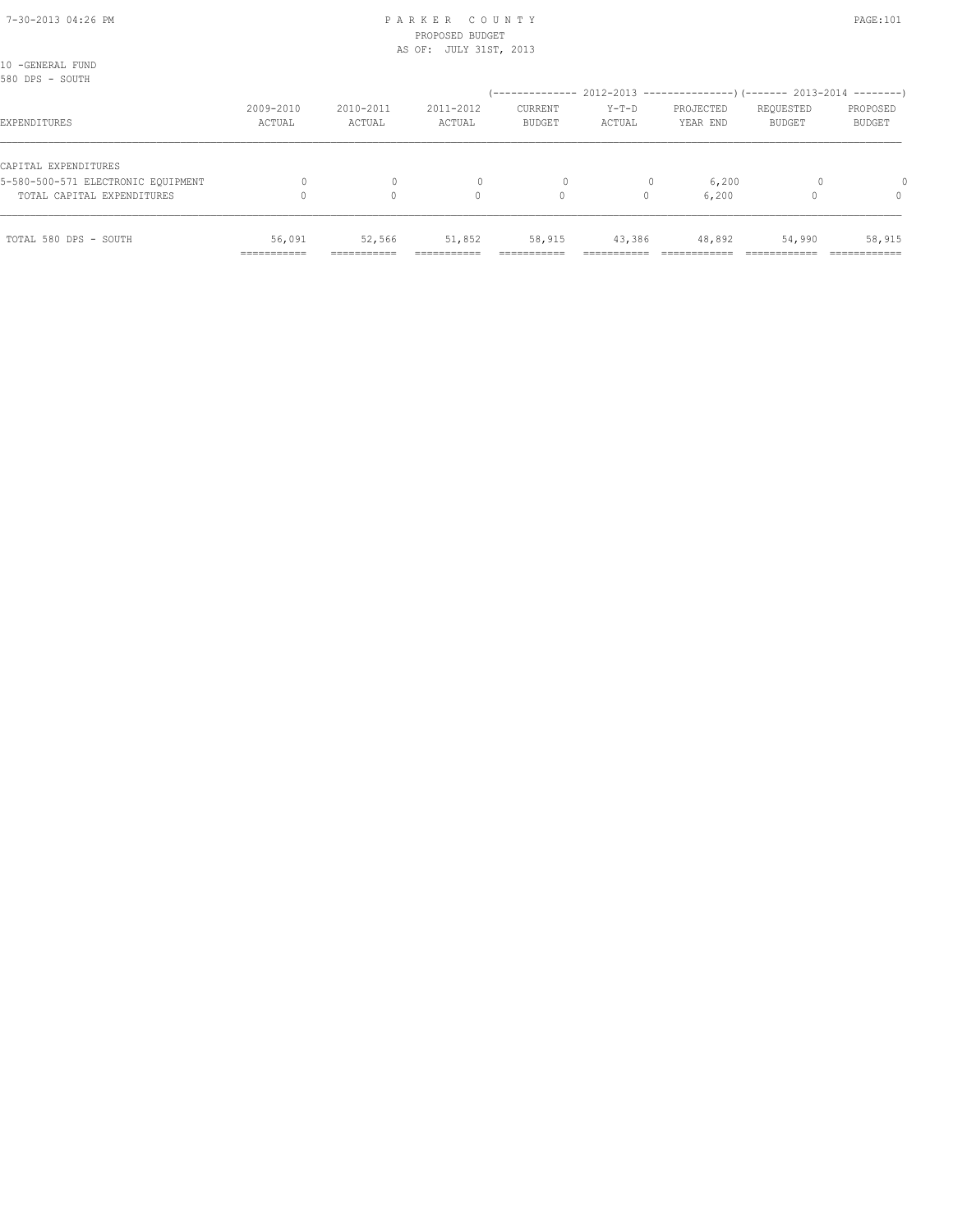10 -GENERAL FUND

## 7-30-2013 04:26 PM P A R K E R C O U N T Y PAGE:101 PROPOSED BUDGET

AS OF: JULY 31ST, 2013

| 580 DPS - SOUTH                    |                     |                     |                     |                          |                   | (-------------- 2012-2013 ----------------) (------- 2013-2014 --------) |                            |                    |
|------------------------------------|---------------------|---------------------|---------------------|--------------------------|-------------------|--------------------------------------------------------------------------|----------------------------|--------------------|
| EXPENDITURES                       | 2009-2010<br>ACTUAL | 2010-2011<br>ACTUAL | 2011-2012<br>ACTUAL | CURRENT<br><b>BUDGET</b> | $Y-T-D$<br>ACTUAL | PROJECTED<br>YEAR END                                                    | REQUESTED<br><b>BUDGET</b> | PROPOSED<br>BUDGET |
| CAPITAL EXPENDITURES               |                     |                     |                     |                          |                   |                                                                          |                            |                    |
| 5-580-500-571 ELECTRONIC EOUIPMENT |                     | $\mathbf{0}$        |                     | 0                        |                   | 6,200                                                                    |                            |                    |
| TOTAL CAPITAL EXPENDITURES         |                     | $\Omega$            | 0                   | 0                        | $\Omega$          | 6,200                                                                    |                            | $\Omega$           |
| TOTAL 580 DPS - SOUTH              | 56,091              | 52,566              | 51,852              | 58,915                   | 43,386            | 48,892                                                                   | 54,990                     | 58,915             |
|                                    | ------------        | ------------        |                     |                          |                   |                                                                          |                            |                    |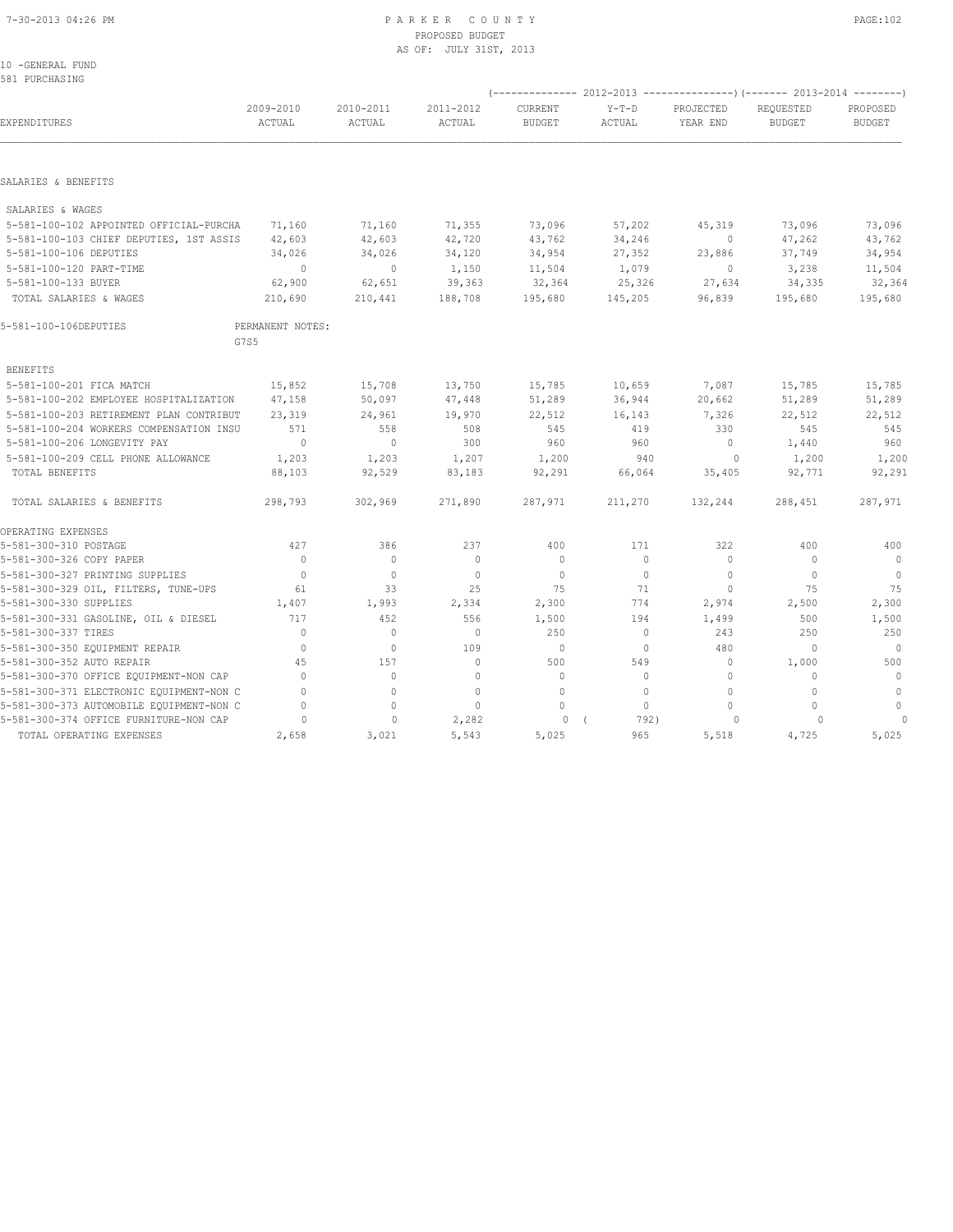#### 7-30-2013 04:26 PM P A R K E R C O U N T Y PAGE:102 PROPOSED BUDGET AS OF: JULY 31ST, 2013

10 -GENERAL FUND 581 PURCHASING

|                                          |                     |                     |                     |                          |                   |                       | (-------------- 2012-2013 ----------------) (------- 2013-2014 --------) |                           |
|------------------------------------------|---------------------|---------------------|---------------------|--------------------------|-------------------|-----------------------|--------------------------------------------------------------------------|---------------------------|
| EXPENDITURES                             | 2009-2010<br>ACTUAL | 2010-2011<br>ACTUAL | 2011-2012<br>ACTUAL | CURRENT<br><b>BUDGET</b> | $Y-T-D$<br>ACTUAL | PROJECTED<br>YEAR END | REQUESTED<br><b>BUDGET</b>                                               | PROPOSED<br><b>BUDGET</b> |
|                                          |                     |                     |                     |                          |                   |                       |                                                                          |                           |
| SALARIES & BENEFITS                      |                     |                     |                     |                          |                   |                       |                                                                          |                           |
| SALARIES & WAGES                         |                     |                     |                     |                          |                   |                       |                                                                          |                           |
| 5-581-100-102 APPOINTED OFFICIAL-PURCHA  | 71,160              | 71,160              | 71,355              | 73,096                   | 57,202            | 45,319                | 73,096                                                                   | 73,096                    |
| 5-581-100-103 CHIEF DEPUTIES, 1ST ASSIS  | 42,603              | 42,603              | 42,720              | 43,762                   | 34,246            | $\circ$               | 47,262                                                                   | 43,762                    |
| 5-581-100-106 DEPUTIES                   | 34,026              | 34,026              | 34,120              | 34,954                   | 27,352            | 23,886                | 37,749                                                                   | 34,954                    |
| 5-581-100-120 PART-TIME                  | $\circ$             | $\circ$             | 1,150               | 11,504                   | 1,079             | $\circ$               | 3,238                                                                    | 11,504                    |
| 5-581-100-133 BUYER                      | 62,900              | 62,651              | 39,363              | 32,364                   | 25,326            | 27,634                | 34,335                                                                   | 32,364                    |
| TOTAL SALARIES & WAGES                   | 210,690             | 210,441             | 188,708             | 195,680                  | 145,205           | 96,839                | 195,680                                                                  | 195,680                   |
| 5-581-100-106DEPUTIES                    | PERMANENT NOTES:    |                     |                     |                          |                   |                       |                                                                          |                           |
|                                          | G7S5                |                     |                     |                          |                   |                       |                                                                          |                           |
| <b>BENEFITS</b>                          |                     |                     |                     |                          |                   |                       |                                                                          |                           |
| 5-581-100-201 FICA MATCH                 | 15,852              | 15,708              | 13,750              | 15,785                   | 10,659            | 7,087                 | 15,785                                                                   | 15,785                    |
| 5-581-100-202 EMPLOYEE HOSPITALIZATION   | 47,158              | 50,097              | 47,448              | 51,289                   | 36,944            | 20,662                | 51,289                                                                   | 51,289                    |
| 5-581-100-203 RETIREMENT PLAN CONTRIBUT  | 23,319              | 24,961              | 19,970              | 22,512                   | 16,143            | 7,326                 | 22,512                                                                   | 22,512                    |
| 5-581-100-204 WORKERS COMPENSATION INSU  | 571                 | 558                 | 508                 | 545                      | 419               | 330                   | 545                                                                      | 545                       |
| 5-581-100-206 LONGEVITY PAY              | $\mathbf{0}$        | $\circ$             | 300                 | 960                      | 960               | $\circ$               | 1,440                                                                    | 960                       |
| 5-581-100-209 CELL PHONE ALLOWANCE       | 1,203               | 1,203               | 1,207               | 1,200                    | 940               | $\Omega$              | 1,200                                                                    | 1,200                     |
| TOTAL BENEFITS                           | 88,103              | 92,529              | 83,183              | 92,291                   | 66,064            | 35,405                | 92,771                                                                   | 92,291                    |
| TOTAL SALARIES & BENEFITS                | 298,793             | 302,969             | 271,890             | 287,971                  | 211,270           | 132,244               | 288,451                                                                  | 287,971                   |
| OPERATING EXPENSES                       |                     |                     |                     |                          |                   |                       |                                                                          |                           |
| 5-581-300-310 POSTAGE                    | 427                 | 386                 | 237                 | 400                      | 171               | 322                   | 400                                                                      | 400                       |
| 5-581-300-326 COPY PAPER                 | $\Omega$            | $\circ$             | $\mathbf 0$         | $\mathbf{0}$             | $\circ$           | 0                     | $\mathbf{0}$                                                             | $\overline{0}$            |
| 5-581-300-327 PRINTING SUPPLIES          | $\mathbf{0}$        | $\bigcirc$          | $\mathbf{0}$        | $\Omega$                 | $\circ$           | $\Omega$              | $\Omega$                                                                 | $\overline{0}$            |
| 5-581-300-329 OIL, FILTERS, TUNE-UPS     | 61                  | 33                  | 25                  | 75                       | 71                | $\circ$               | 75                                                                       | 75                        |
| 5-581-300-330 SUPPLIES                   | 1,407               | 1,993               | 2,334               | 2,300                    | 774               | 2,974                 | 2,500                                                                    | 2,300                     |
| 5-581-300-331 GASOLINE, OIL & DIESEL     | 717                 | 452                 | 556                 | 1,500                    | 194               | 1,499                 | 500                                                                      | 1,500                     |
| 5-581-300-337 TIRES                      | $\Omega$            | $\bigcirc$          | $\mathbf{0}$        | 250                      | $\circ$           | 243                   | 250                                                                      | 250                       |
| 5-581-300-350 EQUIPMENT REPAIR           | $\mathbf{0}$        | $\mathbf{0}$        | 109                 | $\mathbf{0}$             | $\circ$           | 480                   | $\mathbf{0}$                                                             | $\overline{0}$            |
| 5-581-300-352 AUTO REPAIR                | 45                  | 157                 | $\Omega$            | 500                      | 549               | $\circ$               | 1,000                                                                    | 500                       |
| 5-581-300-370 OFFICE EQUIPMENT-NON CAP   | $\Omega$            | $\circ$             | $\mathbf{0}$        | $\mathbf{0}$             | $\Omega$          | $\circ$               | $\Omega$                                                                 | $\mathbf{0}$              |
| 5-581-300-371 ELECTRONIC EQUIPMENT-NON C | $\Omega$            | $\mathbf{0}$        | $\mathbf{0}$        | $\mathbf{0}$             | $\Omega$          | $\Omega$              | $\Omega$                                                                 | $\mathbf{0}$              |
| 5-581-300-373 AUTOMOBILE EQUIPMENT-NON C | $\Omega$            | $\circ$             | $\mathbf{0}$        | $\mathbf{0}$             | $\circ$           | $\Omega$              | $\Omega$                                                                 | $\circ$                   |
| 5-581-300-374 OFFICE FURNITURE-NON CAP   | 0                   | $\circ$             | 2,282               | $\circ$                  | 792)              | $\circ$               | $\Omega$                                                                 |                           |
| TOTAL OPERATING EXPENSES                 | 2,658               | 3,021               | 5,543               | 5,025                    | 965               | 5,518                 | 4,725                                                                    | 5,025                     |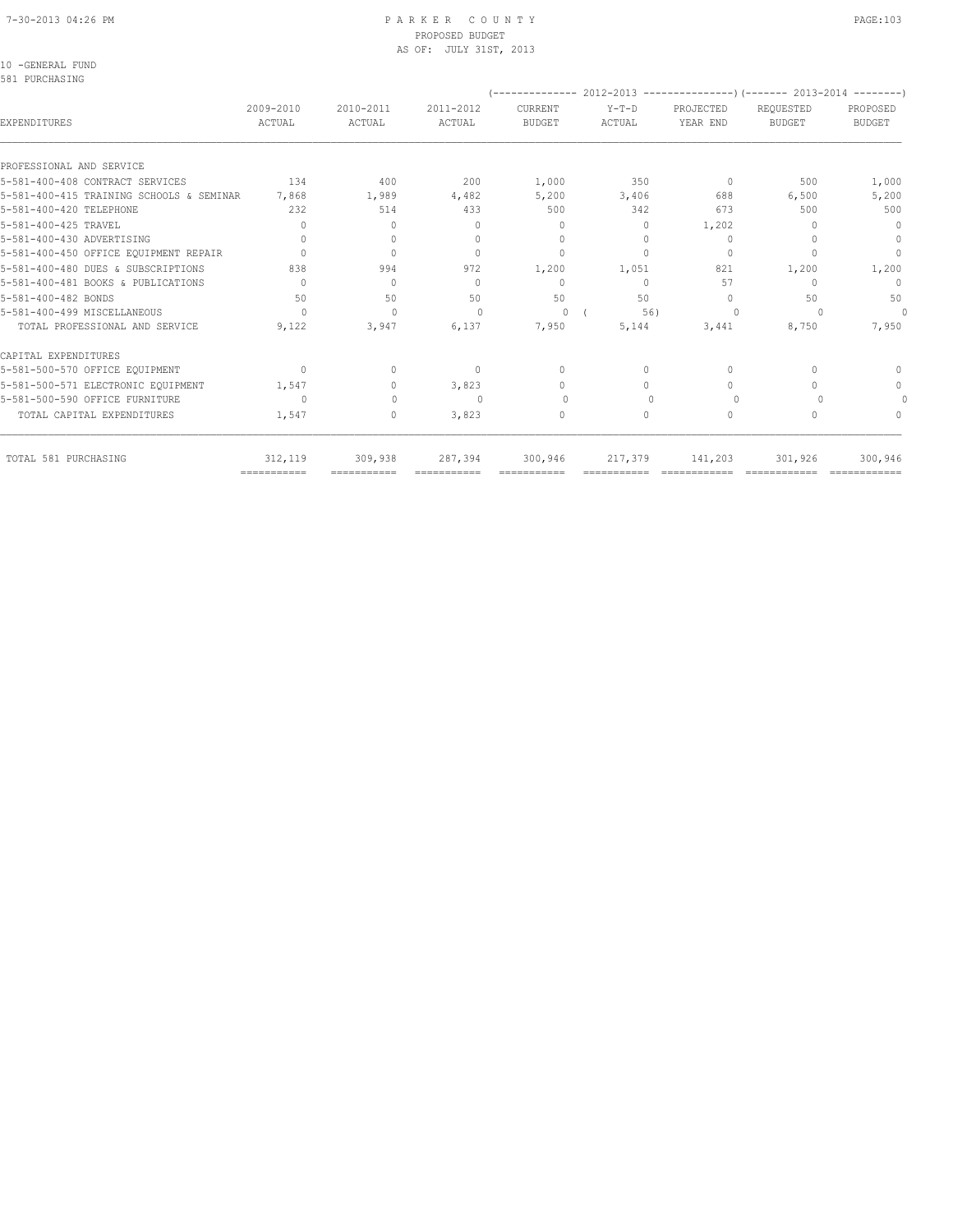#### 7-30-2013 04:26 PM P A R K E R C O U N T Y PAGE:103 PROPOSED BUDGET AS OF: JULY 31ST, 2013

10 -GENERAL FUND

| 2009-2010<br>ACTUAL | 2010-2011<br>ACTUAL                                 | 2011-2012<br>ACTUAL                                           | CURRENT<br><b>BUDGET</b>                                        | $Y-T-D$<br>ACTUAL                                                                              | PROJECTED<br>YEAR END                                            | REQUESTED<br><b>BUDGET</b>                                      | PROPOSED<br><b>BUDGET</b>                                                                             |
|---------------------|-----------------------------------------------------|---------------------------------------------------------------|-----------------------------------------------------------------|------------------------------------------------------------------------------------------------|------------------------------------------------------------------|-----------------------------------------------------------------|-------------------------------------------------------------------------------------------------------|
|                     |                                                     |                                                               |                                                                 |                                                                                                |                                                                  |                                                                 |                                                                                                       |
|                     |                                                     |                                                               |                                                                 |                                                                                                |                                                                  |                                                                 |                                                                                                       |
|                     |                                                     |                                                               |                                                                 |                                                                                                |                                                                  |                                                                 | 1,000                                                                                                 |
|                     |                                                     |                                                               |                                                                 |                                                                                                |                                                                  |                                                                 | 5,200                                                                                                 |
|                     |                                                     |                                                               |                                                                 |                                                                                                |                                                                  |                                                                 | 500                                                                                                   |
|                     |                                                     |                                                               |                                                                 |                                                                                                |                                                                  |                                                                 | $\mathbf{0}$                                                                                          |
|                     |                                                     |                                                               |                                                                 |                                                                                                |                                                                  |                                                                 | $\mathbf{0}$                                                                                          |
|                     |                                                     |                                                               |                                                                 |                                                                                                |                                                                  |                                                                 | $\Omega$                                                                                              |
|                     |                                                     |                                                               |                                                                 |                                                                                                |                                                                  |                                                                 | 1,200                                                                                                 |
|                     | $\begin{array}{c} \n\end{array}$                    | $\Omega$                                                      | $\mathbf{0}$                                                    | $\Omega$                                                                                       | 57                                                               |                                                                 | $\mathbf{0}$                                                                                          |
| 50                  | 50                                                  | 50                                                            | 50                                                              | 50                                                                                             | $\begin{array}{c} \n\end{array}$                                 | 50                                                              | 50                                                                                                    |
| $\Omega$            | $\Omega$                                            | $\Omega$                                                      | $\Omega$                                                        | 56)                                                                                            | $\Omega$                                                         |                                                                 | $\Omega$                                                                                              |
| 9,122               | 3,947                                               | 6,137                                                         | 7,950                                                           | 5,144                                                                                          | 3,441                                                            | 8,750                                                           | 7,950                                                                                                 |
|                     |                                                     |                                                               |                                                                 |                                                                                                |                                                                  |                                                                 |                                                                                                       |
| $\Omega$            | $\begin{array}{c} \n\end{array}$                    | $\mathbf{0}$                                                  | $\Omega$                                                        | $\Omega$                                                                                       | $\mathbf{0}$                                                     |                                                                 | $\Omega$                                                                                              |
| 1,547               | $\Omega$                                            | 3,823                                                         | $\Omega$                                                        | $\Omega$                                                                                       | $\Omega$                                                         |                                                                 | $\circ$                                                                                               |
| $\Omega$            | $\Omega$                                            | ∩                                                             | $\Omega$                                                        |                                                                                                | $\Omega$                                                         |                                                                 |                                                                                                       |
| 1,547               | 0                                                   | 3,823                                                         | $\mathbf{0}$                                                    | $\circ$                                                                                        | $\mathbf{0}$                                                     |                                                                 | $\begin{array}{c} \n\end{array}$                                                                      |
| 312,119             | 309,938                                             | 287,394                                                       | 300,946                                                         | 217,379                                                                                        | 141,203                                                          | 301,926                                                         | 300,946                                                                                               |
| ===========         | 134<br>7,868<br>232<br>$\Omega$<br>$\bigcap$<br>838 | 400<br>1,989<br>514<br>$\circ$<br>$\Omega$<br>$\Omega$<br>994 | 200<br>4,482<br>433<br>$\Omega$<br>$\Omega$<br>$\bigcap$<br>972 | 1,000<br>5,200<br>500<br>$\mathbf{0}$<br>$\begin{array}{c} \n\end{array}$<br>$\Omega$<br>1,200 | 350<br>3,406<br>342<br>$\circ$<br>$\Omega$<br>$\bigcap$<br>1,051 | $\bigcap$<br>688<br>673<br>1,202<br>$\Omega$<br>$\Omega$<br>821 | ------------- 2012-2013 ----------------) (------- 2013-2014 --------<br>500<br>6,500<br>500<br>1,200 |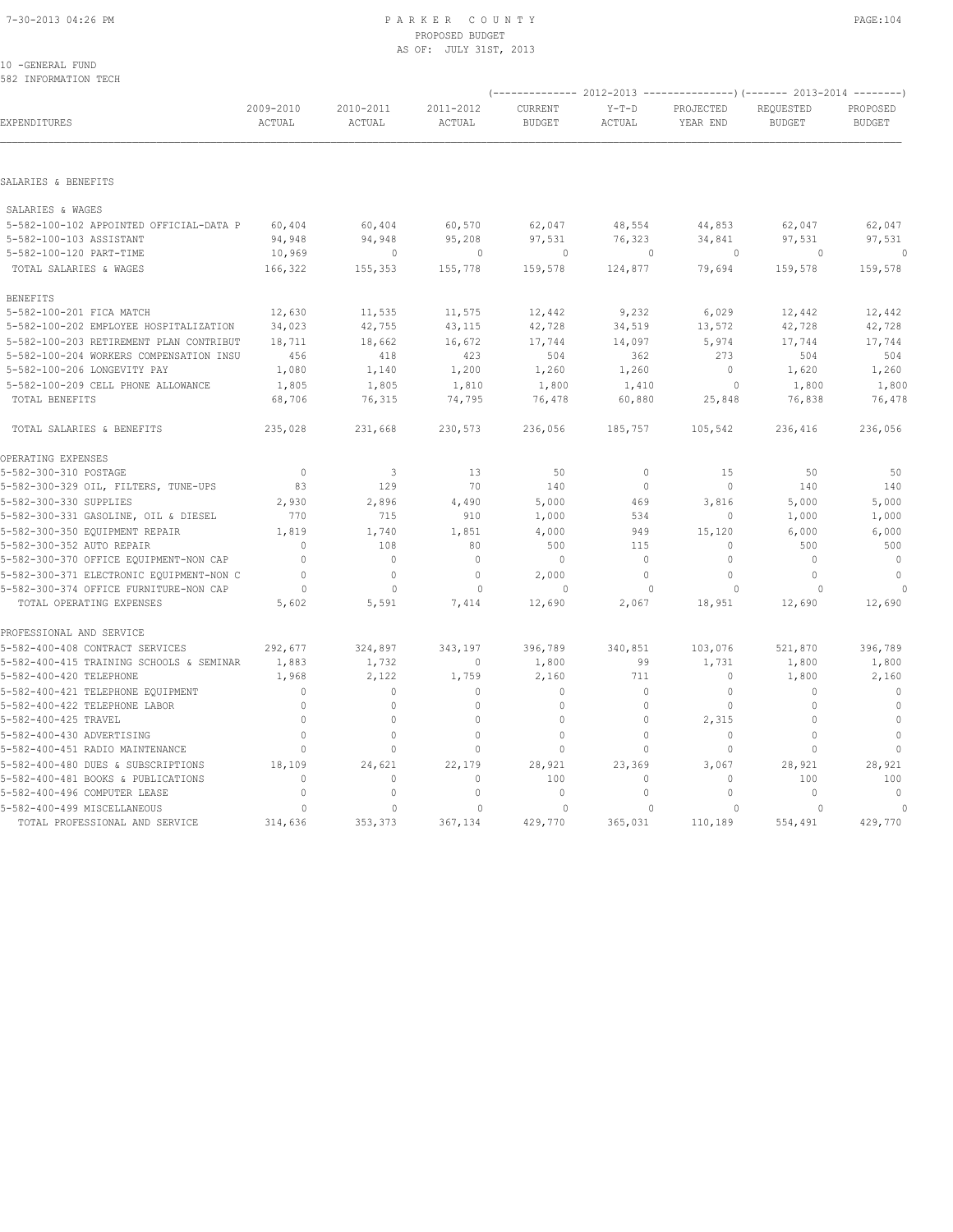#### 7-30-2013 04:26 PM P A R K E R C O U N T Y PAGE:104 PROPOSED BUDGET AS OF: JULY 31ST, 2013

#### 10 -GENERAL FUND 582 INFORMATION TECH

|                                                               |                     |                     |                         |                          |                     | (-------------- 2012-2013 ----------------) (------- 2013-2014 --------) |                            |                           |
|---------------------------------------------------------------|---------------------|---------------------|-------------------------|--------------------------|---------------------|--------------------------------------------------------------------------|----------------------------|---------------------------|
| EXPENDITURES                                                  | 2009-2010<br>ACTUAL | 2010-2011<br>ACTUAL | 2011-2012<br>ACTUAL     | CURRENT<br><b>BUDGET</b> | $Y-T-D$<br>ACTUAL   | PROJECTED<br>YEAR END                                                    | REQUESTED<br><b>BUDGET</b> | PROPOSED<br><b>BUDGET</b> |
|                                                               |                     |                     |                         |                          |                     |                                                                          |                            |                           |
| SALARIES & BENEFITS                                           |                     |                     |                         |                          |                     |                                                                          |                            |                           |
| SALARIES & WAGES                                              |                     |                     |                         |                          |                     |                                                                          |                            |                           |
| 5-582-100-102 APPOINTED OFFICIAL-DATA P                       | 60,404              | 60,404              | 60,570                  | 62,047                   | 48,554              | 44,853                                                                   | 62,047                     | 62,047                    |
| 5-582-100-103 ASSISTANT                                       | 94,948              | 94,948              | 95,208                  | 97,531                   | 76,323              | 34,841                                                                   | 97,531                     | 97,531                    |
| 5-582-100-120 PART-TIME                                       | 10,969              | $\mathbf{0}$        | $\circ$                 | 0                        | $\mathbf{0}$        | $\circ$                                                                  | $\circ$                    | $\circ$                   |
| TOTAL SALARIES & WAGES                                        | 166,322             | 155,353             | 155,778                 | 159,578                  | 124,877             | 79,694                                                                   | 159,578                    | 159,578                   |
| <b>BENEFITS</b>                                               |                     |                     |                         |                          |                     |                                                                          |                            |                           |
| 5-582-100-201 FICA MATCH                                      | 12,630              | 11,535              | 11,575                  | 12,442                   | 9,232               | 6,029                                                                    | 12,442                     | 12,442                    |
| 5-582-100-202 EMPLOYEE HOSPITALIZATION                        | 34,023              | 42,755              | 43,115                  | 42,728                   | 34,519              | 13,572                                                                   | 42,728                     | 42,728                    |
| 5-582-100-203 RETIREMENT PLAN CONTRIBUT                       | 18,711              | 18,662              | 16,672                  | 17,744                   | 14,097              | 5,974                                                                    | 17,744                     | 17,744                    |
| 5-582-100-204 WORKERS COMPENSATION INSU                       | 456                 | 418                 | 423                     | 504                      | 362                 | 273                                                                      | 504                        | 504                       |
| 5-582-100-206 LONGEVITY PAY                                   | 1,080               | 1,140               | 1,200                   | 1,260                    | 1,260               | $\mathbf{0}$                                                             | 1,620                      | 1,260                     |
| 5-582-100-209 CELL PHONE ALLOWANCE                            | 1,805               | 1,805               | 1,810                   | 1,800                    | 1,410               | 0                                                                        | 1,800                      | 1,800                     |
| TOTAL BENEFITS                                                | 68,706              | 76,315              | 74,795                  | 76,478                   | 60,880              | 25,848                                                                   | 76,838                     | 76,478                    |
| TOTAL SALARIES & BENEFITS                                     | 235,028             | 231,668             | 230,573                 | 236,056                  | 185,757             | 105,542                                                                  | 236,416                    | 236,056                   |
| OPERATING EXPENSES                                            |                     |                     |                         |                          |                     |                                                                          |                            |                           |
| 5-582-300-310 POSTAGE                                         | $\mathbf{0}$        | 3                   | 13                      | 50                       | $\circ$             | 15                                                                       | 50                         | 50                        |
| 5-582-300-329 OIL, FILTERS, TUNE-UPS                          | 83                  | 129                 | 70                      | 140                      | $\circ$             | 0                                                                        | 140                        | 140                       |
| 5-582-300-330 SUPPLIES                                        | 2,930               | 2,896               | 4,490                   | 5,000                    | 469                 | 3,816                                                                    | 5,000                      | 5,000                     |
| 5-582-300-331 GASOLINE, OIL & DIESEL                          | 770                 | 715                 | 910                     | 1,000                    | 534                 | $\mathbf{0}$                                                             | 1,000                      | 1,000                     |
| 5-582-300-350 EQUIPMENT REPAIR                                | 1,819               | 1,740               | 1,851                   | 4,000                    | 949                 | 15,120                                                                   | 6,000                      | 6,000                     |
| 5-582-300-352 AUTO REPAIR                                     | $\mathbf{0}$        | 108                 | 80                      | 500                      | 115                 | $\mathbf{0}$                                                             | 500                        | 500                       |
| 5-582-300-370 OFFICE EQUIPMENT-NON CAP                        | $\Omega$            | $\Omega$            | $\mathbf{0}$            | $\mathbf{0}$             | $\Omega$            | $\Omega$                                                                 | $\Omega$                   | $\mathbf{0}$              |
| 5-582-300-371 ELECTRONIC EQUIPMENT-NON C                      | $\Omega$            | $\mathbf{0}$        | $\mathbf{0}$            | 2,000                    | $\Omega$            | $\Omega$                                                                 | $\circ$                    | $\circ$                   |
| 5-582-300-374 OFFICE FURNITURE-NON CAP                        | $\circ$             | $\mathbf{0}$        | $\mathbf{0}$            | $\Omega$                 | $\Omega$            | $\circ$                                                                  | $\Omega$                   |                           |
| TOTAL OPERATING EXPENSES                                      | 5,602               | 5,591               | 7,414                   | 12,690                   | 2,067               | 18,951                                                                   | 12,690                     | 12,690                    |
| PROFESSIONAL AND SERVICE                                      |                     |                     |                         |                          |                     |                                                                          |                            |                           |
| 5-582-400-408 CONTRACT SERVICES                               | 292,677             | 324,897             | 343,197                 | 396,789                  | 340,851             | 103,076                                                                  | 521,870                    | 396,789                   |
| 5-582-400-415 TRAINING SCHOOLS & SEMINAR                      | 1,883               | 1,732               | $\mathbf 0$             | 1,800                    | 99                  | 1,731                                                                    | 1,800                      | 1,800                     |
| 5-582-400-420 TELEPHONE                                       | 1,968               | 2,122               | 1,759                   | 2,160                    | 711                 | $\mathbf 0$                                                              | 1,800                      | 2,160                     |
| 5-582-400-421 TELEPHONE EQUIPMENT                             | $\mathbf{0}$        | $\circ$             | $\mathbf{0}$            | $\mathbf 0$              | $\circ$             | $\mathbf 0$                                                              | 0                          | $\circ$                   |
| 5-582-400-422 TELEPHONE LABOR                                 | 0                   | $\mathbb O$         | $\circ$                 | $\mathbf 0$              | $\Omega$            | 0                                                                        | 0                          | $\circ$                   |
| 5-582-400-425 TRAVEL                                          | $\circ$             | $\circ$             | $\mathbf{0}$            | $\mathbf{0}$             | $\circ$             | 2,315                                                                    | $\mathbf{0}$               | $\mathbb O$               |
| 5-582-400-430 ADVERTISING                                     | $\mathbf{0}$        | $\circ$             | $\mathbf{0}$            | $\mathbf{0}$             | $\circ$             | 0                                                                        | 0                          | $\circ$                   |
| 5-582-400-451 RADIO MAINTENANCE                               | $\Omega$            | $\Omega$            | $\Omega$                | $\Omega$                 | $\Omega$            | $\Omega$                                                                 | $\Omega$                   | $\mathbf{0}$              |
| 5-582-400-480 DUES & SUBSCRIPTIONS                            | 18,109              | 24,621              | 22,179                  | 28,921                   | 23,369              | 3,067                                                                    | 28,921                     | 28,921                    |
| 5-582-400-481 BOOKS & PUBLICATIONS                            | $\Omega$            | $\Omega$            | $\Omega$                | 100                      | $\Omega$            | $\Omega$                                                                 | 100                        | 100                       |
| 5-582-400-496 COMPUTER LEASE                                  | $\mathbf{0}$        | $\mathbf{0}$        | $\mathbf 0$             | $\mathbf{0}$             | $\mathbf 0$         | $\mathbf{0}$                                                             | 0                          | $\mathbf{0}$              |
| 5-582-400-499 MISCELLANEOUS<br>TOTAL PROFESSIONAL AND SERVICE | $\circ$<br>314,636  | $\Omega$            | $\mathbf{0}$<br>367,134 | $\Omega$<br>429,770      | $\Omega$<br>365,031 | $\Omega$<br>110,189                                                      | $\circ$                    | 429,770                   |
|                                                               |                     | 353, 373            |                         |                          |                     |                                                                          | 554,491                    |                           |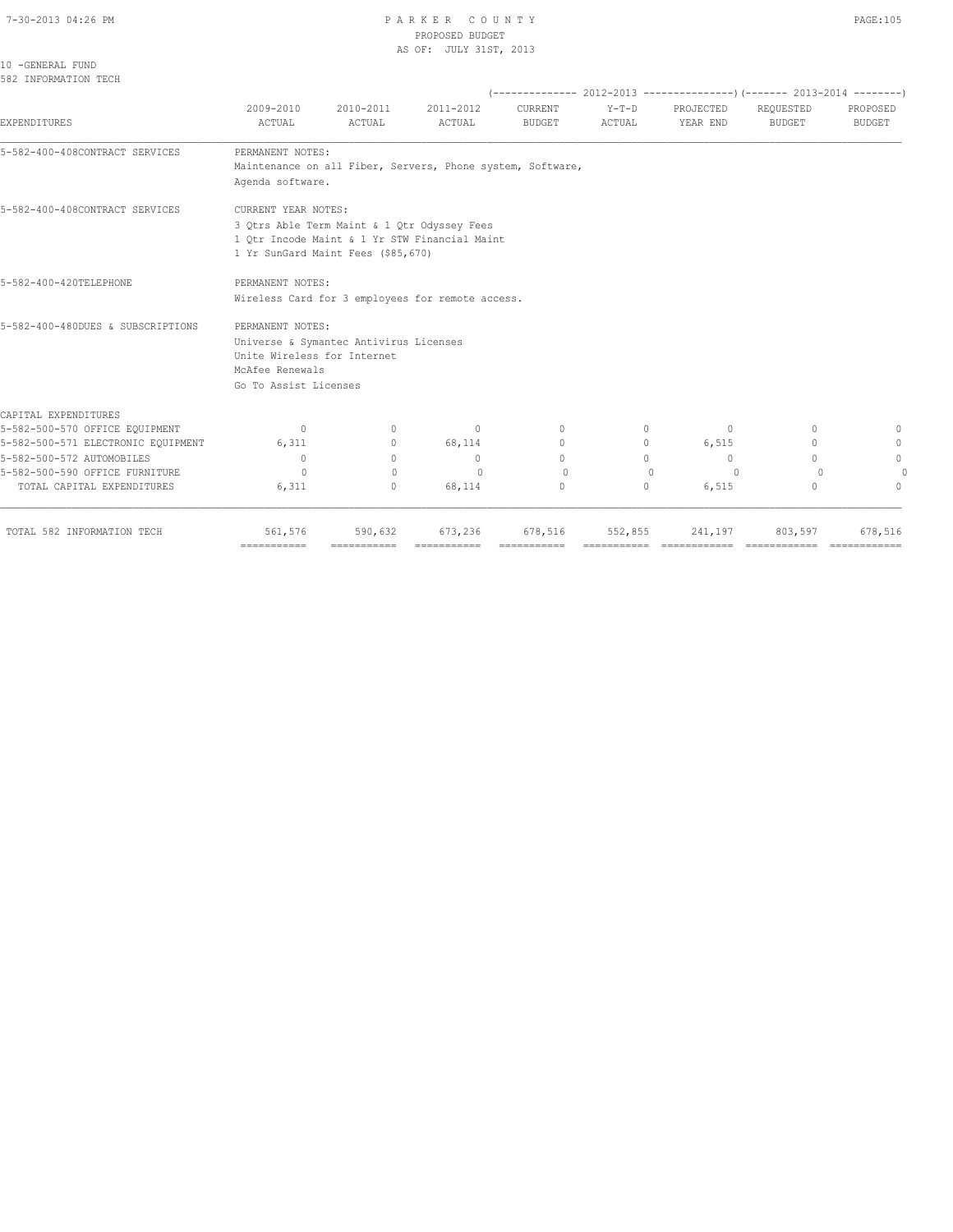#### 7-30-2013 04:26 PM P A R K E R C O U N T Y PAGE:105 PROPOSED BUDGET AS OF: JULY 31ST, 2013

10 -GENERAL FUND 582 INFORMATION TECH

## (-------------- 2012-2013 ---------------)(------- 2013-2014 --------) 2009-2010 2010-2011 2011-2012 CURRENT Y-T-D PROJECTED REQUESTED PROPOSED EXPENDITURES ACTUAL ACTUAL ACTUAL BUDGET ACTUAL YEAR END BUDGET BUDGET 5-582-400-408CONTRACT SERVICES PERMANENT NOTES: Maintenance on all Fiber, Servers, Phone system, Software, Agenda software. 5-582-400-408CONTRACT SERVICES CURRENT YEAR NOTES: 3 Qtrs Able Term Maint & 1 Qtr Odyssey Fees 1 Qtr Incode Maint & 1 Yr STW Financial Maint 1 Yr SunGard Maint Fees (\$85,670) 5-582-400-420TELEPHONE PERMANENT NOTES: Wireless Card for 3 employees for remote access. 5-582-400-480DUES & SUBSCRIPTIONS PERMANENT NOTES: Universe & Symantec Antivirus Licenses Unite Wireless for Internet McAfee Renewals Go To Assist Licenses CAPITAL EXPENDITURES<br>5-582-500-570 OFFICE EQUIPMENT 5-582-500-570 OFFICE EQUIPMENT 0 0 0 0 0 0 0 0 5-582-500-571 ELECTRONIC EQUIPMENT 6,311 0 68,114 0 0 6,515 0 0 6,515 5-582-500-572 AUTOMOBILES 0 0 0 0 0 0 0 0 5-582-500-590 OFFICE FURNITURE 0 0 0 0 0 0 0 0 TOTAL CAPITAL EXPENDITURES 6,311 0 68,114 0 0 6,515 0 0 TOTAL 582 INFORMATION TECH 561,576 590,632 673,236 678,516 552,855 241,197 803,597 678,516

=========== =========== =========== =========== =========== ============ ============ ============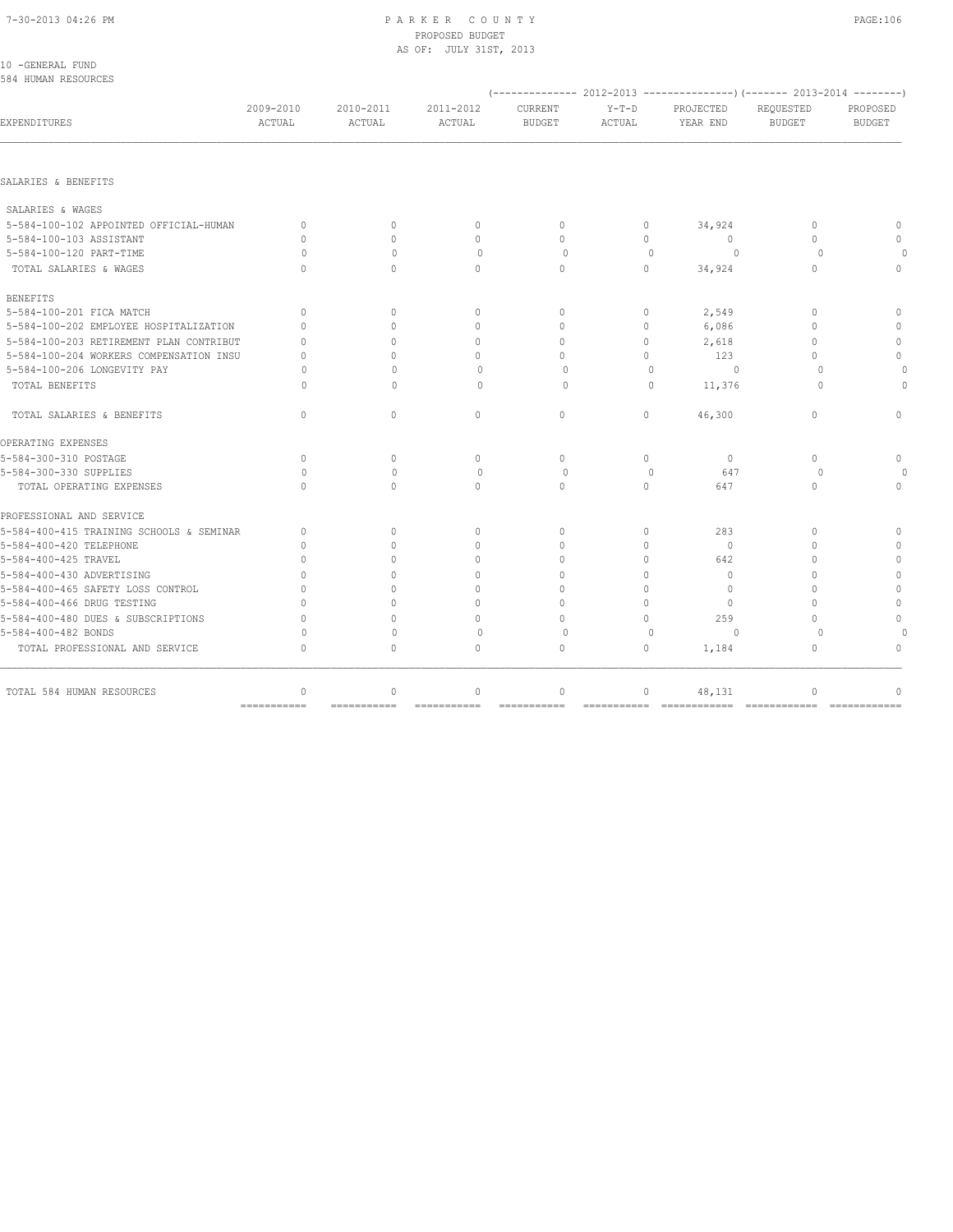#### 7-30-2013 04:26 PM P A R K E R C O U N T Y PAGE:106 PROPOSED BUDGET AS OF: JULY 31ST, 2013

| 10 -GENERAL FUND<br>584 HUMAN RESOURCES  |                                  |                     |                     |                                  |                   |                                                                        |                                  |                           |
|------------------------------------------|----------------------------------|---------------------|---------------------|----------------------------------|-------------------|------------------------------------------------------------------------|----------------------------------|---------------------------|
|                                          |                                  |                     |                     |                                  |                   | $(---------- 2012-2013$ ----------------) (------- 2013-2014 --------) |                                  |                           |
| EXPENDITURES                             | 2009-2010<br>ACTUAL              | 2010-2011<br>ACTUAL | 2011-2012<br>ACTUAL | <b>CURRENT</b><br><b>BUDGET</b>  | $Y-T-D$<br>ACTUAL | PROJECTED<br>YEAR END                                                  | REQUESTED<br><b>BUDGET</b>       | PROPOSED<br><b>BUDGET</b> |
| SALARIES & BENEFITS                      |                                  |                     |                     |                                  |                   |                                                                        |                                  |                           |
| SALARIES & WAGES                         |                                  |                     |                     |                                  |                   |                                                                        |                                  |                           |
| 5-584-100-102 APPOINTED OFFICIAL-HUMAN   | $\begin{array}{c} \n\end{array}$ | $\Omega$            | $\mathbf{0}$        | $\begin{array}{c} \n\end{array}$ | $\circ$           | 34,924                                                                 | $\begin{array}{c} \n\end{array}$ | $\Omega$                  |
| 5-584-100-103 ASSISTANT                  | $\Omega$                         | $\Omega$            | $\circ$             | $\Omega$                         | $\circ$           | $\circ$                                                                | $\Omega$                         | $\Omega$                  |
| 5-584-100-120 PART-TIME                  | O                                | $\Omega$            | $\circ$             | $\Omega$                         | $\mathbf{0}$      | $\Omega$                                                               | $\Omega$                         |                           |
| TOTAL SALARIES & WAGES                   | $\bigcap$                        | $\Omega$            | $\Omega$            | $\Omega$                         | $\circ$           | 34,924                                                                 | $\Omega$                         | $\Omega$                  |
| <b>BENEFITS</b>                          |                                  |                     |                     |                                  |                   |                                                                        |                                  |                           |
| 5-584-100-201 FICA MATCH                 | $\Omega$                         | $\Omega$            | $\mathbf{0}$        | $\mathbf{0}$                     | 0                 | 2,549                                                                  | $\mathbf{0}$                     | $\mathbf{0}$              |
| 5-584-100-202 EMPLOYEE HOSPITALIZATION   | $\Omega$                         | $\Omega$            | $\mathbf{0}$        | $\Omega$                         | $\circ$           | 6,086                                                                  | $\mathbf{0}$                     | $\Omega$                  |
| 5-584-100-203 RETIREMENT PLAN CONTRIBUT  | $\Omega$                         | $\Omega$            | $\Omega$            | $\Omega$                         | $\Omega$          | 2,618                                                                  | $\Omega$                         | $\Omega$                  |
| 5-584-100-204 WORKERS COMPENSATION INSU  | $\Omega$                         | $\Omega$            | $\Omega$            | $\cap$                           | $\Omega$          | 123                                                                    | $\Omega$                         | $\circ$                   |
| 5-584-100-206 LONGEVITY PAY              | O                                | $\Omega$            | $\Omega$            | $\Omega$                         | $\Omega$          | $\Omega$                                                               | $\Omega$                         |                           |
| TOTAL BENEFITS                           | O                                | $\Omega$            | $\circ$             | 0                                | $\Omega$          | 11,376                                                                 | $\Omega$                         |                           |
| TOTAL SALARIES & BENEFITS                | $\Omega$                         | $\circ$             | $\Omega$            | $\circ$                          | $\circ$           | 46,300                                                                 | $\Omega$                         | $\Omega$                  |
| OPERATING EXPENSES                       |                                  |                     |                     |                                  |                   |                                                                        |                                  |                           |
| 5-584-300-310 POSTAGE                    | $\begin{array}{c} \n\end{array}$ | $\Omega$            | $\Omega$            | $\Omega$                         | $\Omega$          | $\Omega$                                                               | $\Omega$                         | $\mathbf{0}$              |
| 5-584-300-330 SUPPLIES                   | $\Omega$                         | $\Omega$            | $\Omega$            | $\Omega$                         | $\Omega$          | 647                                                                    | $\Omega$                         |                           |
| TOTAL OPERATING EXPENSES                 | $\Omega$                         | $\Omega$            | $\Omega$            | $\mathbf{0}$                     | $\Omega$          | 647                                                                    | $\mathbf{0}$                     | $\Omega$                  |
| PROFESSIONAL AND SERVICE                 |                                  |                     |                     |                                  |                   |                                                                        |                                  |                           |
| 5-584-400-415 TRAINING SCHOOLS & SEMINAR | $\circ$                          | $\mathbf{0}$        | $\circ$             | $\circ$                          | $\circ$           | 283                                                                    | $\Omega$                         | $\Omega$                  |
| 5-584-400-420 TELEPHONE                  | $\mathbf{0}$                     | $\Omega$            | $\mathbf{0}$        | $\Omega$                         | $\circ$           | $\mathbf{0}$                                                           | $\Omega$                         | $\mathbf{0}$              |
| 5-584-400-425 TRAVEL                     | $\Omega$                         | $\Omega$            | $\Omega$            | $\Omega$                         | $\Omega$          | 642                                                                    | $\Omega$                         | $\circ$                   |
| 5-584-400-430 ADVERTISING                | $\cap$                           | $\Omega$            | $\Omega$            | $\Omega$                         | $\Omega$          | $\Omega$                                                               | $\bigcap$                        | $\Omega$                  |
| 5-584-400-465 SAFETY LOSS CONTROL        | $\Omega$                         | $\Omega$            | $\Omega$            | $\Omega$                         | $\circ$           | $\mathbf{0}$                                                           | $\Omega$                         | $\mathbf{0}$              |
| 5-584-400-466 DRUG TESTING               | $\Omega$                         | $\Omega$            | $\Omega$            | $\Omega$                         | $\Omega$          | $\mathbf{0}$                                                           | $\bigcap$                        | $\mathbf{0}$              |
| 5-584-400-480 DUES & SUBSCRIPTIONS       | $\Omega$                         | $\cap$              | $\Omega$            | $\Omega$                         | $\Omega$          | 259                                                                    | $\bigcap$                        | $\Omega$                  |
| 5-584-400-482 BONDS                      | $\Omega$                         | $\mathbf{0}$        | $\circ$             | $\circ$                          | $\mathbf{0}$      | $\circ$                                                                | $\Omega$                         |                           |
| TOTAL PROFESSIONAL AND SERVICE           | $\mathbf{0}$                     | $\circ$             | $\mathbf{0}$        | $\circ$                          | $\circ$           | 1,184                                                                  | $\mathbf{0}$                     | $\Omega$                  |
|                                          |                                  |                     |                     |                                  |                   |                                                                        |                                  |                           |

=========== =========== =========== =========== =========== ============ ============ ============

TOTAL 584 HUMAN RESOURCES 0 0 0 0 0 0 48,131 0 0 0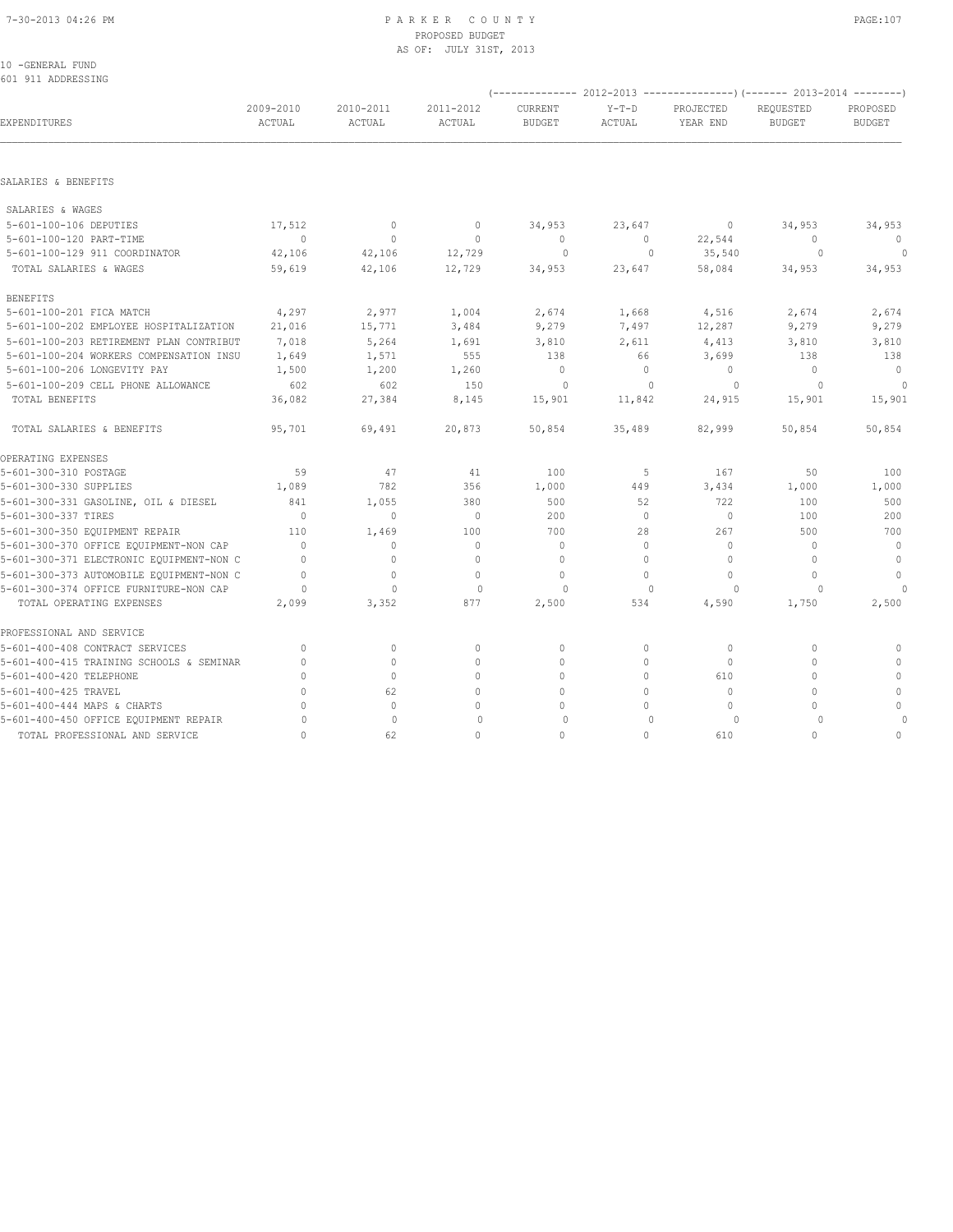## 7-30-2013 04:26 PM P A R K E R C O U N T Y PAGE:107 PROPOSED BUDGET AS OF: JULY 31ST, 2013<br>10 -GENERAL FUND

|  | 10 -GENERAL FUND   |
|--|--------------------|
|  | 601 911 ADDRESSING |

|                                          |                     |                     |                     |                                 |                   | $(---------- 2012-2013$ ----------------) $(---- 2013-2014$ -------) |                            |                           |
|------------------------------------------|---------------------|---------------------|---------------------|---------------------------------|-------------------|----------------------------------------------------------------------|----------------------------|---------------------------|
| <b>EXPENDITURES</b>                      | 2009-2010<br>ACTUAL | 2010-2011<br>ACTUAL | 2011-2012<br>ACTUAL | <b>CURRENT</b><br><b>BUDGET</b> | $Y-T-D$<br>ACTUAL | PROJECTED<br>YEAR END                                                | REOUESTED<br><b>BUDGET</b> | PROPOSED<br><b>BUDGET</b> |
|                                          |                     |                     |                     |                                 |                   |                                                                      |                            |                           |
| SALARIES & BENEFITS                      |                     |                     |                     |                                 |                   |                                                                      |                            |                           |
| SALARIES & WAGES                         |                     |                     |                     |                                 |                   |                                                                      |                            |                           |
| 5-601-100-106 DEPUTIES                   | 17,512              | $\circ$             | $\circ$             | 34,953                          | 23,647            | $\circ$                                                              | 34,953                     | 34,953                    |
| 5-601-100-120 PART-TIME                  | $\overline{0}$      | $\circ$             | $\mathbb O$         | $\overline{0}$                  | $\overline{0}$    | 22,544                                                               | $\overline{0}$             | $\overline{\phantom{0}}$  |
| 5-601-100-129 911 COORDINATOR            | 42,106              | 42,106              | 12,729              | $\circ$                         | $\circ$           | 35,540                                                               | $\overline{0}$             | $\sim$ 0                  |
| TOTAL SALARIES & WAGES                   | 59,619              | 42,106              | 12,729              | 34,953                          | 23,647            | 58,084                                                               | 34,953                     | 34,953                    |
| <b>BENEFITS</b>                          |                     |                     |                     |                                 |                   |                                                                      |                            |                           |
| 5-601-100-201 FICA MATCH                 | 4,297               | 2,977               | 1,004               | 2,674                           | 1,668             | 4,516                                                                | 2,674                      | 2,674                     |
| 5-601-100-202 EMPLOYEE HOSPITALIZATION   | 21,016              | 15,771              | 3,484               | 9,279                           | 7,497             | 12,287                                                               | 9,279                      | 9,279                     |
| 5-601-100-203 RETIREMENT PLAN CONTRIBUT  | 7,018               | 5,264               | 1,691               | 3,810                           | 2,611             | 4,413                                                                | 3,810                      | 3,810                     |
| 5-601-100-204 WORKERS COMPENSATION INSU  | 1,649               | 1,571               | 555                 | 138                             | 66                | 3,699                                                                | 138                        | 138                       |
| 5-601-100-206 LONGEVITY PAY              | 1,500               | 1,200               | 1,260               | $\mathbf{0}$                    | $\circ$           | $\circ$                                                              | $\mathbf{0}$               | $\overline{0}$            |
| 5-601-100-209 CELL PHONE ALLOWANCE       | 602                 | 602                 | 150                 | $\overline{0}$                  | $\mathbf{0}$      | $\circ$                                                              | $\circ$                    | $\circ$                   |
| TOTAL BENEFITS                           | 36,082              | 27,384              | 8,145               | 15,901                          | 11,842            | 24,915                                                               | 15,901                     | 15,901                    |
| TOTAL SALARIES & BENEFITS                | 95,701              | 69,491              | 20,873              | 50,854                          | 35,489            | 82,999                                                               | 50,854                     | 50,854                    |
| OPERATING EXPENSES                       |                     |                     |                     |                                 |                   |                                                                      |                            |                           |
| 5-601-300-310 POSTAGE                    | 59                  | 47                  | 41                  | 100                             | 5                 | 167                                                                  | 50                         | 100                       |
| 5-601-300-330 SUPPLIES                   | 1,089               | 782                 | 356                 | 1,000                           | 449               | 3,434                                                                | 1,000                      | 1,000                     |
| 5-601-300-331 GASOLINE, OIL & DIESEL     | 841                 | 1,055               | 380                 | 500                             | 52                | 722                                                                  | 100                        | 500                       |
| 5-601-300-337 TIRES                      | $\overline{0}$      | $\circ$             | $\circ$             | 200                             | $\circ$           | $\circ$                                                              | 100                        | 200                       |
| 5-601-300-350 EQUIPMENT REPAIR           | 110                 | 1,469               | 100                 | 700                             | 28                | 267                                                                  | 500                        | 700                       |
| 5-601-300-370 OFFICE EQUIPMENT-NON CAP   | $\Omega$            | $\circ$             | $\mathbf 0$         | $\mathbf{0}$                    | 0                 | $\Omega$                                                             | $\mathbf{0}$               | $\overline{0}$            |
| 5-601-300-371 ELECTRONIC EQUIPMENT-NON C | $\Omega$            | $\mathbf{0}$        | $\mathbf{0}$        | $\mathbf{0}$                    | $\Omega$          | $\circ$                                                              | $\mathbf{0}$               | $\circ$                   |
| 5-601-300-373 AUTOMOBILE EQUIPMENT-NON C | $\Omega$            | $\circ$             | $\mathbf{0}$        | $\mathbf{0}$                    | $\circ$           | $\circ$                                                              | $\mathbf{0}$               | $\mathbf{0}$              |
| 5-601-300-374 OFFICE FURNITURE-NON CAP   | $\Omega$            | $\bigcap$           | $\Omega$            | $\cap$                          | $\Omega$          | $\Omega$                                                             | $\Omega$                   | $\cap$                    |
| TOTAL OPERATING EXPENSES                 | 2,099               | 3,352               | 877                 | 2,500                           | 534               | 4,590                                                                | 1,750                      | 2,500                     |
| PROFESSIONAL AND SERVICE                 |                     |                     |                     |                                 |                   |                                                                      |                            |                           |
| 5-601-400-408 CONTRACT SERVICES          | $\mathbf{0}$        | $\circ$             | $\circ$             | 0                               | 0                 | $\circ$                                                              | 0                          | 0                         |
| 5-601-400-415 TRAINING SCHOOLS & SEMINAR | $\circ$             | $\circ$             | $\mathbf{0}$        | $\mathbf 0$                     | 0                 | $\circ$                                                              | $\mathbf{0}$               | $\mathbf{0}$              |
| 5-601-400-420 TELEPHONE                  | $\Omega$            | $\Omega$            | $\Omega$            | $\Omega$                        | $\Omega$          | 610                                                                  | $\Omega$                   | $\mathbf{0}$              |
| 5-601-400-425 TRAVEL                     | $\Omega$            | 62                  | $\Omega$            | $\Omega$                        | $\Omega$          | $\Omega$                                                             | $\Omega$                   | $\mathbf{0}$              |
| 5-601-400-444 MAPS & CHARTS              | $\Omega$            | $\mathbf{0}$        | $\Omega$            | $\Omega$                        | $\Omega$          | $\Omega$                                                             | $\Omega$                   | $\mathbf 0$               |
| 5-601-400-450 OFFICE EQUIPMENT REPAIR    | $\circ$             | $\mathbf{0}$        | $\mathbf 0$         | $\circ$                         | $\mathbf{0}$      | $\circ$                                                              | $\circ$                    | $\circ$                   |
| TOTAL PROFESSIONAL AND SERVICE           | $\Omega$            | 62                  | $\mathbf 0$         | $\mathbf 0$                     | $\Omega$          | 610                                                                  | $\Omega$                   | $\mathbf{0}$              |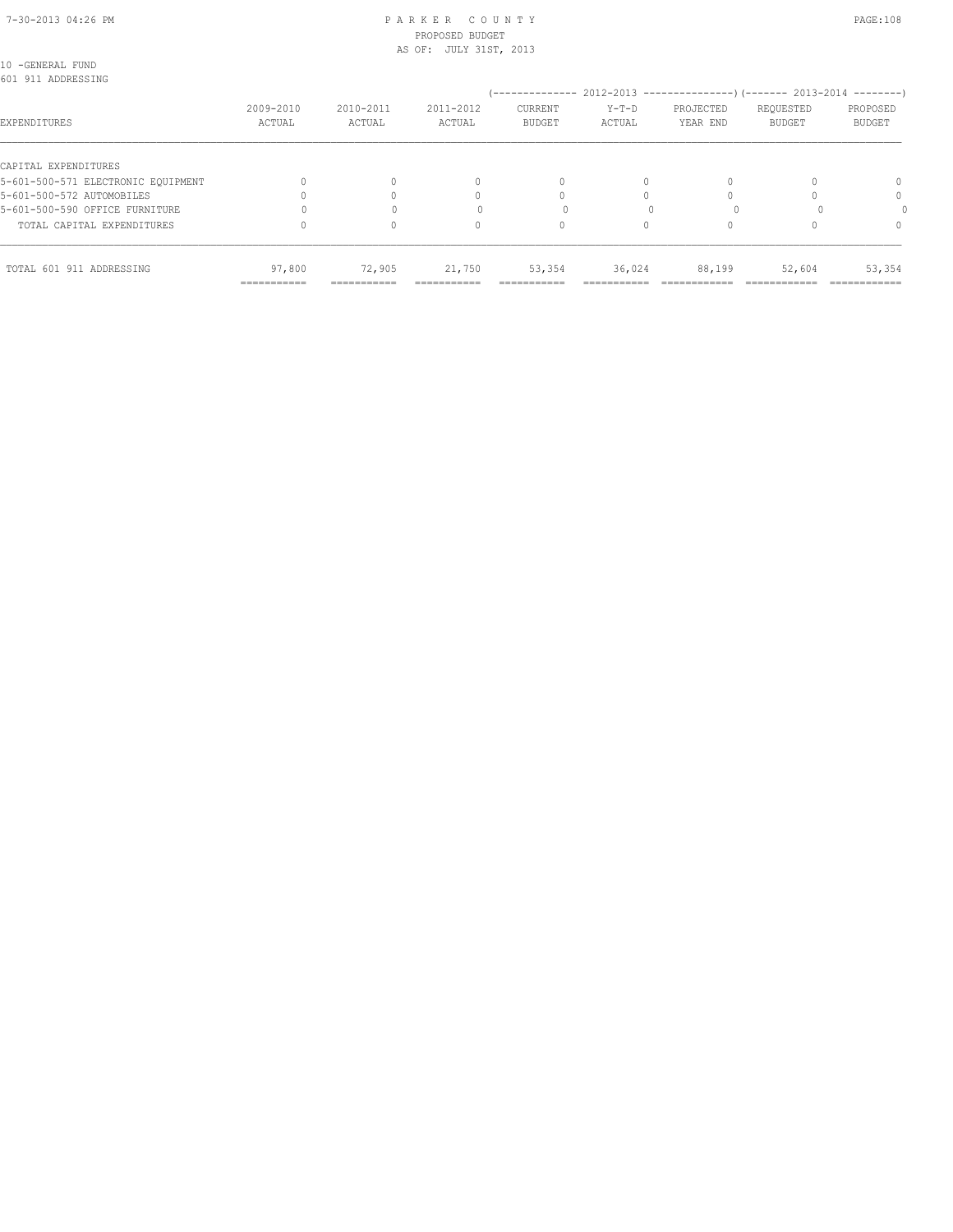#### 7-30-2013 04:26 PM P A R K E R C O U N T Y PAGE:108 PROPOSED BUDGET AS OF: JULY 31ST, 2013

| 10 -GENERAL FUND                   |              |              |              |               |           |               |               |               |
|------------------------------------|--------------|--------------|--------------|---------------|-----------|---------------|---------------|---------------|
| 601 911 ADDRESSING                 |              |              |              |               |           |               |               |               |
|                                    |              |              |              |               |           |               |               |               |
|                                    | 2009-2010    | 2010-2011    | 2011-2012    | CURRENT       | Y-T-D     | PROJECTED     | REQUESTED     | PROPOSED      |
| EXPENDITURES                       | ACTUAL       | ACTUAL       | ACTUAL       | <b>BUDGET</b> | ACTUAL    | YEAR END      | <b>BUDGET</b> | BUDGET        |
| CAPITAL EXPENDITURES               |              |              |              |               |           |               |               |               |
| 5-601-500-571 ELECTRONIC EOUIPMENT |              |              | $\mathbf{0}$ | 0             | 0         |               |               | 0             |
| 5-601-500-572 AUTOMOBILES          |              |              | 0            | $\Omega$      | $\Omega$  |               |               | $\mathbf{0}$  |
| 5-601-500-590 OFFICE FURNITURE     |              |              |              |               |           |               |               |               |
| TOTAL CAPITAL EXPENDITURES         |              |              | 0            | $\circ$       | $\Omega$  |               |               | $\Omega$      |
| TOTAL 601 911 ADDRESSING           | 97,800       | 72,905       | 21,750       | 53,354        | 36,024    | 88,199        | 52,604        | 53,354        |
|                                    | ------------ | ------------ | -----------  | -----------   | --------- | ------------- | ------------- | ------------- |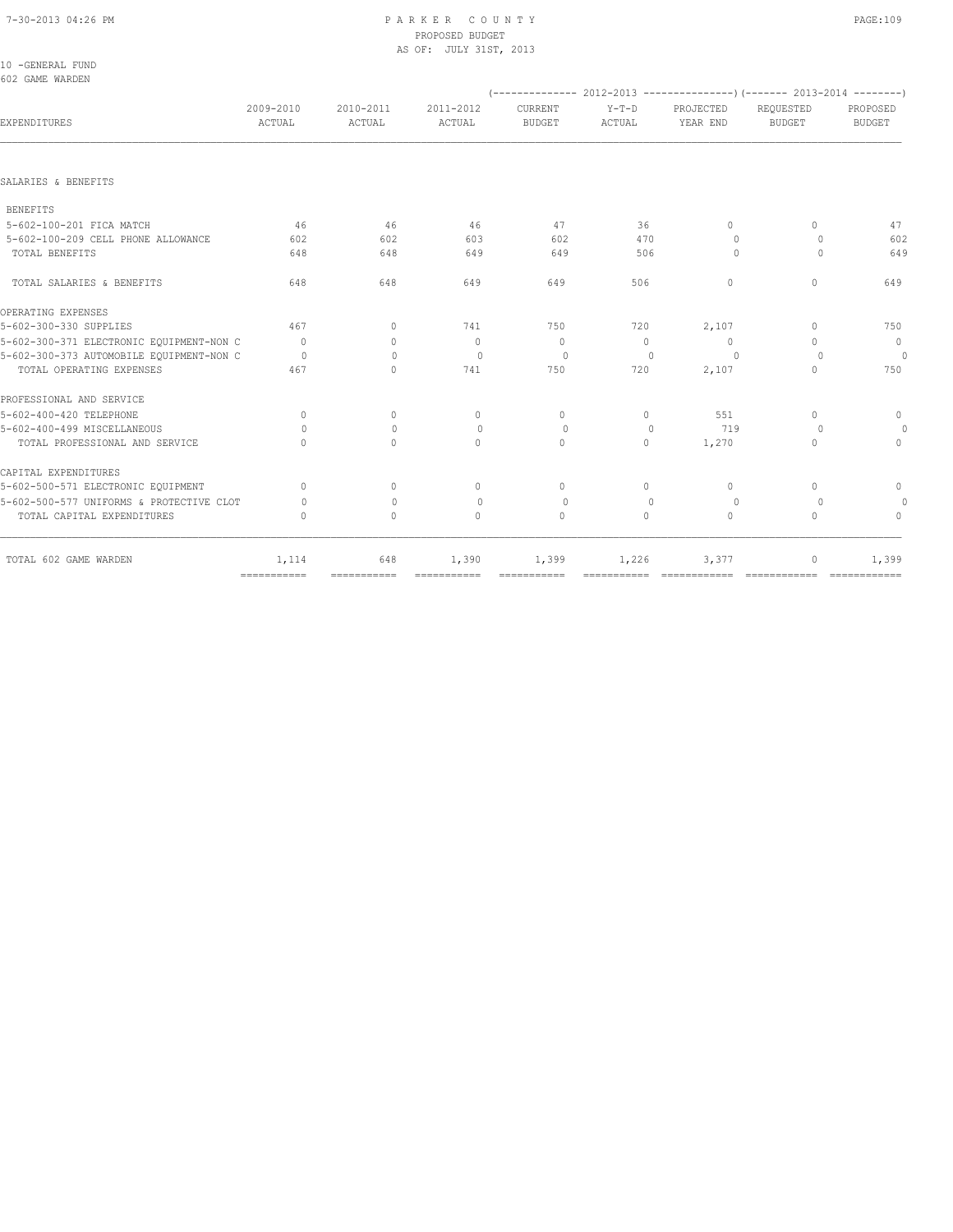#### 7-30-2013 04:26 PM P A R K E R C O U N T Y PAGE:109 PROPOSED BUDGET AS OF: JULY 31ST, 2013

| 10 -GENERAL FUND |  |
|------------------|--|
| 602 GAME WARDEN  |  |

|                                          |                     |                                  |                     |                          |                   |                       | $(---------- 2012-2013$ ----------------) (------- 2013-2014 --------) |                           |
|------------------------------------------|---------------------|----------------------------------|---------------------|--------------------------|-------------------|-----------------------|------------------------------------------------------------------------|---------------------------|
| EXPENDITURES                             | 2009-2010<br>ACTUAL | 2010-2011<br>ACTUAL              | 2011-2012<br>ACTUAL | CURRENT<br><b>BUDGET</b> | $Y-T-D$<br>ACTUAL | PROJECTED<br>YEAR END | REQUESTED<br><b>BUDGET</b>                                             | PROPOSED<br><b>BUDGET</b> |
|                                          |                     |                                  |                     |                          |                   |                       |                                                                        |                           |
| SALARIES & BENEFITS                      |                     |                                  |                     |                          |                   |                       |                                                                        |                           |
| <b>BENEFITS</b>                          |                     |                                  |                     |                          |                   |                       |                                                                        |                           |
| 5-602-100-201 FICA MATCH                 | 46                  | 46                               | 46                  | 47                       | 36                | $\Omega$              | 0                                                                      | 47                        |
| 5-602-100-209 CELL PHONE ALLOWANCE       | 602                 | 602                              | 603                 | 602                      | 470               | $\Omega$              | $\Omega$                                                               | 602                       |
| TOTAL BENEFITS                           | 648                 | 648                              | 649                 | 649                      | 506               | $\Omega$              | $\Omega$                                                               | 649                       |
| TOTAL SALARIES & BENEFITS                | 648                 | 648                              | 649                 | 649                      | 506               | $\circ$               | 0                                                                      | 649                       |
| OPERATING EXPENSES                       |                     |                                  |                     |                          |                   |                       |                                                                        |                           |
| 5-602-300-330 SUPPLIES                   | 467                 | $\Omega$                         | 741                 | 750                      | 720               | 2,107                 | 0                                                                      | 750                       |
| 5-602-300-371 ELECTRONIC EOUIPMENT-NON C | $\overline{0}$      | $\begin{array}{c} \n\end{array}$ | $\mathbf{0}$        | $\mathbf{0}$             | $\Omega$          | $\circ$               | $\cap$                                                                 | $\overline{0}$            |
| 5-602-300-373 AUTOMOBILE EQUIPMENT-NON C | $\Omega$            | $\Omega$                         | $\bigcirc$          | $\circ$                  | $\Omega$          | $\Omega$              | $\Omega$                                                               | $\Omega$                  |
| TOTAL OPERATING EXPENSES                 | 467                 | $\Omega$                         | 741                 | 750                      | 720               | 2,107                 | $\cap$                                                                 | 750                       |
| PROFESSIONAL AND SERVICE                 |                     |                                  |                     |                          |                   |                       |                                                                        |                           |
| 5-602-400-420 TELEPHONE                  | $\mathbf{0}$        | $\circ$                          | $\mathbf{0}$        | $\mathbf{0}$             | 0                 | 551                   | $\Omega$                                                               | $\mathbf{0}$              |
| 5-602-400-499 MISCELLANEOUS              | $\bigcap$           | $\mathbf{0}$                     | $\mathbf{0}$        | $\circ$                  | $\mathbf{0}$      | 719                   | $\Omega$                                                               | $\Omega$                  |
| TOTAL PROFESSIONAL AND SERVICE           | $\bigcap$           | $\Omega$                         | $\Omega$            | $\Omega$                 | $\Omega$          | 1,270                 | 0                                                                      | $\Omega$                  |
| CAPITAL EXPENDITURES                     |                     |                                  |                     |                          |                   |                       |                                                                        |                           |
| 5-602-500-571 ELECTRONIC EQUIPMENT       | $\bigcap$           | $\Omega$                         | $\Omega$            | $\Omega$                 | $\Omega$          | $\Omega$              | $\bigcap$                                                              | $\mathbf{0}$              |
| 5-602-500-577 UNIFORMS & PROTECTIVE CLOT | $\bigcap$           | $\mathbf{0}$                     | $\mathbf{0}$        | $\circ$                  | $\mathbf{0}$      | $\circ$               | $\circ$                                                                | $\Omega$                  |
| TOTAL CAPITAL EXPENDITURES               | 0                   | $\Omega$                         | $\Omega$            | $\Omega$                 | $\Omega$          | $\Omega$              | 0                                                                      | $\Omega$                  |
| TOTAL 602 GAME WARDEN                    | 1,114               | 648                              | 1,390               | 1,399                    | 1,226             | 3,377                 | 0                                                                      | 1,399                     |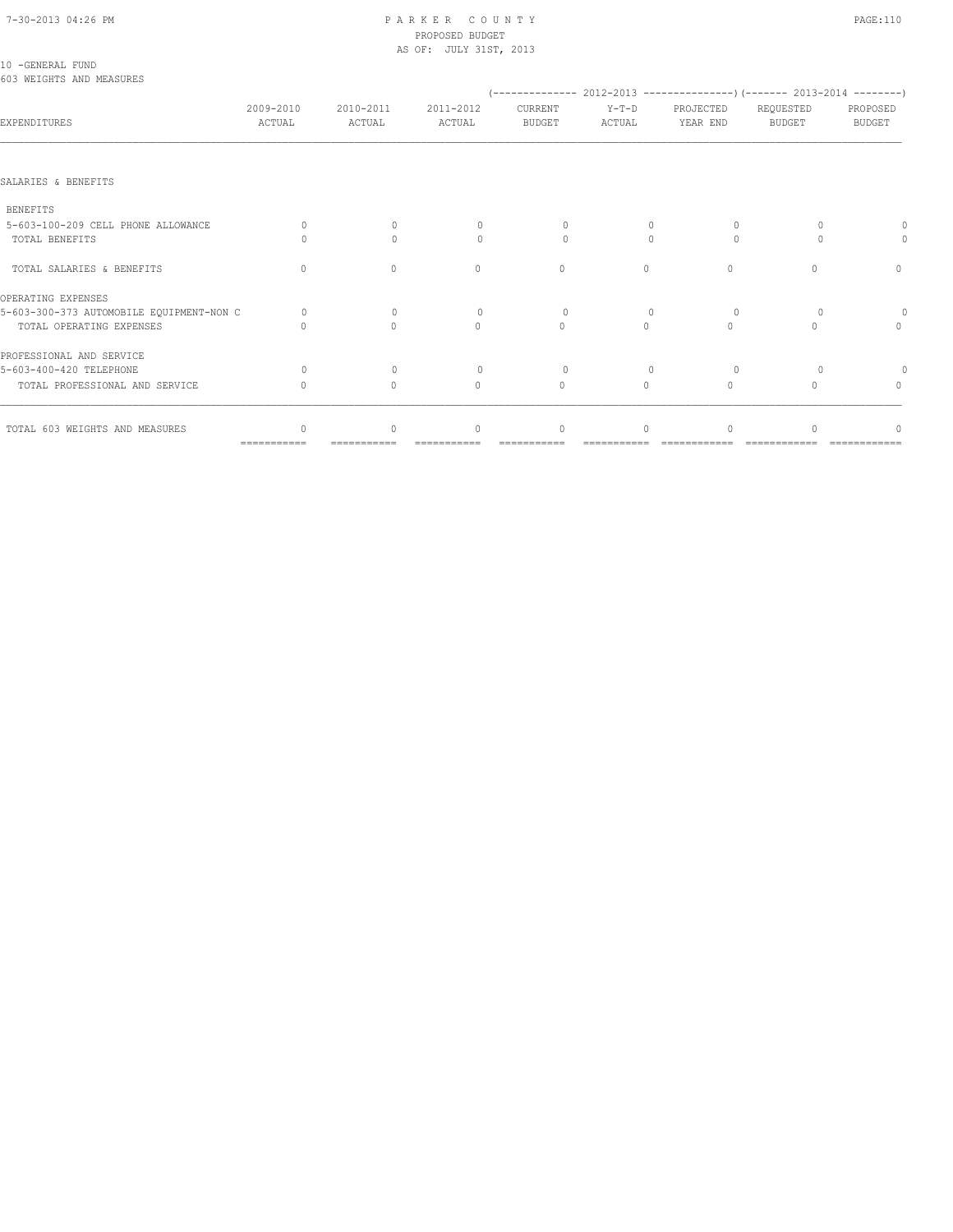# 7-30-2013 04:26 PM P A R K E R C O U N T Y PAGE:110 PROPOSED BUDGET

|                                              |                                  |                                  | AS OF: JULY 31ST, 2013           |                          |                                  |                                                                                                     |                                  |                                  |
|----------------------------------------------|----------------------------------|----------------------------------|----------------------------------|--------------------------|----------------------------------|-----------------------------------------------------------------------------------------------------|----------------------------------|----------------------------------|
| 10 -GENERAL FUND<br>603 WEIGHTS AND MEASURES |                                  |                                  |                                  |                          |                                  |                                                                                                     |                                  |                                  |
| EXPENDITURES                                 | 2009-2010<br>ACTUAL              | 2010-2011<br>ACTUAL              | 2011-2012<br>ACTUAL              | CURRENT<br><b>BUDGET</b> | $Y-T-D$<br>ACTUAL                | $($ -------------- 2012-2013 ----------------) (------- 2013-2014 --------<br>PROJECTED<br>YEAR END | REQUESTED<br><b>BUDGET</b>       | PROPOSED<br><b>BUDGET</b>        |
|                                              |                                  |                                  |                                  |                          |                                  |                                                                                                     |                                  |                                  |
| SALARIES & BENEFITS                          |                                  |                                  |                                  |                          |                                  |                                                                                                     |                                  |                                  |
| <b>BENEFITS</b>                              |                                  |                                  |                                  |                          |                                  |                                                                                                     |                                  |                                  |
| 5-603-100-209 CELL PHONE ALLOWANCE           | $\Omega$                         | $\Omega$                         | $\cap$                           | $\Omega$                 |                                  | $\Omega$                                                                                            |                                  |                                  |
| TOTAL BENEFITS                               | Ω                                | $\Omega$                         | $\begin{array}{c} \n\end{array}$ | $\Omega$                 | $\Omega$                         | $\Omega$                                                                                            |                                  |                                  |
| TOTAL SALARIES & BENEFITS                    | $\begin{array}{c} \n\end{array}$ | $\begin{array}{c} \n\end{array}$ | $\begin{array}{c} \n\end{array}$ | $\mathbf{0}$             | 0                                | $\Omega$                                                                                            | ∩                                | $\mathbf{0}$                     |
| OPERATING EXPENSES                           |                                  |                                  |                                  |                          |                                  |                                                                                                     |                                  |                                  |
| 5-603-300-373 AUTOMOBILE EQUIPMENT-NON C     | $\Omega$                         | $\Omega$                         | $\Omega$                         | $\circ$                  | $\begin{array}{c} \n\end{array}$ | $\Omega$                                                                                            |                                  | 0                                |
| TOTAL OPERATING EXPENSES                     |                                  | $\bigcap$                        | $\Omega$                         | $\Omega$                 | $\Omega$                         | $\begin{array}{c} \n\end{array}$                                                                    | $\cap$                           | $\begin{array}{c} \n\end{array}$ |
| PROFESSIONAL AND SERVICE                     |                                  |                                  |                                  |                          |                                  |                                                                                                     |                                  |                                  |
| 5-603-400-420 TELEPHONE                      | $\bigcap$                        | $\Omega$                         | $\Omega$                         | $\Omega$                 |                                  | $\Omega$                                                                                            |                                  |                                  |
| TOTAL PROFESSIONAL AND SERVICE               | $\cup$                           | $\mathbf{0}$                     | $\mathbf{0}$                     | $\mathbf{0}$             | $\circ$                          | $\mathbf{0}$                                                                                        | $\begin{array}{c} \n\end{array}$ | $\begin{array}{c} \n\end{array}$ |
| TOTAL 603 WEIGHTS AND MEASURES               |                                  | $\cap$                           | $\bigcap$                        | $\Omega$                 | $\Omega$                         |                                                                                                     |                                  |                                  |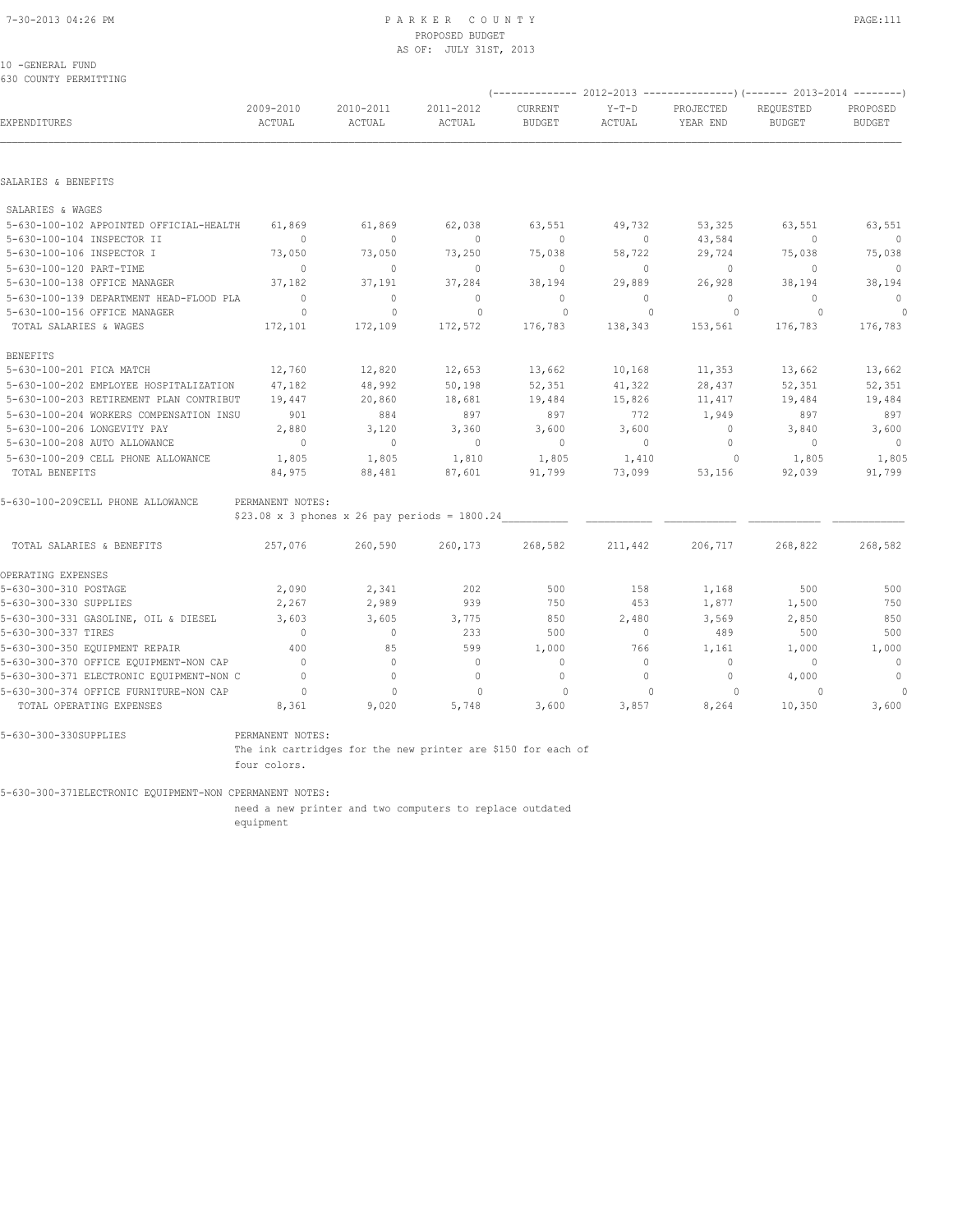## PROPOSED BUDGET AS OF: JULY 31ST, 2013

10 -GENERAL FUND 630 COUNTY PERMITTING

|                                          |                          |                                                     |                     |                          |                   | (-------------- 2012-2013 ----------------) (------- 2013-2014 --------) |                            |                           |
|------------------------------------------|--------------------------|-----------------------------------------------------|---------------------|--------------------------|-------------------|--------------------------------------------------------------------------|----------------------------|---------------------------|
| EXPENDITURES                             | 2009-2010<br>ACTUAL      | 2010-2011<br>ACTUAL                                 | 2011-2012<br>ACTUAL | CURRENT<br><b>BUDGET</b> | $Y-T-D$<br>ACTUAL | PROJECTED<br>YEAR END                                                    | REQUESTED<br><b>BUDGET</b> | PROPOSED<br><b>BUDGET</b> |
|                                          |                          |                                                     |                     |                          |                   |                                                                          |                            |                           |
| SALARIES & BENEFITS                      |                          |                                                     |                     |                          |                   |                                                                          |                            |                           |
| SALARIES & WAGES                         |                          |                                                     |                     |                          |                   |                                                                          |                            |                           |
| 5-630-100-102 APPOINTED OFFICIAL-HEALTH  | 61,869                   | 61,869                                              | 62,038              | 63,551                   | 49,732            | 53,325                                                                   | 63,551                     | 63,551                    |
| 5-630-100-104 INSPECTOR II               | $\overline{0}$           | $\circ$                                             | $\overline{0}$      | $\circ$                  | $\circ$           | 43,584                                                                   | $\mathbf{0}$               | $\overline{\phantom{0}}$  |
| 5-630-100-106 INSPECTOR I                | 73,050                   | 73,050                                              | 73,250              | 75,038                   | 58,722            | 29,724                                                                   | 75,038                     | 75,038                    |
| 5-630-100-120 PART-TIME                  | $\overline{0}$           | $\mathbf{0}$                                        | $\overline{0}$      | $\circ$                  | $\circ$           | $\circ$                                                                  | $\mathbf{0}$               | $\overline{0}$            |
| 5-630-100-138 OFFICE MANAGER             | 37,182                   | 37,191                                              | 37,284              | 38,194                   | 29,889            | 26,928                                                                   | 38,194                     | 38,194                    |
| 5-630-100-139 DEPARTMENT HEAD-FLOOD PLA  | $\overline{0}$           | $\Omega$                                            | $\Omega$            | $\mathbf{0}$             | $\Omega$          | $\Omega$                                                                 | $\Omega$                   | $\mathbf{0}$              |
| 5-630-100-156 OFFICE MANAGER             | $\circ$                  | $\mathbf{0}$                                        | $\mathbf{0}$        | $\circ$                  | $\mathbf{0}$      | $\circ$                                                                  | $\Omega$                   | $\theta$                  |
| TOTAL SALARIES & WAGES                   | 172,101                  | 172,109                                             | 172,572             | 176,783                  | 138,343           | 153,561                                                                  | 176,783                    | 176,783                   |
| <b>BENEFITS</b>                          |                          |                                                     |                     |                          |                   |                                                                          |                            |                           |
| 5-630-100-201 FICA MATCH                 | 12,760                   | 12,820                                              | 12,653              | 13,662                   | 10,168            | 11,353                                                                   | 13,662                     | 13,662                    |
| 5-630-100-202 EMPLOYEE HOSPITALIZATION   | 47,182                   | 48,992                                              | 50,198              | 52,351                   | 41,322            | 28,437                                                                   | 52,351                     | 52,351                    |
| 5-630-100-203 RETIREMENT PLAN CONTRIBUT  | 19,447                   | 20,860                                              | 18,681              | 19,484                   | 15,826            | 11,417                                                                   | 19,484                     | 19,484                    |
| 5-630-100-204 WORKERS COMPENSATION INSU  | 901                      | 884                                                 | 897                 | 897                      | 772               | 1,949                                                                    | 897                        | 897                       |
| 5-630-100-206 LONGEVITY PAY              | 2,880                    | 3,120                                               | 3,360               | 3,600                    | 3,600             | $\circ$                                                                  | 3,840                      | 3,600                     |
| 5-630-100-208 AUTO ALLOWANCE             | $\sim$ 0                 | $\overline{0}$                                      | $\overline{0}$      | $\sim$ 0                 | $\circ$           | $\mathbf{0}$                                                             | $\overline{0}$             | $\overline{0}$            |
| 5-630-100-209 CELL PHONE ALLOWANCE       | 1,805                    | 1,805                                               | 1,810               | 1,805                    | 1,410             | $\circ$                                                                  | 1,805                      | 1,805                     |
| TOTAL BENEFITS                           | 84,975                   | 88,481                                              | 87,601              | 91,799                   | 73,099            | 53,156                                                                   | 92,039                     | 91,799                    |
| 5-630-100-209CELL PHONE ALLOWANCE        | PERMANENT NOTES:         |                                                     |                     |                          |                   |                                                                          |                            |                           |
|                                          |                          | $$23.08 \times 3$ phones x 26 pay periods = 1800.24 |                     |                          |                   |                                                                          |                            |                           |
| TOTAL SALARIES & BENEFITS                | 257,076                  | 260,590                                             | 260,173             | 268,582                  | 211,442           | 206,717                                                                  | 268,822                    | 268,582                   |
| OPERATING EXPENSES                       |                          |                                                     |                     |                          |                   |                                                                          |                            |                           |
| 5-630-300-310 POSTAGE                    | 2,090                    | 2,341                                               | 202                 | 500                      | 158               | 1,168                                                                    | 500                        | 500                       |
| 5-630-300-330 SUPPLIES                   | 2,267                    | 2,989                                               | 939                 | 750                      | 453               | 1,877                                                                    | 1,500                      | 750                       |
| 5-630-300-331 GASOLINE, OIL & DIESEL     | 3,603                    | 3,605                                               | 3,775               | 850                      | 2,480             | 3,569                                                                    | 2,850                      | 850                       |
| 5-630-300-337 TIRES                      | $\Omega$                 | $\circ$                                             | 233                 | 500                      | $\circ$           | 489                                                                      | 500                        | 500                       |
| 5-630-300-350 EQUIPMENT REPAIR           | 400                      | 85                                                  | 599                 | 1,000                    | 766               | 1,161                                                                    | 1,000                      | 1,000                     |
| 5-630-300-370 OFFICE EQUIPMENT-NON CAP   | $\overline{0}$           | $\mathbf{0}$                                        | $\mathbf{0}$        | $\mathbf 0$              | $\circ$           | $\circ$                                                                  | $\mathbf{0}$               | $\sim$ 0                  |
| 5-630-300-371 ELECTRONIC EQUIPMENT-NON C | $\overline{0}$           | $\mathbf{0}$                                        | $\mathbf{0}$        | $\mathbf{0}$             | $\circ$           | $\circ$                                                                  | 4,000                      | $\overline{0}$            |
| 5-630-300-374 OFFICE FURNITURE-NON CAP   | $\overline{\phantom{0}}$ | $\mathbf{0}$                                        | $\Omega$            | $\circ$                  | $\cap$            | 0                                                                        | $\Omega$                   | $\circ$                   |
| TOTAL OPERATING EXPENSES                 | 8,361                    | 9,020                                               | 5,748               | 3,600                    | 3,857             | 8,264                                                                    | 10,350                     | 3,600                     |

5-630-300-330SUPPLIES PERMANENT NOTES:

 The ink cartridges for the new printer are \$150 for each of four colors.

5-630-300-371ELECTRONIC EQUIPMENT-NON CPERMANENT NOTES:

 need a new printer and two computers to replace outdated equipment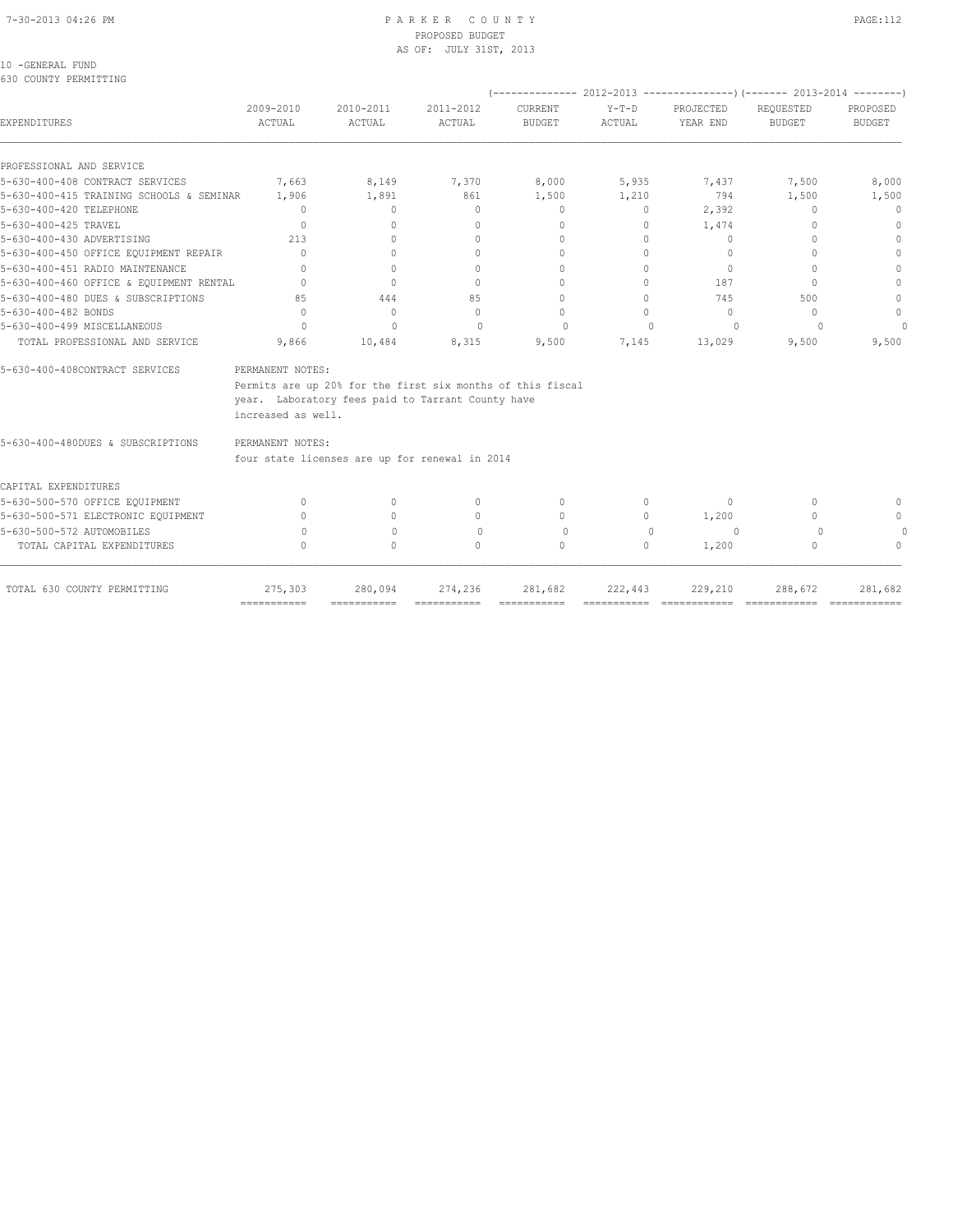## PROPOSED BUDGET AS OF: JULY 31ST, 2013

10 -GENERAL FUND

| JJV COONII IILINIIIIII                   |                                        |                                                                                                                 |                                  |                          |                   |                                  |                            |                           |
|------------------------------------------|----------------------------------------|-----------------------------------------------------------------------------------------------------------------|----------------------------------|--------------------------|-------------------|----------------------------------|----------------------------|---------------------------|
| <b>EXPENDITURES</b>                      | 2009-2010<br>ACTUAL                    | 2010-2011<br><b>ACTUAL</b>                                                                                      | 2011-2012<br>ACTUAL              | CURRENT<br><b>BUDGET</b> | $Y-T-D$<br>ACTUAL | PROJECTED<br>YEAR END            | REQUESTED<br><b>BUDGET</b> | PROPOSED<br><b>BUDGET</b> |
| PROFESSIONAL AND SERVICE                 |                                        |                                                                                                                 |                                  |                          |                   |                                  |                            |                           |
| 5-630-400-408 CONTRACT SERVICES          | 7,663                                  | 8,149                                                                                                           | 7,370                            | 8,000                    | 5,935             | 7,437                            | 7,500                      | 8,000                     |
| 5-630-400-415 TRAINING SCHOOLS & SEMINAR | 1,906                                  | 1,891                                                                                                           | 861                              | 1,500                    | 1,210             | 794                              | 1,500                      | 1,500                     |
| 5-630-400-420 TELEPHONE                  | $\mathbf{0}$                           | $\mathbf{0}$                                                                                                    | $\mathbf{0}$                     | $\circ$                  | 0                 | 2,392                            | $\Omega$                   | 0                         |
| 5-630-400-425 TRAVEL                     | $\Omega$                               | $\begin{array}{c} \n\end{array}$                                                                                | $\begin{array}{c} \n\end{array}$ | $\Omega$                 | 0                 | 1,474                            | ∩                          | $\Omega$                  |
| 5-630-400-430 ADVERTISING                | 213                                    | $\begin{array}{c} \n\end{array}$                                                                                | $\begin{array}{c} \n\end{array}$ | $\Omega$                 | $\Omega$          | $\Omega$                         | $\Omega$                   | 0                         |
| 5-630-400-450 OFFICE EQUIPMENT REPAIR    | $\bigcap$                              | $\bigcap$                                                                                                       | $\bigcap$                        | $\bigcap$                | $\bigcap$         | $\cup$                           | ∩                          | $\cap$                    |
| 5-630-400-451 RADIO MAINTENANCE          | $\cap$                                 | $\bigcap$                                                                                                       | $\begin{array}{c} \n\end{array}$ | $\cap$                   | $\cap$            | $\bigcap$                        |                            |                           |
| 5-630-400-460 OFFICE & EQUIPMENT RENTAL  | $\begin{array}{c} \n\end{array}$       | $\Omega$                                                                                                        | $\begin{array}{c} \n\end{array}$ | 0                        | $\Omega$          | 187                              | $\bigcap$                  |                           |
| 5-630-400-480 DUES & SUBSCRIPTIONS       | 85                                     | 444                                                                                                             | 85                               | $\bigcap$                | $\bigcap$         | 745                              | 500                        | $\Omega$                  |
| 5-630-400-482 BONDS                      | $\Omega$                               | $\mathbf{0}$                                                                                                    | $\Omega$                         | $\Omega$                 | $\Omega$          | $\begin{array}{c} \n\end{array}$ | $\Omega$                   | $\mathbf{0}$              |
| 5-630-400-499 MISCELLANEOUS              | 0                                      | $\Omega$                                                                                                        | $\bigcap$                        | $\bigcap$                | $\cap$            |                                  |                            | $\Omega$                  |
| TOTAL PROFESSIONAL AND SERVICE           | 9,866                                  | 10,484                                                                                                          | 8,315                            | 9,500                    | 7,145             | 13,029                           | 9,500                      | 9,500                     |
| 5-630-400-408CONTRACT SERVICES           | PERMANENT NOTES:<br>increased as well. | Permits are up 20% for the first six months of this fiscal<br>year. Laboratory fees paid to Tarrant County have |                                  |                          |                   |                                  |                            |                           |
| 5-630-400-480DUES & SUBSCRIPTIONS        | PERMANENT NOTES:                       |                                                                                                                 |                                  |                          |                   |                                  |                            |                           |
|                                          |                                        | four state licenses are up for renewal in 2014                                                                  |                                  |                          |                   |                                  |                            |                           |
| CAPITAL EXPENDITURES                     |                                        |                                                                                                                 |                                  |                          |                   |                                  |                            |                           |
| 5-630-500-570 OFFICE EQUIPMENT           | 0                                      | $\Omega$                                                                                                        | $\mathbf{0}$                     | $\Omega$                 | 0                 | $\Omega$                         | $\Omega$                   |                           |
| 5-630-500-571 ELECTRONIC EQUIPMENT       | $\cap$                                 |                                                                                                                 | $\begin{array}{c} \n\end{array}$ | $\Omega$                 | $\bigcap$         | 1,200                            | ∩                          |                           |
| 5-630-500-572 AUTOMOBILES                | 0                                      | $\Omega$                                                                                                        | $\Omega$                         | $\Omega$                 | $\cap$            | $\Omega$                         | $\Omega$                   |                           |

=========== =========== =========== =========== =========== ============ ============ ============

TOTAL CAPITAL EXPENDITURES  $\begin{matrix}0\end{matrix}$  0 0 0 0 0 1,200 0 0 0 0

TOTAL 630 COUNTY PERMITTING 275,303 280,094 274,236 281,682 222,443 229,210 288,672 281,682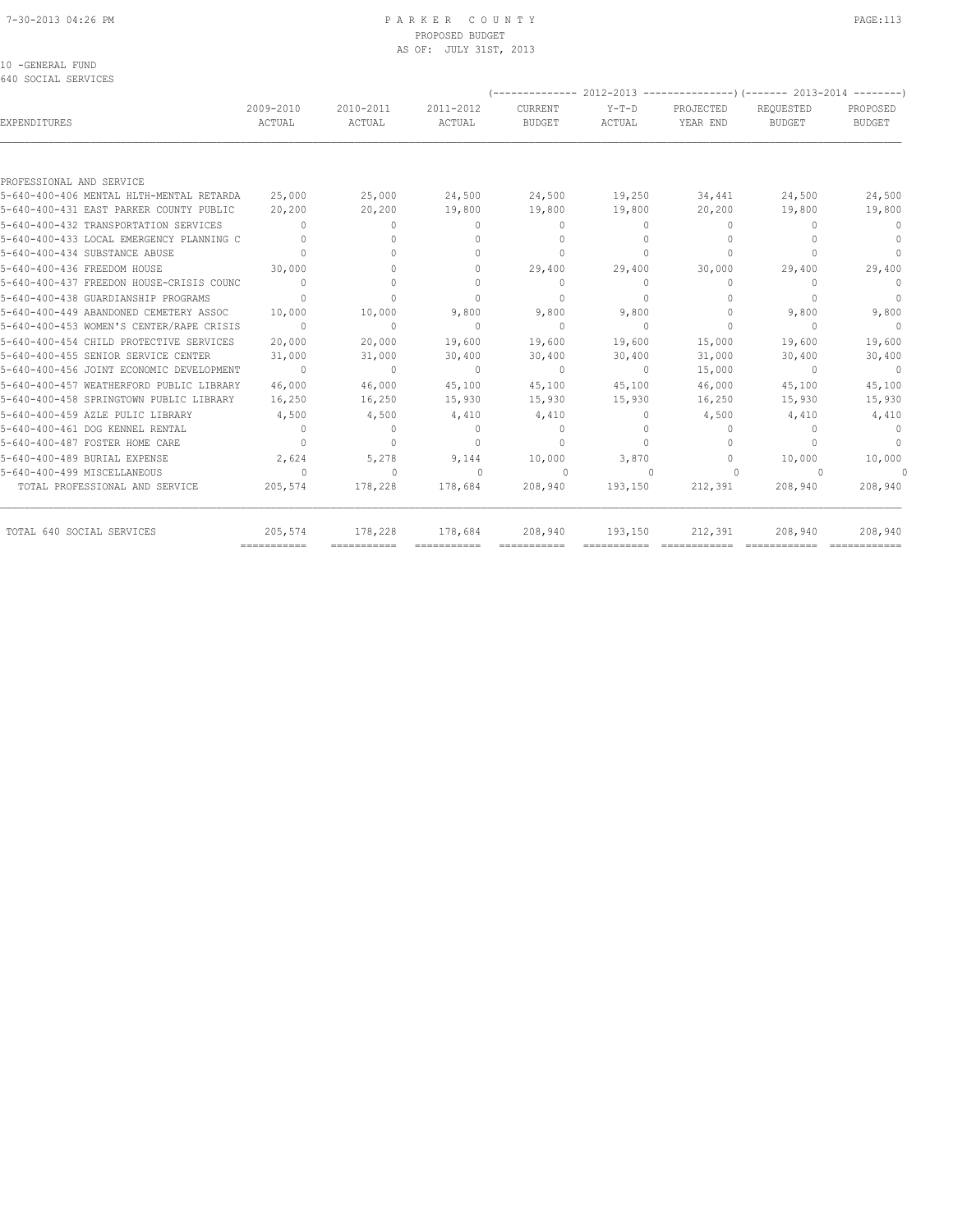#### 7-30-2013 04:26 PM P A R K E R C O U N T Y PAGE:113 PROPOSED BUDGET AS OF: JULY 31ST, 2013

10 -GENERAL FUND

| 640 SOCIAL SERVICES                      |                                  |                     |                     | --------------           |                          |                                  | $2012 - 2013$ ----------------) (------- 2013-2014 -------- |                           |
|------------------------------------------|----------------------------------|---------------------|---------------------|--------------------------|--------------------------|----------------------------------|-------------------------------------------------------------|---------------------------|
| <b>EXPENDITURES</b>                      | 2009-2010<br>ACTUAL              | 2010-2011<br>ACTUAL | 2011-2012<br>ACTUAL | CURRENT<br><b>BUDGET</b> | $Y-T-D$<br><b>ACTUAL</b> | PROJECTED<br>YEAR END            | REQUESTED<br><b>BUDGET</b>                                  | PROPOSED<br><b>BUDGET</b> |
|                                          |                                  |                     |                     |                          |                          |                                  |                                                             |                           |
| PROFESSIONAL AND SERVICE                 |                                  |                     |                     |                          |                          |                                  |                                                             |                           |
| 5-640-400-406 MENTAL HLTH-MENTAL RETARDA | 25,000                           | 25,000              | 24,500              | 24,500                   | 19,250                   | 34,441                           | 24,500                                                      | 24,500                    |
| 5-640-400-431 EAST PARKER COUNTY PUBLIC  | 20,200                           | 20,200              | 19,800              | 19,800                   | 19,800                   | 20,200                           | 19,800                                                      | 19,800                    |
| 5-640-400-432 TRANSPORTATION SERVICES    | $\begin{array}{c} \n\end{array}$ | $\Omega$            | 0                   | $\Omega$                 | $\Omega$                 | $\Omega$                         | $\bigcap$                                                   | $\mathbf{0}$              |
| 5-640-400-433 LOCAL EMERGENCY PLANNING C | $\Omega$                         | $\bigcap$           | $\Omega$            | $\Omega$                 | $\Omega$                 | $\begin{array}{c} \n\end{array}$ | $\Omega$                                                    | $\Omega$                  |
| 5-640-400-434 SUBSTANCE ABUSE            | $\Omega$                         |                     | $\Omega$            | $\Omega$                 | $\Omega$                 | $\begin{array}{c} \n\end{array}$ |                                                             | $\Omega$                  |
| 5-640-400-436 FREEDOM HOUSE              | 30,000                           |                     |                     | 29,400                   | 29,400                   | 30,000                           | 29,400                                                      | 29,400                    |
| 5-640-400-437 FREEDON HOUSE-CRISIS COUNC | $\overline{a}$                   |                     | $\bigcap$           | $\Omega$                 | $\Omega$                 | $\mathbf{0}$                     | $\bigcap$                                                   | $\circ$                   |
| 5-640-400-438 GUARDIANSHIP PROGRAMS      | $\Omega$                         | $\Omega$            | $\Omega$            | $\Omega$                 | $\Omega$                 | $\Omega$                         | $\Omega$                                                    | $\overline{0}$            |
| 5-640-400-449 ABANDONED CEMETERY ASSOC   | 10,000                           | 10,000              | 9,800               | 9,800                    | 9,800                    | $\mathbf{0}$                     | 9,800                                                       | 9,800                     |
| 5-640-400-453 WOMEN'S CENTER/RAPE CRISIS | $\overline{0}$                   | $\mathbf{0}$        | $\Omega$            | $\Omega$                 | $\Omega$                 | $\mathbf{0}$                     | $\Omega$                                                    | $\sim$ 0                  |
| 5-640-400-454 CHILD PROTECTIVE SERVICES  | 20,000                           | 20,000              | 19,600              | 19,600                   | 19,600                   | 15,000                           | 19,600                                                      | 19,600                    |
| 5-640-400-455 SENIOR SERVICE CENTER      | 31,000                           | 31,000              | 30,400              | 30,400                   | 30,400                   | 31,000                           | 30,400                                                      | 30,400                    |
| 5-640-400-456 JOINT ECONOMIC DEVELOPMENT | $\sim$ 0                         | $\Omega$            | $\Omega$            | $\Omega$                 | $\Omega$                 | 15,000                           | $\Omega$                                                    | $\overline{0}$            |
| 5-640-400-457 WEATHERFORD PUBLIC LIBRARY | 46,000                           | 46,000              | 45,100              | 45,100                   | 45,100                   | 46,000                           | 45,100                                                      | 45,100                    |
| 5-640-400-458 SPRINGTOWN PUBLIC LIBRARY  | 16,250                           | 16,250              | 15,930              | 15,930                   | 15,930                   | 16,250                           | 15,930                                                      | 15,930                    |
| 5-640-400-459 AZLE PULIC LIBRARY         | 4,500                            | 4,500               | 4,410               | 4,410                    | $\Omega$                 | 4,500                            | 4,410                                                       | 4,410                     |
| 5-640-400-461 DOG KENNEL RENTAL          | $\overline{0}$                   | $\circ$             | $\Omega$            | $\Omega$                 | $\Omega$                 | $\Omega$                         | $\begin{array}{c} \n\end{array}$                            | $\bigcirc$                |
| 5-640-400-487 FOSTER HOME CARE           | $\Omega$                         | $\mathbf{0}$        | $\bigcap$           | $\Omega$                 | $\Omega$                 | $\mathbf{0}$                     | $\bigcap$                                                   | $\circ$                   |
| 5-640-400-489 BURIAL EXPENSE             | 2,624                            | 5,278               | 9,144               | 10,000                   | 3,870                    | $\Omega$                         | 10,000                                                      | 10,000                    |
| 5-640-400-499 MISCELLANEOUS              | $\cap$                           | $\Omega$            | $\bigcap$           | $\Omega$                 | $\cap$                   | $\Omega$                         | $\Omega$                                                    | $\Omega$                  |
| TOTAL PROFESSIONAL AND SERVICE           | 205,574                          | 178,228             | 178,684             | 208,940                  | 193,150                  | 212,391                          | 208,940                                                     | 208,940                   |
| TOTAL 640 SOCIAL SERVICES                | 205,574<br>===========           | 178,228             | 178,684             | 208,940                  | 193,150                  | 212,391                          | 208,940                                                     | 208,940                   |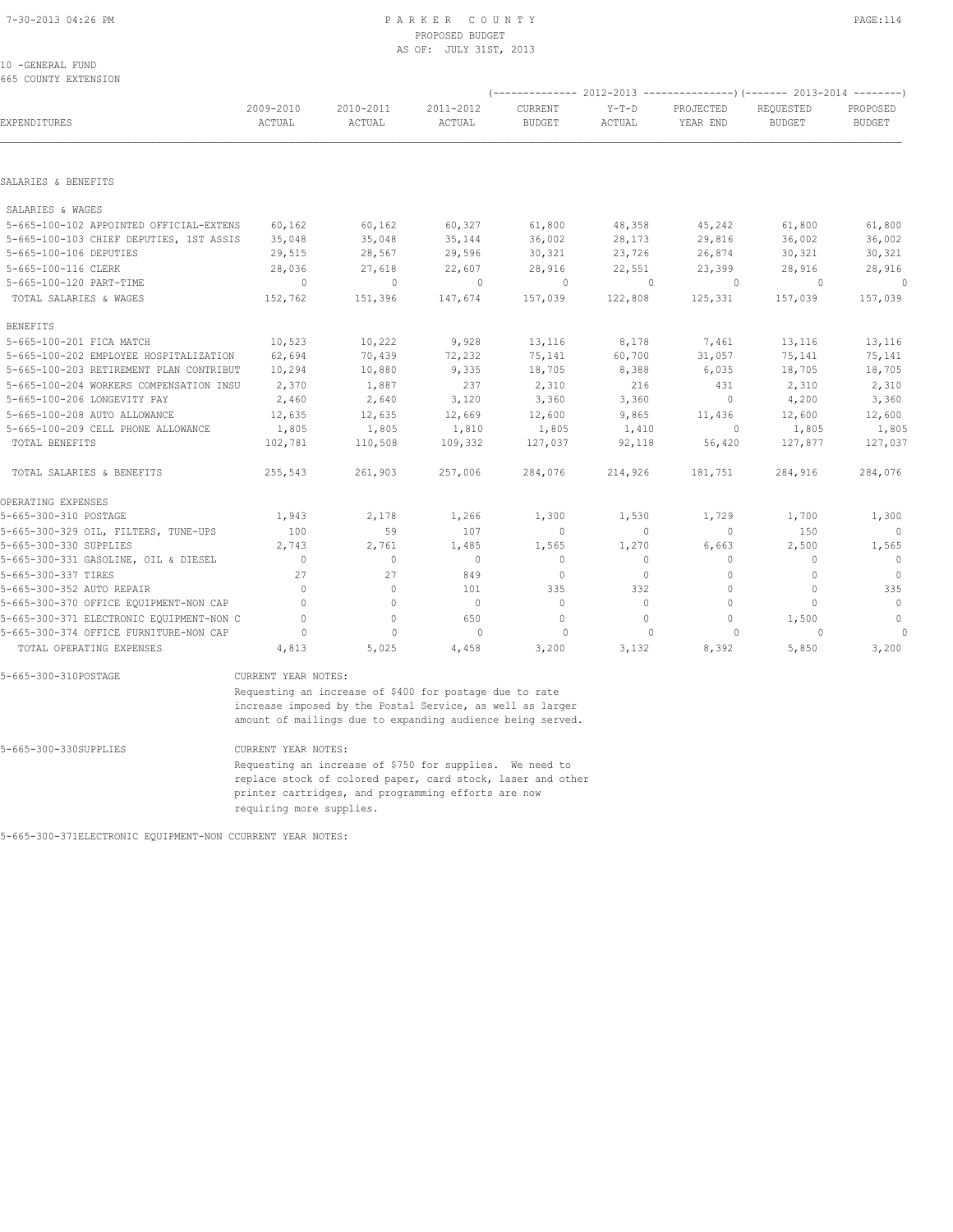## PROPOSED BUDGET AS OF: JULY 31ST, 2013

#### 10 -GENERAL FUND 665 COUNTY EXTENSION

|                                         |                     | $(----------2012-2013---------)$ $(----2013-2014------)$ |                     |                                  |                   |                          |                                  |                           |  |  |
|-----------------------------------------|---------------------|----------------------------------------------------------|---------------------|----------------------------------|-------------------|--------------------------|----------------------------------|---------------------------|--|--|
| EXPENDITURES                            | 2009-2010<br>ACTUAL | 2010-2011<br>ACTUAL                                      | 2011-2012<br>ACTUAL | CURRENT<br><b>BUDGET</b>         | $Y-T-D$<br>ACTUAL | PROJECTED<br>YEAR END    | REOUESTED<br><b>BUDGET</b>       | PROPOSED<br><b>BUDGET</b> |  |  |
|                                         |                     |                                                          |                     |                                  |                   |                          |                                  |                           |  |  |
| SALARIES & BENEFITS                     |                     |                                                          |                     |                                  |                   |                          |                                  |                           |  |  |
| SALARIES & WAGES                        |                     |                                                          |                     |                                  |                   |                          |                                  |                           |  |  |
| 5-665-100-102 APPOINTED OFFICIAL-EXTENS | 60,162              | 60,162                                                   | 60,327              | 61,800                           | 48,358            | 45,242                   | 61,800                           | 61,800                    |  |  |
| 5-665-100-103 CHIEF DEPUTIES, 1ST ASSIS | 35,048              | 35,048                                                   | 35,144              | 36,002                           | 28,173            | 29,816                   | 36,002                           | 36,002                    |  |  |
| 5-665-100-106 DEPUTIES                  | 29,515              | 28,567                                                   | 29,596              | 30,321                           | 23,726            | 26,874                   | 30,321                           | 30,321                    |  |  |
| 5-665-100-116 CLERK                     | 28,036              | 27,618                                                   | 22,607              | 28,916                           | 22,551            | 23,399                   | 28,916                           | 28,916                    |  |  |
| 5-665-100-120 PART-TIME                 | $\overline{0}$      | $\Omega$                                                 | $\sim$ 0            | $\sim$ 0                         | $\sim$ 0          | $\sim$ 0                 | $\Omega$                         | $\sim$ 0                  |  |  |
| TOTAL SALARIES & WAGES                  | 152,762             | 151,396                                                  | 147,674             | 157,039                          | 122,808           | 125,331                  | 157,039                          | 157,039                   |  |  |
| <b>BENEFITS</b>                         |                     |                                                          |                     |                                  |                   |                          |                                  |                           |  |  |
| 5-665-100-201 FICA MATCH                | 10,523              | 10,222                                                   | 9,928               | 13,116                           | 8,178             | 7,461                    | 13,116                           | 13,116                    |  |  |
| 5-665-100-202 EMPLOYEE HOSPITALIZATION  | 62,694              | 70,439                                                   | 72,232              | 75,141                           | 60,700            | 31,057                   | 75,141                           | 75,141                    |  |  |
| 5-665-100-203 RETIREMENT PLAN CONTRIBUT | 10,294              | 10,880                                                   | 9,335               | 18,705                           | 8,388             | 6,035                    | 18,705                           | 18,705                    |  |  |
| 5-665-100-204 WORKERS COMPENSATION INSU | 2,370               | 1,887                                                    | 237                 | 2,310                            | 216               | 431                      | 2,310                            | 2,310                     |  |  |
| 5-665-100-206 LONGEVITY PAY             | 2,460               | 2,640                                                    | 3,120               | 3,360                            | 3,360             | $\overline{0}$           | 4,200                            | 3,360                     |  |  |
| 5-665-100-208 AUTO ALLOWANCE            | 12,635              | 12,635                                                   | 12,669              | 12,600                           | 9,865             | 11,436                   | 12,600                           | 12,600                    |  |  |
| 5-665-100-209 CELL PHONE ALLOWANCE      | 1,805               | 1,805                                                    | 1,810               | 1,805                            | 1,410             | $\overline{\phantom{0}}$ | 1,805                            | 1,805                     |  |  |
| TOTAL BENEFITS                          | 102,781             | 110,508                                                  | 109,332             | 127,037                          | 92,118            | 56,420                   | 127,877                          | 127,037                   |  |  |
| TOTAL SALARIES & BENEFITS               | 255,543             | 261,903                                                  | 257,006             | 284,076                          | 214,926           | 181,751                  | 284,916                          | 284,076                   |  |  |
| OPERATING EXPENSES                      |                     |                                                          |                     |                                  |                   |                          |                                  |                           |  |  |
| 5-665-300-310 POSTAGE                   | 1,943               | 2,178                                                    | 1,266               | 1,300                            | 1,530             | 1,729                    | 1,700                            | 1,300                     |  |  |
| 5-665-300-329 OIL, FILTERS, TUNE-UPS    | 100                 | 59                                                       | 107                 | $\circ$                          | $\circ$           | $\Omega$                 | 150                              | $\bigcirc$                |  |  |
| 5-665-300-330 SUPPLIES                  | 2,743               | 2,761                                                    | 1,485               | 1,565                            | 1,270             | 6,663                    | 2,500                            | 1,565                     |  |  |
| 5-665-300-331 GASOLINE, OIL & DIESEL    | $\mathbf{0}$        | $\bigcap$                                                | $\Omega$            | $\begin{array}{c} \n\end{array}$ | $\circ$           | $\Omega$                 | $\Omega$                         | $\Omega$                  |  |  |
| 5-665-300-337 TIRES                     | 27                  | 27                                                       | 849                 | $\Omega$                         | $\Omega$          | $\bigcap$                | $\begin{array}{c} \n\end{array}$ | $\Omega$                  |  |  |

5-665-300-352 AUTO REPAIR 0 0 101 335 332 0 0 335 5-665-300-370 OFFICE EQUIPMENT-NON CAP 0 0 0 0 0 0 0 0 5-665-300-371 ELECTRONIC EQUIPMENT-NON C 0 0 650 0 0 0 1,500 0 5-665-300-374 OFFICE FURNITURE-NON CAP 0 0 0 0 0 0 0 0 TOTAL OPERATING EXPENSES 4,813 5,025 4,458 3,200 3,132 8,392 5,850 3,200

5-665-300-310POSTAGE CURRENT YEAR NOTES:

 Requesting an increase of \$400 for postage due to rate increase imposed by the Postal Service, as well as larger amount of mailings due to expanding audience being served.

5-665-300-330SUPPLIES CURRENT YEAR NOTES:

 Requesting an increase of \$750 for supplies. We need to replace stock of colored paper, card stock, laser and other printer cartridges, and programming efforts are now requiring more supplies.

5-665-300-371ELECTRONIC EQUIPMENT-NON CCURRENT YEAR NOTES: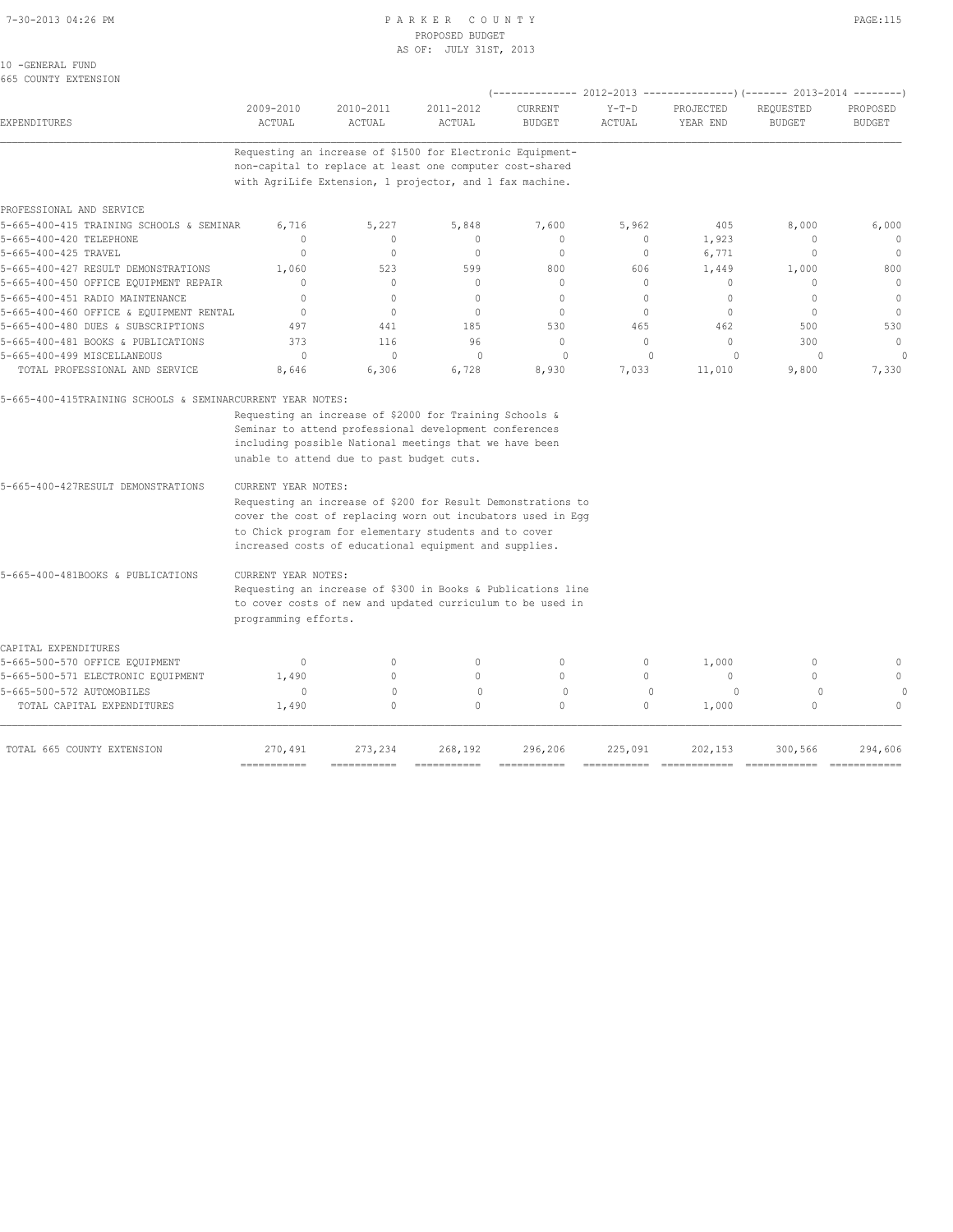#### 7-30-2013 04:26 PM P A R K E R C O U N T Y PAGE:115 PROPOSED BUDGET AS OF: JULY 31ST, 2013

| 10 -GENERAL FUND |                      |
|------------------|----------------------|
|                  | 665 COUNTY EXTENSION |

| UUJ COUNII LAILUUJION                                               |                      |                                           |                                                                                                                      | (-------------- 2012-2013 ---------------) (------- 2013-2014 --------) |                   |                       |                               |                           |
|---------------------------------------------------------------------|----------------------|-------------------------------------------|----------------------------------------------------------------------------------------------------------------------|-------------------------------------------------------------------------|-------------------|-----------------------|-------------------------------|---------------------------|
| EXPENDITURES                                                        | 2009-2010<br>ACTUAL  | 2010-2011<br>ACTUAL                       | 2011-2012<br>ACTUAL                                                                                                  | CURRENT<br><b>BUDGET</b>                                                | $Y-T-D$<br>ACTUAL | PROJECTED<br>YEAR END | REQUESTED<br><b>BUDGET</b>    | PROPOSED<br><b>BUDGET</b> |
|                                                                     |                      |                                           | Requesting an increase of \$1500 for Electronic Equipment-                                                           |                                                                         |                   |                       |                               |                           |
|                                                                     |                      |                                           | non-capital to replace at least one computer cost-shared<br>with AgriLife Extension, 1 projector, and 1 fax machine. |                                                                         |                   |                       |                               |                           |
|                                                                     |                      |                                           |                                                                                                                      |                                                                         |                   |                       |                               |                           |
| PROFESSIONAL AND SERVICE                                            |                      |                                           |                                                                                                                      |                                                                         |                   |                       |                               |                           |
| 5-665-400-415 TRAINING SCHOOLS & SEMINAR<br>5-665-400-420 TELEPHONE | 6,716<br>$\Omega$    | 5,227<br>$\circ$                          | 5,848<br>0                                                                                                           | 7,600<br>$\mathbf{0}$                                                   | 5,962<br>$\circ$  | 405<br>1,923          | 8,000<br>$\mathbf{0}$         | 6,000<br>$\cap$           |
| 5-665-400-425 TRAVEL                                                | 0                    | $\circ$                                   | $\mathbf{0}$                                                                                                         | $\mathbf 0$                                                             | $\circ$           | 6,771                 | $\mathbf 0$                   | $\circ$                   |
| 5-665-400-427 RESULT DEMONSTRATIONS                                 | 1,060                | 523                                       | 599                                                                                                                  | 800                                                                     | 606               | 1,449                 | 1,000                         | 800                       |
| 5-665-400-450 OFFICE EQUIPMENT REPAIR                               | $\Omega$             | $\circ$                                   | $\Omega$                                                                                                             | $\mathbf{0}$                                                            | $\circ$           | $\Omega$              | $\Omega$                      | $\circ$                   |
| 5-665-400-451 RADIO MAINTENANCE                                     | 0                    | $\circ$                                   | $\mathbf{0}$                                                                                                         | $\mathbf{0}$                                                            | $\circ$           | $\mathbf 0$           | $\mathbf{0}$                  | $\mathbf{0}$              |
| 5-665-400-460 OFFICE & EQUIPMENT RENTAL                             | $\Omega$             | $\Omega$                                  | $\Omega$                                                                                                             | $\Omega$                                                                | $\Omega$          | $\Omega$              | $\Omega$                      | $\Omega$                  |
| 5-665-400-480 DUES & SUBSCRIPTIONS                                  | 497                  | 441                                       | 185                                                                                                                  | 530                                                                     | 465               | 462                   | 500                           | 530                       |
| 5-665-400-481 BOOKS & PUBLICATIONS                                  | 373                  | 116                                       | 96                                                                                                                   | $\mathbf{0}$                                                            | $\circ$           | $\mathbf 0$           | 300                           | $\mathbf{0}$              |
| 5-665-400-499 MISCELLANEOUS                                         | $\Omega$             | $\Omega$                                  | $\Omega$                                                                                                             | $\Omega$                                                                | $\Omega$          | $\Omega$              | $\Omega$                      |                           |
| TOTAL PROFESSIONAL AND SERVICE                                      | 8,646                | 6,306                                     | 6,728                                                                                                                | 8,930                                                                   | 7,033             | 11,010                | 9,800                         | 7,330                     |
| 5-665-400-415TRAINING SCHOOLS & SEMINARCURRENT YEAR NOTES:          |                      |                                           |                                                                                                                      |                                                                         |                   |                       |                               |                           |
|                                                                     |                      |                                           | Requesting an increase of \$2000 for Training Schools &                                                              |                                                                         |                   |                       |                               |                           |
|                                                                     |                      |                                           | Seminar to attend professional development conferences                                                               |                                                                         |                   |                       |                               |                           |
|                                                                     |                      |                                           | including possible National meetings that we have been                                                               |                                                                         |                   |                       |                               |                           |
|                                                                     |                      | unable to attend due to past budget cuts. |                                                                                                                      |                                                                         |                   |                       |                               |                           |
|                                                                     |                      |                                           |                                                                                                                      |                                                                         |                   |                       |                               |                           |
| 5-665-400-427RESULT DEMONSTRATIONS                                  | CURRENT YEAR NOTES:  |                                           |                                                                                                                      |                                                                         |                   |                       |                               |                           |
|                                                                     |                      |                                           | Requesting an increase of \$200 for Result Demonstrations to                                                         |                                                                         |                   |                       |                               |                           |
|                                                                     |                      |                                           | cover the cost of replacing worn out incubators used in Egg                                                          |                                                                         |                   |                       |                               |                           |
|                                                                     |                      |                                           | to Chick program for elementary students and to cover                                                                |                                                                         |                   |                       |                               |                           |
|                                                                     |                      |                                           | increased costs of educational equipment and supplies.                                                               |                                                                         |                   |                       |                               |                           |
| 5-665-400-481BOOKS & PUBLICATIONS                                   | CURRENT YEAR NOTES:  |                                           |                                                                                                                      |                                                                         |                   |                       |                               |                           |
|                                                                     |                      |                                           | Requesting an increase of \$300 in Books & Publications line                                                         |                                                                         |                   |                       |                               |                           |
|                                                                     |                      |                                           | to cover costs of new and updated curriculum to be used in                                                           |                                                                         |                   |                       |                               |                           |
|                                                                     | programming efforts. |                                           |                                                                                                                      |                                                                         |                   |                       |                               |                           |
| CAPITAL EXPENDITURES                                                |                      |                                           |                                                                                                                      |                                                                         |                   |                       |                               |                           |
| 5-665-500-570 OFFICE EQUIPMENT                                      | $\mathbf{0}$         | $\circ$                                   | 0                                                                                                                    | $\mathbf{0}$                                                            | 0                 | 1,000                 | 0                             | $\mathbf{0}$              |
| 5-665-500-571 ELECTRONIC EQUIPMENT                                  | 1,490                | $\Omega$                                  | $\Omega$                                                                                                             | $\cap$                                                                  | $\Omega$          | $\Omega$              | $\Omega$                      | $\Omega$                  |
| 5-665-500-572 AUTOMOBILES                                           | $\Omega$             | $\Omega$                                  | $\circ$                                                                                                              | $\circ$                                                                 | $\Omega$          | $\Omega$              | $\circ$                       |                           |
| TOTAL CAPITAL EXPENDITURES                                          | 1,490                | $\circ$                                   | $\mathbf 0$                                                                                                          | $\circ$                                                                 | $\circ$           | 1,000                 | $\circ$                       | $\mathbf{0}$              |
| TOTAL 665 COUNTY EXTENSION                                          | 270,491              | 273,234                                   | 268,192                                                                                                              | 296,206                                                                 | 225,091           | 202,153               | 300,566                       | 294,606                   |
|                                                                     | ===========          |                                           |                                                                                                                      |                                                                         |                   |                       | $=$ = = = = = = = = = = = = = | ============              |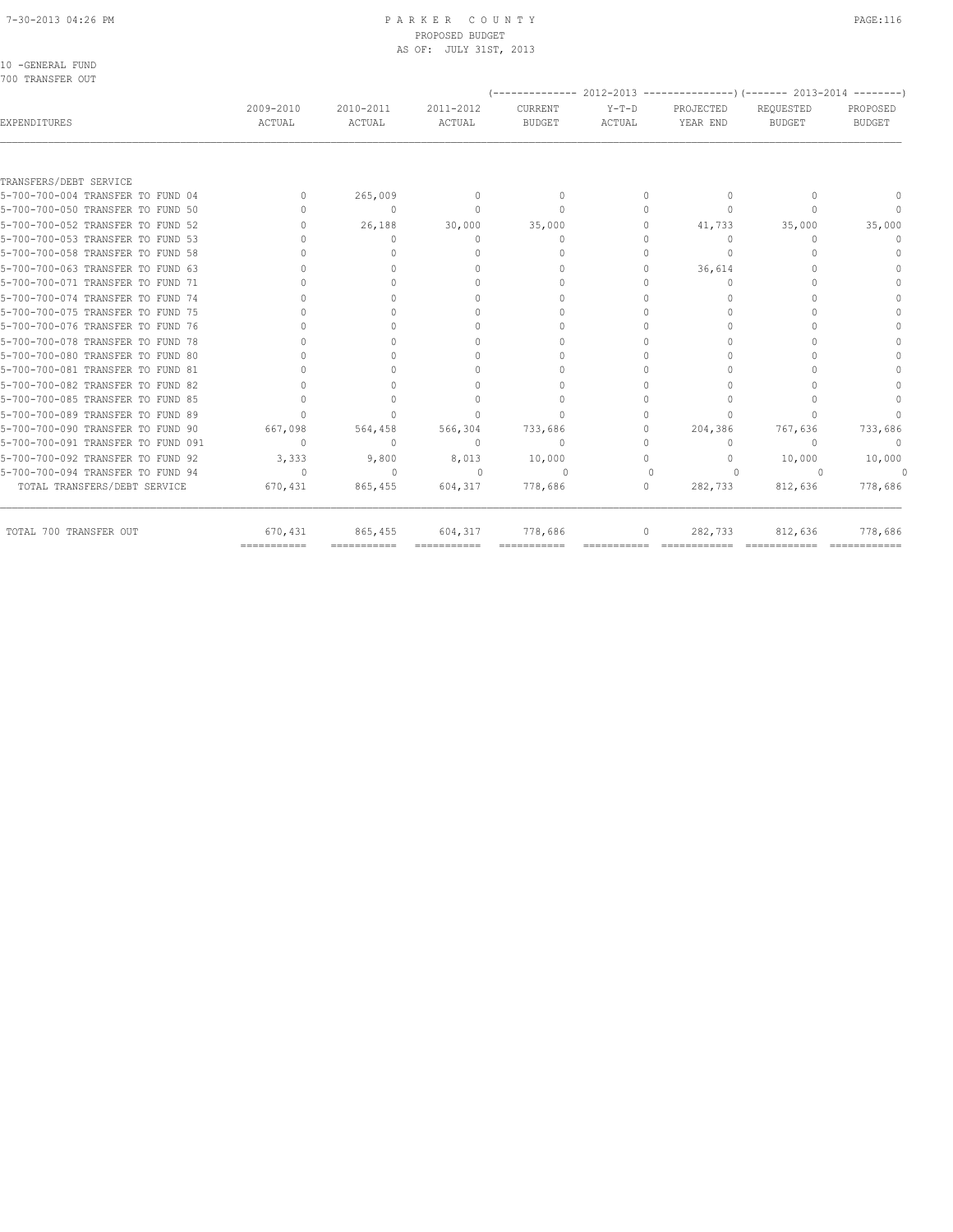# PROPOSED BUDGET

| 2009-2010                        | 2010-2011    | 2011-2012     | CURRENT                          | $Y-T-D$                           | PROJECTED    | REQUESTED     | PROPOSED                                                                            |
|----------------------------------|--------------|---------------|----------------------------------|-----------------------------------|--------------|---------------|-------------------------------------------------------------------------------------|
| ACTUAL                           | ACTUAL       | <b>ACTUAL</b> | <b>BUDGET</b>                    | ACTUAL                            | YEAR END     | <b>BUDGET</b> | <b>BUDGET</b>                                                                       |
|                                  |              |               |                                  |                                   |              |               |                                                                                     |
|                                  |              |               |                                  |                                   |              |               |                                                                                     |
| $\begin{array}{c} \n\end{array}$ | 265,009      | $\mathbf{0}$  | $\mathbf 0$                      | $\circ$                           | 0            | $\Omega$      | $\begin{array}{c} \n\end{array}$                                                    |
| $\Omega$                         | $\mathbf{0}$ | $\Omega$      | $\mathbf{0}$                     | $\circ$                           | $\mathbf{0}$ | $\Omega$      | $\mathbf{0}$                                                                        |
| $\Omega$                         | 26,188       | 30,000        | 35,000                           | $\circ$                           | 41,733       | 35,000        | 35,000                                                                              |
|                                  | $\circ$      | $\mathbf{0}$  | $\mathbf{0}$                     | $\Omega$                          | 0            | $\Omega$      | $\mathbf{0}$                                                                        |
|                                  | $\Omega$     | $\Omega$      | $\begin{array}{c} \n\end{array}$ | $\Omega$                          | $\Omega$     | $\cap$        | $\Omega$                                                                            |
|                                  | $\Omega$     | $\Omega$      | $\circ$                          | 0                                 | 36,614       |               | $\cap$                                                                              |
|                                  | $\Omega$     | 0             | $\Omega$                         | $\Omega$                          | 0            |               | $\Omega$                                                                            |
|                                  |              | $\cap$        | $\Omega$                         | $\Omega$                          | $\Omega$     |               | $\cap$                                                                              |
|                                  |              | $\cap$        | $\bigcap$                        | $\Omega$                          | $\Omega$     |               | $\cap$                                                                              |
|                                  | U            | $\cap$        | $\Omega$                         | $\Omega$                          | $\Omega$     |               | $\cap$                                                                              |
| $\cap$                           | U            | 0             | $\Omega$                         | $\Omega$                          | $\Omega$     |               | $\cap$                                                                              |
|                                  | $\Omega$     | $\cap$        | $\Omega$                         | $\Omega$                          | $\Omega$     |               |                                                                                     |
|                                  | ∩            | $\cap$        | $\Omega$                         | $\Omega$                          | $\Omega$     |               |                                                                                     |
|                                  | $\bigcap$    | $\cap$        | $\begin{array}{c} \n\end{array}$ | $\Omega$                          | $\Omega$     |               | $\cap$                                                                              |
| $\cap$                           | $\Omega$     | $\mathbf{0}$  | $\mathbf{0}$                     | $\circ$                           | $\mathbf{0}$ |               | $\Omega$                                                                            |
| $\Omega$                         | $\Omega$     | $\Omega$      | $\mathbf{0}$                     | $\Omega$                          | 0            | $\bigcap$     | $\Omega$                                                                            |
| 667,098                          | 564,458      | 566,304       | 733,686                          | $\Omega$                          | 204,386      | 767,636       | 733,686                                                                             |
| $\Omega$                         | $\Omega$     | $\Omega$      | $\Omega$                         | $\Omega$                          | $\Omega$     | $\Omega$      | $\Omega$                                                                            |
| 3,333                            | 9,800        | 8,013         | 10,000                           | $\circ$                           | $\mathbf{0}$ | 10,000        | 10,000                                                                              |
| $\Omega$                         | $\mathbf{0}$ | $\Omega$      | $\Omega$                         | $\Omega$                          | $\circ$      | $\Omega$      | $\Omega$                                                                            |
| 670,431                          | 865,455      | 604,317       | 778,686                          | 0                                 | 282,733      | 812,636       | 778,686                                                                             |
|                                  |              |               |                                  |                                   |              |               | 778,686                                                                             |
|                                  | 670,431      | 865,455       | 604,317                          | AS OF: JULY 31ST, 2013<br>778,686 | 0            | 282,733       | (-------------- 2012-2013 ----------------) (------- 2013-2014 --------)<br>812,636 |

=========== =========== =========== =========== =========== ============ ============ ============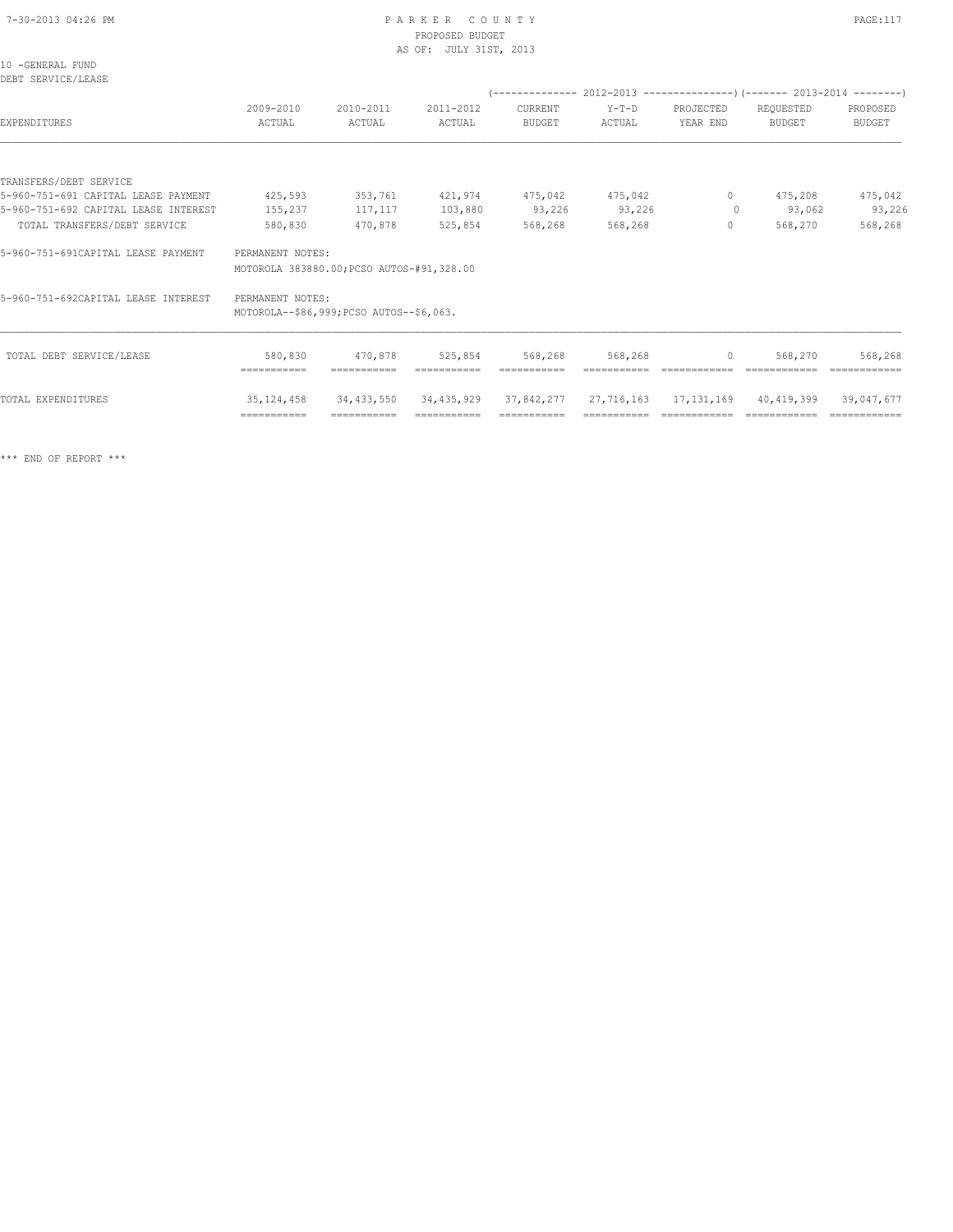## PROPOSED BUDGET AS OF: JULY 31ST, 2013

| w<br>۰, | ×<br>۰ |  |  |
|---------|--------|--|--|
|         |        |  |  |

| 2009-2010<br>ACTUAL | 2010-2011<br>ACTUAL | 2011-2012<br>ACTUAL                                 | CURRENT<br><b>BUDGET</b>                                                              | Y-T-D<br>ACTUAL | PROJECTED<br>YEAR END | REQUESTED<br><b>BUDGET</b> | PROPOSED<br><b>BUDGET</b> |
|---------------------|---------------------|-----------------------------------------------------|---------------------------------------------------------------------------------------|-----------------|-----------------------|----------------------------|---------------------------|
|                     |                     |                                                     |                                                                                       |                 |                       |                            |                           |
|                     |                     |                                                     |                                                                                       |                 |                       |                            |                           |
| 425,593             | 353,761             | 421,974                                             |                                                                                       | 475,042         | $\circ$               | 475,208                    | 475,042                   |
| 155,237             | 117,117             | 103,880                                             | 93,226                                                                                |                 | $\circ$               | 93,062                     | 93,226                    |
| 580,830             | 470,878             | 525,854                                             | 568,268                                                                               | 568,268         | $\circ$               | 568,270                    | 568,268                   |
|                     |                     |                                                     |                                                                                       |                 |                       |                            |                           |
|                     |                     |                                                     |                                                                                       |                 |                       |                            |                           |
| 580,830             | 470,878             | 525,854                                             | 568,268                                                                               | 568,268         | $\circ$               | 568,270                    | 568,268                   |
|                     | ===========         | PERMANENT NOTES:<br>PERMANENT NOTES:<br>=========== | MOTOROLA 383880.00; PCSO AUTOS-#91,328.00<br>MOTOROLA--\$86,999; PCSO AUTOS--\$6,063. | 475,042         | 93,226                |                            |                           |

TOTAL EXPENDITURES 35,124,458 34,433,550 34,435,929 37,842,277 27,716,163 17,131,169 40,419,399 39,047,677

=========== =========== =========== =========== =========== ============ ============ ============

\*\*\* END OF REPORT \*\*\*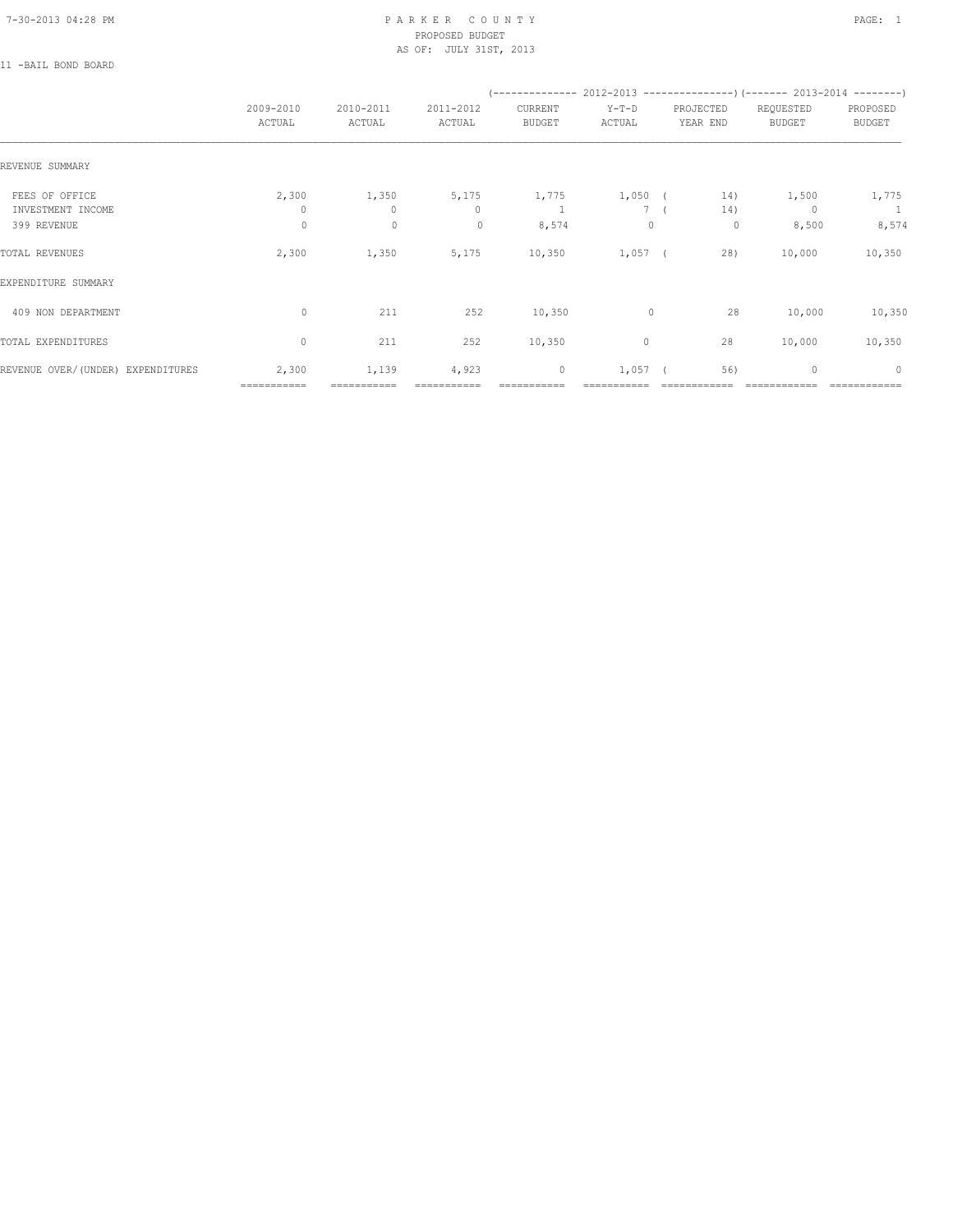#### 7-30-2013 04:28 PM P A R K E R C O U N T Y PAGE: 1 PROPOSED BUDGET AS OF: JULY 31ST, 2013

11 -BAIL BOND BOARD

|                                     |                      |                       |                       |                          | (-------------- 2012-2013 -------------------) (------- 2013-2014 ---------) |                       |                            |                           |
|-------------------------------------|----------------------|-----------------------|-----------------------|--------------------------|------------------------------------------------------------------------------|-----------------------|----------------------------|---------------------------|
|                                     | 2009-2010<br>ACTUAL  | 2010-2011<br>ACTUAL   | 2011-2012<br>ACTUAL   | CURRENT<br><b>BUDGET</b> | $Y-T-D$<br>ACTUAL                                                            | PROJECTED<br>YEAR END | REQUESTED<br><b>BUDGET</b> | PROPOSED<br><b>BUDGET</b> |
| REVENUE SUMMARY                     |                      |                       |                       |                          |                                                                              |                       |                            |                           |
| FEES OF OFFICE<br>INVESTMENT INCOME | 2,300<br>0           | 1,350<br>$\mathbf{0}$ | 5,175<br>$\mathbf{0}$ | 1,775                    | 1,050 (<br>7 <sup>6</sup>                                                    | 14)<br>14)            | 1,500<br>$\Omega$          | 1,775<br>$\sim$ 1         |
| 399 REVENUE                         | $\circ$              | $\circ$               | $\circ$               | 8,574                    | $\mathbf{0}$                                                                 | 0                     | 8,500                      | 8,574                     |
| TOTAL REVENUES                      | 2,300                | 1,350                 | 5,175                 | 10,350                   | $1,057$ (                                                                    | 28)                   | 10,000                     | 10,350                    |
| EXPENDITURE SUMMARY                 |                      |                       |                       |                          |                                                                              |                       |                            |                           |
| 409 NON DEPARTMENT                  | $\circ$              | 211                   | 252                   | 10,350                   | $\mathbf 0$                                                                  | 28                    | 10,000                     | 10,350                    |
| TOTAL EXPENDITURES                  | $\mathbf{0}$         | 211                   | 252                   | 10,350                   | 0                                                                            | 28                    | 10,000                     | 10,350                    |
| REVENUE OVER/(UNDER) EXPENDITURES   | 2,300<br>=========== | 1,139<br>===========  | 4,923                 | $\mathbb O$              | $1,057$ (                                                                    | 56)                   | $\mathbf{0}$               | $\mathbf{0}$              |
|                                     |                      |                       |                       |                          |                                                                              |                       |                            |                           |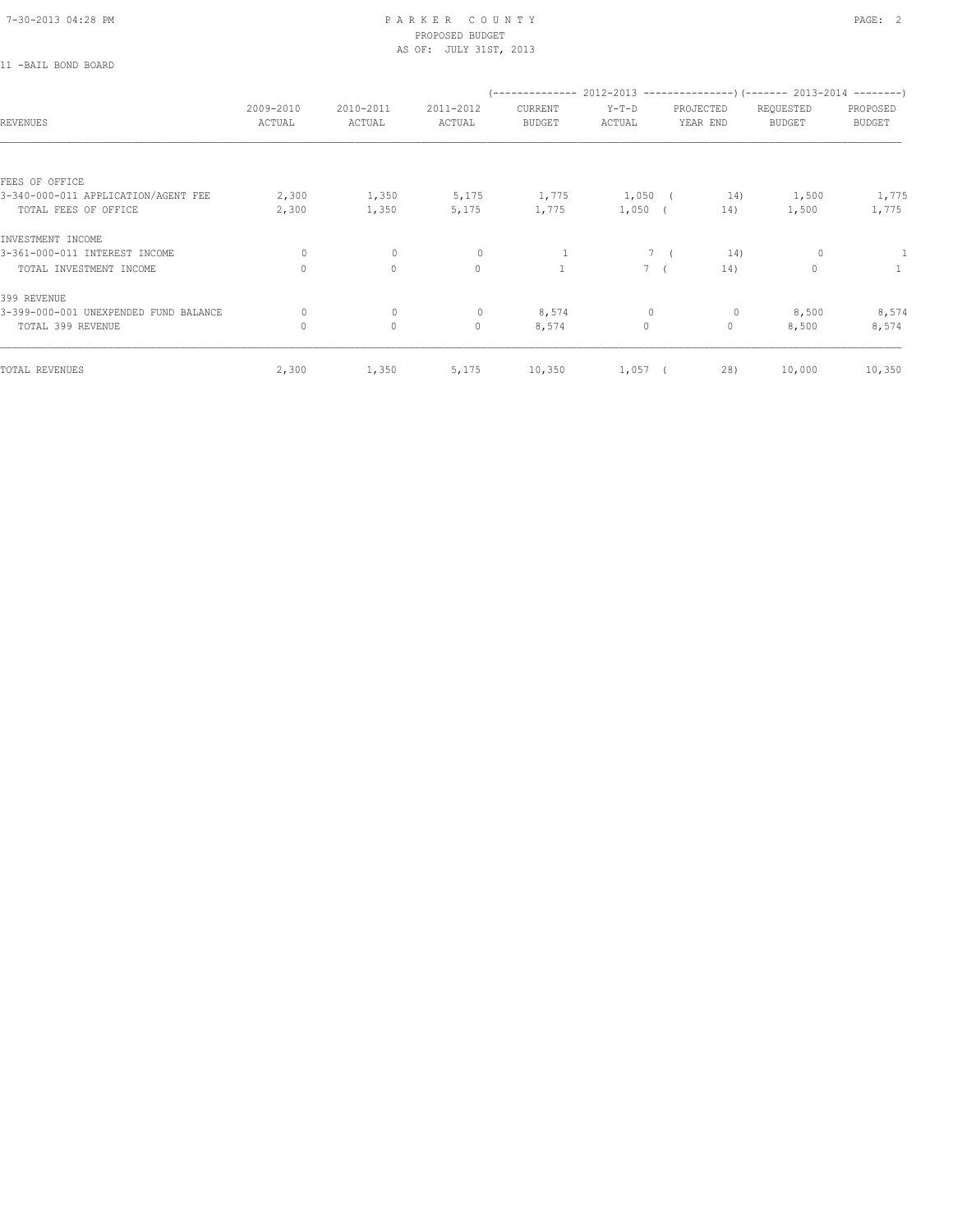11 -BAIL BOND BOARD

#### 7-30-2013 04:28 PM P A R K E R C O U N T Y PAGE: 2 PROPOSED BUDGET AS OF: JULY 31ST, 2013

| 2009-2010<br>ACTUAL | 2010-2011<br>ACTUAL | 2011-2012<br>ACTUAL | CURRENT<br><b>BUDGET</b> | $Y-T-D$<br>ACTUAL |                                                     | REQUESTED<br><b>BUDGET</b>                 | PROPOSED<br><b>BUDGET</b>                                                |
|---------------------|---------------------|---------------------|--------------------------|-------------------|-----------------------------------------------------|--------------------------------------------|--------------------------------------------------------------------------|
|                     |                     |                     |                          |                   |                                                     |                                            |                                                                          |
|                     |                     |                     |                          |                   |                                                     |                                            |                                                                          |
| 2,300               | 1,350               | 5,175               | 1,775                    |                   |                                                     | 1,500                                      | 1,775                                                                    |
| 2,300               | 1,350               | 5,175               | 1,775                    |                   |                                                     | 1,500                                      | 1,775                                                                    |
|                     |                     |                     |                          |                   |                                                     |                                            |                                                                          |
| $\circ$             | $\circ$             | 0                   | 1                        |                   | 14)                                                 | 0                                          | -1                                                                       |
| $\Omega$            | $\Omega$            | $\mathbf{0}$        |                          |                   |                                                     | $\Omega$                                   | $\mathbf{1}$                                                             |
|                     |                     |                     |                          |                   |                                                     |                                            |                                                                          |
| $\circ$             |                     |                     |                          | $\mathbf{0}$      | $\circ$                                             |                                            | 8,574                                                                    |
| $\circ$             | $\circ$             | $\mathbf{0}$        | 8,574                    | $\circ$           | $\circ$                                             | 8,500                                      | 8,574                                                                    |
| 2,300               | 1,350               | 5,175               | 10,350                   |                   |                                                     | 10,000                                     | 10,350                                                                   |
|                     |                     | $\circ$             | $\circ$                  | 8,574             | $1,050$ (<br>$1,050$ (<br>7 (<br>$7-1$<br>$1,057$ ( | PROJECTED<br>YEAR END<br>14)<br>14)<br>28) | $(----------2012-2013---------)$ $(----2013-2014------)$<br>14)<br>8,500 |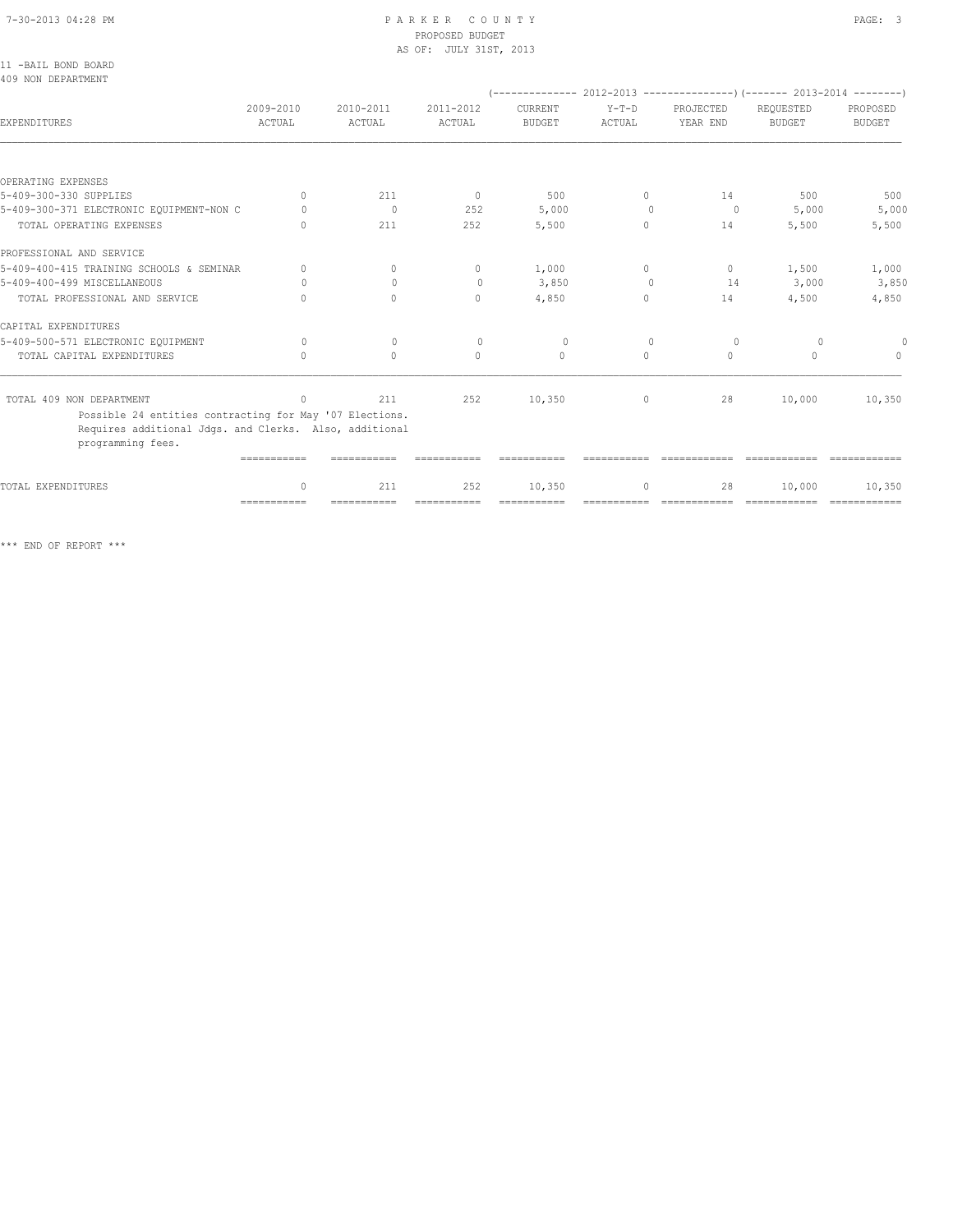## 7-30-2013 04:28 PM P A R K E R C O U N T Y PAGE: 3 PROPOSED BUDGET

|                                                                                                                                        |                                  |                                  | AS OF: JULY 31ST, 2013           |                          |                   |                       |                                                                                |                           |
|----------------------------------------------------------------------------------------------------------------------------------------|----------------------------------|----------------------------------|----------------------------------|--------------------------|-------------------|-----------------------|--------------------------------------------------------------------------------|---------------------------|
| 11 -BAIL BOND BOARD<br>409 NON DEPARTMENT                                                                                              |                                  |                                  |                                  |                          |                   |                       |                                                                                |                           |
|                                                                                                                                        |                                  |                                  |                                  |                          |                   |                       | $(-$ -------------- 2012-2013 -----------------) (------- 2013-2014 ---------) |                           |
| EXPENDITURES                                                                                                                           | 2009-2010<br>ACTUAL              | 2010-2011<br>ACTUAL              | 2011-2012<br>ACTUAL              | CURRENT<br><b>BUDGET</b> | $Y-T-D$<br>ACTUAL | PROJECTED<br>YEAR END | REQUESTED<br><b>BUDGET</b>                                                     | PROPOSED<br><b>BUDGET</b> |
|                                                                                                                                        |                                  |                                  |                                  |                          |                   |                       |                                                                                |                           |
| OPERATING EXPENSES                                                                                                                     |                                  |                                  |                                  |                          |                   |                       |                                                                                |                           |
| 5-409-300-330 SUPPLIES                                                                                                                 | $\Omega$                         | 211                              | $\circ$                          | 500                      | $\Omega$          | 14                    | 500                                                                            | 500                       |
| 5-409-300-371 ELECTRONIC EQUIPMENT-NON C                                                                                               | 0                                | $\mathbf{0}$                     | 252                              | 5,000                    | $\Omega$          | $\circ$               | 5,000                                                                          | 5,000                     |
| TOTAL OPERATING EXPENSES                                                                                                               | $\begin{array}{c} \n\end{array}$ | 211                              | 252                              | 5,500                    | $\circ$           | 14                    | 5,500                                                                          | 5,500                     |
| PROFESSIONAL AND SERVICE                                                                                                               |                                  |                                  |                                  |                          |                   |                       |                                                                                |                           |
| 5-409-400-415 TRAINING SCHOOLS & SEMINAR                                                                                               | $\mathbf{0}$                     | 0                                | $\mathbf{0}$                     | 1,000                    | $\circ$           | $\circ$               | 1,500                                                                          | 1,000                     |
| 5-409-400-499 MISCELLANEOUS                                                                                                            | 0                                | $\bigcap$                        | $\mathbf{0}$                     | 3,850                    | $\Omega$          | 14                    | 3,000                                                                          | 3,850                     |
| TOTAL PROFESSIONAL AND SERVICE                                                                                                         | $\cap$                           | $\Omega$                         | $\Omega$                         | 4,850                    | $\Omega$          | 14                    | 4,500                                                                          | 4,850                     |
| CAPITAL EXPENDITURES                                                                                                                   |                                  |                                  |                                  |                          |                   |                       |                                                                                |                           |
| 5-409-500-571 ELECTRONIC EQUIPMENT                                                                                                     | $\Omega$                         | $\mathbf{0}$                     | $\circ$                          | $\circ$                  | $\mathbf{0}$      | $\circ$               | $\circ$                                                                        |                           |
| TOTAL CAPITAL EXPENDITURES                                                                                                             | $\begin{array}{c} \n\end{array}$ | $\begin{array}{c} \n\end{array}$ | $\begin{array}{c} \n\end{array}$ | $\Omega$                 | $\Omega$          | $\Omega$              | $\Omega$                                                                       | $\Omega$                  |
| TOTAL 409 NON DEPARTMENT                                                                                                               | $\mathbf{0}$                     | 211                              | 252                              | 10,350                   | $\circ$           | 28                    | 10,000                                                                         | 10,350                    |
| Possible 24 entities contracting for May '07 Elections.<br>Requires additional Jdgs. and Clerks. Also, additional<br>programming fees. |                                  |                                  |                                  |                          |                   |                       |                                                                                |                           |
|                                                                                                                                        | ===========                      |                                  |                                  |                          |                   |                       |                                                                                |                           |
| TOTAL EXPENDITURES                                                                                                                     | $\mathbf{0}$                     | 211                              | 252                              | 10,350                   | $\circ$           | 28                    | 10,000                                                                         | 10,350                    |

\*\*\* END OF REPORT \*\*\*

=========== =========== =========== =========== =========== ============ ============ ============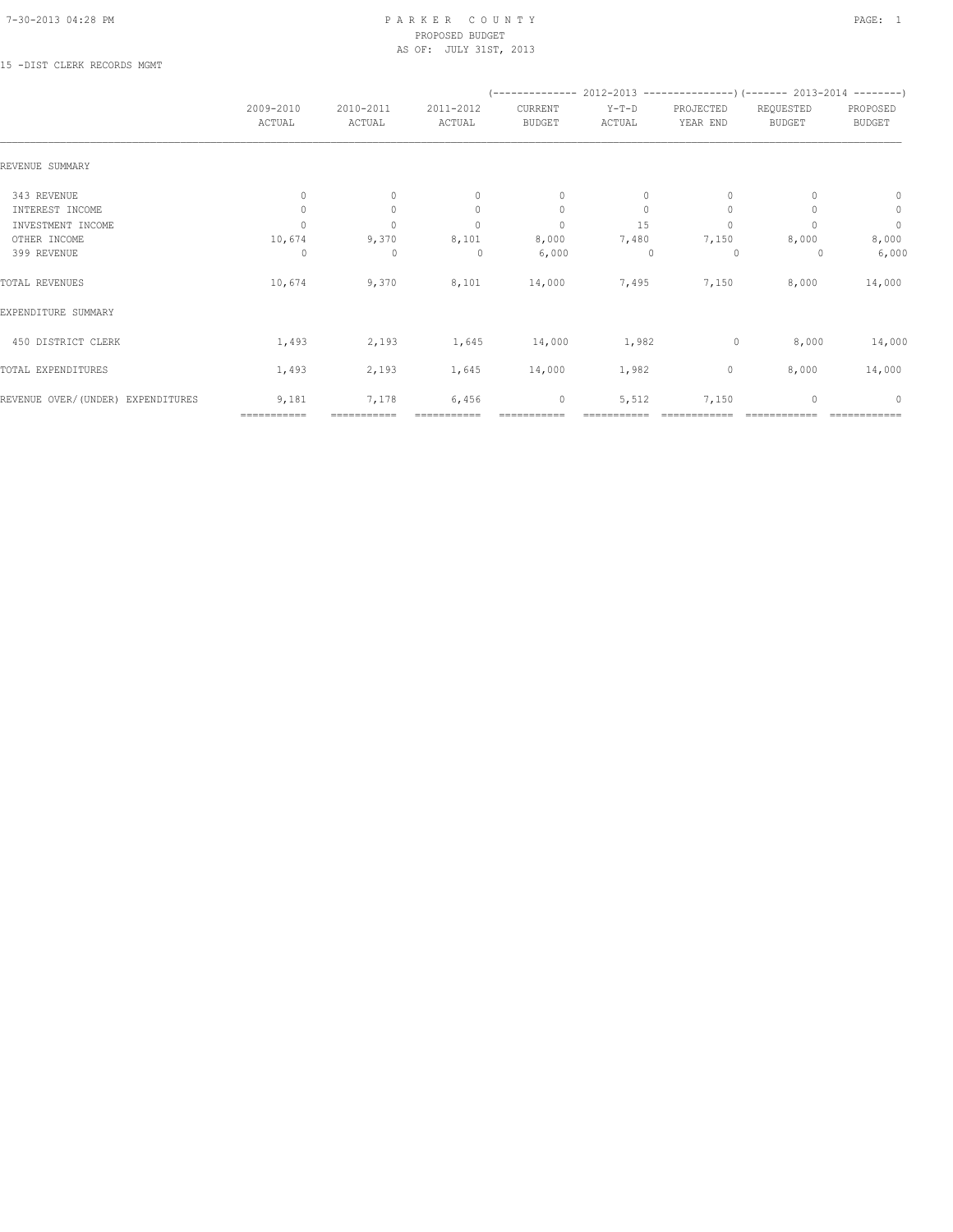#### 7-30-2013 04:28 PM P A R K E R C O U N T Y PAGE: 1 PROPOSED BUDGET AS OF: JULY 31ST, 2013

### 15 -DIST CLERK RECORDS MGMT

|                                   | 2009-2010<br>ACTUAL | 2010-2011<br>ACTUAL | 2011-2012<br>ACTUAL | $(-$ -------------- 2012-2013 ----------------) (------- 2013-2014 --------)<br>CURRENT<br><b>BUDGET</b> | $Y-T-D$<br>ACTUAL | PROJECTED<br>YEAR END | REQUESTED<br><b>BUDGET</b> | PROPOSED<br><b>BUDGET</b> |
|-----------------------------------|---------------------|---------------------|---------------------|----------------------------------------------------------------------------------------------------------|-------------------|-----------------------|----------------------------|---------------------------|
| REVENUE SUMMARY                   |                     |                     |                     |                                                                                                          |                   |                       |                            |                           |
| 343 REVENUE                       | $\mathbf{0}$        | $\circ$             | $\mathbf{0}$        | $\mathbf{0}$                                                                                             | 0                 | $\Omega$              |                            | $\mathbf{0}$              |
| INTEREST INCOME                   | 0                   | $\circ$             | $\mathbf{0}$        | $\circ$                                                                                                  | $\circ$           | $\mathbf{0}$          |                            | $\circ$                   |
| INVESTMENT INCOME                 | $\Omega$            | $\mathbf{0}$        | $\mathbf{0}$        | $\circ$                                                                                                  | 15                | $\mathbf{0}$          |                            | $\circ$                   |
| OTHER INCOME                      | 10,674              | 9,370               | 8,101               | 8,000                                                                                                    | 7,480             | 7,150                 | 8,000                      | 8,000                     |
| 399 REVENUE                       | 0                   | $\mathbf 0$         | 0                   | 6,000                                                                                                    | 0                 | 0                     | 0                          | 6,000                     |
| TOTAL REVENUES                    | 10,674              | 9,370               | 8,101               | 14,000                                                                                                   | 7,495             | 7,150                 | 8,000                      | 14,000                    |
| EXPENDITURE SUMMARY               |                     |                     |                     |                                                                                                          |                   |                       |                            |                           |
| 450 DISTRICT CLERK                | 1,493               | 2,193               | 1,645               | 14,000                                                                                                   | 1,982             | 0                     | 8,000                      | 14,000                    |
| TOTAL EXPENDITURES                | 1,493               | 2,193               | 1,645               | 14,000                                                                                                   | 1,982             | $\mathbb O$           | 8,000                      | 14,000                    |
| REVENUE OVER/(UNDER) EXPENDITURES | 9,181               | 7,178               | 6,456               | 0                                                                                                        | 5,512             | 7,150                 | $\mathbf{0}$               | $\mathbf{0}$              |
|                                   | ===========         | ===========         |                     |                                                                                                          |                   |                       |                            |                           |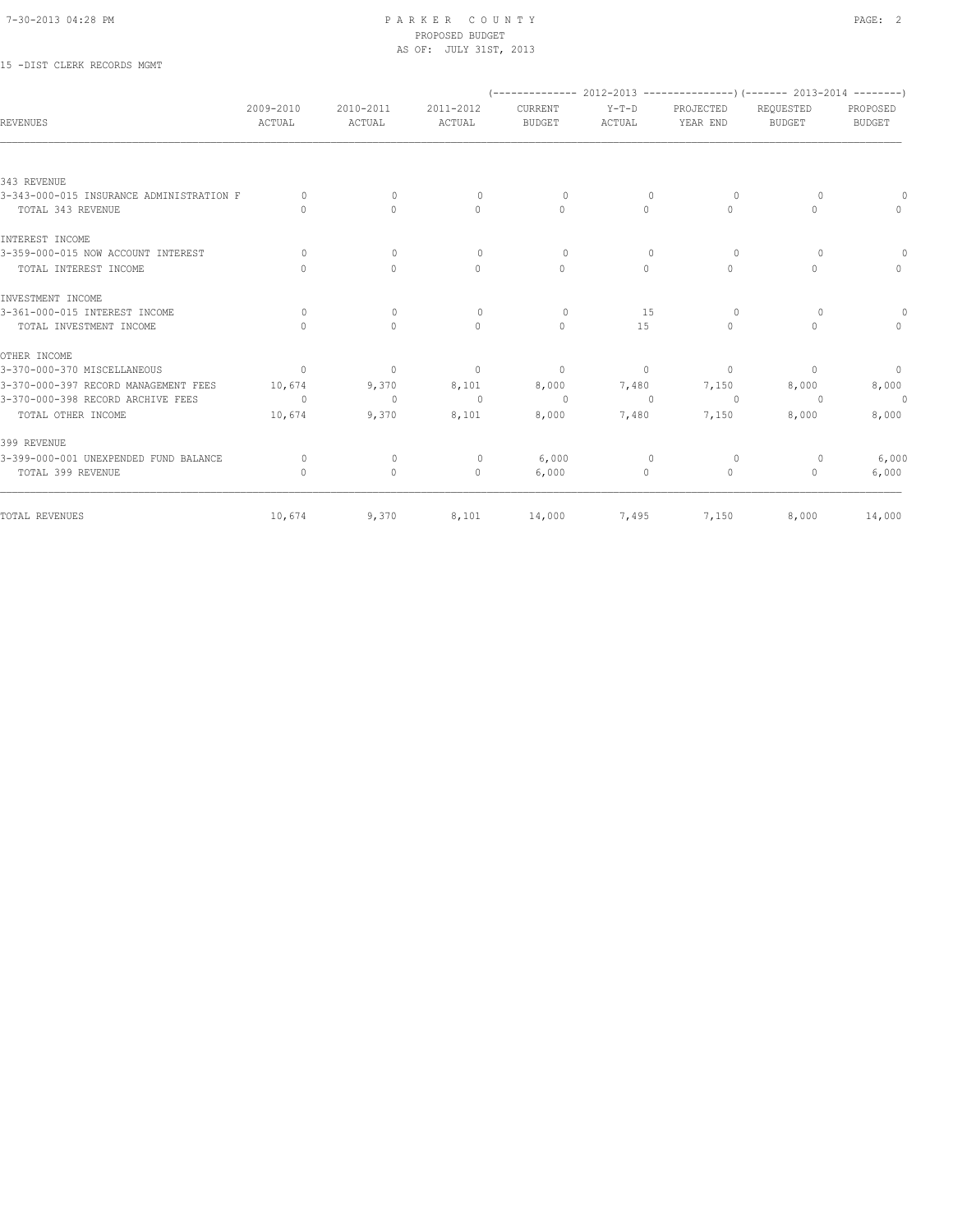#### 7-30-2013 04:28 PM P A R K E R C O U N T Y PAGE: 2 PROPOSED BUDGET AS OF: JULY 31ST, 2013

## 15 -DIST CLERK RECORDS MGMT

| <b>REVENUES</b>                          | 2009-2010<br>ACTUAL              | 2010-2011<br>ACTUAL | 2011-2012<br>ACTUAL | CURRENT<br><b>BUDGET</b> | $Y-T-D$<br>ACTUAL | PROJECTED<br>YEAR END | $(---------- 2012-2013$ ----------------) (------- 2013-2014 --------)<br>REQUESTED<br><b>BUDGET</b> | PROPOSED<br><b>BUDGET</b> |
|------------------------------------------|----------------------------------|---------------------|---------------------|--------------------------|-------------------|-----------------------|------------------------------------------------------------------------------------------------------|---------------------------|
|                                          |                                  |                     |                     |                          |                   |                       |                                                                                                      |                           |
| 343 REVENUE                              |                                  |                     |                     |                          |                   |                       |                                                                                                      |                           |
| 3-343-000-015 INSURANCE ADMINISTRATION F | $\Omega$                         | $\Omega$            | $\Omega$            | $\Omega$                 | $\Omega$          | $\Omega$              | $\Omega$                                                                                             |                           |
| TOTAL 343 REVENUE                        | $\begin{array}{c} \n\end{array}$ | $\Omega$            | $\mathbf{0}$        | $\mathbf{0}$             | $\circ$           | $\circ$               | $\mathbf{0}$                                                                                         | $\mathbf{0}$              |
| INTEREST INCOME                          |                                  |                     |                     |                          |                   |                       |                                                                                                      |                           |
| 3-359-000-015 NOW ACCOUNT INTEREST       | $\Omega$                         | $\mathbf{0}$        | $\Omega$            | $\circ$                  | $\Omega$          | $\Omega$              | $\Omega$                                                                                             |                           |
| TOTAL INTEREST INCOME                    | $\cap$                           | $\circ$             | $\circ$             | $\mathbf{0}$             | $\circ$           | $\circ$               | $\circ$                                                                                              | $\mathbf{0}$              |
| INVESTMENT INCOME                        |                                  |                     |                     |                          |                   |                       |                                                                                                      |                           |
| 3-361-000-015 INTEREST INCOME            | $\circ$                          | $\mathbf{0}$        | $\circ$             | $\circ$                  | 15                | $\circ$               | $\circ$                                                                                              |                           |
| TOTAL INVESTMENT INCOME                  | $\bigcap$                        | $\Omega$            | $\Omega$            | $\Omega$                 | 1.5               | $\Omega$              | $\Omega$                                                                                             | $\Omega$                  |
| OTHER INCOME                             |                                  |                     |                     |                          |                   |                       |                                                                                                      |                           |
| 3-370-000-370 MISCELLANEOUS              | $\overline{0}$                   | $\overline{0}$      | $\circ$             | $\circ$                  | $\circ$           | $\circ$               | $\Omega$                                                                                             | $\overline{0}$            |
| 3-370-000-397 RECORD MANAGEMENT FEES     | 10,674                           | 9,370               | 8,101               | 8,000                    | 7,480             | 7,150                 | 8,000                                                                                                | 8,000                     |
| 3-370-000-398 RECORD ARCHIVE FEES        | $\sim$ 0                         | $\overline{0}$      | $\sim$ 0            | $\sim$ 0                 | $\sim$ 0          | $\sim$ 0              | $\overline{0}$                                                                                       | $\sim$ 0                  |
| TOTAL OTHER INCOME                       | 10,674                           | 9,370               | 8,101               | 8,000                    | 7,480             | 7,150                 | 8,000                                                                                                | 8,000                     |
| 399 REVENUE                              |                                  |                     |                     |                          |                   |                       |                                                                                                      |                           |
| 3-399-000-001 UNEXPENDED FUND BALANCE    | $\circ$                          | 0                   | $\circ$             | 6,000                    | $\Omega$          | $\circ$               | 0                                                                                                    | 6,000                     |
| TOTAL 399 REVENUE                        | $\circ$                          | $\circ$             | $\mathbf{0}$        | 6,000                    | $\circ$           | $\circ$               | $\circ$                                                                                              | 6,000                     |
| TOTAL REVENUES                           | 10,674                           | 9,370               | 8,101               | 14,000                   | 7,495             | 7,150                 | 8,000                                                                                                | 14,000                    |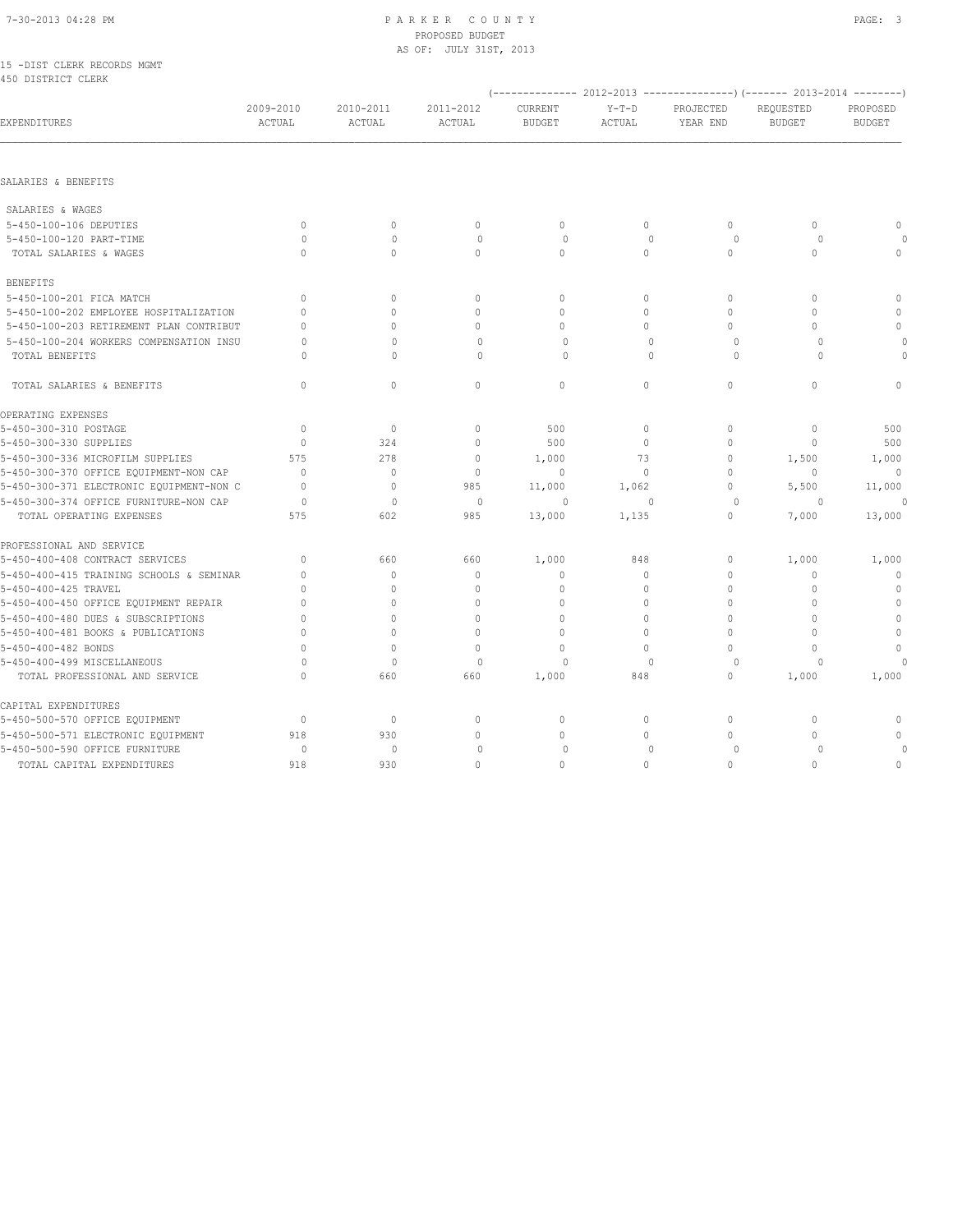#### 7-30-2013 04:28 PM P A R K E R C O U N T Y PAGE: 3 PROPOSED BUDGET AS OF: JULY 31ST, 2013

|  |                    | 15 -DIST CLERK RECORDS MGMT |  |
|--|--------------------|-----------------------------|--|
|  | 450 DISTRICT CLERK |                             |  |

|                                          |                     |                     |                     |                          |                   |                       | (-------------- 2012-2013 ---------------) (------ 2013-2014 --------) |                           |
|------------------------------------------|---------------------|---------------------|---------------------|--------------------------|-------------------|-----------------------|------------------------------------------------------------------------|---------------------------|
| EXPENDITURES                             | 2009-2010<br>ACTUAL | 2010-2011<br>ACTUAL | 2011-2012<br>ACTUAL | CURRENT<br><b>BUDGET</b> | $Y-T-D$<br>ACTUAL | PROJECTED<br>YEAR END | REQUESTED<br><b>BUDGET</b>                                             | PROPOSED<br><b>BUDGET</b> |
|                                          |                     |                     |                     |                          |                   |                       |                                                                        |                           |
| SALARIES & BENEFITS                      |                     |                     |                     |                          |                   |                       |                                                                        |                           |
| SALARIES & WAGES                         |                     |                     |                     |                          |                   |                       |                                                                        |                           |
| 5-450-100-106 DEPUTIES                   | $\mathbf{0}$        | $\mathbf{0}$        | $\mathbf{0}$        | $\mathbf{0}$             | $\circ$           | $\circ$               | $\mathbf{0}$                                                           | $\mathbf 0$               |
| 5-450-100-120 PART-TIME                  | $\circ$             | $\mathbf{0}$        | $\mathbf 0$         | $\circ$                  | $\mathbf 0$       | $\circ$               | 0                                                                      |                           |
| TOTAL SALARIES & WAGES                   | $\Omega$            | $\circ$             | $\circ$             | $\mathbf{0}$             | $\circ$           | $\circ$               | $\circ$                                                                | $\mathbf 0$               |
| <b>BENEFITS</b>                          |                     |                     |                     |                          |                   |                       |                                                                        |                           |
| 5-450-100-201 FICA MATCH                 | $\Omega$            | $\circ$             | $\mathbf{0}$        | $\mathbf{0}$             | $\circ$           | $\circ$               | $\Omega$                                                               | $\circ$                   |
| 5-450-100-202 EMPLOYEE HOSPITALIZATION   | $\Omega$            | 0                   | $\mathbf{0}$        | $\mathbf{0}$             | $\Omega$          | $\Omega$              | $\Omega$                                                               | $\circ$                   |
| 5-450-100-203 RETIREMENT PLAN CONTRIBUT  | $\cap$              | $\Omega$            | $\mathbf{0}$        | $\mathbf{0}$             | $\Omega$          | 0                     | $\Omega$                                                               | $\mathbf{0}$              |
| 5-450-100-204 WORKERS COMPENSATION INSU  | $\Omega$            | $\Omega$            | $\mathbf 0$         | $\circ$                  | $\mathbf{0}$      | $\circ$               | $\circ$                                                                | $\circ$                   |
| TOTAL BENEFITS                           | $\cap$              | $\Omega$            | $\Omega$            | $\circ$                  | $\Omega$          | $\circ$               | $\Omega$                                                               | $\Omega$                  |
| TOTAL SALARIES & BENEFITS                | $\Omega$            | $\circ$             | $\circ$             | $\circ$                  | $\Omega$          | $\circ$               | $\Omega$                                                               | $\mathbf{0}$              |
| OPERATING EXPENSES                       |                     |                     |                     |                          |                   |                       |                                                                        |                           |
| 5-450-300-310 POSTAGE                    | $\mathbf{0}$        | $\circ$             | $\mathbf{0}$        | 500                      | $\circ$           | $\circ$               | $\mathbf{0}$                                                           | 500                       |
| 5-450-300-330 SUPPLIES                   | $\mathbf{0}$        | 324                 | $\mathbb O$         | 500                      | $\mathbf 0$       | 0                     | $\mathbf{0}$                                                           | 500                       |
| 5-450-300-336 MICROFILM SUPPLIES         | 575                 | 278                 | $\mathbf{0}$        | 1,000                    | 73                | 0                     | 1,500                                                                  | 1,000                     |
| 5-450-300-370 OFFICE EQUIPMENT-NON CAP   | $\mathbf{0}$        | $\circ$             | $\mathbf 0$         | $\mathbf{0}$             | $\circ$           | $\circ$               | $\mathbf{0}$                                                           | 0                         |
| 5-450-300-371 ELECTRONIC EQUIPMENT-NON C | $\Omega$            | $\mathbf{0}$        | 985                 | 11,000                   | 1,062             | $\circ$               | 5,500                                                                  | 11,000                    |
| 5-450-300-374 OFFICE FURNITURE-NON CAP   | $\circ$             | $\mathbf 0$         | $\circ$             | $\circ$                  | $\mathbf{0}$      | $\circ$               | $\Omega$                                                               |                           |
| TOTAL OPERATING EXPENSES                 | 575                 | 602                 | 985                 | 13,000                   | 1,135             | $\circ$               | 7,000                                                                  | 13,000                    |
| PROFESSIONAL AND SERVICE                 |                     |                     |                     |                          |                   |                       |                                                                        |                           |
| 5-450-400-408 CONTRACT SERVICES          | $\Omega$            | 660                 | 660                 | 1,000                    | 848               | 0                     | 1,000                                                                  | 1,000                     |
| 5-450-400-415 TRAINING SCHOOLS & SEMINAR | $\mathbf{0}$        | $\mathbf{0}$        | $\mathbb O$         | $\mathbf{0}$             | $\circ$           | $\circ$               | $\mathbf 0$                                                            | 0                         |
| 5-450-400-425 TRAVEL                     | $\cap$              | 0                   | $\mathbf{0}$        | $\Omega$                 | $\Omega$          | $\Omega$              | $\mathbf{0}$                                                           | $\circ$                   |
| 5-450-400-450 OFFICE EQUIPMENT REPAIR    | $\Omega$            | $\Omega$            | $\Omega$            | $\Omega$                 | $\Omega$          | $\Omega$              | $\Omega$                                                               | $\mathbf 0$               |
| 5-450-400-480 DUES & SUBSCRIPTIONS       | $\Omega$            | $\circ$             | $\Omega$            | $\Omega$                 | $\circ$           | $\Omega$              | $\Omega$                                                               | $\circ$                   |
| 5-450-400-481 BOOKS & PUBLICATIONS       | $\Omega$            | $\circ$             | $\mathbf{0}$        | $\mathbf{0}$             | $\circ$           | $\circ$               | $\Omega$                                                               | $\circ$                   |
| 5-450-400-482 BONDS                      | $\cap$              | $\mathbf{0}$        | $\circ$             | $\Omega$                 | $\Omega$          | $\Omega$              | $\Omega$                                                               | $\mathbf{0}$              |
| 5-450-400-499 MISCELLANEOUS              | $\circ$             | $\mathbf 0$         | $\circ$             | $\circ$                  | $\mathbf{0}$      | 0                     | 0                                                                      | $\Omega$                  |
| TOTAL PROFESSIONAL AND SERVICE           | $\Omega$            | 660                 | 660                 | 1,000                    | 848               | $\circ$               | 1,000                                                                  | 1,000                     |
| CAPITAL EXPENDITURES                     |                     |                     |                     |                          |                   |                       |                                                                        |                           |
| 5-450-500-570 OFFICE EQUIPMENT           | $\mathbf{0}$        | $\circ$             | 0                   | 0                        | 0                 | 0                     | $\mathbf{0}$                                                           | 0                         |
| 5-450-500-571 ELECTRONIC EQUIPMENT       | 918                 | 930                 | $\mathbb O$         | $\mathbf 0$              | $\mathbf 0$       | $\circ$               | $\mathbf{0}$                                                           | $\mathbb O$               |
| 5-450-500-590 OFFICE FURNITURE           | $\Omega$            | $\mathbf{0}$        | $\mathbf 0$         | 0                        | $\mathbf{0}$      | $\Omega$              | $\Omega$                                                               |                           |
| TOTAL CAPITAL EXPENDITURES               | 918                 | 930                 | $\mathbf{0}$        | $\mathbf{0}$             | $\mathbf 0$       | 0                     | $\circ$                                                                | $\mathbf{0}$              |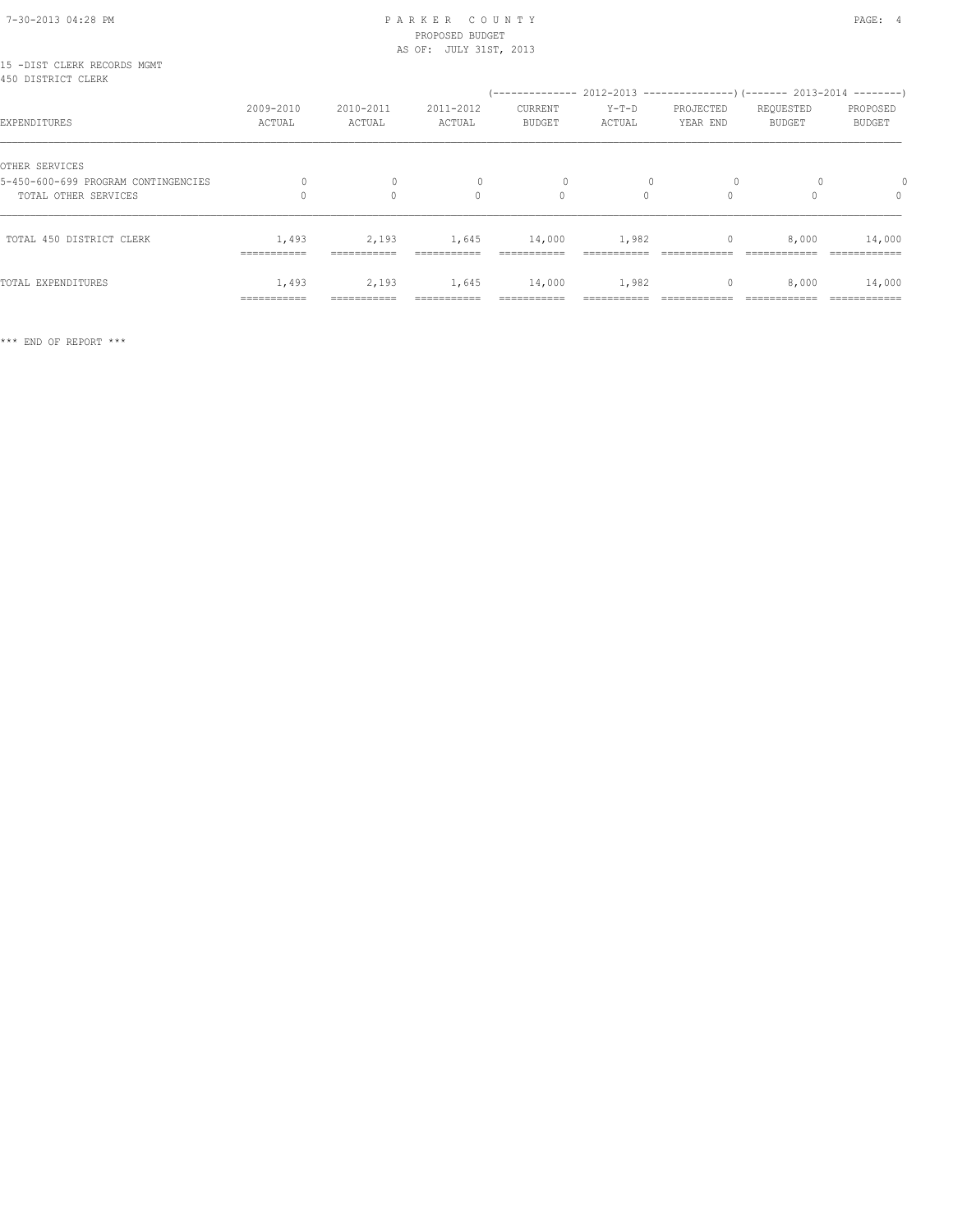#### 7-30-2013 04:28 PM P A R K E R C O U N T Y PAGE: 4 PROPOSED BUDGET AS OF: JULY 31ST, 2013

| 15 -DIST CLERK RECORDS MGMT<br>450 DISTRICT CLERK |                     |                          |                     | (-------------- 2012-2013 --------------------- 2013-2014 ---------- |                   |                       |                            |                           |
|---------------------------------------------------|---------------------|--------------------------|---------------------|----------------------------------------------------------------------|-------------------|-----------------------|----------------------------|---------------------------|
| EXPENDITURES                                      | 2009-2010<br>ACTUAL | 2010-2011<br>ACTUAL      | 2011-2012<br>ACTUAL | CURRENT<br><b>BUDGET</b>                                             | $Y-T-D$<br>ACTUAL | PROJECTED<br>YEAR END | REQUESTED<br><b>BUDGET</b> | PROPOSED<br><b>BUDGET</b> |
| OTHER SERVICES                                    |                     |                          |                     |                                                                      |                   |                       |                            |                           |
| 5-450-600-699 PROGRAM CONTINGENCIES               |                     | $\mathbf{0}$<br>$\Omega$ | $\circ$<br>$\Omega$ | 0<br>$\Omega$                                                        | $\Omega$          | $\circ$<br>$\Omega$   |                            | $\Omega$                  |
| TOTAL OTHER SERVICES                              |                     |                          |                     |                                                                      |                   |                       |                            |                           |
| TOTAL 450 DISTRICT CLERK                          | 1,493               | 2,193                    | 1,645               | 14,000                                                               | 1,982             | $\mathbf{0}$          | 8,000                      | 14,000                    |
|                                                   | ===========         | ------------             |                     | ------------                                                         |                   |                       |                            |                           |
| TOTAL EXPENDITURES                                | 1,493               | 2,193                    | 1,645               | 14,000                                                               | 1,982             | $\mathbf{0}$          | 8,000                      | 14,000                    |
|                                                   | ===========         | ===========              | ===========         | ===========                                                          |                   |                       | ============               | ============              |

\*\*\* END OF REPORT \*\*\*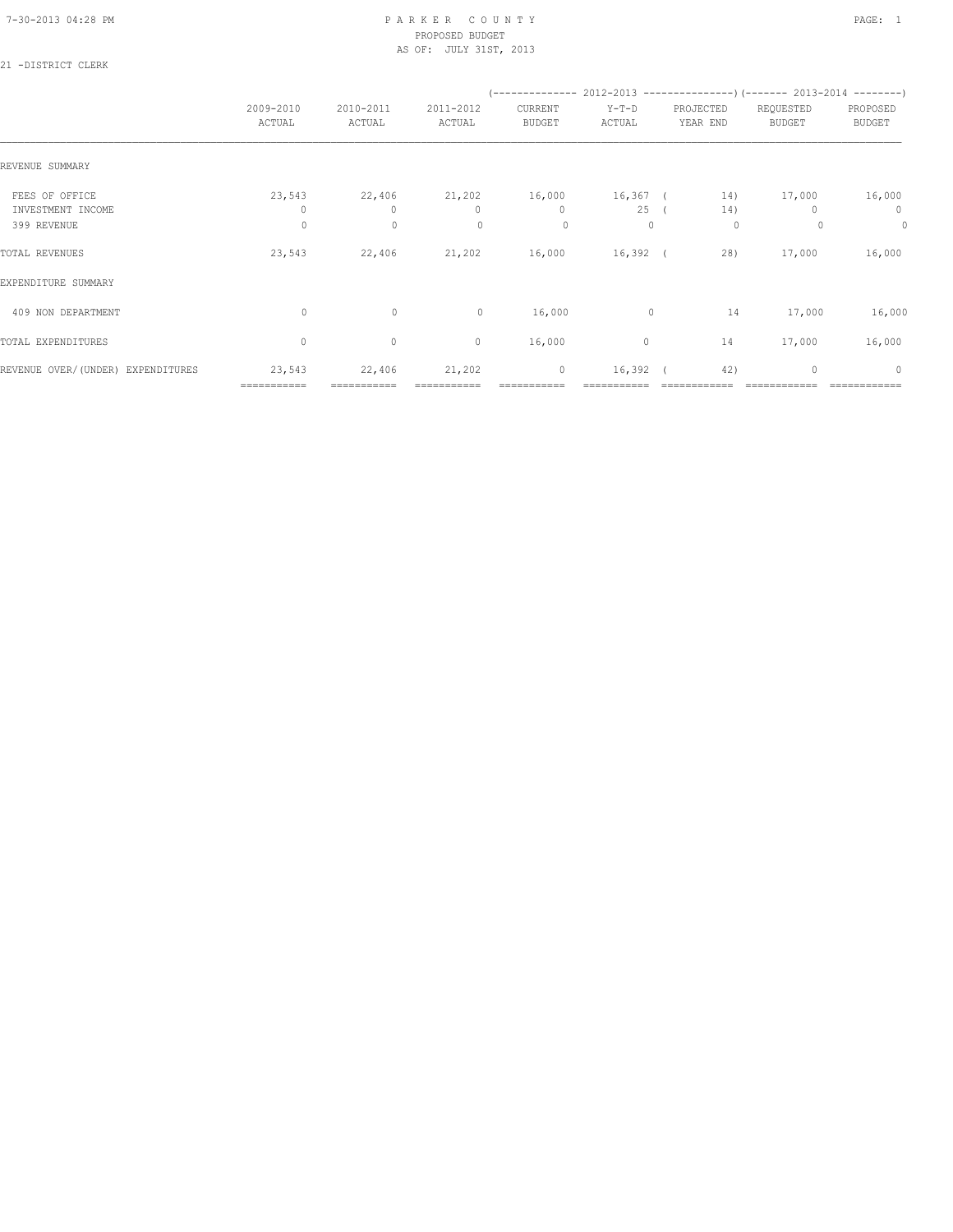#### 7-30-2013 04:28 PM P A R K E R C O U N T Y PAGE: 1 PROPOSED BUDGET AS OF: JULY 31ST, 2013

## 21 -DISTRICT CLERK

|                                     |                       |                       |                        |                          | $(---------- 2012-2013$ ----------------) (------- 2013-2014 --------) |                       |                     |                           |
|-------------------------------------|-----------------------|-----------------------|------------------------|--------------------------|------------------------------------------------------------------------|-----------------------|---------------------|---------------------------|
|                                     | 2009-2010<br>ACTUAL   | 2010-2011<br>ACTUAL   | 2011-2012<br>ACTUAL    | CURRENT<br><b>BUDGET</b> | $Y-T-D$<br>ACTUAL                                                      | PROJECTED<br>YEAR END | REQUESTED<br>BUDGET | PROPOSED<br><b>BUDGET</b> |
| REVENUE SUMMARY                     |                       |                       |                        |                          |                                                                        |                       |                     |                           |
| FEES OF OFFICE<br>INVESTMENT INCOME | 23,543<br>$\Omega$    | 22,406<br>$\circ$     | 21,202<br>$\mathbf{0}$ | 16,000<br>$\mathbf{0}$   | 25                                                                     | 16,367 ( 14)<br>14)   | 17,000              | 16,000<br>$\mathbf{0}$    |
| 399 REVENUE                         | $\circ$               | $\mathbf 0$           | $\mathbf{0}$           | $\circ$                  | $\Omega$                                                               | 0                     | $\Omega$            | 0                         |
| TOTAL REVENUES                      | 23,543                | 22,406                | 21,202                 | 16,000                   | $16,392$ (                                                             | 28)                   | 17,000              | 16,000                    |
| EXPENDITURE SUMMARY                 |                       |                       |                        |                          |                                                                        |                       |                     |                           |
| 409 NON DEPARTMENT                  | $\circ$               | $\circ$               | 0                      | 16,000                   | $\circ$                                                                | 14                    | 17,000              | 16,000                    |
| TOTAL EXPENDITURES                  | $\mathbf{0}$          | $\circ$               | $\circ$                | 16,000                   | 0                                                                      | 14                    | 17,000              | 16,000                    |
| REVENUE OVER/(UNDER) EXPENDITURES   | 23,543<br>=========== | 22,406<br>=========== | 21,202                 | $\circ$                  | $16,392$ (                                                             | 42)                   | $\mathbf{0}$        | $\circ$                   |
|                                     |                       |                       |                        |                          |                                                                        |                       |                     |                           |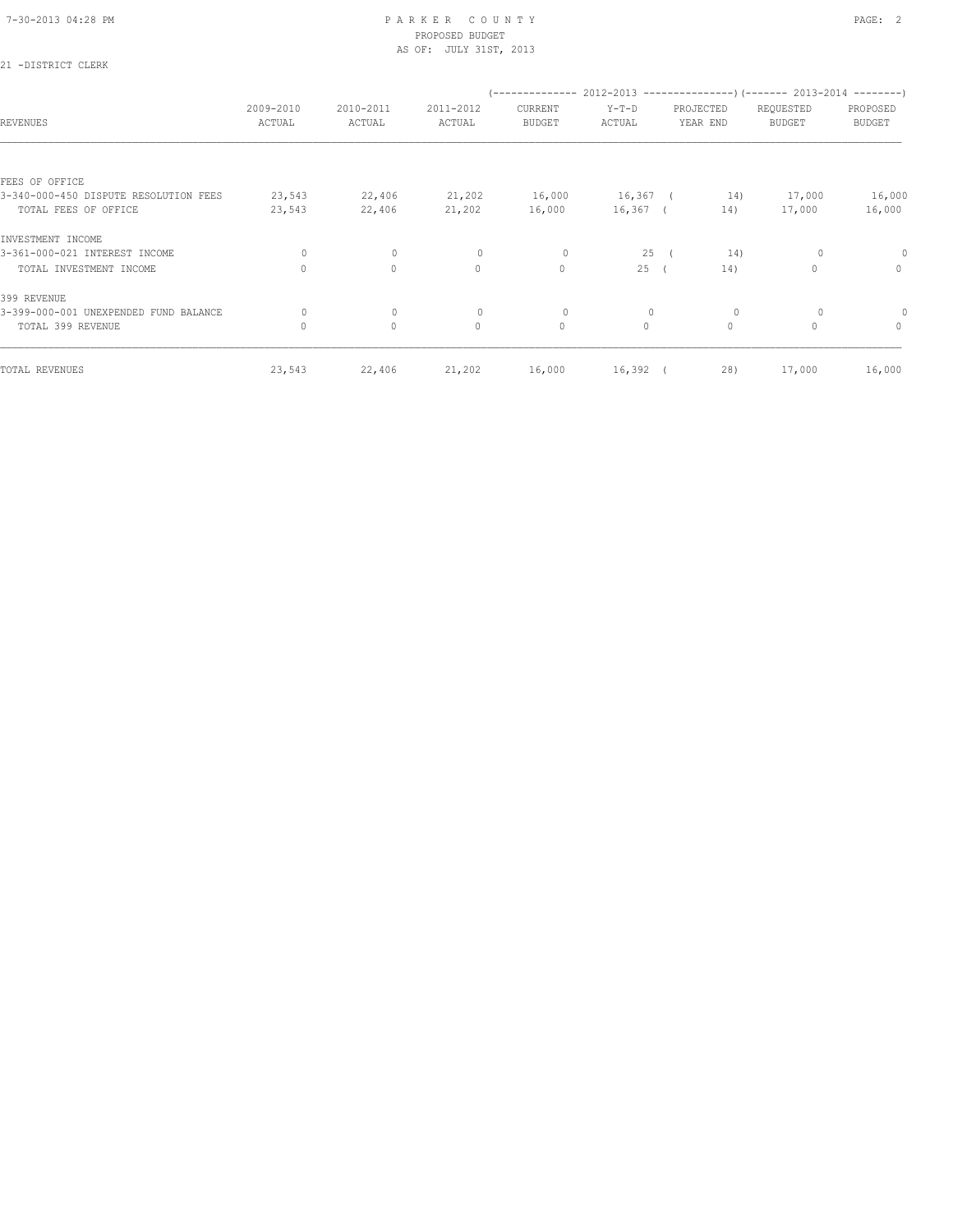21 -DISTRICT CLERK

#### 7-30-2013 04:28 PM P A R K E R C O U N T Y PAGE: 2 PROPOSED BUDGET AS OF: JULY 31ST, 2013

| <b>REVENUES</b>                       | 2009-2010<br>ACTUAL | 2010-2011<br>ACTUAL | 2011-2012<br>ACTUAL | CURRENT<br><b>BUDGET</b> | $Y-T-D$<br>ACTUAL | PROJECTED<br>YEAR END |         | $(----------2012-2013---------)$ $(----2013-2014------)$<br>REQUESTED<br><b>BUDGET</b> | PROPOSED<br><b>BUDGET</b> |
|---------------------------------------|---------------------|---------------------|---------------------|--------------------------|-------------------|-----------------------|---------|----------------------------------------------------------------------------------------|---------------------------|
|                                       |                     |                     |                     |                          |                   |                       |         |                                                                                        |                           |
| FEES OF OFFICE                        |                     |                     |                     |                          |                   |                       |         |                                                                                        |                           |
| 3-340-000-450 DISPUTE RESOLUTION FEES | 23,543              | 22,406              | 21,202              | 16,000                   | $16,367$ (        |                       | 14)     | 17,000                                                                                 | 16,000                    |
| TOTAL FEES OF OFFICE                  | 23,543              | 22,406              | 21,202              | 16,000                   | 16,367 (          |                       | 14)     | 17,000                                                                                 | 16,000                    |
| INVESTMENT INCOME                     |                     |                     |                     |                          |                   |                       |         |                                                                                        |                           |
| 3-361-000-021 INTEREST INCOME         | 0                   | $\mathbf 0$         | $\mathbf{0}$        | 0                        | 25                | $\sqrt{2}$            | 14)     |                                                                                        | 0                         |
| TOTAL INVESTMENT INCOME               | $\Omega$            | $\circ$             | $\circ$             | $\mathbf{0}$             | 25(               |                       | 14)     | 0                                                                                      | $\circ$                   |
| 399 REVENUE                           |                     |                     |                     |                          |                   |                       |         |                                                                                        |                           |
| 3-399-000-001 UNEXPENDED FUND BALANCE | 0                   | $\mathbf 0$         | $\mathbf{0}$        | 0                        |                   |                       | 0       |                                                                                        |                           |
| TOTAL 399 REVENUE                     | $\circ$             | $\mathbb O$         | $\circ$             | $\circ$                  | $\circ$           |                       | $\circ$ | 0                                                                                      | $\circ$                   |
| TOTAL REVENUES                        | 23,543              | 22,406              | 21,202              | 16,000                   | $16,392$ (        |                       | 28)     | 17,000                                                                                 | 16,000                    |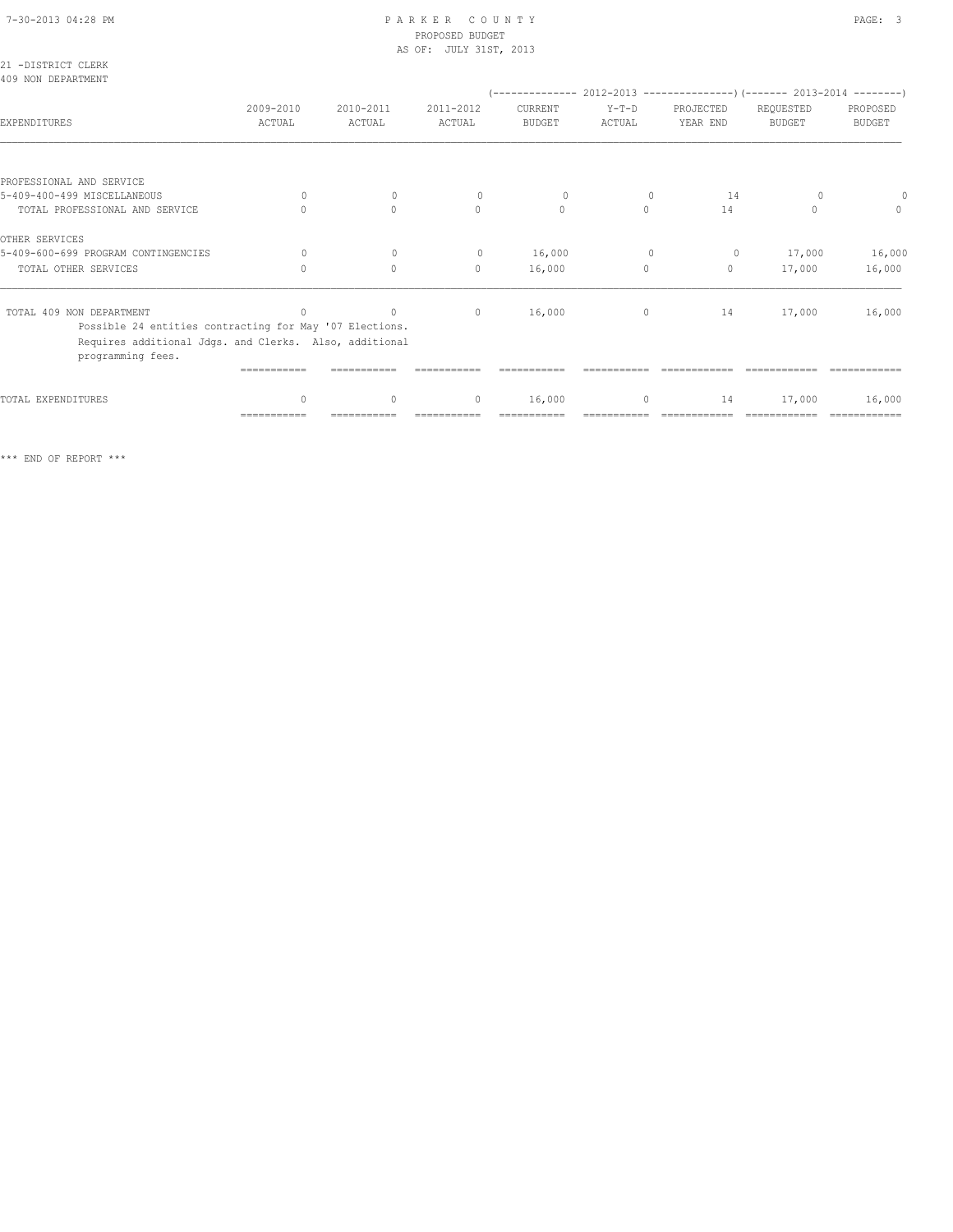## 7-30-2013 04:28 PM P A R K E R C O U N T Y PAGE: 3 PROPOSED BUDGET

|                                                                                                                                        |                     |                     | AS OF: JULY 31ST, 2013 |                          |                   |                       |                                                                      |                           |
|----------------------------------------------------------------------------------------------------------------------------------------|---------------------|---------------------|------------------------|--------------------------|-------------------|-----------------------|----------------------------------------------------------------------|---------------------------|
| 21 -DISTRICT CLERK<br>409 NON DEPARTMENT                                                                                               |                     |                     |                        |                          |                   |                       | $(----------2012-2013$ ----------------) (------- 2013-2014 -------) |                           |
| EXPENDITURES                                                                                                                           | 2009-2010<br>ACTUAL | 2010-2011<br>ACTUAL | 2011-2012<br>ACTUAL    | CURRENT<br><b>BUDGET</b> | $Y-T-D$<br>ACTUAL | PROJECTED<br>YEAR END | REQUESTED<br><b>BUDGET</b>                                           | PROPOSED<br><b>BUDGET</b> |
|                                                                                                                                        |                     |                     |                        |                          |                   |                       |                                                                      |                           |
| PROFESSIONAL AND SERVICE                                                                                                               |                     |                     |                        |                          |                   |                       |                                                                      |                           |
| 5-409-400-499 MISCELLANEOUS                                                                                                            | $\Omega$            | $\Omega$            | $\Omega$               | $\circ$                  | $\Omega$          | 14                    |                                                                      | $\circ$                   |
| TOTAL PROFESSIONAL AND SERVICE                                                                                                         | $\cap$              | $\Omega$            | $\Omega$               | $\mathbf{0}$             | $\Omega$          | 14                    | $\Omega$                                                             | $\Omega$                  |
| OTHER SERVICES                                                                                                                         |                     |                     |                        |                          |                   |                       |                                                                      |                           |
| 5-409-600-699 PROGRAM CONTINGENCIES                                                                                                    | $\bigcap$           | $\mathbf{0}$        | $\circ$                | 16,000                   | $\mathbf{0}$      | $\circ$               | 17,000                                                               | 16,000                    |
| TOTAL OTHER SERVICES                                                                                                                   | $\Omega$            | $\Omega$            | $\mathbf{0}$           | 16,000                   | $\circ$           | $\circ$               | 17,000                                                               | 16,000                    |
| TOTAL 409 NON DEPARTMENT                                                                                                               | $\mathbf{0}$        | $\sim$ 0            | $\overline{0}$         | 16,000                   | $\circ$           | 14                    | 17,000                                                               | 16,000                    |
| Possible 24 entities contracting for May '07 Elections.<br>Requires additional Jdgs. and Clerks. Also, additional<br>programming fees. |                     |                     |                        |                          |                   |                       |                                                                      |                           |
|                                                                                                                                        | -----------         |                     |                        |                          |                   |                       |                                                                      |                           |
| TOTAL EXPENDITURES                                                                                                                     | $\mathbf{0}$        | $\mathbf{0}$        | $\mathbf{0}$           | 16,000                   | $\circ$           | 14                    | 17,000                                                               | 16,000                    |

=========== =========== =========== =========== =========== ============ ============ ============

\*\*\* END OF REPORT \*\*\*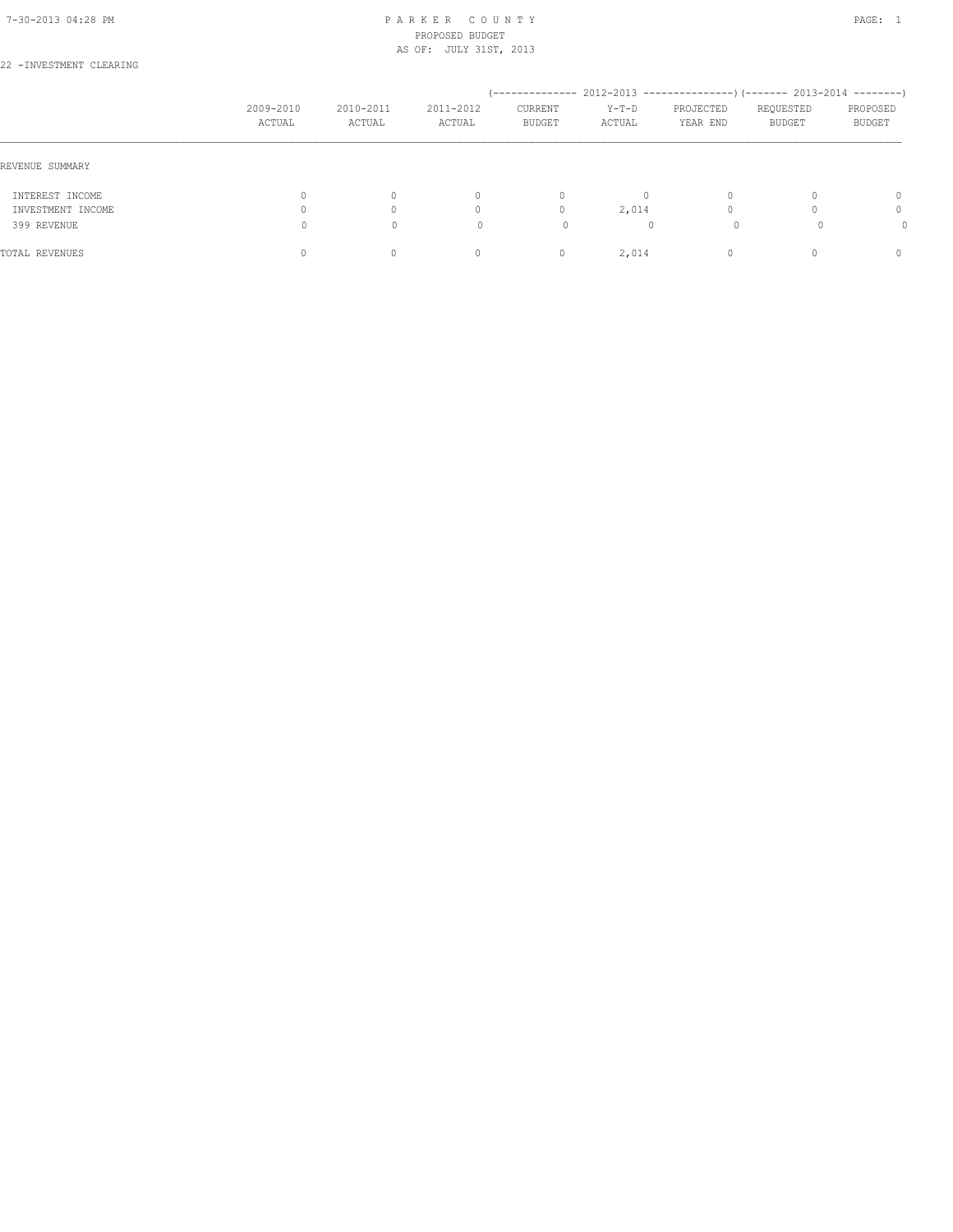#### 7-30-2013 04:28 PM P A R K E R C O U N T Y PAGE: 1 PROPOSED BUDGET AS OF: JULY 31ST, 2013

## 22 -INVESTMENT CLEARING

|                   | 2009-2010<br>ACTUAL | 2010-2011<br>ACTUAL | 2011-2012<br>ACTUAL | --------------<br>CURRENT<br><b>BUDGET</b> | $Y-T-D$<br>ACTUAL | PROJECTED<br>YEAR END | $2012-2013$ ---------------) (------- 2013-2014 --------)<br>REQUESTED<br><b>BUDGET</b> | PROPOSED<br>BUDGET               |
|-------------------|---------------------|---------------------|---------------------|--------------------------------------------|-------------------|-----------------------|-----------------------------------------------------------------------------------------|----------------------------------|
| REVENUE SUMMARY   |                     |                     |                     |                                            |                   |                       |                                                                                         |                                  |
| INTEREST INCOME   | $\circ$             |                     | $\mathbf{0}$        | $\circ$                                    | 0                 | $\Omega$              |                                                                                         | $\Omega$                         |
| INVESTMENT INCOME | 0                   |                     | 0                   | $\mathbf{0}$                               | 2,014             | $\Omega$              |                                                                                         | $\begin{array}{c} \n\end{array}$ |
| 399 REVENUE       | 0                   | $\Omega$            |                     | 0                                          | $\mathbf{0}$      | 0                     |                                                                                         |                                  |
| TOTAL REVENUES    | $\Omega$            |                     | $\mathbf{0}$        | $\mathbf{0}$                               | 2,014             | $\Omega$              |                                                                                         | n                                |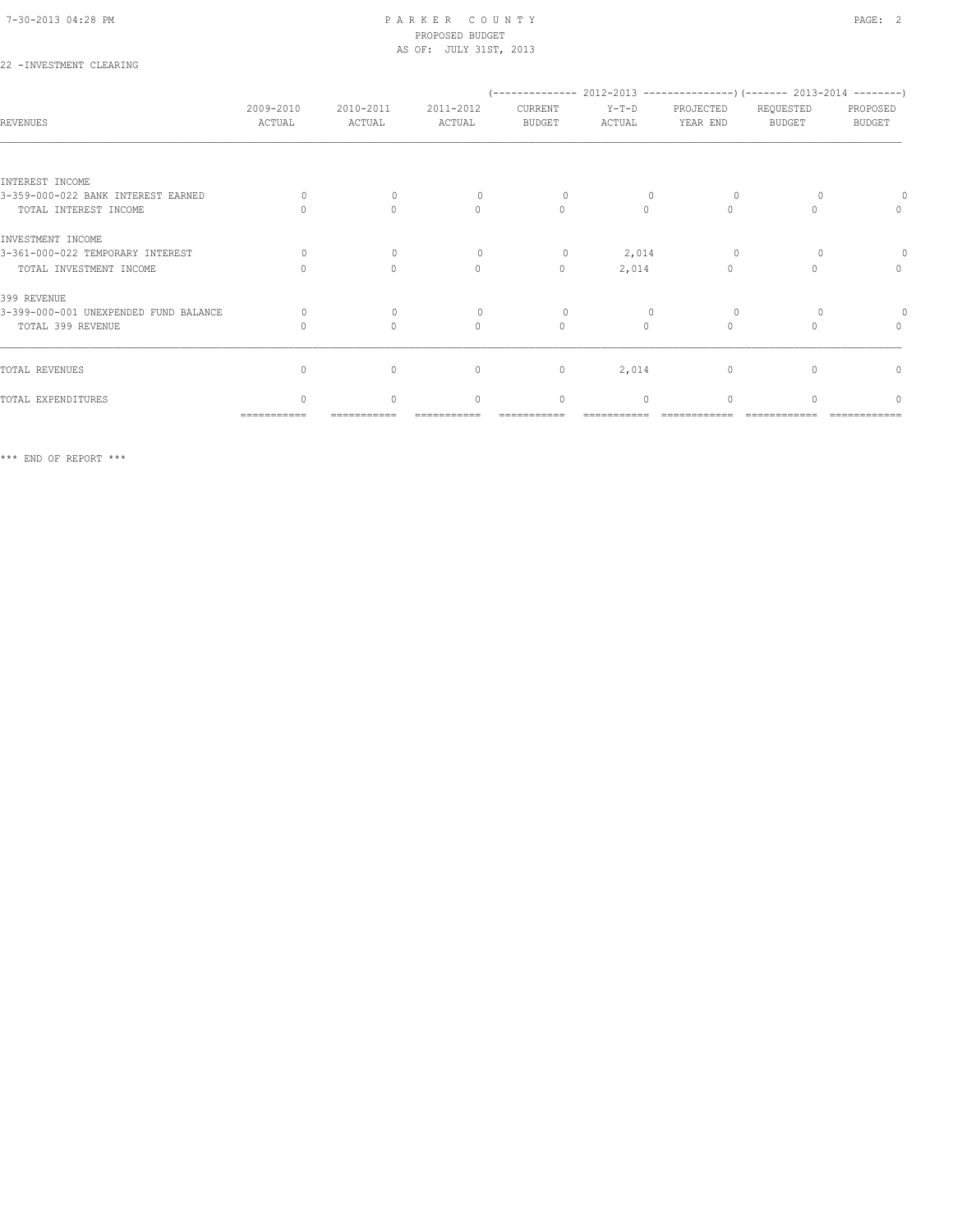#### 7-30-2013 04:28 PM P A R K E R C O U N T Y PAGE: 2 PROPOSED BUDGET AS OF: JULY 31ST, 2013

## 22 -INVESTMENT CLEARING

|                                       |                     |                                  |                                  | (-------------- 2012-2013 ----------------) (------- 2013-2014 --------) |                   |                       |                            |                           |
|---------------------------------------|---------------------|----------------------------------|----------------------------------|--------------------------------------------------------------------------|-------------------|-----------------------|----------------------------|---------------------------|
| <b>REVENUES</b>                       | 2009-2010<br>ACTUAL | 2010-2011<br>ACTUAL              | 2011-2012<br>ACTUAL              | CURRENT<br><b>BUDGET</b>                                                 | $Y-T-D$<br>ACTUAL | PROJECTED<br>YEAR END | REQUESTED<br><b>BUDGET</b> | PROPOSED<br><b>BUDGET</b> |
|                                       |                     |                                  |                                  |                                                                          |                   |                       |                            |                           |
| INTEREST INCOME                       |                     |                                  |                                  |                                                                          |                   |                       |                            |                           |
| 3-359-000-022 BANK INTEREST EARNED    | $\cap$              | $\Omega$                         | $\bigcap$                        | $\Omega$                                                                 |                   | $\Omega$              |                            |                           |
| TOTAL INTEREST INCOME                 |                     | $\begin{array}{c} \n\end{array}$ | $\begin{array}{c} \n\end{array}$ | $\mathbf{0}$                                                             | $\Omega$          | $\Omega$              |                            | $\mathbf{0}$              |
| INVESTMENT INCOME                     |                     |                                  |                                  |                                                                          |                   |                       |                            |                           |
| 3-361-000-022 TEMPORARY INTEREST      | $\bigcap$           | $\Omega$                         | $\Omega$                         | $\circ$                                                                  | 2,014             | $\Omega$              |                            |                           |
| TOTAL INVESTMENT INCOME               |                     | $\Omega$                         | $\circ$                          | $\mathbf{0}$                                                             | 2,014             | $\bigcap$             |                            | $\mathbf{0}$              |
| 399 REVENUE                           |                     |                                  |                                  |                                                                          |                   |                       |                            |                           |
| 3-399-000-001 UNEXPENDED FUND BALANCE | $\Omega$            | $\bigcap$                        |                                  | $\Omega$                                                                 |                   | $\Omega$              |                            |                           |
| TOTAL 399 REVENUE                     |                     | $\begin{array}{c} \n\end{array}$ | $\begin{array}{c} \n\end{array}$ | $\mathbf{0}$                                                             | $\Omega$          | $\Omega$              | $\cap$                     | $\mathbf{0}$              |
|                                       |                     |                                  |                                  |                                                                          |                   |                       |                            |                           |
| TOTAL REVENUES                        | $\Omega$            | $\circ$                          | $\mathbf{0}$                     | $\mathbb O$                                                              | 2,014             | 0                     |                            | 0                         |
| TOTAL EXPENDITURES                    | $\cap$              | $\bigcap$                        | $\begin{array}{c} \n\end{array}$ | $\mathbf{0}$                                                             | $\Omega$          | $\Omega$              |                            | $\cap$                    |
|                                       | ===========         |                                  |                                  |                                                                          |                   |                       |                            |                           |

\*\*\* END OF REPORT \*\*\*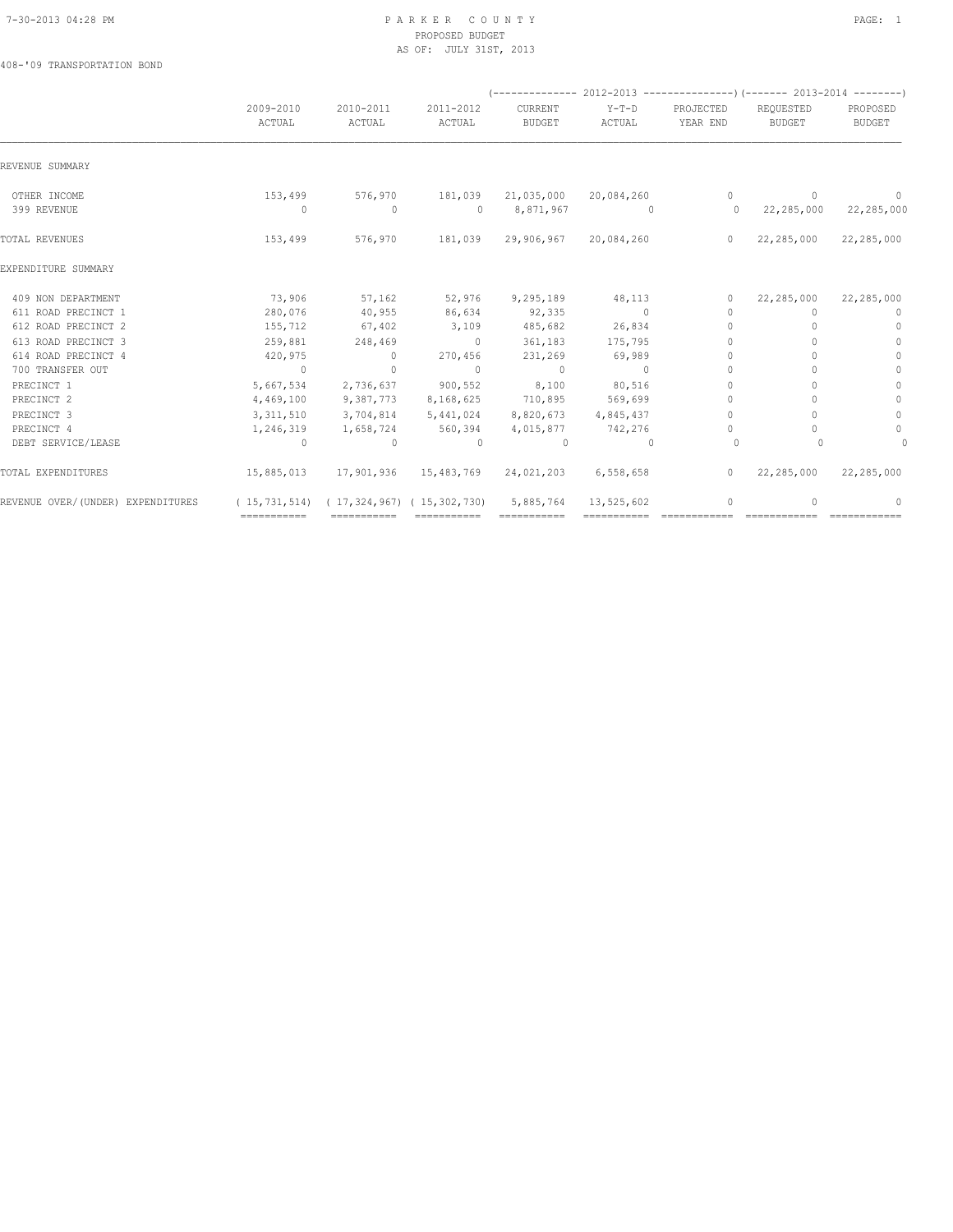#### 7-30-2013 04:28 PM P A R K E R C O U N T Y PAGE: 1 PROPOSED BUDGET AS OF: JULY 31ST, 2013

408-'09 TRANSPORTATION BOND

|                                   |                     |                                                    |                     |                          |                   | (-------------- 2012-2013 ----------------) (------- 2013-2014 --------) |                                  |                           |
|-----------------------------------|---------------------|----------------------------------------------------|---------------------|--------------------------|-------------------|--------------------------------------------------------------------------|----------------------------------|---------------------------|
|                                   | 2009-2010<br>ACTUAL | 2010-2011<br>ACTUAL                                | 2011-2012<br>ACTUAL | CURRENT<br><b>BUDGET</b> | $Y-T-D$<br>ACTUAL | PROJECTED<br>YEAR END                                                    | REQUESTED<br><b>BUDGET</b>       | PROPOSED<br><b>BUDGET</b> |
| REVENUE SUMMARY                   |                     |                                                    |                     |                          |                   |                                                                          |                                  |                           |
| OTHER INCOME                      | 153,499             | 576,970                                            | 181,039             | 21,035,000               | 20,084,260        | $\circ$                                                                  | $\mathbf{0}$                     | $\mathbf{0}$              |
| 399 REVENUE                       | $\circ$             | $\circ$                                            | $\Omega$            | 8,871,967                | - 0               | $\circ$                                                                  | 22,285,000                       | 22,285,000                |
| TOTAL REVENUES                    | 153,499             | 576,970                                            | 181,039             | 29,906,967               | 20,084,260        | $\circ$                                                                  | 22,285,000                       | 22,285,000                |
| EXPENDITURE SUMMARY               |                     |                                                    |                     |                          |                   |                                                                          |                                  |                           |
| 409 NON DEPARTMENT                | 73,906              | 57,162                                             | 52,976              | 9,295,189                | 48,113            | $\circ$                                                                  | 22,285,000                       | 22,285,000                |
| 611 ROAD PRECINCT 1               | 280,076             | 40,955                                             | 86,634              | 92,335                   | $\sim$ 0          | $\mathbf{0}$                                                             | $\begin{array}{c} \n\end{array}$ | $\Omega$                  |
| 612 ROAD PRECINCT 2               | 155,712             | 67,402                                             | 3,109               | 485,682                  | 26,834            | $\begin{array}{c} \n\end{array}$                                         |                                  | $\mathbf{0}$              |
| 613 ROAD PRECINCT 3               | 259,881             | 248,469                                            | $\sim$ 0            | 361,183                  | 175,795           | $\Omega$                                                                 | n                                | $\mathbf{0}$              |
| 614 ROAD PRECINCT 4               | 420,975             | $\overline{0}$                                     | 270,456             | 231,269                  | 69,989            | $\Omega$                                                                 |                                  | $\mathbf{0}$              |
| 700 TRANSFER OUT                  | $\overline{0}$      | $\Omega$                                           | $\Omega$            | $\overline{0}$           | $\Omega$          | $\mathbf{0}$                                                             |                                  | $\mathbf{0}$              |
| PRECINCT 1                        | 5,667,534           | 2,736,637                                          | 900,552             | 8,100                    | 80,516            | $\bigcap$                                                                |                                  | $\mathbf{0}$              |
| PRECINCT 2                        | 4,469,100           | 9,387,773                                          | 8,168,625           | 710,895                  | 569,699           | 0                                                                        |                                  | $\circ$                   |
| PRECINCT 3                        | 3, 311, 510         | 3,704,814                                          | 5,441,024           | 8,820,673                | 4,845,437         | $\mathbf{0}$                                                             |                                  | $\mathbb O$               |
| PRECINCT 4                        | 1,246,319           | 1,658,724                                          | 560,394             | 4,015,877                | 742,276           | $\circ$                                                                  | 0                                | $\circ$                   |
| DEBT SERVICE/LEASE                | $\circ$             | $\mathbf{0}$                                       | $\Omega$            | $\Omega$                 | $\Omega$          | $\circ$                                                                  |                                  | $\circ$                   |
| TOTAL EXPENDITURES                | 15,885,013          | 17,901,936                                         | 15,483,769          | 24,021,203               | 6,558,658         | $\circ$                                                                  | 22,285,000                       | 22,285,000                |
| REVENUE OVER/(UNDER) EXPENDITURES |                     | $(15, 731, 514)$ $(17, 324, 967)$ $(15, 302, 730)$ |                     | 5,885,764                | 13,525,602        | $\mathbf 0$                                                              |                                  | $\Omega$                  |
|                                   | ============        | ============                                       | ============        |                          |                   |                                                                          |                                  |                           |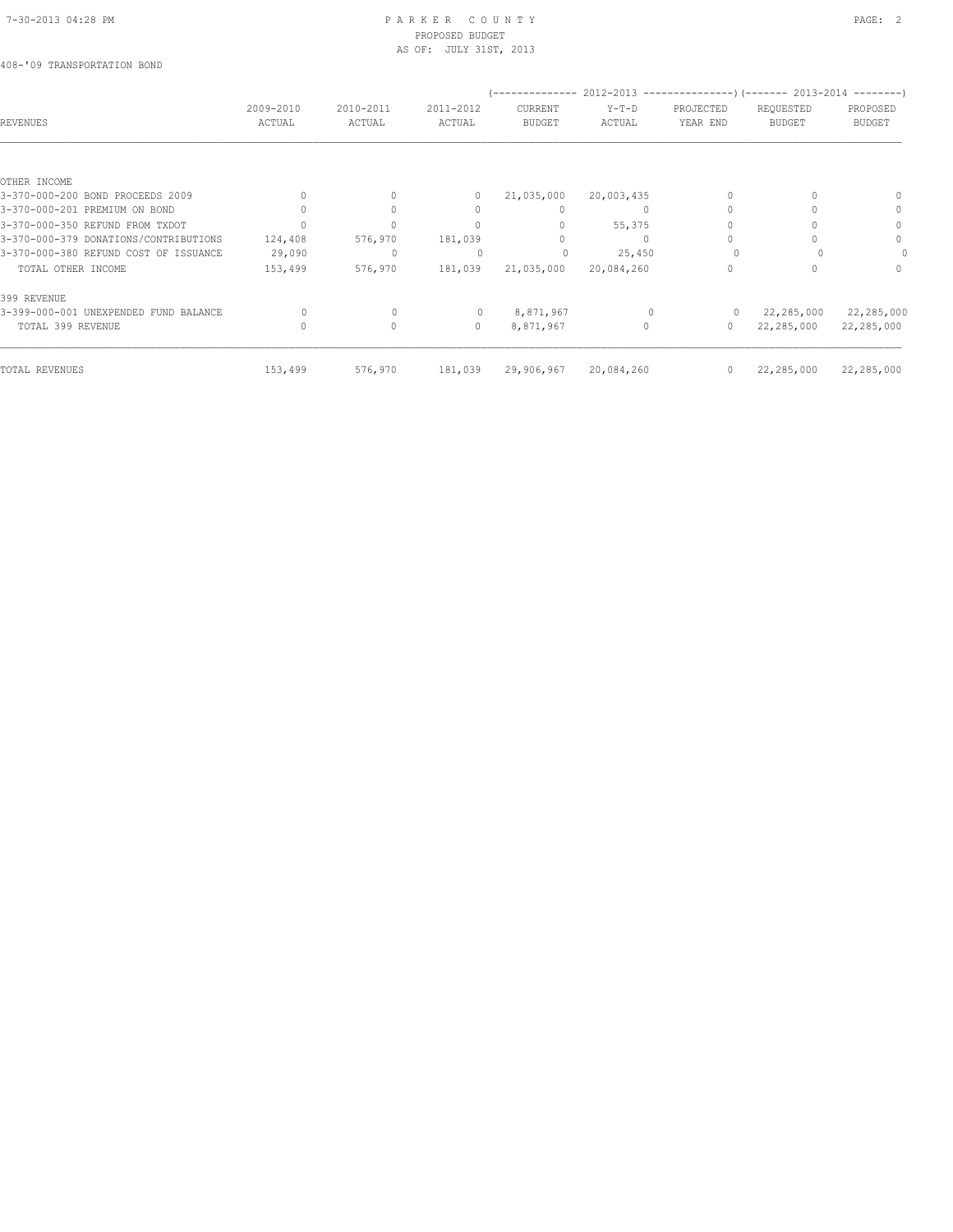#### 7-30-2013 04:28 PM P A R K E R C O U N T Y PAGE: 2 PROPOSED BUDGET AS OF: JULY 31ST, 2013

## 408-'09 TRANSPORTATION BOND

|         |                                |                                | . <u>.</u>                     |                                        |                                 |                            |                                                                                                            |
|---------|--------------------------------|--------------------------------|--------------------------------|----------------------------------------|---------------------------------|----------------------------|------------------------------------------------------------------------------------------------------------|
|         |                                |                                |                                |                                        |                                 |                            | PROPOSED                                                                                                   |
|         |                                |                                |                                |                                        |                                 |                            | <b>BUDGET</b>                                                                                              |
|         |                                |                                |                                |                                        |                                 |                            |                                                                                                            |
|         |                                |                                |                                |                                        |                                 |                            |                                                                                                            |
|         | 0                              | $\circ$                        | 21,035,000                     | 20,003,435                             |                                 |                            |                                                                                                            |
|         | 0                              | 0                              | 0                              | 0                                      |                                 | n                          | $\Omega$                                                                                                   |
|         | $\Omega$                       |                                | $\Omega$                       | 55,375                                 |                                 |                            | $\Omega$                                                                                                   |
| 124,408 | 576,970                        | 181,039                        |                                |                                        |                                 |                            | 0                                                                                                          |
| 29,090  | $\mathbf{0}$                   | 0                              | 0                              | 25,450                                 |                                 |                            | 0                                                                                                          |
| 153,499 | 576,970                        | 181,039                        | 21,035,000                     | 20,084,260                             | $\Omega$                        |                            | $\Omega$                                                                                                   |
|         |                                |                                |                                |                                        |                                 |                            |                                                                                                            |
| 0       | $\circ$                        | $\circ$                        | 8,871,967                      |                                        | $\Omega$                        | 22,285,000                 | 22,285,000                                                                                                 |
|         | 0                              | $\circ$                        | 8,871,967                      | 0                                      | 0                               | 22,285,000                 | 22,285,000                                                                                                 |
|         |                                |                                |                                |                                        |                                 |                            | 22,285,000                                                                                                 |
|         | 2009-2010<br>ACTUAL<br>153,499 | 2010-2011<br>ACTUAL<br>576,970 | 2011-2012<br>ACTUAL<br>181,039 | CURRENT<br><b>BUDGET</b><br>29,906,967 | $Y-T-D$<br>ACTUAL<br>20,084,260 | PROJECTED<br>YEAR END<br>0 | 2012-2013 ---------------------- (------- 2013-2014 ----------<br>REQUESTED<br><b>BUDGET</b><br>22,285,000 |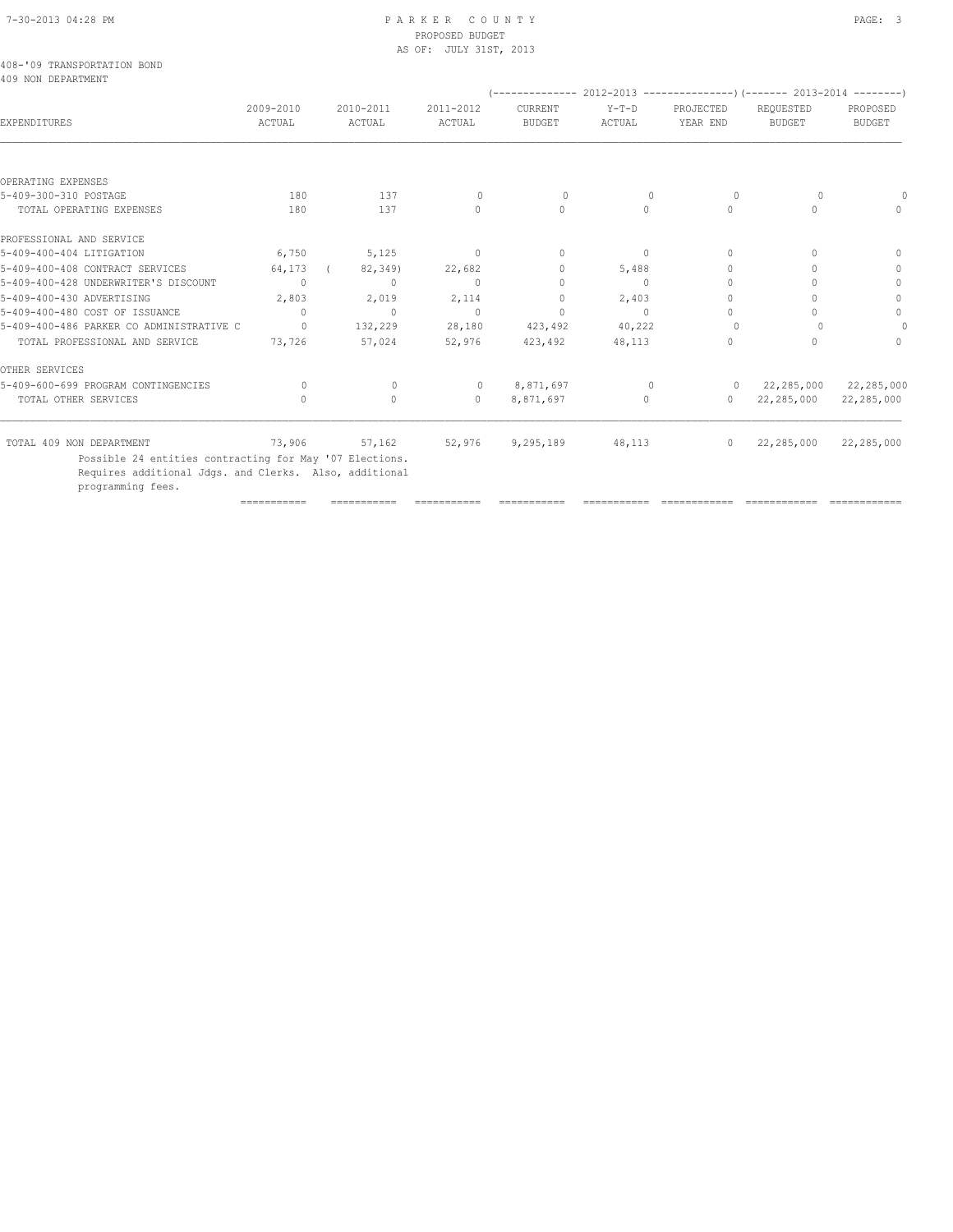## PROPOSED BUDGET AS OF: JULY 31ST, 2013

|  | 408-'09 TRANSPORTATION BOND |  |
|--|-----------------------------|--|
|  | 409 NON DEPARTMENT          |  |

| 2009-2010<br>ACTUAL              | 2010-2011<br>ACTUAL | 2011-2012<br>ACTUAL | <b>CURRENT</b><br><b>BUDGET</b> | $Y-T-D$<br>ACTUAL | PROJECTED<br>YEAR END            | REQUESTED<br><b>BUDGET</b> | PROPOSED<br><b>BUDGET</b> |
|----------------------------------|---------------------|---------------------|---------------------------------|-------------------|----------------------------------|----------------------------|---------------------------|
|                                  |                     |                     |                                 |                   |                                  |                            |                           |
|                                  |                     |                     |                                 |                   |                                  |                            |                           |
| 180                              | 137                 | $\Omega$            | 0                               | 0                 | $\circ$                          | 0                          | $\bigcap$                 |
| 180                              | 137                 | $\circ$             | $\circ$                         | 0                 | $\circ$                          |                            | $\Omega$                  |
|                                  |                     |                     |                                 |                   |                                  |                            |                           |
| 6,750                            | 5,125               | $\circ$             | $\mathbf{0}$                    | 0                 | $\begin{array}{c} \n\end{array}$ | $\Omega$                   | $\mathbf{0}$              |
| 64,173                           | 82,349)             | 22,682              | 0                               | 5,488             | 0                                |                            | $\mathbf{0}$              |
| $\mathbf{0}$                     | $\mathbf{0}$        | $\mathbf{0}$        | $\Omega$                        | 0                 | 0                                |                            | $\mathbf{0}$              |
| 2,803                            | 2,019               | 2,114               | 0                               | 2,403             | U                                |                            | $\mathbf{0}$              |
| $\begin{array}{c} \n\end{array}$ | $\mathbf{0}$        | $\mathbf{0}$        | $\Omega$                        | $\bigcap$         | 0                                |                            | $\circ$                   |
| $\Omega$                         | 132,229             | 28,180              | 423,492                         | 40,222            |                                  |                            | $\Omega$                  |
| 73,726                           | 57,024              | 52,976              | 423,492                         | 48,113            | 0                                | $\cap$                     | $\bigcap$                 |
|                                  |                     |                     |                                 |                   |                                  |                            |                           |
| $\Omega$                         | $\circ$             | $\circ$             | 8,871,697                       | $\mathbf{0}$      |                                  |                            | 22,285,000                |
| $\begin{array}{c} \n\end{array}$ | $\mathbf{0}$        | $\mathbf{0}$        | 8,871,697                       | $\Omega$          | $\circ$                          | 22,285,000                 | 22,285,000                |
| 73,906                           | 57,162              | 52,976              | 9,295,189                       | 48,113            | $\circ$                          | 22,285,000                 | 22,285,000                |
|                                  |                     |                     |                                 |                   |                                  |                            | $0 \qquad 22,285,000$     |

=========== =========== =========== =========== =========== ============ ============ ============

 Possible 24 entities contracting for May '07 Elections. Requires additional Jdgs. and Clerks. Also, additional

programming fees.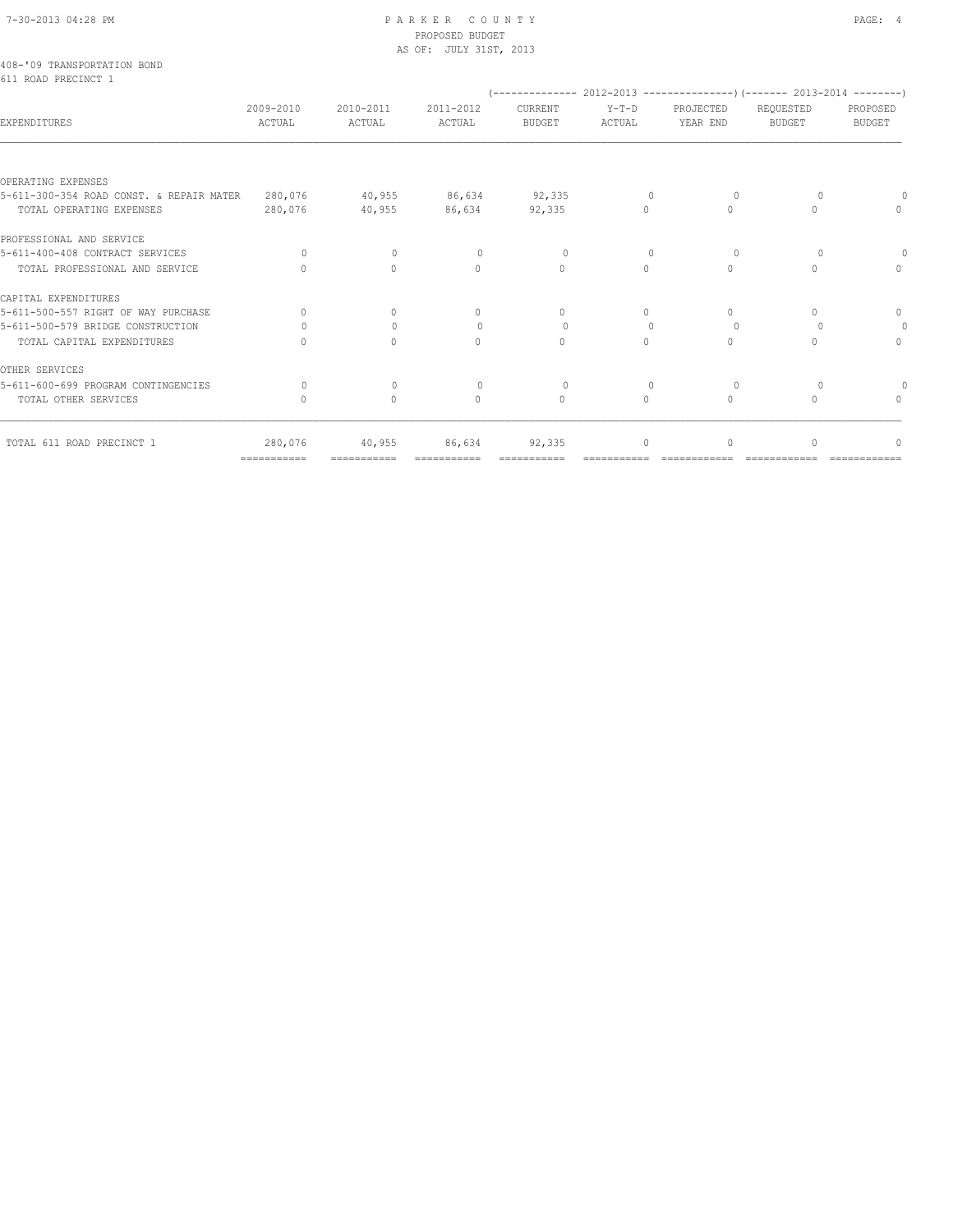#### 7-30-2013 04:28 PM P A R K E R C O U N T Y PAGE: 4 PROPOSED BUDGET AS OF: JULY 31ST, 2013

|  | 408-'09 TRANSPORTATION BOND |  |  |
|--|-----------------------------|--|--|
|  | 611 ROAD PRECINCT 1         |  |  |

|                                                                      |                     |                                  |                                  |                          |                                  |                       | (-------------- 2012-2013 --------------------- 2013-2014 ---------- ) |                           |
|----------------------------------------------------------------------|---------------------|----------------------------------|----------------------------------|--------------------------|----------------------------------|-----------------------|------------------------------------------------------------------------|---------------------------|
| EXPENDITURES                                                         | 2009-2010<br>ACTUAL | 2010-2011<br>ACTUAL              | 2011-2012<br>ACTUAL              | CURRENT<br><b>BUDGET</b> | $Y-T-D$<br><b>ACTUAL</b>         | PROJECTED<br>YEAR END | REQUESTED<br><b>BUDGET</b>                                             | PROPOSED<br><b>BUDGET</b> |
|                                                                      |                     |                                  |                                  |                          |                                  |                       |                                                                        |                           |
| OPERATING EXPENSES                                                   |                     |                                  |                                  |                          |                                  |                       |                                                                        |                           |
| 5-611-300-354 ROAD CONST. & REPAIR MATER<br>TOTAL OPERATING EXPENSES | 280,076<br>280,076  | 40,955<br>40,955                 | 86,634<br>86,634                 | 92,335<br>92,335         | $\mathbf{0}$<br>0                | 0<br>$\Omega$         | $\circ$<br>$\bigcap$                                                   | $\Omega$<br>$\Omega$      |
| PROFESSIONAL AND SERVICE                                             |                     |                                  |                                  |                          |                                  |                       |                                                                        |                           |
| 5-611-400-408 CONTRACT SERVICES                                      | $\bigcap$           | $\circ$                          | $\begin{array}{c} \n\end{array}$ | $\Omega$                 | $\Omega$                         | $\circ$               | $\Omega$                                                               | $\Omega$                  |
| TOTAL PROFESSIONAL AND SERVICE                                       | $\cap$              | $\Omega$                         | $\begin{array}{c} \n\end{array}$ | $\Omega$                 | $\Omega$                         | $\Omega$              | $\bigcap$                                                              | $\Omega$                  |
| CAPITAL EXPENDITURES                                                 |                     |                                  |                                  |                          |                                  |                       |                                                                        |                           |
| 5-611-500-557 RIGHT OF WAY PURCHASE                                  | $\Omega$            | $\circ$                          | $\Omega$                         | 0                        | $\Omega$                         | 0                     | $\begin{array}{c} \n\end{array}$                                       | $\Omega$                  |
| 5-611-500-579 BRIDGE CONSTRUCTION                                    | $\bigcap$           | $\mathbf{0}$                     | $\circ$                          | 0                        | $\begin{array}{c} \n\end{array}$ | $\Omega$              | $\Omega$                                                               | $\circ$                   |
| TOTAL CAPITAL EXPENDITURES                                           |                     | $\Omega$                         | $\cap$                           | $\Omega$                 | 0                                | $\Omega$              | $\bigcap$                                                              | $\Omega$                  |
| OTHER SERVICES                                                       |                     |                                  |                                  |                          |                                  |                       |                                                                        |                           |
| 5-611-600-699 PROGRAM CONTINGENCIES                                  | $\cap$              | $\begin{array}{c} \n\end{array}$ | $\Omega$                         | $\Omega$                 | $\begin{array}{c} \n\end{array}$ | $\Omega$              | $\Omega$                                                               | $\Omega$                  |
| TOTAL OTHER SERVICES                                                 | $\bigcap$           | $\circ$                          | $\cap$                           | $\bigcap$                | $\Omega$                         | $\Omega$              | $\bigcap$                                                              | $\Omega$                  |
| TOTAL 611 ROAD PRECINCT 1                                            | 280,076             | 40,955                           | 86,634                           | 92,335                   | $\cap$                           | $\bigcap$             | $\bigcap$                                                              | $\cap$                    |
|                                                                      | ============        | ===========                      |                                  |                          |                                  |                       |                                                                        |                           |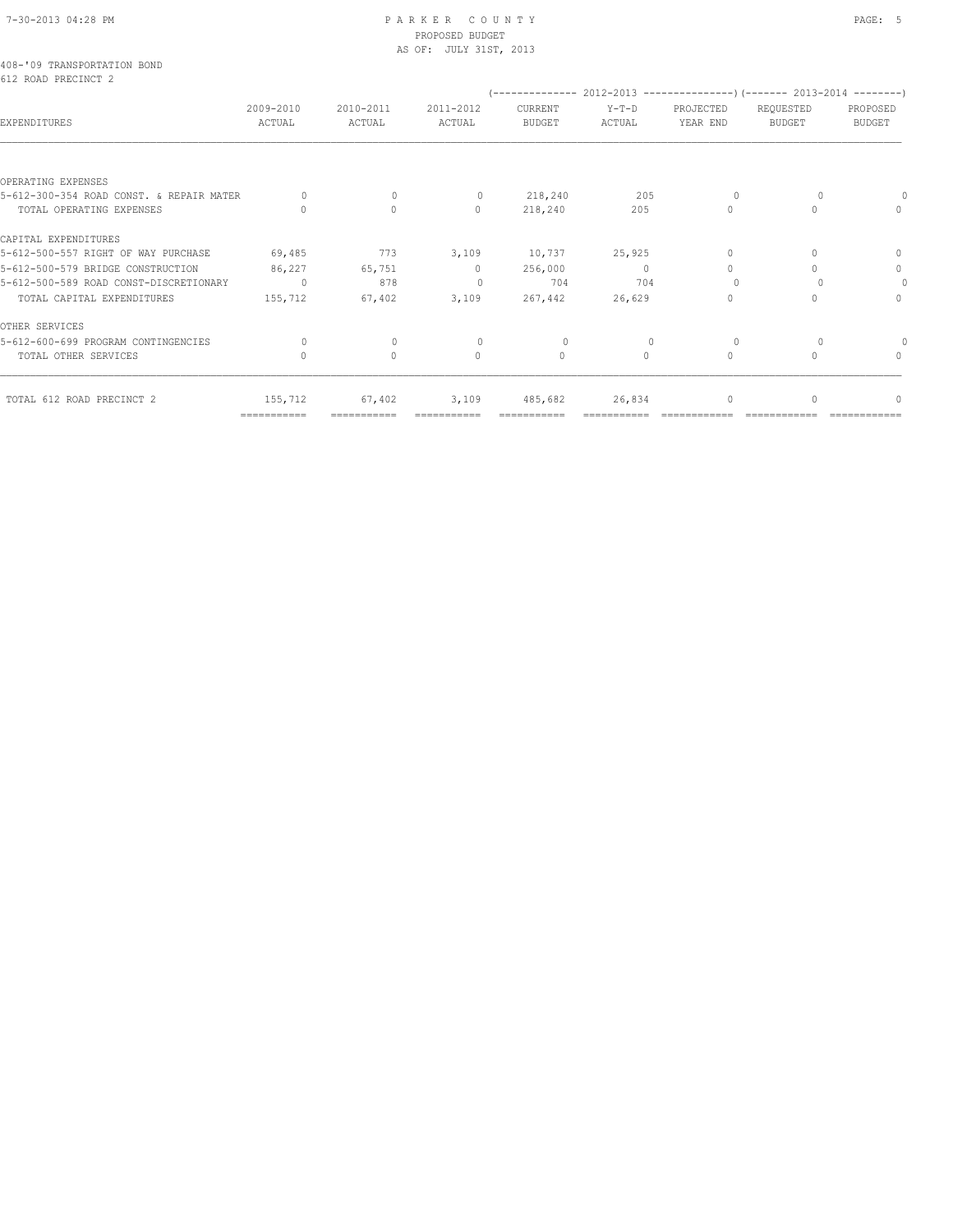### 7-30-2013 04:28 PM P A R K E R C O U N T Y PAGE: 5 PROPOSED BUDGET AS OF: JULY 31ST, 2013

|  | 408-'09 TRANSPORTATION BOND |  |  |
|--|-----------------------------|--|--|
|  | 612 ROAD PRECINCT 2         |  |  |

|                                          |                     |                                  |                                  |                   |                   |                       | (-------------- 2012-2013 ----------------) (------- 2013-2014 --------) |                                  |
|------------------------------------------|---------------------|----------------------------------|----------------------------------|-------------------|-------------------|-----------------------|--------------------------------------------------------------------------|----------------------------------|
| EXPENDITURES                             | 2009-2010<br>ACTUAL | 2010-2011<br>ACTUAL              | 2011-2012<br>ACTUAL              | CURRENT<br>BUDGET | $Y-T-D$<br>ACTUAL | PROJECTED<br>YEAR END | REQUESTED<br>BUDGET                                                      | PROPOSED<br>BUDGET               |
|                                          |                     |                                  |                                  |                   |                   |                       |                                                                          |                                  |
| OPERATING EXPENSES                       |                     |                                  |                                  |                   |                   |                       |                                                                          |                                  |
| 5-612-300-354 ROAD CONST. & REPAIR MATER |                     | $\Omega$                         | 0                                | 218,240           | 205               |                       |                                                                          |                                  |
| TOTAL OPERATING EXPENSES                 |                     | $\Omega$                         | $\Omega$                         | 218,240           | 205               | $\Omega$              | <sup>0</sup>                                                             | $\Omega$                         |
| CAPITAL EXPENDITURES                     |                     |                                  |                                  |                   |                   |                       |                                                                          |                                  |
| 5-612-500-557 RIGHT OF WAY PURCHASE      | 69,485              | 773                              | 3,109                            | 10,737            | 25,925            | O                     |                                                                          | $\Omega$                         |
| 5-612-500-579 BRIDGE CONSTRUCTION        | 86,227              | 65,751                           | $\Omega$                         | 256,000           | $\Omega$          | $\Omega$              |                                                                          | $\Omega$                         |
| 5-612-500-589 ROAD CONST-DISCRETIONARY   | $\circ$             | 878                              | $\begin{array}{c} \n\end{array}$ | 704               | 704               |                       |                                                                          | $\Omega$                         |
| TOTAL CAPITAL EXPENDITURES               | 155,712             | 67,402                           | 3,109                            | 267,442           | 26,629            |                       |                                                                          | $\begin{array}{c} \n\end{array}$ |
| OTHER SERVICES                           |                     |                                  |                                  |                   |                   |                       |                                                                          |                                  |
| 5-612-600-699 PROGRAM CONTINGENCIES      | 0                   | $\begin{array}{c} \n\end{array}$ | 0                                | $\Omega$          |                   |                       |                                                                          |                                  |
| TOTAL OTHER SERVICES                     |                     | $\circ$                          | $\Omega$                         | $\circ$           | $\Omega$          | $\Omega$              | $\cap$                                                                   | $\Omega$                         |
| TOTAL 612 ROAD PRECINCT 2                | 155,712             | 67,402                           | 3,109                            | 485,682           | 26,834            | 0                     | 0                                                                        | $\mathbb O$                      |

=========== =========== =========== =========== =========== ============ ============ ============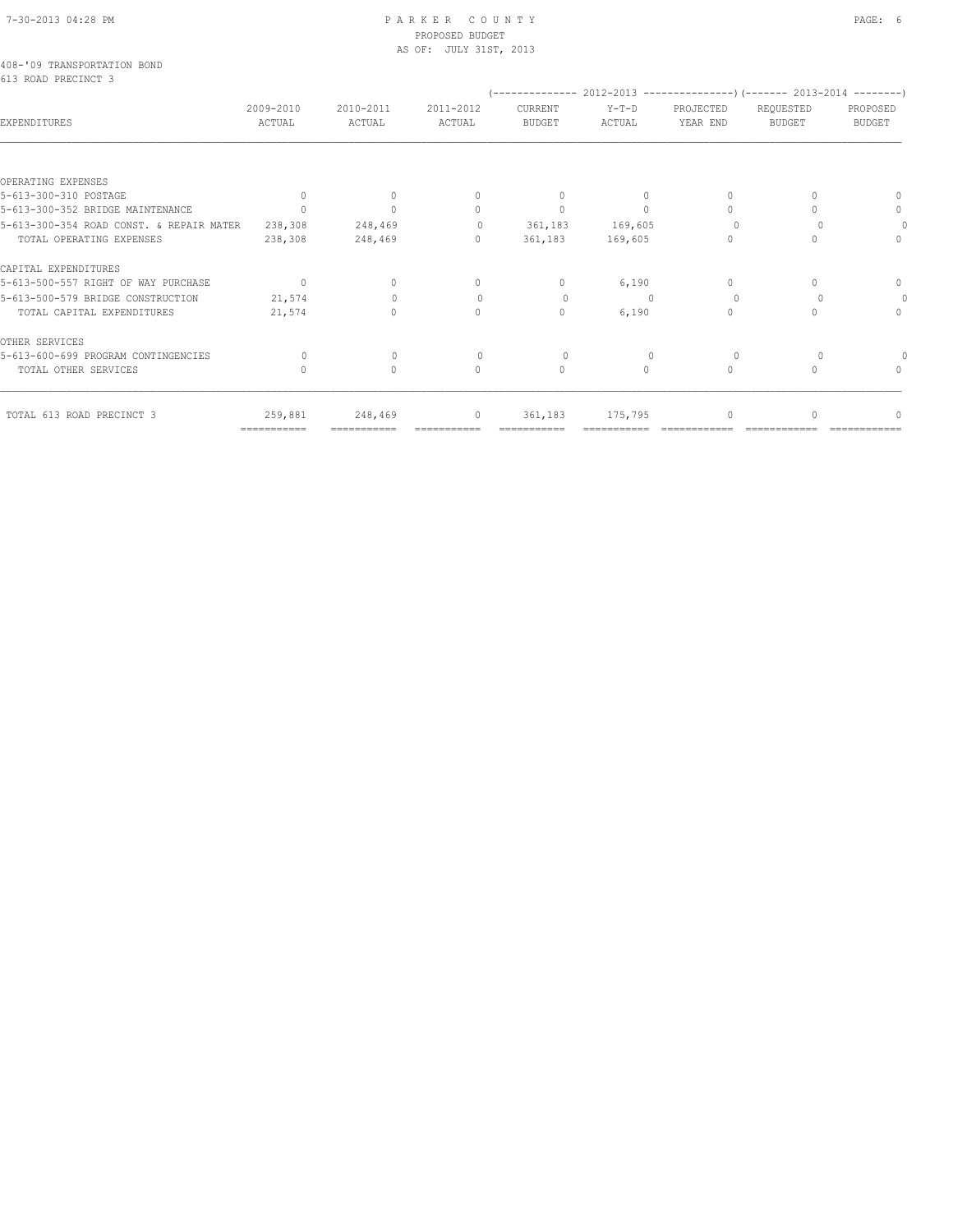### 7-30-2013 04:28 PM P A R K E R C O U N T Y PAGE: 6 PROPOSED BUDGET AS OF: JULY 31ST, 2013

|  | 408-'09 TRANSPORTATION BOND |  |  |
|--|-----------------------------|--|--|
|  | 613 ROAD PRECINCT 3         |  |  |

|                                          |                           |                     |                                  |                          |                 |                       | $(---------- 2012-2013$ ----------------) (------- 2013-2014 --------) |                           |
|------------------------------------------|---------------------------|---------------------|----------------------------------|--------------------------|-----------------|-----------------------|------------------------------------------------------------------------|---------------------------|
| <b>EXPENDITURES</b>                      | 2009-2010<br>ACTUAL       | 2010-2011<br>ACTUAL | 2011-2012<br>ACTUAL              | CURRENT<br><b>BUDGET</b> | Y-T-D<br>ACTUAL | PROJECTED<br>YEAR END | REQUESTED<br><b>BUDGET</b>                                             | PROPOSED<br><b>BUDGET</b> |
|                                          |                           |                     |                                  |                          |                 |                       |                                                                        |                           |
| OPERATING EXPENSES                       |                           |                     |                                  |                          |                 |                       |                                                                        |                           |
| 5-613-300-310 POSTAGE                    | $\bigcap$                 |                     |                                  | $\Omega$                 | $\Omega$        |                       |                                                                        |                           |
| 5-613-300-352 BRIDGE MAINTENANCE         |                           |                     | $\begin{array}{c} \n\end{array}$ | $\mathbf{0}$             | $\Omega$        | $\cap$                |                                                                        |                           |
| 5-613-300-354 ROAD CONST. & REPAIR MATER | 238,308                   | 248,469             | $\circ$                          | 361,183                  | 169,605         |                       |                                                                        |                           |
| TOTAL OPERATING EXPENSES                 | 238,308                   | 248,469             | $\Omega$                         | 361,183                  | 169,605         | $\bigcap$             |                                                                        |                           |
| CAPITAL EXPENDITURES                     |                           |                     |                                  |                          |                 |                       |                                                                        |                           |
| 5-613-500-557 RIGHT OF WAY PURCHASE      | $\Omega$                  | $\cap$              | $\Omega$                         | $\Omega$                 | 6,190           | $\Omega$              |                                                                        |                           |
| 5-613-500-579 BRIDGE CONSTRUCTION        | 21,574                    |                     | $\begin{array}{c} \n\end{array}$ | $\Omega$                 |                 | $\Omega$              |                                                                        |                           |
| TOTAL CAPITAL EXPENDITURES               | 21,574                    |                     | $\bigcap$                        | $\mathbf{0}$             | 6,190           | $\bigcap$             |                                                                        |                           |
| OTHER SERVICES                           |                           |                     |                                  |                          |                 |                       |                                                                        |                           |
| 5-613-600-699 PROGRAM CONTINGENCIES      |                           | $\bigcap$           |                                  |                          |                 | $\bigcap$             |                                                                        |                           |
| TOTAL OTHER SERVICES                     | ∩                         | 0                   | $\bigcap$                        | $\Omega$                 | $\bigcap$       | $\Omega$              |                                                                        |                           |
| TOTAL 613 ROAD PRECINCT 3                | 259,881                   | 248,469             | $\Omega$                         | 361,183                  | 175,795         |                       |                                                                        |                           |
|                                          | $=$ = = = = = = = = = = = |                     |                                  |                          |                 |                       |                                                                        |                           |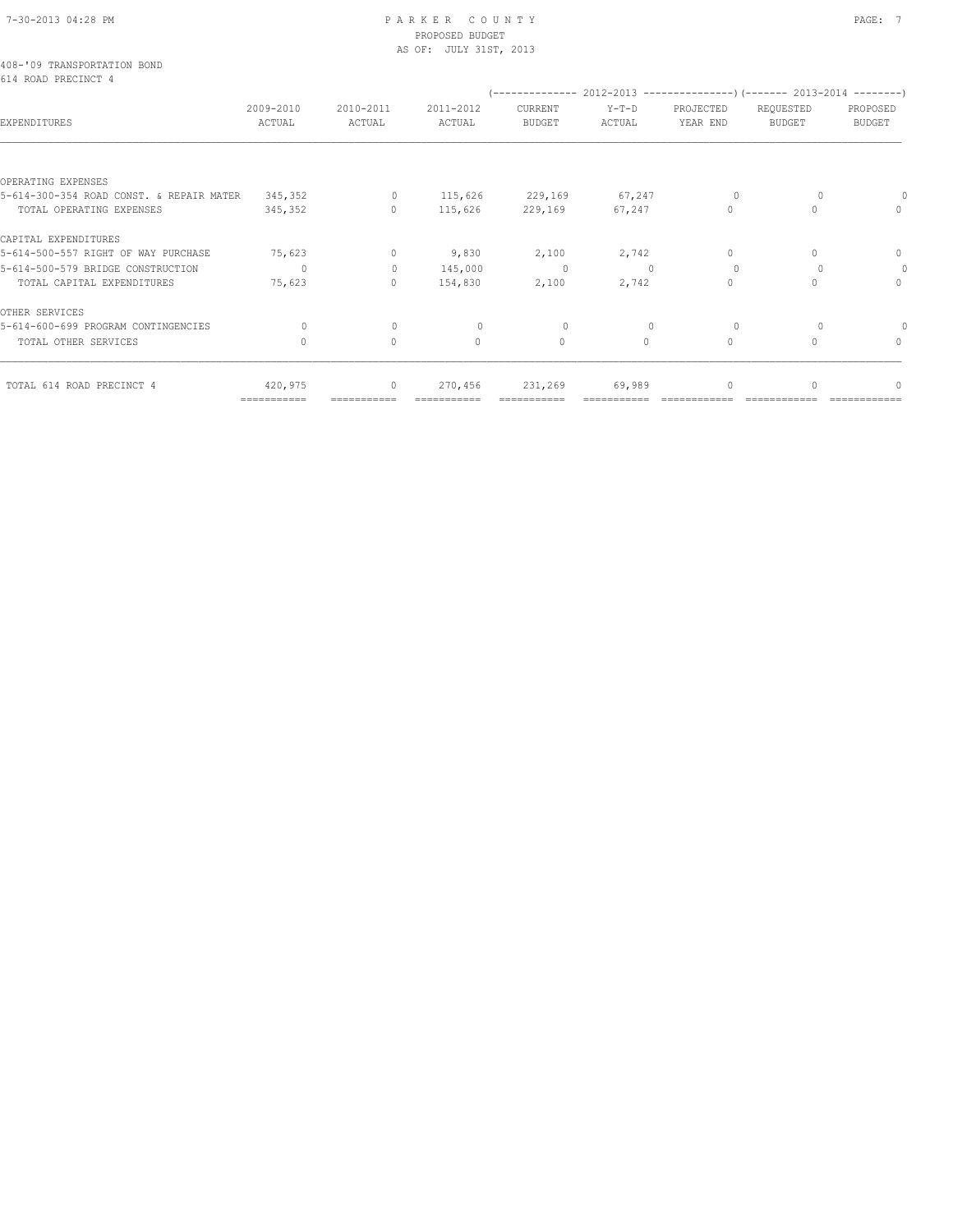### 7-30-2013 04:28 PM P A R K E R C O U N T Y PAGE: 7 PROPOSED BUDGET AS OF: JULY 31ST, 2013

|  | 408-'09 TRANSPORTATION BOND |  |  |
|--|-----------------------------|--|--|
|  | 614 ROAD PRECINCT 4         |  |  |

|                                          |                     |                     |                     |                   | (-------------- 2012-2013 -----------------) (------- 2013-2014 --------) |                       |                                  |                           |
|------------------------------------------|---------------------|---------------------|---------------------|-------------------|---------------------------------------------------------------------------|-----------------------|----------------------------------|---------------------------|
| EXPENDITURES                             | 2009-2010<br>ACTUAL | 2010-2011<br>ACTUAL | 2011-2012<br>ACTUAL | CURRENT<br>BUDGET | $Y-T-D$<br>ACTUAL                                                         | PROJECTED<br>YEAR END | REQUESTED<br>BUDGET              | PROPOSED<br><b>BUDGET</b> |
|                                          |                     |                     |                     |                   |                                                                           |                       |                                  |                           |
| OPERATING EXPENSES                       |                     |                     |                     |                   |                                                                           |                       |                                  |                           |
| 5-614-300-354 ROAD CONST. & REPAIR MATER | 345,352             | $\circ$             | 115,626             | 229,169           | 67, 247                                                                   | 0                     | $\Omega$                         | $\Omega$                  |
| TOTAL OPERATING EXPENSES                 | 345,352             | $\Omega$            | 115,626             | 229,169           | 67,247                                                                    | $\Omega$              | $\begin{array}{c} \n\end{array}$ | $\Omega$                  |
| CAPITAL EXPENDITURES                     |                     |                     |                     |                   |                                                                           |                       |                                  |                           |
| 5-614-500-557 RIGHT OF WAY PURCHASE      | 75,623              | 0                   | 9,830               | 2,100             | 2,742                                                                     | 0                     | $\Omega$                         | $\circ$                   |
| 5-614-500-579 BRIDGE CONSTRUCTION        | $\cap$              | $\Omega$            | 145,000             | $\circ$           | $\Omega$                                                                  | $\Omega$              | $\Omega$                         | $\circ$                   |
| TOTAL CAPITAL EXPENDITURES               | 75,623              | 0                   | 154,830             | 2,100             | 2,742                                                                     | $\Omega$              | $\cap$                           | $\Omega$                  |
| OTHER SERVICES                           |                     |                     |                     |                   |                                                                           |                       |                                  |                           |
| 5-614-600-699 PROGRAM CONTINGENCIES      | $\Omega$            | $\mathbf{0}$        | $\Omega$            | $\Omega$          | $\mathbf{0}$                                                              | $\Omega$              | $\Omega$                         |                           |
| TOTAL OTHER SERVICES                     | $\cap$              | $\Omega$            | $\Omega$            | $\mathbf{0}$      | $\cap$                                                                    | $\Omega$              | $\bigcap$                        | $\Omega$                  |
| TOTAL 614 ROAD PRECINCT 4                | 420,975             | $\mathbf{0}$        | 270,456             | 231,269           | 69,989                                                                    | 0                     | $\begin{array}{c} \n\end{array}$ | $\cap$                    |
|                                          | ===========         |                     |                     |                   |                                                                           |                       |                                  |                           |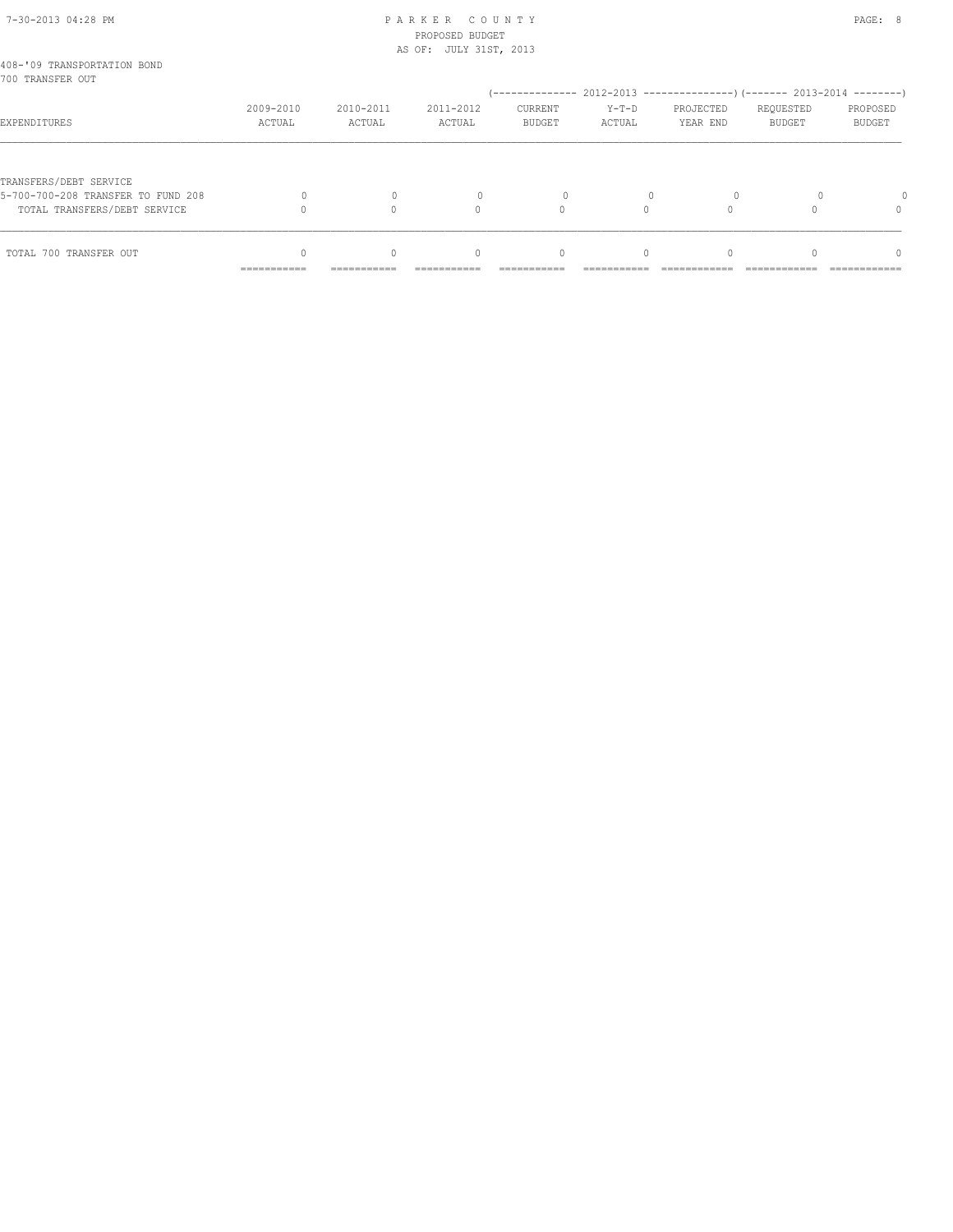# 7-30-2013 04:28 PM P A R K E R C O U N T Y PAGE: 8 PROPOSED BUDGET

|                                                 |                     |                     | AS OF: JULY 31ST, 2013           |                                  |                   |                                                          |                            |                           |
|-------------------------------------------------|---------------------|---------------------|----------------------------------|----------------------------------|-------------------|----------------------------------------------------------|----------------------------|---------------------------|
| 408-'09 TRANSPORTATION BOND<br>700 TRANSFER OUT |                     |                     |                                  |                                  |                   |                                                          |                            |                           |
|                                                 |                     |                     |                                  |                                  |                   | $(----------2012-2013---------)$ $(----2013-2014------)$ |                            |                           |
| EXPENDITURES                                    | 2009-2010<br>ACTUAL | 2010-2011<br>ACTUAL | 2011-2012<br>ACTUAL              | CURRENT<br><b>BUDGET</b>         | $Y-T-D$<br>ACTUAL | PROJECTED<br>YEAR END                                    | REQUESTED<br><b>BUDGET</b> | PROPOSED<br><b>BUDGET</b> |
|                                                 |                     |                     |                                  |                                  |                   |                                                          |                            |                           |
| TRANSFERS/DEBT SERVICE                          |                     |                     |                                  |                                  |                   |                                                          |                            |                           |
| 5-700-700-208 TRANSFER TO FUND 208              |                     |                     |                                  |                                  |                   |                                                          |                            |                           |
| TOTAL TRANSFERS/DEBT SERVICE                    |                     |                     | 0                                | $\Omega$                         |                   |                                                          |                            | 0                         |
| TOTAL 700 TRANSFER OUT                          |                     | $\bigcap$           | $\begin{array}{c} \n\end{array}$ | $\begin{array}{c} \n\end{array}$ | $\Omega$          | $\Omega$                                                 |                            | $\Omega$                  |
|                                                 | ===========         | ===========         |                                  |                                  |                   |                                                          |                            |                           |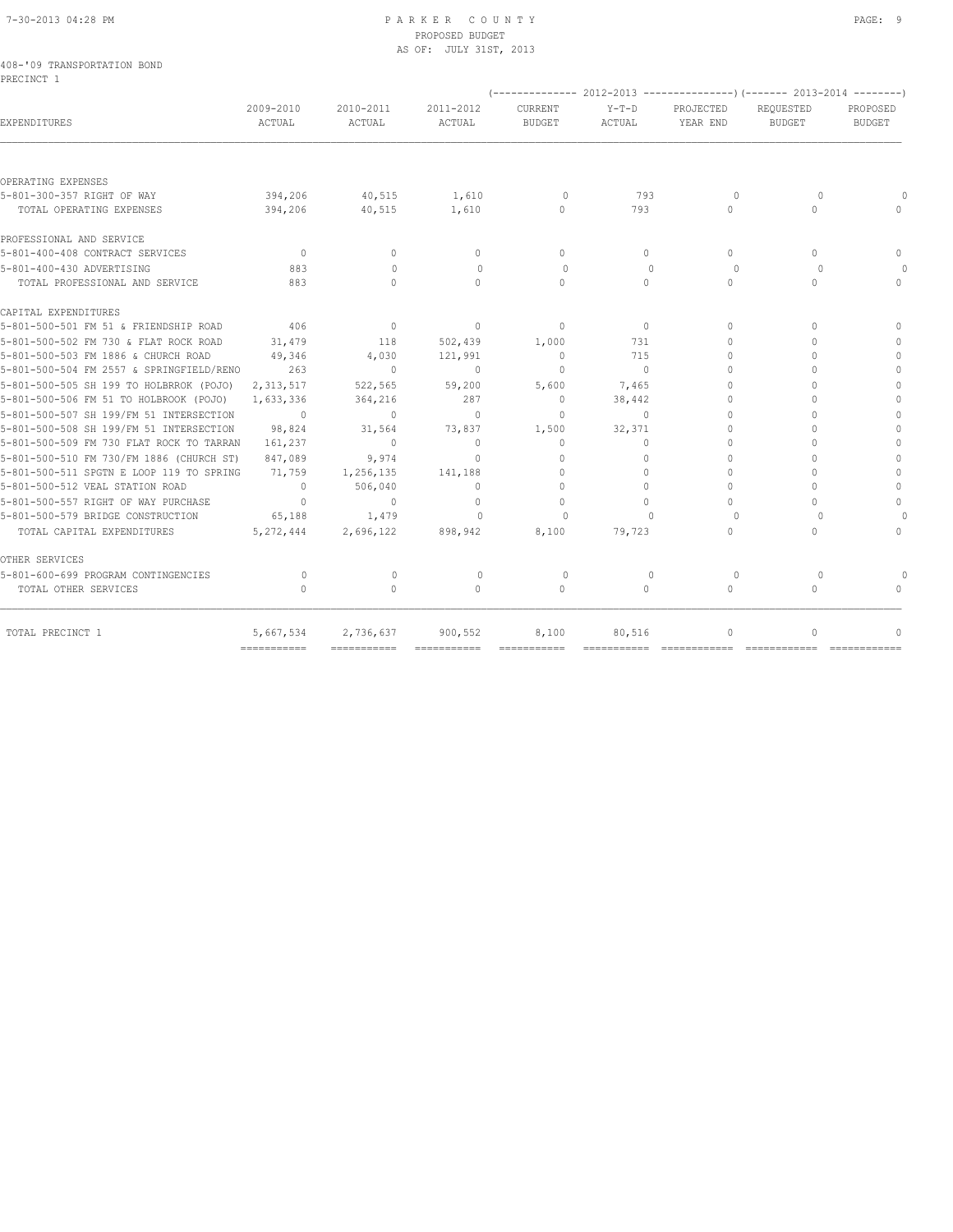### 7-30-2013 04:28 PM P A R K E R C O U N T Y PAGE: 9 PROPOSED BUDGET AS OF: JULY 31ST, 2013

|            | 408-'09 TRANSPORTATION BOND |  |
|------------|-----------------------------|--|
| PRECINCT 1 |                             |  |

| 2009-2010<br>ACTUAL | 2010-2011<br>ACTUAL                                                                                                                                                          | 2011-2012<br>ACTUAL | CURRENT<br><b>BUDGET</b>         | $Y-T-D$<br>ACTUAL | PROJECTED<br>YEAR END            | REOUESTED<br><b>BUDGET</b> | PROPOSED<br>BUDGET                                                      |
|---------------------|------------------------------------------------------------------------------------------------------------------------------------------------------------------------------|---------------------|----------------------------------|-------------------|----------------------------------|----------------------------|-------------------------------------------------------------------------|
|                     |                                                                                                                                                                              |                     |                                  |                   |                                  |                            |                                                                         |
|                     |                                                                                                                                                                              |                     |                                  |                   |                                  |                            |                                                                         |
| 394,206             | 40,515                                                                                                                                                                       |                     | $\Omega$                         | 793               | $\Omega$                         | $\Omega$                   |                                                                         |
| 394,206             | 40,515                                                                                                                                                                       |                     | $\Omega$                         | 793               | $\begin{array}{c} \n\end{array}$ | $\Omega$                   |                                                                         |
|                     |                                                                                                                                                                              |                     |                                  |                   |                                  |                            |                                                                         |
| $\overline{0}$      | $\Omega$                                                                                                                                                                     | $\Omega$            | $\Omega$                         | $\cap$            | $\Omega$                         | $\cap$                     | $\bigcap$                                                               |
| 883                 | $\bigcap$                                                                                                                                                                    | $\bigcap$           | $\Omega$                         | $\Omega$          | $\cap$                           | $\Omega$                   |                                                                         |
| 883                 | $\Omega$                                                                                                                                                                     | $\Omega$            | $\bigcap$                        | $\cap$            | $\Omega$                         | $\cap$                     | $\begin{array}{c} \n\end{array}$                                        |
|                     |                                                                                                                                                                              |                     |                                  |                   |                                  |                            |                                                                         |
| 406                 | $\overline{\phantom{0}}$                                                                                                                                                     | $\circ$             | $\Omega$                         | $\overline{0}$    | $\Omega$                         | $\Omega$                   | $\cap$                                                                  |
| 31,479              | 118                                                                                                                                                                          | 502,439             | 1,000                            | 731               | $\Omega$                         | $\Omega$                   |                                                                         |
| 49,346              | 4,030                                                                                                                                                                        | 121,991             | $\mathbf{0}$                     | 715               | $\Omega$                         | ∩                          | $\begin{array}{c} \n\end{array}$                                        |
| 263                 | $\overline{0}$                                                                                                                                                               | $\Omega$            | $\Omega$                         | $\bigcirc$        | $\Omega$                         | $\cap$                     | $\Omega$                                                                |
| 2, 313, 517         | 522,565                                                                                                                                                                      | 59,200              | 5,600                            | 7,465             | $\cap$                           |                            | $\bigcap$                                                               |
| 1,633,336           | 364,216                                                                                                                                                                      | 287                 | $\mathbf{0}$                     | 38,442            | $\Omega$                         | $\cap$                     | $\bigcap$                                                               |
| $\sim$ 0            | $\bigcirc$                                                                                                                                                                   | $\Omega$            | $\Omega$                         | $\Omega$          | $\Omega$                         | $\Omega$                   | $\begin{array}{c} \n\end{array}$                                        |
| 98,824              | 31,564                                                                                                                                                                       | 73,837              | 1,500                            | 32,371            | $\Omega$                         | 0                          | $\Omega$                                                                |
| 161,237             | $\sim$ 0                                                                                                                                                                     | $\circ$             | $\mathbf{0}$                     | $\Omega$          | $\Omega$                         | $\cap$                     | $\Omega$                                                                |
| 847,089             | 9,974                                                                                                                                                                        | $\mathbf{0}$        | $\begin{array}{c} \n\end{array}$ | 0                 | $\Omega$                         | 0                          | $\mathbf{0}$                                                            |
| 71,759              | 1,256,135                                                                                                                                                                    | 141,188             | $\Omega$                         | $\bigcap$         | $\cap$                           |                            | $\Omega$                                                                |
| $\overline{0}$      | 506,040                                                                                                                                                                      | $\Omega$            | $\Omega$                         | $\cap$            | $\Omega$                         | $\cap$                     | $\Omega$                                                                |
| $\overline{0}$      | $\Omega$                                                                                                                                                                     | $\Omega$            | $\Omega$                         | $\cap$            | $\bigcap$                        | 0                          | $\begin{array}{c} \n\end{array}$                                        |
| 65,188              | 1,479                                                                                                                                                                        | $\Omega$            | $\Omega$                         | $\bigcap$         | $\Omega$                         | $\cap$                     |                                                                         |
| 5,272,444           | 2,696,122                                                                                                                                                                    | 898,942             | 8,100                            | 79,723            | $\bigcap$                        | 0                          | $\begin{array}{c} \n\end{array}$                                        |
|                     |                                                                                                                                                                              |                     |                                  |                   |                                  |                            |                                                                         |
| $\Omega$            | $\mathbf{0}$                                                                                                                                                                 | $\circ$             | $\circ$                          | $\mathbf{0}$      | 0                                | $\Omega$                   |                                                                         |
| $\bigcap$           | $\Omega$                                                                                                                                                                     | $\Omega$            | $\Omega$                         | $\Omega$          | $\bigcap$                        | $\cap$                     |                                                                         |
| 5,667,534           |                                                                                                                                                                              | 900,552             | 8,100                            | 80,516            | 0                                | 0                          | $\begin{array}{c} \n\end{array}$                                        |
|                     | 5-801-500-504 FM 2557 & SPRINGFIELD/RENO<br>5-801-500-509 FM 730 FLAT ROCK TO TARRAN<br>5-801-500-510 FM 730/FM 1886 (CHURCH ST)<br>5-801-500-511 SPGTN E LOOP 119 TO SPRING | 2,736,637           | 1,610<br>1,610                   |                   |                                  |                            | -------------- 2012-2013 ----------------) (------- 2013-2014 --------) |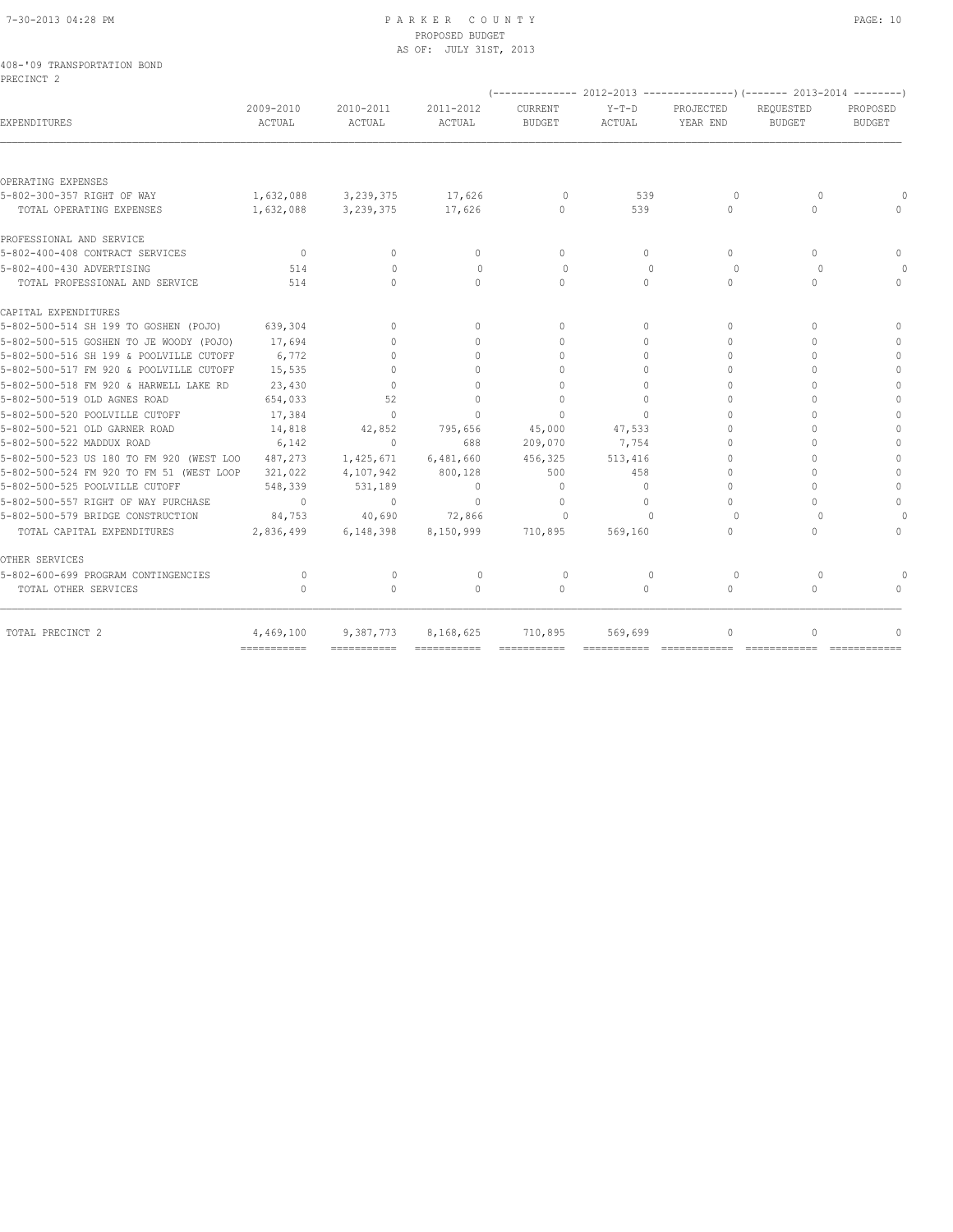# 7-30-2013 04:28 PM P A R K E R C O U N T Y PAGE: 10 PROPOSED BUDGET

| 408-'09 TRANSPORTATION BOND              |                                  |                     | AS OF: JULY 31ST, 2013           |                                  |                   |                                                                          |                                  |                           |
|------------------------------------------|----------------------------------|---------------------|----------------------------------|----------------------------------|-------------------|--------------------------------------------------------------------------|----------------------------------|---------------------------|
| PRECINCT <sub>2</sub>                    |                                  |                     |                                  |                                  |                   |                                                                          |                                  |                           |
|                                          |                                  |                     |                                  |                                  |                   | (-------------- 2012-2013 -----------------) (------- 2013-2014 -------- |                                  |                           |
| EXPENDITURES                             | 2009-2010<br>ACTUAL              | 2010-2011<br>ACTUAL | 2011-2012<br>ACTUAL              | CURRENT<br><b>BUDGET</b>         | $Y-T-D$<br>ACTUAL | PROJECTED<br>YEAR END                                                    | REQUESTED<br><b>BUDGET</b>       | PROPOSED<br><b>BUDGET</b> |
|                                          |                                  |                     |                                  |                                  |                   |                                                                          |                                  |                           |
| OPERATING EXPENSES                       |                                  |                     |                                  |                                  |                   |                                                                          |                                  |                           |
| 5-802-300-357 RIGHT OF WAY               | 1,632,088                        | 3, 239, 375         | 17,626                           | $\Omega$                         | 539               | $\circ$                                                                  | $\Omega$                         |                           |
| TOTAL OPERATING EXPENSES                 | 1,632,088                        | 3,239,375           | 17,626                           | $\Omega$                         | 539               | $\Omega$                                                                 | $\begin{array}{c} \n\end{array}$ |                           |
| PROFESSIONAL AND SERVICE                 |                                  |                     |                                  |                                  |                   |                                                                          |                                  |                           |
| 5-802-400-408 CONTRACT SERVICES          | $\circ$                          | $\Omega$            | $\mathbf{0}$                     | $\Omega$                         | $\circ$           | $\Omega$                                                                 | $\Omega$                         | $\Omega$                  |
| 5-802-400-430 ADVERTISING                | 514                              | $\mathbf{0}$        | $\mathbf{0}$                     | $\circ$                          | $\Omega$          | 0                                                                        | $\Omega$                         |                           |
| TOTAL PROFESSIONAL AND SERVICE           | 514                              | $\Omega$            | $\Omega$                         | $\Omega$                         | $\Omega$          | $\Omega$                                                                 | $\Omega$                         | $\Omega$                  |
| CAPITAL EXPENDITURES                     |                                  |                     |                                  |                                  |                   |                                                                          |                                  |                           |
| 5-802-500-514 SH 199 TO GOSHEN (POJO)    | 639,304                          | $\Omega$            | $\mathbf{0}$                     | $\mathbf{0}$                     | $\circ$           | $\mathbf{0}$                                                             | $\Omega$                         | $\mathbf{0}$              |
| 5-802-500-515 GOSHEN TO JE WOODY (POJO)  | 17,694                           | $\bigcap$           | $\begin{array}{c} \n\end{array}$ | $\begin{array}{c} \n\end{array}$ | $\Omega$          | $\Omega$                                                                 | $\bigcap$                        |                           |
| 5-802-500-516 SH 199 & POOLVILLE CUTOFF  | 6,772                            | $\Omega$            | $\mathbf{0}$                     | $\begin{array}{c} \n\end{array}$ | $\circ$           | $\Omega$                                                                 | $\Omega$                         | $\Omega$                  |
| 5-802-500-517 FM 920 & POOLVILLE CUTOFF  | 15,535                           | $\Omega$            | $\begin{array}{c} \n\end{array}$ | $\begin{array}{c} \n\end{array}$ | $\Omega$          | $\Omega$                                                                 | $\bigcap$                        | $\Omega$                  |
| 5-802-500-518 FM 920 & HARWELL LAKE RD   | 23,430                           | $\Omega$            | $\mathbf{0}$                     | $\mathbf{0}$                     | $\circ$           | $\mathbf{0}$                                                             |                                  | $\mathbf{0}$              |
| 5-802-500-519 OLD AGNES ROAD             | 654,033                          | 52                  | $\Omega$                         | $\Omega$                         | $\bigcap$         | $\Omega$                                                                 | O                                | $\Omega$                  |
| 5-802-500-520 POOLVILLE CUTOFF           | 17,384                           | $\Omega$            | $\Omega$                         | $\Omega$                         | $\Omega$          | $\Omega$                                                                 | $\Omega$                         | $\Omega$                  |
| 5-802-500-521 OLD GARNER ROAD            | 14,818                           | 42,852              | 795,656                          | 45,000                           | 47,533            | $\Omega$                                                                 |                                  | $\Omega$                  |
| 5-802-500-522 MADDUX ROAD                | 6,142                            | $\mathbf{0}$        | 688                              | 209,070                          | 7,754             | $\Omega$                                                                 | $\Omega$                         | $\mathbf{0}$              |
| 5-802-500-523 US 180 TO FM 920 (WEST LOO | 487,273                          | 1,425,671           | 6,481,660                        | 456,325                          | 513,416           | $\Omega$                                                                 | $\Omega$                         | $\mathbf{0}$              |
| 5-802-500-524 FM 920 TO FM 51 (WEST LOOP | 321,022                          | 4,107,942           | 800,128                          | 500                              | 458               | 0                                                                        | $\Omega$                         | $\mathbf{0}$              |
| 5-802-500-525 POOLVILLE CUTOFF           | 548,339                          | 531,189             | $\mathbf{0}$                     | $\circ$                          | $\circ$           | $\Omega$                                                                 | $\cap$                           | $\mathbf{0}$              |
| 5-802-500-557 RIGHT OF WAY PURCHASE      | $\overline{0}$                   | $\mathbf{0}$        | $\mathbf{0}$                     | $\mathbf{0}$                     | $\circ$           | $\Omega$                                                                 | $\begin{array}{c} \n\end{array}$ | $\mathbf{0}$              |
| 5-802-500-579 BRIDGE CONSTRUCTION        | 84,753                           | 40,690              | 72,866                           | $\cap$                           | $\cap$            | $\Omega$                                                                 | $\Omega$                         |                           |
| TOTAL CAPITAL EXPENDITURES               | 2,836,499                        | 6,148,398           | 8,150,999                        | 710,895                          | 569,160           | $\Omega$                                                                 | $\Omega$                         | $\Omega$                  |
| OTHER SERVICES                           |                                  |                     |                                  |                                  |                   |                                                                          |                                  |                           |
| 5-802-600-699 PROGRAM CONTINGENCIES      | $\circ$                          | $\circ$             | $\mathbf 0$                      | $\circ$                          | $\mathbf{0}$      | $\circ$                                                                  | $\circ$                          |                           |
| TOTAL OTHER SERVICES                     | $\begin{array}{c} \n\end{array}$ | $\circ$             | $\Omega$                         | $\mathbf{0}$                     | $\circ$           | $\circ$                                                                  | $\mathbf{0}$                     |                           |
|                                          |                                  |                     |                                  |                                  |                   |                                                                          |                                  |                           |
| TOTAL PRECINCT 2                         | 4,469,100                        | 9,387,773           | 8,168,625                        | 710,895                          | 569,699           | $\Omega$                                                                 | $\Omega$                         | $\Omega$                  |

=========== =========== =========== =========== =========== ============ ============ ============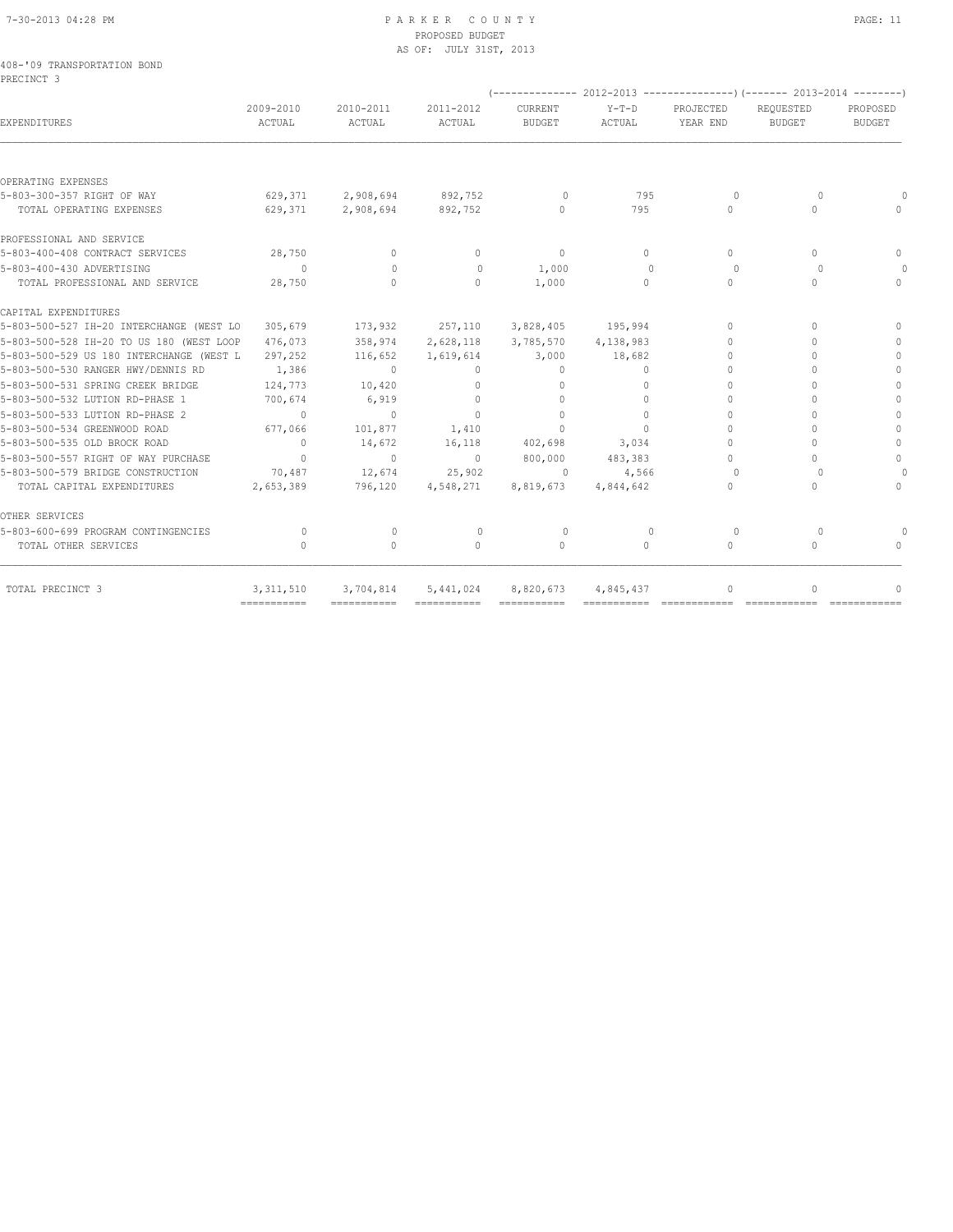#### 7-30-2013 04:28 PM P A R K E R C O U N T Y PAGE: 11 PROPOSED BUDGET AS OF: JULY 31ST, 2013

| 408-'09 TRANSPORTATION BOND<br>PRECINCT 3 |           |
|-------------------------------------------|-----------|
|                                           | 2009-2010 |

|                                          |                     |                     |                           |                   |                   | (-------------- 2012-2013 ----------------) (------- 2013-2014 --------) |                            |                    |
|------------------------------------------|---------------------|---------------------|---------------------------|-------------------|-------------------|--------------------------------------------------------------------------|----------------------------|--------------------|
| EXPENDITURES                             | 2009-2010<br>ACTUAL | 2010-2011<br>ACTUAL | 2011-2012<br>ACTUAL       | CURRENT<br>BUDGET | $Y-T-D$<br>ACTUAL | PROJECTED<br>YEAR END                                                    | REOUESTED<br><b>BUDGET</b> | PROPOSED<br>BUDGET |
|                                          |                     |                     |                           |                   |                   |                                                                          |                            |                    |
| OPERATING EXPENSES                       |                     |                     |                           |                   |                   |                                                                          |                            |                    |
| 5-803-300-357 RIGHT OF WAY               |                     | 629,371 2,908,694   | 892,752                   | $\Omega$          | 795               | $\Omega$                                                                 | $\Omega$                   |                    |
| TOTAL OPERATING EXPENSES                 | 629,371             | 2,908,694           | 892,752                   | $\bigcap$         | 795               | $\bigcap$                                                                | 0                          |                    |
| PROFESSIONAL AND SERVICE                 |                     |                     |                           |                   |                   |                                                                          |                            |                    |
| 5-803-400-408 CONTRACT SERVICES          | 28,750              | $\bigcap$           | $\Omega$                  | $\Omega$          | $\cap$            | $\Omega$                                                                 | 0                          | $\bigcap$          |
| 5-803-400-430 ADVERTISING                | $\sim$ 0            | $\Omega$            | $\Omega$                  | 1,000             | $\bigcap$         | $\Omega$                                                                 | $\bigcap$                  | $\Omega$           |
| TOTAL PROFESSIONAL AND SERVICE           | 28,750              | $\bigcap$           | $\Omega$                  | 1,000             | $\Omega$          | $\Omega$                                                                 | 0                          | $\bigcap$          |
| CAPITAL EXPENDITURES                     |                     |                     |                           |                   |                   |                                                                          |                            |                    |
| 5-803-500-527 IH-20 INTERCHANGE (WEST LO | 305,679             | 173,932             | 257,110 3,828,405 195,994 |                   |                   | $\bigcap$                                                                | 0                          | $\cap$             |
| 5-803-500-528 IH-20 TO US 180 (WEST LOOP | 476,073             | 358,974             | 2,628,118                 | 3,785,570         | 4,138,983         | $\cap$                                                                   | $\cap$                     | $\bigcap$          |
| 5-803-500-529 US 180 INTERCHANGE (WEST L | 297,252             | 116,652             | 1,619,614                 | 3,000             | 18,682            | $\cap$                                                                   |                            | $\Omega$           |
| 5-803-500-530 RANGER HWY/DENNIS RD       | 1,386               | $\Omega$            | $\Omega$                  | $\Omega$          | $\bigcap$         | $\cap$                                                                   |                            | $\bigcap$          |
| 5-803-500-531 SPRING CREEK BRIDGE        | 124,773             | 10,420              | $\Omega$                  | $\bigcap$         | $\bigcap$         | $\cap$                                                                   | 0                          | $\bigcap$          |
| 5-803-500-532 LUTION RD-PHASE 1          | 700,674             | 6,919               | $\Omega$                  | $\bigcap$         | $\bigcap$         | $\cap$                                                                   |                            | $\Omega$           |
| 5-803-500-533 LUTION RD-PHASE 2          | $\sim$ 0            | $\Omega$            | $\Omega$                  | $\Omega$          | $\Omega$          | $\Omega$                                                                 |                            | $\Omega$           |
| 5-803-500-534 GREENWOOD ROAD             | 677,066             | 101,877             | 1,410                     | $\Omega$          | $\cap$            | $\Omega$                                                                 | $\cap$                     | $\Omega$           |
| 5-803-500-535 OLD BROCK ROAD             | $\overline{0}$      | 14,672              | 16,118                    | 402,698           | 3,034             | $\Omega$                                                                 | $\cap$                     | $\Omega$           |
| 5-803-500-557 RIGHT OF WAY PURCHASE      | $\overline{0}$      | $\sqrt{2}$          | $\overline{0}$            | 800,000           | 483,383           | $\begin{array}{c} \n\end{array}$                                         | 0                          | $\Omega$           |
| 5-803-500-579 BRIDGE CONSTRUCTION        | 70,487              | 12,674              | 25,902                    | $\Omega$          | 4,566             | $\Omega$                                                                 | $\Omega$                   |                    |
| TOTAL CAPITAL EXPENDITURES               | 2,653,389           | 796,120             | 4,548,271                 | 8,819,673         | 4,844,642         | $\bigcap$                                                                | $\cap$                     | $\bigcap$          |
| OTHER SERVICES                           |                     |                     |                           |                   |                   |                                                                          |                            |                    |
| 5-803-600-699 PROGRAM CONTINGENCIES      | $\Omega$            | $\Omega$            | $\Omega$                  | $\Omega$          | $\Omega$          | $\Omega$                                                                 | $\Omega$                   |                    |
| TOTAL OTHER SERVICES                     | $\Omega$            | $\Omega$            | $\Omega$                  | $\Omega$          | $\Omega$          | $\Omega$                                                                 | $\cap$                     | $\bigcap$          |
| TOTAL PRECINCT 3                         | 3, 311, 510         | 3,704,814           | 5,441,024                 | 8,820,673         | 4,845,437         | $\begin{array}{c} \n\end{array}$                                         | 0                          | 0                  |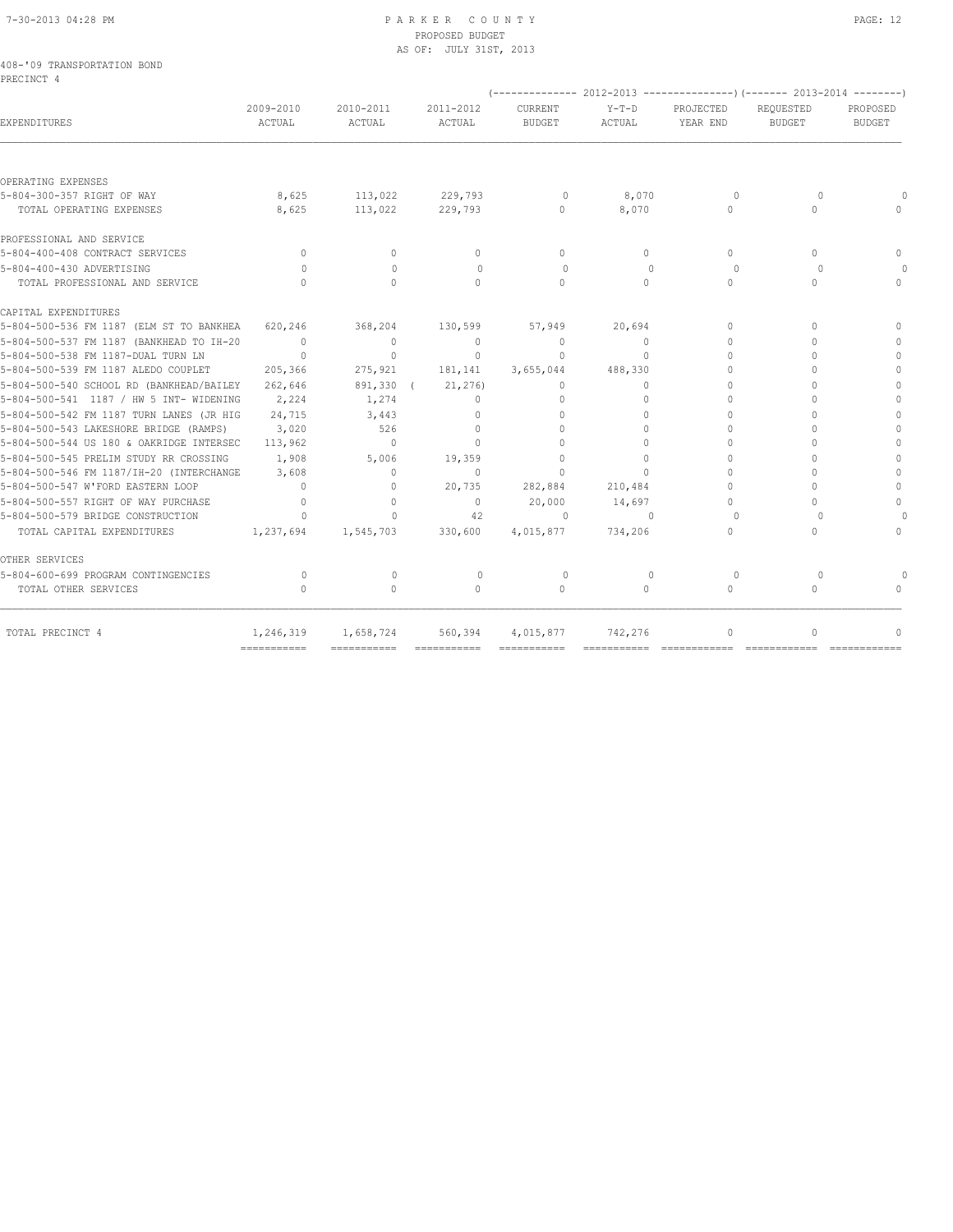# 7-30-2013 04:28 PM P A R K E R C O U N T Y PAGE: 12 PROPOSED BUDGET

|                                           |           |           | AS OF: JULY 31ST, 2013 |               |         |                                                                                |               |               |
|-------------------------------------------|-----------|-----------|------------------------|---------------|---------|--------------------------------------------------------------------------------|---------------|---------------|
| 408-'09 TRANSPORTATION BOND<br>PRECINCT 4 |           |           |                        |               |         |                                                                                |               |               |
|                                           |           |           |                        |               |         | $(-$ ------------- 2012-2013 ------------------- (------- 2013-2014 ---------) |               |               |
|                                           | 2009-2010 | 2010-2011 | 2011-2012              | CURRENT       | $Y-T-D$ | PROJECTED                                                                      | REQUESTED     | PROPOSED      |
| EXPENDITURES                              | ACTUAL    | ACTUAL    | ACTUAL                 | <b>BUDGET</b> | ACTUAL  | YEAR END                                                                       | <b>BUDGET</b> | <b>BUDGET</b> |
|                                           |           |           |                        |               |         |                                                                                |               |               |

| EXPENDITURES                             | ACTUAL                           | ACTUAL                           | ACTUAL                           | <b>BUDGET</b>                    | ACTUAL    | YEAR END                         | <b>BUDGET</b> | <b>BUDGET</b> |
|------------------------------------------|----------------------------------|----------------------------------|----------------------------------|----------------------------------|-----------|----------------------------------|---------------|---------------|
|                                          |                                  |                                  |                                  |                                  |           |                                  |               |               |
| OPERATING EXPENSES                       |                                  |                                  |                                  |                                  |           |                                  |               |               |
| 5-804-300-357 RIGHT OF WAY               | 8,625                            | 113,022                          | 229,793                          | $\Omega$                         | 8,070     | $\Omega$                         | $\Omega$      |               |
| TOTAL OPERATING EXPENSES                 | 8,625                            | 113,022                          | 229,793                          | $\Omega$                         | 8,070     | $\bigcap$                        | $\cap$        |               |
| PROFESSIONAL AND SERVICE                 |                                  |                                  |                                  |                                  |           |                                  |               |               |
| 5-804-400-408 CONTRACT SERVICES          | $\circ$                          | $\Omega$                         | $\Omega$                         | $\Omega$                         | $\Omega$  | $\Omega$                         | $\bigcap$     | $\cap$        |
| 5-804-400-430 ADVERTISING                | $\Omega$                         | $\Omega$                         | $\Omega$                         | $\circ$                          | $\Omega$  | 0                                | $\Omega$      |               |
| TOTAL PROFESSIONAL AND SERVICE           | $\bigcap$                        | $\cap$                           | $\cap$                           | $\Omega$                         | $\Omega$  | $\Omega$                         | $\cap$        | $\bigcap$     |
| CAPITAL EXPENDITURES                     |                                  |                                  |                                  |                                  |           |                                  |               |               |
| 5-804-500-536 FM 1187 (ELM ST TO BANKHEA | 620,246                          | 368,204                          | 130,599                          | 57,949                           | 20,694    | $\begin{array}{c} \n\end{array}$ | $\bigcap$     |               |
| 5-804-500-537 FM 1187 (BANKHEAD TO IH-20 | $\overline{0}$                   | $\Omega$                         | $\mathbf{0}$                     | $\mathbf{0}$                     | $\Omega$  | $\Omega$                         | $\bigcap$     |               |
| 5-804-500-538 FM 1187-DUAL TURN LN       | $\Omega$                         | $\begin{array}{c} \n\end{array}$ | $\Omega$                         | $\Omega$                         | $\Omega$  | $\bigcap$                        |               | $\cap$        |
| 5-804-500-539 FM 1187 ALEDO COUPLET      | 205,366                          | 275,921                          | 181,141                          | 3,655,044                        | 488,330   | $\Omega$                         |               | $\bigcap$     |
| 5-804-500-540 SCHOOL RD (BANKHEAD/BAILEY | 262,646                          | 891,330 (                        | 21,276)                          | $\begin{array}{c} \n\end{array}$ | $\Omega$  | $\Omega$                         |               |               |
| 5-804-500-541 1187 / HW 5 INT- WIDENING  | 2,224                            | 1,274                            | $\Omega$                         | $\begin{array}{c} \n\end{array}$ | $\Omega$  | $\Omega$                         |               |               |
| 5-804-500-542 FM 1187 TURN LANES (JR HIG | 24,715                           | 3,443                            | $\begin{array}{c} \n\end{array}$ | $\begin{array}{c} \n\end{array}$ | $\Omega$  | $\Omega$                         |               | $\Omega$      |
| 5-804-500-543 LAKESHORE BRIDGE (RAMPS)   | 3,020                            | 526                              | $\bigcap$                        | $\bigcap$                        | $\cap$    | $\Omega$                         |               |               |
| 5-804-500-544 US 180 & OAKRIDGE INTERSEC | 113,962                          | $\begin{array}{c} \n\end{array}$ | $\bigcap$                        | $\bigcap$                        | $\cap$    | $\bigcap$                        |               | $\cap$        |
| 5-804-500-545 PRELIM STUDY RR CROSSING   | 1,908                            | 5,006                            | 19,359                           | $\begin{array}{c} \n\end{array}$ | $\Omega$  | $\bigcap$                        |               | $\mathbf{0}$  |
| 5-804-500-546 FM 1187/IH-20 (INTERCHANGE | 3,608                            | $\Omega$                         | $\Omega$                         | $\begin{array}{c} \n\end{array}$ | $\Omega$  | $\cap$                           | $\cap$        | $\circ$       |
| 5-804-500-547 W'FORD EASTERN LOOP        | $\Omega$                         | $\Omega$                         | 20,735                           | 282,884                          | 210,484   | $\Omega$                         |               | $\mathbf{0}$  |
| 5-804-500-557 RIGHT OF WAY PURCHASE      | $\bigcap$                        | $\bigcap$                        | $\circ$                          | 20,000                           | 14,697    | $\bigcap$                        | $\cap$        | $\mathbf{0}$  |
| 5-804-500-579 BRIDGE CONSTRUCTION        | $\Omega$                         | $\bigcap$                        | 42                               | $\Omega$                         | $\bigcap$ | $\Omega$                         |               |               |
| TOTAL CAPITAL EXPENDITURES               | 1,237,694                        | 1,545,703                        | 330,600                          | 4,015,877                        | 734,206   | $\Omega$                         | $\Omega$      | $\Omega$      |
| OTHER SERVICES                           |                                  |                                  |                                  |                                  |           |                                  |               |               |
| 5-804-600-699 PROGRAM CONTINGENCIES      | $\Omega$                         | $\Omega$                         | $\mathbf{0}$                     | $\Omega$                         | $\Omega$  | $\circ$                          | $\cap$        |               |
| TOTAL OTHER SERVICES                     | $\begin{array}{c} \n\end{array}$ | $\Omega$                         | $\Omega$                         | $\Omega$                         | $\Omega$  | $\Omega$                         | $\Omega$      |               |
| TOTAL PRECINCT 4                         | 1,246,319                        | 1,658,724                        | 560,394                          | 4,015,877                        | 742,276   | $\mathbf{0}$                     | $\Omega$      |               |
|                                          | ===========                      |                                  |                                  |                                  |           |                                  |               |               |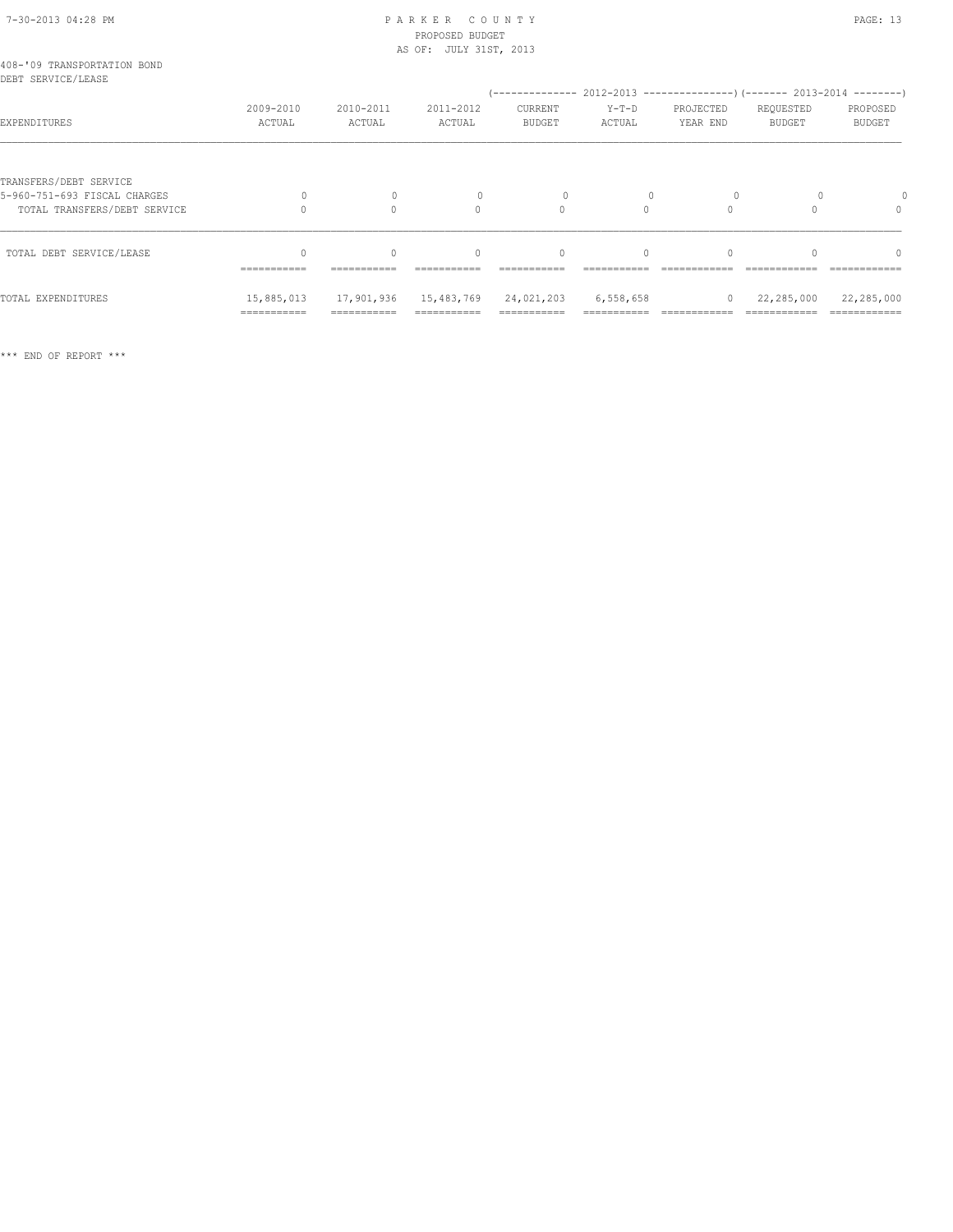# 7-30-2013 04:28 PM P A R K E R C O U N T Y PAGE: 13 PROPOSED BUDGET

|                                                                                        |                     |                     | AS OF: JULY 31ST, 2013             |                                                                                                      |                   |                       |                            |                                  |
|----------------------------------------------------------------------------------------|---------------------|---------------------|------------------------------------|------------------------------------------------------------------------------------------------------|-------------------|-----------------------|----------------------------|----------------------------------|
| 408-'09 TRANSPORTATION BOND<br>DEBT SERVICE/LEASE                                      |                     |                     |                                    |                                                                                                      |                   |                       |                            |                                  |
| EXPENDITURES                                                                           | 2009-2010<br>ACTUAL | 2010-2011<br>ACTUAL | 2011-2012<br>ACTUAL                | (-------------- 2012-2013 ----------------) (------- 2013-2014 --------)<br>CURRENT<br><b>BUDGET</b> | $Y-T-D$<br>ACTUAL | PROJECTED<br>YEAR END | REQUESTED<br><b>BUDGET</b> | PROPOSED<br><b>BUDGET</b>        |
| TRANSFERS/DEBT SERVICE<br>5-960-751-693 FISCAL CHARGES<br>TOTAL TRANSFERS/DEBT SERVICE |                     | 0<br>$\Omega$       | $\Omega$                           | $\circ$                                                                                              | $\Omega$          | $\Omega$              |                            | $\begin{array}{c} \n\end{array}$ |
| TOTAL DEBT SERVICE/LEASE                                                               | -----------         | $\cap$              | $\Omega$<br>---------------------- | $\Omega$<br>-----------                                                                              | $\Omega$          |                       |                            | $\bigcap$                        |
| TOTAL EXPENDITURES                                                                     | 15,885,013          | 17,901,936          | 15,483,769 24,021,203              |                                                                                                      | 6,558,658         | $\circ$               | 22,285,000                 | 22,285,000                       |

=========== =========== =========== =========== =========== ============ ============ ============

\*\*\* END OF REPORT \*\*\*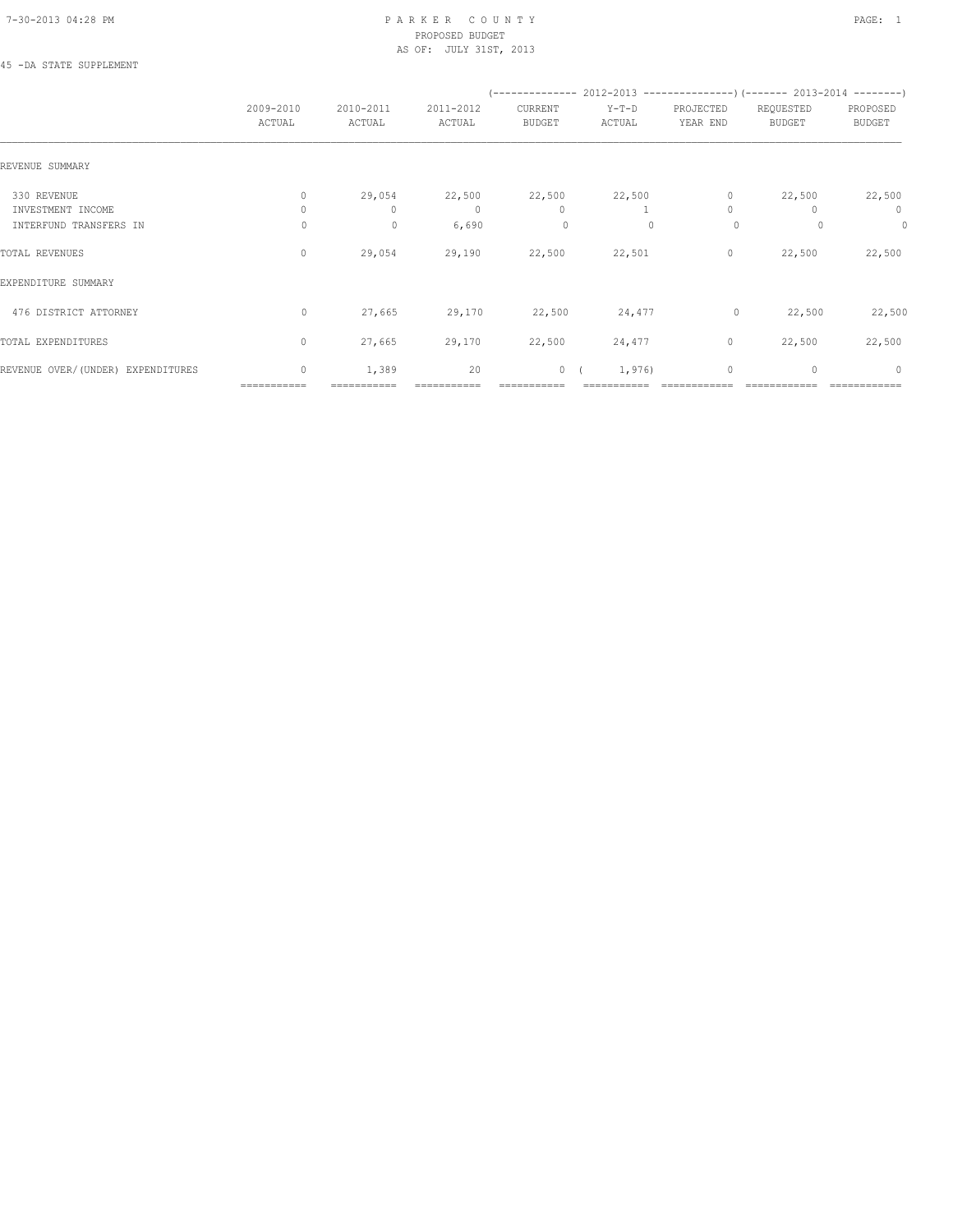#### 7-30-2013 04:28 PM P A R K E R C O U N T Y PAGE: 1 PROPOSED BUDGET AS OF: JULY 31ST, 2013

### 45 -DA STATE SUPPLEMENT

|                                             | 2009-2010<br>ACTUAL    | 2010-2011<br>ACTUAL | 2011-2012<br>ACTUAL | CURRENT<br>BUDGET       | $Y-T-D$<br>ACTUAL | PROJECTED<br>YEAR END | REQUESTED<br><b>BUDGET</b> | PROPOSED<br>BUDGET |
|---------------------------------------------|------------------------|---------------------|---------------------|-------------------------|-------------------|-----------------------|----------------------------|--------------------|
| REVENUE SUMMARY                             |                        |                     |                     |                         |                   |                       |                            |                    |
| 330 REVENUE                                 | 0                      | 29,054              | 22,500              | 22,500                  | 22,500            | $\circ$               | 22,500                     | 22,500             |
| INVESTMENT INCOME<br>INTERFUND TRANSFERS IN | $\Omega$<br>0          | $\mathbf{0}$<br>0   | $\circ$<br>6,690    | $\mathbf{0}$<br>$\circ$ | $\Omega$          | $\Omega$<br>$\circ$   |                            | $\circ$<br>$\circ$ |
| TOTAL REVENUES                              | $\circ$                | 29,054              | 29,190              | 22,500                  | 22,501            | 0                     | 22,500                     | 22,500             |
| EXPENDITURE SUMMARY                         |                        |                     |                     |                         |                   |                       |                            |                    |
| 476 DISTRICT ATTORNEY                       | $\circ$                | 27,665              | 29,170              | 22,500                  | 24,477            | $\circ$               | 22,500                     | 22,500             |
| TOTAL EXPENDITURES                          | $\circ$                | 27,665              | 29,170              | 22,500                  | 24,477            | $\circ$               | 22,500                     | 22,500             |
| REVENUE OVER/(UNDER) EXPENDITURES           | $\circ$<br>=========== | 1,389               | 20                  |                         | 1,976)<br>0(      | $\mathbf{0}$          | $\mathbf{0}$               | $\circ$            |
|                                             |                        |                     |                     |                         |                   |                       |                            |                    |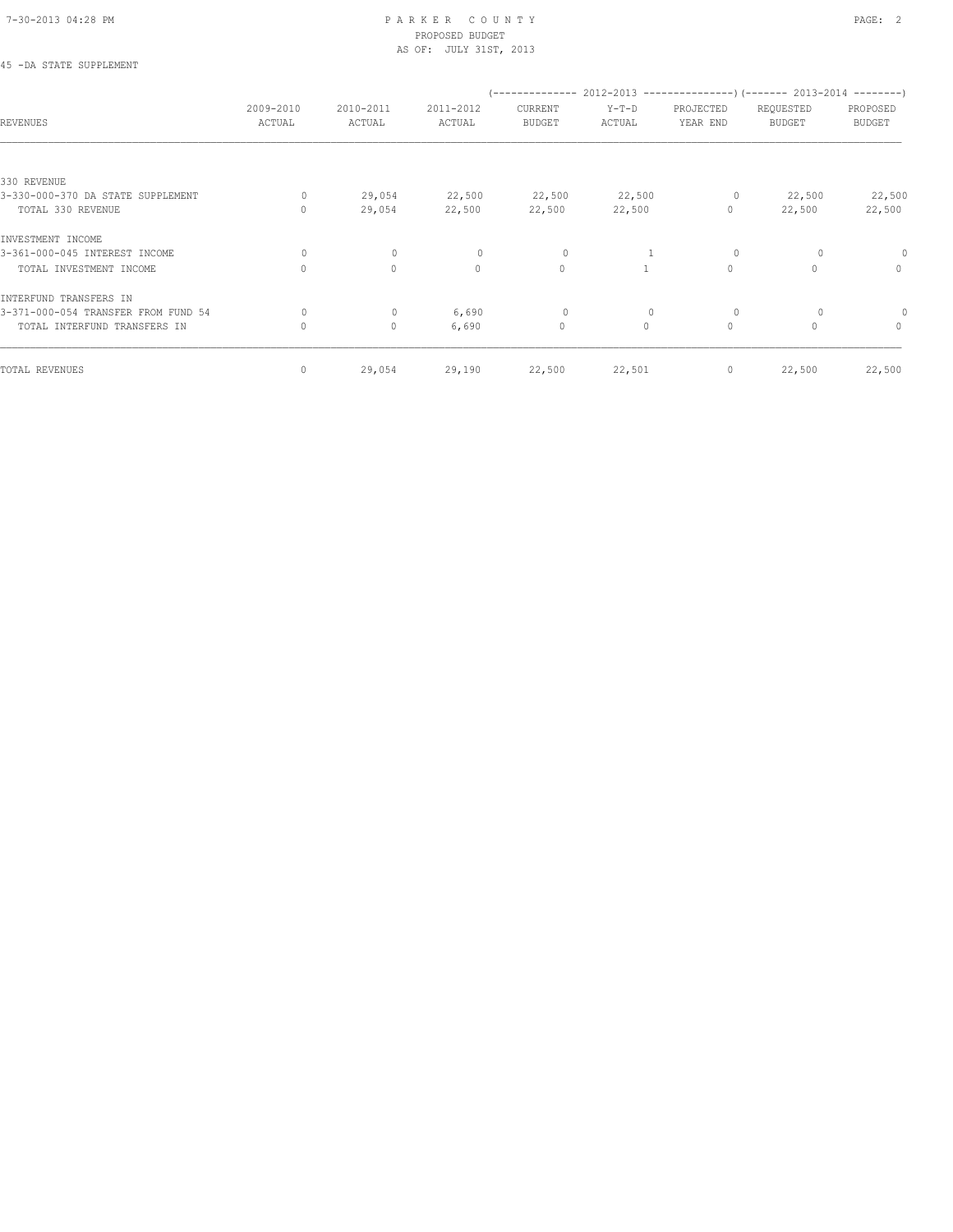45 -DA STATE SUPPLEMENT

### 7-30-2013 04:28 PM P A R K E R C O U N T Y PAGE: 2 PROPOSED BUDGET AS OF: JULY 31ST, 2013

|                                     | 2009-2010    | 2010-2011    | 2011-2012    | /--------------<br>CURRENT | $Y-T-D$      | PROJECTED | $2012-2013$ ----------------) (------- 2013-2014 --------)<br>REQUESTED | PROPOSED      |
|-------------------------------------|--------------|--------------|--------------|----------------------------|--------------|-----------|-------------------------------------------------------------------------|---------------|
| <b>REVENUES</b>                     | ACTUAL       | ACTUAL       | ACTUAL       | <b>BUDGET</b>              | ACTUAL       | YEAR END  | <b>BUDGET</b>                                                           | <b>BUDGET</b> |
|                                     |              |              |              |                            |              |           |                                                                         |               |
| 330 REVENUE                         |              |              |              |                            |              |           |                                                                         |               |
| 3-330-000-370 DA STATE SUPPLEMENT   | 0            | 29,054       | 22,500       | 22,500                     | 22,500       | $\circ$   | 22,500                                                                  | 22,500        |
| TOTAL 330 REVENUE                   | $\bigcap$    | 29,054       | 22,500       | 22,500                     | 22,500       | $\circ$   | 22,500                                                                  | 22,500        |
| INVESTMENT INCOME                   |              |              |              |                            |              |           |                                                                         |               |
| 3-361-000-045 INTEREST INCOME       | 0            | $\mathbf{0}$ | $\mathbf{0}$ | 0                          |              | $\circ$   |                                                                         |               |
| TOTAL INVESTMENT INCOME             | $\Omega$     | $\circ$      | $\circ$      | $\circ$                    |              | $\circ$   | $\Omega$                                                                | $\circ$       |
| INTERFUND TRANSFERS IN              |              |              |              |                            |              |           |                                                                         |               |
| 3-371-000-054 TRANSFER FROM FUND 54 | $\circ$      | $\circ$      | 6,690        | 0                          | $\mathbf{0}$ | $\circ$   |                                                                         |               |
| TOTAL INTERFUND TRANSFERS IN        | $\circ$      | $\circ$      | 6,690        | $\circ$                    | $\circ$      | $\circ$   | $\Omega$                                                                | $\circ$       |
| TOTAL REVENUES                      | $\mathbf{0}$ | 29,054       | 29,190       | 22,500                     | 22,501       | 0         | 22,500                                                                  | 22,500        |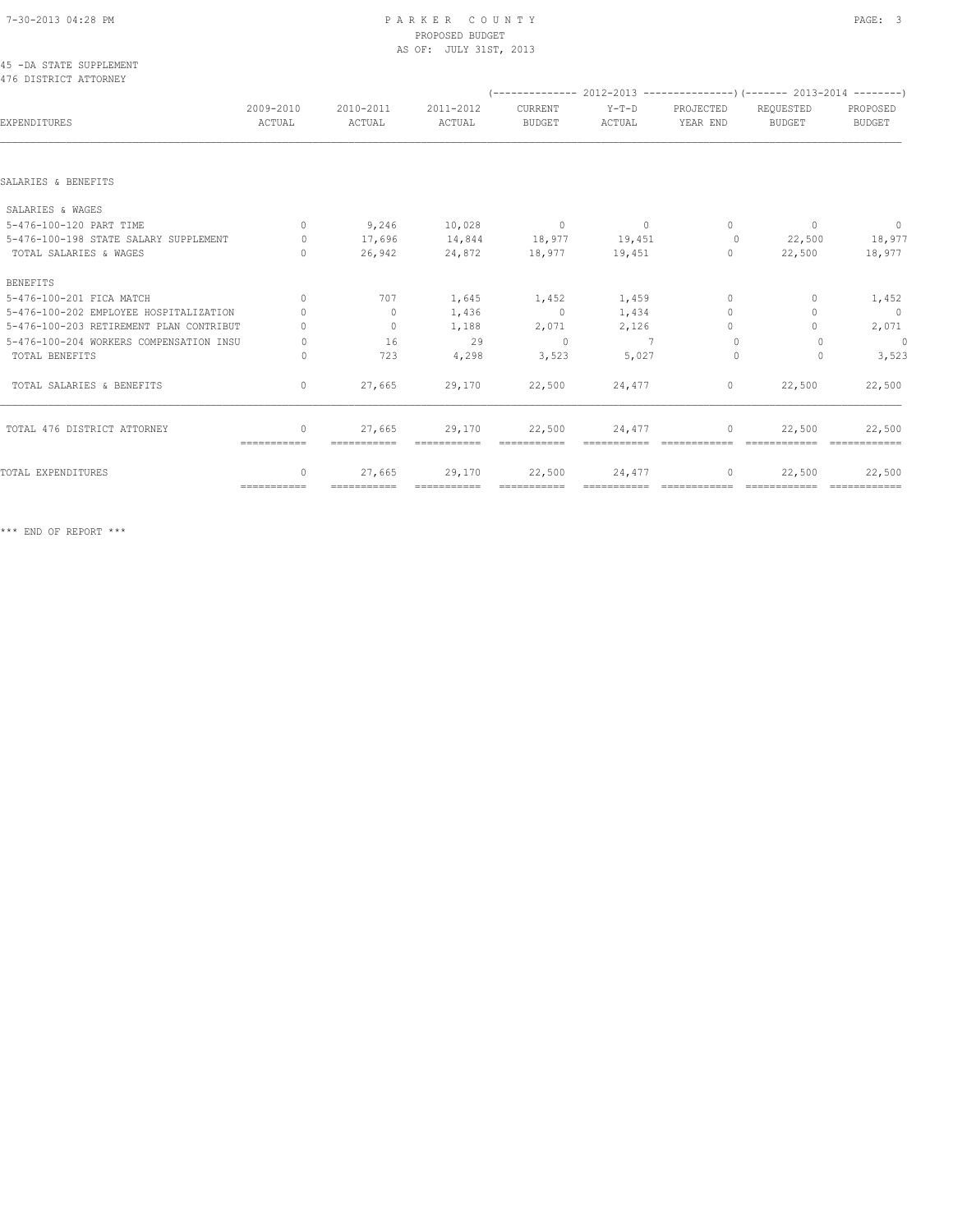#### 7-30-2013 04:28 PM P A R K E R C O U N T Y PAGE: 3 PROPOSED BUDGET AS OF: JULY 31ST, 2013

#### 45 -DA STATE SUPPLEMENT 476 DISTRICT ATTORNEY

|                                         |                     |                     |                       |                          |                   |                       | $(-$ -------------- 2012-2013 -----------------) (------- 2013-2014 --------) |                           |
|-----------------------------------------|---------------------|---------------------|-----------------------|--------------------------|-------------------|-----------------------|-------------------------------------------------------------------------------|---------------------------|
| EXPENDITURES                            | 2009-2010<br>ACTUAL | 2010-2011<br>ACTUAL | 2011-2012<br>ACTUAL   | CURRENT<br><b>BUDGET</b> | $Y-T-D$<br>ACTUAL | PROJECTED<br>YEAR END | REQUESTED<br><b>BUDGET</b>                                                    | PROPOSED<br><b>BUDGET</b> |
|                                         |                     |                     |                       |                          |                   |                       |                                                                               |                           |
| SALARIES & BENEFITS                     |                     |                     |                       |                          |                   |                       |                                                                               |                           |
| SALARIES & WAGES                        |                     |                     |                       |                          |                   |                       |                                                                               |                           |
| 5-476-100-120 PART TIME                 | $\Omega$            | 9,246               | 10,028                | $\sim$ 0                 | $\sim$ 0          | $\Omega$              | $\mathbf{0}$                                                                  | $\circ$                   |
| 5-476-100-198 STATE SALARY SUPPLEMENT   | $\Omega$            | 17,696              | 14,844                | 18,977 19,451            |                   | $\overline{0}$        | 22,500                                                                        | 18,977                    |
| TOTAL SALARIES & WAGES                  | $\cap$              | 26,942              | 24,872                | 18,977                   | 19,451            | $\Omega$              | 22,500                                                                        | 18,977                    |
| <b>BENEFITS</b>                         |                     |                     |                       |                          |                   |                       |                                                                               |                           |
| 5-476-100-201 FICA MATCH                | $\Omega$            | 707                 | 1,645                 | 1,452                    | 1,459             | $\Omega$              | $\Omega$                                                                      | 1,452                     |
| 5-476-100-202 EMPLOYEE HOSPITALIZATION  | $\cap$              | $\circ$             | 1,436                 | $\overline{0}$           | 1,434             | $\mathbf{0}$          | 0                                                                             | $\overline{0}$            |
| 5-476-100-203 RETIREMENT PLAN CONTRIBUT |                     | $\circ$             | 1,188                 | 2,071                    | 2,126             | $\bigcap$             |                                                                               | 2,071                     |
| 5-476-100-204 WORKERS COMPENSATION INSU | $\Omega$            | 16                  | 29                    | $\Omega$                 | $\overline{7}$    | $\Omega$              | 0                                                                             | $\circ$                   |
| TOTAL BENEFITS                          | $\Omega$            | 723                 | 4,298                 | 3,523                    | 5,027             | $\Omega$              | $\Omega$                                                                      | 3,523                     |
| TOTAL SALARIES & BENEFITS               | $\circ$             | 27,665              | 29,170                | 22,500                   | 24,477            | $\circ$               | 22,500                                                                        | 22,500                    |
| TOTAL 476 DISTRICT ATTORNEY             | $\mathbf{0}$        | 27,665              | 29,170                | 22,500                   | 24,477            | $\mathbf{0}$          | 22,500                                                                        | 22,500                    |
|                                         | ===========         |                     |                       |                          |                   |                       |                                                                               |                           |
| TOTAL EXPENDITURES                      | $\Omega$            | 27,665              | 29,170<br>=========== | 22,500                   | 24,477            | 0                     | 22,500<br>============= =============                                         | 22,500                    |
|                                         | $=$ ===========     | ===========         |                       |                          |                   |                       |                                                                               |                           |

\*\*\* END OF REPORT \*\*\*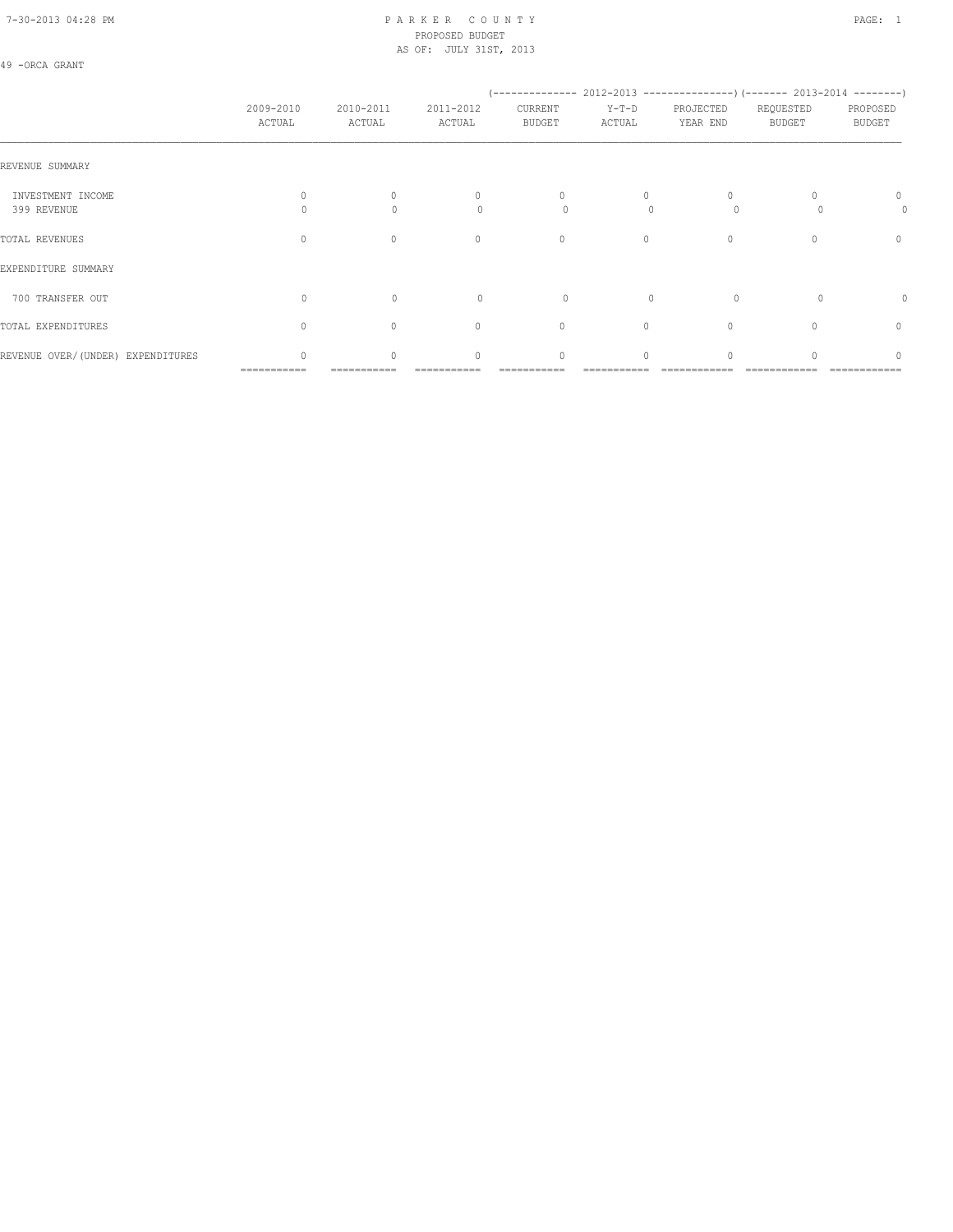### 7-30-2013 04:28 PM P A R K E R C O U N T Y PAGE: 1 PROPOSED BUDGET AS OF: JULY 31ST, 2013

### 49 -ORCA GRANT

|                                   |                                  |                                  |                                               | (-------------- 2012-2013 ----------------) (------- 2013-2014 --------) |                    |                       |                            |                           |
|-----------------------------------|----------------------------------|----------------------------------|-----------------------------------------------|--------------------------------------------------------------------------|--------------------|-----------------------|----------------------------|---------------------------|
|                                   | 2009-2010<br>ACTUAL              | 2010-2011<br>ACTUAL              | 2011-2012<br>ACTUAL                           | CURRENT<br><b>BUDGET</b>                                                 | $Y-T-D$<br>ACTUAL  | PROJECTED<br>YEAR END | REQUESTED<br><b>BUDGET</b> | PROPOSED<br><b>BUDGET</b> |
| REVENUE SUMMARY                   |                                  |                                  |                                               |                                                                          |                    |                       |                            |                           |
| INVESTMENT INCOME<br>399 REVENUE  | Λ                                | $\begin{array}{c} \n\end{array}$ | $\begin{array}{c} \n\end{array}$<br>$\bigcap$ | $\mathbf{0}$<br>0                                                        | $\Omega$<br>$\cap$ | $\circ$               |                            | 0<br>0                    |
|                                   |                                  |                                  |                                               |                                                                          |                    |                       |                            |                           |
| TOTAL REVENUES                    | $\Omega$                         | $\begin{array}{c} \n\end{array}$ | $\mathbf{0}$                                  | $\mathbf{0}$                                                             | $\circ$            | 0                     | 0                          | $\mathbf{0}$              |
| EXPENDITURE SUMMARY               |                                  |                                  |                                               |                                                                          |                    |                       |                            |                           |
| 700 TRANSFER OUT                  | U                                | $\Omega$                         | $\Omega$                                      | $\Omega$                                                                 |                    | $\Omega$              |                            | 0                         |
| TOTAL EXPENDITURES                | $\begin{array}{c} \n\end{array}$ | $\Omega$                         | $\mathbf{0}$                                  | $\mathbf{0}$                                                             | $\circ$            | $\Omega$              | $\Omega$                   | 0                         |
| REVENUE OVER/(UNDER) EXPENDITURES | $\Omega$                         | $\Omega$                         | $\begin{array}{c} \n\end{array}$              | $\Omega$                                                                 | $\Omega$           |                       |                            | $\Omega$                  |
|                                   | ===========                      |                                  |                                               |                                                                          |                    |                       |                            |                           |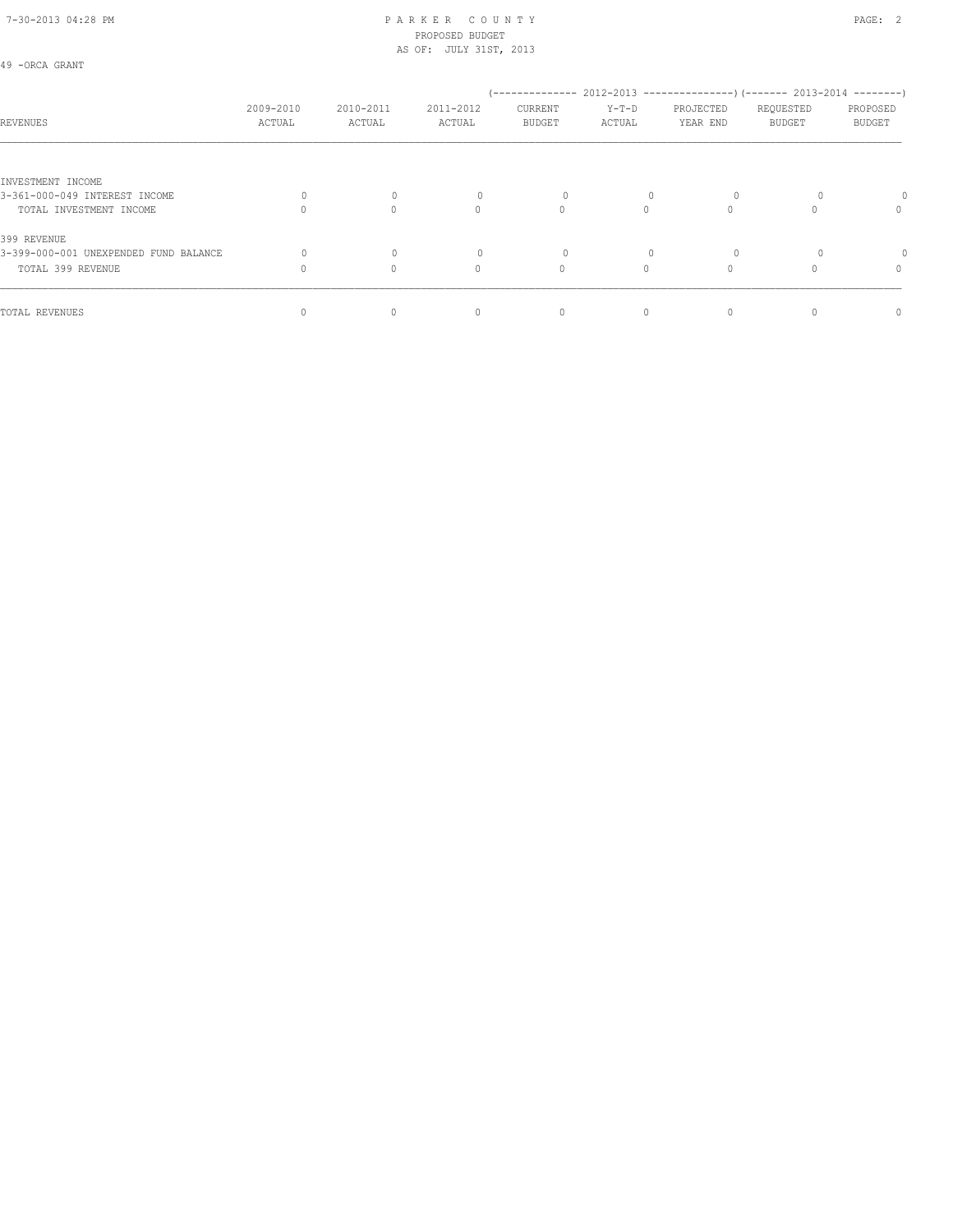#### 7-30-2013 04:28 PM P A R K E R C O U N T Y PAGE: 2 PROPOSED BUDGET AS OF: JULY 31ST, 2013

| 49 |  | -ORCA GRANT |  |
|----|--|-------------|--|
|----|--|-------------|--|

| 2009-2010 | 2010-2011          | 2011-2012                        | CURRENT                                    | $Y-T-D$       | PROJECTED | REQUESTED | PROPOSED                                                                                  |
|-----------|--------------------|----------------------------------|--------------------------------------------|---------------|-----------|-----------|-------------------------------------------------------------------------------------------|
|           |                    |                                  |                                            |               |           |           | <b>BUDGET</b>                                                                             |
|           |                    |                                  |                                            |               |           |           |                                                                                           |
|           |                    |                                  |                                            |               |           |           |                                                                                           |
|           | $\mathbf{0}$       |                                  |                                            | 0             |           |           | 0                                                                                         |
| $\bigcap$ | $\Omega$           | $\Omega$                         |                                            |               |           |           | $\circ$                                                                                   |
|           |                    |                                  |                                            |               |           |           |                                                                                           |
|           | 0                  |                                  |                                            | 0             |           |           |                                                                                           |
| $\Omega$  | 0                  | $\begin{array}{c} \n\end{array}$ |                                            |               |           |           | $\circ$                                                                                   |
|           |                    |                                  |                                            |               |           |           | $\mathbf{0}$                                                                              |
|           | ACTUAL<br>$\Omega$ | ACTUAL<br>0                      | ACTUAL<br>$\begin{array}{c} \n\end{array}$ | <b>BUDGET</b> | ACTUAL    | YEAR END  | (-------------- 2012-2013 ----------------) (------- 2013-2014 --------)<br><b>BUDGET</b> |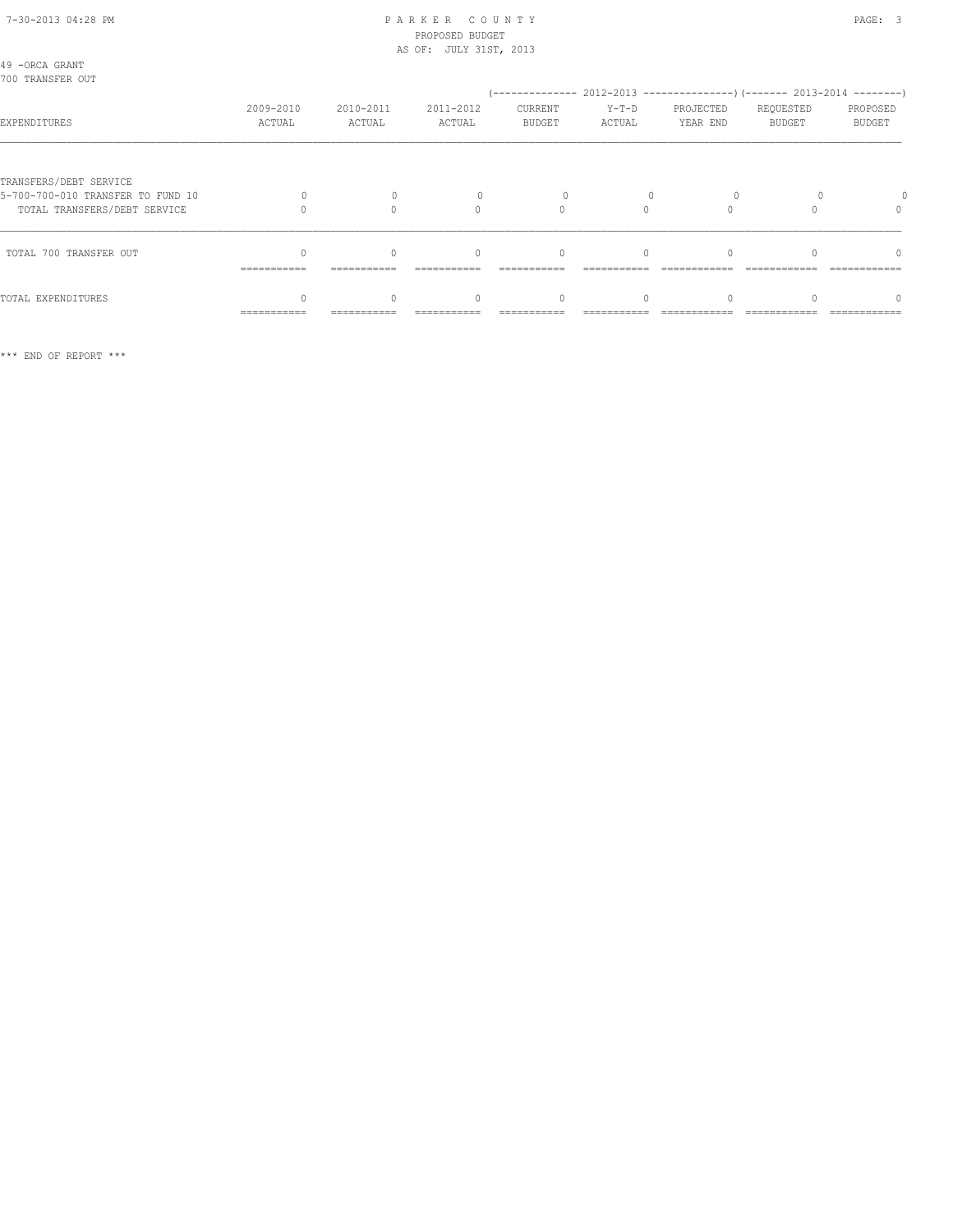### 7-30-2013 04:28 PM P A R K E R C O U N T Y PAGE: 3 PROPOSED BUDGET AS OF: JULY 31ST, 2013

| 49 -ORCA GRANT<br>700 TRANSFER OUT                                                          |                     |                     |                                  |                          |                   |                       |                            |                           |
|---------------------------------------------------------------------------------------------|---------------------|---------------------|----------------------------------|--------------------------|-------------------|-----------------------|----------------------------|---------------------------|
| EXPENDITURES                                                                                | 2009-2010<br>ACTUAL | 2010-2011<br>ACTUAL | 2011-2012<br>ACTUAL              | CURRENT<br><b>BUDGET</b> | $Y-T-D$<br>ACTUAL | PROJECTED<br>YEAR END | REQUESTED<br><b>BUDGET</b> | PROPOSED<br><b>BUDGET</b> |
| TRANSFERS/DEBT SERVICE<br>5-700-700-010 TRANSFER TO FUND 10<br>TOTAL TRANSFERS/DEBT SERVICE |                     |                     | $\cap$                           | $\Omega$                 | $\cap$            |                       |                            | $\Omega$                  |
| TOTAL 700 TRANSFER OUT                                                                      | ===========         | ===========         | $\begin{array}{c} \n\end{array}$ | $\Omega$                 | $\Omega$          |                       |                            | $\Omega$                  |
| TOTAL EXPENDITURES                                                                          | ===========         |                     | $\Omega$                         | 0                        |                   |                       |                            | $\cap$                    |

\*\*\* END OF REPORT \*\*\*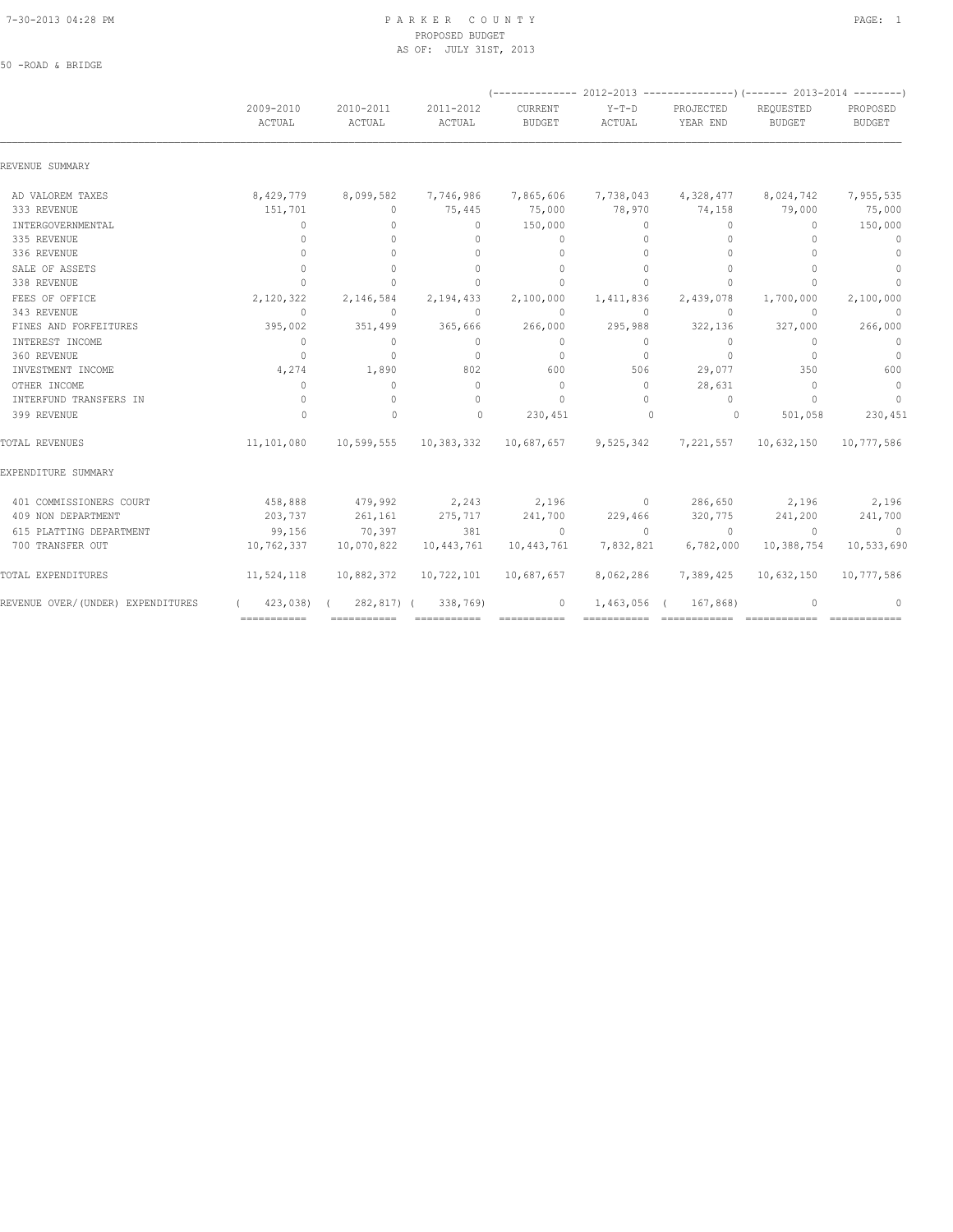50 -ROAD & BRIDGE

#### 7-30-2013 04:28 PM P A R K E R C O U N T Y PAGE: 1 PROPOSED BUDGET AS OF: JULY 31ST, 2013

|                                   |                                  |                                  |                                            | $(----------2012-2013------------)$ $(----2013-2014------)$ |                     |                         |                                  |                    |  |
|-----------------------------------|----------------------------------|----------------------------------|--------------------------------------------|-------------------------------------------------------------|---------------------|-------------------------|----------------------------------|--------------------|--|
|                                   | 2009-2010<br>ACTUAL              | 2010-2011<br>ACTUAL              | 2011-2012<br>ACTUAL                        | CURRENT<br><b>BUDGET</b>                                    | $Y-T-D$<br>ACTUAL   | PROJECTED<br>YEAR END   | REQUESTED<br><b>BUDGET</b>       | PROPOSED<br>BUDGET |  |
| REVENUE SUMMARY                   |                                  |                                  |                                            |                                                             |                     |                         |                                  |                    |  |
| AD VALOREM TAXES                  | 8,429,779                        | 8,099,582                        | 7,746,986                                  |                                                             | 7,865,606 7,738,043 | 4,328,477               | 8,024,742                        | 7,955,535          |  |
| 333 REVENUE                       | 151,701                          | $\circ$                          | 75,445                                     | 75,000                                                      | 78,970              | 74,158                  | 79,000                           | 75,000             |  |
| INTERGOVERNMENTAL                 | $\Omega$                         | $\Omega$                         | $\Omega$                                   | 150,000                                                     | $\Omega$            | $\Omega$                | $\Omega$                         | 150,000            |  |
| 335 REVENUE                       | $\begin{array}{c} \n\end{array}$ | $\Omega$                         | $\Omega$                                   | $\mathbf{0}$                                                | $\Omega$            | $\circ$                 | $\begin{array}{c} \n\end{array}$ | $\mathbf{0}$       |  |
| 336 REVENUE                       | $\Omega$                         | $\begin{array}{c} \n\end{array}$ | $\Omega$                                   | $\mathbf{0}$                                                | $\Omega$            | $\mathbf{0}$            | $\begin{array}{c} \n\end{array}$ | $\mathbf{0}$       |  |
| SALE OF ASSETS                    | $\Omega$                         | $\Omega$                         | $\Omega$                                   | $\Omega$                                                    | $\Omega$            | $\Omega$                | $\Omega$                         | $\mathbf{0}$       |  |
| 338 REVENUE                       | $\bigcap$                        | $\Omega$                         | $\cap$                                     | $\Omega$                                                    | $\Omega$            | $\mathbf{0}$            | $\bigcap$                        | $\mathbf{0}$       |  |
| FEES OF OFFICE                    | 2,120,322                        | 2,146,584                        | 2,194,433                                  | 2,100,000                                                   | 1,411,836           | 2,439,078               | 1,700,000                        | 2,100,000          |  |
| 343 REVENUE                       | $\Omega$                         | $\circ$                          | $\Omega$                                   | $\Omega$                                                    | $\circ$             | $\circ$                 | $\Omega$                         | $\mathbf{0}$       |  |
| FINES AND FORFEITURES             | 395,002                          | 351,499                          | 365,666                                    | 266,000                                                     | 295,988             | 322,136                 | 327,000                          | 266,000            |  |
| INTEREST INCOME                   | $\overline{0}$                   | $\Omega$                         | $\Omega$                                   | $\Omega$                                                    | $\Omega$            | $\Omega$                | $\Omega$                         | $\overline{0}$     |  |
| 360 REVENUE                       | $\Omega$                         | $\Omega$                         | $\Omega$                                   | $\Omega$                                                    | $\Omega$            | $\circ$                 | $\Omega$                         | $\overline{0}$     |  |
| INVESTMENT INCOME                 | 4,274                            | 1,890                            | 802                                        | 600                                                         | 506                 | 29,077                  | 350                              | 600                |  |
| OTHER INCOME                      | $\Omega$                         | $\mathbf{0}$                     | $\Omega$                                   | $\Omega$                                                    | $\Omega$            | 28,631                  | $\Omega$                         | $\overline{0}$     |  |
| INTERFUND TRANSFERS IN            | $\Omega$                         | $\circ$                          | $\Omega$                                   | $\Omega$                                                    | $\Omega$            | $\Omega$                | $\cap$                           | $\Omega$           |  |
| 399 REVENUE                       | $\Omega$                         | $\mathbf{0}$                     | $\Omega$                                   | 230,451                                                     | $\sim$ 0            | $\circ$                 | 501,058                          | 230,451            |  |
| TOTAL REVENUES                    | 11,101,080                       |                                  | 10,599,555 10,383,332 10,687,657 9,525,342 |                                                             |                     |                         | 7,221,557 10,632,150             | 10,777,586         |  |
| EXPENDITURE SUMMARY               |                                  |                                  |                                            |                                                             |                     |                         |                                  |                    |  |
| 401 COMMISSIONERS COURT           | 458,888                          | 479,992                          | 2,243 2,196                                |                                                             |                     | 0 $286,650$ 2,196 2,196 |                                  |                    |  |
| 409 NON DEPARTMENT                | 203,737                          | 261,161                          | 275,717                                    | 241,700                                                     | 229,466             | 320,775                 | 241,200                          | 241,700            |  |
| 615 PLATTING DEPARTMENT           | 99,156                           | 70,397                           | 381                                        | $\overline{0}$                                              | $\overline{0}$      | $\sim$ 0                | $\Omega$                         | $\sim$ 0           |  |
| 700 TRANSFER OUT                  | 10,762,337                       | 10,070,822                       | 10,443,761                                 | 10,443,761                                                  | 7,832,821           | 6,782,000               | 10,388,754                       | 10,533,690         |  |
| TOTAL EXPENDITURES                | 11,524,118                       | 10,882,372                       | 10,722,101                                 | 10,687,657                                                  | 8,062,286           | 7,389,425               | 10,632,150                       | 10,777,586         |  |
| REVENUE OVER/(UNDER) EXPENDITURES |                                  |                                  | $(423,038)$ $(282,817)$ $(338,769)$        | $\sim$ 0                                                    | $1,463,056$ (       | 167,868)                | $\mathbf{0}$                     | 0                  |  |
|                                   | $=$ = = = = = = = = = = =        |                                  | ============  ============                 |                                                             |                     |                         |                                  |                    |  |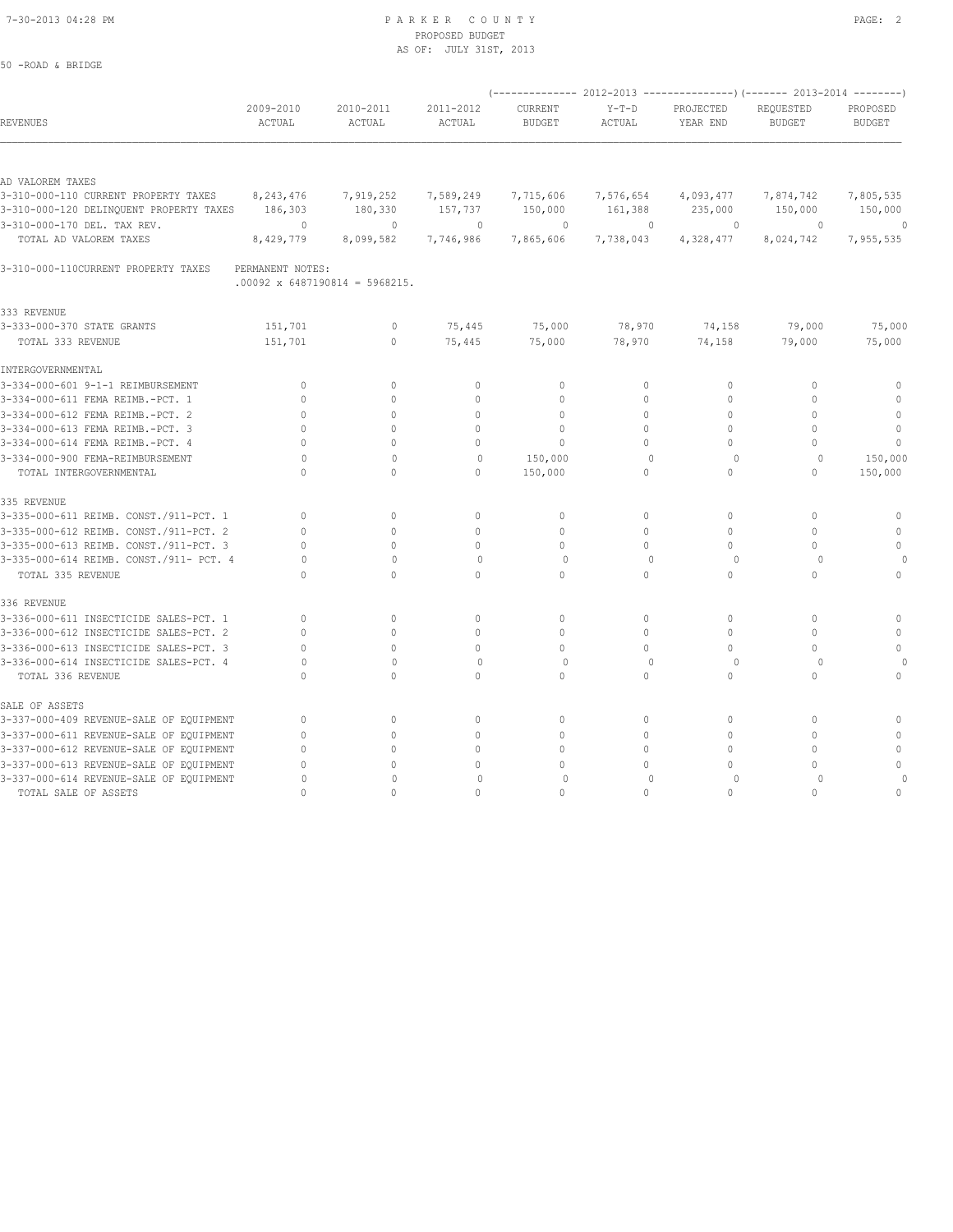50 -ROAD & BRIDGE

#### 7-30-2013 04:28 PM P A R K E R C O U N T Y PAGE: 2 PROPOSED BUDGET AS OF: JULY 31ST, 2013

|                                                                                 |                      |                                       |                      |                          |                      |                       | (-------------- 2012-2013 ------------------- 2013-2014 --------- ) |                           |
|---------------------------------------------------------------------------------|----------------------|---------------------------------------|----------------------|--------------------------|----------------------|-----------------------|---------------------------------------------------------------------|---------------------------|
| REVENUES                                                                        | 2009-2010<br>ACTUAL  | 2010-2011<br>ACTUAL                   | 2011-2012<br>ACTUAL  | CURRENT<br><b>BUDGET</b> | $Y-T-D$<br>ACTUAL    | PROJECTED<br>YEAR END | REQUESTED<br><b>BUDGET</b>                                          | PROPOSED<br><b>BUDGET</b> |
|                                                                                 |                      |                                       |                      |                          |                      |                       |                                                                     |                           |
| AD VALOREM TAXES                                                                |                      |                                       |                      |                          |                      |                       |                                                                     |                           |
| 3-310-000-110 CURRENT PROPERTY TAXES<br>3-310-000-120 DELINQUENT PROPERTY TAXES | 8,243,476<br>186,303 | 7,919,252<br>180,330                  | 7,589,249<br>157,737 | 7,715,606<br>150,000     | 7,576,654<br>161,388 | 4,093,477<br>235,000  | 7,874,742<br>150,000                                                | 7,805,535<br>150,000      |
| 3-310-000-170 DEL. TAX REV.                                                     | $\circ$              | $\mathbf{0}$                          | $\mathbf{0}$         | $\circ$                  | $\mathbf{0}$         | $\circ$               | $\circ$                                                             | $\theta$                  |
| TOTAL AD VALOREM TAXES                                                          | 8,429,779            | 8,099,582                             | 7,746,986            | 7,865,606                | 7,738,043            | 4,328,477             | 8,024,742                                                           | 7,955,535                 |
| 3-310-000-110CURRENT PROPERTY TAXES                                             | PERMANENT NOTES:     | $.00092 \times 6487190814 = 5968215.$ |                      |                          |                      |                       |                                                                     |                           |
| 333 REVENUE                                                                     |                      |                                       |                      |                          |                      |                       |                                                                     |                           |
| 3-333-000-370 STATE GRANTS                                                      | 151,701              | $\mathbf 0$                           | 75,445               | 75,000                   | 78,970               | 74,158                | 79,000                                                              | 75,000                    |
| TOTAL 333 REVENUE                                                               | 151,701              | $\circ$                               | 75,445               | 75,000                   | 78,970               | 74,158                | 79,000                                                              | 75,000                    |
| INTERGOVERNMENTAL                                                               |                      |                                       |                      |                          |                      |                       |                                                                     |                           |
| 3-334-000-601 9-1-1 REIMBURSEMENT                                               | $\mathbf{0}$         | $\Omega$                              | $\mathbf{0}$         | $\mathbf{0}$             | 0                    | 0                     | $\mathbf{0}$                                                        | 0                         |
| 3-334-000-611 FEMA REIMB.-PCT. 1                                                | $\Omega$             | $\circ$                               | $\mathbf{0}$         | $\mathbf{0}$             | $\circ$              | $\mathbf{0}$          | $\mathbf{0}$                                                        | $\mathbf{0}$              |
| 3-334-000-612 FEMA REIMB.-PCT. 2                                                | $\Omega$             | $\Omega$                              | $\Omega$             | $\Omega$                 | $\Omega$             | $\Omega$              | $\Omega$                                                            | $\mathbb O$               |
| 3-334-000-613 FEMA REIMB.-PCT. 3                                                | $\Omega$             | $\cap$                                | $\Omega$             | $\Omega$                 | $\Omega$             | $\Omega$              | $\cap$                                                              | $\mathbf{0}$              |
| 3-334-000-614 FEMA REIMB.-PCT. 4                                                | $\cap$               | $\Omega$                              | $\Omega$             | $\Omega$                 | $\Omega$             | $\Omega$              | $\Omega$                                                            | $\Omega$                  |
| 3-334-000-900 FEMA-REIMBURSEMENT                                                | 0                    | $\mathbf{0}$                          | $\circ$              | 150,000                  | $\Omega$             | $\circ$               | $\Omega$                                                            | 150,000                   |
| TOTAL INTERGOVERNMENTAL                                                         | $\cap$               | $\circ$                               | 0                    | 150,000                  | $\circ$              | $\circ$               | $\mathbf{0}$                                                        | 150,000                   |
| 335 REVENUE                                                                     |                      |                                       |                      |                          |                      |                       |                                                                     |                           |
| 3-335-000-611 REIMB. CONST./911-PCT. 1                                          | $\mathbf{0}$         | $\circ$                               | $\circ$              | $\mathbb O$              | $\circ$              | $\circ$               | $\mathbf{0}$                                                        | $\mathbb O$               |
| 3-335-000-612 REIMB. CONST./911-PCT. 2                                          | $\mathbf{0}$         | $\circ$                               | $\Omega$             | $\mathbf{0}$             | $\circ$              | $\mathbf{0}$          | $\mathbf{0}$                                                        | $\mathbf{0}$              |
| 3-335-000-613 REIMB. CONST./911-PCT. 3                                          | $\Omega$             | $\Omega$                              | $\Omega$             | $\Omega$                 | $\Omega$             | $\Omega$              | $\Omega$                                                            | $\circ$                   |
| 3-335-000-614 REIMB. CONST./911- PCT. 4                                         | 0                    | $\mathbf{0}$                          | $\circ$              | $\circ$                  | $\mathbf{0}$         | $\circ$               | $\Omega$                                                            |                           |
| TOTAL 335 REVENUE                                                               | $\Omega$             | $\Omega$                              | $\Omega$             | $\Omega$                 | $\circ$              | $\mathbf{0}$          | $\mathbf{0}$                                                        | $\circ$                   |
| 336 REVENUE                                                                     |                      |                                       |                      |                          |                      |                       |                                                                     |                           |
| 3-336-000-611 INSECTICIDE SALES-PCT. 1                                          | $\mathbf{0}$         | $\Omega$                              | $\mathbf{0}$         | $\Omega$                 | $\circ$              | $\mathbf{0}$          | $\mathbf{0}$                                                        | $\Omega$                  |
| 3-336-000-612 INSECTICIDE SALES-PCT. 2                                          | $\cap$               | $\Omega$                              | $\Omega$             | $\Omega$                 | $\Omega$             | $\Omega$              | $\Omega$                                                            | $\mathbf{0}$              |
| 3-336-000-613 INSECTICIDE SALES-PCT. 3                                          | $\mathbf{0}$         | $\mathbf{0}$                          | $\circ$              | $\circ$                  | $\circ$              | $\Omega$              | $\Omega$                                                            | $\Omega$                  |
| 3-336-000-614 INSECTICIDE SALES-PCT. 4                                          | $\Omega$             | $\mathbf{0}$                          | $\circ$              | 0                        | $\mathbf{0}$         | $\circ$               | $\circ$                                                             | 0                         |
| TOTAL 336 REVENUE                                                               | $\Omega$             | $\Omega$                              | $\Omega$             | $\Omega$                 | $\Omega$             | $\Omega$              | $\Omega$                                                            | $\circ$                   |
| SALE OF ASSETS                                                                  |                      |                                       |                      |                          |                      |                       |                                                                     |                           |
| 3-337-000-409 REVENUE-SALE OF EQUIPMENT                                         | $\mathbf{0}$         | $\circ$                               | $\circ$              | $\mathbf{0}$             | $\circ$              | $\mathbf{0}$          | $\mathbf{0}$                                                        | $\mathbb O$               |
| 3-337-000-611 REVENUE-SALE OF EQUIPMENT                                         | $\mathbf{0}$         | $\Omega$                              | $\mathbf{0}$         | $\mathbf{0}$             | $\circ$              | $\mathbf{0}$          | $\Omega$                                                            | $\Omega$                  |
| 3-337-000-612 REVENUE-SALE OF EQUIPMENT                                         | $\mathbf{0}$         | $\Omega$                              | $\mathbf{0}$         | $\mathbf{0}$             | $\circ$              | $\Omega$              | $\Omega$                                                            | $\mathbf{0}$              |
| 3-337-000-613 REVENUE-SALE OF EQUIPMENT                                         | $\cap$               | $\Omega$                              | 0                    | $\Omega$                 | 0                    | $\Omega$              | $\Omega$                                                            | $\Omega$                  |
| 3-337-000-614 REVENUE-SALE OF EQUIPMENT                                         | $\Omega$             | $\mathbf 0$                           | $\Omega$             | $\mathbf 0$              | $\Omega$             | $\circ$               | $\Omega$                                                            | $\Omega$                  |
| TOTAL SALE OF ASSETS                                                            | $\cap$               | $\cap$                                | $\cap$               | $\cap$                   | $\bigcap$            | $\Omega$              | $\cap$                                                              | $\Omega$                  |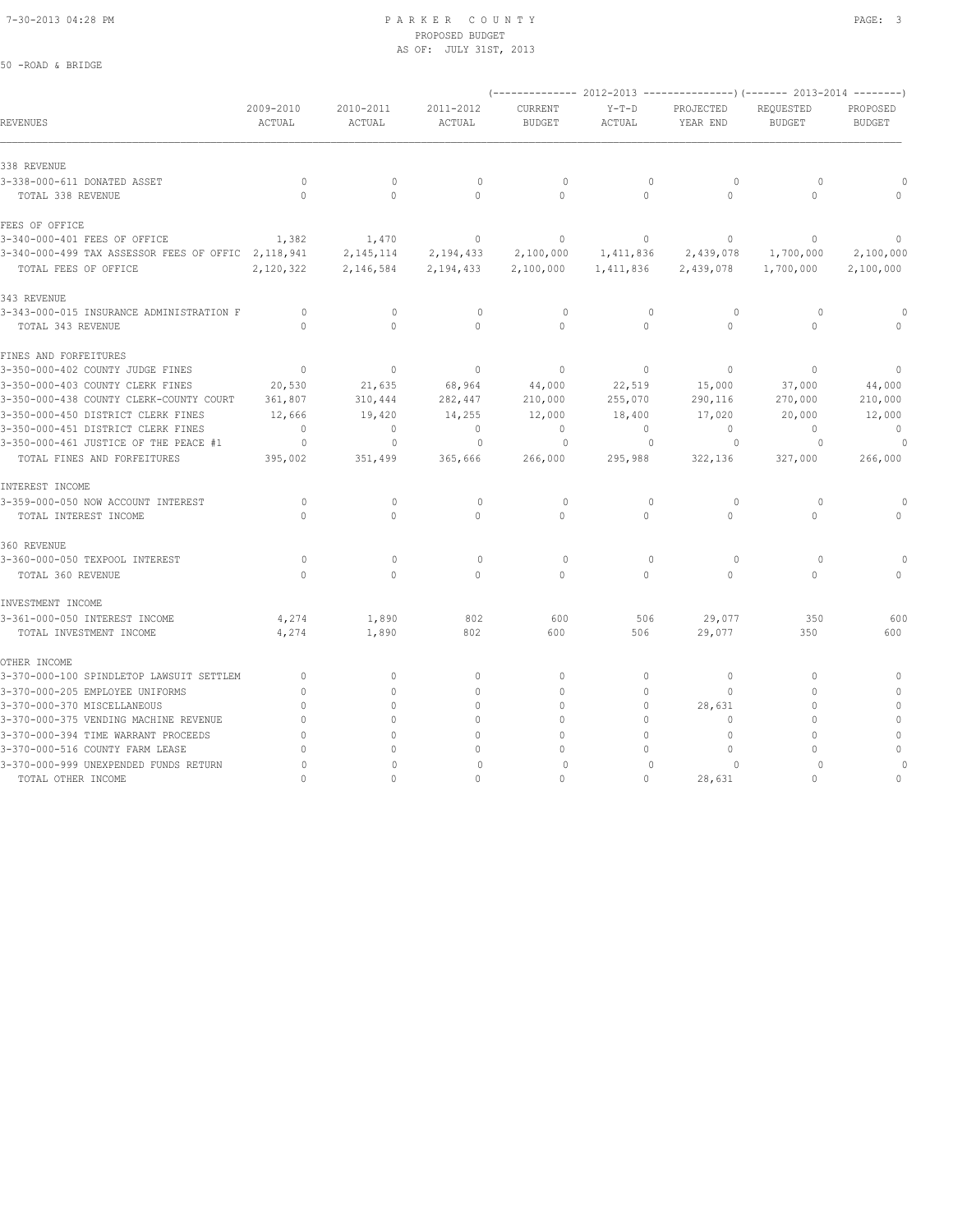### 7-30-2013 04:28 PM P A R K E R C O U N T Y PAGE: 3 PROPOSED BUDGET AS OF: JULY 31ST, 2013

### 50 -ROAD & BRIDGE

|                                                      |                     |                     |                     |                          |                   |                       | (-------------- 2012-2013 ---------------) (------- 2013-2014 --------) |                                  |
|------------------------------------------------------|---------------------|---------------------|---------------------|--------------------------|-------------------|-----------------------|-------------------------------------------------------------------------|----------------------------------|
| <b>REVENUES</b>                                      | 2009-2010<br>ACTUAL | 2010-2011<br>ACTUAL | 2011-2012<br>ACTUAL | CURRENT<br><b>BUDGET</b> | $Y-T-D$<br>ACTUAL | PROJECTED<br>YEAR END | REQUESTED<br><b>BUDGET</b>                                              | PROPOSED<br><b>BUDGET</b>        |
| 338 REVENUE                                          |                     |                     |                     |                          |                   |                       |                                                                         |                                  |
| 3-338-000-611 DONATED ASSET                          | $\circ$             | $\mathbf{0}$        | $\circ$             | $\circ$                  | $\mathbf{0}$      | $\circ$               | $\circ$                                                                 |                                  |
| TOTAL 338 REVENUE                                    | $\Omega$            | $\Omega$            | $\circ$             | $\Omega$                 | $\Omega$          | $\Omega$              | $\Omega$                                                                |                                  |
| FEES OF OFFICE                                       |                     |                     |                     |                          |                   |                       |                                                                         |                                  |
| 3-340-000-401 FEES OF OFFICE                         | 1,382               | 1,470               | $\circ$             | $\mathbf{0}$             | $\circ$           | $\circ$               | $\mathbf{0}$                                                            | $\begin{array}{c} \n\end{array}$ |
| 3-340-000-499 TAX ASSESSOR FEES OF OFFIC 2, 118, 941 |                     | 2, 145, 114         | 2,194,433           | 2,100,000                | 1,411,836         | 2,439,078             | 1,700,000                                                               | 2,100,000                        |
| TOTAL FEES OF OFFICE                                 | 2,120,322           | 2,146,584           | 2,194,433           | 2,100,000                | 1,411,836         | 2,439,078             | 1,700,000                                                               | 2,100,000                        |
| 343 REVENUE                                          |                     |                     |                     |                          |                   |                       |                                                                         |                                  |
| 3-343-000-015 INSURANCE ADMINISTRATION F             | $\circ$             | $\mathbf{0}$        | $\mathbf{0}$        | $\circ$                  | $\mathbf{0}$      | $\circ$               | $\circ$                                                                 | $\circ$                          |
| TOTAL 343 REVENUE                                    | $\Omega$            | $\circ$             | $\circ$             | $\circ$                  | $\circ$           | 0                     | $\mathbf{0}$                                                            |                                  |
| FINES AND FORFEITURES                                |                     |                     |                     |                          |                   |                       |                                                                         |                                  |
| 3-350-000-402 COUNTY JUDGE FINES                     | $\mathbf{0}$        | $\circ$             | $\mathbb O$         | $\mathbf{0}$             | $\circ$           | $\circ$               | $\mathbf{0}$                                                            | $\mathbf{0}$                     |
| 3-350-000-403 COUNTY CLERK FINES                     | 20,530              | 21,635              | 68,964              | 44,000                   | 22,519            | 15,000                | 37,000                                                                  | 44,000                           |
| 3-350-000-438 COUNTY CLERK-COUNTY COURT              | 361,807             | 310,444             | 282,447             | 210,000                  | 255,070           | 290,116               | 270,000                                                                 | 210,000                          |
| 3-350-000-450 DISTRICT CLERK FINES                   | 12,666              | 19,420              | 14,255              | 12,000                   | 18,400            | 17,020                | 20,000                                                                  | 12,000                           |
| 3-350-000-451 DISTRICT CLERK FINES                   | $\Omega$            | 0                   | $\circ$             | $\Omega$                 | $\circ$           | $\Omega$              | $\Omega$                                                                | $\Omega$                         |
| 3-350-000-461 JUSTICE OF THE PEACE #1                | $\circ$             | 0                   | 0                   | $\Omega$                 | $\circ$           | $\Omega$              | $\circ$                                                                 |                                  |
| TOTAL FINES AND FORFEITURES                          | 395,002             | 351,499             | 365,666             | 266,000                  | 295,988           | 322,136               | 327,000                                                                 | 266,000                          |
| INTEREST INCOME                                      |                     |                     |                     |                          |                   |                       |                                                                         |                                  |
| 3-359-000-050 NOW ACCOUNT INTEREST                   | $\circ$             | $\mathbf 0$         | $\circ$             | $\circ$                  | $\mathbf{0}$      | $\circ$               | $\circ$                                                                 | $\Omega$                         |
| TOTAL INTEREST INCOME                                | $\Omega$            | $\Omega$            | $\Omega$            | $\Omega$                 | $\Omega$          | $\Omega$              | $\Omega$                                                                | $\begin{array}{c} \n\end{array}$ |
| 360 REVENUE                                          |                     |                     |                     |                          |                   |                       |                                                                         |                                  |
| 3-360-000-050 TEXPOOL INTEREST                       | $\circ$             | $\mathbf{0}$        | $\mathbf{0}$        | $\circ$                  | $\mathbf{0}$      | $\circ$               | $\circ$                                                                 |                                  |
| TOTAL 360 REVENUE                                    | $\Omega$            | $\Omega$            | $\Omega$            | $\Omega$                 | $\Omega$          | $\Omega$              | $\Omega$                                                                |                                  |
| INVESTMENT INCOME                                    |                     |                     |                     |                          |                   |                       |                                                                         |                                  |
| 3-361-000-050 INTEREST INCOME                        | 4,274               | 1,890               | 802                 | 600                      | 506               | 29,077                | 350                                                                     | 600                              |
| TOTAL INVESTMENT INCOME                              | 4,274               | 1,890               | 802                 | 600                      | 506               | 29,077                | 350                                                                     | 600                              |
| OTHER INCOME                                         |                     |                     |                     |                          |                   |                       |                                                                         |                                  |
| 3-370-000-100 SPINDLETOP LAWSUIT SETTLEM             | $\mathbf{0}$        | $\mathbf{0}$        | $\mathbf{0}$        | $\mathbf{0}$             | 0                 | $\circ$               | $\mathbf{0}$                                                            | $\mathbf{0}$                     |
| 3-370-000-205 EMPLOYEE UNIFORMS                      | $\Omega$            | 0                   | $\mathbf{0}$        | $\Omega$                 | $\Omega$          | 0                     | $\mathbf{0}$                                                            | $\Omega$                         |
| 3-370-000-370 MISCELLANEOUS                          | $\Omega$            | 0                   | $\mathbf{0}$        | $\mathbf{0}$             | $\Omega$          | 28,631                | $\Omega$                                                                | $\Omega$                         |
| 3-370-000-375 VENDING MACHINE REVENUE                | $\Omega$            | $\Omega$            | $\Omega$            | $\Omega$                 | $\Omega$          | 0                     | $\Omega$                                                                | $\begin{array}{c} \n\end{array}$ |
| 3-370-000-394 TIME WARRANT PROCEEDS                  | $\Omega$            | $\Omega$            | $\Omega$            | $\Omega$                 | $\Omega$          | 0                     | O                                                                       |                                  |
| 3-370-000-516 COUNTY FARM LEASE                      | $\cap$              | $\Omega$            | $\mathbf{0}$        | $\Omega$                 | $\Omega$          | 0                     | 0                                                                       | $\mathbf{0}$                     |
| 3-370-000-999 UNEXPENDED FUNDS RETURN                | $\Omega$            | $\cap$              | $\mathbf 0$         | $\Omega$                 | $\mathbf{0}$      | $\Omega$              | $\cap$                                                                  |                                  |
| TOTAL OTHER INCOME                                   | $\cap$              | $\Omega$            | $\Omega$            | $\Omega$                 | $\Omega$          | 28,631                | U                                                                       | $\Omega$                         |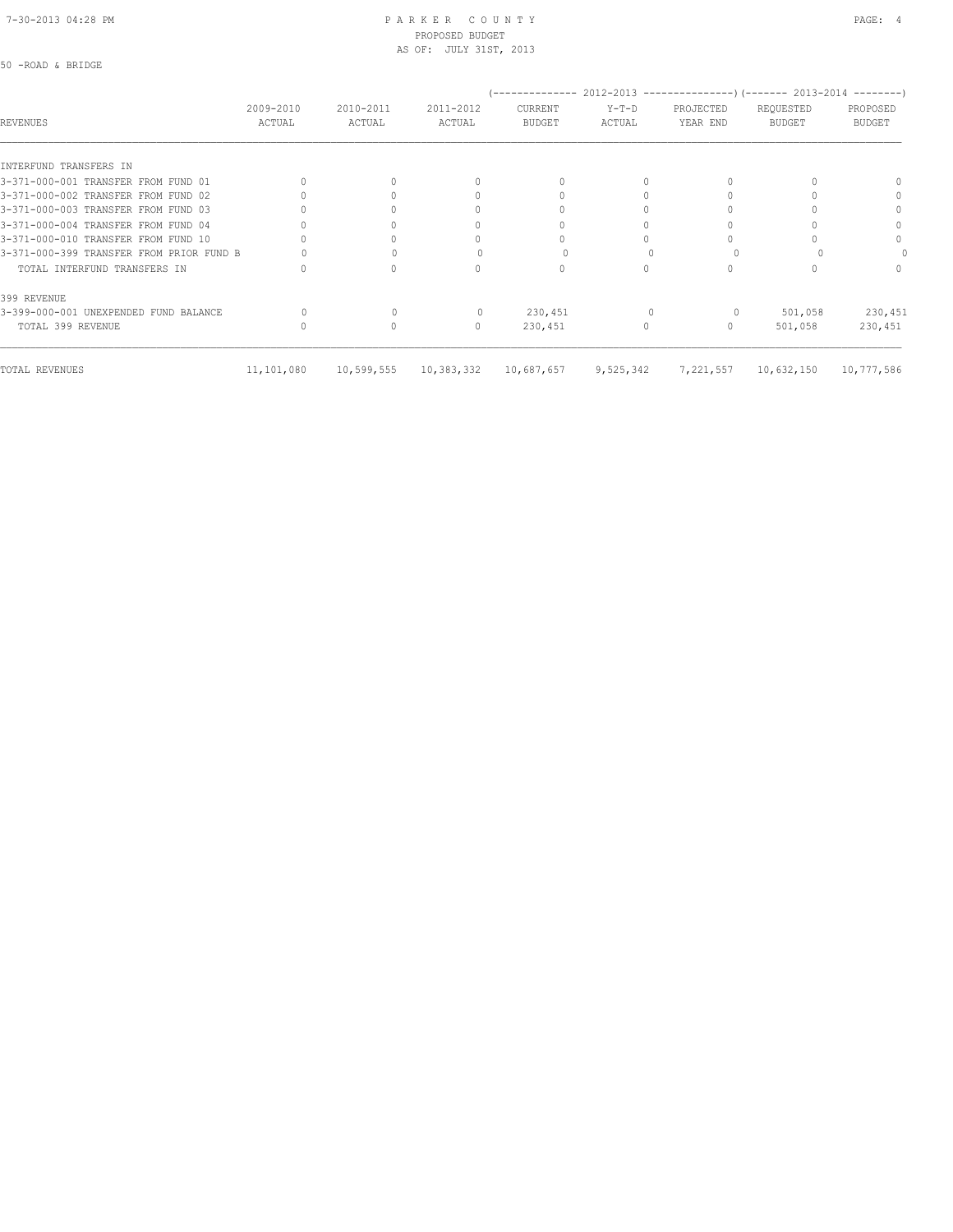#### 7-30-2013 04:28 PM P A R K E R C O U N T Y PAGE: 4 PROPOSED BUDGET AS OF: JULY 31ST, 2013

|                                          |                     |                     |                     | (-------------- 2012-2013 --------------------) (------- 2013-2014 ---------) |                   |                       |                            |                           |
|------------------------------------------|---------------------|---------------------|---------------------|-------------------------------------------------------------------------------|-------------------|-----------------------|----------------------------|---------------------------|
| <b>REVENUES</b>                          | 2009-2010<br>ACTUAL | 2010-2011<br>ACTUAL | 2011-2012<br>ACTUAL | CURRENT<br><b>BUDGET</b>                                                      | $Y-T-D$<br>ACTUAL | PROJECTED<br>YEAR END | REQUESTED<br><b>BUDGET</b> | PROPOSED<br><b>BUDGET</b> |
|                                          |                     |                     |                     |                                                                               |                   |                       |                            |                           |
| INTERFUND TRANSFERS IN                   |                     |                     |                     |                                                                               |                   |                       |                            |                           |
| 3-371-000-001 TRANSFER FROM FUND 01      |                     |                     | $\cap$              | $\Omega$                                                                      |                   |                       |                            |                           |
| 3-371-000-002 TRANSFER FROM FUND 02      |                     |                     |                     |                                                                               |                   |                       |                            | $\Omega$                  |
| 3-371-000-003 TRANSFER FROM FUND 03      |                     |                     | n                   |                                                                               |                   |                       |                            | $\Omega$                  |
| 3-371-000-004 TRANSFER FROM FUND 04      |                     |                     | 0                   |                                                                               |                   |                       |                            | $\Omega$                  |
| 3-371-000-010 TRANSFER FROM FUND 10      |                     |                     |                     |                                                                               |                   |                       |                            | $\Omega$                  |
| 3-371-000-399 TRANSFER FROM PRIOR FUND B |                     |                     |                     |                                                                               |                   |                       |                            |                           |
| TOTAL INTERFUND TRANSFERS IN             |                     |                     | 0                   | $\Omega$                                                                      | $\bigcap$         |                       |                            | $\Omega$                  |
| 399 REVENUE                              |                     |                     |                     |                                                                               |                   |                       |                            |                           |
| 3-399-000-001 UNEXPENDED FUND BALANCE    |                     |                     |                     | 230,451                                                                       |                   | 0                     | 501,058                    | 230,451                   |
| TOTAL 399 REVENUE                        |                     |                     | $\mathbf{0}$        | 230,451                                                                       | 0                 | 0                     | 501,058                    | 230,451                   |
| TOTAL REVENUES                           | 11,101,080          | 10,599,555          | 10,383,332          | 10,687,657                                                                    | 9,525,342         | 7,221,557             | 10,632,150                 | 10,777,586                |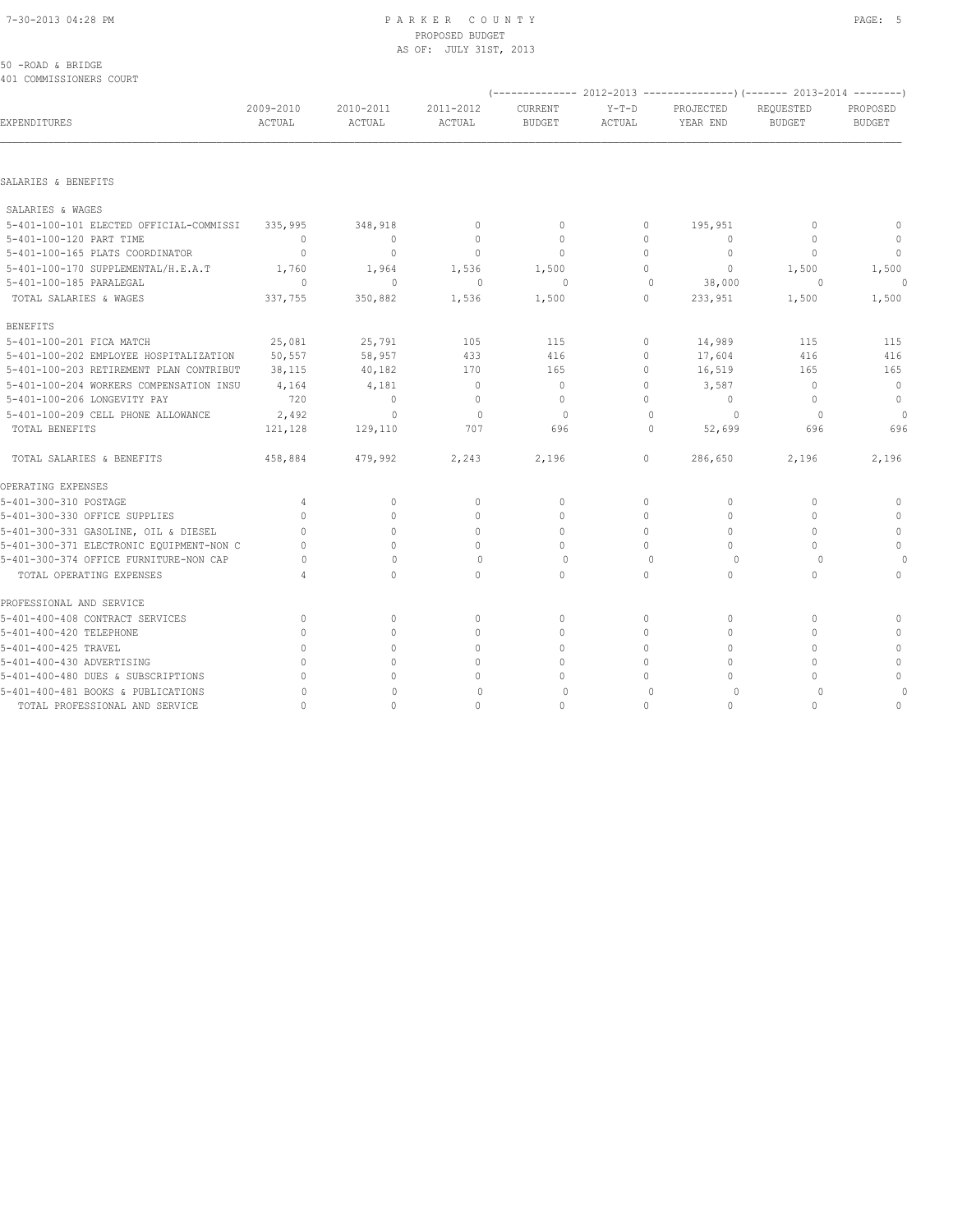#### 7-30-2013 04:28 PM P A R K E R C O U N T Y PAGE: 5 PROPOSED BUDGET AS OF: JULY 31ST, 2013

#### 50 -ROAD & BRIDGE 401 COMMISSIONERS COURT

| ANI COMMISSIOMEKS COOKI                  |                     |                     |                     |                                 |                   |                       | (-------------- 2012-2013 -------------------) (------- 2013-2014 ---------) |                           |
|------------------------------------------|---------------------|---------------------|---------------------|---------------------------------|-------------------|-----------------------|------------------------------------------------------------------------------|---------------------------|
| EXPENDITURES                             | 2009-2010<br>ACTUAL | 2010-2011<br>ACTUAL | 2011-2012<br>ACTUAL | <b>CURRENT</b><br><b>BUDGET</b> | $Y-T-D$<br>ACTUAL | PROJECTED<br>YEAR END | REQUESTED<br><b>BUDGET</b>                                                   | PROPOSED<br><b>BUDGET</b> |
| SALARIES & BENEFITS                      |                     |                     |                     |                                 |                   |                       |                                                                              |                           |
| SALARIES & WAGES                         |                     |                     |                     |                                 |                   |                       |                                                                              |                           |
| 5-401-100-101 ELECTED OFFICIAL-COMMISSI  | 335,995             | 348,918             | $\mathbf{0}$        | $\Omega$                        | 0                 | 195,951               | $\begin{array}{c} \n\end{array}$                                             | $\circ$                   |
| 5-401-100-120 PART TIME                  | $\circ$             | $\circ$             | $\circ$             | $\mathbf{0}$                    | 0                 | $\Omega$              | $\mathbf{0}$                                                                 | $\circ$                   |
| 5-401-100-165 PLATS COORDINATOR          | $\Omega$            | $\bigcirc$          | $\mathbf{0}$        | $\Omega$                        | 0                 | $\Omega$              | $\Omega$                                                                     | $\Omega$                  |
| 5-401-100-170 SUPPLEMENTAL/H.E.A.T       | 1,760               | 1,964               | 1,536               | 1,500                           | $\Omega$          | $\mathbf{0}$          | 1,500                                                                        | 1,500                     |
| 5-401-100-185 PARALEGAL                  | $\Omega$            | $\mathbf{0}$        | $\mathbf{0}$        | 0                               | $\mathbf{0}$      | 38,000                | 0                                                                            | $\cap$                    |
| TOTAL SALARIES & WAGES                   | 337,755             | 350,882             | 1,536               | 1,500                           | $\Omega$          | 233,951               | 1,500                                                                        | 1,500                     |
| <b>BENEFITS</b>                          |                     |                     |                     |                                 |                   |                       |                                                                              |                           |
| 5-401-100-201 FICA MATCH                 | 25,081              | 25,791              | 105                 | 115                             | 0                 | 14,989                | 115                                                                          | 115                       |
| 5-401-100-202 EMPLOYEE HOSPITALIZATION   | 50,557              | 58,957              | 433                 | 416                             | 0                 | 17,604                | 416                                                                          | 416                       |
| 5-401-100-203 RETIREMENT PLAN CONTRIBUT  | 38,115              | 40,182              | 170                 | 165                             | 0                 | 16,519                | 165                                                                          | 165                       |
| 5-401-100-204 WORKERS COMPENSATION INSU  | 4,164               | 4,181               | $\mathbf{0}$        | $\mathbf{0}$                    | 0                 | 3,587                 | $\mathbf{0}$                                                                 | $\circ$                   |
| 5-401-100-206 LONGEVITY PAY              | 720                 | $\mathbf{0}$        | $\mathbf{0}$        | $\Omega$                        | $\Omega$          | $\Omega$              | $\Omega$                                                                     | $\mathbf{0}$              |
| 5-401-100-209 CELL PHONE ALLOWANCE       | 2,492               | $\Omega$            | $\mathbf{0}$        | $\circ$                         | $\Omega$          | $\circ$               | $\Omega$                                                                     | $\circ$                   |
| TOTAL BENEFITS                           | 121,128             | 129,110             | 707                 | 696                             | $\Omega$          | 52,699                | 696                                                                          | 696                       |
| TOTAL SALARIES & BENEFITS                | 458,884             | 479,992             | 2,243               | 2,196                           | $\Omega$          | 286,650               | 2,196                                                                        | 2,196                     |
| OPERATING EXPENSES                       |                     |                     |                     |                                 |                   |                       |                                                                              |                           |
| 5-401-300-310 POSTAGE                    | 4                   | $\circ$             | 0                   | $\circ$                         | 0                 | $\circ$               | $\mathbf{0}$                                                                 | $\mathbf 0$               |
| 5-401-300-330 OFFICE SUPPLIES            | $\bigcap$           | $\Omega$            | $\Omega$            | $\Omega$                        | $\Omega$          | $\Omega$              | $\Omega$                                                                     | $\mathbf{0}$              |
| 5-401-300-331 GASOLINE, OIL & DIESEL     | $\Omega$            | $\Omega$            | $\Omega$            | $\Omega$                        | $\Omega$          | $\Omega$              | $\bigcap$                                                                    | $\Omega$                  |
| 5-401-300-371 ELECTRONIC EQUIPMENT-NON C | $\cap$              | $\Omega$            | $\Omega$            | $\circ$                         | $\Omega$          | $\Omega$              | $\bigcap$                                                                    | $\mathbf{0}$              |
| 5-401-300-374 OFFICE FURNITURE-NON CAP   |                     | $\Omega$            | $\Omega$            | $\Omega$                        | $\Omega$          | $\Omega$              | $\cap$                                                                       | $\Omega$                  |
| TOTAL OPERATING EXPENSES                 |                     | $\Omega$            | $\Omega$            | $\Omega$                        | $\Omega$          | $\Omega$              | $\cap$                                                                       | $\Omega$                  |
| PROFESSIONAL AND SERVICE                 |                     |                     |                     |                                 |                   |                       |                                                                              |                           |
| 5-401-400-408 CONTRACT SERVICES          | $\mathbf{0}$        | $\circ$             | $\circ$             | $\Omega$                        | 0                 | $\circ$               | $\mathbf{0}$                                                                 | 0                         |
| 5-401-400-420 TELEPHONE                  | $\bigcap$           | $\Omega$            | $\mathbf{0}$        | $\Omega$                        | $\Omega$          | $\Omega$              | $\bigcap$                                                                    | $\Omega$                  |
| 5-401-400-425 TRAVEL                     | $\bigcap$           | $\Omega$            | $\Omega$            | $\Omega$                        | $\cap$            | $\Omega$              | $\bigcap$                                                                    | $\Omega$                  |
| 5-401-400-430 ADVERTISING                | $\Omega$            | $\circ$             | $\mathbf{0}$        | $\circ$                         | 0                 | $\Omega$              | $\Omega$                                                                     | $\circ$                   |
| 5-401-400-480 DUES & SUBSCRIPTIONS       | $\cap$              | $\cap$              | $\Omega$            | $\Omega$                        | 0                 | $\cap$                | $\cap$                                                                       | $\mathbf{0}$              |
| 5-401-400-481 BOOKS & PUBLICATIONS       | O                   | $\Omega$            | $\Omega$            | $\Omega$                        | $\Omega$          | 0                     | $\Omega$                                                                     | $\Omega$                  |
| TOTAL PROFESSIONAL AND SERVICE           | $\cap$              | $\Omega$            | $\Omega$            | $\cap$                          | $\cap$            | $\Omega$              | $\bigcap$                                                                    | $\Omega$                  |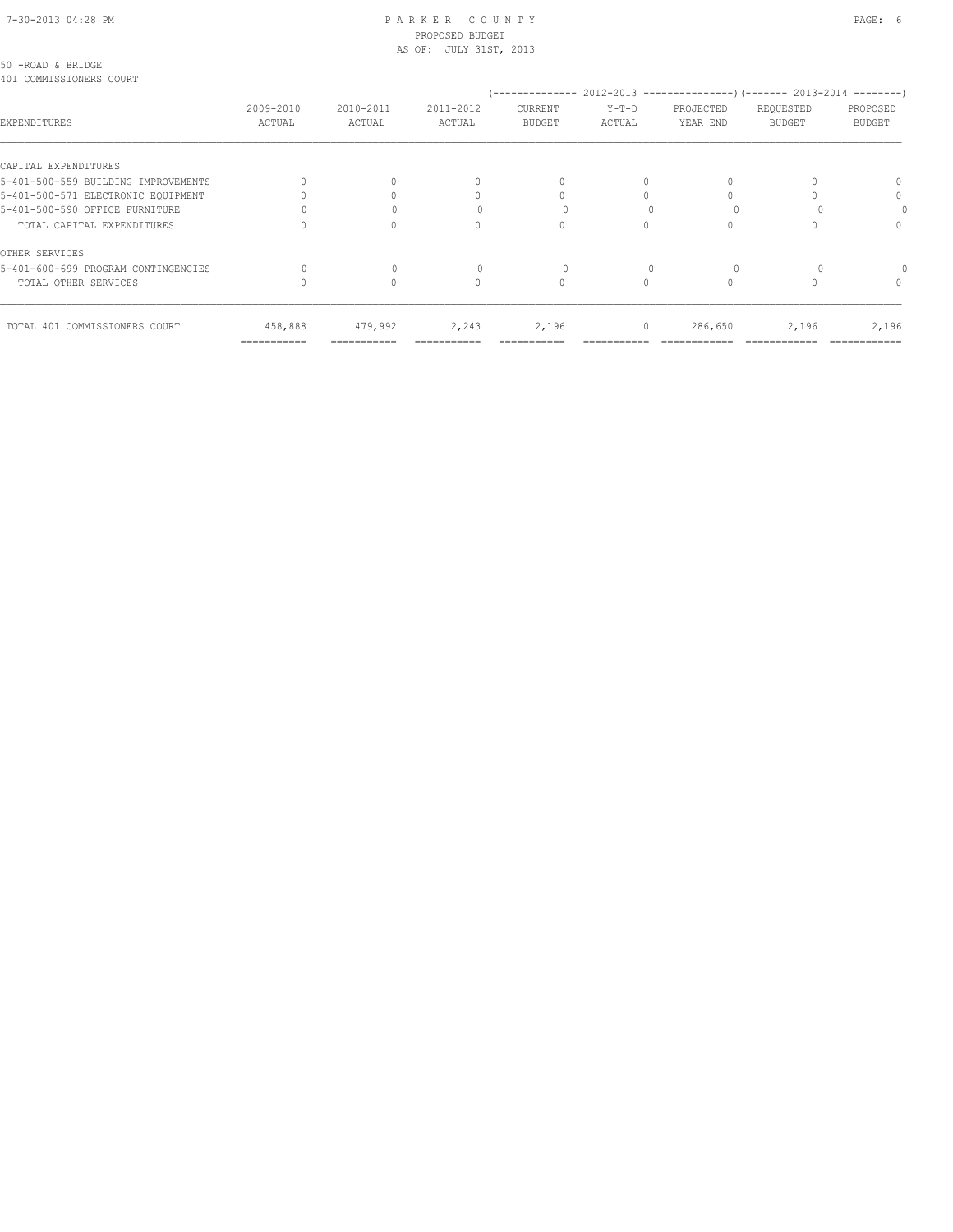#### 7-30-2013 04:28 PM P A R K E R C O U N T Y PAGE: 6 PROPOSED BUDGET AS OF: JULY 31ST, 2013

#### 50 -ROAD & BRIDGE 401 COMMISSIONERS COURT

| IVI COMMITORIONALUM COUNI           |                     |                     |                                  |                                 |                   | -------------        2012-2013 ---------------------        2013-2014 ---------- |                            |                           |
|-------------------------------------|---------------------|---------------------|----------------------------------|---------------------------------|-------------------|----------------------------------------------------------------------------------|----------------------------|---------------------------|
| EXPENDITURES                        | 2009-2010<br>ACTUAL | 2010-2011<br>ACTUAL | 2011-2012<br>ACTUAL              | <b>CURRENT</b><br><b>BUDGET</b> | $Y-T-D$<br>ACTUAL | PROJECTED<br>YEAR END                                                            | REQUESTED<br><b>BUDGET</b> | PROPOSED<br><b>BUDGET</b> |
| CAPITAL EXPENDITURES                |                     |                     |                                  |                                 |                   |                                                                                  |                            |                           |
| 5-401-500-559 BUILDING IMPROVEMENTS |                     |                     | $\begin{array}{c} \n\end{array}$ | $\Omega$                        | $\Omega$          |                                                                                  |                            |                           |
| 5-401-500-571 ELECTRONIC EOUIPMENT  |                     |                     |                                  |                                 |                   |                                                                                  |                            | $\Omega$                  |
| 5-401-500-590 OFFICE FURNITURE      |                     |                     |                                  |                                 |                   |                                                                                  |                            |                           |
| TOTAL CAPITAL EXPENDITURES          |                     |                     | $\Omega$                         |                                 |                   |                                                                                  |                            | $\Omega$                  |
| OTHER SERVICES                      |                     |                     |                                  |                                 |                   |                                                                                  |                            |                           |
| 5-401-600-699 PROGRAM CONTINGENCIES |                     |                     |                                  |                                 |                   |                                                                                  |                            |                           |
| TOTAL OTHER SERVICES                |                     |                     | $\Omega$                         | $\circ$                         |                   |                                                                                  |                            | $^{0}$                    |
| TOTAL 401 COMMISSIONERS COURT       | 458,888             | 479,992             | 2,243                            | 2,196                           | $\circ$           | 286,650                                                                          | 2,196                      | 2,196                     |
|                                     | ===========         |                     |                                  |                                 |                   |                                                                                  |                            |                           |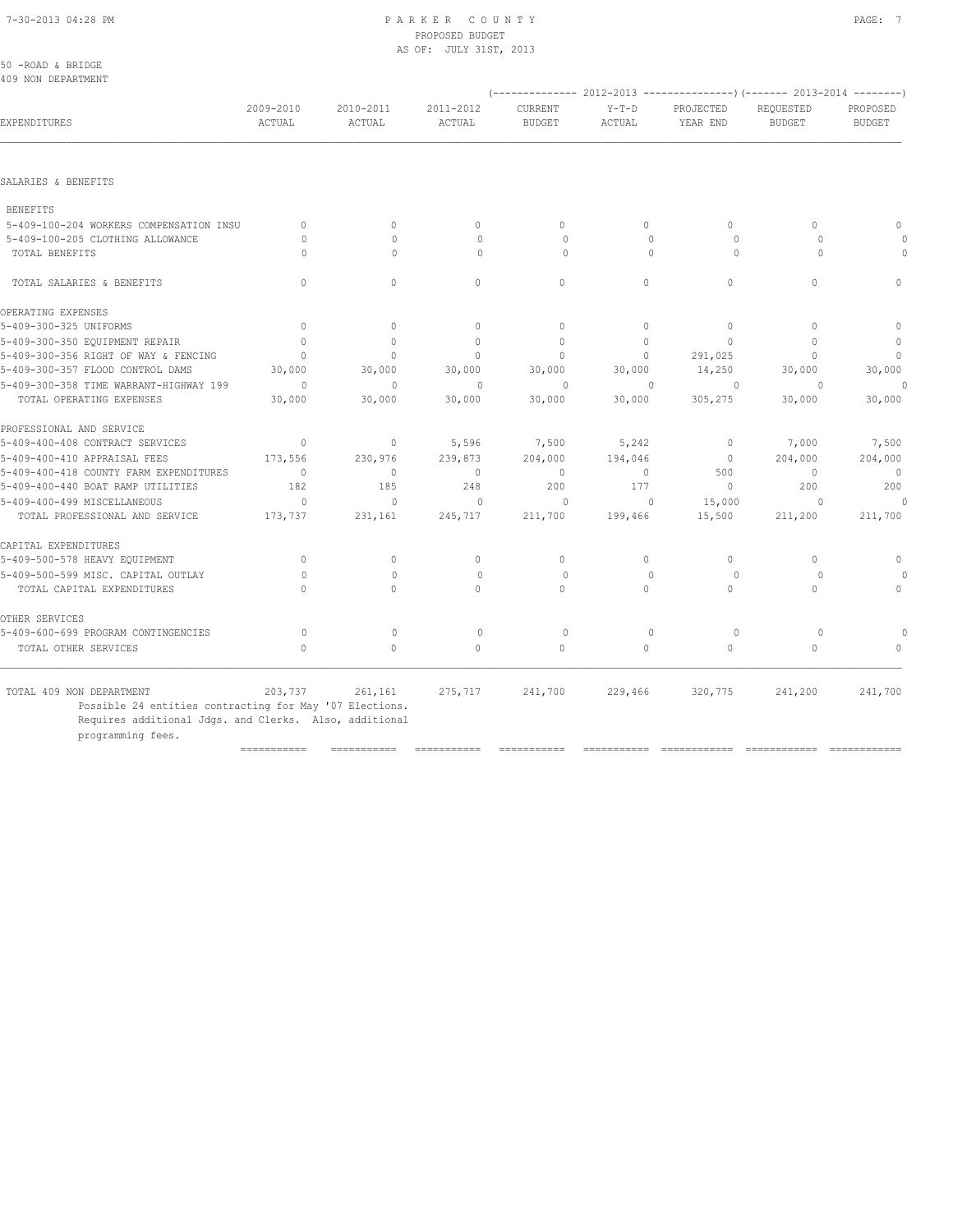| 50 -ROAD & BRIDGE                       |                     |                     |                     |                                 |                   |                                                                          |                            |                           |
|-----------------------------------------|---------------------|---------------------|---------------------|---------------------------------|-------------------|--------------------------------------------------------------------------|----------------------------|---------------------------|
| 409 NON DEPARTMENT                      |                     |                     |                     |                                 |                   | (-------------- 2012-2013 ----------------) (------- 2013-2014 --------) |                            |                           |
| EXPENDITURES                            | 2009-2010<br>ACTUAL | 2010-2011<br>ACTUAL | 2011-2012<br>ACTUAL | <b>CURRENT</b><br><b>BUDGET</b> | $Y-T-D$<br>ACTUAL | PROJECTED<br>YEAR END                                                    | REQUESTED<br><b>BUDGET</b> | PROPOSED<br><b>BUDGET</b> |
| SALARIES & BENEFITS                     |                     |                     |                     |                                 |                   |                                                                          |                            |                           |
| <b>BENEFITS</b>                         |                     |                     |                     |                                 |                   |                                                                          |                            |                           |
| 5-409-100-204 WORKERS COMPENSATION INSU | $\Omega$            | $\Omega$            | $\mathbf{0}$        | $\circ$                         | $\circ$           | $\Omega$                                                                 | $\Omega$                   |                           |
| 5-409-100-205 CLOTHING ALLOWANCE        | $\Omega$            | $\Omega$            | $\Omega$            | $\Omega$                        | $\Omega$          | $\Omega$                                                                 | $\bigcap$                  |                           |
| TOTAL BENEFITS                          | $\Omega$            | $\Omega$            | $\Omega$            | $\Omega$                        | $\Omega$          | $\Omega$                                                                 | $\Omega$                   |                           |
| TOTAL SALARIES & BENEFITS               | $\Omega$            | $\Omega$            | $\Omega$            | $\Omega$                        | $\Omega$          | $\Omega$                                                                 | $\Omega$                   | $\Omega$                  |
| OPERATING EXPENSES                      |                     |                     |                     |                                 |                   |                                                                          |                            |                           |
| 5-409-300-325 UNIFORMS                  | $\circ$             | $\mathbf{0}$        | $\mathbf{0}$        | $\mathbf{0}$                    | $\circ$           | $\mathbf{0}$                                                             | $\Omega$                   | $\circ$                   |
| 5-409-300-350 EQUIPMENT REPAIR          | $\Omega$            | $\Omega$            | $\mathbf{0}$        | $\mathbf{0}$                    | $\circ$           | $\Omega$                                                                 | $\Omega$                   | $\mathbf 0$               |
| 5-409-300-356 RIGHT OF WAY & FENCING    | $\mathbf{0}$        | $\circ$             | $\mathbf{0}$        | $\mathbf{0}$                    | $\circ$           | 291,025                                                                  | $\Omega$                   | $\mathbb O$               |
| 5-409-300-357 FLOOD CONTROL DAMS        | 30,000              | 30,000              | 30,000              | 30,000                          | 30,000            | 14,250                                                                   | 30,000                     | 30,000                    |
| 5-409-300-358 TIME WARRANT-HIGHWAY 199  | $\Omega$            | $\Omega$            | $\Omega$            | $\Omega$                        | $\Omega$          | $\Omega$                                                                 | $\Omega$                   | $\circ$                   |
| TOTAL OPERATING EXPENSES                | 30,000              | 30,000              | 30,000              | 30,000                          | 30,000            | 305,275                                                                  | 30,000                     | 30,000                    |
| PROFESSIONAL AND SERVICE                |                     |                     |                     |                                 |                   |                                                                          |                            |                           |
| 5-409-400-408 CONTRACT SERVICES         | $\circ$             | $\mathbf{0}$        | 5,596               | 7,500                           | 5,242             | $\mathbf 0$                                                              | 7,000                      | 7,500                     |
| 5-409-400-410 APPRAISAL FEES            | 173,556             | 230,976             | 239,873             | 204,000                         | 194,046           | $\mathbf 0$                                                              | 204,000                    | 204,000                   |
| 5-409-400-418 COUNTY FARM EXPENDITURES  | $\mathbf{0}$        | $\mathbf{0}$        | $\circ$             | $\mathbf{0}$                    | 0                 | 500                                                                      | $\mathbf{0}$               | $\overline{0}$            |
| 5-409-400-440 BOAT RAMP UTILITIES       | 182                 | 185                 | 248                 | 200                             | 177               | $\mathbf 0$                                                              | 200                        | 200                       |
| 5-409-400-499 MISCELLANEOUS             | $\circ$             | $\Omega$            | $\mathbf{0}$        | $\circ$                         | $\mathbf{0}$      | 15,000                                                                   | $\Omega$                   | $\Omega$                  |
| TOTAL PROFESSIONAL AND SERVICE          | 173,737             | 231,161             | 245,717             | 211,700                         | 199,466           | 15,500                                                                   | 211,200                    | 211,700                   |
| CAPITAL EXPENDITURES                    |                     |                     |                     |                                 |                   |                                                                          |                            |                           |
| 5-409-500-578 HEAVY EQUIPMENT           | $\circ$             | $\circ$             | $\mathbf{0}$        | $\mathbf{0}$                    | $\circ$           | $\circ$                                                                  | $\circ$                    | $\mathbf{0}$              |
| 5-409-500-599 MISC. CAPITAL OUTLAY      | $\bigcap$           | $\Omega$            | $\Omega$            | $\Omega$                        | $\Omega$          | $\Omega$                                                                 | $\Omega$                   |                           |
| TOTAL CAPITAL EXPENDITURES              | $\Omega$            | $\Omega$            | $\Omega$            | $\Omega$                        | $\Omega$          | $\Omega$                                                                 | $\Omega$                   | $\mathbf{0}$              |
| OTHER SERVICES                          |                     |                     |                     |                                 |                   |                                                                          |                            |                           |
| 5-409-600-699 PROGRAM CONTINGENCIES     | $\circ$             | $\mathbf{0}$        | $\circ$             | $\circ$                         | $\mathbf{0}$      | $\circ$                                                                  | $\Omega$                   |                           |
| TOTAL OTHER SERVICES                    | $\Omega$            | $\Omega$            | $\Omega$            | $\circ$                         | $\circ$           | $\circ$                                                                  | $\Omega$                   |                           |
| TOTAL 409 NON DEPARTMENT                | 203,737             |                     |                     |                                 |                   | 320,775                                                                  | 241,200                    |                           |
|                                         |                     | 261,161             | 275,717             | 241,700                         | 229,466           |                                                                          |                            | 241,700                   |

POSSIBLE 24 entities contracting for May '07 Elections. Requires additional Jdgs. and Clerks. Also, additional

programming fees.

=========== =========== =========== =========== =========== ============ ============ ============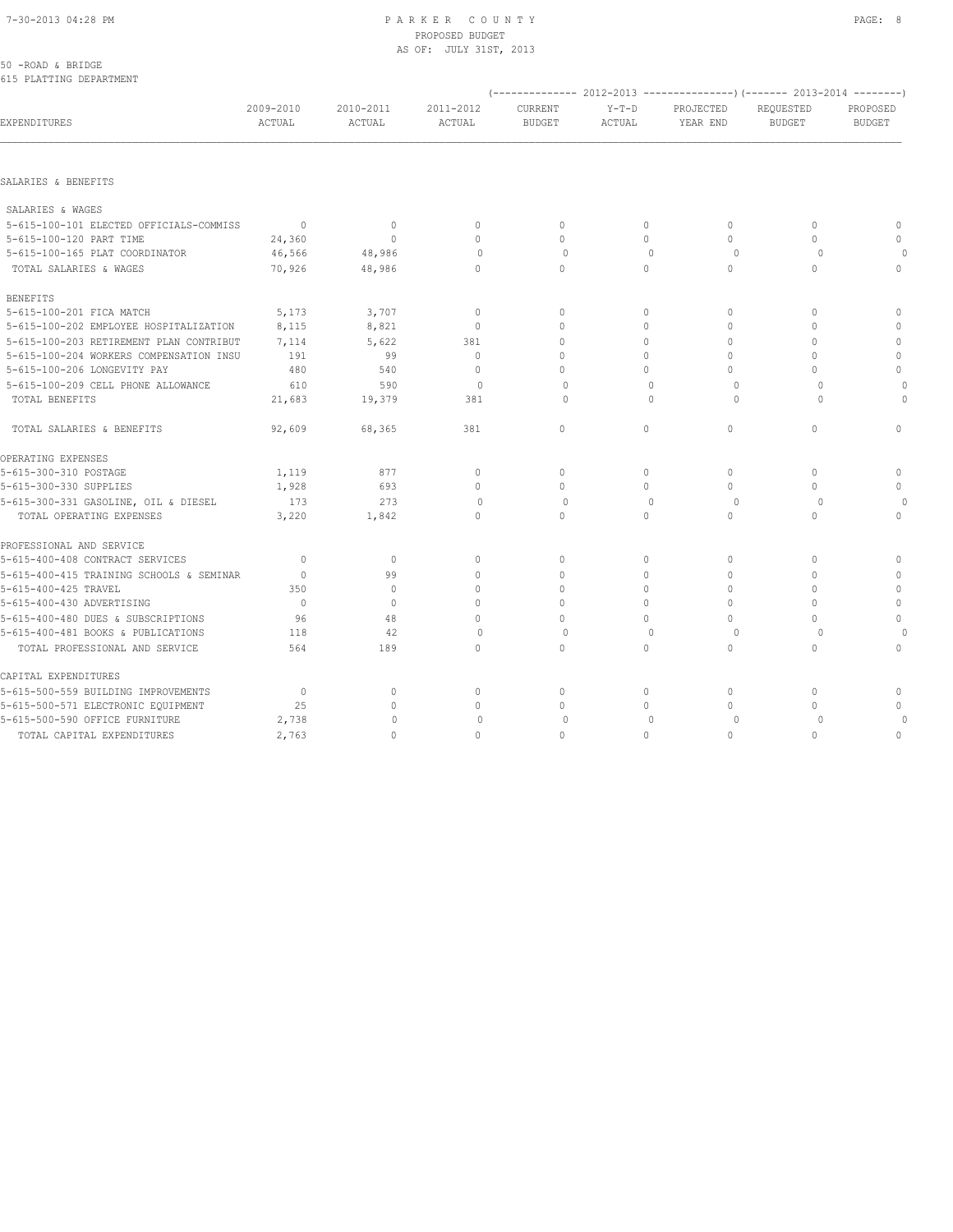#### 7-30-2013 04:28 PM P A R K E R C O U N T Y PAGE: 8 PROPOSED BUDGET AS OF: JULY 31ST, 2013

| 50 - ROAD & BRIDGE |  |                         |
|--------------------|--|-------------------------|
|                    |  | 615 PLATTING DEPARTMENT |

|                                          |                     |                     |                     |                          |                   |                       | (-------------- 2012-2013 ----------------) (------- 2013-2014 --------) |                           |
|------------------------------------------|---------------------|---------------------|---------------------|--------------------------|-------------------|-----------------------|--------------------------------------------------------------------------|---------------------------|
| EXPENDITURES                             | 2009-2010<br>ACTUAL | 2010-2011<br>ACTUAL | 2011-2012<br>ACTUAL | CURRENT<br><b>BUDGET</b> | $Y-T-D$<br>ACTUAL | PROJECTED<br>YEAR END | REQUESTED<br><b>BUDGET</b>                                               | PROPOSED<br><b>BUDGET</b> |
|                                          |                     |                     |                     |                          |                   |                       |                                                                          |                           |
| SALARIES & BENEFITS                      |                     |                     |                     |                          |                   |                       |                                                                          |                           |
| SALARIES & WAGES                         |                     |                     |                     |                          |                   |                       |                                                                          |                           |
| 5-615-100-101 ELECTED OFFICIALS-COMMISS  | $\overline{0}$      | $\mathbf{0}$        | $\mathbf{0}$        | $\mathbf{0}$             | $\circ$           | $\circ$               | $\mathbf{0}$                                                             | $\mathbf{0}$              |
| 5-615-100-120 PART TIME                  | 24,360              | $\circ$             | $\mathbf{0}$        | $\mathbf{0}$             | $\circ$           | $\circ$               | $\mathbf{0}$                                                             | $\mathbf 0$               |
| 5-615-100-165 PLAT COORDINATOR           | 46,566              | 48,986              | $\mathbf{0}$        | $\circ$                  | $\mathbf{0}$      | $\circ$               | $\Omega$                                                                 | $\Omega$                  |
| TOTAL SALARIES & WAGES                   | 70,926              | 48,986              | $\mathbf{0}$        | $\mathbf{0}$             | $\circ$           | $\circ$               | $\Omega$                                                                 | $\mathbf{0}$              |
| <b>BENEFITS</b>                          |                     |                     |                     |                          |                   |                       |                                                                          |                           |
| 5-615-100-201 FICA MATCH                 | 5,173               | 3,707               | $\mathbb O$         | $\mathbf{0}$             | 0                 | $\circ$               | $\mathbf{0}$                                                             | $\circ$                   |
| 5-615-100-202 EMPLOYEE HOSPITALIZATION   | 8,115               | 8,821               | $\mathbf{0}$        | $\Omega$                 | $\circ$           | $\circ$               | $\Omega$                                                                 | $\circ$                   |
| 5-615-100-203 RETIREMENT PLAN CONTRIBUT  | 7,114               | 5,622               | 381                 | $\mathbf{0}$             | $\circ$           | $\Omega$              | $\Omega$                                                                 | $\mathbb O$               |
| 5-615-100-204 WORKERS COMPENSATION INSU  | 191                 | 99                  | $\mathbf{0}$        | $\mathbf{0}$             | $\Omega$          | 0                     | $\Omega$                                                                 | $\mathbf 0$               |
| 5-615-100-206 LONGEVITY PAY              | 480                 | 540                 | $\mathbf{0}$        | $\Omega$                 | $\Omega$          | 0                     | $\Omega$                                                                 | $\mathbf 0$               |
| 5-615-100-209 CELL PHONE ALLOWANCE       | 610                 | 590                 | $\Omega$            | $\Omega$                 | $\Omega$          | $\Omega$              | $\Omega$                                                                 |                           |
| TOTAL BENEFITS                           | 21,683              | 19,379              | 381                 | 0                        | $\mathbf{0}$      | 0                     | 0                                                                        | $\Omega$                  |
| TOTAL SALARIES & BENEFITS                | 92,609              | 68,365              | 381                 | $\mathbf 0$              | $\circ$           | $\circ$               | $\circ$                                                                  | $\mathbf{0}$              |
| OPERATING EXPENSES                       |                     |                     |                     |                          |                   |                       |                                                                          |                           |
| 5-615-300-310 POSTAGE                    | 1,119               | 877                 | $\mathbf{0}$        | $\mathbf{0}$             | $\circ$           | $\circ$               | $\mathbf{0}$                                                             | $\mathbf{0}$              |
| 5-615-300-330 SUPPLIES                   | 1,928               | 693                 | $\mathbf{0}$        | $\mathbf{0}$             | $\circ$           | $\Omega$              | $\Omega$                                                                 | $\mathbf 0$               |
| 5-615-300-331 GASOLINE, OIL & DIESEL     | 173                 | 273                 | $\Omega$            | $\Omega$                 | $\Omega$          | $\Omega$              | $\Omega$                                                                 | $\circ$                   |
| TOTAL OPERATING EXPENSES                 | 3,220               | 1,842               | $\circ$             | $\mathbf{0}$             | $\Omega$          | $\circ$               | $\Omega$                                                                 | $\mathbf{0}$              |
| PROFESSIONAL AND SERVICE                 |                     |                     |                     |                          |                   |                       |                                                                          |                           |
| 5-615-400-408 CONTRACT SERVICES          | $\mathbf{0}$        | $\circ$             | $\mathbf{0}$        | $\mathbf{0}$             | $\circ$           | $\circ$               | $\mathbf{0}$                                                             | $\mathbf{0}$              |
| 5-615-400-415 TRAINING SCHOOLS & SEMINAR | $\mathbf{0}$        | 99                  | $\mathbf 0$         | $\mathbf{0}$             | $\circ$           | $\circ$               | $\Omega$                                                                 | $\circ$                   |
| 5-615-400-425 TRAVEL                     | 350                 | $\mathbf{0}$        | $\mathbf{0}$        | $\mathbf{0}$             | $\circ$           | $\circ$               | $\Omega$                                                                 | $\circ$                   |
| 5-615-400-430 ADVERTISING                | $\overline{0}$      | $\circ$             | $\mathbf{0}$        | $\Omega$                 | $\Omega$          | $\Omega$              | $\Omega$                                                                 | $\mathbb O$               |
| 5-615-400-480 DUES & SUBSCRIPTIONS       | 96                  | 48                  | $\mathbf{0}$        | $\mathbf 0$              | $\mathbf 0$       | 0                     | $\mathbf{0}$                                                             | $\mathbb O$               |
| 5-615-400-481 BOOKS & PUBLICATIONS       | 118                 | 42                  | $\Omega$            | $\Omega$                 | $\Omega$          | 0                     | $\cap$                                                                   | $\Omega$                  |
| TOTAL PROFESSIONAL AND SERVICE           | 564                 | 189                 | $\circ$             | $\mathbf 0$              | $\circ$           | 0                     | $\mathbf 0$                                                              | $\mathbf{0}$              |
| CAPITAL EXPENDITURES                     |                     |                     |                     |                          |                   |                       |                                                                          |                           |
| 5-615-500-559 BUILDING IMPROVEMENTS      | $\overline{0}$      | $\mathbf{0}$        | $\mathbf 0$         | $\mathbf{0}$             | $\circ$           | $\circ$               | $\mathbf{0}$                                                             | 0                         |
| 5-615-500-571 ELECTRONIC EQUIPMENT       | 25                  | $\mathbf{0}$        | $\mathbb O$         | $\mathbf 0$              | $\circ$           | $\circ$               | $\mathbf{0}$                                                             | $\mathbf 0$               |
| 5-615-500-590 OFFICE FURNITURE           | 2,738               | $\Omega$            | $\mathbf 0$         | $\Omega$                 | $\mathbf{0}$      | $\Omega$              | $\Omega$                                                                 |                           |
| TOTAL CAPITAL EXPENDITURES               | 2,763               | $\circ$             | $\mathbf{0}$        | $\mathbf{0}$             | $\circ$           | $\circ$               | $\mathbf{0}$                                                             | $\mathbf{0}$              |
|                                          |                     |                     |                     |                          |                   |                       |                                                                          |                           |

(-------------- 2012-2013 ---------------)(------- 2013-2014 --------)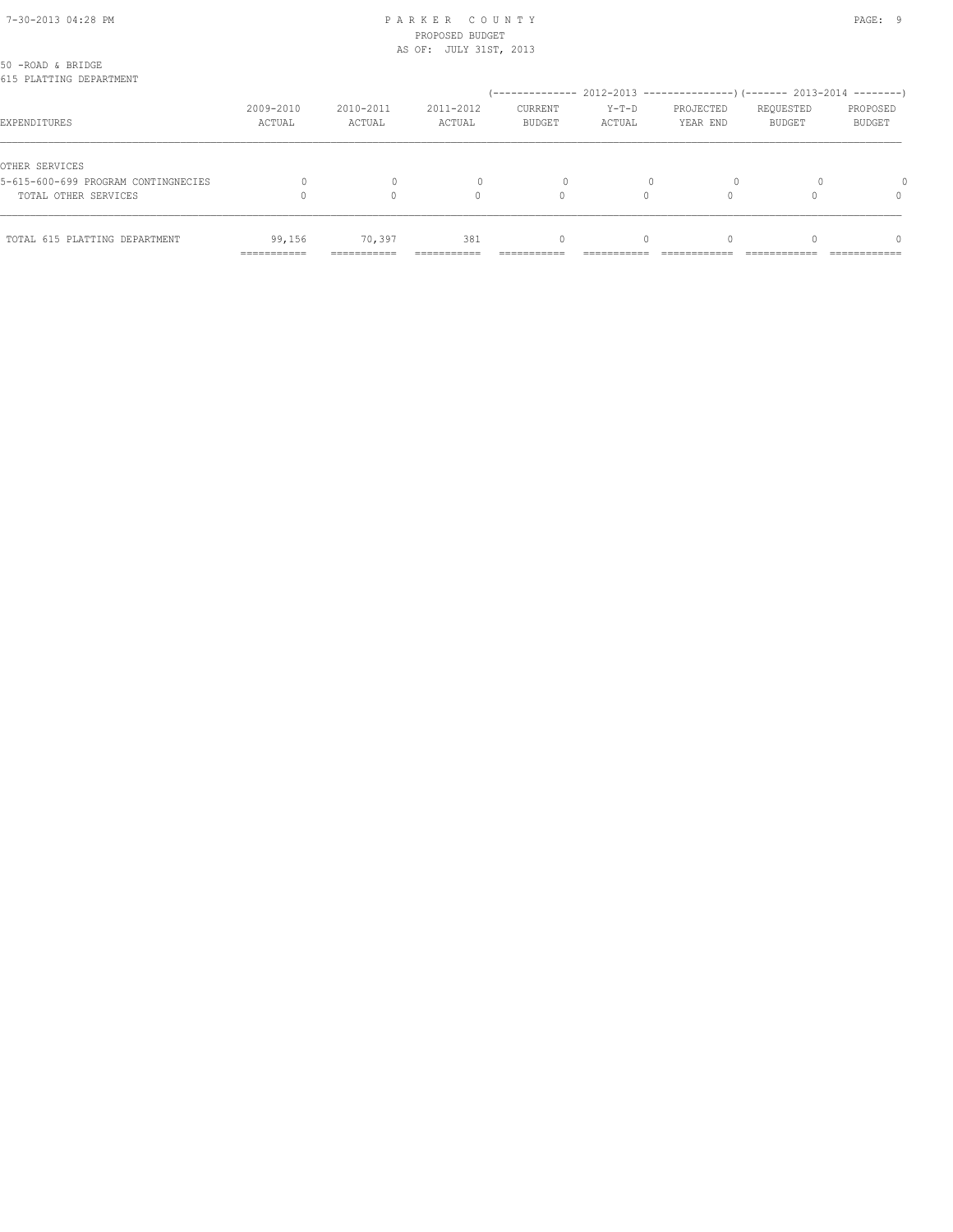### 7-30-2013 04:28 PM P A R K E R C O U N T Y PAGE: 9 PROPOSED BUDGET AS OF: JULY 31ST, 2013

| TOTAL 615 PLATTING DEPARTMENT                         | 99,156<br>------------ | 70,397<br>---------- | 381                 | 0<br>--------------                                                    | $\Omega$          |                       |                            | $\Omega$<br>------------- |
|-------------------------------------------------------|------------------------|----------------------|---------------------|------------------------------------------------------------------------|-------------------|-----------------------|----------------------------|---------------------------|
|                                                       |                        |                      |                     |                                                                        |                   |                       |                            |                           |
| TOTAL OTHER SERVICES                                  |                        |                      | $\Omega$            | 0                                                                      |                   |                       |                            | $\Omega$                  |
| OTHER SERVICES<br>5-615-600-699 PROGRAM CONTINGNECIES |                        |                      |                     | $\Omega$                                                               |                   | $\Omega$              |                            |                           |
| EXPENDITURES                                          | 2009-2010<br>ACTUAL    | 2010-2011<br>ACTUAL  | 2011-2012<br>ACTUAL | CURRENT<br><b>BUDGET</b>                                               | $Y-T-D$<br>ACTUAL | PROJECTED<br>YEAR END | REQUESTED<br><b>BUDGET</b> | PROPOSED<br>BUDGET        |
| 50 -ROAD & BRIDGE<br>615 PLATTING DEPARTMENT          |                        |                      |                     | (-------------- 2012-2013 --------------------- 2013-2014 ---------- ) |                   |                       |                            |                           |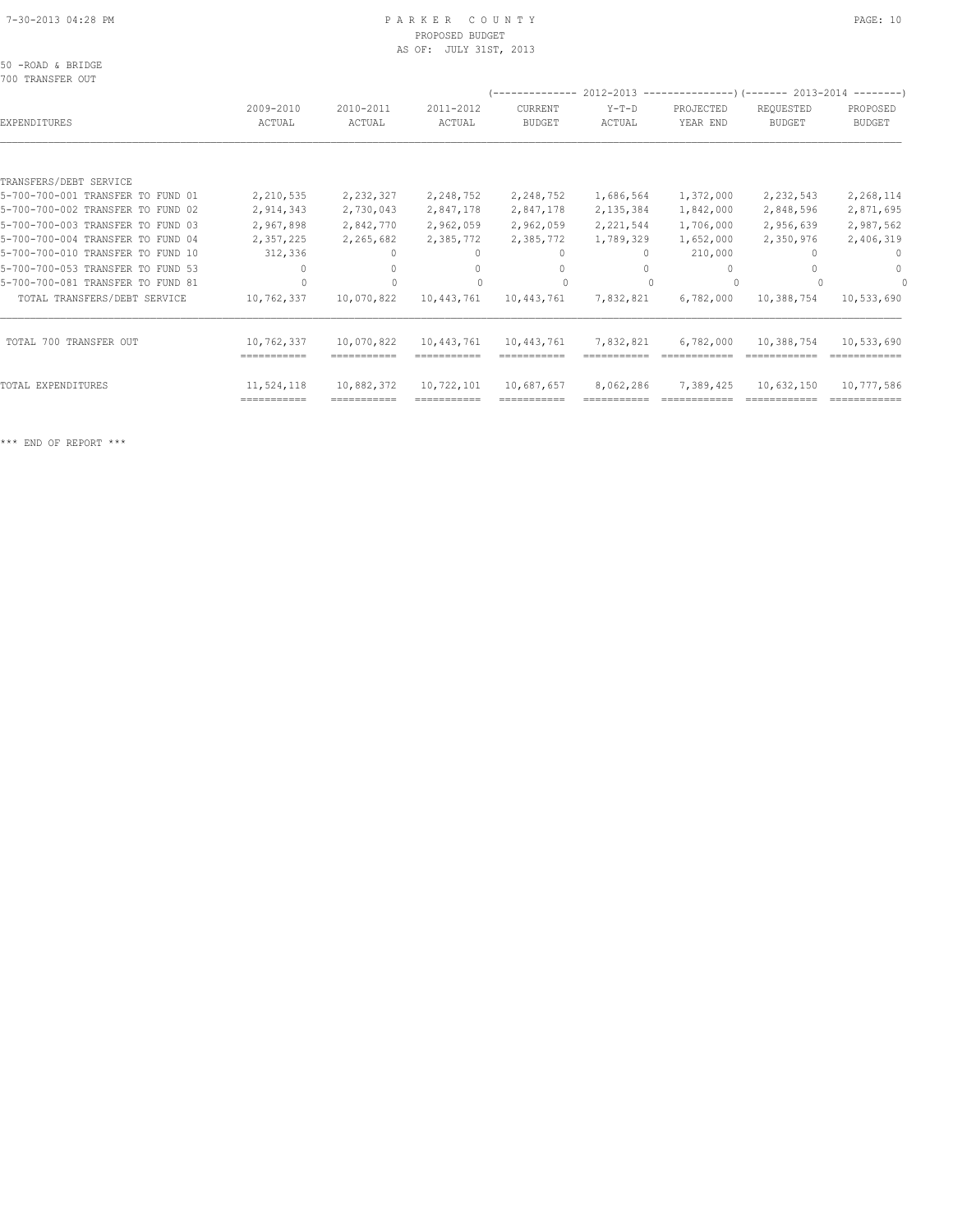#### 7-30-2013 04:28 PM P A R K E R C O U N T Y PAGE: 10 PROPOSED BUDGET AS OF: JULY 31ST, 2013

50 -ROAD & BRIDGE

| 700 TRANSFER OUT                  |             |             |             |               |             | $(----------2012-2013---------)$ $(----2013-2014------)$ |               |               |
|-----------------------------------|-------------|-------------|-------------|---------------|-------------|----------------------------------------------------------|---------------|---------------|
|                                   | 2009-2010   | 2010-2011   | 2011-2012   | CURRENT       | $Y-T-D$     | PROJECTED                                                | REQUESTED     | PROPOSED      |
| EXPENDITURES                      | ACTUAL      | ACTUAL      | ACTUAL      | <b>BUDGET</b> | ACTUAL      | YEAR END                                                 | <b>BUDGET</b> | <b>BUDGET</b> |
|                                   |             |             |             |               |             |                                                          |               |               |
| TRANSFERS/DEBT SERVICE            |             |             |             |               |             |                                                          |               |               |
| 5-700-700-001 TRANSFER TO FUND 01 | 2,210,535   | 2,232,327   | 2,248,752   | 2,248,752     | 1,686,564   | 1,372,000                                                | 2,232,543     | 2,268,114     |
| 5-700-700-002 TRANSFER TO FUND 02 | 2,914,343   | 2,730,043   | 2,847,178   | 2,847,178     | 2, 135, 384 | 1,842,000                                                | 2,848,596     | 2,871,695     |
| 5-700-700-003 TRANSFER TO FUND 03 | 2,967,898   | 2,842,770   | 2,962,059   | 2,962,059     | 2,221,544   | 1,706,000                                                | 2,956,639     | 2,987,562     |
| 5-700-700-004 TRANSFER TO FUND 04 | 2,357,225   | 2,265,682   | 2,385,772   | 2,385,772     | 1,789,329   | 1,652,000                                                | 2,350,976     | 2,406,319     |
| 5-700-700-010 TRANSFER TO FUND 10 | 312,336     |             | $\Omega$    | $\Omega$      | $\Omega$    | 210,000                                                  |               | $^{0}$        |
| 5-700-700-053 TRANSFER TO FUND 53 |             |             | 0           | $\Omega$      |             |                                                          |               | $\Omega$      |
| 5-700-700-081 TRANSFER TO FUND 81 |             |             |             |               |             |                                                          |               |               |
| TOTAL TRANSFERS/DEBT SERVICE      | 10,762,337  | 10,070,822  | 10,443,761  | 10,443,761    | 7,832,821   | 6,782,000                                                | 10,388,754    | 10,533,690    |
| TOTAL 700 TRANSFER OUT            | 10,762,337  | 10,070,822  | 10,443,761  | 10,443,761    | 7,832,821   | 6,782,000                                                | 10,388,754    | 10,533,690    |
|                                   | =========== | =========== | ----------- | ------------  |             |                                                          |               | ============  |
| TOTAL EXPENDITURES                | 11,524,118  | 10,882,372  | 10,722,101  | 10,687,657    | 8,062,286   | 7,389,425                                                | 10,632,150    | 10,777,586    |

=========== =========== =========== =========== =========== ============ ============ ============

\*\*\* END OF REPORT \*\*\*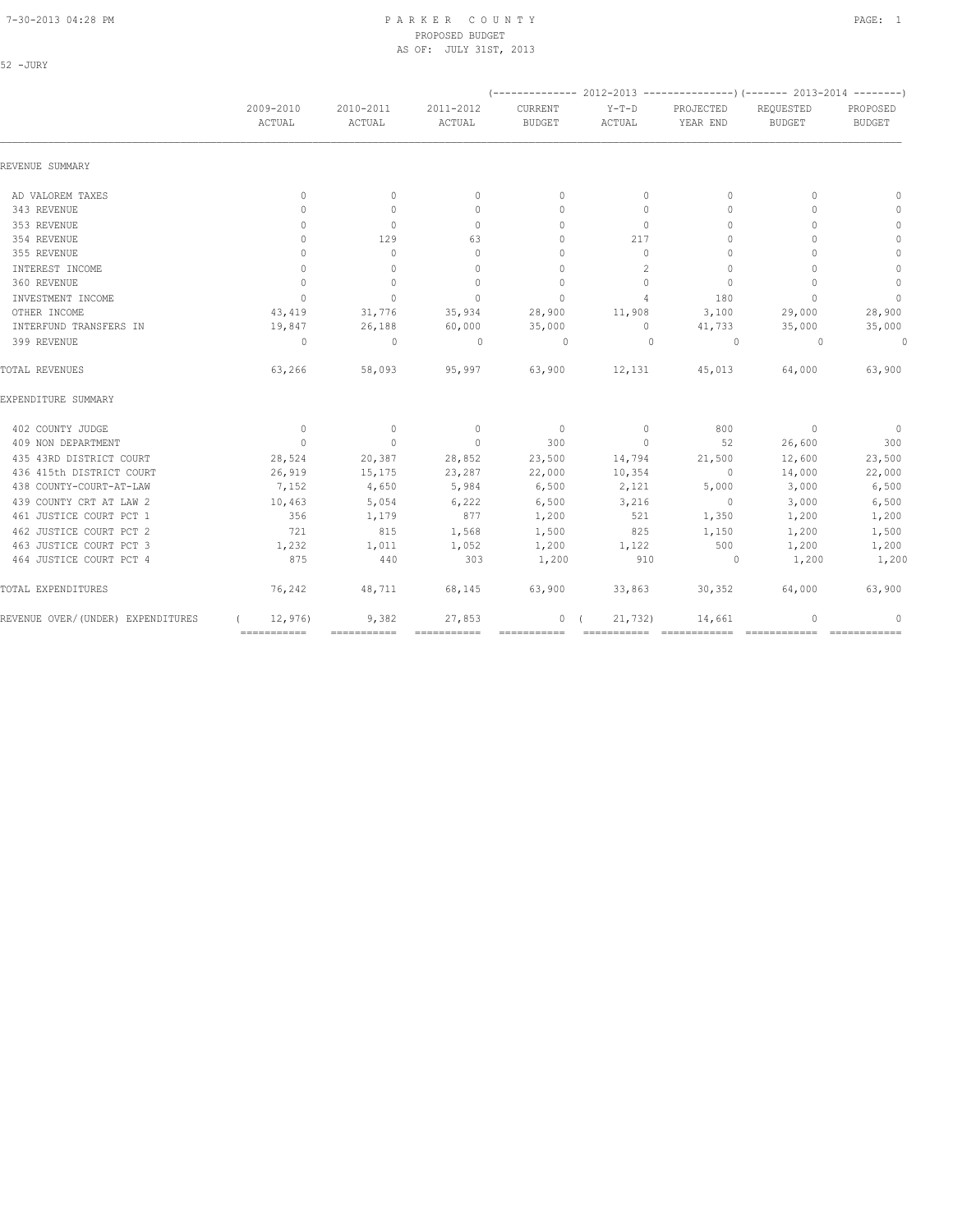52 -JURY

### 7-30-2013 04:28 PM P A R K E R C O U N T Y PAGE: 1 PROPOSED BUDGET AS OF: JULY 31ST, 2013

| REVENUE SUMMARY                    | 2009-2010<br>ACTUAL   | 2010-2011<br>ACTUAL | 2011-2012<br>ACTUAL              | CURRENT<br><b>BUDGET</b>         | $Y-T-D$<br>ACTUAL | PROJECTED<br>YEAR END            | REQUESTED                        | PROPOSED      |
|------------------------------------|-----------------------|---------------------|----------------------------------|----------------------------------|-------------------|----------------------------------|----------------------------------|---------------|
|                                    |                       |                     |                                  |                                  |                   |                                  | <b>BUDGET</b>                    | <b>BUDGET</b> |
|                                    |                       |                     |                                  |                                  |                   |                                  |                                  |               |
| AD VALOREM TAXES                   | $\mathbf{0}$          | $\mathbf{0}$        | $\mathbf{0}$                     | $\mathbf{0}$                     | $\circ$           | $\Omega$                         | $\begin{array}{c} \n\end{array}$ | $\mathbf{0}$  |
| 343 REVENUE                        | $\Omega$              | $\mathbf{0}$        | $\begin{array}{c} \n\end{array}$ | $\mathbf{0}$                     | $\circ$           | $\begin{array}{c} \n\end{array}$ | $\begin{array}{c} \n\end{array}$ | 0             |
| 353 REVENUE                        | $\Omega$              | $\Omega$            | $\Omega$                         | $\Omega$                         | $\Omega$          | $\Omega$                         | $\bigcap$                        | $\circ$       |
| 354 REVENUE                        | $\cap$                | 129                 | 63                               | $\begin{array}{c} \n\end{array}$ | 217               | $\Omega$                         | $\Omega$                         | $\circ$       |
| 355 REVENUE                        | $\Omega$              | $\Omega$            | $\Omega$                         | $\mathbf{0}$                     | $\Omega$          | $\mathbf{0}$                     | $\bigcap$                        | $\mathbb O$   |
| INTEREST INCOME                    | $\mathbf{0}$          | $\circ$             | $\Omega$                         | $\mathbf{0}$                     | 2                 | $\mathbf{0}$                     | $\cap$                           | $\mathbf{0}$  |
| 360 REVENUE                        | $\mathbf{0}$          | $\circ$             | $\Omega$                         | $\mathbf{0}$                     | $\circ$           | $\mathbf{0}$                     | $\Omega$                         | $\mathbf{0}$  |
| INVESTMENT INCOME                  | $\Omega$              | $\Omega$            | $\Omega$                         | $\Omega$                         | $\overline{4}$    | 180                              | $\bigcap$                        | $\mathbf{0}$  |
| OTHER INCOME                       | 43,419                | 31,776              | 35,934                           | 28,900                           | 11,908            | 3,100                            | 29,000                           | 28,900        |
| INTERFUND TRANSFERS IN             | 19,847                | 26,188              | 60,000                           | 35,000                           | $\circ$           | 41,733                           | 35,000                           | 35,000        |
| 399 REVENUE                        | $\Omega$              | $\Omega$            | $\Omega$                         | $\Omega$                         | $\Omega$          | $\Omega$                         | $\Omega$                         | $\circ$       |
| TOTAL REVENUES                     | 63,266                | 58,093              | 95,997                           | 63,900                           | 12,131            | 45,013                           | 64,000                           | 63,900        |
| EXPENDITURE SUMMARY                |                       |                     |                                  |                                  |                   |                                  |                                  |               |
| 402 COUNTY JUDGE                   | $\overline{0}$        | $\circ$             | $\overline{0}$                   | $\overline{\phantom{0}}$         | $\circ$           | 800                              | $\overline{0}$                   | $\sim$ 0      |
| 409 NON DEPARTMENT                 | $\overline{0}$        | $\circ$             | $\circ$                          | 300                              | $\circ$           | 52                               | 26,600                           | 300           |
| 435 43RD DISTRICT COURT            | 28,524                | 20,387              | 28,852                           | 23,500                           | 14,794            | 21,500                           | 12,600                           | 23,500        |
| 436 415th DISTRICT COURT           | 26,919                | 15,175              | 23,287                           | 22,000                           | 10,354            | $\overline{\phantom{0}}$         | 14,000                           | 22,000        |
| 438 COUNTY-COURT-AT-LAW            | 7,152                 | 4,650               | 5,984                            | 6,500                            | 2,121             | 5,000                            | 3,000                            | 6,500         |
| 439 COUNTY CRT AT LAW 2            | 10,463                | 5,054               | 6,222                            | 6,500                            | 3,216             | $\sim$ 0                         | 3,000                            | 6,500         |
| 461 JUSTICE COURT PCT 1            | 356                   | 1,179               | 877                              | 1,200                            | 521               | 1,350                            | 1,200                            | 1,200         |
| 462 JUSTICE COURT PCT 2            | 721                   | 815                 | 1,568                            | 1,500                            | 825               | 1,150                            | 1,200                            | 1,500         |
| 463 JUSTICE COURT PCT 3            | 1,232                 | 1,011               | 1,052                            | 1,200                            | 1,122             | 500                              | 1,200                            | 1,200         |
| 464 JUSTICE COURT PCT 4            | 875                   | 440                 | 303                              | 1,200                            | 910               | $\sim$ 0                         | 1,200                            | 1,200         |
| TOTAL EXPENDITURES                 | 76,242                | 48,711              | 68,145                           | 63,900                           | 33,863            | 30,352                           | 64,000                           | 63,900        |
| REVENUE OVER/ (UNDER) EXPENDITURES | 12,976<br>=========== | 9,382               | 27,853                           | 0(                               | 21,732)           | 14,661                           | $\Omega$                         | $\Omega$      |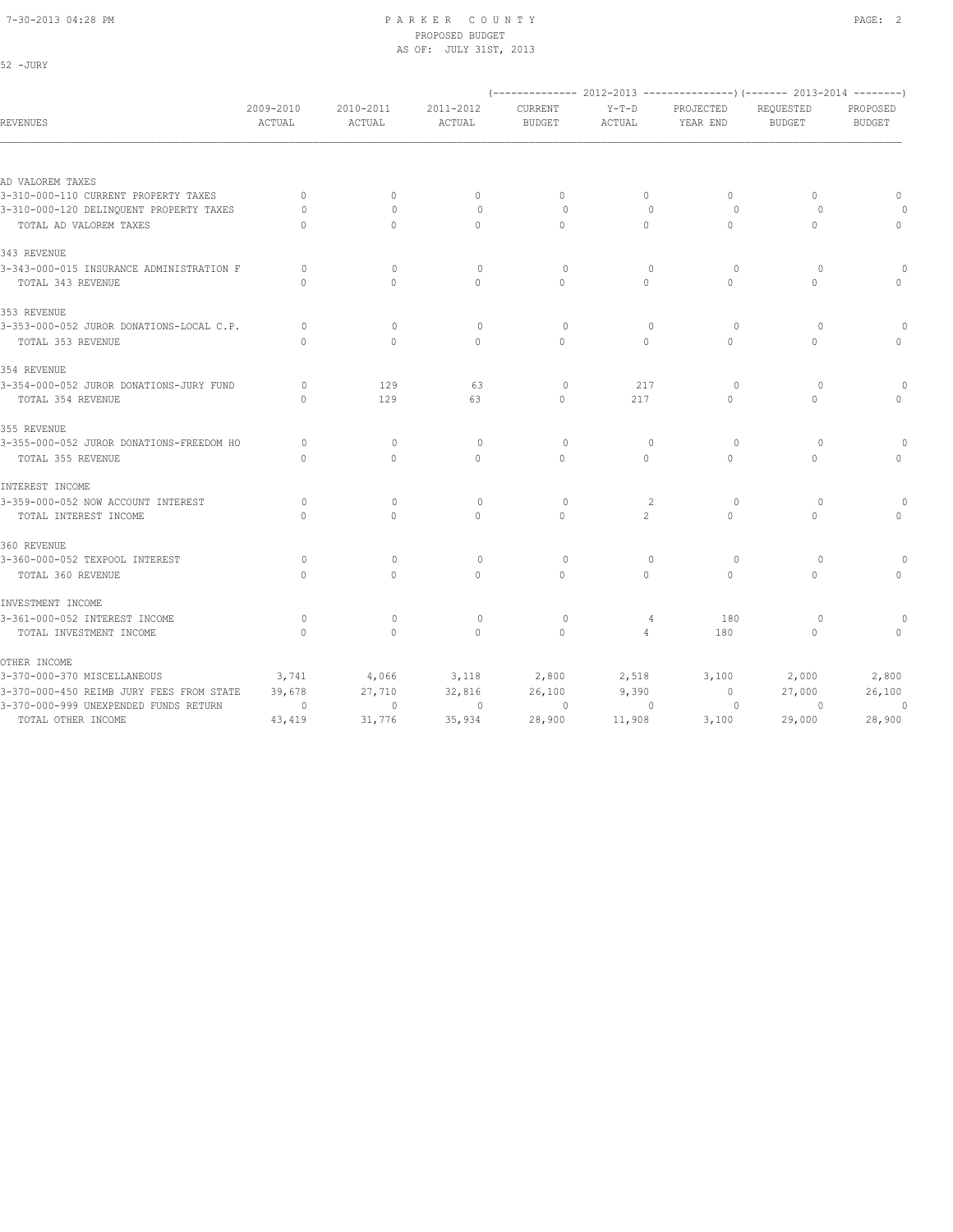52 -JURY

### 7-30-2013 04:28 PM P A R K E R C O U N T Y PAGE: 2 PROPOSED BUDGET AS OF: JULY 31ST, 2013

|                                          |                     |                     |                     |                          |                   |                       | (-------------- 2012-2013 ----------------) (------- 2013-2014 --------) |                           |
|------------------------------------------|---------------------|---------------------|---------------------|--------------------------|-------------------|-----------------------|--------------------------------------------------------------------------|---------------------------|
| <b>REVENUES</b>                          | 2009-2010<br>ACTUAL | 2010-2011<br>ACTUAL | 2011-2012<br>ACTUAL | CURRENT<br><b>BUDGET</b> | $Y-T-D$<br>ACTUAL | PROJECTED<br>YEAR END | REQUESTED<br><b>BUDGET</b>                                               | PROPOSED<br><b>BUDGET</b> |
|                                          |                     |                     |                     |                          |                   |                       |                                                                          |                           |
| AD VALOREM TAXES                         |                     |                     |                     |                          |                   |                       |                                                                          |                           |
| 3-310-000-110 CURRENT PROPERTY TAXES     | $\Omega$            | $\Omega$            | $\mathbf{0}$        | $\Omega$                 | $\Omega$          | $\Omega$              | $\Omega$                                                                 | $\mathbf{0}$              |
| 3-310-000-120 DELINQUENT PROPERTY TAXES  | $\Omega$            | $\Omega$            | $\Omega$            | $\Omega$                 | $\Omega$          | $\Omega$              | $\Omega$                                                                 |                           |
| TOTAL AD VALOREM TAXES                   | $\bigcap$           | $\Omega$            | $\Omega$            | $\Omega$                 | $\Omega$          | $\Omega$              | $\Omega$                                                                 | $\mathbf{0}$              |
| 343 REVENUE                              |                     |                     |                     |                          |                   |                       |                                                                          |                           |
| 3-343-000-015 INSURANCE ADMINISTRATION F | $\circ$             | $\mathbf{0}$        | $\mathbf{0}$        | $\circ$                  | $\mathbf{0}$      | $\circ$               | $\circ$                                                                  | $\Omega$                  |
| TOTAL 343 REVENUE                        | $\Omega$            | $\Omega$            | $\mathbf{0}$        | $\Omega$                 | $\circ$           | $\Omega$              | 0                                                                        | $\mathbf{0}$              |
| 353 REVENUE                              |                     |                     |                     |                          |                   |                       |                                                                          |                           |
| 3-353-000-052 JUROR DONATIONS-LOCAL C.P. | $\Omega$            | $\mathbf{0}$        | $\mathbf{0}$        | $\circ$                  | $\mathbf{0}$      | $\circ$               | $\circ$                                                                  | $\cap$                    |
| TOTAL 353 REVENUE                        | $\Omega$            | $\Omega$            | $\circ$             | $\Omega$                 | $\circ$           | $\Omega$              | $\Omega$                                                                 | 0                         |
| 354 REVENUE                              |                     |                     |                     |                          |                   |                       |                                                                          |                           |
| 3-354-000-052 JUROR DONATIONS-JURY FUND  | $\circ$             | 129                 | 63                  | $\circ$                  | 217               | $\circ$               | $\circ$                                                                  | $\circ$                   |
| TOTAL 354 REVENUE                        | $\cap$              | 129                 | 63                  | $\bigcap$                | 217               | $\Omega$              | $\Omega$                                                                 | $\Omega$                  |
| 355 REVENUE                              |                     |                     |                     |                          |                   |                       |                                                                          |                           |
| 3-355-000-052 JUROR DONATIONS-FREEDOM HO | $\Omega$            | $\Omega$            | $\mathbf{0}$        | $\Omega$                 | $\mathbf{0}$      | $\circ$               | $\Omega$                                                                 | $\Omega$                  |
| TOTAL 355 REVENUE                        | $\Omega$            | $\Omega$            | $\circ$             | $\Omega$                 | $\circ$           | $\Omega$              | $\mathbf{0}$                                                             | $\Omega$                  |
| INTEREST INCOME                          |                     |                     |                     |                          |                   |                       |                                                                          |                           |
| 3-359-000-052 NOW ACCOUNT INTEREST       | $\circ$             | $\mathbf{0}$        | 0                   | $\circ$                  | $\overline{c}$    | $\circ$               | $\circ$                                                                  | $\bigcap$                 |
| TOTAL INTEREST INCOME                    | $\Omega$            | $\Omega$            | $\Omega$            | $\Omega$                 | $\overline{c}$    | $\Omega$              | $\Omega$                                                                 | $\mathbf{0}$              |
| 360 REVENUE                              |                     |                     |                     |                          |                   |                       |                                                                          |                           |
| 3-360-000-052 TEXPOOL INTEREST           | $\circ$             | $\mathbf{0}$        | $\mathbf{0}$        | $\circ$                  | $\mathbf{0}$      | $\circ$               | $\circ$                                                                  | $\Omega$                  |
| TOTAL 360 REVENUE                        | $\Omega$            | $\Omega$            | $\circ$             | $\mathbf{0}$             | 0                 | $\circ$               | $\mathbf{0}$                                                             | 0                         |
| INVESTMENT INCOME                        |                     |                     |                     |                          |                   |                       |                                                                          |                           |
| 3-361-000-052 INTEREST INCOME            | $\circ$             | $\mathbf{0}$        | $\mathbf{0}$        | $\circ$                  | $\overline{4}$    | 180                   | $\circ$                                                                  | $\Omega$                  |
| TOTAL INVESTMENT INCOME                  | $\Omega$            | $\Omega$            | $\Omega$            | $\Omega$                 | $\overline{4}$    | 180                   | $\Omega$                                                                 | $\Omega$                  |
| OTHER INCOME                             |                     |                     |                     |                          |                   |                       |                                                                          |                           |
| 3-370-000-370 MISCELLANEOUS              | 3,741               | 4,066               | 3,118               | 2,800                    | 2,518             | 3,100                 | 2,000                                                                    | 2,800                     |
| 3-370-000-450 REIMB JURY FEES FROM STATE | 39,678              | 27,710              | 32,816              | 26,100                   | 9,390             | $\circ$               | 27,000                                                                   | 26,100                    |
| 3-370-000-999 UNEXPENDED FUNDS RETURN    | $\circ$             | $\mathbf{0}$        | $\mathbf{0}$        | 0                        | $\mathbf 0$       | 0                     | $\circ$                                                                  | $\circ$                   |
| TOTAL OTHER INCOME                       | 43,419              | 31,776              | 35,934              | 28,900                   | 11,908            | 3,100                 | 29,000                                                                   | 28,900                    |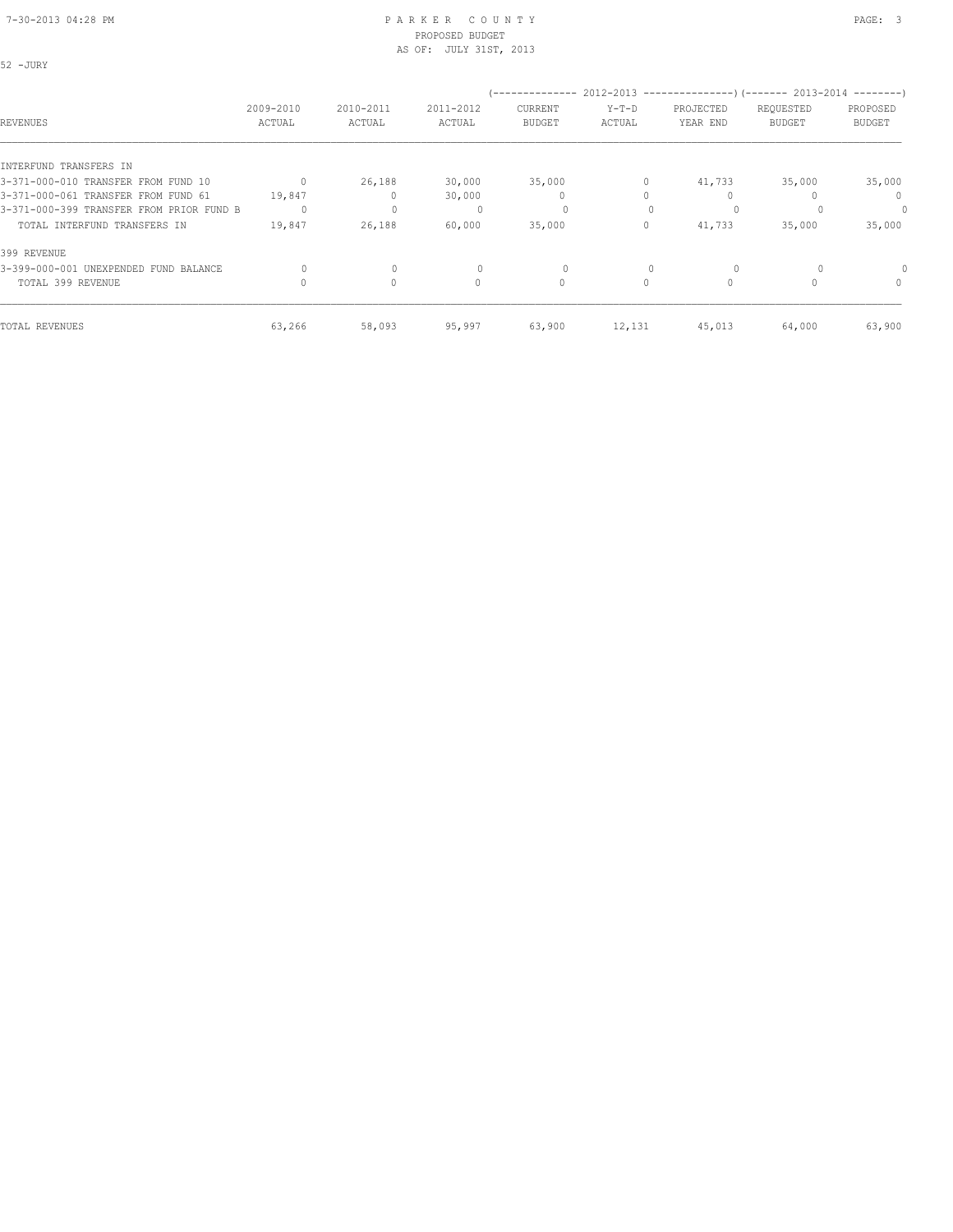#### 7-30-2013 04:28 PM P A R K E R C O U N T Y PAGE: 3 PROPOSED BUDGET AS OF: JULY 31ST, 2013

52 -JURY

| REVENUES                                 | 2009-2010<br>ACTUAL | 2010-2011<br>ACTUAL | 2011-2012<br>ACTUAL | CURRENT<br><b>BUDGET</b> | $Y-T-D$<br>ACTUAL | (-------------- 2012-2013 --------------------- 2013-2014 ---------- )<br>PROJECTED<br>YEAR END | REQUESTED<br><b>BUDGET</b> | PROPOSED<br><b>BUDGET</b> |
|------------------------------------------|---------------------|---------------------|---------------------|--------------------------|-------------------|-------------------------------------------------------------------------------------------------|----------------------------|---------------------------|
|                                          |                     |                     |                     |                          |                   |                                                                                                 |                            |                           |
| INTERFUND TRANSFERS IN                   |                     |                     |                     |                          |                   |                                                                                                 |                            |                           |
| 3-371-000-010 TRANSFER FROM FUND 10      |                     | 26,188              | 30,000              | 35,000                   | 0                 | 41,733                                                                                          | 35,000                     | 35,000                    |
| 3-371-000-061 TRANSFER FROM FUND 61      | 19,847              |                     | 30,000              | $\mathbf{0}$             | Ω                 |                                                                                                 |                            | $\Omega$                  |
| 3-371-000-399 TRANSFER FROM PRIOR FUND B | 0                   | $\mathbf{0}$        |                     | 0                        | $\Omega$          | $\Omega$                                                                                        |                            | 0                         |
| TOTAL INTERFUND TRANSFERS IN             | 19,847              | 26,188              | 60,000              | 35,000                   | 0                 | 41,733                                                                                          | 35,000                     | 35,000                    |
| 399 REVENUE                              |                     |                     |                     |                          |                   |                                                                                                 |                            |                           |
| 3-399-000-001 UNEXPENDED FUND BALANCE    |                     | 0                   |                     | 0                        |                   |                                                                                                 |                            |                           |
| TOTAL 399 REVENUE                        |                     | $\circ$             | 0                   | $\circ$                  | 0                 |                                                                                                 |                            | 0                         |
| TOTAL REVENUES                           | 63,266              | 58,093              | 95,997              | 63,900                   | 12,131            | 45,013                                                                                          | 64,000                     | 63,900                    |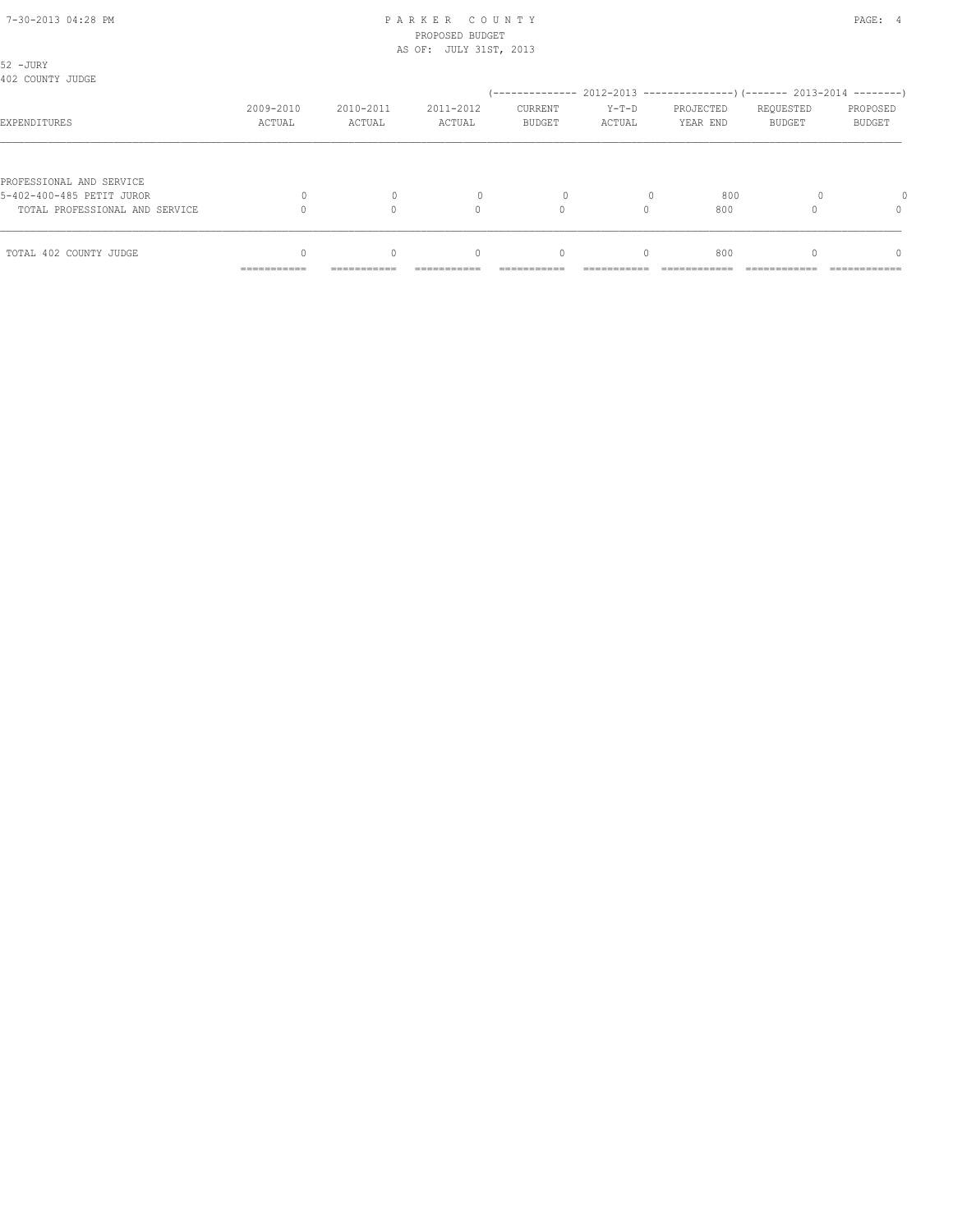# 7-30-2013 04:28 PM P A R K E R C O U N T Y PAGE: 4 PROPOSED BUDGET

|                                                       | AS OF: JULY 31ST, 2013 |              |              |               |          |           |               |               |
|-------------------------------------------------------|------------------------|--------------|--------------|---------------|----------|-----------|---------------|---------------|
| 52 - JURY<br>402 COUNTY JUDGE                         |                        |              |              |               |          |           |               |               |
|                                                       |                        |              |              |               |          |           |               |               |
|                                                       | 2009-2010              | 2010-2011    | 2011-2012    | CURRENT       | $Y-T-D$  | PROJECTED | REQUESTED     | PROPOSED      |
| EXPENDITURES                                          | ACTUAL                 | ACTUAL       | ACTUAL       | <b>BUDGET</b> | ACTUAL   | YEAR END  | <b>BUDGET</b> | <b>BUDGET</b> |
| PROFESSIONAL AND SERVICE<br>5-402-400-485 PETIT JUROR | 0                      | $\mathbf{0}$ | $\mathbf{0}$ | 0             |          | 800       |               |               |
|                                                       |                        |              |              |               |          |           |               |               |
| TOTAL PROFESSIONAL AND SERVICE                        |                        | $\Omega$     | $\Omega$     | $\circ$       | $\Omega$ | 800       |               | 0             |
| TOTAL 402 COUNTY JUDGE                                | $\Omega$               | $\Omega$     | $\mathbf{0}$ | $\mathbf{0}$  | $\circ$  | 800       |               | $\Omega$      |
|                                                       | ------------           | ------------ |              |               |          |           |               |               |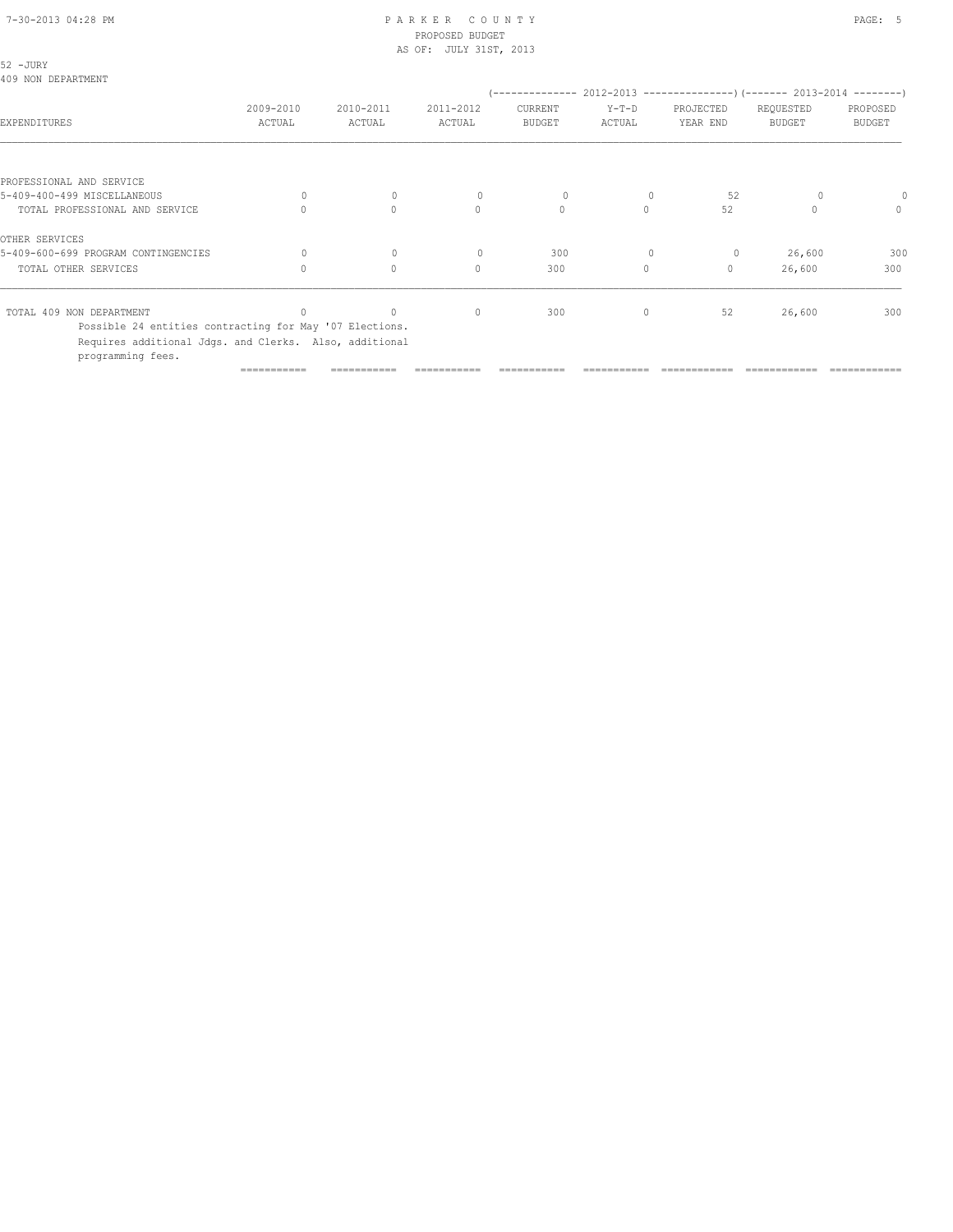| 52 - JURY<br>409 NON DEPARTMENT                                             |                     |                     |                                  |                                            |                   |                                                                                        |                            |                           |
|-----------------------------------------------------------------------------|---------------------|---------------------|----------------------------------|--------------------------------------------|-------------------|----------------------------------------------------------------------------------------|----------------------------|---------------------------|
| EXPENDITURES                                                                | 2009-2010<br>ACTUAL | 2010-2011<br>ACTUAL | 2011-2012<br>ACTUAL              | --------------<br>CURRENT<br><b>BUDGET</b> | $Y-T-D$<br>ACTUAL | 2012-2013 --------------------- (------- 2013-2014 ---------)<br>PROJECTED<br>YEAR END | REQUESTED<br><b>BUDGET</b> | PROPOSED<br><b>BUDGET</b> |
|                                                                             |                     |                     |                                  |                                            |                   |                                                                                        |                            |                           |
| PROFESSIONAL AND SERVICE                                                    |                     |                     |                                  |                                            |                   |                                                                                        |                            |                           |
| 5-409-400-499 MISCELLANEOUS                                                 | $\Omega$            | $\mathbf{0}$        | $\Omega$                         | $\circ$                                    |                   | 52                                                                                     |                            |                           |
| TOTAL PROFESSIONAL AND SERVICE                                              | $\bigcap$           | $\Omega$            | $\Omega$                         | $\circ$                                    | $\Omega$          | 52                                                                                     | $\Omega$                   | $\mathbf{0}$              |
| OTHER SERVICES                                                              |                     |                     |                                  |                                            |                   |                                                                                        |                            |                           |
| 5-409-600-699 PROGRAM CONTINGENCIES                                         | $\Omega$            | $\mathbf{0}$        | $\Omega$                         | 300                                        | $\mathbf{0}$      | $\circ$                                                                                | 26,600                     | 300                       |
| TOTAL OTHER SERVICES                                                        | $\Omega$            | $\Omega$            | $\begin{array}{c} \n\end{array}$ | 300                                        | $\circ$           | $\mathbf{0}$                                                                           | 26,600                     | 300                       |
| TOTAL 409 NON DEPARTMENT                                                    |                     | $\Omega$            | $\mathbf{0}$                     | 300                                        | 0                 | 52                                                                                     | 26,600                     | 300                       |
| Possible 24 entities contracting for May '07 Elections.                     |                     |                     |                                  |                                            |                   |                                                                                        |                            |                           |
| Requires additional Jdgs. and Clerks. Also, additional<br>programming fees. |                     |                     |                                  |                                            |                   |                                                                                        |                            |                           |
|                                                                             | ===========         |                     |                                  |                                            |                   |                                                                                        |                            |                           |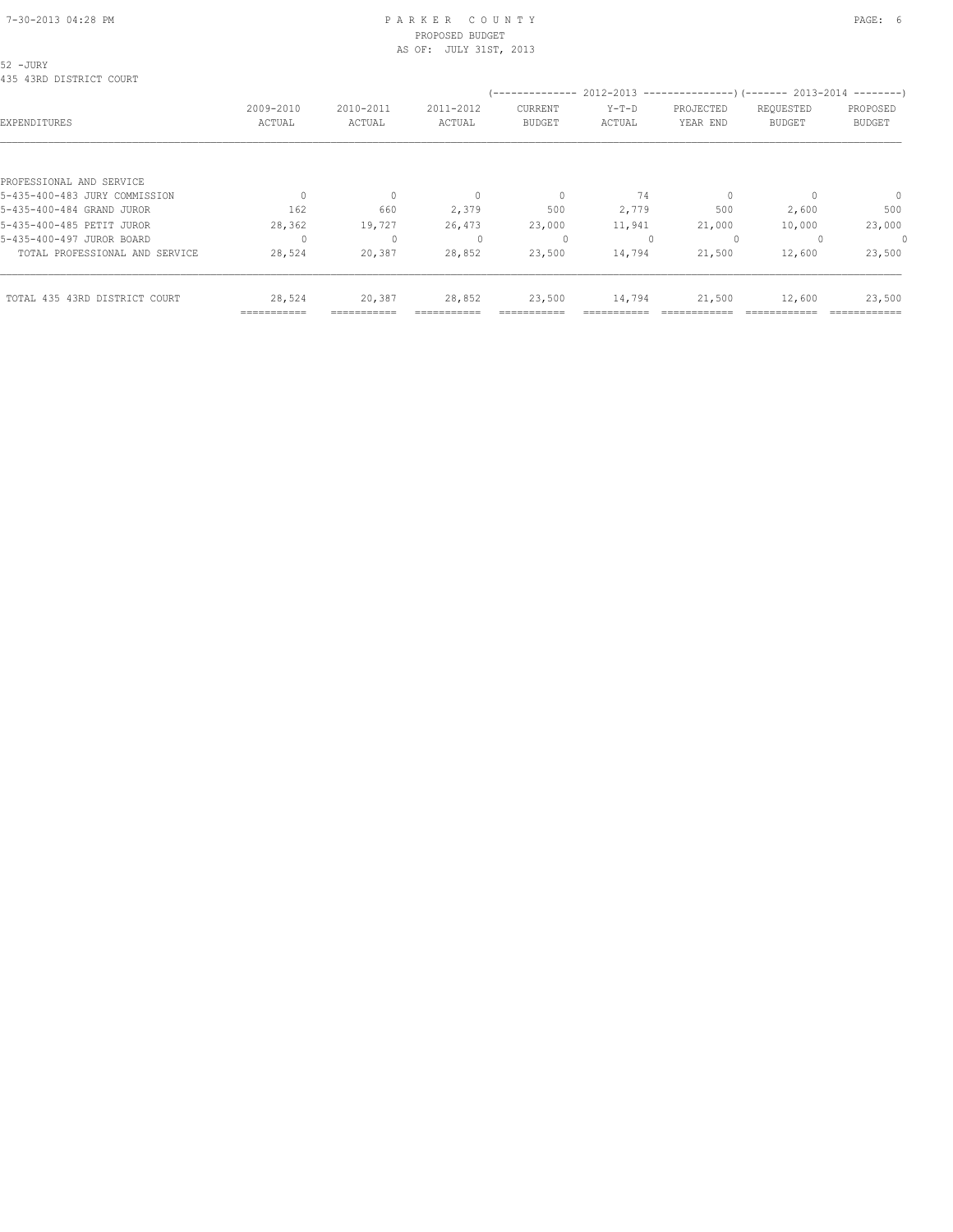#### 7-30-2013 04:28 PM P A R K E R C O U N T Y PAGE: 6 PROPOSED BUDGET AS OF: JULY 31ST, 2013

## 52 -JURY

|                                | =========== |              |                                  |                |         |                                                        |               |              |
|--------------------------------|-------------|--------------|----------------------------------|----------------|---------|--------------------------------------------------------|---------------|--------------|
| TOTAL 435 43RD DISTRICT COURT  | 28,524      | 20,387       | 28,852                           | 23,500         | 14,794  | 21,500                                                 | 12,600        | 23,500       |
| TOTAL PROFESSIONAL AND SERVICE | 28,524      | 20,387       | 28,852                           | 23,500         | 14,794  | 21,500                                                 | 12,600        | 23,500       |
| 5-435-400-497 JUROR BOARD      |             | $\mathbf{0}$ |                                  | 0              |         | $\Omega$                                               |               | 0            |
| 5-435-400-485 PETIT JUROR      | 28,362      | 19,727       | 26,473                           | 23,000         | 11,941  | 21,000                                                 | 10,000        | 23,000       |
| 5-435-400-484 GRAND JUROR      | 162         | 660          | 2,379                            | 500            | 2,779   | 500                                                    | 2,600         | 500          |
| 5-435-400-483 JURY COMMISSION  |             | $\Omega$     | $\begin{array}{c} \n\end{array}$ | $\mathbf{0}$   | 74      |                                                        |               | $\mathbf{0}$ |
| PROFESSIONAL AND SERVICE       |             |              |                                  |                |         |                                                        |               |              |
|                                |             |              |                                  |                |         |                                                        |               |              |
| EXPENDITURES                   | ACTUAL      | ACTUAL       | ACTUAL                           | <b>BUDGET</b>  | ACTUAL  | YEAR END                                               | <b>BUDGET</b> | BUDGET       |
|                                | 2009-2010   | 2010-2011    | 2011-2012                        | CURRENT        | $Y-T-D$ | PROJECTED                                              | REQUESTED     | PROPOSED     |
|                                |             |              |                                  | -------------- |         | 2012-2013 ---------------------- 2013-2014 ----------- |               |              |
| 435 43RD DISTRICT COURT        |             |              |                                  |                |         |                                                        |               |              |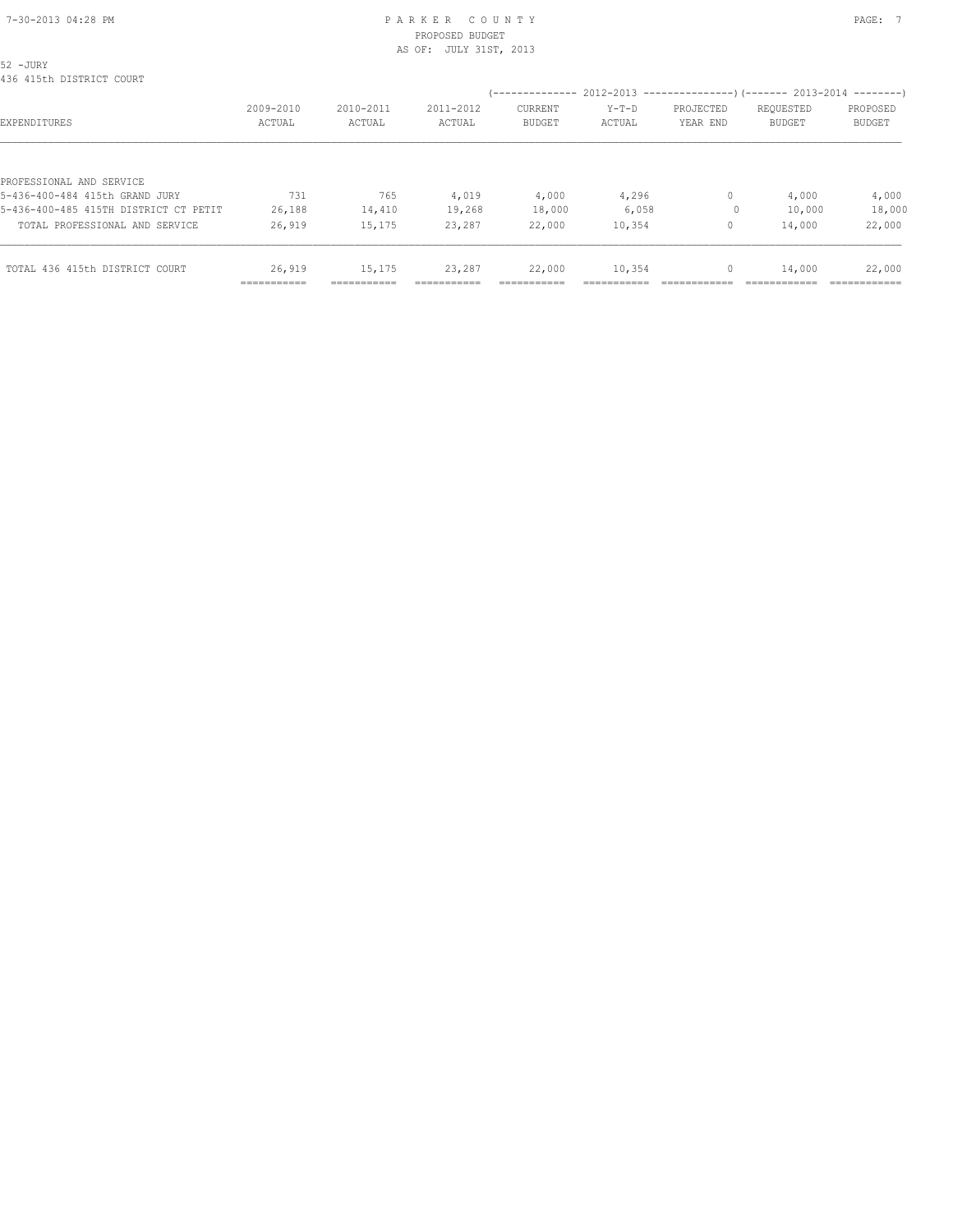# 7-30-2013 04:28 PM P A R K E R C O U N T Y PAGE: 7 PROPOSED BUDGET

|                                                            | =========== |           |                        |               |         |              |               |               |
|------------------------------------------------------------|-------------|-----------|------------------------|---------------|---------|--------------|---------------|---------------|
| TOTAL 436 415th DISTRICT COURT                             | 26,919      | 15,175    | 23,287                 | 22,000        | 10,354  | 0            | 14,000        | 22,000        |
| TOTAL PROFESSIONAL AND SERVICE                             | 26,919      | 15,175    | 23,287                 | 22,000        | 10,354  | 0            | 14,000        | 22,000        |
| 5-436-400-485 415TH DISTRICT CT PETIT                      | 26,188      | 14,410    | 19,268                 | 18,000        | 6,058   | $\circ$      | 10,000        | 18,000        |
| PROFESSIONAL AND SERVICE<br>5-436-400-484 415th GRAND JURY | 731         | 765       | 4,019                  | 4,000         | 4,296   | $\mathbf{0}$ | 4,000         | 4,000         |
| EXPENDITURES                                               | ACTUAL      | ACTUAL    | ACTUAL                 | <b>BUDGET</b> | ACTUAL  | YEAR END     | <b>BUDGET</b> | <b>BUDGET</b> |
|                                                            | 2009-2010   | 2010-2011 | 2011-2012              | CURRENT       | $Y-T-D$ | PROJECTED    | REQUESTED     | PROPOSED      |
| 52 -JURY<br>436 415th DISTRICT COURT                       |             |           |                        |               |         |              |               |               |
|                                                            |             |           | AS OF: JULY 31ST, 2013 |               |         |              |               |               |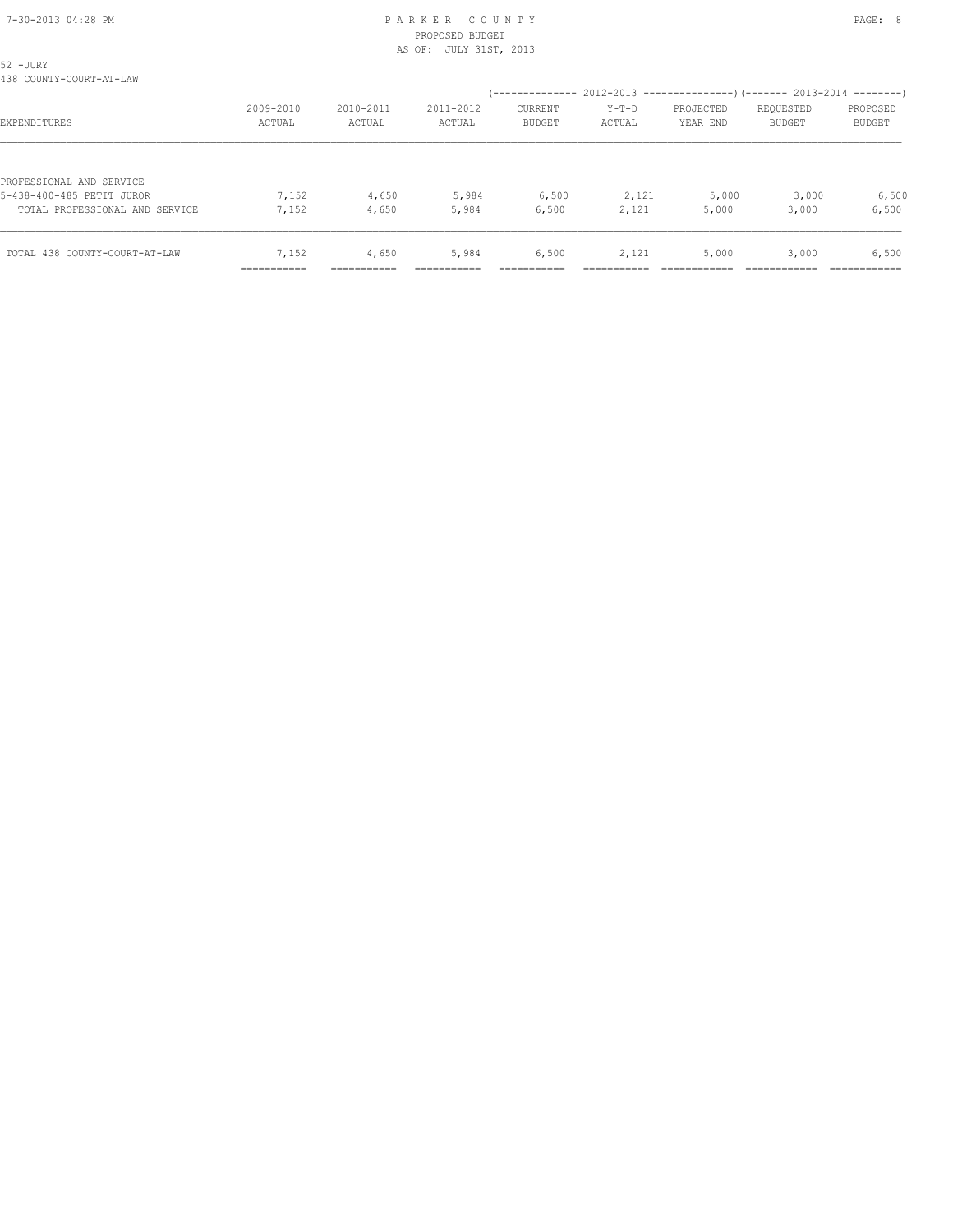| 52 - JURY                      |                          |            |           |                                                                        |         |           |               |               |
|--------------------------------|--------------------------|------------|-----------|------------------------------------------------------------------------|---------|-----------|---------------|---------------|
| 438 COUNTY-COURT-AT-LAW        |                          |            |           |                                                                        |         |           |               |               |
|                                |                          |            |           | (-------------- 2012-2013 --------------------- 2013-2014 ---------- ) |         |           |               |               |
|                                | 2009-2010                | 2010-2011  | 2011-2012 | <b>CURRENT</b>                                                         | $Y-T-D$ | PROJECTED | REQUESTED     | PROPOSED      |
| EXPENDITURES                   | ACTUAL                   | ACTUAL     | ACTUAL    | <b>BUDGET</b>                                                          | ACTUAL  | YEAR END  | <b>BUDGET</b> | <b>BUDGET</b> |
|                                |                          |            |           |                                                                        |         |           |               |               |
| PROFESSIONAL AND SERVICE       |                          |            |           |                                                                        |         |           |               |               |
| 5-438-400-485 PETIT JUROR      | 7,152                    | 4,650      | 5,984     | 6,500                                                                  | 2,121   | 5,000     | 3,000         | 6,500         |
| TOTAL PROFESSIONAL AND SERVICE | 7,152                    | 4,650      | 5,984     | 6,500                                                                  | 2,121   | 5,000     | 3,000         | 6,500         |
|                                |                          |            |           |                                                                        |         |           |               |               |
| TOTAL 438 COUNTY-COURT-AT-LAW  | 7,152                    | 4,650      | 5,984     | 6,500                                                                  | 2,121   | 5,000     | 3,000         | 6,500         |
|                                | ----------<br>---------- | ---------- |           |                                                                        |         |           |               |               |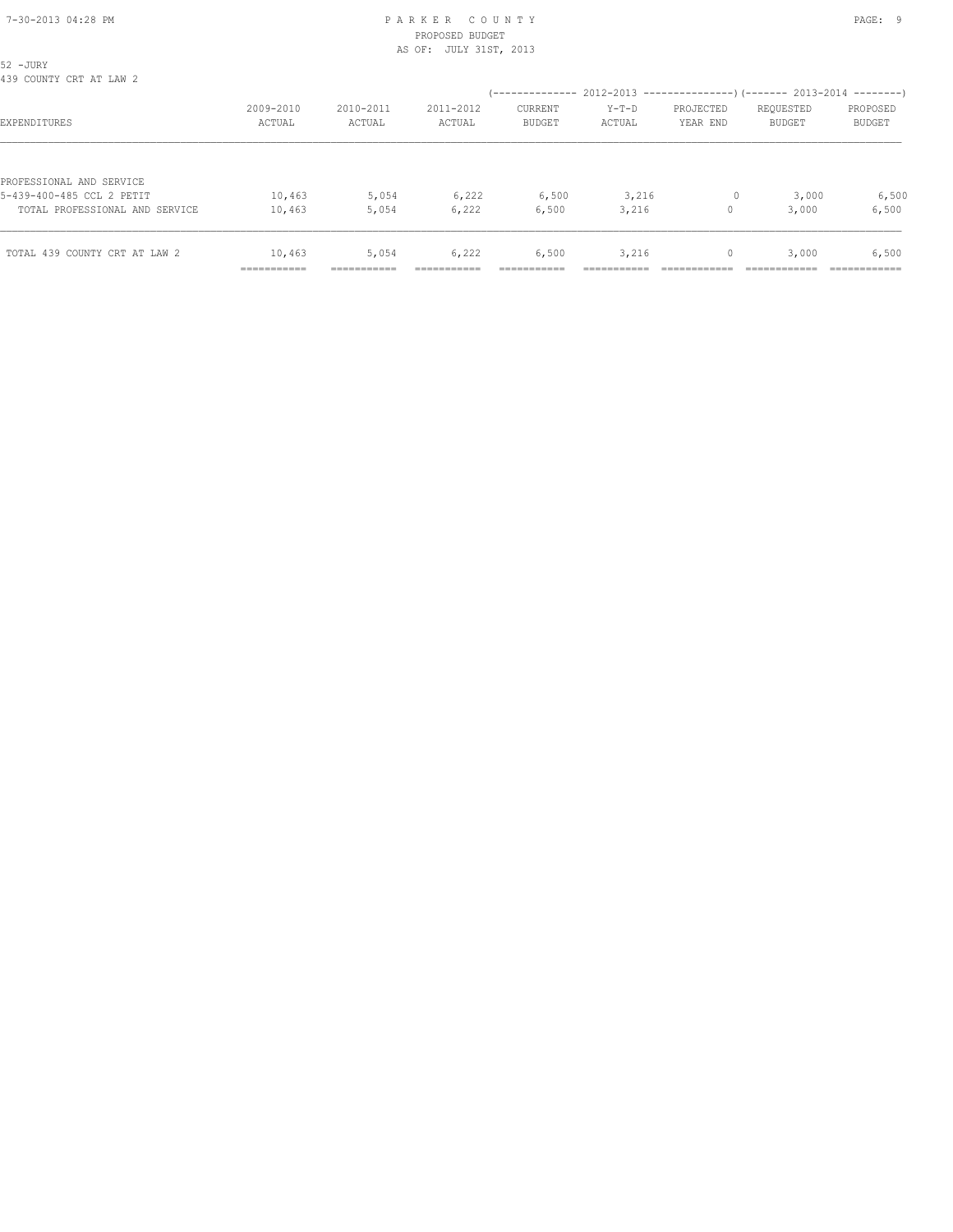| TOTAL 439 COUNTY CRT AT LAW 2                         | 10,463<br>__________<br>----------- | 5,054<br>---------- | 6,222               | 6,500                                                                    | 3,216             | $\mathbf{0}$          | 3,000               | 6,500<br>.                |
|-------------------------------------------------------|-------------------------------------|---------------------|---------------------|--------------------------------------------------------------------------|-------------------|-----------------------|---------------------|---------------------------|
| TOTAL PROFESSIONAL AND SERVICE                        | 10,463                              | 5,054               | 6,222               | 6,500                                                                    | 3,216             | $\Omega$              | 3,000               | 6,500                     |
| PROFESSIONAL AND SERVICE<br>5-439-400-485 CCL 2 PETIT | 10,463                              | 5,054               | 6,222               | 6,500                                                                    | 3,216             | $\circ$               | 3,000               | 6,500                     |
| EXPENDITURES                                          | 2009-2010<br>ACTUAL                 | 2010-2011<br>ACTUAL | 2011-2012<br>ACTUAL | CURRENT<br><b>BUDGET</b>                                                 | $Y-T-D$<br>ACTUAL | PROJECTED<br>YEAR END | REQUESTED<br>BUDGET | PROPOSED<br><b>BUDGET</b> |
| 52 - JURY<br>439 COUNTY CRT AT LAW 2                  |                                     |                     |                     | (-------------- 2012-2013 ----------------) (------- 2013-2014 --------) |                   |                       |                     |                           |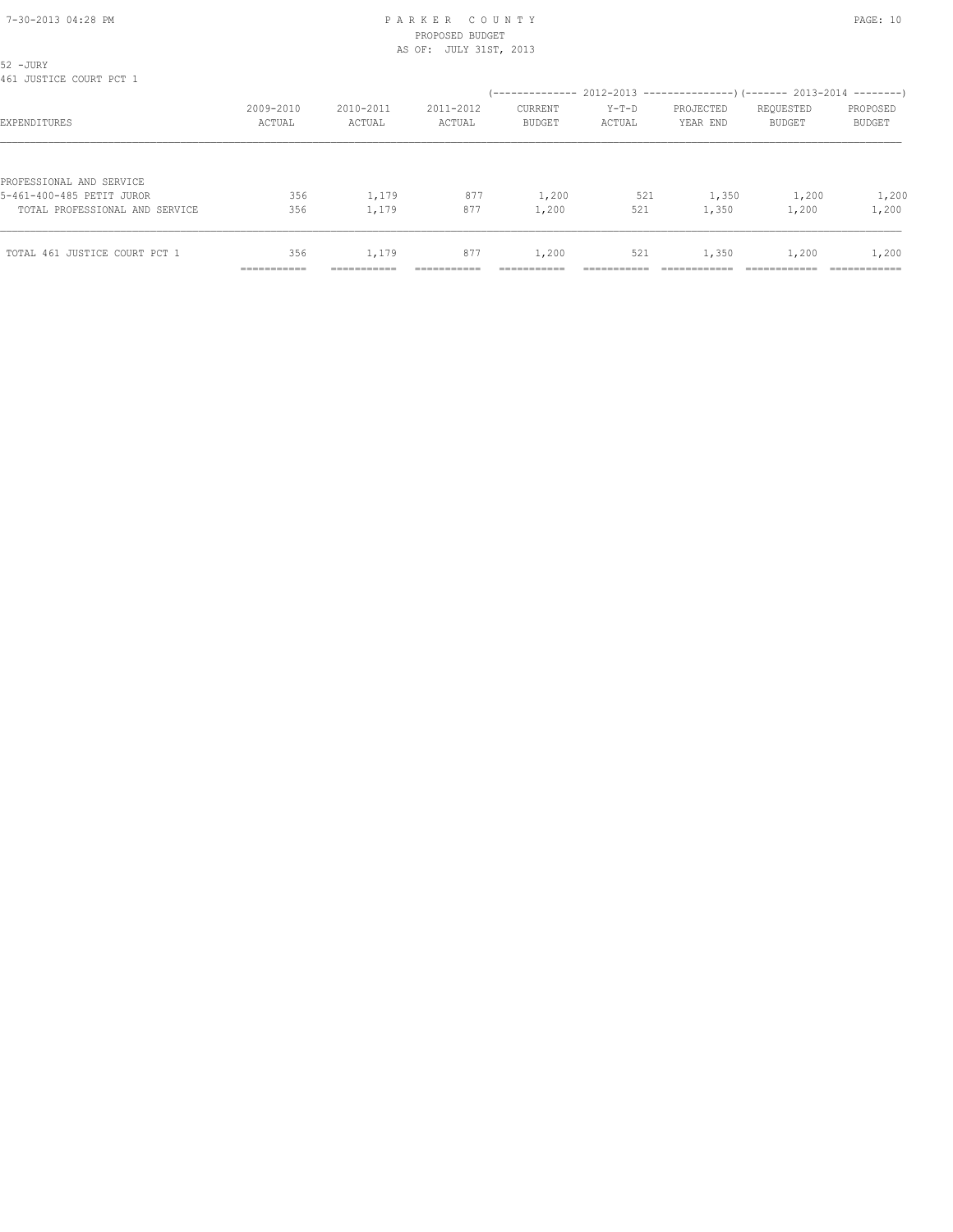| 52 - JURY<br>461 JUSTICE COURT PCT 1 |                           |             |           |               |         |           |               |               |
|--------------------------------------|---------------------------|-------------|-----------|---------------|---------|-----------|---------------|---------------|
|                                      | 2009-2010                 | 2010-2011   | 2011-2012 | CURRENT       | $Y-T-D$ | PROJECTED | REQUESTED     | PROPOSED      |
| EXPENDITURES                         | ACTUAL                    | ACTUAL      | ACTUAL    | <b>BUDGET</b> | ACTUAL  | YEAR END  | <b>BUDGET</b> | <b>BUDGET</b> |
| PROFESSIONAL AND SERVICE             |                           |             |           |               |         |           |               |               |
| 5-461-400-485 PETIT JUROR            | 356                       | 1,179       | 877       | 1,200         | 521     | 1,350     | 1,200         | 1,200         |
| TOTAL PROFESSIONAL AND SERVICE       | 356                       | 1,179       | 877       | 1,200         | 521     | 1,350     | 1,200         | 1,200         |
| TOTAL 461 JUSTICE COURT PCT 1        | 356                       | 1,179       | 877       | 1,200         | 521     | 1,350     | 1,200         | 1,200         |
|                                      | __________<br>----------- | ----------- |           |               |         |           |               | ------------  |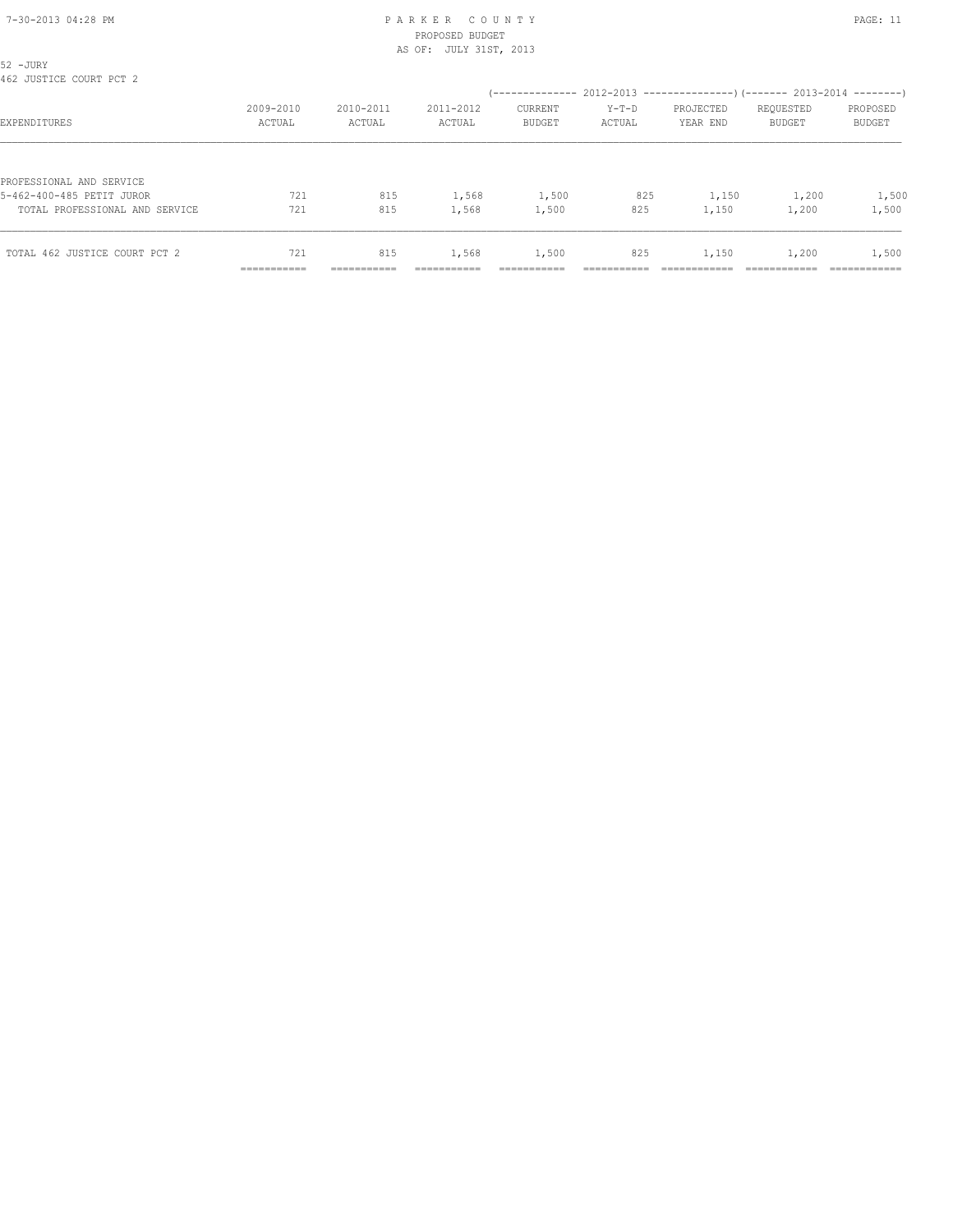| 52 - JURY<br>462 JUSTICE COURT PCT 2 |                     |                     |                     |                                                                       |                   |                       |                            |                           |
|--------------------------------------|---------------------|---------------------|---------------------|-----------------------------------------------------------------------|-------------------|-----------------------|----------------------------|---------------------------|
|                                      |                     |                     |                     | (-------------- 2012-2013 --------------------- 2013-2014 --------- ) |                   |                       |                            |                           |
| EXPENDITURES                         | 2009-2010<br>ACTUAL | 2010-2011<br>ACTUAL | 2011-2012<br>ACTUAL | CURRENT<br><b>BUDGET</b>                                              | $Y-T-D$<br>ACTUAL | PROJECTED<br>YEAR END | REQUESTED<br><b>BUDGET</b> | PROPOSED<br><b>BUDGET</b> |
|                                      |                     |                     |                     |                                                                       |                   |                       |                            |                           |
| PROFESSIONAL AND SERVICE             |                     |                     |                     |                                                                       |                   |                       |                            |                           |
| 5-462-400-485 PETIT JUROR            | 721                 | 815                 | 1,568               | 1,500                                                                 | 825               | 1,150                 | 1,200                      | 1,500                     |
| TOTAL PROFESSIONAL AND SERVICE       | 721                 | 815                 | 1,568               | 1,500                                                                 | 825               | 1,150                 | 1,200                      | 1,500                     |
| TOTAL 462 JUSTICE COURT PCT 2        | 721                 | 815                 | 1,568               | 1,500                                                                 | 825               | 1,150                 | 1,200                      | 1,500                     |
|                                      | __________          |                     |                     |                                                                       |                   |                       |                            |                           |
|                                      | -----------         | -----------         | ----------          | ----------                                                            | --------          |                       |                            | ----------                |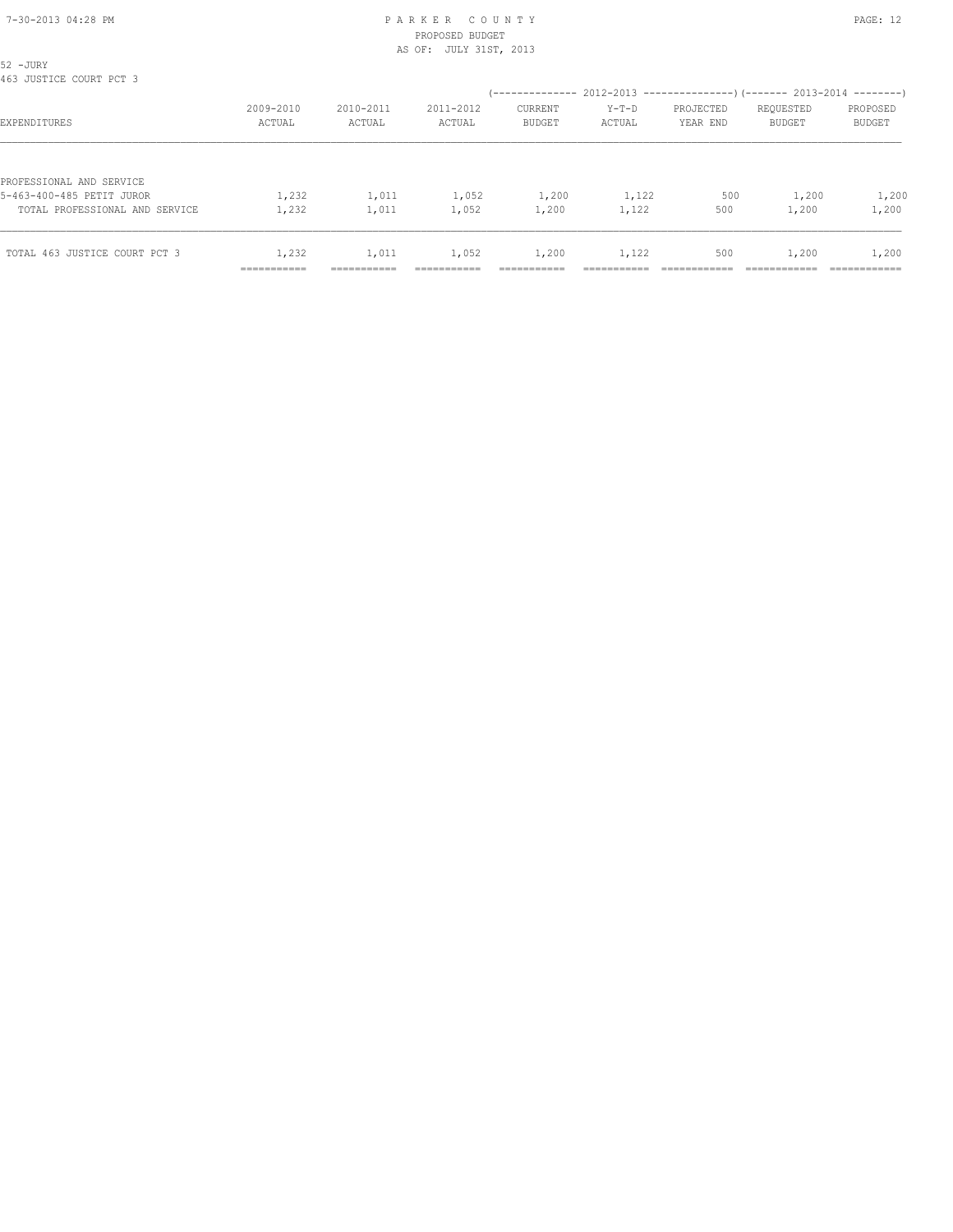## PROPOSED BUDGET AS OF: JULY 31ST, 2013

| TOTAL 463 JUSTICE COURT PCT 3                                                           | 1,232<br>__________ | 1,011               | 1,052               | 1,200                                                                | 1,122             | 500                   | 1,200                      | 1,200              |
|-----------------------------------------------------------------------------------------|---------------------|---------------------|---------------------|----------------------------------------------------------------------|-------------------|-----------------------|----------------------------|--------------------|
| PROFESSIONAL AND SERVICE<br>5-463-400-485 PETIT JUROR<br>TOTAL PROFESSIONAL AND SERVICE | 1,232<br>1,232      | 1,011<br>1,011      | 1,052<br>1,052      | 1,200<br>1,200                                                       | 1,122<br>1,122    | 500<br>500            | 1,200<br>1,200             | 1,200<br>1,200     |
| EXPENDITURES                                                                            | 2009-2010<br>ACTUAL | 2010-2011<br>ACTUAL | 2011-2012<br>ACTUAL | <b>CURRENT</b><br><b>BUDGET</b>                                      | $Y-T-D$<br>ACTUAL | PROJECTED<br>YEAR END | REQUESTED<br><b>BUDGET</b> | PROPOSED<br>BUDGET |
| 52 - JURY<br>463 JUSTICE COURT PCT 3                                                    |                     |                     |                     | (-------------- 2012-2013 --------------------- 2013-2014 ---------- |                   |                       |                            |                    |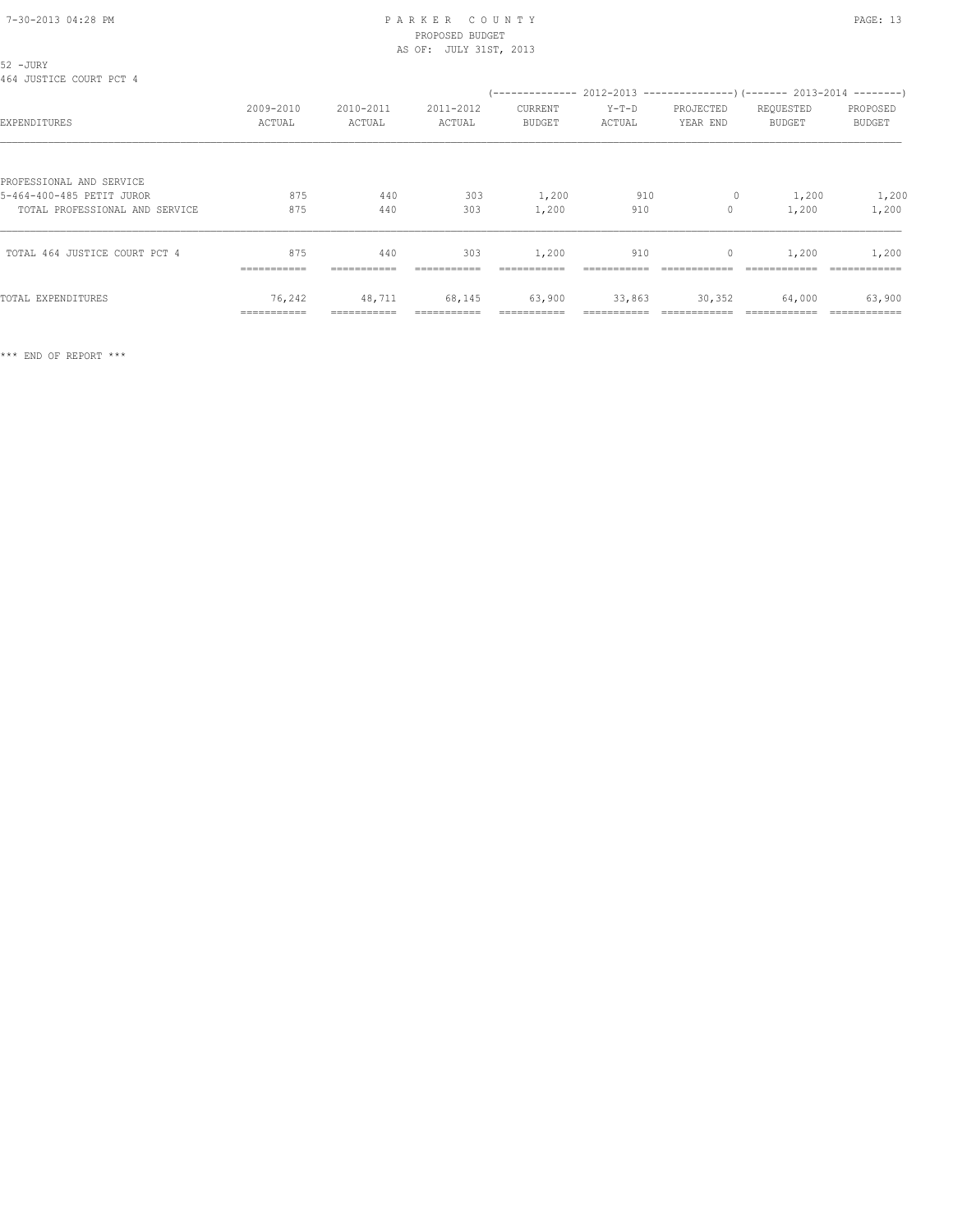## PROPOSED BUDGET AS OF: JULY 31ST, 2013

| 52 -JURY<br>464 JUSTICE COURT PCT 4                         |                       |                     |                     |                          |                   |                       |                                                                                                      |                           |
|-------------------------------------------------------------|-----------------------|---------------------|---------------------|--------------------------|-------------------|-----------------------|------------------------------------------------------------------------------------------------------|---------------------------|
| EXPENDITURES                                                | 2009-2010<br>ACTUAL   | 2010-2011<br>ACTUAL | 2011-2012<br>ACTUAL | CURRENT<br><b>BUDGET</b> | $Y-T-D$<br>ACTUAL | PROJECTED<br>YEAR END | (-------------- 2012-2013 --------------------- 2013-2014 ---------- )<br>REQUESTED<br><b>BUDGET</b> | PROPOSED<br><b>BUDGET</b> |
| PROFESSIONAL AND SERVICE                                    |                       |                     |                     |                          |                   |                       |                                                                                                      |                           |
| 5-464-400-485 PETIT JUROR<br>TOTAL PROFESSIONAL AND SERVICE | 875<br>875            | 440<br>440          | 303<br>303          | 1,200<br>1,200           | 910<br>910        | $\circ$<br>$\circ$    | 1,200<br>1,200                                                                                       | 1,200<br>1,200            |
| TOTAL 464 JUSTICE COURT PCT 4                               | 875<br>===========    | 440<br>===========  | 303<br>===========  | 1,200<br>===========     | 910               | $\mathbf{0}$          | 1,200                                                                                                | 1,200                     |
| TOTAL EXPENDITURES                                          | 76,242<br>=========== | 48,711              | 68,145              | 63,900                   | 33,863            | 30,352                | 64,000                                                                                               | 63,900                    |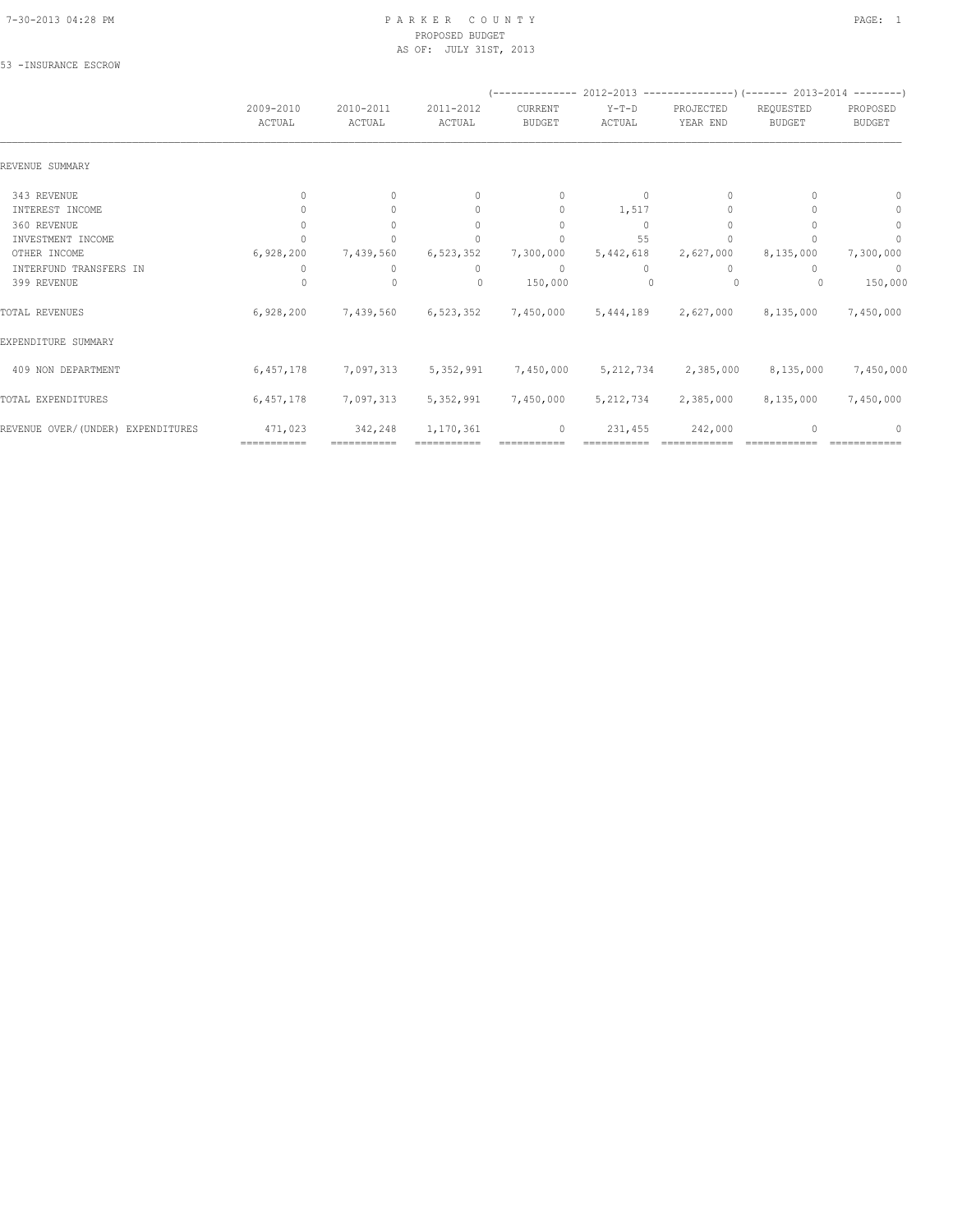#### 7-30-2013 04:28 PM P A R K E R C O U N T Y PAGE: 1 PROPOSED BUDGET AS OF: JULY 31ST, 2013

#### 53 -INSURANCE ESCROW

|                                   |                                  |                     |                                  |                                  |                   | (-------------- 2012-2013 ----------------) (------- 2013-2014 --------) |                            |                           |
|-----------------------------------|----------------------------------|---------------------|----------------------------------|----------------------------------|-------------------|--------------------------------------------------------------------------|----------------------------|---------------------------|
|                                   | 2009-2010<br>ACTUAL              | 2010-2011<br>ACTUAL | 2011-2012<br>ACTUAL              | CURRENT<br><b>BUDGET</b>         | $Y-T-D$<br>ACTUAL | PROJECTED<br>YEAR END                                                    | REQUESTED<br><b>BUDGET</b> | PROPOSED<br><b>BUDGET</b> |
| REVENUE SUMMARY                   |                                  |                     |                                  |                                  |                   |                                                                          |                            |                           |
| 343 REVENUE                       | $\begin{array}{c} \n\end{array}$ | $\Omega$            | $\begin{array}{c} \n\end{array}$ | $\begin{array}{c} \n\end{array}$ | $\Omega$          | $\cup$                                                                   |                            | $^{0}$                    |
| INTEREST INCOME                   |                                  | $\Omega$            | $\begin{array}{c} \n\end{array}$ | $\mathbf{0}$                     | 1,517             | $\cup$                                                                   |                            | 0                         |
| 360 REVENUE                       |                                  |                     | $\begin{array}{c} \n\end{array}$ | $\Omega$                         | $\Omega$          |                                                                          |                            | $\mathbf{0}$              |
| INVESTMENT INCOME                 |                                  |                     |                                  | n                                | 55                |                                                                          |                            | n                         |
| OTHER INCOME                      | 6,928,200                        | 7,439,560           | 6,523,352                        | 7,300,000                        | 5,442,618         | 2,627,000                                                                | 8,135,000                  | 7,300,000                 |
| INTERFUND TRANSFERS IN            |                                  | $\Omega$            | 0                                | $\mathbf{0}$                     | $\Omega$          | $\Omega$                                                                 |                            | 0                         |
| 399 REVENUE                       |                                  | 0                   | $\begin{array}{c} \n\end{array}$ | 150,000                          |                   | 0                                                                        |                            | 150,000                   |
| TOTAL REVENUES                    | 6,928,200                        | 7,439,560           | 6,523,352                        | 7,450,000                        | 5,444,189         | 2,627,000                                                                | 8,135,000                  | 7,450,000                 |
| EXPENDITURE SUMMARY               |                                  |                     |                                  |                                  |                   |                                                                          |                            |                           |
| 409 NON DEPARTMENT                | 6,457,178                        | 7,097,313           | 5,352,991                        | 7,450,000                        | 5, 212, 734       | 2,385,000                                                                | 8,135,000                  | 7,450,000                 |
| TOTAL EXPENDITURES                | 6,457,178                        | 7,097,313           | 5,352,991                        | 7,450,000                        | 5, 212, 734       | 2,385,000                                                                | 8,135,000                  | 7,450,000                 |
| REVENUE OVER/(UNDER) EXPENDITURES | 471,023                          | 342,248             | 1,170,361                        | 0                                | 231,455           | 242,000                                                                  |                            |                           |
|                                   | ===========                      | ===========         |                                  |                                  |                   |                                                                          |                            |                           |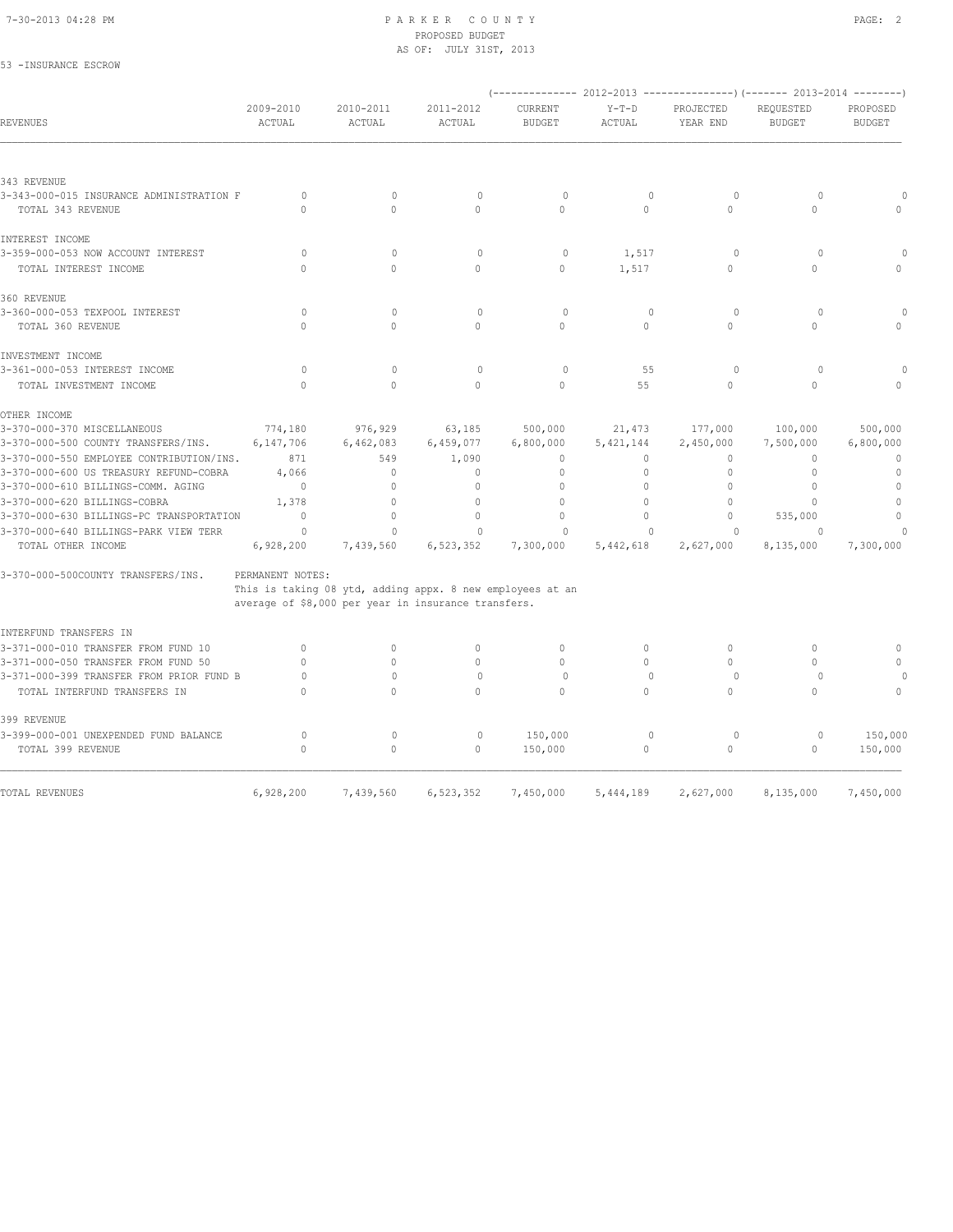53 -INSURANCE ESCROW

#### 7-30-2013 04:28 PM P A R K E R C O U N T Y PAGE: 2 PROPOSED BUDGET AS OF: JULY 31ST, 2013

|                                          |                     |                                                           |                     | (-------------- 2012-2013 ----------------) (------- 2013-2014 --------) |                   |                       |                            |                           |
|------------------------------------------|---------------------|-----------------------------------------------------------|---------------------|--------------------------------------------------------------------------|-------------------|-----------------------|----------------------------|---------------------------|
| <b>REVENUES</b>                          | 2009-2010<br>ACTUAL | 2010-2011<br>ACTUAL                                       | 2011-2012<br>ACTUAL | CURRENT<br><b>BUDGET</b>                                                 | $Y-T-D$<br>ACTUAL | PROJECTED<br>YEAR END | REQUESTED<br><b>BUDGET</b> | PROPOSED<br><b>BUDGET</b> |
|                                          |                     |                                                           |                     |                                                                          |                   |                       |                            |                           |
| 343 REVENUE                              |                     |                                                           |                     |                                                                          |                   |                       |                            |                           |
| 3-343-000-015 INSURANCE ADMINISTRATION F | 0                   | $\mathbf{0}$                                              | $\circ$             | $\circ$                                                                  | $\mathbf{0}$      | $\circ$               | $\circ$                    |                           |
| TOTAL 343 REVENUE                        | $\mathbf{0}$        | $\mathbf{0}$                                              | 0                   | $\circ$                                                                  | $\circ$           | $\circ$               | $\circ$                    |                           |
| INTEREST INCOME                          |                     |                                                           |                     |                                                                          |                   |                       |                            |                           |
| 3-359-000-053 NOW ACCOUNT INTEREST       | $\Omega$            | $\Omega$                                                  | $\Omega$            | $\circ$                                                                  | 1,517             | $\Omega$              | $\Omega$                   |                           |
| TOTAL INTEREST INCOME                    | $\Omega$            | $\Omega$                                                  | $\mathbf{0}$        | $\circ$                                                                  | 1,517             | $\circ$               | $\circ$                    |                           |
| 360 REVENUE                              |                     |                                                           |                     |                                                                          |                   |                       |                            |                           |
| 3-360-000-053 TEXPOOL INTEREST           | 0                   | $\Omega$                                                  | $\mathbf{0}$        | $\circ$                                                                  | $\mathbf{0}$      | $\Omega$              | $\Omega$                   |                           |
| TOTAL 360 REVENUE                        | $\Omega$            | $\Omega$                                                  | 0                   | $\Omega$                                                                 | $\circ$           | $\circ$               | $\mathbf{0}$               |                           |
| INVESTMENT INCOME                        |                     |                                                           |                     |                                                                          |                   |                       |                            |                           |
| 3-361-000-053 INTEREST INCOME            | $\circ$             | $\circ$                                                   | $\circ$             | $\circ$                                                                  | 55                | $\circ$               | $\circ$                    |                           |
| TOTAL INVESTMENT INCOME                  | $\mathbf{0}$        | $\mathbf{0}$                                              | $\circ$             | $\circ$                                                                  | 55                | $\circ$               | $\circ$                    |                           |
| OTHER INCOME                             |                     |                                                           |                     |                                                                          |                   |                       |                            |                           |
| 3-370-000-370 MISCELLANEOUS              | 774,180             | 976,929                                                   | 63,185              | 500,000                                                                  | 21,473            | 177,000               | 100,000                    | 500,000                   |
| 3-370-000-500 COUNTY TRANSFERS/INS.      | 6,147,706           | 6,462,083                                                 | 6,459,077           | 6,800,000                                                                | 5, 421, 144       | 2,450,000             | 7,500,000                  | 6,800,000                 |
| 3-370-000-550 EMPLOYEE CONTRIBUTION/INS. | 871                 | 549                                                       | 1,090               | $\mathbf{0}$                                                             | 0                 | $\circ$               | $\mathbf{0}$               | $\mathbf 0$               |
| 3-370-000-600 US TREASURY REFUND-COBRA   | 4,066               | 0                                                         | 0                   | 0                                                                        | $\circ$           | $\mathbf 0$           | $\mathbf{0}$               | $\mathbb O$               |
| 3-370-000-610 BILLINGS-COMM. AGING       | $\Omega$            | $\Omega$                                                  | $\mathbf{0}$        | $\Omega$                                                                 | $\circ$           | $\Omega$              | $\Omega$                   | $\mathbf{0}$              |
| 3-370-000-620 BILLINGS-COBRA             | 1,378               | $\Omega$                                                  | $\mathbf{0}$        | $\Omega$                                                                 | $\circ$           | $\Omega$              | $\Omega$                   | $\Omega$                  |
| 3-370-000-630 BILLINGS-PC TRANSPORTATION | $\Omega$            | $\Omega$                                                  | $\Omega$            | $\Omega$                                                                 | $\Omega$          | $\Omega$              | 535,000                    | $\mathbf{0}$              |
| 3-370-000-640 BILLINGS-PARK VIEW TERR    | $\circ$             | $\Omega$                                                  | $\mathbf{0}$        | $\Omega$                                                                 | $\bigcap$         | $\Omega$              | $\Omega$                   |                           |
| TOTAL OTHER INCOME                       | 6,928,200           | 7,439,560                                                 | 6,523,352           | 7,300,000                                                                | 5,442,618         | 2,627,000             | 8,135,000                  | 7,300,000                 |
| 3-370-000-500COUNTY TRANSFERS/INS.       | PERMANENT NOTES:    |                                                           |                     |                                                                          |                   |                       |                            |                           |
|                                          |                     | This is taking 08 ytd, adding appx. 8 new employees at an |                     |                                                                          |                   |                       |                            |                           |
|                                          |                     | average of \$8,000 per year in insurance transfers.       |                     |                                                                          |                   |                       |                            |                           |
| INTERFUND TRANSFERS IN                   |                     |                                                           |                     |                                                                          |                   |                       |                            |                           |
| 3-371-000-010 TRANSFER FROM FUND 10      | $\mathbf{0}$        | $\circ$                                                   | $\mathbf{0}$        | $\mathbf{0}$                                                             | $\circ$           | $\mathbf{0}$          | $\mathbf{0}$               |                           |
| 3-371-000-050 TRANSFER FROM FUND 50      | $\mathbf{0}$        | $\Omega$                                                  | 0                   | $\Omega$                                                                 | $\circ$           | $\circ$               | $\mathbf{0}$               | $\Omega$                  |
| 3-371-000-399 TRANSFER FROM PRIOR FUND B | $\circ$             | $\mathbf{0}$                                              | $\circ$             | $\circ$                                                                  | $\mathbf{0}$      | $\circ$               | $\circ$                    |                           |
| TOTAL INTERFUND TRANSFERS IN             | $\mathbf{0}$        | $\mathbf{0}$                                              | 0                   | $\mathbf{0}$                                                             | $\circ$           | $\circ$               | $\circ$                    | $\circ$                   |
| 399 REVENUE                              |                     |                                                           |                     |                                                                          |                   |                       |                            |                           |
| 3-399-000-001 UNEXPENDED FUND BALANCE    | $\circ$             | $\mathbf 0$                                               | 0                   | 150,000                                                                  | $\mathbf 0$       | $\circ$               | 0                          | 150,000                   |
| TOTAL 399 REVENUE                        | $\mathbf{0}$        | $\mathbf{0}$                                              | $\circ$             | 150,000                                                                  | $\circ$           | $\circ$               | $\circ$                    | 150,000                   |
|                                          |                     |                                                           |                     |                                                                          |                   |                       |                            |                           |
| TOTAL REVENUES                           | 6,928,200           | 7,439,560                                                 | 6,523,352           | 7,450,000                                                                | 5,444,189         | 2,627,000             | 8,135,000                  | 7,450,000                 |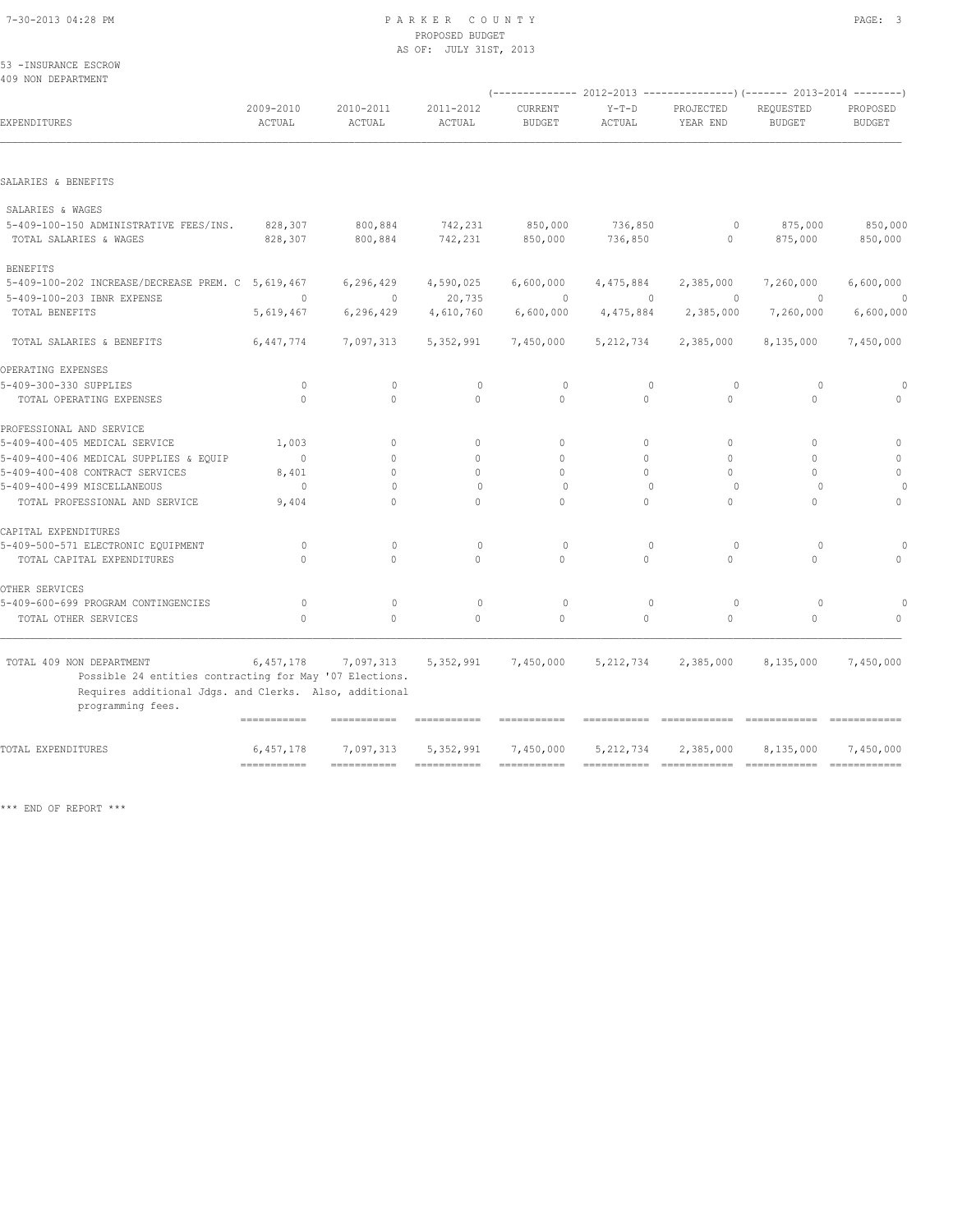#### 7-30-2013 04:28 PM P A R K E R C O U N T Y PAGE: 3 PROPOSED BUDGET AS OF: JULY 31ST, 2013

53 -INSURANCE ESCROW 409 NON DEPARTMENT

| 409 NON DEFAKIMENI                                                                  |                           |                     |                     |                           | $(----------2012-2013$ ----------------) (------- 2013-2014 -------) |                         |                            |                           |
|-------------------------------------------------------------------------------------|---------------------------|---------------------|---------------------|---------------------------|----------------------------------------------------------------------|-------------------------|----------------------------|---------------------------|
| EXPENDITURES                                                                        | 2009-2010<br>ACTUAL       | 2010-2011<br>ACTUAL | 2011-2012<br>ACTUAL | CURRENT<br><b>BUDGET</b>  | $Y-T-D$<br>ACTUAL                                                    | PROJECTED<br>YEAR END   | REQUESTED<br><b>BUDGET</b> | PROPOSED<br><b>BUDGET</b> |
|                                                                                     |                           |                     |                     |                           |                                                                      |                         |                            |                           |
| SALARIES & BENEFITS                                                                 |                           |                     |                     |                           |                                                                      |                         |                            |                           |
| SALARIES & WAGES                                                                    |                           |                     |                     |                           |                                                                      |                         |                            |                           |
| 5-409-100-150 ADMINISTRATIVE FEES/INS.<br>TOTAL SALARIES & WAGES                    | 828,307<br>828,307        | 800,884<br>800,884  | 742,231<br>742,231  | 850,000<br>850,000        | 736,850<br>736,850                                                   | $\circ$<br>$\mathbf{0}$ | 875,000<br>875,000         | 850,000<br>850,000        |
| <b>BENEFITS</b>                                                                     |                           |                     |                     |                           |                                                                      |                         |                            |                           |
| 5-409-100-202 INCREASE/DECREASE PREM. C 5,619,467                                   |                           | 6,296,429           | 4,590,025           | 6,600,000                 | 4,475,884                                                            | 2,385,000               | 7,260,000                  | 6,600,000                 |
| 5-409-100-203 IBNR EXPENSE                                                          | $\Omega$                  | $\Omega$            | 20,735              | $\Omega$                  | $\Omega$                                                             | $\Omega$                | $\Omega$                   | $\Omega$                  |
| TOTAL BENEFITS                                                                      | 5,619,467                 | 6,296,429           | 4,610,760           | 6,600,000                 | 4,475,884                                                            | 2,385,000               | 7,260,000                  | 6,600,000                 |
| TOTAL SALARIES & BENEFITS                                                           | 6,447,774                 | 7,097,313           | 5,352,991           | 7,450,000                 | 5, 212, 734                                                          | 2,385,000               | 8,135,000                  | 7,450,000                 |
| OPERATING EXPENSES                                                                  |                           |                     |                     |                           |                                                                      |                         |                            |                           |
| 5-409-300-330 SUPPLIES                                                              | $\circ$                   | $\mathbf{0}$        | $\circ$             | $\circ$                   | $\mathbf{0}$                                                         | $\circ$                 | $\circ$                    |                           |
| TOTAL OPERATING EXPENSES                                                            | $\bigcap$                 | $\Omega$            | $\bigcap$           | $\bigcap$                 | $\Omega$                                                             | $\Omega$                | $\bigcap$                  |                           |
| PROFESSIONAL AND SERVICE                                                            |                           |                     |                     |                           |                                                                      |                         |                            |                           |
| 5-409-400-405 MEDICAL SERVICE                                                       | 1,003                     | $\circ$             | $\mathbf{0}$        | $\circ$                   | $\circ$                                                              | 0                       | $\Omega$                   | $\mathbf{0}$              |
| 5-409-400-406 MEDICAL SUPPLIES & EOUIP                                              | $\Omega$                  | $\Omega$            | $\Omega$            | $\Omega$                  | $\Omega$                                                             | $\Omega$                | $\Omega$                   | $\Omega$                  |
| 5-409-400-408 CONTRACT SERVICES                                                     | 8,401                     | $\Omega$            | $\Omega$            | $\Omega$                  | $\Omega$                                                             | $\Omega$                | $\Omega$                   | $\mathbf{0}$              |
| 5-409-400-499 MISCELLANEOUS                                                         | $\circ$                   | $\Omega$            | $\circ$             | $\Omega$                  | $\Omega$                                                             | $\circ$                 | $\Omega$                   |                           |
| TOTAL PROFESSIONAL AND SERVICE                                                      | 9,404                     | $\Omega$            | $\cap$              | $\cap$                    | $\Omega$                                                             | $\Omega$                | $\bigcap$                  | $\Omega$                  |
| CAPITAL EXPENDITURES                                                                |                           |                     |                     |                           |                                                                      |                         |                            |                           |
| 5-409-500-571 ELECTRONIC EQUIPMENT                                                  | $\Omega$                  | $\Omega$            | $\mathbf{0}$        | $\circ$                   | $\mathbf{0}$                                                         | $\circ$                 | $\circ$                    |                           |
| TOTAL CAPITAL EXPENDITURES                                                          | $\bigcap$                 | $\Omega$            | $\Omega$            | $\Omega$                  | $\Omega$                                                             | $\Omega$                | $\Omega$                   | $\bigcap$                 |
| OTHER SERVICES                                                                      |                           |                     |                     |                           |                                                                      |                         |                            |                           |
| 5-409-600-699 PROGRAM CONTINGENCIES                                                 | $\circ$                   | $\mathbf{0}$        | $\circ$             | $\circ$                   | $\circ$                                                              | $\circ$                 | $\circ$                    | $\cap$                    |
| TOTAL OTHER SERVICES                                                                | $\Omega$                  | $\Omega$            | $\Omega$            | $\Omega$                  | $\Omega$                                                             | $\Omega$                | $\Omega$                   | $\bigcap$                 |
|                                                                                     |                           |                     |                     |                           |                                                                      |                         |                            |                           |
| TOTAL 409 NON DEPARTMENT<br>Possible 24 entities contracting for May '07 Elections. | 6,457,178                 | 7,097,313           | 5,352,991           | 7,450,000                 | 5, 212, 734                                                          | 2,385,000               | 8,135,000                  | 7,450,000                 |
| Requires additional Jdgs. and Clerks. Also, additional                              |                           |                     |                     |                           |                                                                      |                         |                            |                           |
| programming fees.                                                                   |                           |                     |                     |                           |                                                                      |                         |                            |                           |
|                                                                                     | .==========               | ===========         | ===========         | ===========               |                                                                      | ============            |                            |                           |
| TOTAL EXPENDITURES                                                                  | 6,457,178                 | 7,097,313           | 5,352,991           | 7,450,000                 | 5, 212, 734                                                          | 2,385,000               | 8,135,000                  | 7,450,000                 |
|                                                                                     | $=$ = = = = = = = = = = = | $=$ ============    | ===========         | $=$ = = = = = = = = = = = | $=$ = = = = = = = = = = =                                            |                         | =============              |                           |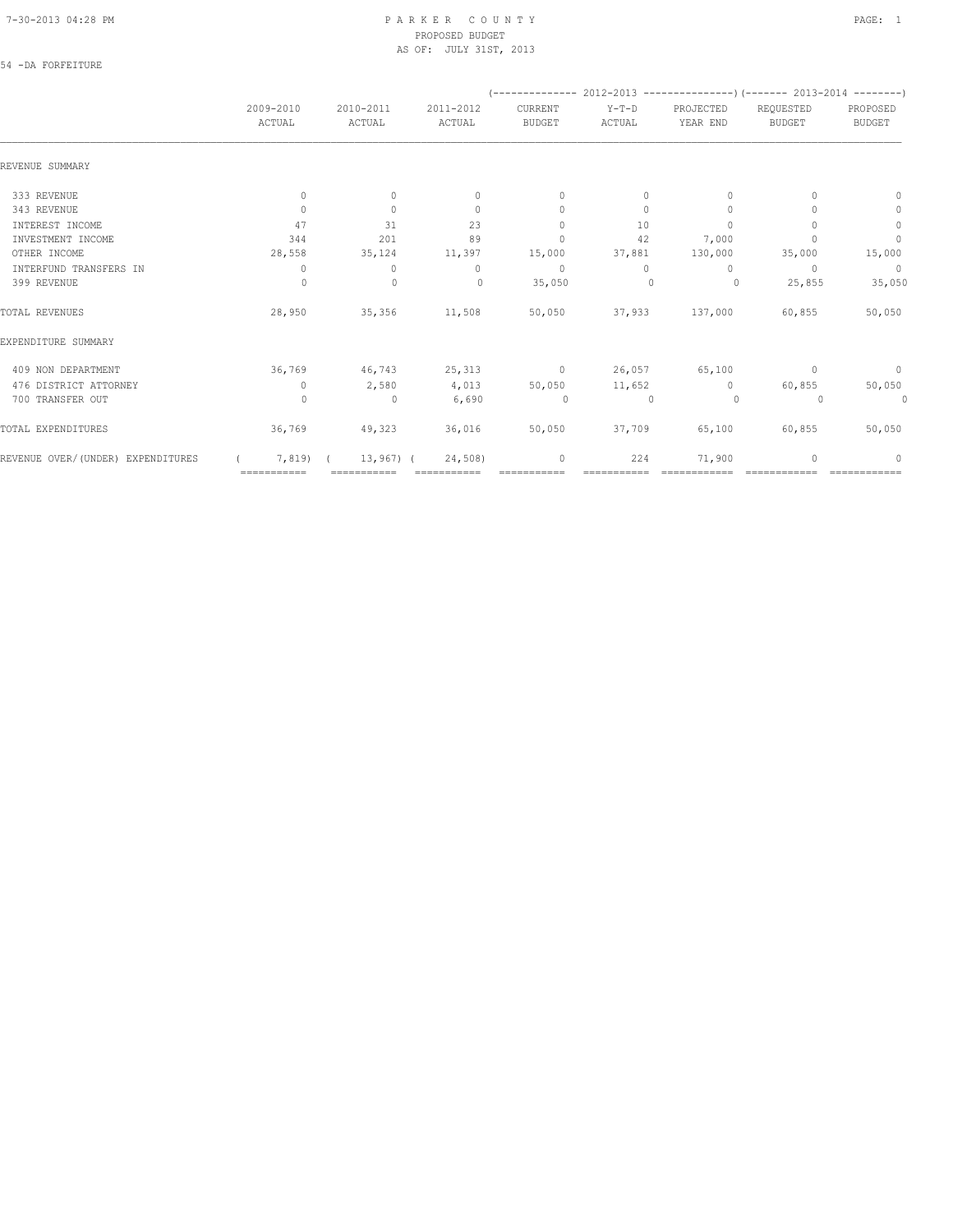#### 7-30-2013 04:28 PM P A R K E R C O U N T Y PAGE: 1 PROPOSED BUDGET AS OF: JULY 31ST, 2013

### 54 -DA FORFEITURE

|                                   |                     |                          |                     |                          |                   |                       |                            | $(---------- 2012-2013$ ----------------) (------- 2013-2014 --------) |  |
|-----------------------------------|---------------------|--------------------------|---------------------|--------------------------|-------------------|-----------------------|----------------------------|------------------------------------------------------------------------|--|
|                                   | 2009-2010<br>ACTUAL | 2010-2011<br>ACTUAL      | 2011-2012<br>ACTUAL | CURRENT<br><b>BUDGET</b> | $Y-T-D$<br>ACTUAL | PROJECTED<br>YEAR END | REQUESTED<br><b>BUDGET</b> | PROPOSED<br><b>BUDGET</b>                                              |  |
| REVENUE SUMMARY                   |                     |                          |                     |                          |                   |                       |                            |                                                                        |  |
| 333 REVENUE                       | $\circ$             | $\Omega$                 | $\Omega$            | $\Omega$                 | $\Omega$          | $\Omega$              |                            | 0                                                                      |  |
| 343 REVENUE                       | $\circ$             | $\circ$                  | $\mathbf{0}$        | $\mathbf{0}$             | $\circ$           | $\mathbf{0}$          |                            | $\circ$                                                                |  |
| INTEREST INCOME                   | 47                  | 31                       | 23                  | $\mathbf{0}$             | 10                | $\Omega$              |                            | $\circ$                                                                |  |
| INVESTMENT INCOME                 | 344                 | 201                      | 89                  | $\mathbf{0}$             | 42                | 7,000                 |                            | $\mathbb O$                                                            |  |
| OTHER INCOME                      | 28,558              | 35,124                   | 11,397              | 15,000                   | 37,881            | 130,000               | 35,000                     | 15,000                                                                 |  |
| INTERFUND TRANSFERS IN            | $\circ$             | $\circ$                  | $\circ$             | $\sim$ 0                 | $\Omega$          | $\Omega$              | $\Omega$                   | $\overline{0}$                                                         |  |
| 399 REVENUE                       | $\circ$             | $\mathbf 0$              | $\circ$             | 35,050                   | $\mathbf{0}$      | $\overline{0}$        | 25,855                     | 35,050                                                                 |  |
| TOTAL REVENUES                    | 28,950              |                          | 35,356 11,508       |                          |                   | 50,050 37,933 137,000 | 60,855                     | 50,050                                                                 |  |
| EXPENDITURE SUMMARY               |                     |                          |                     |                          |                   |                       |                            |                                                                        |  |
| 409 NON DEPARTMENT                | 36,769              | 46,743                   | $25,313$ 0          |                          | 26,057            | 65,100                | $\Omega$                   | $\circ$                                                                |  |
| 476 DISTRICT ATTORNEY             | $\circ$             | 2,580                    | 4,013               | 50,050                   | 11,652            | $\circ$               | 60,855                     | 50,050                                                                 |  |
| 700 TRANSFER OUT                  | $\circ$             | $\overline{\phantom{0}}$ | 6,690               | $\sim$ 0                 | $\sim$ 0          | $\sim$ 0              | $\circ$                    | $\circ$                                                                |  |
| TOTAL EXPENDITURES                | 36,769              | 49,323 36,016            |                     |                          | 50,050 37,709     | 65,100                | 60,855                     | 50,050                                                                 |  |
| REVENUE OVER/(UNDER) EXPENDITURES | 7,819)              | $13,967$ ) (             | 24,508)             | 0                        | 224               | 71,900                | 0                          | 0                                                                      |  |
|                                   | ===========         |                          |                     |                          |                   |                       |                            |                                                                        |  |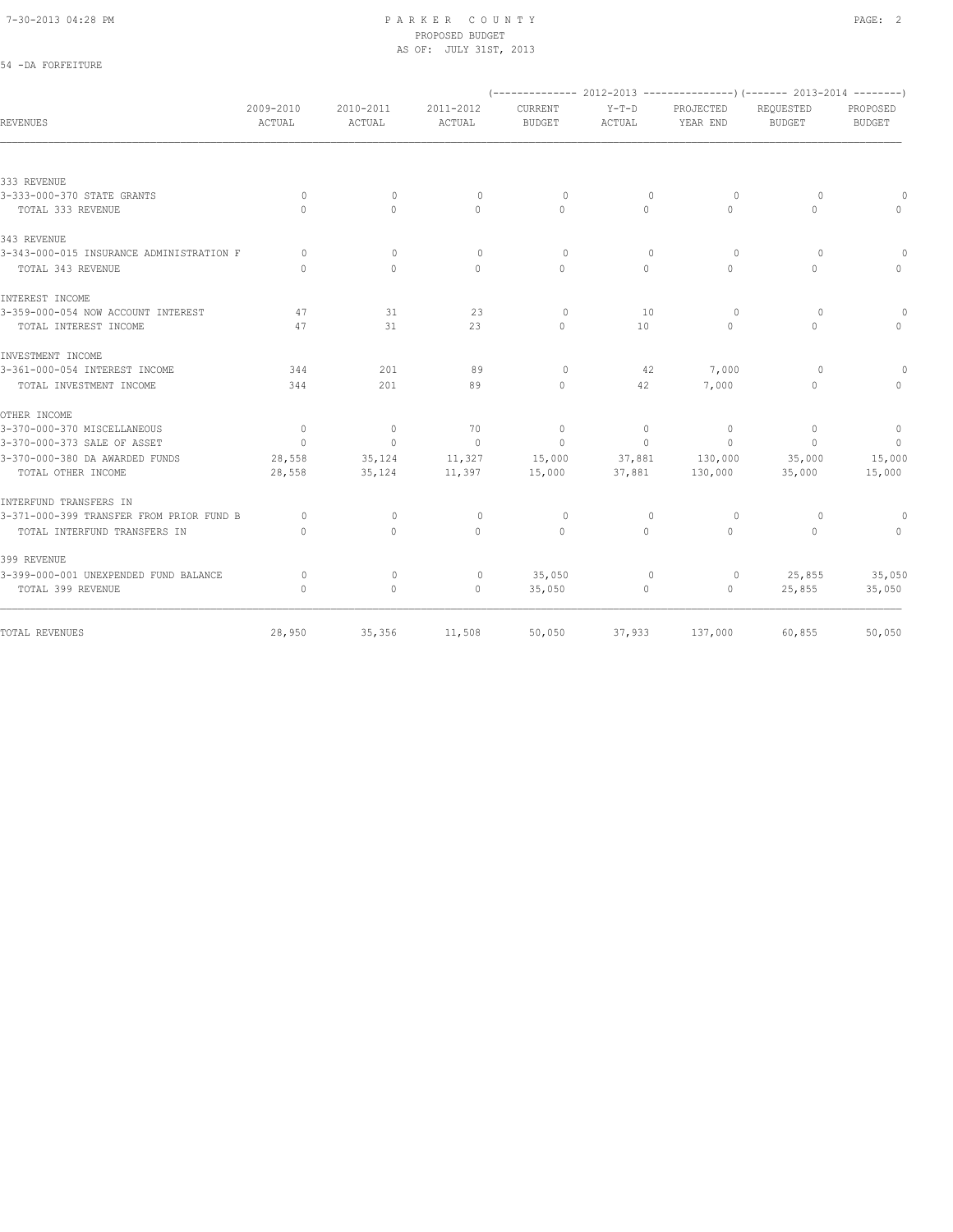#### 7-30-2013 04:28 PM P A R K E R C O U N T Y PAGE: 2 PROPOSED BUDGET AS OF: JULY 31ST, 2013

## 54 -DA FORFEITURE

|                                          |                                  |                     |                                  |                                  |                          |                       | $(---------- 2012-2013$ ----------------) (------- 2013-2014 --------) |                           |
|------------------------------------------|----------------------------------|---------------------|----------------------------------|----------------------------------|--------------------------|-----------------------|------------------------------------------------------------------------|---------------------------|
| REVENUES                                 | 2009-2010<br>ACTUAL              | 2010-2011<br>ACTUAL | 2011-2012<br>ACTUAL              | CURRENT<br><b>BUDGET</b>         | $Y-T-D$<br><b>ACTUAL</b> | PROJECTED<br>YEAR END | REQUESTED<br><b>BUDGET</b>                                             | PROPOSED<br><b>BUDGET</b> |
|                                          |                                  |                     |                                  |                                  |                          |                       |                                                                        |                           |
| 333 REVENUE                              |                                  |                     |                                  |                                  |                          |                       |                                                                        |                           |
| 3-333-000-370 STATE GRANTS               | $\circ$                          | $\circ$             | $\circ$                          | $\circ$                          | $\mathbf{0}$             | $\circ$               | $\circ$                                                                |                           |
| TOTAL 333 REVENUE                        | $\begin{array}{c} \n\end{array}$ | $\Omega$            | $\circ$                          | $\begin{array}{c} \n\end{array}$ | $\circ$                  | 0                     | $\Omega$                                                               | $\Omega$                  |
| 343 REVENUE                              |                                  |                     |                                  |                                  |                          |                       |                                                                        |                           |
| 3-343-000-015 INSURANCE ADMINISTRATION F | $\Omega$                         | $\mathbf{0}$        | $\begin{array}{c} \n\end{array}$ | $\circ$                          | $\Omega$                 | $\Omega$              | $\Omega$                                                               | $\bigcap$                 |
| TOTAL 343 REVENUE                        | $\Omega$                         | $\Omega$            | $\Omega$                         | $\begin{array}{c} \n\end{array}$ | $\Omega$                 | 0                     | $\Omega$                                                               | $\Omega$                  |
| INTEREST INCOME                          |                                  |                     |                                  |                                  |                          |                       |                                                                        |                           |
| 3-359-000-054 NOW ACCOUNT INTEREST       | 47                               | 31                  | 23                               | $\circ$                          | 10                       | $\Omega$              | $\Omega$                                                               | $\bigcap$                 |
| TOTAL INTEREST INCOME                    | 47                               | 31                  | 23                               | $\begin{array}{c} \n\end{array}$ | 10                       | 0                     | $\Omega$                                                               | $\Omega$                  |
| INVESTMENT INCOME                        |                                  |                     |                                  |                                  |                          |                       |                                                                        |                           |
| 3-361-000-054 INTEREST INCOME            | 344                              | 201                 | 89                               | $\circ$                          | 42                       | 7,000                 | $\Omega$                                                               |                           |
| TOTAL INVESTMENT INCOME                  | 344                              | 201                 | 89                               | $\begin{array}{c} \n\end{array}$ | 42                       | 7,000                 | $\circ$                                                                | $\bigcap$                 |
| OTHER INCOME                             |                                  |                     |                                  |                                  |                          |                       |                                                                        |                           |
| 3-370-000-370 MISCELLANEOUS              | $\overline{0}$                   | $\mathbf{0}$        | 70                               | $\mathbf{0}$                     | $\circ$                  | $\circ$               | $\mathbf{0}$                                                           | $\circ$                   |
| 3-370-000-373 SALE OF ASSET              | $\Omega$                         | $\mathbf{0}$        | $\Omega$                         | $\Omega$                         | $\Omega$                 | $\Omega$              | $\Omega$                                                               | $\overline{0}$            |
| 3-370-000-380 DA AWARDED FUNDS           | 28,558                           | 35,124              | 11,327                           | 15,000                           | 37,881                   | 130,000               | 35,000                                                                 | 15,000                    |
| TOTAL OTHER INCOME                       | 28,558                           | 35,124              | 11,397                           | 15,000                           | 37,881                   | 130,000               | 35,000                                                                 | 15,000                    |
| INTERFUND TRANSFERS IN                   |                                  |                     |                                  |                                  |                          |                       |                                                                        |                           |
| 3-371-000-399 TRANSFER FROM PRIOR FUND B | $\Omega$                         | $\circ$             | $\circ$                          | 0                                | $\mathbf{0}$             | $\circ$               | $\circ$                                                                | $\bigcap$                 |
| TOTAL INTERFUND TRANSFERS IN             | $\begin{array}{c} \n\end{array}$ | $\Omega$            | $\Omega$                         | $\Omega$                         | $\Omega$                 | $\Omega$              | $\Omega$                                                               | $\bigcap$                 |
| 399 REVENUE                              |                                  |                     |                                  |                                  |                          |                       |                                                                        |                           |
| 3-399-000-001 UNEXPENDED FUND BALANCE    | $\circ$                          | 0                   | 0                                | 35,050                           | 0                        | 0                     | 25,855                                                                 | 35,050                    |
| TOTAL 399 REVENUE                        | $\mathbf{0}$                     | $\circ$             | $\mathbf{0}$                     | 35,050                           | 0                        | $\mathbf{0}$          | 25,855                                                                 | 35,050                    |
| TOTAL REVENUES                           | 28,950                           | 35,356              | 11,508                           | 50,050                           | 37,933                   | 137,000               | 60,855                                                                 | 50,050                    |
|                                          |                                  |                     |                                  |                                  |                          |                       |                                                                        |                           |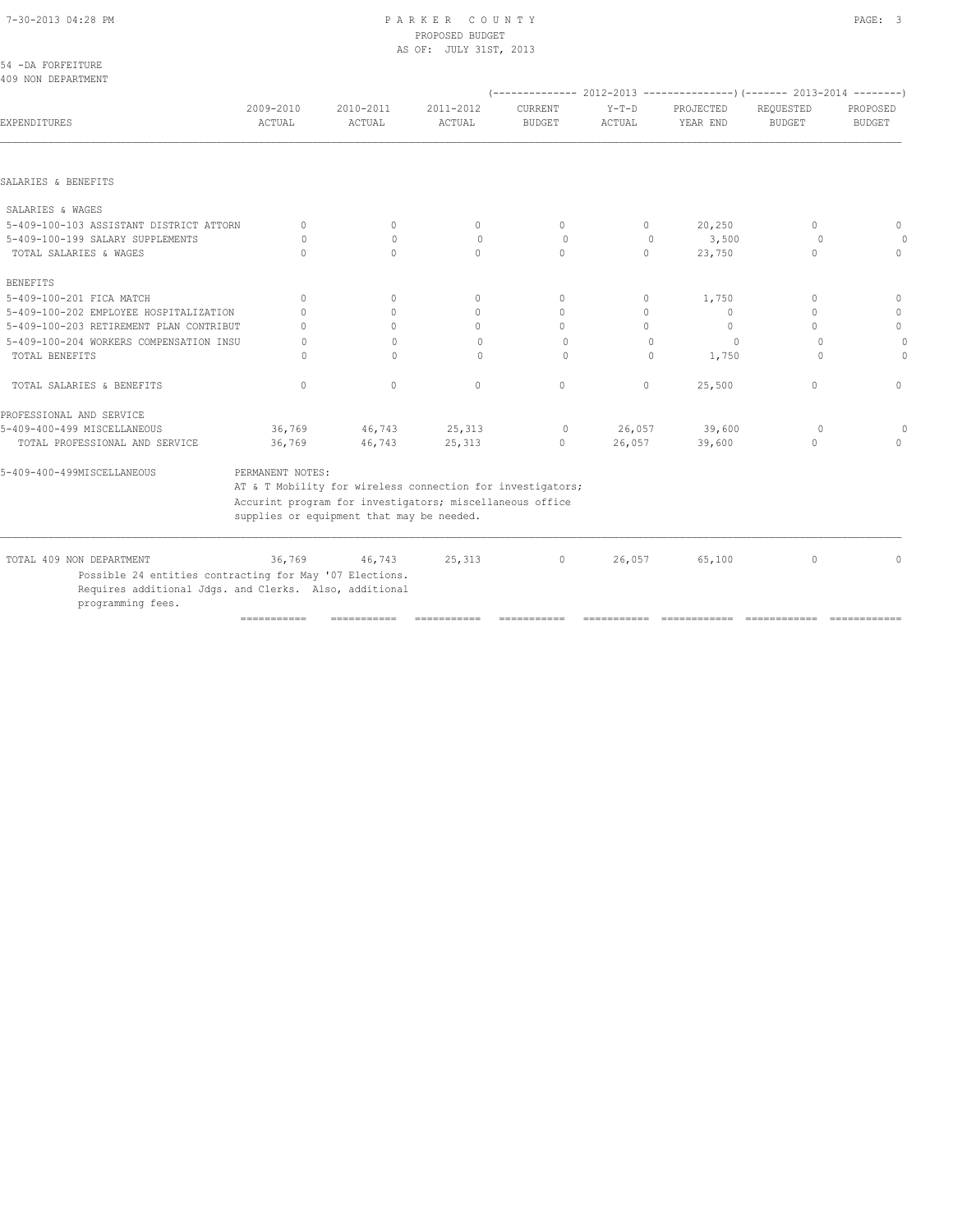## 7-30-2013 04:28 PM P A R K E R C O U N T Y PAGE: 3 PROPOSED BUDGET

|                                                         |                                  |                                                            | AS OF: JULY 31ST, 2013 |                          |                   |                       |                                                                        |                           |
|---------------------------------------------------------|----------------------------------|------------------------------------------------------------|------------------------|--------------------------|-------------------|-----------------------|------------------------------------------------------------------------|---------------------------|
| 54 -DA FORFEITURE                                       |                                  |                                                            |                        |                          |                   |                       |                                                                        |                           |
| 409 NON DEPARTMENT                                      |                                  |                                                            |                        |                          |                   |                       | (-------------- 2012-2013 ---------------) (------- 2013-2014 -------- |                           |
| EXPENDITURES                                            | 2009-2010<br>ACTUAL              | 2010-2011<br>ACTUAL                                        | 2011-2012<br>ACTUAL    | CURRENT<br><b>BUDGET</b> | $Y-T-D$<br>ACTUAL | PROJECTED<br>YEAR END | REQUESTED<br><b>BUDGET</b>                                             | PROPOSED<br><b>BUDGET</b> |
|                                                         |                                  |                                                            |                        |                          |                   |                       |                                                                        |                           |
| SALARIES & BENEFITS                                     |                                  |                                                            |                        |                          |                   |                       |                                                                        |                           |
| SALARIES & WAGES                                        |                                  |                                                            |                        |                          |                   |                       |                                                                        |                           |
| 5-409-100-103 ASSISTANT DISTRICT ATTORN                 | $\Omega$                         | $\Omega$                                                   | $\circ$                | $\Omega$                 | $\circ$           | 20,250                | $\begin{array}{c} \n\end{array}$                                       | $\Omega$                  |
| 5-409-100-199 SALARY SUPPLEMENTS                        | $\Omega$                         | $\Omega$                                                   | $\circ$                | $\circ$                  | $\Omega$          | 3,500                 | $\Omega$                                                               |                           |
| TOTAL SALARIES & WAGES                                  | $\begin{array}{c} \n\end{array}$ | $\Omega$                                                   | $\Omega$               | $\Omega$                 | $\circ$           | 23,750                | $\mathbf{0}$                                                           | $\Omega$                  |
| <b>BENEFITS</b>                                         |                                  |                                                            |                        |                          |                   |                       |                                                                        |                           |
| 5-409-100-201 FICA MATCH                                | $\circ$                          | $\circ$                                                    | $\circ$                | $\circ$                  | $\circ$           | 1,750                 | $\mathbf{0}$                                                           | $\mathbf{0}$              |
| 5-409-100-202 EMPLOYEE HOSPITALIZATION                  | $\Omega$                         | $\Omega$                                                   | $\Omega$               | $\Omega$                 | $\Omega$          | $\Omega$              | $\Omega$                                                               | $\mathbf{0}$              |
| 5-409-100-203 RETIREMENT PLAN CONTRIBUT                 | $\cap$                           | $\bigcap$                                                  | $\Omega$               | $\Omega$                 | $\Omega$          | $\Omega$              | $\bigcap$                                                              | $\mathbf{0}$              |
| 5-409-100-204 WORKERS COMPENSATION INSU                 | O                                | $\Omega$                                                   | $\Omega$               | $\Omega$                 | $\Omega$          | 0                     | $\Omega$                                                               |                           |
| TOTAL BENEFITS                                          | O                                | $\Omega$                                                   | $\Omega$               | $\Omega$                 | $\Omega$          | 1,750                 | $\Omega$                                                               | $\Omega$                  |
| TOTAL SALARIES & BENEFITS                               | $\circ$                          | $\circ$                                                    | $\mathbf{0}$           | $\circ$                  | $\circ$           | 25,500                | $\mathbf{0}$                                                           | $\Omega$                  |
| PROFESSIONAL AND SERVICE                                |                                  |                                                            |                        |                          |                   |                       |                                                                        |                           |
| 5-409-400-499 MISCELLANEOUS                             | 36,769                           | 46,743                                                     | 25,313                 | $\circ$                  | 26,057            | 39,600                | $\circ$                                                                |                           |
| TOTAL PROFESSIONAL AND SERVICE                          | 36,769                           | 46,743                                                     | 25,313                 | $\circ$                  | 26,057            | 39,600                | $\circ$                                                                | $\Omega$                  |
| 5-409-400-499MISCELLANEOUS                              | PERMANENT NOTES:                 |                                                            |                        |                          |                   |                       |                                                                        |                           |
|                                                         |                                  | AT & T Mobility for wireless connection for investigators; |                        |                          |                   |                       |                                                                        |                           |
|                                                         |                                  | Accurint program for investigators; miscellaneous office   |                        |                          |                   |                       |                                                                        |                           |
|                                                         |                                  | supplies or equipment that may be needed.                  |                        |                          |                   |                       |                                                                        |                           |
| TOTAL 409 NON DEPARTMENT                                | 36,769                           | 46,743                                                     | 25,313                 | $\circ$                  | 26,057            | 65,100                | $\mathbf{0}$                                                           | $\mathbf{0}$              |
| Possible 24 entities contracting for May '07 Elections. |                                  |                                                            |                        |                          |                   |                       |                                                                        |                           |
| Requires additional Jdgs. and Clerks. Also, additional  |                                  |                                                            |                        |                          |                   |                       |                                                                        |                           |
| programming fees.                                       |                                  |                                                            |                        |                          |                   |                       |                                                                        |                           |
|                                                         | $=$ = = = = = = = = = = =        | ===========                                                | ===========            | ===========              | ===========       | ============          | =============                                                          | =============             |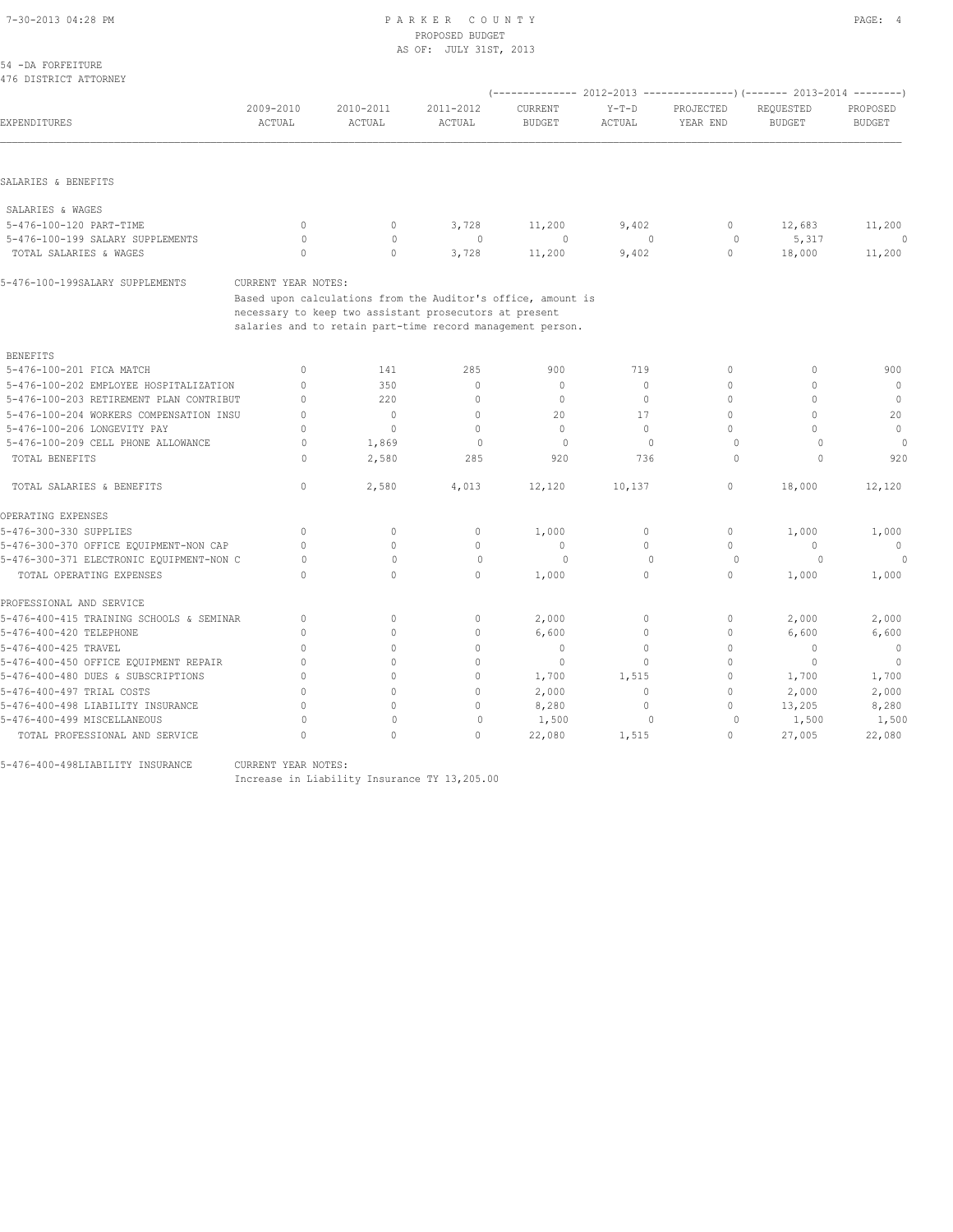## PROPOSED BUDGET AS OF: JULY 31ST, 2013

| 54 -DA FORFEITURE<br>476 DISTRICT ATTORNEY |                                  |                                                              |                     |                          |                                  |                                                                                                  |                            |                           |
|--------------------------------------------|----------------------------------|--------------------------------------------------------------|---------------------|--------------------------|----------------------------------|--------------------------------------------------------------------------------------------------|----------------------------|---------------------------|
| EXPENDITURES                               | 2009-2010<br>ACTUAL              | 2010-2011<br>ACTUAL                                          | 2011-2012<br>ACTUAL | CURRENT<br><b>BUDGET</b> | $Y-T-D$<br>ACTUAL                | (-------------- 2012-2013 ----------------) (------- 2013-2014 --------<br>PROJECTED<br>YEAR END | REQUESTED<br><b>BUDGET</b> | PROPOSED<br><b>BUDGET</b> |
|                                            |                                  |                                                              |                     |                          |                                  |                                                                                                  |                            |                           |
| SALARIES & BENEFITS                        |                                  |                                                              |                     |                          |                                  |                                                                                                  |                            |                           |
| SALARIES & WAGES                           |                                  |                                                              |                     |                          |                                  |                                                                                                  |                            |                           |
| 5-476-100-120 PART-TIME                    | $\mathbf{0}$                     | $\circ$                                                      | 3,728               | 11,200                   | 9,402                            | $\mathbf{0}$                                                                                     | 12,683                     | 11,200                    |
| 5-476-100-199 SALARY SUPPLEMENTS           | $\circ$                          | $\mathbf{0}$                                                 | $\mathbf{0}$        | 0                        | $\mathbf{0}$                     | 0                                                                                                | 5,317                      | 0                         |
| TOTAL SALARIES & WAGES                     | $\mathbf{0}$                     | $\circ$                                                      | 3,728               | 11,200                   | 9,402                            | $\circ$                                                                                          | 18,000                     | 11,200                    |
| 5-476-100-199SALARY SUPPLEMENTS            | CURRENT YEAR NOTES:              |                                                              |                     |                          |                                  |                                                                                                  |                            |                           |
|                                            |                                  | Based upon calculations from the Auditor's office, amount is |                     |                          |                                  |                                                                                                  |                            |                           |
|                                            |                                  | necessary to keep two assistant prosecutors at present       |                     |                          |                                  |                                                                                                  |                            |                           |
|                                            |                                  | salaries and to retain part-time record management person.   |                     |                          |                                  |                                                                                                  |                            |                           |
| <b>BENEFITS</b>                            |                                  |                                                              |                     |                          |                                  |                                                                                                  |                            |                           |
| 5-476-100-201 FICA MATCH                   | $\circ$                          | 141                                                          | 285                 | 900                      | 719                              | $\circ$                                                                                          | $\circ$                    | 900                       |
| 5-476-100-202 EMPLOYEE HOSPITALIZATION     | $\mathbf{0}$                     | 350                                                          | $\mathbb O$         | $\mathbb O$              | $\circ$                          | 0                                                                                                | $\mathbf 0$                | $\circ$                   |
| 5-476-100-203 RETIREMENT PLAN CONTRIBUT    | $\mathbf{0}$                     | 220                                                          | $\circ$             | $\mathbb O$              | $\circ$                          | 0                                                                                                | $\mathbf 0$                | $\mathbf 0$               |
| 5-476-100-204 WORKERS COMPENSATION INSU    | $\mathbf{0}$                     | $\circ$                                                      | $\mathbf{0}$        | 20                       | 17                               | $\mathbf{0}$                                                                                     | $\mathbf 0$                | 20                        |
| 5-476-100-206 LONGEVITY PAY                | $\mathbf{0}$                     | $\mathbf{0}$                                                 | $\circ$             | $\mathbf{0}$             | $\circ$                          | 0                                                                                                | $\Omega$                   | $\circ$                   |
| 5-476-100-209 CELL PHONE ALLOWANCE         | $\Omega$                         | 1,869                                                        | $\circ$             | $\circ$                  | $\mathbf{0}$                     | $\circ$                                                                                          | $\circ$                    | $\Omega$                  |
| TOTAL BENEFITS                             | $\Omega$                         | 2,580                                                        | 285                 | 920                      | 736                              | $\circ$                                                                                          | $\Omega$                   | 920                       |
| TOTAL SALARIES & BENEFITS                  | $\circ$                          | 2,580                                                        | 4,013               | 12,120                   | 10,137                           | $\circ$                                                                                          | 18,000                     | 12,120                    |
| OPERATING EXPENSES                         |                                  |                                                              |                     |                          |                                  |                                                                                                  |                            |                           |
| 5-476-300-330 SUPPLIES                     | $\mathbf{0}$                     | $\circ$                                                      | 0                   | 1,000                    | $\circ$                          | $\mathbf{0}$                                                                                     | 1,000                      | 1,000                     |
| 5-476-300-370 OFFICE EQUIPMENT-NON CAP     | $\Omega$                         | $\Omega$                                                     | $\mathbf{0}$        | $\mathbf{0}$             | $\circ$                          | $\mathbf{0}$                                                                                     | $\circ$                    | $\mathbf{0}$              |
| 5-476-300-371 ELECTRONIC EQUIPMENT-NON C   | 0                                | $\Omega$                                                     | $\mathbf{0}$        | $\Omega$                 | $\begin{array}{c} \n\end{array}$ | 0                                                                                                | $\Omega$                   |                           |
| TOTAL OPERATING EXPENSES                   | $\Omega$                         | $\circ$                                                      | $\circ$             | 1,000                    | $\circ$                          | 0                                                                                                | 1,000                      | 1,000                     |
| PROFESSIONAL AND SERVICE                   |                                  |                                                              |                     |                          |                                  |                                                                                                  |                            |                           |
| 5-476-400-415 TRAINING SCHOOLS & SEMINAR   | $\begin{array}{c} \n\end{array}$ | $\circ$                                                      | $\mathbf{0}$        | 2,000                    | $\circ$                          | $\mathbf{0}$                                                                                     | 2,000                      | 2,000                     |
| 5-476-400-420 TELEPHONE                    | $\mathbf{0}$                     | $\circ$                                                      | $\mathbf{0}$        | 6,600                    | $\circ$                          | 0                                                                                                | 6,600                      | 6,600                     |
| 5-476-400-425 TRAVEL                       | $\Omega$                         | $\Omega$                                                     | $\circ$             | $\mathbf{0}$             | $\circ$                          | 0                                                                                                | $\mathbf{0}$               | $\mathbf{0}$              |
| 5-476-400-450 OFFICE EQUIPMENT REPAIR      | $\mathbf{0}$                     | $\Omega$                                                     | $\circ$             | $\mathbf 0$              | $\circ$                          | 0                                                                                                | 0                          | $\mathbf 0$               |
| 5-476-400-480 DUES & SUBSCRIPTIONS         | $\mathbf{0}$                     | $\Omega$                                                     | $\mathbf{0}$        | 1,700                    | 1,515                            | 0                                                                                                | 1,700                      | 1,700                     |
| 5-476-400-497 TRIAL COSTS                  | $\Omega$                         | $\Omega$                                                     | $\mathbf{0}$        | 2,000                    | $\circ$                          | 0                                                                                                | 2,000                      | 2,000                     |
| 5-476-400-498 LIABILITY INSURANCE          | $\bigcap$                        | $\Omega$                                                     | $\circ$             | 8,280                    | $\circ$                          | 0                                                                                                | 13,205                     | 8,280                     |
| 5-476-400-499 MISCELLANEOUS                | $\Omega$                         | $\mathbf{0}$                                                 | $\mathbf{0}$        | 1,500                    | $\mathbf{0}$                     | $\circ$                                                                                          | 1,500                      | 1,500                     |
|                                            |                                  |                                                              |                     |                          |                                  |                                                                                                  |                            |                           |

TOTAL PROFESSIONAL AND SERVICE 0 0 0 22,080 1,515 0 27,005 22,080

5-476-400-498LIABILITY INSURANCE CURRENT YEAR NOTES:

Increase in Liability Insurance TY 13,205.00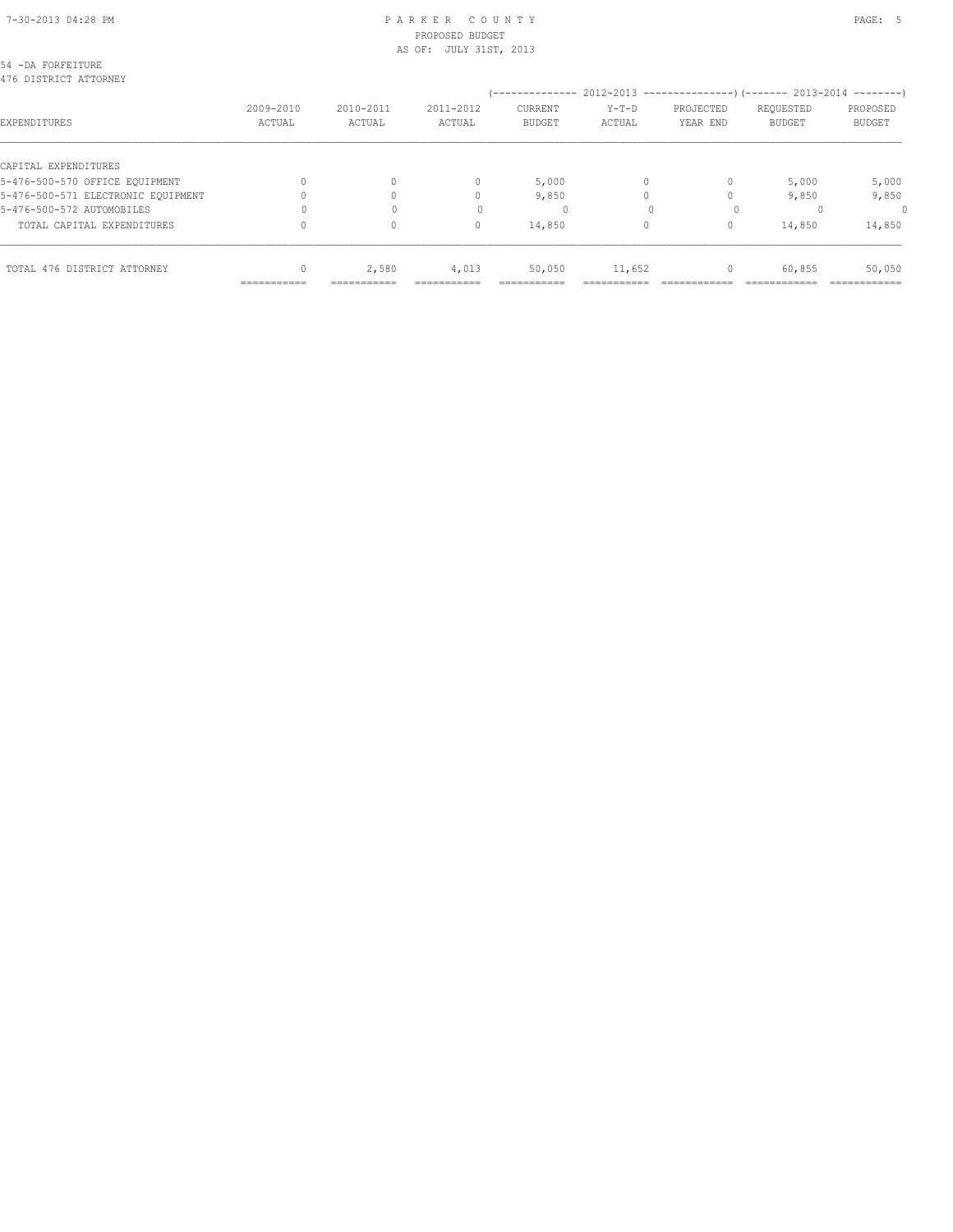## 7-30-2013 04:28 PM P A R K E R C O U N T Y PAGE: 5 PROPOSED BUDGET

| TOTAL 476 DISTRICT ATTORNEY                |           | 2,580     | 4,013                  | 50,050        | 11,652  | 0                                                                                   | 60,855        | 50,050        |
|--------------------------------------------|-----------|-----------|------------------------|---------------|---------|-------------------------------------------------------------------------------------|---------------|---------------|
| TOTAL CAPITAL EXPENDITURES                 |           | 0         | 0                      | 14,850        | 0       | 0                                                                                   | 14,850        | 14,850        |
| 5-476-500-572 AUTOMOBILES                  |           |           |                        | 0             |         |                                                                                     |               | 0             |
| 5-476-500-571 ELECTRONIC EOUIPMENT         |           |           | 0                      | 9,850         |         |                                                                                     | 9,850         | 9,850         |
| 5-476-500-570 OFFICE EQUIPMENT             |           | $\Omega$  | 0                      | 5,000         | 0       | $\Omega$                                                                            | 5,000         | 5,000         |
| CAPITAL EXPENDITURES                       |           |           |                        |               |         |                                                                                     |               |               |
| EXPENDITURES                               | ACTUAL    | ACTUAL    | ACTUAL                 | <b>BUDGET</b> | ACTUAL  | YEAR END                                                                            | <b>BUDGET</b> | <b>BUDGET</b> |
|                                            | 2009-2010 | 2010-2011 | 2011-2012              | CURRENT       | $Y-T-D$ | (-------------- 2012-2013 --------------------- 2013-2014 ---------- )<br>PROJECTED | REQUESTED     | PROPOSED      |
| 54 -DA FORFEITURE<br>476 DISTRICT ATTORNEY |           |           |                        |               |         |                                                                                     |               |               |
|                                            |           |           | AS OF: JULY 31ST, 2013 |               |         |                                                                                     |               |               |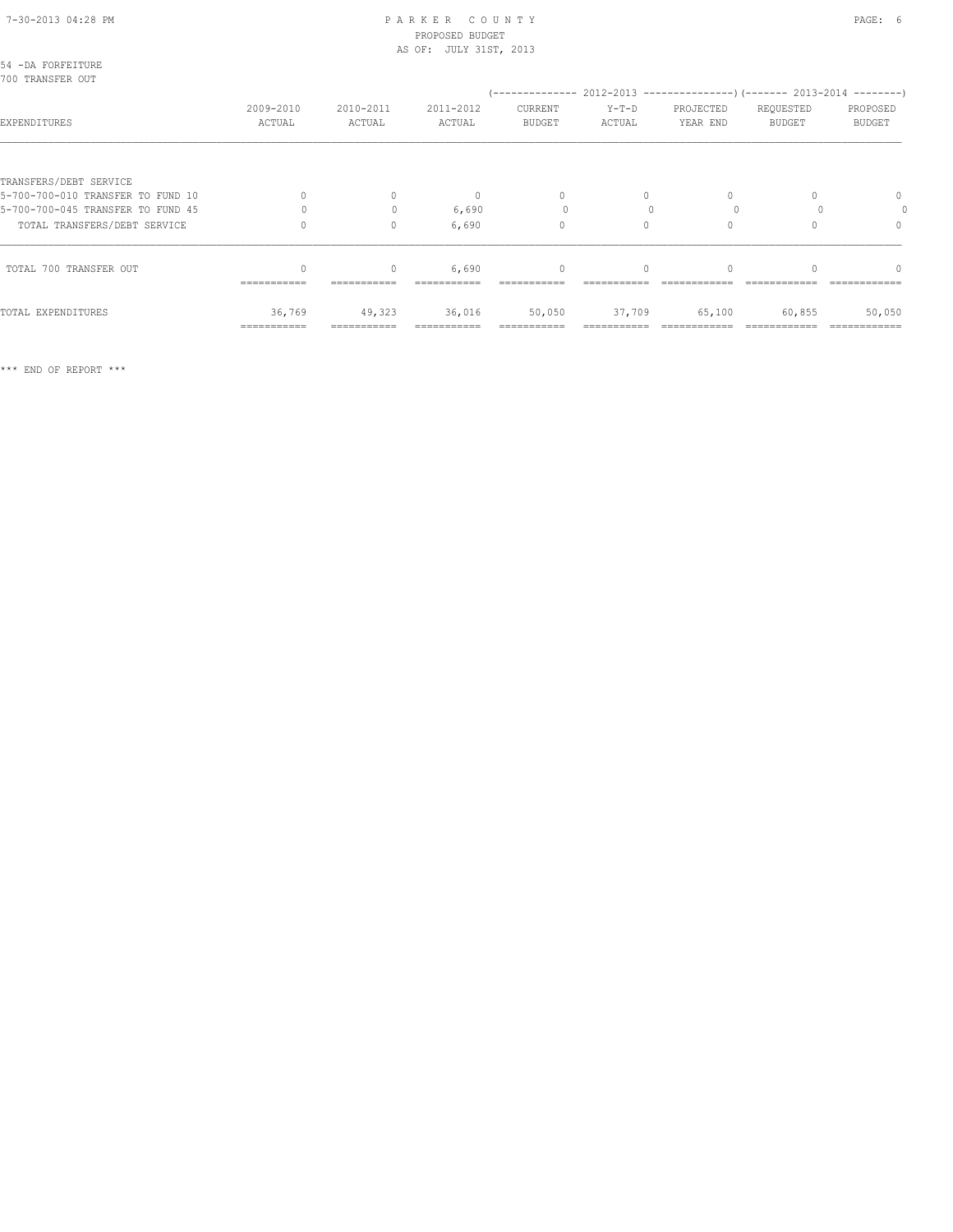#### 7-30-2013 04:28 PM P A R K E R C O U N T Y PAGE: 6 PROPOSED BUDGET AS OF: JULY 31ST, 2013

| 54 -DA FORFEITURE<br>700 TRANSFER OUT |                     |                     |                     |                                                                                                  |                 |                       |                            |                           |
|---------------------------------------|---------------------|---------------------|---------------------|--------------------------------------------------------------------------------------------------|-----------------|-----------------------|----------------------------|---------------------------|
| EXPENDITURES                          | 2009-2010<br>ACTUAL | 2010-2011<br>ACTUAL | 2011-2012<br>ACTUAL | (-------------- 2012-2013 --------------------- 2013-2014 ----------<br>CURRENT<br><b>BUDGET</b> | Y-T-D<br>ACTUAL | PROJECTED<br>YEAR END | REQUESTED<br><b>BUDGET</b> | PROPOSED<br><b>BUDGET</b> |
|                                       |                     |                     |                     |                                                                                                  |                 |                       |                            |                           |
| TRANSFERS/DEBT SERVICE                |                     |                     |                     |                                                                                                  |                 |                       |                            |                           |
| 5-700-700-010 TRANSFER TO FUND 10     |                     | $\circ$             | $\mathbf{0}$        | $\mathbf{0}$                                                                                     | 0               | $\Omega$              |                            | $\mathbf{0}$              |
| 5-700-700-045 TRANSFER TO FUND 45     |                     | $\bigcap$           | 6,690               |                                                                                                  |                 |                       |                            | 0                         |
| TOTAL TRANSFERS/DEBT SERVICE          |                     | $\circ$             | 6,690               | $\mathbf{0}$                                                                                     | $\circ$         |                       |                            | $\mathbf{0}$              |
| TOTAL 700 TRANSFER OUT                |                     | $\circ$             | 6,690               | $\mathbf{0}$                                                                                     | $\Omega$        |                       |                            | $\Omega$                  |
|                                       | ===========         |                     |                     |                                                                                                  |                 |                       |                            |                           |
| TOTAL EXPENDITURES                    | 36,769              | 49,323              | 36,016              | 50,050                                                                                           | 37,709          | 65,100                | 60,855                     | 50,050                    |
|                                       | ===========         |                     |                     |                                                                                                  |                 |                       |                            |                           |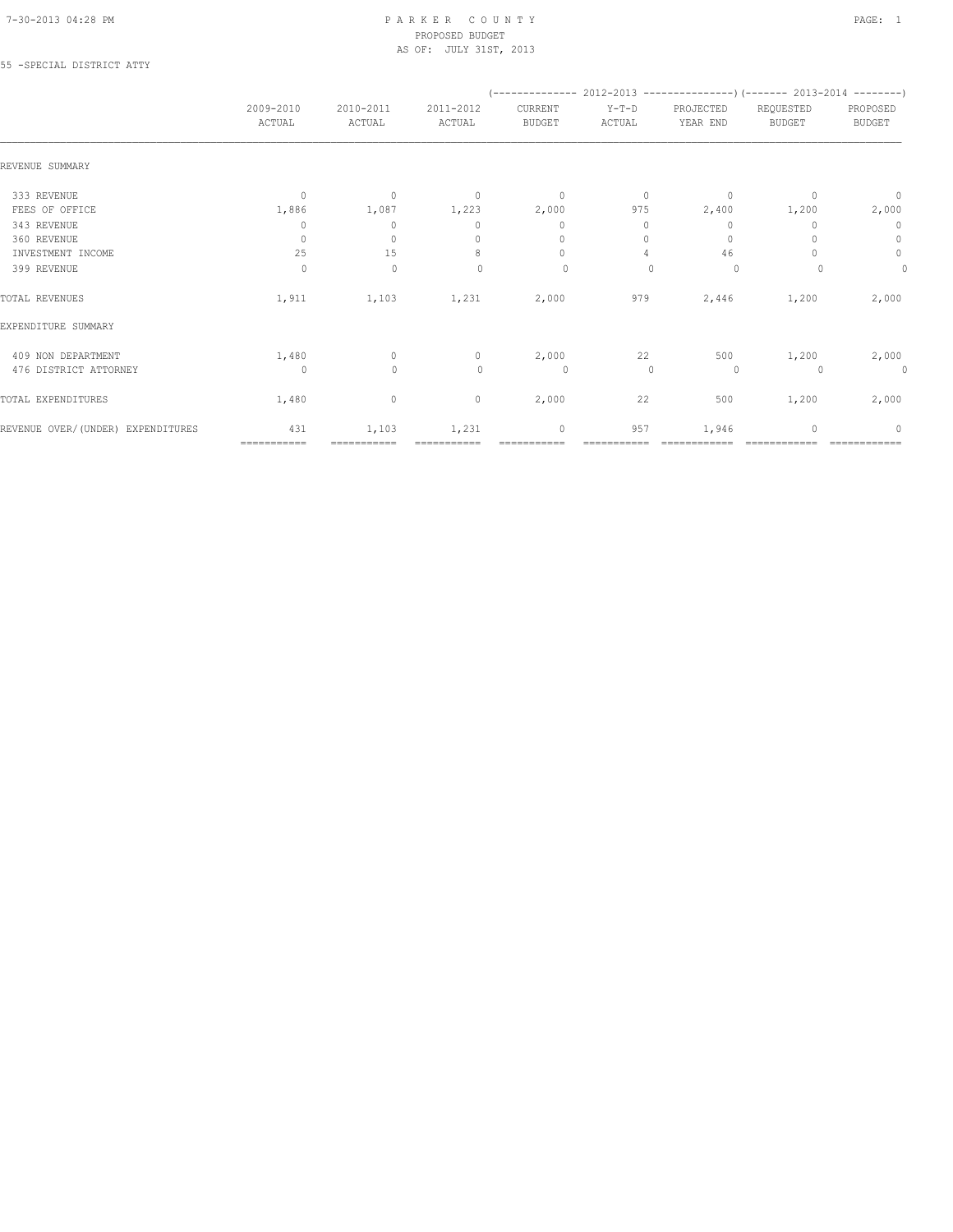#### 7-30-2013 04:28 PM P A R K E R C O U N T Y PAGE: 1 PROPOSED BUDGET AS OF: JULY 31ST, 2013

#### 55 -SPECIAL DISTRICT ATTY

|                                   |                     |                                  |                                  | $(---------- 2012-2013$ ----------------) (------- 2013-2014 --------) |                   |                       |                            |                           |
|-----------------------------------|---------------------|----------------------------------|----------------------------------|------------------------------------------------------------------------|-------------------|-----------------------|----------------------------|---------------------------|
|                                   | 2009-2010<br>ACTUAL | 2010-2011<br>ACTUAL              | 2011-2012<br>ACTUAL              | CURRENT<br><b>BUDGET</b>                                               | $Y-T-D$<br>ACTUAL | PROJECTED<br>YEAR END | REQUESTED<br><b>BUDGET</b> | PROPOSED<br><b>BUDGET</b> |
| REVENUE SUMMARY                   |                     |                                  |                                  |                                                                        |                   |                       |                            |                           |
| 333 REVENUE                       | $\mathbf{0}$        | $\mathbf{0}$                     | $\overline{0}$                   | $\circ$                                                                | $\circ$           | $\mathbf{0}$          | $\Omega$                   | $\mathbf 0$               |
| FEES OF OFFICE                    | 1,886               | 1,087                            | 1,223                            | 2,000                                                                  | 975               | 2,400                 | 1,200                      | 2,000                     |
| 343 REVENUE                       | 0                   | $\begin{array}{c} \n\end{array}$ | $\begin{array}{c} \n\end{array}$ | $\mathbf{0}$                                                           | 0                 | 0                     |                            | $\mathbf 0$               |
| 360 REVENUE                       | $\mathbf{0}$        | $\mathbf{0}$                     | $\begin{array}{c} \n\end{array}$ | $\mathbf{0}$                                                           | $\Omega$          | $\mathbf{0}$          |                            | 0                         |
| INVESTMENT INCOME                 | 25                  | 15                               | 8                                | $\mathbf{0}$                                                           | 4                 | 46                    |                            | $\circ$                   |
| 399 REVENUE                       | $\circ$             | $\mathbf 0$                      | $\begin{array}{c} \n\end{array}$ | 0                                                                      | $\cup$            | $\circ$               |                            | $\mathbf 0$               |
| TOTAL REVENUES                    | 1,911               | 1,103                            | 1,231                            | 2,000                                                                  | 979               | 2,446                 | 1,200                      | 2,000                     |
| EXPENDITURE SUMMARY               |                     |                                  |                                  |                                                                        |                   |                       |                            |                           |
| 409 NON DEPARTMENT                | 1,480               | $\circ$                          | $\circ$                          | 2,000                                                                  | 22                | 500                   | 1,200                      | 2,000                     |
| 476 DISTRICT ATTORNEY             | $\circ$             | $\mathbf{0}$                     | $\mathbf{0}$                     | $\circ$                                                                | $\mathbf{0}$      | 0                     |                            | $\circ$                   |
| TOTAL EXPENDITURES                | 1,480               | 0                                | $\mathbf 0$                      | 2,000                                                                  | 22                | 500                   | 1,200                      | 2,000                     |
| REVENUE OVER/(UNDER) EXPENDITURES | 431                 | 1,103                            | 1,231                            | $\mathbf 0$                                                            | 957               | 1,946                 |                            | $\Omega$                  |
|                                   | ============        | ===========                      |                                  |                                                                        |                   |                       |                            |                           |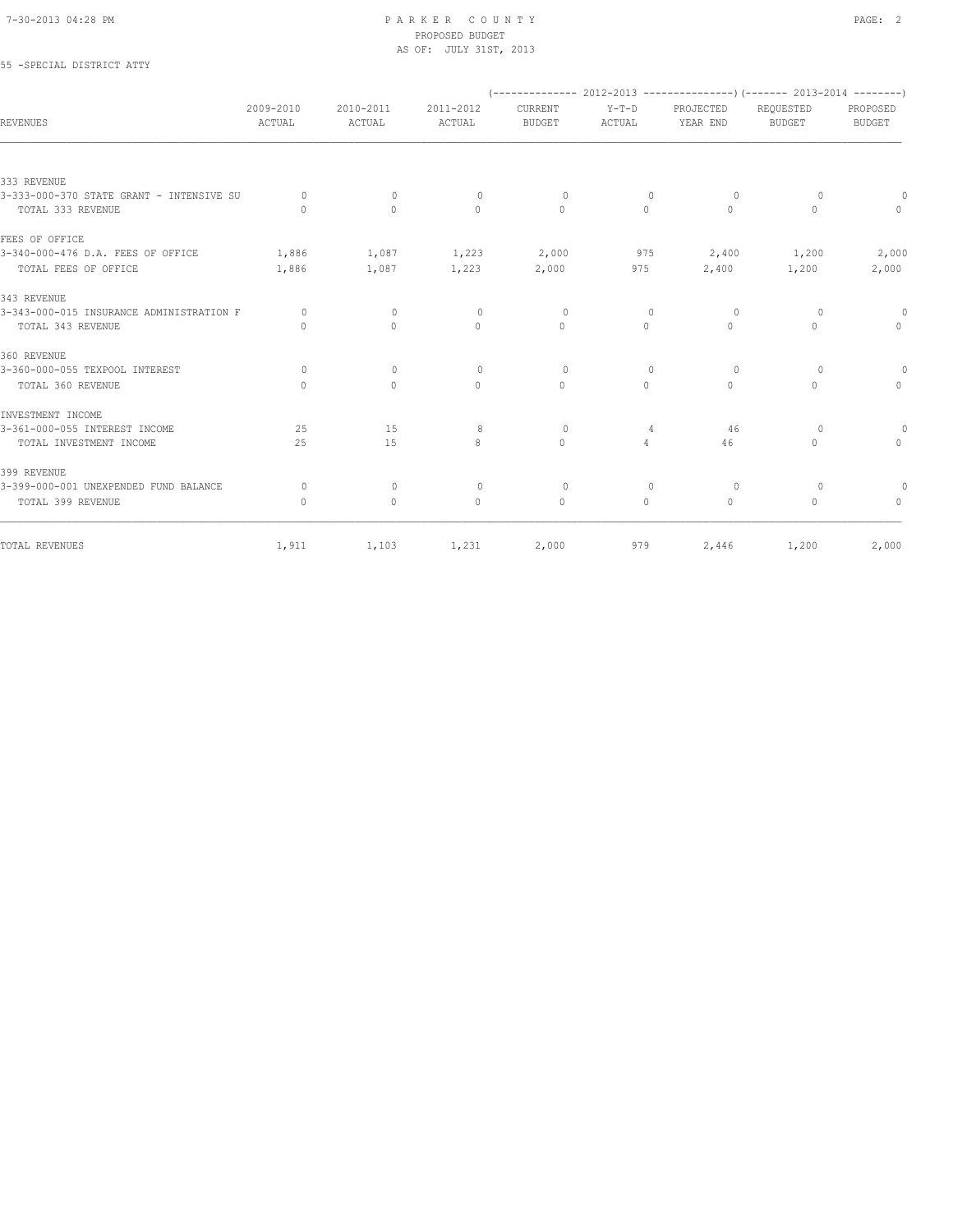#### 7-30-2013 04:28 PM P A R K E R C O U N T Y PAGE: 2 PROPOSED BUDGET AS OF: JULY 31ST, 2013

## 55 -SPECIAL DISTRICT ATTY

|                                          |                                  |                                  |                                  |                          |                                  |                       | $(-$ -------------- 2012-2013 -----------------) (------- 2013-2014 ---------) |                           |
|------------------------------------------|----------------------------------|----------------------------------|----------------------------------|--------------------------|----------------------------------|-----------------------|--------------------------------------------------------------------------------|---------------------------|
| REVENUES                                 | 2009-2010<br>ACTUAL              | 2010-2011<br>ACTUAL              | 2011-2012<br>ACTUAL              | CURRENT<br><b>BUDGET</b> | $Y-T-D$<br>ACTUAL                | PROJECTED<br>YEAR END | REQUESTED<br><b>BUDGET</b>                                                     | PROPOSED<br><b>BUDGET</b> |
|                                          |                                  |                                  |                                  |                          |                                  |                       |                                                                                |                           |
| 333 REVENUE                              |                                  |                                  |                                  |                          |                                  |                       |                                                                                |                           |
| 3-333-000-370 STATE GRANT - INTENSIVE SU | $\Omega$                         | $\circ$                          | $\circ$                          | $\circ$                  | $\circ$                          | 0                     | 0                                                                              |                           |
| TOTAL 333 REVENUE                        | $\bigcap$                        | $\Omega$                         | $\Omega$                         | $\Omega$                 | $\Omega$                         | $\Omega$              | $\Omega$                                                                       | $\Omega$                  |
| FEES OF OFFICE                           |                                  |                                  |                                  |                          |                                  |                       |                                                                                |                           |
| 3-340-000-476 D.A. FEES OF OFFICE        | 1,886                            | 1,087                            | 1,223                            | 2,000                    | 975                              | 2,400                 | 1,200                                                                          | 2,000                     |
| TOTAL FEES OF OFFICE                     | 1,886                            | 1,087                            | 1,223                            | 2,000                    | 975                              | 2,400                 | 1,200                                                                          | 2,000                     |
| 343 REVENUE                              |                                  |                                  |                                  |                          |                                  |                       |                                                                                |                           |
| 3-343-000-015 INSURANCE ADMINISTRATION F | $\Omega$                         | $\mathbf{0}$                     | $\circ$                          | $\Omega$                 | $\mathbf{0}$                     | 0                     | $\Omega$                                                                       | $\Omega$                  |
| TOTAL 343 REVENUE                        | $\begin{array}{c} \n\end{array}$ | $\Omega$                         | $\Omega$                         | $\Omega$                 | $\Omega$                         | $\Omega$              | $\Omega$                                                                       | $\Omega$                  |
| 360 REVENUE                              |                                  |                                  |                                  |                          |                                  |                       |                                                                                |                           |
| 3-360-000-055 TEXPOOL INTEREST           | $\circ$                          | $\mathbf{0}$                     | $\circ$                          | $\Omega$                 | $\begin{array}{c} \n\end{array}$ | 0                     | $\Omega$                                                                       | $\circ$                   |
| TOTAL 360 REVENUE                        | $\bigcap$                        | $\begin{array}{c} \n\end{array}$ | $\begin{array}{c} \n\end{array}$ | $\Omega$                 | $\circ$                          | $\Omega$              | $\Omega$                                                                       | $\Omega$                  |
| INVESTMENT INCOME                        |                                  |                                  |                                  |                          |                                  |                       |                                                                                |                           |
| 3-361-000-055 INTEREST INCOME            | 25                               | 15                               | 8                                | $\circ$                  | 4                                | 46                    | 0                                                                              | 0                         |
| TOTAL INVESTMENT INCOME                  | 25                               | 15                               | 8                                | $\mathbf{0}$             | $\overline{4}$                   | 46                    | $\Omega$                                                                       | $\circ$                   |
| 399 REVENUE                              |                                  |                                  |                                  |                          |                                  |                       |                                                                                |                           |
| 3-399-000-001 UNEXPENDED FUND BALANCE    | $\Omega$                         | $\mathbf{0}$                     | $\Omega$                         | $\circ$                  | $\Omega$                         | $\Omega$              | $\Omega$                                                                       |                           |
| TOTAL 399 REVENUE                        | $\begin{array}{c} \n\end{array}$ | 0                                | $\mathbf{0}$                     | $\mathbf{0}$             | $\circ$                          | $\circ$               | $\Omega$                                                                       | $\Omega$                  |
| TOTAL REVENUES                           | 1,911                            | 1,103                            | 1,231                            | 2,000                    | 979                              | 2,446                 | 1,200                                                                          | 2,000                     |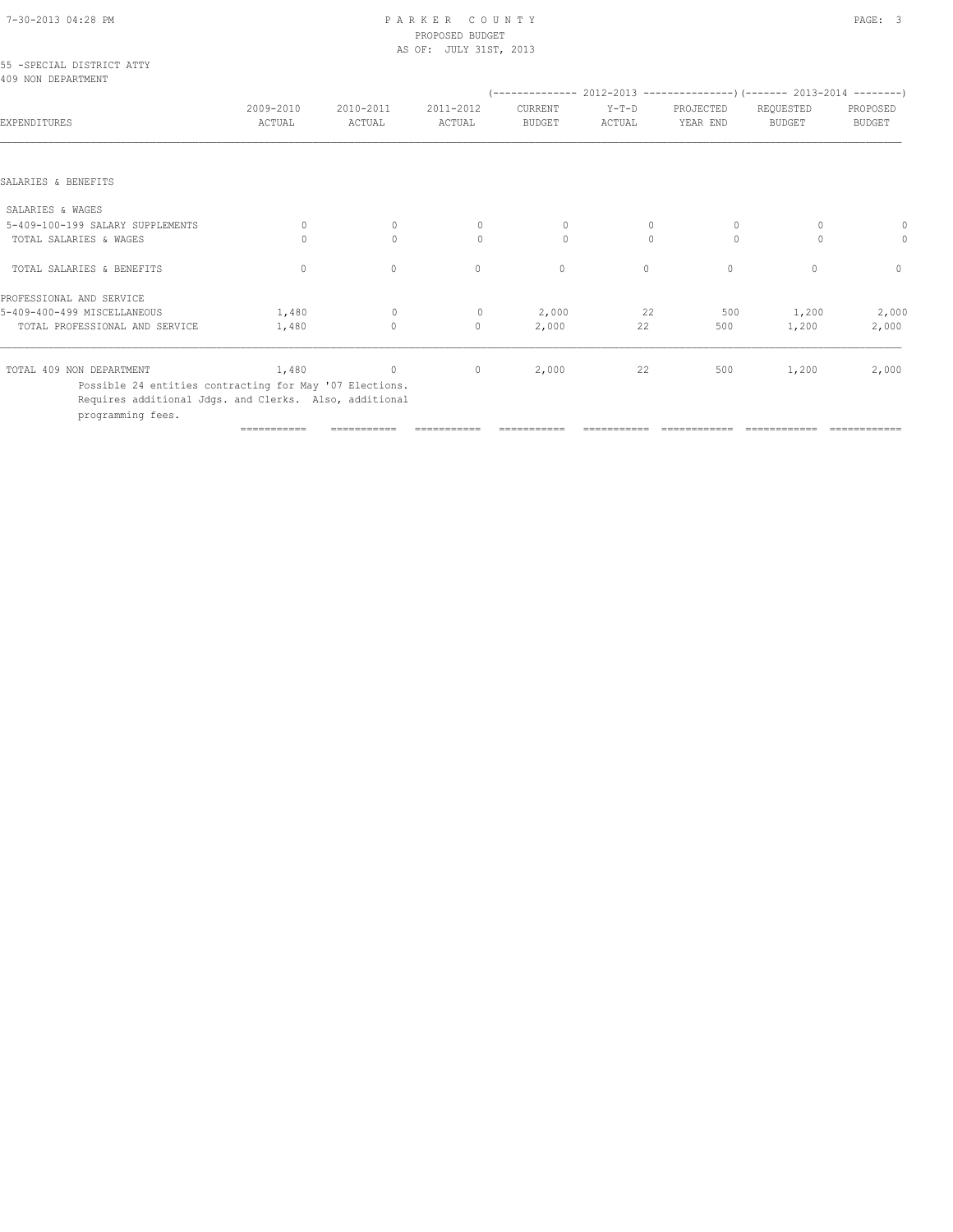# 7-30-2013 04:28 PM P A R K E R C O U N T Y PAGE: 3 PROPOSED BUDGET

|                                                         |                     |                     | AS OF: JULY 31ST, 2013 |                          |                   |                       |                                                                               |                           |
|---------------------------------------------------------|---------------------|---------------------|------------------------|--------------------------|-------------------|-----------------------|-------------------------------------------------------------------------------|---------------------------|
| 55 - SPECIAL DISTRICT ATTY<br>409 NON DEPARTMENT        |                     |                     |                        |                          |                   |                       | $(-$ -------------- 2012-2013 -----------------) (------- 2013-2014 --------) |                           |
| EXPENDITURES                                            | 2009-2010<br>ACTUAL | 2010-2011<br>ACTUAL | 2011-2012<br>ACTUAL    | CURRENT<br><b>BUDGET</b> | $Y-T-D$<br>ACTUAL | PROJECTED<br>YEAR END | REQUESTED<br><b>BUDGET</b>                                                    | PROPOSED<br><b>BUDGET</b> |
| SALARIES & BENEFITS                                     |                     |                     |                        |                          |                   |                       |                                                                               |                           |
|                                                         |                     |                     |                        |                          |                   |                       |                                                                               |                           |
| SALARIES & WAGES                                        |                     |                     |                        |                          |                   |                       |                                                                               |                           |
| 5-409-100-199 SALARY SUPPLEMENTS                        | $\Omega$            | $\mathbf{0}$        | $\Omega$               | 0                        | $\mathbf{0}$      | $\circ$               | 0                                                                             |                           |
| TOTAL SALARIES & WAGES                                  | $\Omega$            | $\mathbf{0}$        | $\circ$                | $\Omega$                 | $\Omega$          | $\Omega$              | $\circ$                                                                       | 0                         |
| TOTAL SALARIES & BENEFITS                               | $\mathbf{0}$        | $\circ$             | $\mathbf{0}$           | $\mathbf{0}$             | $\circ$           | $\circ$               | $\begin{array}{c} \n\end{array}$                                              | $\mathbf{0}$              |
| PROFESSIONAL AND SERVICE                                |                     |                     |                        |                          |                   |                       |                                                                               |                           |
| 5-409-400-499 MISCELLANEOUS                             | 1,480               | $\circ$             | $\circ$                | 2,000                    | 22                | 500                   | 1,200                                                                         | 2,000                     |
| TOTAL PROFESSIONAL AND SERVICE                          | 1,480               | $\circ$             | $\mathbf{0}$           | 2,000                    | 22                | 500                   | 1,200                                                                         | 2,000                     |
| TOTAL 409 NON DEPARTMENT                                | 1,480               | $\overline{0}$      | $\circ$                | 2,000                    | 22                | 500                   | 1,200                                                                         | 2,000                     |
| Possible 24 entities contracting for May '07 Elections. |                     |                     |                        |                          |                   |                       |                                                                               |                           |

Requires additional Jdgs. and Clerks. Also, additional

programming fees.

=========== =========== =========== =========== =========== ============ ============ ============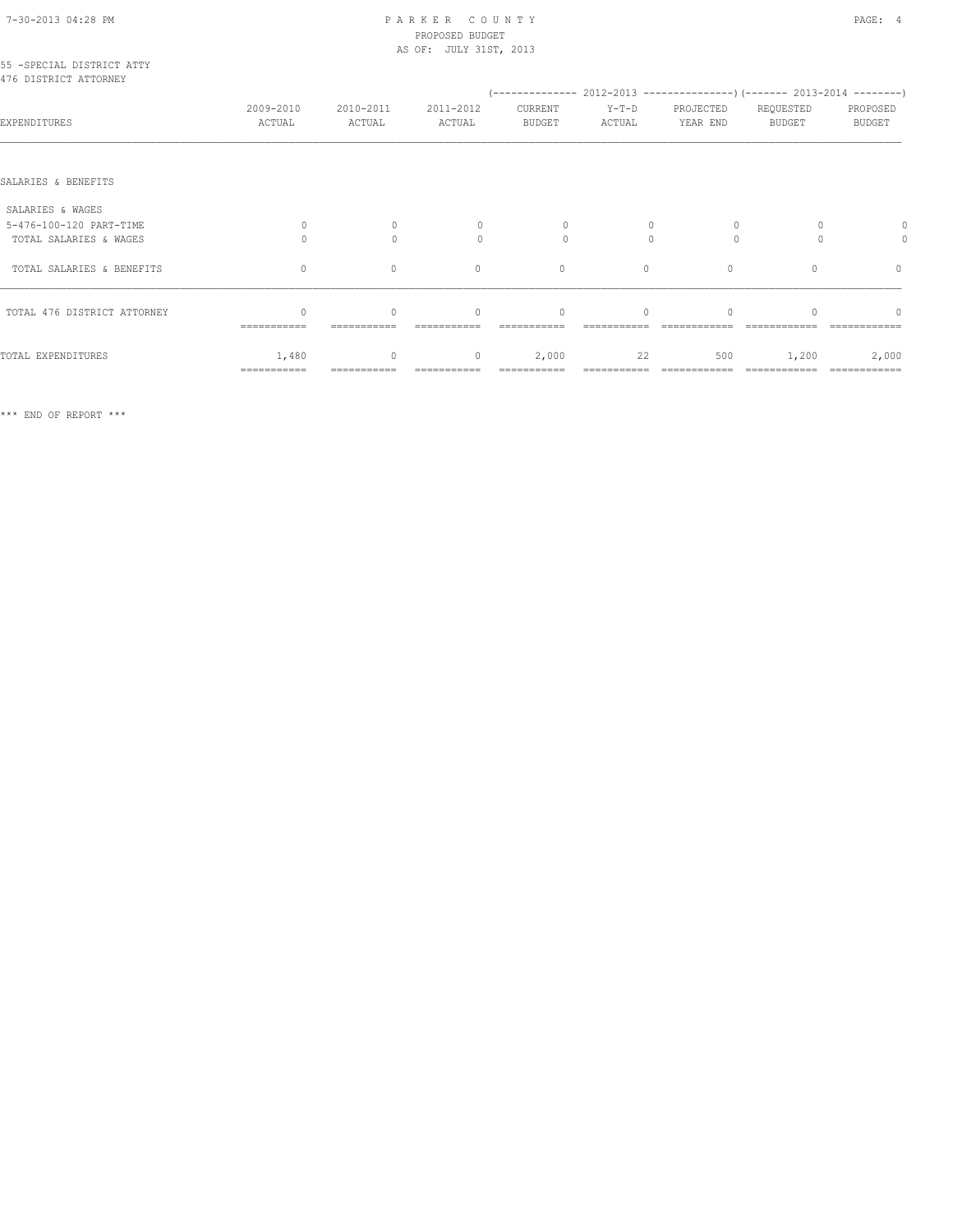## 7-30-2013 04:28 PM P A R K E R C O U N T Y PAGE: 4 PROPOSED BUDGET

|                                                     |                                                 |                                  | AS OF: JULY 31ST, 2013 |                          |                   |                                  |                            |                           |
|-----------------------------------------------------|-------------------------------------------------|----------------------------------|------------------------|--------------------------|-------------------|----------------------------------|----------------------------|---------------------------|
| 55 - SPECIAL DISTRICT ATTY<br>476 DISTRICT ATTORNEY |                                                 |                                  |                        |                          |                   |                                  |                            |                           |
| EXPENDITURES                                        | 2009-2010<br>ACTUAL                             | 2010-2011<br>ACTUAL              | 2011-2012<br>ACTUAL    | CURRENT<br><b>BUDGET</b> | $Y-T-D$<br>ACTUAL | PROJECTED<br>YEAR END            | REQUESTED<br><b>BUDGET</b> | PROPOSED<br><b>BUDGET</b> |
| SALARIES & BENEFITS                                 |                                                 |                                  |                        |                          |                   |                                  |                            |                           |
| SALARIES & WAGES                                    |                                                 |                                  |                        |                          |                   |                                  |                            |                           |
| 5-476-100-120 PART-TIME                             | $\circ$                                         | $\mathbf{0}$                     | $\Omega$               | $\circ$                  | $\mathbf{0}$      | $\circ$                          | $\Omega$                   |                           |
| TOTAL SALARIES & WAGES                              | $\bigcap$                                       | $\Omega$                         | $\Omega$               | $\Omega$                 | $\Omega$          | $\Omega$                         | $\bigcap$                  | 0                         |
| TOTAL SALARIES & BENEFITS                           | $\circ$                                         | $\circ$                          | $\mathbf{0}$           | $\mathbf{0}$             | $\circ$           | $\mathbf{0}$                     | $\Omega$                   | $\mathbf{0}$              |
| TOTAL 476 DISTRICT ATTORNEY                         | $\begin{array}{c} \n\end{array}$<br>=========== | $\begin{array}{c} \n\end{array}$ | $\Omega$               | $\mathbf{0}$             | $\Omega$          | $\begin{array}{c} \n\end{array}$ |                            | $\cap$                    |
| TOTAL EXPENDITURES                                  | 1,480<br>===========                            | 0                                | $\circ$                | 2,000                    | 22                | 500                              | 1,200                      | 2,000<br>============     |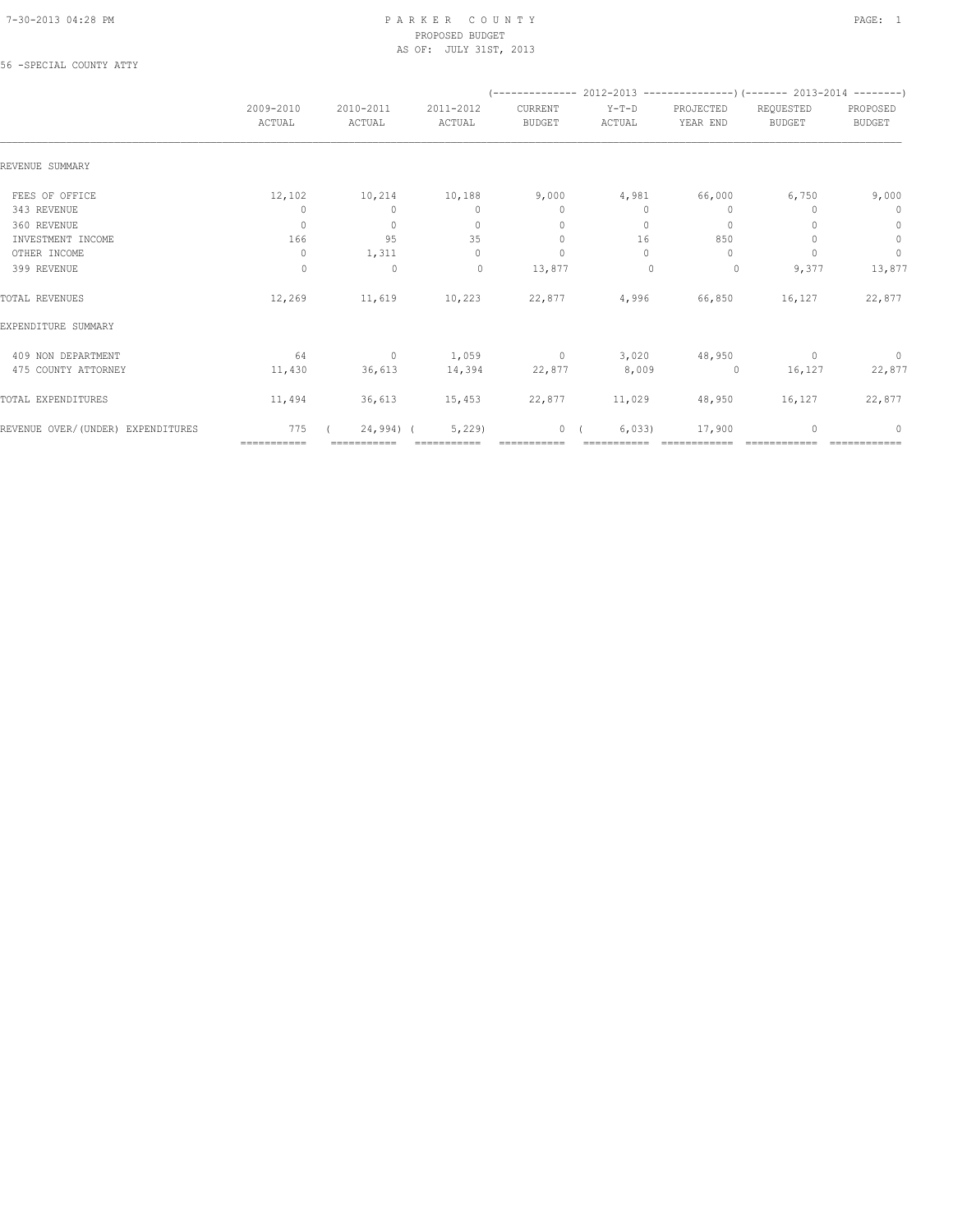#### 7-30-2013 04:28 PM P A R K E R C O U N T Y PAGE: 1 PROPOSED BUDGET AS OF: JULY 31ST, 2013

#### 56 -SPECIAL COUNTY ATTY

|                                   |                     |                     |                     |                          | (-------------- 2012-2013 -----------------) (------- 2013-2014 --------) |                       |                            |                                  |
|-----------------------------------|---------------------|---------------------|---------------------|--------------------------|---------------------------------------------------------------------------|-----------------------|----------------------------|----------------------------------|
|                                   | 2009-2010<br>ACTUAL | 2010-2011<br>ACTUAL | 2011-2012<br>ACTUAL | CURRENT<br><b>BUDGET</b> | $Y-T-D$<br>ACTUAL                                                         | PROJECTED<br>YEAR END | REQUESTED<br><b>BUDGET</b> | PROPOSED<br><b>BUDGET</b>        |
| REVENUE SUMMARY                   |                     |                     |                     |                          |                                                                           |                       |                            |                                  |
| FEES OF OFFICE                    | 12,102              | 10,214              | 10,188              | 9,000                    | 4,981                                                                     | 66,000                | 6,750                      | 9,000                            |
| 343 REVENUE                       | 0                   | $\mathbf{0}$        | $\mathbf{0}$        | $\mathbf{0}$             | 0                                                                         | 0                     |                            | 0                                |
| 360 REVENUE                       | $\circ$             | $\mathbf{0}$        | $\Omega$            | $\mathbf{0}$             | $\Omega$                                                                  | $\circ$               |                            | $\mathbf{0}$                     |
| INVESTMENT INCOME                 | 166                 | 95                  | 35                  | $\mathbf{0}$             | 16                                                                        | 850                   |                            | $\mathbb O$                      |
| OTHER INCOME                      | $\mathbf{0}$        | 1,311               | $\mathbf{0}$        | $\mathbf{0}$             | $\Omega$                                                                  | $\Omega$              |                            | $\mathbf{0}$                     |
| 399 REVENUE                       | $\circ$             | $\circ$             | $\circ$             | 13,877                   | $\mathbf{0}$                                                              | 0                     | 9,377                      | 13,877                           |
| TOTAL REVENUES                    | 12,269              | 11,619              | 10,223              | 22,877                   | 4,996                                                                     | 66,850                | 16,127                     | 22,877                           |
| EXPENDITURE SUMMARY               |                     |                     |                     |                          |                                                                           |                       |                            |                                  |
| 409 NON DEPARTMENT                | 64                  | $\sim$ 0            |                     |                          | $1,059$ 0 3,020                                                           | 48,950                | $\sim$ 0                   | $\overline{0}$                   |
| 475 COUNTY ATTORNEY               | 11,430              | 36,613              | 14,394              | 22,877                   | 8,009                                                                     | $\overline{0}$        | 16,127                     | 22,877                           |
| TOTAL EXPENDITURES                | 11,494              | 36,613              | 15,453              | 22,877                   | 11,029                                                                    | 48,950                | 16,127                     | 22,877                           |
| REVENUE OVER/(UNDER) EXPENDITURES | 775                 | $24,994$ ) (        | 5,229               | $\overline{0}$           | 6,033                                                                     | 17,900                |                            | $\begin{array}{c} \n\end{array}$ |
|                                   | ============        | ===========         |                     |                          |                                                                           |                       |                            |                                  |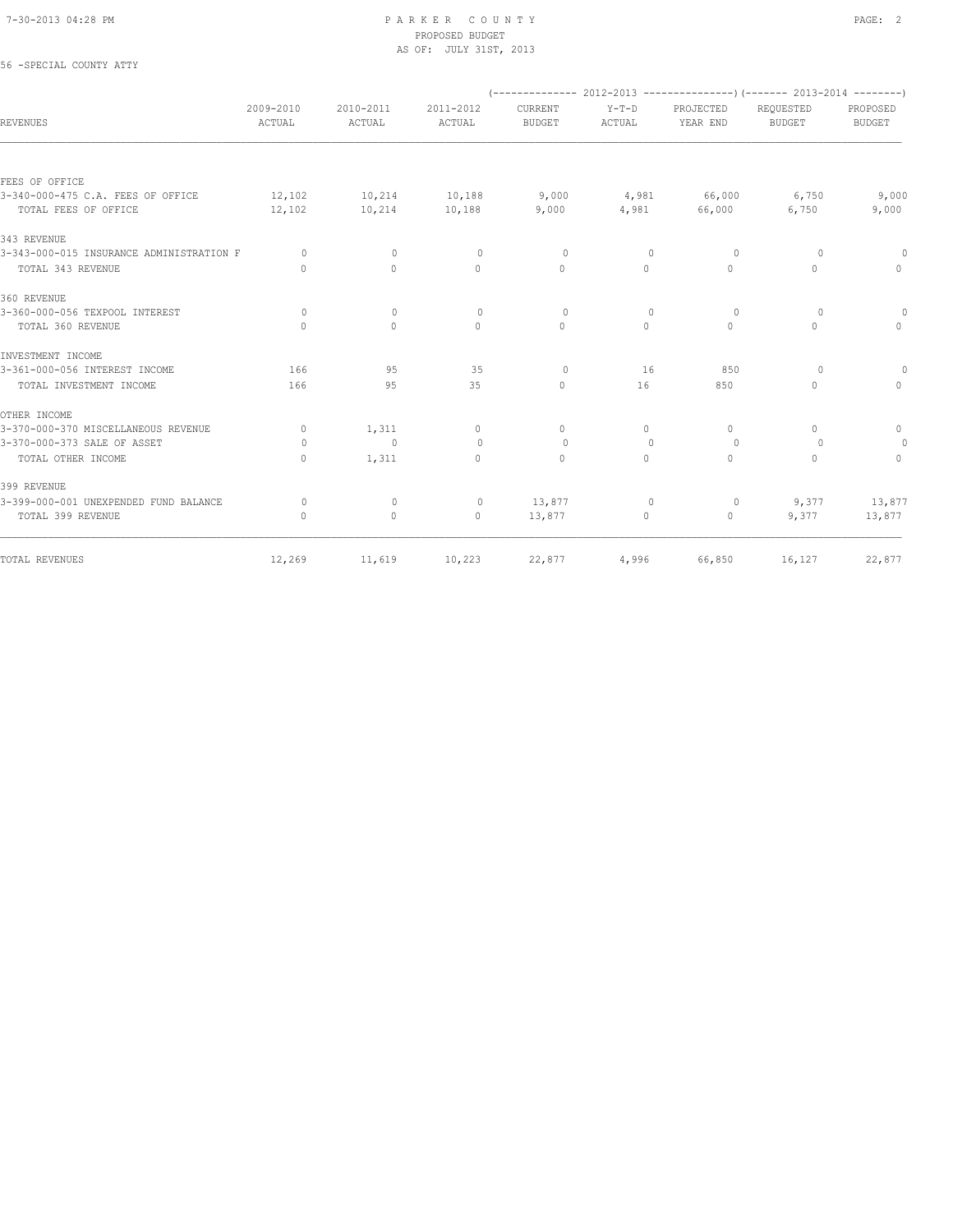#### 7-30-2013 04:28 PM P A R K E R C O U N T Y PAGE: 2 PROPOSED BUDGET AS OF: JULY 31ST, 2013

| 56 -SPECIAL COUNTY ATTY                  |                                  |                     |                     |                          |                   |                       |                                                                                |                           |
|------------------------------------------|----------------------------------|---------------------|---------------------|--------------------------|-------------------|-----------------------|--------------------------------------------------------------------------------|---------------------------|
|                                          |                                  |                     |                     |                          |                   |                       | $(-$ -------------- 2012-2013 -----------------) (------- 2013-2014 ---------) |                           |
| REVENUES                                 | 2009-2010<br>ACTUAL              | 2010-2011<br>ACTUAL | 2011-2012<br>ACTUAL | CURRENT<br><b>BUDGET</b> | $Y-T-D$<br>ACTUAL | PROJECTED<br>YEAR END | REQUESTED<br><b>BUDGET</b>                                                     | PROPOSED<br><b>BUDGET</b> |
|                                          |                                  |                     |                     |                          |                   |                       |                                                                                |                           |
| FEES OF OFFICE                           |                                  |                     |                     |                          |                   |                       |                                                                                |                           |
| 3-340-000-475 C.A. FEES OF OFFICE        | 12,102                           | 10,214              | 10,188              | 9,000                    | 4,981             | 66,000                | 6,750                                                                          | 9,000                     |
| TOTAL FEES OF OFFICE                     | 12,102                           | 10,214              | 10,188              | 9,000                    | 4,981             | 66,000                | 6,750                                                                          | 9,000                     |
| 343 REVENUE                              |                                  |                     |                     |                          |                   |                       |                                                                                |                           |
| 3-343-000-015 INSURANCE ADMINISTRATION F | $\circ$                          | $\mathbf{0}$        | $\circ$             | $\circ$                  | $\mathbf 0$       | 0                     | $\circ$                                                                        | $\Omega$                  |
| TOTAL 343 REVENUE                        | $\begin{array}{c} \n\end{array}$ | 0                   | $\mathbf{0}$        | $\mathbf{0}$             | $\circ$           | $\circ$               | 0                                                                              | $\circ$                   |
| 360 REVENUE                              |                                  |                     |                     |                          |                   |                       |                                                                                |                           |
| 3-360-000-056 TEXPOOL INTEREST           | $\Omega$                         | $\Omega$            | $\circ$             | $\Omega$                 | $\Omega$          | $\Omega$              | $\Omega$                                                                       | $\circ$                   |
| TOTAL 360 REVENUE                        | $\Omega$                         | $\Omega$            | $\Omega$            | $\Omega$                 | $\Omega$          | $\Omega$              | $\Omega$                                                                       | $\Omega$                  |
| INVESTMENT INCOME                        |                                  |                     |                     |                          |                   |                       |                                                                                |                           |
| 3-361-000-056 INTEREST INCOME            | 166                              | 95                  | 35                  | $\circ$                  | 16                | 850                   | $\Omega$                                                                       | $\circ$                   |
| TOTAL INVESTMENT INCOME                  | 166                              | 95                  | 35                  | $\mathbf{0}$             | 16                | 850                   | $\Omega$                                                                       | $\Omega$                  |
| OTHER INCOME                             |                                  |                     |                     |                          |                   |                       |                                                                                |                           |
| 3-370-000-370 MISCELLANEOUS REVENUE      | $\circ$                          | 1,311               | $\mathbf{0}$        | $\mathbf{0}$             | $\circ$           | $\mathbf{0}$          | $\Omega$                                                                       | $\mathbf{0}$              |
| 3-370-000-373 SALE OF ASSET              | $\Omega$                         | $\mathbf{0}$        | $\circ$             | $\Omega$                 | $\mathbf{0}$      | $\Omega$              | $\Omega$                                                                       | $\circ$                   |
| TOTAL OTHER INCOME                       | $\begin{array}{c} \n\end{array}$ | 1,311               | $\Omega$            | $\mathbf{0}$             | $\Omega$          | $\circ$               | $\Omega$                                                                       | $\mathbf{0}$              |
| 399 REVENUE                              |                                  |                     |                     |                          |                   |                       |                                                                                |                           |
| 3-399-000-001 UNEXPENDED FUND BALANCE    | $\circ$                          | $\mathbf{0}$        | $\circ$             | 13,877                   | $\mathbf{0}$      | 0                     | 9,377                                                                          | 13,877                    |
| TOTAL 399 REVENUE                        | $\begin{array}{c} \n\end{array}$ | $\circ$             | $\circ$             | 13,877                   | 0                 | $\circ$               | 9,377                                                                          | 13,877                    |
| TOTAL REVENUES                           | 12,269                           | 11,619              | 10,223              | 22,877                   | 4,996             | 66,850                | 16,127                                                                         | 22,877                    |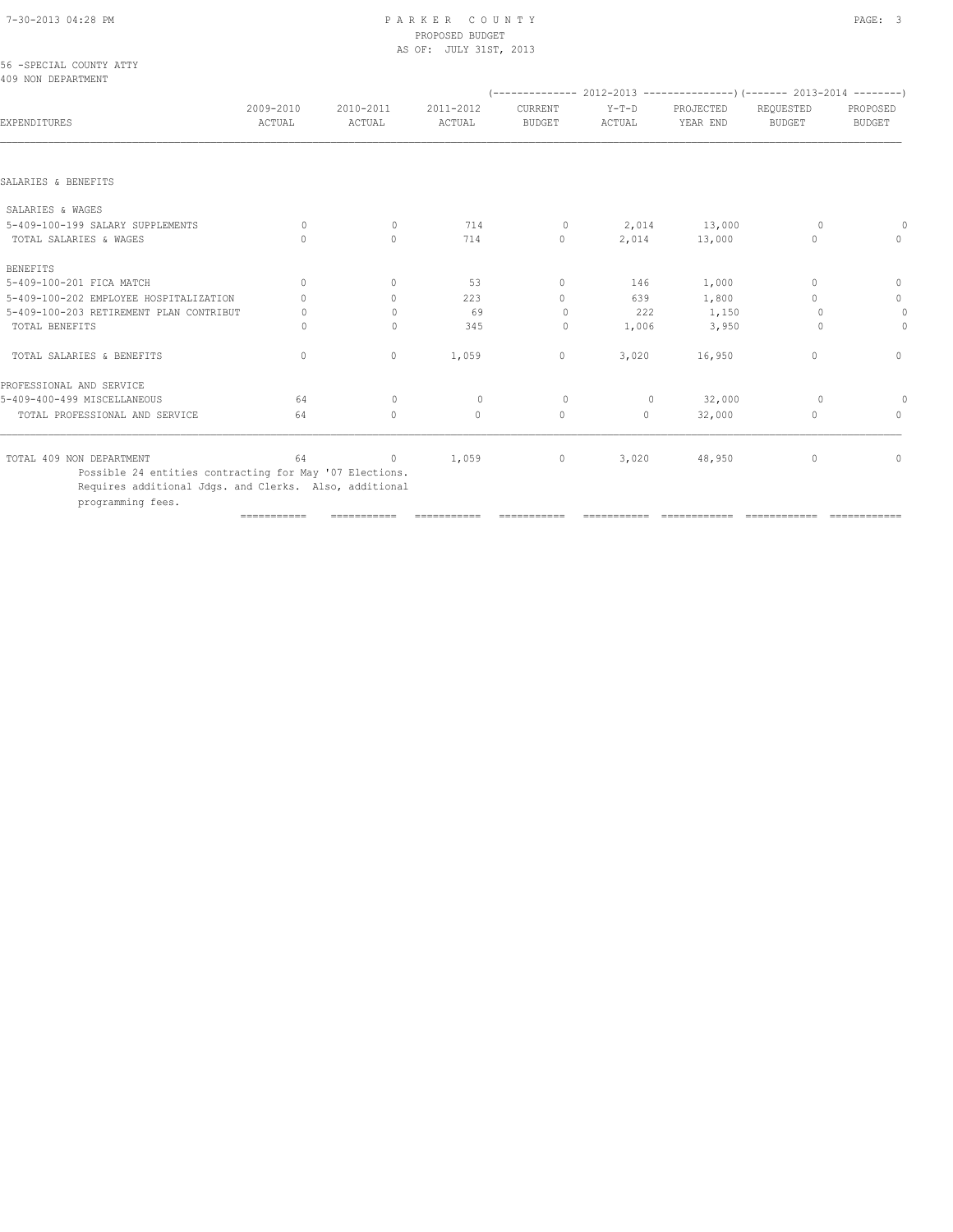# PROPOSED BUDGET

|                                                |                                  |                                  | AS OF: JULY 31ST, 2013 |                                  |                   |                                                                             |                                  |                           |
|------------------------------------------------|----------------------------------|----------------------------------|------------------------|----------------------------------|-------------------|-----------------------------------------------------------------------------|----------------------------------|---------------------------|
| 56 - SPECIAL COUNTY ATTY<br>409 NON DEPARTMENT |                                  |                                  |                        |                                  |                   |                                                                             |                                  |                           |
|                                                |                                  |                                  |                        |                                  |                   | $($ -------------- 2012-2013 ----------------) (------- 2013-2014 --------) |                                  |                           |
| EXPENDITURES                                   | 2009-2010<br>ACTUAL              | 2010-2011<br>ACTUAL              | 2011-2012<br>ACTUAL    | CURRENT<br><b>BUDGET</b>         | $Y-T-D$<br>ACTUAL | PROJECTED<br>YEAR END                                                       | REQUESTED<br><b>BUDGET</b>       | PROPOSED<br><b>BUDGET</b> |
|                                                |                                  |                                  |                        |                                  |                   |                                                                             |                                  |                           |
| SALARIES & BENEFITS                            |                                  |                                  |                        |                                  |                   |                                                                             |                                  |                           |
| SALARIES & WAGES                               |                                  |                                  |                        |                                  |                   |                                                                             |                                  |                           |
| 5-409-100-199 SALARY SUPPLEMENTS               | $\Omega$                         | $\mathbf{0}$                     | 714                    | $\circ$                          | 2,014             | 13,000                                                                      | $\circ$                          |                           |
| TOTAL SALARIES & WAGES                         | $\cap$                           | $\Omega$                         | 714                    | $\mathbf{0}$                     | 2,014             | 13,000                                                                      | $\begin{array}{c} \n\end{array}$ | $\mathbf{0}$              |
| <b>BENEFITS</b>                                |                                  |                                  |                        |                                  |                   |                                                                             |                                  |                           |
| 5-409-100-201 FICA MATCH                       | $\begin{array}{c} \n\end{array}$ | $\Omega$                         | 53                     | $\Omega$                         | 146               | 1,000                                                                       | $\Omega$                         | $\mathbf{0}$              |
| 5-409-100-202 EMPLOYEE HOSPITALIZATION         | $\cap$                           | $\begin{array}{c} \n\end{array}$ | 223                    | $\begin{array}{c} \n\end{array}$ | 639               | 1,800                                                                       | $\Omega$                         | 0                         |
| 5-409-100-203 RETIREMENT PLAN CONTRIBUT        | U                                | $\Omega$                         | 69                     | $\circ$                          | 222               | 1,150                                                                       | $\Omega$                         | $\circ$                   |
| TOTAL BENEFITS                                 | U                                | $\Omega$                         | 345                    | 0                                | 1,006             | 3,950                                                                       | $\Omega$                         | $\mathbf{0}$              |
| TOTAL SALARIES & BENEFITS                      | $\mathbf{0}$                     | 0                                | 1,059                  | $\mathbf 0$                      | 3,020             | 16,950                                                                      | $\mathbf{0}$                     | $\mathbf{0}$              |
| PROFESSIONAL AND SERVICE                       |                                  |                                  |                        |                                  |                   |                                                                             |                                  |                           |
| 5-409-400-499 MISCELLANEOUS                    | 64                               | $\Omega$                         | $\Omega$               | $\Omega$                         | $\Omega$          | 32,000                                                                      | $\Omega$                         | 0                         |
| TOTAL PROFESSIONAL AND SERVICE                 | 64                               | $\circ$                          | $\circ$                | $\circ$                          | $\circ$           | 32,000                                                                      | $\mathbf{0}$                     | $\mathbf{0}$              |
| TOTAL 409 NON DEPARTMENT                       | 64                               | $\circ$                          | 1,059                  | $\circ$                          | 3,020             | 48,950                                                                      | $\mathbf{0}$                     | $\circ$                   |

=========== =========== =========== =========== =========== ============ ============ ============

 Possible 24 entities contracting for May '07 Elections. Requires additional Jdgs. and Clerks. Also, additional programming fees.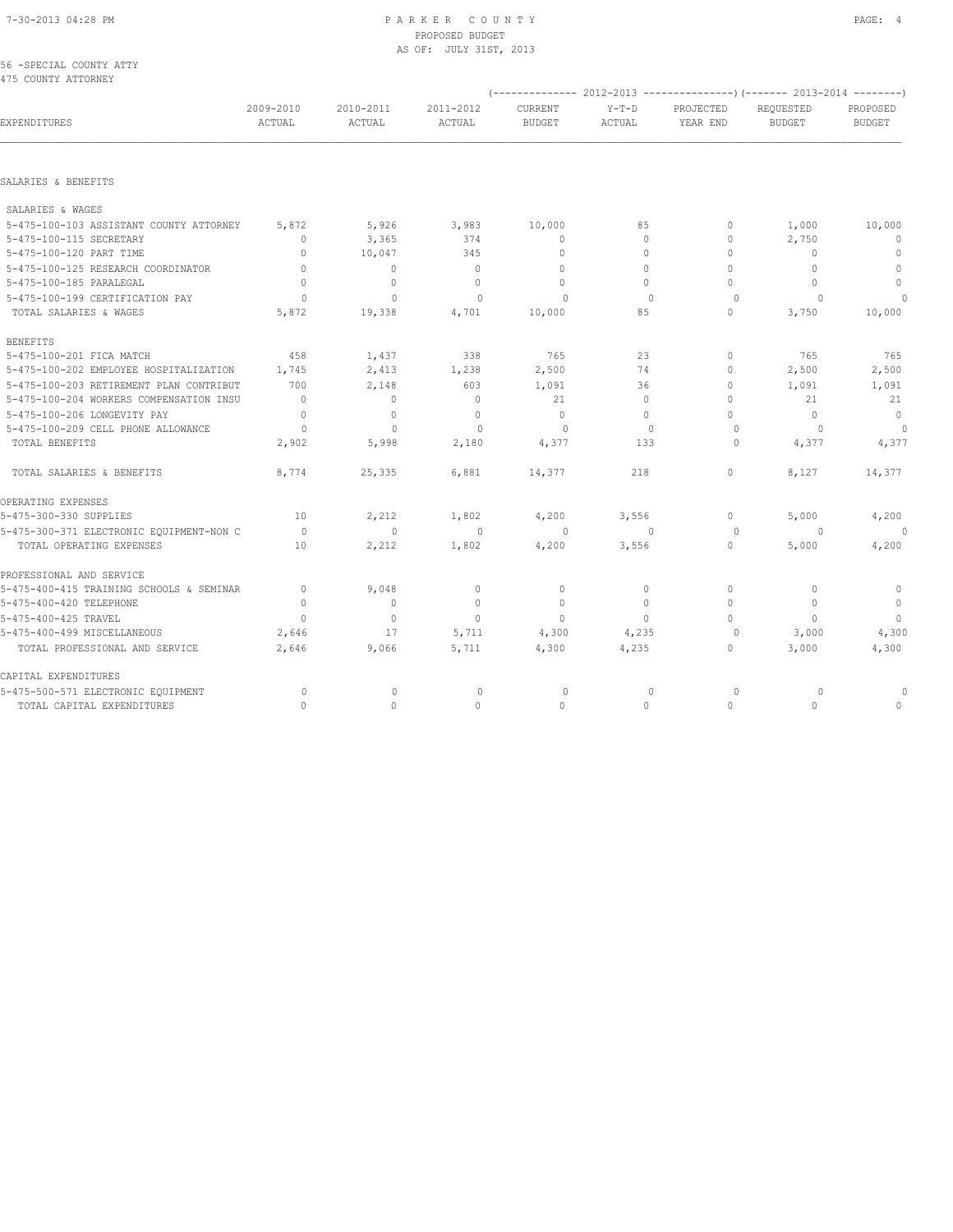#### 7-30-2013 04:28 PM P A R K E R C O U N T Y PAGE: 4 PROPOSED BUDGET AS OF: JULY 31ST, 2013

#### 56 -SPECIAL COUNTY ATTY 475 COUNTY ATTORNEY

|                                          |                     |                     |                     |                          |                   |                       | $(----------2012-2013---------)$ $(----2013-2014------)$ |                                  |
|------------------------------------------|---------------------|---------------------|---------------------|--------------------------|-------------------|-----------------------|----------------------------------------------------------|----------------------------------|
| EXPENDITURES                             | 2009-2010<br>ACTUAL | 2010-2011<br>ACTUAL | 2011-2012<br>ACTUAL | CURRENT<br><b>BUDGET</b> | $Y-T-D$<br>ACTUAL | PROJECTED<br>YEAR END | REQUESTED<br><b>BUDGET</b>                               | PROPOSED<br><b>BUDGET</b>        |
|                                          |                     |                     |                     |                          |                   |                       |                                                          |                                  |
| SALARIES & BENEFITS                      |                     |                     |                     |                          |                   |                       |                                                          |                                  |
| SALARIES & WAGES                         |                     |                     |                     |                          |                   |                       |                                                          |                                  |
| 5-475-100-103 ASSISTANT COUNTY ATTORNEY  | 5,872               | 5,926               | 3,983               | 10,000                   | 85                | 0                     | 1,000                                                    | 10,000                           |
| 5-475-100-115 SECRETARY                  | $\mathbf{0}$        | 3,365               | 374                 | $\mathbf{0}$             | $\circ$           | 0                     | 2,750                                                    | $\mathbf{0}$                     |
| 5-475-100-120 PART TIME                  | $\mathbf{0}$        | 10,047              | 345                 | $\mathbf{0}$             | $\Omega$          | 0                     | $\mathbf{0}$                                             | $\mathbf{0}$                     |
| 5-475-100-125 RESEARCH COORDINATOR       | $\mathbf{0}$        | $\circ$             | $\circ$             | $\Omega$                 | $\Omega$          | 0                     | $\mathbf{0}$                                             | $\circ$                          |
| 5-475-100-185 PARALEGAL                  | $\bigcap$           | $\mathbf{0}$        | $\Omega$            | $\Omega$                 | $\Omega$          | 0                     | $\begin{array}{c} \n\end{array}$                         | $\Omega$                         |
| 5-475-100-199 CERTIFICATION PAY          | $\Omega$            | $\mathbf{0}$        | $\Omega$            | $\Omega$                 | $\Omega$          | $\circ$               | $\Omega$                                                 | $\Omega$                         |
| TOTAL SALARIES & WAGES                   | 5,872               | 19,338              | 4,701               | 10,000                   | 85                | 0                     | 3,750                                                    | 10,000                           |
| <b>BENEFITS</b>                          |                     |                     |                     |                          |                   |                       |                                                          |                                  |
| 5-475-100-201 FICA MATCH                 | 458                 | 1,437               | 338                 | 765                      | 23                | 0                     | 765                                                      | 765                              |
| 5-475-100-202 EMPLOYEE HOSPITALIZATION   | 1,745               | 2,413               | 1,238               | 2,500                    | 74                | 0                     | 2,500                                                    | 2,500                            |
| 5-475-100-203 RETIREMENT PLAN CONTRIBUT  | 700                 | 2,148               | 603                 | 1,091                    | 36                | 0                     | 1,091                                                    | 1,091                            |
| 5-475-100-204 WORKERS COMPENSATION INSU  | $\overline{0}$      | $\mathbf{0}$        | $\mathbf{0}$        | 21                       | $\circ$           | 0                     | 21                                                       | 21                               |
| 5-475-100-206 LONGEVITY PAY              | $\mathbf 0$         | $\circ$             | $\mathbf{0}$        | $\mathbf{0}$             | $\Omega$          | 0                     | $\mathbf{0}$                                             | $\overline{0}$                   |
| 5-475-100-209 CELL PHONE ALLOWANCE       | $\circ$             | $\circ$             | $\Omega$            | $\circ$                  | $\Omega$          | $\circ$               | $\circ$                                                  | $\Omega$                         |
| TOTAL BENEFITS                           | 2,902               | 5,998               | 2,180               | 4,377                    | 133               | $\circ$               | 4,377                                                    | 4,377                            |
| TOTAL SALARIES & BENEFITS                | 8,774               | 25,335              | 6,881               | 14,377                   | 218               | 0                     | 8,127                                                    | 14,377                           |
| OPERATING EXPENSES                       |                     |                     |                     |                          |                   |                       |                                                          |                                  |
| 5-475-300-330 SUPPLIES                   | 10                  | 2,212               | 1,802               | 4,200                    | 3,556             | 0                     | 5,000                                                    | 4,200                            |
| 5-475-300-371 ELECTRONIC EQUIPMENT-NON C | $\overline{0}$      | $\overline{0}$      | $\circ$             | $\circ$                  | $\Omega$          | $\circ$               | $\Omega$                                                 |                                  |
| TOTAL OPERATING EXPENSES                 | 10                  | 2,212               | 1,802               | 4,200                    | 3,556             | 0                     | 5,000                                                    | 4,200                            |
| PROFESSIONAL AND SERVICE                 |                     |                     |                     |                          |                   |                       |                                                          |                                  |
| 5-475-400-415 TRAINING SCHOOLS & SEMINAR | $\mathbb O$         | 9,048               | $\mathbf 0$         | 0                        | 0                 | 0                     | 0                                                        | $\mathbf 0$                      |
| 5-475-400-420 TELEPHONE                  | $\mathbf{0}$        | $\circ$             | $\circ$             | $\mathbf{0}$             | $\circ$           | 0                     | $\mathbf{0}$                                             | $\circ$                          |
| 5-475-400-425 TRAVEL                     | $\mathbf{0}$        | $\mathbf{0}$        | $\mathbf{0}$        | $\mathbf{0}$             | $\circ$           | 0                     | $\mathbf{0}$                                             | $\overline{0}$                   |
| 5-475-400-499 MISCELLANEOUS              | 2,646               | 17                  | 5,711               | 4,300                    | 4,235             | $\circ$               | 3,000                                                    | 4,300                            |
| TOTAL PROFESSIONAL AND SERVICE           | 2,646               | 9,066               | 5,711               | 4,300                    | 4,235             | 0                     | 3,000                                                    | 4,300                            |
| CAPITAL EXPENDITURES                     |                     |                     |                     |                          |                   |                       |                                                          |                                  |
| 5-475-500-571 ELECTRONIC EQUIPMENT       | $\circ$             | $\mathbf 0$         | 0                   | 0                        | $\mathbf 0$       | 0                     | 0                                                        |                                  |
| TOTAL CAPITAL EXPENDITURES               | $\Omega$            | 0                   | $\Omega$            | $\mathbf{0}$             | $\Omega$          | $\Omega$              | $\Omega$                                                 | $\begin{array}{c} \n\end{array}$ |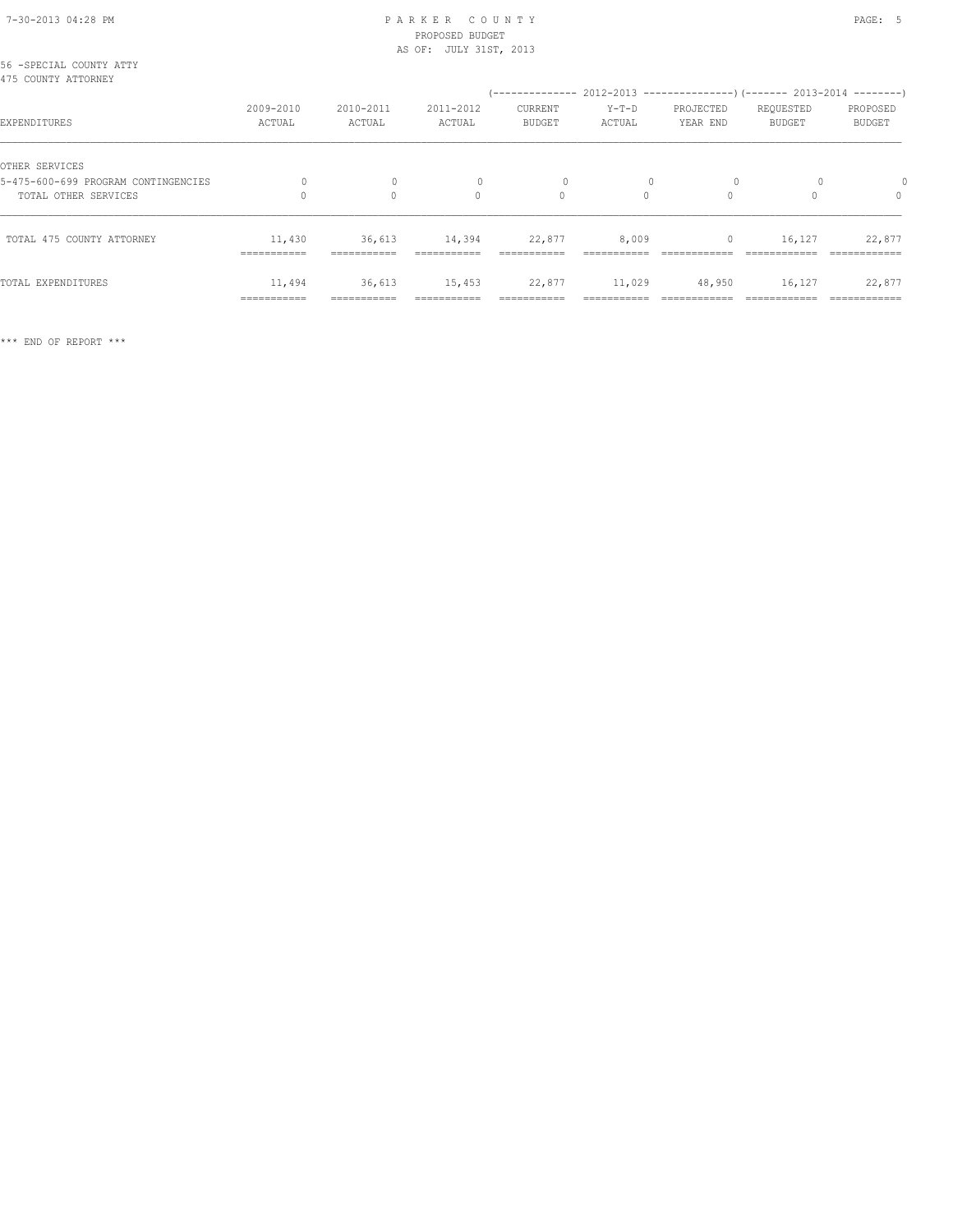## PROPOSED BUDGET AS OF: JULY 31ST, 2013

| 56 -SPECIAL COUNTY ATTY<br>475 COUNTY ATTORNEY |                       |                       |                       | (-------------- 2012-2013 --------------------- 2013-2014 ---------- |                       |                       |                            |                        |
|------------------------------------------------|-----------------------|-----------------------|-----------------------|----------------------------------------------------------------------|-----------------------|-----------------------|----------------------------|------------------------|
| EXPENDITURES                                   | 2009-2010<br>ACTUAL   | 2010-2011<br>ACTUAL   | 2011-2012<br>ACTUAL   | CURRENT<br><b>BUDGET</b>                                             | $Y-T-D$<br>ACTUAL     | PROJECTED<br>YEAR END | REQUESTED<br><b>BUDGET</b> | PROPOSED<br>BUDGET     |
| OTHER SERVICES                                 |                       |                       |                       |                                                                      |                       |                       |                            |                        |
| 5-475-600-699 PROGRAM CONTINGENCIES            |                       |                       |                       |                                                                      |                       |                       |                            |                        |
| TOTAL OTHER SERVICES                           |                       | $\Omega$              | $\Omega$              | $\Omega$                                                             | $\Omega$              | $\Omega$              |                            | $\Omega$               |
| TOTAL 475 COUNTY ATTORNEY                      | 11,430<br>=========== | 36,613                | 14,394                | 22,877                                                               | 8,009                 |                       | 16,127                     | 22,877                 |
| TOTAL EXPENDITURES                             | 11,494<br>=========== | 36,613<br>=========== | 15,453<br>=========== | 22,877                                                               | 11,029<br>:========== | 48,950                | 16,127                     | 22,877<br>============ |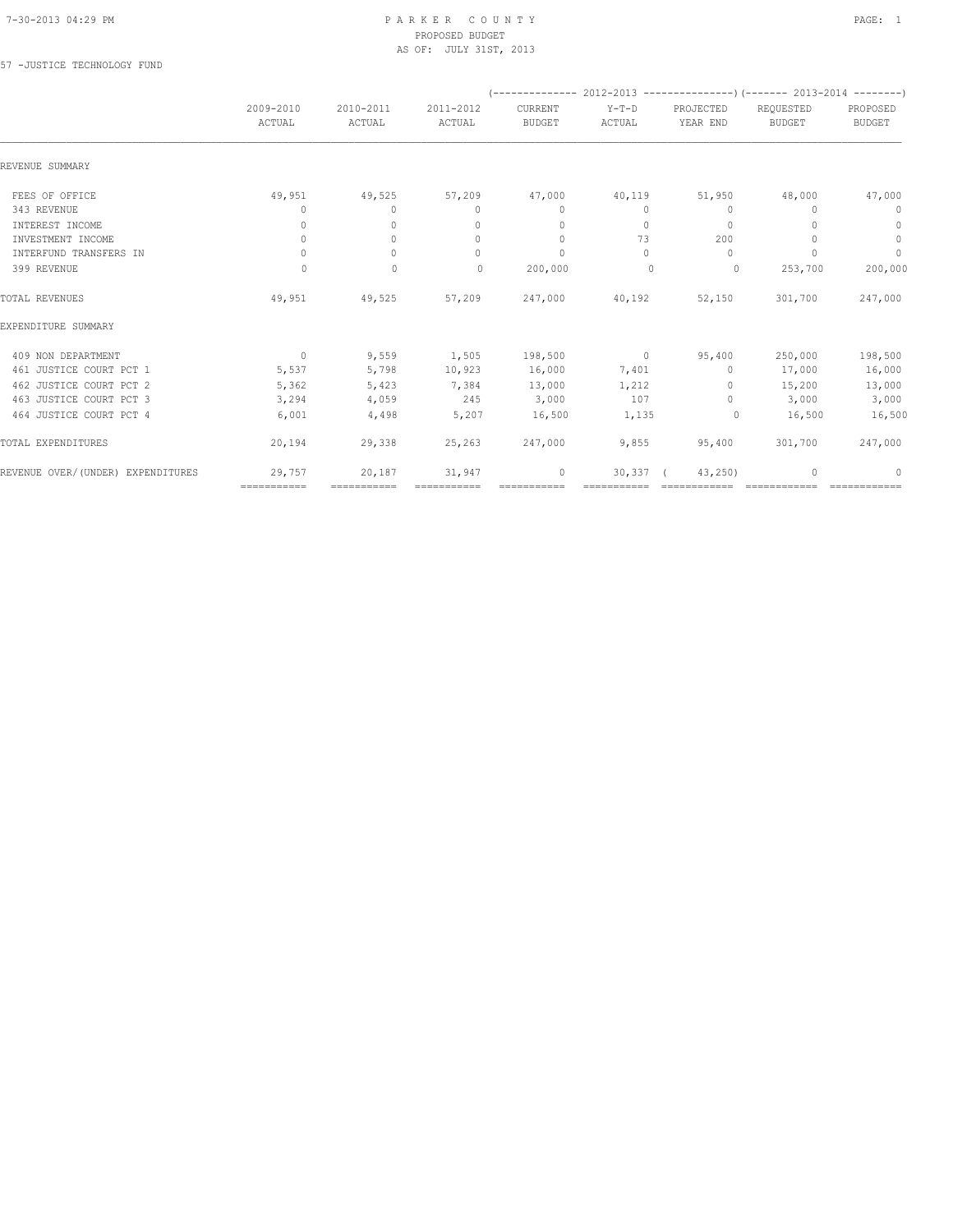#### 7-30-2013 04:29 PM P A R K E R C O U N T Y PAGE: 1 PROPOSED BUDGET AS OF: JULY 31ST, 2013

57 -JUSTICE TECHNOLOGY FUND

|                                   |                                  |                     |                                  |                          |                 |                       | (-------------- 2012-2013 ----------------) (------- 2013-2014 --------) |                           |
|-----------------------------------|----------------------------------|---------------------|----------------------------------|--------------------------|-----------------|-----------------------|--------------------------------------------------------------------------|---------------------------|
|                                   | 2009-2010<br>ACTUAL              | 2010-2011<br>ACTUAL | 2011-2012<br>ACTUAL              | CURRENT<br><b>BUDGET</b> | Y-T-D<br>ACTUAL | PROJECTED<br>YEAR END | REQUESTED<br><b>BUDGET</b>                                               | PROPOSED<br><b>BUDGET</b> |
| REVENUE SUMMARY                   |                                  |                     |                                  |                          |                 |                       |                                                                          |                           |
| FEES OF OFFICE                    | 49,951                           | 49,525              | 57,209                           | 47,000                   | 40,119          | 51,950                | 48,000                                                                   | 47,000                    |
| 343 REVENUE                       | 0                                | $\circ$             | $\mathbf{0}$                     | $\mathbf{0}$             | 0               | $\mathbf{0}$          | $\begin{array}{c} \n\end{array}$                                         | 0                         |
| INTEREST INCOME                   | 0                                | $\circ$             | $\mathbf{0}$                     | $\mathbf{0}$             | $\circ$         | $\mathbf{0}$          |                                                                          | $\mathbf 0$               |
| INVESTMENT INCOME                 | $\circ$                          | $\circ$             | $\mathbf{0}$                     | $\mathbf{0}$             | 73              | 200                   |                                                                          | $\circ$                   |
| INTERFUND TRANSFERS IN            | $\begin{array}{c} \n\end{array}$ | $\Omega$            | $\begin{array}{c} \n\end{array}$ | $\Omega$                 | $\bigcap$       | $\Omega$              | $\bigcap$                                                                | $\mathbb O$               |
| 399 REVENUE                       | $\circ$                          | $\mathbf{0}$        | $\circ$                          | 200,000                  | $\mathbf{0}$    | $\circ$               | 253,700                                                                  | 200,000                   |
| TOTAL REVENUES                    | 49,951                           | 49,525              | 57,209                           | 247,000                  | 40,192          | 52,150                | 301,700                                                                  | 247,000                   |
| EXPENDITURE SUMMARY               |                                  |                     |                                  |                          |                 |                       |                                                                          |                           |
| 409 NON DEPARTMENT                | $\overline{0}$                   | 9,559               | 1,505                            | 198,500                  | $\sim$ 0        | 95,400                | 250,000                                                                  | 198,500                   |
| 461 JUSTICE COURT PCT 1           | 5,537                            | 5,798               | 10,923                           | 16,000                   | 7,401           | $\circ$               | 17,000                                                                   | 16,000                    |
| 462 JUSTICE COURT PCT 2           | 5,362                            | 5,423               | 7,384                            | 13,000                   | 1,212           | $\circ$               | 15,200                                                                   | 13,000                    |
| 463 JUSTICE COURT PCT 3           | 3,294                            | 4,059               | 245                              | 3,000                    | 107             | $\circ$               | 3,000                                                                    | 3,000                     |
| 464 JUSTICE COURT PCT 4           | 6,001                            | 4,498               | 5,207                            | 16,500                   | 1,135           | 0                     | 16,500                                                                   | 16,500                    |
| TOTAL EXPENDITURES                | 20,194                           | 29,338              | 25,263                           | 247,000                  | 9,855           | 95,400                | 301,700                                                                  | 247,000                   |
| REVENUE OVER/(UNDER) EXPENDITURES | 29,757                           | 20,187              | 31,947                           | $\mathbf{0}$             | 30,337          | 43, 250               |                                                                          | 0                         |
|                                   | ===========                      | ===========         |                                  | ===========              |                 |                       |                                                                          |                           |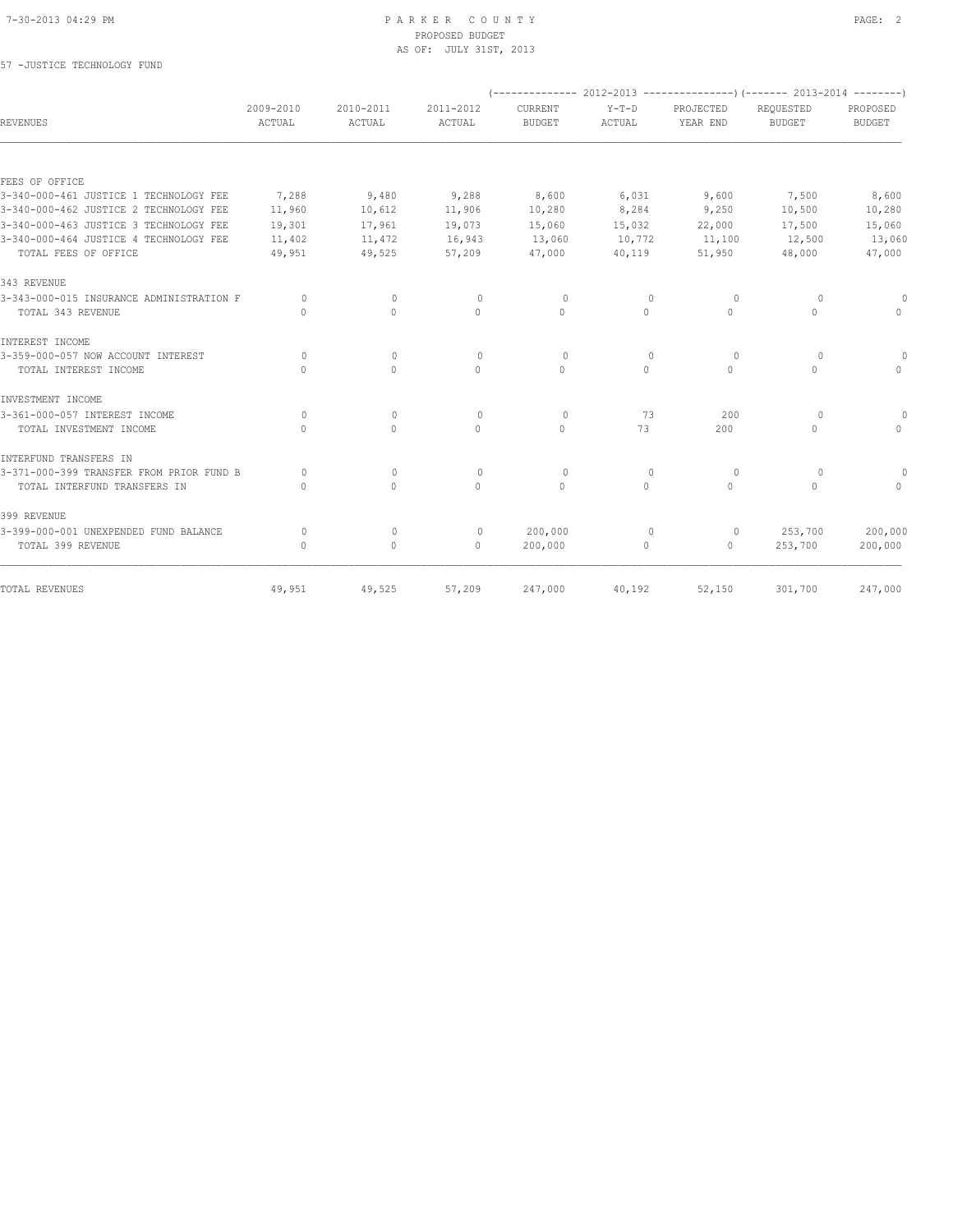#### 7-30-2013 04:29 PM P A R K E R C O U N T Y PAGE: 2 PROPOSED BUDGET AS OF: JULY 31ST, 2013

## 57 -JUSTICE TECHNOLOGY FUND

|                                          |                                  |                                  |                                  |                          |                          |                       | (-------------- 2012-2013 ----------------) (------- 2013-2014 --------) |                           |
|------------------------------------------|----------------------------------|----------------------------------|----------------------------------|--------------------------|--------------------------|-----------------------|--------------------------------------------------------------------------|---------------------------|
| REVENUES                                 | 2009-2010<br>ACTUAL              | 2010-2011<br>ACTUAL              | 2011-2012<br>ACTUAL              | CURRENT<br><b>BUDGET</b> | $Y-T-D$<br><b>ACTUAL</b> | PROJECTED<br>YEAR END | REQUESTED<br><b>BUDGET</b>                                               | PROPOSED<br><b>BUDGET</b> |
|                                          |                                  |                                  |                                  |                          |                          |                       |                                                                          |                           |
| FEES OF OFFICE                           |                                  |                                  |                                  |                          |                          |                       |                                                                          |                           |
| 3-340-000-461 JUSTICE 1 TECHNOLOGY FEE   | 7,288                            | 9,480                            | 9,288                            | 8,600                    | 6,031                    | 9,600                 | 7,500                                                                    | 8,600                     |
| 3-340-000-462 JUSTICE 2 TECHNOLOGY FEE   | 11,960                           | 10,612                           | 11,906                           | 10,280                   | 8,284                    | 9,250                 | 10,500                                                                   | 10,280                    |
| 3-340-000-463 JUSTICE 3 TECHNOLOGY FEE   | 19,301                           | 17,961                           | 19,073                           | 15,060                   | 15,032                   | 22,000                | 17,500                                                                   | 15,060                    |
| 3-340-000-464 JUSTICE 4 TECHNOLOGY FEE   | 11,402                           | 11,472                           | 16,943                           | 13,060                   | 10,772                   | 11,100                | 12,500                                                                   | 13,060                    |
| TOTAL FEES OF OFFICE                     | 49,951                           | 49,525                           | 57,209                           | 47,000                   | 40,119                   | 51,950                | 48,000                                                                   | 47,000                    |
| 343 REVENUE                              |                                  |                                  |                                  |                          |                          |                       |                                                                          |                           |
| 3-343-000-015 INSURANCE ADMINISTRATION F | $\Omega$                         | $\circ$                          | $\circ$                          | $\Omega$                 | $\mathbf{0}$             | $\circ$               | $\circ$                                                                  |                           |
| TOTAL 343 REVENUE                        | $\Omega$                         | 0                                | $\Omega$                         | $\Omega$                 | $\Omega$                 | $\Omega$              | $\mathbf{0}$                                                             | $\Omega$                  |
| INTEREST INCOME                          |                                  |                                  |                                  |                          |                          |                       |                                                                          |                           |
| 3-359-000-057 NOW ACCOUNT INTEREST       | $\bigcap$                        | $\begin{array}{c} \n\end{array}$ | $\Omega$                         | $\Omega$                 | $\Omega$                 | $\Omega$              | 0                                                                        | 0                         |
| TOTAL INTEREST INCOME                    | $\bigcap$                        | $\Omega$                         | $\Omega$                         | $\Omega$                 | $\Omega$                 | $\Omega$              | $\Omega$                                                                 | $\cap$                    |
| INVESTMENT INCOME                        |                                  |                                  |                                  |                          |                          |                       |                                                                          |                           |
| 3-361-000-057 INTEREST INCOME            | $\bigcap$                        | $\begin{array}{c} \n\end{array}$ | $\begin{array}{c} \n\end{array}$ | $\Omega$                 | 73                       | 200                   | $\Omega$                                                                 |                           |
| TOTAL INVESTMENT INCOME                  | $\circ$                          | $\circ$                          | $\mathbf{0}$                     | $\circ$                  | 73                       | 200                   | $\mathbf{0}$                                                             | $\Omega$                  |
| INTERFUND TRANSFERS IN                   |                                  |                                  |                                  |                          |                          |                       |                                                                          |                           |
| 3-371-000-399 TRANSFER FROM PRIOR FUND B | $\cap$                           | $\circ$                          | $\mathbf{0}$                     | $\circ$                  | $\mathbf{0}$             | $\circ$               | 0                                                                        |                           |
| TOTAL INTERFUND TRANSFERS IN             | $\bigcap$                        | $\Omega$                         | $\Omega$                         | $\Omega$                 | $\Omega$                 | $\Omega$              | $\Omega$                                                                 | $\cap$                    |
| 399 REVENUE                              |                                  |                                  |                                  |                          |                          |                       |                                                                          |                           |
| 3-399-000-001 UNEXPENDED FUND BALANCE    | $\circ$                          | $\circ$                          | $\circ$                          | 200,000                  | $\mathbf{0}$             | 0                     | 253,700                                                                  | 200,000                   |
| TOTAL 399 REVENUE                        | $\begin{array}{c} \n\end{array}$ | $\circ$                          | $\mathbf{0}$                     | 200,000                  | $\circ$                  | $\circ$               | 253,700                                                                  | 200,000                   |
| TOTAL REVENUES                           | 49,951                           | 49,525                           | 57,209                           | 247,000                  | 40,192                   | 52,150                | 301,700                                                                  | 247,000                   |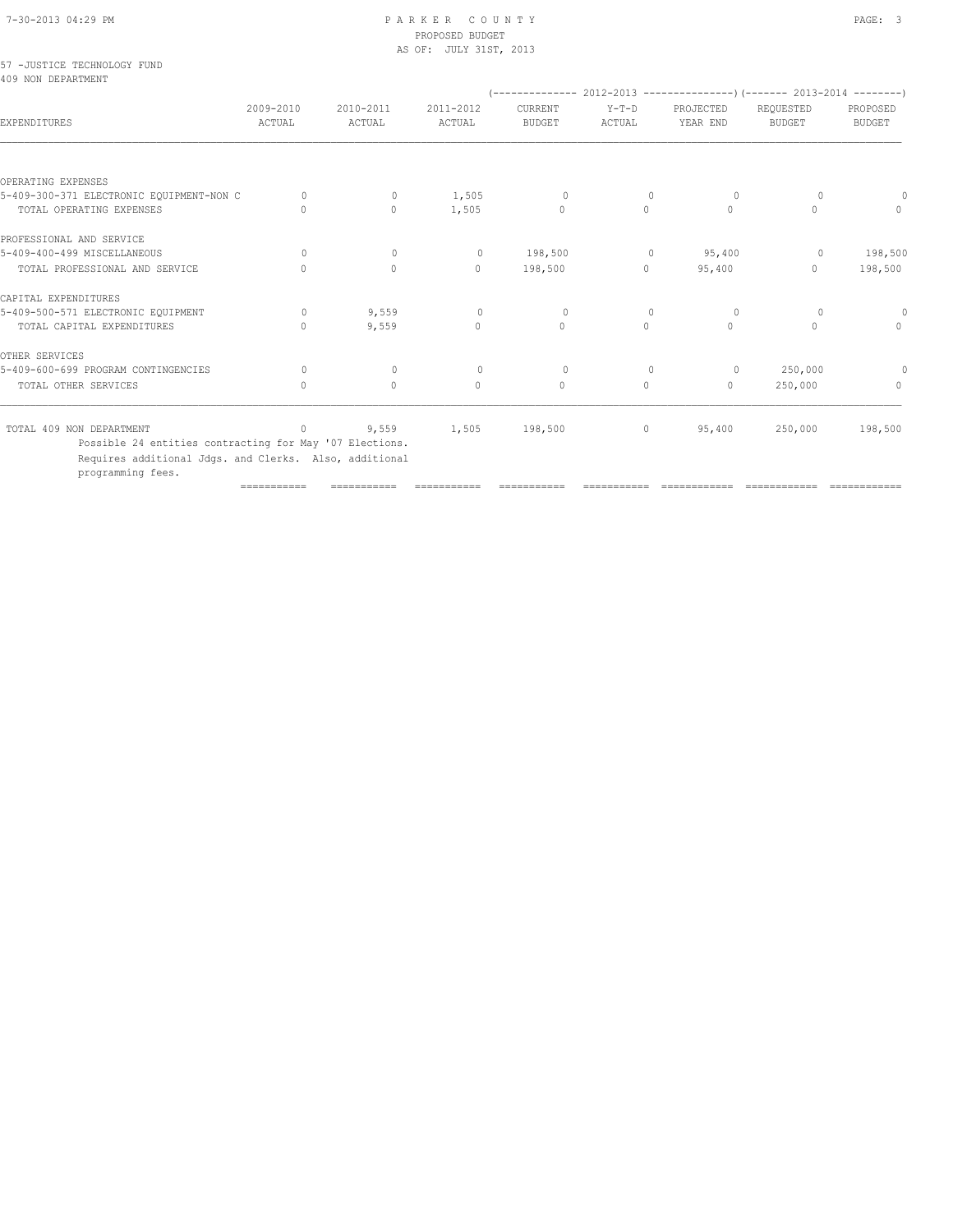## PROPOSED BUDGET AS OF: JULY 31ST, 2013

|  | 57 -JUSTICE TECHNOLOGY FUND |  |
|--|-----------------------------|--|
|  | 409 NON DEPARTMENT          |  |

| 409 NON DEPARTMENT                       |                     |                     |                     |                          |                   |                       |                            |                           |
|------------------------------------------|---------------------|---------------------|---------------------|--------------------------|-------------------|-----------------------|----------------------------|---------------------------|
| <b>EXPENDITURES</b>                      | 2009-2010<br>ACTUAL | 2010-2011<br>ACTUAL | 2011-2012<br>ACTUAL | CURRENT<br><b>BUDGET</b> | $Y-T-D$<br>ACTUAL | PROJECTED<br>YEAR END | REQUESTED<br><b>BUDGET</b> | PROPOSED<br><b>BUDGET</b> |
|                                          |                     |                     |                     |                          |                   |                       |                            |                           |
| OPERATING EXPENSES                       |                     |                     |                     |                          |                   |                       |                            |                           |
| 5-409-300-371 ELECTRONIC EQUIPMENT-NON C | $\circ$             | $\circ$             | 1,505               | 0                        | $\mathbf{0}$      | $\circ$               | $\circ$                    | $\circ$                   |
| TOTAL OPERATING EXPENSES                 | $\bigcap$           | $\circ$             | 1,505               | $\mathbf{0}$             | $\Omega$          | $\circ$               | $\bigcap$                  | $\mathbf{0}$              |
| PROFESSIONAL AND SERVICE                 |                     |                     |                     |                          |                   |                       |                            |                           |
| 5-409-400-499 MISCELLANEOUS              | $\circ$             | $\mathbf{0}$        | $\circ$             | 198,500                  | $\circ$           | 95,400                | $\circ$                    | 198,500                   |
| TOTAL PROFESSIONAL AND SERVICE           | $\bigcap$           | $\circ$             | $\mathbf{0}$        | 198,500                  | $\circ$           | 95,400                | $\circ$                    | 198,500                   |
| CAPITAL EXPENDITURES                     |                     |                     |                     |                          |                   |                       |                            |                           |
| 5-409-500-571 ELECTRONIC EQUIPMENT       | $\circ$             | 9,559               | $\circ$             | 0                        | $\mathbf{0}$      | $\circ$               | 0                          | $\circ$                   |
| TOTAL CAPITAL EXPENDITURES               | $\bigcap$           | 9,559               | $\Omega$            | $\Omega$                 | $\Omega$          | $\Omega$              | $\cap$                     | $\circ$                   |
| OTHER SERVICES                           |                     |                     |                     |                          |                   |                       |                            |                           |
| 5-409-600-699 PROGRAM CONTINGENCIES      | $\Omega$            | $\mathbf{0}$        | 0                   | 0                        | $\mathbf{0}$      | 0                     | 250,000                    | $\circ$                   |
| TOTAL OTHER SERVICES                     | $\Omega$            | $\circ$             | $\mathbf{0}$        | $\mathbf{0}$             | 0                 | $\circ$               | 250,000                    | $\mathbf{0}$              |
| TOTAL 409 NON DEPARTMENT                 | $\mathbf{0}$        | 9,559               | 1,505               | 198,500                  | $\circ$           | 95,400                | 250,000                    | 198,500                   |

Possible 24 entities contracting for May '07 Elections.

Requires additional Jdgs. and Clerks. Also, additional

programming fees.

=========== =========== =========== =========== =========== ============ ============ ============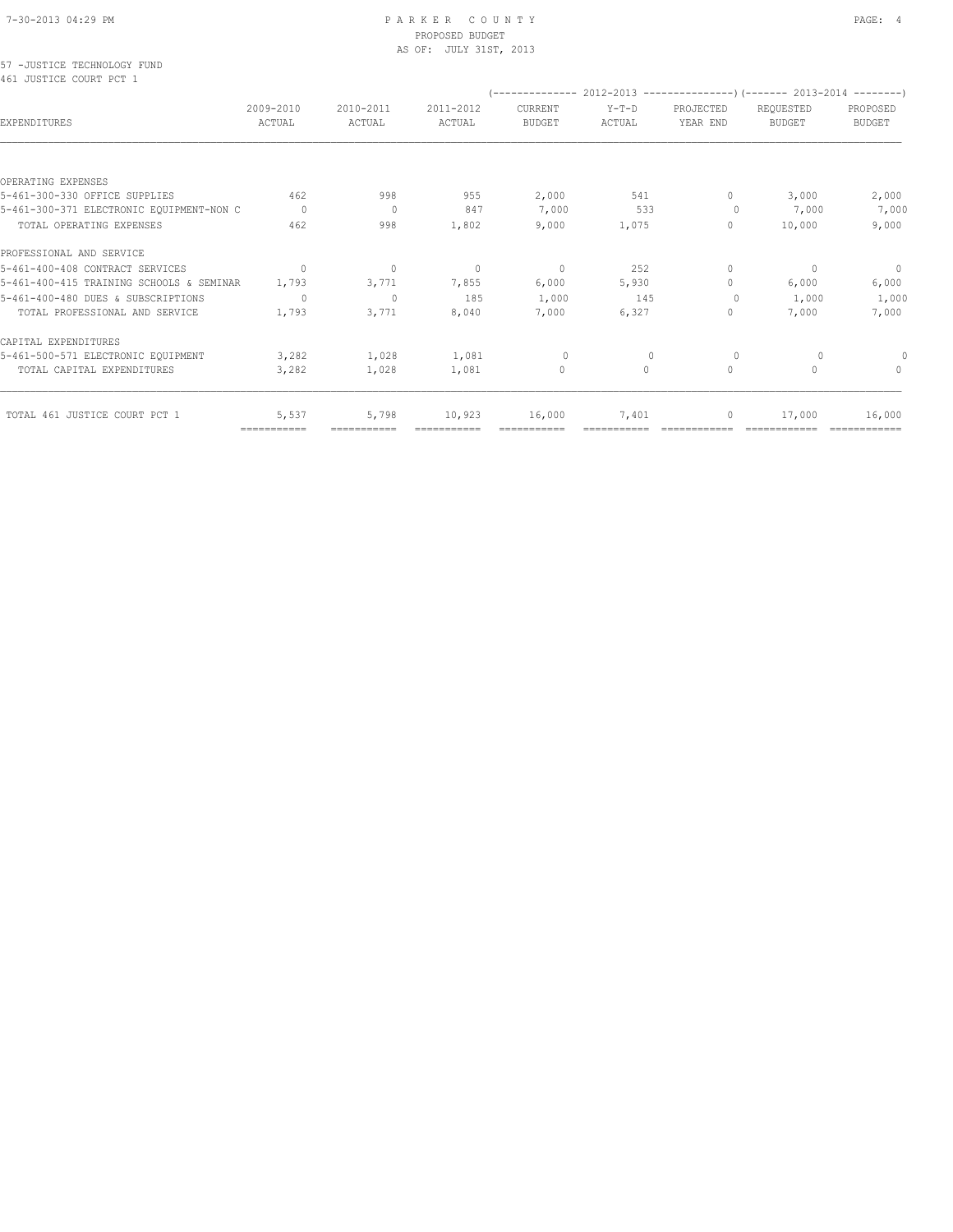#### 7-30-2013 04:29 PM P A R K E R C O U N T Y PAGE: 4 PROPOSED BUDGET AS OF: JULY 31ST, 2013

57 -JUSTICE TECHNOLOGY FUND 461 JUSTICE COURT PCT 1

|                                          |                           |                     |                     |                          |                   |                       | $(---------- 2012-2013$ ----------------) (------- 2013-2014 --------) |                                  |
|------------------------------------------|---------------------------|---------------------|---------------------|--------------------------|-------------------|-----------------------|------------------------------------------------------------------------|----------------------------------|
| <b>EXPENDITURES</b>                      | 2009-2010<br>ACTUAL       | 2010-2011<br>ACTUAL | 2011-2012<br>ACTUAL | CURRENT<br><b>BUDGET</b> | $Y-T-D$<br>ACTUAL | PROJECTED<br>YEAR END | REQUESTED<br><b>BUDGET</b>                                             | PROPOSED<br><b>BUDGET</b>        |
|                                          |                           |                     |                     |                          |                   |                       |                                                                        |                                  |
| OPERATING EXPENSES                       |                           |                     |                     |                          |                   |                       |                                                                        |                                  |
| 5-461-300-330 OFFICE SUPPLIES            | 462                       | 998                 | 955                 | 2,000                    | 541               | $\circ$               | 3,000                                                                  | 2,000                            |
| 5-461-300-371 ELECTRONIC EQUIPMENT-NON C | $\Omega$                  | $\overline{0}$      | 847                 | 7,000                    | 533               | $\circ$               | 7,000                                                                  | 7,000                            |
| TOTAL OPERATING EXPENSES                 | 462                       | 998                 | 1,802               | 9,000                    | 1,075             | $\circ$               | 10,000                                                                 | 9,000                            |
| PROFESSIONAL AND SERVICE                 |                           |                     |                     |                          |                   |                       |                                                                        |                                  |
| 5-461-400-408 CONTRACT SERVICES          | $\Omega$                  | $\mathbf{0}$        | $\mathbf{0}$        | $\mathbf{0}$             | 252               | $\circ$               | $\mathbf{0}$                                                           | $\circ$                          |
| 5-461-400-415 TRAINING SCHOOLS & SEMINAR | 1,793                     | 3,771               | 7,855               | 6,000                    | 5,930             | $\circ$               | 6,000                                                                  | 6,000                            |
| 5-461-400-480 DUES & SUBSCRIPTIONS       | 0                         | $\mathbf{0}$        | 185                 | 1,000                    | 145               | $\Omega$              | 1,000                                                                  | 1,000                            |
| TOTAL PROFESSIONAL AND SERVICE           | 1,793                     | 3,771               | 8,040               | 7,000                    | 6,327             | $\circ$               | 7,000                                                                  | 7,000                            |
| CAPITAL EXPENDITURES                     |                           |                     |                     |                          |                   |                       |                                                                        |                                  |
| 5-461-500-571 ELECTRONIC EQUIPMENT       | 3,282                     | 1,028               | 1,081               | $\circ$                  | $\mathbf{0}$      | 0                     | 0                                                                      |                                  |
| TOTAL CAPITAL EXPENDITURES               | 3,282                     | 1,028               | 1,081               | $\mathbf{0}$             | $\bigcap$         | $\circ$               | $\mathbf{0}$                                                           | $\begin{array}{c} \n\end{array}$ |
| TOTAL 461 JUSTICE COURT PCT 1            | 5,537                     | 5,798               | 10,923              | 16,000                   | 7,401             | $\circ$               | 17,000                                                                 | 16,000                           |
|                                          | $=$ = = = = = = = = = = = | ===========         |                     |                          |                   |                       |                                                                        | ============                     |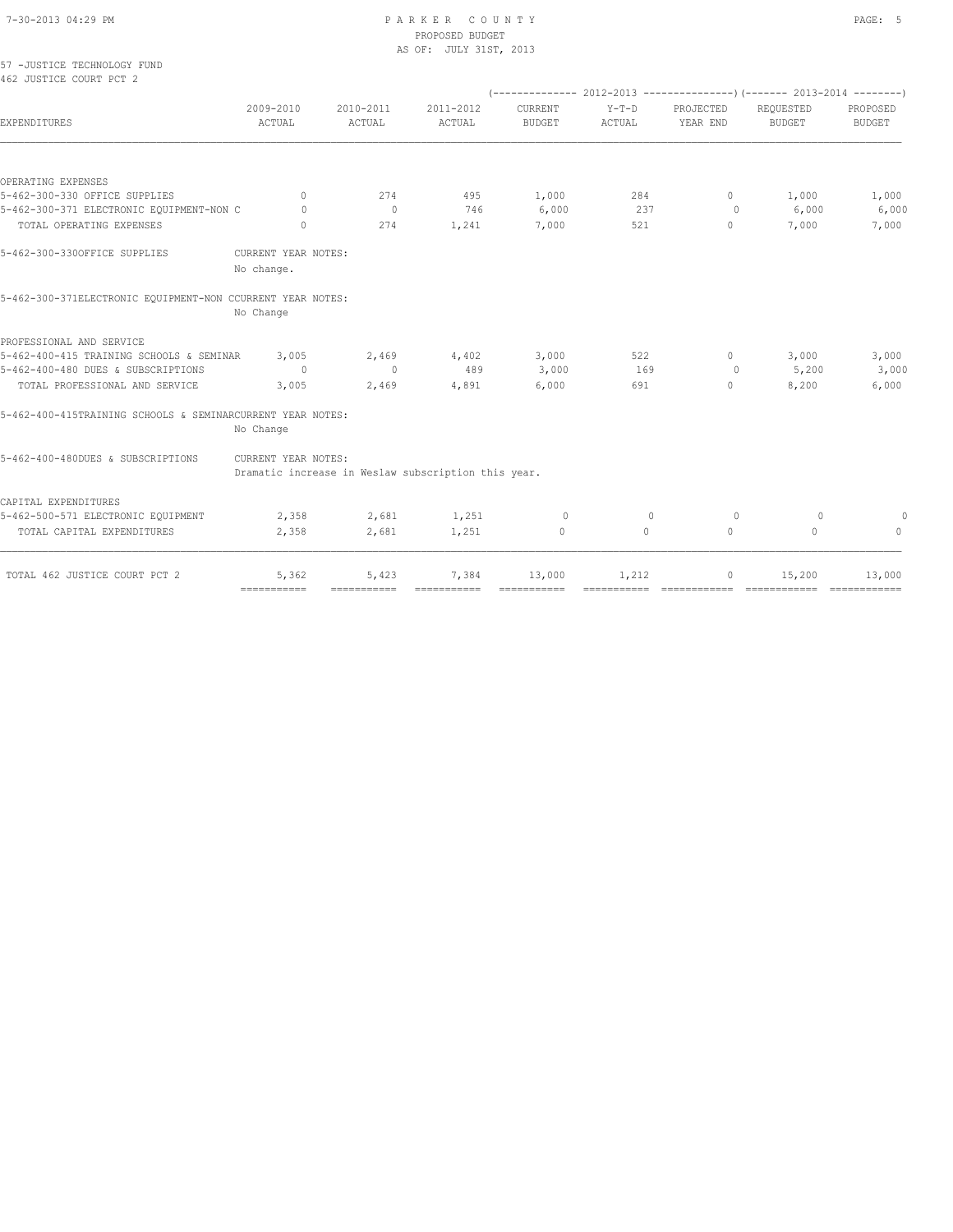#### 7-30-2013 04:29 PM P A R K E R C O U N T Y PAGE: 5 PROPOSED BUDGET AS OF: JULY 31ST, 2013

| 57 -JUSTICE TECHNOLOGY FUND<br>462 JUSTICE COURT PCT 2     |                     |                                                     |                     |                          |                   |                       |                            |                           |
|------------------------------------------------------------|---------------------|-----------------------------------------------------|---------------------|--------------------------|-------------------|-----------------------|----------------------------|---------------------------|
|                                                            |                     |                                                     |                     |                          |                   |                       |                            |                           |
| EXPENDITURES                                               | 2009-2010<br>ACTUAL | 2010-2011<br><b>ACTUAL</b>                          | 2011-2012<br>ACTUAL | CURRENT<br><b>BUDGET</b> | $Y-T-D$<br>ACTUAL | PROJECTED<br>YEAR END | REQUESTED<br><b>BUDGET</b> | PROPOSED<br><b>BUDGET</b> |
|                                                            |                     |                                                     |                     |                          |                   |                       |                            |                           |
| OPERATING EXPENSES                                         |                     |                                                     |                     |                          |                   |                       |                            |                           |
| 5-462-300-330 OFFICE SUPPLIES                              | $\mathbf{0}$        | 274                                                 | 495                 | 1,000                    | 284               | $\circ$               | 1,000                      | 1,000                     |
| 5-462-300-371 ELECTRONIC EQUIPMENT-NON C                   | $\Omega$            | $\circ$                                             | 746                 | 6,000                    | 237               | 0                     | 6,000                      | 6,000                     |
| TOTAL OPERATING EXPENSES                                   | $\circ$             | 274                                                 | 1,241               | 7,000                    | 521               | $\mathbf{0}$          | 7,000                      | 7,000                     |
| 5-462-300-330OFFICE SUPPLIES                               | CURRENT YEAR NOTES: |                                                     |                     |                          |                   |                       |                            |                           |
|                                                            | No change.          |                                                     |                     |                          |                   |                       |                            |                           |
| 5-462-300-371ELECTRONIC EQUIPMENT-NON CCURRENT YEAR NOTES: |                     |                                                     |                     |                          |                   |                       |                            |                           |
|                                                            | No Change           |                                                     |                     |                          |                   |                       |                            |                           |
| PROFESSIONAL AND SERVICE                                   |                     |                                                     |                     |                          |                   |                       |                            |                           |
| 5-462-400-415 TRAINING SCHOOLS & SEMINAR                   | 3,005               | 2,469                                               | 4,402               | 3,000                    | 522               | $\Omega$              | 3,000                      | 3,000                     |
| 5-462-400-480 DUES & SUBSCRIPTIONS                         | $\Omega$            | $\mathbf{0}$                                        | 489                 | 3,000                    | 169               | $\circ$               | 5,200                      | 3,000                     |
| TOTAL PROFESSIONAL AND SERVICE                             | 3,005               | 2,469                                               | 4,891               | 6,000                    | 691               | $\circ$               | 8,200                      | 6,000                     |
| 5-462-400-415TRAINING SCHOOLS & SEMINARCURRENT YEAR NOTES: | No Change           |                                                     |                     |                          |                   |                       |                            |                           |
| 5-462-400-480DUES & SUBSCRIPTIONS                          | CURRENT YEAR NOTES: | Dramatic increase in Weslaw subscription this year. |                     |                          |                   |                       |                            |                           |
|                                                            |                     |                                                     |                     |                          |                   |                       |                            |                           |
| CAPITAL EXPENDITURES<br>5-462-500-571 ELECTRONIC EQUIPMENT | 2,358               | 2,681                                               | 1,251               | $\circ$                  | $\Omega$          | $\circ$               | 0                          | 0                         |
| TOTAL CAPITAL EXPENDITURES                                 | 2,358               | 2,681                                               | 1,251               | $\circ$                  | $\circ$           | $\circ$               | $\circ$                    | $\mathbf{0}$              |
|                                                            |                     |                                                     |                     |                          |                   |                       |                            |                           |
| TOTAL 462 JUSTICE COURT PCT 2                              | 5,362               | 5,423                                               | 7,384               | 13,000                   | 1,212             | $\circ$               | 15,200                     | 13,000                    |

=========== =========== =========== =========== =========== ============ ============ ============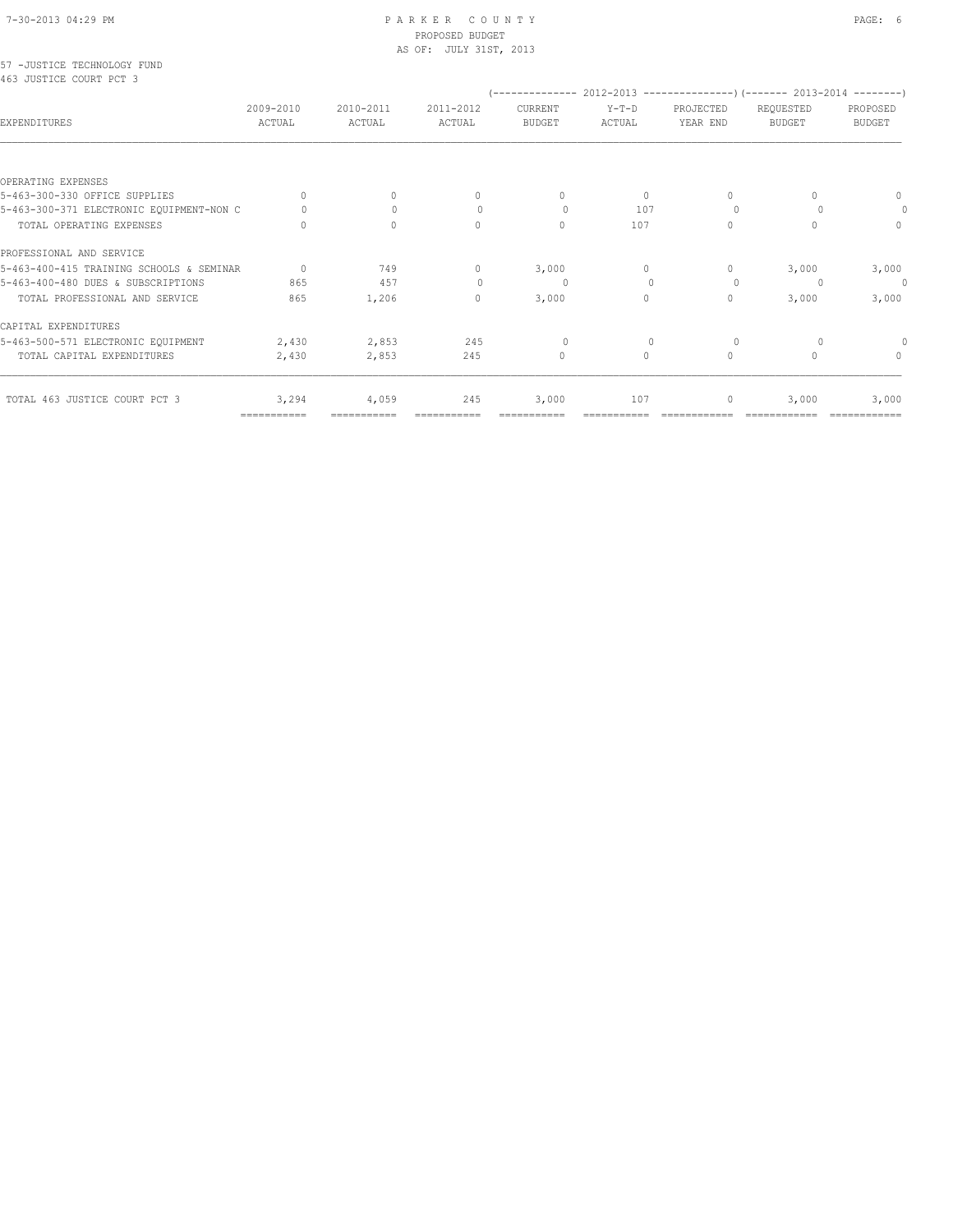#### 7-30-2013 04:29 PM P A R K E R C O U N T Y PAGE: 6 PROPOSED BUDGET AS OF: JULY 31ST, 2013

57 -JUSTICE TECHNOLOGY FUND 463 JUSTICE COURT PCT 3

|                                          |                     |                     |                                  |                                  |                   |                       | (-------------- 2012-2013 ----------------) (------- 2013-2014 ---------) |                           |
|------------------------------------------|---------------------|---------------------|----------------------------------|----------------------------------|-------------------|-----------------------|---------------------------------------------------------------------------|---------------------------|
| EXPENDITURES                             | 2009-2010<br>ACTUAL | 2010-2011<br>ACTUAL | 2011-2012<br>ACTUAL              | CURRENT<br><b>BUDGET</b>         | $Y-T-D$<br>ACTUAL | PROJECTED<br>YEAR END | REQUESTED<br><b>BUDGET</b>                                                | PROPOSED<br><b>BUDGET</b> |
|                                          |                     |                     |                                  |                                  |                   |                       |                                                                           |                           |
| OPERATING EXPENSES                       |                     |                     |                                  |                                  |                   |                       |                                                                           |                           |
| 5-463-300-330 OFFICE SUPPLIES            | $\Omega$            | 0                   | $\begin{array}{c} \n\end{array}$ | $\begin{array}{c} \n\end{array}$ | $\circ$           | $\Omega$              | $\cap$                                                                    | 0                         |
| 5-463-300-371 ELECTRONIC EQUIPMENT-NON C |                     | $\Omega$            |                                  | $\Omega$                         | 107               | $\Omega$              |                                                                           | 0                         |
| TOTAL OPERATING EXPENSES                 | ∩                   | $\Omega$            | $\Omega$                         | $\Omega$                         | 107               | $\Omega$              | $\bigcap$                                                                 | $\Omega$                  |
| PROFESSIONAL AND SERVICE                 |                     |                     |                                  |                                  |                   |                       |                                                                           |                           |
| 5-463-400-415 TRAINING SCHOOLS & SEMINAR | $\Omega$            | 749                 | $\mathbf{0}$                     | 3,000                            | $\bigcap$         | $\Omega$              | 3,000                                                                     | 3,000                     |
| 5-463-400-480 DUES & SUBSCRIPTIONS       | 865                 | 457                 |                                  | $\Omega$                         | $\mathbf{0}$      | $\Omega$              |                                                                           | $\theta$                  |
| TOTAL PROFESSIONAL AND SERVICE           | 865                 | 1,206               | 0                                | 3,000                            | $\Omega$          | $\mathbf{0}$          | 3,000                                                                     | 3,000                     |
| CAPITAL EXPENDITURES                     |                     |                     |                                  |                                  |                   |                       |                                                                           |                           |
| 5-463-500-571 ELECTRONIC EQUIPMENT       | 2,430               | 2,853               | 245                              | $\Omega$                         | $\Omega$          | $\Omega$              |                                                                           |                           |
| TOTAL CAPITAL EXPENDITURES               | 2,430               | 2,853               | 245                              | $\mathbf{0}$                     | 0                 | $\circ$               | $\Omega$                                                                  | $\mathbf{0}$              |
| TOTAL 463 JUSTICE COURT PCT 3            | 3,294               | 4,059               | 245                              | 3,000                            | 107               | 0                     | 3,000                                                                     | 3,000                     |

=========== =========== =========== =========== =========== ============ ============ ============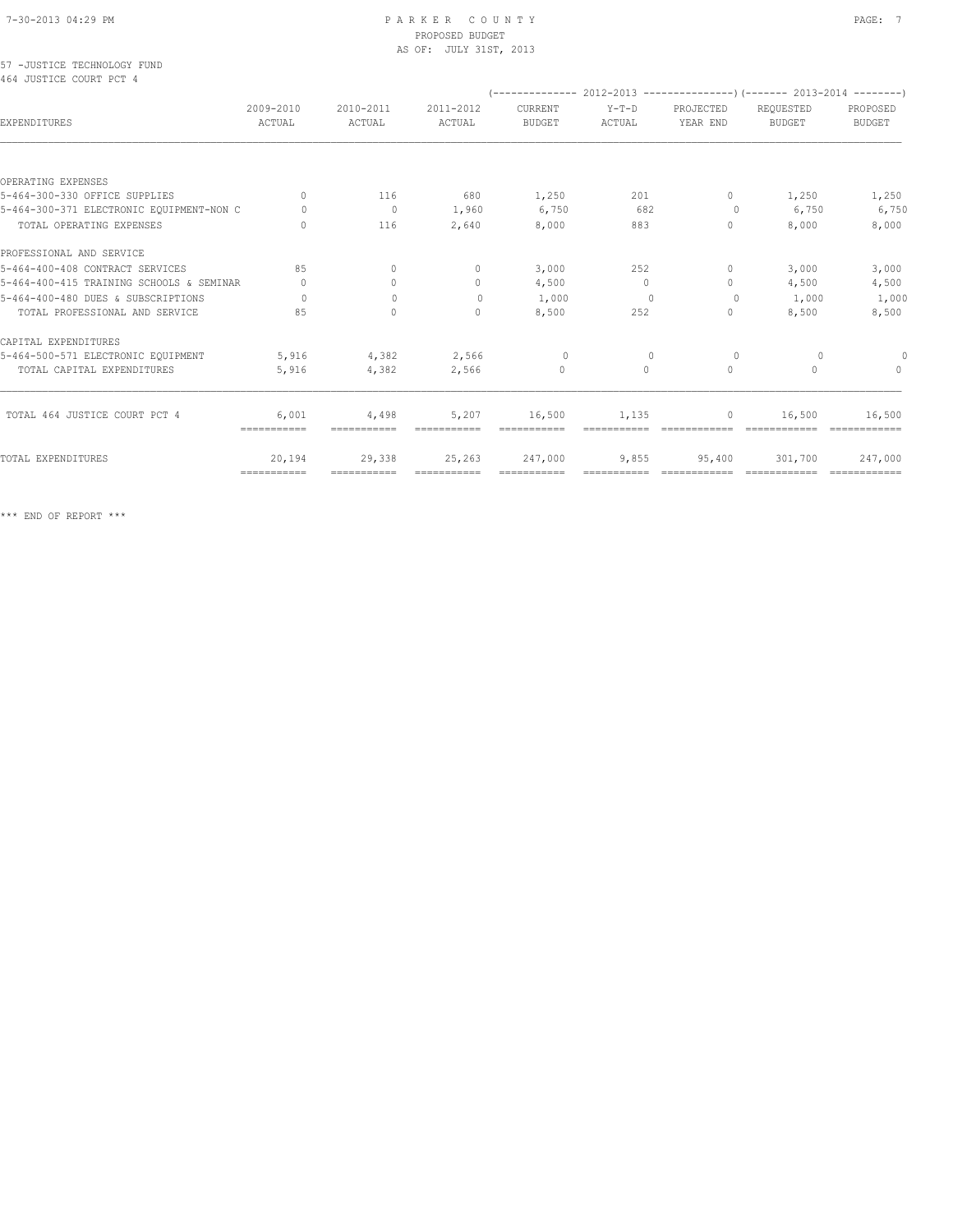#### 7-30-2013 04:29 PM P A R K E R C O U N T Y PAGE: 7 PROPOSED BUDGET AS OF: JULY 31ST, 2013

57 -JUSTICE TECHNOLOGY FUND 464 JUSTICE COURT PCT 4

|                                          |                                  |                     |                            | (-------------- 2012-2013 ----------------) (------- 2013-2014 ---------) |                   |                                  |                            |                           |
|------------------------------------------|----------------------------------|---------------------|----------------------------|---------------------------------------------------------------------------|-------------------|----------------------------------|----------------------------|---------------------------|
| EXPENDITURES                             | 2009-2010<br>ACTUAL              | 2010-2011<br>ACTUAL | 2011-2012<br><b>ACTUAL</b> | CURRENT<br><b>BUDGET</b>                                                  | $Y-T-D$<br>ACTUAL | PROJECTED<br>YEAR END            | REQUESTED<br><b>BUDGET</b> | PROPOSED<br><b>BUDGET</b> |
|                                          |                                  |                     |                            |                                                                           |                   |                                  |                            |                           |
| OPERATING EXPENSES                       |                                  |                     |                            |                                                                           |                   |                                  |                            |                           |
| 5-464-300-330 OFFICE SUPPLIES            | $\bigcap$                        | 116                 | 680                        | 1,250                                                                     | 201               | $\circ$                          | 1,250                      | 1,250                     |
| 5-464-300-371 ELECTRONIC EQUIPMENT-NON C | $\Omega$                         | $\circ$             | 1,960                      | 6,750                                                                     | 682               | $\circ$                          | 6,750                      | 6,750                     |
| TOTAL OPERATING EXPENSES                 | $\Omega$                         | 116                 | 2,640                      | 8,000                                                                     | 883               | $\mathbf{0}$                     | 8,000                      | 8,000                     |
| PROFESSIONAL AND SERVICE                 |                                  |                     |                            |                                                                           |                   |                                  |                            |                           |
| 5-464-400-408 CONTRACT SERVICES          | 85                               | $\Omega$            | $\mathbf{0}$               | 3,000                                                                     | 2.52              | $\begin{array}{c} \n\end{array}$ | 3,000                      | 3,000                     |
| 5-464-400-415 TRAINING SCHOOLS & SEMINAR | $\begin{array}{c} \n\end{array}$ | $\mathbf{0}$        | $\mathbf{0}$               | 4,500                                                                     | $\circ$           | $\circ$                          | 4,500                      | 4,500                     |
| 5-464-400-480 DUES & SUBSCRIPTIONS       | $\cap$                           | $\bigcap$           | $\mathbf{0}$               | 1,000                                                                     | 0                 | $\circ$                          | 1,000                      | 1,000                     |
| TOTAL PROFESSIONAL AND SERVICE           | 85                               | $\Omega$            | $\Omega$                   | 8,500                                                                     | 252               | $\circ$                          | 8,500                      | 8,500                     |
| CAPITAL EXPENDITURES                     |                                  |                     |                            |                                                                           |                   |                                  |                            |                           |
| 5-464-500-571 ELECTRONIC EQUIPMENT       | 5,916                            | 4,382               | 2,566                      | $\overline{0}$                                                            | $\mathbf{0}$      | $\circ$                          | $\circ$                    |                           |
| TOTAL CAPITAL EXPENDITURES               | 5,916                            | 4,382               | 2,566                      | $\Omega$                                                                  | $\Omega$          | $\Omega$                         | $\cap$                     | $\cap$                    |
| TOTAL 464 JUSTICE COURT PCT 4            | 6,001                            | 4,498               | 5,207                      | 16,500                                                                    | 1,135             | 0                                | 16,500                     | 16,500                    |
|                                          | ===========                      | ===========         |                            |                                                                           |                   |                                  |                            |                           |
| TOTAL EXPENDITURES                       | 20,194                           | 29,338              | 25,263                     | 247,000                                                                   | 9,855             | 95,400                           | 301,700                    | 247,000                   |
|                                          | ============                     | ===========         | ============               | ============                                                              |                   |                                  |                            |                           |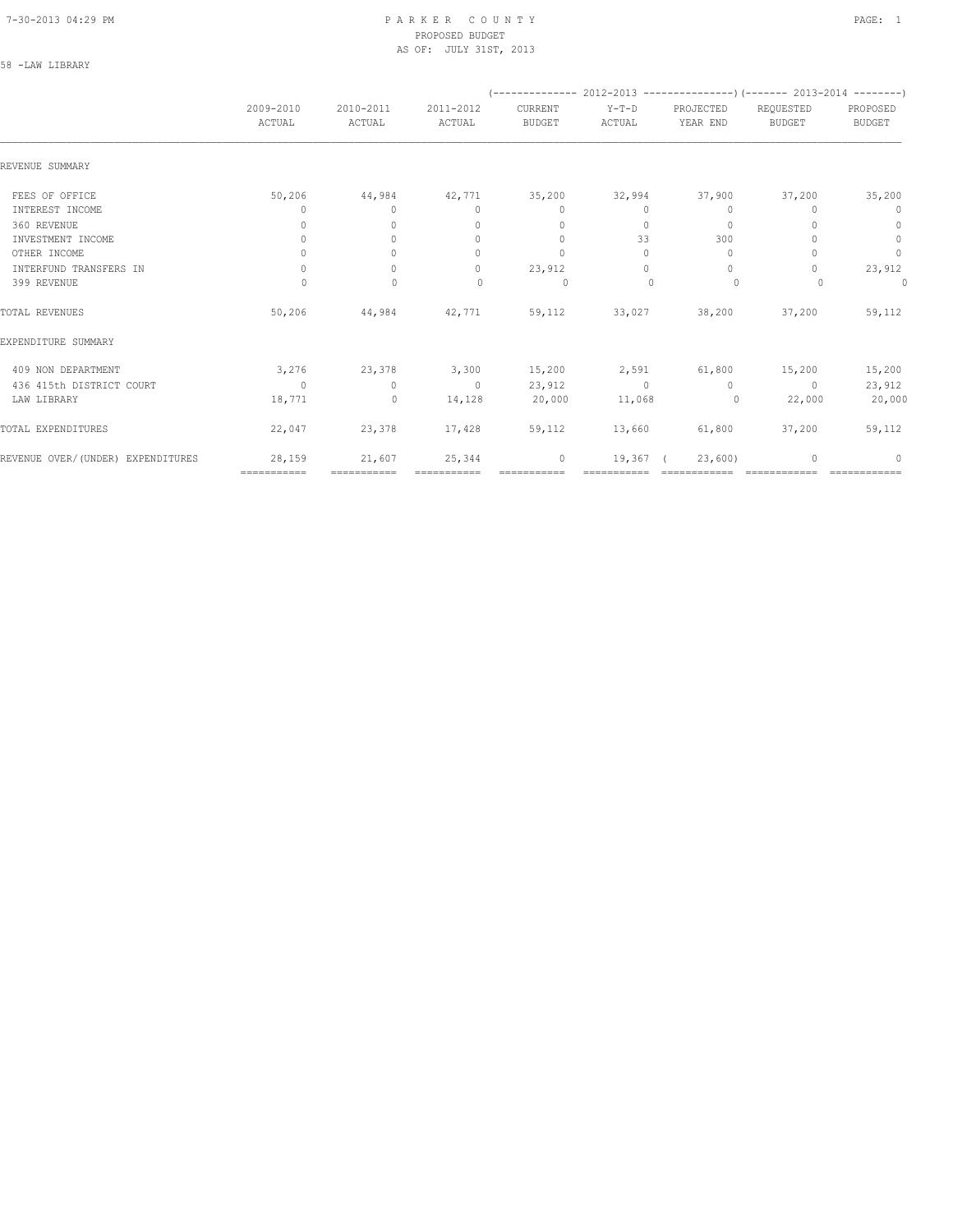#### 7-30-2013 04:29 PM P A R K E R C O U N T Y PAGE: 1 PROPOSED BUDGET AS OF: JULY 31ST, 2013

| .AM | <b>T.TRRAR</b> |  |
|-----|----------------|--|
|     |                |  |

|                                   |                                  |                                  |                                  |                          | (-------------- 2012-2013 -------------------) (------- 2013-2014 ---------) |                       |                            |                           |
|-----------------------------------|----------------------------------|----------------------------------|----------------------------------|--------------------------|------------------------------------------------------------------------------|-----------------------|----------------------------|---------------------------|
|                                   | 2009-2010<br>ACTUAL              | 2010-2011<br>ACTUAL              | 2011-2012<br>ACTUAL              | CURRENT<br><b>BUDGET</b> | $Y-T-D$<br>ACTUAL                                                            | PROJECTED<br>YEAR END | REQUESTED<br><b>BUDGET</b> | PROPOSED<br><b>BUDGET</b> |
| REVENUE SUMMARY                   |                                  |                                  |                                  |                          |                                                                              |                       |                            |                           |
| FEES OF OFFICE                    | 50,206                           | 44,984                           | 42,771                           | 35,200                   | 32,994                                                                       | 37,900                | 37,200                     | 35,200                    |
| INTEREST INCOME                   | 0                                | $\circ$                          | $\circ$                          | $\mathbf{0}$             | 0                                                                            | $\mathbf{0}$          | 0                          | $\mathbf 0$               |
| 360 REVENUE                       | 0                                | $\circ$                          | $\mathbf{0}$                     | $\mathbf{0}$             | $\circ$                                                                      | $\mathbf{0}$          |                            | $\circ$                   |
| INVESTMENT INCOME                 | $\mathbf{0}$                     | $\Omega$                         | $\mathbf{0}$                     | $\mathbf{0}$             | 33                                                                           | 300                   |                            | $\mathbb O$               |
| OTHER INCOME                      | $\begin{array}{c} \n\end{array}$ | $\bigcap$                        | $\begin{array}{c} \n\end{array}$ | $\mathbf{0}$             | $\Omega$                                                                     | $\mathbf{0}$          |                            | $\mathbb O$               |
| INTERFUND TRANSFERS IN            | $\begin{array}{c} \n\end{array}$ | $\Omega$                         | $\begin{array}{c} \n\end{array}$ | 23,912                   | $\Omega$                                                                     | $\Omega$              | 0                          | 23,912                    |
| 399 REVENUE                       | $\circ$                          | $\mathbf{0}$                     | 0                                | $\circ$                  | $\mathbf{0}$                                                                 | $\circ$               | $\Omega$                   | 0                         |
| TOTAL REVENUES                    | 50,206                           | 44,984                           | 42,771                           | 59,112                   | 33,027                                                                       | 38,200                | 37,200                     | 59,112                    |
| EXPENDITURE SUMMARY               |                                  |                                  |                                  |                          |                                                                              |                       |                            |                           |
| 409 NON DEPARTMENT                | 3,276                            | 23,378                           | 3,300                            | 15,200                   | 2,591                                                                        | 61,800                | 15,200                     | 15,200                    |
| 436 415th DISTRICT COURT          | $\Omega$                         | $\begin{array}{c} \n\end{array}$ | $\overline{0}$                   | 23,912                   | $\Omega$                                                                     | $\Omega$              | $\Omega$                   | 23,912                    |
| LAW LIBRARY                       | 18,771                           | $\circ$                          | 14,128                           | 20,000                   | 11,068                                                                       | $\overline{0}$        | 22,000                     | 20,000                    |
| TOTAL EXPENDITURES                | 22,047                           | 23,378                           | 17,428                           | 59,112                   | 13,660                                                                       | 61,800                | 37,200                     | 59,112                    |
| REVENUE OVER/(UNDER) EXPENDITURES | 28,159                           | 21,607                           | 25,344                           | 0                        | 19,367                                                                       | 23,600                |                            | $\mathbf{0}$              |
|                                   | ============                     | ============                     | ===========                      |                          |                                                                              |                       |                            |                           |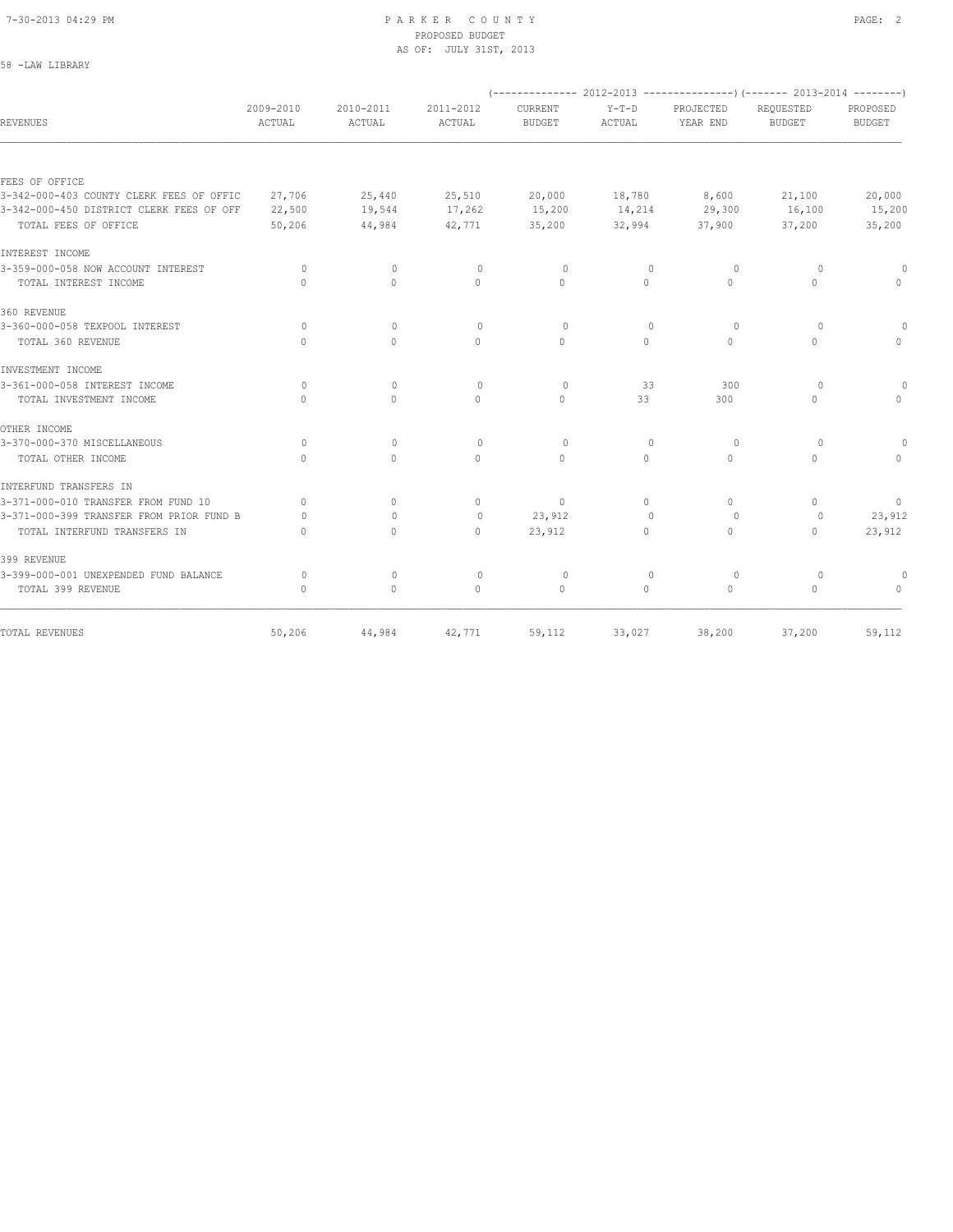58 -LAW LIBRARY

#### 7-30-2013 04:29 PM P A R K E R C O U N T Y PAGE: 2 PROPOSED BUDGET AS OF: JULY 31ST, 2013

|                                          |                                  |                                  |                     |                                 |                                  | $(---------- 2012-2013$ ----------------) (------- 2013-2014 --------) |                                  |                           |
|------------------------------------------|----------------------------------|----------------------------------|---------------------|---------------------------------|----------------------------------|------------------------------------------------------------------------|----------------------------------|---------------------------|
| <b>REVENUES</b>                          | 2009-2010<br>ACTUAL              | 2010-2011<br>ACTUAL              | 2011-2012<br>ACTUAL | <b>CURRENT</b><br><b>BUDGET</b> | $Y-T-D$<br>ACTUAL                | PROJECTED<br>YEAR END                                                  | REOUESTED<br><b>BUDGET</b>       | PROPOSED<br><b>BUDGET</b> |
|                                          |                                  |                                  |                     |                                 |                                  |                                                                        |                                  |                           |
| FEES OF OFFICE                           |                                  |                                  |                     |                                 |                                  |                                                                        |                                  |                           |
| 3-342-000-403 COUNTY CLERK FEES OF OFFIC | 27,706                           | 25,440                           | 25,510              | 20,000                          | 18,780                           | 8,600                                                                  | 21,100                           | 20,000                    |
| 3-342-000-450 DISTRICT CLERK FEES OF OFF | 22,500                           | 19,544                           | 17,262              | 15,200                          | 14,214                           | 29,300                                                                 | 16,100                           | 15,200                    |
| TOTAL FEES OF OFFICE                     | 50,206                           | 44,984                           | 42,771              | 35,200                          | 32,994                           | 37,900                                                                 | 37,200                           | 35,200                    |
| INTEREST INCOME                          |                                  |                                  |                     |                                 |                                  |                                                                        |                                  |                           |
| 3-359-000-058 NOW ACCOUNT INTEREST       | 0                                | $\circ$                          | $\circ$             | $\Omega$                        | $\mathbf{0}$                     | $\circ$                                                                | $\circ$                          | $\Omega$                  |
| TOTAL INTEREST INCOME                    | $\begin{array}{c} \n\end{array}$ | $\Omega$                         | $\Omega$            | $\Omega$                        | $\Omega$                         | $\Omega$                                                               | $\Omega$                         | $\Omega$                  |
| 360 REVENUE                              |                                  |                                  |                     |                                 |                                  |                                                                        |                                  |                           |
| 3-360-000-058 TEXPOOL INTEREST           | $\Omega$                         | $\Omega$                         | $\mathbf{0}$        | $\Omega$                        | $\begin{array}{c} \n\end{array}$ | $\Omega$                                                               | 0                                | $\circ$                   |
| TOTAL 360 REVENUE                        | $\Omega$                         | $\Omega$                         | $\Omega$            | $\Omega$                        | $\Omega$                         | $\Omega$                                                               | $\Omega$                         | $\Omega$                  |
| INVESTMENT INCOME                        |                                  |                                  |                     |                                 |                                  |                                                                        |                                  |                           |
| 3-361-000-058 INTEREST INCOME            | $\circ$                          | $\mathbf{0}$                     | $\circ$             | $\circ$                         | 33                               | 300                                                                    | $\circ$                          |                           |
| TOTAL INVESTMENT INCOME                  | $\begin{array}{c} \n\end{array}$ | $\Omega$                         | $\Omega$            | $\Omega$                        | 33                               | 300                                                                    | $\Omega$                         | $\cap$                    |
| OTHER INCOME                             |                                  |                                  |                     |                                 |                                  |                                                                        |                                  |                           |
| 3-370-000-370 MISCELLANEOUS              | $\circ$                          | $\circ$                          | $\mathbf{0}$        | $\circ$                         | $\mathbf{0}$                     | $\circ$                                                                | $\circ$                          |                           |
| TOTAL OTHER INCOME                       | $\Omega$                         | $\Omega$                         | $\Omega$            | $\Omega$                        | $\Omega$                         | $\Omega$                                                               | $\Omega$                         | $\cap$                    |
| INTERFUND TRANSFERS IN                   |                                  |                                  |                     |                                 |                                  |                                                                        |                                  |                           |
| 3-371-000-010 TRANSFER FROM FUND 10      | $\begin{array}{c} \n\end{array}$ | $\begin{array}{c} \n\end{array}$ | $\Omega$            | $\mathbf{0}$                    | $\Omega$                         | $\cap$                                                                 | $\begin{array}{c} \n\end{array}$ | $\mathbf{0}$              |
| 3-371-000-399 TRANSFER FROM PRIOR FUND B | 0                                | $\begin{array}{c} \n\end{array}$ | $\mathbf{0}$        | 23,912                          | $\begin{array}{c} \n\end{array}$ | $\Omega$                                                               | $\circ$                          | 23,912                    |
| TOTAL INTERFUND TRANSFERS IN             | $\cap$                           | $\Omega$                         | $\Omega$            | 23,912                          | $\Omega$                         | $\begin{array}{c} \n\end{array}$                                       | $\begin{array}{c} \n\end{array}$ | 23,912                    |
| 399 REVENUE                              |                                  |                                  |                     |                                 |                                  |                                                                        |                                  |                           |
| 3-399-000-001 UNEXPENDED FUND BALANCE    | $\Omega$                         | $\mathbf{0}$                     | $\mathbf{0}$        | $\circ$                         | $\mathbf{0}$                     | $\circ$                                                                | $\circ$                          |                           |
| TOTAL 399 REVENUE                        | $\begin{array}{c} \n\end{array}$ | $\mathbf{0}$                     | $\Omega$            | $\mathbf{0}$                    | $\Omega$                         | $\Omega$                                                               | $\Omega$                         | $\cap$                    |
| TOTAL REVENUES                           | 50,206                           | 44,984                           | 42,771              | 59,112                          | 33,027                           | 38,200                                                                 | 37,200                           | 59,112                    |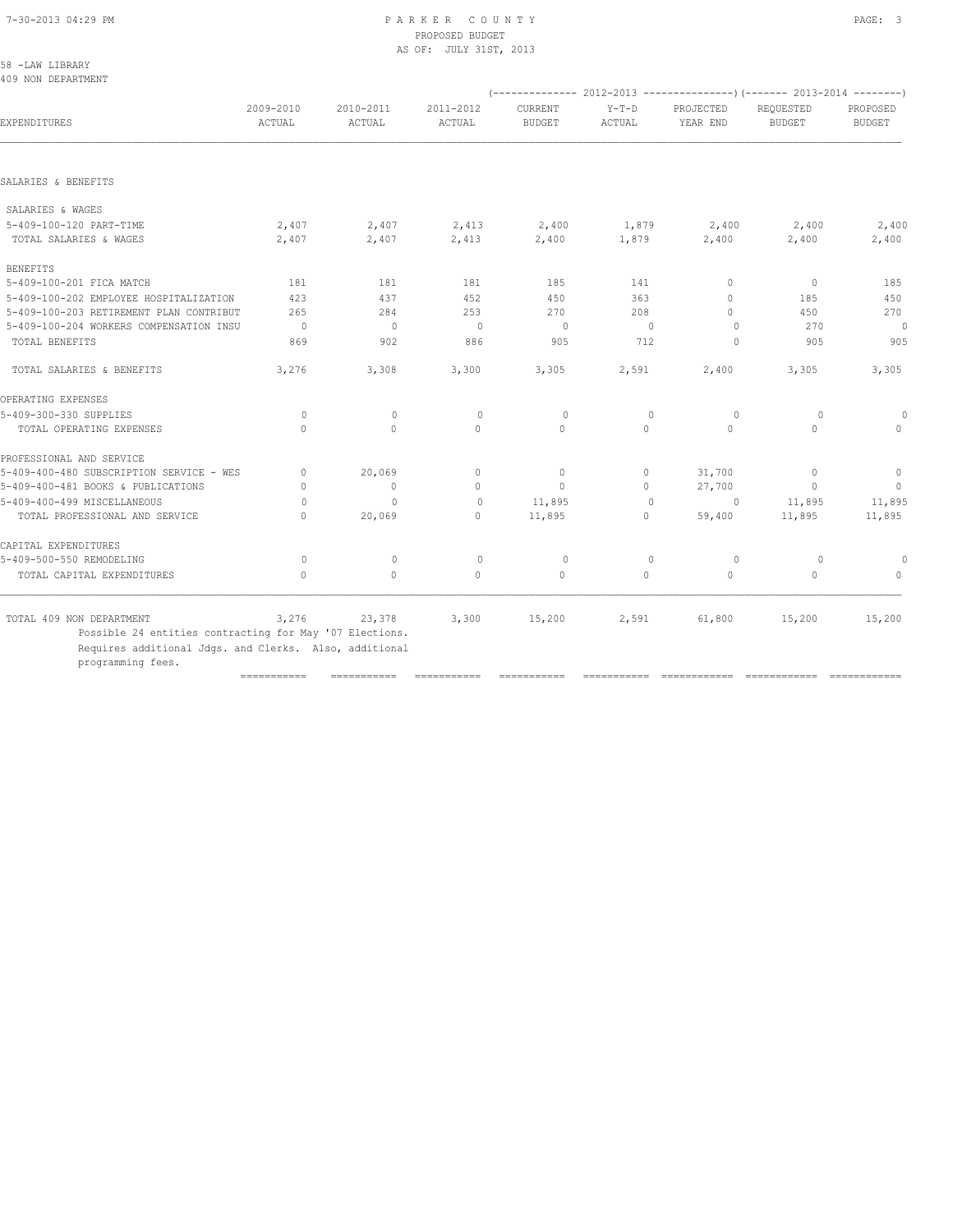#### 7-30-2013 04:29 PM P A R K E R C O U N T Y PAGE: 3 PROPOSED BUDGET AS OF: JULY 31ST, 2013

| 58.           | -LAW LIBRARY |
|---------------|--------------|
| $\sim$ $\sim$ |              |

| (-------------- 2012-2013 ----------------) (------- 2013-2014 --------)<br>2009-2010<br>2010-2011<br>2011-2012<br>$Y-T-D$<br>CURRENT<br>PROJECTED<br>REQUESTED<br>PROPOSED<br>EXPENDITURES<br>ACTUAL<br>ACTUAL<br>ACTUAL<br><b>BUDGET</b><br>ACTUAL<br>YEAR END<br><b>BUDGET</b><br><b>BUDGET</b><br>SALARIES & WAGES<br>2,407<br>2,413<br>2,400<br>5-409-100-120 PART-TIME<br>2,407<br>2,400<br>1,879<br>2,400<br>2,400<br>TOTAL SALARIES & WAGES<br>2,407<br>2,407<br>2,413<br>2,400<br>1,879<br>2,400<br><b>BENEFITS</b><br>5-409-100-201 FICA MATCH<br>181<br>181<br>181<br>185<br>141<br>$\circ$<br>$\Omega$<br>437<br>450<br>5-409-100-202 EMPLOYEE HOSPITALIZATION<br>423<br>452<br>363<br>185<br>$\begin{array}{c} \n\end{array}$<br>5-409-100-203 RETIREMENT PLAN CONTRIBUT<br>265<br>284<br>253<br>270<br>208<br>$\Omega$<br>450<br>270<br>5-409-100-204 WORKERS COMPENSATION INSU<br>$\overline{0}$<br>$\mathbf 0$<br>$\circ$<br>0<br>$\mathbf{0}$<br>0<br>869<br>TOTAL BENEFITS<br>902<br>886<br>905<br>712<br>905<br>$\circ$<br>3,276<br>2,591<br>3,305<br>TOTAL SALARIES & BENEFITS<br>3,308<br>3,300<br>3,305<br>2,400<br>$\circ$<br>$\mathbf{0}$<br>$\circ$<br>$\circ$<br>$\mathbf{0}$<br>$\circ$<br>$\circ$<br>$\Omega$<br>$\circ$<br>$\mathbf{0}$<br>$\Omega$<br>$\Omega$<br>$\circ$<br>$\Omega$<br>TOTAL OPERATING EXPENSES<br>$\Omega$<br>20,069<br>$\mathbf{0}$<br>$\circ$<br>31,700<br>$\mathbf{0}$<br>0<br>$\mathbf{0}$<br>$\mathbf{0}$<br>$\circ$<br>27,700<br>$\mathbf{0}$<br>$\Omega$<br>0<br>$\Omega$<br>11,895<br>11,895<br>$\mathbf{0}$<br>$\mathbf{0}$<br>$\circ$<br>$\Omega$<br>TOTAL PROFESSIONAL AND SERVICE<br>20,069<br>$\Omega$<br>11,895<br>$\Omega$<br>59,400<br>11,895<br>$\bigcap$ |              |
|-----------------------------------------------------------------------------------------------------------------------------------------------------------------------------------------------------------------------------------------------------------------------------------------------------------------------------------------------------------------------------------------------------------------------------------------------------------------------------------------------------------------------------------------------------------------------------------------------------------------------------------------------------------------------------------------------------------------------------------------------------------------------------------------------------------------------------------------------------------------------------------------------------------------------------------------------------------------------------------------------------------------------------------------------------------------------------------------------------------------------------------------------------------------------------------------------------------------------------------------------------------------------------------------------------------------------------------------------------------------------------------------------------------------------------------------------------------------------------------------------------------------------------------------------------------------------------------------------------------------------------------------------------------------------------------------------------------------------------|--------------|
| SALARIES & BENEFITS<br>OPERATING EXPENSES<br>5-409-300-330 SUPPLIES<br>PROFESSIONAL AND SERVICE<br>5-409-400-480 SUBSCRIPTION SERVICE - WES<br>5-409-400-481 BOOKS & PUBLICATIONS<br>5-409-400-499 MISCELLANEOUS                                                                                                                                                                                                                                                                                                                                                                                                                                                                                                                                                                                                                                                                                                                                                                                                                                                                                                                                                                                                                                                                                                                                                                                                                                                                                                                                                                                                                                                                                                            |              |
|                                                                                                                                                                                                                                                                                                                                                                                                                                                                                                                                                                                                                                                                                                                                                                                                                                                                                                                                                                                                                                                                                                                                                                                                                                                                                                                                                                                                                                                                                                                                                                                                                                                                                                                             |              |
|                                                                                                                                                                                                                                                                                                                                                                                                                                                                                                                                                                                                                                                                                                                                                                                                                                                                                                                                                                                                                                                                                                                                                                                                                                                                                                                                                                                                                                                                                                                                                                                                                                                                                                                             |              |
|                                                                                                                                                                                                                                                                                                                                                                                                                                                                                                                                                                                                                                                                                                                                                                                                                                                                                                                                                                                                                                                                                                                                                                                                                                                                                                                                                                                                                                                                                                                                                                                                                                                                                                                             |              |
|                                                                                                                                                                                                                                                                                                                                                                                                                                                                                                                                                                                                                                                                                                                                                                                                                                                                                                                                                                                                                                                                                                                                                                                                                                                                                                                                                                                                                                                                                                                                                                                                                                                                                                                             | 2,400        |
|                                                                                                                                                                                                                                                                                                                                                                                                                                                                                                                                                                                                                                                                                                                                                                                                                                                                                                                                                                                                                                                                                                                                                                                                                                                                                                                                                                                                                                                                                                                                                                                                                                                                                                                             | 2,400        |
|                                                                                                                                                                                                                                                                                                                                                                                                                                                                                                                                                                                                                                                                                                                                                                                                                                                                                                                                                                                                                                                                                                                                                                                                                                                                                                                                                                                                                                                                                                                                                                                                                                                                                                                             |              |
|                                                                                                                                                                                                                                                                                                                                                                                                                                                                                                                                                                                                                                                                                                                                                                                                                                                                                                                                                                                                                                                                                                                                                                                                                                                                                                                                                                                                                                                                                                                                                                                                                                                                                                                             | 185          |
|                                                                                                                                                                                                                                                                                                                                                                                                                                                                                                                                                                                                                                                                                                                                                                                                                                                                                                                                                                                                                                                                                                                                                                                                                                                                                                                                                                                                                                                                                                                                                                                                                                                                                                                             | 450          |
|                                                                                                                                                                                                                                                                                                                                                                                                                                                                                                                                                                                                                                                                                                                                                                                                                                                                                                                                                                                                                                                                                                                                                                                                                                                                                                                                                                                                                                                                                                                                                                                                                                                                                                                             | 270          |
|                                                                                                                                                                                                                                                                                                                                                                                                                                                                                                                                                                                                                                                                                                                                                                                                                                                                                                                                                                                                                                                                                                                                                                                                                                                                                                                                                                                                                                                                                                                                                                                                                                                                                                                             | 0            |
|                                                                                                                                                                                                                                                                                                                                                                                                                                                                                                                                                                                                                                                                                                                                                                                                                                                                                                                                                                                                                                                                                                                                                                                                                                                                                                                                                                                                                                                                                                                                                                                                                                                                                                                             | 905          |
|                                                                                                                                                                                                                                                                                                                                                                                                                                                                                                                                                                                                                                                                                                                                                                                                                                                                                                                                                                                                                                                                                                                                                                                                                                                                                                                                                                                                                                                                                                                                                                                                                                                                                                                             | 3,305        |
|                                                                                                                                                                                                                                                                                                                                                                                                                                                                                                                                                                                                                                                                                                                                                                                                                                                                                                                                                                                                                                                                                                                                                                                                                                                                                                                                                                                                                                                                                                                                                                                                                                                                                                                             |              |
|                                                                                                                                                                                                                                                                                                                                                                                                                                                                                                                                                                                                                                                                                                                                                                                                                                                                                                                                                                                                                                                                                                                                                                                                                                                                                                                                                                                                                                                                                                                                                                                                                                                                                                                             | $\Omega$     |
|                                                                                                                                                                                                                                                                                                                                                                                                                                                                                                                                                                                                                                                                                                                                                                                                                                                                                                                                                                                                                                                                                                                                                                                                                                                                                                                                                                                                                                                                                                                                                                                                                                                                                                                             | $\mathbf{0}$ |
|                                                                                                                                                                                                                                                                                                                                                                                                                                                                                                                                                                                                                                                                                                                                                                                                                                                                                                                                                                                                                                                                                                                                                                                                                                                                                                                                                                                                                                                                                                                                                                                                                                                                                                                             |              |
|                                                                                                                                                                                                                                                                                                                                                                                                                                                                                                                                                                                                                                                                                                                                                                                                                                                                                                                                                                                                                                                                                                                                                                                                                                                                                                                                                                                                                                                                                                                                                                                                                                                                                                                             | $\mathbf{0}$ |
|                                                                                                                                                                                                                                                                                                                                                                                                                                                                                                                                                                                                                                                                                                                                                                                                                                                                                                                                                                                                                                                                                                                                                                                                                                                                                                                                                                                                                                                                                                                                                                                                                                                                                                                             | $\Omega$     |
|                                                                                                                                                                                                                                                                                                                                                                                                                                                                                                                                                                                                                                                                                                                                                                                                                                                                                                                                                                                                                                                                                                                                                                                                                                                                                                                                                                                                                                                                                                                                                                                                                                                                                                                             | 11,895       |
|                                                                                                                                                                                                                                                                                                                                                                                                                                                                                                                                                                                                                                                                                                                                                                                                                                                                                                                                                                                                                                                                                                                                                                                                                                                                                                                                                                                                                                                                                                                                                                                                                                                                                                                             | 11,895       |
| CAPITAL EXPENDITURES                                                                                                                                                                                                                                                                                                                                                                                                                                                                                                                                                                                                                                                                                                                                                                                                                                                                                                                                                                                                                                                                                                                                                                                                                                                                                                                                                                                                                                                                                                                                                                                                                                                                                                        |              |
| 5-409-500-550 REMODELING<br>$\mathbb O$<br>$\circ$<br>$\circ$<br>$\circ$<br>$\circ$<br>$\mathbf 0$<br>$\circ$                                                                                                                                                                                                                                                                                                                                                                                                                                                                                                                                                                                                                                                                                                                                                                                                                                                                                                                                                                                                                                                                                                                                                                                                                                                                                                                                                                                                                                                                                                                                                                                                               | $\circ$      |
| $\mathbf{0}$<br>$\circ$<br>$\circ$<br>$\circ$<br>$\mathbf{0}$<br>$\mathbf{0}$<br>TOTAL CAPITAL EXPENDITURES<br>$\mathbf{0}$                                                                                                                                                                                                                                                                                                                                                                                                                                                                                                                                                                                                                                                                                                                                                                                                                                                                                                                                                                                                                                                                                                                                                                                                                                                                                                                                                                                                                                                                                                                                                                                                 | $\mathbf{0}$ |
|                                                                                                                                                                                                                                                                                                                                                                                                                                                                                                                                                                                                                                                                                                                                                                                                                                                                                                                                                                                                                                                                                                                                                                                                                                                                                                                                                                                                                                                                                                                                                                                                                                                                                                                             |              |
| 3,276<br>3,300<br>15,200<br>TOTAL 409 NON DEPARTMENT<br>23,378<br>15,200<br>2,591<br>61,800<br>Possible 24 entities contracting for May '07 Elections.                                                                                                                                                                                                                                                                                                                                                                                                                                                                                                                                                                                                                                                                                                                                                                                                                                                                                                                                                                                                                                                                                                                                                                                                                                                                                                                                                                                                                                                                                                                                                                      | 15,200       |
| Requires additional Jdgs. and Clerks. Also, additional                                                                                                                                                                                                                                                                                                                                                                                                                                                                                                                                                                                                                                                                                                                                                                                                                                                                                                                                                                                                                                                                                                                                                                                                                                                                                                                                                                                                                                                                                                                                                                                                                                                                      |              |
| programming fees.<br>$=$ = = = = = = = = = = =<br>===========<br>===========<br>===========<br>===========<br>=============<br>============                                                                                                                                                                                                                                                                                                                                                                                                                                                                                                                                                                                                                                                                                                                                                                                                                                                                                                                                                                                                                                                                                                                                                                                                                                                                                                                                                                                                                                                                                                                                                                                 |              |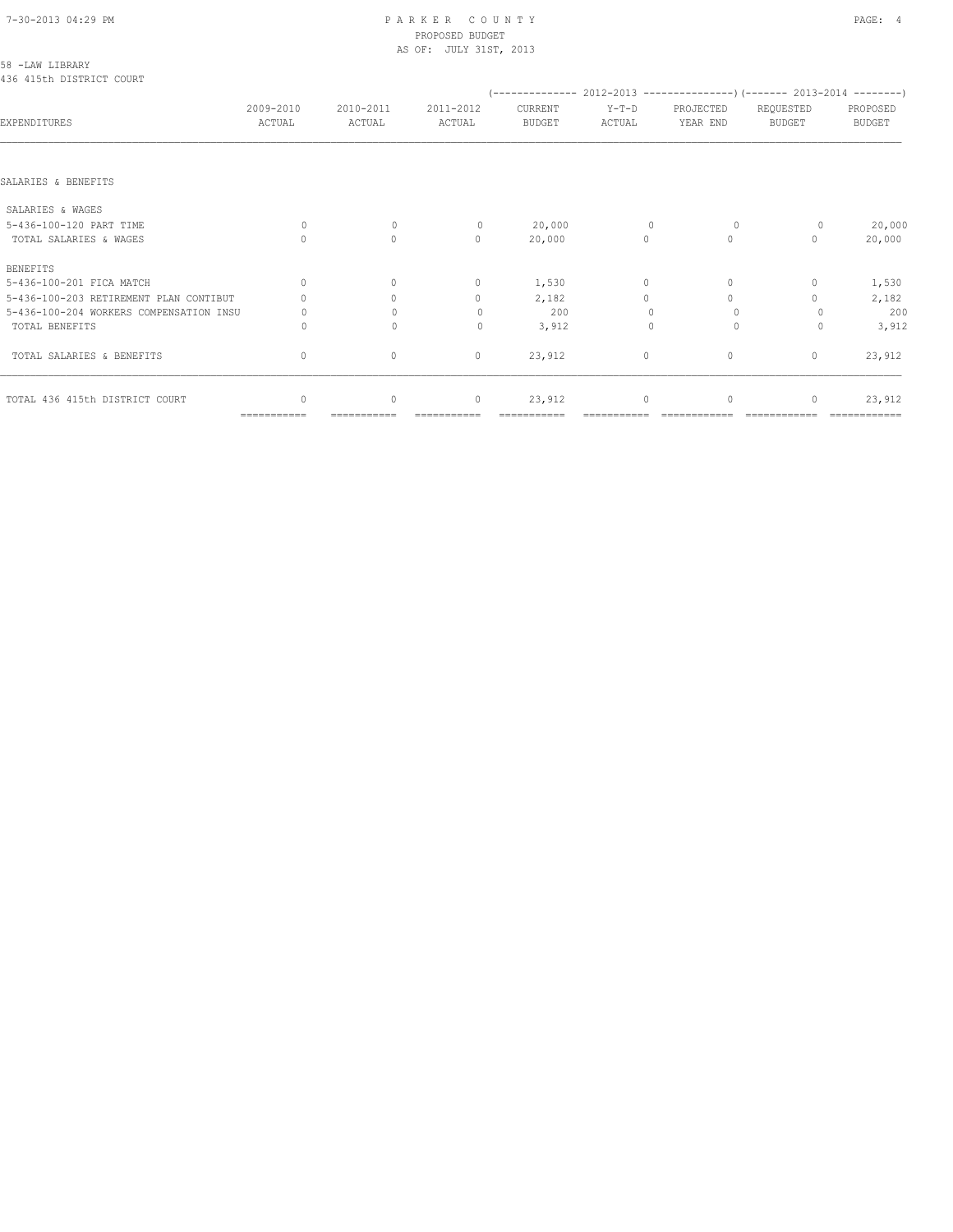#### 7-30-2013 04:29 PM P A R K E R C O U N T Y PAGE: 4 PROPOSED BUDGET AS OF: JULY 31ST, 2013

| 58 -LAW LIBRARY<br>436 415th DISTRICT COURT |                     |                     |                                  |                          |                   |                                                                          |                                  |                           |
|---------------------------------------------|---------------------|---------------------|----------------------------------|--------------------------|-------------------|--------------------------------------------------------------------------|----------------------------------|---------------------------|
|                                             |                     |                     |                                  |                          |                   | (-------------- 2012-2013 ----------------) (------- 2013-2014 --------) |                                  |                           |
| EXPENDITURES                                | 2009-2010<br>ACTUAL | 2010-2011<br>ACTUAL | 2011-2012<br>ACTUAL              | CURRENT<br><b>BUDGET</b> | $Y-T-D$<br>ACTUAL | PROJECTED<br>YEAR END                                                    | REQUESTED<br><b>BUDGET</b>       | PROPOSED<br><b>BUDGET</b> |
|                                             |                     |                     |                                  |                          |                   |                                                                          |                                  |                           |
| SALARIES & BENEFITS                         |                     |                     |                                  |                          |                   |                                                                          |                                  |                           |
| SALARIES & WAGES                            |                     |                     |                                  |                          |                   |                                                                          |                                  |                           |
| 5-436-100-120 PART TIME                     | $\Omega$            | $\Omega$            | $\circ$                          | 20,000                   | $\Omega$          | $\circ$                                                                  | 0                                | 20,000                    |
| TOTAL SALARIES & WAGES                      | 0                   | $\circ$             | $\mathbf{0}$                     | 20,000                   | $\circ$           | $\circ$                                                                  | 0                                | 20,000                    |
| <b>BENEFITS</b>                             |                     |                     |                                  |                          |                   |                                                                          |                                  |                           |
| 5-436-100-201 FICA MATCH                    | $\Omega$            | $\Omega$            | $\mathbf 0$                      | 1,530                    | $\circ$           | $\Omega$                                                                 | 0                                | 1,530                     |
| 5-436-100-203 RETIREMENT PLAN CONTIBUT      |                     | $\Omega$            | $\mathbf{0}$                     | 2,182                    | $\Omega$          | $\Omega$                                                                 |                                  | 2,182                     |
| 5-436-100-204 WORKERS COMPENSATION INSU     | 0                   | $\Omega$            | $\begin{array}{c} \n\end{array}$ | 200                      |                   | $\Omega$                                                                 |                                  | 200                       |
| TOTAL BENEFITS                              | Ω                   | $\Omega$            | $\Omega$                         | 3,912                    | $\Omega$          | $\Omega$                                                                 | $\Omega$                         | 3,912                     |
| TOTAL SALARIES & BENEFITS                   | $\mathbf{0}$        | $\mathbf{0}$        | $\mathbf{0}$                     | 23,912                   | $\circ$           | $\mathbf{0}$                                                             | $\begin{array}{c} \n\end{array}$ | 23,912                    |
| TOTAL 436 415th DISTRICT COURT              | $\mathbf{0}$        | 0                   | $\circ$                          | 23,912                   | $\circ$           | 0                                                                        | $\mathbf{0}$                     | 23,912                    |

=========== =========== =========== =========== =========== ============ ============ ============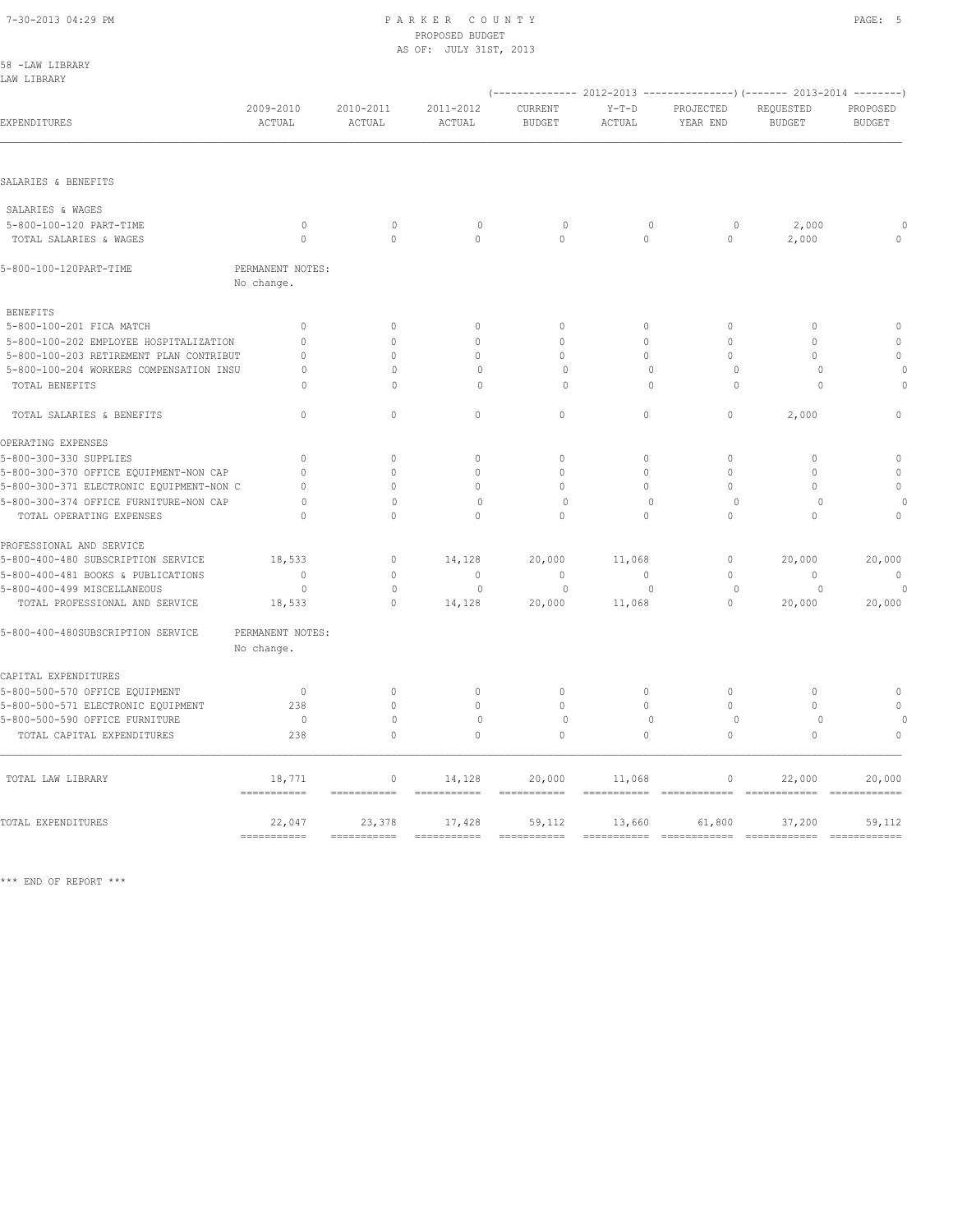#### 7-30-2013 04:29 PM P A R K E R C O U N T Y PAGE: 5 PROPOSED BUDGET AS OF: JULY 31ST, 2013

| 58 -LAW LIBRARY<br>LAW LIBRARY           |                                     |                        |                           |                          |                       |                         |                                                                                                        |                             |
|------------------------------------------|-------------------------------------|------------------------|---------------------------|--------------------------|-----------------------|-------------------------|--------------------------------------------------------------------------------------------------------|-----------------------------|
| EXPENDITURES                             | 2009-2010<br>ACTUAL                 | 2010-2011<br>ACTUAL    | 2011-2012<br>ACTUAL       | CURRENT<br><b>BUDGET</b> | $Y-T-D$<br>ACTUAL     | PROJECTED<br>YEAR END   | (-------------- 2012-2013 ----------------) (------- 2013-2014 --------)<br>REQUESTED<br><b>BUDGET</b> | PROPOSED<br><b>BUDGET</b>   |
|                                          |                                     |                        |                           |                          |                       |                         |                                                                                                        |                             |
| SALARIES & BENEFITS                      |                                     |                        |                           |                          |                       |                         |                                                                                                        |                             |
| SALARIES & WAGES                         |                                     |                        |                           |                          |                       |                         |                                                                                                        |                             |
| 5-800-100-120 PART-TIME                  | $\circ$                             | $\mathbf{0}$           | $\circ$                   | $\circ$                  | $\mathbf{0}$          | $\circ$                 | 2,000                                                                                                  | $\Omega$                    |
| TOTAL SALARIES & WAGES                   | $\circ$                             | $\circ$                | $\Omega$                  | $\circ$                  | $\circ$               | $\mathbf{0}$            | 2,000                                                                                                  |                             |
| 5-800-100-120PART-TIME                   | PERMANENT NOTES:<br>No change.      |                        |                           |                          |                       |                         |                                                                                                        |                             |
| <b>BENEFITS</b>                          |                                     |                        |                           |                          |                       |                         |                                                                                                        |                             |
| 5-800-100-201 FICA MATCH                 | $\mathbf{0}$                        | $\mathbf{0}$           | $\mathbf{0}$              | $\mathbf{0}$             | $\circ$               | $\mathbf{0}$            | $\mathbf{0}$                                                                                           | $\mathbf{0}$                |
| 5-800-100-202 EMPLOYEE HOSPITALIZATION   | $\Omega$                            | $\Omega$               | $\circ$                   | $\Omega$                 | $\circ$               | $\Omega$                | $\mathbf{0}$                                                                                           | $\mathbf{0}$                |
| 5-800-100-203 RETIREMENT PLAN CONTRIBUT  | $\Omega$                            | $\Omega$               | $\circ$                   | $\Omega$                 | $\circ$               | $\Omega$                | $\Omega$                                                                                               | $\theta$                    |
| 5-800-100-204 WORKERS COMPENSATION INSU  | 0                                   | $\Omega$               | $\circ$                   | $\circ$                  | $\mathbf{0}$          | $\circ$                 | $\circ$                                                                                                | $\Omega$                    |
| TOTAL BENEFITS                           | 0                                   | $\mathbf{0}$           | $\circ$                   | $\circ$                  | $\mathbf{0}$          | $\circ$                 | $\mathbf 0$                                                                                            | $\Omega$                    |
| TOTAL SALARIES & BENEFITS                | $\Omega$                            | $\Omega$               | $\Omega$                  | $\Omega$                 | $\Omega$              | $\Omega$                | 2,000                                                                                                  | $\mathbb O$                 |
| OPERATING EXPENSES                       |                                     |                        |                           |                          |                       |                         |                                                                                                        |                             |
| 5-800-300-330 SUPPLIES                   | $\mathbf{0}$                        | $\circ$                | $\mathbf{0}$              | $\mathbf{0}$             | $\circ$               | $\circ$                 | $\mathbf 0$                                                                                            | $\mathbb O$                 |
| 5-800-300-370 OFFICE EQUIPMENT-NON CAP   | $\Omega$                            | $\Omega$               | $\Omega$                  | $\Omega$                 | $\Omega$              | $\Omega$                | $\Omega$                                                                                               | $\mathbf{0}$                |
| 5-800-300-371 ELECTRONIC EQUIPMENT-NON C | $\mathbb O$                         | $\mathbf{0}$           | $\circ$                   | $\circ$                  | $\circ$               | $\circ$                 | $\mathbf{0}$                                                                                           | $\mathbf{0}$                |
| 5-800-300-374 OFFICE FURNITURE-NON CAP   | $\circ$                             | $\circ$                | $\circ$                   | $\circ$                  | $\mathbf{0}$          | $\circ$                 | $\circ$                                                                                                | $\circ$                     |
| TOTAL OPERATING EXPENSES                 | $\Omega$                            | $\Omega$               | $\Omega$                  | $\circ$                  | $\circ$               | $\circ$                 | $\Omega$                                                                                               | $\circ$                     |
| PROFESSIONAL AND SERVICE                 |                                     |                        |                           |                          |                       |                         |                                                                                                        |                             |
| 5-800-400-480 SUBSCRIPTION SERVICE       | 18,533                              | $\mathbf{0}$           | 14,128                    | 20,000                   | 11,068                | $\circ$                 | 20,000                                                                                                 | 20,000                      |
| 5-800-400-481 BOOKS & PUBLICATIONS       | $\mathbf{0}$                        | $\Omega$               | $\circ$                   | $\mathbf{0}$             | $\circ$               | $\Omega$                | $\mathbf{0}$                                                                                           | $\circ$                     |
| 5-800-400-499 MISCELLANEOUS              | $\circ$                             | $\mathbf{0}$           | $\circ$                   | $\mathbf 0$              | $\circ$               | $\circ$                 | $\circ$                                                                                                | 0                           |
| TOTAL PROFESSIONAL AND SERVICE           | 18,533                              | $\Omega$               | 14,128                    | 20,000                   | 11,068                | $\Omega$                | 20,000                                                                                                 | 20,000                      |
| 5-800-400-480SUBSCRIPTION SERVICE        | PERMANENT NOTES:<br>No change.      |                        |                           |                          |                       |                         |                                                                                                        |                             |
| CAPITAL EXPENDITURES                     |                                     |                        |                           |                          |                       |                         |                                                                                                        |                             |
| 5-800-500-570 OFFICE EQUIPMENT           | $\mathbf{0}$                        | $\mathbf{0}$           | $\mathbf{0}$              | $\mathbf{0}$             | $\circ$               | $\mathbf{0}$            | $\mathbf{0}$                                                                                           | $\mathbf{0}$                |
| 5-800-500-571 ELECTRONIC EQUIPMENT       | 238                                 | $\mathbf{0}$           | $\circ$                   | $\circ$                  | $\circ$               | $\circ$                 | $\circ$                                                                                                | $\mathbb O$                 |
| 5-800-500-590 OFFICE FURNITURE           | $\circ$                             | $\mathbf{0}$           | $\mathbf{0}$              | $\circ$                  | $\mathbf{0}$          | $\circ$                 | $\circ$                                                                                                | $\Omega$                    |
| TOTAL CAPITAL EXPENDITURES               | 238                                 | $\Omega$               | $\Omega$                  | $\Omega$                 | $\circ$               | $\Omega$                | $\Omega$                                                                                               | $\mathbf{0}$                |
| TOTAL LAW LIBRARY                        | 18,771<br>$=$ = = = = = = = = = = = | $\circ$<br>=========== | 14,128<br>===========     | 20,000<br>===========    | 11,068<br>=========== | $\circ$<br>============ | 22,000<br>============                                                                                 | 20,000<br>============      |
| TOTAL EXPENDITURES                       | 22,047                              | 23,378                 | 17,428                    | 59,112                   | 13,660                | 61,800                  | 37,200                                                                                                 | 59,112                      |
|                                          | $=$ = = = = = = = = = = =           | ===========            | $=$ = = = = = = = = = = = | ===========              | ===========           |                         | $=$ = = = = = = = = = = = =                                                                            | $=$ = = = = = = = = = = = = |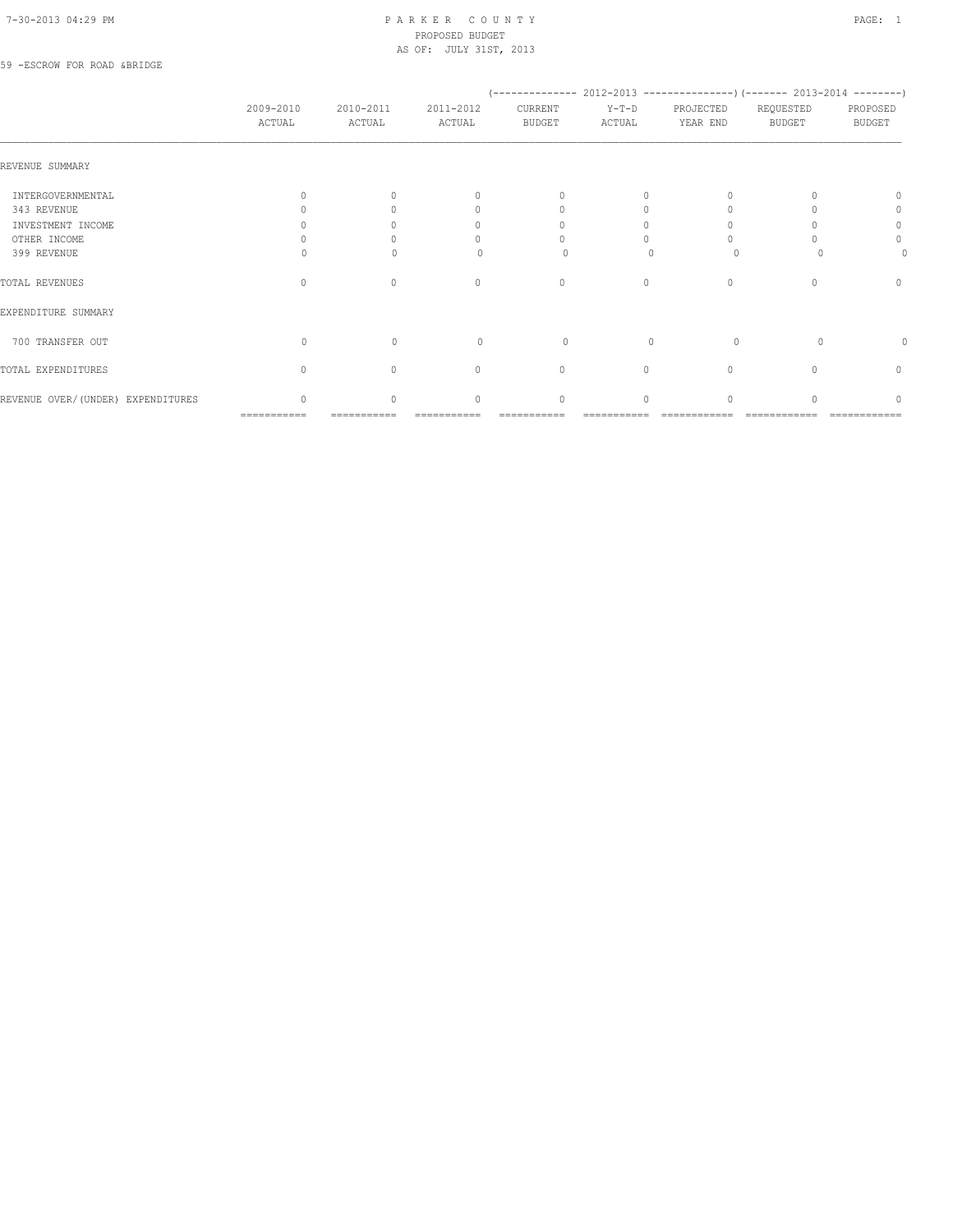#### 7-30-2013 04:29 PM P A R K E R C O U N T Y PAGE: 1 PROPOSED BUDGET AS OF: JULY 31ST, 2013

#### 59 -ESCROW FOR ROAD &BRIDGE

|                                   | 2009-2010<br>ACTUAL | 2010-2011<br>ACTUAL | 2011-2012<br>ACTUAL | CURRENT<br><b>BUDGET</b>         | $Y-T-D$<br>ACTUAL | PROJECTED<br>YEAR END | REQUESTED<br><b>BUDGET</b> | PROPOSED<br><b>BUDGET</b> |
|-----------------------------------|---------------------|---------------------|---------------------|----------------------------------|-------------------|-----------------------|----------------------------|---------------------------|
| REVENUE SUMMARY                   |                     |                     |                     |                                  |                   |                       |                            |                           |
| INTERGOVERNMENTAL                 |                     |                     | $\bigcap$           | $\begin{array}{c} \n\end{array}$ | $\Omega$          |                       |                            | 0                         |
| 343 REVENUE                       |                     |                     | 0                   | $\cap$                           |                   |                       |                            | $\Omega$                  |
| INVESTMENT INCOME                 |                     |                     | n                   |                                  |                   |                       |                            | 0                         |
| OTHER INCOME                      |                     |                     |                     |                                  |                   |                       |                            | 0                         |
| 399 REVENUE                       |                     |                     |                     |                                  |                   |                       |                            |                           |
| TOTAL REVENUES                    | $\bigcap$           | $\Omega$            | $\mathbf{0}$        | $\mathbf{0}$                     | 0                 | $\Omega$              |                            | $\Omega$                  |
| EXPENDITURE SUMMARY               |                     |                     |                     |                                  |                   |                       |                            |                           |
| 700 TRANSFER OUT                  | $\Omega$            | $\Omega$            | $\bigcap$           | $\Omega$                         | $\bigcap$         | $\Omega$              | $\Omega$                   | 0                         |
| TOTAL EXPENDITURES                | $\Omega$            | $\Omega$            | $\mathbf{0}$        | $\begin{array}{c} \n\end{array}$ | $\circ$           | $\Omega$              |                            | $\mathbf{0}$              |
| REVENUE OVER/(UNDER) EXPENDITURES | $\bigcap$           | $\cap$              | $\Omega$            | $\Omega$                         | $\Omega$          | $\cap$                |                            | n                         |
|                                   | ===========         |                     |                     |                                  |                   |                       |                            |                           |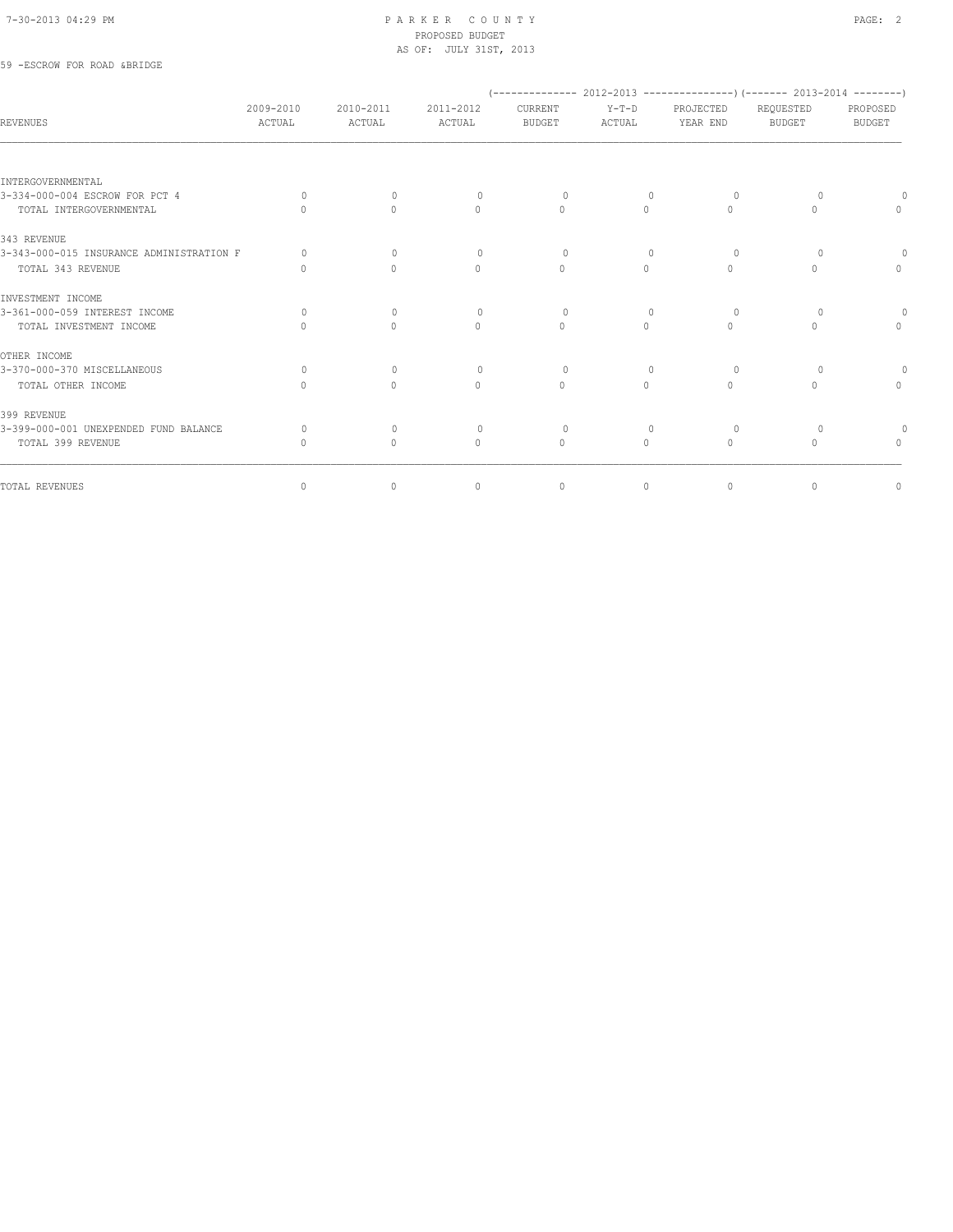#### 7-30-2013 04:29 PM P A R K E R C O U N T Y PAGE: 2 PROPOSED BUDGET AS OF: JULY 31ST, 2013

## 59 -ESCROW FOR ROAD &BRIDGE

| 2009-2010<br>ACTUAL | 2010-2011<br>ACTUAL              | 2011-2012<br>ACTUAL | CURRENT<br><b>BUDGET</b> | $Y-T-D$<br>ACTUAL | PROJECTED<br>YEAR END            | REQUESTED<br><b>BUDGET</b> | PROPOSED<br><b>BUDGET</b>                                                                 |
|---------------------|----------------------------------|---------------------|--------------------------|-------------------|----------------------------------|----------------------------|-------------------------------------------------------------------------------------------|
|                     |                                  |                     |                          |                   |                                  |                            |                                                                                           |
|                     |                                  |                     |                          |                   |                                  |                            |                                                                                           |
| $\Omega$            | $\Omega$                         | $\Omega$            | $\Omega$                 | $\Omega$          | $\Omega$                         |                            |                                                                                           |
|                     | $\Omega$                         | $\Omega$            | $\Omega$                 | $\Omega$          | $\Omega$                         | $\Omega$                   | $\Omega$                                                                                  |
|                     |                                  |                     |                          |                   |                                  |                            |                                                                                           |
| $\Omega$            | $\mathbf{0}$                     | $\mathbf{0}$        | $\circ$                  | $\mathbf{0}$      | $\circ$                          | $\circ$                    |                                                                                           |
| $\cap$              | $\mathbf{0}$                     | $\mathbf{0}$        | $\Omega$                 | $\circ$           | $\begin{array}{c} \n\end{array}$ | $\circ$                    | 0                                                                                         |
|                     |                                  |                     |                          |                   |                                  |                            |                                                                                           |
| $\bigcap$           | $\begin{array}{c} \n\end{array}$ | $\circ$             | $\Omega$                 | 0                 | $\Omega$                         | $\Omega$                   | $\circ$                                                                                   |
| $\cap$              | $\Omega$                         | $\Omega$            | $\Omega$                 | $\Omega$          | $\Omega$                         | $\Omega$                   | $\begin{array}{c} \n\end{array}$                                                          |
|                     |                                  |                     |                          |                   |                                  |                            |                                                                                           |
| $\Omega$            | $\mathbf{0}$                     | $\mathbf{0}$        | $\Omega$                 | $\mathbf{0}$      | $\Omega$                         | $\Omega$                   |                                                                                           |
| $\cap$              | $\Omega$                         | $\bigcap$           | $\bigcap$                | $\cap$            | $\bigcap$                        | $\bigcap$                  | $\circ$                                                                                   |
|                     |                                  |                     |                          |                   |                                  |                            |                                                                                           |
| $\Omega$            | $\mathbf{0}$                     | $\circ$             | $\circ$                  | $\mathbf{0}$      | $\circ$                          | $\circ$                    |                                                                                           |
| $\Omega$            | $\mathbf{0}$                     | $\Omega$            | $\mathbf{0}$             | $\Omega$          | $\Omega$                         | $\circ$                    | $\Omega$                                                                                  |
|                     |                                  |                     |                          |                   |                                  |                            | $\circ$                                                                                   |
|                     | $\circ$                          | $\circ$             | $\mathbf{0}$             | $\circ$           | $\circ$                          | 0                          | $(-$ -------------- 2012-2013 -----------------) (------- 2013-2014 ---------)<br>$\circ$ |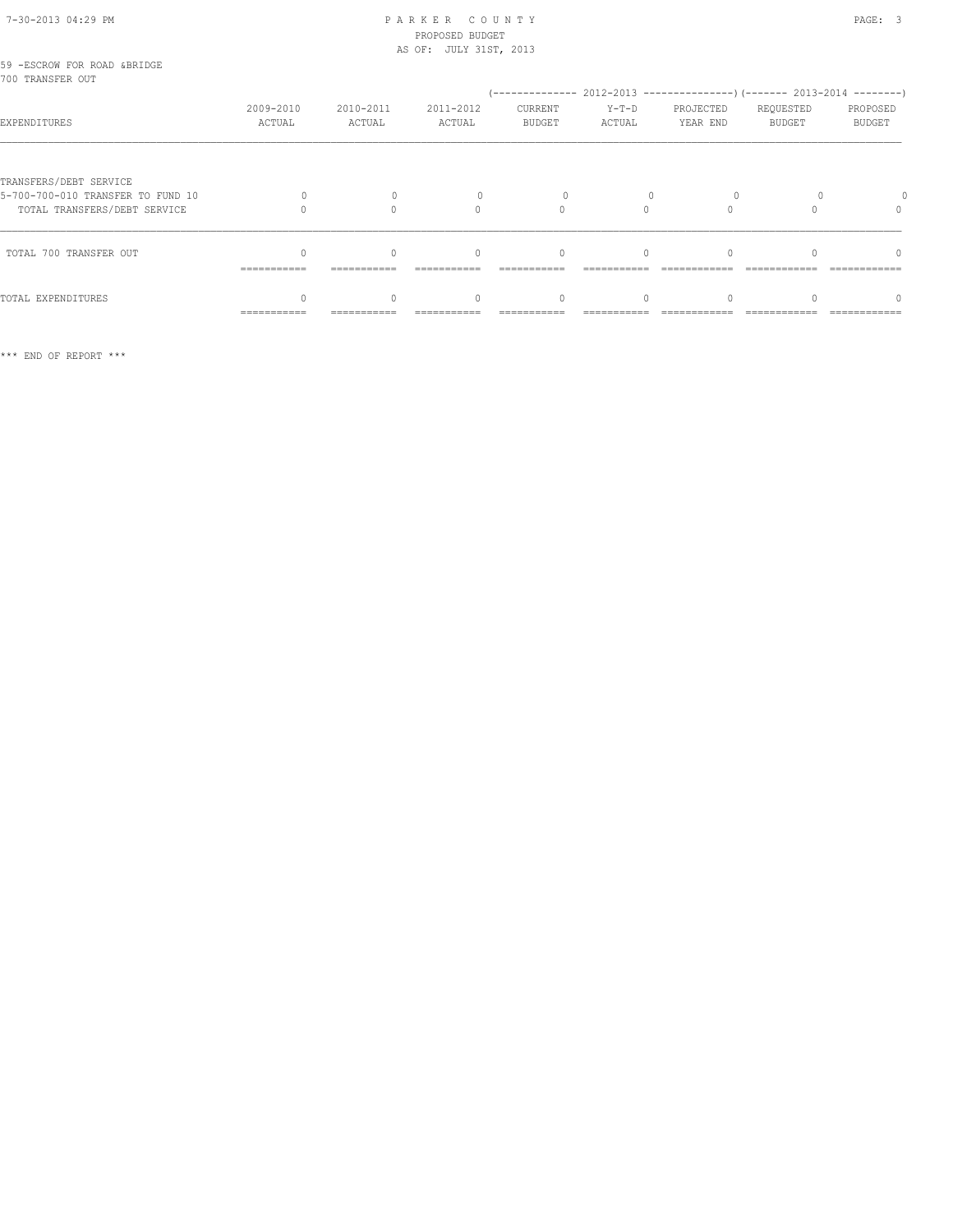#### 7-30-2013 04:29 PM P A R K E R C O U N T Y PAGE: 3 PROPOSED BUDGET AS OF: JULY 31ST, 2013

| 59 -ESCROW FOR ROAD &BRIDGE<br>700 TRANSFER OUT                                             |                     |                     |                     |                                  |                   |                                                                                      |                     |                           |
|---------------------------------------------------------------------------------------------|---------------------|---------------------|---------------------|----------------------------------|-------------------|--------------------------------------------------------------------------------------|---------------------|---------------------------|
| EXPENDITURES                                                                                | 2009-2010<br>ACTUAL | 2010-2011<br>ACTUAL | 2011-2012<br>ACTUAL | CURRENT<br><b>BUDGET</b>         | $Y-T-D$<br>ACTUAL | $(---------- 2012-2013 ----------)$ $(---- 2013-2014 ----)$<br>PROJECTED<br>YEAR END | REQUESTED<br>BUDGET | PROPOSED<br><b>BUDGET</b> |
| TRANSFERS/DEBT SERVICE<br>5-700-700-010 TRANSFER TO FUND 10<br>TOTAL TRANSFERS/DEBT SERVICE |                     |                     | $\cap$              |                                  |                   |                                                                                      |                     |                           |
| TOTAL 700 TRANSFER OUT                                                                      | ===========         |                     | $\bigcap$           | $\begin{array}{c} \n\end{array}$ | $\cap$            |                                                                                      |                     | $\cap$                    |
| TOTAL EXPENDITURES                                                                          | ===========         |                     |                     | $\Omega$                         |                   |                                                                                      |                     | 0                         |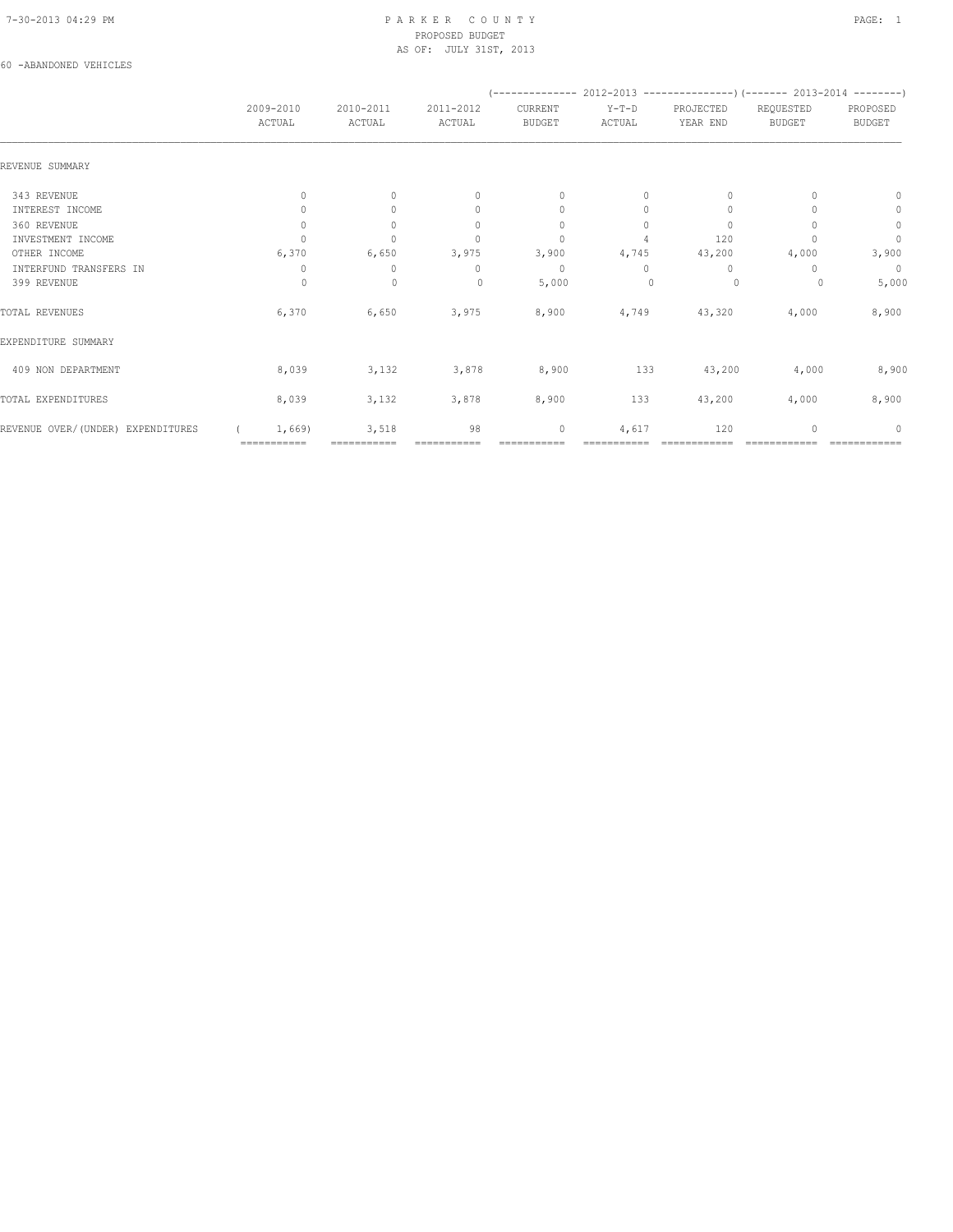#### 7-30-2013 04:29 PM P A R K E R C O U N T Y PAGE: 1 PROPOSED BUDGET AS OF: JULY 31ST, 2013

#### 60 -ABANDONED VEHICLES

|                                   |                       | 2010-2011<br>ACTUAL  |                                  |                                  |                   |                       | (-------------- 2012-2013 ----------------) (------- 2013-2014 --------) |                           |  |
|-----------------------------------|-----------------------|----------------------|----------------------------------|----------------------------------|-------------------|-----------------------|--------------------------------------------------------------------------|---------------------------|--|
|                                   | 2009-2010<br>ACTUAL   |                      | 2011-2012<br>ACTUAL              | CURRENT<br><b>BUDGET</b>         | $Y-T-D$<br>ACTUAL | PROJECTED<br>YEAR END | REQUESTED<br><b>BUDGET</b>                                               | PROPOSED<br><b>BUDGET</b> |  |
| REVENUE SUMMARY                   |                       |                      |                                  |                                  |                   |                       |                                                                          |                           |  |
| 343 REVENUE                       | $\Omega$              | $\Omega$             | $\begin{array}{c} \n\end{array}$ | $\begin{array}{c} \n\end{array}$ | $\Omega$          | $\Omega$              |                                                                          | $\Omega$                  |  |
| INTEREST INCOME                   | $\Omega$              | $\Omega$             | $\begin{array}{c} \n\end{array}$ | $\mathbf{0}$                     | $\Omega$          | 0                     |                                                                          | 0                         |  |
| 360 REVENUE                       | $\mathbf{0}$          | $\Omega$             | $\begin{array}{c} \n\end{array}$ | $\mathbf{0}$                     | $\Omega$          | $\Omega$              |                                                                          | $\circ$                   |  |
| INVESTMENT INCOME                 |                       | $\cap$               | $\Omega$                         | $\begin{array}{c} \n\end{array}$ |                   | 120                   |                                                                          | $\mathbf{0}$              |  |
| OTHER INCOME                      | 6,370                 | 6,650                | 3,975                            | 3,900                            | 4,745             | 43,200                | 4,000                                                                    | 3,900                     |  |
| INTERFUND TRANSFERS IN            | 0                     | 0                    | 0                                | $\mathbf{0}$                     | $\Omega$          | 0                     |                                                                          | $\overline{0}$            |  |
| 399 REVENUE                       | $\Omega$              | $\mathbf 0$          | $\mathbf{0}$                     | 5,000                            |                   | 0                     |                                                                          | 5,000                     |  |
| TOTAL REVENUES                    | 6,370                 | 6,650                | 3,975                            | 8,900                            | 4,749             | 43,320                | 4,000                                                                    | 8,900                     |  |
| EXPENDITURE SUMMARY               |                       |                      |                                  |                                  |                   |                       |                                                                          |                           |  |
| 409 NON DEPARTMENT                | 8,039                 | 3,132                | 3,878                            | 8,900                            | 133               | 43,200                | 4,000                                                                    | 8,900                     |  |
| TOTAL EXPENDITURES                | 8,039                 | 3,132                | 3,878                            | 8,900                            | 133               | 43,200                | 4,000                                                                    | 8,900                     |  |
| REVENUE OVER/(UNDER) EXPENDITURES | 1,669)<br>=========== | 3,518<br>=========== | 98                               | 0                                | 4,617             | 120                   |                                                                          | 0                         |  |
|                                   |                       |                      |                                  |                                  |                   |                       |                                                                          |                           |  |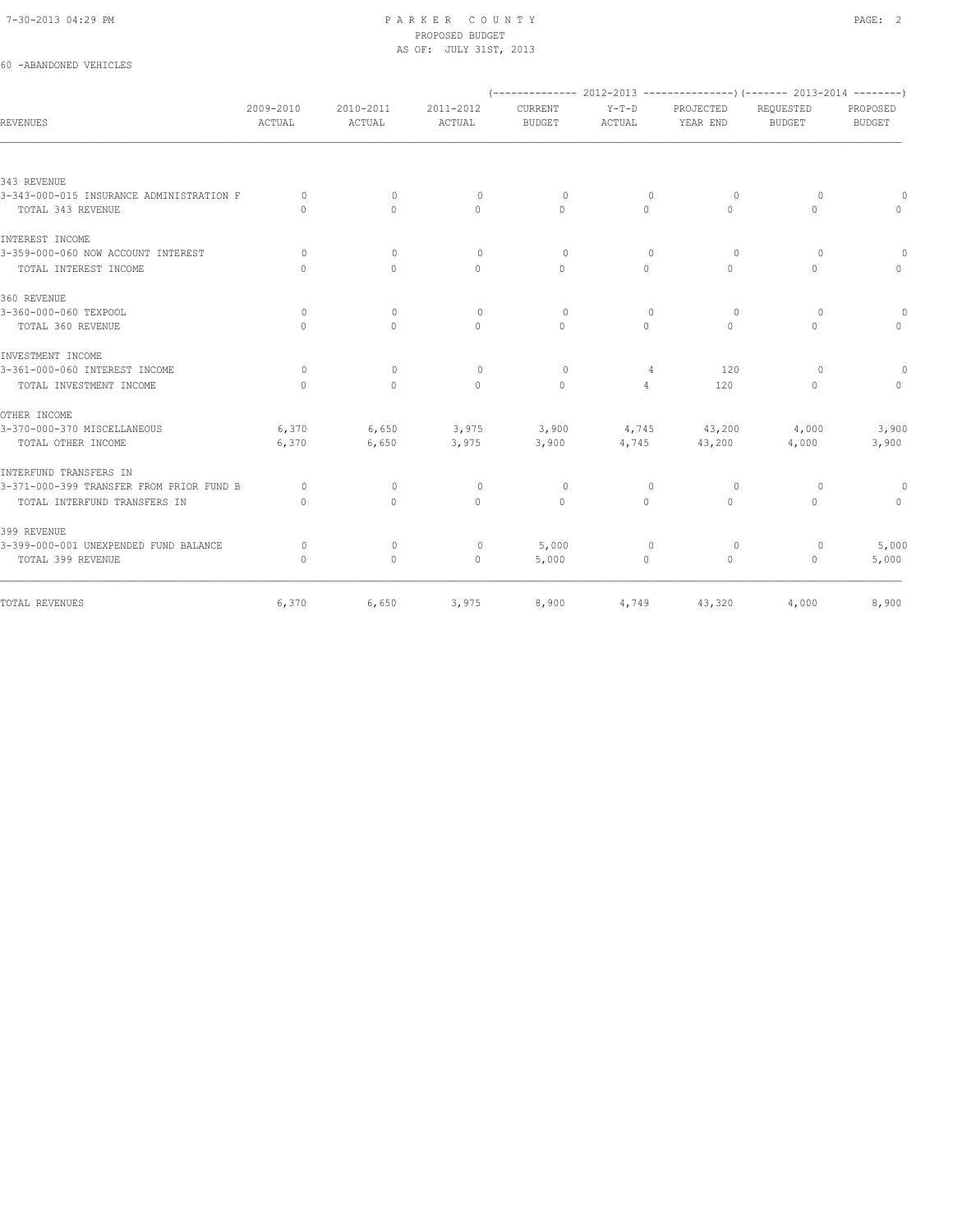60 -ABANDONED VEHICLES

#### 7-30-2013 04:29 PM P A R K E R C O U N T Y PAGE: 2 PROPOSED BUDGET AS OF: JULY 31ST, 2013

|                                          |                                  |                     |                                  |                          |                   |                       | (-------------- 2012-2013 ----------------) (------- 2013-2014 --------) |                           |
|------------------------------------------|----------------------------------|---------------------|----------------------------------|--------------------------|-------------------|-----------------------|--------------------------------------------------------------------------|---------------------------|
| <b>REVENUES</b>                          | 2009-2010<br>ACTUAL              | 2010-2011<br>ACTUAL | 2011-2012<br>ACTUAL              | CURRENT<br><b>BUDGET</b> | $Y-T-D$<br>ACTUAL | PROJECTED<br>YEAR END | REQUESTED<br><b>BUDGET</b>                                               | PROPOSED<br><b>BUDGET</b> |
|                                          |                                  |                     |                                  |                          |                   |                       |                                                                          |                           |
| 343 REVENUE                              |                                  |                     |                                  |                          |                   |                       |                                                                          |                           |
| 3-343-000-015 INSURANCE ADMINISTRATION F | $\Omega$                         | $\Omega$            | $\circ$                          | $\Omega$                 | $\mathbf{0}$      | 0                     | $\overline{0}$                                                           |                           |
| TOTAL 343 REVENUE                        | $\bigcap$                        | $\bigcap$           | $\Omega$                         | $\Omega$                 | $\Omega$          | $\Omega$              | $\Omega$                                                                 | $\Omega$                  |
| INTEREST INCOME                          |                                  |                     |                                  |                          |                   |                       |                                                                          |                           |
| 3-359-000-060 NOW ACCOUNT INTEREST       | $\Omega$                         | $\Omega$            | $\Omega$                         | $\Omega$                 | $\Omega$          | $\Omega$              | $\Omega$                                                                 | $\Omega$                  |
| TOTAL INTEREST INCOME                    | $\bigcap$                        | $\Omega$            | $\begin{array}{c} \n\end{array}$ | $\Omega$                 | $\bigcap$         | $\Omega$              | $\Omega$                                                                 | $\Omega$                  |
| 360 REVENUE                              |                                  |                     |                                  |                          |                   |                       |                                                                          |                           |
| 3-360-000-060 TEXPOOL                    | $\Omega$                         | $\Omega$            | $\begin{array}{c} \n\end{array}$ | $\Omega$                 | $\Omega$          | $\Omega$              | $\Omega$                                                                 | $\Omega$                  |
| TOTAL 360 REVENUE                        | $\bigcap$                        | $\bigcap$           | $\Omega$                         | $\Omega$                 | $\Omega$          | $\Omega$              | $\bigcap$                                                                | $\Omega$                  |
| INVESTMENT INCOME                        |                                  |                     |                                  |                          |                   |                       |                                                                          |                           |
| 3-361-000-060 INTEREST INCOME            | $\Omega$                         | $\mathbf{0}$        | $\mathbf{0}$                     | $\circ$                  | 4                 | 120                   | $\Omega$                                                                 | $\circ$                   |
| TOTAL INVESTMENT INCOME                  | $\begin{array}{c} \n\end{array}$ | $\Omega$            | $\Omega$                         | $\mathbf{0}$             | 4                 | 120                   | $\Omega$                                                                 | $\circ$                   |
| OTHER INCOME                             |                                  |                     |                                  |                          |                   |                       |                                                                          |                           |
| 3-370-000-370 MISCELLANEOUS              | 6,370                            | 6,650               | 3,975                            | 3,900                    |                   | 4,745 43,200          | 4,000                                                                    | 3,900                     |
| TOTAL OTHER INCOME                       | 6,370                            | 6,650               | 3,975                            | 3,900                    | 4,745             | 43,200                | 4,000                                                                    | 3,900                     |
| INTERFUND TRANSFERS IN                   |                                  |                     |                                  |                          |                   |                       |                                                                          |                           |
| 3-371-000-399 TRANSFER FROM PRIOR FUND B | $\Omega$                         | $\Omega$            | $\circ$                          | $\Omega$                 | $\mathbf{0}$      | $\Omega$              | $\Omega$                                                                 | $\overline{0}$            |
| TOTAL INTERFUND TRANSFERS IN             | $\Omega$                         | $\Omega$            | $\Omega$                         | $\circ$                  | $\Omega$          | $\Omega$              | $\Omega$                                                                 | $\Omega$                  |
| 399 REVENUE                              |                                  |                     |                                  |                          |                   |                       |                                                                          |                           |
| 3-399-000-001 UNEXPENDED FUND BALANCE    | $\circ$                          | $\mathbf{0}$        | $\circ$                          | 5,000                    | $\mathbf{0}$      | 0                     | $\circ$                                                                  | 5,000                     |
| TOTAL 399 REVENUE                        | $\mathbf{0}$                     | $\circ$             | $\circ$                          | 5,000                    | $\circ$           | $\circ$               | 0                                                                        | 5,000                     |
| TOTAL REVENUES                           | 6,370                            | 6,650               | 3,975                            | 8,900                    | 4,749             | 43,320                | 4,000                                                                    | 8,900                     |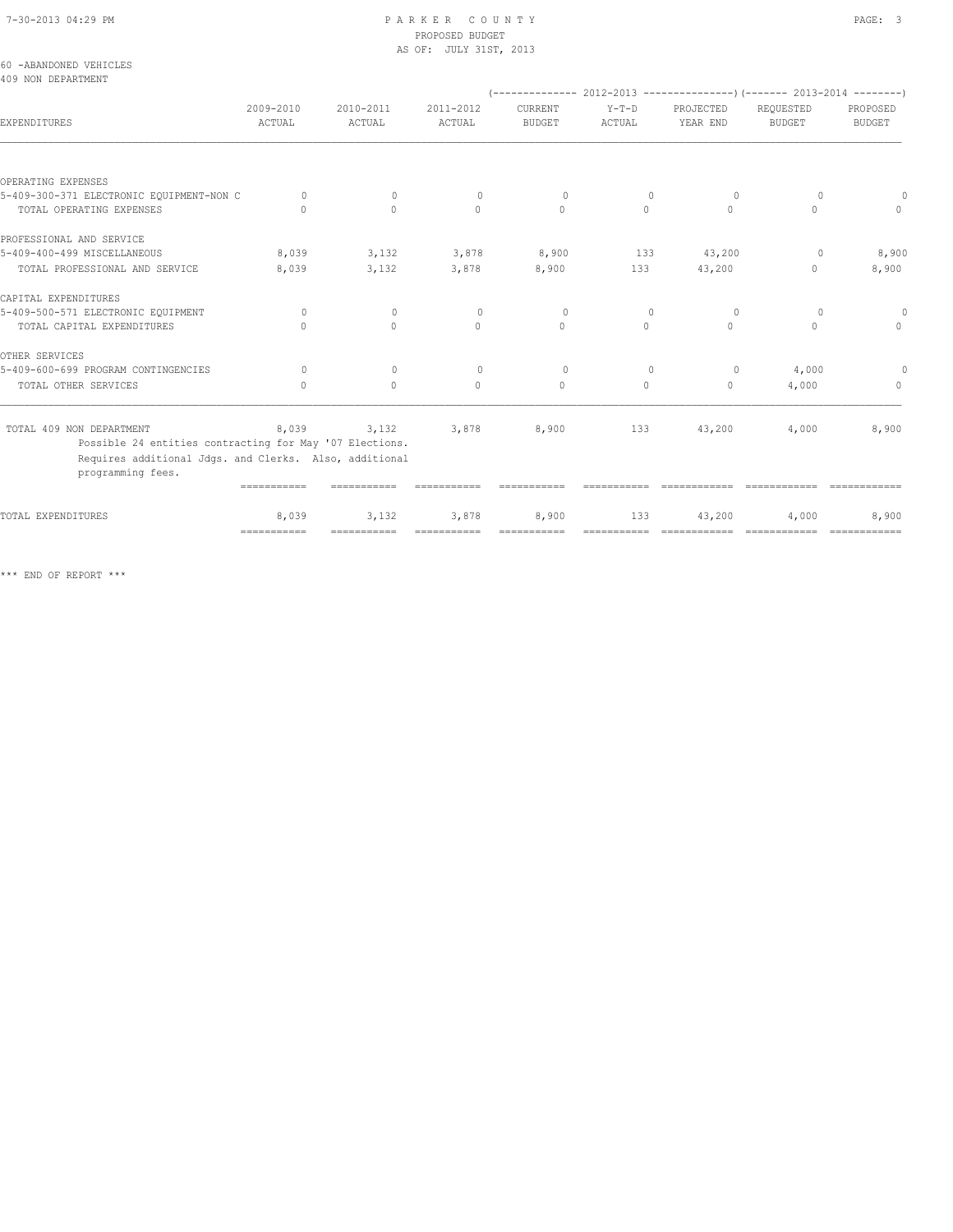# PROPOSED BUDGET AS OF: JULY 31ST, 2013

| 60 -ABANDONED VEHICLES<br>409 NON DEPARTMENT                                |              |                           |             |               |          |               |                                                                               |              |
|-----------------------------------------------------------------------------|--------------|---------------------------|-------------|---------------|----------|---------------|-------------------------------------------------------------------------------|--------------|
|                                                                             |              |                           |             |               |          |               | $(-$ -------------- 2012-2013 -----------------) (------- 2013-2014 --------) |              |
|                                                                             | 2009-2010    | 2010-2011                 | 2011-2012   | CURRENT       | $Y-T-D$  | PROJECTED     | REQUESTED                                                                     | PROPOSED     |
| EXPENDITURES                                                                | ACTUAL       | ACTUAL                    | ACTUAL      | <b>BUDGET</b> | ACTUAL   | YEAR END      | <b>BUDGET</b>                                                                 | BUDGET       |
|                                                                             |              |                           |             |               |          |               |                                                                               |              |
| OPERATING EXPENSES                                                          |              |                           |             |               |          |               |                                                                               |              |
| 5-409-300-371 ELECTRONIC EQUIPMENT-NON C                                    | $\circ$      | $\circ$                   | $\circ$     | $\circ$       | $\circ$  | $\circ$       | 0                                                                             |              |
| TOTAL OPERATING EXPENSES                                                    | $\Omega$     | $\Omega$                  | $\Omega$    | $\Omega$      | $\Omega$ | $\Omega$      | $\Omega$                                                                      | $\cap$       |
| PROFESSIONAL AND SERVICE                                                    |              |                           |             |               |          |               |                                                                               |              |
| 5-409-400-499 MISCELLANEOUS                                                 | 8,039        | 3,132                     | 3,878       | 8,900         | 133      | 43,200        | $\overline{0}$                                                                | 8,900        |
| TOTAL PROFESSIONAL AND SERVICE                                              | 8,039        | 3,132                     | 3,878       | 8,900         | 133      | 43,200        | $\begin{array}{c} \n\end{array}$                                              | 8,900        |
| CAPITAL EXPENDITURES                                                        |              |                           |             |               |          |               |                                                                               |              |
| 5-409-500-571 ELECTRONIC EQUIPMENT                                          | $\circ$      | $\circ$                   | $\circ$     | $\circ$       | $\circ$  | $\circ$       | 0                                                                             | $\circ$      |
| TOTAL CAPITAL EXPENDITURES                                                  | $\cap$       | $\bigcap$                 | $\Omega$    | $\Omega$      | $\Omega$ | $\cap$        | $\bigcap$                                                                     | $\bigcap$    |
| OTHER SERVICES                                                              |              |                           |             |               |          |               |                                                                               |              |
| 5-409-600-699 PROGRAM CONTINGENCIES                                         | $\Omega$     | $\Omega$                  | $\Omega$    | $\Omega$      | $\circ$  | $\circ$       | 4,000                                                                         |              |
| TOTAL OTHER SERVICES                                                        | $\bigcap$    | $\Omega$                  | $\Omega$    | $\mathbf{0}$  | $\circ$  | $\circ$       | 4,000                                                                         | $\mathbf{0}$ |
| TOTAL 409 NON DEPARTMENT                                                    | 8,039        |                           | 3,132 3,878 | 8,900         |          | 133<br>43,200 | 4,000                                                                         | 8,900        |
| Possible 24 entities contracting for May '07 Elections.                     |              |                           |             |               |          |               |                                                                               |              |
| Requires additional Jdgs. and Clerks. Also, additional<br>programming fees. |              |                           |             |               |          |               |                                                                               |              |
|                                                                             | ===========  |                           |             |               |          |               |                                                                               |              |
| TOTAL EXPENDITURES                                                          | 8,039        | 3,132                     | 3,878       | 8,900         | 133      | 43,200        | 4,000                                                                         | 8,900        |
|                                                                             | ============ | ============ ============ |             | ===========   |          |               |                                                                               |              |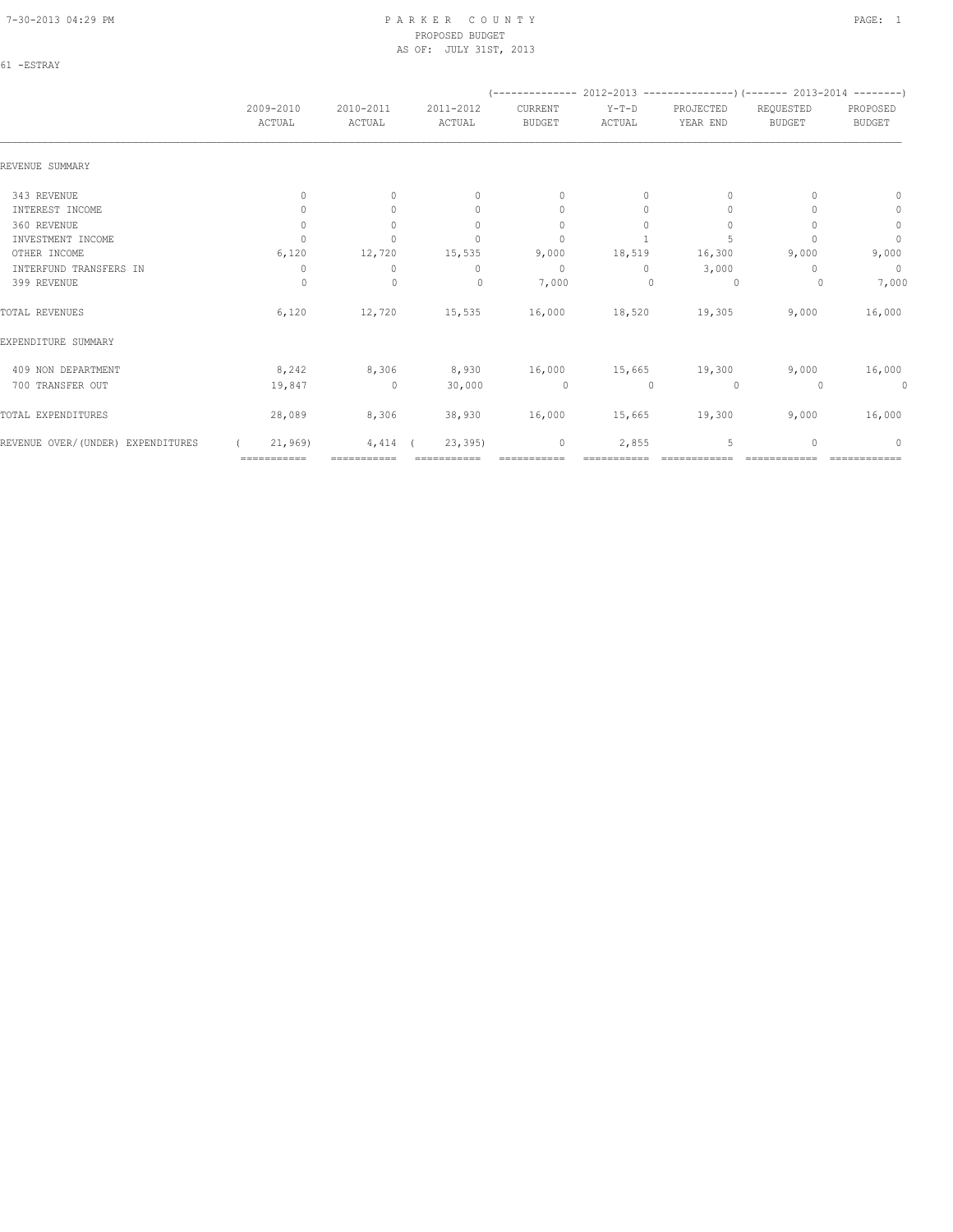| $\sim$ | $\sim$ |  |
|--------|--------|--|

|                                   |                     |                     |                                  | (--------------          | 2012-2013 ---------------------- 2013-2014 ----------- |                       |                            |                           |
|-----------------------------------|---------------------|---------------------|----------------------------------|--------------------------|--------------------------------------------------------|-----------------------|----------------------------|---------------------------|
|                                   | 2009-2010<br>ACTUAL | 2010-2011<br>ACTUAL | 2011-2012<br>ACTUAL              | CURRENT<br><b>BUDGET</b> | $Y-T-D$<br>ACTUAL                                      | PROJECTED<br>YEAR END | REQUESTED<br><b>BUDGET</b> | PROPOSED<br><b>BUDGET</b> |
| REVENUE SUMMARY                   |                     |                     |                                  |                          |                                                        |                       |                            |                           |
| 343 REVENUE                       | $\mathbf{0}$        | $\circ$             | $\mathbf{0}$                     | $\mathbf{0}$             | 0                                                      | $\mathbf{0}$          | $\Omega$                   | $\mathbf{0}$              |
| INTEREST INCOME                   | 0                   | $\Omega$            | $\begin{array}{c} \n\end{array}$ | $\mathbf{0}$             | $\Omega$                                               | $\mathbf{0}$          |                            | $\circ$                   |
| 360 REVENUE                       | $\mathbf{0}$        | $\Omega$            | $\mathbf{0}$                     | $\mathbf{0}$             | 0                                                      | $\mathbf{0}$          |                            | $\mathbb O$               |
| INVESTMENT INCOME                 | $\cap$              | $\Omega$            | $\Omega$                         | $\mathbf{0}$             |                                                        | 5                     |                            | $\mathbf{0}$              |
| OTHER INCOME                      | 6,120               | 12,720              | 15,535                           | 9,000                    | 18,519                                                 | 16,300                | 9,000                      | 9,000                     |
| INTERFUND TRANSFERS IN            | 0                   | $\circ$             | 0                                | $\mathbf{0}$             | $\Omega$                                               | 3,000                 | n                          | $\circ$                   |
| 399 REVENUE                       | 0                   | $\mathbf 0$         | $\mathbf{0}$                     | 7,000                    | $\Omega$                                               | 0                     | 0                          | 7,000                     |
| TOTAL REVENUES                    | 6,120               | 12,720              | 15,535                           | 16,000                   | 18,520                                                 | 19,305                | 9,000                      | 16,000                    |
| EXPENDITURE SUMMARY               |                     |                     |                                  |                          |                                                        |                       |                            |                           |
| 409 NON DEPARTMENT                | 8,242               | 8,306               | 8,930                            | 16,000                   |                                                        | 15,665 19,300         | 9,000                      | 16,000                    |
| 700 TRANSFER OUT                  | 19,847              | $\overline{0}$      | 30,000                           | $\circ$                  | $\mathbf{0}$                                           | 0                     | $\Omega$                   | 0                         |
| TOTAL EXPENDITURES                | 28,089              | 8,306               | 38,930                           | 16,000                   | 15,665                                                 | 19,300                | 9,000                      | 16,000                    |
| REVENUE OVER/(UNDER) EXPENDITURES | 21,969              | 4,414               | 23, 395                          | $\mathbf 0$              | 2,855                                                  | 5                     | $\mathbf{0}$               | 0                         |
|                                   | ===========         | ===========         |                                  | ===========              |                                                        |                       |                            | ============              |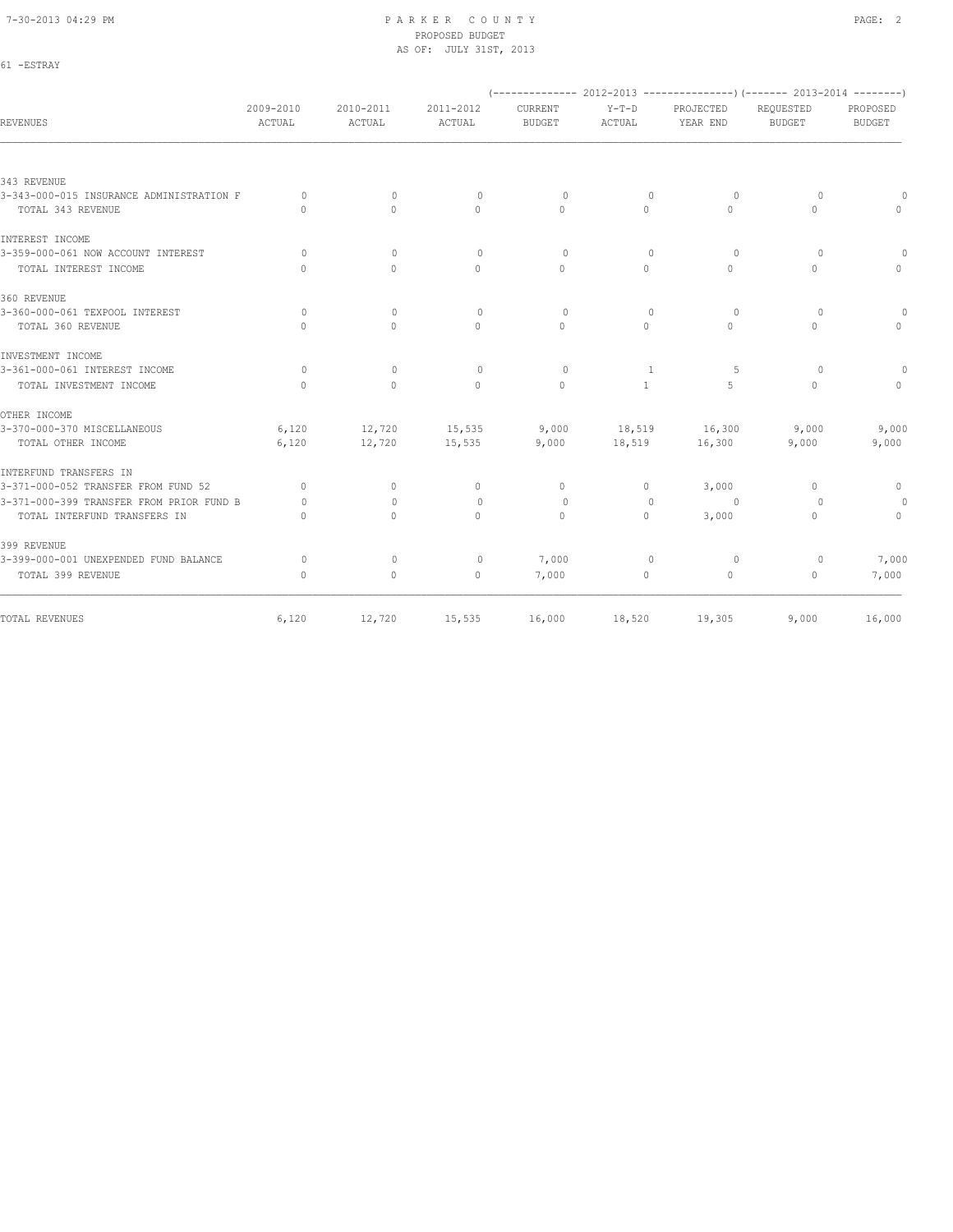61 -ESTRAY

#### 7-30-2013 04:29 PM P A R K E R C O U N T Y PAGE: 2 PROPOSED BUDGET AS OF: JULY 31ST, 2013

|                                          |                                  |                     |                     |                                 |                   |                       | (-------------- 2012-2013 ----------------) (------- 2013-2014 --------) |                           |
|------------------------------------------|----------------------------------|---------------------|---------------------|---------------------------------|-------------------|-----------------------|--------------------------------------------------------------------------|---------------------------|
| REVENUES                                 | 2009-2010<br>ACTUAL              | 2010-2011<br>ACTUAL | 2011-2012<br>ACTUAL | <b>CURRENT</b><br><b>BUDGET</b> | $Y-T-D$<br>ACTUAL | PROJECTED<br>YEAR END | REQUESTED<br><b>BUDGET</b>                                               | PROPOSED<br><b>BUDGET</b> |
|                                          |                                  |                     |                     |                                 |                   |                       |                                                                          |                           |
| 343 REVENUE                              |                                  |                     |                     |                                 |                   |                       |                                                                          |                           |
| 3-343-000-015 INSURANCE ADMINISTRATION F | $\Omega$                         | $\mathbf{0}$        | $\mathbf{0}$        | $\circ$                         | $\mathbf{0}$      | 0                     | $\Omega$                                                                 |                           |
| TOTAL 343 REVENUE                        | $\Omega$                         | $\Omega$            | $\Omega$            | $\Omega$                        | $\Omega$          | $\Omega$              | $\Omega$                                                                 |                           |
| INTEREST INCOME                          |                                  |                     |                     |                                 |                   |                       |                                                                          |                           |
| 3-359-000-061 NOW ACCOUNT INTEREST       | $\bigcap$                        | $\mathbf{0}$        | $\Omega$            | $\Omega$                        | $\Omega$          | 0                     | $\Omega$                                                                 |                           |
| TOTAL INTEREST INCOME                    | $\begin{array}{c} \n\end{array}$ | $\Omega$            | $\mathbf{0}$        | $\circ$                         | $\circ$           | $\Omega$              | $\mathbf{0}$                                                             |                           |
| 360 REVENUE                              |                                  |                     |                     |                                 |                   |                       |                                                                          |                           |
| 3-360-000-061 TEXPOOL INTEREST           | 0                                | $\mathbf{0}$        | $\mathbf{0}$        | $\circ$                         | 0                 | 0                     | 0                                                                        |                           |
| TOTAL 360 REVENUE                        | $\Omega$                         | $\Omega$            | $\Omega$            | $\Omega$                        | $\Omega$          | $\Omega$              | $\Omega$                                                                 | $\Omega$                  |
| INVESTMENT INCOME                        |                                  |                     |                     |                                 |                   |                       |                                                                          |                           |
| 3-361-000-061 INTEREST INCOME            | $\circ$                          | $\mathbf{0}$        | $\mathbf{0}$        | $\circ$                         | 1                 | -5                    | $\circ$                                                                  |                           |
| TOTAL INVESTMENT INCOME                  | $\circ$                          | $\circ$             | $\mathbf{0}$        | $\circ$                         | $\mathbf{1}$      | 5                     | $\mathbf{0}$                                                             | $\Omega$                  |
| OTHER INCOME                             |                                  |                     |                     |                                 |                   |                       |                                                                          |                           |
| 3-370-000-370 MISCELLANEOUS              | 6,120                            | 12,720              | 15,535              | 9,000                           | 18,519            | 16,300                | 9,000                                                                    | 9,000                     |
| TOTAL OTHER INCOME                       | 6,120                            | 12,720              | 15,535              | 9,000                           | 18,519            | 16,300                | 9,000                                                                    | 9,000                     |
| INTERFUND TRANSFERS IN                   |                                  |                     |                     |                                 |                   |                       |                                                                          |                           |
| 3-371-000-052 TRANSFER FROM FUND 52      | $\circ$                          | $\circ$             | $\mathbf{0}$        | $\mathbf{0}$                    | $\circ$           | 3,000                 | $\mathbf{0}$                                                             | $\mathbf{0}$              |
| 3-371-000-399 TRANSFER FROM PRIOR FUND B | $\Omega$                         | $\Omega$            | $\mathbf{0}$        | $\circ$                         | $\mathbf{0}$      | $\circ$               | $\Omega$                                                                 | 0                         |
| TOTAL INTERFUND TRANSFERS IN             | $\begin{array}{c} \n\end{array}$ | $\Omega$            | $\Omega$            | $\mathbf{0}$                    | $\circ$           | 3,000                 | $\mathbf{0}$                                                             | $\mathbf{0}$              |
| 399 REVENUE                              |                                  |                     |                     |                                 |                   |                       |                                                                          |                           |
| 3-399-000-001 UNEXPENDED FUND BALANCE    | 0                                | $\mathbf{0}$        | $\mathbf{0}$        | 7,000                           | $\Omega$          | $\circ$               | 0                                                                        | 7,000                     |
| TOTAL 399 REVENUE                        | $\mathbf{0}$                     | $\circ$             | $\circ$             | 7,000                           | 0                 | $\circ$               | $\mathbf{0}$                                                             | 7,000                     |
| TOTAL REVENUES                           | 6,120                            | 12,720              | 15,535              | 16,000                          | 18,520            | 19,305                | 9,000                                                                    | 16,000                    |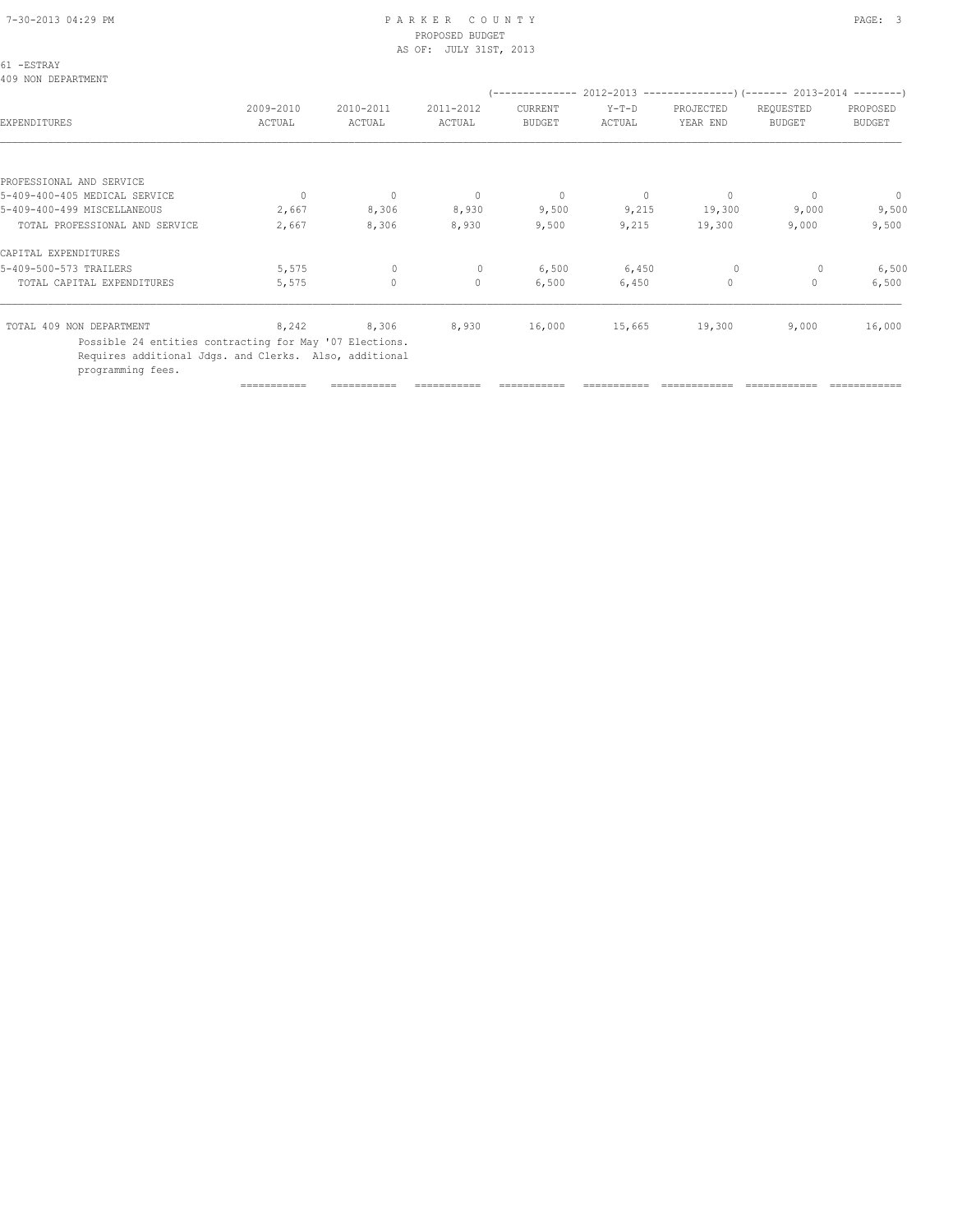# PROPOSED BUDGET AS OF: JULY 31ST, 2013

| 61 -ESTRAY<br>409 NON DEPARTMENT                        |                     |                     |                     |                          |                   |                       |                                                                          |                           |
|---------------------------------------------------------|---------------------|---------------------|---------------------|--------------------------|-------------------|-----------------------|--------------------------------------------------------------------------|---------------------------|
|                                                         |                     |                     |                     |                          |                   |                       | (-------------- 2012-2013 ----------------) (------- 2013-2014 --------) |                           |
| EXPENDITURES                                            | 2009-2010<br>ACTUAL | 2010-2011<br>ACTUAL | 2011-2012<br>ACTUAL | CURRENT<br><b>BUDGET</b> | $Y-T-D$<br>ACTUAL | PROJECTED<br>YEAR END | REQUESTED<br><b>BUDGET</b>                                               | PROPOSED<br><b>BUDGET</b> |
|                                                         |                     |                     |                     |                          |                   |                       |                                                                          |                           |
| PROFESSIONAL AND SERVICE                                |                     |                     |                     |                          |                   |                       |                                                                          |                           |
| 5-409-400-405 MEDICAL SERVICE                           | $\mathbf{0}$        | $\circ$             | $\circ$             | $\circ$                  | $\circ$           | $\circ$               | $\mathbf{0}$                                                             | $\overline{0}$            |
| 5-409-400-499 MISCELLANEOUS                             | 2,667               | 8,306               | 8,930               | 9,500                    | 9,215             | 19,300                | 9,000                                                                    | 9,500                     |
| TOTAL PROFESSIONAL AND SERVICE                          | 2,667               | 8,306               | 8,930               | 9,500                    | 9,215             | 19,300                | 9,000                                                                    | 9,500                     |
| CAPITAL EXPENDITURES                                    |                     |                     |                     |                          |                   |                       |                                                                          |                           |
| 5-409-500-573 TRAILERS                                  | 5,575               | $\circ$             | $\circ$             | 6,500                    | 6,450             | $\circ$               | $\circ$                                                                  | 6,500                     |
| TOTAL CAPITAL EXPENDITURES                              | 5,575               | $\circ$             | $\circ$             | 6,500                    | 6,450             | $\circ$               | 0                                                                        | 6,500                     |
| TOTAL 409 NON DEPARTMENT                                | 8,242               | 8,306               | 8,930               | 16,000                   | 15,665            | 19,300                | 9,000                                                                    | 16,000                    |
| Possible 24 entities contracting for May '07 Elections. |                     |                     |                     |                          |                   |                       |                                                                          |                           |

Requires additional Jdgs. and Clerks. Also, additional

programming fees.

=========== =========== =========== =========== =========== ============ ============ ============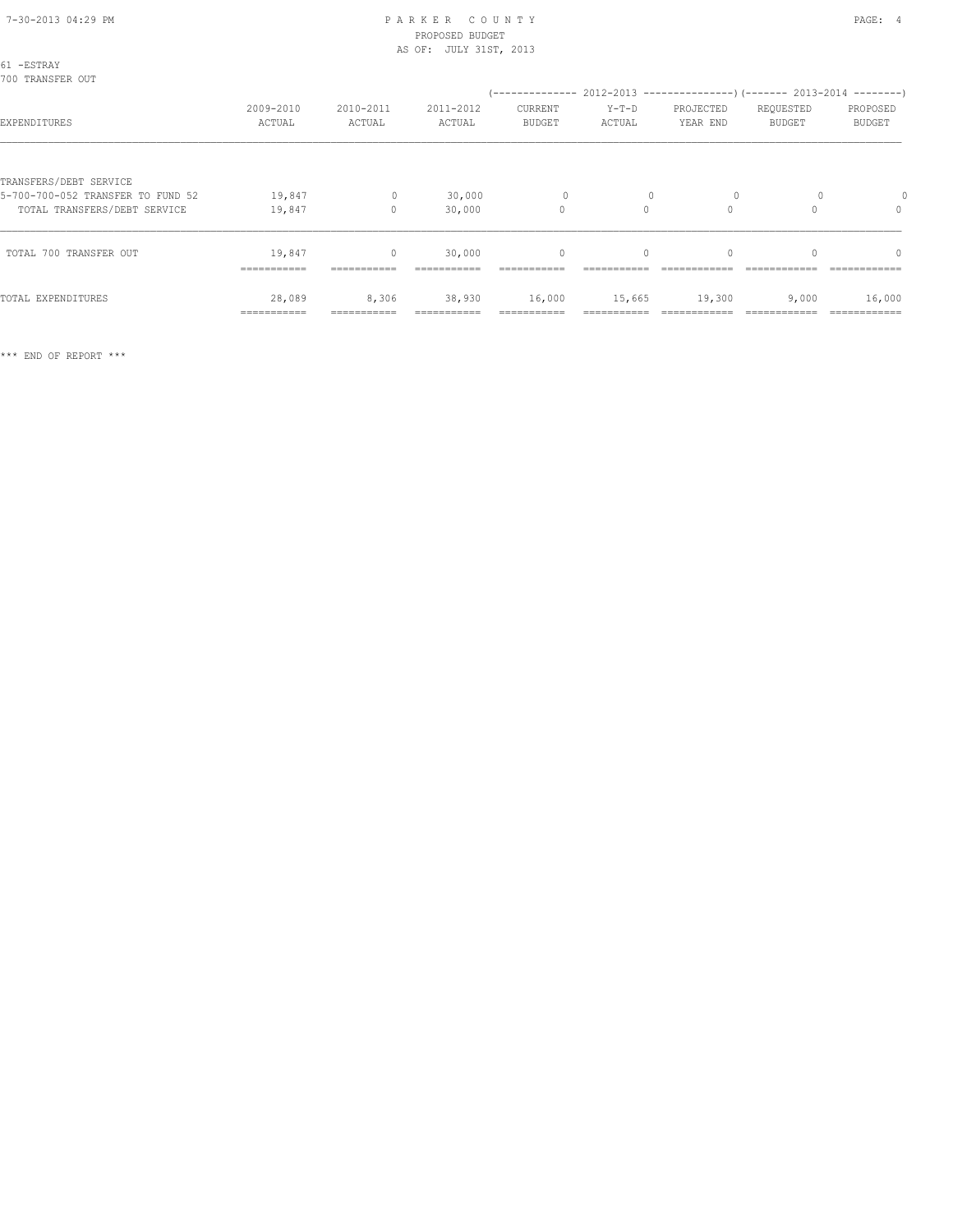| 61 -ESTRAY<br>700 TRANSFER OUT                                    |                       |                          |                       |                          |                   |                       |                            |                                  |
|-------------------------------------------------------------------|-----------------------|--------------------------|-----------------------|--------------------------|-------------------|-----------------------|----------------------------|----------------------------------|
| EXPENDITURES                                                      | 2009-2010<br>ACTUAL   | 2010-2011<br>ACTUAL      | 2011-2012<br>ACTUAL   | CURRENT<br><b>BUDGET</b> | $Y-T-D$<br>ACTUAL | PROJECTED<br>YEAR END | REQUESTED<br><b>BUDGET</b> | PROPOSED<br><b>BUDGET</b>        |
| TRANSFERS/DEBT SERVICE                                            |                       |                          |                       |                          |                   |                       |                            |                                  |
| 5-700-700-052 TRANSFER TO FUND 52<br>TOTAL TRANSFERS/DEBT SERVICE | 19,847<br>19,847      | $\mathbf{0}$<br>$\Omega$ | 30,000<br>30,000      | $\circ$<br>$\circ$       | $\Omega$          | $\Omega$              |                            | $\mathbf{0}$                     |
| TOTAL 700 TRANSFER OUT                                            | 19,847<br>=========== | $\circ$<br>===========   | 30,000<br>=========== | $\mathbf{0}$             | $\Omega$          | $\Omega$              | $\Omega$                   | $\begin{array}{c} \n\end{array}$ |
| TOTAL EXPENDITURES                                                | 28,089<br>=========== | 8,306                    | 38,930                | 16,000                   | 15,665            | 19,300                | 9,000                      | 16,000                           |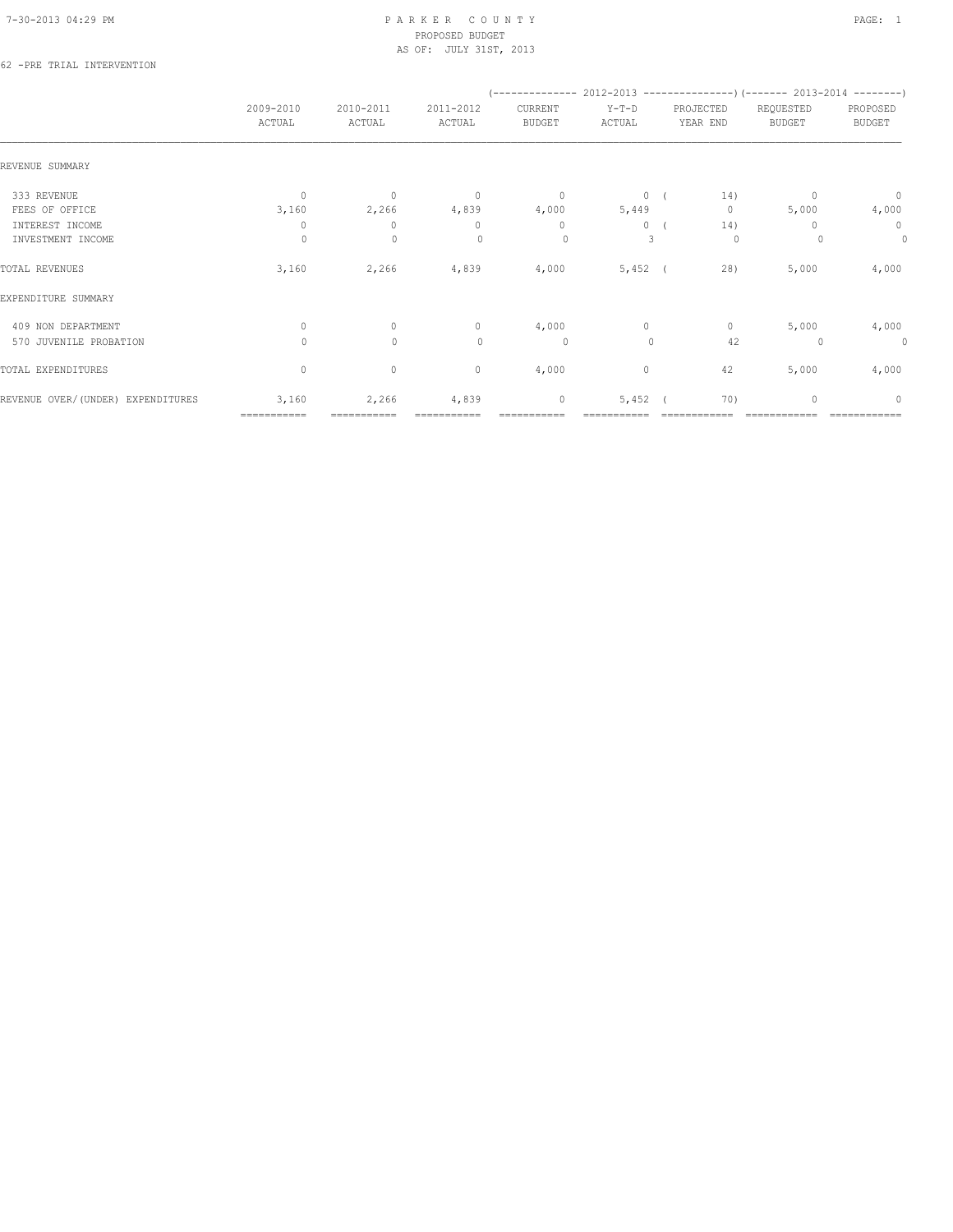#### 62 -PRE TRIAL INTERVENTION

|                                   |                     |                     |                     | (-------------- 2012-2013 -----------------) (------- 2013-2014 --------) |                   |                       |                     |                    |
|-----------------------------------|---------------------|---------------------|---------------------|---------------------------------------------------------------------------|-------------------|-----------------------|---------------------|--------------------|
|                                   | 2009-2010<br>ACTUAL | 2010-2011<br>ACTUAL | 2011-2012<br>ACTUAL | CURRENT<br>BUDGET                                                         | $Y-T-D$<br>ACTUAL | PROJECTED<br>YEAR END | REQUESTED<br>BUDGET | PROPOSED<br>BUDGET |
| REVENUE SUMMARY                   |                     |                     |                     |                                                                           |                   |                       |                     |                    |
| 333 REVENUE                       | $\mathbf{0}$        | $\mathbf{0}$        | $\overline{0}$      | $\circ$                                                                   | 0(                | 14)                   | $\mathbf{0}$        | $\circ$            |
| FEES OF OFFICE                    | 3,160               | 2,266               | 4,839               | 4,000                                                                     | 5,449             | $\circ$               | 5,000               | 4,000              |
| INTEREST INCOME                   | $\circ$             | $\mathbf{0}$        | $\mathbf{0}$        | $\mathbf{0}$                                                              | $\circ$           | 14)                   | 0                   | $\circ$            |
| INVESTMENT INCOME                 | $\circ$             | $\mathbf{0}$        | $\Omega$            | $\circ$                                                                   | 3                 | $\circ$               |                     | $\circ$            |
| TOTAL REVENUES                    | 3,160               | 2,266               | 4,839               | 4,000                                                                     | $5,452$ (         | 28)                   | 5,000               | 4,000              |
| EXPENDITURE SUMMARY               |                     |                     |                     |                                                                           |                   |                       |                     |                    |
| 409 NON DEPARTMENT                | $\circ$             | $\circ$             | $\circ$             | 4,000                                                                     | $\circ$           | $\circ$               | 5,000               | 4,000              |
| 570 JUVENILE PROBATION            | $\Omega$            | $\mathbf{0}$        | $\circ$             | 0                                                                         | $\mathbf{0}$      | 42                    | 0                   | $\circ$            |
| TOTAL EXPENDITURES                | $\circ$             | $\circ$             | $\circ$             | 4,000                                                                     | $\circ$           | 42                    | 5,000               | 4,000              |
| REVENUE OVER/(UNDER) EXPENDITURES | 3,160               | 2,266               | 4,839               | $\mathbb O$                                                               | 5,452             | 70)                   | $\mathbf{0}$        | $\Omega$           |
|                                   | ===========         |                     |                     |                                                                           |                   |                       |                     |                    |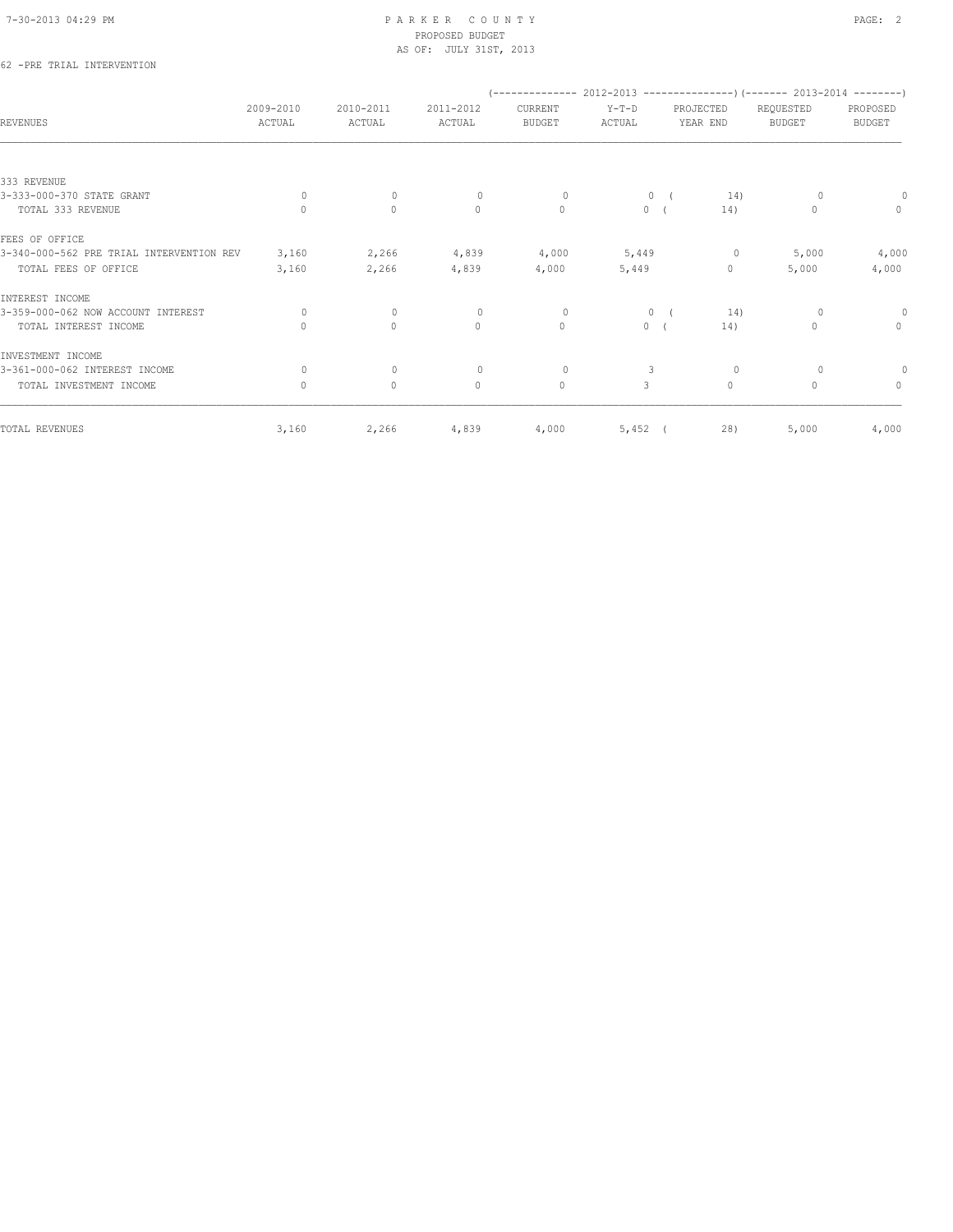## 62 -PRE TRIAL INTERVENTION

|                                          |                     |                     |                     |                          |                   |                       | (-------------- 2012-2013 ----------------) (------- 2013-2014 --------) |                           |
|------------------------------------------|---------------------|---------------------|---------------------|--------------------------|-------------------|-----------------------|--------------------------------------------------------------------------|---------------------------|
| <b>REVENUES</b>                          | 2009-2010<br>ACTUAL | 2010-2011<br>ACTUAL | 2011-2012<br>ACTUAL | CURRENT<br><b>BUDGET</b> | $Y-T-D$<br>ACTUAL | PROJECTED<br>YEAR END | REQUESTED<br><b>BUDGET</b>                                               | PROPOSED<br><b>BUDGET</b> |
|                                          |                     |                     |                     |                          |                   |                       |                                                                          |                           |
| 333 REVENUE                              |                     |                     |                     |                          |                   |                       |                                                                          |                           |
| 3-333-000-370 STATE GRANT                | 0                   | $\mathbf{0}$        | $\Omega$            | $\circ$                  | $\circ$           | 14)                   |                                                                          |                           |
| TOTAL 333 REVENUE                        | $\Omega$            | $\circ$             | $\circ$             | $\mathbf{0}$             | $\overline{0}$    | 14)                   | $\mathbf{0}$                                                             | $\circ$                   |
| FEES OF OFFICE                           |                     |                     |                     |                          |                   |                       |                                                                          |                           |
| 3-340-000-562 PRE TRIAL INTERVENTION REV | 3,160               | 2,266               | 4,839               | 4,000                    | 5,449             | $\circ$               | 5,000                                                                    | 4,000                     |
| TOTAL FEES OF OFFICE                     | 3,160               | 2,266               | 4,839               | 4,000                    | 5,449             | $\circ$               | 5,000                                                                    | 4,000                     |
| INTEREST INCOME                          |                     |                     |                     |                          |                   |                       |                                                                          |                           |
| 3-359-000-062 NOW ACCOUNT INTEREST       | $\Omega$            | $\mathbf{0}$        | $\circ$             | $\circ$                  | $\mathbf{0}$      | 14)                   | $\circ$                                                                  | $\circ$                   |
| TOTAL INTEREST INCOME                    | $\mathbf{0}$        | $\circ$             | $\mathbf{0}$        | $\circ$                  | $\circ$           | 14)                   | $\mathbf{0}$                                                             | $\mathbf{0}$              |
| INVESTMENT INCOME                        |                     |                     |                     |                          |                   |                       |                                                                          |                           |
| 3-361-000-062 INTEREST INCOME            | $\bigcap$           | $\mathbf{0}$        | $\Omega$            | $\circ$                  | 3                 | 0                     | 0                                                                        |                           |
| TOTAL INVESTMENT INCOME                  | $\circ$             | $\circ$             | $\mathbf{0}$        | $\circ$                  | 3                 | $\circ$               | $\Omega$                                                                 | $\mathbf{0}$              |
| TOTAL REVENUES                           | 3,160               | 2,266               | 4,839               | 4,000                    | $5,452$ (         | 28)                   | 5,000                                                                    | 4,000                     |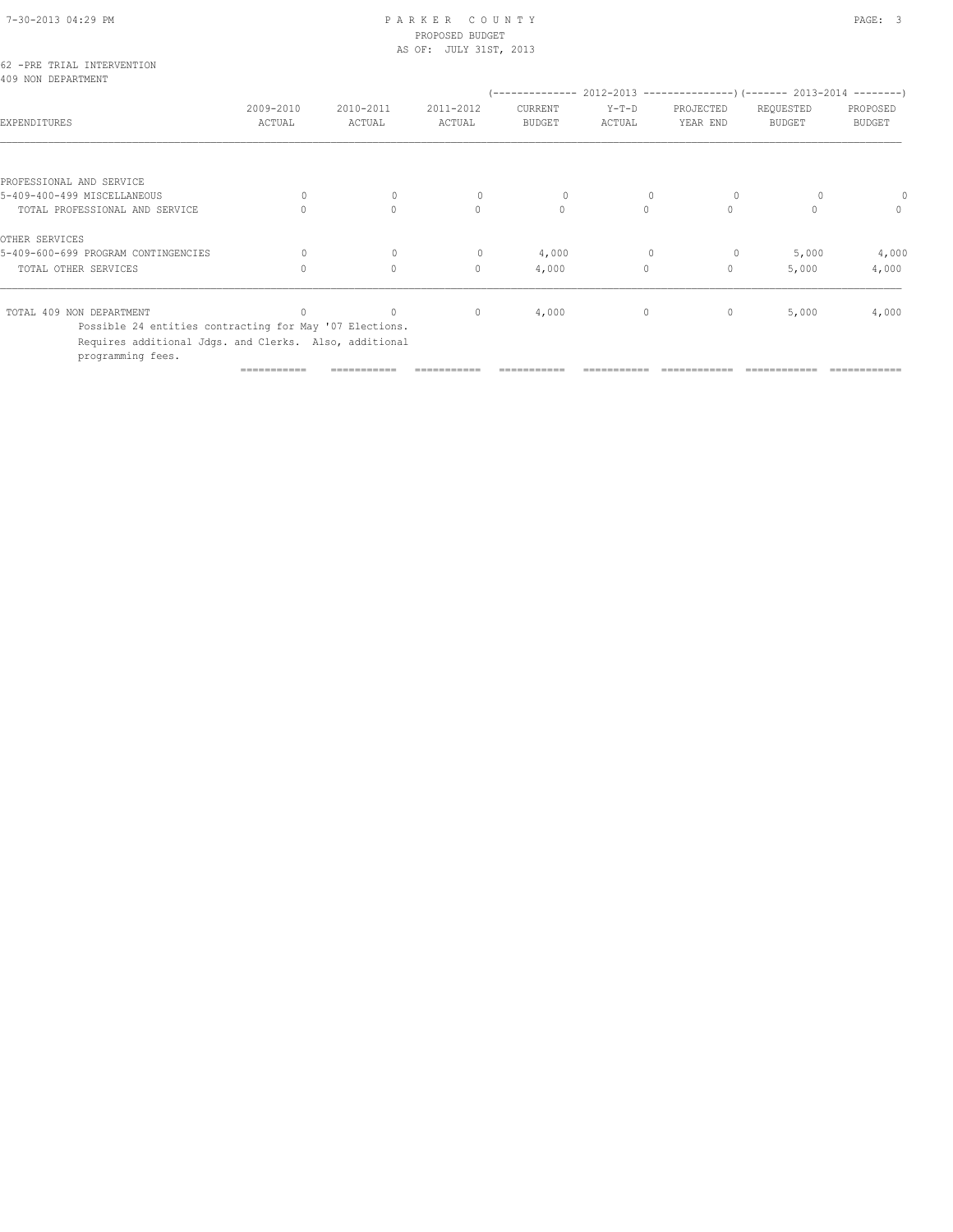# 7-30-2013 04:29 PM P A R K E R C O U N T Y PAGE: 3 PROPOSED BUDGET

|                                                                                                                                        |                     |                     | AS OF: JULY 31ST, 2013 |                          |                   |                       |                                                               |                           |
|----------------------------------------------------------------------------------------------------------------------------------------|---------------------|---------------------|------------------------|--------------------------|-------------------|-----------------------|---------------------------------------------------------------|---------------------------|
| 62 -PRE TRIAL INTERVENTION<br>409 NON DEPARTMENT                                                                                       |                     |                     |                        | ------------             |                   |                       | 2012-2013 --------------------- (------- 2013-2014 ---------) |                           |
| EXPENDITURES                                                                                                                           | 2009-2010<br>ACTUAL | 2010-2011<br>ACTUAL | 2011-2012<br>ACTUAL    | CURRENT<br><b>BUDGET</b> | $Y-T-D$<br>ACTUAL | PROJECTED<br>YEAR END | REQUESTED<br><b>BUDGET</b>                                    | PROPOSED<br><b>BUDGET</b> |
|                                                                                                                                        |                     |                     |                        |                          |                   |                       |                                                               |                           |
| PROFESSIONAL AND SERVICE                                                                                                               |                     |                     |                        |                          |                   |                       |                                                               |                           |
| 5-409-400-499 MISCELLANEOUS                                                                                                            | $\Omega$            | $\mathbf{0}$        | $\mathbf{0}$           | $\circ$                  |                   | $\circ$               |                                                               |                           |
| TOTAL PROFESSIONAL AND SERVICE                                                                                                         | $\Omega$            | $\circ$             | $\Omega$               | $\circ$                  | $\circ$           | $\circ$               | $\Omega$                                                      | $\mathbf{0}$              |
| OTHER SERVICES                                                                                                                         |                     |                     |                        |                          |                   |                       |                                                               |                           |
| 5-409-600-699 PROGRAM CONTINGENCIES                                                                                                    | 0                   | $\mathbf 0$         | $\mathbf{0}$           | 4,000                    | $\mathbf{0}$      | $\circ$               | 5,000                                                         | 4,000                     |
| TOTAL OTHER SERVICES                                                                                                                   | $\mathbf{0}$        | $\circ$             | $\mathbf{0}$           | 4,000                    | $\circ$           | $\mathbf{0}$          | 5,000                                                         | 4,000                     |
| TOTAL 409 NON DEPARTMENT                                                                                                               |                     | $\circ$             | $\mathbf{0}$           | 4,000                    | $\circ$           | $\mathbf{0}$          | 5,000                                                         | 4,000                     |
| Possible 24 entities contracting for May '07 Elections.<br>Requires additional Jdgs. and Clerks. Also, additional<br>programming fees. |                     |                     |                        |                          |                   |                       |                                                               |                           |
|                                                                                                                                        |                     |                     |                        |                          |                   |                       |                                                               |                           |

=========== =========== =========== =========== =========== ============ ============ ============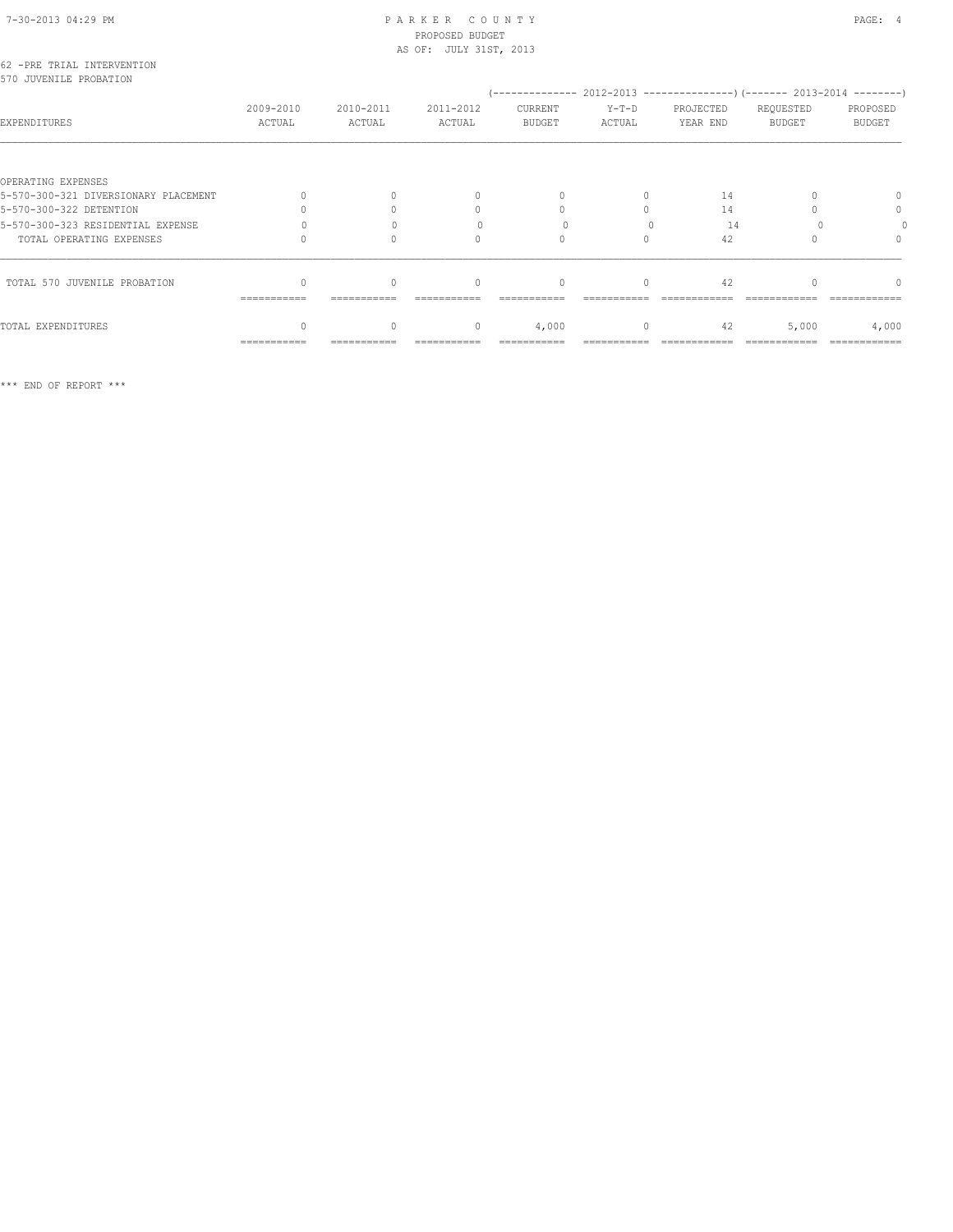| 62 -PRE TRIAL INTERVENTION<br>570 JUVENILE PROBATION | $(---------- 2012-2013$ ----------------) (------- 2013-2014 --------) |                     |                                  |                                  |                   |                       |                     |                                  |  |  |
|------------------------------------------------------|------------------------------------------------------------------------|---------------------|----------------------------------|----------------------------------|-------------------|-----------------------|---------------------|----------------------------------|--|--|
| EXPENDITURES                                         | 2009-2010<br>ACTUAL                                                    | 2010-2011<br>ACTUAL | 2011-2012<br>ACTUAL              | CURRENT<br><b>BUDGET</b>         | $Y-T-D$<br>ACTUAL | PROJECTED<br>YEAR END | REQUESTED<br>BUDGET | PROPOSED<br><b>BUDGET</b>        |  |  |
| OPERATING EXPENSES                                   |                                                                        |                     |                                  |                                  |                   |                       |                     |                                  |  |  |
| 5-570-300-321 DIVERSIONARY PLACEMENT                 |                                                                        |                     | $\begin{array}{c} \n\end{array}$ |                                  | $\Omega$          | 14                    |                     | $\Omega$                         |  |  |
| 5-570-300-322 DETENTION                              |                                                                        |                     |                                  |                                  |                   | 14                    |                     | 0                                |  |  |
| 5-570-300-323 RESIDENTIAL EXPENSE                    |                                                                        |                     |                                  |                                  |                   | 14                    |                     |                                  |  |  |
| TOTAL OPERATING EXPENSES                             |                                                                        |                     | $\cap$                           | $\Omega$                         | $\cap$            | 42                    |                     | $\begin{array}{c} \n\end{array}$ |  |  |
| TOTAL 570 JUVENILE PROBATION                         | ===========                                                            |                     | $\bigcap$                        | $\begin{array}{c} \n\end{array}$ | $\bigcap$         | 42                    |                     | $\cap$                           |  |  |
| TOTAL EXPENDITURES                                   |                                                                        | $\circ$             | $\circ$                          | 4,000                            | $\circ$           | 42                    | 5,000               | 4,000                            |  |  |
|                                                      | ===========                                                            |                     |                                  |                                  |                   |                       |                     |                                  |  |  |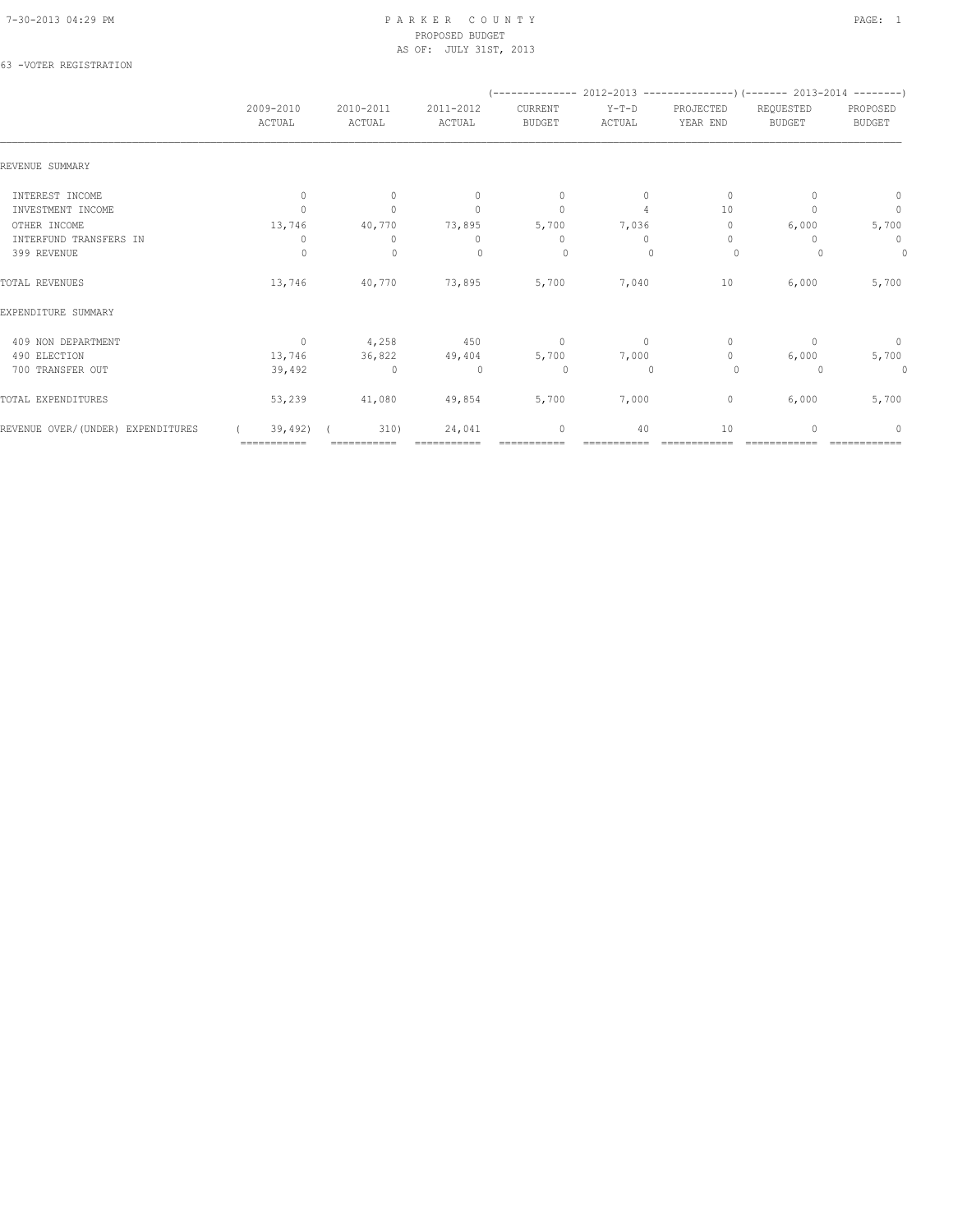### 63 -VOTER REGISTRATION

|                                   |                     |                     |                                  | (-------------- 2012-2013 -------------------) (------- 2013-2014 ---------) |                   |                                  |                            |                           |
|-----------------------------------|---------------------|---------------------|----------------------------------|------------------------------------------------------------------------------|-------------------|----------------------------------|----------------------------|---------------------------|
|                                   | 2009-2010<br>ACTUAL | 2010-2011<br>ACTUAL | 2011-2012<br>ACTUAL              | CURRENT<br><b>BUDGET</b>                                                     | $Y-T-D$<br>ACTUAL | PROJECTED<br>YEAR END            | REQUESTED<br><b>BUDGET</b> | PROPOSED<br><b>BUDGET</b> |
| REVENUE SUMMARY                   |                     |                     |                                  |                                                                              |                   |                                  |                            |                           |
| INTEREST INCOME                   | $\mathbf{0}$        | $\mathbf{0}$        | $\Omega$                         | $\mathbf{0}$                                                                 | $\Omega$          | $\mathbf{0}$                     |                            | 0                         |
| INVESTMENT INCOME                 |                     | $\Omega$            | $\begin{array}{c} \n\end{array}$ | $\mathbf{0}$                                                                 | $\overline{4}$    | 10                               |                            | $\circ$                   |
| OTHER INCOME                      | 13,746              | 40,770              | 73,895                           | 5,700                                                                        | 7,036             | 0                                | 6,000                      | 5,700                     |
| INTERFUND TRANSFERS IN            | 0                   | 0                   | $\begin{array}{c} \n\end{array}$ | 0                                                                            | $\Omega$          | $\begin{array}{c} \n\end{array}$ |                            | 0                         |
| 399 REVENUE                       | $\Omega$            | $\mathbf{0}$        | $\Omega$                         | 0                                                                            |                   | $\circ$                          |                            | $\theta$                  |
| TOTAL REVENUES                    | 13,746              | 40,770              | 73,895                           | 5,700                                                                        | 7,040             | 10                               | 6,000                      | 5,700                     |
| EXPENDITURE SUMMARY               |                     |                     |                                  |                                                                              |                   |                                  |                            |                           |
| 409 NON DEPARTMENT                | $\mathbf{0}$        | 4,258               | 450                              | $\mathbf 0$                                                                  | $\circ$           | $\mathbf{0}$                     | $\Omega$                   | $\mathbb O$               |
| 490 ELECTION                      | 13,746              | 36,822              | 49,404                           | 5,700                                                                        | 7,000             | $\mathbf{0}$                     | 6,000                      | 5,700                     |
| 700 TRANSFER OUT                  | 39,492              | $\circ$             | $\circ$                          | $\circ$                                                                      | $\Omega$          | $\circ$                          |                            | $\circ$                   |
| TOTAL EXPENDITURES                | 53,239              | 41,080              | 49,854                           | 5,700                                                                        | 7,000             | 0                                | 6,000                      | 5,700                     |
| REVENUE OVER/(UNDER) EXPENDITURES | 39,492)             | 310)                | 24,041                           | $\mathbf{0}$                                                                 | 40                | 10                               |                            | $\Omega$                  |
|                                   | ===========         |                     |                                  |                                                                              |                   |                                  |                            |                           |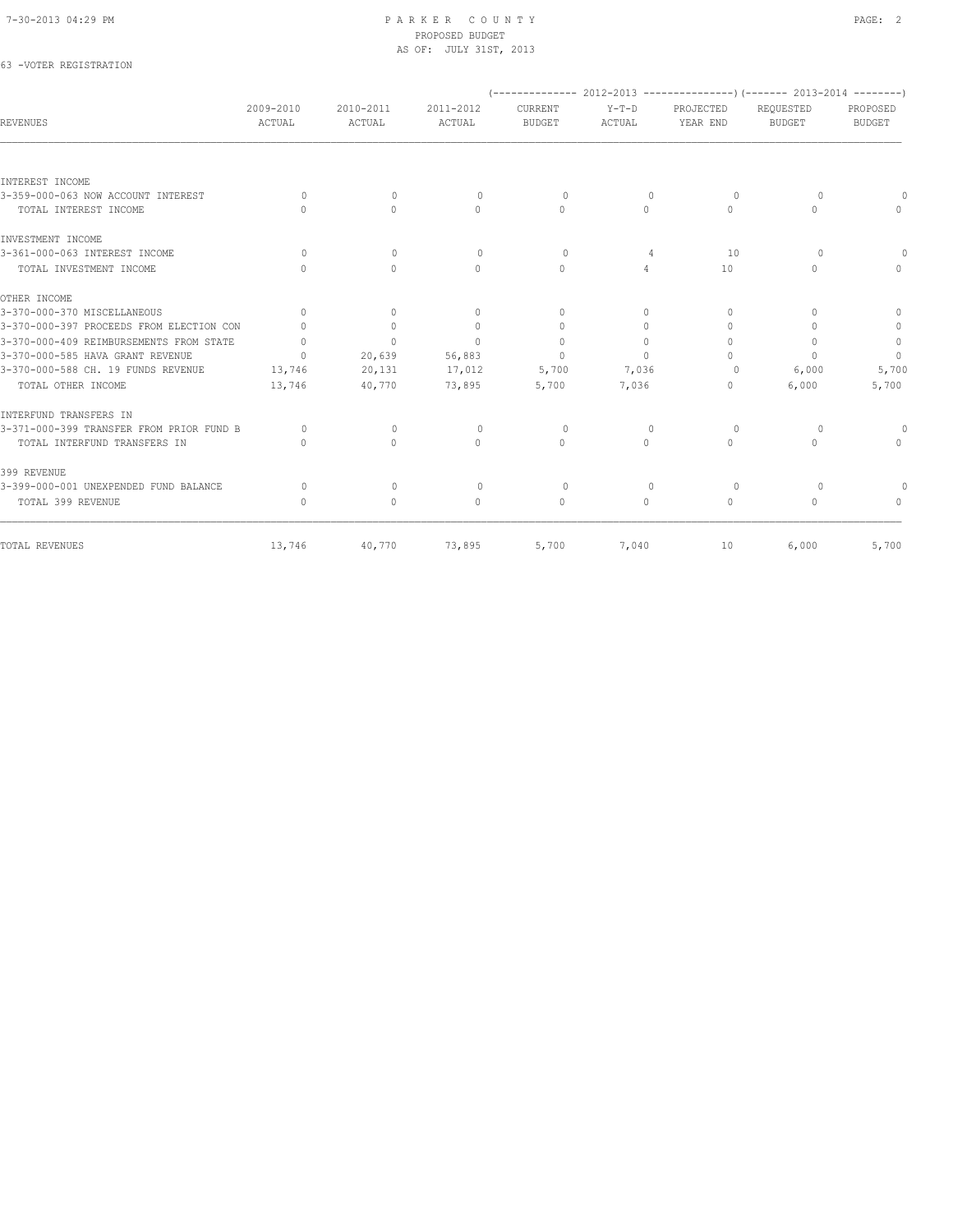| 63 -VOTER REGISTRATION                   |                                  |              |              |                                  |                |                                  |                                                                      |               |
|------------------------------------------|----------------------------------|--------------|--------------|----------------------------------|----------------|----------------------------------|----------------------------------------------------------------------|---------------|
|                                          |                                  |              |              |                                  |                |                                  | $(----------2012-2013$ ----------------) (------- 2013-2014 -------) |               |
|                                          | 2009-2010                        | 2010-2011    | 2011-2012    | CURRENT                          | $Y-T-D$        | PROJECTED                        | REQUESTED                                                            | PROPOSED      |
| <b>REVENUES</b>                          | ACTUAL                           | ACTUAL       | ACTUAL       | <b>BUDGET</b>                    | ACTUAL         | YEAR END                         | <b>BUDGET</b>                                                        | <b>BUDGET</b> |
| INTEREST INCOME                          |                                  |              |              |                                  |                |                                  |                                                                      |               |
| 3-359-000-063 NOW ACCOUNT INTEREST       | $\Omega$                         | $\Omega$     | $\circ$      | $\Omega$                         | $\Omega$       | $\circ$                          | $\Omega$                                                             |               |
| TOTAL INTEREST INCOME                    | $\cap$                           | $\Omega$     | $\Omega$     | $\Omega$                         | $\Omega$       | $\Omega$                         | $\begin{array}{c} \n\end{array}$                                     | $\cap$        |
| INVESTMENT INCOME                        |                                  |              |              |                                  |                |                                  |                                                                      |               |
| 3-361-000-063 INTEREST INCOME            | $\Omega$                         | $\Omega$     | $\Omega$     | $\Omega$                         | $\overline{4}$ | 10                               | $\Omega$                                                             | $\Omega$      |
| TOTAL INVESTMENT INCOME                  | $\begin{array}{c} \n\end{array}$ | $\Omega$     | $\mathbf{0}$ | $\begin{array}{c} \n\end{array}$ | 4              | 10                               | $\Omega$                                                             |               |
| OTHER INCOME                             |                                  |              |              |                                  |                |                                  |                                                                      |               |
| 3-370-000-370 MISCELLANEOUS              | $\Omega$                         | $\Omega$     | $\mathbf{0}$ | $\Omega$                         | $\Omega$       | $\begin{array}{c} \n\end{array}$ | $\begin{array}{c} \n\end{array}$                                     | $\mathbf{0}$  |
| 3-370-000-397 PROCEEDS FROM ELECTION CON | $\Omega$                         | $\Omega$     | $\Omega$     | $\Omega$                         | $\Omega$       | $\Omega$                         |                                                                      | $\circ$       |
| 3-370-000-409 REIMBURSEMENTS FROM STATE  | $\Omega$                         | $\Omega$     | $\Omega$     | $\Omega$                         | $\Omega$       | $\begin{array}{c} \n\end{array}$ | $\begin{array}{c} \n\end{array}$                                     | $\circ$       |
| 3-370-000-585 HAVA GRANT REVENUE         | $\Omega$                         | 20,639       | 56,883       | $\mathbf{0}$                     | $\Omega$       | $\bigcap$                        | $\bigcap$                                                            | $\circ$       |
| 3-370-000-588 CH. 19 FUNDS REVENUE       | 13,746                           | 20,131       | 17,012       | 5,700                            | 7,036          | $\circ$                          | 6,000                                                                | 5,700         |
| TOTAL OTHER INCOME                       | 13,746                           | 40,770       | 73,895       | 5,700                            | 7,036          | 0                                | 6,000                                                                | 5,700         |
| INTERFUND TRANSFERS IN                   |                                  |              |              |                                  |                |                                  |                                                                      |               |
| 3-371-000-399 TRANSFER FROM PRIOR FUND B | $\Omega$                         | $\Omega$     | $\Omega$     | $\Omega$                         | $\Omega$       | $\Omega$                         | $\Omega$                                                             |               |
| TOTAL INTERFUND TRANSFERS IN             | $\bigcap$                        | $\bigcap$    | $\Omega$     | $\begin{array}{c} \n\end{array}$ | $\Omega$       | $\Omega$                         | $\begin{array}{c} \n\end{array}$                                     | $\Omega$      |
| 399 REVENUE                              |                                  |              |              |                                  |                |                                  |                                                                      |               |
| 3-399-000-001 UNEXPENDED FUND BALANCE    | $\Omega$                         | $\mathbf{0}$ | $\mathbf{0}$ | $\circ$                          | 0              | $\circ$                          | 0                                                                    |               |
| TOTAL 399 REVENUE                        | $\Omega$                         | 0            | $\mathbf{0}$ | $\mathbf{0}$                     | $\circ$        | $\mathbf{0}$                     | $\mathbf{0}$                                                         | $\Omega$      |
| TOTAL REVENUES                           | 13,746                           | 40,770       | 73,895       | 5,700                            | 7,040          | 10                               | 6,000                                                                | 5,700         |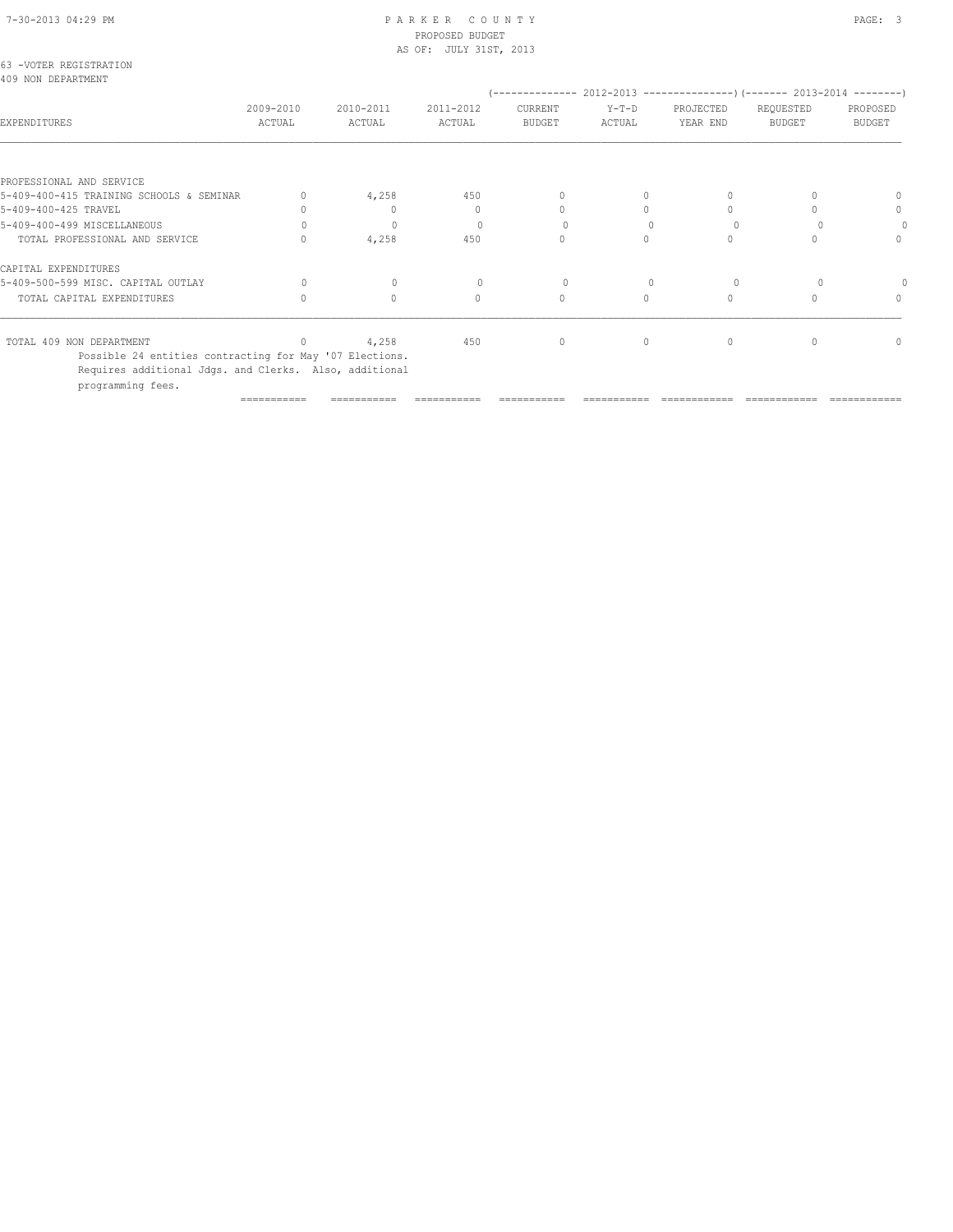# PROPOSED BUDGET

|                                                                  |           |                   | AS OF: JULY 31ST, 2013 |                                  |          |                                  |                                                                                       |          |
|------------------------------------------------------------------|-----------|-------------------|------------------------|----------------------------------|----------|----------------------------------|---------------------------------------------------------------------------------------|----------|
| 63 -VOTER REGISTRATION<br>409 NON DEPARTMENT                     |           |                   |                        |                                  |          |                                  |                                                                                       |          |
|                                                                  | 2009-2010 | 2010-2011         | 2011-2012              | CURRENT                          | $Y-T-D$  | PROJECTED                        | (-------------- 2012-2013 ----------------) (------- 2013-2014 --------)<br>REQUESTED | PROPOSED |
| EXPENDITURES                                                     | ACTUAL    | ACTUAL            | ACTUAL                 | BUDGET                           | ACTUAL   | YEAR END                         | BUDGET                                                                                | BUDGET   |
|                                                                  |           |                   |                        |                                  |          |                                  |                                                                                       |          |
| PROFESSIONAL AND SERVICE                                         |           |                   |                        | $\begin{array}{c} \n\end{array}$ |          |                                  |                                                                                       |          |
| 5-409-400-415 TRAINING SCHOOLS & SEMINAR<br>5-409-400-425 TRAVEL |           | 4,258<br>$\Omega$ | 450<br>0               | $\Omega$                         | $\Omega$ |                                  |                                                                                       | 0<br>0   |
|                                                                  |           |                   | $\Omega$               | $\Omega$                         |          |                                  |                                                                                       | $\Omega$ |
| 5-409-400-499 MISCELLANEOUS                                      |           | $\mathbf{0}$      |                        | $\Omega$                         | $\Omega$ | $\Omega$                         |                                                                                       |          |
| TOTAL PROFESSIONAL AND SERVICE                                   |           | 4,258             | 450                    |                                  |          |                                  |                                                                                       | 0        |
| CAPITAL EXPENDITURES                                             |           |                   |                        |                                  |          |                                  |                                                                                       |          |
| 5-409-500-599 MISC. CAPITAL OUTLAY                               | $\Omega$  | $\mathbf{0}$      |                        | 0                                |          |                                  |                                                                                       |          |
| TOTAL CAPITAL EXPENDITURES                                       |           | $\Omega$          | $\mathbf{0}$           | $\circ$                          | $\Omega$ | $\begin{array}{c} \n\end{array}$ |                                                                                       | 0        |
| TOTAL 409 NON DEPARTMENT                                         |           | 4,258             | 450                    | $\circ$                          | $\circ$  | $\mathbf{0}$                     |                                                                                       | 0        |

=========== =========== =========== =========== =========== ============ ============ ============

 Possible 24 entities contracting for May '07 Elections. Requires additional Jdgs. and Clerks. Also, additional programming fees.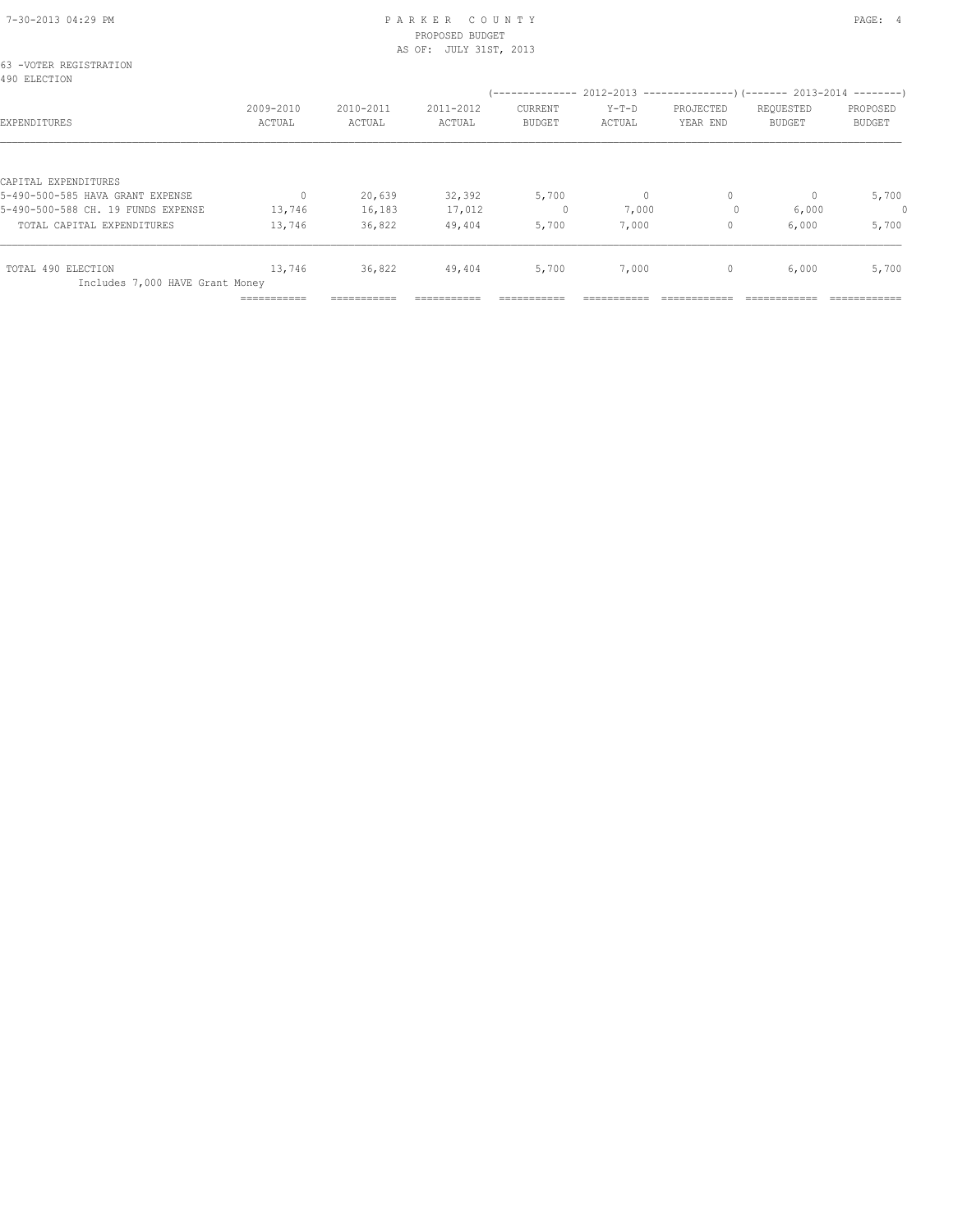| 63 -VOTER REGISTRATION<br>490 ELECTION |                     |                     |                     |                          | (-------------- 2012-2013 ----------------) (------- 2013-2014 --------) |                       |                            |                    |
|----------------------------------------|---------------------|---------------------|---------------------|--------------------------|--------------------------------------------------------------------------|-----------------------|----------------------------|--------------------|
| EXPENDITURES                           | 2009-2010<br>ACTUAL | 2010-2011<br>ACTUAL | 2011-2012<br>ACTUAL | CURRENT<br><b>BUDGET</b> | $Y-T-D$<br>ACTUAL                                                        | PROJECTED<br>YEAR END | REQUESTED<br><b>BUDGET</b> | PROPOSED<br>BUDGET |
| CAPITAL EXPENDITURES                   |                     |                     |                     |                          |                                                                          |                       |                            |                    |
| 5-490-500-585 HAVA GRANT EXPENSE       | $\Omega$            | 20,639              | 32,392              | 5,700                    | $\circ$                                                                  | $\mathbf{0}$          | $\Omega$                   | 5,700              |
| 5-490-500-588 CH. 19 FUNDS EXPENSE     | 13,746              | 16,183              | 17,012              | 0                        | 7,000                                                                    | $\Omega$              | 6,000                      | 0                  |
| TOTAL CAPITAL EXPENDITURES             | 13,746              | 36,822              | 49,404              | 5,700                    | 7,000                                                                    | $\circ$               | 6,000                      | 5,700              |
| TOTAL 490 ELECTION                     | 13,746              | 36,822              | 49,404              | 5,700                    | 7,000                                                                    | $\mathbf{0}$          | 6,000                      | 5,700              |
| Includes 7,000 HAVE Grant Money        | ===========         | ===========         |                     |                          |                                                                          |                       |                            |                    |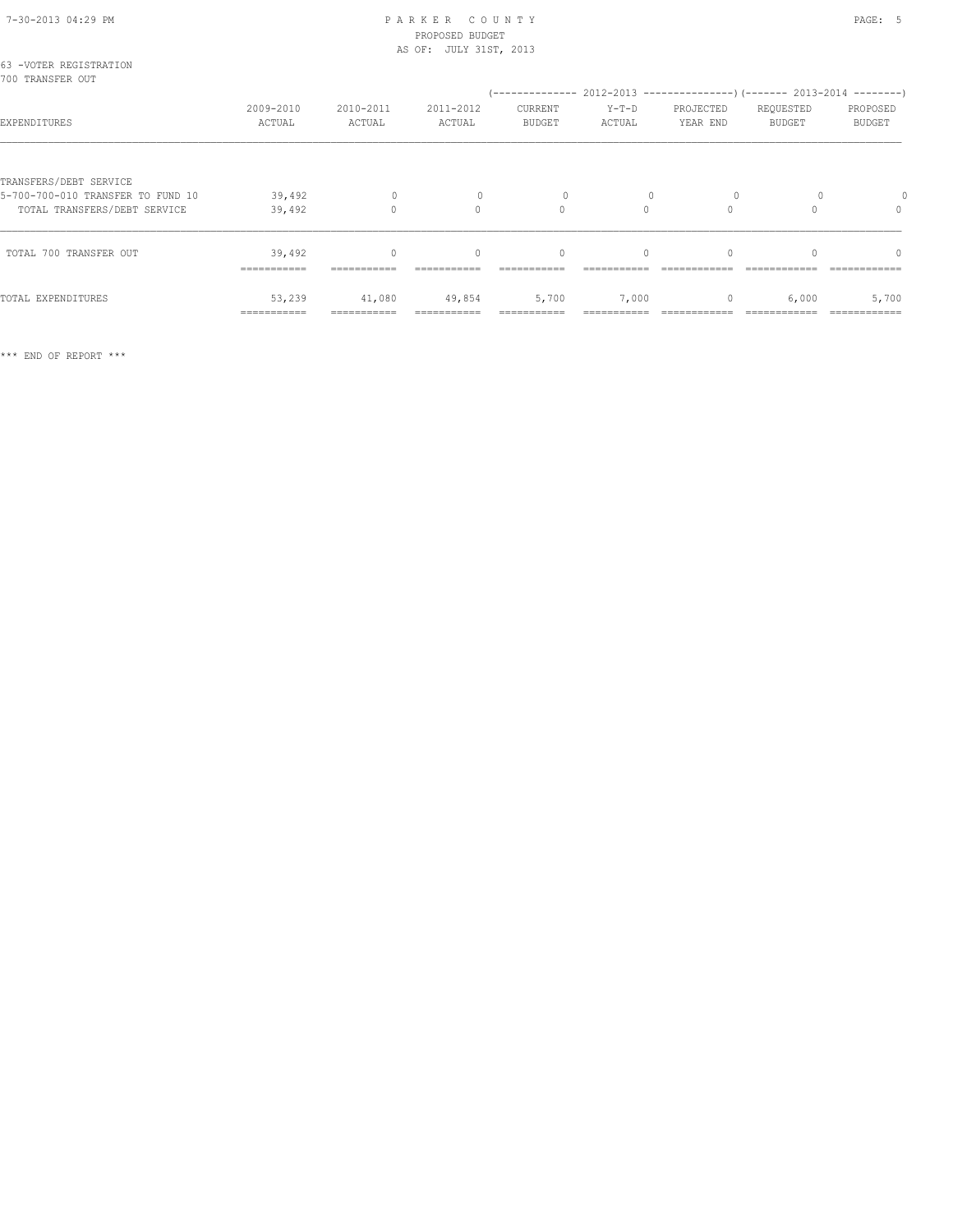# 7-30-2013 04:29 PM P A R K E R C O U N T Y PAGE: 5 PROPOSED BUDGET

|                                            |                     |                     | AS OF: JULY 31ST, 2013 |                          |                   |                                                                          |                     |                           |
|--------------------------------------------|---------------------|---------------------|------------------------|--------------------------|-------------------|--------------------------------------------------------------------------|---------------------|---------------------------|
| 63 -VOTER REGISTRATION<br>700 TRANSFER OUT |                     |                     |                        |                          |                   | (-------------- 2012-2013 ----------------) (------- 2013-2014 --------) |                     |                           |
| EXPENDITURES                               | 2009-2010<br>ACTUAL | 2010-2011<br>ACTUAL | 2011-2012<br>ACTUAL    | CURRENT<br><b>BUDGET</b> | $Y-T-D$<br>ACTUAL | PROJECTED<br>YEAR END                                                    | REQUESTED<br>BUDGET | PROPOSED<br><b>BUDGET</b> |
| TRANSFERS/DEBT SERVICE                     |                     |                     |                        |                          |                   |                                                                          |                     |                           |
| 5-700-700-010 TRANSFER TO FUND 10          | 39,492              | 0                   |                        | 0                        |                   | $\Omega$                                                                 |                     |                           |
| TOTAL TRANSFERS/DEBT SERVICE               | 39,492              |                     | 0                      | 0                        | 0                 |                                                                          |                     | 0                         |

| TOTAL 700 TRANSFER OUT | 39,492      | O           |             | 0                    |            | 0 | $\Omega$ | 0     |
|------------------------|-------------|-------------|-------------|----------------------|------------|---|----------|-------|
|                        | =========== | ----------  | ___________ | ----------           | ---------- |   |          |       |
| TOTAL EXPENDITURES     | 53,239      | 41,080      | 49,854      | 5,700                | 7,000      | 0 | 6,000    | 5,700 |
|                        | =========== | ----------- |             | ______<br>---------- |            |   |          |       |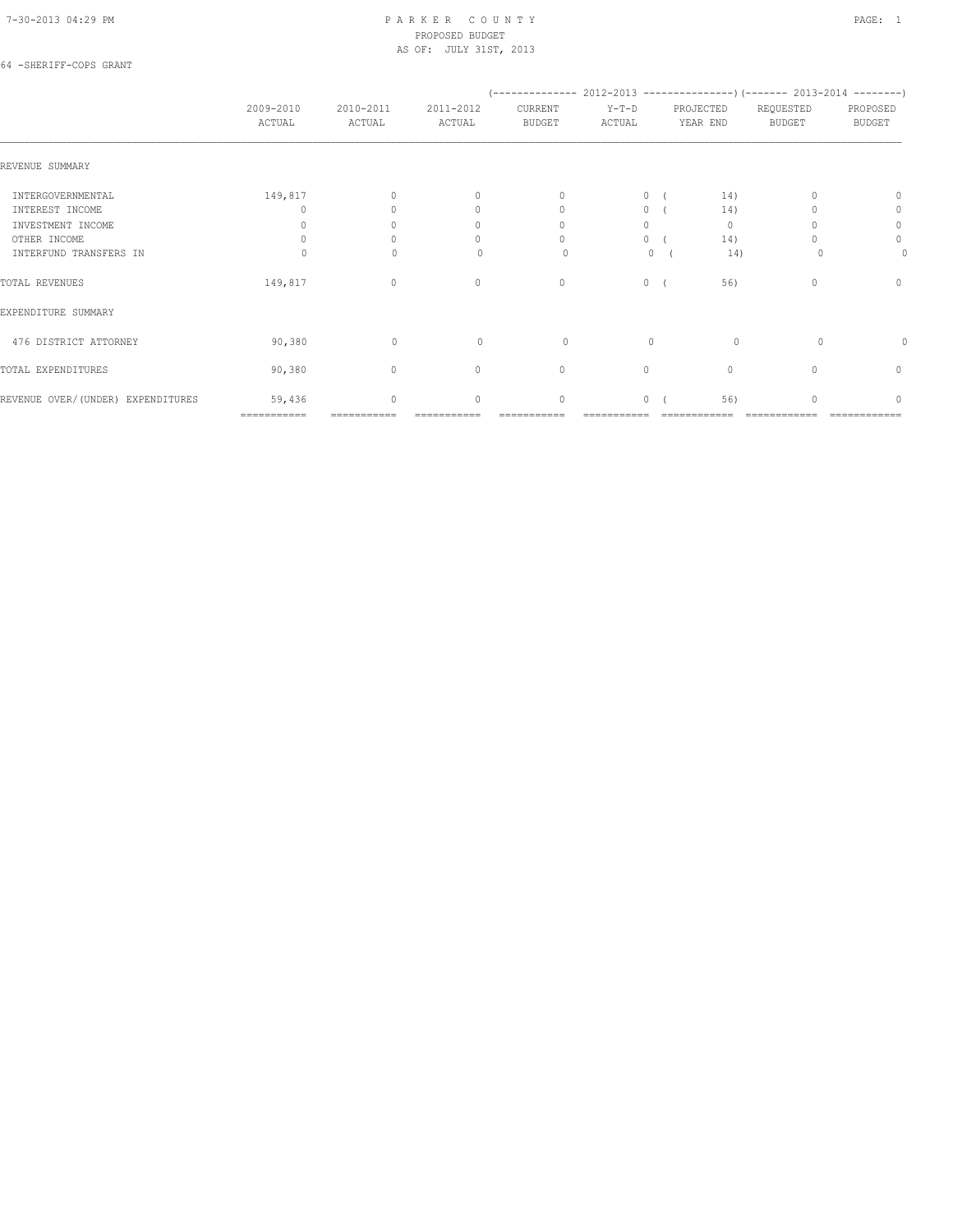### 64 -SHERIFF-COPS GRANT

|                                   | 2009-2010<br>ACTUAL | 2010-2011<br>ACTUAL | 2011-2012<br>ACTUAL              | CURRENT<br><b>BUDGET</b>         | $Y-T-D$<br>ACTUAL | PROJECTED<br>YEAR END | REQUESTED<br><b>BUDGET</b> | PROPOSED<br><b>BUDGET</b> |
|-----------------------------------|---------------------|---------------------|----------------------------------|----------------------------------|-------------------|-----------------------|----------------------------|---------------------------|
| REVENUE SUMMARY                   |                     |                     |                                  |                                  |                   |                       |                            |                           |
| INTERGOVERNMENTAL                 | 149,817             |                     | $\begin{array}{c} \n\end{array}$ | $\begin{array}{c} \n\end{array}$ | $\circ$           | 14)                   |                            | $\Omega$                  |
| INTEREST INCOME                   | 0                   |                     | $\begin{array}{c} \n\end{array}$ | $\begin{array}{c} \n\end{array}$ | $\circ$           | 14)                   |                            | 0                         |
| INVESTMENT INCOME                 | $\Omega$            |                     | $\mathbf{0}$                     | $\Omega$                         | $\Omega$          | $\mathbf{0}$          |                            | $\circ$                   |
| OTHER INCOME                      |                     |                     | 0                                | 0                                | $\circ$           | 14)                   |                            | $\circ$                   |
| INTERFUND TRANSFERS IN            |                     |                     | $\Omega$                         | 0                                | $\mathbf{0}$      | 14)                   |                            | 0                         |
| TOTAL REVENUES                    | 149,817             | $\Omega$            | $\mathbf{0}$                     | $\mathbf{0}$                     | $\circ$           | 56)                   | $\Omega$                   | $\mathbf{0}$              |
| EXPENDITURE SUMMARY               |                     |                     |                                  |                                  |                   |                       |                            |                           |
| 476 DISTRICT ATTORNEY             | 90,380              | $\mathbf{0}$        | $\begin{array}{c} \n\end{array}$ | 0                                | $\mathbf{0}$      | $\circ$               | $\Omega$                   | 0                         |
| TOTAL EXPENDITURES                | 90,380              | $\circ$             | $\circ$                          | $\mathbf{0}$                     | $\circ$           | $\mathbf{0}$          | $\cap$                     | 0                         |
| REVENUE OVER/(UNDER) EXPENDITURES | 59,436              | $\circ$             | $\mathbf{0}$                     | $\mathbf{0}$                     | $\circ$           | 56)                   | O                          | $\Omega$                  |
|                                   | ============        |                     |                                  |                                  |                   |                       |                            |                           |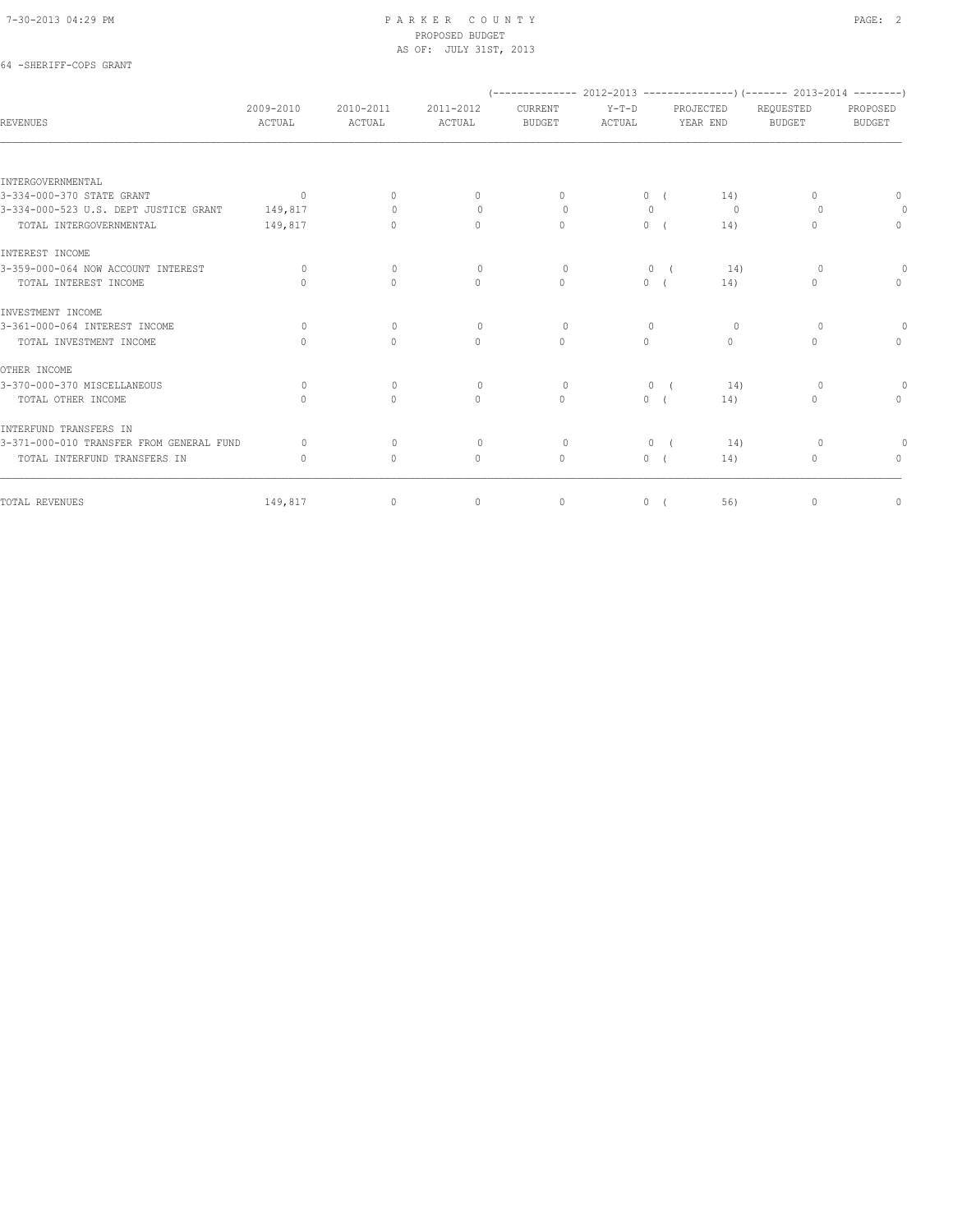64 -SHERIFF-COPS GRANT

#### 7-30-2013 04:29 PM P A R K E R C O U N T Y PAGE: 2 PROPOSED BUDGET AS OF: JULY 31ST, 2013

|                                          |                                  |                     |                     | (-------------- 2012-2013 -----------------) (------- 2013-2014 --------) |                   |            |                              |                            |                           |
|------------------------------------------|----------------------------------|---------------------|---------------------|---------------------------------------------------------------------------|-------------------|------------|------------------------------|----------------------------|---------------------------|
| <b>REVENUES</b>                          | 2009-2010<br>ACTUAL              | 2010-2011<br>ACTUAL | 2011-2012<br>ACTUAL | CURRENT<br><b>BUDGET</b>                                                  | $Y-T-D$<br>ACTUAL |            | <b>PROJECTED</b><br>YEAR END | REQUESTED<br><b>BUDGET</b> | PROPOSED<br><b>BUDGET</b> |
|                                          |                                  |                     |                     |                                                                           |                   |            |                              |                            |                           |
| INTERGOVERNMENTAL                        |                                  |                     |                     |                                                                           |                   |            |                              |                            |                           |
| 3-334-000-370 STATE GRANT                | $\sim$ 0                         | $\mathbf{0}$        | $\circ$             | $\Omega$                                                                  |                   | 0(         | 14)                          | $\Omega$                   | $\mathbf{0}$              |
| 3-334-000-523 U.S. DEPT JUSTICE GRANT    | 149,817                          | $\bigcap$           | $\Omega$            | $\Omega$                                                                  | $\mathbf{0}$      |            | $\Omega$                     | $\Omega$                   | $\overline{0}$            |
| TOTAL INTERGOVERNMENTAL                  | 149,817                          | $\circ$             | $\circ$             | $\Omega$                                                                  |                   | 0(         | 14)                          | $\Omega$                   | $\mathbf{0}$              |
| INTEREST INCOME                          |                                  |                     |                     |                                                                           |                   |            |                              |                            |                           |
| 3-359-000-064 NOW ACCOUNT INTEREST       | $\Omega$                         | $\Omega$            | $\Omega$            | $\Omega$                                                                  |                   | 0(         | 14)                          | $\Omega$                   | $\Omega$                  |
| TOTAL INTEREST INCOME                    | $\begin{array}{c} \n\end{array}$ | $\Omega$            | $\circ$             | $\mathbf{0}$                                                              |                   | 0(         | 14)                          | $\Omega$                   | $\Omega$                  |
| INVESTMENT INCOME                        |                                  |                     |                     |                                                                           |                   |            |                              |                            |                           |
| 3-361-000-064 INTEREST INCOME            | $\Omega$                         | $\Omega$            | $\Omega$            | $\Omega$                                                                  | $\Omega$          |            | $\Omega$                     | $\Omega$                   | $\Omega$                  |
| TOTAL INVESTMENT INCOME                  | $\begin{array}{c} \n\end{array}$ | $\Omega$            | $\circ$             | $\Omega$                                                                  | $\circ$           |            | $\Omega$                     | $\Omega$                   | $\Omega$                  |
| OTHER INCOME                             |                                  |                     |                     |                                                                           |                   |            |                              |                            |                           |
| 3-370-000-370 MISCELLANEOUS              | $\Omega$                         | $\Omega$            | $\Omega$            | $\Omega$                                                                  | $\circ$           | $\sqrt{2}$ | 14)                          | $\Omega$                   | $\circ$                   |
| TOTAL OTHER INCOME                       | $\begin{array}{c} \n\end{array}$ | $\circ$             | $\circ$             | $\mathbf{0}$                                                              |                   | 0(         | 14)                          | 0                          | $\mathbf{0}$              |
| INTERFUND TRANSFERS IN                   |                                  |                     |                     |                                                                           |                   |            |                              |                            |                           |
| 3-371-000-010 TRANSFER FROM GENERAL FUND | $\Omega$                         | $\circ$             | $\circ$             | $\circ$                                                                   |                   | 0(         | 14)                          | $\circ$                    | $\Omega$                  |
| TOTAL INTERFUND TRANSFERS IN             | $\begin{array}{c} \n\end{array}$ | $\circ$             | $\mathbf{0}$        | $\mathbf{0}$                                                              |                   | 0(         | 14)                          | 0                          | $\Omega$                  |
| TOTAL REVENUES                           | 149,817                          | $\circ$             | $\circ$             | $\circ$                                                                   |                   | 0(         | 56)                          | 0                          | $\circ$                   |
|                                          |                                  |                     |                     |                                                                           |                   |            |                              |                            |                           |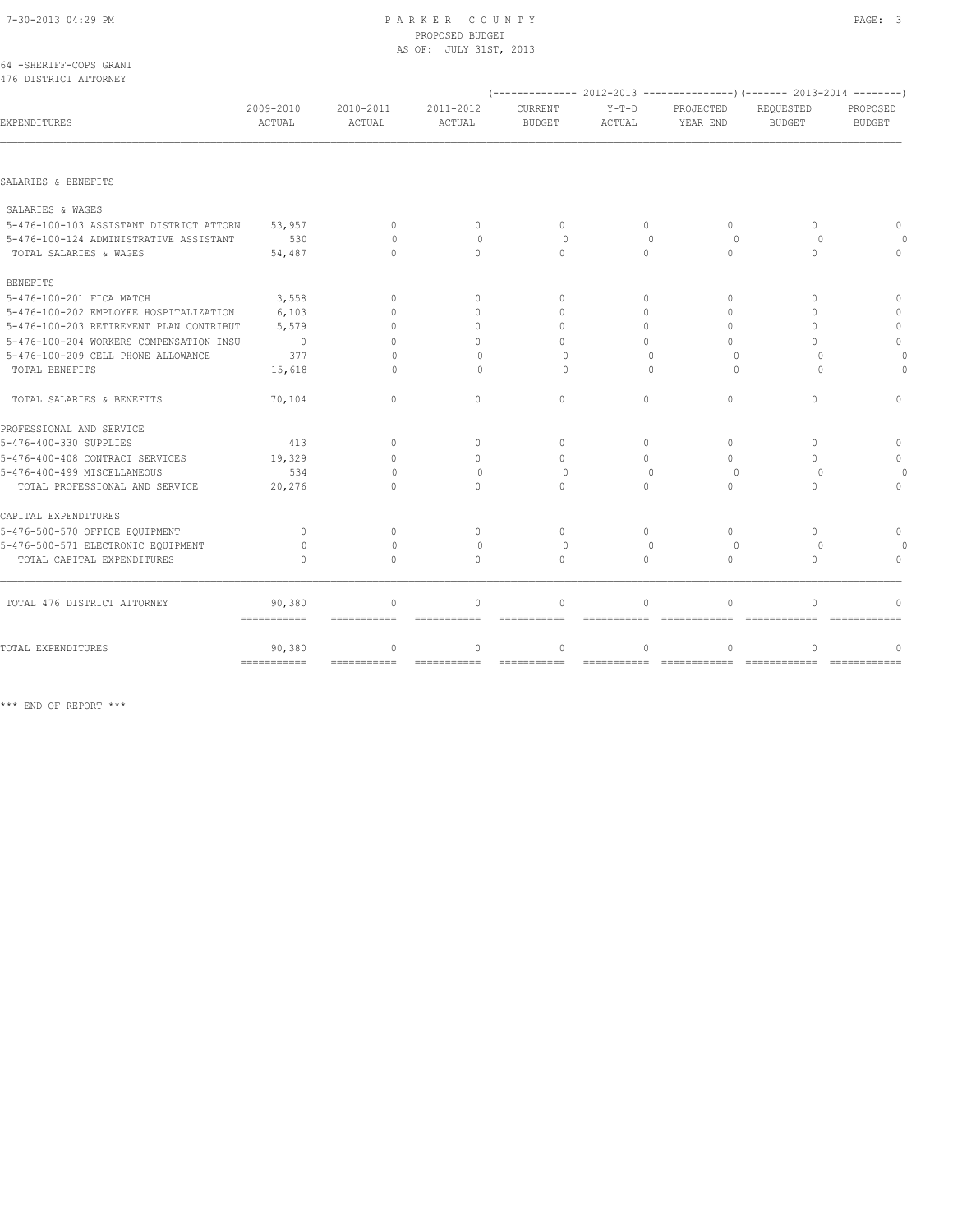# PROPOSED BUDGET AS OF: JULY 31ST, 2013

| 64 -SHERIFF-COPS GRANT |  |
|------------------------|--|
| 476 DISTRICT ATTORNEY  |  |

|                                         |                                     |                                  |                             |                                          |                                      |                              | (-------------- 2012-2013 ----------------) (------- 2013-2014 --------) |                           |
|-----------------------------------------|-------------------------------------|----------------------------------|-----------------------------|------------------------------------------|--------------------------------------|------------------------------|--------------------------------------------------------------------------|---------------------------|
| EXPENDITURES                            | 2009-2010<br>ACTUAL                 | 2010-2011<br>ACTUAL              | 2011-2012<br>ACTUAL         | <b>CURRENT</b><br><b>BUDGET</b>          | $Y-T-D$<br><b>ACTUAL</b>             | PROJECTED<br>YEAR END        | REOUESTED<br><b>BUDGET</b>                                               | PROPOSED<br><b>BUDGET</b> |
|                                         |                                     |                                  |                             |                                          |                                      |                              |                                                                          |                           |
| SALARIES & BENEFITS                     |                                     |                                  |                             |                                          |                                      |                              |                                                                          |                           |
| SALARIES & WAGES                        |                                     |                                  |                             |                                          |                                      |                              |                                                                          |                           |
| 5-476-100-103 ASSISTANT DISTRICT ATTORN | 53,957                              | $\mathbf{0}$                     | $\mathbf{0}$                | $\mathbf{0}$                             | $\circ$                              | $\Omega$                     | $\mathbf{0}$                                                             | $\Omega$                  |
| 5-476-100-124 ADMINISTRATIVE ASSISTANT  | 530                                 | $\begin{array}{c} \n\end{array}$ | $\Omega$                    | $\Omega$                                 | $\Omega$                             | $\Omega$                     | $\Omega$                                                                 |                           |
| TOTAL SALARIES & WAGES                  | 54,487                              | $\cap$                           | $\cap$                      | $\Omega$                                 | $\Omega$                             | $\cap$                       | $\Omega$                                                                 | $\Omega$                  |
| <b>BENEFITS</b>                         |                                     |                                  |                             |                                          |                                      |                              |                                                                          |                           |
| 5-476-100-201 FICA MATCH                | 3,558                               | $\mathbf{0}$                     | $\mathbf{0}$                | $\Omega$                                 | $\circ$                              | $\Omega$                     | $\cap$                                                                   | $\bigcap$                 |
| 5-476-100-202 EMPLOYEE HOSPITALIZATION  | 6,103                               | $\cap$                           | $\Omega$                    | $\Omega$                                 | $\Omega$                             | $\Omega$                     | $\Omega$                                                                 | $\cap$                    |
| 5-476-100-203 RETIREMENT PLAN CONTRIBUT | 5,579                               |                                  | $\Omega$                    | $\bigcap$                                | $\Omega$                             | $\bigcap$                    | $\cap$                                                                   | $\Omega$                  |
| 5-476-100-204 WORKERS COMPENSATION INSU | $\overline{0}$                      |                                  | $\Omega$                    | $\Omega$                                 | $\Omega$                             | $\cap$                       | $\Omega$                                                                 | $\Omega$                  |
| 5-476-100-209 CELL PHONE ALLOWANCE      | 377                                 | $\cap$                           | 0                           | $\Omega$                                 | $\cap$                               | $\cap$                       | $\Omega$                                                                 |                           |
| TOTAL BENEFITS                          | 15,618                              | $\bigcap$                        | $\Omega$                    | $\cap$                                   | $\Omega$                             | $\bigcap$                    | $\Omega$                                                                 |                           |
| TOTAL SALARIES & BENEFITS               | 70,104                              | $\Omega$                         | $\Omega$                    | $\Omega$                                 | $\Omega$                             | $\Omega$                     | $\Omega$                                                                 | ∩                         |
| PROFESSIONAL AND SERVICE                |                                     |                                  |                             |                                          |                                      |                              |                                                                          |                           |
| 5-476-400-330 SUPPLIES                  | 413                                 | $\Omega$                         | $\Omega$                    | $\Omega$                                 | $\Omega$                             | $\Omega$                     | $\Omega$                                                                 | $\bigcap$                 |
| 5-476-400-408 CONTRACT SERVICES         | 19,329                              | 0                                | $\circ$                     | $\mathbf{0}$                             | $\circ$                              | $\Omega$                     | $\mathbf{0}$                                                             | $\Omega$                  |
| 5-476-400-499 MISCELLANEOUS             | 534                                 | $\cap$                           | $\Omega$                    | $\Omega$                                 | $\Omega$                             | $\Omega$                     | $\Omega$                                                                 |                           |
| TOTAL PROFESSIONAL AND SERVICE          | 20,276                              | $\cap$                           | $\Omega$                    | $\Omega$                                 | $\Omega$                             | $\Omega$                     | $\Omega$                                                                 | $\mathbf{0}$              |
| CAPITAL EXPENDITURES                    |                                     |                                  |                             |                                          |                                      |                              |                                                                          |                           |
| 5-476-500-570 OFFICE EQUIPMENT          | $\Omega$                            | $\Omega$                         | $\Omega$                    | $\Omega$                                 | $\Omega$                             | $\Omega$                     | $\Omega$                                                                 |                           |
| 5-476-500-571 ELECTRONIC EQUIPMENT      | $\Omega$                            | $\begin{array}{c} \n\end{array}$ | $\mathbf{0}$                | $\circ$                                  | $\Omega$                             | $\circ$                      | $\Omega$                                                                 |                           |
| TOTAL CAPITAL EXPENDITURES              | $\bigcap$                           | 0                                | $\bigcap$                   | $\Omega$                                 | $\Omega$                             | $\Omega$                     | $\Omega$                                                                 |                           |
| TOTAL 476 DISTRICT ATTORNEY             | 90,380                              | $\mathbf{0}$                     | $\mathbf{0}$                | $\mathbf{0}$                             | $\circ$                              | $\Omega$                     | $\Omega$                                                                 |                           |
|                                         | ===========                         |                                  |                             |                                          |                                      |                              |                                                                          |                           |
| TOTAL EXPENDITURES                      | 90,380<br>$=$ = = = = = = = = = = = | $\mathbf{0}$<br>===========      | $\mathbf{0}$<br>=========== | $\mathbf 0$<br>$=$ = = = = = = = = = = = | $\circ$<br>$=$ = = = = = = = = = = = | $\mathbf{0}$<br>============ | $\mathbf{0}$<br>=============                                            | -------------             |
|                                         |                                     |                                  |                             |                                          |                                      |                              |                                                                          |                           |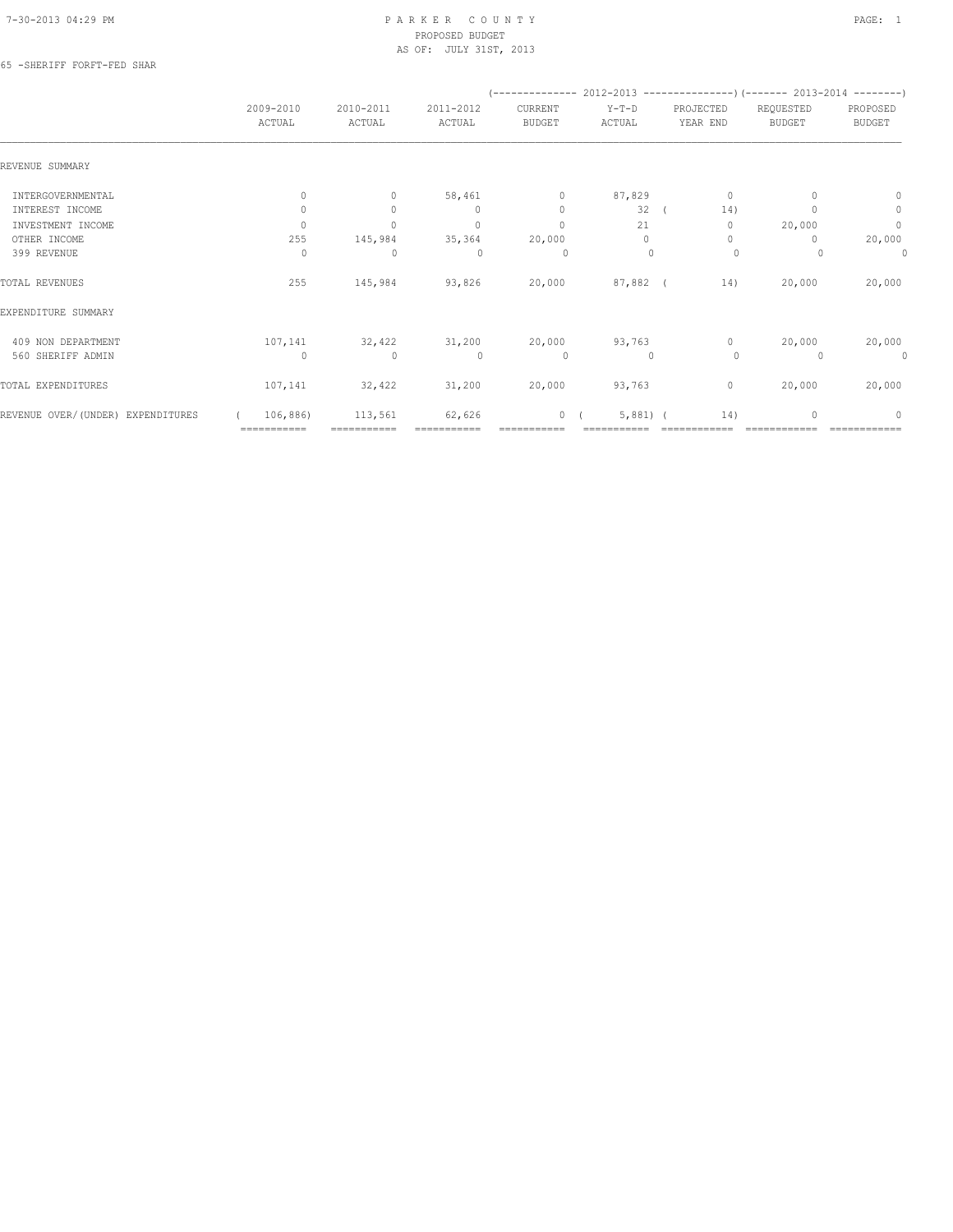#### 65 -SHERIFF FORFT-FED SHAR

|                                   |                     |                     |                     |                          | $(----------2012-2013$ ----------------) (------- 2013-2014 -------) |                       |                            |                           |
|-----------------------------------|---------------------|---------------------|---------------------|--------------------------|----------------------------------------------------------------------|-----------------------|----------------------------|---------------------------|
|                                   | 2009-2010<br>ACTUAL | 2010-2011<br>ACTUAL | 2011-2012<br>ACTUAL | CURRENT<br><b>BUDGET</b> | $Y-T-D$<br>ACTUAL                                                    | PROJECTED<br>YEAR END | REQUESTED<br><b>BUDGET</b> | PROPOSED<br><b>BUDGET</b> |
| REVENUE SUMMARY                   |                     |                     |                     |                          |                                                                      |                       |                            |                           |
| INTERGOVERNMENTAL                 | $\mathbf{0}$        | $\circ$             | 58,461              | $\circ$                  | 87,829                                                               | 0                     |                            | $\mathbf{0}$              |
| INTEREST INCOME                   | $\Omega$            | $\Omega$            | $\mathbf{0}$        | $\mathbf{0}$             | 32 <sup>0</sup>                                                      | 14)                   |                            | $\circ$                   |
| INVESTMENT INCOME                 | $\Omega$            | $\circ$             | $\mathbf{0}$        | $\mathbf{0}$             | 21                                                                   | $\mathbf{0}$          | 20,000                     | $\circ$                   |
| OTHER INCOME                      | 255                 | 145,984             | 35,364              | 20,000                   | $\Omega$                                                             | $\mathbf{0}$          |                            | 20,000                    |
| 399 REVENUE                       | $\Omega$            | $\mathbf{0}$        | $\Omega$            | 0                        | $\Omega$                                                             | $\circ$               |                            | 0                         |
| TOTAL REVENUES                    | 255                 | 145,984             | 93,826              | 20,000                   | $87,882$ (                                                           | 14)                   | 20,000                     | 20,000                    |
| EXPENDITURE SUMMARY               |                     |                     |                     |                          |                                                                      |                       |                            |                           |
| 409 NON DEPARTMENT                | 107,141             | 32,422              | 31,200              | 20,000                   | 93,763                                                               | $\Omega$              | 20,000                     | 20,000                    |
| 560 SHERIFF ADMIN                 | $\bigcap$           | $\mathbf{0}$        | $\Omega$            | $\circ$                  | $\Omega$                                                             | $\Omega$              | $\Omega$                   | 0                         |
| TOTAL EXPENDITURES                | 107,141             | 32,422              | 31,200              | 20,000                   | 93,763                                                               | $\circ$               | 20,000                     | 20,000                    |
| REVENUE OVER/(UNDER) EXPENDITURES | 106,886)            | 113,561             | 62,626              | 0(                       | $5,881$ (                                                            | 14)                   | $\Omega$                   | $\Omega$                  |
|                                   | ============        | ===========         |                     |                          |                                                                      |                       |                            |                           |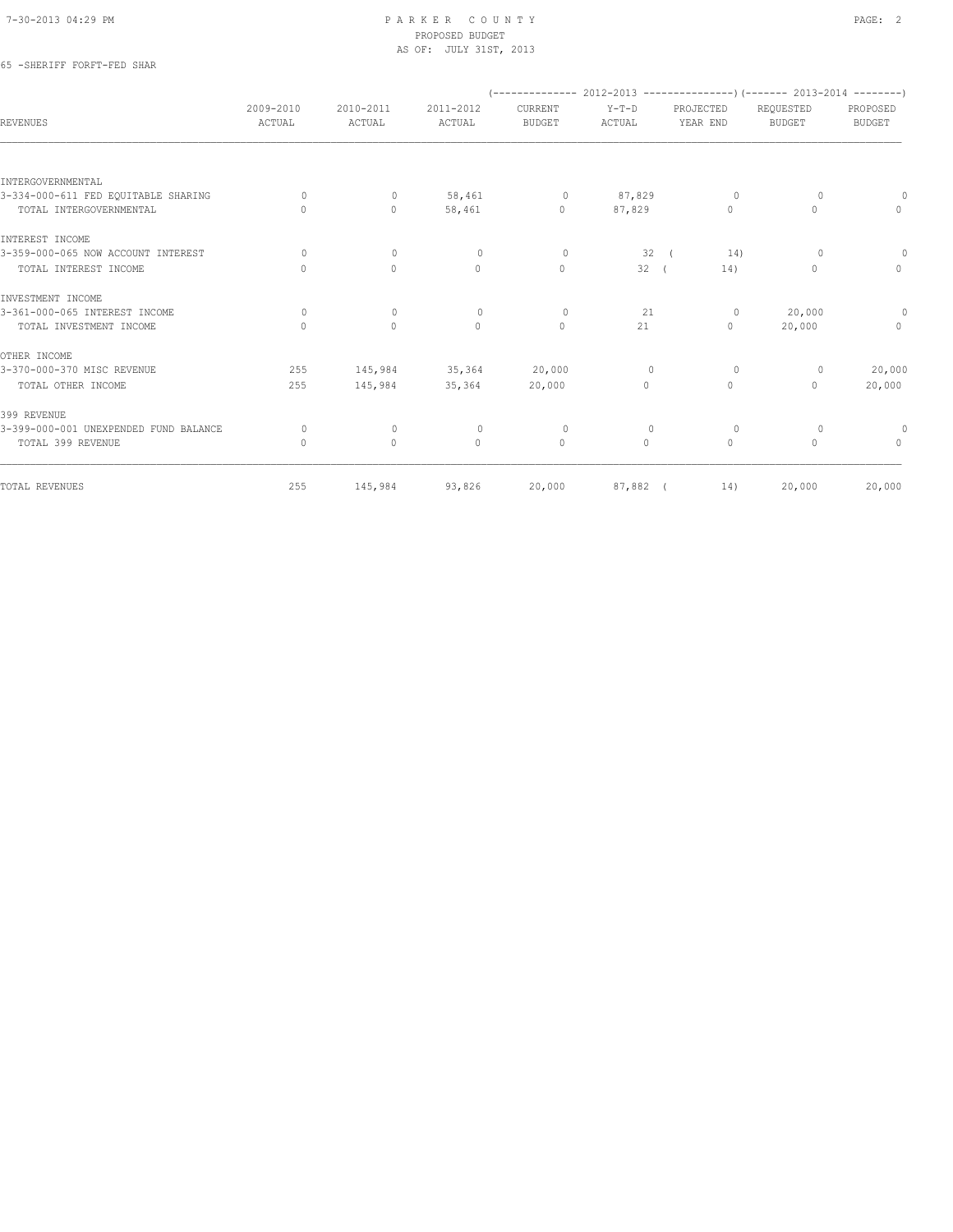## 65 -SHERIFF FORFT-FED SHAR

| 2009-2010<br>ACTUAL | 2010-2011<br>ACTUAL | 2011-2012<br>ACTUAL | CURRENT<br><b>BUDGET</b> | $Y-T-D$<br>ACTUAL | PROJECTED<br>YEAR END            | REQUESTED<br><b>BUDGET</b> | PROPOSED<br>BUDGET                                                       |
|---------------------|---------------------|---------------------|--------------------------|-------------------|----------------------------------|----------------------------|--------------------------------------------------------------------------|
|                     |                     |                     |                          |                   |                                  |                            |                                                                          |
|                     |                     |                     |                          |                   |                                  |                            |                                                                          |
| $\Omega$            | $\circ$             | 58,461              | $\circ$                  | 87,829            | $\circ$                          | $\Omega$                   | $\Omega$                                                                 |
| $\bigcap$           | $\Omega$            | 58,461              | $\circ$                  | 87,829            | $\begin{array}{c} \n\end{array}$ | 0                          | $\Omega$                                                                 |
|                     |                     |                     |                          |                   |                                  |                            |                                                                          |
| $\Omega$            | $\mathbf{0}$        | $\circ$             | $\circ$                  | 32                | 14)                              | $\Omega$                   | $\Omega$                                                                 |
| $\Omega$            | $\circ$             | $\mathbf{0}$        | $\mathbf{0}$             |                   | 14)                              | $\Omega$                   | $\circ$                                                                  |
|                     |                     |                     |                          |                   |                                  |                            |                                                                          |
| $\Omega$            | $\mathbf{0}$        | $\mathbf{0}$        | $\circ$                  | 21                | $\circ$                          | 20,000                     | $\circ$                                                                  |
| $\mathbf 0$         | $\mathbf{0}$        | $\mathbf{0}$        | $\circ$                  | 21                | $\circ$                          | 20,000                     | $\circ$                                                                  |
|                     |                     |                     |                          |                   |                                  |                            |                                                                          |
| 255                 | 145,984             | 35,364              | 20,000                   | $\mathbf 0$       | $\circ$                          | $\circ$                    | 20,000                                                                   |
| 255                 | 145,984             | 35,364              | 20,000                   | 0                 | $\circ$                          | 0                          | 20,000                                                                   |
|                     |                     |                     |                          |                   |                                  |                            |                                                                          |
| 0                   | $\mathbf 0$         | $\circ$             | 0                        | $\mathbf{0}$      | 0                                | $\Omega$                   | 0                                                                        |
| $\Omega$            | $\Omega$            | $\Omega$            | $\mathbf{0}$             | $\Omega$          | $\Omega$                         | $\Omega$                   | $\Omega$                                                                 |
| 255                 | 145,984             |                     |                          |                   | 14)                              | 20,000                     | 20,000                                                                   |
|                     |                     |                     | 93,826                   | 20,000            |                                  | 32(<br>87,882 (            | (-------------- 2012-2013 ----------------) (------- 2013-2014 --------) |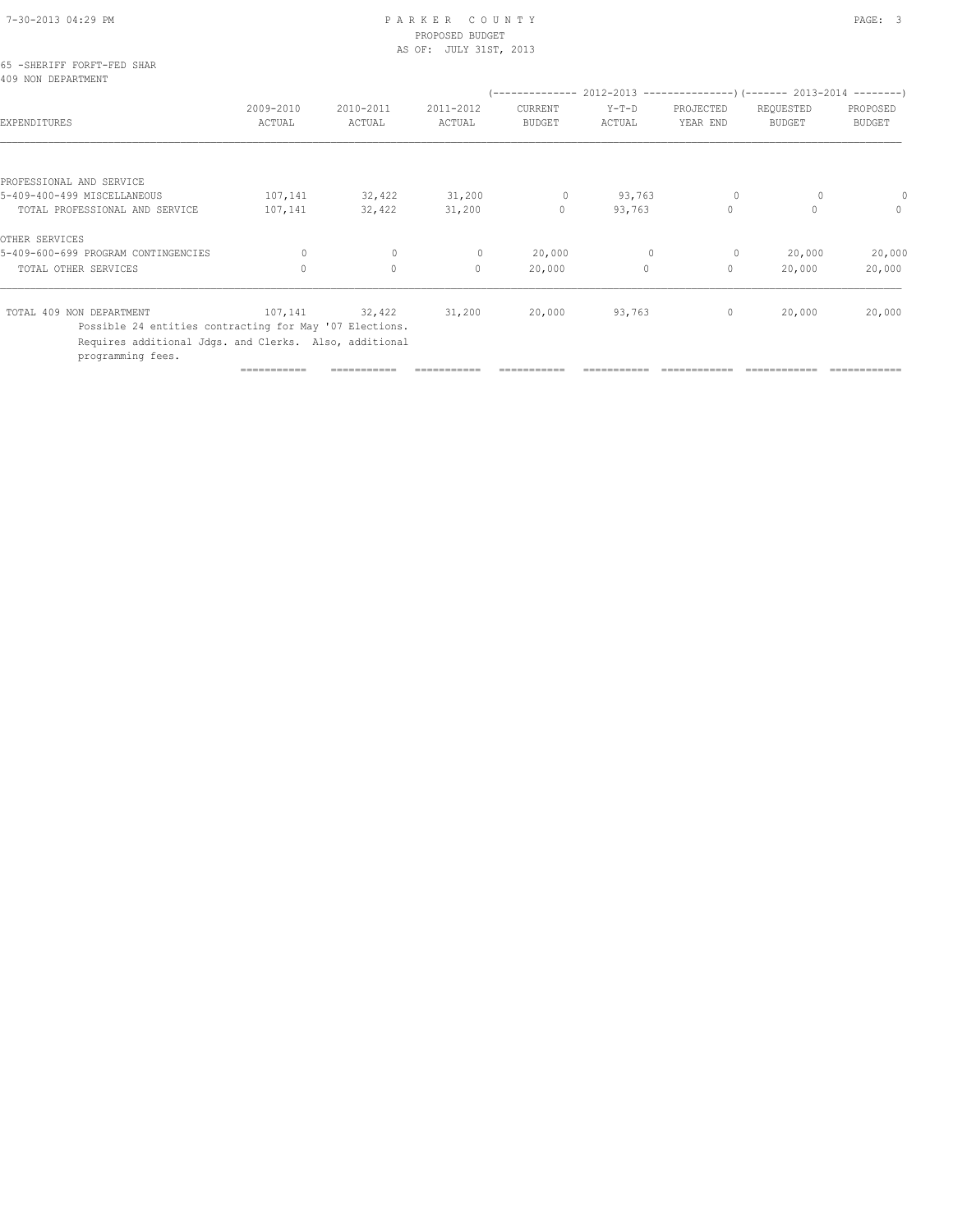| 7-30-2013 04:29 PM |  |
|--------------------|--|

# PARKER COUNTY PAGE: 3 PROPOSED BUDGET

|                                                                                                                                        |                     |                     | AS OF: JULY 31ST, 2013 |                          |                   |                       |                            |                           |
|----------------------------------------------------------------------------------------------------------------------------------------|---------------------|---------------------|------------------------|--------------------------|-------------------|-----------------------|----------------------------|---------------------------|
| 65 -SHERIFF FORFT-FED SHAR<br>409 NON DEPARTMENT                                                                                       |                     |                     |                        |                          |                   |                       |                            |                           |
| EXPENDITURES                                                                                                                           | 2009-2010<br>ACTUAL | 2010-2011<br>ACTUAL | 2011-2012<br>ACTUAL    | CURRENT<br><b>BUDGET</b> | $Y-T-D$<br>ACTUAL | PROJECTED<br>YEAR END | REQUESTED<br><b>BUDGET</b> | PROPOSED<br><b>BUDGET</b> |
| PROFESSIONAL AND SERVICE                                                                                                               |                     |                     |                        |                          |                   |                       |                            |                           |
| 5-409-400-499 MISCELLANEOUS                                                                                                            | 107,141             | 32,422              | 31,200                 | $\circ$                  | 93,763            | $\circ$               |                            |                           |
| TOTAL PROFESSIONAL AND SERVICE                                                                                                         | 107,141             | 32,422              | 31,200                 | $\circ$                  | 93,763            | $\circ$               | $\Omega$                   | $\Omega$                  |
| OTHER SERVICES                                                                                                                         |                     |                     |                        |                          |                   |                       |                            |                           |
| 5-409-600-699 PROGRAM CONTINGENCIES                                                                                                    | 0                   | $\mathbf{0}$        | $\mathbf{0}$           | 20,000                   | $\mathbf{0}$      | $\circ$               | 20,000                     | 20,000                    |
| TOTAL OTHER SERVICES                                                                                                                   | $\circ$             | $\mathbf{0}$        | $\Omega$               | 20,000                   | $\circ$           | $\circ$               | 20,000                     | 20,000                    |
| TOTAL 409 NON DEPARTMENT                                                                                                               | 107,141             | 32,422              | 31,200                 | 20,000                   | 93,763            | $\circ$               | 20,000                     | 20,000                    |
| Possible 24 entities contracting for May '07 Elections.<br>Requires additional Jdgs. and Clerks. Also, additional<br>programming fees. |                     |                     |                        |                          |                   |                       |                            |                           |

=========== =========== =========== =========== =========== ============ ============ ============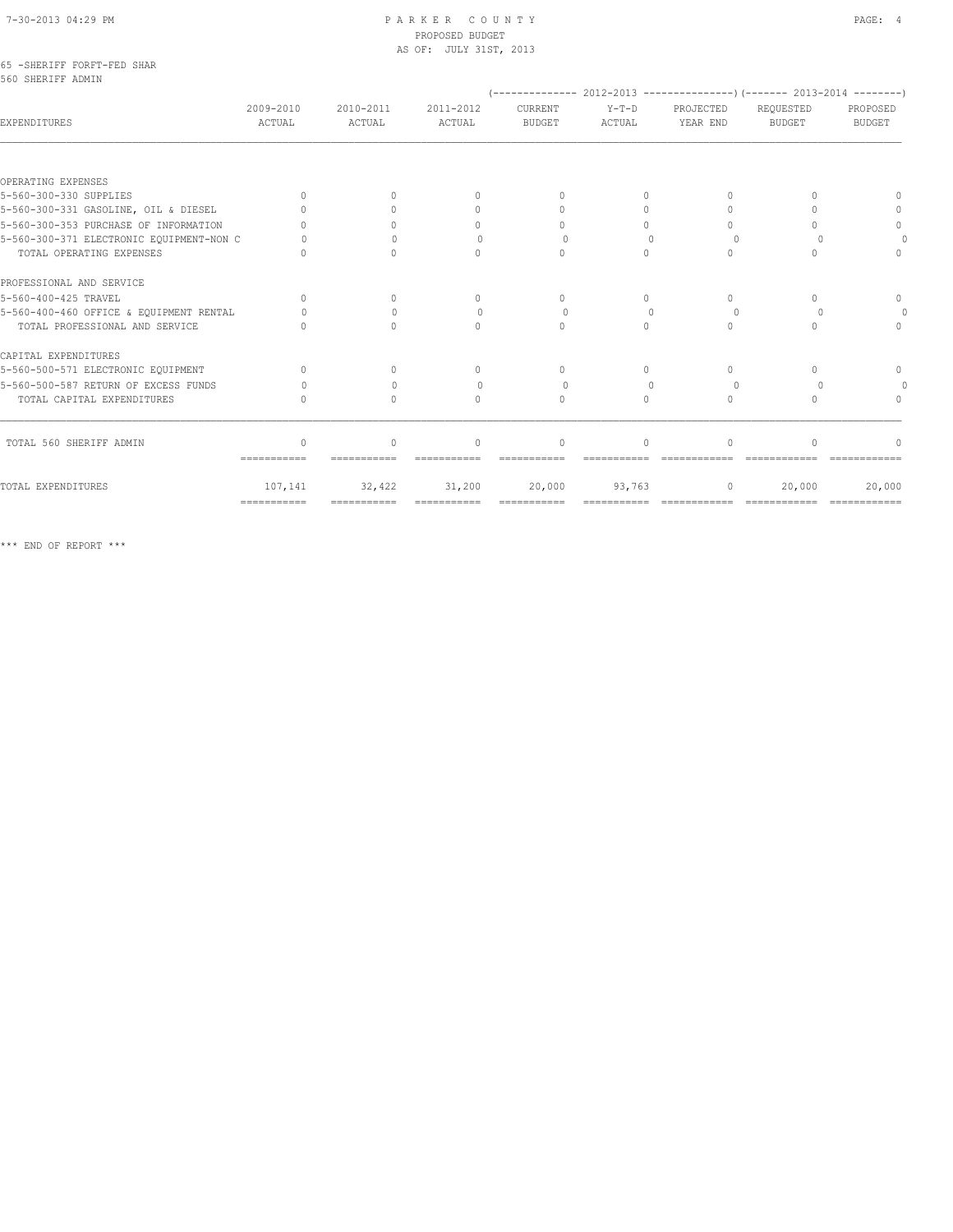|                   | 65 -SHERIFF FORFT-FED SHAR |  |
|-------------------|----------------------------|--|
| 560 SHERIFF ADMIN |                            |  |

|                                          |                     |                     |                                  | (-------------- 2012-2013 -----------------) (------- 2013-2014 --------) |                   |                       |                            |                    |
|------------------------------------------|---------------------|---------------------|----------------------------------|---------------------------------------------------------------------------|-------------------|-----------------------|----------------------------|--------------------|
| <b>EXPENDITURES</b>                      | 2009-2010<br>ACTUAL | 2010-2011<br>ACTUAL | 2011-2012<br>ACTUAL              | CURRENT<br><b>BUDGET</b>                                                  | $Y-T-D$<br>ACTUAL | PROJECTED<br>YEAR END | REQUESTED<br><b>BUDGET</b> | PROPOSED<br>BUDGET |
|                                          |                     |                     |                                  |                                                                           |                   |                       |                            |                    |
| OPERATING EXPENSES                       |                     |                     |                                  |                                                                           |                   |                       |                            |                    |
| 5-560-300-330 SUPPLIES                   | $\bigcap$           |                     | 0                                |                                                                           | $\bigcap$         |                       |                            |                    |
| 5-560-300-331 GASOLINE, OIL & DIESEL     |                     |                     | 0                                |                                                                           | $\bigcap$         |                       |                            |                    |
| 5-560-300-353 PURCHASE OF INFORMATION    |                     |                     | $\Omega$                         |                                                                           |                   |                       |                            | $\Omega$           |
| 5-560-300-371 ELECTRONIC EQUIPMENT-NON C |                     |                     |                                  |                                                                           |                   | $\cup$                |                            |                    |
| TOTAL OPERATING EXPENSES                 |                     |                     | $\Omega$                         | $\bigcap$                                                                 | $\bigcap$         |                       |                            |                    |
| PROFESSIONAL AND SERVICE                 |                     |                     |                                  |                                                                           |                   |                       |                            |                    |
| 5-560-400-425 TRAVEL                     | $\bigcap$           | $\cap$              | $\Omega$                         | $\Omega$                                                                  | $\Omega$          | $\Omega$              |                            | $\Omega$           |
| 5-560-400-460 OFFICE & EQUIPMENT RENTAL  |                     |                     | 0                                |                                                                           |                   |                       |                            |                    |
| TOTAL PROFESSIONAL AND SERVICE           |                     |                     | $\bigcap$                        |                                                                           |                   |                       |                            | $\Omega$           |
| CAPITAL EXPENDITURES                     |                     |                     |                                  |                                                                           |                   |                       |                            |                    |
| 5-560-500-571 ELECTRONIC EQUIPMENT       | $\bigcap$           | $\bigcap$           | $\begin{array}{c} \n\end{array}$ | $\cap$                                                                    | $\bigcap$         | $\bigcap$             |                            | $\cap$             |
| 5-560-500-587 RETURN OF EXCESS FUNDS     |                     |                     | 0                                |                                                                           |                   | $\bigcap$             |                            |                    |
| TOTAL CAPITAL EXPENDITURES               |                     |                     | $\Omega$                         | $\Omega$                                                                  | $\Omega$          | $\bigcap$             |                            |                    |
| TOTAL 560 SHERIFF ADMIN                  | $\mathbf{0}$        | $\circ$             | $\mathbf{0}$                     | $\mathbf{0}$                                                              | $\Omega$          | $\Omega$              | $\cap$                     |                    |
|                                          | ===========         |                     |                                  |                                                                           |                   |                       |                            |                    |
| TOTAL EXPENDITURES                       | 107,141             | 32,422              | 31,200                           | 20,000                                                                    | 93,763            | $\circ$               | 20,000                     | 20,000             |
|                                          | ============        | ============        | ============                     | ============                                                              |                   |                       |                            |                    |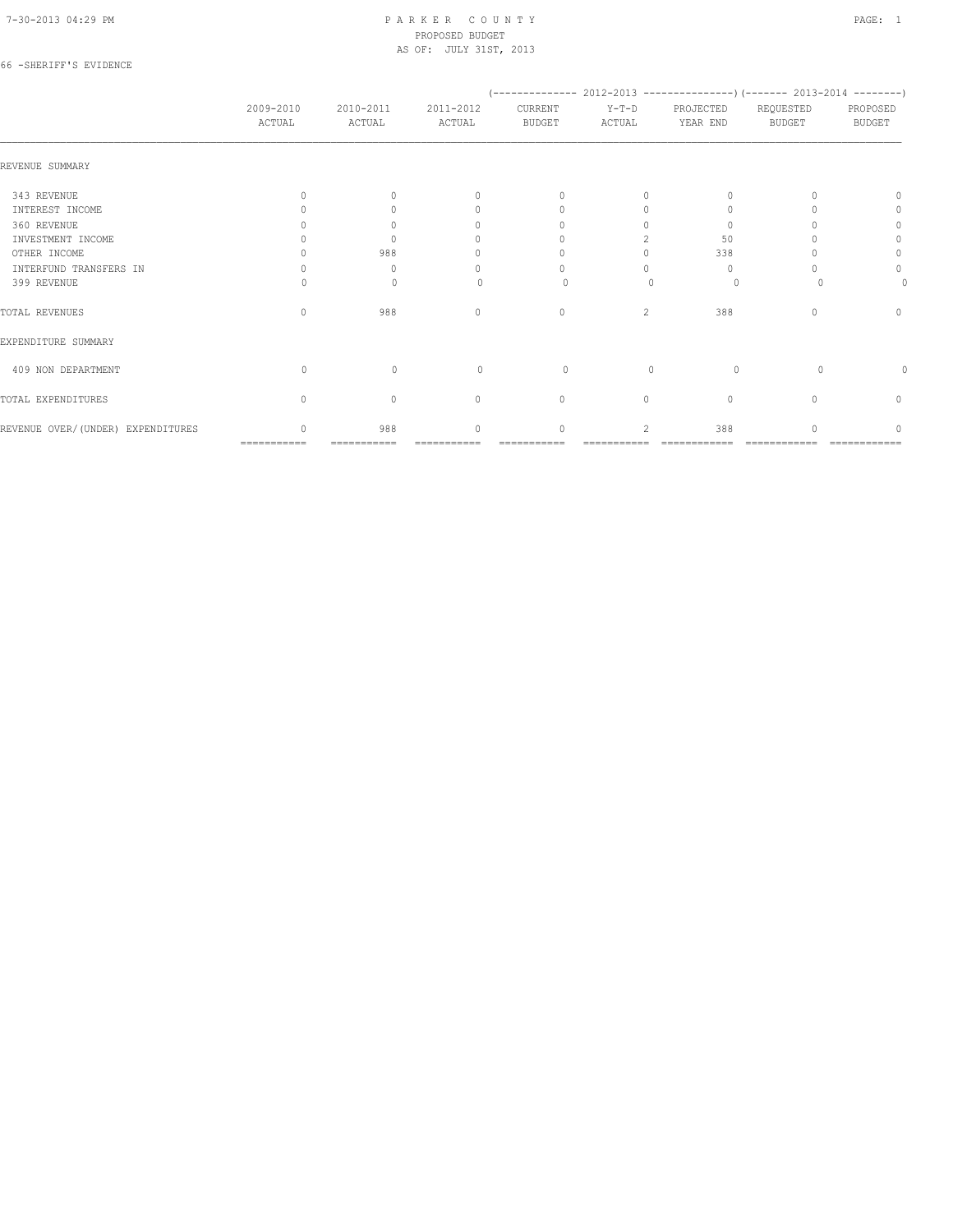#### 66 -SHERIFF'S EVIDENCE

|                                   |                     |                     |                     |                                  |                          | (-------------- 2012-2013 ----------------) (------- 2013-2014 --------) |                            |                           |
|-----------------------------------|---------------------|---------------------|---------------------|----------------------------------|--------------------------|--------------------------------------------------------------------------|----------------------------|---------------------------|
|                                   | 2009-2010<br>ACTUAL | 2010-2011<br>ACTUAL | 2011-2012<br>ACTUAL | CURRENT<br><b>BUDGET</b>         | $Y-T-D$<br>ACTUAL        | PROJECTED<br>YEAR END                                                    | REQUESTED<br><b>BUDGET</b> | PROPOSED<br><b>BUDGET</b> |
| REVENUE SUMMARY                   |                     |                     |                     |                                  |                          |                                                                          |                            |                           |
| 343 REVENUE                       | $\bigcap$           | $\bigcap$           | $\bigcap$           | $\begin{array}{c} \n\end{array}$ | $\Omega$                 | $\Omega$                                                                 |                            | $\cup$                    |
| INTEREST INCOME                   |                     |                     | n                   | $\Omega$                         | $\Omega$                 |                                                                          |                            |                           |
| 360 REVENUE                       |                     |                     | $\cap$              |                                  |                          | $\Omega$                                                                 |                            | 0                         |
| INVESTMENT INCOME                 |                     |                     | ∩                   |                                  |                          | 50                                                                       |                            |                           |
| OTHER INCOME                      |                     | 988                 | n                   |                                  |                          | 338                                                                      |                            | 0                         |
| INTERFUND TRANSFERS IN            |                     | $\Omega$            | n                   |                                  |                          | $\Omega$                                                                 |                            | 0                         |
| 399 REVENUE                       |                     | 0                   |                     | $\Omega$                         |                          | 0                                                                        |                            |                           |
| TOTAL REVENUES                    | $\bigcap$           | 988                 | $\Omega$            | $\mathbf{0}$                     | 2                        | 388                                                                      |                            | $\Omega$                  |
| EXPENDITURE SUMMARY               |                     |                     |                     |                                  |                          |                                                                          |                            |                           |
| 409 NON DEPARTMENT                | $\Omega$            | $\Omega$            | $\Omega$            | $\Omega$                         | $\bigcap$                | $\Omega$                                                                 | $\Omega$                   |                           |
| TOTAL EXPENDITURES                | $\Omega$            | $\mathbf{0}$        | $\mathbf{0}$        | $\circ$                          | $\circ$                  | $\mathbf{0}$                                                             |                            | $\mathbf{0}$              |
| REVENUE OVER/(UNDER) EXPENDITURES | ===========         | 988<br>===========  | $\bigcap$           | $\Omega$                         | $\overline{\mathcal{L}}$ | 388                                                                      |                            |                           |
|                                   |                     |                     |                     |                                  |                          |                                                                          |                            |                           |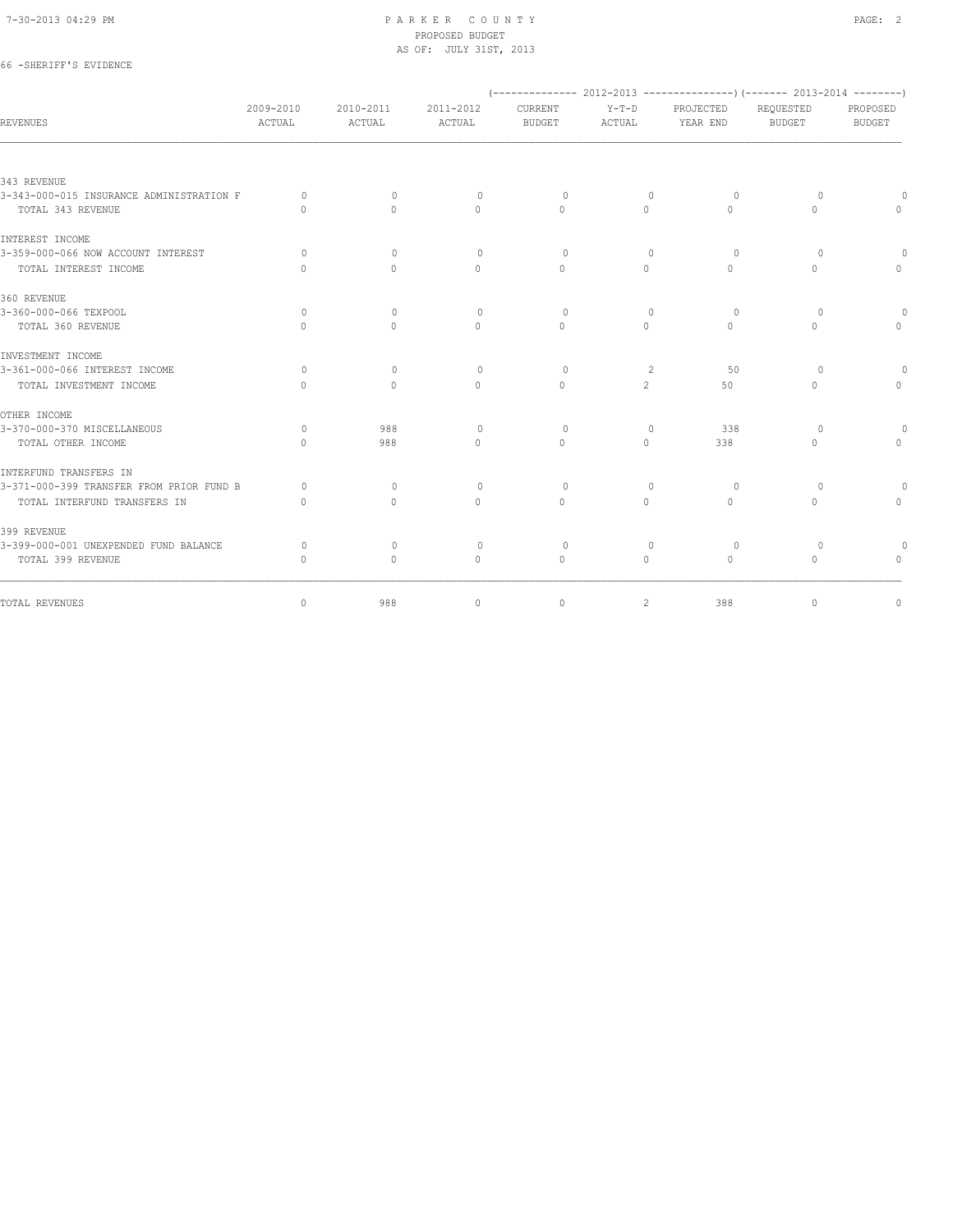66 -SHERIFF'S EVIDENCE

#### 7-30-2013 04:29 PM P A R K E R C O U N T Y PAGE: 2 PROPOSED BUDGET AS OF: JULY 31ST, 2013

|                                          |                                  |                                  |                                  |                                  |                   |                       | (-------------- 2012-2013 ----------------) (------- 2013-2014 --------) |                                  |
|------------------------------------------|----------------------------------|----------------------------------|----------------------------------|----------------------------------|-------------------|-----------------------|--------------------------------------------------------------------------|----------------------------------|
| REVENUES                                 | 2009-2010<br>ACTUAL              | 2010-2011<br>ACTUAL              | 2011-2012<br><b>ACTUAL</b>       | CURRENT<br><b>BUDGET</b>         | $Y-T-D$<br>ACTUAL | PROJECTED<br>YEAR END | REQUESTED<br><b>BUDGET</b>                                               | PROPOSED<br><b>BUDGET</b>        |
|                                          |                                  |                                  |                                  |                                  |                   |                       |                                                                          |                                  |
| 343 REVENUE                              |                                  |                                  |                                  |                                  |                   |                       |                                                                          |                                  |
| 3-343-000-015 INSURANCE ADMINISTRATION F | $\Omega$                         | $\Omega$                         | $\circ$                          | $\circ$                          | $\circ$           | $\circ$               | 0                                                                        |                                  |
| TOTAL 343 REVENUE                        | $\begin{array}{c} \n\end{array}$ | $\bigcap$                        | $\Omega$                         | $\Omega$                         | $\Omega$          | $\Omega$              | $\Omega$                                                                 |                                  |
| INTEREST INCOME                          |                                  |                                  |                                  |                                  |                   |                       |                                                                          |                                  |
| 3-359-000-066 NOW ACCOUNT INTEREST       | $\Omega$                         | $\Omega$                         | $\Omega$                         | $\Omega$                         | $\Omega$          | $\Omega$              | $\Omega$                                                                 |                                  |
| TOTAL INTEREST INCOME                    | $\cap$                           | $\Omega$                         | $\begin{array}{c} \n\end{array}$ | $\begin{array}{c} \n\end{array}$ | $\Omega$          | $\Omega$              | $\begin{array}{c} \n\end{array}$                                         | $\Omega$                         |
| 360 REVENUE                              |                                  |                                  |                                  |                                  |                   |                       |                                                                          |                                  |
| 3-360-000-066 TEXPOOL                    | $\Omega$                         | $\Omega$                         | $\Omega$                         | $\Omega$                         | $\Omega$          | $\Omega$              | $\Omega$                                                                 |                                  |
| TOTAL 360 REVENUE                        | $\Omega$                         | $\begin{array}{c} \n\end{array}$ | $\begin{array}{c} \n\end{array}$ | $\begin{array}{c} \n\end{array}$ | $\Omega$          | $\Omega$              | $\begin{array}{c} \n\end{array}$                                         | $\Omega$                         |
| INVESTMENT INCOME                        |                                  |                                  |                                  |                                  |                   |                       |                                                                          |                                  |
| 3-361-000-066 INTEREST INCOME            | $\Omega$                         | $\Omega$                         | $\Omega$                         | $\Omega$                         | 2                 | .50                   | $\Omega$                                                                 | $\Omega$                         |
| TOTAL INVESTMENT INCOME                  | $\bigcap$                        | $\Omega$                         | $\Omega$                         | $\Omega$                         | $\overline{2}$    | 50                    | $\Omega$                                                                 | $\circ$                          |
| OTHER INCOME                             |                                  |                                  |                                  |                                  |                   |                       |                                                                          |                                  |
| 3-370-000-370 MISCELLANEOUS              | $\Omega$                         | 988                              | $\Omega$                         | $\Omega$                         | $\Omega$          | 338                   | $\Omega$                                                                 | $\Omega$                         |
| TOTAL OTHER INCOME                       | $\Omega$                         | 988                              | $\Omega$                         | $\Omega$                         | $\circ$           | 338                   | $\Omega$                                                                 | $\circ$                          |
| INTERFUND TRANSFERS IN                   |                                  |                                  |                                  |                                  |                   |                       |                                                                          |                                  |
| 3-371-000-399 TRANSFER FROM PRIOR FUND B | $\bigcap$                        | $\bigcap$                        | $\Omega$                         | $\bigcap$                        | $\cap$            | $\Omega$              | $\bigcap$                                                                | $\Omega$                         |
| TOTAL INTERFUND TRANSFERS IN             | $\begin{array}{c} \n\end{array}$ | $\Omega$                         | $\Omega$                         | $\Omega$                         | $\Omega$          | $\Omega$              | $\Omega$                                                                 | $\Omega$                         |
| 399 REVENUE                              |                                  |                                  |                                  |                                  |                   |                       |                                                                          |                                  |
| 3-399-000-001 UNEXPENDED FUND BALANCE    | $\Omega$                         | $\Omega$                         | $\Omega$                         | $\Omega$                         | $\Omega$          | $\circ$               | $\Omega$                                                                 |                                  |
| TOTAL 399 REVENUE                        | $\begin{array}{c} \n\end{array}$ | $\circ$                          | $\circ$                          | $\mathbf{0}$                     | $\circ$           | $\circ$               | $\mathbf{0}$                                                             | $\begin{array}{c} \n\end{array}$ |
| TOTAL REVENUES                           | $\circ$                          | 988                              | $\circ$                          | $\circ$                          | $\mathbf{2}$      | 388                   | $\circ$                                                                  | $\mathbb O$                      |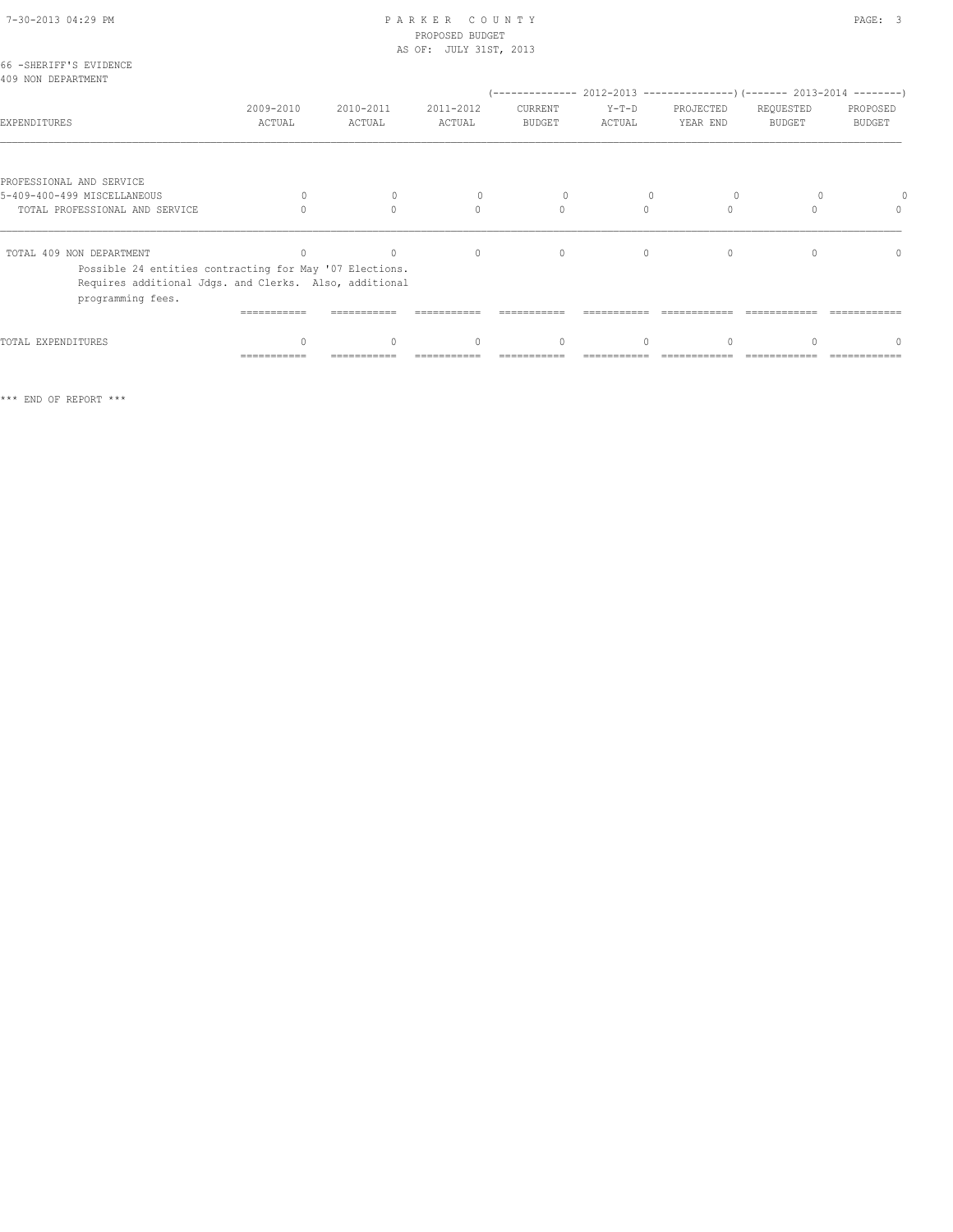| 66 -SHERIFF'S EVIDENCE                                                                                                                 |                     |                     |                                  |                          |                   |                       |                            |                           |
|----------------------------------------------------------------------------------------------------------------------------------------|---------------------|---------------------|----------------------------------|--------------------------|-------------------|-----------------------|----------------------------|---------------------------|
| 409 NON DEPARTMENT                                                                                                                     |                     |                     |                                  |                          |                   |                       |                            |                           |
|                                                                                                                                        |                     |                     |                                  |                          |                   |                       |                            |                           |
| EXPENDITURES                                                                                                                           | 2009-2010<br>ACTUAL | 2010-2011<br>ACTUAL | 2011-2012<br>ACTUAL              | CURRENT<br><b>BUDGET</b> | $Y-T-D$<br>ACTUAL | PROJECTED<br>YEAR END | REQUESTED<br><b>BUDGET</b> | PROPOSED<br><b>BUDGET</b> |
|                                                                                                                                        |                     |                     |                                  |                          |                   |                       |                            |                           |
| PROFESSIONAL AND SERVICE                                                                                                               |                     |                     |                                  |                          |                   |                       |                            |                           |
| 5-409-400-499 MISCELLANEOUS                                                                                                            | $\Omega$            | $\Omega$            | 0                                | 0                        |                   | $\circ$               |                            |                           |
| TOTAL PROFESSIONAL AND SERVICE                                                                                                         |                     |                     | $\Omega$                         | $\mathbf{0}$             | $\Omega$          | $\Omega$              |                            |                           |
| TOTAL 409 NON DEPARTMENT                                                                                                               |                     | $\cap$              | $\circ$                          | $\Omega$                 | $\Omega$          | $\Omega$              |                            | $\Omega$                  |
| Possible 24 entities contracting for May '07 Elections.<br>Requires additional Jdgs. and Clerks. Also, additional<br>programming fees. |                     |                     |                                  |                          |                   |                       |                            |                           |
|                                                                                                                                        |                     |                     |                                  |                          |                   |                       |                            |                           |
| TOTAL EXPENDITURES                                                                                                                     |                     |                     | $\begin{array}{c} \n\end{array}$ | $\Omega$                 | $\bigcap$         |                       |                            |                           |
|                                                                                                                                        | ===========         |                     |                                  |                          |                   |                       |                            |                           |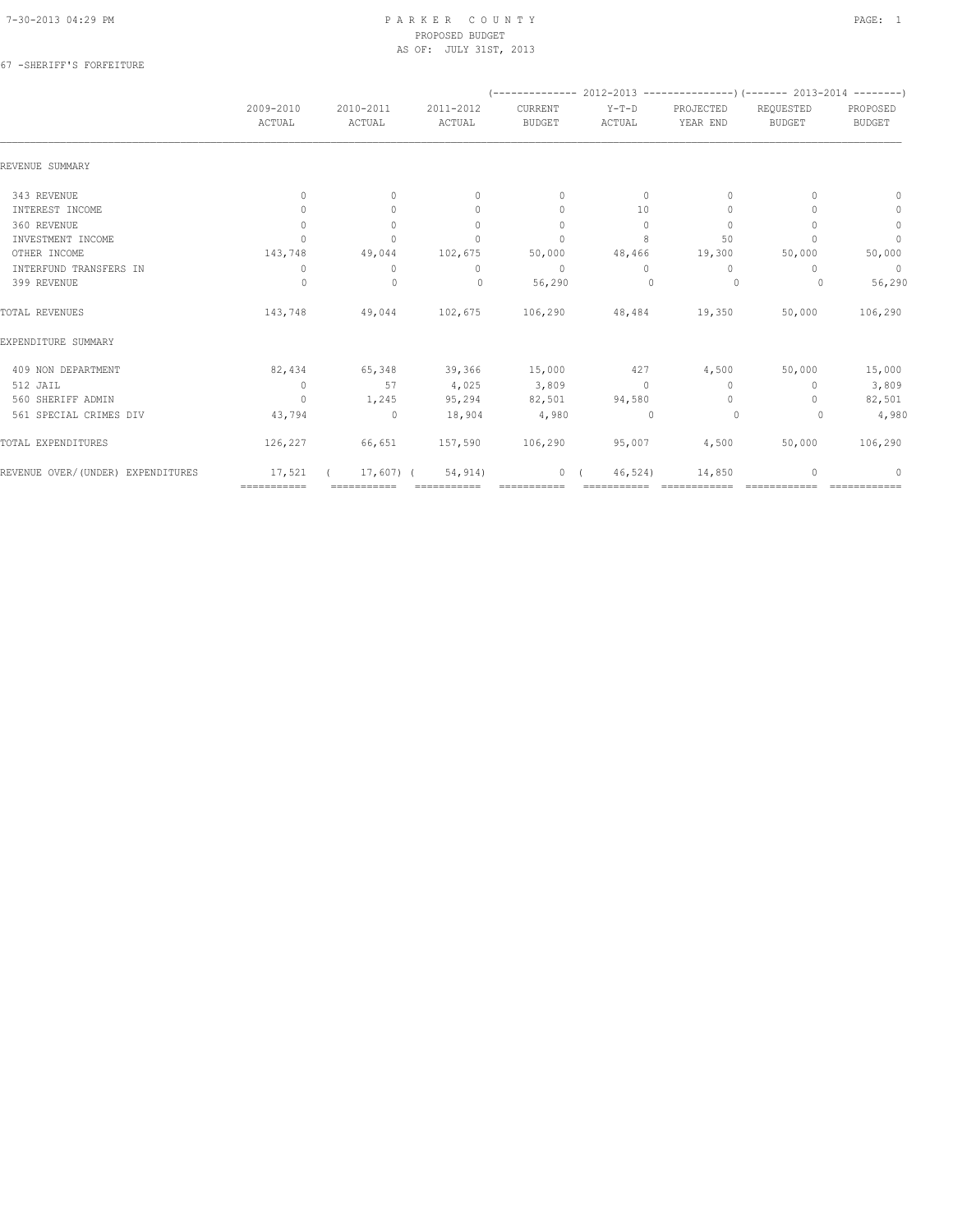### 67 -SHERIFF'S FORFEITURE

|                                   |                                  |                     |                                  |                          |                   | $(----------2012-2013$ ----------------) (------- 2013-2014 -------) |                            |                           |
|-----------------------------------|----------------------------------|---------------------|----------------------------------|--------------------------|-------------------|----------------------------------------------------------------------|----------------------------|---------------------------|
|                                   | 2009-2010<br>ACTUAL              | 2010-2011<br>ACTUAL | 2011-2012<br>ACTUAL              | CURRENT<br><b>BUDGET</b> | $Y-T-D$<br>ACTUAL | PROJECTED<br>YEAR END                                                | REQUESTED<br><b>BUDGET</b> | PROPOSED<br><b>BUDGET</b> |
| REVENUE SUMMARY                   |                                  |                     |                                  |                          |                   |                                                                      |                            |                           |
| 343 REVENUE                       | $\circ$                          | $\circ$             | $\mathbf{0}$                     | $\mathbf{0}$             | $\circ$           | $\mathbf{0}$                                                         | $\Omega$                   | $\mathbf{0}$              |
| INTEREST INCOME                   | $\begin{array}{c} \n\end{array}$ | $\Omega$            | $\begin{array}{c} \n\end{array}$ | $\mathbf{0}$             | 10                | $\mathbf{0}$                                                         |                            | $\circ$                   |
| 360 REVENUE                       | $\mathbf{0}$                     | $\circ$             | $\mathbf{0}$                     | $\mathbf{0}$             | $\circ$           | $\mathbf{0}$                                                         |                            | $\mathbf 0$               |
| INVESTMENT INCOME                 | $\cap$                           | $\Omega$            | $\Omega$                         | $\mathbf{0}$             | 8                 | 50                                                                   |                            | $\mathbf{0}$              |
| OTHER INCOME                      | 143,748                          | 49,044              | 102,675                          | 50,000                   | 48,466            | 19,300                                                               | 50,000                     | 50,000                    |
| INTERFUND TRANSFERS IN            | 0                                | $\mathbf{0}$        | 0                                | $\mathbf{0}$             | $\Omega$          | $\mathbf{0}$                                                         | 0                          | $\circ$                   |
| 399 REVENUE                       | $\Omega$                         | $\mathbf{0}$        | $\Omega$                         | 56,290                   | $\Omega$          | 0                                                                    | $\Omega$                   | 56,290                    |
| TOTAL REVENUES                    | 143,748                          | 49,044              | 102,675                          | 106,290                  | 48,484            | 19,350                                                               | 50,000                     | 106,290                   |
| EXPENDITURE SUMMARY               |                                  |                     |                                  |                          |                   |                                                                      |                            |                           |
| 409 NON DEPARTMENT                | 82,434                           | 65,348              | 39,366                           | 15,000                   | 427               | 4,500                                                                | 50,000                     | 15,000                    |
| 512 JAIL                          | $\circ$                          | 57                  | 4,025                            | 3,809                    | $\Omega$          | $\Omega$                                                             | $\Omega$                   | 3,809                     |
| 560 SHERIFF ADMIN                 | $\mathbf{0}$                     | 1,245               | 95,294                           | 82,501                   | 94,580            | $\mathbf{0}$                                                         | $\cap$                     | 82,501                    |
| 561 SPECIAL CRIMES DIV            | 43,794                           | $\circ$             | 18,904                           | 4,980                    | $\Omega$          | 0                                                                    | $\Omega$                   | 4,980                     |
| TOTAL EXPENDITURES                | 126,227                          | 66,651              | 157,590                          | 106,290                  | 95,007            | 4,500                                                                | 50,000                     | 106,290                   |
| REVENUE OVER/(UNDER) EXPENDITURES | 17,521                           | $17,607$ (          | 54, 914)                         | $\mathbf{0}$             | 46,524)           | 14,850                                                               |                            | $\Omega$                  |
|                                   | ============                     | ===========         |                                  | ===========              |                   |                                                                      |                            |                           |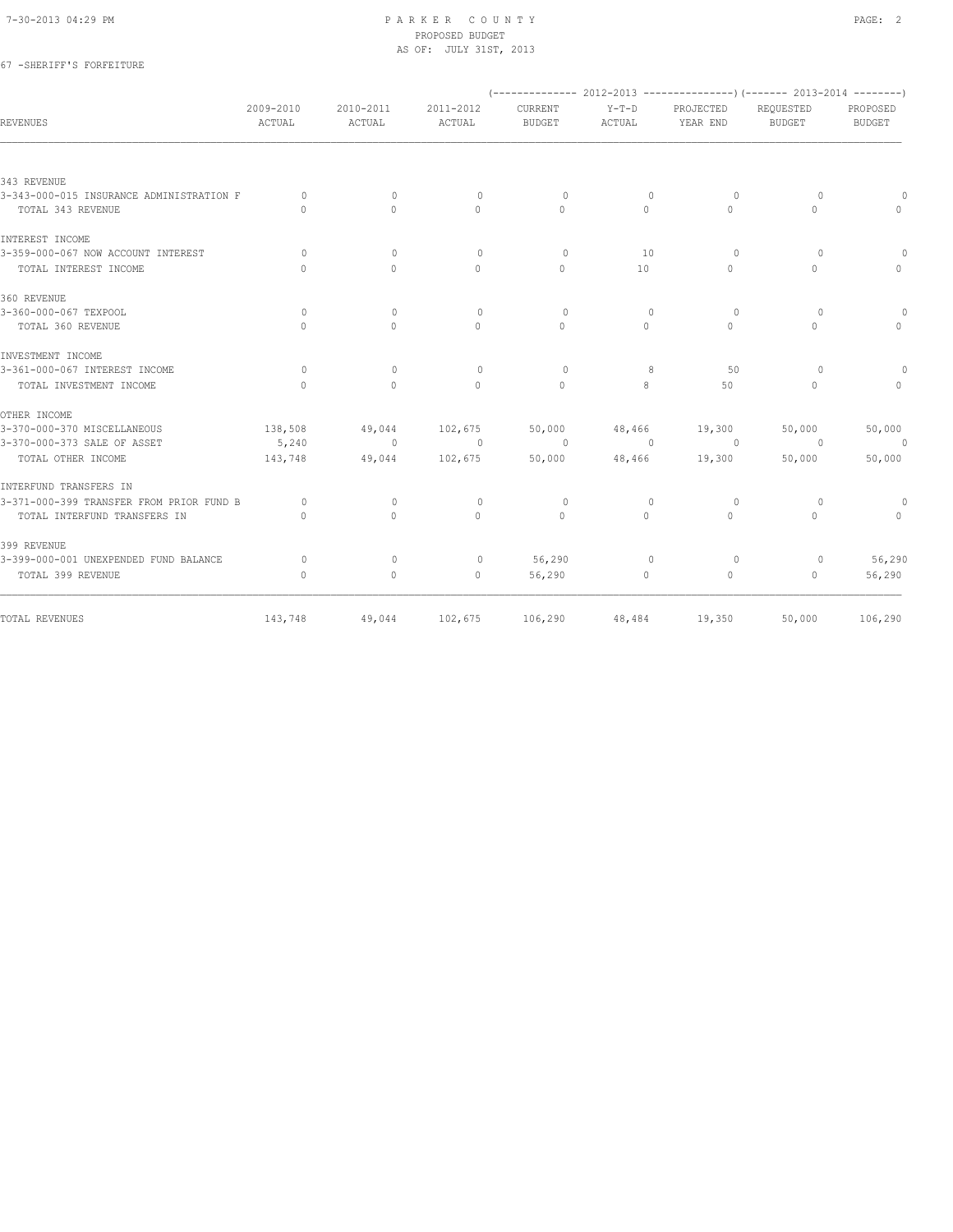# 67 -SHERIFF'S FORFEITURE

|                                          |                                  |                                  |                     |                          |                          |                       | $(----------2012-2013------------)$ $(----2013-2014------)$ |                           |
|------------------------------------------|----------------------------------|----------------------------------|---------------------|--------------------------|--------------------------|-----------------------|-------------------------------------------------------------|---------------------------|
| REVENUES                                 | $2009 - 2010$<br>ACTUAL          | $2010 - 2011$<br>ACTUAL          | 2011-2012<br>ACTUAL | CURRENT<br><b>BUDGET</b> | $Y-T-D$<br>ACTUAL        | PROJECTED<br>YEAR END | REQUESTED<br><b>BUDGET</b>                                  | PROPOSED<br><b>BUDGET</b> |
|                                          |                                  |                                  |                     |                          |                          |                       |                                                             |                           |
| 343 REVENUE                              |                                  |                                  |                     |                          |                          |                       |                                                             |                           |
| 3-343-000-015 INSURANCE ADMINISTRATION F | $\circ$                          | $\mathbf{0}$                     | $\circ$             | $\circ$                  | $\overline{0}$           | $\circ$               | $\circ$                                                     |                           |
| TOTAL 343 REVENUE                        | $\begin{array}{c} \n\end{array}$ | $\Omega$                         | $\Omega$            | $\Omega$                 | $\Omega$                 | $\Omega$              | $\circ$                                                     | $\cap$                    |
| INTEREST INCOME                          |                                  |                                  |                     |                          |                          |                       |                                                             |                           |
| 3-359-000-067 NOW ACCOUNT INTEREST       | $\Omega$                         | $\Omega$                         | $\circ$             | $\Omega$                 | 10                       | $\Omega$              | $\circ$                                                     |                           |
| TOTAL INTEREST INCOME                    | $\begin{array}{c} \n\end{array}$ | $\begin{array}{c} \n\end{array}$ | $\Omega$            | $\Omega$                 | 10                       | $\Omega$              | $\Omega$                                                    | $\Omega$                  |
| 360 REVENUE                              |                                  |                                  |                     |                          |                          |                       |                                                             |                           |
| 3-360-000-067 TEXPOOL                    | $\circ$                          | $\mathbf{0}$                     | $\circ$             | $\circ$                  | $\mathbf{0}$             | $\circ$               | $\circ$                                                     | 0                         |
| TOTAL 360 REVENUE                        | $\bigcap$                        | $\begin{array}{c} \n\end{array}$ | $\Omega$            | $\Omega$                 | $\Omega$                 | $\Omega$              | $\Omega$                                                    | $\Omega$                  |
| INVESTMENT INCOME                        |                                  |                                  |                     |                          |                          |                       |                                                             |                           |
| 3-361-000-067 INTEREST INCOME            | $\circ$                          | $\mathbf{0}$                     | $\circ$             | $\circ$                  | 8                        | 50                    | $\circ$                                                     | $\circ$                   |
| TOTAL INVESTMENT INCOME                  | $\bigcap$                        | $\Omega$                         | $\bigcap$           | $\Omega$                 | 8                        | 50                    | $\Omega$                                                    | $\Omega$                  |
| OTHER INCOME                             |                                  |                                  |                     |                          |                          |                       |                                                             |                           |
| 3-370-000-370 MISCELLANEOUS              | 138,508                          | 49,044                           | 102,675             | 50,000                   |                          | 48,466 19,300         | 50,000                                                      | 50,000                    |
| 3-370-000-373 SALE OF ASSET              | 5,240                            | $\sim$ 0                         | $\overline{0}$      | $\sim$ 0                 | $\overline{\phantom{0}}$ | $\sim$ 0              | $\overline{0}$                                              | $\overline{\phantom{0}}$  |
| TOTAL OTHER INCOME                       | 143,748                          | 49,044                           | 102,675             | 50,000                   |                          | 48,466 19,300         | 50,000                                                      | 50,000                    |
| INTERFUND TRANSFERS IN                   |                                  |                                  |                     |                          |                          |                       |                                                             |                           |
| 3-371-000-399 TRANSFER FROM PRIOR FUND B | $\circ$                          | $\mathbf{0}$                     | $\circ$             | $\circ$                  | $\mathbf{0}$             | 0                     | $\circ$                                                     | $\circ$                   |
| TOTAL INTERFUND TRANSFERS IN             | $\bigcap$                        | $\Omega$                         | $\bigcap$           | $\Omega$                 | $\Omega$                 | $\Omega$              | $\Omega$                                                    | $\Omega$                  |
| 399 REVENUE                              |                                  |                                  |                     |                          |                          |                       |                                                             |                           |
| 3-399-000-001 UNEXPENDED FUND BALANCE    | $\Omega$                         | $\Omega$                         | $\circ$             | 56,290                   | $\mathbf{0}$             | $\Omega$              | $\circ$                                                     | 56,290                    |
| TOTAL 399 REVENUE                        | $\mathbf{0}$                     | 0                                | $\circ$             | 56,290                   | $\circ$                  | 0                     | $\Omega$                                                    | 56,290                    |
| TOTAL REVENUES                           | 143,748                          | 49,044                           |                     | 102,675 106,290          |                          | 48,484 19,350         | 50,000                                                      | 106,290                   |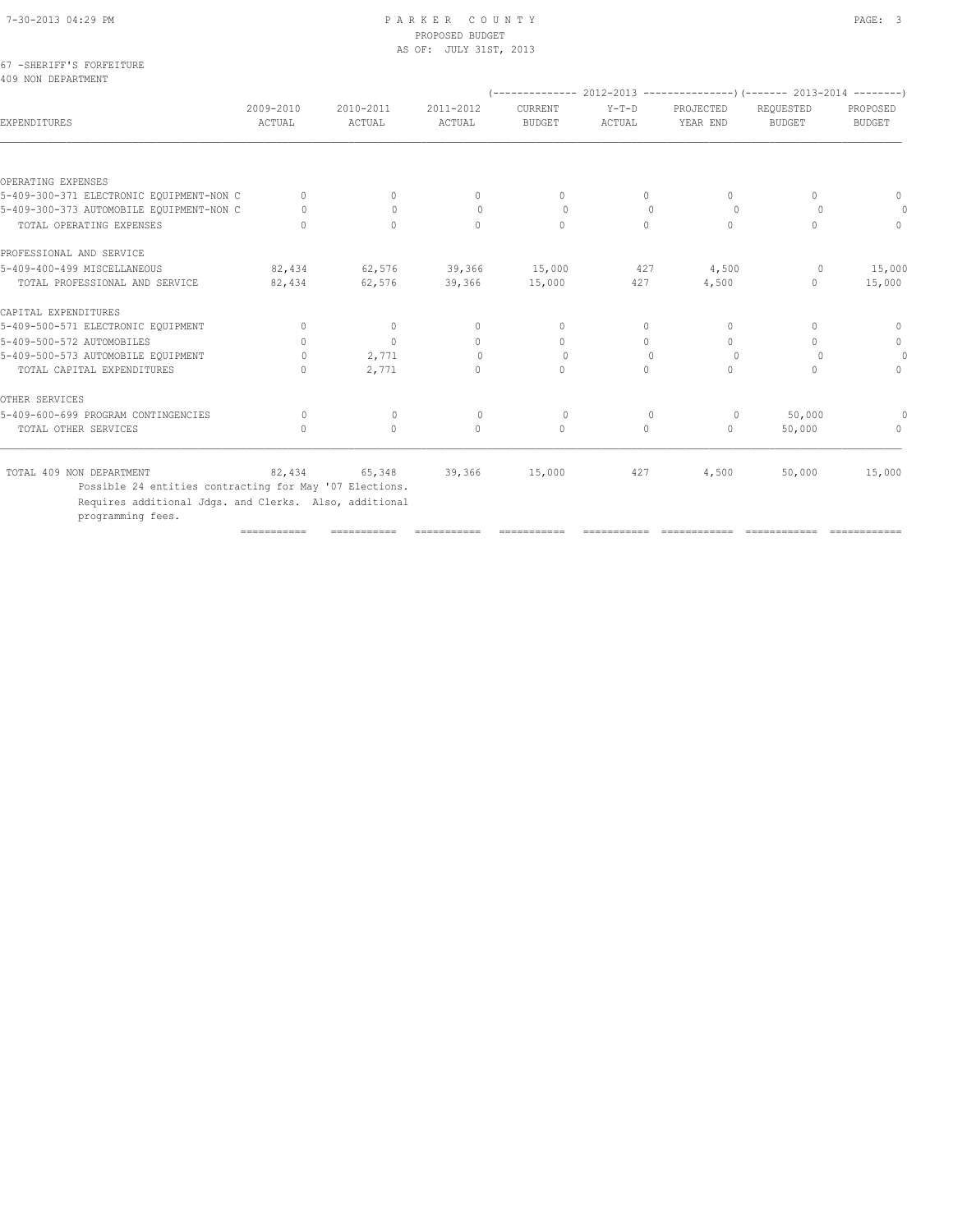# PROPOSED BUDGET

|                                                 |                                  |                     | AS OF: JULY 31ST, 2013 |                                  |                                  |                       |                            |                           |
|-------------------------------------------------|----------------------------------|---------------------|------------------------|----------------------------------|----------------------------------|-----------------------|----------------------------|---------------------------|
| 67 - SHERIFF'S FORFEITURE<br>409 NON DEPARTMENT |                                  |                     |                        |                                  |                                  |                       |                            |                           |
| EXPENDITURES                                    | 2009-2010<br>ACTUAL              | 2010-2011<br>ACTUAL | 2011-2012<br>ACTUAL    | CURRENT<br><b>BUDGET</b>         | $Y-T-D$<br>ACTUAL                | PROJECTED<br>YEAR END | REQUESTED<br><b>BUDGET</b> | PROPOSED<br><b>BUDGET</b> |
|                                                 |                                  |                     |                        |                                  |                                  |                       |                            |                           |
| OPERATING EXPENSES                              |                                  |                     |                        |                                  |                                  |                       |                            |                           |
| 5-409-300-371 ELECTRONIC EQUIPMENT-NON C        | $\mathbf{0}$                     | 0                   | 0                      | $\mathbf{0}$                     | 0                                | $\circ$               | $\mathbf{0}$               | $\mathbf{0}$              |
| 5-409-300-373 AUTOMOBILE EQUIPMENT-NON C        | $\Omega$                         | $\Omega$            | $\circ$                | $\circ$                          | $\begin{array}{c} \n\end{array}$ | $\Omega$              | $\Omega$                   | 0                         |
| TOTAL OPERATING EXPENSES                        | $\bigcap$                        | $\Omega$            | $\Omega$               | $\Omega$                         | $\Omega$                         | $\Omega$              | $\Omega$                   | $\Omega$                  |
| PROFESSIONAL AND SERVICE                        |                                  |                     |                        |                                  |                                  |                       |                            |                           |
| 5-409-400-499 MISCELLANEOUS                     | 82,434                           | $62,576$ 39,366     |                        | 15,000                           | 427                              | 4,500                 | $\circ$                    | 15,000                    |
| TOTAL PROFESSIONAL AND SERVICE                  | 82,434                           | 62,576              | 39,366                 | 15,000                           | 427                              | 4,500                 | $\circ$                    | 15,000                    |
| CAPITAL EXPENDITURES                            |                                  |                     |                        |                                  |                                  |                       |                            |                           |
| 5-409-500-571 ELECTRONIC EQUIPMENT              | $\mathbf{0}$                     | 0                   | 0                      | $\begin{array}{c} \n\end{array}$ | $\Omega$                         | $\circ$               | $\circ$                    | $\mathbf{0}$              |
| 5-409-500-572 AUTOMOBILES                       | $\Omega$                         | $\Omega$            | 0                      | $\mathbf{0}$                     | $\Omega$                         | 0                     | $\Omega$                   | 0                         |
| 5-409-500-573 AUTOMOBILE EQUIPMENT              | $\circ$                          | 2,771               | $\circ$                | $\circ$                          | $\mathbf{0}$                     | $\Omega$              | $\circ$                    | 0                         |
| TOTAL CAPITAL EXPENDITURES                      | $\begin{array}{c} \n\end{array}$ | 2,771               | $\mathbf{0}$           | $\begin{array}{c} \n\end{array}$ | $\circ$                          | $\circ$               | $\circ$                    | $\mathbf{0}$              |
| OTHER SERVICES                                  |                                  |                     |                        |                                  |                                  |                       |                            |                           |

5-409-600-699 PROGRAM CONTINGENCIES 0 0 0 0 0 0 50,000 0  $\begin{array}{ccccccc} 0 & & & 0 & & 50,000 \ 0 & & & 0 & & 50,000 \end{array}$ 

 TOTAL 409 NON DEPARTMENT 82,434 65,348 39,366 15,000 427 4,500 50,000 15,000 Possible 24 entities contracting for May '07 Elections.

Requires additional Jdgs. and Clerks. Also, additional

programming fees.

=========== =========== =========== =========== =========== ============ ============ ============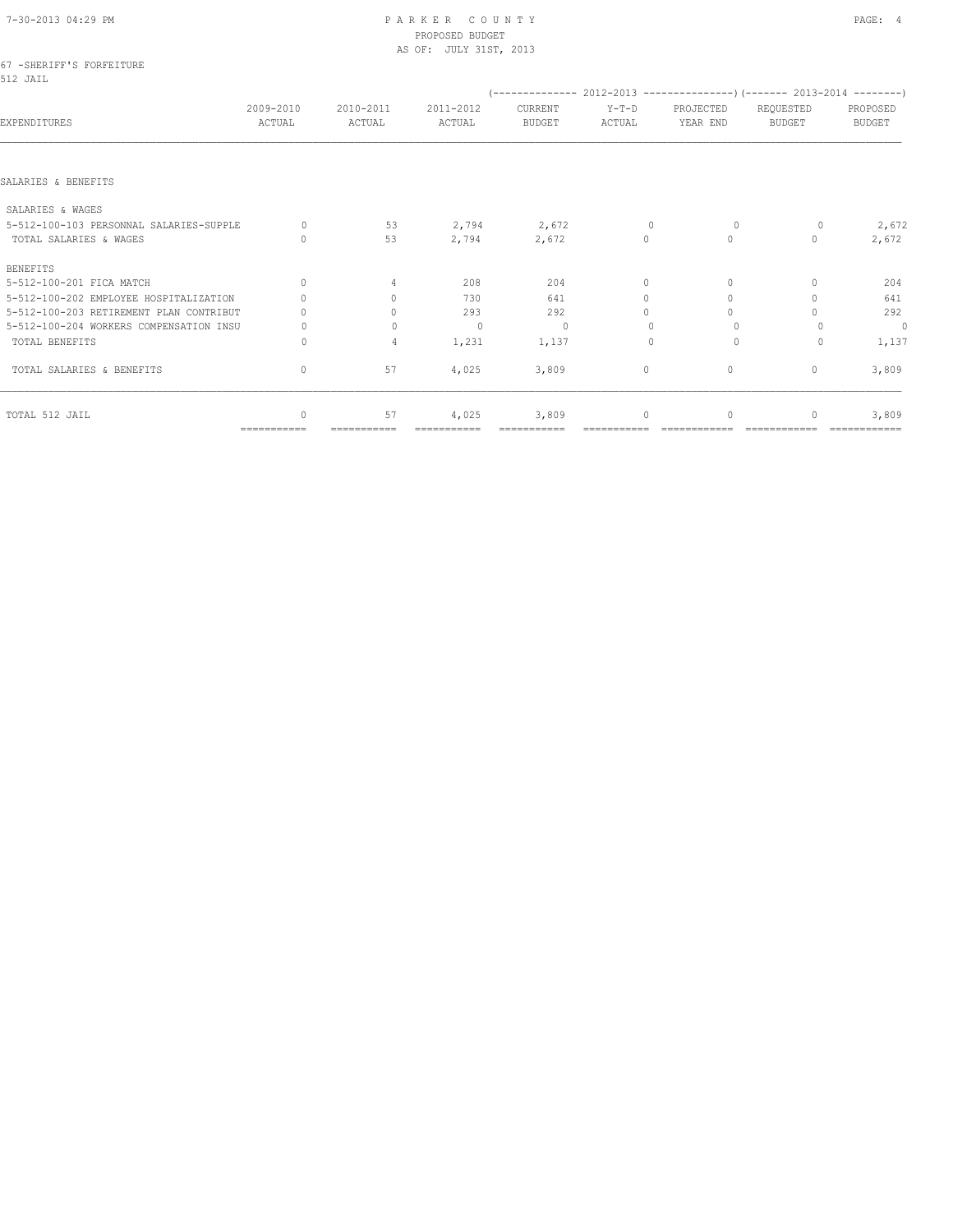# 7-30-2013 04:29 PM P A R K E R C O U N T Y PAGE: 4 PROPOSED BUDGET

|                                         |                     |                                  | AS OF: JULY 31ST, 2013 |                                                                            |                   |                       |                     |                           |
|-----------------------------------------|---------------------|----------------------------------|------------------------|----------------------------------------------------------------------------|-------------------|-----------------------|---------------------|---------------------------|
| 67 -SHERIFF'S FORFEITURE<br>512 JAIL    |                     |                                  |                        |                                                                            |                   |                       |                     |                           |
|                                         |                     |                                  |                        | (-------------- 2012-2013 -----------------) (------- 2013-2014 ---------) |                   |                       |                     |                           |
| EXPENDITURES                            | 2009-2010<br>ACTUAL | 2010-2011<br>ACTUAL              | 2011-2012<br>ACTUAL    | CURRENT<br><b>BUDGET</b>                                                   | $Y-T-D$<br>ACTUAL | PROJECTED<br>YEAR END | REQUESTED<br>BUDGET | PROPOSED<br><b>BUDGET</b> |
|                                         |                     |                                  |                        |                                                                            |                   |                       |                     |                           |
| SALARIES & BENEFITS                     |                     |                                  |                        |                                                                            |                   |                       |                     |                           |
| SALARIES & WAGES                        |                     |                                  |                        |                                                                            |                   |                       |                     |                           |
| 5-512-100-103 PERSONNAL SALARIES-SUPPLE | $\Omega$            | 53                               | 2,794                  | 2,672                                                                      | $\mathbf{0}$      | $\Omega$              | $\circ$             | 2,672                     |
| TOTAL SALARIES & WAGES                  | $\Omega$            | 53                               | 2,794                  | 2,672                                                                      | $\circ$           | $\circ$               | 0                   | 2,672                     |
| <b>BENEFITS</b>                         |                     |                                  |                        |                                                                            |                   |                       |                     |                           |
| 5-512-100-201 FICA MATCH                | $\Omega$            | $\overline{4}$                   | 208                    | 204                                                                        | $\circ$           | $\mathbf{0}$          | $\cap$              | 204                       |
| 5-512-100-202 EMPLOYEE HOSPITALIZATION  |                     | $\begin{array}{c} \n\end{array}$ | 730                    | 641                                                                        | $\Omega$          | $\Omega$              |                     | 641                       |
| 5-512-100-203 RETIREMENT PLAN CONTRIBUT |                     | $\Omega$                         | 293                    | 292                                                                        | $\Omega$          | $\Omega$              |                     | 292                       |
| 5-512-100-204 WORKERS COMPENSATION INSU |                     | $\Omega$                         | $\Omega$               | $\circ$                                                                    |                   | $\Omega$              |                     | $\circ$                   |
| TOTAL BENEFITS                          | 0                   | $\overline{4}$                   | 1,231                  | 1,137                                                                      | $\Omega$          | $\circ$               | $\Omega$            | 1,137                     |
| TOTAL SALARIES & BENEFITS               | 0                   | 57                               | 4,025                  | 3,809                                                                      | 0                 | $\circ$               | $\mathbf{0}$        | 3,809                     |
| TOTAL 512 JAIL                          | $\mathbf{0}$        | 57                               | 4,025                  | 3,809                                                                      | 0                 | $\mathbf{0}$          | 0                   | 3,809                     |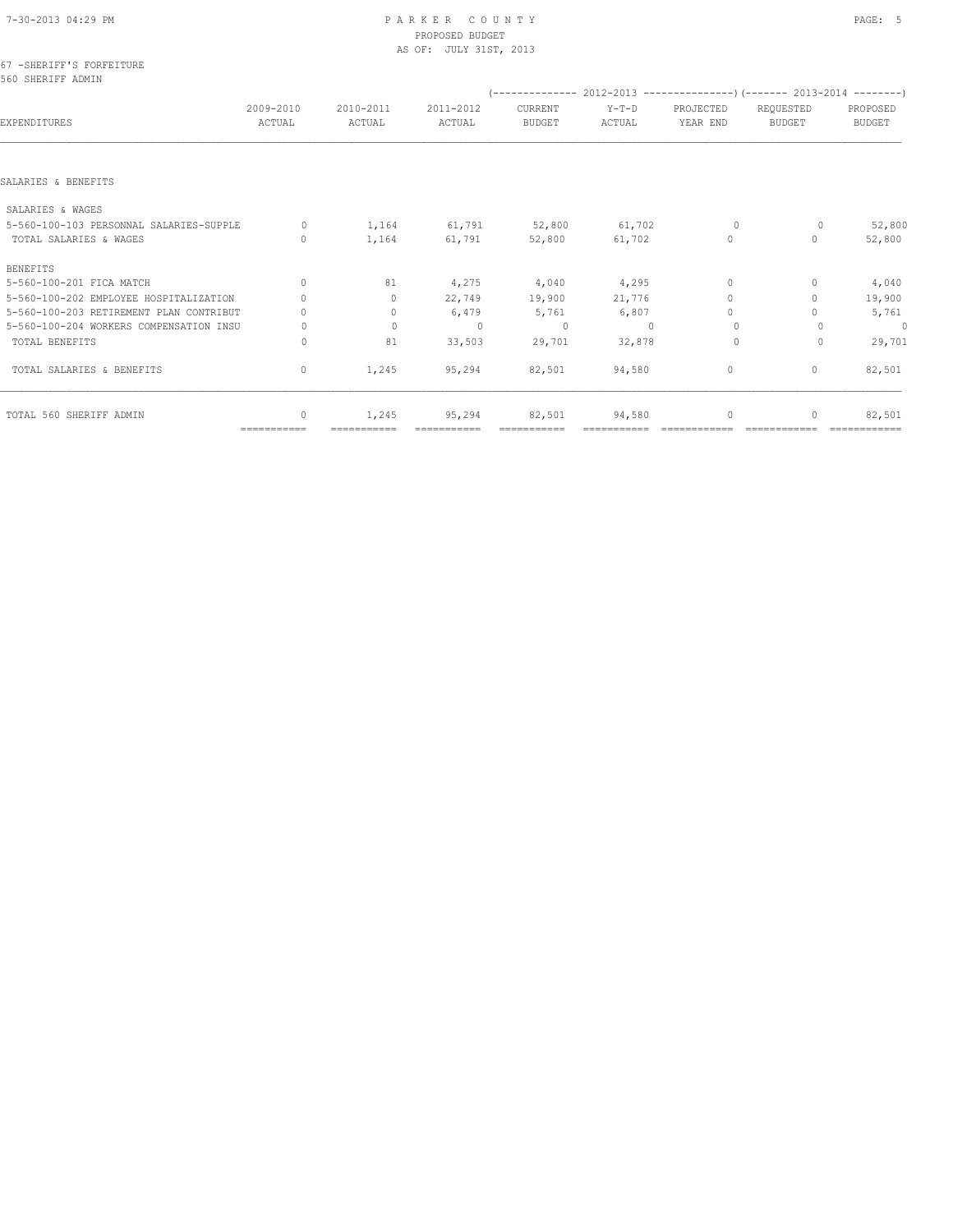# 7-30-2013 04:29 PM P A R K E R C O U N T Y PAGE: 5 PROPOSED BUDGET

| 2009-2010<br>ACTUAL                                | 2010-2011<br>ACTUAL              | 2011-2012<br>ACTUAL | CURRENT<br><b>BUDGET</b> | $Y-T-D$<br>ACTUAL      | PROJECTED<br>YEAR END | REQUESTED<br><b>BUDGET</b>       | PROPOSED<br><b>BUDGET</b>                                                  |
|----------------------------------------------------|----------------------------------|---------------------|--------------------------|------------------------|-----------------------|----------------------------------|----------------------------------------------------------------------------|
|                                                    |                                  |                     |                          |                        |                       |                                  |                                                                            |
|                                                    |                                  |                     |                          |                        |                       |                                  |                                                                            |
|                                                    |                                  |                     |                          |                        |                       |                                  |                                                                            |
| 5-560-100-103 PERSONNAL SALARIES-SUPPLE<br>$\circ$ | 1,164                            | 61,791              | 52,800                   | 61,702                 | $\circ$               | 0                                | 52,800                                                                     |
| $\cap$                                             | 1,164                            | 61,791              | 52,800                   | 61,702                 | $\circ$               | $\bigcap$                        | 52,800                                                                     |
|                                                    |                                  |                     |                          |                        |                       |                                  |                                                                            |
| $\Omega$                                           | 81                               | 4,275               | 4,040                    | 4,295                  | $\mathbf{0}$          | $\begin{array}{c} \n\end{array}$ | 4,040                                                                      |
|                                                    | $\Omega$                         | 22,749              | 19,900                   | 21,776                 | $\Omega$              | 0                                | 19,900                                                                     |
| 5-560-100-203 RETIREMENT PLAN CONTRIBUT            | $\begin{array}{c} \n\end{array}$ | 6,479               | 5,761                    | 6,807                  | $\Omega$              |                                  | 5,761                                                                      |
| 5-560-100-204 WORKERS COMPENSATION INSU<br>Ω       | $\mathbf{0}$                     | $\circ$             | $\Omega$                 | $\Omega$               | $\Omega$              |                                  | $\mathbf{0}$                                                               |
| 0                                                  | 81                               | 33,503              | 29,701                   | 32,878                 | $\Omega$              | 0                                | 29,701                                                                     |
| $\circ$                                            | 1,245                            | 95,294              | 82,501                   | 94,580                 | $\mathbf{0}$          | $\mathbf{0}$                     | 82,501                                                                     |
| $\bigcap$                                          | 1,245                            | 95,294              | 82,501                   | 94,580                 | 0                     |                                  | 82,501                                                                     |
|                                                    |                                  |                     |                          | AS OF: JULY 31ST, 2013 |                       |                                  | (-------------- 2012-2013 -----------------) (------- 2013-2014 ---------) |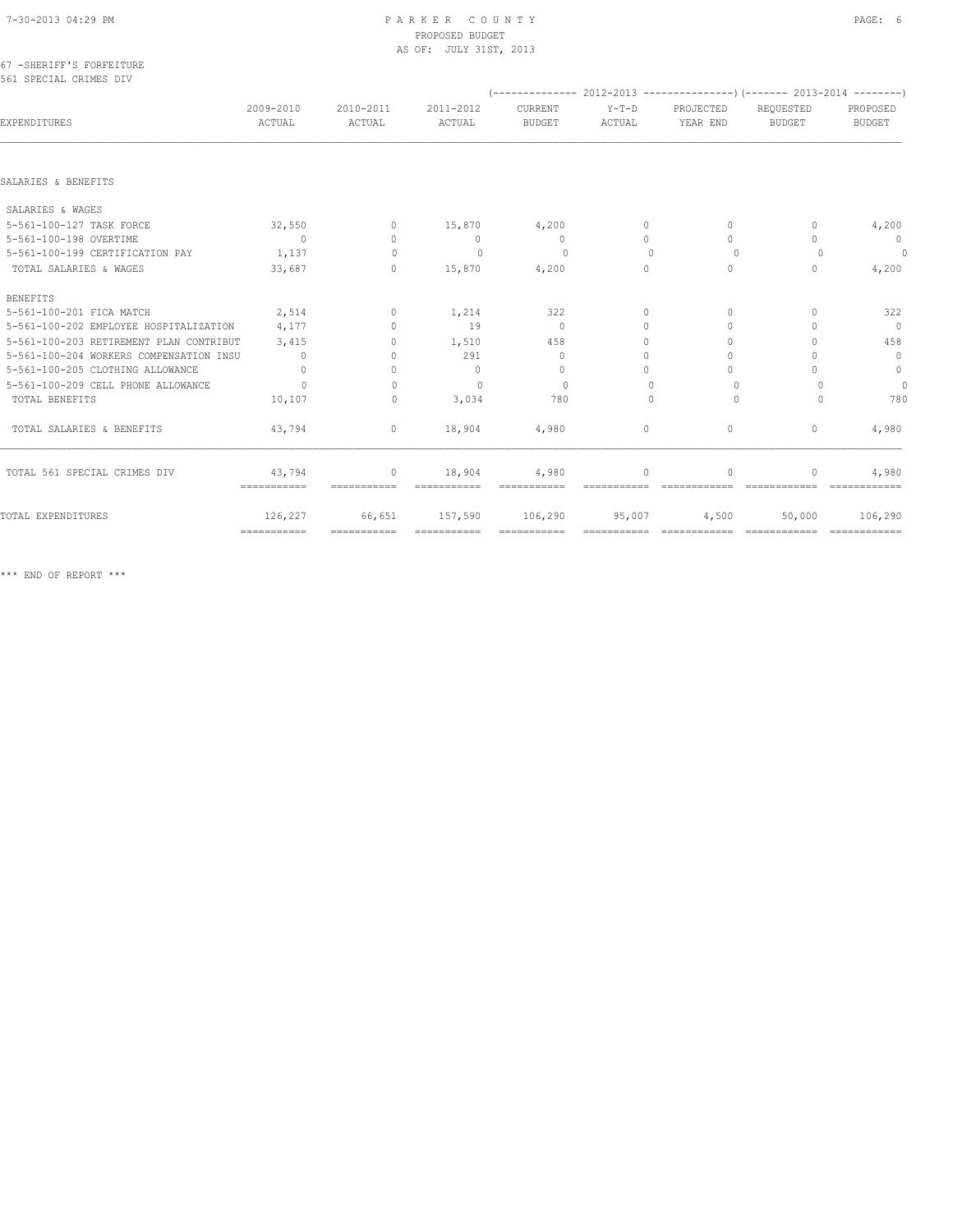#### 67 -SHERIFF'S FORFEITURE 561 SPECIAL CRIMES DIV

|                                         |                           |                                  |                     |                          |                   |                       | $(----------2012-2013$ ----------------) (------- 2013-2014 -------) |                           |
|-----------------------------------------|---------------------------|----------------------------------|---------------------|--------------------------|-------------------|-----------------------|----------------------------------------------------------------------|---------------------------|
| EXPENDITURES                            | 2009-2010<br>ACTUAL       | 2010-2011<br>ACTUAL              | 2011-2012<br>ACTUAL | CURRENT<br><b>BUDGET</b> | $Y-T-D$<br>ACTUAL | PROJECTED<br>YEAR END | REOUESTED<br><b>BUDGET</b>                                           | PROPOSED<br><b>BUDGET</b> |
|                                         |                           |                                  |                     |                          |                   |                       |                                                                      |                           |
| SALARIES & BENEFITS                     |                           |                                  |                     |                          |                   |                       |                                                                      |                           |
| SALARIES & WAGES                        |                           |                                  |                     |                          |                   |                       |                                                                      |                           |
| 5-561-100-127 TASK FORCE                | 32,550                    | $\Omega$                         | 15,870              | 4,200                    | $\Omega$          | $\Omega$              | $\cap$                                                               | 4,200                     |
| 5-561-100-198 OVERTIME                  | $\overline{0}$            | $\Omega$                         | $\circ$             | $\circ$                  | $\Omega$          | $\cap$                | $\cap$                                                               | $\overline{0}$            |
| 5-561-100-199 CERTIFICATION PAY         | 1,137                     | $\Omega$                         | $\circ$             | $\Omega$                 | $\Omega$          | $\Omega$              | $\Omega$                                                             | $\circ$                   |
| TOTAL SALARIES & WAGES                  | 33,687                    | $\mathbf{0}$                     | 15,870              | 4,200                    | $\Omega$          | $\Omega$              | $\cap$                                                               | 4,200                     |
| <b>BENEFITS</b>                         |                           |                                  |                     |                          |                   |                       |                                                                      |                           |
| 5-561-100-201 FICA MATCH                | 2,514                     | $\Omega$                         | 1,214               | 322                      | $\circ$           | $\Omega$              | $\cap$                                                               | 322                       |
| 5-561-100-202 EMPLOYEE HOSPITALIZATION  | 4,177                     | $\begin{array}{c} \n\end{array}$ | 19                  | $\circ$                  | $\circ$           | $\Omega$              | $\cap$                                                               | $\Omega$                  |
| 5-561-100-203 RETIREMENT PLAN CONTRIBUT | 3,415                     | $\bigcap$                        | 1,510               | 458                      | $\Omega$          | $\Omega$              |                                                                      | 458                       |
| 5-561-100-204 WORKERS COMPENSATION INSU | $\circ$                   | $\Omega$                         | 291                 | $\circ$                  | $\Omega$          | $\Omega$              |                                                                      | $\mathbf{0}$              |
| 5-561-100-205 CLOTHING ALLOWANCE        | $\bigcap$                 | $\bigcap$                        | $\cap$              | $\Omega$                 | $\bigcap$         | $\bigcap$             | $\cap$                                                               | $\circ$                   |
| 5-561-100-209 CELL PHONE ALLOWANCE      | $\Omega$                  | $\bigcap$                        | $\bigcap$           | $\Omega$                 | $\cap$            | $\Omega$              |                                                                      | $\theta$                  |
| TOTAL BENEFITS                          | 10,107                    | $\mathbf{0}$                     | 3,034               | 780                      | $\bigcap$         | $\Omega$              | $\Omega$                                                             | 780                       |
| TOTAL SALARIES & BENEFITS               | 43,794                    | $\mathbf{0}$                     | 18,904              | 4,980                    | $\circ$           | $\circ$               | $\mathbf{0}$                                                         | 4,980                     |
| TOTAL 561 SPECIAL CRIMES DIV            | 43,794<br>===========     | $\circ$<br>===========           | 18,904              | 4,980                    | $\circ$           | $\Omega$              | $\Omega$                                                             | 4,980                     |
| TOTAL EXPENDITURES                      | 126,227                   | 66,651                           | 157,590             | 106,290                  | 95,007            | 4,500                 | 50,000                                                               | 106,290                   |
|                                         | $=$ = = = = = = = = = = = | $=$ ===========                  | ===========         | ===========              | ===========       | =============         | =============                                                        | - =============           |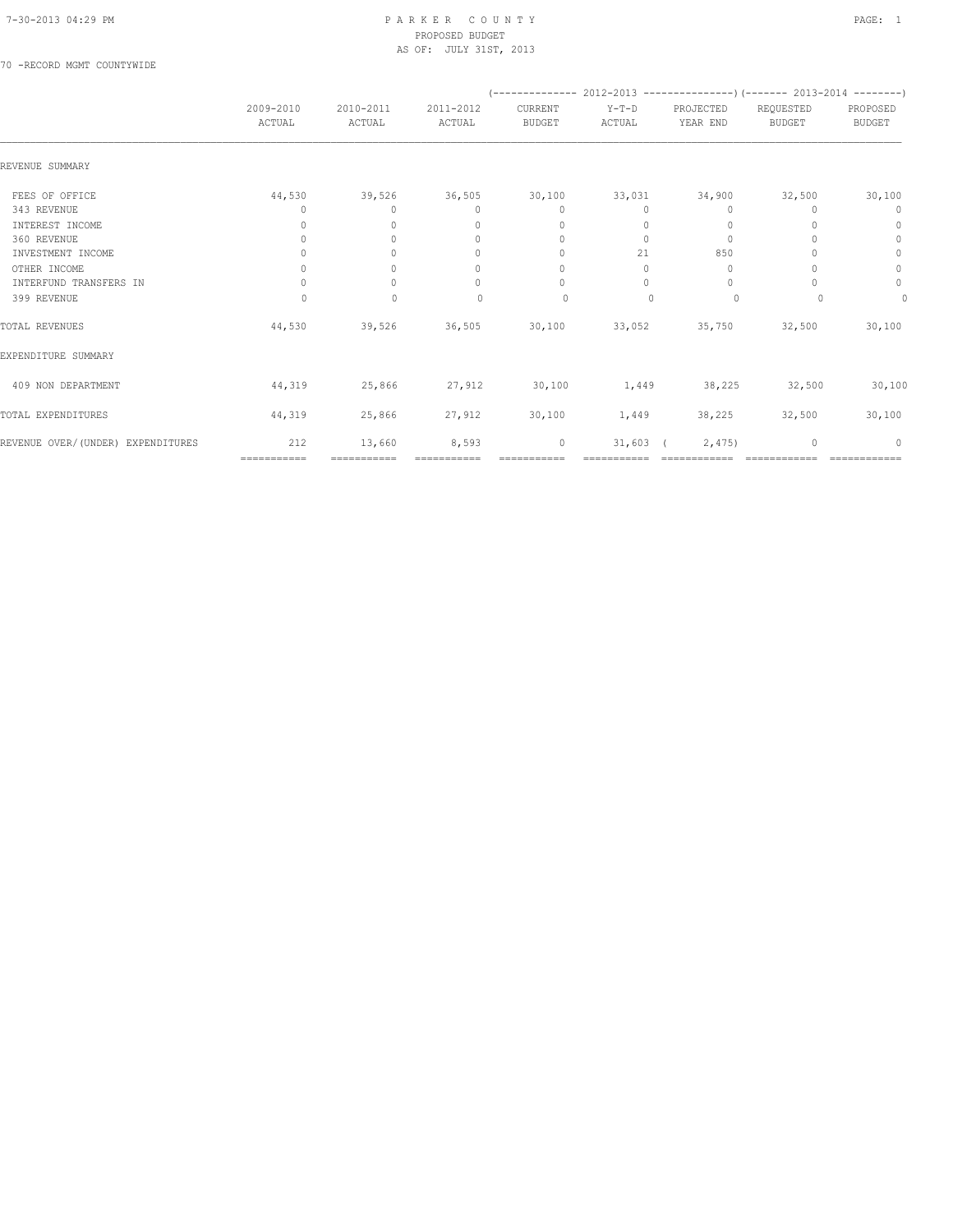70 -RECORD MGMT COUNTYWIDE

|                                   |                     |                     |                                  |                                  | $(---------- 2012-2013$ ----------------) (------- 2013-2014 --------) |                       |                            |                           |
|-----------------------------------|---------------------|---------------------|----------------------------------|----------------------------------|------------------------------------------------------------------------|-----------------------|----------------------------|---------------------------|
|                                   | 2009-2010<br>ACTUAL | 2010-2011<br>ACTUAL | 2011-2012<br>ACTUAL              | CURRENT<br><b>BUDGET</b>         | $Y-T-D$<br>ACTUAL                                                      | PROJECTED<br>YEAR END | REQUESTED<br><b>BUDGET</b> | PROPOSED<br><b>BUDGET</b> |
| REVENUE SUMMARY                   |                     |                     |                                  |                                  |                                                                        |                       |                            |                           |
| FEES OF OFFICE                    | 44,530              | 39,526              | 36,505                           | 30,100                           | 33,031                                                                 | 34,900                | 32,500                     | 30,100                    |
| 343 REVENUE                       | 0                   | $\Omega$            | $\begin{array}{c} \n\end{array}$ | $\Omega$                         | $\Omega$                                                               | $\Omega$              |                            | 0                         |
| INTEREST INCOME                   | $\Omega$            | $\Omega$            | $\begin{array}{c} \n\end{array}$ | $\mathbf{0}$                     | 0                                                                      | 0                     |                            | $\mathbf{0}$              |
| 360 REVENUE                       | 0                   | $\Omega$            | $\mathbf{0}$                     | $\mathbf{0}$                     | $\circ$                                                                | $\mathbf{0}$          |                            | $\mathbf{0}$              |
| INVESTMENT INCOME                 | 0                   | $\Omega$            | $\mathbf{0}$                     | $\mathbf{0}$                     | 21                                                                     | 850                   |                            | $\mathbf{0}$              |
| OTHER INCOME                      | 0                   | $\Omega$            | $\mathbf{0}$                     | $\begin{array}{c} \n\end{array}$ | 0                                                                      | 0                     |                            | 0                         |
| INTERFUND TRANSFERS IN            | $\Omega$            | $\Omega$            | $\begin{array}{c} \n\end{array}$ | $\Omega$                         | $\bigcap$                                                              | $\Omega$              |                            | 0                         |
| 399 REVENUE                       | 0                   | $\mathbf{0}$        | $\begin{array}{c} \n\end{array}$ | $\circ$                          | $\bigcap$                                                              | $\circ$               |                            | 0                         |
| TOTAL REVENUES                    | 44,530              | 39,526              | 36,505                           | 30,100                           | 33,052                                                                 | 35,750                | 32,500                     | 30,100                    |
| EXPENDITURE SUMMARY               |                     |                     |                                  |                                  |                                                                        |                       |                            |                           |
| 409 NON DEPARTMENT                | 44,319              | 25,866              | 27,912                           | 30,100                           | 1,449                                                                  | 38,225                | 32,500                     | 30,100                    |
| TOTAL EXPENDITURES                | 44,319              | 25,866              | 27,912                           | 30,100                           | 1,449                                                                  | 38,225                | 32,500                     | 30,100                    |
| REVENUE OVER/(UNDER) EXPENDITURES | 212                 | 13,660              | 8,593                            | $\mathbb O$                      | $31,603$ (                                                             | 2,475                 | $\mathbf{0}$               | $\Omega$                  |
|                                   | ===========         | ===========         |                                  |                                  |                                                                        |                       |                            |                           |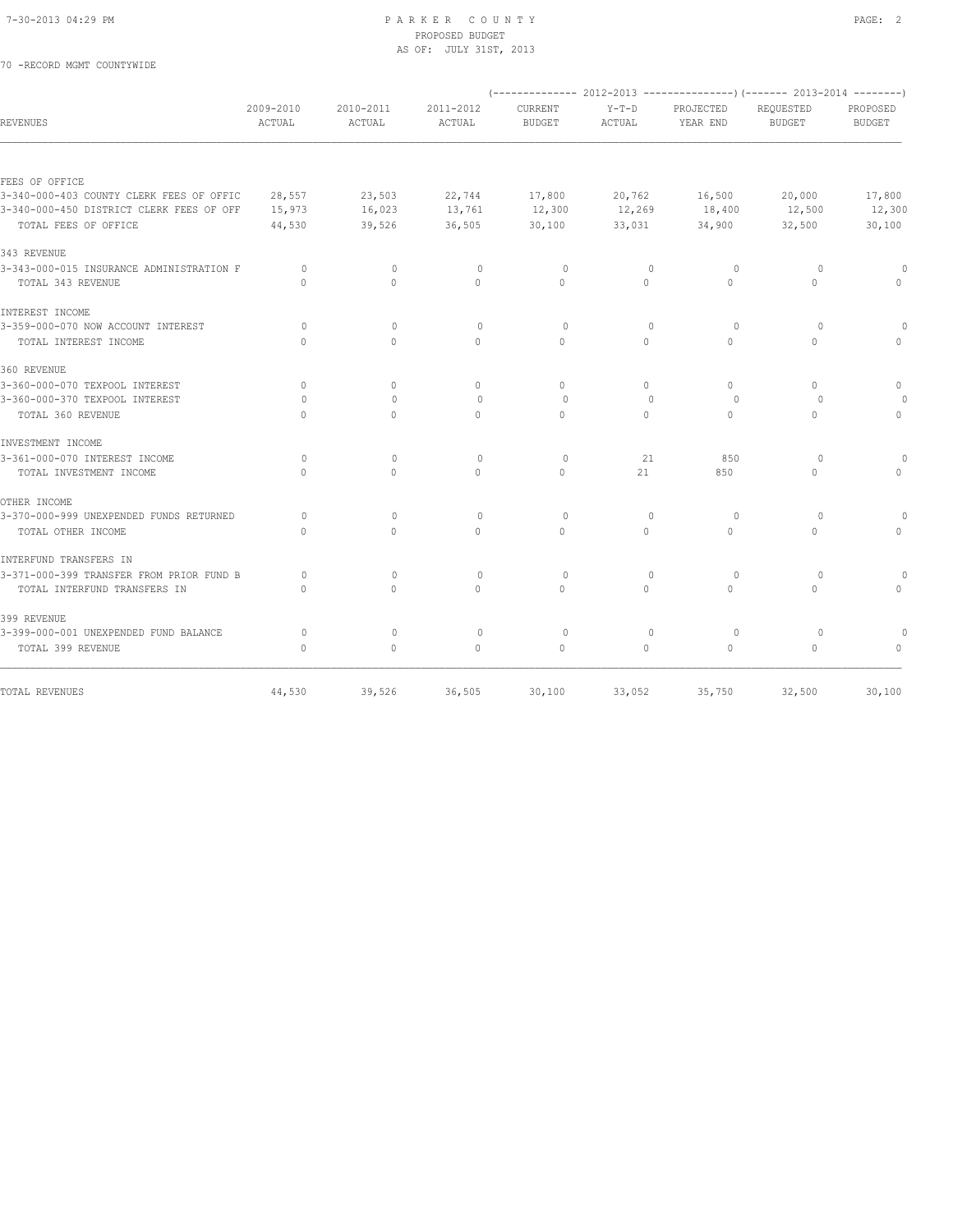70 -RECORD MGMT COUNTYWIDE

#### 7-30-2013 04:29 PM P A R K E R C O U N T Y PAGE: 2 PROPOSED BUDGET AS OF: JULY 31ST, 2013

| <b>REVENUES</b>                          | 2009-2010<br><b>ACTUAL</b>       | 2010-2011<br>ACTUAL | 2011-2012<br>ACTUAL | CURRENT<br><b>BUDGET</b> | $Y-T-D$<br>ACTUAL | PROJECTED<br>YEAR END | (-------------- 2012-2013 ----------------) (------- 2013-2014 --------)<br>REQUESTED<br><b>BUDGET</b> | PROPOSED<br><b>BUDGET</b> |
|------------------------------------------|----------------------------------|---------------------|---------------------|--------------------------|-------------------|-----------------------|--------------------------------------------------------------------------------------------------------|---------------------------|
|                                          |                                  |                     |                     |                          |                   |                       |                                                                                                        |                           |
| FEES OF OFFICE                           |                                  |                     |                     |                          |                   |                       |                                                                                                        |                           |
| 3-340-000-403 COUNTY CLERK FEES OF OFFIC | 28,557                           | 23,503              | 22,744              | 17,800                   | 20,762            | 16,500                | 20,000                                                                                                 | 17,800                    |
| 3-340-000-450 DISTRICT CLERK FEES OF OFF | 15,973                           | 16,023              | 13,761              | 12,300                   | 12,269            | 18,400                | 12,500                                                                                                 | 12,300                    |
| TOTAL FEES OF OFFICE                     | 44,530                           | 39,526              | 36,505              | 30,100                   | 33,031            | 34,900                | 32,500                                                                                                 | 30,100                    |
| 343 REVENUE                              |                                  |                     |                     |                          |                   |                       |                                                                                                        |                           |
| 3-343-000-015 INSURANCE ADMINISTRATION F | $\circ$                          | $\mathbf 0$         | $\circ$             | $\circ$                  | $\mathbf{0}$      | $\circ$               | $\circ$                                                                                                |                           |
| TOTAL 343 REVENUE                        | $\Omega$                         | $\Omega$            | $\Omega$            | $\Omega$                 | $\Omega$          | $\Omega$              | $\Omega$                                                                                               |                           |
| INTEREST INCOME                          |                                  |                     |                     |                          |                   |                       |                                                                                                        |                           |
| 3-359-000-070 NOW ACCOUNT INTEREST       | $\bigcap$                        | $\Omega$            | $\Omega$            | $\Omega$                 | $\Omega$          | $\Omega$              | $\Omega$                                                                                               |                           |
| TOTAL INTEREST INCOME                    | $\begin{array}{c} \n\end{array}$ | $\Omega$            | $\Omega$            | $\Omega$                 | $\circ$           | $\Omega$              | $\circ$                                                                                                | $\bigcap$                 |
| 360 REVENUE                              |                                  |                     |                     |                          |                   |                       |                                                                                                        |                           |
| 3-360-000-070 TEXPOOL INTEREST           | $\circ$                          | $\circ$             | $\mathbf{0}$        | $\mathbf{0}$             | 0                 | $\circ$               | $\begin{array}{c} \n\end{array}$                                                                       | $\mathbf{0}$              |
| 3-360-000-370 TEXPOOL INTEREST           | $\Omega$                         | $\Omega$            | $\Omega$            | $\Omega$                 | $\Omega$          | $\circ$               | $\Omega$                                                                                               |                           |
| TOTAL 360 REVENUE                        | $\Omega$                         | $\Omega$            | $\Omega$            | $\Omega$                 | $\Omega$          | $\circ$               | $\Omega$                                                                                               | $\mathbf{0}$              |
| INVESTMENT INCOME                        |                                  |                     |                     |                          |                   |                       |                                                                                                        |                           |
| 3-361-000-070 INTEREST INCOME            | $\circ$                          | $\mathbf{0}$        | $\circ$             | $\circ$                  | 21                | 850                   | $\Omega$                                                                                               |                           |
| TOTAL INVESTMENT INCOME                  | $\Omega$                         | $\Omega$            | $\Omega$            | $\Omega$                 | 21                | 850                   | $\Omega$                                                                                               | $\Omega$                  |
| OTHER INCOME                             |                                  |                     |                     |                          |                   |                       |                                                                                                        |                           |
| 3-370-000-999 UNEXPENDED FUNDS RETURNED  | $\Omega$                         | $\mathbf{0}$        | $\circ$             | $\circ$                  | $\mathbf{0}$      | $\circ$               | $\circ$                                                                                                |                           |
| TOTAL OTHER INCOME                       | $\Omega$                         | $\Omega$            | $\Omega$            | $\Omega$                 | $\Omega$          | $\Omega$              | $\Omega$                                                                                               | $\Omega$                  |
| INTERFUND TRANSFERS IN                   |                                  |                     |                     |                          |                   |                       |                                                                                                        |                           |
| 3-371-000-399 TRANSFER FROM PRIOR FUND B | $\circ$                          | $\mathbf{0}$        | $\circ$             | $\circ$                  | $\mathbf{0}$      | $\circ$               | $\circ$                                                                                                |                           |
| TOTAL INTERFUND TRANSFERS IN             | $\mathbf{0}$                     | $\Omega$            | $\Omega$            | $\Omega$                 | $\circ$           | $\Omega$              | $\circ$                                                                                                | $\Omega$                  |
| 399 REVENUE                              |                                  |                     |                     |                          |                   |                       |                                                                                                        |                           |
| 3-399-000-001 UNEXPENDED FUND BALANCE    | $\circ$                          | $\mathbf{0}$        | $\circ$             | $\circ$                  | $\Omega$          | 0                     | $\Omega$                                                                                               |                           |
| TOTAL 399 REVENUE                        | $\Omega$                         | $\Omega$            | $\Omega$            | $\Omega$                 | $\Omega$          | $\Omega$              | $\Omega$                                                                                               | $\cap$                    |
|                                          |                                  |                     |                     |                          |                   |                       |                                                                                                        |                           |
| TOTAL REVENUES                           | 44,530                           | 39,526              | 36,505              | 30,100                   | 33,052            | 35,750                | 32,500                                                                                                 | 30,100                    |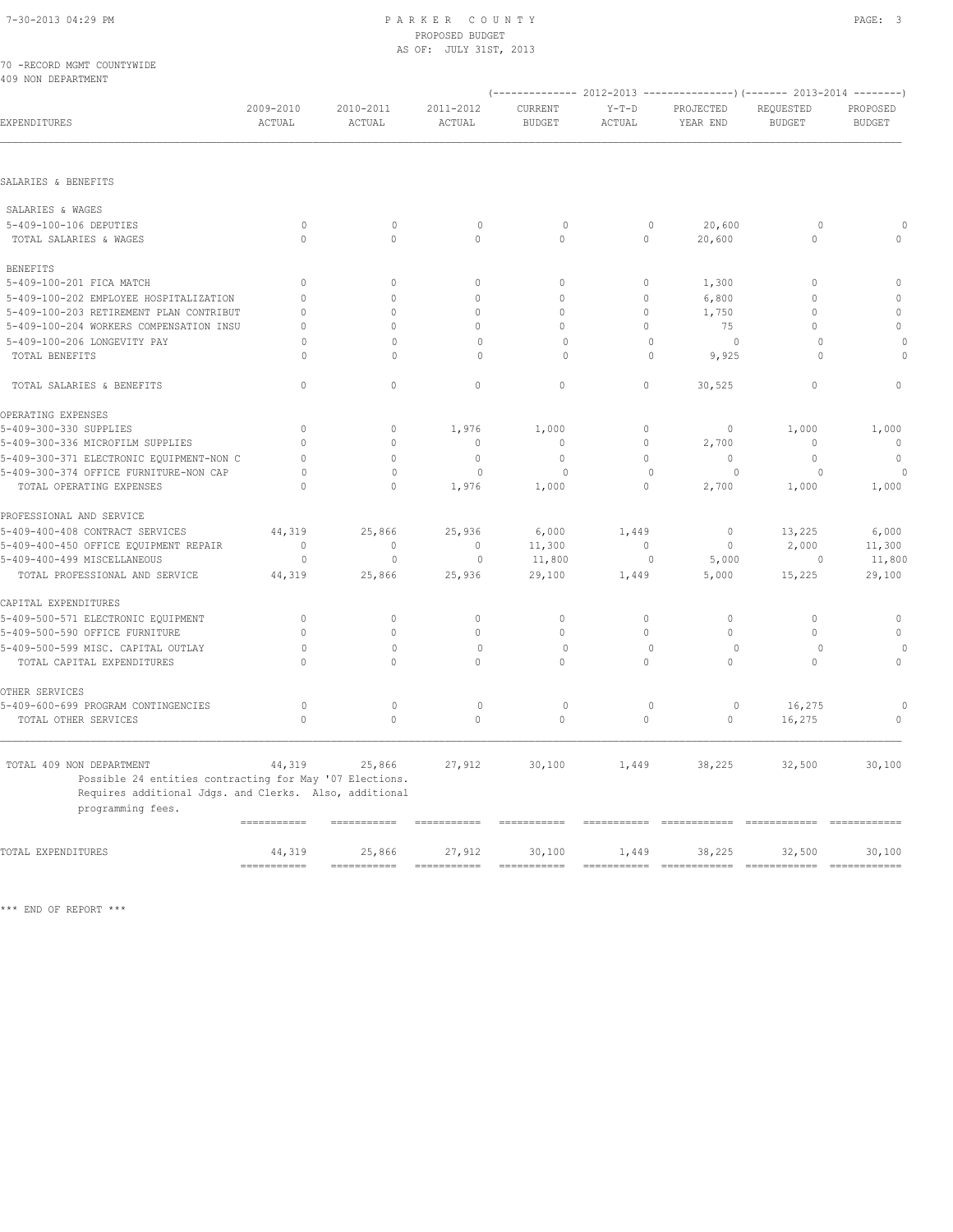|  |                    | 70 -RECORD MGMT COUNTYWIDE |
|--|--------------------|----------------------------|
|  | 409 NON DEPARTMENT |                            |

|                                                                                                                                                                    |                                     |                           |                           |                           |                      |                                         | $(---------- 2012-2013 ----------)$ $(---- 2013-2014 ----)$ |                           |  |
|--------------------------------------------------------------------------------------------------------------------------------------------------------------------|-------------------------------------|---------------------------|---------------------------|---------------------------|----------------------|-----------------------------------------|-------------------------------------------------------------|---------------------------|--|
| EXPENDITURES                                                                                                                                                       | 2009-2010<br>ACTUAL                 | 2010-2011<br>ACTUAL       | 2011-2012<br>ACTUAL       | CURRENT<br><b>BUDGET</b>  | $Y-T-D$<br>ACTUAL    | PROJECTED<br>YEAR END                   | REQUESTED<br><b>BUDGET</b>                                  | PROPOSED<br><b>BUDGET</b> |  |
| SALARIES & BENEFITS                                                                                                                                                |                                     |                           |                           |                           |                      |                                         |                                                             |                           |  |
|                                                                                                                                                                    |                                     |                           |                           |                           |                      |                                         |                                                             |                           |  |
| SALARIES & WAGES                                                                                                                                                   |                                     |                           |                           |                           |                      |                                         |                                                             |                           |  |
| 5-409-100-106 DEPUTIES                                                                                                                                             | $\circ$                             | $\mathbf{0}$              | $\circ$                   | $\circ$                   | $\mathbb O$          | 20,600                                  | $\circ$                                                     | $\cap$                    |  |
| TOTAL SALARIES & WAGES                                                                                                                                             | $\mathbf{0}$                        | $\circ$                   | $\mathbf 0$               | $\circ$                   | $\circ$              | 20,600                                  | $\circ$                                                     | $\circ$                   |  |
| <b>BENEFITS</b>                                                                                                                                                    |                                     |                           |                           |                           |                      |                                         |                                                             |                           |  |
| 5-409-100-201 FICA MATCH                                                                                                                                           | $\Omega$                            | $\circ$                   | $\mathbf 0$               | $\circ$                   | $\circ$              | 1,300                                   | $\Omega$                                                    | $\mathbf 0$               |  |
| 5-409-100-202 EMPLOYEE HOSPITALIZATION                                                                                                                             | $\mathbf{0}$                        | $\circ$                   | $\mathbf{0}$              | $\mathbf{0}$              | $\circ$              | 6,800                                   | $\mathbf{0}$                                                | $\mathbb O$               |  |
| 5-409-100-203 RETIREMENT PLAN CONTRIBUT                                                                                                                            | $\mathbf{0}$                        | $\mathbf{0}$              | $\mathbf 0$               | $\mathbf{0}$              | $\circ$              | 1,750                                   | $\mathbf{0}$                                                | $\circ$                   |  |
| 5-409-100-204 WORKERS COMPENSATION INSU                                                                                                                            | $\mathbf{0}$                        | $\circ$                   | $\mathbf{0}$              | $\circ$                   | $\circ$              | 75                                      | $\circ$                                                     | $\mathbb O$               |  |
| 5-409-100-206 LONGEVITY PAY                                                                                                                                        | $\Omega$                            | $\Omega$                  | $\mathbf{0}$              | $\Omega$                  | $\mathbf{0}$         | $\circ$                                 | $\Omega$                                                    | $\Omega$                  |  |
| TOTAL BENEFITS                                                                                                                                                     | $\cap$                              | $\mathbf{0}$              | $\mathbf{0}$              | $\circ$                   | $\mathbf{0}$         | 9,925                                   | $\cap$                                                      | $\circ$                   |  |
| TOTAL SALARIES & BENEFITS                                                                                                                                          | $\mathbf{0}$                        | $\circ$                   | $\mathbf 0$               | $\circ$                   | $\circ$              | 30,525                                  | $\mathbf{0}$                                                | $\mathbf{0}$              |  |
| OPERATING EXPENSES                                                                                                                                                 |                                     |                           |                           |                           |                      |                                         |                                                             |                           |  |
| 5-409-300-330 SUPPLIES                                                                                                                                             | $\mathbf{0}$                        | $\mathbf{0}$              | 1,976                     | 1,000                     | $\circ$              | $\mathbf{0}$                            | 1,000                                                       | 1,000                     |  |
| 5-409-300-336 MICROFILM SUPPLIES                                                                                                                                   | $\Omega$                            | $\mathbf{0}$              | $\mathbf 0$               | $\mathbf{0}$              | $\circ$              | 2,700                                   | $\mathbf{0}$                                                | $\mathbf{0}$              |  |
| 5-409-300-371 ELECTRONIC EQUIPMENT-NON C                                                                                                                           | $\Omega$                            | $\mathbf{0}$              | $\mathbf{0}$              | $\mathbf{0}$              | $\Omega$             | $\Omega$                                | $\mathbf{0}$                                                | $\mathbf{0}$              |  |
| 5-409-300-374 OFFICE FURNITURE-NON CAP                                                                                                                             | $\circ$                             | $\mathbf{0}$              | $\mathbf{0}$              | $\Omega$                  | $\circ$              | $\circ$                                 | $\circ$                                                     | $\Omega$                  |  |
| TOTAL OPERATING EXPENSES                                                                                                                                           | $\mathbf{0}$                        | $\circ$                   | 1,976                     | 1,000                     | $\circ$              | 2,700                                   | 1,000                                                       | 1,000                     |  |
| PROFESSIONAL AND SERVICE                                                                                                                                           |                                     |                           |                           |                           |                      |                                         |                                                             |                           |  |
| 5-409-400-408 CONTRACT SERVICES                                                                                                                                    | 44,319                              | 25,866                    | 25,936                    | 6,000                     | 1,449                | $\mathbf{0}$                            | 13,225                                                      | 6,000                     |  |
| 5-409-400-450 OFFICE EQUIPMENT REPAIR                                                                                                                              | $\mathbf{0}$                        | $\mathbf{0}$              | $\mathbf{0}$              | 11,300                    | $\circ$              | $\mathbf{0}$                            | 2,000                                                       | 11,300                    |  |
| 5-409-400-499 MISCELLANEOUS                                                                                                                                        | $\circ$                             | $\mathbf{0}$              | $\circ$                   | 11,800                    | $\mathbf{0}$         | 5,000                                   | $\circ$                                                     | 11,800                    |  |
| TOTAL PROFESSIONAL AND SERVICE                                                                                                                                     | 44,319                              | 25,866                    | 25,936                    | 29,100                    | 1,449                | 5,000                                   | 15,225                                                      | 29,100                    |  |
| CAPITAL EXPENDITURES                                                                                                                                               |                                     |                           |                           |                           |                      |                                         |                                                             |                           |  |
| 5-409-500-571 ELECTRONIC EQUIPMENT                                                                                                                                 | $\mathbf{0}$                        | $\mathbf{0}$              | $\mathbf 0$               | $\mathbf{0}$              | $\circ$              | $\circ$                                 | $\mathbf{0}$                                                | $\mathbf{0}$              |  |
| 5-409-500-590 OFFICE FURNITURE                                                                                                                                     | $\mathbf{0}$                        | $\circ$                   | $\mathbf{0}$              | $\circ$                   | $\circ$              | $\mathbf{0}$                            | $\mathbf{0}$                                                | $\mathbf{0}$              |  |
| 5-409-500-599 MISC. CAPITAL OUTLAY                                                                                                                                 | $\circ$                             | $\mathbf{0}$              | $\mathbf{0}$              | $\circ$                   | $\mathbf{0}$         | $\circ$                                 | 0                                                           | $\Omega$                  |  |
| TOTAL CAPITAL EXPENDITURES                                                                                                                                         | $\Omega$                            | $\Omega$                  | $\Omega$                  | $\Omega$                  | $\Omega$             | $\Omega$                                | $\Omega$                                                    | $\Omega$                  |  |
| OTHER SERVICES                                                                                                                                                     |                                     |                           |                           |                           |                      |                                         |                                                             |                           |  |
| 5-409-600-699 PROGRAM CONTINGENCIES                                                                                                                                | $\circ$                             | $\mathbf{0}$              | $\mathbf{0}$              | $\circ$                   | $\mathbf{0}$         | $\circ$                                 | 16,275                                                      | $\circ$                   |  |
| TOTAL OTHER SERVICES                                                                                                                                               | $\mathbf{0}$                        | $\circ$                   | $\mathbf{0}$              | $\circ$                   | $\circ$              | $\circ$                                 | 16,275                                                      | $\circ$                   |  |
| TOTAL 409 NON DEPARTMENT<br>Possible 24 entities contracting for May '07 Elections.<br>Requires additional Jdgs. and Clerks. Also, additional<br>programming fees. | 44,319<br>$=$ = = = = = = = = = = = | 25,866                    | 27,912                    | 30,100                    | 1,449<br>=========== | 38,225<br>============================= | 32,500                                                      | 30,100<br>============    |  |
|                                                                                                                                                                    |                                     |                           |                           |                           |                      |                                         |                                                             |                           |  |
| TOTAL EXPENDITURES                                                                                                                                                 | 44,319                              | 25,866<br>$=$ =========== | 27,912<br>$=$ =========== | 30,100<br>$=$ =========== | 1,449<br>=========== | 38,225                                  | 32,500                                                      | 30,100                    |  |
|                                                                                                                                                                    |                                     |                           |                           |                           |                      |                                         |                                                             |                           |  |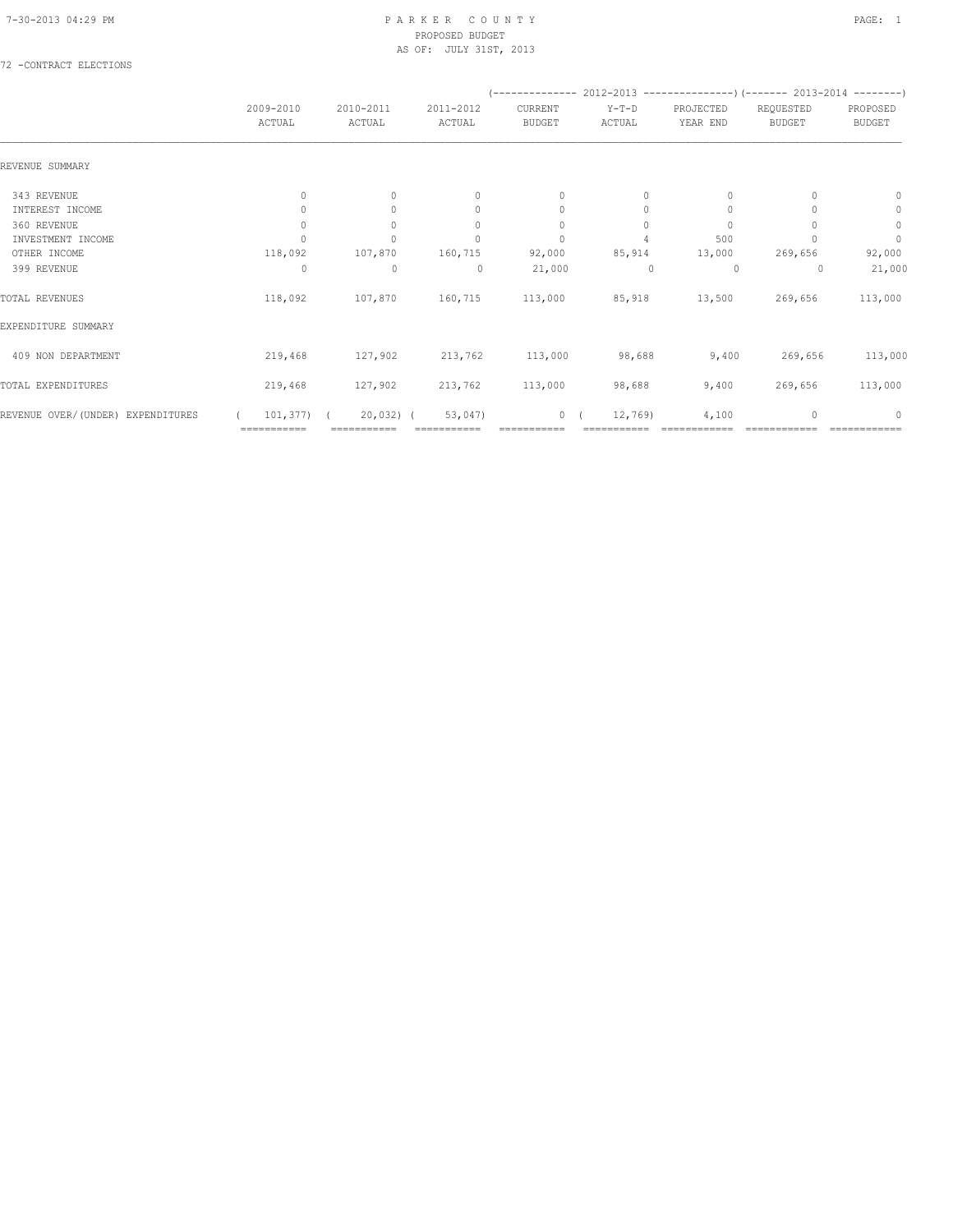## 72 -CONTRACT ELECTIONS

|                                   |                     |                     |                                  |                          |                   |                       |                            | (-------------- 2012-2013 -------------------) (------- 2013-2014 ---------) |  |
|-----------------------------------|---------------------|---------------------|----------------------------------|--------------------------|-------------------|-----------------------|----------------------------|------------------------------------------------------------------------------|--|
|                                   | 2009-2010<br>ACTUAL | 2010-2011<br>ACTUAL | 2011-2012<br>ACTUAL              | CURRENT<br><b>BUDGET</b> | $Y-T-D$<br>ACTUAL | PROJECTED<br>YEAR END | REQUESTED<br><b>BUDGET</b> | PROPOSED<br><b>BUDGET</b>                                                    |  |
| REVENUE SUMMARY                   |                     |                     |                                  |                          |                   |                       |                            |                                                                              |  |
| 343 REVENUE                       | $\mathbf{0}$        | $\circ$             | $\mathbf{0}$                     | $\mathbf{0}$             | $\circ$           | $\mathbf{0}$          |                            | $\mathbf{0}$                                                                 |  |
| INTEREST INCOME                   | 0                   | $\Omega$            | $\begin{array}{c} \n\end{array}$ | $\mathbf{0}$             | $\Omega$          | $\mathbf{0}$          |                            | $\mathbf{0}$                                                                 |  |
| 360 REVENUE                       | 0                   | $\circ$             | $\mathbf{0}$                     | 0                        | 0                 | 0                     |                            | $\mathbb O$                                                                  |  |
| INVESTMENT INCOME                 |                     |                     | $\Omega$                         | $\mathbf{0}$             |                   | 500                   |                            | $\circ$                                                                      |  |
| OTHER INCOME                      | 118,092             | 107,870             | 160,715                          | 92,000                   | 85,914            | 13,000                | 269,656                    | 92,000                                                                       |  |
| 399 REVENUE                       | 0                   | $\mathbf 0$         | $\circ$                          | 21,000                   | 0                 | $\circ$               | 0                          | 21,000                                                                       |  |
| TOTAL REVENUES                    | 118,092             | 107,870             | 160,715                          | 113,000                  | 85,918            | 13,500                | 269,656                    | 113,000                                                                      |  |
| EXPENDITURE SUMMARY               |                     |                     |                                  |                          |                   |                       |                            |                                                                              |  |
| 409 NON DEPARTMENT                | 219,468             | 127,902             | 213,762                          | 113,000                  | 98,688            | 9,400                 | 269,656                    | 113,000                                                                      |  |
| TOTAL EXPENDITURES                | 219,468             | 127,902             | 213,762                          | 113,000                  | 98,688            | 9,400                 | 269,656                    | 113,000                                                                      |  |
| REVENUE OVER/(UNDER) EXPENDITURES | 101,377)            | $20,032)$ (         | 53,047)                          | 0                        | 12,769            | 4,100                 | $\Omega$                   | $\Omega$                                                                     |  |
|                                   | ===========         | ===========         |                                  |                          |                   |                       |                            |                                                                              |  |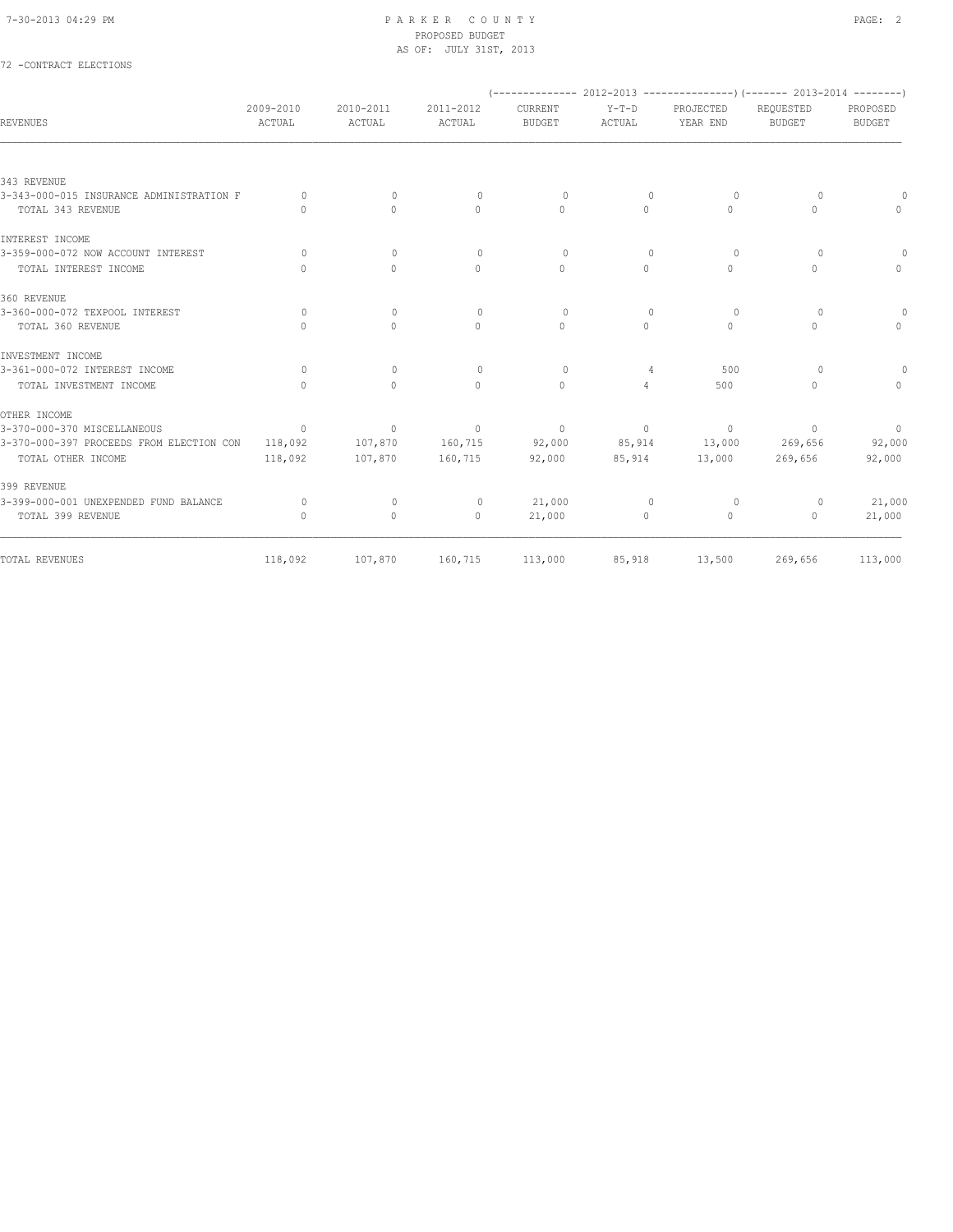72 -CONTRACT ELECTIONS

#### 7-30-2013 04:29 PM P A R K E R C O U N T Y PAGE: 2 PROPOSED BUDGET AS OF: JULY 31ST, 2013

| <b>REVENUES</b>                                               | 2009-2010<br>ACTUAL                          | 2010-2011<br>ACTUAL              | 2011-2012<br>ACTUAL  | CURRENT<br><b>BUDGET</b> | $Y-T-D$<br>ACTUAL                | PROJECTED<br>YEAR END            | (-------------- 2012-2013 ----------------) (------- 2013-2014 --------)<br>REOUESTED<br><b>BUDGET</b> | PROPOSED<br><b>BUDGET</b> |
|---------------------------------------------------------------|----------------------------------------------|----------------------------------|----------------------|--------------------------|----------------------------------|----------------------------------|--------------------------------------------------------------------------------------------------------|---------------------------|
|                                                               |                                              |                                  |                      |                          |                                  |                                  |                                                                                                        |                           |
| 343 REVENUE                                                   |                                              |                                  |                      |                          |                                  |                                  |                                                                                                        |                           |
| 3-343-000-015 INSURANCE ADMINISTRATION F<br>TOTAL 343 REVENUE | $\Omega$<br>$\begin{array}{c} \n\end{array}$ | $\Omega$<br>$\Omega$             | $\Omega$<br>$\Omega$ | $\Omega$<br>$\Omega$     | $\Omega$<br>$\Omega$             | $\Omega$<br>$\Omega$             | $\Omega$<br>$\Omega$                                                                                   | $\Omega$                  |
|                                                               |                                              |                                  |                      |                          |                                  |                                  |                                                                                                        |                           |
| INTEREST INCOME                                               |                                              |                                  |                      |                          |                                  |                                  |                                                                                                        |                           |
| 3-359-000-072 NOW ACCOUNT INTEREST                            | $\Omega$                                     | $\mathbf{0}$                     | $\mathbf{0}$         | $\circ$                  | $\begin{array}{c} \n\end{array}$ | $\Omega$                         | $\circ$                                                                                                | $\circ$                   |
| TOTAL INTEREST INCOME                                         | $\Omega$                                     | $\circ$                          | $\mathbf{0}$         | $\Omega$                 | $\circ$                          | $\Omega$                         | $\mathbf{0}$                                                                                           | $\mathbf{0}$              |
| 360 REVENUE                                                   |                                              |                                  |                      |                          |                                  |                                  |                                                                                                        |                           |
| 3-360-000-072 TEXPOOL INTEREST                                | $\Omega$                                     | $\mathbf{0}$                     | $\mathbf{0}$         | $\circ$                  | $\mathbf{0}$                     | $\circ$                          | 0                                                                                                      | $\circ$                   |
| TOTAL 360 REVENUE                                             | $\cap$                                       | $\begin{array}{c} \n\end{array}$ | $\Omega$             | $\Omega$                 | $\Omega$                         | $\begin{array}{c} \n\end{array}$ | $\circ$                                                                                                | $\Omega$                  |
| INVESTMENT INCOME                                             |                                              |                                  |                      |                          |                                  |                                  |                                                                                                        |                           |
| 3-361-000-072 INTEREST INCOME                                 | $\Omega$                                     | $\mathbf{0}$                     | $\circ$              | $\Omega$                 | 4                                | 500                              | 0                                                                                                      | 0                         |
| TOTAL INVESTMENT INCOME                                       | $\begin{array}{c} \n\end{array}$             | $\Omega$                         | $\Omega$             | $\Omega$                 | $\overline{4}$                   | 500                              | $\circ$                                                                                                | $\Omega$                  |
| OTHER INCOME                                                  |                                              |                                  |                      |                          |                                  |                                  |                                                                                                        |                           |
| 3-370-000-370 MISCELLANEOUS                                   | $\circ$                                      | 0                                | $\circ$              | $\mathbf{0}$             | $\circ$                          | $\circ$                          | $\mathbf{0}$                                                                                           | $\circ$                   |
| 3-370-000-397 PROCEEDS FROM ELECTION CON                      | 118,092                                      | 107,870                          | 160,715              | 92,000                   | 85,914                           | 13,000                           | 269,656                                                                                                | 92,000                    |
| TOTAL OTHER INCOME                                            | 118,092                                      | 107,870                          | 160,715              | 92,000                   | 85,914                           | 13,000                           | 269,656                                                                                                | 92,000                    |
| 399 REVENUE                                                   |                                              |                                  |                      |                          |                                  |                                  |                                                                                                        |                           |
| 3-399-000-001 UNEXPENDED FUND BALANCE                         | $\circ$                                      | $\circ$                          | $\circ$              | 21,000                   | $\mathbf{0}$                     | $\circ$                          | $\circ$                                                                                                | 21,000                    |
| TOTAL 399 REVENUE                                             | $\mathbf{0}$                                 | $\mathbf{0}$                     | $\circ$              | 21,000                   | $\circ$                          | $\circ$                          | $\mathbf{0}$                                                                                           | 21,000                    |
| TOTAL REVENUES                                                | 118,092                                      | 107,870                          | 160,715              | 113,000                  | 85,918                           | 13,500                           | 269,656                                                                                                | 113,000                   |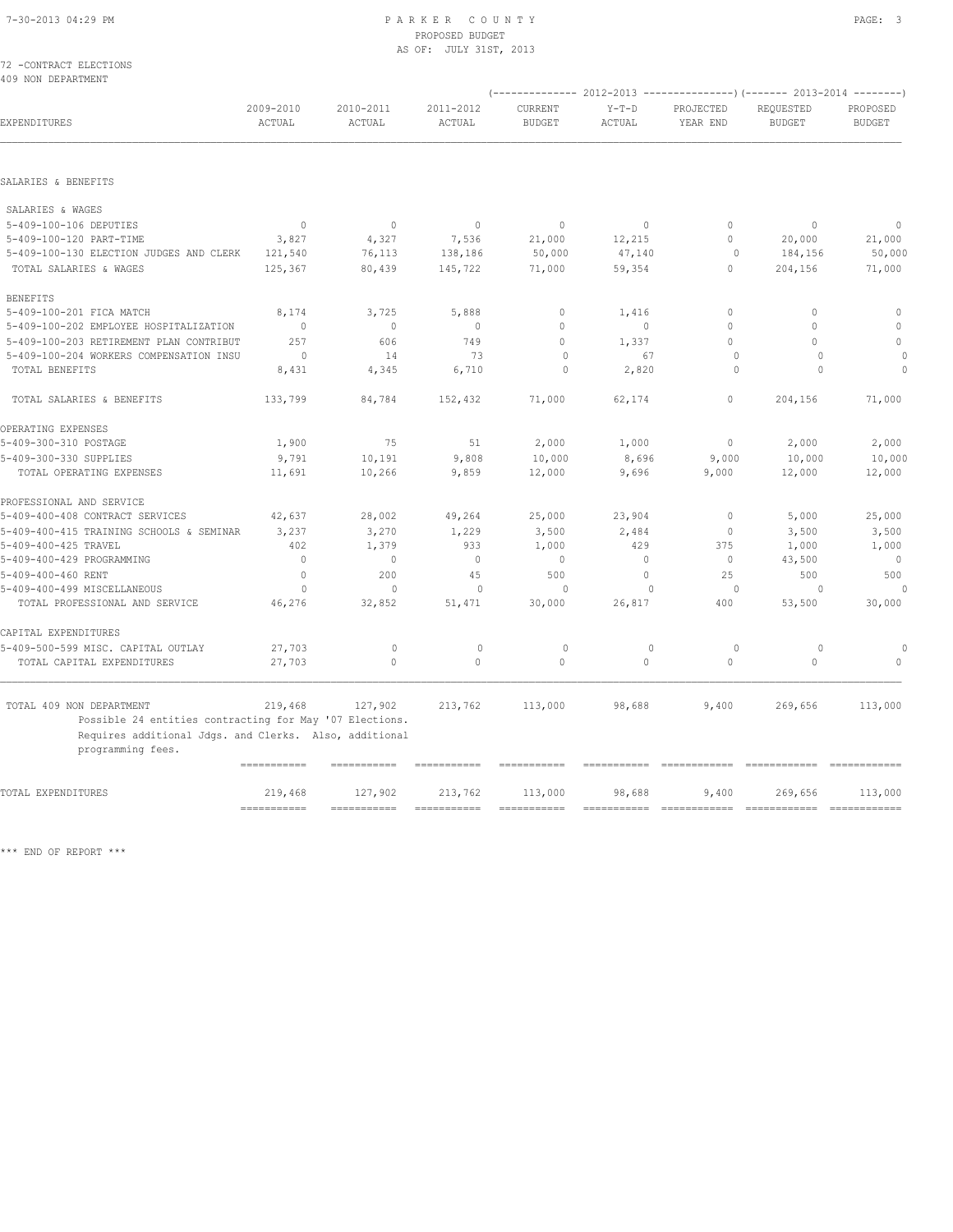#### 7-30-2013 04:29 PM P A R K E R C O U N T Y PAGE: 3 PROPOSED BUDGET AS OF: JULY 31ST, 2013

72 -CONTRACT ELECTIONS 409 NON DEPARTMENT

|                                                                             |                           |                     |                     |                          |                   |                             | (-------------- 2012-2013 ------------------- 2013-2014 --------- ) |                             |
|-----------------------------------------------------------------------------|---------------------------|---------------------|---------------------|--------------------------|-------------------|-----------------------------|---------------------------------------------------------------------|-----------------------------|
| EXPENDITURES                                                                | 2009-2010<br>ACTUAL       | 2010-2011<br>ACTUAL | 2011-2012<br>ACTUAL | CURRENT<br><b>BUDGET</b> | $Y-T-D$<br>ACTUAL | PROJECTED<br>YEAR END       | REQUESTED<br><b>BUDGET</b>                                          | PROPOSED<br><b>BUDGET</b>   |
|                                                                             |                           |                     |                     |                          |                   |                             |                                                                     |                             |
| SALARIES & BENEFITS                                                         |                           |                     |                     |                          |                   |                             |                                                                     |                             |
| SALARIES & WAGES                                                            |                           |                     |                     |                          |                   |                             |                                                                     |                             |
| 5-409-100-106 DEPUTIES                                                      | $\mathbf{0}$              | $\mathbf{0}$        | $\mathbf{0}$        | $\mathbf{0}$             | $\circ$           | $\Omega$                    | $\mathbf{0}$                                                        | $\Omega$                    |
| 5-409-100-120 PART-TIME                                                     | 3,827                     | 4,327               | 7,536               | 21,000                   | 12,215            | $\Omega$                    | 20,000                                                              | 21,000                      |
| 5-409-100-130 ELECTION JUDGES AND CLERK                                     | 121,540                   | 76,113              | 138,186             | 50,000                   | 47,140            | $\circ$                     | 184,156                                                             | 50,000                      |
| TOTAL SALARIES & WAGES                                                      | 125,367                   | 80,439              | 145,722             | 71,000                   | 59,354            | 0                           | 204,156                                                             | 71,000                      |
| <b>BENEFITS</b>                                                             |                           |                     |                     |                          |                   |                             |                                                                     |                             |
| 5-409-100-201 FICA MATCH                                                    | 8,174                     | 3,725               | 5,888               | $\mathbf 0$              | 1,416             | $\circ$                     | $\Omega$                                                            | $\mathbb O$                 |
| 5-409-100-202 EMPLOYEE HOSPITALIZATION                                      | $\circ$                   | $\mathbf{0}$        | $\mathbf{0}$        | $\Omega$                 | $\mathbf 0$       | $\Omega$                    | $\mathbf{0}$                                                        | $\circ$                     |
| 5-409-100-203 RETIREMENT PLAN CONTRIBUT                                     | 257                       | 606                 | 749                 | $\Omega$                 | 1,337             | $\Omega$                    | $\Omega$                                                            | $\Omega$                    |
| 5-409-100-204 WORKERS COMPENSATION INSU                                     | $\circ$                   | 14                  | 73                  | $\Omega$                 | 67                | $\circ$                     | $\Omega$                                                            | $\Omega$                    |
| TOTAL BENEFITS                                                              | 8,431                     | 4,345               | 6,710               | 0                        | 2,820             | $\circ$                     | $\Omega$                                                            | $\Omega$                    |
| TOTAL SALARIES & BENEFITS                                                   | 133,799                   | 84,784              | 152,432             | 71,000                   | 62,174            | $\circ$                     | 204,156                                                             | 71,000                      |
| OPERATING EXPENSES                                                          |                           |                     |                     |                          |                   |                             |                                                                     |                             |
| 5-409-300-310 POSTAGE                                                       | 1,900                     | 75                  | 51                  | 2,000                    | 1,000             | $\circ$                     | 2,000                                                               | 2,000                       |
| 5-409-300-330 SUPPLIES                                                      | 9,791                     | 10,191              | 9,808               | 10,000                   | 8,696             | 9,000                       | 10,000                                                              | 10,000                      |
| TOTAL OPERATING EXPENSES                                                    | 11,691                    | 10,266              | 9,859               | 12,000                   | 9,696             | 9,000                       | 12,000                                                              | 12,000                      |
| PROFESSIONAL AND SERVICE                                                    |                           |                     |                     |                          |                   |                             |                                                                     |                             |
| 5-409-400-408 CONTRACT SERVICES                                             | 42,637                    | 28,002              | 49,264              | 25,000                   | 23,904            | $\mathbf 0$                 | 5,000                                                               | 25,000                      |
| 5-409-400-415 TRAINING SCHOOLS & SEMINAR                                    | 3,237                     | 3,270               | 1,229               | 3,500                    | 2,484             | $\mathbb O$                 | 3,500                                                               | 3,500                       |
| 5-409-400-425 TRAVEL                                                        | 402                       | 1,379               | 933                 | 1,000                    | 429               | 375                         | 1,000                                                               | 1,000                       |
| 5-409-400-429 PROGRAMMING                                                   | $\mathbf{0}$              | $\circ$             | $\mathbf{0}$        | $\circ$                  | $\circ$           | $\circ$                     | 43,500                                                              | $\mathbb O$                 |
| 5-409-400-460 RENT                                                          | $\mathbf{0}$              | 200                 | 45                  | 500                      | $\Omega$          | 25                          | 500                                                                 | 500                         |
| 5-409-400-499 MISCELLANEOUS                                                 | $\circ$                   | $\mathbf{0}$        | $\circ$             | $\circ$                  | $\mathbf{0}$      | $\circ$                     | $\circ$                                                             | $\cap$                      |
| TOTAL PROFESSIONAL AND SERVICE                                              | 46,276                    | 32,852              | 51,471              | 30,000                   | 26,817            | 400                         | 53,500                                                              | 30,000                      |
| CAPITAL EXPENDITURES                                                        |                           |                     |                     |                          |                   |                             |                                                                     |                             |
| 5-409-500-599 MISC. CAPITAL OUTLAY                                          | 27,703                    | $\circ$             | $\mathbb O$         | $\circ$                  | $\circ$           | $\circ$                     | $\circ$                                                             | $\Omega$                    |
| TOTAL CAPITAL EXPENDITURES                                                  | 27,703                    | $\mathbb O$         | $\cap$              | $\Omega$                 | $\Omega$          | $\Omega$                    | $\Omega$                                                            | $\bigcap$                   |
| TOTAL 409 NON DEPARTMENT                                                    | 219,468                   | 127,902             | 213,762             | 113,000                  | 98,688            | 9,400                       | 269,656                                                             | 113,000                     |
| Possible 24 entities contracting for May '07 Elections.                     |                           |                     |                     |                          |                   |                             |                                                                     |                             |
| Requires additional Jdgs. and Clerks. Also, additional<br>programming fees. |                           |                     |                     |                          |                   |                             |                                                                     |                             |
|                                                                             | ===========               | ===========         | ===========         | ===========              | ___________       | ============                | =============                                                       |                             |
| TOTAL EXPENDITURES                                                          | 219,468                   | 127,902             | 213,762             | 113,000                  | 98,688            | 9,400                       | 269,656                                                             | 113,000                     |
|                                                                             | $=$ = = = = = = = = = = = | ===========         | ===========         | ===========              | ===========       | $=$ = = = = = = = = = = = = |                                                                     | $=$ = = = = = = = = = = = = |

\*\*\* END OF REPORT \*\*\*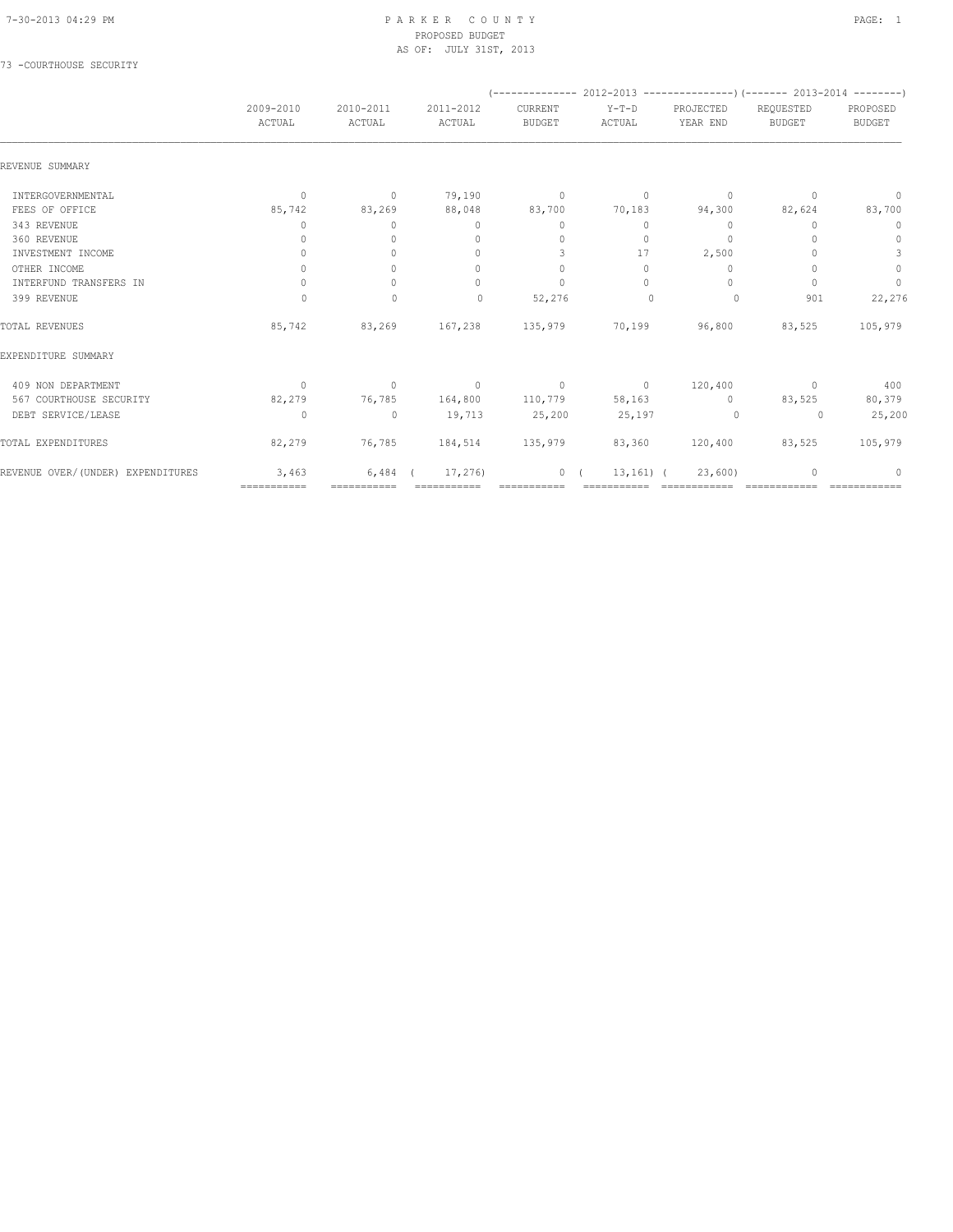#### 7-30-2013 04:29 PM P A R K E R C O U N T Y PAGE: 1 PROPOSED BUDGET AS OF: JULY 31ST, 2013

## 73 -COURTHOUSE SECURITY

|                                    | 2009-2010<br>ACTUAL | 2010-2011<br>ACTUAL | 2011-2012<br>ACTUAL              | CURRENT<br><b>BUDGET</b>         | $Y-T-D$<br>ACTUAL      | PROJECTED<br>YEAR END            | REQUESTED<br><b>BUDGET</b> | PROPOSED<br><b>BUDGET</b> |
|------------------------------------|---------------------|---------------------|----------------------------------|----------------------------------|------------------------|----------------------------------|----------------------------|---------------------------|
| REVENUE SUMMARY                    |                     |                     |                                  |                                  |                        |                                  |                            |                           |
| INTERGOVERNMENTAL                  | $\circ$             | $\circ$             | 79,190                           | $\sim$ 0                         | $\circ$                | $\circ$                          | $\Omega$                   | $\mathbf{0}$              |
| FEES OF OFFICE                     | 85,742              | 83,269              | 88,048                           | 83,700                           | 70,183                 | 94,300                           | 82,624                     | 83,700                    |
| 343 REVENUE                        | $\Omega$            | $\mathbf{0}$        | $\mathbf{0}$                     | $\mathbf{0}$                     | $\circ$                | $\mathbf{0}$                     | 0                          | $\mathbf 0$               |
| 360 REVENUE                        | 0                   | $\Omega$            | $\mathbf{0}$                     | $\begin{array}{c} \n\end{array}$ | $\circ$                | $\begin{array}{c} \n\end{array}$ |                            | $\mathbf 0$               |
| INVESTMENT INCOME                  | $\Omega$            | $\bigcap$           | $\begin{array}{c} \n\end{array}$ | 3                                | 17                     | 2,500                            |                            | 3                         |
| OTHER INCOME                       | $\circ$             | $\circ$             | $\mathbf{0}$                     | $\mathbf{0}$                     | $\circ$                | 0                                |                            | $\mathbb O$               |
| INTERFUND TRANSFERS IN             | $\circ$             | $\Omega$            | $\Omega$                         | $\mathbf{0}$                     | $\Omega$               | $\Omega$                         | ∩                          | $\circ$                   |
| 399 REVENUE                        | $\circ$             | $\mathbf{0}$        | $\Omega$                         | 52,276                           | $\mathbf{0}$           | $\circ$                          | 901                        | 22,276                    |
| TOTAL REVENUES                     | 85,742              | 83,269              |                                  |                                  | 167,238 135,979 70,199 | 96,800                           | 83,525                     | 105,979                   |
| EXPENDITURE SUMMARY                |                     |                     |                                  |                                  |                        |                                  |                            |                           |
| 409 NON DEPARTMENT                 | $\circ$             | $\circ$             | $\sim$ 0                         | $\sim$ 0                         | $\sim$ 0               | 120,400                          | $\sim$ 0                   | 400                       |
| 567 COURTHOUSE SECURITY            | 82,279              | 76,785              | 164,800                          | 110,779                          | 58,163                 | $\sim$ 0                         | 83,525                     | 80,379                    |
| DEBT SERVICE/LEASE                 | $\Omega$            | $\mathbf{0}$        | 19,713                           | 25,200                           | 25,197                 | $\Omega$                         | $\Omega$                   | 25,200                    |
| TOTAL EXPENDITURES                 | 82,279              |                     | 76,785 184,514 135,979           |                                  | 83,360                 | 120,400                          | 83,525                     | 105,979                   |
| REVENUE OVER/ (UNDER) EXPENDITURES | 3,463               | 6,484               | 17,276)                          | $\circ$                          | $13, 161)$ (           | 23,600                           |                            | $\Omega$                  |
|                                    | ===========         | ===========         |                                  |                                  |                        |                                  |                            |                           |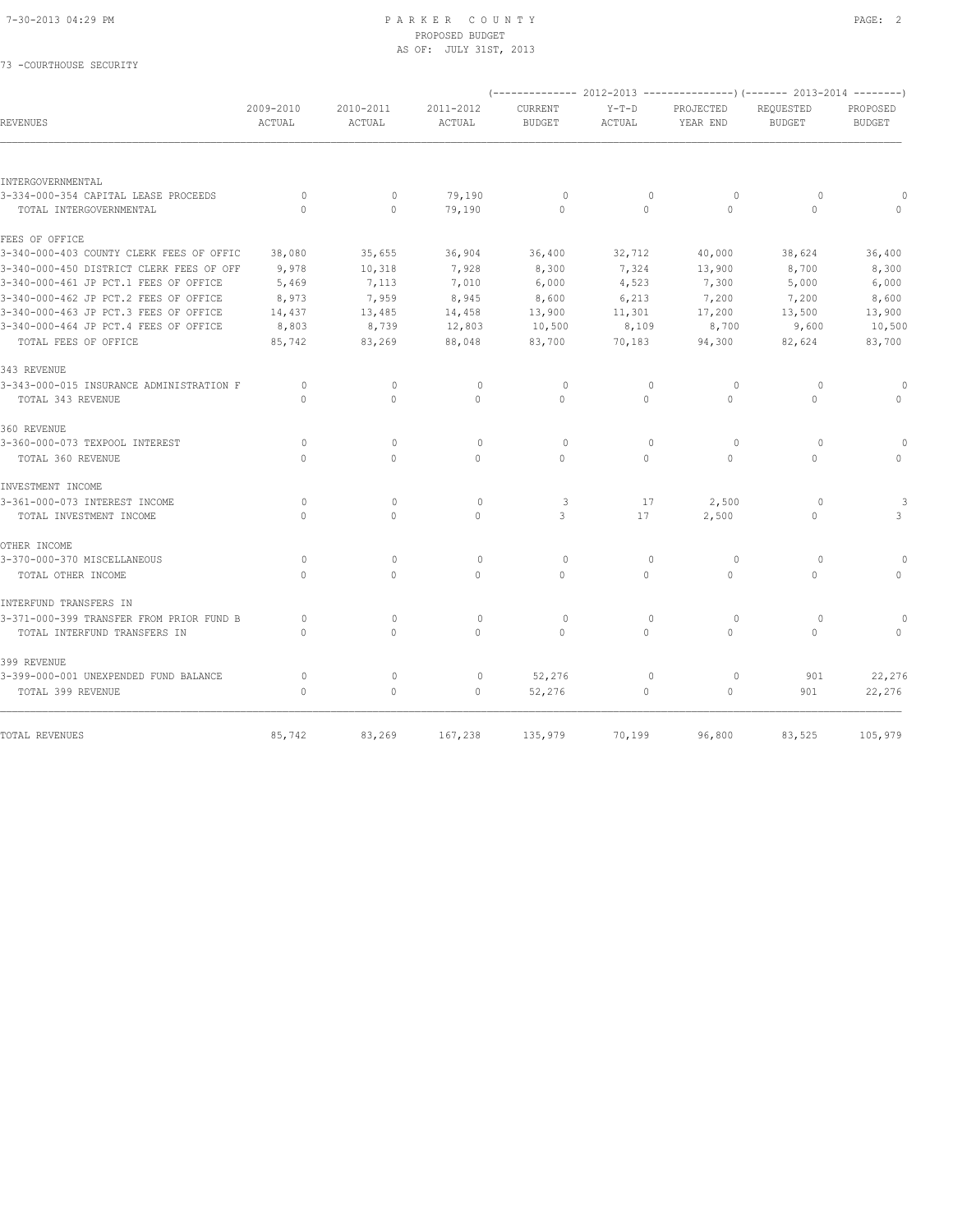73 -COURTHOUSE SECURITY

#### 7-30-2013 04:29 PM P A R K E R C O U N T Y PAGE: 2 PROPOSED BUDGET AS OF: JULY 31ST, 2013

|                                                                 |                          |                     |                     |                                 |                         |                       | (-------------- 2012-2013 ----------------) (------- 2013-2014 --------) |                           |
|-----------------------------------------------------------------|--------------------------|---------------------|---------------------|---------------------------------|-------------------------|-----------------------|--------------------------------------------------------------------------|---------------------------|
| REVENUES                                                        | 2009-2010<br>ACTUAL      | 2010-2011<br>ACTUAL | 2011-2012<br>ACTUAL | <b>CURRENT</b><br><b>BUDGET</b> | $Y-T-D$<br>ACTUAL       | PROJECTED<br>YEAR END | REQUESTED<br><b>BUDGET</b>                                               | PROPOSED<br><b>BUDGET</b> |
|                                                                 |                          |                     |                     |                                 |                         |                       |                                                                          |                           |
| INTERGOVERNMENTAL                                               |                          |                     |                     |                                 |                         |                       |                                                                          |                           |
| 3-334-000-354 CAPITAL LEASE PROCEEDS<br>TOTAL INTERGOVERNMENTAL | $\Omega$<br>$\mathbf{0}$ | $\Omega$<br>$\circ$ | 79,190<br>79,190    | $\circ$<br>$\Omega$             | $\mathbf{0}$<br>$\circ$ | $\circ$<br>$\Omega$   | $\Omega$<br>$\Omega$                                                     |                           |
| FEES OF OFFICE                                                  |                          |                     |                     |                                 |                         |                       |                                                                          |                           |
| 3-340-000-403 COUNTY CLERK FEES OF OFFIC                        | 38,080                   | 35,655              | 36,904              | 36,400                          | 32,712                  | 40,000                | 38,624                                                                   | 36,400                    |
| 3-340-000-450 DISTRICT CLERK FEES OF OFF                        | 9,978                    | 10,318              | 7,928               | 8,300                           | 7,324                   | 13,900                | 8,700                                                                    | 8,300                     |
| 3-340-000-461 JP PCT.1 FEES OF OFFICE                           | 5,469                    | 7,113               | 7,010               | 6,000                           | 4,523                   | 7,300                 | 5,000                                                                    | 6,000                     |
| 3-340-000-462 JP PCT.2 FEES OF OFFICE                           | 8,973                    | 7,959               | 8,945               | 8,600                           | 6,213                   | 7,200                 | 7,200                                                                    | 8,600                     |
| 3-340-000-463 JP PCT.3 FEES OF OFFICE                           | 14,437                   | 13,485              | 14,458              | 13,900                          | 11,301                  | 17,200                | 13,500                                                                   | 13,900                    |
| 3-340-000-464 JP PCT.4 FEES OF OFFICE                           | 8,803                    | 8,739               | 12,803              | 10,500                          | 8,109                   | 8,700                 | 9,600                                                                    | 10,500                    |
| TOTAL FEES OF OFFICE                                            | 85,742                   | 83,269              | 88,048              | 83,700                          | 70,183                  | 94,300                | 82,624                                                                   | 83,700                    |
| 343 REVENUE                                                     |                          |                     |                     |                                 |                         |                       |                                                                          |                           |
| 3-343-000-015 INSURANCE ADMINISTRATION F                        | $\circ$                  | $\mathbf{0}$        | 0                   | $\circ$                         | $\mathbf{0}$            | 0                     | $\circ$                                                                  |                           |
| TOTAL 343 REVENUE                                               | $\Omega$                 | $\Omega$            | $\circ$             | $\Omega$                        | $\circ$                 | $\Omega$              | $\circ$                                                                  | $\Omega$                  |
| 360 REVENUE                                                     |                          |                     |                     |                                 |                         |                       |                                                                          |                           |
| 3-360-000-073 TEXPOOL INTEREST                                  | 0                        | $\mathbf{0}$        | $\mathbf{0}$        | $\circ$                         | $\mathbf{0}$            | 0                     | $\circ$                                                                  |                           |
| TOTAL 360 REVENUE                                               | $\Omega$                 | $\Omega$            | $\Omega$            | $\Omega$                        | $\Omega$                | $\circ$               | $\Omega$                                                                 |                           |
| INVESTMENT INCOME                                               |                          |                     |                     |                                 |                         |                       |                                                                          |                           |
| 3-361-000-073 INTEREST INCOME                                   | $\circ$                  | $\mathbf{0}$        | $\circ$             | 3                               | 17                      | 2,500                 | $\Omega$                                                                 |                           |
| TOTAL INVESTMENT INCOME                                         | $\Omega$                 | $\Omega$            | $\Omega$            | 3                               | 17                      | 2,500                 | $\Omega$                                                                 | 3                         |
| OTHER INCOME                                                    |                          |                     |                     |                                 |                         |                       |                                                                          |                           |
| 3-370-000-370 MISCELLANEOUS                                     | $\circ$                  | $\mathbf{0}$        | $\mathbf{0}$        | $\circ$                         | $\mathbf{0}$            | 0                     | $\circ$                                                                  |                           |
| TOTAL OTHER INCOME                                              | $\Omega$                 | $\circ$             | $\mathbf{0}$        | $\Omega$                        | $\circ$                 | $\circ$               | $\circ$                                                                  | $\Omega$                  |
| INTERFUND TRANSFERS IN                                          |                          |                     |                     |                                 |                         |                       |                                                                          |                           |
| 3-371-000-399 TRANSFER FROM PRIOR FUND B                        | $\circ$                  | $\mathbf{0}$        | $\circ$             | $\circ$                         | $\mathbf{0}$            | $\circ$               | $\circ$                                                                  |                           |
| TOTAL INTERFUND TRANSFERS IN                                    | $\Omega$                 | $\Omega$            | $\Omega$            | $\Omega$                        | $\Omega$                | $\Omega$              | $\Omega$                                                                 |                           |
| 399 REVENUE                                                     |                          |                     |                     |                                 |                         |                       |                                                                          |                           |
| 3-399-000-001 UNEXPENDED FUND BALANCE                           | $\circ$                  | $\mathbf{0}$        | 0                   | 52,276                          | $\mathbf{0}$            | $\circ$               | 901                                                                      | 22,276                    |
| TOTAL 399 REVENUE                                               | $\mathbf{0}$             | $\circ$             | $\mathbf{0}$        | 52,276                          | $\circ$                 | $\circ$               | 901                                                                      | 22,276                    |
|                                                                 |                          |                     |                     |                                 |                         |                       |                                                                          |                           |
| TOTAL REVENUES                                                  | 85,742                   | 83,269              | 167,238             | 135,979                         | 70,199                  | 96,800                | 83,525                                                                   | 105,979                   |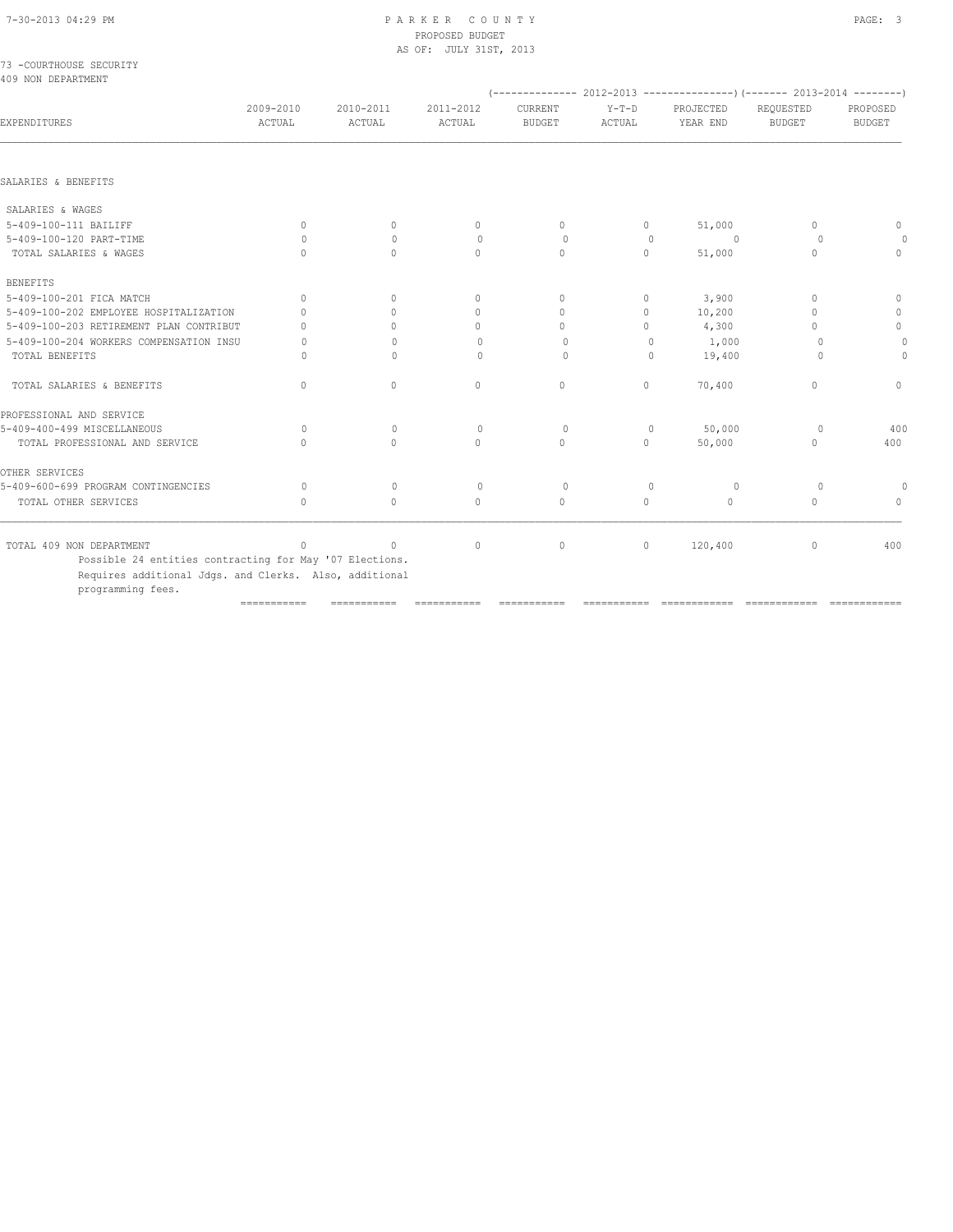|  |                    | 73 -COURTHOUSE SECURITY |
|--|--------------------|-------------------------|
|  | 409 NON DEPARTMENT |                         |

|                                        |                                                                                    |                     |                          |                   | $(---------- 2012-2013 ----------)$ $(---- 2013-2014 ----)$ |                                  |                           |
|----------------------------------------|------------------------------------------------------------------------------------|---------------------|--------------------------|-------------------|-------------------------------------------------------------|----------------------------------|---------------------------|
| 2009-2010<br>ACTUAL                    | 2010-2011<br>ACTUAL                                                                | 2011-2012<br>ACTUAL | CURRENT<br><b>BUDGET</b> | $Y-T-D$<br>ACTUAL | PROJECTED<br>YEAR END                                       | REQUESTED<br><b>BUDGET</b>       | PROPOSED<br><b>BUDGET</b> |
|                                        |                                                                                    |                     |                          |                   |                                                             |                                  |                           |
|                                        |                                                                                    |                     |                          |                   |                                                             |                                  |                           |
|                                        |                                                                                    |                     |                          |                   |                                                             |                                  |                           |
| $\mathbf{0}$                           | $\circ$                                                                            | $\circ$             | $\circ$                  | $\circ$           | 51,000                                                      | $\mathbf{0}$                     | $\Omega$                  |
| $\Omega$                               | $\Omega$                                                                           | $\circ$             | $\Omega$                 | $\Omega$          | $\Omega$                                                    | $\Omega$                         | $\Omega$                  |
| $\bigcap$                              | $\bigcap$                                                                          | $\bigcap$           | $\bigcap$                | $\cap$            | 51,000                                                      | $\bigcap$                        | $\Omega$                  |
|                                        |                                                                                    |                     |                          |                   |                                                             |                                  |                           |
| $\Omega$                               | $\Omega$                                                                           | $\mathbf{0}$        | $\Omega$                 | $\Omega$          | 3,900                                                       | $\Omega$                         | $\Omega$                  |
| $\bigcap$                              | $\Omega$                                                                           | $\circ$             | $\Omega$                 | $\Omega$          | 10,200                                                      | $\Omega$                         | $\mathbf{0}$              |
| $\bigcap$                              | $\Omega$                                                                           | $\Omega$            | $\cap$                   | $\cap$            | 4,300                                                       | $\cap$                           | $\circ$                   |
| 0                                      | $\Omega$                                                                           | $\circ$             | $\Omega$                 | $\mathbf{0}$      | 1,000                                                       | $\Omega$                         | $\Omega$                  |
| 0                                      | $\Omega$                                                                           | $\Omega$            | $\Omega$                 | $\Omega$          | 19,400                                                      | $\circ$                          | 0                         |
| $\Omega$                               | $\Omega$                                                                           | $\mathbf{0}$        | $\mathbf{0}$             | $\Omega$          | 70,400                                                      | $\begin{array}{c} \n\end{array}$ | $\Omega$                  |
|                                        |                                                                                    |                     |                          |                   |                                                             |                                  |                           |
| $\Omega$                               | $\Omega$                                                                           | $\circ$             | $\circ$                  | $\circ$           | 50,000                                                      | $\circ$                          | 400                       |
| $\Omega$                               | $\Omega$                                                                           | $\Omega$            | $\Omega$                 | $\Omega$          | 50,000                                                      | $\Omega$                         | 400                       |
|                                        |                                                                                    |                     |                          |                   |                                                             |                                  |                           |
| $\bigcap$                              | $\Omega$                                                                           | $\Omega$            | $\Omega$                 | $\Omega$          | $\Omega$                                                    | $\Omega$                         | $\Omega$                  |
| $\cap$                                 | $\Omega$                                                                           | $\Omega$            | $\Omega$                 | $\cap$            | $\Omega$                                                    | $\cap$                           | $\Omega$                  |
| $\bigcap$                              | $\Omega$                                                                           | $\circ$             | $\circ$                  | $\circ$           | 120,400                                                     | 0                                | 400                       |
| 5-409-100-202 EMPLOYEE HOSPITALIZATION | 5-409-100-203 RETIREMENT PLAN CONTRIBUT<br>5-409-100-204 WORKERS COMPENSATION INSU |                     |                          |                   |                                                             |                                  |                           |

=========== =========== =========== =========== =========== ============ ============ ============

Requires additional Jdgs. and Clerks. Also, additional

programming fees.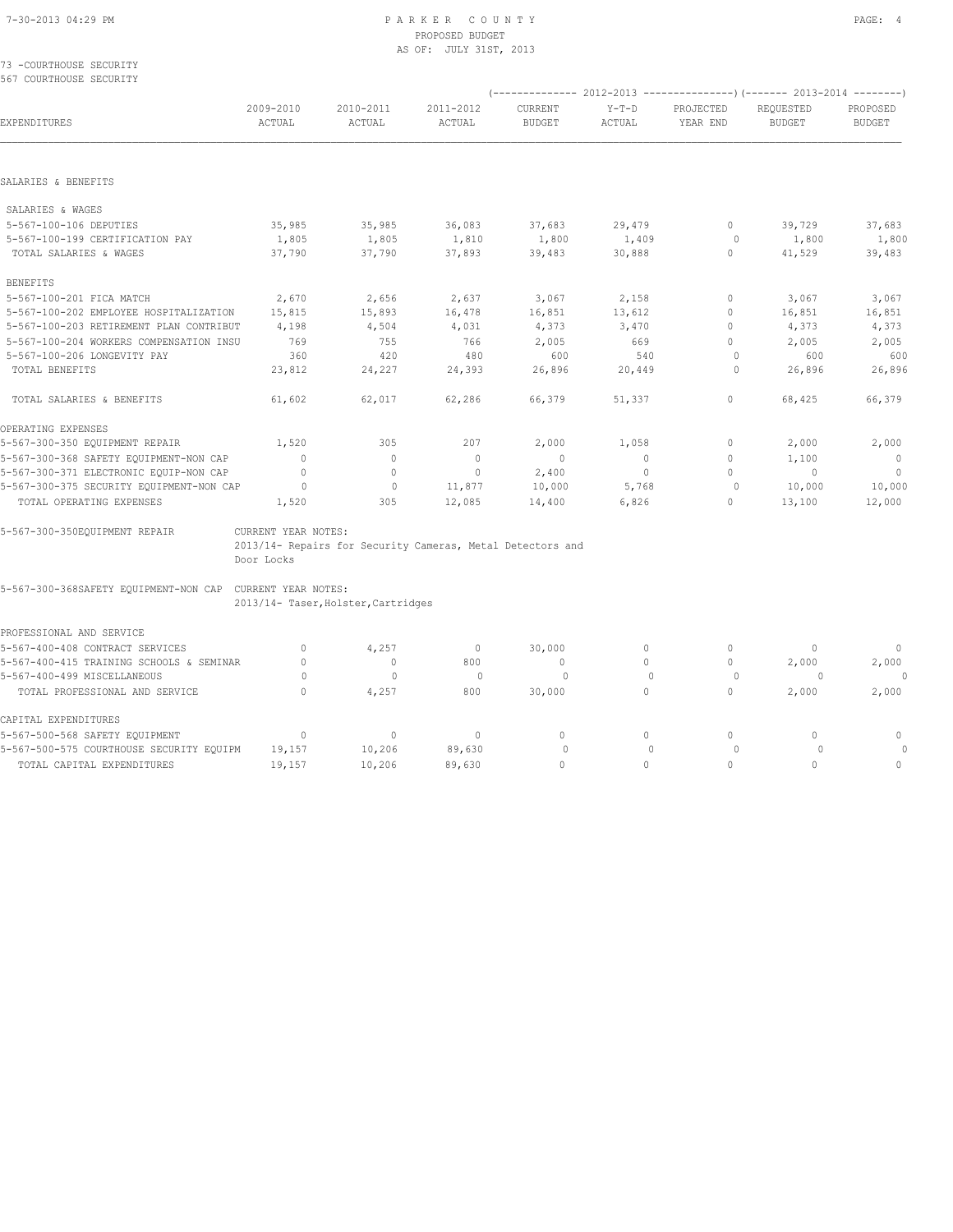#### 73 -COURTHOUSE SECURITY 567 COURTHOUSE SECURITY

|                                          |                     |                                                            |                     |                          |                   |                                  | (-------------- 2012-2013 --------------------- 2013-2014 ----------) |                           |
|------------------------------------------|---------------------|------------------------------------------------------------|---------------------|--------------------------|-------------------|----------------------------------|-----------------------------------------------------------------------|---------------------------|
| EXPENDITURES                             | 2009-2010<br>ACTUAL | 2010-2011<br>ACTUAL                                        | 2011-2012<br>ACTUAL | CURRENT<br><b>BUDGET</b> | $Y-T-D$<br>ACTUAL | PROJECTED<br>YEAR END            | REQUESTED<br><b>BUDGET</b>                                            | PROPOSED<br><b>BUDGET</b> |
|                                          |                     |                                                            |                     |                          |                   |                                  |                                                                       |                           |
| SALARIES & BENEFITS                      |                     |                                                            |                     |                          |                   |                                  |                                                                       |                           |
| SALARIES & WAGES                         |                     |                                                            |                     |                          |                   |                                  |                                                                       |                           |
| 5-567-100-106 DEPUTIES                   | 35,985              | 35,985                                                     | 36,083              | 37,683                   | 29,479            | $\circ$                          | 39,729                                                                | 37,683                    |
| 5-567-100-199 CERTIFICATION PAY          | 1,805               | 1,805                                                      | 1,810               | 1,800                    | 1,409             | $\Omega$                         | 1,800                                                                 | 1,800                     |
| TOTAL SALARIES & WAGES                   | 37,790              | 37,790                                                     | 37,893              | 39,483                   | 30,888            | $\Omega$                         | 41,529                                                                | 39,483                    |
| <b>BENEFITS</b>                          |                     |                                                            |                     |                          |                   |                                  |                                                                       |                           |
| 5-567-100-201 FICA MATCH                 | 2,670               | 2,656                                                      | 2,637               | 3,067                    | 2,158             | 0                                | 3,067                                                                 | 3,067                     |
| 5-567-100-202 EMPLOYEE HOSPITALIZATION   | 15,815              | 15,893                                                     | 16,478              | 16,851                   | 13,612            | $\Omega$                         | 16,851                                                                | 16,851                    |
| 5-567-100-203 RETIREMENT PLAN CONTRIBUT  | 4,198               | 4,504                                                      | 4,031               | 4,373                    | 3,470             | $\begin{array}{c} \n\end{array}$ | 4,373                                                                 | 4,373                     |
| 5-567-100-204 WORKERS COMPENSATION INSU  | 769                 | 755                                                        | 766                 | 2,005                    | 669               | $\begin{array}{c} \n\end{array}$ | 2,005                                                                 | 2,005                     |
| 5-567-100-206 LONGEVITY PAY              | 360                 | 420                                                        | 480                 | 600                      | 540               | $\Omega$                         | 600                                                                   | 600                       |
| TOTAL BENEFITS                           | 23,812              | 24,227                                                     | 24,393              | 26,896                   | 20,449            | $\circ$                          | 26,896                                                                | 26,896                    |
| TOTAL SALARIES & BENEFITS                | 61,602              | 62,017                                                     | 62,286              | 66,379                   | 51,337            | 0                                | 68,425                                                                | 66,379                    |
| OPERATING EXPENSES                       |                     |                                                            |                     |                          |                   |                                  |                                                                       |                           |
| 5-567-300-350 EQUIPMENT REPAIR           | 1,520               | 305                                                        | 207                 | 2,000                    | 1,058             | 0                                | 2,000                                                                 | 2,000                     |
| 5-567-300-368 SAFETY EQUIPMENT-NON CAP   | $\Omega$            | $\Omega$                                                   | $\mathbf{0}$        | $\overline{0}$           | $\Omega$          | $\Omega$                         | 1,100                                                                 | $\overline{0}$            |
| 5-567-300-371 ELECTRONIC EQUIP-NON CAP   | $\Omega$            | $\Omega$                                                   | $\mathbf{0}$        | 2,400                    | $\overline{0}$    | $\bigcap$                        | $\overline{0}$                                                        | $\overline{\phantom{0}}$  |
| 5-567-300-375 SECURITY EQUIPMENT-NON CAP | $\Omega$            | $\circ$                                                    | 11,877              | 10,000                   | 5,768             | $\circ$                          | 10,000                                                                | 10,000                    |
| TOTAL OPERATING EXPENSES                 | 1,520               | 305                                                        | 12,085              | 14,400                   | 6,826             | 0                                | 13,100                                                                | 12,000                    |
| 5-567-300-350EQUIPMENT REPAIR            | CURRENT YEAR NOTES: |                                                            |                     |                          |                   |                                  |                                                                       |                           |
|                                          |                     | 2013/14- Repairs for Security Cameras, Metal Detectors and |                     |                          |                   |                                  |                                                                       |                           |
|                                          | Door Locks          |                                                            |                     |                          |                   |                                  |                                                                       |                           |

5-567-300-368SAFETY EQUIPMENT-NON CAP CURRENT YEAR NOTES:

2013/14- Taser,Holster,Cartridges

| PROFESSIONAL AND SERVICE                 |        |        |        |        |  |       |              |
|------------------------------------------|--------|--------|--------|--------|--|-------|--------------|
| 5-567-400-408 CONTRACT SERVICES          |        | 4,257  |        | 30,000 |  |       | $\cap$       |
| 5-567-400-415 TRAINING SCHOOLS & SEMINAR |        | 0      | 800    |        |  | 2,000 | 2,000        |
| 5-567-400-499 MISCELLANEOUS              |        |        |        |        |  |       | $\Omega$     |
| TOTAL PROFESSIONAL AND SERVICE           |        | 4,257  | 800    | 30,000 |  | 2,000 | 2,000        |
| CAPITAL EXPENDITURES                     |        |        |        |        |  |       |              |
| 5-567-500-568 SAFETY EQUIPMENT           |        | 0      |        |        |  |       | $\cap$       |
| 5-567-500-575 COURTHOUSE SECURITY EQUIPM | 19,157 | 10,206 | 89,630 |        |  |       | <sup>0</sup> |
| TOTAL CAPITAL EXPENDITURES               | 19,157 | 10,206 | 89,630 |        |  |       |              |
|                                          |        |        |        |        |  |       |              |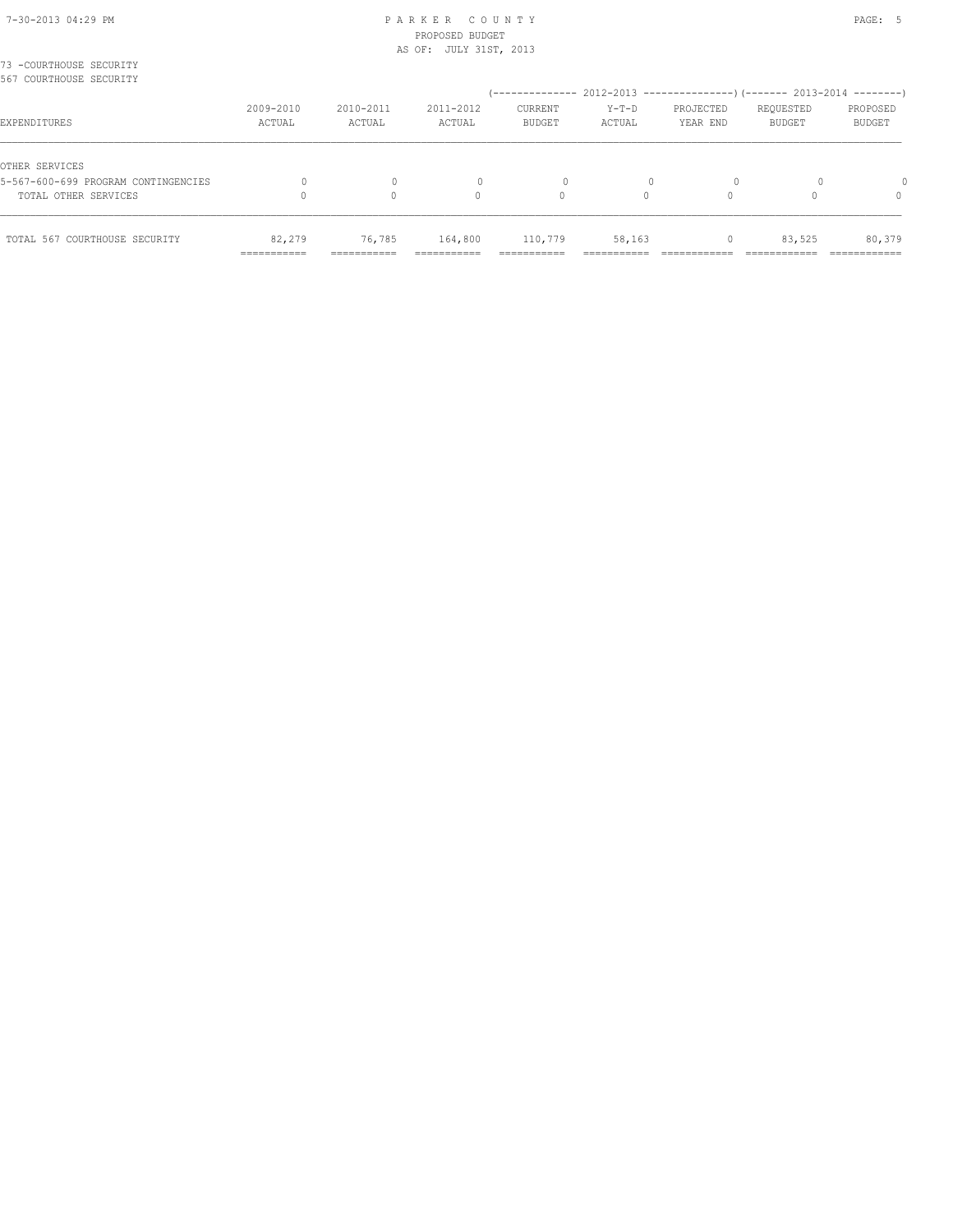| TOTAL OTHER SERVICES                                  |                     |                     | 0                   | 0                        | 0                 |                                                           |                            | $\Omega$           |
|-------------------------------------------------------|---------------------|---------------------|---------------------|--------------------------|-------------------|-----------------------------------------------------------|----------------------------|--------------------|
| OTHER SERVICES<br>5-567-600-699 PROGRAM CONTINGENCIES |                     | $\Omega$            |                     | 0                        |                   |                                                           |                            |                    |
| EXPENDITURES                                          | 2009-2010<br>ACTUAL | 2010-2011<br>ACTUAL | 2011-2012<br>ACTUAL | CURRENT<br><b>BUDGET</b> | $Y-T-D$<br>ACTUAL | PROJECTED<br>YEAR END                                     | REQUESTED<br><b>BUDGET</b> | PROPOSED<br>BUDGET |
| 73 -COURTHOUSE SECURITY<br>567 COURTHOUSE SECURITY    |                     |                     |                     | '--------------          |                   | 2012-2013 ----------------) (------- 2013-2014 ---------) |                            |                    |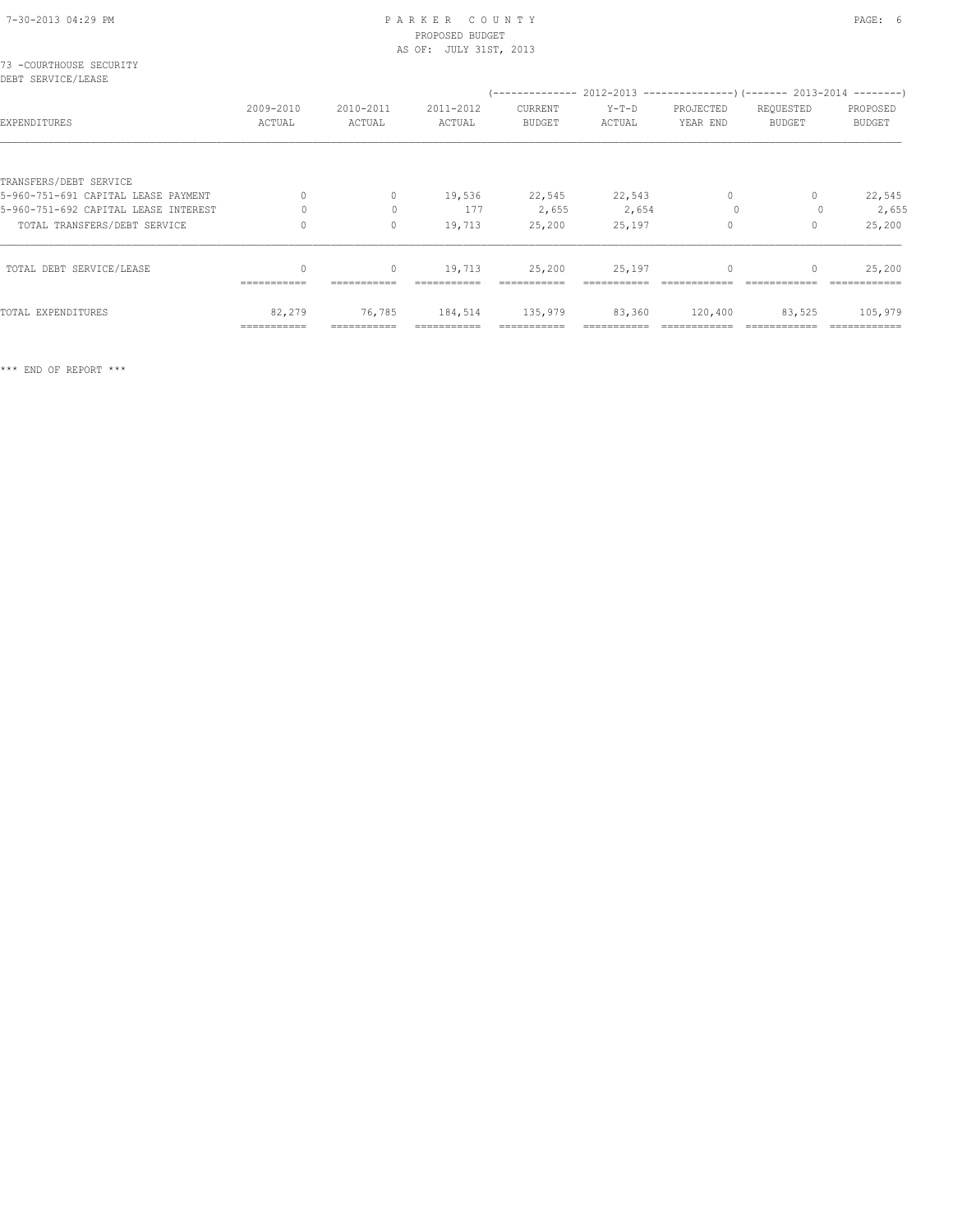#### 7-30-2013 04:29 PM P A R K E R C O U N T Y PAGE: 6 PROPOSED BUDGET AS OF: JULY 31ST, 2013

| 73 -COURTHOUSE SECURITY<br>DEBT SERVICE/LEASE |                     |                     |                     |                          |                 |                       |                                                                                                          |                           |
|-----------------------------------------------|---------------------|---------------------|---------------------|--------------------------|-----------------|-----------------------|----------------------------------------------------------------------------------------------------------|---------------------------|
| EXPENDITURES                                  | 2009-2010<br>ACTUAL | 2010-2011<br>ACTUAL | 2011-2012<br>ACTUAL | CURRENT<br><b>BUDGET</b> | Y-T-D<br>ACTUAL | PROJECTED<br>YEAR END | (-------------- 2012-2013 -----------------) (------- 2013-2014 ---------)<br>REQUESTED<br><b>BUDGET</b> | PROPOSED<br><b>BUDGET</b> |
|                                               |                     |                     |                     |                          |                 |                       |                                                                                                          |                           |
| TRANSFERS/DEBT SERVICE                        |                     |                     |                     |                          |                 |                       |                                                                                                          |                           |
| 5-960-751-691 CAPITAL LEASE PAYMENT           | 0                   | $\circ$             | 19,536              | 22,545                   | 22,543          | $\circ$               | 0                                                                                                        | 22,545                    |
| 5-960-751-692 CAPITAL LEASE INTEREST          |                     | $\Omega$            | 177                 | 2,655                    | 2,654           | $\Omega$              |                                                                                                          | 2,655                     |
| TOTAL TRANSFERS/DEBT SERVICE                  |                     | $\circ$             | 19,713              | 25,200                   | 25,197          | $\Omega$              | $\Omega$                                                                                                 | 25,200                    |
| TOTAL DEBT SERVICE/LEASE                      |                     | $\circ$             | 19,713              | 25,200                   | 25,197          | $\mathbf{0}$          | $\mathbf{0}$                                                                                             | 25,200                    |
|                                               | ===========         |                     |                     |                          |                 |                       |                                                                                                          |                           |
| TOTAL EXPENDITURES                            | 82,279              | 76,785              | 184,514             | 135,979                  | 83,360          | 120,400               | 83,525                                                                                                   | 105,979                   |
|                                               | ===========         |                     |                     |                          |                 |                       |                                                                                                          |                           |

\*\*\* END OF REPORT \*\*\*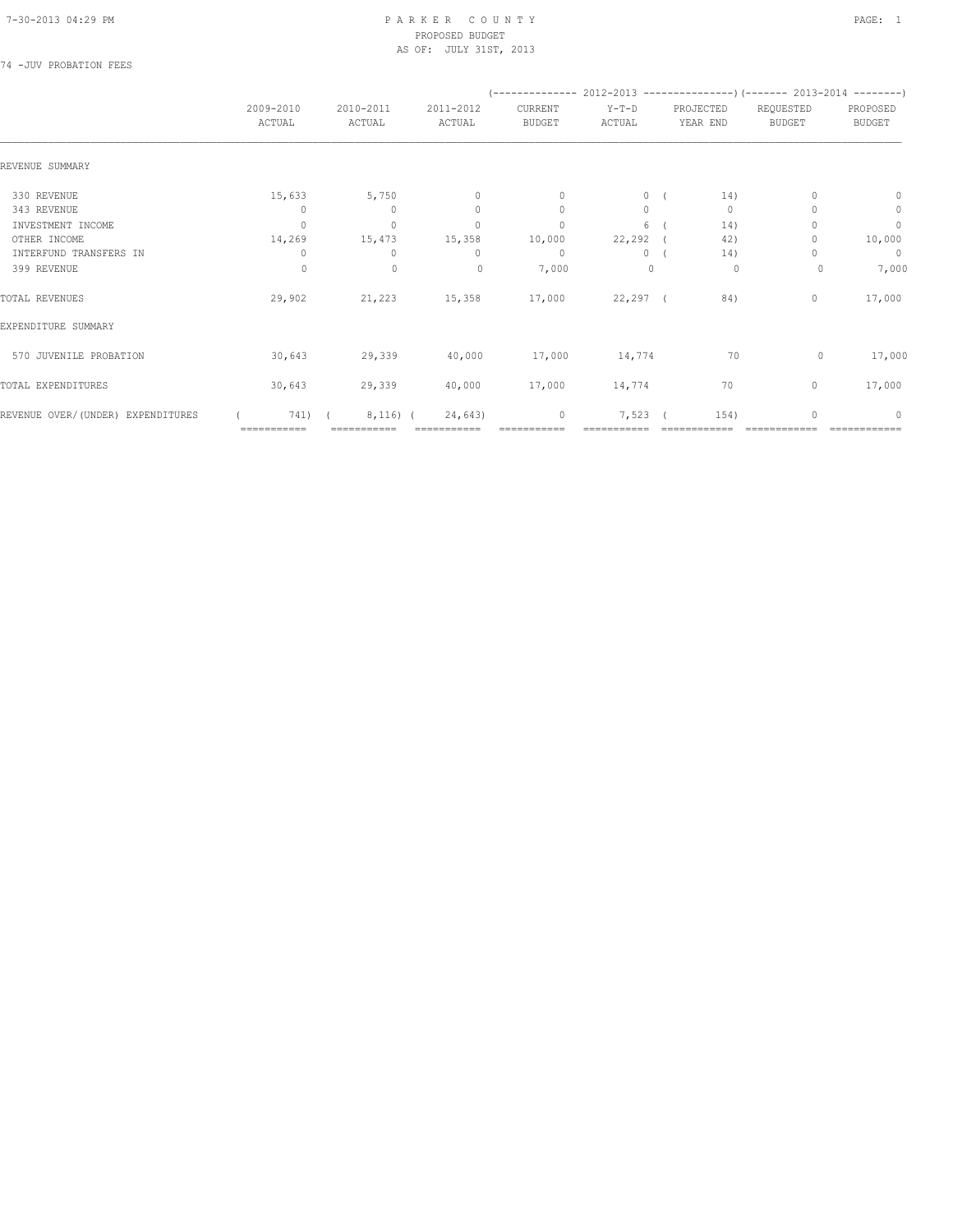#### 7-30-2013 04:29 PM P A R K E R C O U N T Y PAGE: 1 PROPOSED BUDGET AS OF: JULY 31ST, 2013

## 74 -JUV PROBATION FEES

|                                   |                     |                     |                                  | $(----------2012-2013------------)$ $(----2013-2014------)$ |                   |                       |                            |                           |
|-----------------------------------|---------------------|---------------------|----------------------------------|-------------------------------------------------------------|-------------------|-----------------------|----------------------------|---------------------------|
|                                   | 2009-2010<br>ACTUAL | 2010-2011<br>ACTUAL | 2011-2012<br>ACTUAL              | CURRENT<br><b>BUDGET</b>                                    | $Y-T-D$<br>ACTUAL | PROJECTED<br>YEAR END | REQUESTED<br><b>BUDGET</b> | PROPOSED<br><b>BUDGET</b> |
| REVENUE SUMMARY                   |                     |                     |                                  |                                                             |                   |                       |                            |                           |
| 330 REVENUE                       | 15,633              | 5,750               | $\mathbb O$                      | $\mathbf{0}$                                                | $\circ$           | 14)                   |                            | $\mathbf{0}$              |
| 343 REVENUE                       | $\Omega$            | $\bigcap$           | $\Omega$                         | $\Omega$                                                    | $\Omega$          | $\mathbf{0}$          |                            | $\mathbf{0}$              |
| INVESTMENT INCOME                 | $\Omega$            | $\mathbf{0}$        | $\begin{array}{c} \n\end{array}$ | $\mathbf{0}$                                                | 6                 | 14)                   |                            | $\circ$                   |
| OTHER INCOME                      | 14,269              | 15,473              | 15,358                           | 10,000                                                      | $22, 292$ (       | 42)                   |                            | 10,000                    |
| INTERFUND TRANSFERS IN            | 0                   | $\Omega$            | 0                                | $\circ$                                                     | $\circ$           | 14)                   |                            | $\overline{0}$            |
| 399 REVENUE                       | $\circ$             | $\mathbf 0$         | $\circ$                          | 7,000                                                       | $\mathbf 0$       | 0                     | 0                          | 7,000                     |
| TOTAL REVENUES                    | 29,902              | 21,223              | 15,358                           | 17,000                                                      | 22,297 (          | 84)                   | $\circ$                    | 17,000                    |
| EXPENDITURE SUMMARY               |                     |                     |                                  |                                                             |                   |                       |                            |                           |
| 570 JUVENILE PROBATION            | 30,643              | 29,339              | 40,000                           | 17,000                                                      | 14,774            | 70                    | $\circ$                    | 17,000                    |
| TOTAL EXPENDITURES                | 30,643              | 29,339              | 40,000                           | 17,000                                                      | 14,774            | 70                    | $\circ$                    | 17,000                    |
| REVENUE OVER/(UNDER) EXPENDITURES | 741)                | $8,116)$ (          | 24,643)                          | $\circ$                                                     | 7,523             | 154)                  | $\cap$                     | $\Omega$                  |
|                                   | ===========         |                     |                                  |                                                             |                   |                       |                            |                           |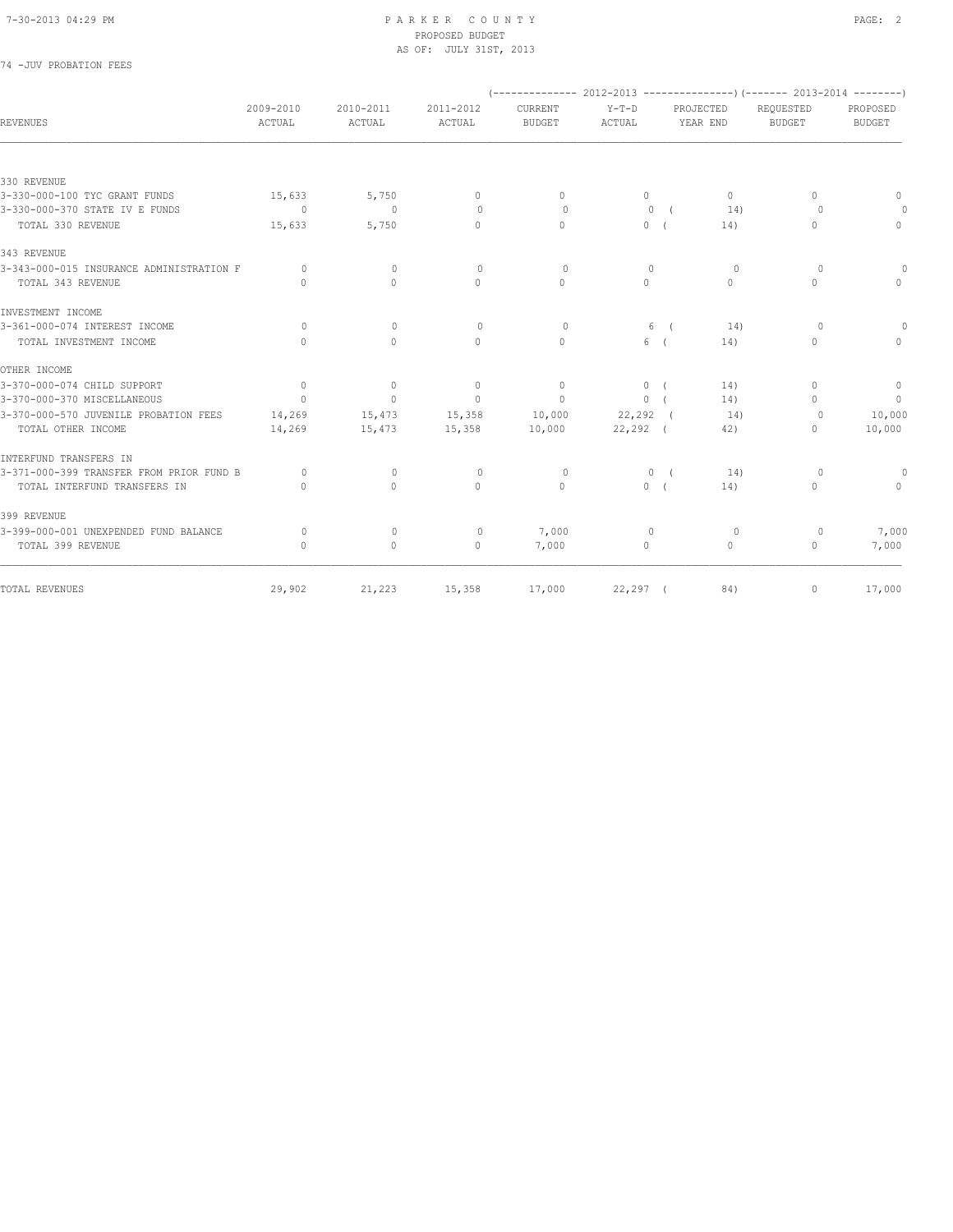#### 7-30-2013 04:29 PM P A R K E R C O U N T Y PAGE: 2 PROPOSED BUDGET AS OF: JULY 31ST, 2013

## 74 -JUV PROBATION FEES

| REVENUES                                 | 2009-2010<br>ACTUAL | 2010-2011<br>ACTUAL | 2011-2012<br>ACTUAL | CURRENT<br><b>BUDGET</b> | $Y-T-D$<br>ACTUAL |            | PROJECTED<br>YEAR END            | REQUESTED<br><b>BUDGET</b>       | PROPOSED<br><b>BUDGET</b> |
|------------------------------------------|---------------------|---------------------|---------------------|--------------------------|-------------------|------------|----------------------------------|----------------------------------|---------------------------|
|                                          |                     |                     |                     |                          |                   |            |                                  |                                  |                           |
| 330 REVENUE                              |                     |                     |                     |                          |                   |            |                                  |                                  |                           |
| 3-330-000-100 TYC GRANT FUNDS            | 15,633              | 5,750               | $\mathbf{0}$        | $\Omega$                 | $\circ$           |            | $\Omega$                         | 0                                | $\Omega$                  |
| 3-330-000-370 STATE IV E FUNDS           | $\overline{0}$      | $\overline{0}$      | $\circ$             | $\circ$                  | $\circ$           | $\sqrt{2}$ | 14)                              | $\Omega$                         | $\Omega$                  |
| TOTAL 330 REVENUE                        | 15,633              | 5,750               | $\Omega$            | $\Omega$                 | $\circ$           | $\sqrt{2}$ | 14)                              | 0                                | $\mathbf{0}$              |
| 343 REVENUE                              |                     |                     |                     |                          |                   |            |                                  |                                  |                           |
| 3-343-000-015 INSURANCE ADMINISTRATION F | $\Omega$            | $\mathbf{0}$        | $\circ$             | $\circ$                  | $\circ$           |            | $\circ$                          | $\Omega$                         | $\cap$                    |
| TOTAL 343 REVENUE                        | $\bigcap$           | $\Omega$            | $\Omega$            | $\Omega$                 | $\Omega$          |            | $\begin{array}{c} \n\end{array}$ | 0                                | $\Omega$                  |
| INVESTMENT INCOME                        |                     |                     |                     |                          |                   |            |                                  |                                  |                           |
| 3-361-000-074 INTEREST INCOME            | $\circ$             | $\mathbf{0}$        | $\mathbf{0}$        | $\circ$                  | 6                 | $\sqrt{2}$ | 14)                              | $\circ$                          | $\Omega$                  |
| TOTAL INVESTMENT INCOME                  | $\bigcap$           | $\Omega$            | $\Omega$            | $\Omega$                 | 6 (               |            | 14)                              | $\Omega$                         | $\Omega$                  |
| OTHER INCOME                             |                     |                     |                     |                          |                   |            |                                  |                                  |                           |
| 3-370-000-074 CHILD SUPPORT              | $\circ$             | $\circ$             | $\circ$             | $\Omega$                 | 0(                |            | 14)                              | 0                                | $\mathbf{0}$              |
| 3-370-000-370 MISCELLANEOUS              | $\overline{0}$      | $\circ$             | $\mathbf{0}$        | $\circ$                  | 0(                |            | 14)                              | $\begin{array}{c} \n\end{array}$ | $\overline{0}$            |
| 3-370-000-570 JUVENILE PROBATION FEES    | 14,269              | 15,473              | 15,358              | 10,000                   | $22, 292$ (       |            | 14)                              | $\circ$                          | 10,000                    |
| TOTAL OTHER INCOME                       | 14,269              | 15,473              | 15,358              | 10,000                   | $22, 292$ (       |            | 42)                              | 0                                | 10,000                    |
| INTERFUND TRANSFERS IN                   |                     |                     |                     |                          |                   |            |                                  |                                  |                           |
| 3-371-000-399 TRANSFER FROM PRIOR FUND B | $\Omega$            | $\Omega$            | $\circ$             | 0                        |                   | 0(         | 14)                              | $\Omega$                         | $\Omega$                  |
| TOTAL INTERFUND TRANSFERS IN             | $\bigcap$           | $\bigcap$           | $\Omega$            | $\Omega$                 | 0(                |            | 14)                              | $\Omega$                         | $\Omega$                  |
| 399 REVENUE                              |                     |                     |                     |                          |                   |            |                                  |                                  |                           |
| 3-399-000-001 UNEXPENDED FUND BALANCE    | 0                   | $\mathbf{0}$        | $\circ$             | 7,000                    | $\overline{0}$    |            | 0                                | $\circ$                          | 7,000                     |
| TOTAL 399 REVENUE                        | $\circ$             | $\circ$             | $\mathbf{0}$        | 7,000                    | 0                 |            | $\circ$                          | $\mathbf{0}$                     | 7,000                     |
| TOTAL REVENUES                           | 29,902              | 21,223              | 15,358              | 17,000                   | $22, 297$ (       |            | 84)                              | 0                                | 17,000                    |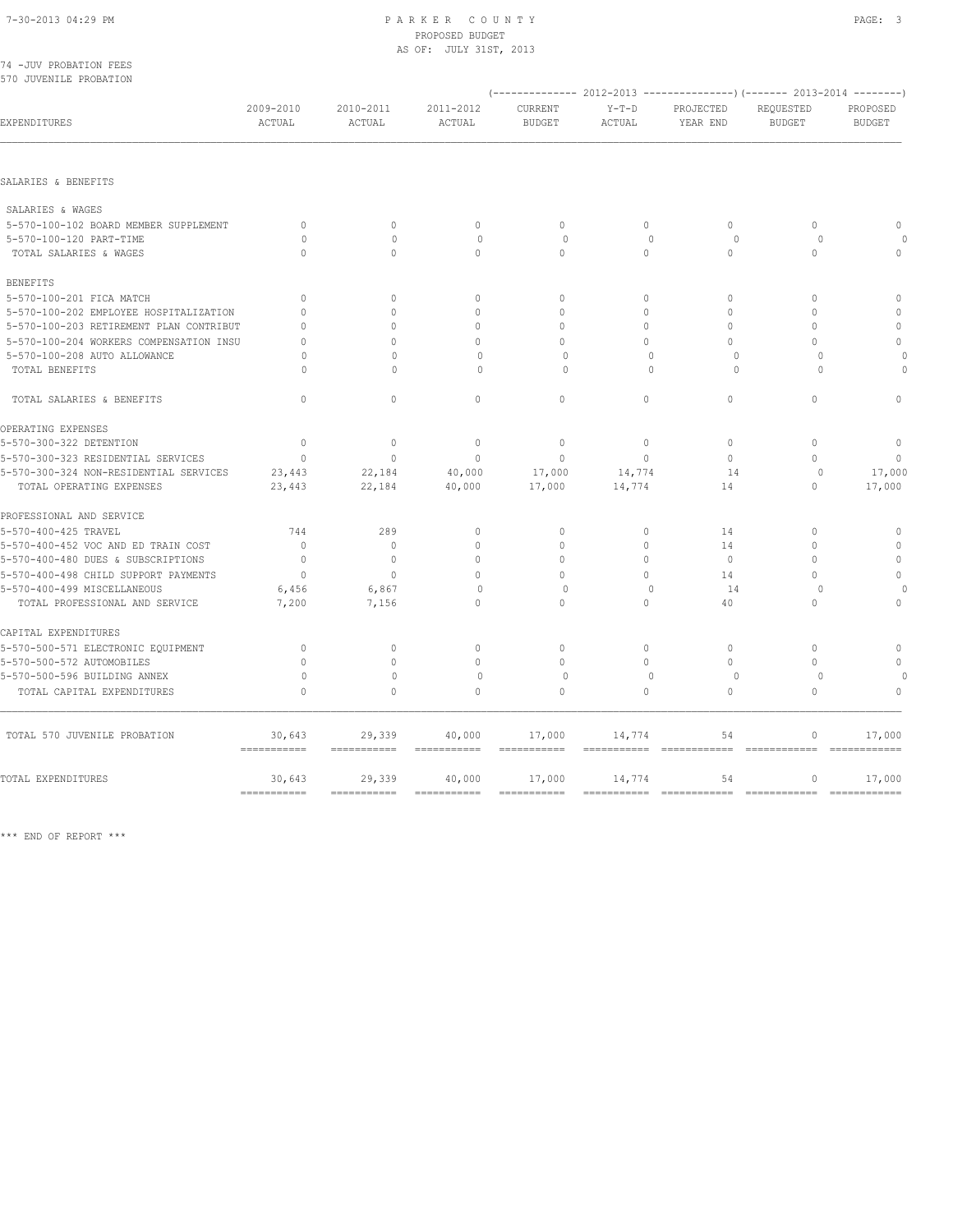# 7-30-2013 04:29 PM P A R K E R C O U N T Y PAGE: 3 PROPOSED BUDGET

|                                         |                       |                           | AS OF: JULY 31ST, 2013              |                       |                       |                                                                          |                                  |                         |  |  |
|-----------------------------------------|-----------------------|---------------------------|-------------------------------------|-----------------------|-----------------------|--------------------------------------------------------------------------|----------------------------------|-------------------------|--|--|
| 74 - JUV PROBATION FEES                 |                       |                           |                                     |                       |                       |                                                                          |                                  |                         |  |  |
| 570 JUVENILE PROBATION                  |                       |                           |                                     |                       |                       | (-------------- 2012-2013 ----------------) (------- 2013-2014 --------) |                                  |                         |  |  |
|                                         | 2009-2010             | 2010-2011                 | 2011-2012                           | CURRENT               | $Y-T-D$               | PROJECTED                                                                | REQUESTED                        | PROPOSED                |  |  |
| EXPENDITURES                            | ACTUAL                | ACTUAL                    | ACTUAL                              | <b>BUDGET</b>         | ACTUAL                | YEAR END                                                                 | <b>BUDGET</b>                    | <b>BUDGET</b>           |  |  |
|                                         |                       |                           |                                     |                       |                       |                                                                          |                                  |                         |  |  |
| SALARIES & BENEFITS                     |                       |                           |                                     |                       |                       |                                                                          |                                  |                         |  |  |
| SALARIES & WAGES                        |                       |                           |                                     |                       |                       |                                                                          |                                  |                         |  |  |
| 5-570-100-102 BOARD MEMBER SUPPLEMENT   | $\mathbf{0}$          | $\mathbf{0}$              | $\mathbf{0}$                        | $\circ$               | $\circ$               | $\circ$                                                                  | $\mathbf{0}$                     | $\Omega$                |  |  |
| 5-570-100-120 PART-TIME                 | $\Omega$              | $\Omega$                  | $\circ$                             | $\circ$               | $\Omega$              | $\circ$                                                                  | $\Omega$                         |                         |  |  |
| TOTAL SALARIES & WAGES                  | $\Omega$              | $\Omega$                  | $\Omega$                            | $\Omega$              | $\Omega$              | $\Omega$                                                                 | $\Omega$                         | $\Omega$                |  |  |
| <b>BENEFITS</b>                         |                       |                           |                                     |                       |                       |                                                                          |                                  |                         |  |  |
| 5-570-100-201 FICA MATCH                | $\mathbf{0}$          | $\Omega$                  | $\mathbf{0}$                        | $\mathbf{0}$          | $\circ$               | $\mathbf{0}$                                                             | $\mathbf{0}$                     | $\mathbf{0}$            |  |  |
| 5-570-100-202 EMPLOYEE HOSPITALIZATION  | $\mathbf{0}$          | $\Omega$                  | $\mathbf{0}$                        | $\Omega$              | $\circ$               | $\Omega$                                                                 | $\Omega$                         | $\Omega$                |  |  |
| 5-570-100-203 RETIREMENT PLAN CONTRIBUT | $\mathbf{0}$          | $\circ$                   | $\mathbf{0}$                        | $\circ$               | $\circ$               | $\mathbf{0}$                                                             | $\mathbf{0}$                     | $\circ$                 |  |  |
| 5-570-100-204 WORKERS COMPENSATION INSU | $\mathbf{0}$          | $\Omega$                  | $\Omega$                            | $\Omega$              | $\Omega$              | $\Omega$                                                                 | $\Omega$                         | $\mathbf{0}$            |  |  |
| 5-570-100-208 AUTO ALLOWANCE            | 0                     | $\mathbf{0}$              | 0                                   | $\circ$               | $\mathbf{0}$          | $\circ$                                                                  | $\circ$                          |                         |  |  |
| TOTAL BENEFITS                          | $\cap$                | $\bigcap$                 | $\Omega$                            | $\cap$                | $\cap$                | $\Omega$                                                                 | $\cap$                           | 0                       |  |  |
| TOTAL SALARIES & BENEFITS               | $\Omega$              | $\Omega$                  | $\Omega$                            | $\mathbf{0}$          | $\circ$               | $\circ$                                                                  | $\Omega$                         | $\theta$                |  |  |
| OPERATING EXPENSES                      |                       |                           |                                     |                       |                       |                                                                          |                                  |                         |  |  |
| 5-570-300-322 DETENTION                 | $\mathbf{0}$          | $\mathbf{0}$              | $\mathbf{0}$                        | $\mathbf{0}$          | $\circ$               | $\Omega$                                                                 | $\Omega$                         | $\mathbb O$             |  |  |
| 5-570-300-323 RESIDENTIAL SERVICES      | $\mathbf{0}$          | $\Omega$                  | $\Omega$                            | $\mathbf{0}$          | $\Omega$              | $\circ$                                                                  | $\Omega$                         | $\Omega$                |  |  |
| 5-570-300-324 NON-RESIDENTIAL SERVICES  | 23,443                | 22,184                    | 40,000                              | 17,000                | 14,774                | 14                                                                       | $\circ$                          | 17,000                  |  |  |
| TOTAL OPERATING EXPENSES                | 23,443                | 22,184                    | 40,000                              | 17,000                | 14,774                | 14                                                                       | $\mathbf{0}$                     | 17,000                  |  |  |
| PROFESSIONAL AND SERVICE                |                       |                           |                                     |                       |                       |                                                                          |                                  |                         |  |  |
| 5-570-400-425 TRAVEL                    | 744                   | 289                       | $\mathbb O$                         | $\Omega$              | $\circ$               | 14                                                                       | $\Omega$                         | $\mathbb O$             |  |  |
| 5-570-400-452 VOC AND ED TRAIN COST     | $\mathbf{0}$          | $\Omega$                  | $\mathbf{0}$                        | $\Omega$              | $\circ$               | 14                                                                       | $\Omega$                         | $\mathbf{0}$            |  |  |
| 5-570-400-480 DUES & SUBSCRIPTIONS      | $\mathbf{0}$          | $\mathbf{0}$              | $\mathbf{0}$                        | $\Omega$              | $\Omega$              | $\circ$                                                                  | $\Omega$                         | $\circ$                 |  |  |
| 5-570-400-498 CHILD SUPPORT PAYMENTS    | $\mathbf{0}$          | $\circ$                   | $\mathbf{0}$                        | $\Omega$              | $\circ$               | 14                                                                       | $\Omega$                         | $\Omega$                |  |  |
| 5-570-400-499 MISCELLANEOUS             | 6,456                 | 6,867                     | $\Omega$                            | $\circ$               | $\Omega$              | 14                                                                       | $\Omega$                         |                         |  |  |
| TOTAL PROFESSIONAL AND SERVICE          | 7,200                 | 7,156                     | 0                                   | $\circ$               | $\circ$               | 40                                                                       | $\mathbf{0}$                     | $\mathbf{0}$            |  |  |
| CAPITAL EXPENDITURES                    |                       |                           |                                     |                       |                       |                                                                          |                                  |                         |  |  |
| 5-570-500-571 ELECTRONIC EQUIPMENT      | 0                     | $\circ$                   | $\mathbf{0}$                        | $\circ$               | $\circ$               | $\mathbf{0}$                                                             | $\mathbf{0}$                     | $\mathbf{0}$            |  |  |
| 5-570-500-572 AUTOMOBILES               | $\Omega$              | $\Omega$                  | $\Omega$                            | $\Omega$              | $\Omega$              | $\Omega$                                                                 | $\Omega$                         | $\Omega$                |  |  |
| 5-570-500-596 BUILDING ANNEX            | $\circ$               | $\mathbf{0}$              | $\circ$                             | $\mathbf 0$           | $\mathbf{0}$          | $\circ$                                                                  | $\circ$                          | $\Omega$                |  |  |
| TOTAL CAPITAL EXPENDITURES              | $\Omega$              | $\circ$                   | $\Omega$                            | $\Omega$              | $\Omega$              | $\circ$                                                                  | $\Omega$                         | $\mathbf{0}$            |  |  |
| TOTAL 570 JUVENILE PROBATION            | 30,643<br>=========== | 29,339<br>$=$ =========== | 40,000<br>$=$ = = = = = = = = = = = | 17,000<br>=========== | 14,774<br>=========== | 54                                                                       | 0<br>$=$ = = = = = = = = = = = = | 17,000<br>============= |  |  |
| TOTAL EXPENDITURES                      | 30,643                | 29,339                    | 40,000                              | 17,000                | 14,774                | 54                                                                       | 0                                | 17,000                  |  |  |
|                                         | $=$ ============      | ===========               | ===========                         | ===========           | ===========           | $=$ ============                                                         | $=$ ============                 | $=$ ============        |  |  |

\*\*\* END OF REPORT \*\*\*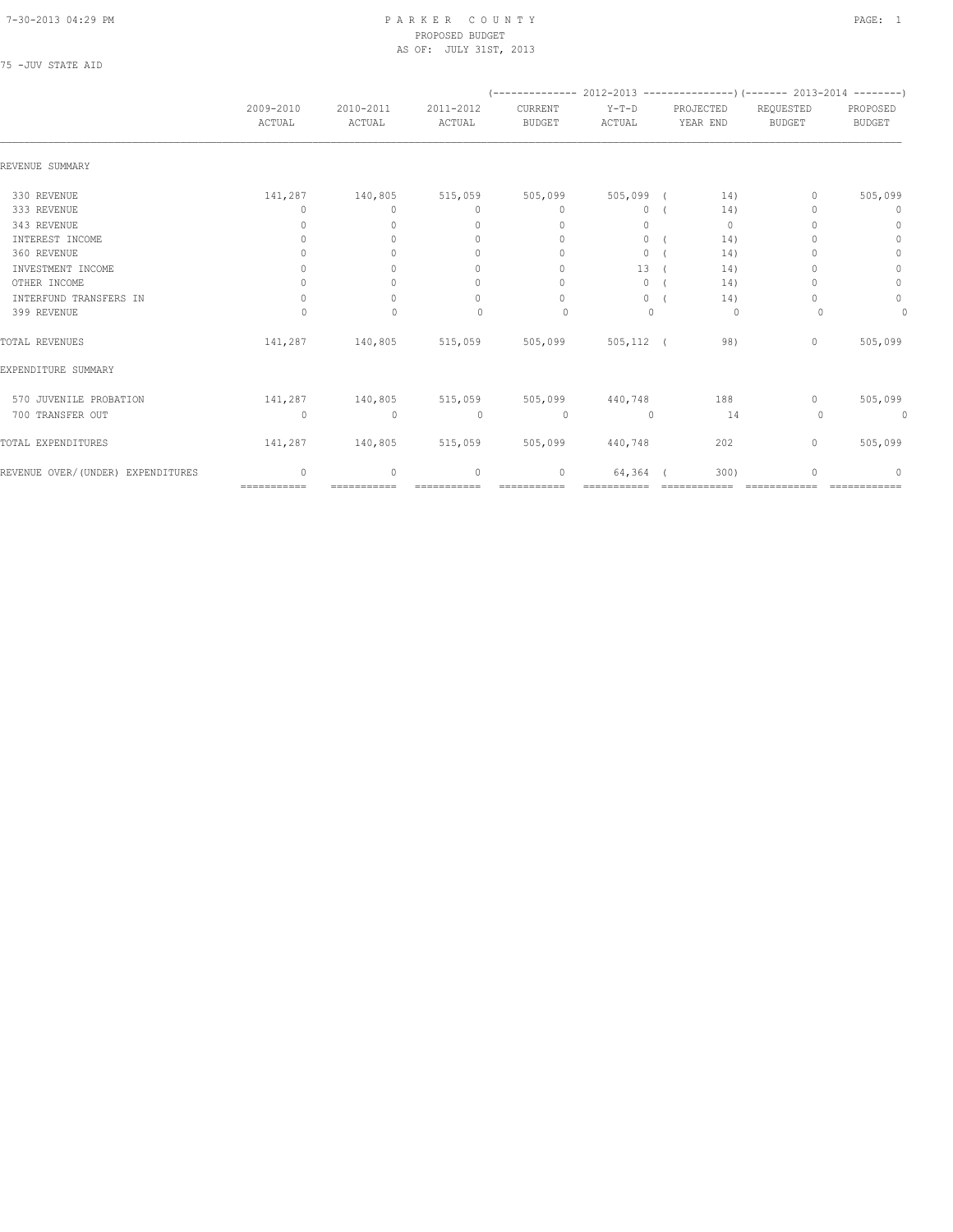#### 7-30-2013 04:29 PM P A R K E R C O U N T Y PAGE: 1 PROPOSED BUDGET AS OF: JULY 31ST, 2013

| ı | TTV7<br>. . I | STA.<br>$\sim$ | T |  |
|---|---------------|----------------|---|--|

|                                   |                     |                                         |                                  |                          |                   |                       | $($ -------------- 2012-2013 ----------------) (------- 2013-2014 --------) |                           |
|-----------------------------------|---------------------|-----------------------------------------|----------------------------------|--------------------------|-------------------|-----------------------|-----------------------------------------------------------------------------|---------------------------|
|                                   | 2009-2010<br>ACTUAL | 2010-2011<br>ACTUAL                     | 2011-2012<br>ACTUAL              | CURRENT<br><b>BUDGET</b> | $Y-T-D$<br>ACTUAL | PROJECTED<br>YEAR END | REQUESTED<br><b>BUDGET</b>                                                  | PROPOSED<br><b>BUDGET</b> |
| REVENUE SUMMARY                   |                     |                                         |                                  |                          |                   |                       |                                                                             |                           |
| 330 REVENUE                       | 141,287             | 140,805                                 | 515,059                          | 505,099                  | 505,099 (         | 14)                   | 0                                                                           | 505,099                   |
| 333 REVENUE                       | 0                   | $\Omega$                                | $\mathbf{0}$                     | $\mathbf{0}$             | $\circ$           | 14)                   |                                                                             | $\mathbf 0$               |
| 343 REVENUE                       | $\Omega$            | $\Omega$                                | $\begin{array}{c} \n\end{array}$ | $\mathbf{0}$             | $\Omega$          | $\mathbf{0}$          |                                                                             | $\circ$                   |
| INTEREST INCOME                   | 0                   |                                         | $\mathbf{0}$                     | $\mathbf{0}$             | $\circ$           | 14)                   |                                                                             | $\circ$                   |
| 360 REVENUE                       | 0                   |                                         | 0                                | $\Omega$                 | $\circ$           | 14)                   |                                                                             | $\circ$                   |
| INVESTMENT INCOME                 | $\Omega$            | $\bigcap$                               | $\mathbf{0}$                     | $\mathbf{0}$             | 13                | 14)                   |                                                                             | 0                         |
| OTHER INCOME                      | 0                   | $\Omega$                                | $\circ$                          | $\mathbf{0}$             | 0                 | 14)                   |                                                                             | $\circ$                   |
| INTERFUND TRANSFERS IN            | $\mathbf{0}$        | $\Omega$                                | $\mathbf{0}$                     | $\mathbf{0}$             | $\circ$           | 14)                   |                                                                             | $\circ$                   |
| 399 REVENUE                       | $\Omega$            | $\Omega$                                | $\begin{array}{c} \n\end{array}$ | $\Omega$                 | $\Omega$          | 0                     | $\Omega$                                                                    | 0                         |
| TOTAL REVENUES                    | 141,287             | 140,805 515,059 505,099                 |                                  |                          | $505, 112$ (      | 98)                   | $\mathbf{0}$                                                                | 505,099                   |
| EXPENDITURE SUMMARY               |                     |                                         |                                  |                          |                   |                       |                                                                             |                           |
| 570 JUVENILE PROBATION            |                     | 141,287 140,805 515,059 505,099 440,748 |                                  |                          |                   | 188                   | $\circ$                                                                     | 505,099                   |
| 700 TRANSFER OUT                  | $\Omega$            | $\circ$                                 | $\mathbf{0}$                     | $\circ$                  | $\Omega$          | 14                    | 0                                                                           | 0                         |
| TOTAL EXPENDITURES                | 141,287             | 140,805 515,059 505,099                 |                                  |                          | 440,748           | 202                   | $\circ$                                                                     | 505,099                   |
| REVENUE OVER/(UNDER) EXPENDITURES | $\mathbf{0}$        | $\circ$                                 | $\mathbf{0}$                     | 0                        | 64,364            | 300)                  |                                                                             | 0                         |
|                                   | $=$ ===========     |                                         |                                  |                          |                   |                       |                                                                             |                           |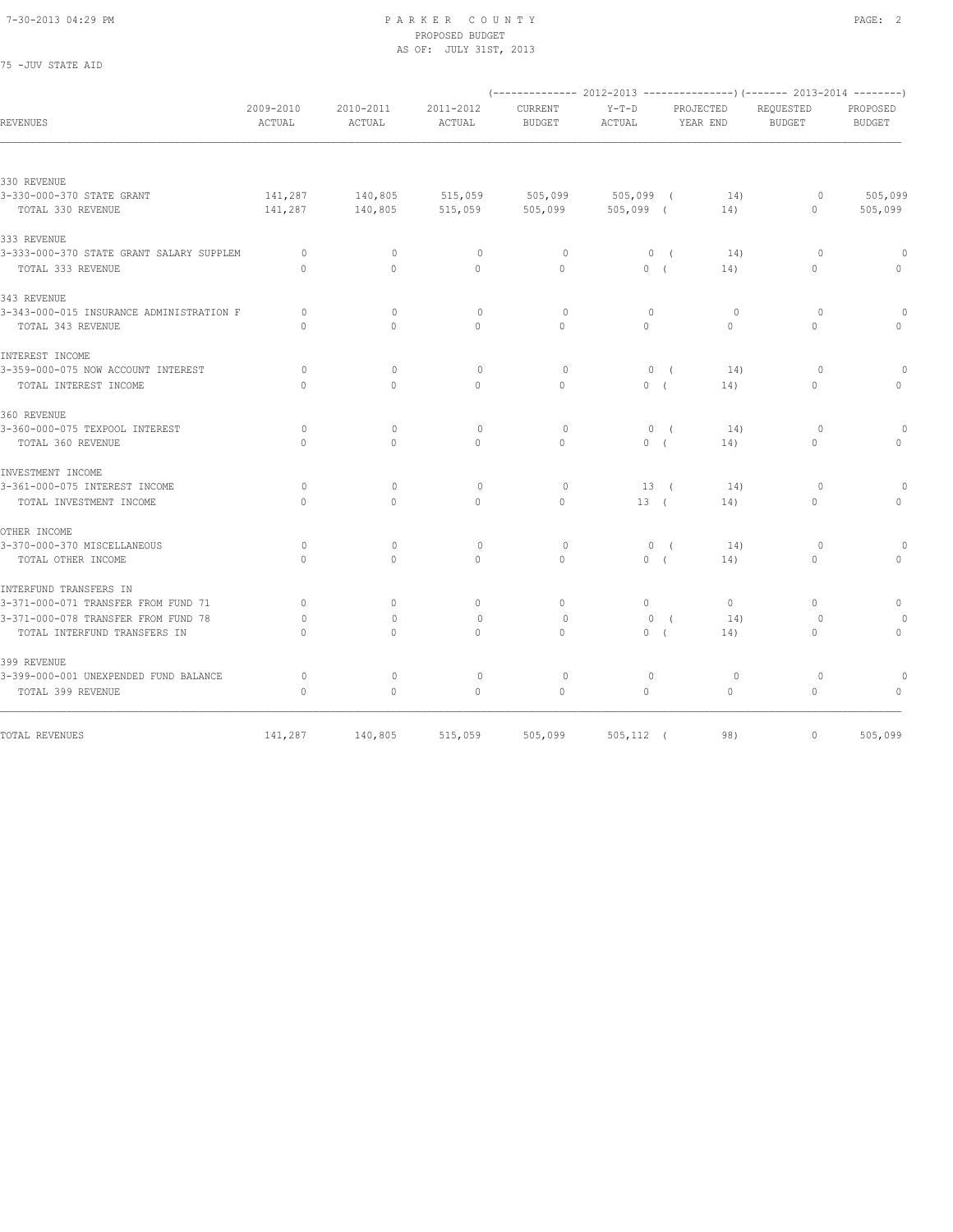75 -JUV STATE AID

#### 7-30-2013 04:29 PM P A R K E R C O U N T Y PAGE: 2 PROPOSED BUDGET AS OF: JULY 31ST, 2013

|                                          |                     |                                  |                     |                                 |                        |                       | (-------------- 2012-2013 ----------------) (------- 2013-2014 --------) |                                  |
|------------------------------------------|---------------------|----------------------------------|---------------------|---------------------------------|------------------------|-----------------------|--------------------------------------------------------------------------|----------------------------------|
| <b>REVENUES</b>                          | 2009-2010<br>ACTUAL | 2010-2011<br>ACTUAL              | 2011-2012<br>ACTUAL | <b>CURRENT</b><br><b>BUDGET</b> | $Y-T-D$<br>ACTUAL      | PROJECTED<br>YEAR END | REQUESTED<br><b>BUDGET</b>                                               | PROPOSED<br><b>BUDGET</b>        |
|                                          |                     |                                  |                     |                                 |                        |                       |                                                                          |                                  |
| 330 REVENUE                              |                     |                                  |                     |                                 |                        |                       |                                                                          |                                  |
| 3-330-000-370 STATE GRANT                | 141,287             | 140,805                          | 515,059             | 505,099                         | $505,099$ (            | 14)                   | $\circ$                                                                  | 505,099                          |
| TOTAL 330 REVENUE                        | 141,287             | 140,805                          | 515,059             | 505,099                         | $505,099$ (            | 14)                   | $\circ$                                                                  | 505,099                          |
| 333 REVENUE                              |                     |                                  |                     |                                 |                        |                       |                                                                          |                                  |
| 3-333-000-370 STATE GRANT SALARY SUPPLEM | $\circ$             | $\mathbf{0}$                     | $\mathbf{0}$        | $\circ$                         | 0(                     | 14)                   | $\circ$                                                                  | $\theta$                         |
| TOTAL 333 REVENUE                        | $\Omega$            | $\Omega$                         | $\mathbf{0}$        | $\Omega$                        | 0(                     | 14)                   | $\circ$                                                                  | $\circ$                          |
| 343 REVENUE                              |                     |                                  |                     |                                 |                        |                       |                                                                          |                                  |
| 3-343-000-015 INSURANCE ADMINISTRATION F | $\Omega$            | $\begin{array}{c} \n\end{array}$ | $\circ$             | $\Omega$                        | $\mathbf{0}$           | $\circ$               | 0                                                                        | $\Omega$                         |
| TOTAL 343 REVENUE                        | $\Omega$            | $\Omega$                         | $\Omega$            | $\Omega$                        | $\Omega$               | $\Omega$              | $\Omega$                                                                 | $\Omega$                         |
| INTEREST INCOME                          |                     |                                  |                     |                                 |                        |                       |                                                                          |                                  |
| 3-359-000-075 NOW ACCOUNT INTEREST       | $\circ$             | $\mathbf{0}$                     | $\mathbf{0}$        | $\circ$                         | $0 \sqrt{2}$           | 14)                   | $\circ$                                                                  |                                  |
| TOTAL INTEREST INCOME                    | $\Omega$            | $\Omega$                         | $\Omega$            | $\Omega$                        | 0(                     | 14)                   | $\Omega$                                                                 | $\Omega$                         |
| 360 REVENUE                              |                     |                                  |                     |                                 |                        |                       |                                                                          |                                  |
| 3-360-000-075 TEXPOOL INTEREST           | $\circ$             | $\mathbf{0}$                     | $\mathbf{0}$        | $\circ$                         | 0(                     | 14)                   | $\circ$                                                                  | $\Omega$                         |
| TOTAL 360 REVENUE                        | $\bigcap$           | $\Omega$                         | $\Omega$            | $\Omega$                        | 0(                     | 14)                   | $\mathbf{0}$                                                             | $\Omega$                         |
| INVESTMENT INCOME                        |                     |                                  |                     |                                 |                        |                       |                                                                          |                                  |
| 3-361-000-075 INTEREST INCOME            | $\circ$             | $\mathbf{0}$                     | $\mathbf{0}$        | $\circ$                         | 13 (                   | 14)                   | $\circ$                                                                  |                                  |
| TOTAL INVESTMENT INCOME                  | $\circ$             | $\circ$                          | $\mathbf{0}$        | $\circ$                         | 13(                    | 14)                   | $\mathbf{0}$                                                             | $\mathbf 0$                      |
| OTHER INCOME                             |                     |                                  |                     |                                 |                        |                       |                                                                          |                                  |
| 3-370-000-370 MISCELLANEOUS              | $\circ$             | $\circ$                          | $\circ$             | $\circ$                         | 0(                     | 14)                   | $\circ$                                                                  | $\Omega$                         |
| TOTAL OTHER INCOME                       | $\Omega$            | $\Omega$                         | $\Omega$            | $\Omega$                        | 0(                     | 14)                   | $\Omega$                                                                 | $\begin{array}{c} \n\end{array}$ |
| INTERFUND TRANSFERS IN                   |                     |                                  |                     |                                 |                        |                       |                                                                          |                                  |
| 3-371-000-071 TRANSFER FROM FUND 71      | $\circ$             | $\mathbf{0}$                     | $\circ$             | $\mathbf{0}$                    | $\circ$                | $\circ$               | $\mathbf{0}$                                                             | $\circ$                          |
| 3-371-000-078 TRANSFER FROM FUND 78      | $\circ$             | $\Omega$                         | $\circ$             | $\circ$                         | $\mathbf{0}$           | 14)<br>$\sqrt{ }$     | $\circ$                                                                  |                                  |
| TOTAL INTERFUND TRANSFERS IN             | $\Omega$            | $\Omega$                         | $\Omega$            | $\Omega$                        | $\Omega$<br>$\sqrt{ }$ | 14)                   | $\Omega$                                                                 | $\circ$                          |
| 399 REVENUE                              |                     |                                  |                     |                                 |                        |                       |                                                                          |                                  |
| 3-399-000-001 UNEXPENDED FUND BALANCE    | $\circ$             | $\mathbf{0}$                     | $\mathbf{0}$        | $\Omega$                        | $\mathbf{0}$           | $\circ$               | $\circ$                                                                  | $\Omega$                         |
| TOTAL 399 REVENUE                        | $\circ$             | $\mathbf{0}$                     | $\Omega$            | $\mathbf{0}$                    | $\Omega$               | $\circ$               | $\circ$                                                                  | $\Omega$                         |
|                                          |                     |                                  |                     |                                 |                        |                       |                                                                          |                                  |
| TOTAL REVENUES                           | 141,287             | 140,805                          | 515,059             | 505,099                         | $505, 112$ (           | 98)                   | $\circ$                                                                  | 505,099                          |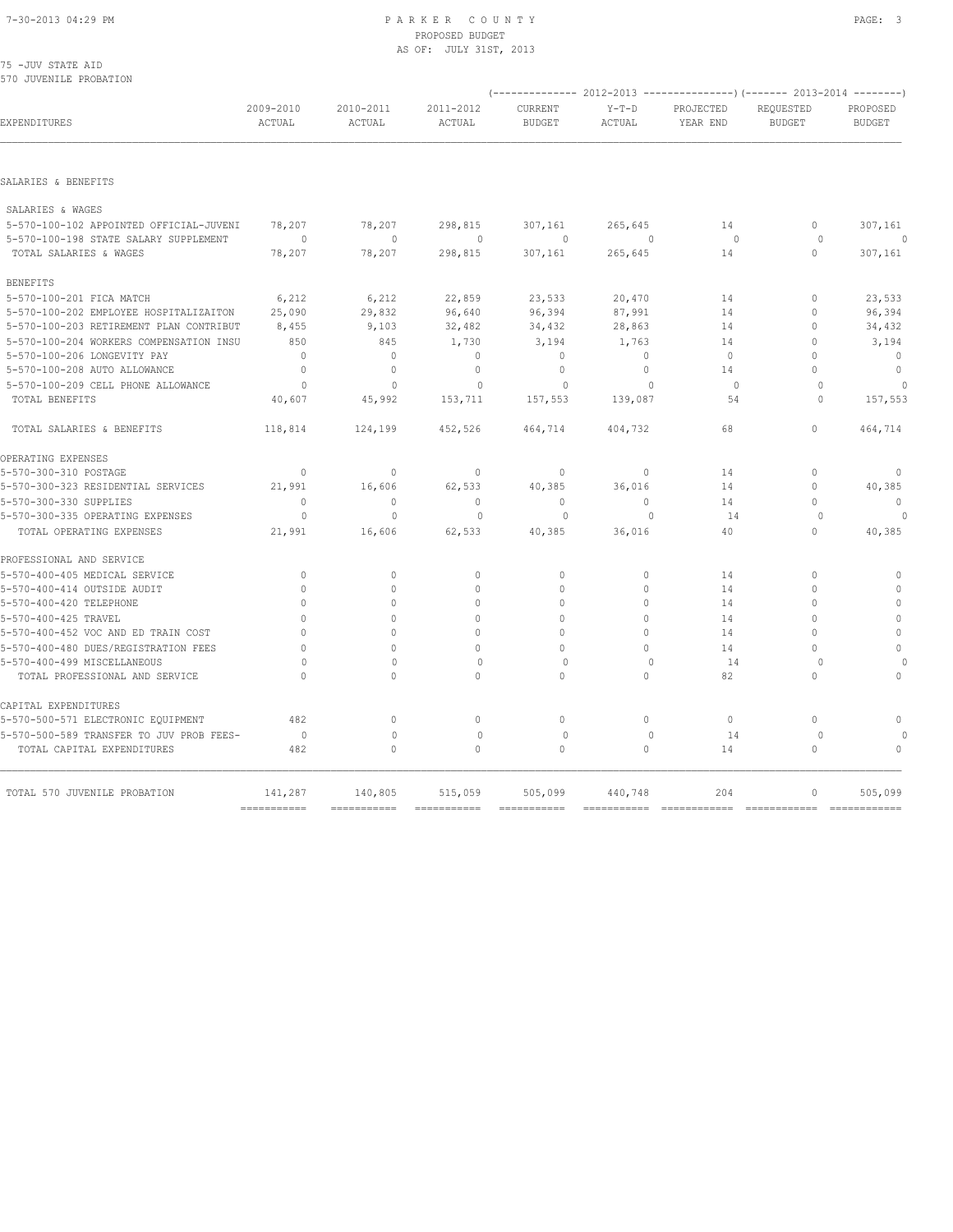#### 7-30-2013 04:29 PM P A R K E R C O U N T Y PAGE: 3 PROPOSED BUDGET AS OF: JULY 31ST, 2013

|  | 75 -JUV STATE AID |                        |  |
|--|-------------------|------------------------|--|
|  |                   | 570 JUVENILE PROBATION |  |

| EXPENDITURES                                                    | 2009-2010<br>ACTUAL       | 2010-2011<br>ACTUAL | 2011-2012<br>ACTUAL | CURRENT<br><b>BUDGET</b> | $Y-T-D$<br>ACTUAL                | PROJECTED<br>YEAR END | REQUESTED<br><b>BUDGET</b> | PROPOSED<br><b>BUDGET</b> |
|-----------------------------------------------------------------|---------------------------|---------------------|---------------------|--------------------------|----------------------------------|-----------------------|----------------------------|---------------------------|
| SALARIES & BENEFITS                                             |                           |                     |                     |                          |                                  |                       |                            |                           |
|                                                                 |                           |                     |                     |                          |                                  |                       |                            |                           |
| SALARIES & WAGES                                                |                           |                     |                     |                          |                                  |                       |                            |                           |
| 5-570-100-102 APPOINTED OFFICIAL-JUVENI                         | 78,207<br>$\Omega$        | 78,207<br>$\Omega$  | 298,815<br>$\Omega$ | 307,161<br>$\Omega$      | 265,645<br>$\Omega$              | 14<br>$\Omega$        | $\circ$<br>$\circ$         | 307,161                   |
| 5-570-100-198 STATE SALARY SUPPLEMENT<br>TOTAL SALARIES & WAGES | 78,207                    | 78,207              | 298,815             | 307,161                  | 265,645                          | 14                    | $\circ$                    | 307,161                   |
|                                                                 |                           |                     |                     |                          |                                  |                       |                            |                           |
| <b>BENEFITS</b>                                                 |                           |                     |                     |                          |                                  |                       |                            |                           |
| 5-570-100-201 FICA MATCH                                        | 6,212                     | 6,212               | 22,859              | 23,533                   | 20,470                           | 14                    | $\Omega$                   | 23,533                    |
| 5-570-100-202 EMPLOYEE HOSPITALIZAITON                          | 25,090                    | 29,832              | 96,640              | 96,394                   | 87,991                           | 14                    | O                          | 96,394                    |
| 5-570-100-203 RETIREMENT PLAN CONTRIBUT                         | 8,455                     | 9,103               | 32,482              | 34,432                   | 28,863                           | 14                    | $\Omega$                   | 34,432                    |
| 5-570-100-204 WORKERS COMPENSATION INSU                         | 850                       | 845                 | 1,730               | 3,194                    | 1,763                            | 14                    | 0                          | 3,194                     |
| 5-570-100-206 LONGEVITY PAY                                     | $\Omega$                  | $\mathbf{0}$        | $\mathbf{0}$        | $\Omega$                 | $\Omega$                         | $\Omega$              | O                          | $\mathbf{0}$              |
| 5-570-100-208 AUTO ALLOWANCE                                    | $\Omega$                  | $\mathbf{0}$        | $\mathbf{0}$        | $\mathbf{0}$             | $\circ$                          | 14                    | U                          | $\mathbf{0}$              |
| 5-570-100-209 CELL PHONE ALLOWANCE                              | $\circ$                   | $\mathbf{0}$        | 0                   | $\circ$                  | $\begin{array}{c} \n\end{array}$ | $\circ$               | $\circ$                    |                           |
| TOTAL BENEFITS                                                  | 40,607                    | 45,992              | 153,711             | 157,553                  | 139,087                          | 54                    | $\Omega$                   | 157,553                   |
| TOTAL SALARIES & BENEFITS                                       | 118,814                   | 124,199             | 452,526             | 464,714                  | 404,732                          | 68                    | $\circ$                    | 464,714                   |
| OPERATING EXPENSES                                              |                           |                     |                     |                          |                                  |                       |                            |                           |
| 5-570-300-310 POSTAGE                                           | $\mathbf{0}$              | $\mathbf{0}$        | $\mathbf 0$         | $\mathbf 0$              | $\circ$                          | 14                    | $\circ$                    | $\mathbf 0$               |
| 5-570-300-323 RESIDENTIAL SERVICES                              | 21,991                    | 16,606              | 62,533              | 40,385                   | 36,016                           | 14                    | $\circ$                    | 40,385                    |
| 5-570-300-330 SUPPLIES                                          | $\mathbf{0}$              | $\mathbf{0}$        | $\mathbf{0}$        | $\mathbf{0}$             | $\circ$                          | 14                    | $\Omega$                   | $\mathbf{0}$              |
| 5-570-300-335 OPERATING EXPENSES                                | $\circ$                   | $\mathbf{0}$        | $\mathbf{0}$        | $\mathbf 0$              | $\mathbf{0}$                     | 14                    | $\circ$                    | $\Omega$                  |
| TOTAL OPERATING EXPENSES                                        | 21,991                    | 16,606              | 62,533              | 40,385                   | 36,016                           | 40                    | 0                          | 40,385                    |
| PROFESSIONAL AND SERVICE                                        |                           |                     |                     |                          |                                  |                       |                            |                           |
| 5-570-400-405 MEDICAL SERVICE                                   | $\mathbf{0}$              | 0                   | $\mathbf 0$         | $\mathbf{0}$             | $\circ$                          | 14                    | $\circ$                    | $\mathbf{0}$              |
| 5-570-400-414 OUTSIDE AUDIT                                     | $\mathbf{0}$              | 0                   | $\mathbf{0}$        | $\mathbf{0}$             | 0                                | 14                    | $\theta$                   | $\circ$                   |
| 5-570-400-420 TELEPHONE                                         | $\Omega$                  | $\Omega$            | $\Omega$            | $\Omega$                 | $\Omega$                         | 14                    | $\cap$                     | $\circ$                   |
| 5-570-400-425 TRAVEL                                            |                           | $\Omega$            | $\Omega$            | $\Omega$                 | $\Omega$                         | 14                    | O                          | $\mathbf{0}$              |
| 5-570-400-452 VOC AND ED TRAIN COST                             | $\cap$                    | $\Omega$            | $\Omega$            | $\Omega$                 | $\Omega$                         | 14                    | O                          | $\circ$                   |
| 5-570-400-480 DUES/REGISTRATION FEES                            | $\Omega$                  | $\Omega$            | $\Omega$            | $\Omega$                 | $\Omega$                         | 14                    | O                          | $\mathbf{0}$              |
| 5-570-400-499 MISCELLANEOUS                                     | $\circ$                   | $\Omega$            | $\mathbf{0}$        | $\mathbf 0$              | $\Omega$                         | 14                    | $\circ$                    |                           |
| TOTAL PROFESSIONAL AND SERVICE                                  | $\cap$                    | $\Omega$            | $\Omega$            | $\Omega$                 | $\Omega$                         | 82                    | O                          | $\Omega$                  |
| CAPITAL EXPENDITURES                                            |                           |                     |                     |                          |                                  |                       |                            |                           |
| 5-570-500-571 ELECTRONIC EQUIPMENT                              | 482                       | 0                   | $\mathbf{0}$        | $\circ$                  | $\circ$                          | $\circ$               | $\circ$                    | $\mathbf{0}$              |
| 5-570-500-589 TRANSFER TO JUV PROB FEES-                        | $\Omega$                  | $\mathbf{0}$        | $\mathbf{0}$        | $\Omega$                 | $\Omega$                         | 14                    | $\Omega$                   |                           |
| TOTAL CAPITAL EXPENDITURES                                      | 482                       | 0                   | $\mathbf{0}$        | $\mathbf{0}$             | 0                                | 14                    | $\circ$                    | $\mathbf{0}$              |
| TOTAL 570 JUVENILE PROBATION                                    | 141,287                   | 140,805             | 515,059             | 505,099                  | 440,748                          | 204                   | $\Omega$                   | 505,099                   |
|                                                                 | $=$ = = = = = = = = = = = |                     |                     |                          |                                  |                       |                            | =============             |

(-------------- 2012-2013 ---------------)(------- 2013-2014 --------)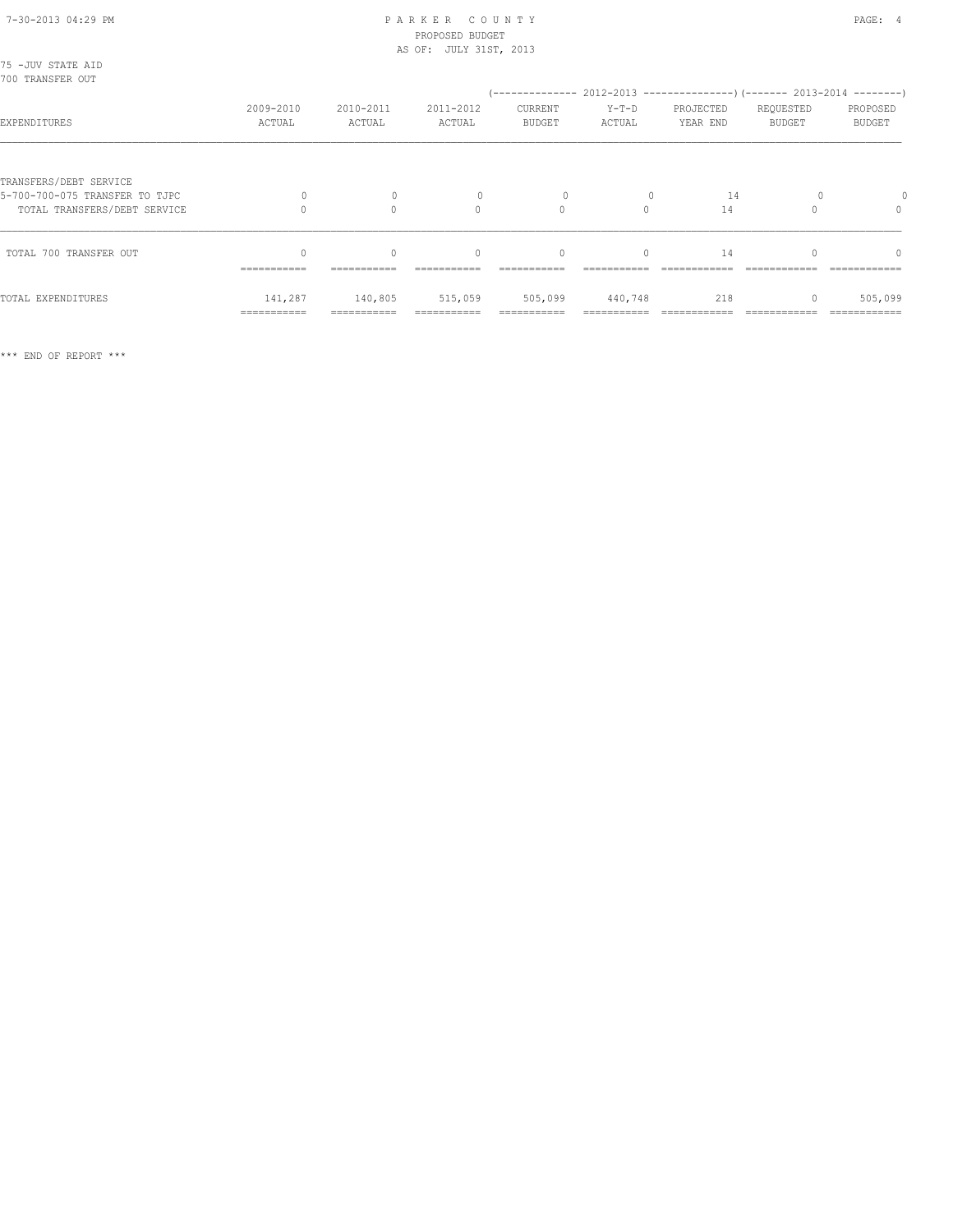#### 7-30-2013 04:29 PM P A R K E R C O U N T Y PAGE: 4 PROPOSED BUDGET AS OF: JULY 31ST, 2013

| 75 -JUV STATE AID<br>700 TRANSFER OUT                                                    |                        |                         |                                                 |                                 |                   |                                                                                                 |                            |                                  |
|------------------------------------------------------------------------------------------|------------------------|-------------------------|-------------------------------------------------|---------------------------------|-------------------|-------------------------------------------------------------------------------------------------|----------------------------|----------------------------------|
| EXPENDITURES                                                                             | 2009-2010<br>ACTUAL    | 2010-2011<br>ACTUAL     | 2011-2012<br>ACTUAL                             | <b>CURRENT</b><br><b>BUDGET</b> | $Y-T-D$<br>ACTUAL | (-------------- 2012-2013 --------------------- 2013-2014 ---------- )<br>PROJECTED<br>YEAR END | REQUESTED<br><b>BUDGET</b> | PROPOSED<br><b>BUDGET</b>        |
| TRANSFERS/DEBT SERVICE<br>5-700-700-075 TRANSFER TO TJPC<br>TOTAL TRANSFERS/DEBT SERVICE |                        | $\mathbf 0$<br>$\Omega$ | $\Omega$                                        | $\circ$                         | $\Omega$          | 14<br>14                                                                                        |                            | $\begin{array}{c} \n\end{array}$ |
| TOTAL 700 TRANSFER OUT                                                                   | $\cap$<br>===========  | $\cap$<br>===========   | $\begin{array}{c} \n\end{array}$<br>=========== | $\Omega$<br>===========         | $\Omega$          | 14                                                                                              |                            | $\Omega$                         |
| TOTAL EXPENDITURES                                                                       | 141,287<br>=========== | 140,805<br>------------ | 515,059                                         | 505,099                         | 440,748           | 218                                                                                             |                            | 505,099                          |

\*\*\* END OF REPORT \*\*\*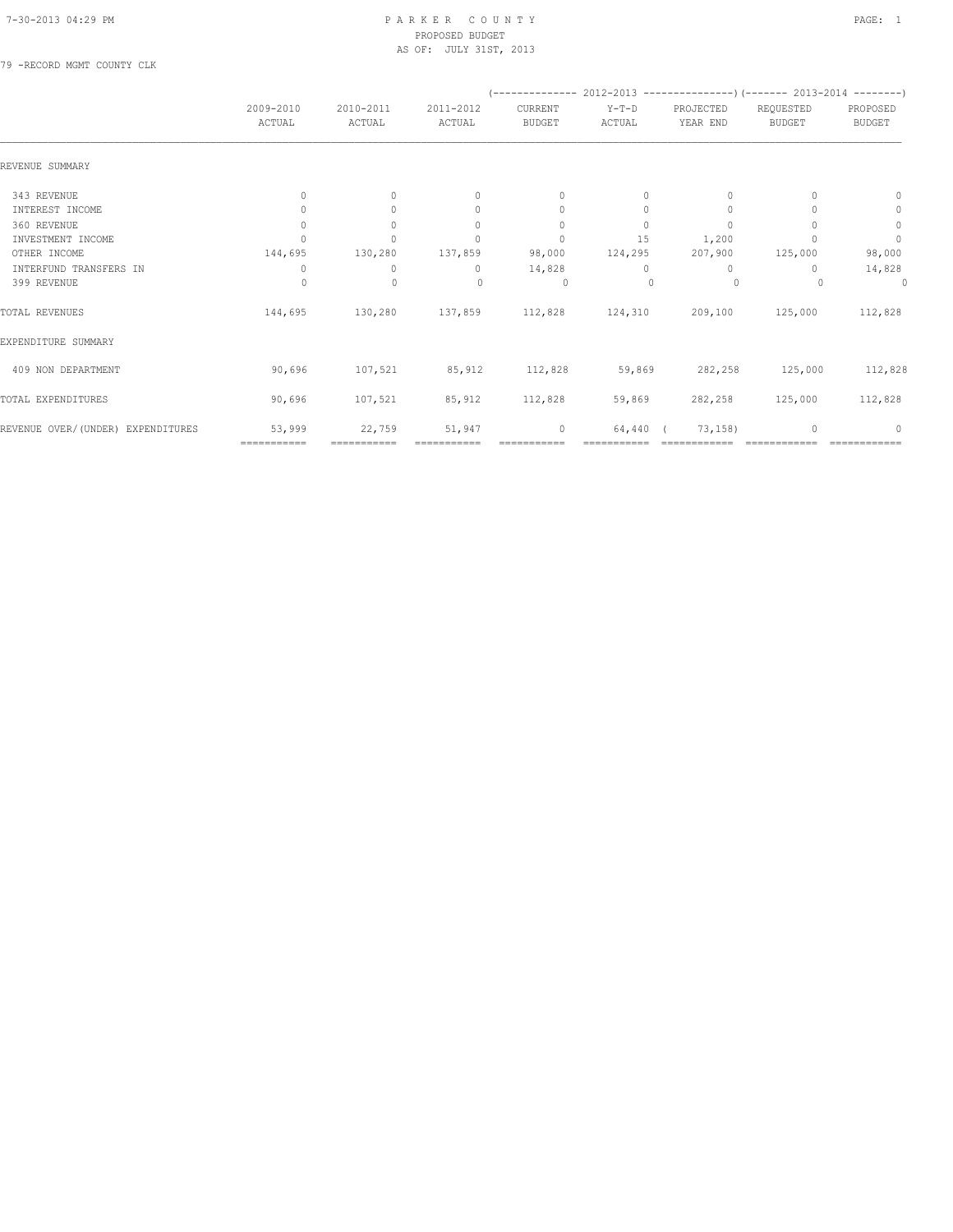#### 7-30-2013 04:29 PM P A R K E R C O U N T Y PAGE: 1 PROPOSED BUDGET AS OF: JULY 31ST, 2013

79 -RECORD MGMT COUNTY CLK

|                                   |                                  |                     |                                  |                          |                 |                       | (-------------- 2012-2013 ----------------) (------- 2013-2014 --------) |                           |  |
|-----------------------------------|----------------------------------|---------------------|----------------------------------|--------------------------|-----------------|-----------------------|--------------------------------------------------------------------------|---------------------------|--|
|                                   | 2009-2010<br>ACTUAL              | 2010-2011<br>ACTUAL | 2011-2012<br>ACTUAL              | CURRENT<br><b>BUDGET</b> | Y-T-D<br>ACTUAL | PROJECTED<br>YEAR END | REQUESTED<br><b>BUDGET</b>                                               | PROPOSED<br><b>BUDGET</b> |  |
| REVENUE SUMMARY                   |                                  |                     |                                  |                          |                 |                       |                                                                          |                           |  |
| 343 REVENUE                       | $\begin{array}{c} \n\end{array}$ | $\Omega$            | $\begin{array}{c} \n\end{array}$ | $\mathbf{0}$             | $\Omega$        | $\Omega$              |                                                                          | 0                         |  |
| INTEREST INCOME                   | $\Omega$                         | $\bigcap$           | $\begin{array}{c} \n\end{array}$ | $\mathbf{0}$             | $\Omega$        | 0                     |                                                                          | 0                         |  |
| 360 REVENUE                       | 0                                |                     | $\begin{array}{c} \n\end{array}$ | $\mathbf{0}$             | $\Omega$        | $\Omega$              |                                                                          | $\circ$                   |  |
| INVESTMENT INCOME                 |                                  |                     | n                                | $\mathbf{0}$             | 15              | 1,200                 |                                                                          | $\mathbf{0}$              |  |
| OTHER INCOME                      | 144,695                          | 130,280             | 137,859                          | 98,000                   | 124,295         | 207,900               | 125,000                                                                  | 98,000                    |  |
| INTERFUND TRANSFERS IN            | 0                                | 0                   | $\mathbf{0}$                     | 14,828                   | $\Omega$        | $\mathbf{0}$          | 0                                                                        | 14,828                    |  |
| 399 REVENUE                       | $\Omega$                         | $\mathbf{0}$        | $\begin{array}{c} \n\end{array}$ | $\Omega$                 | $\Omega$        | $\Omega$              |                                                                          | 0                         |  |
| TOTAL REVENUES                    | 144,695                          | 130,280             | 137,859                          | 112,828                  | 124,310         | 209,100               | 125,000                                                                  | 112,828                   |  |
| EXPENDITURE SUMMARY               |                                  |                     |                                  |                          |                 |                       |                                                                          |                           |  |
| 409 NON DEPARTMENT                | 90,696                           | 107,521             | 85,912                           | 112,828                  | 59,869          | 282,258               | 125,000                                                                  | 112,828                   |  |
| TOTAL EXPENDITURES                | 90,696                           | 107,521             | 85,912                           | 112,828                  | 59,869          | 282,258               | 125,000                                                                  | 112,828                   |  |
| REVENUE OVER/(UNDER) EXPENDITURES | 53,999                           | 22,759              | 51,947                           | 0                        | 64,440          | 73, 158)              |                                                                          | $\Omega$                  |  |
|                                   | ===========                      | ===========         |                                  |                          |                 |                       |                                                                          |                           |  |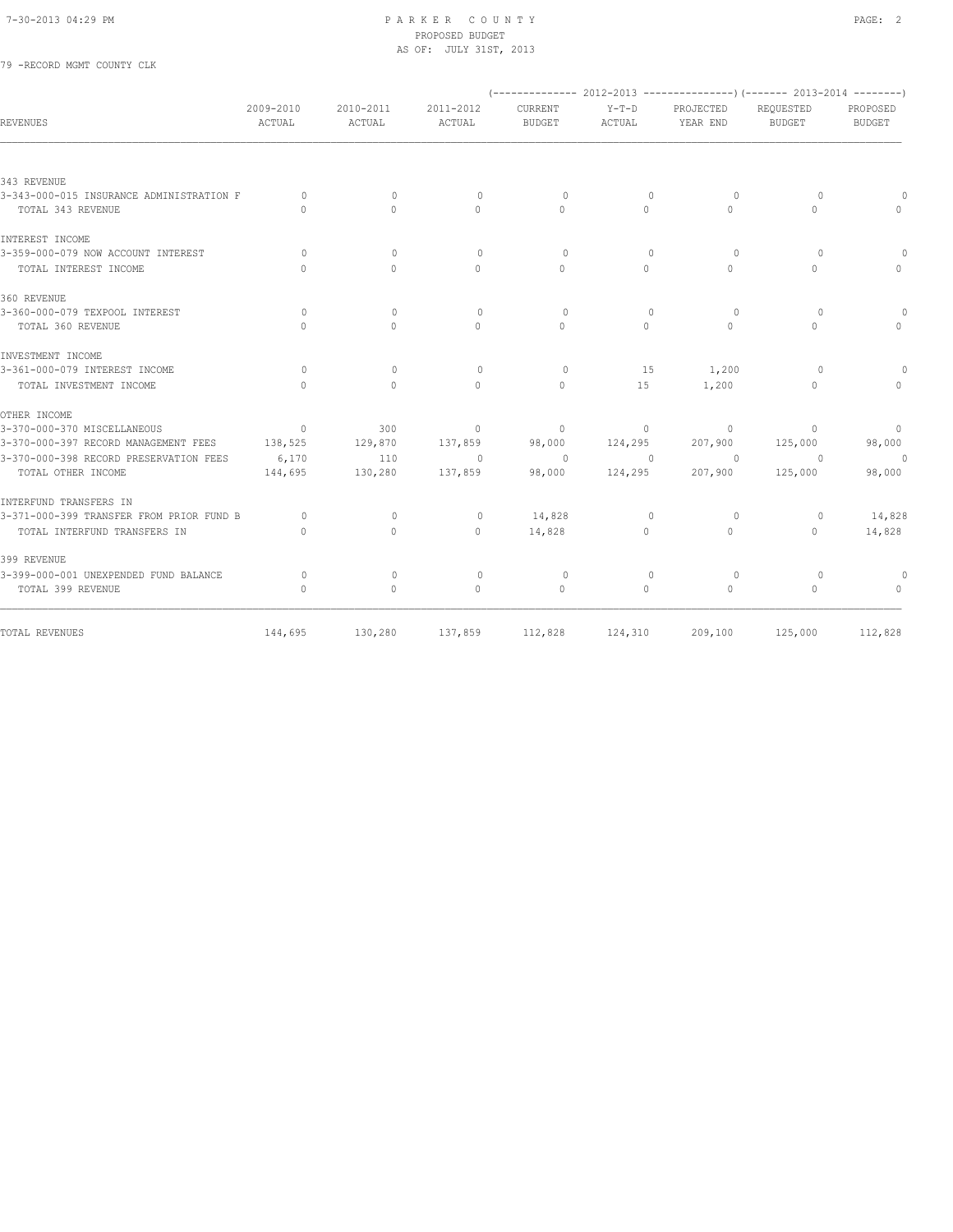## 7-30-2013 04:29 PM P A R K E R C O U N T Y PAGE: 2 PROPOSED BUDGET AS OF: JULY 31ST, 2013<br>
THE SECORD MGMT COUNTY CLK

| 79 -RECORD MGMT COUNTY CLK |  |  |
|----------------------------|--|--|
|                            |  |  |

|                                          |                     |                     |                                  |                          |                   |                                  | $(-$ ------------- 2012-2013 ----------------) $(-$ ------ 2013-2014 --------) |                           |
|------------------------------------------|---------------------|---------------------|----------------------------------|--------------------------|-------------------|----------------------------------|--------------------------------------------------------------------------------|---------------------------|
| REVENUES                                 | 2009-2010<br>ACTUAL | 2010-2011<br>ACTUAL | 2011-2012<br>ACTUAL              | CURRENT<br><b>BUDGET</b> | $Y-T-D$<br>ACTUAL | PROJECTED<br>YEAR END            | REQUESTED<br><b>BUDGET</b>                                                     | PROPOSED<br><b>BUDGET</b> |
|                                          |                     |                     |                                  |                          |                   |                                  |                                                                                |                           |
| 343 REVENUE                              |                     |                     |                                  |                          |                   |                                  |                                                                                |                           |
| 3-343-000-015 INSURANCE ADMINISTRATION F | $\Omega$            | $\Omega$            | $\circ$                          | $\Omega$                 | $\mathbf{0}$      | $\Omega$                         | $\Omega$                                                                       |                           |
| TOTAL 343 REVENUE                        | $\Omega$            | $\Omega$            | $\Omega$                         | $\Omega$                 | $\Omega$          | $\Omega$                         | $\Omega$                                                                       | $\Omega$                  |
| INTEREST INCOME                          |                     |                     |                                  |                          |                   |                                  |                                                                                |                           |
| 3-359-000-079 NOW ACCOUNT INTEREST       | $\Omega$            | $\Omega$            | $\Omega$                         | $\Omega$                 | $\Omega$          | $\Omega$                         | $\Omega$                                                                       | $\Omega$                  |
| TOTAL INTEREST INCOME                    | $\bigcap$           | $\Omega$            | $\Omega$                         | $\Omega$                 | $\Omega$          | $\begin{array}{c} \n\end{array}$ | $\Omega$                                                                       | $\Omega$                  |
| 360 REVENUE                              |                     |                     |                                  |                          |                   |                                  |                                                                                |                           |
| 3-360-000-079 TEXPOOL INTEREST           | $\Omega$            | $\Omega$            | $\begin{array}{c} \n\end{array}$ | $\Omega$                 | $\mathbf{0}$      | $\circ$                          | $\Omega$                                                                       | $\Omega$                  |
| TOTAL 360 REVENUE                        | $\cap$              | $\Omega$            | $\Omega$                         | $\Omega$                 | $\cap$            | $\Omega$                         | $\Omega$                                                                       | $\Omega$                  |
| INVESTMENT INCOME                        |                     |                     |                                  |                          |                   |                                  |                                                                                |                           |
| 3-361-000-079 INTEREST INCOME            | $\Omega$            | $\mathbf{0}$        | $\mathbf{0}$                     | 0                        | 15                | 1,200                            | $\Omega$                                                                       |                           |
| TOTAL INVESTMENT INCOME                  | $\Omega$            | $\Omega$            | $\Omega$                         | $\Omega$                 | 15                | 1,200                            | $\Omega$                                                                       | $\Omega$                  |
| OTHER INCOME                             |                     |                     |                                  |                          |                   |                                  |                                                                                |                           |
| 3-370-000-370 MISCELLANEOUS              | $\overline{0}$      | 300                 | $\circ$                          | $\mathbf{0}$             | $\circ$           | $\Omega$                         | $\Omega$                                                                       | $\overline{0}$            |
| 3-370-000-397 RECORD MANAGEMENT FEES     | 138,525             | 129,870             | 137,859                          | 98,000                   | 124,295           | 207,900                          | 125,000                                                                        | 98,000                    |
| 3-370-000-398 RECORD PRESERVATION FEES   | 6,170               | 110                 | $\overline{0}$                   | $\circ$                  | $\overline{0}$    | $\circ$                          | $\overline{0}$                                                                 | $\circ$                   |
| TOTAL OTHER INCOME                       | 144,695             | 130,280             | 137,859                          | 98,000                   | 124,295           | 207,900                          | 125,000                                                                        | 98,000                    |
| INTERFUND TRANSFERS IN                   |                     |                     |                                  |                          |                   |                                  |                                                                                |                           |
| 3-371-000-399 TRANSFER FROM PRIOR FUND B | $\circ$             | $\mathbf{0}$        | $\mathbf 0$                      | 14,828                   | 0                 | 0                                | 0                                                                              | 14,828                    |
| TOTAL INTERFUND TRANSFERS IN             | $\Omega$            | $\mathbf{0}$        | $\mathbf{0}$                     | 14,828                   | $\circ$           | $\circ$                          | $\mathbf{0}$                                                                   | 14,828                    |
| 399 REVENUE                              |                     |                     |                                  |                          |                   |                                  |                                                                                |                           |
| 3-399-000-001 UNEXPENDED FUND BALANCE    | $\circ$             | $\mathbf{0}$        | $\mathbf{0}$                     | 0                        | $\mathbf{0}$      | $\circ$                          | $\Omega$                                                                       | $\Omega$                  |
| TOTAL 399 REVENUE                        | $\mathbf{0}$        | $\mathbf{0}$        | $\mathbf{0}$                     | $\circ$                  | $\circ$           | $\circ$                          | $\circ$                                                                        | $\circ$                   |
| TOTAL REVENUES                           | 144,695             | 130,280             |                                  | 137,859 112,828          | 124,310           | 209,100                          | 125,000                                                                        | 112,828                   |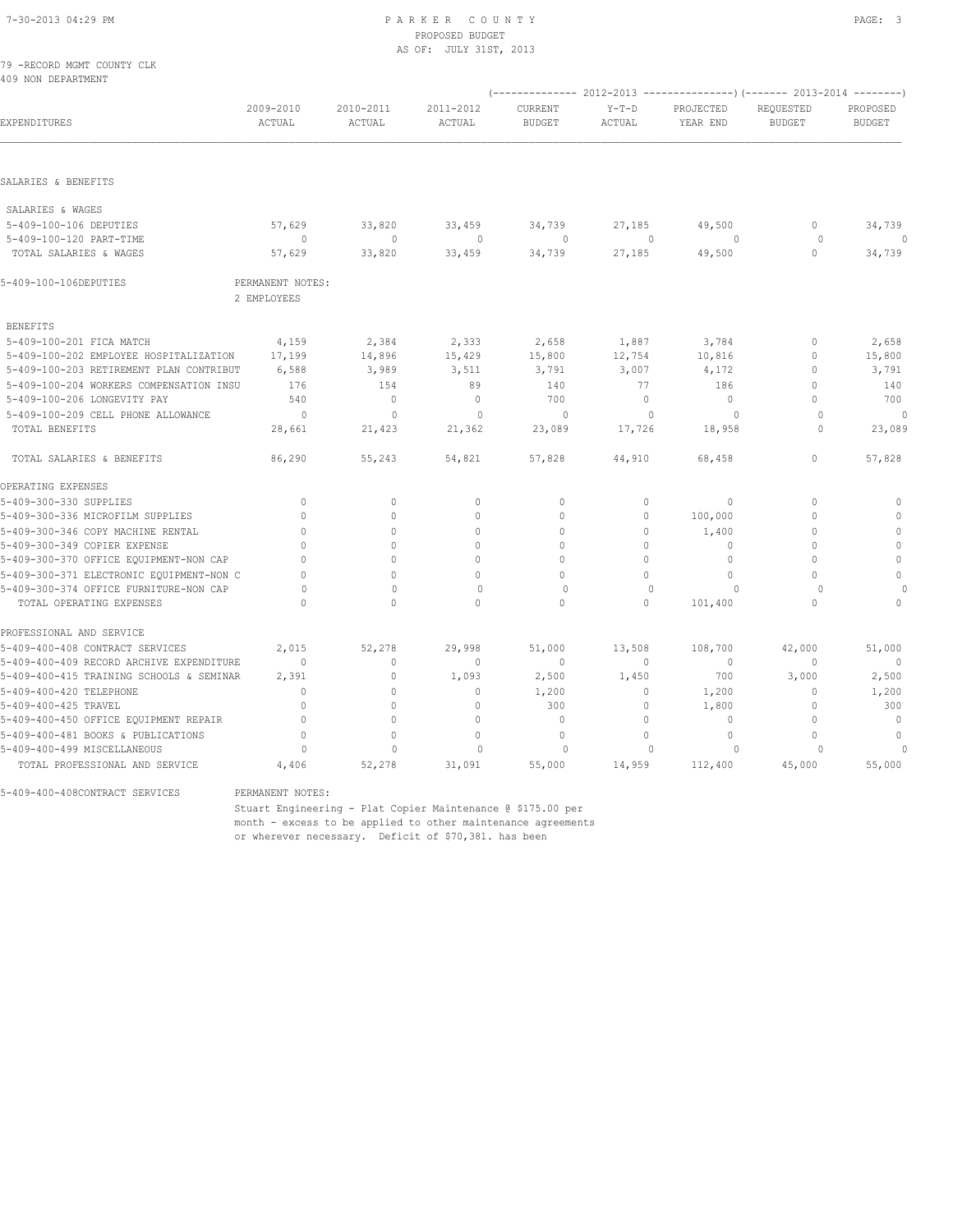#### 7-30-2013 04:29 PM P A R K E R C O U N T Y PAGE: 3 PROPOSED BUDGET AS OF: JULY 31ST, 2013

| 79 - RECORD MGMT COUNTY CLK<br>409 NON DEPARTMENT |                     |                     |                     |                          |                   |                                                                          |                            |                           |
|---------------------------------------------------|---------------------|---------------------|---------------------|--------------------------|-------------------|--------------------------------------------------------------------------|----------------------------|---------------------------|
|                                                   |                     |                     |                     |                          |                   | (-------------- 2012-2013 ----------------) (------- 2013-2014 --------) |                            |                           |
| EXPENDITURES                                      | 2009-2010<br>ACTUAL | 2010-2011<br>ACTUAL | 2011-2012<br>ACTUAL | CURRENT<br><b>BUDGET</b> | $Y-T-D$<br>ACTUAL | PROJECTED<br>YEAR END                                                    | REQUESTED<br><b>BUDGET</b> | PROPOSED<br><b>BUDGET</b> |
|                                                   |                     |                     |                     |                          |                   |                                                                          |                            |                           |
| SALARIES & BENEFITS                               |                     |                     |                     |                          |                   |                                                                          |                            |                           |
| SALARIES & WAGES                                  |                     |                     |                     |                          |                   |                                                                          |                            |                           |
| 5-409-100-106 DEPUTIES                            | 57,629              | 33,820              | 33,459              | 34,739                   | 27,185            | 49,500                                                                   | $\mathbf{0}$               | 34,739                    |
| 5-409-100-120 PART-TIME                           | $\Omega$            | $\Omega$            | $\Omega$            | $\Omega$                 | $\Omega$          | $\cap$                                                                   | $\Omega$                   | $\Omega$                  |
| TOTAL SALARIES & WAGES                            | 57,629              | 33,820              | 33,459              | 34,739                   | 27,185            | 49,500                                                                   | $\mathbf{0}$               | 34,739                    |
| 5-409-100-106DEPUTIES                             | PERMANENT NOTES:    |                     |                     |                          |                   |                                                                          |                            |                           |
|                                                   | 2 EMPLOYEES         |                     |                     |                          |                   |                                                                          |                            |                           |
| <b>BENEFITS</b>                                   |                     |                     |                     |                          |                   |                                                                          |                            |                           |
| 5-409-100-201 FICA MATCH                          | 4,159               | 2,384               | 2,333               | 2,658                    | 1,887             | 3,784                                                                    | $\mathbf 0$                | 2,658                     |
| 5-409-100-202 EMPLOYEE HOSPITALIZATION            | 17,199              | 14,896              | 15,429              | 15,800                   | 12,754            | 10,816                                                                   | $\mathbf{0}$               | 15,800                    |
| 5-409-100-203 RETIREMENT PLAN CONTRIBUT           | 6,588               | 3,989               | 3,511               | 3,791                    | 3,007             | 4,172                                                                    | $\mathbf{0}$               | 3,791                     |
| 5-409-100-204 WORKERS COMPENSATION INSU           | 176                 | 154                 | 89                  | 140                      | 77                | 186                                                                      | $\mathbf{0}$               | 140                       |
| 5-409-100-206 LONGEVITY PAY                       | 540                 | $\mathbf{0}$        | $\mathbf{0}$        | 700                      | $\circ$           | $\mathbf{0}$                                                             | $\Omega$                   | 700                       |
| 5-409-100-209 CELL PHONE ALLOWANCE                | $\circ$             | $\mathbf{0}$        | $\circ$             | $\circ$                  | $\mathbf{0}$      | $\circ$                                                                  | $\Omega$                   | $\mathbf{0}$              |
| TOTAL BENEFITS                                    | 28,661              | 21,423              | 21,362              | 23,089                   | 17,726            | 18,958                                                                   | $\Omega$                   | 23,089                    |
| TOTAL SALARIES & BENEFITS                         | 86,290              | 55,243              | 54,821              | 57,828                   | 44,910            | 68,458                                                                   | $\mathbb O$                | 57,828                    |
| OPERATING EXPENSES                                |                     |                     |                     |                          |                   |                                                                          |                            |                           |
| 5-409-300-330 SUPPLIES                            | $\mathbf{0}$        | $\mathbf{0}$        | $\mathbf{0}$        | $\circ$                  | $\circ$           | $\mathbf{0}$                                                             | $\Omega$                   | $\mathbb O$               |
| 5-409-300-336 MICROFILM SUPPLIES                  | $\mathbf{0}$        | $\circ$             | $\mathbf{0}$        | $\circ$                  | $\circ$           | 100,000                                                                  | $\mathbf{0}$               | $\mathbf{0}$              |
| 5-409-300-346 COPY MACHINE RENTAL                 | $\Omega$            | $\Omega$            | $\Omega$            | $\circ$                  | $\circ$           | 1,400                                                                    | $\mathbf{0}$               | $\mathbb O$               |
| 5-409-300-349 COPIER EXPENSE                      | $\cap$              | $\Omega$            | $\Omega$            | $\Omega$                 | $\Omega$          | 0                                                                        | $\Omega$                   | $\mathbf{0}$              |
| 5-409-300-370 OFFICE EQUIPMENT-NON CAP            | $\cap$              | $\Omega$            | $\Omega$            | $\cap$                   | $\circ$           | 0                                                                        | $\Omega$                   | $\mathbb O$               |
| 5-409-300-371 ELECTRONIC EQUIPMENT-NON C          | $\Omega$            | $\cap$              | $\cap$              | $\Omega$                 | $\Omega$          | $\Omega$                                                                 | $\Omega$                   | $\mathbb O$               |
| 5-409-300-374 OFFICE FURNITURE-NON CAP            | $\Omega$            | $\mathbf{0}$        | $\mathbf{0}$        | $\Omega$                 | $\cap$            | $\Omega$                                                                 | $\cap$                     |                           |
| TOTAL OPERATING EXPENSES                          | $\Omega$            | $\Omega$            | $\Omega$            | $\mathbf{0}$             | $\circ$           | 101,400                                                                  | $\mathbf{0}$               | $\Omega$                  |
| PROFESSIONAL AND SERVICE                          |                     |                     |                     |                          |                   |                                                                          |                            |                           |
| 5-409-400-408 CONTRACT SERVICES                   | 2,015               | 52,278              | 29,998              | 51,000                   | 13,508            | 108,700                                                                  | 42,000                     | 51,000                    |
| 5-409-400-409 RECORD ARCHIVE EXPENDITURE          | $\mathbf{0}$        | $\circ$             | $\mathbf{0}$        | $\mathbf{0}$             | $\circ$           | 0                                                                        | $\mathbf{0}$               | $\mathbf{0}$              |
| 5-409-400-415 TRAINING SCHOOLS & SEMINAR          | 2,391               | $\mathbb O$         | 1,093               | 2,500                    | 1,450             | 700                                                                      | 3,000                      | 2,500                     |
| 5-409-400-420 TELEPHONE                           | $\mathbf{0}$        | $\Omega$            | $\mathbf{0}$        | 1,200                    | $\circ$           | 1,200                                                                    | $\Omega$                   | 1,200                     |
| 5-409-400-425 TRAVEL                              | $\mathbf{0}$        | $\circ$             | $\mathbf{0}$        | 300                      | 0                 | 1,800                                                                    | $\mathbf{0}$               | 300                       |
| 5-409-400-450 OFFICE EQUIPMENT REPAIR             | $\mathbf{0}$        | $\circ$             | $\mathbf{0}$        | $\mathbf{0}$             | $\circ$           | $\mathbf 0$                                                              | $\mathbf{0}$               | $\mathbb O$               |
| 5-409-400-481 BOOKS & PUBLICATIONS                | $\mathbf{0}$        | $\circ$             | $\mathbf{0}$        | $\mathbf{0}$             | $\Omega$          | $\Omega$                                                                 | $\Omega$                   | $\Omega$                  |
| 5-409-400-499 MISCELLANEOUS                       | $\Omega$            | $\Omega$            | $\Omega$            | $\circ$                  | $\Omega$          | $\circ$                                                                  | $\Omega$                   | $\theta$                  |
| TOTAL PROFESSIONAL AND SERVICE                    | 4,406               | 52,278              | 31,091              | 55,000                   | 14,959            | 112,400                                                                  | 45,000                     | 55,000                    |

5-409-400-408CONTRACT SERVICES PERMANENT NOTES:

 Stuart Engineering - Plat Copier Maintenance @ \$175.00 per month - excess to be applied to other maintenance agreements or wherever necessary. Deficit of \$70,381. has been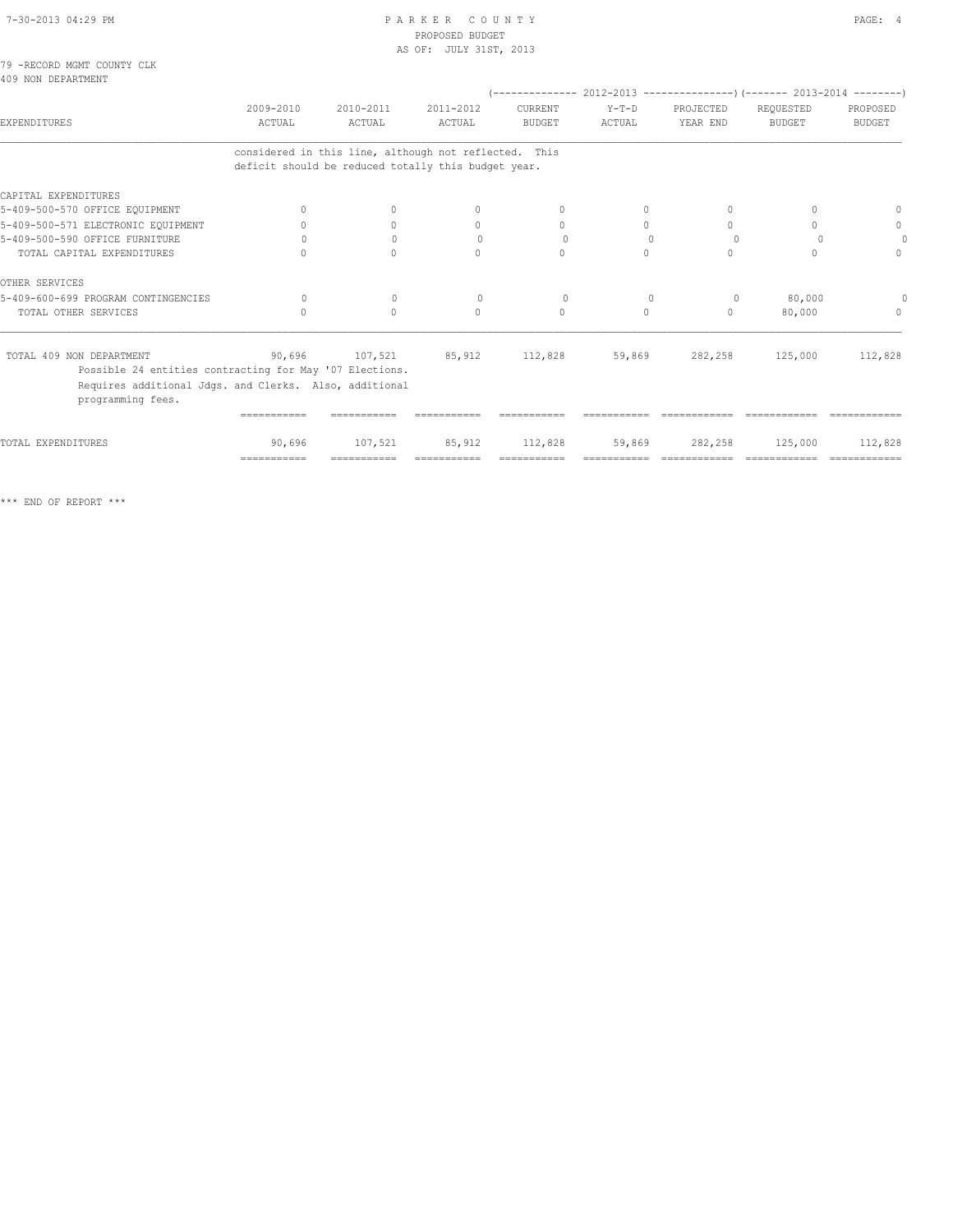#### 7-30-2013 04:29 PM P A R K E R C O U N T Y PAGE: 4 PROPOSED BUDGET AS OF: JULY 31ST, 2013

79 -RECORD MGMT COUNTY CLK 409 NON DEPARTMENT

|                                                                             |                            |                                                                                                              |                     |                          |                   |                                  | $(---------- 2012-2013 ----------)$ $(---- 2013-2014 ----)$ |                           |
|-----------------------------------------------------------------------------|----------------------------|--------------------------------------------------------------------------------------------------------------|---------------------|--------------------------|-------------------|----------------------------------|-------------------------------------------------------------|---------------------------|
| EXPENDITURES                                                                | 2009-2010<br><b>ACTUAL</b> | 2010-2011<br><b>ACTUAL</b>                                                                                   | 2011-2012<br>ACTUAL | CURRENT<br><b>BUDGET</b> | $Y-T-D$<br>ACTUAL | PROJECTED<br>YEAR END            | REQUESTED<br><b>BUDGET</b>                                  | PROPOSED<br><b>BUDGET</b> |
|                                                                             |                            | considered in this line, although not reflected. This<br>deficit should be reduced totally this budget year. |                     |                          |                   |                                  |                                                             |                           |
| CAPITAL EXPENDITURES                                                        |                            |                                                                                                              |                     |                          |                   |                                  |                                                             |                           |
| 5-409-500-570 OFFICE EQUIPMENT                                              | $\Omega$                   | $\Omega$                                                                                                     | $\Omega$            | $\Omega$                 | $\Omega$          | $\Omega$                         | $\cap$                                                      |                           |
| 5-409-500-571 ELECTRONIC EQUIPMENT                                          |                            | $\circ$                                                                                                      | $\mathbf{0}$        | $\mathbf{0}$             | 0                 | 0                                | 0                                                           | $\mathbf{0}$              |
| 5-409-500-590 OFFICE FURNITURE                                              |                            | $\Omega$                                                                                                     | $\Omega$            | $\Omega$                 | $\Omega$          | $\Omega$                         |                                                             |                           |
| TOTAL CAPITAL EXPENDITURES                                                  | $\cap$                     | $\bigcap$                                                                                                    | $\cap$              | $\bigcap$                | $\cap$            | $\Omega$                         | $\cap$                                                      | $\bigcap$                 |
| OTHER SERVICES                                                              |                            |                                                                                                              |                     |                          |                   |                                  |                                                             |                           |
| 5-409-600-699 PROGRAM CONTINGENCIES                                         | $\Omega$                   | $\mathbf{0}$                                                                                                 | $\mathbf{0}$        | $\circ$                  | $\circ$           | $\circ$                          | 80,000                                                      |                           |
| TOTAL OTHER SERVICES                                                        |                            | $\Omega$                                                                                                     | $\bigcap$           | $\Omega$                 | $\bigcap$         | $\begin{array}{c} \n\end{array}$ | 80,000                                                      | $\Omega$                  |
| TOTAL 409 NON DEPARTMENT                                                    |                            | 90,696 107,521                                                                                               | 85,912 112,828      |                          |                   | 59,869 282,258                   | 125,000                                                     | 112,828                   |
| Possible 24 entities contracting for May '07 Elections.                     |                            |                                                                                                              |                     |                          |                   |                                  |                                                             |                           |
| Requires additional Jdgs. and Clerks. Also, additional<br>programming fees. |                            |                                                                                                              |                     |                          |                   |                                  |                                                             |                           |
|                                                                             |                            |                                                                                                              |                     |                          |                   |                                  |                                                             |                           |
| TOTAL EXPENDITURES                                                          | 90,696                     | 107,521                                                                                                      | 85,912              | 112,828                  | 59,869            | 282,258                          | 125,000                                                     | 112,828                   |
|                                                                             | $=$ = = = = = = = = = = =  | ===========                                                                                                  | ===========         | ===========              |                   | =============                    | =============                                               | =============             |

\*\*\* END OF REPORT \*\*\*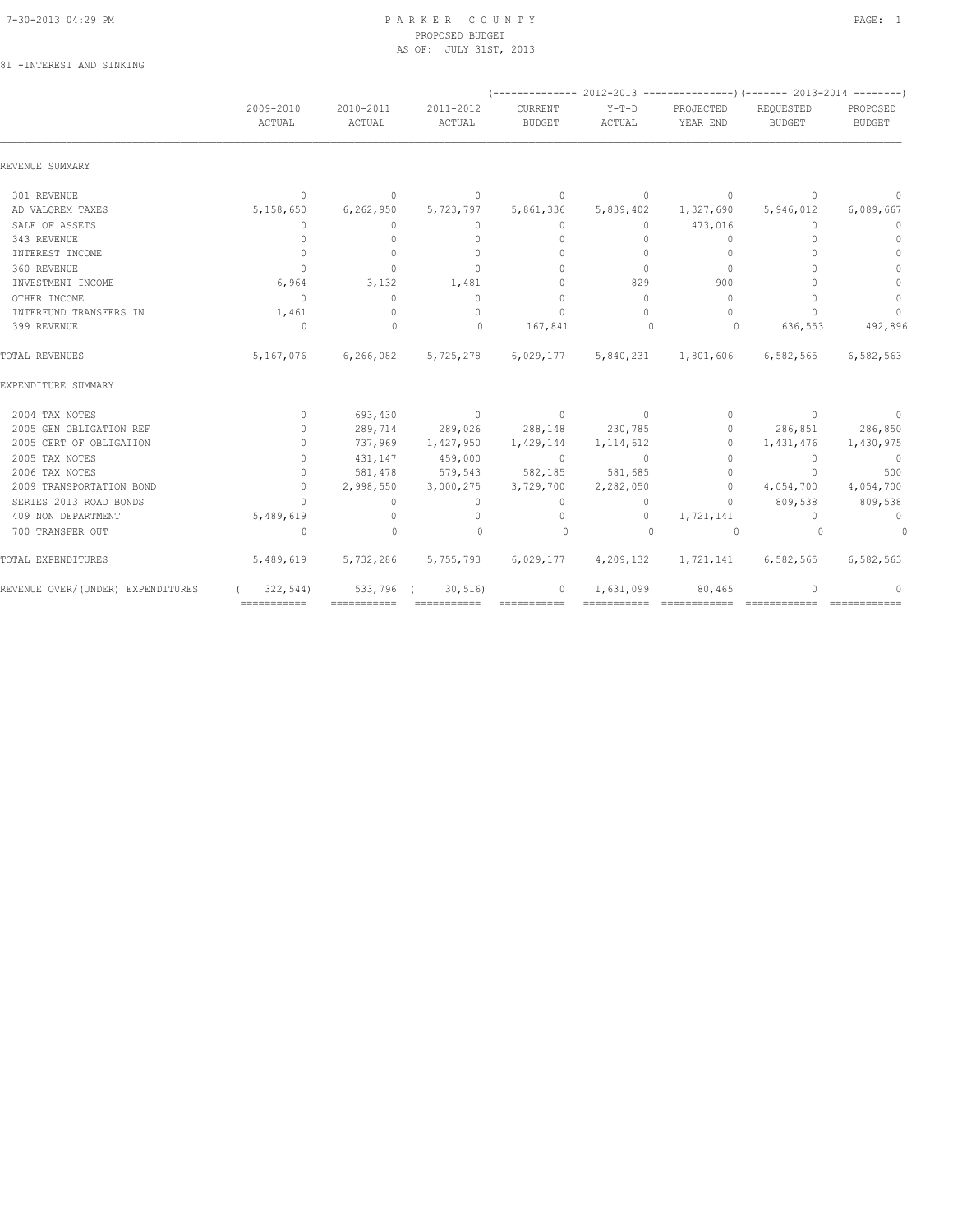## 7-30-2013 04:29 PM P A R K E R C O U N T Y PAGE: 1 PROPOSED BUDGET AS OF: JULY 31ST, 2013<br>
AS OF: JULY 31ST, 2013

|  | 81 - INTEREST AND SINKING |  |  |
|--|---------------------------|--|--|
|--|---------------------------|--|--|

|                                   |                     |                                  |                     |                          |                   | $(---------- 2012-2013 ---------- 2013-2014 ---- 2013-2014 ---- 2013-2014 ---- 2013-2014 ---- 2013-2014 ---- 2013-2014 ---- 2013-2014 ---- 2013-2014 ---- 2013-2014 ---- 2013-2014 ---- 2013-2014 ---- 2013-2014 ---- 2013-2014 ---- 2013-2014 ---- 2013-2014 ---- 2013-2014 ---- 2013-2014$ |                                  |                           |
|-----------------------------------|---------------------|----------------------------------|---------------------|--------------------------|-------------------|----------------------------------------------------------------------------------------------------------------------------------------------------------------------------------------------------------------------------------------------------------------------------------------------|----------------------------------|---------------------------|
|                                   | 2009-2010<br>ACTUAL | 2010-2011<br>ACTUAL              | 2011-2012<br>ACTUAL | CURRENT<br><b>BUDGET</b> | $Y-T-D$<br>ACTUAL | PROJECTED<br>YEAR END                                                                                                                                                                                                                                                                        | REQUESTED<br><b>BUDGET</b>       | PROPOSED<br><b>BUDGET</b> |
| REVENUE SUMMARY                   |                     |                                  |                     |                          |                   |                                                                                                                                                                                                                                                                                              |                                  |                           |
| 301 REVENUE                       | $\mathbf{0}$        | $\overline{0}$                   | $\circ$             | $\circ$                  | $\circ$           | $\overline{0}$                                                                                                                                                                                                                                                                               | $\mathbf{0}$                     | 0                         |
| AD VALOREM TAXES                  | 5,158,650           | 6, 262, 950                      | 5,723,797           | 5,861,336                | 5,839,402         | 1,327,690                                                                                                                                                                                                                                                                                    | 5,946,012                        | 6,089,667                 |
| SALE OF ASSETS                    | $\mathbf{0}$        | 0                                | 0                   | 0                        | $\circ$           | 473,016                                                                                                                                                                                                                                                                                      | 0                                | $\mathbf 0$               |
| 343 REVENUE                       | $\circ$             | $\mathbf{0}$                     | $\mathbf{0}$        | 0                        | $\circ$           | $\mathbf{0}$                                                                                                                                                                                                                                                                                 | $\begin{array}{c} \n\end{array}$ | $\mathbf{0}$              |
| INTEREST INCOME                   | $\circ$             | $\circ$                          | $\mathbf{0}$        | $\mathbf{0}$             | $\circ$           | $\mathbf{0}$                                                                                                                                                                                                                                                                                 | $\begin{array}{c} \n\end{array}$ | $\mathbf{0}$              |
| 360 REVENUE                       | $\bigcirc$          | $\Omega$                         | $\Omega$            | $\Omega$                 | $\Omega$          | $\Omega$                                                                                                                                                                                                                                                                                     | $\bigcap$                        | $\Omega$                  |
| INVESTMENT INCOME                 | 6,964               | 3,132                            | 1,481               | $\Omega$                 | 829               | 900                                                                                                                                                                                                                                                                                          | $\Omega$                         | $\Omega$                  |
| OTHER INCOME                      | $\overline{0}$      | $\Omega$                         | $\Omega$            | $\Omega$                 | $\Omega$          | $\Omega$                                                                                                                                                                                                                                                                                     | $\bigcap$                        | $\mathbb O$               |
| INTERFUND TRANSFERS IN            | 1,461               | $\begin{array}{c} \n\end{array}$ | $\Omega$            | $\mathbf{0}$             | $\Omega$          | $\Omega$                                                                                                                                                                                                                                                                                     | $\Omega$                         | $\circ$                   |
| 399 REVENUE                       | $\Omega$            | $\Omega$                         | $\Omega$            | 167,841                  | $\bigcirc$        | $\circ$                                                                                                                                                                                                                                                                                      | 636,553                          | 492,896                   |
| TOTAL REVENUES                    | 5,167,076           |                                  | 6,266,082 5,725,278 |                          |                   | 6,029,177 5,840,231 1,801,606 6,582,565                                                                                                                                                                                                                                                      |                                  | 6,582,563                 |
| EXPENDITURE SUMMARY               |                     |                                  |                     |                          |                   |                                                                                                                                                                                                                                                                                              |                                  |                           |
| 2004 TAX NOTES                    | $\circ$             | 693,430                          | $\sim$ 0            | $\sim$ 0                 | $\sim$ 0          | $\circ$                                                                                                                                                                                                                                                                                      | $\overline{0}$                   | $\overline{0}$            |
| 2005 GEN OBLIGATION REF           | $\mathbf{0}$        | 289,714                          | 289,026 288,148     |                          | 230,785           | $\circ$                                                                                                                                                                                                                                                                                      | 286,851                          | 286,850                   |
| 2005 CERT OF OBLIGATION           | $\mathbf{0}$        | 737,969                          | 1,427,950           | 1,429,144                | 1, 114, 612       | $\circ$                                                                                                                                                                                                                                                                                      | 1,431,476                        | 1,430,975                 |
| 2005 TAX NOTES                    | $\mathbf{0}$        | 431,147                          | 459,000             | $\overline{0}$           | $\overline{0}$    | $\mathbf{0}$                                                                                                                                                                                                                                                                                 | $\circ$                          | $\overline{0}$            |
| 2006 TAX NOTES                    | $\mathbf{0}$        | 581,478                          |                     | 579,543 582,185 581,685  |                   | $\mathbf{0}$                                                                                                                                                                                                                                                                                 | $\Omega$                         | 500                       |
| 2009 TRANSPORTATION BOND          | $\mathbf{0}$        | 2,998,550                        | 3,000,275           | 3,729,700                | 2,282,050         | $\circ$                                                                                                                                                                                                                                                                                      | 4,054,700                        | 4,054,700                 |
| SERIES 2013 ROAD BONDS            | $\Omega$            | $\Omega$                         | $\Omega$            | $\Omega$                 | $\circ$           | $\Omega$                                                                                                                                                                                                                                                                                     | 809,538                          | 809,538                   |
| 409 NON DEPARTMENT                | 5,489,619           | $\Omega$                         | $\mathbf{0}$        | $\circ$                  | $\circ$           | 1,721,141                                                                                                                                                                                                                                                                                    | $\Omega$                         | $\overline{0}$            |
| 700 TRANSFER OUT                  | $\circ$             | $\mathbf{0}$                     | $\Omega$            | $\circ$                  | $\Omega$          | $\circ$                                                                                                                                                                                                                                                                                      | $\Omega$                         | $\circ$                   |
| TOTAL EXPENDITURES                | 5,489,619           | 5,732,286                        | 5,755,793           | 6,029,177                | 4,209,132         | 1,721,141                                                                                                                                                                                                                                                                                    | 6,582,565                        | 6,582,563                 |
| REVENUE OVER/(UNDER) EXPENDITURES | 322, 544)           | 533,796 (                        | 30, 516             | $\circ$                  | 1,631,099         | 80,465                                                                                                                                                                                                                                                                                       | 0                                |                           |
|                                   | ============        |                                  | ============        |                          |                   |                                                                                                                                                                                                                                                                                              |                                  |                           |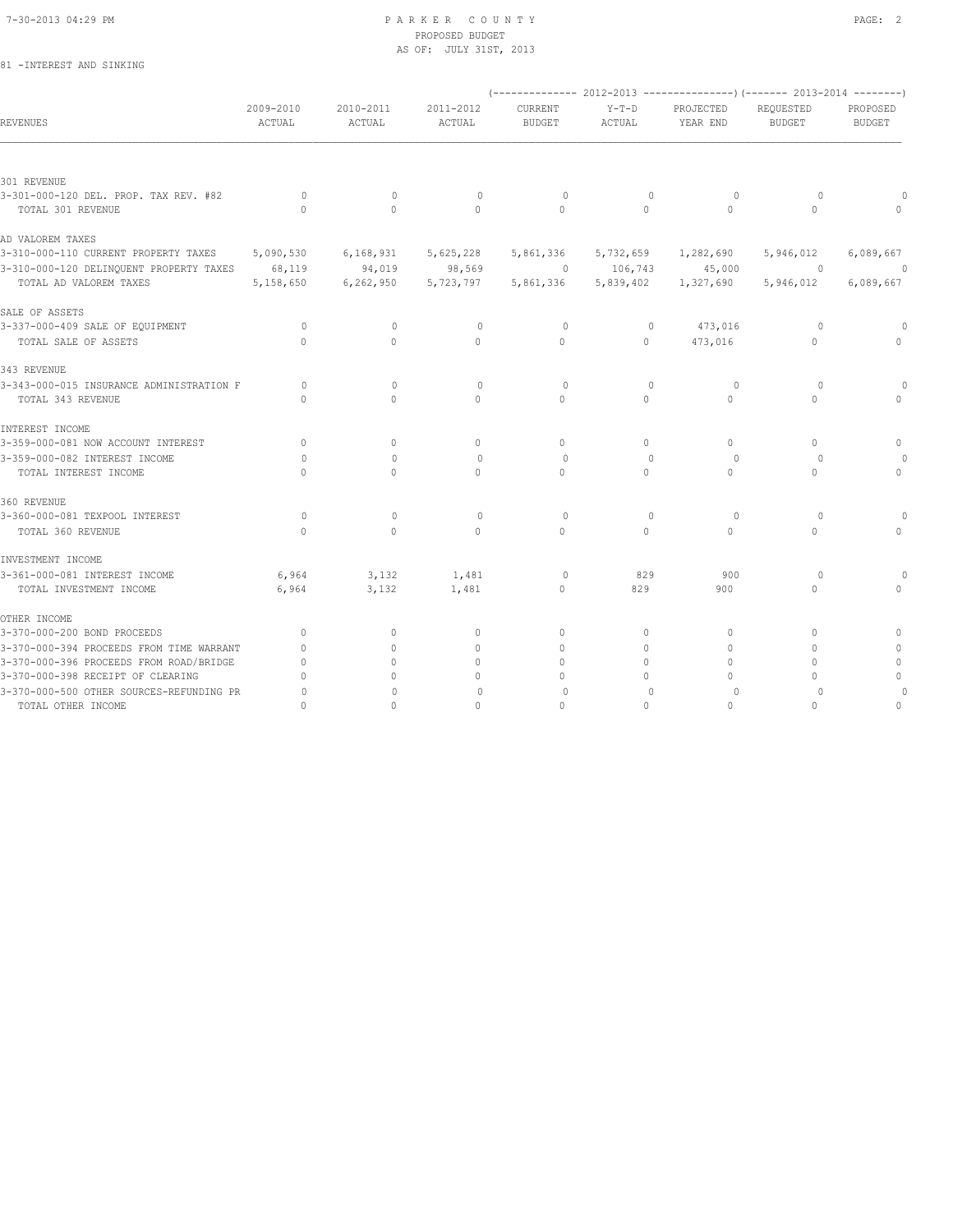#### 7-30-2013 04:29 PM P A R K E R C O U N T Y PAGE: 2 PROPOSED BUDGET AS OF: JULY 31ST, 2013

### 81 -INTEREST AND SINKING

|                                                |                                  |                                  |                     |                          |                   |                       | $(-$ ------------- 2012-2013 ----------------) (------- 2013-2014 --------) |                           |
|------------------------------------------------|----------------------------------|----------------------------------|---------------------|--------------------------|-------------------|-----------------------|-----------------------------------------------------------------------------|---------------------------|
| <b>REVENUES</b>                                | 2009-2010<br>ACTUAL              | 2010-2011<br>ACTUAL              | 2011-2012<br>ACTUAL | CURRENT<br><b>BUDGET</b> | $Y-T-D$<br>ACTUAL | PROJECTED<br>YEAR END | REQUESTED<br><b>BUDGET</b>                                                  | PROPOSED<br><b>BUDGET</b> |
|                                                |                                  |                                  |                     |                          |                   |                       |                                                                             |                           |
| 301 REVENUE                                    |                                  |                                  |                     |                          |                   |                       |                                                                             |                           |
| 3-301-000-120 DEL. PROP. TAX REV. #82          | $\circ$                          | $\mathbf{0}$                     | $\circ$             | $\circ$                  | $\mathbb O$       | $\circ$               | $\circ$                                                                     |                           |
| TOTAL 301 REVENUE                              | $\bigcap$                        | $\Omega$                         | $\Omega$            | $\Omega$                 | $\Omega$          | $\Omega$              | $\Omega$                                                                    |                           |
| AD VALOREM TAXES                               |                                  |                                  |                     |                          |                   |                       |                                                                             |                           |
| 3-310-000-110 CURRENT PROPERTY TAXES           | 5,090,530                        | 6,168,931                        | 5,625,228           | 5,861,336                | 5,732,659         | 1,282,690             | 5,946,012                                                                   | 6,089,667                 |
| 3-310-000-120 DELINQUENT PROPERTY TAXES 68,119 |                                  | 94,019                           | 98,569              | $\sim$ 0                 |                   | 106,743 45,000        | $\sim$ 000 $\sim$ 000 $\sim$ 000 $\sim$ 000 $\sim$                          | $\overline{0}$            |
| TOTAL AD VALOREM TAXES                         | 5,158,650                        | 6,262,950                        | 5,723,797           | 5,861,336                | 5,839,402         | 1,327,690             | 5,946,012                                                                   | 6,089,667                 |
| SALE OF ASSETS                                 |                                  |                                  |                     |                          |                   |                       |                                                                             |                           |
| 3-337-000-409 SALE OF EQUIPMENT                | $\circ$                          | $\mathbf{0}$                     | $\mathbf{0}$        | $\circ$                  | $\mathbb O$       | 473,016               | $\circ$                                                                     | 0                         |
| TOTAL SALE OF ASSETS                           | $\cap$                           | $\Omega$                         | $\circ$             | $\Omega$                 | $\circ$           | 473,016               | $\circ$                                                                     | $\mathbf{0}$              |
| 343 REVENUE                                    |                                  |                                  |                     |                          |                   |                       |                                                                             |                           |
| 3-343-000-015 INSURANCE ADMINISTRATION F       | 0                                | $\begin{array}{c} \n\end{array}$ | $\mathbf{0}$        | $\circ$                  | $\mathbf 0$       | $\circ$               | $\circ$                                                                     | $\Omega$                  |
| TOTAL 343 REVENUE                              | $\cap$                           | $\Omega$                         | $\Omega$            | $\Omega$                 | $\Omega$          | $\Omega$              | $\Omega$                                                                    |                           |
| INTEREST INCOME                                |                                  |                                  |                     |                          |                   |                       |                                                                             |                           |
| 3-359-000-081 NOW ACCOUNT INTEREST             | $\Omega$                         | $\circ$                          | $\mathbf{0}$        | $\mathbf{0}$             | 0                 | $\circ$               | $\Omega$                                                                    | 0                         |
| 3-359-000-082 INTEREST INCOME                  | $\Omega$                         | $\Omega$                         | $\Omega$            | $\Omega$                 | $\mathbf{0}$      | 0                     | $\Omega$                                                                    |                           |
| TOTAL INTEREST INCOME                          | $\Omega$                         | $\Omega$                         | $\mathbf{0}$        | $\mathbf{0}$             | 0                 | $\circ$               | $\Omega$                                                                    | $\mathbf{0}$              |
| 360 REVENUE                                    |                                  |                                  |                     |                          |                   |                       |                                                                             |                           |
| 3-360-000-081 TEXPOOL INTEREST                 | $\circ$                          | $\mathbf{0}$                     | $\mathbf{0}$        | $\circ$                  | $\mathbf 0$       | $\circ$               | $\circ$                                                                     | $\Omega$                  |
| TOTAL 360 REVENUE                              | $\Omega$                         | $\Omega$                         | $\Omega$            | $\Omega$                 | $\circ$           | $\circ$               | 0                                                                           | $\Omega$                  |
| INVESTMENT INCOME                              |                                  |                                  |                     |                          |                   |                       |                                                                             |                           |
| 3-361-000-081 INTEREST INCOME                  | 6,964                            | 3,132                            | 1,481               | 0                        | 829               | 900                   | $\Omega$                                                                    |                           |
| TOTAL INVESTMENT INCOME                        | 6,964                            | 3,132                            | 1,481               | $\mathbf{0}$             | 829               | 900                   | $\mathbf{0}$                                                                |                           |
| OTHER INCOME                                   |                                  |                                  |                     |                          |                   |                       |                                                                             |                           |
| 3-370-000-200 BOND PROCEEDS                    | $\mathbf{0}$                     | $\mathbf{0}$                     | $\mathbf{0}$        | $\mathbf{0}$             | 0                 | 0                     | 0                                                                           | 0                         |
| 3-370-000-394 PROCEEDS FROM TIME WARRANT       | $\mathbf{0}$                     | $\circ$                          | $\mathbf{0}$        | $\mathbf{0}$             | $\circ$           | $\Omega$              | $\Omega$                                                                    |                           |
| 3-370-000-396 PROCEEDS FROM ROAD/BRIDGE        | $\mathbf{0}$                     | $\cap$                           | $\Omega$            | $\Omega$                 | $\Omega$          | $\Omega$              | 0                                                                           | $\mathbf{0}$              |
| 3-370-000-398 RECEIPT OF CLEARING              | $\begin{array}{c} \n\end{array}$ | $\bigcap$                        | $\Omega$            | $\cap$                   | $\Omega$          | $\cap$                | 0                                                                           | $\Omega$                  |
| 3-370-000-500 OTHER SOURCES-REFUNDING PR       | $\circ$                          | 0                                | $\mathbf{0}$        | 0                        | $\mathbf{0}$      | 0                     | $\circ$                                                                     |                           |
| TOTAL OTHER INCOME                             | $\Omega$                         | $\Omega$                         | $\circ$             | $\circ$                  | $\mathbf 0$       | $\mathbf{0}$          | $\Omega$                                                                    | 0                         |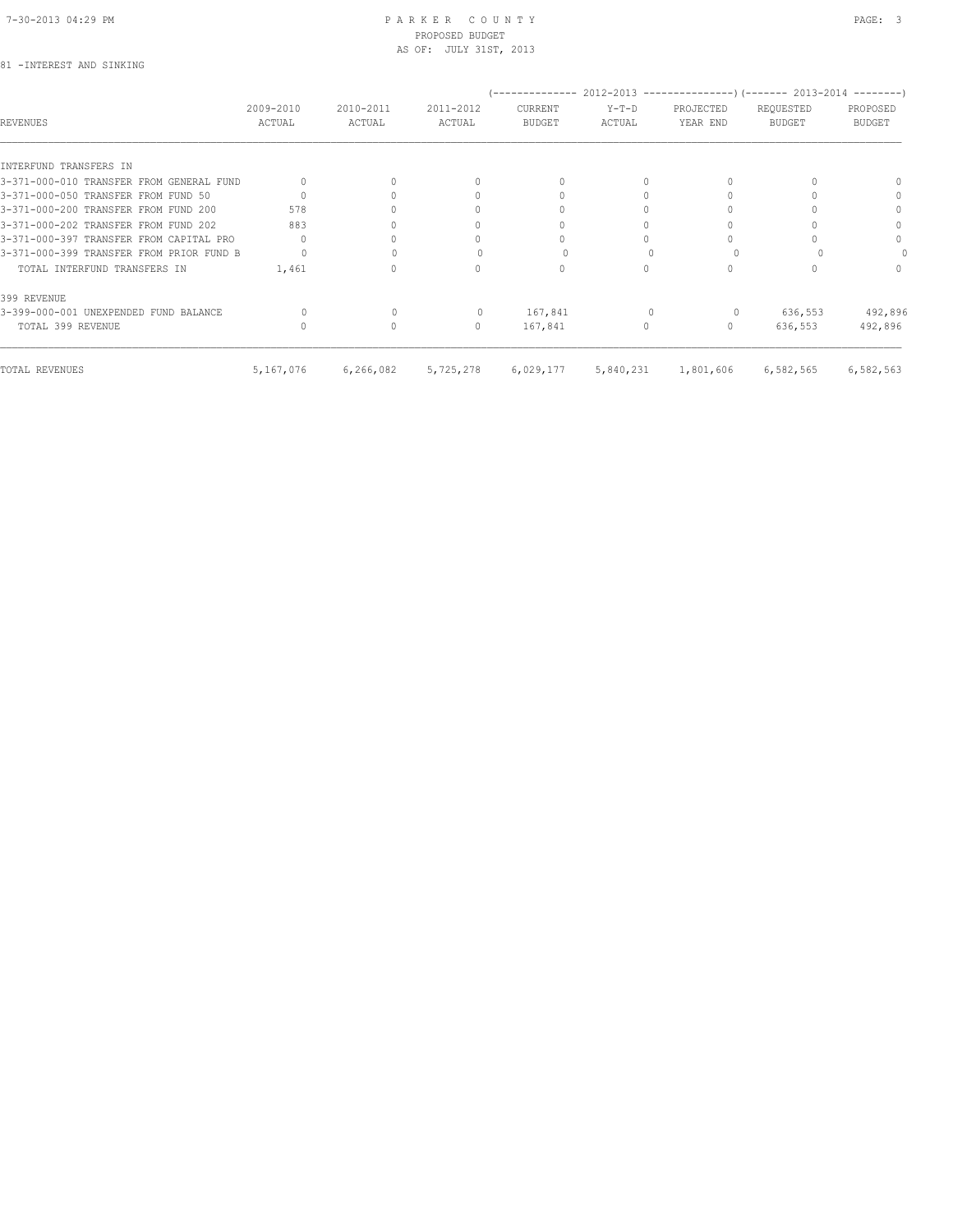#### 7-30-2013 04:29 PM P A R K E R C O U N T Y PAGE: 3 PROPOSED BUDGET AS OF: JULY 31ST, 2013

#### 81 -INTEREST AND SINKING

|                                          |                     |                     |                                  |                                 |                   | (-------------- 2012-2013 --------------------) (------- 2013-2014 ---------) |                            |                           |
|------------------------------------------|---------------------|---------------------|----------------------------------|---------------------------------|-------------------|-------------------------------------------------------------------------------|----------------------------|---------------------------|
| REVENUES                                 | 2009-2010<br>ACTUAL | 2010-2011<br>ACTUAL | 2011-2012<br>ACTUAL              | <b>CURRENT</b><br><b>BUDGET</b> | $Y-T-D$<br>ACTUAL | PROJECTED<br>YEAR END                                                         | REQUESTED<br><b>BUDGET</b> | PROPOSED<br><b>BUDGET</b> |
|                                          |                     |                     |                                  |                                 |                   |                                                                               |                            |                           |
| INTERFUND TRANSFERS IN                   |                     |                     |                                  |                                 |                   |                                                                               |                            |                           |
| 3-371-000-010 TRANSFER FROM GENERAL FUND |                     |                     | $\begin{array}{c} \n\end{array}$ | $\Omega$                        |                   |                                                                               |                            | $\cap$                    |
| 3-371-000-050 TRANSFER FROM FUND 50      |                     |                     | $\Omega$                         |                                 |                   |                                                                               |                            | 0                         |
| 3-371-000-200 TRANSFER FROM FUND 200     | 578                 |                     | 0                                |                                 |                   |                                                                               |                            | $\Omega$                  |
| 3-371-000-202 TRANSFER FROM FUND 202     | 883                 |                     | 0                                |                                 |                   |                                                                               |                            | $\Omega$                  |
| 3-371-000-397 TRANSFER FROM CAPITAL PRO  |                     |                     | 0                                |                                 |                   |                                                                               |                            | $\Omega$                  |
| 3-371-000-399 TRANSFER FROM PRIOR FUND B |                     |                     |                                  |                                 |                   |                                                                               |                            |                           |
| TOTAL INTERFUND TRANSFERS IN             | 1,461               |                     | 0                                | $\Omega$                        | $\Omega$          |                                                                               |                            | $\Omega$                  |
| 399 REVENUE                              |                     |                     |                                  |                                 |                   |                                                                               |                            |                           |
| 3-399-000-001 UNEXPENDED FUND BALANCE    |                     |                     | 0                                | 167,841                         |                   | 0                                                                             | 636,553                    | 492,896                   |
| TOTAL 399 REVENUE                        |                     | $\bigcap$           | $\begin{array}{c} \n\end{array}$ | 167,841                         | $\Omega$          | $\Omega$                                                                      | 636,553                    | 492,896                   |
| TOTAL REVENUES                           | 5,167,076           | 6,266,082           | 5,725,278                        | 6,029,177                       | 5,840,231         | 1,801,606                                                                     | 6,582,565                  | 6,582,563                 |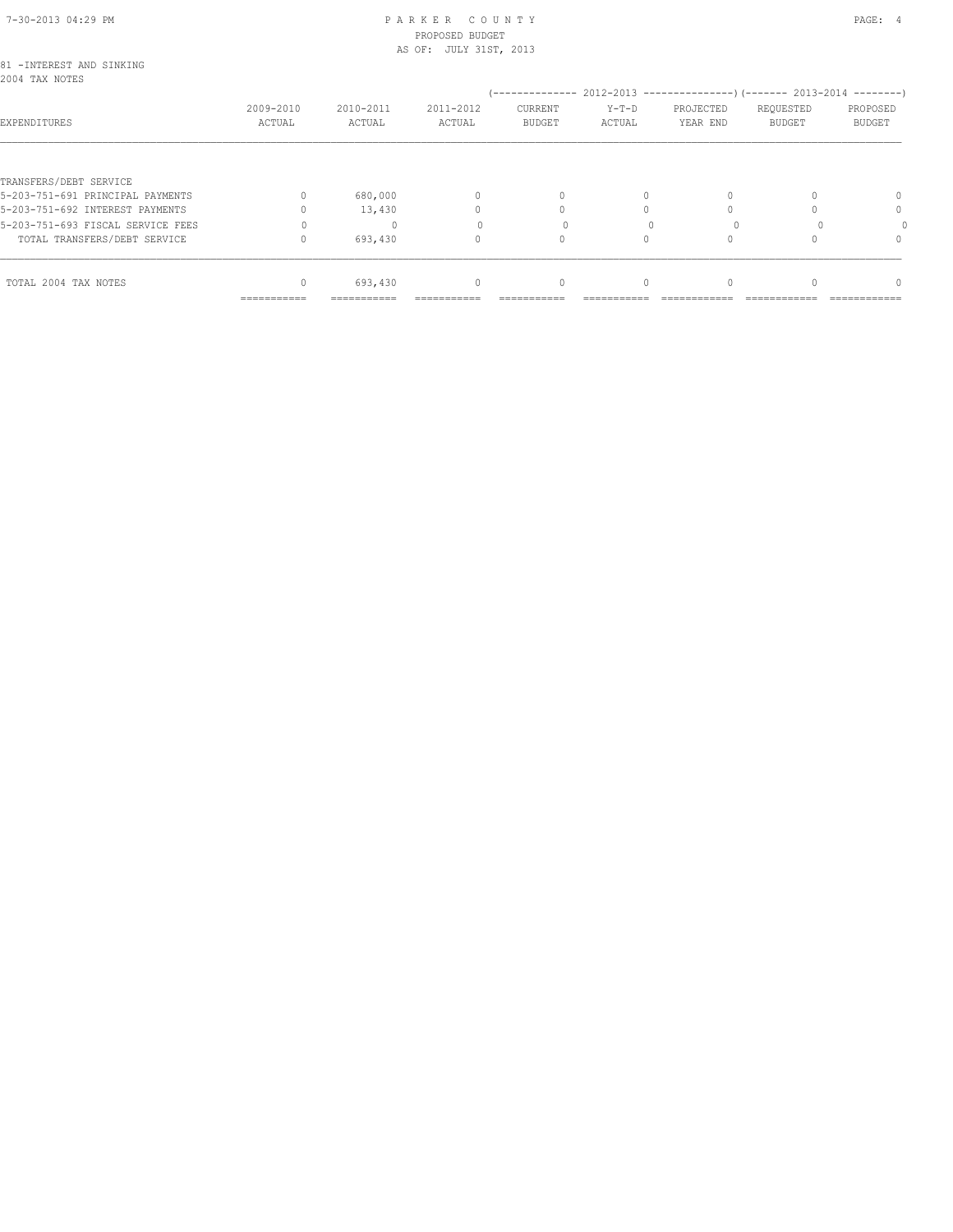#### 7-30-2013 04:29 PM P A R K E R C O U N T Y PAGE: 4 PROPOSED BUDGET AS OF: JULY 31ST, 2013

|                                                            | ===========         | :==========         |                     |                          |                                                                                               |                       |                            |                           |
|------------------------------------------------------------|---------------------|---------------------|---------------------|--------------------------|-----------------------------------------------------------------------------------------------|-----------------------|----------------------------|---------------------------|
| TOTAL 2004 TAX NOTES                                       | $\Omega$            | 693,430             | $\mathbf{0}$        | $\mathbf{0}$             | $\Omega$                                                                                      |                       |                            | $\Omega$                  |
| TOTAL TRANSFERS/DEBT SERVICE                               |                     | 693,430             | 0                   |                          |                                                                                               |                       |                            | $\Omega$                  |
| 5-203-751-693 FISCAL SERVICE FEES                          |                     | $\Omega$            |                     |                          |                                                                                               |                       |                            |                           |
| 5-203-751-692 INTEREST PAYMENTS                            |                     | 13,430              | 0                   |                          |                                                                                               |                       |                            | $\Omega$                  |
| TRANSFERS/DEBT SERVICE<br>5-203-751-691 PRINCIPAL PAYMENTS |                     | 680,000             | $\Omega$            | $\Omega$                 | $\Omega$                                                                                      |                       |                            | $\Omega$                  |
|                                                            |                     |                     |                     |                          |                                                                                               |                       |                            |                           |
| EXPENDITURES                                               | 2009-2010<br>ACTUAL | 2010-2011<br>ACTUAL | 2011-2012<br>ACTUAL | CURRENT<br><b>BUDGET</b> | (-------------- 2012-2013 ----------------) (------- 2013-2014 --------)<br>$Y-T-D$<br>ACTUAL | PROJECTED<br>YEAR END | REQUESTED<br><b>BUDGET</b> | PROPOSED<br><b>BUDGET</b> |
| 81 - INTEREST AND SINKING<br>2004 TAX NOTES                |                     |                     |                     |                          |                                                                                               |                       |                            |                           |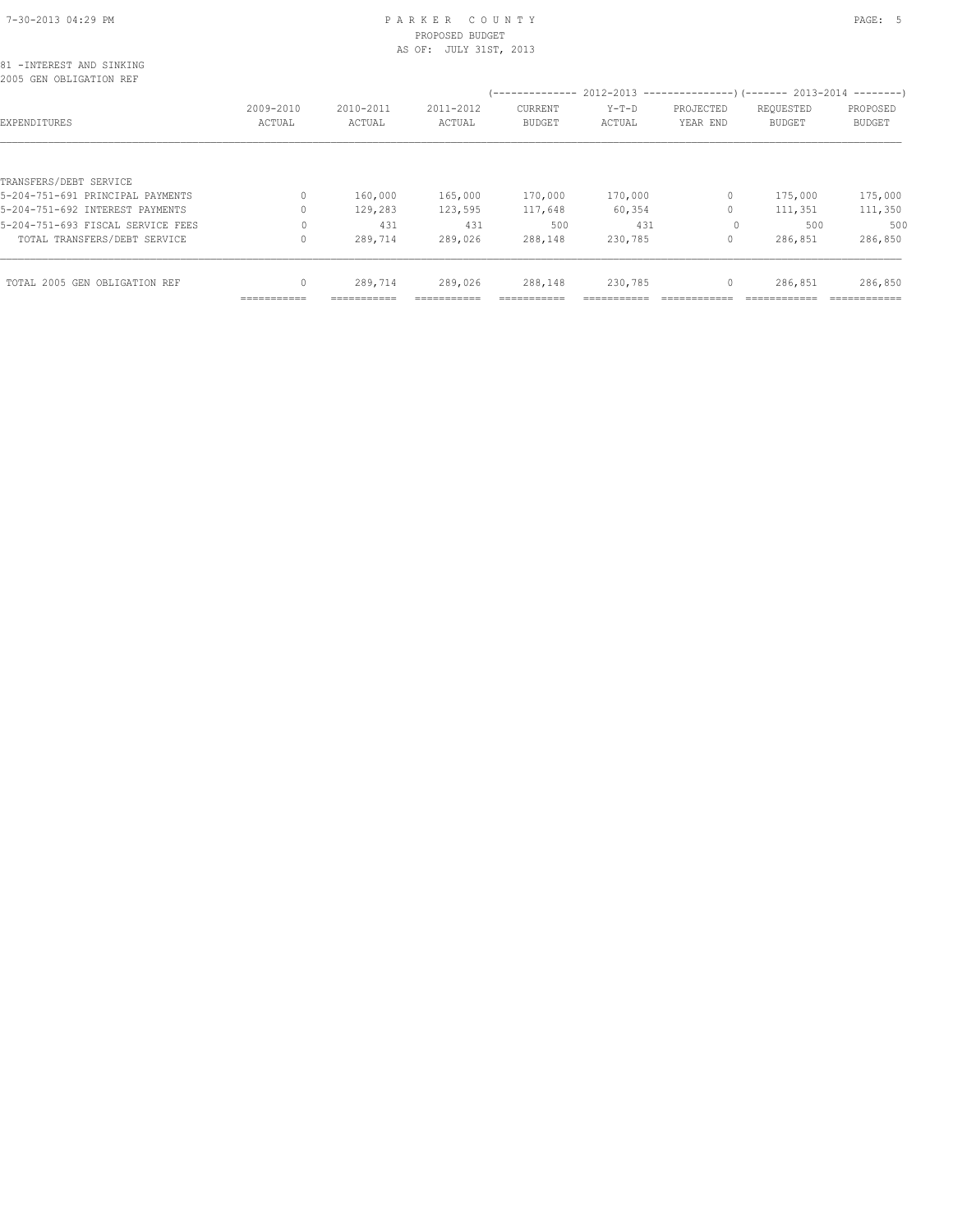# 7-30-2013 04:29 PM P A R K E R C O U N T Y PAGE: 5 PROPOSED BUDGET

|                                                      |           |           | AS OF: JULY 31ST, 2013 |               |         |              |               |               |
|------------------------------------------------------|-----------|-----------|------------------------|---------------|---------|--------------|---------------|---------------|
| 81 - INTEREST AND SINKING<br>2005 GEN OBLIGATION REF |           |           |                        |               |         |              |               |               |
|                                                      |           |           |                        |               |         |              |               |               |
|                                                      | 2009-2010 | 2010-2011 | 2011-2012              | CURRENT       | $Y-T-D$ | PROJECTED    | REQUESTED     | PROPOSED      |
| EXPENDITURES                                         | ACTUAL    | ACTUAL    | ACTUAL                 | <b>BUDGET</b> | ACTUAL  | YEAR END     | <b>BUDGET</b> | <b>BUDGET</b> |
|                                                      |           |           |                        |               |         |              |               |               |
| TRANSFERS/DEBT SERVICE                               |           |           |                        |               |         |              |               |               |
| 5-204-751-691 PRINCIPAL PAYMENTS                     | $\Omega$  | 160,000   | 165,000                | 170,000       | 170,000 | $\circ$      | 175,000       | 175,000       |
| 5-204-751-692 INTEREST PAYMENTS                      | 0         | 129,283   | 123,595                | 117,648       | 60,354  | $\circ$      | 111,351       | 111,350       |
| 5-204-751-693 FISCAL SERVICE FEES                    |           | 431       | 431                    | 500           | 431     | $\circ$      | 500           | 500           |
| TOTAL TRANSFERS/DEBT SERVICE                         |           | 289,714   | 289,026                | 288,148       | 230,785 | $\circ$      | 286,851       | 286,850       |
| TOTAL 2005 GEN OBLIGATION REF                        |           | 289,714   | 289,026                | 288,148       | 230,785 | $\mathbf{0}$ | 286,851       | 286,850       |

=========== =========== =========== =========== =========== ============ ============ ============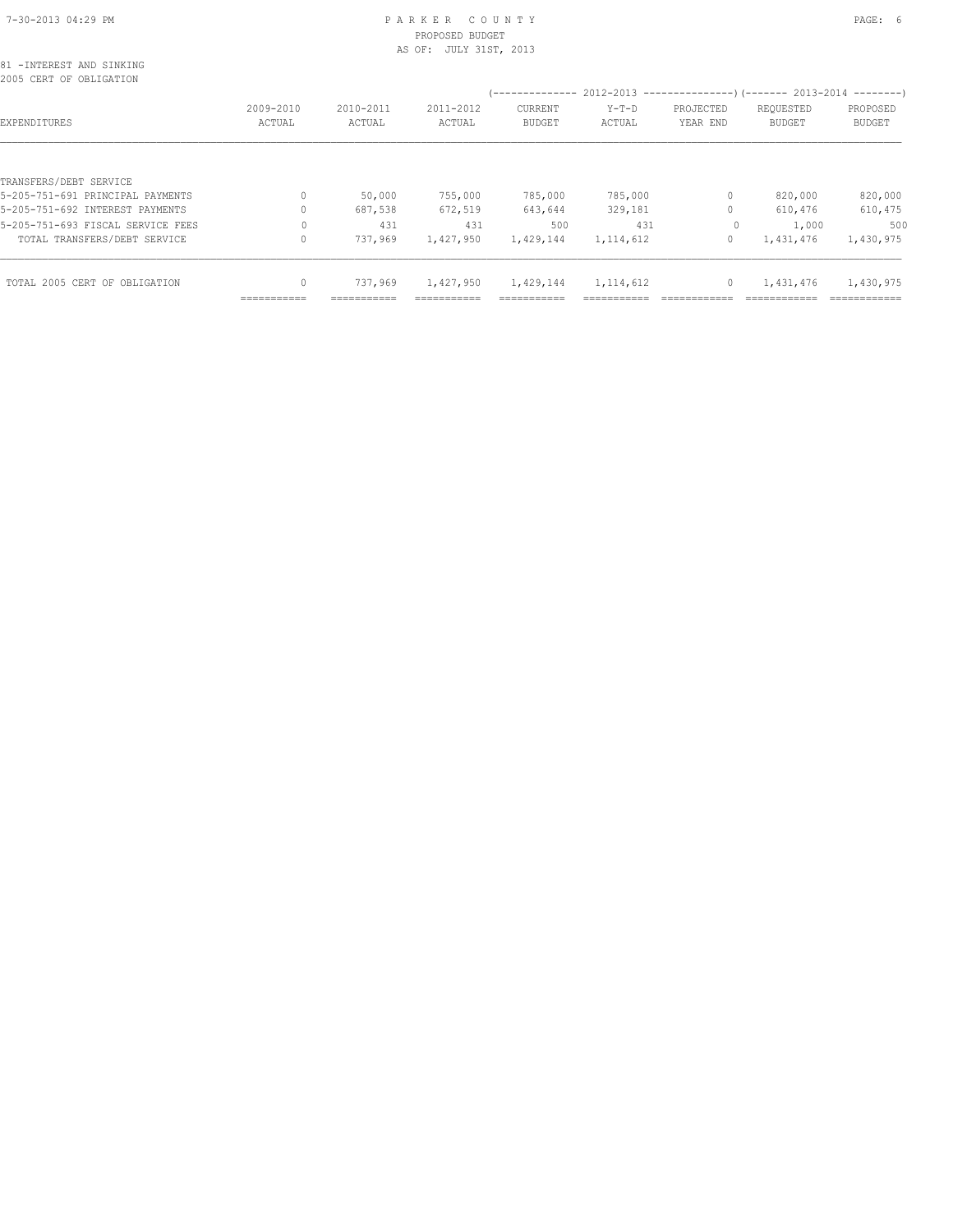# 7-30-2013 04:29 PM P A R K E R C O U N T Y PAGE: 6 PROPOSED BUDGET

|                                                     |              |           | AS OF: JULY 31ST, 2013 |                                                                        |             |           |               |               |
|-----------------------------------------------------|--------------|-----------|------------------------|------------------------------------------------------------------------|-------------|-----------|---------------|---------------|
| 81 -INTEREST AND SINKING<br>2005 CERT OF OBLIGATION |              |           |                        |                                                                        |             |           |               |               |
|                                                     |              |           |                        | (-------------- 2012-2013 --------------------- 2013-2014 ---------- ) |             |           |               |               |
|                                                     | 2009-2010    | 2010-2011 | 2011-2012              | CURRENT                                                                | $Y-T-D$     | PROJECTED | REQUESTED     | PROPOSED      |
| EXPENDITURES                                        | ACTUAL       | ACTUAL    | ACTUAL                 | <b>BUDGET</b>                                                          | ACTUAL      | YEAR END  | <b>BUDGET</b> | <b>BUDGET</b> |
|                                                     |              |           |                        |                                                                        |             |           |               |               |
| TRANSFERS/DEBT SERVICE                              |              |           |                        |                                                                        |             |           |               |               |
| 5-205-751-691 PRINCIPAL PAYMENTS                    | 0            | 50,000    | 755,000                | 785,000                                                                | 785,000     | 0         | 820,000       | 820,000       |
| 5-205-751-692 INTEREST PAYMENTS                     |              | 687,538   | 672,519                | 643,644                                                                | 329,181     |           | 610,476       | 610,475       |
| 5-205-751-693 FISCAL SERVICE FEES                   | 0            | 431       | 431                    | 500                                                                    | 431         | $\circ$   | 1,000         | 500           |
| TOTAL TRANSFERS/DEBT SERVICE                        | $\Omega$     | 737,969   | 1,427,950              | 1,429,144                                                              | 1, 114, 612 | $\circ$   | 1,431,476     | 1,430,975     |
| TOTAL 2005 CERT OF OBLIGATION                       | $\mathbf{0}$ | 737,969   | 1,427,950              | 1,429,144                                                              | 1, 114, 612 | $\circ$   | 1,431,476     | 1,430,975     |
|                                                     |              |           |                        |                                                                        |             |           |               |               |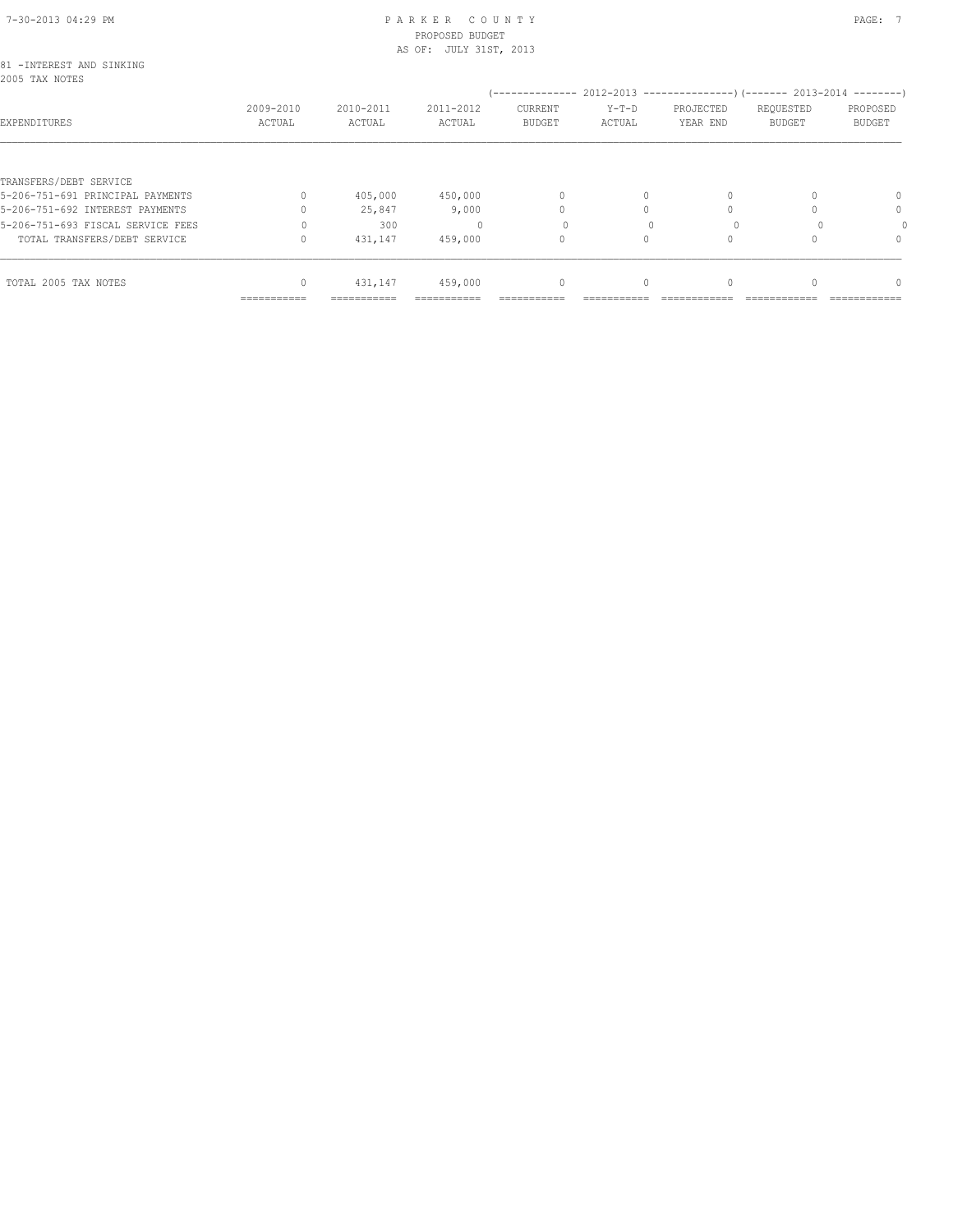#### 7-30-2013 04:29 PM P A R K E R C O U N T Y PAGE: 7 PROPOSED BUDGET AS OF: JULY 31ST, 2013

| 81 - INTEREST AND SINKING<br>2005 TAX NOTES |                     |                     |                     |                          |                                                                          |                       |                     |                           |
|---------------------------------------------|---------------------|---------------------|---------------------|--------------------------|--------------------------------------------------------------------------|-----------------------|---------------------|---------------------------|
|                                             |                     |                     |                     |                          | (-------------- 2012-2013 ----------------) (------- 2013-2014 --------) |                       |                     |                           |
| EXPENDITURES                                | 2009-2010<br>ACTUAL | 2010-2011<br>ACTUAL | 2011-2012<br>ACTUAL | CURRENT<br><b>BUDGET</b> | $Y-T-D$<br>ACTUAL                                                        | PROJECTED<br>YEAR END | REQUESTED<br>BUDGET | PROPOSED<br><b>BUDGET</b> |
|                                             |                     |                     |                     |                          |                                                                          |                       |                     |                           |
| TRANSFERS/DEBT SERVICE                      |                     |                     |                     |                          |                                                                          |                       |                     |                           |
| 5-206-751-691 PRINCIPAL PAYMENTS            |                     | 405,000             | 450,000             | 0                        | $\Omega$                                                                 |                       |                     | $\Omega$                  |
| 5-206-751-692 INTEREST PAYMENTS             |                     | 25,847              | 9,000               |                          |                                                                          |                       |                     | 0                         |
| 5-206-751-693 FISCAL SERVICE FEES           |                     | 300                 |                     |                          |                                                                          |                       |                     |                           |
| TOTAL TRANSFERS/DEBT SERVICE                |                     | 431,147             | 459,000             | 0                        | 0                                                                        |                       |                     | $\Omega$                  |
| TOTAL 2005 TAX NOTES                        | 0                   | 431,147             | 459,000             | $\mathbf{0}$             | $\circ$                                                                  |                       |                     | $\Omega$                  |
|                                             | ===========         | ===========         |                     |                          |                                                                          |                       |                     |                           |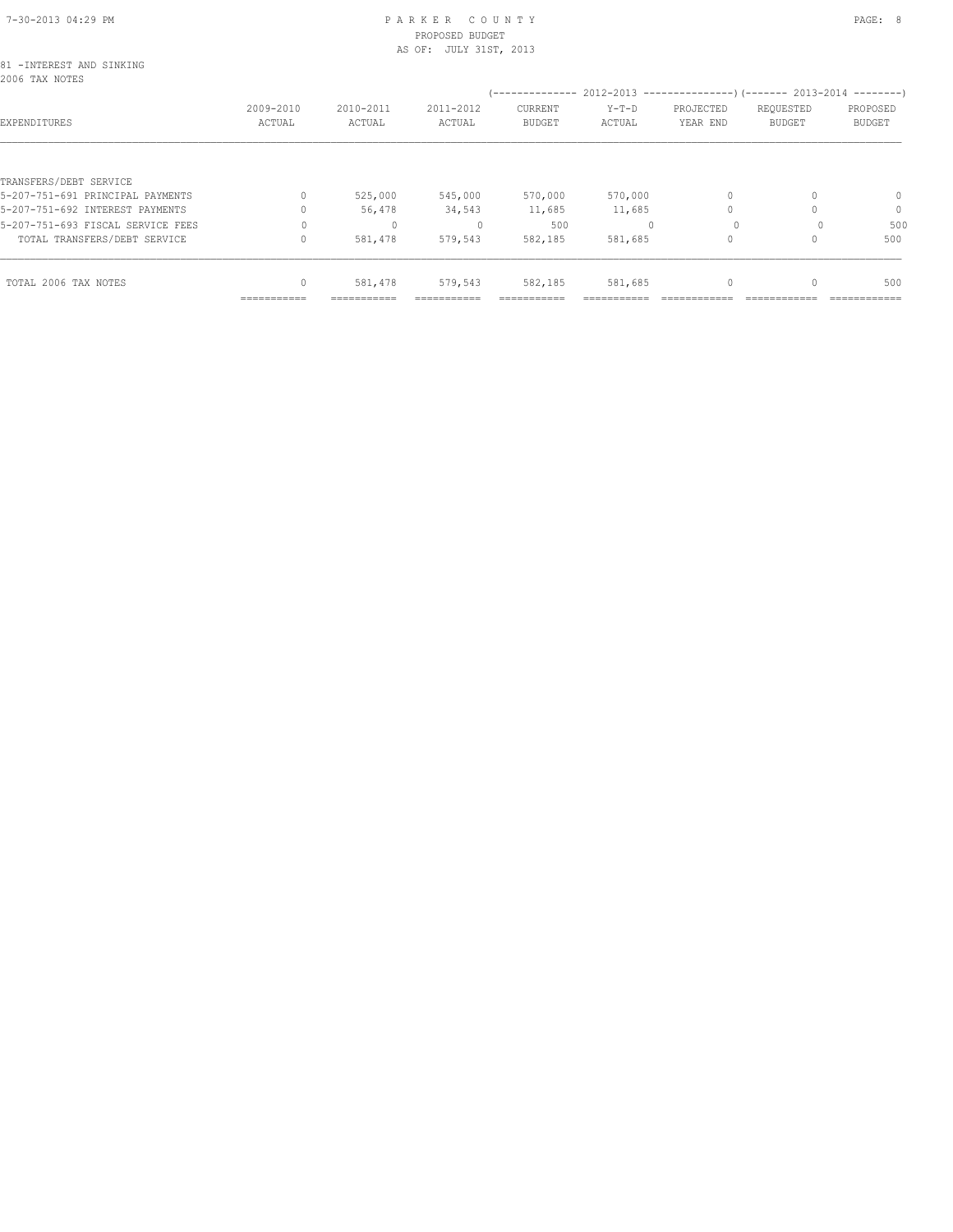# 7-30-2013 04:29 PM P A R K E R C O U N T Y PAGE: 8 PROPOSED BUDGET

|                                             |              |              | AS OF: JULY 31ST, 2013 |                                                                          |         |           |               |               |
|---------------------------------------------|--------------|--------------|------------------------|--------------------------------------------------------------------------|---------|-----------|---------------|---------------|
| 81 - INTEREST AND SINKING<br>2006 TAX NOTES |              |              |                        |                                                                          |         |           |               |               |
|                                             |              |              |                        | (-------------- 2012-2013 ----------------) (------- 2013-2014 --------) |         |           |               |               |
|                                             | 2009-2010    | 2010-2011    | 2011-2012              | CURRENT                                                                  | $Y-T-D$ | PROJECTED | REQUESTED     | PROPOSED      |
| EXPENDITURES                                | ACTUAL       | ACTUAL       | ACTUAL                 | <b>BUDGET</b>                                                            | ACTUAL  | YEAR END  | <b>BUDGET</b> | <b>BUDGET</b> |
|                                             |              |              |                        |                                                                          |         |           |               |               |
| TRANSFERS/DEBT SERVICE                      |              |              |                        |                                                                          |         |           |               |               |
| 5-207-751-691 PRINCIPAL PAYMENTS            |              | 525,000      | 545,000                | 570,000                                                                  | 570,000 |           |               | $\mathbf{0}$  |
| 5-207-751-692 INTEREST PAYMENTS             |              | 56,478       | 34,543                 | 11,685                                                                   | 11,685  |           |               | $\mathbf{0}$  |
| 5-207-751-693 FISCAL SERVICE FEES           | $\Omega$     | $\mathbf{0}$ |                        | 500                                                                      |         | $\Omega$  |               | 500           |
| TOTAL TRANSFERS/DEBT SERVICE                |              | 581,478      | 579,543                | 582,185                                                                  | 581,685 |           |               | 500           |
|                                             |              |              |                        |                                                                          |         |           |               |               |
| TOTAL 2006 TAX NOTES                        | $\mathbf{0}$ | 581,478      | 579,543                | 582,185                                                                  | 581,685 | 0         |               | 500           |
|                                             | ------------ |              |                        |                                                                          |         |           |               |               |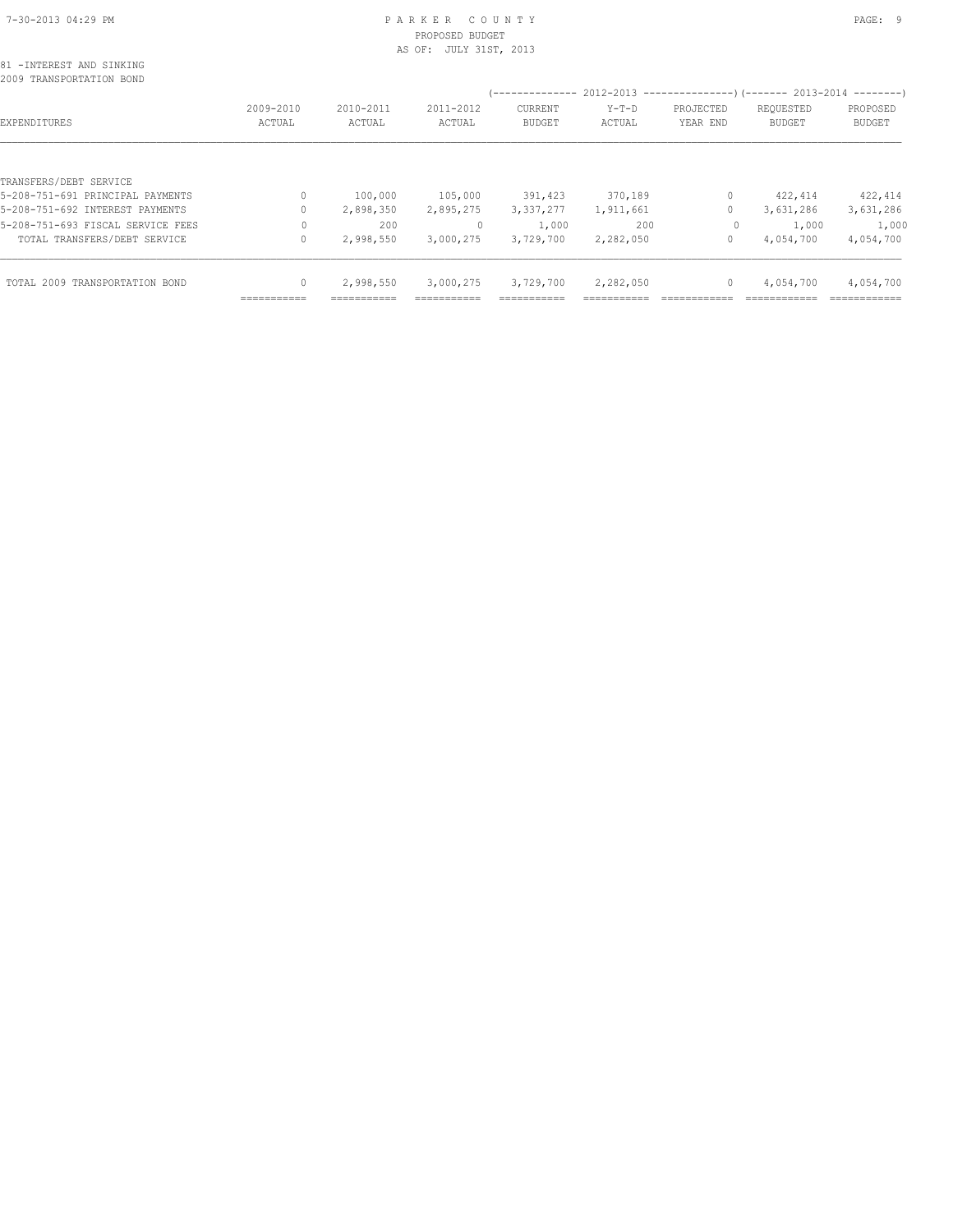#### 7-30-2013 04:29 PM P A R K E R C O U N T Y PAGE: 9 PROPOSED BUDGET AS OF: JULY 31ST, 2013

| 81 - INTEREST AND SINKING |  |  |
|---------------------------|--|--|
| 2009 TRANSPORTATION BOND  |  |  |

|                                   |                            |                            |                     | ---------------                 | 2012-2013         |                       | ----------------) (------- 2013-2014 | ---------                 |
|-----------------------------------|----------------------------|----------------------------|---------------------|---------------------------------|-------------------|-----------------------|--------------------------------------|---------------------------|
| EXPENDITURES                      | 2009-2010<br>ACTUAL        | 2010-2011<br>ACTUAL        | 2011-2012<br>ACTUAL | <b>CURRENT</b><br><b>BUDGET</b> | $Y-T-D$<br>ACTUAL | PROJECTED<br>YEAR END | REQUESTED<br><b>BUDGET</b>           | PROPOSED<br><b>BUDGET</b> |
|                                   |                            |                            |                     |                                 |                   |                       |                                      |                           |
| TRANSFERS/DEBT SERVICE            |                            |                            |                     |                                 |                   |                       |                                      |                           |
| 5-208-751-691 PRINCIPAL PAYMENTS  |                            | 100,000                    | 105,000             | 391,423                         | 370,189           | 0                     | 422, 414                             | 422,414                   |
| 5-208-751-692 INTEREST PAYMENTS   |                            | 2,898,350                  | 2,895,275           | 3,337,277                       | 1,911,661         | 0                     | 3,631,286                            | 3,631,286                 |
| 5-208-751-693 FISCAL SERVICE FEES |                            | 200                        | $\Omega$            | 1,000                           | 200               | $\circ$               | 1,000                                | 1,000                     |
| TOTAL TRANSFERS/DEBT SERVICE      |                            | 2,998,550                  | 3,000,275           | 3,729,700                       | 2,282,050         | 0                     | 4,054,700                            | 4,054,700                 |
|                                   |                            |                            |                     |                                 |                   |                       |                                      |                           |
| TOTAL 2009 TRANSPORTATION BOND    |                            | 2,998,550                  | 3,000,275           | 3,729,700                       | 2,282,050         | 0                     | 4,054,700                            | 4,054,700                 |
|                                   | -----------<br>----------- | -----------<br>----------- | ----------          | -----------<br>-----------      | ----------        |                       |                                      | ------------              |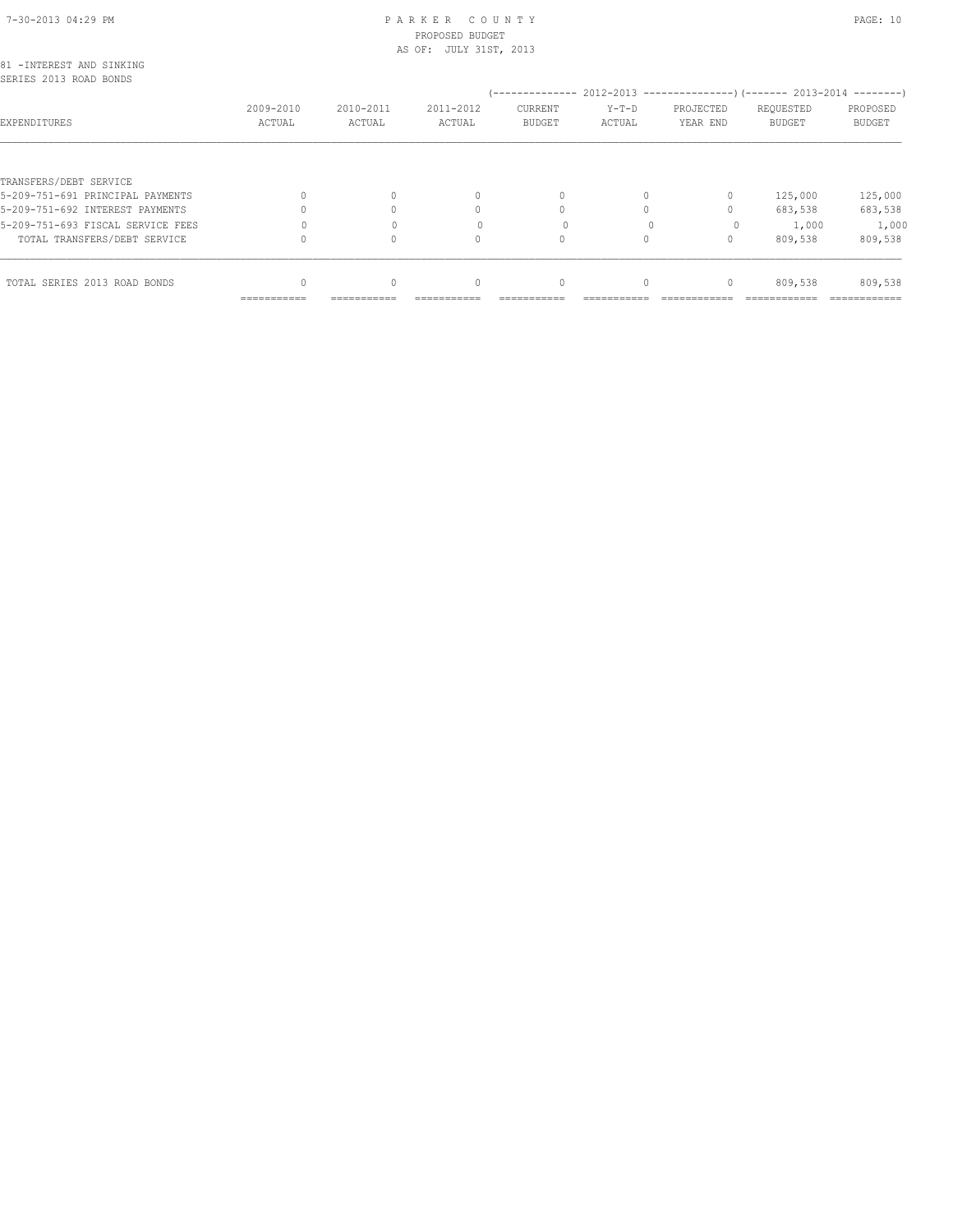# 7-30-2013 04:29 PM P A R K E R C O U N T Y PAGE: 10 PROPOSED BUDGET

|                                                     |           |           | AS OF: JULY 31ST, 2013 |                                                                       |          |                                  |               |               |
|-----------------------------------------------------|-----------|-----------|------------------------|-----------------------------------------------------------------------|----------|----------------------------------|---------------|---------------|
| 81 - INTEREST AND SINKING<br>SERIES 2013 ROAD BONDS |           |           |                        |                                                                       |          |                                  |               |               |
|                                                     |           |           |                        | (-------------- 2012-2013 ---------------------- 2013-2014 ---------- |          |                                  |               |               |
|                                                     | 2009-2010 | 2010-2011 | 2011-2012              | CURRENT                                                               | $Y-T-D$  | PROJECTED                        | REQUESTED     | PROPOSED      |
| EXPENDITURES                                        | ACTUAL    | ACTUAL    | ACTUAL                 | <b>BUDGET</b>                                                         | ACTUAL   | YEAR END                         | <b>BUDGET</b> | <b>BUDGET</b> |
|                                                     |           |           |                        |                                                                       |          |                                  |               |               |
| TRANSFERS/DEBT SERVICE                              |           |           |                        |                                                                       |          |                                  |               |               |
| 5-209-751-691 PRINCIPAL PAYMENTS                    |           | $\Omega$  | $\mathbf{0}$           | $\mathbf{0}$                                                          | $\Omega$ | 0                                | 125,000       | 125,000       |
| 5-209-751-692 INTEREST PAYMENTS                     |           |           | 0                      | $\Omega$                                                              | $\Omega$ | $\begin{array}{c} \n\end{array}$ | 683,538       | 683,538       |
| 5-209-751-693 FISCAL SERVICE FEES                   |           |           |                        | 0                                                                     |          | $\circ$                          | 1,000         | 1,000         |
| TOTAL TRANSFERS/DEBT SERVICE                        |           | $\Omega$  | 0                      | $\circ$                                                               | $\Omega$ | $\circ$                          | 809,538       | 809,538       |
|                                                     |           |           |                        |                                                                       |          |                                  |               |               |
| TOTAL SERIES 2013 ROAD BONDS                        |           | $\Omega$  | $\mathbf{0}$           | $\mathbf{0}$                                                          | $\circ$  | $\mathbf{0}$                     | 809,538       | 809,538       |
|                                                     |           |           |                        |                                                                       |          |                                  |               |               |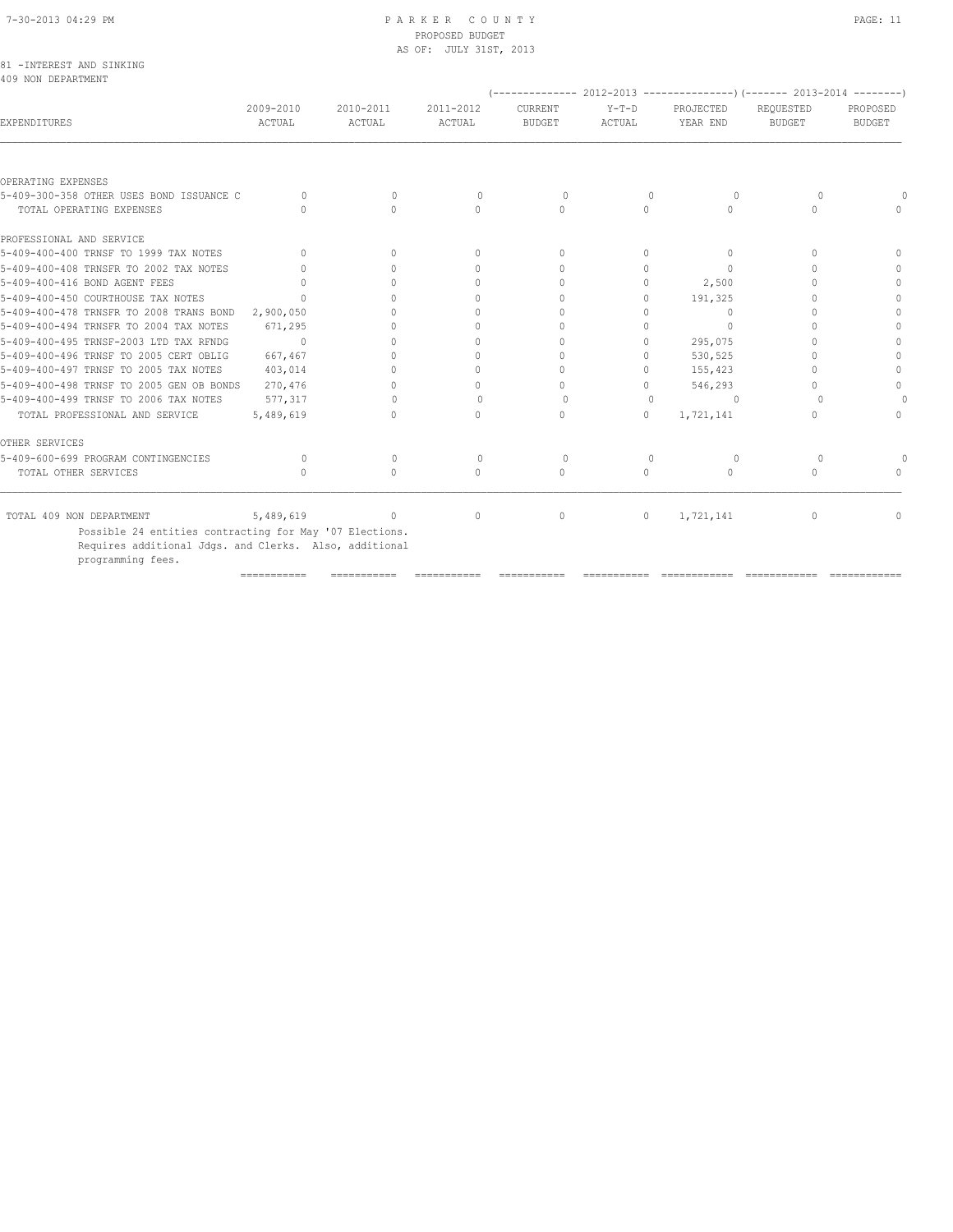|  |                    | 81 - INTEREST AND SINKING |
|--|--------------------|---------------------------|
|  | 409 NON DEPARTMENT |                           |

| $Y-T-D$<br>ACTUAL | CURRENT<br><b>BUDGET</b> | PROJECTED<br>YEAR END            | REQUESTED<br><b>BUDGET</b>       | PROPOSED<br><b>BUDGET</b> |
|-------------------|--------------------------|----------------------------------|----------------------------------|---------------------------|
|                   |                          |                                  |                                  |                           |
|                   |                          |                                  |                                  |                           |
| $\mathbf{0}$      | 0                        | $\circ$                          | $\Omega$                         |                           |
| $\Omega$          | $\Omega$                 | $\begin{array}{c} \n\end{array}$ | $\begin{array}{c} \n\end{array}$ | $\Omega$                  |
|                   |                          |                                  |                                  |                           |
| $\Omega$          | $\Omega$                 | $\Omega$                         | $\Omega$                         | $\bigcap$                 |
| $\Omega$          | $\Omega$                 | $\bigcap$                        | $\bigcap$                        |                           |
| $\Omega$          | 0                        | 2,500                            |                                  |                           |
| $\Omega$          | $\Omega$                 | 191,325                          |                                  |                           |
| Λ                 | $\bigcap$                | $\bigcap$                        |                                  |                           |
|                   | 0                        | $\bigcap$                        |                                  |                           |
| 0                 | $\Omega$                 | 295,075                          |                                  |                           |
| 0                 | $\Omega$                 | 530,525                          |                                  |                           |
| 0                 | 0                        | 155,423                          |                                  |                           |
| $\Omega$          | $\bigcap$                | 546,293                          |                                  | $\bigcap$                 |
| $\Omega$          | $\Omega$                 | $\Omega$                         | $\Omega$                         |                           |
| $\Omega$          | $\Omega$                 | 1,721,141                        | $\Omega$                         | $\Omega$                  |
|                   |                          |                                  |                                  |                           |
| $\mathbf{0}$      | 0                        | $\circ$                          | $\circ$                          |                           |
| 0                 | $\Omega$                 | $\cap$                           | $\begin{array}{c} \n\end{array}$ | $\cap$                    |
| $\circ$           | $\mathbf{0}$             | 1,721,141                        | $\mathbf{0}$                     | 0                         |
|                   |                          |                                  |                                  |                           |

=========== =========== =========== =========== =========== ============ ============ ============

programming fees.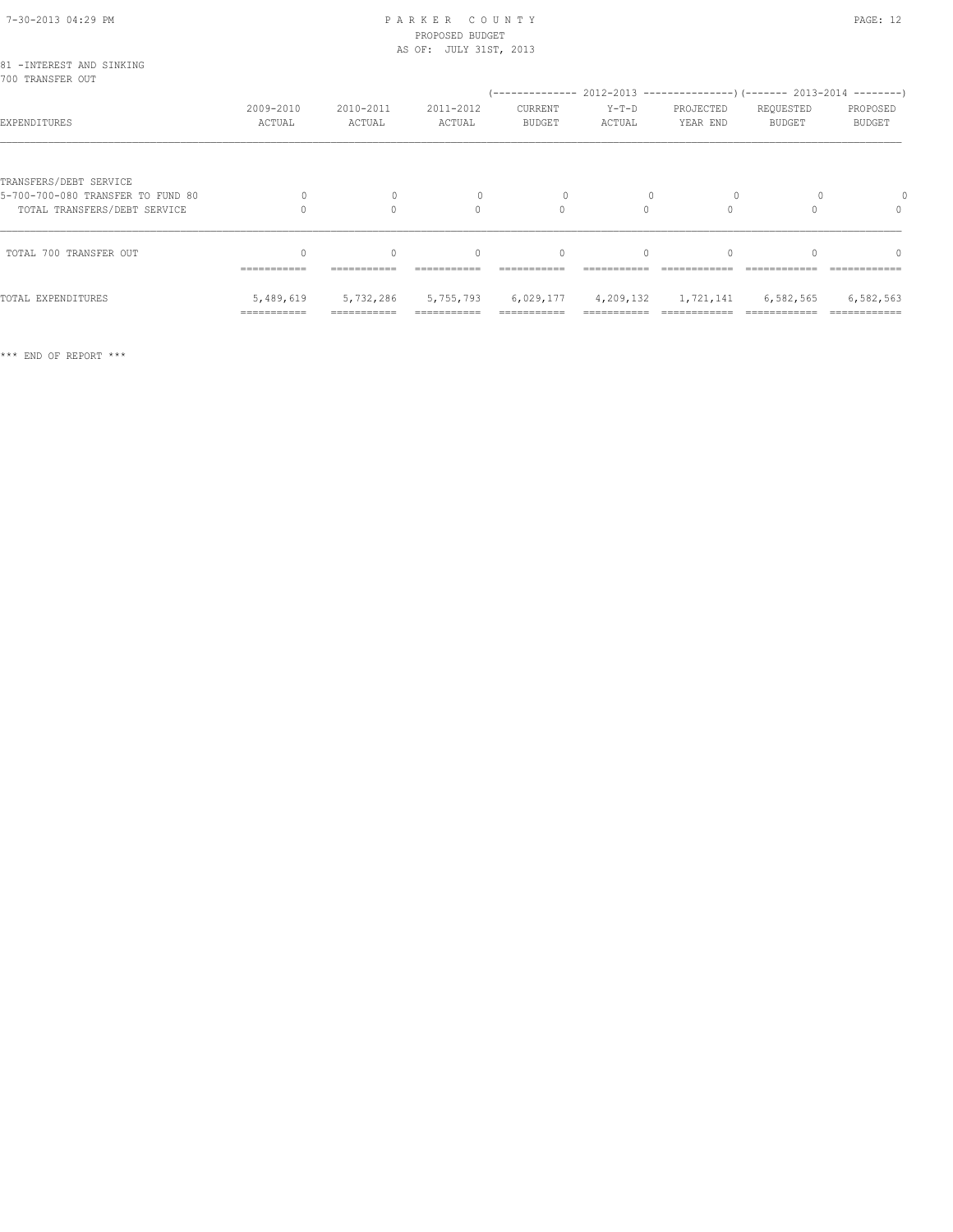#### 7-30-2013 04:29 PM P A R K E R C O U N T Y PROPOSED BUDGET AS OF: JULY 31ST, 2013

| w<br>۰, |  |
|---------|--|
|---------|--|

| 81 - INTEREST AND SINKING<br>700 TRANSFER OUT                                               |                                        |                          |                          |                          |                          |                                                                                                       |                     |                           |
|---------------------------------------------------------------------------------------------|----------------------------------------|--------------------------|--------------------------|--------------------------|--------------------------|-------------------------------------------------------------------------------------------------------|---------------------|---------------------------|
| EXPENDITURES                                                                                | 2009-2010<br>ACTUAL                    | 2010-2011<br>ACTUAL      | 2011-2012<br>ACTUAL      | CURRENT<br>BUDGET        | Y-T-D<br>ACTUAL          | (-------------- 2012-2013 -------------------) (------- 2013-2014 ---------)<br>PROJECTED<br>YEAR END | REQUESTED<br>BUDGET | PROPOSED<br><b>BUDGET</b> |
| TRANSFERS/DEBT SERVICE<br>5-700-700-080 TRANSFER TO FUND 80<br>TOTAL TRANSFERS/DEBT SERVICE | $\Omega$                               | $\Omega$<br>0            | $\Omega$                 | $\Omega$                 | $\mathbf{0}$<br>$\Omega$ | $\Omega$                                                                                              |                     | $\Omega$                  |
| TOTAL 700 TRANSFER OUT                                                                      | -----------                            | $\Omega$                 | $\Omega$                 |                          | $\Omega$                 |                                                                                                       | $\cap$              | $\cap$                    |
| TOTAL EXPENDITURES                                                                          | 5,489,619<br>$=$ = = = = = = = = = = = | 5,732,286<br>=========== | 5,755,793<br>=========== | 6,029,177<br>=========== |                          | 4,209,132 1,721,141                                                                                   | 6,582,565           | 6,582,563                 |

\*\*\* END OF REPORT \*\*\*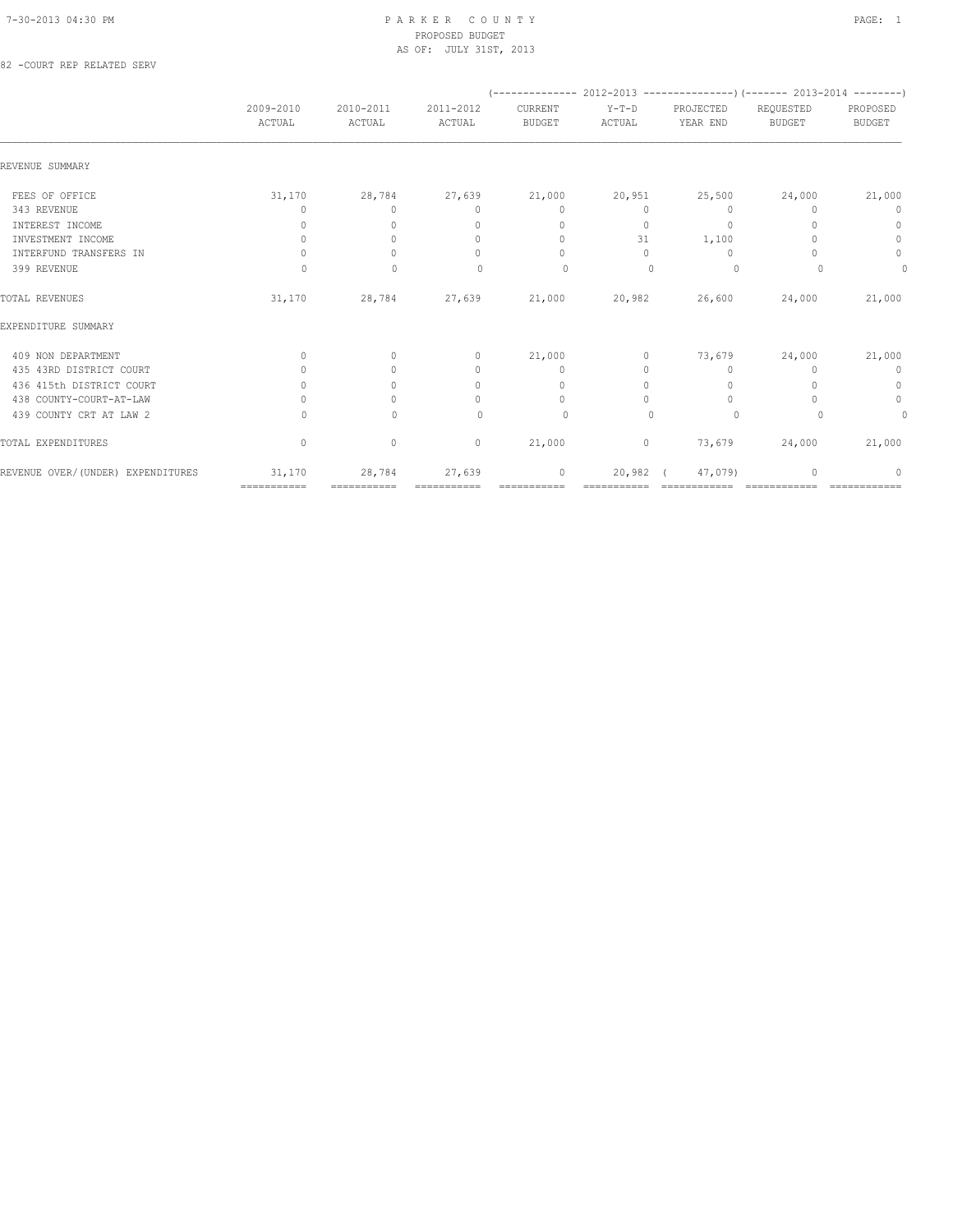#### 7-30-2013 04:30 PM P A R K E R C O U N T Y PAGE: 1 PROPOSED BUDGET AS OF: JULY 31ST, 2013

82 -COURT REP RELATED SERV

|                                    |                                  |                     |                                  |                                  |                   |                                  | $(---------- 2012-2013$ ----------------) (------- 2013-2014 --------) |                           |
|------------------------------------|----------------------------------|---------------------|----------------------------------|----------------------------------|-------------------|----------------------------------|------------------------------------------------------------------------|---------------------------|
|                                    | 2009-2010<br>ACTUAL              | 2010-2011<br>ACTUAL | 2011-2012<br>ACTUAL              | CURRENT<br><b>BUDGET</b>         | $Y-T-D$<br>ACTUAL | PROJECTED<br>YEAR END            | REQUESTED<br><b>BUDGET</b>                                             | PROPOSED<br><b>BUDGET</b> |
| REVENUE SUMMARY                    |                                  |                     |                                  |                                  |                   |                                  |                                                                        |                           |
| FEES OF OFFICE                     | 31,170                           | 28,784              | 27,639                           | 21,000                           | 20,951            | 25,500                           | 24,000                                                                 | 21,000                    |
| 343 REVENUE                        | 0                                | $\Omega$            | $\mathbf{0}$                     | $\mathbf{0}$                     | $\circ$           | $\mathbf{0}$                     | n                                                                      | 0                         |
| INTEREST INCOME                    | 0                                | $\Omega$            | $\mathbf{0}$                     | $\mathbf{0}$                     | $\circ$           | $\mathbf{0}$                     |                                                                        | $\mathbf{0}$              |
| INVESTMENT INCOME                  | $\mathbf{0}$                     | $\Omega$            | $\mathbf{0}$                     | $\mathbf{0}$                     | 31                | 1,100                            |                                                                        | $\mathbf{0}$              |
| INTERFUND TRANSFERS IN             | $\begin{array}{c} \n\end{array}$ | $\bigcap$           | $\begin{array}{c} \n\end{array}$ | $\begin{array}{c} \n\end{array}$ | $\Omega$          | $\Omega$                         |                                                                        | $\circ$                   |
| 399 REVENUE                        | 0                                | $\mathbf{0}$        | 0                                | $\circ$                          | $\mathbf{0}$      | $\circ$                          |                                                                        | 0                         |
| TOTAL REVENUES                     | 31,170                           | 28,784              | 27,639                           | 21,000                           | 20,982            | 26,600                           | 24,000                                                                 | 21,000                    |
| EXPENDITURE SUMMARY                |                                  |                     |                                  |                                  |                   |                                  |                                                                        |                           |
| 409 NON DEPARTMENT                 | $\mathbf{0}$                     | $\circ$             | $\mathbf{0}$                     | 21,000                           | $\circ$           | 73,679                           | 24,000                                                                 | 21,000                    |
| 435 43RD DISTRICT COURT            |                                  | $\bigcap$           | $\mathbf{0}$                     | $\mathbf{0}$                     | 0                 | $\mathbf{0}$                     | $\Omega$                                                               | $\mathbf 0$               |
| 436 415th DISTRICT COURT           | $\begin{array}{c} \n\end{array}$ | $\bigcap$           | $\begin{array}{c} \n\end{array}$ | $\begin{array}{c} \n\end{array}$ | $\Omega$          | $\begin{array}{c} \n\end{array}$ |                                                                        | $\mathbf 0$               |
| 438 COUNTY-COURT-AT-LAW            | 0                                | $\Omega$            | 0                                | $\circ$                          | 0                 | $\mathbf{0}$                     |                                                                        | $\circ$                   |
| 439 COUNTY CRT AT LAW 2            | $\Omega$                         | $\Omega$            | $\bigcap$                        | $\circ$                          | $\bigcap$         | $\circ$                          | $\Omega$                                                               | 0                         |
| TOTAL EXPENDITURES                 | $\mathbf{0}$                     | $\circ$             | $\circ$                          | 21,000                           | $\circ$           | 73,679                           | 24,000                                                                 | 21,000                    |
| REVENUE OVER/ (UNDER) EXPENDITURES | 31,170                           | 28,784              | 27,639                           | $\mathbf{0}$                     | 20,982            | 47,079)                          |                                                                        | 0                         |
|                                    | ============                     | ===========         |                                  | ===========                      |                   |                                  |                                                                        |                           |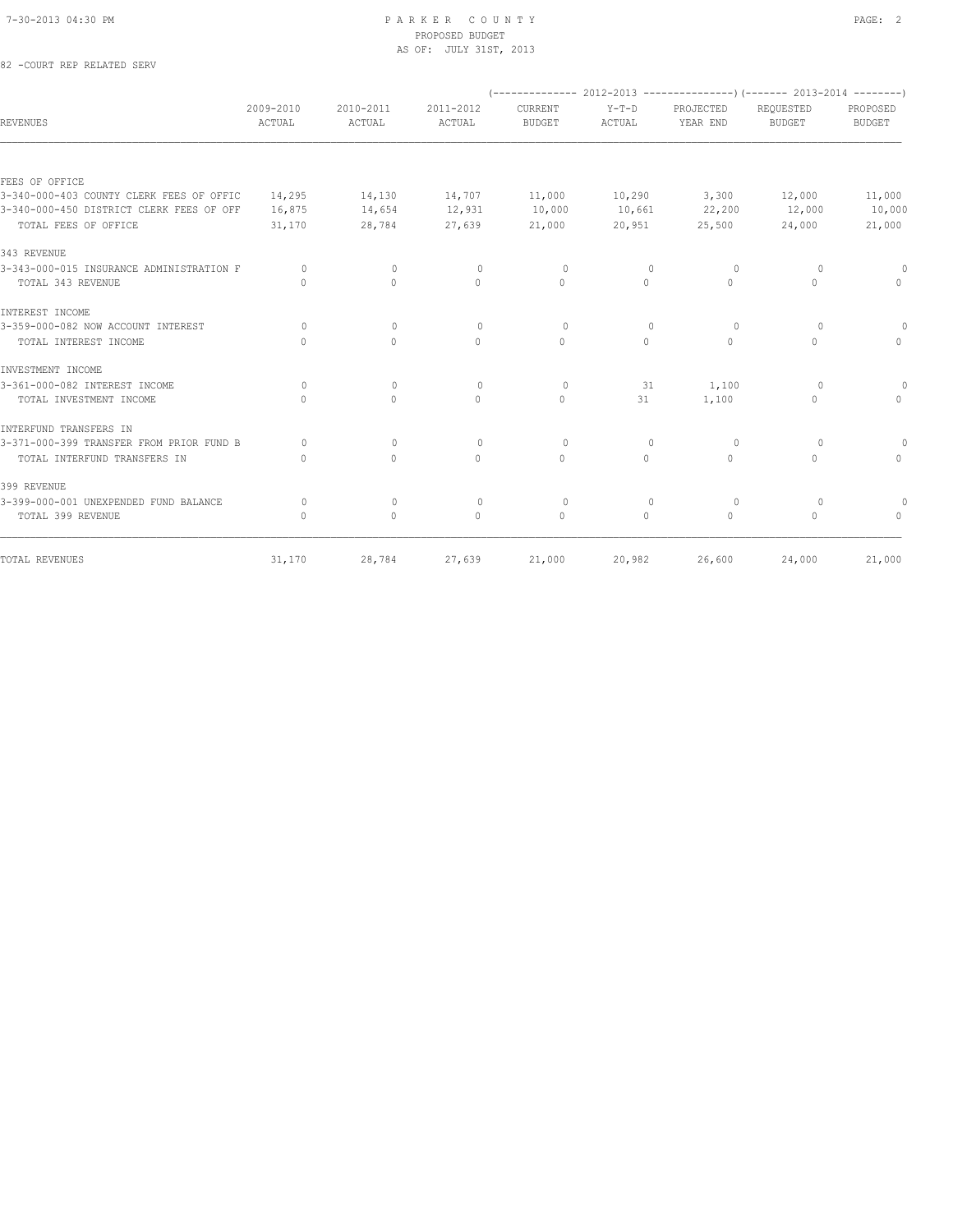# 7-30-2013 04:30 PM P A R K E R C O U N T Y PAGE: 2 PROPOSED BUDGET AS OF: JULY 31ST, 2013<br>
AS OF: JULY 31ST, 2013

|  | 82 -COURT REP RELATED SERV |  |
|--|----------------------------|--|
|  |                            |  |

|                                          |                                  |                                  |                     | $(-$ -------------- 2012-2013 -----------------) (------- 2013-2014 ---------) |                   |                                  |                            |                           |
|------------------------------------------|----------------------------------|----------------------------------|---------------------|--------------------------------------------------------------------------------|-------------------|----------------------------------|----------------------------|---------------------------|
| <b>REVENUES</b>                          | 2009-2010<br>ACTUAL              | 2010-2011<br>ACTUAL              | 2011-2012<br>ACTUAL | CURRENT<br><b>BUDGET</b>                                                       | $Y-T-D$<br>ACTUAL | PROJECTED<br>YEAR END            | REQUESTED<br><b>BUDGET</b> | PROPOSED<br><b>BUDGET</b> |
|                                          |                                  |                                  |                     |                                                                                |                   |                                  |                            |                           |
| FEES OF OFFICE                           |                                  |                                  |                     |                                                                                |                   |                                  |                            |                           |
| 3-340-000-403 COUNTY CLERK FEES OF OFFIC | 14,295                           | 14,130                           | 14,707              | 11,000                                                                         | 10,290            | 3,300                            | 12,000                     | 11,000                    |
| 3-340-000-450 DISTRICT CLERK FEES OF OFF | 16,875                           | 14,654                           | 12,931              | 10,000                                                                         | 10,661            | 22,200                           | 12,000                     | 10,000                    |
| TOTAL FEES OF OFFICE                     | 31,170                           | 28,784                           | 27,639              | 21,000                                                                         | 20,951            | 25,500                           | 24,000                     | 21,000                    |
| 343 REVENUE                              |                                  |                                  |                     |                                                                                |                   |                                  |                            |                           |
| 3-343-000-015 INSURANCE ADMINISTRATION F | $\Omega$                         | $\Omega$                         | $\circ$             | $\Omega$                                                                       | $\Omega$          | $\Omega$                         | $\Omega$                   |                           |
| TOTAL 343 REVENUE                        | $\cap$                           | $\Omega$                         | $\Omega$            | $\Omega$                                                                       | $\circ$           | $\Omega$                         | $\circ$                    | $\Omega$                  |
| INTEREST INCOME                          |                                  |                                  |                     |                                                                                |                   |                                  |                            |                           |
| 3-359-000-082 NOW ACCOUNT INTEREST       | $\bigcap$                        | $\circ$                          | $\Omega$            | $\Omega$                                                                       | $\Omega$          | $\Omega$                         | $\Omega$                   | 0                         |
| TOTAL INTEREST INCOME                    | $\begin{array}{c} \n\end{array}$ | $\Omega$                         | $\Omega$            | $\Omega$                                                                       | $\circ$           | $\circ$                          | $\circ$                    | $\Omega$                  |
| INVESTMENT INCOME                        |                                  |                                  |                     |                                                                                |                   |                                  |                            |                           |
| 3-361-000-082 INTEREST INCOME            | $\Omega$                         | $\circ$                          | $\mathbf{0}$        | $\circ$                                                                        | 31                | 1,100                            | $\Omega$                   |                           |
| TOTAL INVESTMENT INCOME                  | $\bigcap$                        | $\begin{array}{c} \n\end{array}$ | $\Omega$            | $\Omega$                                                                       | 31                | 1,100                            | $\circ$                    | $\Omega$                  |
| INTERFUND TRANSFERS IN                   |                                  |                                  |                     |                                                                                |                   |                                  |                            |                           |
| 3-371-000-399 TRANSFER FROM PRIOR FUND B | $\bigcap$                        | $\mathbf{0}$                     | $\mathbf{0}$        | $\circ$                                                                        | 0                 | 0                                | $\circ$                    | 0                         |
| TOTAL INTERFUND TRANSFERS IN             | $\begin{array}{c} \n\end{array}$ | $\Omega$                         | $\Omega$            | $\Omega$                                                                       | $\Omega$          | $\begin{array}{c} \n\end{array}$ | $\Omega$                   | $\Omega$                  |
| 399 REVENUE                              |                                  |                                  |                     |                                                                                |                   |                                  |                            |                           |
| 3-399-000-001 UNEXPENDED FUND BALANCE    | $\circ$                          | 0                                | $\circ$             | $\circ$                                                                        | 0                 | $\circ$                          | $\circ$                    |                           |
| TOTAL 399 REVENUE                        | $\bigcap$                        | $\mathbf{0}$                     | $\Omega$            | $\Omega$                                                                       | $\Omega$          | $\Omega$                         | $\Omega$                   | $\cap$                    |
| TOTAL REVENUES                           | 31,170                           | 28,784                           | 27,639              | 21,000                                                                         | 20,982            | 26,600                           | 24,000                     | 21,000                    |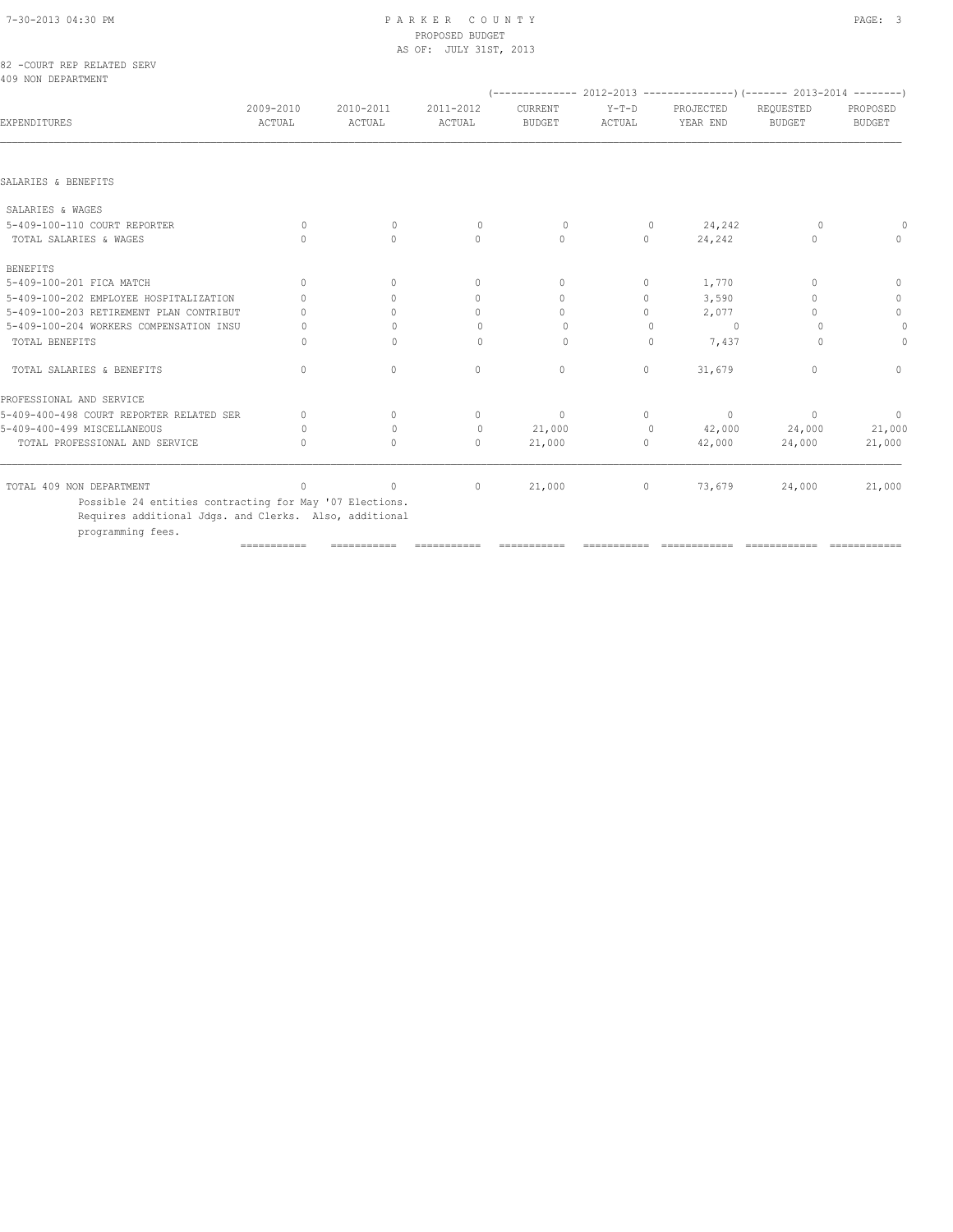|                                                  |                                  |                     | PROPOSED BUDGET        |                          |                 |                             |                            |                           |
|--------------------------------------------------|----------------------------------|---------------------|------------------------|--------------------------|-----------------|-----------------------------|----------------------------|---------------------------|
| 82 -COURT REP RELATED SERV<br>409 NON DEPARTMENT |                                  |                     | AS OF: JULY 31ST, 2013 |                          |                 |                             |                            |                           |
| <b>EXPENDITURES</b>                              | 2009-2010<br>ACTUAL              | 2010-2011<br>ACTUAL | 2011-2012<br>ACTUAL    | CURRENT<br><b>BUDGET</b> | Y-T-D<br>ACTUAL | PROJECTED<br>YEAR END       | REQUESTED<br><b>BUDGET</b> | PROPOSED<br><b>BUDGET</b> |
| SALARIES & BENEFITS                              |                                  |                     |                        |                          |                 |                             |                            |                           |
| SALARIES & WAGES                                 |                                  |                     |                        |                          |                 |                             |                            |                           |
| 5-409-100-110 COURT REPORTER                     | $\circ$                          | $\Omega$            | $\circ$                | $\circ$                  | $\overline{0}$  | 24,242                      | - 0                        | 0                         |
| TOTAL SALARIES & WAGES                           | $\Omega$                         | $\Omega$            | $\Omega$               | $\circ$                  | $\circ$         | 24,242                      | $\mathbf{0}$               | $\Omega$                  |
| <b>BENEFITS</b>                                  |                                  |                     |                        |                          |                 |                             |                            |                           |
| 5-409-100-201 FICA MATCH                         | $\Omega$                         | $\bigcap$           | $\circ$                | $\mathbf{0}$             | $\circ$         | 1,770                       | $\circ$                    | $\mathbf{0}$              |
| 5-409-100-202 EMPLOYEE HOSPITALIZATION           | $\Omega$                         | $\bigcap$           | $\Omega$               | $\Omega$                 | 0               | 3,590                       | $\mathbf{0}$               | $\mathbf{0}$              |
| 5-409-100-203 RETIREMENT PLAN CONTRIBUT          | $\bigcap$                        | $\bigcap$           | $\Omega$               | $\Omega$                 | $\Omega$        | 2,077                       | $\Omega$                   | $\circ$                   |
| 5-409-100-204 WORKERS COMPENSATION INSU          | $\circ$                          | $\Omega$            | $\mathbf{0}$           | $\circ$                  | $\Omega$        | $\overline{0}$              | $\Omega$                   | 0                         |
| TOTAL BENEFITS                                   | $\Omega$                         | $\bigcap$           | $\Omega$               | $\Omega$                 | $\Omega$        | 7,437                       | $\Omega$                   | $\Omega$                  |
| TOTAL SALARIES & BENEFITS                        | $\begin{array}{c} \n\end{array}$ | $\Omega$            | $\mathbf{0}$           | $\mathbf{0}$             | $\circ$         | 31,679                      | $\mathbf{0}$               | $\Omega$                  |
| PROFESSIONAL AND SERVICE                         |                                  |                     |                        |                          |                 |                             |                            |                           |
| 5-409-400-498 COURT REPORTER RELATED SER         | $\circ$                          | $\mathbf{0}$        | $\circ$                | $\overline{0}$           | $\overline{0}$  | $\sim$ 0                    | $\sim$ 0                   | $\circ$                   |
| 5-409-400-499 MISCELLANEOUS                      | $\circ$                          | $\Omega$            | $\mathbf{0}$           | 21,000                   | $\overline{0}$  | 42,000 24,000               |                            | 21,000                    |
| TOTAL PROFESSIONAL AND SERVICE                   | $\bigcap$                        | $\Omega$            | $\Omega$               | 21,000                   |                 | $0 \qquad \qquad$<br>42,000 | 24,000                     | 21,000                    |
| TOTAL 409 NON DEPARTMENT                         | $\circ$                          | $\circ$             | $\circ$                | 21,000                   |                 | $\overline{0}$<br>73,679    | 24,000                     | 21,000                    |

 Possible 24 entities contracting for May '07 Elections. Requires additional Jdgs. and Clerks. Also, additional

programming fees.

=========== =========== =========== =========== =========== ============ ============ ============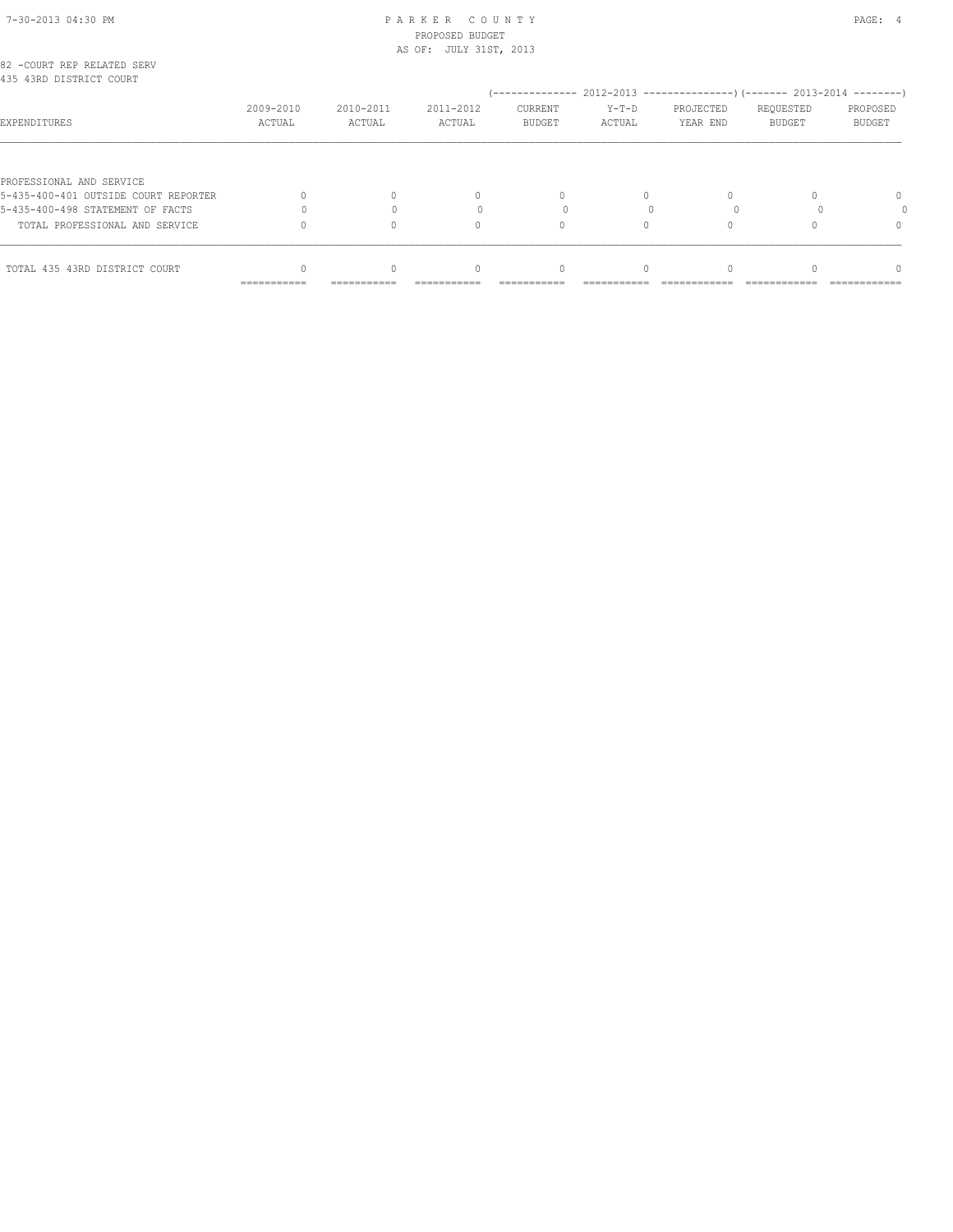# 7-30-2013 04:30 PM P A R K E R C O U N T Y PAGE: 4 PROPOSED BUDGET

|                                                       | AS OF: JULY 31ST, 2013 |                     |                                  |                          |                   |                       |                            |                    |
|-------------------------------------------------------|------------------------|---------------------|----------------------------------|--------------------------|-------------------|-----------------------|----------------------------|--------------------|
| 82 -COURT REP RELATED SERV<br>435 43RD DISTRICT COURT |                        |                     |                                  |                          |                   |                       |                            |                    |
| EXPENDITURES                                          | 2009-2010<br>ACTUAL    | 2010-2011<br>ACTUAL | 2011-2012<br>ACTUAL              | CURRENT<br><b>BUDGET</b> | $Y-T-D$<br>ACTUAL | PROJECTED<br>YEAR END | REQUESTED<br><b>BUDGET</b> | PROPOSED<br>BUDGET |
| PROFESSIONAL AND SERVICE                              |                        |                     |                                  |                          |                   |                       |                            |                    |
| 5-435-400-401 OUTSIDE COURT REPORTER                  |                        |                     | $\begin{array}{c} \n\end{array}$ | 0                        | $\Omega$          |                       |                            |                    |
| 5-435-400-498 STATEMENT OF FACTS                      |                        |                     |                                  |                          |                   |                       |                            |                    |
| TOTAL PROFESSIONAL AND SERVICE                        |                        |                     | 0                                | $\Omega$                 |                   |                       |                            |                    |
| TOTAL 435 43RD DISTRICT COURT                         |                        |                     | 0                                |                          |                   |                       |                            |                    |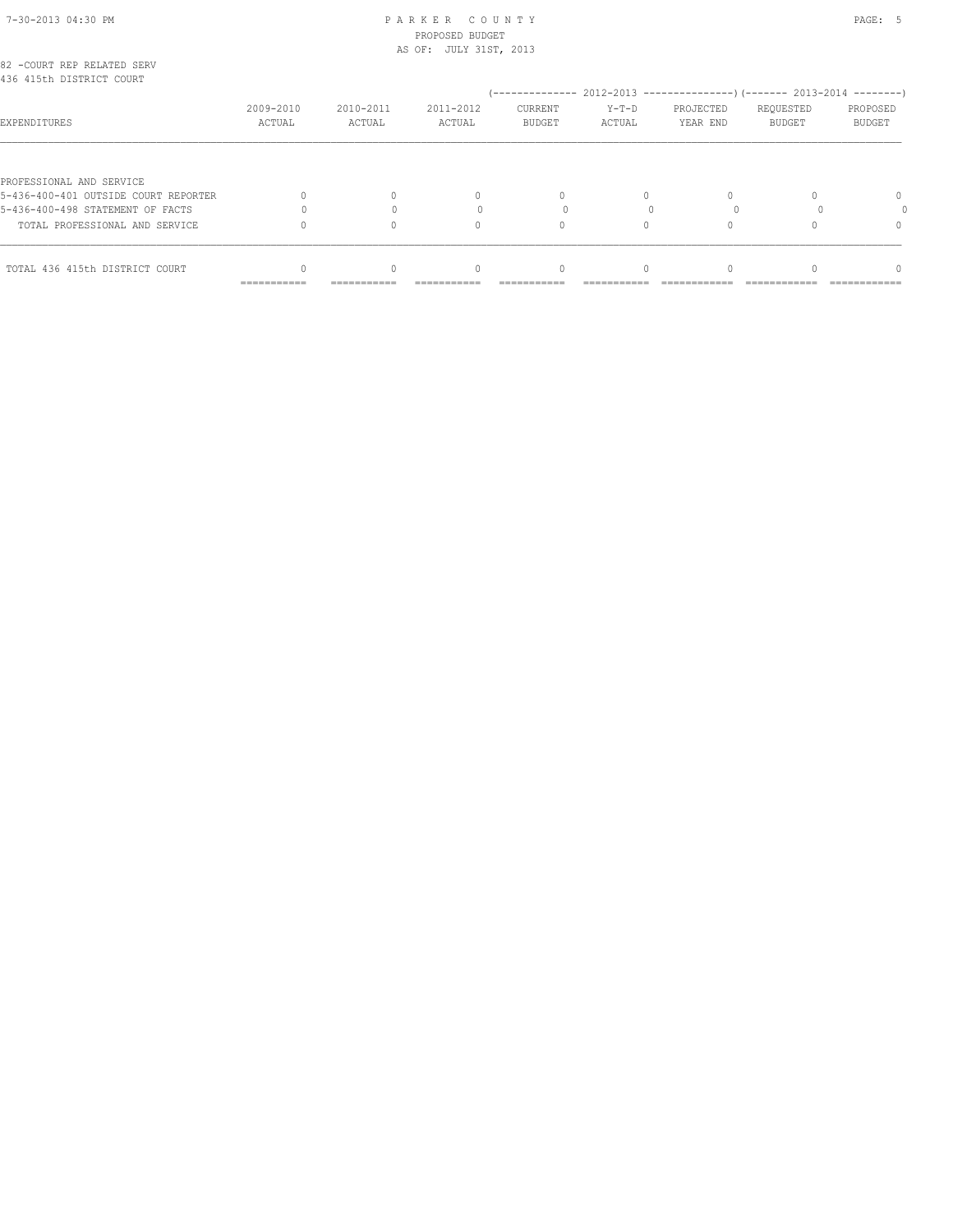# 7-30-2013 04:30 PM P A R K E R C O U N T Y PAGE: 5 PROPOSED BUDGET

| TOTAL 436 415th DISTRICT COURT                                   |                     |                     | $\Omega$                         |                          |                   |                                                                      |                            |                           |  |  |
|------------------------------------------------------------------|---------------------|---------------------|----------------------------------|--------------------------|-------------------|----------------------------------------------------------------------|----------------------------|---------------------------|--|--|
| TOTAL PROFESSIONAL AND SERVICE                                   |                     |                     | 0                                |                          |                   |                                                                      |                            | $\Omega$                  |  |  |
| 5-436-400-498 STATEMENT OF FACTS                                 |                     |                     |                                  |                          |                   |                                                                      |                            |                           |  |  |
| PROFESSIONAL AND SERVICE<br>5-436-400-401 OUTSIDE COURT REPORTER |                     |                     | $\begin{array}{c} \n\end{array}$ | $\Omega$                 | $\Omega$          |                                                                      |                            | $\Omega$                  |  |  |
| EXPENDITURES                                                     | 2009-2010<br>ACTUAL | 2010-2011<br>ACTUAL | 2011-2012<br>ACTUAL              | CURRENT<br><b>BUDGET</b> | $Y-T-D$<br>ACTUAL | PROJECTED<br>YEAR END                                                | REQUESTED<br><b>BUDGET</b> | PROPOSED<br><b>BUDGET</b> |  |  |
| 82 -COURT REP RELATED SERV<br>436 415th DISTRICT COURT           |                     |                     |                                  |                          |                   | (-------------- 2012-2013 --------------------- 2013-2014 ---------- |                            |                           |  |  |
|                                                                  |                     |                     | AS OF: JULY 31ST, 2013           |                          |                   |                                                                      |                            |                           |  |  |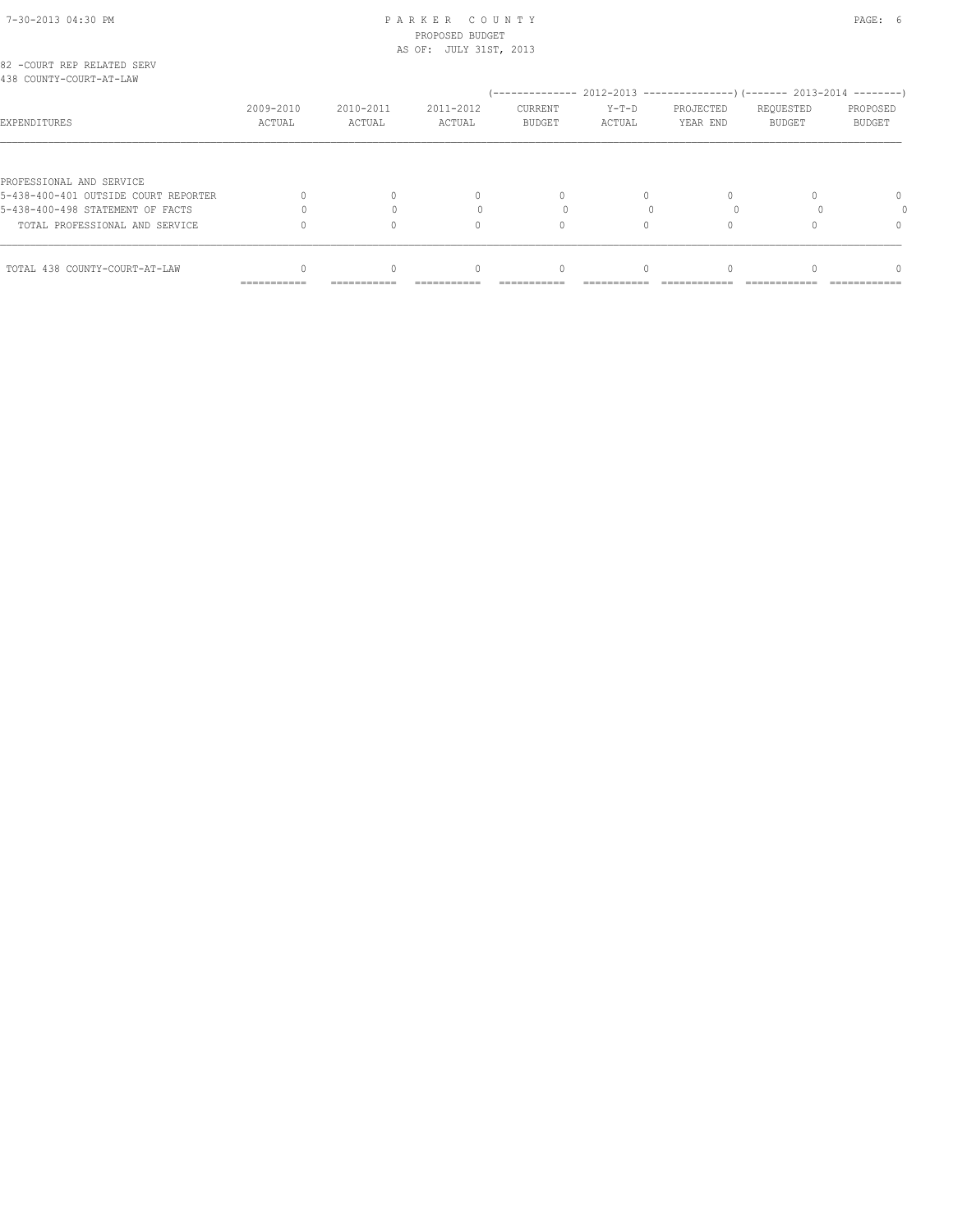# 7-30-2013 04:30 PM P A R K E R C O U N T Y PAGE: 6 PROPOSED BUDGET

|                                                       |                     |                     | AS OF: JULY 31ST, 2013           |                          |                   |                       |                            |                    |  |
|-------------------------------------------------------|---------------------|---------------------|----------------------------------|--------------------------|-------------------|-----------------------|----------------------------|--------------------|--|
| 82 -COURT REP RELATED SERV<br>438 COUNTY-COURT-AT-LAW |                     |                     |                                  |                          |                   |                       |                            |                    |  |
| EXPENDITURES                                          | 2009-2010<br>ACTUAL | 2010-2011<br>ACTUAL | 2011-2012<br>ACTUAL              | CURRENT<br><b>BUDGET</b> | $Y-T-D$<br>ACTUAL | PROJECTED<br>YEAR END | REQUESTED<br><b>BUDGET</b> | PROPOSED<br>BUDGET |  |
| PROFESSIONAL AND SERVICE                              |                     |                     |                                  |                          |                   |                       |                            |                    |  |
| 5-438-400-401 OUTSIDE COURT REPORTER                  |                     |                     | $\begin{array}{c} \n\end{array}$ | 0                        | $\Omega$          |                       |                            |                    |  |
| 5-438-400-498 STATEMENT OF FACTS                      |                     |                     |                                  |                          |                   |                       |                            |                    |  |
| TOTAL PROFESSIONAL AND SERVICE                        |                     |                     | 0                                | $\Omega$                 | 0                 |                       |                            |                    |  |
| TOTAL 438 COUNTY-COURT-AT-LAW                         |                     |                     | 0                                | 0                        |                   |                       |                            |                    |  |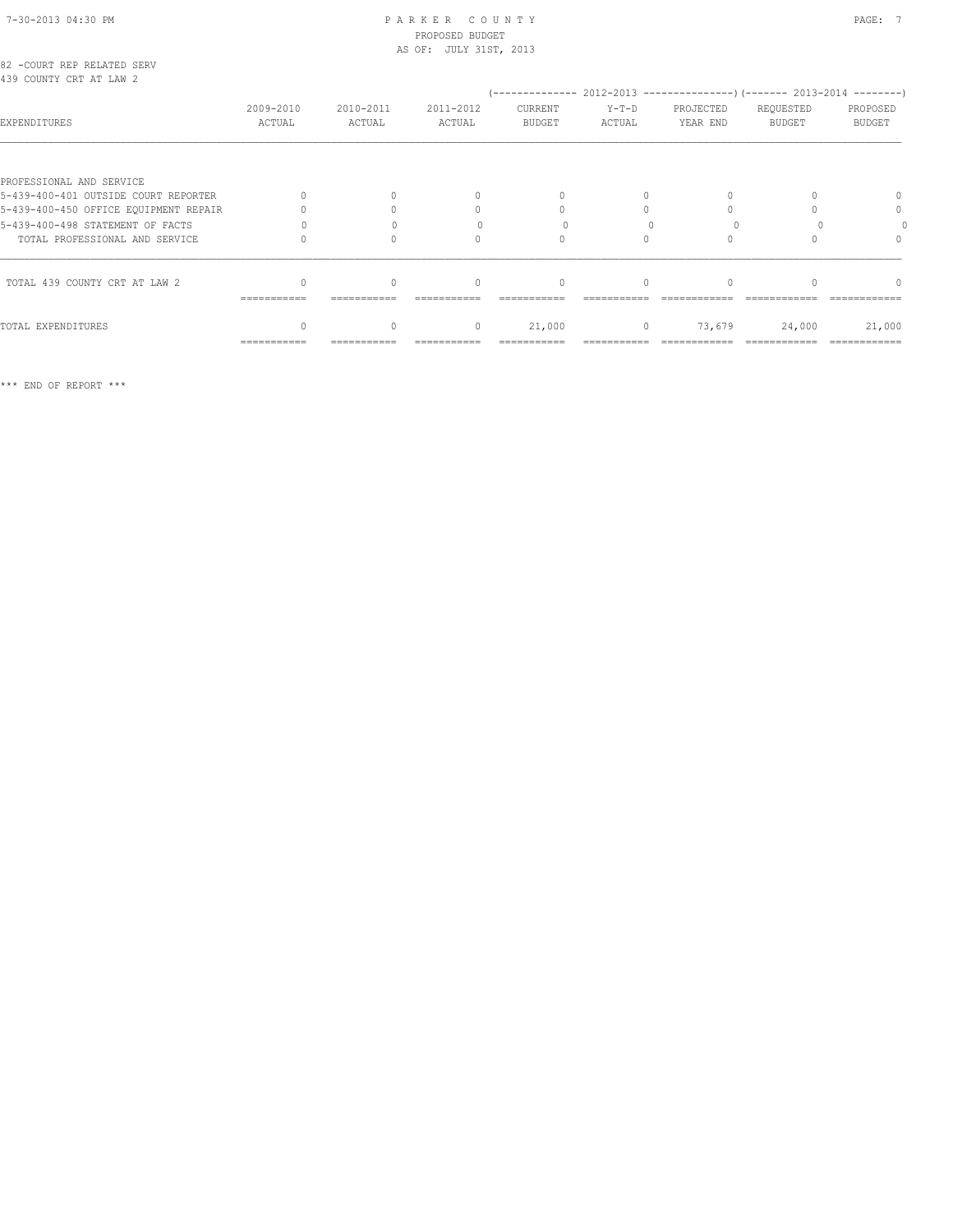| 82 -COURT REP RELATED SERV |  |  |
|----------------------------|--|--|
| 439 COUNTY CRT AT LAW 2    |  |  |

| RJY CUUNII CRI AI LAW Z               |                     |                     |                     |                          |                   |                       |                     |                    |
|---------------------------------------|---------------------|---------------------|---------------------|--------------------------|-------------------|-----------------------|---------------------|--------------------|
| EXPENDITURES                          | 2009-2010<br>ACTUAL | 2010-2011<br>ACTUAL | 2011-2012<br>ACTUAL | CURRENT<br><b>BUDGET</b> | $Y-T-D$<br>ACTUAL | PROJECTED<br>YEAR END | REQUESTED<br>BUDGET | PROPOSED<br>BUDGET |
|                                       |                     |                     |                     |                          |                   |                       |                     |                    |
| PROFESSIONAL AND SERVICE              |                     |                     |                     |                          |                   |                       |                     |                    |
| 5-439-400-401 OUTSIDE COURT REPORTER  |                     |                     |                     |                          |                   |                       |                     |                    |
| 5-439-400-450 OFFICE EQUIPMENT REPAIR |                     |                     |                     |                          |                   |                       |                     | 0                  |
| 5-439-400-498 STATEMENT OF FACTS      |                     |                     |                     |                          |                   |                       |                     |                    |
| TOTAL PROFESSIONAL AND SERVICE        |                     |                     |                     |                          |                   |                       |                     |                    |
| TOTAL 439 COUNTY CRT AT LAW 2         |                     |                     | $\bigcap$           |                          |                   |                       |                     |                    |
|                                       | ------------        |                     |                     |                          |                   |                       |                     |                    |
| TOTAL EXPENDITURES                    |                     |                     | $\mathbf{0}$        | 21,000                   | $\circ$           | 73,679                | 24,000              | 21,000             |
|                                       | ===========         |                     |                     |                          |                   |                       |                     |                    |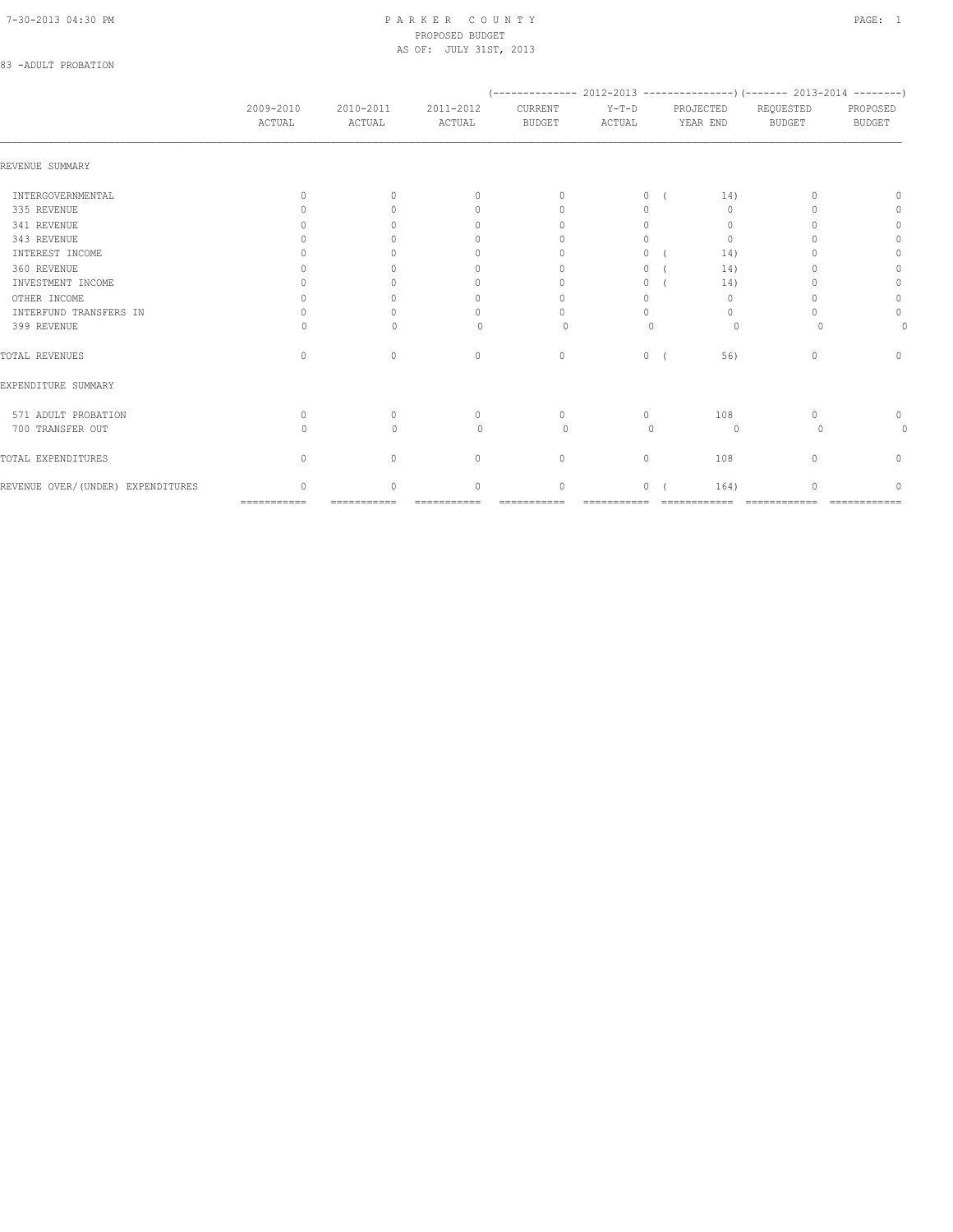# 83 -ADULT PROBATION

|                                    |                                  |                                  |                                  |                                  |                   |                       | (-------------- 2012-2013 ----------------) (------- 2013-2014 --------) |                           |
|------------------------------------|----------------------------------|----------------------------------|----------------------------------|----------------------------------|-------------------|-----------------------|--------------------------------------------------------------------------|---------------------------|
|                                    | 2009-2010<br>ACTUAL              | 2010-2011<br>ACTUAL              | 2011-2012<br>ACTUAL              | CURRENT<br><b>BUDGET</b>         | $Y-T-D$<br>ACTUAL | PROJECTED<br>YEAR END | REQUESTED<br><b>BUDGET</b>                                               | PROPOSED<br><b>BUDGET</b> |
| REVENUE SUMMARY                    |                                  |                                  |                                  |                                  |                   |                       |                                                                          |                           |
| INTERGOVERNMENTAL                  | $\Omega$                         | $\bigcap$                        | $\Omega$                         | $\Omega$                         | $\circ$           | 14)                   |                                                                          | n                         |
| 335 REVENUE                        |                                  | ∩                                | $\begin{array}{c} \n\end{array}$ | $\begin{array}{c} \n\end{array}$ | $\Omega$          | $\Omega$              |                                                                          | 0                         |
| 341 REVENUE                        |                                  |                                  | 0                                | $\Omega$                         | $\Omega$          | 0                     |                                                                          | 0                         |
| 343 REVENUE                        |                                  |                                  | n                                | $\cap$                           | $\Omega$          | $\mathbf{0}$          |                                                                          | $\mathbf{0}$              |
| INTEREST INCOME                    |                                  |                                  | 0                                |                                  | 0                 | 14)                   |                                                                          | $\Omega$                  |
| 360 REVENUE                        |                                  |                                  | 0                                | $\cap$                           | 0                 | 14)                   |                                                                          | $\Omega$                  |
| INVESTMENT INCOME                  |                                  |                                  | 0                                | $\Omega$                         | 0                 | 14)                   |                                                                          | 0                         |
| OTHER INCOME                       |                                  |                                  | $\Omega$                         | $\Omega$                         | $\Omega$          | $\mathbf{0}$          |                                                                          | $\circ$                   |
| INTERFUND TRANSFERS IN             |                                  |                                  | $\cap$                           | $\bigcap$                        | $\cap$            | $\Omega$              |                                                                          | $\mathbf{0}$              |
| 399 REVENUE                        |                                  | $\cap$                           | $\Omega$                         | $\Omega$                         | $\Omega$          | $\Omega$              |                                                                          |                           |
| TOTAL REVENUES                     | $\begin{array}{c} \n\end{array}$ | $\Omega$                         | $\mathbf{0}$                     | $\mathbf{0}$                     | $\circ$           | 56)                   | $\Omega$                                                                 | $\Omega$                  |
| EXPENDITURE SUMMARY                |                                  |                                  |                                  |                                  |                   |                       |                                                                          |                           |
| 571 ADULT PROBATION                | $\begin{array}{c} \n\end{array}$ | $\begin{array}{c} \n\end{array}$ | $\mathbf{0}$                     | $\Omega$                         | $\circ$           | 108                   | n                                                                        | 0                         |
| 700 TRANSFER OUT                   |                                  | $\Omega$                         | $\Omega$                         | $\Omega$                         | $\bigcap$         | $\circ$               | $\Omega$                                                                 | 0                         |
| TOTAL EXPENDITURES                 | $\begin{array}{c} \n\end{array}$ | $\begin{array}{c} \n\end{array}$ | $\mathbf{0}$                     | $\mathbf{0}$                     | $\circ$           | 108                   | $\Omega$                                                                 | 0                         |
| REVENUE OVER/ (UNDER) EXPENDITURES | $\cap$                           | $\Omega$                         | $\Omega$                         | $\circ$                          | 0                 | 164)                  |                                                                          | ∩                         |
|                                    | $=$ ===========                  | ===========                      | ===========                      | ===========                      | ===========       | ============          | =============                                                            | ============              |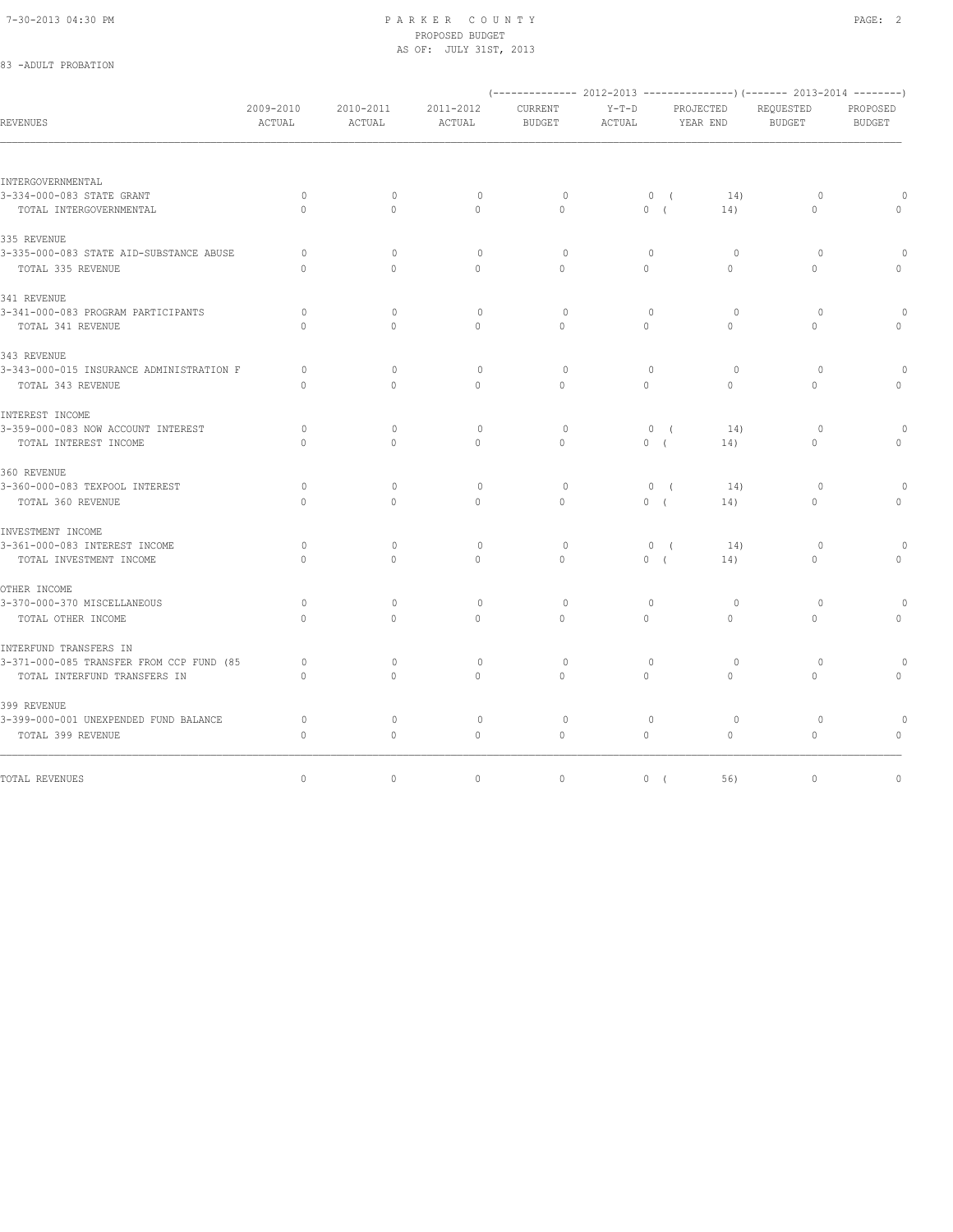83 -ADULT PROBATION

#### 7-30-2013 04:30 PM P A R K E R C O U N T Y PAGE: 2 PROPOSED BUDGET AS OF: JULY 31ST, 2013

|                                          |                     |                                  |                     | (-------------- 2012-2013 ----------------) (------- 2013-2014 --------) |                   |                       |              |                            |                    |
|------------------------------------------|---------------------|----------------------------------|---------------------|--------------------------------------------------------------------------|-------------------|-----------------------|--------------|----------------------------|--------------------|
| <b>REVENUES</b>                          | 2009-2010<br>ACTUAL | 2010-2011<br>ACTUAL              | 2011-2012<br>ACTUAL | CURRENT<br><b>BUDGET</b>                                                 | $Y-T-D$<br>ACTUAL | PROJECTED<br>YEAR END |              | REQUESTED<br><b>BUDGET</b> | PROPOSED<br>BUDGET |
|                                          |                     |                                  |                     |                                                                          |                   |                       |              |                            |                    |
| INTERGOVERNMENTAL                        |                     |                                  |                     |                                                                          |                   |                       |              |                            |                    |
| 3-334-000-083 STATE GRANT                | $\circ$             | $\circ$                          | $\mathbf{0}$        | $\circ$                                                                  |                   | 0(                    | 14)          | $\circ$                    |                    |
| TOTAL INTERGOVERNMENTAL                  | $\Omega$            | $\cap$                           | $\Omega$            | $\Omega$                                                                 | 0(                |                       | 14)          | $\Omega$                   |                    |
| 335 REVENUE                              |                     |                                  |                     |                                                                          |                   |                       |              |                            |                    |
| 3-335-000-083 STATE AID-SUBSTANCE ABUSE  | $\circ$             | $\mathbf{0}$                     | $\circ$             | $\circ$                                                                  | $\mathbf{0}$      |                       | $\circ$      | $\circ$                    |                    |
| TOTAL 335 REVENUE                        | $\Omega$            | $\Omega$                         | $\circ$             | $\Omega$                                                                 | $\circ$           |                       | $\Omega$     | $\circ$                    | $\mathbf{0}$       |
| 341 REVENUE                              |                     |                                  |                     |                                                                          |                   |                       |              |                            |                    |
| 3-341-000-083 PROGRAM PARTICIPANTS       | 0                   | $\circ$                          | $\mathbf{0}$        | $\circ$                                                                  | $\mathbf{0}$      |                       | $\circ$      | $\circ$                    |                    |
| TOTAL 341 REVENUE                        | $\Omega$            | $\Omega$                         | $\circ$             | $\Omega$                                                                 | $\Omega$          |                       | $\Omega$     | $\Omega$                   | $\Omega$           |
| 343 REVENUE                              |                     |                                  |                     |                                                                          |                   |                       |              |                            |                    |
| 3-343-000-015 INSURANCE ADMINISTRATION F | 0                   | $\begin{array}{c} \n\end{array}$ | $\mathbf 0$         | $\circ$                                                                  | 0                 |                       | $\circ$      | $\circ$                    |                    |
| TOTAL 343 REVENUE                        | $\mathbf{0}$        | $\circ$                          | $\circ$             | $\circ$                                                                  | $\circ$           |                       | $\mathbf{0}$ | $\circ$                    | $\Omega$           |
| INTEREST INCOME                          |                     |                                  |                     |                                                                          |                   |                       |              |                            |                    |
| 3-359-000-083 NOW ACCOUNT INTEREST       | $\circ$             | $\Omega$                         | $\circ$             | $\circ$                                                                  |                   | 0(                    | 14)          | $\Omega$                   |                    |
| TOTAL INTEREST INCOME                    | $\cap$              | $\Omega$                         | $\circ$             | $\Omega$                                                                 | 0(                |                       | 14)          | $\Omega$                   |                    |
| 360 REVENUE                              |                     |                                  |                     |                                                                          |                   |                       |              |                            |                    |
| 3-360-000-083 TEXPOOL INTEREST           | $\circ$             | $\Omega$                         | $\mathbf{0}$        | $\circ$                                                                  |                   | 0(                    | 14)          | $\circ$                    |                    |
| TOTAL 360 REVENUE                        | $\cap$              | $\bigcap$                        | $\circ$             | $\cap$                                                                   | 0(                |                       | 14)          | $\circ$                    |                    |
| INVESTMENT INCOME                        |                     |                                  |                     |                                                                          |                   |                       |              |                            |                    |
| 3-361-000-083 INTEREST INCOME            | $\circ$             | $\mathbf{0}$                     | $\circ$             | $\circ$                                                                  |                   | 0(                    | 14)          | $\circ$                    |                    |
| TOTAL INVESTMENT INCOME                  | $\Omega$            | $\Omega$                         | $\Omega$            | $\Omega$                                                                 | 0(                |                       | 14)          | $\circ$                    |                    |
| OTHER INCOME                             |                     |                                  |                     |                                                                          |                   |                       |              |                            |                    |
| 3-370-000-370 MISCELLANEOUS              | $\circ$             | $\Omega$                         | $\mathbf{0}$        | $\circ$                                                                  | $\mathbf{0}$      |                       | $\circ$      | $\circ$                    |                    |
| TOTAL OTHER INCOME                       | $\cap$              | $\cap$                           | $\Omega$            | $\Omega$                                                                 | $\Omega$          |                       | $\Omega$     | $\Omega$                   | $\Omega$           |
| INTERFUND TRANSFERS IN                   |                     |                                  |                     |                                                                          |                   |                       |              |                            |                    |
| 3-371-000-085 TRANSFER FROM CCP FUND (85 | $\circ$             | $\mathbf{0}$                     | $\mathbf 0$         | $\circ$                                                                  | $\mathbf{0}$      |                       | $\circ$      | $\circ$                    |                    |
| TOTAL INTERFUND TRANSFERS IN             | $\Omega$            | $\Omega$                         | $\circ$             | $\Omega$                                                                 | $\circ$           |                       | $\circ$      | $\mathbf{0}$               |                    |
| 399 REVENUE                              |                     |                                  |                     |                                                                          |                   |                       |              |                            |                    |
| 3-399-000-001 UNEXPENDED FUND BALANCE    | $\circ$             | $\mathbf{0}$                     | $\mathbf{0}$        | $\circ$                                                                  | $\mathbf{0}$      |                       | $\circ$      | $\circ$                    |                    |
| TOTAL 399 REVENUE                        | $\Omega$            | $\circ$                          | $\circ$             | $\circ$                                                                  | $\circ$           |                       | $\circ$      | $\circ$                    |                    |
|                                          |                     |                                  |                     |                                                                          |                   |                       |              |                            |                    |
| TOTAL REVENUES                           | $\circ$             | $\circ$                          | $\circ$             | $\mathbf{0}$                                                             | $0 \left($        |                       | 56)          | $\mathbf{0}$               | $\circ$            |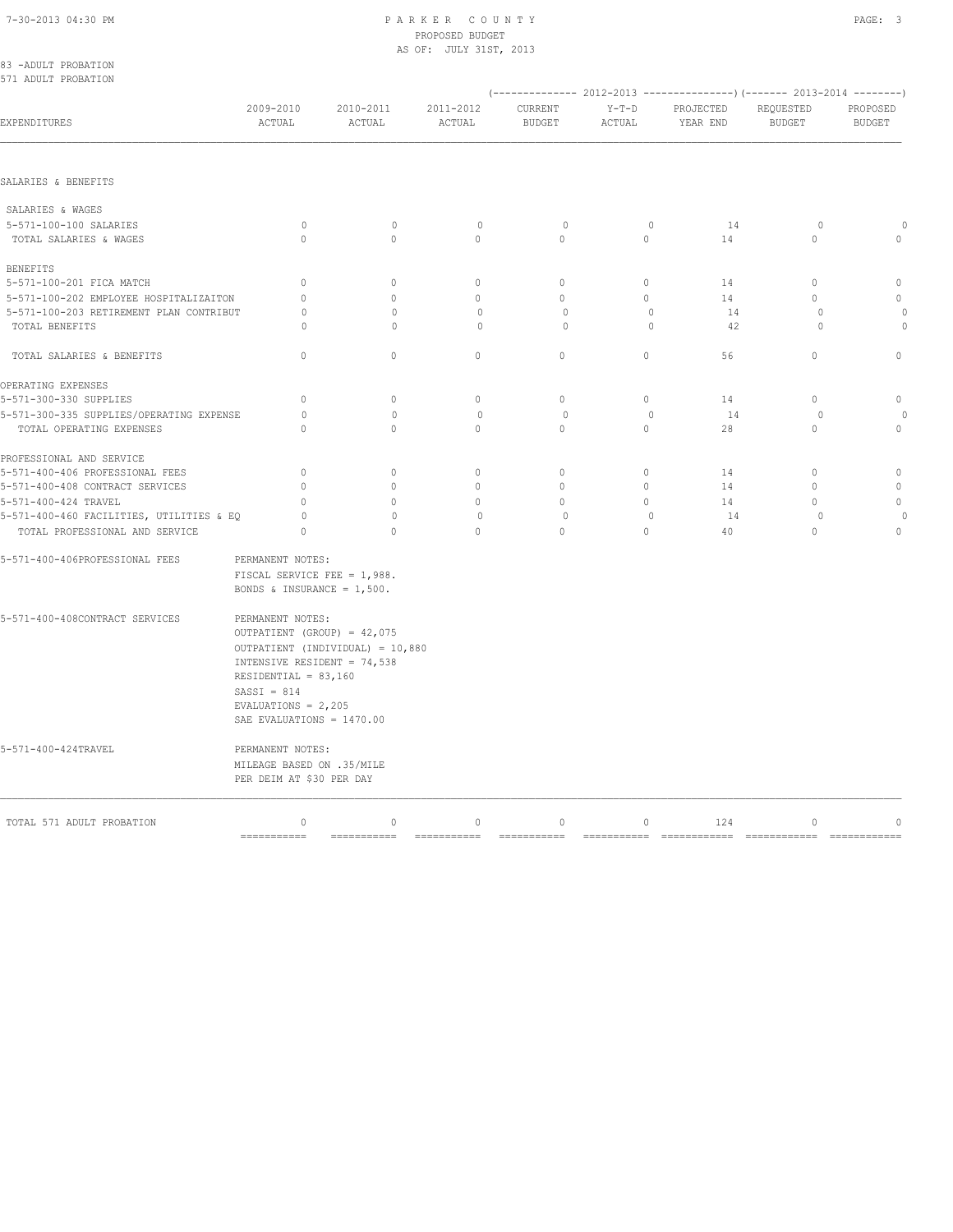| 83 -ADULT PROBATION<br>571 ADULT PROBATION |                                                                                                                                                                                   |                                  |                            |                                          |                        |                       |                                                                                                        |                             |
|--------------------------------------------|-----------------------------------------------------------------------------------------------------------------------------------------------------------------------------------|----------------------------------|----------------------------|------------------------------------------|------------------------|-----------------------|--------------------------------------------------------------------------------------------------------|-----------------------------|
| EXPENDITURES                               | 2009-2010<br>ACTUAL                                                                                                                                                               | 2010-2011<br>$\verb ACTUAL $     | 2011-2012<br>ACTUAL        | CURRENT<br><b>BUDGET</b>                 | $Y-T-D$<br>ACTUAL      | PROJECTED<br>YEAR END | (-------------- 2012-2013 ----------------) (------- 2013-2014 --------)<br>REQUESTED<br><b>BUDGET</b> | PROPOSED<br><b>BUDGET</b>   |
|                                            |                                                                                                                                                                                   |                                  |                            |                                          |                        |                       |                                                                                                        |                             |
| SALARIES & BENEFITS                        |                                                                                                                                                                                   |                                  |                            |                                          |                        |                       |                                                                                                        |                             |
| SALARIES & WAGES                           |                                                                                                                                                                                   |                                  |                            |                                          |                        |                       |                                                                                                        |                             |
| 5-571-100-100 SALARIES                     | $\circ$                                                                                                                                                                           | $\mathbf{0}$                     | $\mathbb O$                | $\circ$                                  | $\mathbf{0}$           | 14                    | $\circ$                                                                                                | $\cap$                      |
| TOTAL SALARIES & WAGES                     | $\Omega$                                                                                                                                                                          | $\Omega$                         | $\Omega$                   | $\Omega$                                 | $\Omega$               | 14                    | $\Omega$                                                                                               | $\Omega$                    |
| BENEFITS                                   |                                                                                                                                                                                   |                                  |                            |                                          |                        |                       |                                                                                                        |                             |
| 5-571-100-201 FICA MATCH                   | $\Omega$                                                                                                                                                                          | $\Omega$                         | $\Omega$                   | $\Omega$                                 | $\Omega$               | 14                    | $\Omega$                                                                                               | $\Omega$                    |
| 5-571-100-202 EMPLOYEE HOSPITALIZAITON     | $\Omega$                                                                                                                                                                          | $\Omega$                         | $\Omega$                   | $\Omega$                                 | $\Omega$               | 14                    | $\Omega$                                                                                               | $\Omega$                    |
| 5-571-100-203 RETIREMENT PLAN CONTRIBUT    | 0                                                                                                                                                                                 | $\Omega$                         | $\circ$                    | $\circ$                                  | $\mathbf{0}$           | 14                    | $\circ$                                                                                                |                             |
| TOTAL BENEFITS                             | O                                                                                                                                                                                 | $\circ$                          | $\circ$                    | $\circ$                                  | $\mathbf{0}$           | 42                    | $\circ$                                                                                                | $\circ$                     |
| TOTAL SALARIES & BENEFITS                  | $\Omega$                                                                                                                                                                          | $\Omega$                         | $\Omega$                   | $\Omega$                                 | $\Omega$               | 56                    | $\Omega$                                                                                               | $\Omega$                    |
| OPERATING EXPENSES                         |                                                                                                                                                                                   |                                  |                            |                                          |                        |                       |                                                                                                        |                             |
| 5-571-300-330 SUPPLIES                     | $\circ$                                                                                                                                                                           | $\circ$                          | $\circ$                    | $\mathbf{0}$                             | $\circ$                | 14                    | $\circ$                                                                                                | $\circ$                     |
| 5-571-300-335 SUPPLIES/OPERATING EXPENSE   | $\circ$                                                                                                                                                                           | $\mathbf{0}$                     | $\circ$                    | 0                                        | $\mathbf{0}$           | 14                    | $\circ$                                                                                                |                             |
| TOTAL OPERATING EXPENSES                   | $\Omega$                                                                                                                                                                          | $\Omega$                         | $\Omega$                   | $\circ$                                  | $\circ$                | 28                    | $\circ$                                                                                                | $\circ$                     |
| PROFESSIONAL AND SERVICE                   |                                                                                                                                                                                   |                                  |                            |                                          |                        |                       |                                                                                                        |                             |
| 5-571-400-406 PROFESSIONAL FEES            | $\mathbf{0}$                                                                                                                                                                      | $\mathbf{0}$                     | $\mathbf{0}$               | $\circ$                                  | $\circ$                | 14                    | $\mathbf{0}$                                                                                           | $\mathbf{0}$                |
| 5-571-400-408 CONTRACT SERVICES            | $\mathbf{0}$                                                                                                                                                                      | $\circ$                          | $\mathbf{0}$               | $\circ$                                  | $\circ$                | 14                    | $\mathbf{0}$                                                                                           | $\mathbf{0}$                |
| 5-571-400-424 TRAVEL                       | $\Omega$                                                                                                                                                                          | $\Omega$                         | $\Omega$                   | $\Omega$                                 | $\Omega$               | 14                    | $\Omega$                                                                                               | $\Omega$                    |
| 5-571-400-460 FACILITIES, UTILITIES & EQ   | 0                                                                                                                                                                                 | $\Omega$                         | $\Omega$                   | $\Omega$                                 | $\Omega$               | 14                    | $\circ$                                                                                                | $\circ$                     |
| TOTAL PROFESSIONAL AND SERVICE             | $\Omega$                                                                                                                                                                          | $\Omega$                         | $\Omega$                   | $\Omega$                                 | $\Omega$               | 40                    | $\Omega$                                                                                               | $\Omega$                    |
| 5-571-400-406PROFESSIONAL FEES             | PERMANENT NOTES:<br>FISCAL SERVICE FEE = 1,988.<br>BONDS & INSURANCE = $1,500$ .                                                                                                  |                                  |                            |                                          |                        |                       |                                                                                                        |                             |
| 5-571-400-408CONTRACT SERVICES             | PERMANENT NOTES:<br>OUTPATIENT (GROUP) = 42,075<br>INTENSIVE RESIDENT = 74,538<br>RESIDENTIAL = $83,160$<br>$SASSI = 814$<br>EVALUATIONS = $2,205$<br>SAE EVALUATIONS = $1470.00$ | OUTPATIENT (INDIVIDUAL) = 10,880 |                            |                                          |                        |                       |                                                                                                        |                             |
| 5-571-400-424TRAVEL                        | PERMANENT NOTES:<br>MILEAGE BASED ON .35/MILE<br>PER DEIM AT \$30 PER DAY                                                                                                         |                                  |                            |                                          |                        |                       |                                                                                                        |                             |
| TOTAL 571 ADULT PROBATION                  | $\circ$<br>$=$ ===========                                                                                                                                                        | $\circ$<br>===========           | $\mathbb O$<br>=========== | $\mathbb O$<br>$=$ = = = = = = = = = = = | $\circ$<br>=========== | 124<br>============   | $\mathbf 0$<br>$=$ ============                                                                        | $\mathbf 0$<br>============ |
|                                            |                                                                                                                                                                                   |                                  |                            |                                          |                        |                       |                                                                                                        |                             |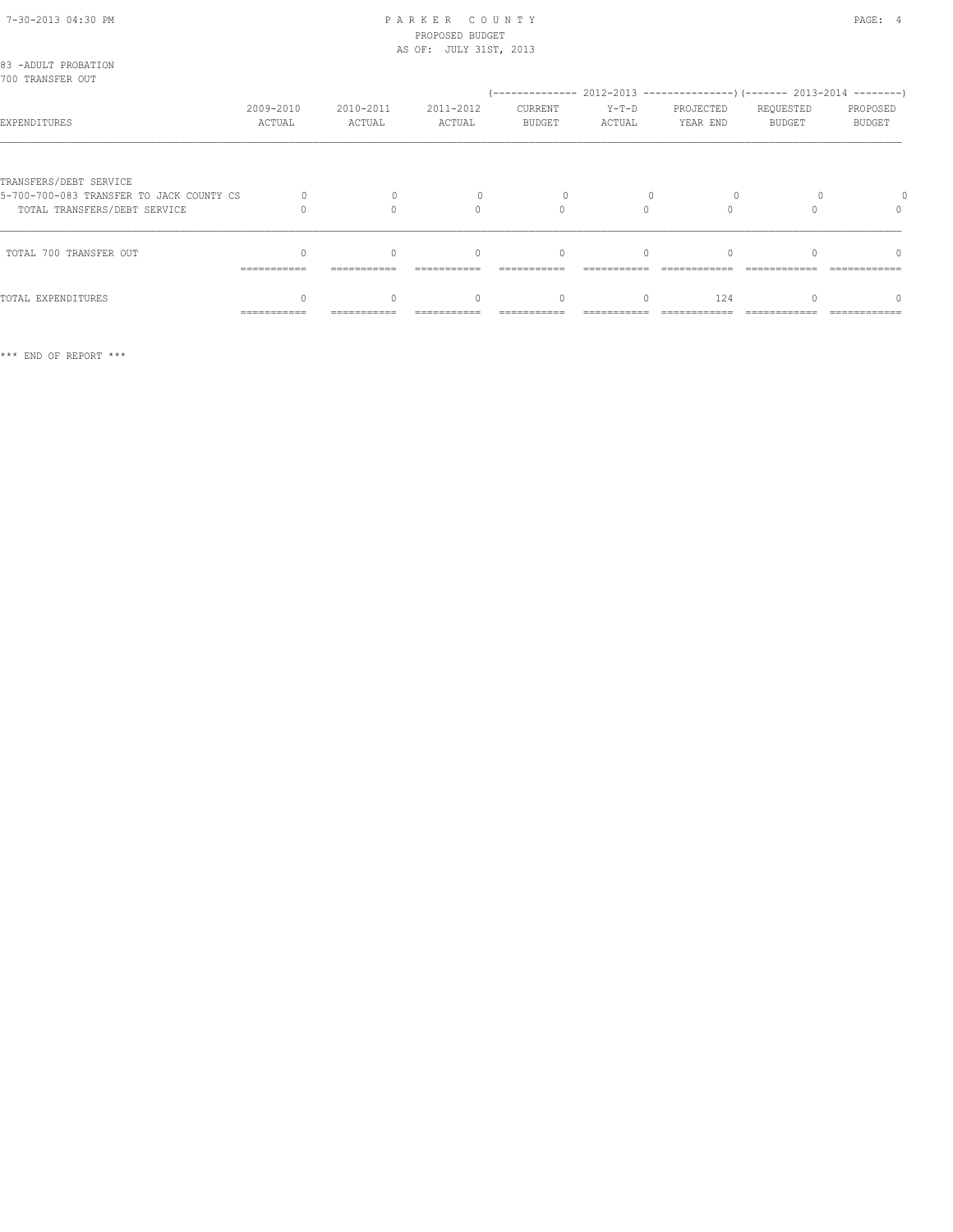| 83 -ADULT PROBATION<br>700 TRANSFER OUT                                                            |                     |                     |                          |                          |                   |                       |                            |                                                                                                     |
|----------------------------------------------------------------------------------------------------|---------------------|---------------------|--------------------------|--------------------------|-------------------|-----------------------|----------------------------|-----------------------------------------------------------------------------------------------------|
| EXPENDITURES                                                                                       | 2009-2010<br>ACTUAL | 2010-2011<br>ACTUAL | 2011-2012<br>ACTUAL      | CURRENT<br><b>BUDGET</b> | $Y-T-D$<br>ACTUAL | PROJECTED<br>YEAR END | REQUESTED<br><b>BUDGET</b> | (-------------- 2012-2013 --------------------- 2013-2014 ---------- )<br>PROPOSED<br><b>BUDGET</b> |
| TRANSFERS/DEBT SERVICE<br>5-700-700-083 TRANSFER TO JACK COUNTY CS<br>TOTAL TRANSFERS/DEBT SERVICE |                     |                     | $\cap$                   | O                        |                   |                       |                            | $\cap$                                                                                              |
| TOTAL 700 TRANSFER OUT                                                                             | ===========         | ===========         | $\bigcap$<br>=========== | $\Omega$<br>===========  | $\Omega$          |                       |                            | $\Omega$<br>============                                                                            |
| TOTAL EXPENDITURES                                                                                 | ===========         |                     | $\Omega$                 | $\Omega$                 |                   | 124                   |                            |                                                                                                     |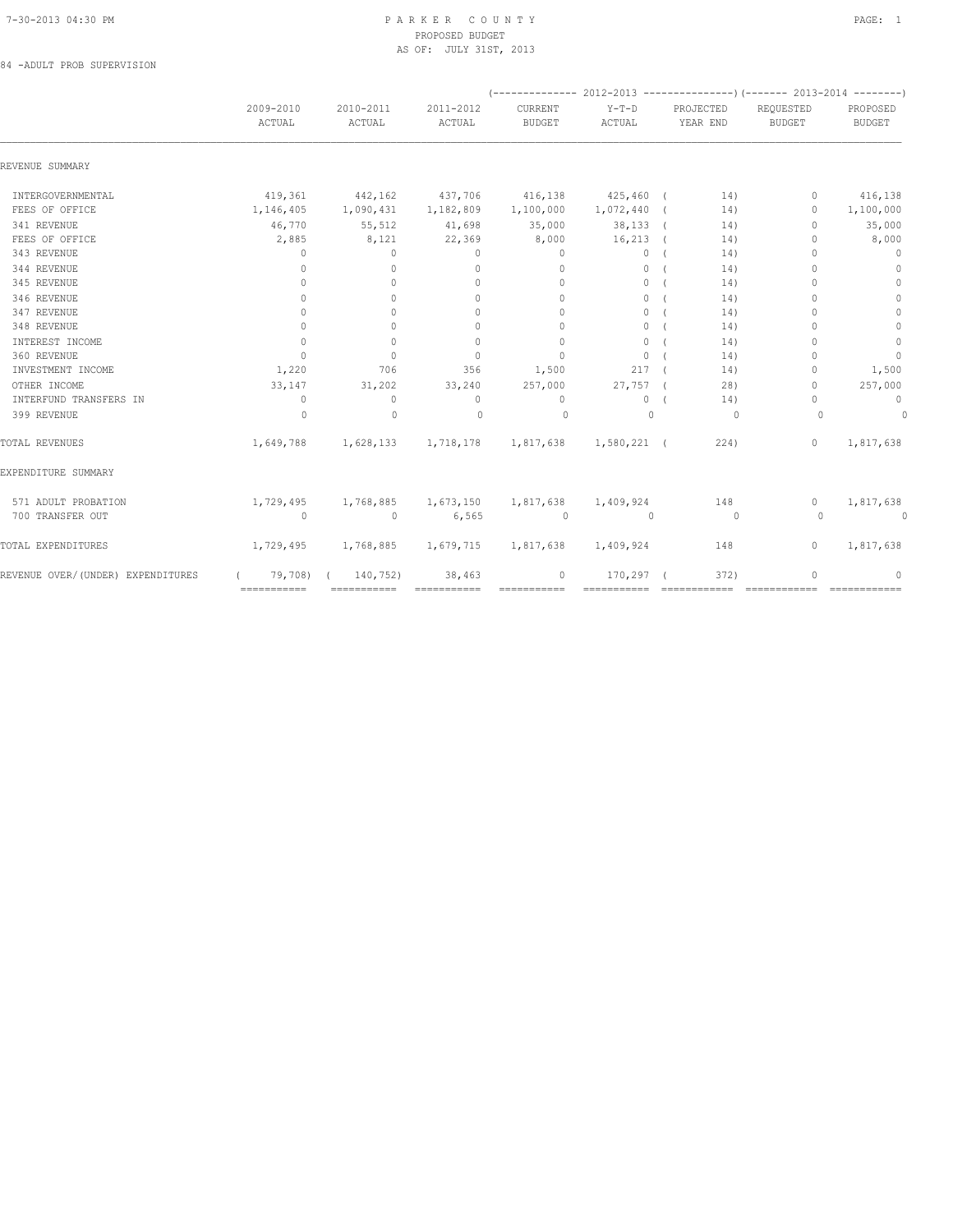84 -ADULT PROB SUPERVISION

| 2009-2010<br>ACTUAL              | 2010-2011<br>ACTUAL | 2011-2012<br>ACTUAL              | CURRENT<br><b>BUDGET</b>         | $Y-T-D$<br>ACTUAL | PROJECTED<br>YEAR END |                                                                       | REQUESTED<br><b>BUDGET</b>       | PROPOSED<br><b>BUDGET</b> |
|----------------------------------|---------------------|----------------------------------|----------------------------------|-------------------|-----------------------|-----------------------------------------------------------------------|----------------------------------|---------------------------|
|                                  |                     |                                  |                                  |                   |                       |                                                                       |                                  |                           |
|                                  |                     |                                  |                                  |                   |                       |                                                                       |                                  |                           |
| 419,361                          | 442,162             | 437,706                          | 416,138                          |                   |                       | 14)                                                                   | $\mathbf{0}$                     | 416,138                   |
| 1,146,405                        | 1,090,431           | 1,182,809                        | 1,100,000                        |                   |                       | 14)                                                                   | $\Omega$                         | 1,100,000                 |
| 46,770                           | 55,512              | 41,698                           | 35,000                           |                   |                       | 14)                                                                   | $\begin{array}{c} \n\end{array}$ | 35,000                    |
| 2,885                            | 8,121               | 22,369                           | 8,000                            | 16,213            |                       | 14)                                                                   | $\mathbf{0}$                     | 8,000                     |
| $\mathbf{0}$                     | $\circ$             | $\mathbf{0}$                     | $\circ$                          | $\circ$           |                       | 14)                                                                   | $\mathbf{0}$                     | $\mathbf{0}$              |
| $\circ$                          | $\mathbf{0}$        | $\mathbf{0}$                     | $\mathbf{0}$                     | $\circ$           |                       | 14)                                                                   | $\Omega$                         | $\mathbf{0}$              |
| $\begin{array}{c} \n\end{array}$ | $\Omega$            | $\begin{array}{c} \n\end{array}$ | $\mathbf{0}$                     | $\circ$           |                       | 14)                                                                   | $\Omega$                         | $\mathbf{0}$              |
| $\mathbf{0}$                     | $\Omega$            | $\mathbf{0}$                     | $\mathbf{0}$                     | $\circ$           |                       | 14)                                                                   | $\Omega$                         | $\circ$                   |
| $\mathbf{0}$                     | $\Omega$            | $\Omega$                         | $\Omega$                         | $\circ$           |                       | 14)                                                                   | $\bigcap$                        | $\circ$                   |
| $\mathbf{0}$                     | $\Omega$            | $\begin{array}{c} \n\end{array}$ | $\begin{array}{c} \n\end{array}$ | $\circ$           |                       | 14)                                                                   | $\Omega$                         | $\mathbb O$               |
| $\mathbf{0}$                     | $\mathbf{0}$        | $\mathbf{0}$                     | $\mathbf{0}$                     | $\circ$           |                       | 14)                                                                   | 0                                | $\mathbb O$               |
| $\mathbf{0}$                     | $\circ$             | $\mathbf{0}$                     | $\mathbf{0}$                     | $\circ$           |                       | 14)                                                                   | $\mathbf{0}$                     | $\mathbf{0}$              |
| 1,220                            | 706                 | 356                              | 1,500                            | 217               |                       | 14)                                                                   | $\mathbf{0}$                     | 1,500                     |
| 33,147                           | 31,202              | 33,240                           | 257,000                          |                   |                       | 28)                                                                   | $\mathbf{0}$                     | 257,000                   |
| $\mathbf{0}$                     | $\circ$             | $\mathbf{0}$                     | $\mathbf{0}$                     | $\circ$           |                       | 14)                                                                   | $\Omega$                         | $\mathbf 0$               |
| $\Omega$                         | $\mathbf{0}$        | $\Omega$                         | $\circ$                          | $\Omega$          |                       | $\Omega$                                                              | $\Omega$                         | $\circ$                   |
| 1,649,788                        | 1,628,133           | 1,718,178                        | 1,817,638                        |                   |                       |                                                                       | $\Omega$                         | 1,817,638                 |
|                                  |                     |                                  |                                  |                   |                       |                                                                       |                                  |                           |
| 1,729,495                        | 1,768,885           | 1,673,150                        | 1,817,638                        | 1,409,924         |                       |                                                                       | $\Omega$                         | 1,817,638                 |
| $\circ$                          | $\mathbf{0}$        | 6,565                            | $\circ$                          | $\mathbf{0}$      |                       | $\overline{0}$                                                        | $\Omega$                         | 0                         |
| 1,729,495                        | 1,768,885           | 1,679,715                        | 1,817,638                        | 1,409,924         |                       |                                                                       | $\mathbf{0}$                     | 1,817,638                 |
|                                  | 140,752)            | 38,463                           | $\circ$                          | 170,297           |                       |                                                                       | $\mathbf{0}$                     | $\mathbf{0}$              |
|                                  | ===========         | 79,708)                          |                                  |                   |                       | 425,460 (<br>$1,072,440$ (<br>$38,133$ (<br>$27,757$ (<br>1,580,221 ( | 224)<br>148<br>148<br>372)       |                           |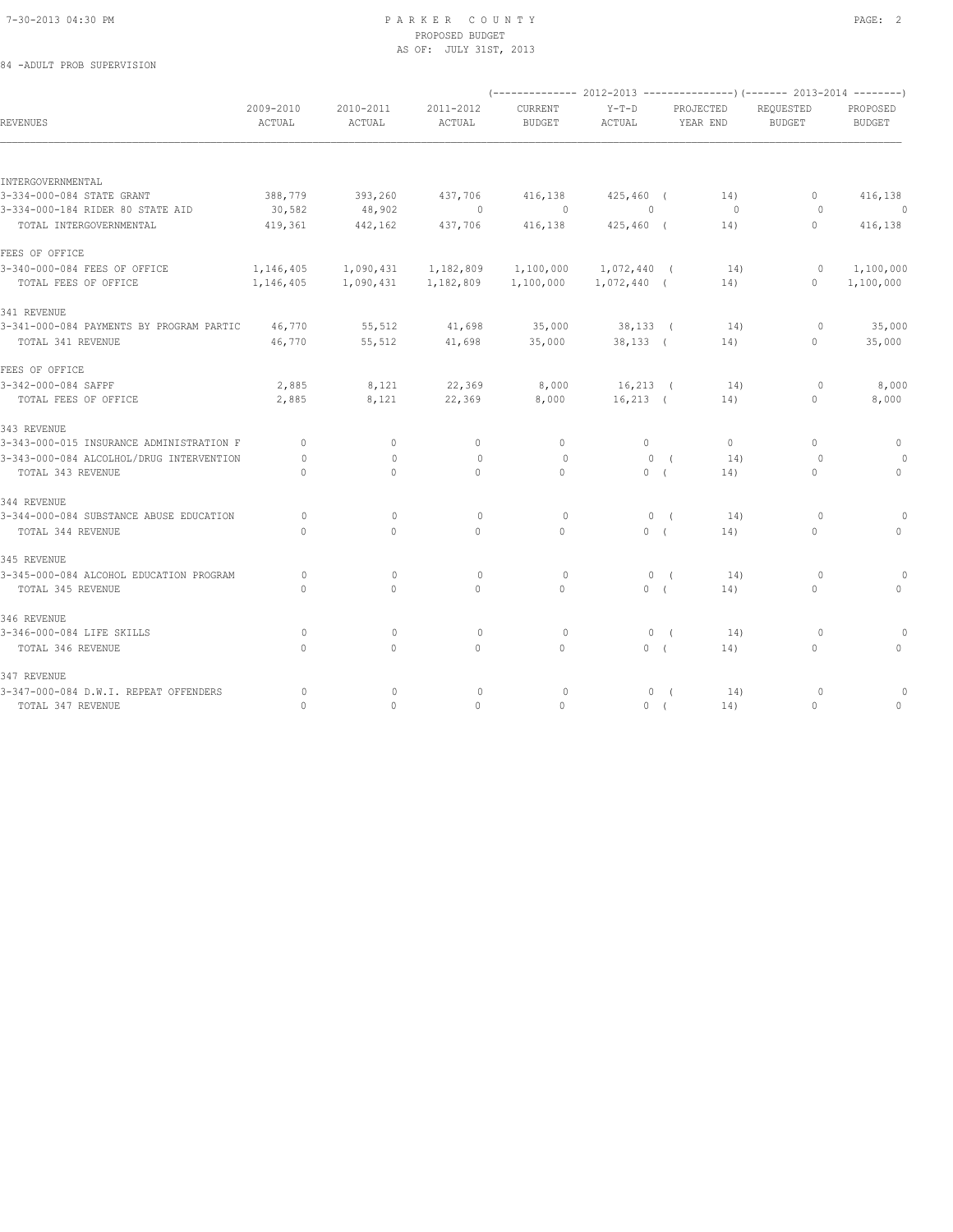# 84 -ADULT PROB SUPERVISION

|                                          |                                  |                     |                     | (-------------- 2012-2013 ---------------) (------- 2013-2014 --------) |                   |                       |                                  |                           |
|------------------------------------------|----------------------------------|---------------------|---------------------|-------------------------------------------------------------------------|-------------------|-----------------------|----------------------------------|---------------------------|
| <b>REVENUES</b>                          | 2009-2010<br>ACTUAL              | 2010-2011<br>ACTUAL | 2011-2012<br>ACTUAL | CURRENT<br><b>BUDGET</b>                                                | $Y-T-D$<br>ACTUAL | PROJECTED<br>YEAR END | REOUESTED<br><b>BUDGET</b>       | PROPOSED<br><b>BUDGET</b> |
|                                          |                                  |                     |                     |                                                                         |                   |                       |                                  |                           |
| INTERGOVERNMENTAL                        |                                  |                     |                     |                                                                         |                   |                       |                                  |                           |
| 3-334-000-084 STATE GRANT                | 388,779                          | 393,260             | 437,706             | 416,138                                                                 | $425,460$ (       | 14)                   | $\mathbf{0}$                     | 416,138                   |
| 3-334-000-184 RIDER 80 STATE AID         | 30,582                           | 48,902              | $\sim$ 0            | $\sim$ 0                                                                | $\circ$           | 0                     | $\circ$                          | $\overline{\phantom{0}}$  |
| TOTAL INTERGOVERNMENTAL                  | 419,361                          | 442,162             | 437,706             | 416,138                                                                 | $425,460$ (       | 14)                   | $\circ$                          | 416,138                   |
| FEES OF OFFICE                           |                                  |                     |                     |                                                                         |                   |                       |                                  |                           |
| 3-340-000-084 FEES OF OFFICE             | 1,146,405                        | 1,090,431           | 1,182,809           | 1,100,000                                                               | 1,072,440 (       | 14)                   | $\circ$                          | 1,100,000                 |
| TOTAL FEES OF OFFICE                     | 1,146,405                        | 1,090,431           | 1,182,809           | 1,100,000                                                               | $1,072,440$ (     | 14)                   | $\circ$                          | 1,100,000                 |
| 341 REVENUE                              |                                  |                     |                     |                                                                         |                   |                       |                                  |                           |
| 3-341-000-084 PAYMENTS BY PROGRAM PARTIC | 46,770                           | 55,512              | 41,698              | 35,000                                                                  | $38,133$ (        | 14)                   | $\circ$                          | 35,000                    |
| TOTAL 341 REVENUE                        | 46,770                           | 55,512              | 41,698              | 35,000                                                                  | $38,133$ (        | 14)                   | $\mathbf{0}$                     | 35,000                    |
| FEES OF OFFICE                           |                                  |                     |                     |                                                                         |                   |                       |                                  |                           |
| 3-342-000-084 SAFPF                      | 2,885                            | 8,121               | 22,369              | 8,000                                                                   | $16,213$ (        | 14)                   | $\circ$                          | 8,000                     |
| TOTAL FEES OF OFFICE                     | 2,885                            | 8,121               | 22,369              | 8,000                                                                   | $16,213$ (        | 14)                   | $\circ$                          | 8,000                     |
| 343 REVENUE                              |                                  |                     |                     |                                                                         |                   |                       |                                  |                           |
| 3-343-000-015 INSURANCE ADMINISTRATION F | $\Omega$                         | $\Omega$            | $\circ$             | $\mathbf{0}$                                                            | $\circ$           | $\Omega$              | $\begin{array}{c} \n\end{array}$ | 0                         |
| 3-343-000-084 ALCOLHOL/DRUG INTERVENTION | $\Omega$                         | $\Omega$            | $\mathbf{0}$        | $\Omega$                                                                | $\Omega$          | 14)<br>$\sqrt{2}$     | $\Omega$                         |                           |
| TOTAL 343 REVENUE                        | $\mathbf{0}$                     | $\circ$             | $\mathbf{0}$        | $\circ$                                                                 | 0(                | 14)                   | $\mathbf{0}$                     | $\circ$                   |
| 344 REVENUE                              |                                  |                     |                     |                                                                         |                   |                       |                                  |                           |
| 3-344-000-084 SUBSTANCE ABUSE EDUCATION  | $\Omega$                         | $\Omega$            | $\mathbf{0}$        | $\circ$                                                                 | 0(                | 14)                   | $\Omega$                         | $\circ$                   |
| TOTAL 344 REVENUE                        | $\begin{array}{c} \n\end{array}$ | $\Omega$            | $\mathbf{0}$        | $\begin{array}{c} \n\end{array}$                                        | 0(                | 14)                   | $\Omega$                         | $\Omega$                  |
| 345 REVENUE                              |                                  |                     |                     |                                                                         |                   |                       |                                  |                           |
| 3-345-000-084 ALCOHOL EDUCATION PROGRAM  | $\circ$                          | $\mathbf 0$         | $\circ$             | 0                                                                       | 0(                | 14)                   | $\circ$                          | 0                         |
| TOTAL 345 REVENUE                        | $\Omega$                         | $\circ$             | $\mathbf{0}$        | $\circ$                                                                 | 0(                | 14)                   | $\mathbf{0}$                     | $\mathbf{0}$              |
| 346 REVENUE                              |                                  |                     |                     |                                                                         |                   |                       |                                  |                           |
| 3-346-000-084 LIFE SKILLS                | $\circ$                          | $\mathbf{0}$        | 0                   | $\circ$                                                                 | 0(                | 14)                   | $\circ$                          | $\Omega$                  |
| TOTAL 346 REVENUE                        | $\mathbf{0}$                     | $\circ$             | $\mathbf{0}$        | $\circ$                                                                 | 0(                | 14)                   | $\mathbf{0}$                     | $\circ$                   |
| 347 REVENUE                              |                                  |                     |                     |                                                                         |                   |                       |                                  |                           |
| 3-347-000-084 D.W.I. REPEAT OFFENDERS    | $\circ$                          | $\mathbf{0}$        | $\circ$             | $\circ$                                                                 | 0(                | 14)                   | $\circ$                          | 0                         |
| TOTAL 347 REVENUE                        | $\Omega$                         | $\Omega$            | $\Omega$            | $\Omega$                                                                | 0(                | 14)                   | $\Omega$                         | $\mathbf{0}$              |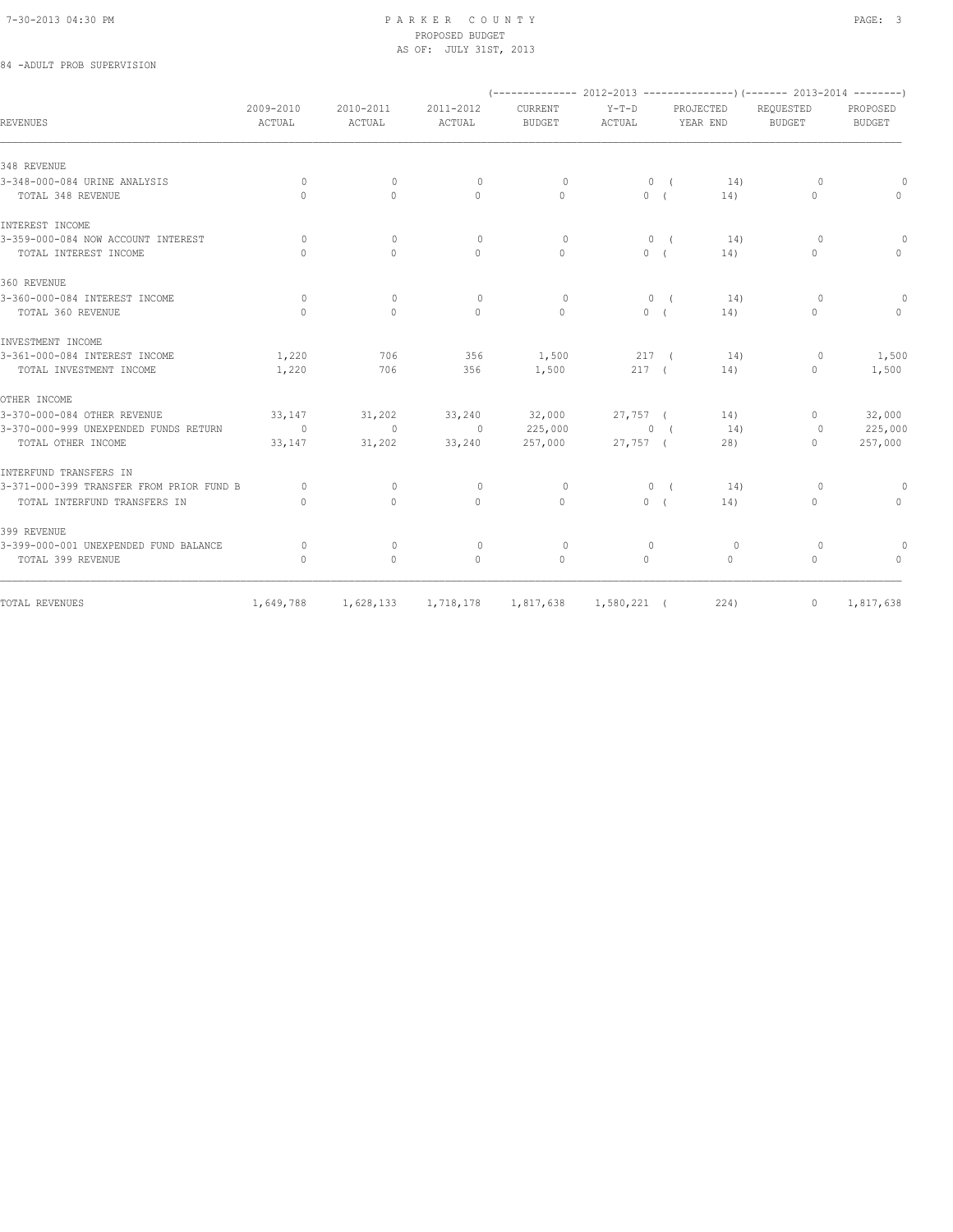# 84 -ADULT PROB SUPERVISION

|                                          |                                  |                     |                     |                          |                                                 |                       |              | $(----------2012-2013------------)$ $(----2013-2014------)$ |                           |
|------------------------------------------|----------------------------------|---------------------|---------------------|--------------------------|-------------------------------------------------|-----------------------|--------------|-------------------------------------------------------------|---------------------------|
| <b>REVENUES</b>                          | 2009-2010<br>ACTUAL              | 2010-2011<br>ACTUAL | 2011-2012<br>ACTUAL | CURRENT<br><b>BUDGET</b> | $Y-T-D$<br>ACTUAL                               | PROJECTED<br>YEAR END |              | REQUESTED<br><b>BUDGET</b>                                  | PROPOSED<br><b>BUDGET</b> |
| 348 REVENUE                              |                                  |                     |                     |                          |                                                 |                       |              |                                                             |                           |
| 3-348-000-084 URINE ANALYSIS             | $\circ$                          | $\circ$             | $\circ$             | $\Omega$                 |                                                 | 0(                    | 14)          | $\circ$                                                     | $\circ$                   |
| TOTAL 348 REVENUE                        | $\Omega$                         | $\Omega$            | $\Omega$            | $\Omega$                 |                                                 | 0(                    | 14)          | $\begin{array}{c} \n\end{array}$                            | $\circ$                   |
| INTEREST INCOME                          |                                  |                     |                     |                          |                                                 |                       |              |                                                             |                           |
| 3-359-000-084 NOW ACCOUNT INTEREST       | 0                                | $\mathbf{0}$        | $\mathbf{0}$        | $\circ$                  |                                                 | $0 \left($            | 14)          | $\Omega$                                                    | $\circ$                   |
| TOTAL INTEREST INCOME                    | $\begin{array}{c} \n\end{array}$ | $\circ$             | $\mathbf{0}$        | $\mathbf{0}$             | 0(                                              |                       | 14)          | $\mathbf{0}$                                                | $\mathbf{0}$              |
| 360 REVENUE                              |                                  |                     |                     |                          |                                                 |                       |              |                                                             |                           |
| 3-360-000-084 INTEREST INCOME            | $\Omega$                         | $\circ$             | $\Omega$            | $\circ$                  | 0(                                              |                       | 14)          | $\Omega$                                                    | $\circ$                   |
| TOTAL 360 REVENUE                        | $\bigcap$                        | $\Omega$            | $\Omega$            | $\Omega$                 | 0(                                              |                       | 14)          | $\begin{array}{c} \n\end{array}$                            | $\Omega$                  |
| INVESTMENT INCOME                        |                                  |                     |                     |                          |                                                 |                       |              |                                                             |                           |
| 3-361-000-084 INTEREST INCOME            | 1,220                            | 706                 | 356                 | 1,500                    | 217 (                                           |                       | 14)          | $\circ$                                                     | 1,500                     |
| TOTAL INVESTMENT INCOME                  | 1,220                            | 706                 | 356                 | 1,500                    | 217(                                            |                       | 14)          | $\Omega$                                                    | 1,500                     |
| OTHER INCOME                             |                                  |                     |                     |                          |                                                 |                       |              |                                                             |                           |
| 3-370-000-084 OTHER REVENUE              | 33,147                           | 31,202              | 33,240              | 32,000                   | $27,757$ (                                      |                       | 14)          | $\circ$                                                     | 32,000                    |
| 3-370-000-999 UNEXPENDED FUNDS RETURN    | $\sim$ 0                         | $\sim$ 0            | $\sim$ 0            | 225,000                  | $\begin{array}{ccc} & & 0 & \\ & & \end{array}$ |                       | 14)          | $\overline{0}$                                              | 225,000                   |
| TOTAL OTHER INCOME                       | 33,147                           | 31,202              | 33,240              | 257,000                  | 27,757 (                                        |                       | 28)          | $\Omega$                                                    | 257,000                   |
| INTERFUND TRANSFERS IN                   |                                  |                     |                     |                          |                                                 |                       |              |                                                             |                           |
| 3-371-000-399 TRANSFER FROM PRIOR FUND B | $\Omega$                         | $\Omega$            | $\Omega$            | $\Omega$                 | 0(                                              |                       | 14)          | $\circ$                                                     | 0                         |
| TOTAL INTERFUND TRANSFERS IN             | $\begin{array}{c} \n\end{array}$ | $\Omega$            | $\Omega$            | $\Omega$                 | 0(                                              |                       | 14)          | $\mathbf{0}$                                                | $\circ$                   |
| 399 REVENUE                              |                                  |                     |                     |                          |                                                 |                       |              |                                                             |                           |
| 3-399-000-001 UNEXPENDED FUND BALANCE    | $\Omega$                         | $\Omega$            | $\Omega$            | $\Omega$                 | $\Omega$                                        |                       | $\circ$      | $\Omega$                                                    | $\circ$                   |
| TOTAL 399 REVENUE                        | $\mathbf{0}$                     | $\mathbf{0}$        | $\mathbf{0}$        | $\mathbf{0}$             | $\circ$                                         |                       | $\mathbf{0}$ | $\circ$                                                     | $\mathbf{0}$              |
|                                          |                                  |                     |                     |                          |                                                 |                       |              |                                                             |                           |
| TOTAL REVENUES                           | 1,649,788                        | 1,628,133           | 1,718,178           | 1,817,638                | $1,580,221$ (                                   |                       | 224)         | $\mathbf{0}$                                                | 1,817,638                 |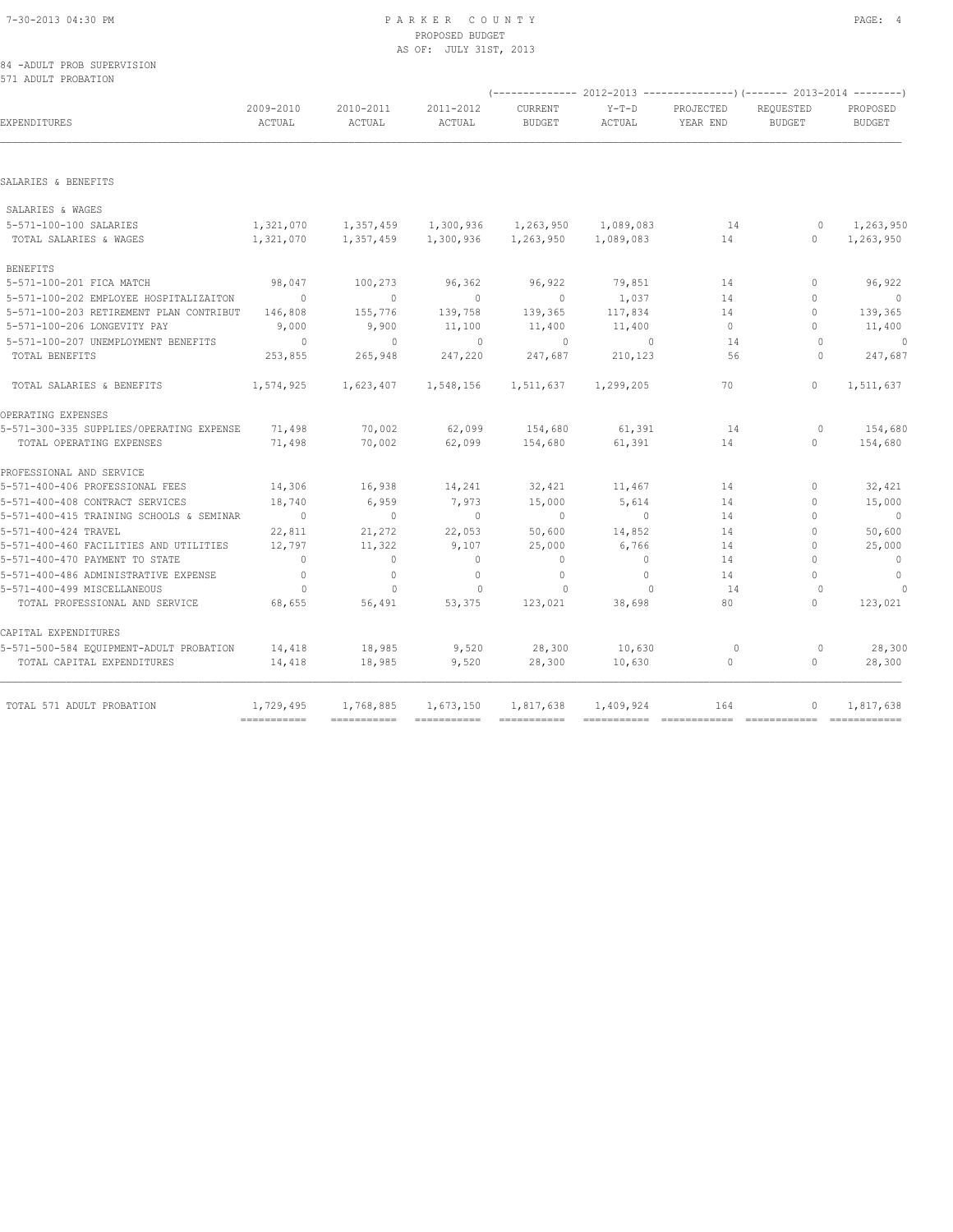#### 84 -ADULT PROB SUPERVISION 571 ADULT PROBATION

| 2009-2010<br>ACTUAL | 2010-2011<br>ACTUAL       | 2011-2012<br>ACTUAL      | <b>CURRENT</b><br><b>BUDGET</b>                                   | $Y-T-D$<br>ACTUAL | PROJECTED<br>YEAR END                         | REOUESTED<br><b>BUDGET</b>       | PROPOSED<br><b>BUDGET</b>                        |
|---------------------|---------------------------|--------------------------|-------------------------------------------------------------------|-------------------|-----------------------------------------------|----------------------------------|--------------------------------------------------|
|                     |                           |                          |                                                                   |                   |                                               |                                  |                                                  |
|                     |                           |                          |                                                                   |                   |                                               |                                  |                                                  |
|                     |                           |                          |                                                                   |                   |                                               |                                  |                                                  |
|                     |                           |                          |                                                                   |                   |                                               |                                  |                                                  |
|                     |                           |                          |                                                                   |                   |                                               |                                  |                                                  |
| 1,321,070           |                           |                          | 1,263,950                                                         |                   | 14                                            | $\circ$                          | 1,263,950<br>1,263,950                           |
|                     |                           |                          |                                                                   |                   |                                               |                                  |                                                  |
| 98,047              | 100,273                   | 96,362                   | 96,922                                                            | 79,851            | 14                                            | $\Omega$                         | 96,922                                           |
| $\sim$ 0            | $\circ$                   | $\overline{0}$           | $\overline{0}$                                                    | 1,037             | 14                                            | $\mathbf{0}$                     | $\overline{0}$                                   |
| 146,808             | 155,776                   | 139,758                  | 139,365                                                           | 117,834           | 14                                            | $\Omega$                         | 139,365                                          |
| 9,000               | 9,900                     | 11,100                   | 11,400                                                            | 11,400            | $\circ$                                       | $\Omega$                         | 11,400                                           |
| $\sim$ 0            | $\sim$ 0                  | $\sim$ 0                 | $\sim$ 0                                                          | $\sim$ 0          | 14                                            | $\Omega$                         | $\sim$ 0                                         |
| 253,855             | 265,948                   | 247,220                  | 247,687                                                           | 210,123           | 56                                            | $\cap$                           | 247,687                                          |
| 1,574,925           | 1,623,407                 | 1,548,156                | 1,511,637                                                         |                   | 70                                            | $\Omega$                         | 1,511,637                                        |
|                     |                           |                          |                                                                   |                   |                                               |                                  |                                                  |
| 71,498              | 70,002                    | 62,099                   | 154,680                                                           | 61,391            | 14                                            | $\circ$                          | 154,680                                          |
| 71,498              | 70,002                    | 62,099                   | 154,680                                                           | 61,391            | 14                                            | $\Omega$                         | 154,680                                          |
|                     |                           |                          |                                                                   |                   |                                               |                                  |                                                  |
| 14,306              | 16,938                    | 14,241                   | 32,421                                                            | 11,467            | 14                                            | $\Omega$                         | 32,421                                           |
| 18,740              | 6,959                     | 7,973                    | 15,000                                                            | 5,614             | 14                                            | $\mathbf{0}$                     | 15,000                                           |
| $\sim$ 0            | $\sim$ 0                  | $\sim$ 0                 | $\overline{0}$                                                    | $\sim$ 0          | 14                                            | $\Omega$                         | $\overline{0}$                                   |
| 22,811              | 21,272                    | 22,053                   | 50,600                                                            | 14,852            | 14                                            | $\mathbf{0}$                     | 50,600                                           |
| 12,797              | 11,322                    | 9,107                    | 25,000                                                            | 6,766             | 14                                            | $\Omega$                         | 25,000                                           |
| $\overline{0}$      | $\circ$                   | $\circ$                  | $\mathbf{0}$                                                      | $\circ$           | 14                                            | $\begin{array}{c} \n\end{array}$ | $\sim$ 0                                         |
| $\overline{0}$      | $\circ$                   | $\mathbf{0}$             | $\mathbf{0}$                                                      | $\circ$           | 14                                            | $\bigcap$                        | $\overline{0}$                                   |
| $\overline{0}$      | $\mathbf{0}$              | $\circ$                  | $\Omega$                                                          | $\Omega$          | 14                                            | $\Omega$                         | $\Omega$                                         |
| 68,655              | 56,491                    | 53,375                   | 123,021                                                           | 38,698            | 80                                            | $\Omega$                         | 123,021                                          |
|                     |                           |                          |                                                                   |                   |                                               |                                  |                                                  |
| 14,418              | 18,985                    | 9,520                    | 28,300                                                            | 10,630            | $\circ$                                       | $\circ$                          | 28,300                                           |
| 14,418              | 18,985                    | 9,520                    | 28,300                                                            | 10,630            | $\circ$                                       | $\circ$                          | 28,300                                           |
| 1,729,495           |                           |                          | 1,817,638                                                         | 1,409,924         | 164                                           | $\mathbf{0}$                     | 1,817,638                                        |
|                     | $=$ = = = = = = = = = = = | 1,768,885<br>=========== | 1,321,070 1,357,459 1,300,936<br>1,357,459 1,300,936<br>1,673,150 |                   | 1,263,950 1,089,083<br>1,089,083<br>1,299,205 | 14                               | $\circ$<br>------------ ------------ ----------- |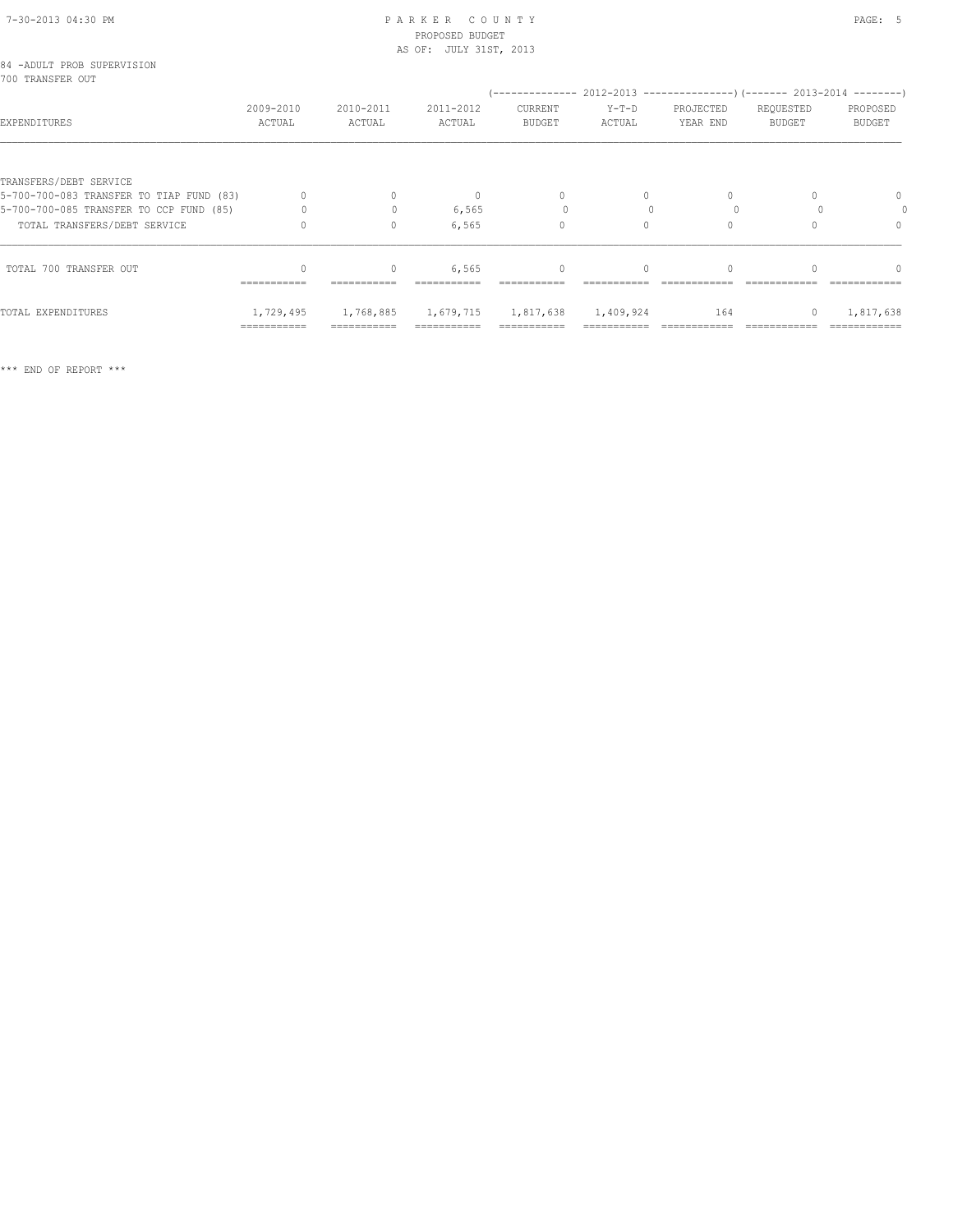| 84 -ADULT PROB SUPERVISION<br>700 TRANSFER OUT |                        |                |                 |
|------------------------------------------------|------------------------|----------------|-----------------|
|                                                | 2009-2010              | 2010-2011      | $2011 -$        |
| FYDFNDTTHIPFS                                  | $\Delta$ $\cap$ TITAT. | <b>ACTILAT</b> | $\Delta \cap T$ |

| EXPENDITURES                             | 2009-2010<br>ACTUAL | 2010-2011<br>ACTUAL | 2011-2012<br>ACTUAL | <b>CURRENT</b><br><b>BUDGET</b> | $Y-T-D$<br>ACTUAL | PROJECTED<br>YEAR END | REQUESTED<br><b>BUDGET</b> | PROPOSED<br><b>BUDGET</b> |
|------------------------------------------|---------------------|---------------------|---------------------|---------------------------------|-------------------|-----------------------|----------------------------|---------------------------|
|                                          |                     |                     |                     |                                 |                   |                       |                            |                           |
| TRANSFERS/DEBT SERVICE                   |                     |                     |                     |                                 |                   |                       |                            |                           |
| 5-700-700-083 TRANSFER TO TIAP FUND (83) |                     |                     | n                   | $\Omega$                        | $\Omega$          |                       |                            | 0                         |
| 5-700-700-085 TRANSFER TO CCP FUND (85)  |                     |                     | 6,565               |                                 |                   |                       |                            |                           |
| TOTAL TRANSFERS/DEBT SERVICE             |                     | $\Omega$            | 6,565               | 0                               | 0                 |                       |                            | 0                         |
| TOTAL 700 TRANSFER OUT                   |                     |                     | 6,565               | $\Omega$                        | $\Omega$          |                       |                            | $\Omega$                  |
|                                          | ===========         | ===========         | ===========         | ===========                     |                   |                       |                            | ============              |
| TOTAL EXPENDITURES                       | 1,729,495           | 1,768,885           | 1,679,715           | 1,817,638                       | 1,409,924         | 164                   |                            | 1,817,638                 |
|                                          | ===========         | ===========         | ===========         | ===========                     | ----------        |                       |                            | ============              |

\*\*\* END OF REPORT \*\*\*

(-------------- 2012-2013 ---------------)(------- 2013-2014 --------)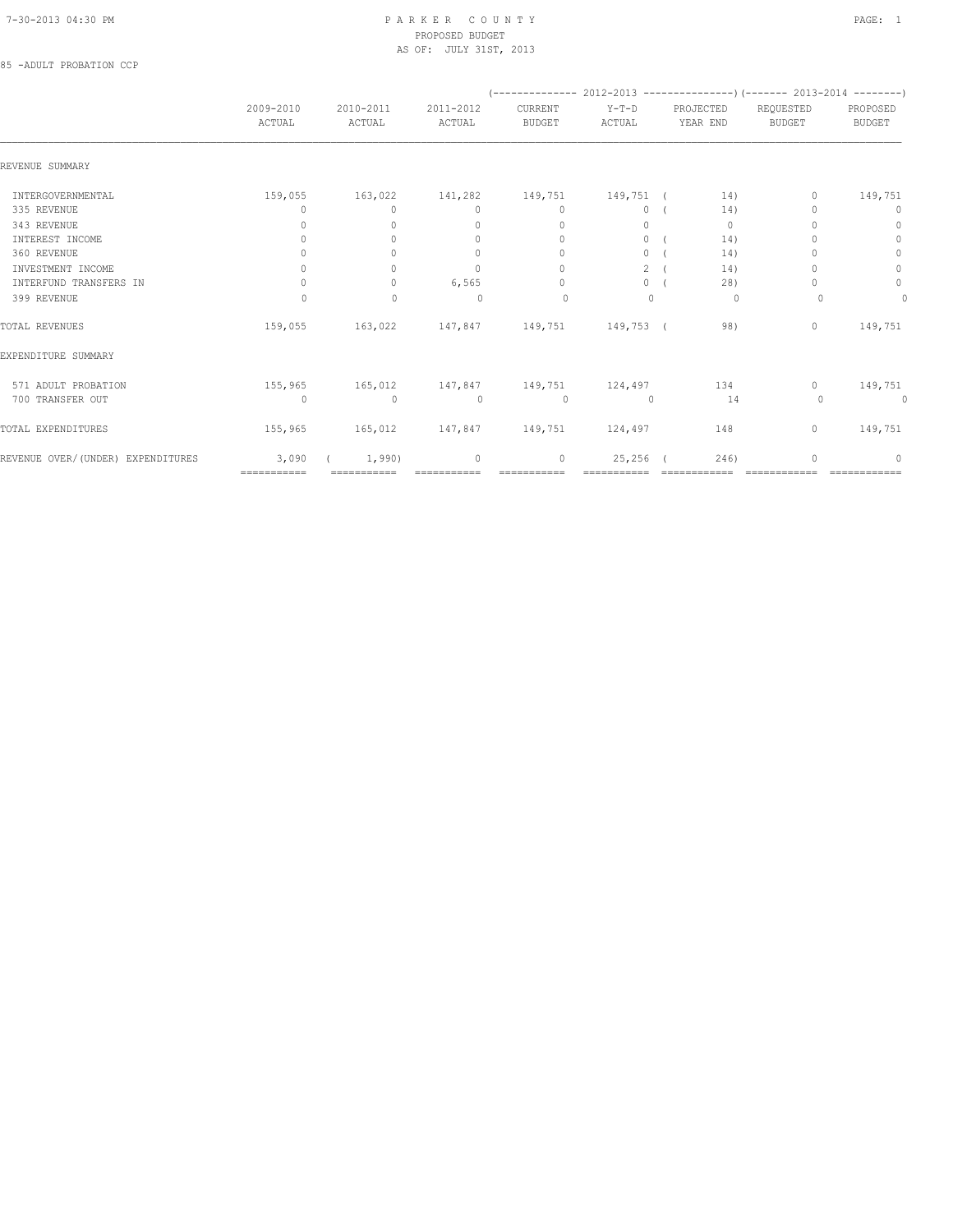### 85 -ADULT PROBATION CCP

|                                   |                     |                                  |                                  | (-------------- 2012-2013 ----------------) (------- 2013-2014 --------) |                   |                       |                            |                                  |
|-----------------------------------|---------------------|----------------------------------|----------------------------------|--------------------------------------------------------------------------|-------------------|-----------------------|----------------------------|----------------------------------|
|                                   | 2009-2010<br>ACTUAL | 2010-2011<br>ACTUAL              | 2011-2012<br>ACTUAL              | CURRENT<br><b>BUDGET</b>                                                 | $Y-T-D$<br>ACTUAL | PROJECTED<br>YEAR END | REQUESTED<br><b>BUDGET</b> | PROPOSED<br><b>BUDGET</b>        |
| REVENUE SUMMARY                   |                     |                                  |                                  |                                                                          |                   |                       |                            |                                  |
| INTERGOVERNMENTAL                 | 159,055             | 163,022                          | 141,282                          | 149,751                                                                  | 149,751 (         | 14)                   | 0                          | 149,751                          |
| 335 REVENUE                       | 0                   | $\circ$                          | $\mathbf{0}$                     | $\mathbf{0}$                                                             | $\circ$           | 14)                   |                            | $\circ$                          |
| 343 REVENUE                       | 0                   | $\Omega$                         | $\mathbf{0}$                     | $\mathbf{0}$                                                             | $\circ$           | $\mathbf{0}$          |                            | $\mathbf{0}$                     |
| INTEREST INCOME                   | 0                   | $\bigcap$                        | $\begin{array}{c} \n\end{array}$ | $\begin{array}{c} \n\end{array}$                                         | $\circ$           | 14)                   |                            | $\circ$                          |
| 360 REVENUE                       | $\Omega$            |                                  | $\Omega$                         | $\Omega$                                                                 | $\circ$           | 14)                   |                            | $\mathbb O$                      |
| INVESTMENT INCOME                 | $\circ$             | $\circ$                          | $\mathbf{0}$                     | $\Omega$                                                                 | $\overline{2}$    | 14)                   |                            | $\circ$                          |
| INTERFUND TRANSFERS IN            | 0                   | $\begin{array}{c} \n\end{array}$ | 6,565                            | $\Omega$                                                                 | $\circ$           | 28)                   |                            | $\mathbb O$                      |
| 399 REVENUE                       | $\Omega$            | $\mathbf{0}$                     | $\Omega$                         | $\Omega$                                                                 | $\Omega$          | 0                     | $\Omega$                   | $\mathbf{0}$                     |
| TOTAL REVENUES                    | 159,055             | 163,022                          |                                  | 147,847 149,751                                                          | 149,753 (         | 98)                   | $\mathbf{0}$               | 149,751                          |
| EXPENDITURE SUMMARY               |                     |                                  |                                  |                                                                          |                   |                       |                            |                                  |
| 571 ADULT PROBATION               | 155,965             | 165,012                          | 147,847                          | 149,751                                                                  | 124,497           | 134                   | $\Omega$                   | 149,751                          |
| 700 TRANSFER OUT                  | $\circ$             | $\mathbf{0}$                     | $\circ$                          | $\circ$                                                                  | $\mathbf{0}$      | 14                    | $\Omega$                   | 0                                |
| TOTAL EXPENDITURES                | 155,965             | 165,012                          | 147,847 149,751                  |                                                                          | 124,497           | 148                   | $\mathbf{0}$               | 149,751                          |
| REVENUE OVER/(UNDER) EXPENDITURES | 3,090               | 1,990)                           | $\mathbf{0}$                     | 0                                                                        | 25,256            | 246)                  | O                          | $\begin{array}{c} \n\end{array}$ |
|                                   | ===========         | ===========                      |                                  |                                                                          |                   |                       |                            |                                  |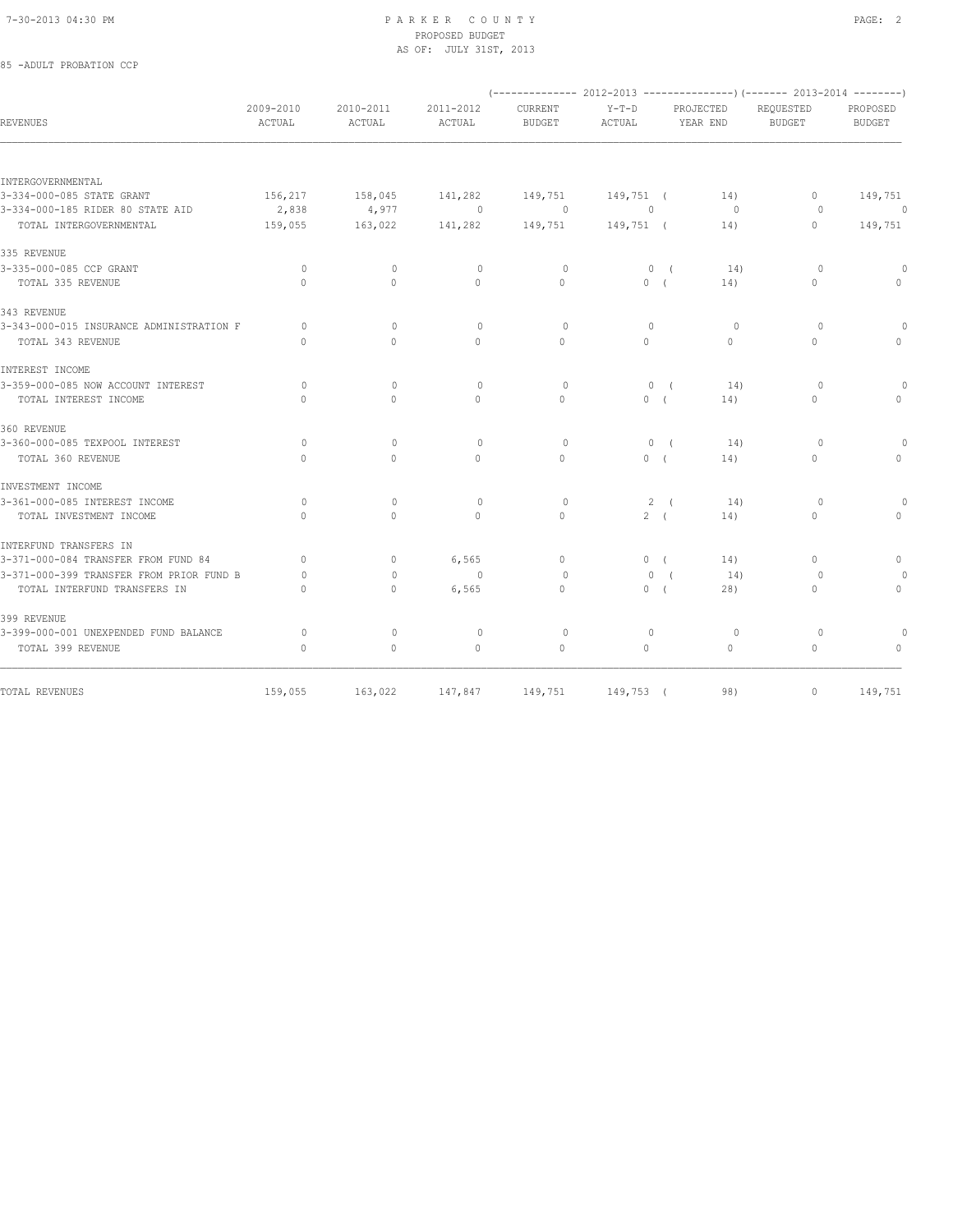85 -ADULT PROBATION CCP

#### 7-30-2013 04:30 PM P A R K E R C O U N T Y PAGE: 2 PROPOSED BUDGET AS OF: JULY 31ST, 2013

|                                          |                                  |                                  |                     |                          |                   |                       | (-------------- 2012-2013 ----------------) (------- 2013-2014 --------) |                           |
|------------------------------------------|----------------------------------|----------------------------------|---------------------|--------------------------|-------------------|-----------------------|--------------------------------------------------------------------------|---------------------------|
| <b>REVENUES</b>                          | 2009-2010<br>ACTUAL              | 2010-2011<br>ACTUAL              | 2011-2012<br>ACTUAL | CURRENT<br><b>BUDGET</b> | $Y-T-D$<br>ACTUAL | PROJECTED<br>YEAR END | REQUESTED<br><b>BUDGET</b>                                               | PROPOSED<br><b>BUDGET</b> |
|                                          |                                  |                                  |                     |                          |                   |                       |                                                                          |                           |
| INTERGOVERNMENTAL                        |                                  |                                  |                     |                          |                   |                       |                                                                          |                           |
| 3-334-000-085 STATE GRANT                | 156,217                          | 158,045                          | 141,282             | 149,751                  | 149,751 (         | 14)                   | $\circ$                                                                  | 149,751                   |
| 3-334-000-185 RIDER 80 STATE AID         | 2,838                            | 4,977                            | $\circ$             | $\circ$                  | $\circ$           | $\circ$               | $\circ$                                                                  | 0                         |
| TOTAL INTERGOVERNMENTAL                  | 159,055                          | 163,022                          | 141,282             | 149,751                  | 149,751 (         | 14)                   | $\mathbf{0}$                                                             | 149,751                   |
| 335 REVENUE                              |                                  |                                  |                     |                          |                   |                       |                                                                          |                           |
| 3-335-000-085 CCP GRANT                  | $\circ$                          | $\mathbf{0}$                     | $\mathbf 0$         | $\circ$                  | 0(                | 14)                   | $\circ$                                                                  | $\Omega$                  |
| TOTAL 335 REVENUE                        | $\Omega$                         | $\Omega$                         | $\circ$             | $\circ$                  | 0(                | 14)                   | $\circ$                                                                  | $\mathbf{0}$              |
| 343 REVENUE                              |                                  |                                  |                     |                          |                   |                       |                                                                          |                           |
| 3-343-000-015 INSURANCE ADMINISTRATION F | $\circ$                          | $\Omega$                         | $\mathbf{0}$        | $\circ$                  | $\circ$           | $\circ$               | $\Omega$                                                                 | $\Omega$                  |
| TOTAL 343 REVENUE                        | $\Omega$                         | $\Omega$                         | $\circ$             | $\Omega$                 | $\Omega$          | $\Omega$              | $\Omega$                                                                 | $\Omega$                  |
| INTEREST INCOME                          |                                  |                                  |                     |                          |                   |                       |                                                                          |                           |
| 3-359-000-085 NOW ACCOUNT INTEREST       | $\Omega$                         | $\Omega$                         | $\mathbf{0}$        | $\circ$                  | 0(                | 14)                   | $\Omega$                                                                 | $\Omega$                  |
| TOTAL INTEREST INCOME                    | $\Omega$                         | $\Omega$                         | $\Omega$            | $\mathbf{0}$             | 0(                | 14)                   | 0                                                                        | $\mathbf{0}$              |
| 360 REVENUE                              |                                  |                                  |                     |                          |                   |                       |                                                                          |                           |
| 3-360-000-085 TEXPOOL INTEREST           | $\circ$                          | $\mathbf{0}$                     | $\circ$             | $\circ$                  | 0(                | 14)                   | $\circ$                                                                  | $\Omega$                  |
| TOTAL 360 REVENUE                        | $\Omega$                         | $\Omega$                         | $\Omega$            | $\Omega$                 | 0(                | 14)                   | 0                                                                        | $\mathbf{0}$              |
| INVESTMENT INCOME                        |                                  |                                  |                     |                          |                   |                       |                                                                          |                           |
| 3-361-000-085 INTEREST INCOME            | $\circ$                          | $\mathbf{0}$                     | $\mathbf{0}$        | $\circ$                  | 2(                | 14)                   | $\circ$                                                                  | $\Omega$                  |
| TOTAL INVESTMENT INCOME                  | $\bigcap$                        | $\cap$                           | $\bigcap$           | $\bigcap$                | $2 \sqrt{2}$      | 14)                   | $\cap$                                                                   | $\bigcap$                 |
| INTERFUND TRANSFERS IN                   |                                  |                                  |                     |                          |                   |                       |                                                                          |                           |
| 3-371-000-084 TRANSFER FROM FUND 84      | $\Omega$                         | $\begin{array}{c} \n\end{array}$ | 6,565               | $\Omega$                 | 0(                | 14)                   | $\begin{array}{c} \n\end{array}$                                         | $\mathbf{0}$              |
| 3-371-000-399 TRANSFER FROM PRIOR FUND B | $\Omega$                         | $\Omega$                         | $\Omega$            | $\circ$                  | $\circ$           | 14)<br>$\sqrt{ }$     | $\circ$                                                                  |                           |
| TOTAL INTERFUND TRANSFERS IN             | $\Omega$                         | $\Omega$                         | 6,565               | $\Omega$                 | 0(                | 28)                   | $\Omega$                                                                 | $\mathbf{0}$              |
| 399 REVENUE                              |                                  |                                  |                     |                          |                   |                       |                                                                          |                           |
| 3-399-000-001 UNEXPENDED FUND BALANCE    | $\circ$                          | $\mathbf{0}$                     | $\mathbf{0}$        | $\circ$                  | $\mathbf{0}$      | $\circ$               | $\circ$                                                                  | $\Omega$                  |
| TOTAL 399 REVENUE                        | $\begin{array}{c} \n\end{array}$ | $\Omega$                         | $\Omega$            | $\Omega$                 | $\Omega$          | $\Omega$              | $\Omega$                                                                 | $\Omega$                  |
| TOTAL REVENUES                           | 159,055                          | 163,022                          | 147,847             | 149,751                  | 149,753 (         | 98)                   | $\mathbf{0}$                                                             | 149,751                   |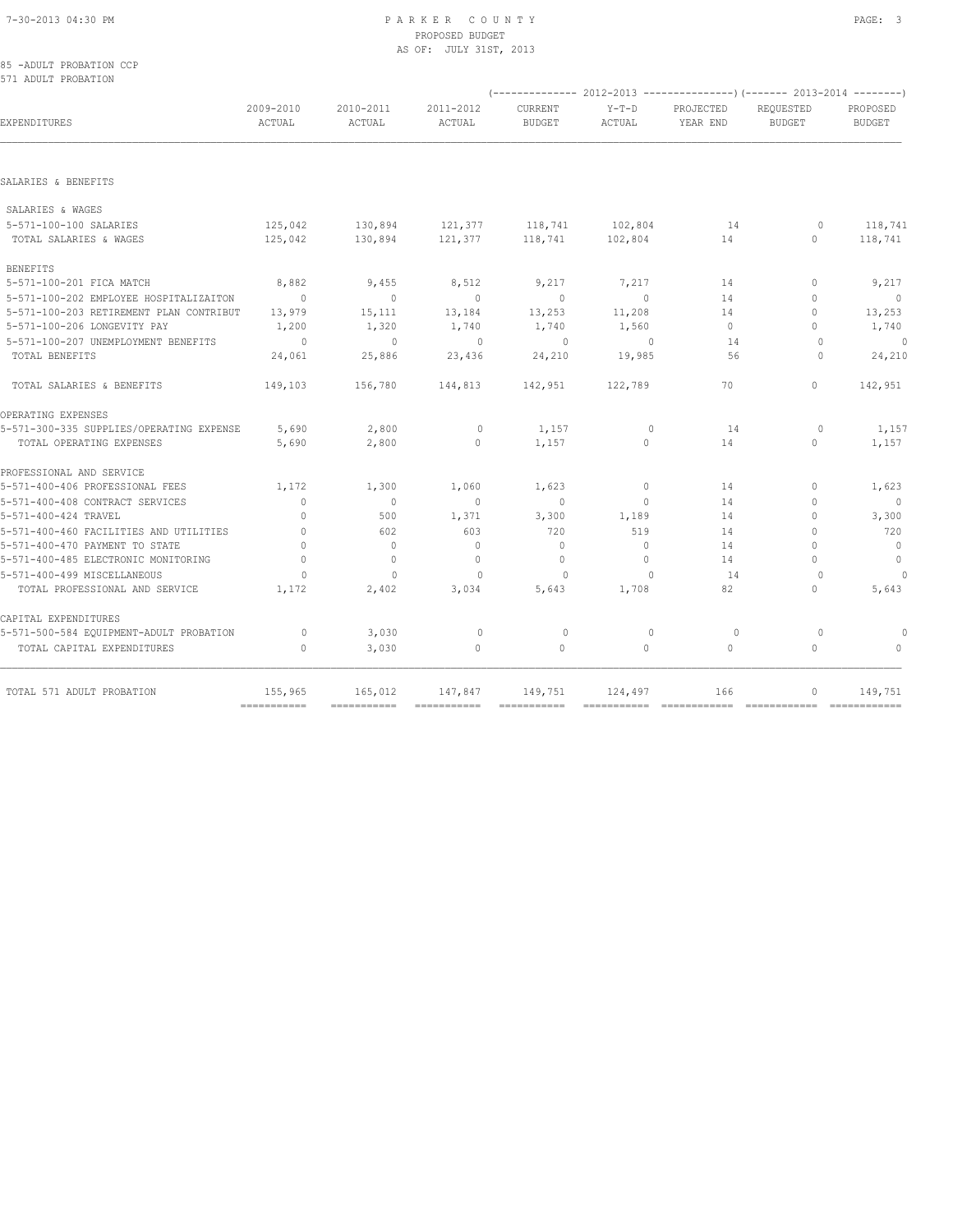|  | 85 -ADULT PROBATION CCP |  |
|--|-------------------------|--|
|  | 571 ADULT PROBATION     |  |

| 2009-2010<br>ACTUAL | 2010-2011<br>ACTUAL                                                                                               | 2011-2012<br>ACTUAL        | CURRENT<br><b>BUDGET</b>   | $Y-T-D$<br>ACTUAL                     | PROJECTED<br>YEAR END      | REQUESTED<br><b>BUDGET</b>     | PROPOSED<br><b>BUDGET</b>                                                                                 |
|---------------------|-------------------------------------------------------------------------------------------------------------------|----------------------------|----------------------------|---------------------------------------|----------------------------|--------------------------------|-----------------------------------------------------------------------------------------------------------|
|                     |                                                                                                                   |                            |                            |                                       |                            |                                |                                                                                                           |
|                     |                                                                                                                   |                            |                            |                                       |                            |                                |                                                                                                           |
|                     |                                                                                                                   |                            |                            |                                       |                            |                                |                                                                                                           |
| 125,042             | 130,894                                                                                                           | 121,377                    |                            | 102,804                               | 14                         | 0                              | 118,741                                                                                                   |
|                     |                                                                                                                   |                            |                            |                                       |                            |                                | 118,741                                                                                                   |
|                     |                                                                                                                   |                            |                            |                                       |                            |                                |                                                                                                           |
| 8,882               | 9,455                                                                                                             | 8,512                      | 9,217                      | 7,217                                 | 14                         | $\mathbf{0}$                   | 9,217                                                                                                     |
| $\overline{0}$      | $\circ$                                                                                                           | $\circ$                    | $\mathbf{0}$               | $\circ$                               | 14                         | $\circ$                        | $\overline{0}$                                                                                            |
| 13,979              | 15,111                                                                                                            | 13,184                     | 13,253                     | 11,208                                | 14                         | $\circ$                        | 13,253                                                                                                    |
|                     |                                                                                                                   |                            |                            |                                       |                            |                                | 1,740                                                                                                     |
| $\sim$ 0            | $\overline{0}$                                                                                                    | $\overline{0}$             | $\circ$                    | $\overline{0}$                        | 14                         | $\circ$                        | $\circ$                                                                                                   |
|                     |                                                                                                                   |                            |                            |                                       |                            |                                | 24,210                                                                                                    |
| 149,103             | 156,780                                                                                                           | 144,813                    | 142,951                    | 122,789                               | 70                         | $\Omega$                       | 142,951                                                                                                   |
|                     |                                                                                                                   |                            |                            |                                       |                            |                                |                                                                                                           |
| 5,690               | 2,800                                                                                                             | $\circ$                    | 1,157                      | $\mathbf{0}$                          | 14                         | $\circ$                        | 1,157                                                                                                     |
| 5,690               | 2,800                                                                                                             | $\mathbf{0}$               | 1,157                      | $\Omega$                              | 14                         | $\Omega$                       | 1,157                                                                                                     |
|                     |                                                                                                                   |                            |                            |                                       |                            |                                |                                                                                                           |
| 1,172               | 1,300                                                                                                             | 1,060                      | 1,623                      | $\circ$                               | 14                         | $\mathbf{0}$                   | 1,623                                                                                                     |
| $\mathbf{0}$        | $\mathbf{0}$                                                                                                      | $\mathbf{0}$               | $\Omega$                   | $\Omega$                              | 14                         | $\Omega$                       |                                                                                                           |
| $\mathbf{0}$        | 500                                                                                                               | 1,371                      | 3,300                      | 1,189                                 | 14                         | $\circ$                        | 3,300                                                                                                     |
| $\mathbf{0}$        | 602                                                                                                               | 603                        | 720                        | 519                                   | 14                         | $\circ$                        | 720                                                                                                       |
| $\Omega$            | $\circ$                                                                                                           | $\mathbf{0}$               | $\Omega$                   | $\circ$                               | 14                         | $\Omega$                       | $\overline{0}$                                                                                            |
| $\Omega$            | $\mathbf{0}$                                                                                                      | $\Omega$                   | $\mathbf{0}$               | $\Omega$                              | 14                         | $\bigcap$                      | $\overline{0}$                                                                                            |
| $\Omega$            | $\mathbf{0}$                                                                                                      | $\mathbf{0}$               | $\circ$                    | $\Omega$                              | 14                         | $\Omega$                       |                                                                                                           |
| 1,172               | 2,402                                                                                                             | 3,034                      | 5,643                      | 1,708                                 | 82                         | $\Omega$                       | 5,643                                                                                                     |
|                     |                                                                                                                   |                            |                            |                                       |                            |                                |                                                                                                           |
| $\circ$             | 3,030                                                                                                             | $\circ$                    | $\circ$                    | $\mathbf{0}$                          | $\circ$                    | $\circ$                        |                                                                                                           |
| $\Omega$            | 3,030                                                                                                             | $\mathbf{0}$               | $\circ$                    | $\Omega$                              | 0                          | $\Omega$                       | $\bigcap$                                                                                                 |
| 155,965             | 165,012                                                                                                           | 147,847                    | 149,751                    |                                       | 166                        | 0                              | 149,751                                                                                                   |
|                     | 125,042<br>5-571-100-203 RETIREMENT PLAN CONTRIBUT<br>1,200<br>24,061<br>5-571-300-335 SUPPLIES/OPERATING EXPENSE | 130,894<br>1,320<br>25,886 | 121,377<br>1,740<br>23,436 | 118,741<br>118,741<br>1,740<br>24,210 | 102,804<br>1,560<br>19,985 | 14<br>$\circ$<br>56<br>124,497 | (-------------- 2012-2013 ---------------) (------- 2013-2014 --------)<br>$\circ$<br>$\Omega$<br>$\circ$ |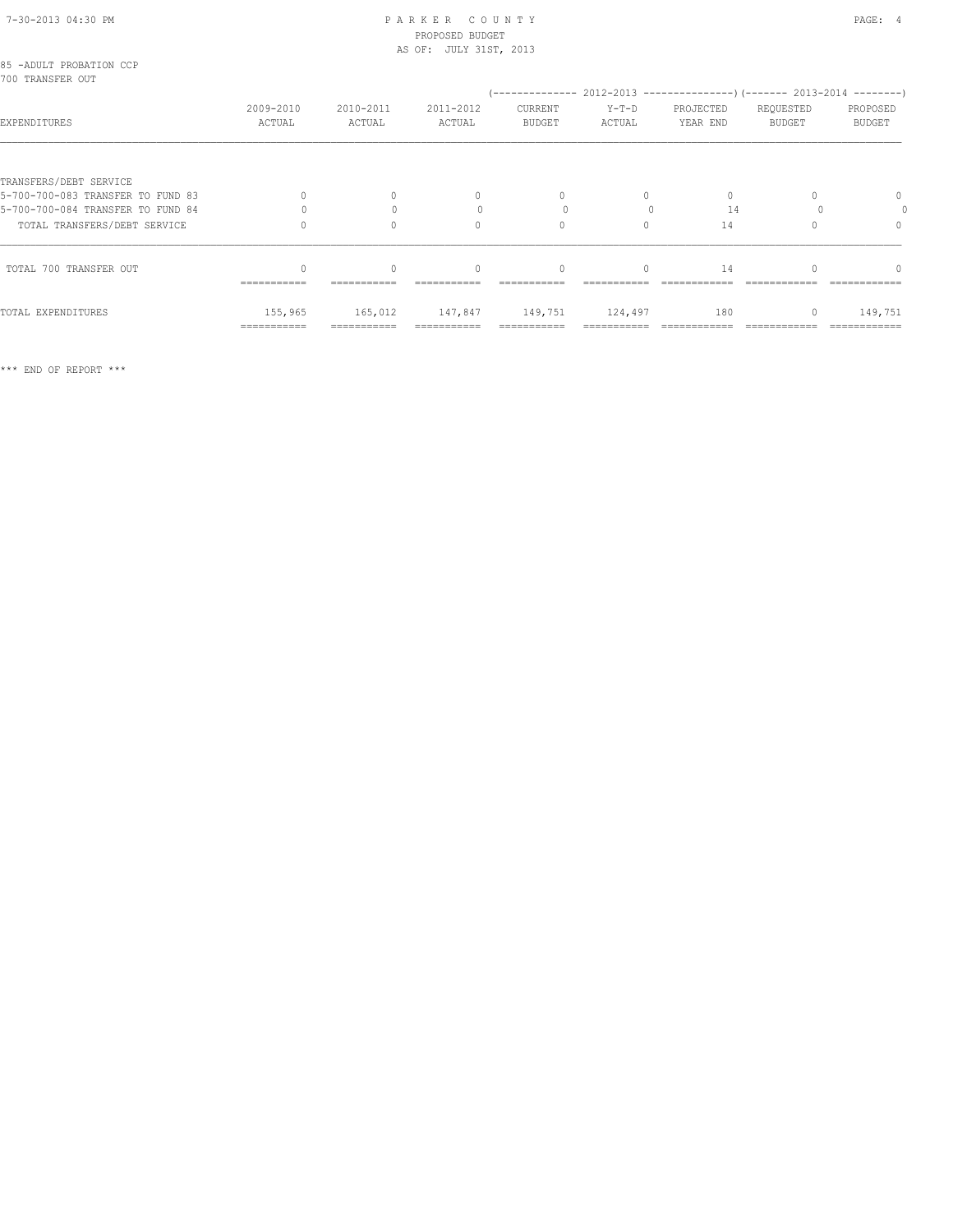| 85 -ADULT PROBATION CCP<br>700 TRANSFER OUT |                     |                     |                     |                                                                               |                   |                       |                     |                           |
|---------------------------------------------|---------------------|---------------------|---------------------|-------------------------------------------------------------------------------|-------------------|-----------------------|---------------------|---------------------------|
| EXPENDITURES                                | 2009-2010<br>ACTUAL | 2010-2011<br>ACTUAL | 2011-2012<br>ACTUAL | $(----------2012-2013---------)$ $(----2013-2014------)$<br>CURRENT<br>BUDGET | $Y-T-D$<br>ACTUAL | PROJECTED<br>YEAR END | REQUESTED<br>BUDGET | PROPOSED<br><b>BUDGET</b> |
|                                             |                     |                     |                     |                                                                               |                   |                       |                     |                           |
| TRANSFERS/DEBT SERVICE                      |                     |                     |                     |                                                                               |                   |                       |                     |                           |
| 5-700-700-083 TRANSFER TO FUND 83           |                     |                     | $\mathbf{0}$        | $\Omega$                                                                      | 0                 | 0                     |                     | $\mathbf{0}$              |
| 5-700-700-084 TRANSFER TO FUND 84           |                     |                     |                     |                                                                               |                   | 14                    |                     |                           |
| TOTAL TRANSFERS/DEBT SERVICE                |                     |                     | $\Omega$            | $\Omega$                                                                      | $\Omega$          | 14                    |                     | $\Omega$                  |
| TOTAL 700 TRANSFER OUT                      |                     | $\Omega$            | $\Omega$            | $\mathbf{0}$                                                                  | $\circ$           | 14                    |                     |                           |
|                                             | ===========         | ===========         |                     |                                                                               |                   |                       |                     |                           |
| TOTAL EXPENDITURES                          | 155,965             | 165,012             |                     | 147,847 149,751 124,497                                                       |                   | 180                   | $\circ$             | 149,751                   |
|                                             | ===========         |                     |                     |                                                                               |                   |                       |                     |                           |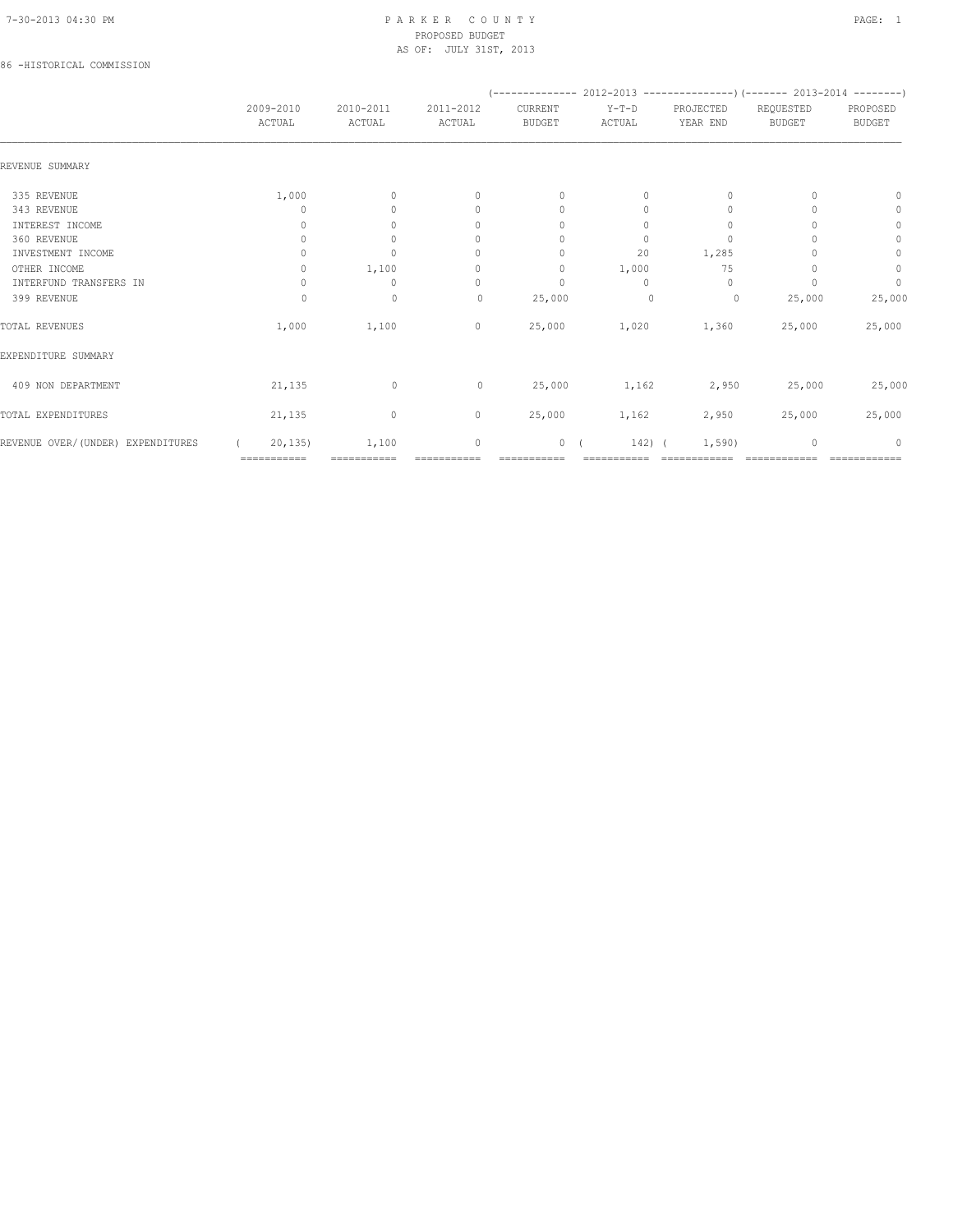# 86 -HISTORICAL COMMISSION

|                                   |                     |                     |                                  |                          | (-------------- 2012-2013 ----------------) (------- 2013-2014 --------) |                       |                            |                                  |
|-----------------------------------|---------------------|---------------------|----------------------------------|--------------------------|--------------------------------------------------------------------------|-----------------------|----------------------------|----------------------------------|
|                                   | 2009-2010<br>ACTUAL | 2010-2011<br>ACTUAL | 2011-2012<br>ACTUAL              | CURRENT<br><b>BUDGET</b> | $Y-T-D$<br>ACTUAL                                                        | PROJECTED<br>YEAR END | REQUESTED<br><b>BUDGET</b> | PROPOSED<br><b>BUDGET</b>        |
| REVENUE SUMMARY                   |                     |                     |                                  |                          |                                                                          |                       |                            |                                  |
| 335 REVENUE                       | 1,000               | $\mathbf{0}$        | $\mathbf{0}$                     | $\mathbf{0}$             | 0                                                                        | $\mathbf{0}$          |                            | $\Omega$                         |
| 343 REVENUE                       |                     | $\Omega$            | $\mathbf{0}$                     | $\mathbf{0}$             | 0                                                                        | 0                     |                            | $\mathbf{0}$                     |
| INTEREST INCOME                   | 0                   | $\circ$             | 0                                | 0                        | $\Omega$                                                                 | 0                     |                            | $\circ$                          |
| 360 REVENUE                       | 0                   | $\circ$             | 0                                | $\mathbf{0}$             | 0                                                                        | $\mathbf{0}$          |                            | $\mathbf{0}$                     |
| INVESTMENT INCOME                 | $\Omega$            | $\circ$             | 0                                | $\Omega$                 | 20                                                                       | 1,285                 |                            | $\circ$                          |
| OTHER INCOME                      | 0                   | 1,100               | $\mathbf{0}$                     | $\mathbf{0}$             | 1,000                                                                    | 75                    |                            | 0                                |
| INTERFUND TRANSFERS IN            | $\Omega$            | $\mathbf{0}$        | $\begin{array}{c} \n\end{array}$ | $\Omega$                 | $\Omega$                                                                 | $\Omega$              |                            | $\circ$                          |
| 399 REVENUE                       | $\Omega$            | $\mathbf{0}$        | $\mathbf{0}$                     | 25,000                   | $\mathbf{0}$                                                             | 0                     | 25,000                     | 25,000                           |
| TOTAL REVENUES                    | 1,000               | 1,100               | $\mathbf 0$                      | 25,000                   | 1,020                                                                    | 1,360                 | 25,000                     | 25,000                           |
| EXPENDITURE SUMMARY               |                     |                     |                                  |                          |                                                                          |                       |                            |                                  |
| 409 NON DEPARTMENT                | 21,135              | $\mathbf 0$         | $\circ$                          | 25,000                   | 1,162                                                                    | 2,950                 | 25,000                     | 25,000                           |
| TOTAL EXPENDITURES                | 21,135              | $\circ$             | $\circ$                          | 25,000                   | 1,162                                                                    | 2,950                 | 25,000                     | 25,000                           |
| REVENUE OVER/(UNDER) EXPENDITURES | 20, 135             | 1,100               | $\mathbf{0}$                     | 0(                       | $142)$ (                                                                 | 1,590)                | $\mathbf{0}$               | $\begin{array}{c} \n\end{array}$ |
|                                   | ===========         | ===========         | ===========                      | ===========              | ===========                                                              | ============          | ============               | ============                     |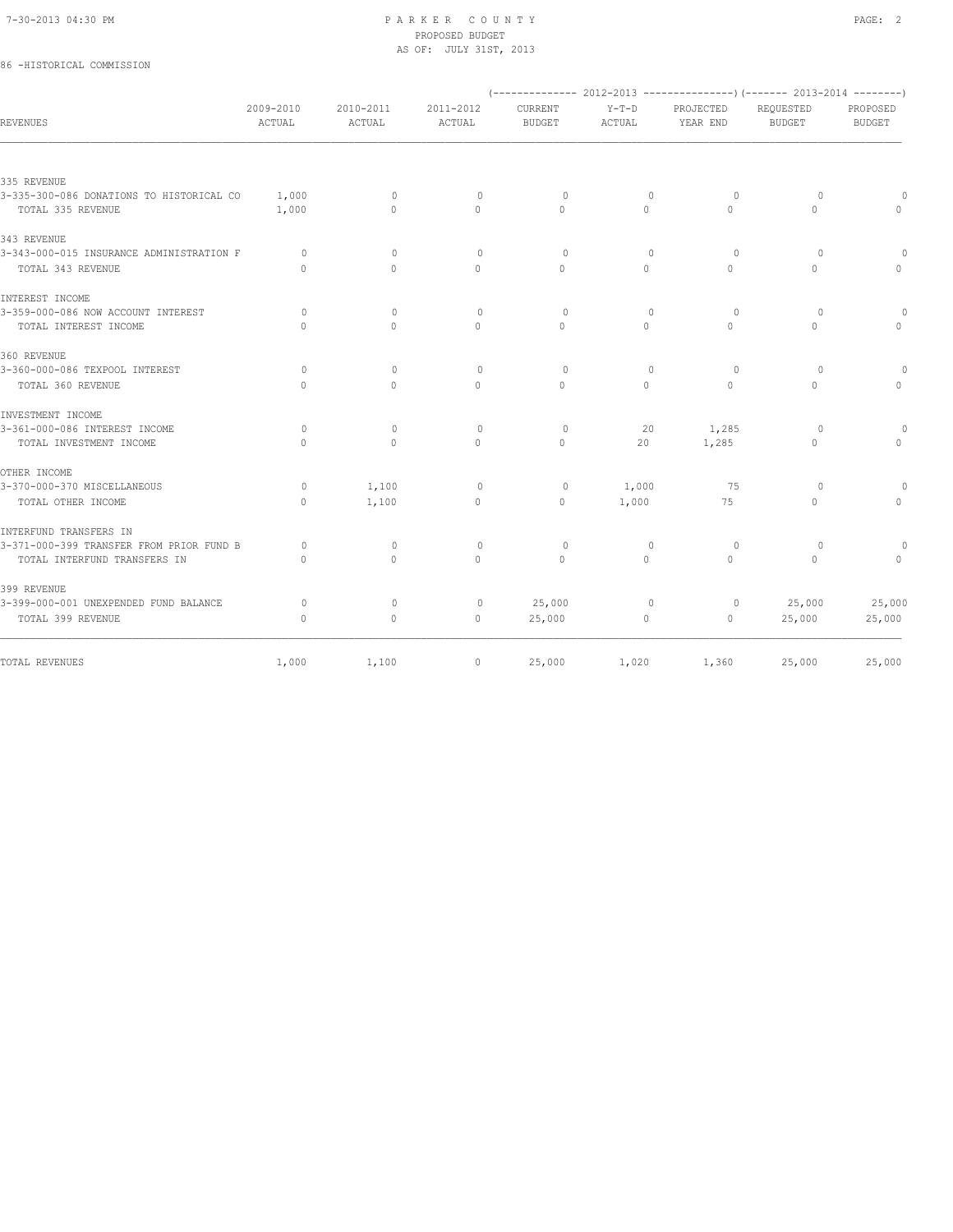# 86 -HISTORICAL COMMISSION

|                                          |                     |                                  |                                  |                          |                   |                       | (-------------- 2012-2013 ---------------) (------- 2013-2014 --------) |                           |
|------------------------------------------|---------------------|----------------------------------|----------------------------------|--------------------------|-------------------|-----------------------|-------------------------------------------------------------------------|---------------------------|
| REVENUES                                 | 2009-2010<br>ACTUAL | 2010-2011<br>ACTUAL              | 2011-2012<br>ACTUAL              | CURRENT<br><b>BUDGET</b> | $Y-T-D$<br>ACTUAL | PROJECTED<br>YEAR END | REQUESTED<br>BUDGET                                                     | PROPOSED<br><b>BUDGET</b> |
|                                          |                     |                                  |                                  |                          |                   |                       |                                                                         |                           |
| 335 REVENUE                              |                     |                                  |                                  |                          |                   |                       |                                                                         |                           |
| 3-335-300-086 DONATIONS TO HISTORICAL CO | 1,000               | $\mathbf{0}$                     | $\circ$                          | $\circ$                  | $\mathbf{0}$      | $\circ$               | $\circ$                                                                 | $\bigcap$                 |
| TOTAL 335 REVENUE                        | 1,000               | $\Omega$                         | $\mathbf{0}$                     | $\Omega$                 | $\Omega$          | $\Omega$              | $\Omega$                                                                | $\mathbf{0}$              |
| 343 REVENUE                              |                     |                                  |                                  |                          |                   |                       |                                                                         |                           |
| 3-343-000-015 INSURANCE ADMINISTRATION F | $\Omega$            | $\Omega$                         | $\circ$                          | $\circ$                  | $\mathbf{0}$      | $\circ$               | $\circ$                                                                 | $\Omega$                  |
| TOTAL 343 REVENUE                        | $\bigcap$           | $\Omega$                         | $\Omega$                         | $\bigcap$                | $\Omega$          | $\Omega$              | $\Omega$                                                                | $\Omega$                  |
| INTEREST INCOME                          |                     |                                  |                                  |                          |                   |                       |                                                                         |                           |
| 3-359-000-086 NOW ACCOUNT INTEREST       | $\Omega$            | $\circ$                          | $\circ$                          | $\Omega$                 | $\mathbf{0}$      | $\Omega$              | $\Omega$                                                                | $\Omega$                  |
| TOTAL INTEREST INCOME                    | $\bigcap$           | $\bigcap$                        | $\Omega$                         | $\bigcap$                | $\Omega$          | $\cap$                | $\Omega$                                                                | $\Omega$                  |
| 360 REVENUE                              |                     |                                  |                                  |                          |                   |                       |                                                                         |                           |
| 3-360-000-086 TEXPOOL INTEREST           | $\Omega$            | $\begin{array}{c} \n\end{array}$ | $\begin{array}{c} \n\end{array}$ | $\Omega$                 | $\Omega$          | $\Omega$              | $\Omega$                                                                | $\Omega$                  |
| TOTAL 360 REVENUE                        | $\Omega$            | $\Omega$                         | $\Omega$                         | $\Omega$                 | $\Omega$          | $\Omega$              | $\Omega$                                                                | $\Omega$                  |
| INVESTMENT INCOME                        |                     |                                  |                                  |                          |                   |                       |                                                                         |                           |
| 3-361-000-086 INTEREST INCOME            | $\circ$             | $\circ$                          | $\circ$                          | $\circ$                  | 20                | 1,285                 | $\Omega$                                                                | $\Omega$                  |
| TOTAL INVESTMENT INCOME                  | $\Omega$            | $\Omega$                         | $\circ$                          | $\Omega$                 | 20                | 1,285                 | 0                                                                       | $\mathbf 0$               |
| OTHER INCOME                             |                     |                                  |                                  |                          |                   |                       |                                                                         |                           |
| 3-370-000-370 MISCELLANEOUS              | $\circ$             | 1,100                            | $\circ$                          | 0                        | 1,000             | 75                    | $\circ$                                                                 | $\Omega$                  |
| TOTAL OTHER INCOME                       | $\Omega$            | 1,100                            | $\circ$                          | $\mathbf{0}$             | 1,000             | 75                    | $\circ$                                                                 | $\circ$                   |
| INTERFUND TRANSFERS IN                   |                     |                                  |                                  |                          |                   |                       |                                                                         |                           |
| 3-371-000-399 TRANSFER FROM PRIOR FUND B | $\circ$             | $\circ$                          | $\circ$                          | $\circ$                  | $\mathbf{0}$      | $\circ$               | $\circ$                                                                 | $\Omega$                  |
| TOTAL INTERFUND TRANSFERS IN             | $\bigcap$           | $\bigcap$                        | $\Omega$                         | $\bigcap$                | $\Omega$          | $\cap$                | $\Omega$                                                                | $\Omega$                  |
| 399 REVENUE                              |                     |                                  |                                  |                          |                   |                       |                                                                         |                           |
| 3-399-000-001 UNEXPENDED FUND BALANCE    | $\Omega$            | $\mathbf{0}$                     | $\circ$                          | 25,000                   | $\circ$           | $\circ$               | 25,000                                                                  | 25,000                    |
| TOTAL 399 REVENUE                        | $\mathbf{0}$        | $\circ$                          | $\mathbf{0}$                     | 25,000                   | 0                 | 0                     | 25,000                                                                  | 25,000                    |
| TOTAL REVENUES                           | 1,000               | 1,100                            | $\circ$                          | 25,000                   | 1,020             | 1,360                 | 25,000                                                                  | 25,000                    |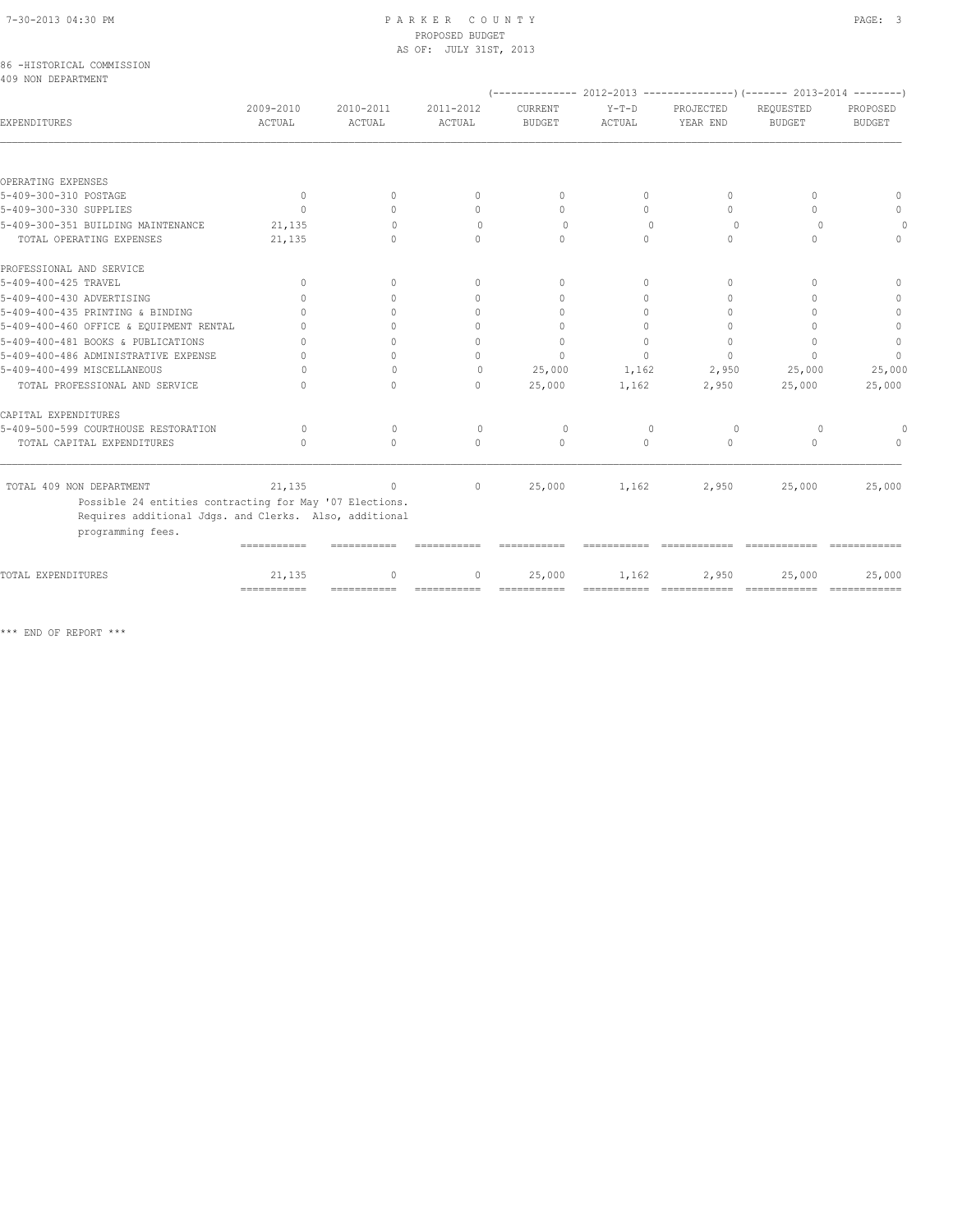|  |                    | 86 -HISTORICAL COMMISSION |
|--|--------------------|---------------------------|
|  | 409 NON DEPARTMENT |                           |

|                                                                                                                                        |                       |                        |                                  |                                  |                      |                                      | $(----------2012-2013---------)$ $(----2013-2014------)$ |                           |
|----------------------------------------------------------------------------------------------------------------------------------------|-----------------------|------------------------|----------------------------------|----------------------------------|----------------------|--------------------------------------|----------------------------------------------------------|---------------------------|
| EXPENDITURES                                                                                                                           | 2009-2010<br>ACTUAL   | 2010-2011<br>ACTUAL    | 2011-2012<br>ACTUAL              | CURRENT<br><b>BUDGET</b>         | $Y-T-D$<br>ACTUAL    | PROJECTED<br>YEAR END                | REOUESTED<br><b>BUDGET</b>                               | PROPOSED<br><b>BUDGET</b> |
|                                                                                                                                        |                       |                        |                                  |                                  |                      |                                      |                                                          |                           |
| OPERATING EXPENSES                                                                                                                     |                       |                        |                                  |                                  |                      |                                      |                                                          |                           |
| 5-409-300-310 POSTAGE                                                                                                                  | $\circ$               | $\Omega$               | $\mathbf{0}$                     | $\mathbf{0}$                     | 0                    | $\begin{array}{c} \n\end{array}$     | 0                                                        | $\bigcap$                 |
| 5-409-300-330 SUPPLIES                                                                                                                 | $\bigcap$             | $\bigcap$              | $\begin{array}{c} \n\end{array}$ | $\bigcap$                        | $\cap$               | $\bigcap$                            | 0                                                        | $\bigcap$                 |
| 5-409-300-351 BUILDING MAINTENANCE                                                                                                     | 21,135                | $\bigcap$              | $\Omega$                         | $\Omega$                         | $\Omega$             | $\Omega$                             | $\Omega$                                                 |                           |
| TOTAL OPERATING EXPENSES                                                                                                               | 21,135                | $\cap$                 | $\bigcap$                        | $\bigcap$                        | $\cap$               | $\bigcap$                            | $\cap$                                                   | $\Omega$                  |
| PROFESSIONAL AND SERVICE                                                                                                               |                       |                        |                                  |                                  |                      |                                      |                                                          |                           |
| 5-409-400-425 TRAVEL                                                                                                                   | $\mathbf{0}$          | $\Omega$               | $\mathbf{0}$                     | $\mathbf{0}$                     | 0                    | $\circ$                              | 0                                                        | $\mathbf{0}$              |
| 5-409-400-430 ADVERTISING                                                                                                              | $\cap$                | $\bigcap$              | $\begin{array}{c} \n\end{array}$ | $\begin{array}{c} \n\end{array}$ | 0                    | $\Omega$                             | 0                                                        | $\Omega$                  |
| 5-409-400-435 PRINTING & BINDING                                                                                                       |                       | $\cap$                 | $\begin{array}{c} \n\end{array}$ | $\Omega$                         | $\bigcap$            | $\Omega$                             |                                                          | $\Omega$                  |
| 5-409-400-460 OFFICE & EQUIPMENT RENTAL                                                                                                |                       | $\bigcap$              | $\begin{array}{c} \n\end{array}$ | $\Omega$                         | $\Omega$             | $\Omega$                             |                                                          | $\mathbf{0}$              |
| 5-409-400-481 BOOKS & PUBLICATIONS                                                                                                     |                       | $\cap$                 | $\Omega$                         | $\Omega$                         | $\Omega$             | $\Omega$                             | $\cap$                                                   | $\mathbf{0}$              |
| 5-409-400-486 ADMINISTRATIVE EXPENSE                                                                                                   | $\Omega$              | $\cap$                 | $\Omega$                         | $\Omega$                         | $\cap$               | $\bigcap$                            | $\bigcap$                                                | $\Omega$                  |
| 5-409-400-499 MISCELLANEOUS                                                                                                            |                       | $\cap$                 | $\mathbf{0}$                     | 25,000                           | 1,162                | 2,950                                | 25,000                                                   | 25,000                    |
| TOTAL PROFESSIONAL AND SERVICE                                                                                                         | $\Omega$              | $\Omega$               | $\begin{array}{c} \n\end{array}$ | 25,000                           | 1,162                | 2,950                                | 25,000                                                   | 25,000                    |
| CAPITAL EXPENDITURES                                                                                                                   |                       |                        |                                  |                                  |                      |                                      |                                                          |                           |
| 5-409-500-599 COURTHOUSE RESTORATION                                                                                                   | $\Omega$              | $\mathbf{0}$           | $\mathbf{0}$                     | $\circ$                          | $\mathbf{0}$         | $\circ$                              | $\Omega$                                                 |                           |
| TOTAL CAPITAL EXPENDITURES                                                                                                             | $\cup$                | $\Omega$               | $\bigcap$                        | $\Omega$                         | $\cap$               | $\Omega$                             | $\cap$                                                   | $\cap$                    |
| TOTAL 409 NON DEPARTMENT                                                                                                               | 21,135                | $\Omega$               | $\mathbf{0}$                     | 25,000                           | 1,162                | 2,950                                | 25,000                                                   | 25,000                    |
| Possible 24 entities contracting for May '07 Elections.<br>Requires additional Jdgs. and Clerks. Also, additional<br>programming fees. |                       |                        |                                  |                                  |                      |                                      |                                                          |                           |
|                                                                                                                                        | ===========           | ===========            |                                  |                                  |                      |                                      |                                                          |                           |
| TOTAL EXPENDITURES                                                                                                                     | 21,135<br>=========== | $\circ$<br>=========== | $\mathbf{0}$<br>============     | 25,000                           | 1,162<br>=========== | 2,950<br>============= ============= | 25,000                                                   | 25,000                    |
|                                                                                                                                        |                       |                        |                                  |                                  |                      |                                      |                                                          |                           |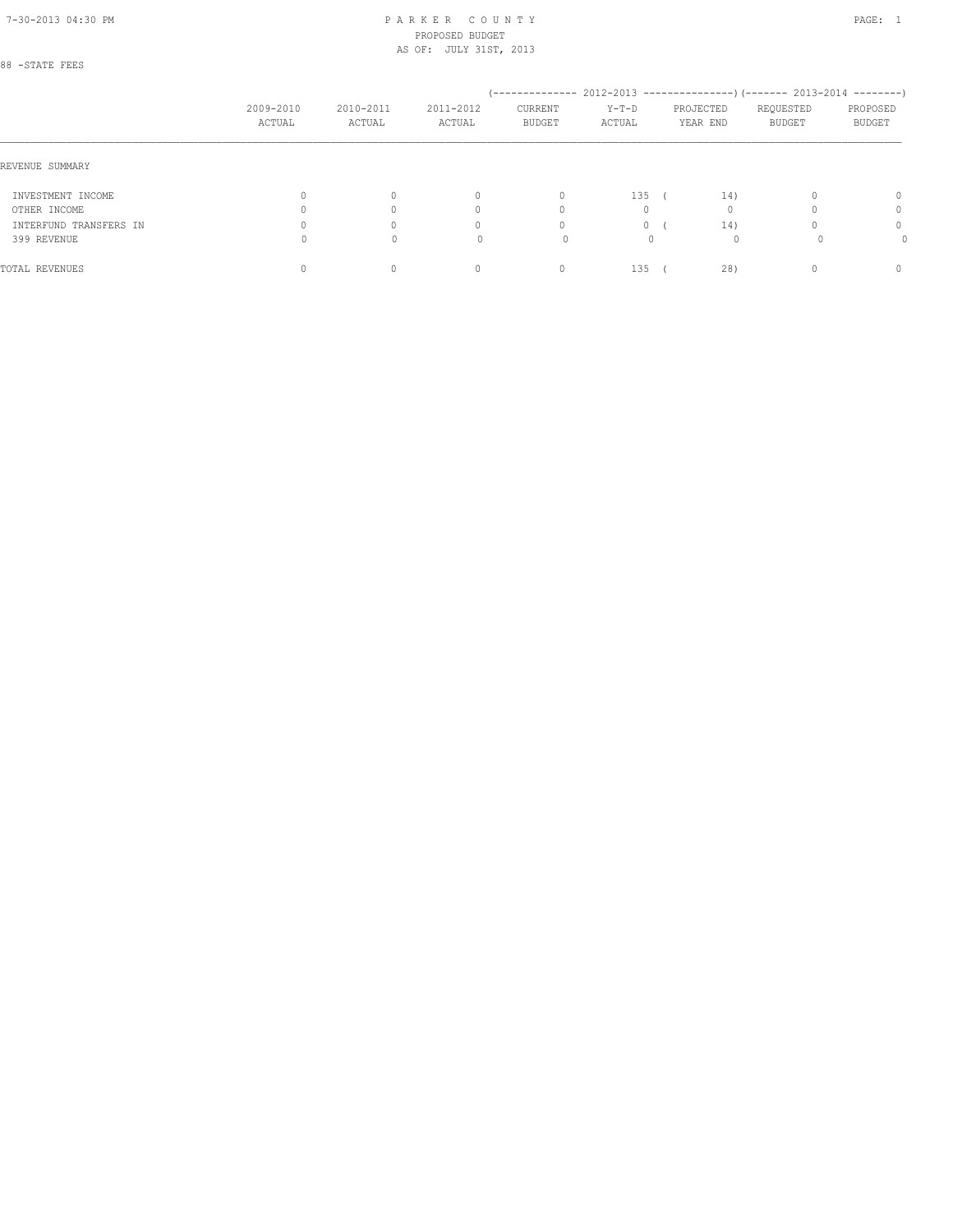# 88 -STATE FEES

|                        | 2009-2010<br>ACTUAL | 2010-2011<br>ACTUAL | 2011-2012<br>ACTUAL              | CURRENT<br><b>BUDGET</b> | $Y-T-D$<br>ACTUAL | PROJECTED<br>YEAR END | -------------- 2012-2013 ----------------) (------- 2013-2014 --------)<br>REQUESTED<br>BUDGET | PROPOSED<br>BUDGET |
|------------------------|---------------------|---------------------|----------------------------------|--------------------------|-------------------|-----------------------|------------------------------------------------------------------------------------------------|--------------------|
| REVENUE SUMMARY        |                     |                     |                                  |                          |                   |                       |                                                                                                |                    |
| INVESTMENT INCOME      |                     | $\circ$             | $\begin{array}{c} \n\end{array}$ | $\mathbf{0}$             | 135               | 14)                   |                                                                                                | 0                  |
| OTHER INCOME           |                     | 0                   | $\Omega$                         | $\Omega$                 |                   |                       |                                                                                                | 0                  |
| INTERFUND TRANSFERS IN |                     | 0                   | $\Omega$                         | $\circ$                  |                   | 14)                   |                                                                                                | 0                  |
| 399 REVENUE            |                     | 0                   | 0                                |                          | 0                 |                       |                                                                                                | 0                  |
| TOTAL REVENUES         |                     | 0                   | 0                                | 0                        | 135               | 28)                   |                                                                                                | 0                  |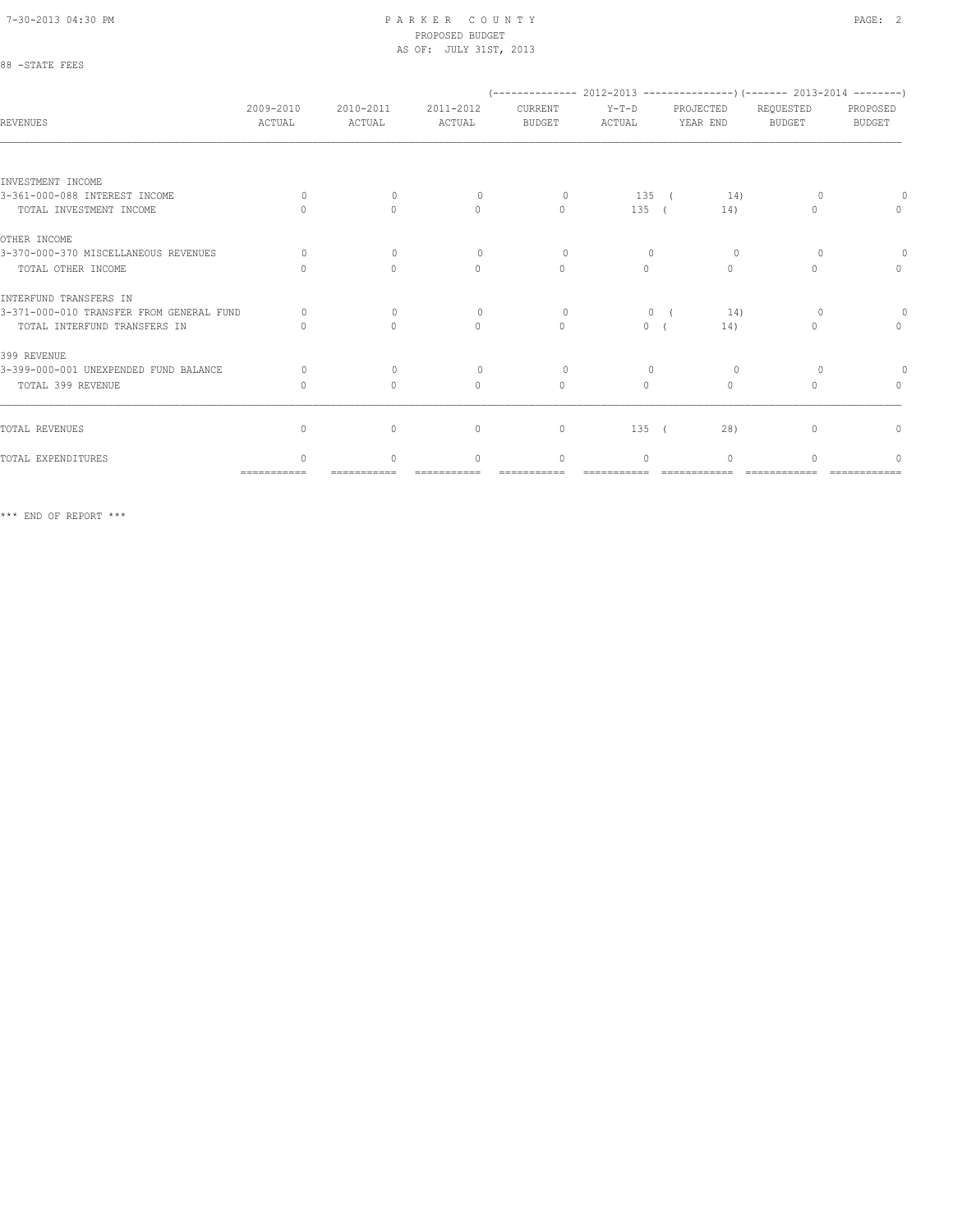88 -STATE FEES

#### 7-30-2013 04:30 PM P A R K E R C O U N T Y PAGE: 2 PROPOSED BUDGET AS OF: JULY 31ST, 2013

| REVENUES                                 | 2009-2010<br>ACTUAL | 2010-2011<br>ACTUAL | 2011-2012<br>ACTUAL              | $(---------- 2012-2013$ ----------------) (------- 2013-2014 --------)<br>CURRENT<br><b>BUDGET</b> | $Y-T-D$<br>ACTUAL | PROJECTED<br>YEAR END | REQUESTED<br><b>BUDGET</b>       | PROPOSED<br><b>BUDGET</b> |
|------------------------------------------|---------------------|---------------------|----------------------------------|----------------------------------------------------------------------------------------------------|-------------------|-----------------------|----------------------------------|---------------------------|
|                                          |                     |                     |                                  |                                                                                                    |                   |                       |                                  |                           |
| INVESTMENT INCOME                        |                     |                     |                                  |                                                                                                    |                   |                       |                                  |                           |
| 3-361-000-088 INTEREST INCOME            | $\Omega$            | $\Omega$            | $\Omega$                         | $\circ$                                                                                            | 135 (             | 14)                   |                                  |                           |
| TOTAL INVESTMENT INCOME                  |                     | $\Omega$            | $\mathbf{0}$                     | $\mathbf{0}$                                                                                       | 135(              | 14)                   | $\begin{array}{c} \n\end{array}$ | $\mathbf{0}$              |
| OTHER INCOME                             |                     |                     |                                  |                                                                                                    |                   |                       |                                  |                           |
| 3-370-000-370 MISCELLANEOUS REVENUES     | $\bigcap$           | $\Omega$            | $\Omega$                         | $\Omega$                                                                                           | $\Omega$          | $\Omega$              | $\Omega$                         |                           |
| TOTAL OTHER INCOME                       | $\Omega$            | $\Omega$            | $\circ$                          | $\mathbf{0}$                                                                                       | $\circ$           | $\Omega$              | $\begin{array}{c} \n\end{array}$ | $\circ$                   |
| INTERFUND TRANSFERS IN                   |                     |                     |                                  |                                                                                                    |                   |                       |                                  |                           |
| 3-371-000-010 TRANSFER FROM GENERAL FUND | $\Omega$            | $\mathbf{0}$        | $\circ$                          | $\circ$                                                                                            | $\Omega$          | 14)                   | 0                                |                           |
| TOTAL INTERFUND TRANSFERS IN             |                     | $\bigcap$           | $\begin{array}{c} \n\end{array}$ | $\Omega$                                                                                           | $\circ$           | 14)                   | $\cap$                           | $\mathbf{0}$              |
| 399 REVENUE                              |                     |                     |                                  |                                                                                                    |                   |                       |                                  |                           |
| 3-399-000-001 UNEXPENDED FUND BALANCE    | $\Omega$            | $\Omega$            | $\Omega$                         | $\Omega$                                                                                           | $\Omega$          | 0                     | $\Omega$                         |                           |
| TOTAL 399 REVENUE                        | 0                   | $\mathbf{0}$        | $\mathbf{0}$                     | $\mathbf{0}$                                                                                       | $\circ$           | $\mathbf{0}$          | n                                | $\mathbf{0}$              |
|                                          |                     |                     |                                  |                                                                                                    |                   |                       |                                  |                           |
| TOTAL REVENUES                           | $\Omega$            | $\circ$             | $\mathbf{0}$                     | $\mathbf{0}$                                                                                       | 135               | 28)                   | $\Omega$                         | 0                         |
| TOTAL EXPENDITURES                       | $\cap$              | $\bigcap$           | $\bigcap$                        | $\mathbf{0}$                                                                                       | $\Omega$          | $\Omega$              |                                  | ∩                         |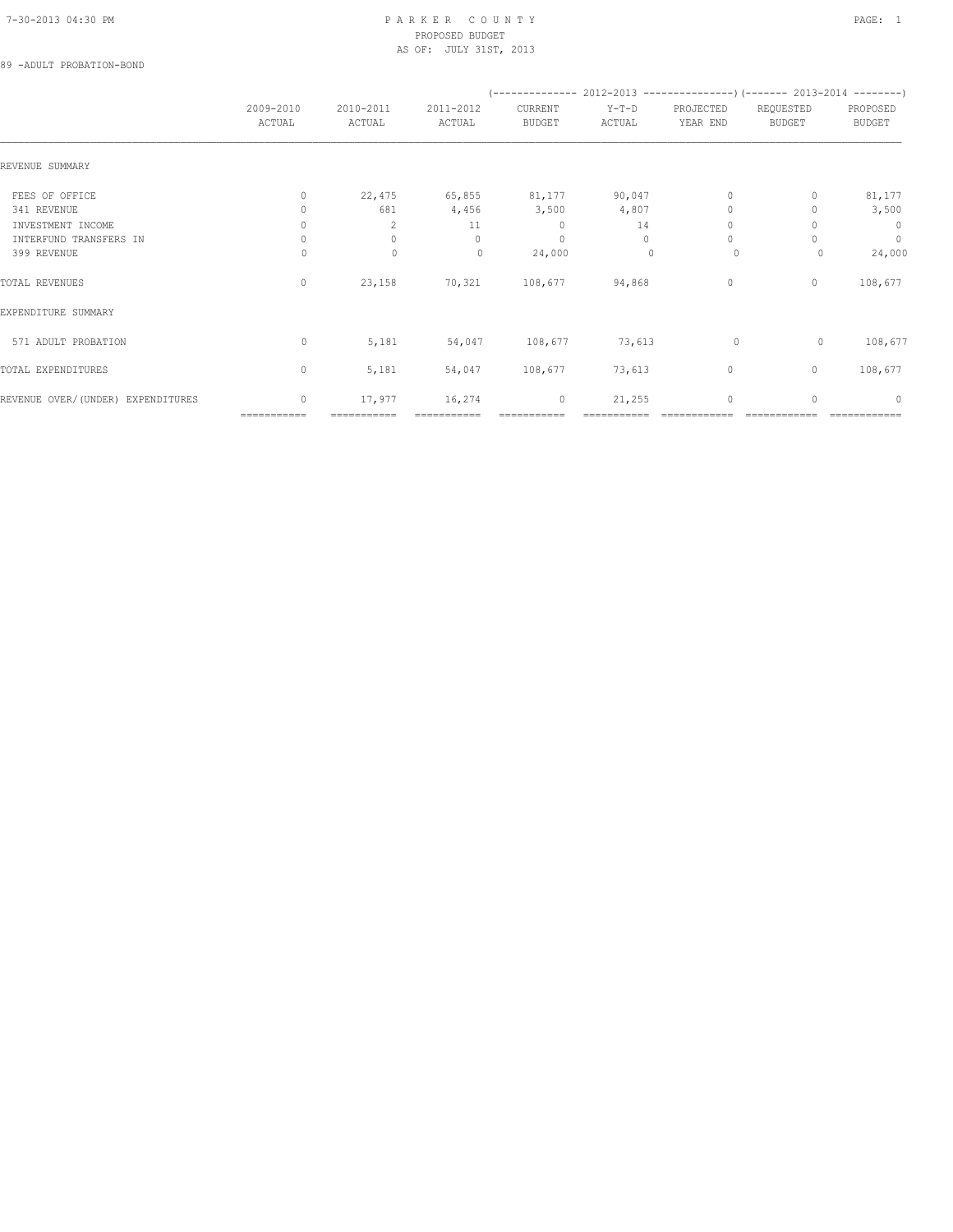## 89 -ADULT PROBATION-BOND

|                                   |                     |                     |                     | $(-$ -------------- 2012-2013 -----------------) (------- 2013-2014 --------) |                   |                                  |                            |                           |
|-----------------------------------|---------------------|---------------------|---------------------|-------------------------------------------------------------------------------|-------------------|----------------------------------|----------------------------|---------------------------|
|                                   | 2009-2010<br>ACTUAL | 2010-2011<br>ACTUAL | 2011-2012<br>ACTUAL | CURRENT<br><b>BUDGET</b>                                                      | $Y-T-D$<br>ACTUAL | PROJECTED<br>YEAR END            | REQUESTED<br><b>BUDGET</b> | PROPOSED<br><b>BUDGET</b> |
| REVENUE SUMMARY                   |                     |                     |                     |                                                                               |                   |                                  |                            |                           |
| FEES OF OFFICE                    | $\circ$             |                     |                     | 22,475 65,855 81,177 90,047                                                   |                   | $\Omega$                         |                            | 81,177                    |
| 341 REVENUE                       | $\Omega$            | 681                 | 4,456               | 3,500                                                                         | 4,807             | $\Omega$                         |                            | 3,500                     |
| INVESTMENT INCOME                 | $\Omega$            | $\mathcal{L}$       | 11                  | $\circ$                                                                       | 14                | $\begin{array}{c} \n\end{array}$ |                            | $\overline{0}$            |
| INTERFUND TRANSFERS IN            | $\mathbf{0}$        | $\mathbf{0}$        | $\circ$             | $\mathbf{0}$                                                                  | $\circ$           | $\circ$                          |                            | $\circ$                   |
| 399 REVENUE                       | 0                   | $\mathbf 0$         | 0                   | 24,000                                                                        | $\mathbf{0}$      | 0                                | $\circ$                    | 24,000                    |
| TOTAL REVENUES                    | $\circ$             | 23,158              |                     | 70,321 108,677 94,868                                                         |                   | $\circ$                          | $\circ$                    | 108,677                   |
| EXPENDITURE SUMMARY               |                     |                     |                     |                                                                               |                   |                                  |                            |                           |
| 571 ADULT PROBATION               | $\circ$             | 5,181               | 54,047              | 108,677                                                                       | 73,613            | $\circ$                          | $\circ$                    | 108,677                   |
| TOTAL EXPENDITURES                | $\mathbf{0}$        | 5,181               | 54,047              | 108,677                                                                       | 73,613            | $\circ$                          | $\circ$                    | 108,677                   |
| REVENUE OVER/(UNDER) EXPENDITURES | $\mathbf{0}$        | 17,977              | 16,274              | $\circ$                                                                       | 21,255            | $\mathbf 0$                      | $\mathbf{0}$               | $\mathbf{0}$              |
|                                   | ===========         |                     |                     |                                                                               |                   |                                  |                            |                           |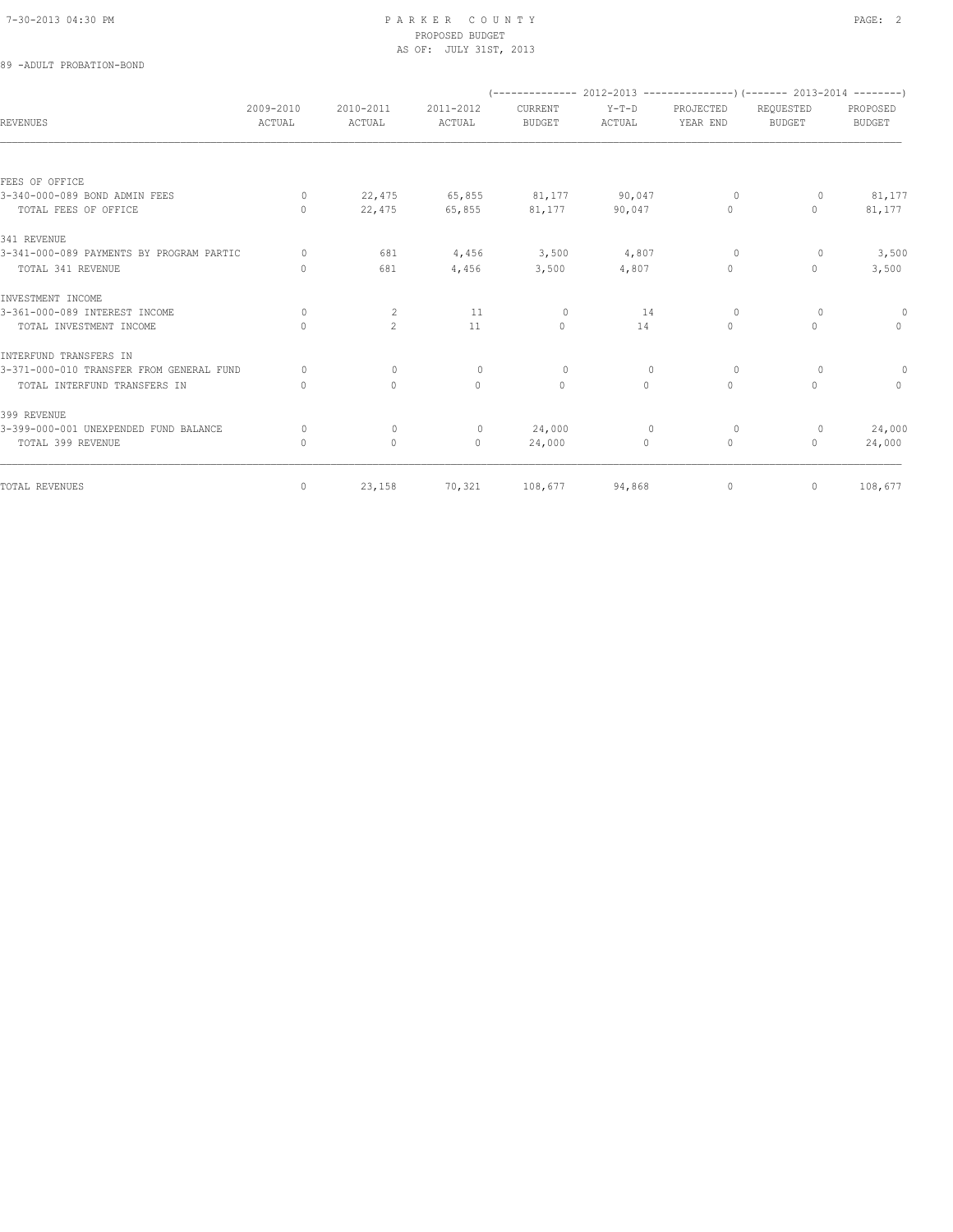| 89 -ADULT PROBATION-BOND                 |                     |                     |                      |                          |                   |                       |                                                                          |                           |
|------------------------------------------|---------------------|---------------------|----------------------|--------------------------|-------------------|-----------------------|--------------------------------------------------------------------------|---------------------------|
|                                          |                     |                     |                      |                          |                   |                       | (-------------- 2012-2013 ----------------) (------- 2013-2014 --------) |                           |
| <b>REVENUES</b>                          | 2009-2010<br>ACTUAL | 2010-2011<br>ACTUAL | 2011-2012<br>ACTUAL  | CURRENT<br><b>BUDGET</b> | $Y-T-D$<br>ACTUAL | PROJECTED<br>YEAR END | REQUESTED<br><b>BUDGET</b>                                               | PROPOSED<br><b>BUDGET</b> |
|                                          |                     |                     |                      |                          |                   |                       |                                                                          |                           |
| FEES OF OFFICE                           |                     |                     |                      |                          |                   |                       |                                                                          |                           |
| 3-340-000-089 BOND ADMIN FEES            | $\circ$             | 22,475              | 65,855               | 81,177                   | 90,047            | $\circ$               | $\circ$                                                                  | 81,177                    |
| TOTAL FEES OF OFFICE                     | $\Omega$            |                     | 22,475 65,855 81,177 |                          | 90,047            | $\circ$               | $\mathbf{0}$                                                             | 81,177                    |
| 341 REVENUE                              |                     |                     |                      |                          |                   |                       |                                                                          |                           |
| 3-341-000-089 PAYMENTS BY PROGRAM PARTIC | $\circ$             | 681                 | $4,456$ 3,500        |                          | 4,807             | $\circ$               | $\circ$                                                                  | 3,500                     |
| TOTAL 341 REVENUE                        | $\mathbf{0}$        | 681                 | 4,456                | 3,500                    | 4,807             | $\circ$               | $\mathbf{0}$                                                             | 3,500                     |
| INVESTMENT INCOME                        |                     |                     |                      |                          |                   |                       |                                                                          |                           |
| 3-361-000-089 INTEREST INCOME            | $\Omega$            | 2                   | 11                   | $\circ$                  | 14                | $\circ$               | $\Omega$                                                                 | $\theta$                  |
| TOTAL INVESTMENT INCOME                  | $\mathbf{0}$        | $\overline{2}$      | 11                   | $\circ$                  | 14                | $\circ$               | $\circ$                                                                  | $\circ$                   |
| INTERFUND TRANSFERS IN                   |                     |                     |                      |                          |                   |                       |                                                                          |                           |
| 3-371-000-010 TRANSFER FROM GENERAL FUND | $\Omega$            | $\Omega$            | $\Omega$             | $\Omega$                 | $\Omega$          | $\Omega$              | $\Omega$                                                                 | $\theta$                  |
| TOTAL INTERFUND TRANSFERS IN             | $\mathbf{0}$        | $\mathbf{0}$        | $\mathbf{0}$         | $\mathbf{0}$             | $\circ$           | $\circ$               | $\circ$                                                                  | $\circ$                   |
| 399 REVENUE                              |                     |                     |                      |                          |                   |                       |                                                                          |                           |
| 3-399-000-001 UNEXPENDED FUND BALANCE    | $\Omega$            | $\Omega$            | $\circ$              | 24,000                   | $\Omega$          | $\circ$               | 0                                                                        | 24,000                    |
| TOTAL 399 REVENUE                        | $\mathbf{0}$        | $\circ$             | $\circ$              | 24,000                   | $\circ$           | $\circ$               | $\Omega$                                                                 | 24,000                    |
| TOTAL REVENUES                           | $\circ$             | 23,158              | 70,321               | 108,677                  | 94,868            | $\circ$               | $\circ$                                                                  | 108,677                   |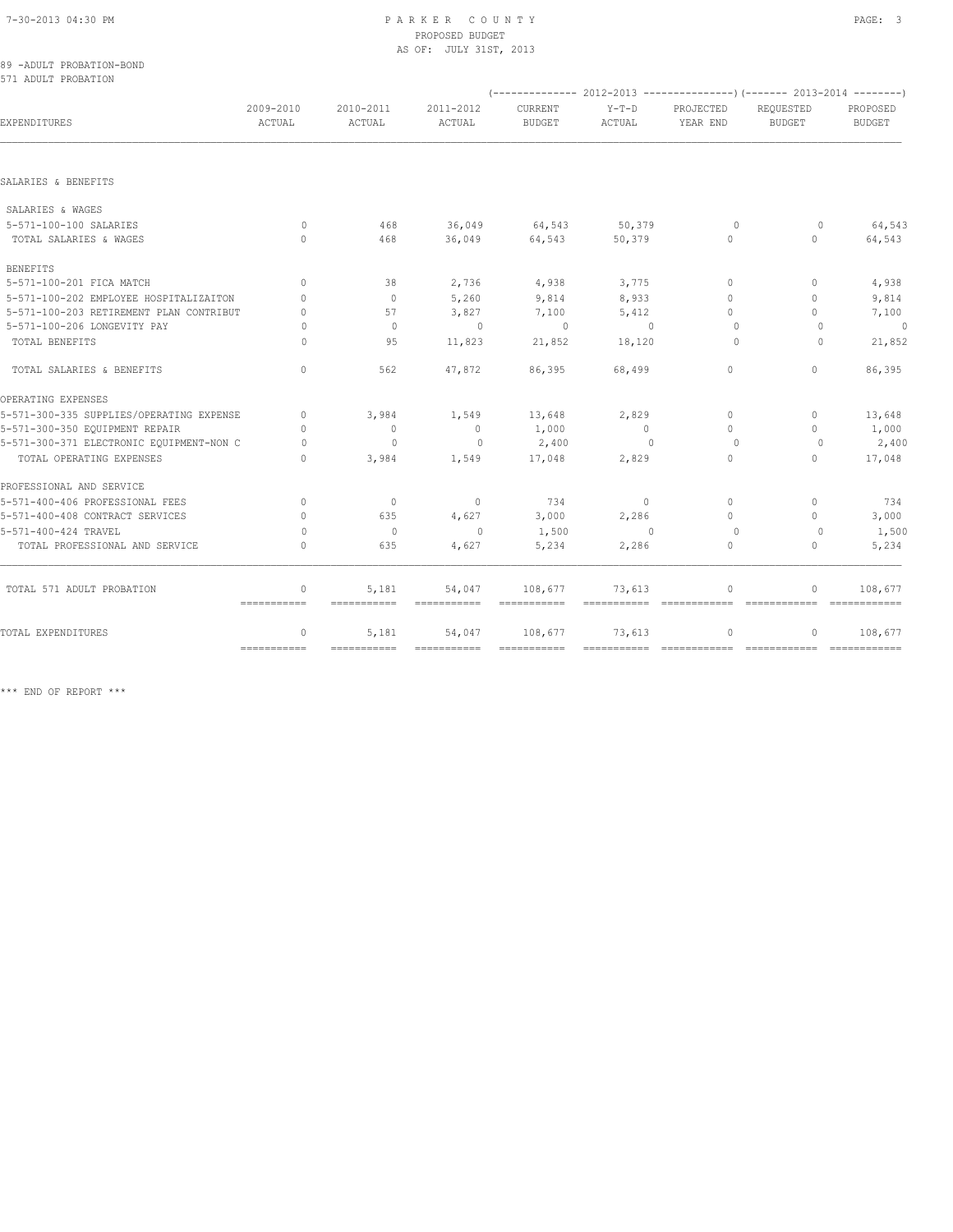|  | 89 -ADULT PROBATION-BOND |
|--|--------------------------|
|  | 571 ADULT PROBATION      |

| 2009-2010<br>2010-2011<br>2011-2012<br>CURRENT<br>EXPENDITURES<br>ACTUAL<br><b>BUDGET</b><br>ACTUAL<br>ACTUAL | $Y-T-D$<br>ACTUAL       | PROJECTED<br>YEAR END            | REOUESTED                        | PROPOSED      |
|---------------------------------------------------------------------------------------------------------------|-------------------------|----------------------------------|----------------------------------|---------------|
|                                                                                                               |                         |                                  | <b>BUDGET</b>                    | <b>BUDGET</b> |
|                                                                                                               |                         |                                  |                                  |               |
| SALARIES & BENEFITS                                                                                           |                         |                                  |                                  |               |
| SALARIES & WAGES                                                                                              |                         |                                  |                                  |               |
| 5-571-100-100 SALARIES<br>36,049<br>64,543<br>$\Omega$<br>468                                                 | 50,379                  | $\circ$                          | $\circ$                          | 64,543        |
| TOTAL SALARIES & WAGES<br>0<br>36,049<br>64,543<br>468                                                        | 50,379                  | 0                                | 0                                | 64,543        |
| <b>BENEFITS</b>                                                                                               |                         |                                  |                                  |               |
| 2,736<br>4,938<br>5-571-100-201 FICA MATCH<br>38<br>$\Omega$                                                  | 3,775                   | $\Omega$                         | $\begin{array}{c} \n\end{array}$ | 4,938         |
| 5-571-100-202 EMPLOYEE HOSPITALIZAITON<br>5,260<br>9,814<br>$\circ$<br>$\Omega$                               | 8,933                   | $\Omega$                         | $\circ$                          | 9,814         |
| 5-571-100-203 RETIREMENT PLAN CONTRIBUT<br>57<br>3,827<br>7,100<br>0                                          | 5,412                   | $\Omega$                         | $\Omega$                         | 7,100         |
| 5-571-100-206 LONGEVITY PAY<br>$\mathbf{0}$<br>$\mathbf{0}$<br>$\Omega$                                       | $\circ$<br>$\mathbf{0}$ | 0                                | 0                                | $\circ$       |
| TOTAL BENEFITS<br>11,823<br>95<br>21,852<br>$\bigcap$                                                         | 18,120                  | $\Omega$                         | $\Omega$                         | 21,852        |
| TOTAL SALARIES & BENEFITS<br>$\Omega$<br>562<br>47,872<br>86,395                                              | 68,499                  | $\circ$                          | 0                                | 86,395        |
| OPERATING EXPENSES                                                                                            |                         |                                  |                                  |               |
| 5-571-300-335 SUPPLIES/OPERATING EXPENSE<br>$\Omega$<br>3,984<br>1,549<br>13,648                              | 2,829                   | 0                                | $\mathbf{0}$                     | 13,648        |
| 5-571-300-350 EQUIPMENT REPAIR<br>1,000<br>$\Omega$<br>$\overline{0}$<br>$\circ$                              | - 0                     | $\begin{array}{c} \n\end{array}$ | 0                                | 1,000         |
| 2,400<br>5-571-300-371 ELECTRONIC EQUIPMENT-NON C<br>$\Omega$<br>$\mathbf{0}$<br>$\circ$                      | $\Omega$                | $\Omega$                         | $\Omega$                         | 2,400         |
| TOTAL OPERATING EXPENSES<br>3,984<br>1,549<br>17,048<br>$\Omega$                                              | 2,829                   | 0                                | 0                                | 17,048        |
| PROFESSIONAL AND SERVICE                                                                                      |                         |                                  |                                  |               |
| 5-571-400-406 PROFESSIONAL FEES<br>$\overline{0}$<br>734<br>$\Omega$<br>$\overline{0}$                        | $\sim$ 0                | $\Omega$                         | $\Omega$                         | 734           |
| 5-571-400-408 CONTRACT SERVICES<br>635<br>4,627<br>3,000<br>$\cup$                                            | 2,286                   | $\bigcap$                        | $\begin{array}{c} \n\end{array}$ | 3,000         |
| 5-571-400-424 TRAVEL<br>$\overline{0}$<br>1,500<br>$\circ$<br>$\Omega$                                        | $\mathbf{0}$            | $\circ$                          | $\circ$                          | 1,500         |
| TOTAL PROFESSIONAL AND SERVICE<br>635<br>4,627<br>5,234<br>0                                                  | 2,286                   | 0                                | 0                                | 5,234         |
| TOTAL 571 ADULT PROBATION<br>$\mathbb O$<br>5,181<br>54,047<br>108,677                                        | 73,613                  | $\Omega$                         | 0                                | 108,677       |
| $=$ = = = = = = = = = = =<br>===========<br>===========                                                       | $=$ ===========         | =============                    | =============                    |               |
| 5,181<br>54,047<br>108,677<br>TOTAL EXPENDITURES<br>$\mathbf{0}$<br>$=$ = = = = = = = = = = =                 | 73,613                  | 0<br>============                | 0<br>-------------               | 108,677       |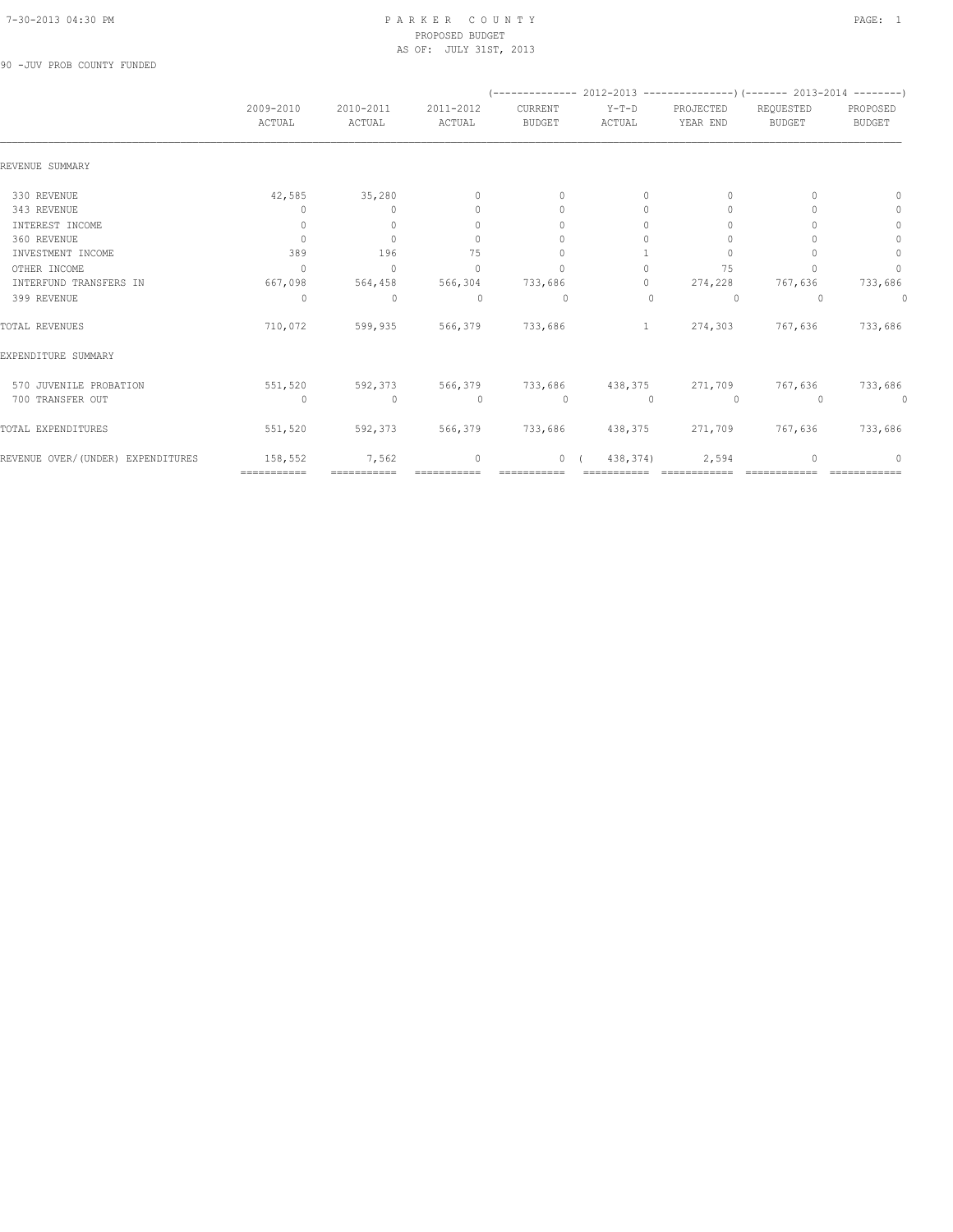90 -JUV PROB COUNTY FUNDED

|                                   |                                  |                                  |                                  |                                  | (-------------- 2012-2013 -----------------) (------- 2013-2014 --------) |                                  |                            |                           |
|-----------------------------------|----------------------------------|----------------------------------|----------------------------------|----------------------------------|---------------------------------------------------------------------------|----------------------------------|----------------------------|---------------------------|
|                                   | 2009-2010<br>ACTUAL              | 2010-2011<br>ACTUAL              | 2011-2012<br>ACTUAL              | CURRENT<br><b>BUDGET</b>         | $Y-T-D$<br>ACTUAL                                                         | PROJECTED<br>YEAR END            | REQUESTED<br><b>BUDGET</b> | PROPOSED<br><b>BUDGET</b> |
| REVENUE SUMMARY                   |                                  |                                  |                                  |                                  |                                                                           |                                  |                            |                           |
| 330 REVENUE                       | 42,585                           | 35,280                           | $\mathbf{0}$                     | $\mathbf{0}$                     | 0                                                                         | 0                                | n                          | $\Omega$                  |
| 343 REVENUE                       | 0                                | $\Omega$                         | $\begin{array}{c} \n\end{array}$ | $\begin{array}{c} \n\end{array}$ | $\Omega$                                                                  | $\begin{array}{c} \n\end{array}$ |                            | 0                         |
| INTEREST INCOME                   | $\Omega$                         | $\Omega$                         | $\begin{array}{c} \n\end{array}$ | $\Omega$                         | $\Omega$                                                                  | $\cup$                           |                            | $\mathbf{0}$              |
| 360 REVENUE                       | $\mathbf{0}$                     | $\Omega$                         | $\mathbf{0}$                     | $\Omega$                         | $\Omega$                                                                  | $\Omega$                         |                            | $\mathbf{0}$              |
| INVESTMENT INCOME                 | 389                              | 196                              | 75                               | $\mathbf{0}$                     |                                                                           | $\Omega$                         |                            | 0                         |
| OTHER INCOME                      | $\begin{array}{c} \n\end{array}$ | $\begin{array}{c} \n\end{array}$ | $\begin{array}{c} \n\end{array}$ | $\bigcap$                        | 0                                                                         | 75                               |                            | $\mathbf{0}$              |
| INTERFUND TRANSFERS IN            | 667,098                          | 564,458                          | 566,304                          | 733,686                          | $\circ$                                                                   | 274,228                          | 767,636                    | 733,686                   |
| 399 REVENUE                       | $\Omega$                         | $\mathbf{0}$                     | $\Omega$                         | $\Omega$                         | $\Omega$                                                                  | $\Omega$                         | $\Omega$                   | 0                         |
| TOTAL REVENUES                    | 710,072                          | 599,935                          | 566,379                          | 733,686                          | $\mathbf{1}$                                                              | 274,303                          | 767,636                    | 733,686                   |
| EXPENDITURE SUMMARY               |                                  |                                  |                                  |                                  |                                                                           |                                  |                            |                           |
| 570 JUVENILE PROBATION            | 551,520                          | 592,373                          | 566,379                          | 733,686                          |                                                                           | 438,375 271,709                  | 767,636                    | 733,686                   |
| 700 TRANSFER OUT                  | $\circ$                          | $\mathbf{0}$                     | $\circ$                          | $\circ$                          | $\mathbf{0}$                                                              | $\circ$                          | $\Omega$                   | 0                         |
| TOTAL EXPENDITURES                | 551,520                          | 592,373                          | 566,379                          | 733,686                          | 438,375                                                                   | 271,709                          | 767,636                    | 733,686                   |
| REVENUE OVER/(UNDER) EXPENDITURES | 158,552                          | 7,562                            | $\mathbf{0}$                     | $\overline{0}$                   | 438,374)                                                                  | 2,594                            |                            | 0                         |
|                                   | ============                     | ===========                      |                                  | <b>:=======</b>                  |                                                                           |                                  |                            |                           |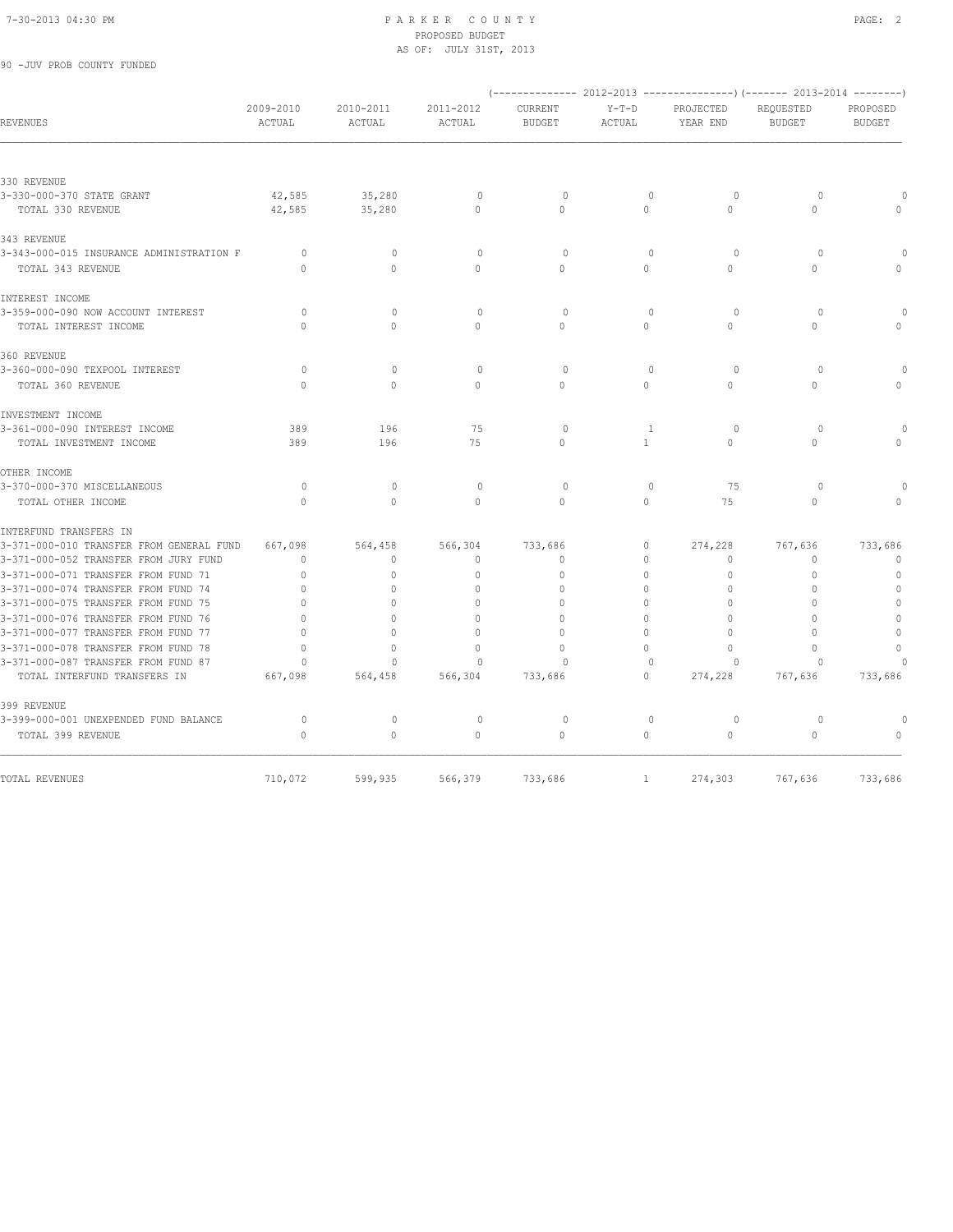90 -JUV PROB COUNTY FUNDED

#### 7-30-2013 04:30 PM P A R K E R C O U N T Y PAGE: 2 PROPOSED BUDGET AS OF: JULY 31ST, 2013

|                                          |                     |                     |                     |                          |                   |                       | (-------------- 2012-2013 ----------------) (------- 2013-2014 --------) |                           |
|------------------------------------------|---------------------|---------------------|---------------------|--------------------------|-------------------|-----------------------|--------------------------------------------------------------------------|---------------------------|
| <b>REVENUES</b>                          | 2009-2010<br>ACTUAL | 2010-2011<br>ACTUAL | 2011-2012<br>ACTUAL | CURRENT<br><b>BUDGET</b> | $Y-T-D$<br>ACTUAL | PROJECTED<br>YEAR END | REQUESTED<br><b>BUDGET</b>                                               | PROPOSED<br><b>BUDGET</b> |
|                                          |                     |                     |                     |                          |                   |                       |                                                                          |                           |
| 330 REVENUE                              |                     |                     |                     |                          |                   |                       |                                                                          |                           |
| 3-330-000-370 STATE GRANT                | 42,585              | 35,280              | $\circ$             | $\circ$                  | $\mathbf{0}$      | $\circ$               | $\circ$                                                                  |                           |
| TOTAL 330 REVENUE                        | 42,585              | 35,280              | $\circ$             | $\Omega$                 | $\circ$           | $\Omega$              | $\Omega$                                                                 |                           |
| 343 REVENUE                              |                     |                     |                     |                          |                   |                       |                                                                          |                           |
| 3-343-000-015 INSURANCE ADMINISTRATION F | $\circ$             | $\circ$             | $\circ$             | $\mathbf 0$              | $\mathbf{0}$      | $\circ$               | $\circ$                                                                  |                           |
| TOTAL 343 REVENUE                        | $\Omega$            | $\Omega$            | $\Omega$            | $\Omega$                 | $\Omega$          | $\Omega$              | $\Omega$                                                                 |                           |
| INTEREST INCOME                          |                     |                     |                     |                          |                   |                       |                                                                          |                           |
| 3-359-000-090 NOW ACCOUNT INTEREST       | $\circ$             | $\mathbb O$         | $\circ$             | $\mathbf 0$              | $\mathbf{0}$      | $\circ$               | $\circ$                                                                  |                           |
| TOTAL INTEREST INCOME                    | $\Omega$            | $\Omega$            | $\Omega$            | $\Omega$                 | $\Omega$          | $\Omega$              | $\Omega$                                                                 |                           |
| 360 REVENUE                              |                     |                     |                     |                          |                   |                       |                                                                          |                           |
| 3-360-000-090 TEXPOOL INTEREST           | $\circ$             | $\mathbf{0}$        | $\circ$             | $\circ$                  | $\mathbf{0}$      | $\circ$               | $\circ$                                                                  |                           |
| TOTAL 360 REVENUE                        | $\Omega$            | $\Omega$            | $\Omega$            | $\Omega$                 | $\Omega$          | $\Omega$              | $\Omega$                                                                 | $\cap$                    |
| INVESTMENT INCOME                        |                     |                     |                     |                          |                   |                       |                                                                          |                           |
| 3-361-000-090 INTEREST INCOME            | 389                 | 196                 | 75                  | $\circ$                  | $\mathbf{1}$      | $\circ$               | $\circ$                                                                  |                           |
| TOTAL INVESTMENT INCOME                  | 389                 | 196                 | 75                  | $\Omega$                 | $\mathbf{1}$      | $\circ$               | $\circ$                                                                  | $\cap$                    |
| OTHER INCOME                             |                     |                     |                     |                          |                   |                       |                                                                          |                           |
| 3-370-000-370 MISCELLANEOUS              | $\circ$             | $\circ$             | $\circ$             | $\circ$                  | $\mathbf{0}$      | 75                    | $\circ$                                                                  |                           |
| TOTAL OTHER INCOME                       | $\Omega$            | $\Omega$            | $\Omega$            | $\Omega$                 | $\circ$           | 75                    | $\mathbf{0}$                                                             | $\cap$                    |
| INTERFUND TRANSFERS IN                   |                     |                     |                     |                          |                   |                       |                                                                          |                           |
| 3-371-000-010 TRANSFER FROM GENERAL FUND | 667,098             | 564,458             | 566,304             | 733,686                  | 0                 | 274,228               | 767,636                                                                  | 733,686                   |
| 3-371-000-052 TRANSFER FROM JURY FUND    | $\mathbf{0}$        | $\circ$             | $\mathbf{0}$        | $\mathbf{0}$             | $\circ$           | 0                     | $\mathbf{0}$                                                             | $\mathbf 0$               |
| 3-371-000-071 TRANSFER FROM FUND 71      | $\mathbf 0$         | $\circ$             | $\mathbf{0}$        | $\circ$                  | $\circ$           | $\mathbf{0}$          | $\mathbf{0}$                                                             | $\mathbb O$               |
| 3-371-000-074 TRANSFER FROM FUND 74      | $\mathbf{0}$        | $\Omega$            | $\mathbf{0}$        | $\Omega$                 | 0                 | 0                     | $\mathbf{0}$                                                             | $\mathbf{0}$              |
| 3-371-000-075 TRANSFER FROM FUND 75      | $\Omega$            | $\Omega$            | $\Omega$            | $\Omega$                 | $\Omega$          | $\Omega$              | $\Omega$                                                                 | $\mathbf{0}$              |
| 3-371-000-076 TRANSFER FROM FUND 76      | $\mathbf{0}$        | $\circ$             | $\mathbf{0}$        | $\mathbf{0}$             | $\circ$           | $\mathbf{0}$          | $\Omega$                                                                 | $\mathbf{0}$              |
| 3-371-000-077 TRANSFER FROM FUND 77      | $\Omega$            | $\cap$              | $\Omega$            | $\Omega$                 | $\Omega$          | $\Omega$              | $\bigcap$                                                                | $\mathbb O$               |
| 3-371-000-078 TRANSFER FROM FUND 78      | $\cap$              | $\Omega$            | $\Omega$            | $\cap$                   | $\Omega$          | $\Omega$              | $\bigcap$                                                                | $\Omega$                  |
| 3-371-000-087 TRANSFER FROM FUND 87      | $\Omega$            | $\Omega$            | $\Omega$            | $\Omega$                 | $\Omega$          | $\Omega$              | $\Omega$                                                                 | $\cap$                    |
| TOTAL INTERFUND TRANSFERS IN             | 667,098             | 564,458             | 566,304             | 733,686                  | $\circ$           | 274,228               | 767,636                                                                  | 733,686                   |
| 399 REVENUE                              |                     |                     |                     |                          |                   |                       |                                                                          |                           |
| 3-399-000-001 UNEXPENDED FUND BALANCE    | $\circ$             | $\mathbf{0}$        | $\circ$             | $\circ$                  | $\mathbf{0}$      | $\circ$               | $\circ$                                                                  | $\Omega$                  |
| TOTAL 399 REVENUE                        | $\mathbf{0}$        | $\circ$             | $\circ$             | $\circ$                  | $\circ$           | $\mathbb O$           | $\circ$                                                                  | $\mathbf{0}$              |
|                                          |                     |                     |                     |                          |                   |                       |                                                                          |                           |
| TOTAL REVENUES                           | 710,072             | 599,935             | 566,379             | 733,686                  | 1                 | 274,303               | 767,636                                                                  | 733,686                   |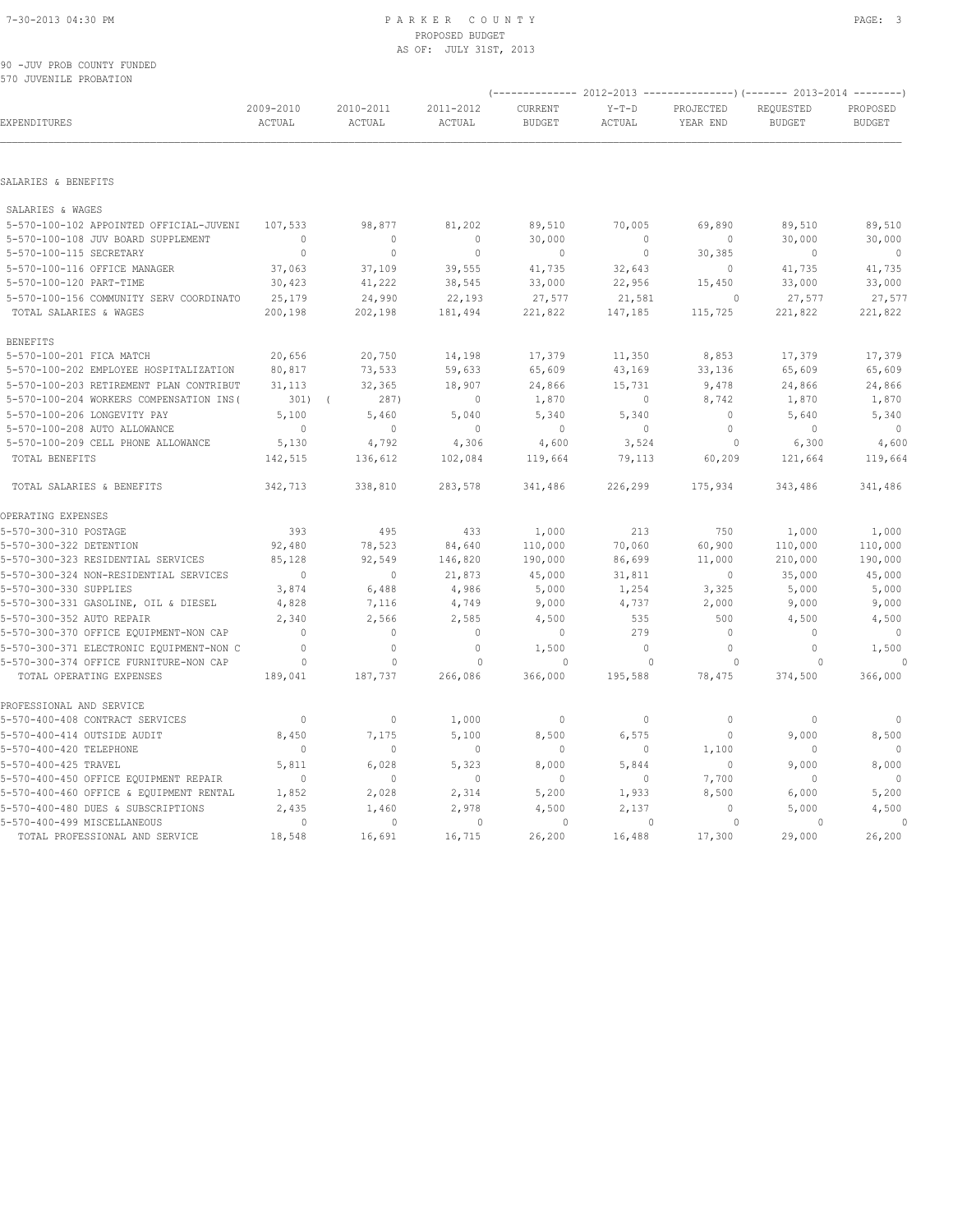90 -JUV PROB COUNTY FUNDED 570 JUVENILE PROBATION

|                                                                    |                     |                         |                         | $--------- 2012-2013$    |                         |                       | ---------------) (------- 2013-2014 --------) |                           |
|--------------------------------------------------------------------|---------------------|-------------------------|-------------------------|--------------------------|-------------------------|-----------------------|-----------------------------------------------|---------------------------|
| EXPENDITURES                                                       | 2009-2010<br>ACTUAL | 2010-2011<br>ACTUAL     | 2011-2012<br>ACTUAL     | CURRENT<br><b>BUDGET</b> | $Y-T-D$<br>ACTUAL       | PROJECTED<br>YEAR END | REQUESTED<br><b>BUDGET</b>                    | PROPOSED<br><b>BUDGET</b> |
| SALARIES & BENEFITS                                                |                     |                         |                         |                          |                         |                       |                                               |                           |
| SALARIES & WAGES                                                   |                     |                         |                         |                          |                         |                       |                                               |                           |
| 5-570-100-102 APPOINTED OFFICIAL-JUVENI                            | 107,533             | 98,877                  | 81,202                  | 89,510                   | 70,005                  | 69,890                | 89,510                                        | 89,510                    |
| 5-570-100-108 JUV BOARD SUPPLEMENT                                 | $\mathbf{0}$        | $\circ$                 | $\mathbf 0$             | 30,000                   | $\circ$                 | 0                     | 30,000                                        | 30,000                    |
| 5-570-100-115 SECRETARY                                            | $\circ$             | $\circ$                 | $\mathbf 0$             | $\mathbf 0$              | $\circ$                 | 30,385                | $\mathbf 0$                                   | $\overline{\phantom{0}}$  |
| 5-570-100-116 OFFICE MANAGER                                       | 37,063              | 37,109                  | 39,555                  | 41,735                   | 32,643                  | $\mathbb O$           | 41,735                                        | 41,735                    |
| 5-570-100-120 PART-TIME                                            | 30,423              | 41,222                  | 38,545                  | 33,000                   | 22,956                  | 15,450                | 33,000                                        | 33,000                    |
| 5-570-100-156 COMMUNITY SERV COORDINATO                            | 25,179              | 24,990                  | 22,193                  | 27,577                   | 21,581                  | $\mathbf{0}$          | 27,577                                        | 27,577                    |
| TOTAL SALARIES & WAGES                                             | 200,198             | 202,198                 | 181,494                 | 221,822                  | 147,185                 | 115,725               | 221,822                                       | 221,822                   |
| <b>BENEFITS</b>                                                    |                     |                         |                         |                          |                         |                       |                                               |                           |
| 5-570-100-201 FICA MATCH                                           | 20,656              | 20,750                  | 14,198                  | 17,379                   | 11,350                  | 8,853                 | 17,379                                        | 17,379                    |
| 5-570-100-202 EMPLOYEE HOSPITALIZATION                             | 80,817              | 73,533                  | 59,633                  | 65,609                   | 43,169                  | 33,136                | 65,609                                        | 65,609                    |
| 5-570-100-203 RETIREMENT PLAN CONTRIBUT                            | 31,113              | 32,365                  | 18,907                  | 24,866                   | 15,731                  | 9,478                 | 24,866                                        | 24,866                    |
| 5-570-100-204 WORKERS COMPENSATION INS (                           | 301)                | 287)<br>$\sqrt{ }$      | $\mathbf 0$             | 1,870                    | $\circ$                 | 8,742                 | 1,870                                         | 1,870                     |
| 5-570-100-206 LONGEVITY PAY                                        | 5,100               | 5,460                   | 5,040                   | 5,340                    | 5,340                   | $\circ$               | 5,640                                         | 5,340                     |
| 5-570-100-208 AUTO ALLOWANCE                                       | $\mathbf 0$         | $\mathbf{0}$            | $\mathbf{0}$            | $\mathbf{0}$             | $\circ$                 | $\circ$               | $\mathbf{0}$                                  | $\mathbf{0}$              |
| 5-570-100-209 CELL PHONE ALLOWANCE                                 | 5,130               | 4,792                   | 4,306                   | 4,600                    | 3,524                   | 0                     | 6,300                                         | 4,600                     |
| TOTAL BENEFITS                                                     | 142,515             | 136,612                 | 102,084                 | 119,664                  | 79,113                  | 60,209                | 121,664                                       | 119,664                   |
| TOTAL SALARIES & BENEFITS                                          | 342,713             | 338,810                 | 283,578                 | 341,486                  | 226,299                 | 175,934               | 343,486                                       | 341,486                   |
| OPERATING EXPENSES                                                 |                     |                         |                         |                          |                         |                       |                                               |                           |
| 5-570-300-310 POSTAGE                                              | 393                 | 495                     | 433                     | 1,000                    | 213                     | 750                   | 1,000                                         | 1,000                     |
| 5-570-300-322 DETENTION                                            | 92,480              | 78,523                  | 84,640                  | 110,000                  | 70,060                  | 60,900                | 110,000                                       | 110,000                   |
| 5-570-300-323 RESIDENTIAL SERVICES                                 | 85,128              | 92,549                  | 146,820                 | 190,000                  | 86,699                  | 11,000                | 210,000                                       | 190,000                   |
| 5-570-300-324 NON-RESIDENTIAL SERVICES                             | $\circ$             | $\circ$                 | 21,873                  | 45,000                   | 31,811                  | $\mathbf 0$           | 35,000                                        | 45,000                    |
| 5-570-300-330 SUPPLIES                                             | 3,874               | 6,488                   | 4,986                   | 5,000                    | 1,254                   | 3,325                 | 5,000                                         | 5,000                     |
| 5-570-300-331 GASOLINE, OIL & DIESEL                               | 4,828               | 7,116                   | 4,749                   | 9,000                    | 4,737                   | 2,000                 | 9,000                                         | 9,000                     |
| 5-570-300-352 AUTO REPAIR                                          | 2,340               | 2,566                   | 2,585                   | 4,500                    | 535                     | 500                   | 4,500                                         | 4,500                     |
| 5-570-300-370 OFFICE EQUIPMENT-NON CAP                             | $\Omega$            | $\mathbf{0}$            | $\mathbf{0}$            | $\mathbf 0$              | 279                     | $\mathbf{0}$          | $\Omega$                                      | $\mathbf{0}$              |
| 5-570-300-371 ELECTRONIC EQUIPMENT-NON C                           | $\Omega$            | $\Omega$                | $\mathbf{0}$            | 1,500                    | $\Omega$                | $\Omega$              | $\circ$                                       | 1,500                     |
| 5-570-300-374 OFFICE FURNITURE-NON CAP<br>TOTAL OPERATING EXPENSES | $\circ$<br>189,041  | $\mathbf{0}$<br>187,737 | $\mathbf{0}$<br>266,086 | $\Omega$<br>366,000      | $\mathbf{0}$<br>195,588 | $\circ$<br>78,475     | $\circ$<br>374,500                            | 366,000                   |
| PROFESSIONAL AND SERVICE                                           |                     |                         |                         |                          |                         |                       |                                               |                           |
| 5-570-400-408 CONTRACT SERVICES                                    | $\mathbf{0}$        | $\mathbb O$             | 1,000                   | $\circ$                  | $\circ$                 | 0                     | 0                                             | 0                         |
| 5-570-400-414 OUTSIDE AUDIT                                        | 8,450               | 7,175                   | 5,100                   | 8,500                    | 6,575                   | $\mathbf 0$           | 9,000                                         | 8,500                     |
| 5-570-400-420 TELEPHONE                                            | $\Omega$            | $\mathbf{0}$            | $\mathbf{0}$            | $\mathbf{0}$             | 0                       | 1,100                 | $\mathbf{0}$                                  |                           |
| 5-570-400-425 TRAVEL                                               | 5,811               | 6,028                   | 5,323                   | 8,000                    | 5,844                   | $\circ$               | 9,000                                         | 8,000                     |
| 5-570-400-450 OFFICE EQUIPMENT REPAIR                              | $\mathbf{0}$        | $\mathbf 0$             | $\mathbf 0$             | 0                        | 0                       | 7,700                 | 0                                             |                           |
| 5-570-400-460 OFFICE & EQUIPMENT RENTAL                            | 1,852               | 2,028                   | 2,314                   | 5,200                    | 1,933                   | 8,500                 | 6,000                                         | 5,200                     |
| 5-570-400-480 DUES & SUBSCRIPTIONS                                 | 2,435               | 1,460                   | 2,978                   | 4,500                    | 2,137                   | $\Omega$              | 5,000                                         | 4,500                     |
| 5-570-400-499 MISCELLANEOUS                                        | $\circ$             | $\mathbf{0}$            | $\circ$                 | $\circ$                  | $\mathbf{0}$            | $\circ$               | 0                                             | $\Omega$                  |
| TOTAL PROFESSIONAL AND SERVICE                                     | 18,548              | 16,691                  | 16,715                  | 26,200                   | 16,488                  | 17,300                | 29,000                                        | 26,200                    |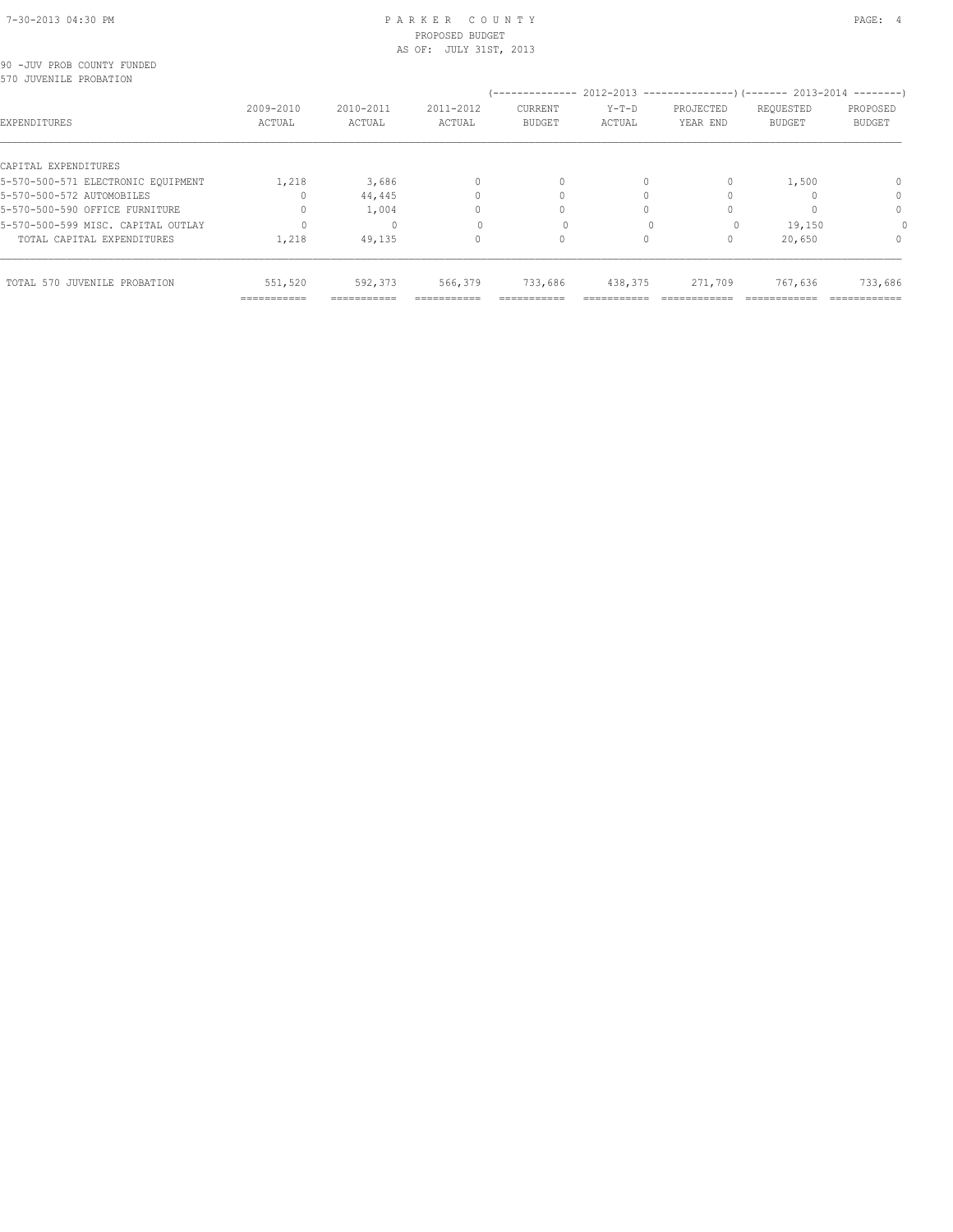|  | 90 -JUV PROB COUNTY FUNDED |  |
|--|----------------------------|--|
|  | 570 JUVENILE PROBATION     |  |

| 570 JUVENILE PROBATION             |                           |                     |                     |                          |                   |                                                           |                            |                           |
|------------------------------------|---------------------------|---------------------|---------------------|--------------------------|-------------------|-----------------------------------------------------------|----------------------------|---------------------------|
|                                    |                           |                     |                     | --------------           |                   | $2012-2013$ ---------------) (------- 2013-2014 --------) |                            |                           |
| EXPENDITURES                       | 2009-2010<br>ACTUAL       | 2010-2011<br>ACTUAL | 2011-2012<br>ACTUAL | CURRENT<br><b>BUDGET</b> | $Y-T-D$<br>ACTUAL | PROJECTED<br>YEAR END                                     | REQUESTED<br><b>BUDGET</b> | PROPOSED<br><b>BUDGET</b> |
| CAPITAL EXPENDITURES               |                           |                     |                     |                          |                   |                                                           |                            |                           |
| 5-570-500-571 ELECTRONIC EQUIPMENT | 1,218                     | 3,686               |                     | 0                        | 0                 | $\begin{array}{c} \n\end{array}$                          | 1,500                      |                           |
| 5-570-500-572 AUTOMOBILES          |                           | 44,445              |                     |                          |                   |                                                           |                            | 0                         |
| 5-570-500-590 OFFICE FURNITURE     |                           | 1,004               |                     |                          |                   |                                                           |                            | 0                         |
| 5-570-500-599 MISC. CAPITAL OUTLAY |                           |                     |                     |                          |                   | $\Omega$                                                  | 19,150                     |                           |
| TOTAL CAPITAL EXPENDITURES         | 1,218                     | 49,135              |                     | 0                        | 0                 | 0                                                         | 20,650                     | 0                         |
| TOTAL 570 JUVENILE PROBATION       | 551,520                   | 592,373             | 566,379             | 733,686                  | 438,375           | 271,709                                                   | 767,636                    | 733,686                   |
|                                    | $=$ = = = = = = = = = = = | ===========         | ===========         | ===========              | ----------        |                                                           |                            | ============              |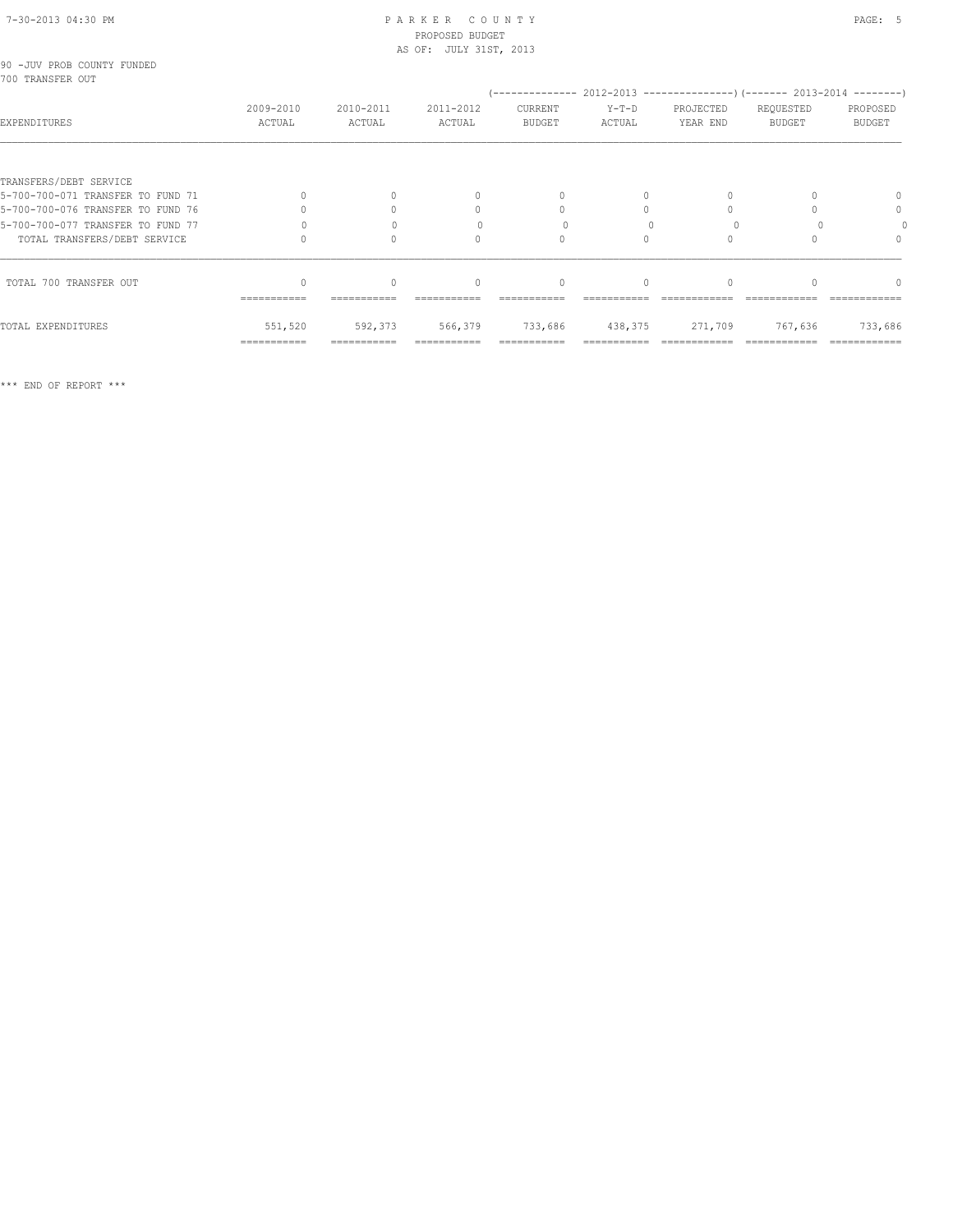# 7-30-2013 04:30 PM P A R K E R C O U N T Y PAGE: 5 PROPOSED BUDGET

|                                                |                     |                     | AS OF: JULY 31ST, 2013           |                                  |                         |                       |                     |                           |
|------------------------------------------------|---------------------|---------------------|----------------------------------|----------------------------------|-------------------------|-----------------------|---------------------|---------------------------|
| 90 -JUV PROB COUNTY FUNDED<br>700 TRANSFER OUT |                     |                     |                                  |                                  |                         |                       |                     |                           |
| EXPENDITURES                                   | 2009-2010<br>ACTUAL | 2010-2011<br>ACTUAL | 2011-2012<br>ACTUAL              | CURRENT<br>BUDGET                | $Y-T-D$<br>ACTUAL       | PROJECTED<br>YEAR END | REQUESTED<br>BUDGET | PROPOSED<br><b>BUDGET</b> |
|                                                |                     |                     |                                  |                                  |                         |                       |                     |                           |
| TRANSFERS/DEBT SERVICE                         |                     |                     |                                  |                                  |                         |                       |                     |                           |
| 5-700-700-071 TRANSFER TO FUND 71              |                     |                     | $\begin{array}{c} \n\end{array}$ | $\begin{array}{c} \n\end{array}$ |                         |                       |                     | 0                         |
| 5-700-700-076 TRANSFER TO FUND 76              |                     |                     | $\mathbf{0}$                     | $\begin{array}{c} \n\end{array}$ | $\Omega$                |                       |                     | $\mathbf{0}$              |
| 5-700-700-077 TRANSFER TO FUND 77              |                     |                     |                                  | $\Omega$                         |                         |                       |                     |                           |
| TOTAL TRANSFERS/DEBT SERVICE                   |                     |                     | $\begin{array}{c} \n\end{array}$ | $\Omega$                         | $\Omega$                |                       |                     |                           |
| TOTAL 700 TRANSFER OUT                         | ===========         | $\Omega$            | $\mathbf{0}$                     | $\mathbf{0}$                     | $\Omega$                |                       |                     | $\cap$                    |
| TOTAL EXPENDITURES                             | 551,520             | 592,373             | 566,379                          |                                  | 733,686 438,375 271,709 |                       | 767,636             | 733,686                   |
|                                                | ===========         | ===========         | ===========                      | ===========                      |                         |                       |                     | ============              |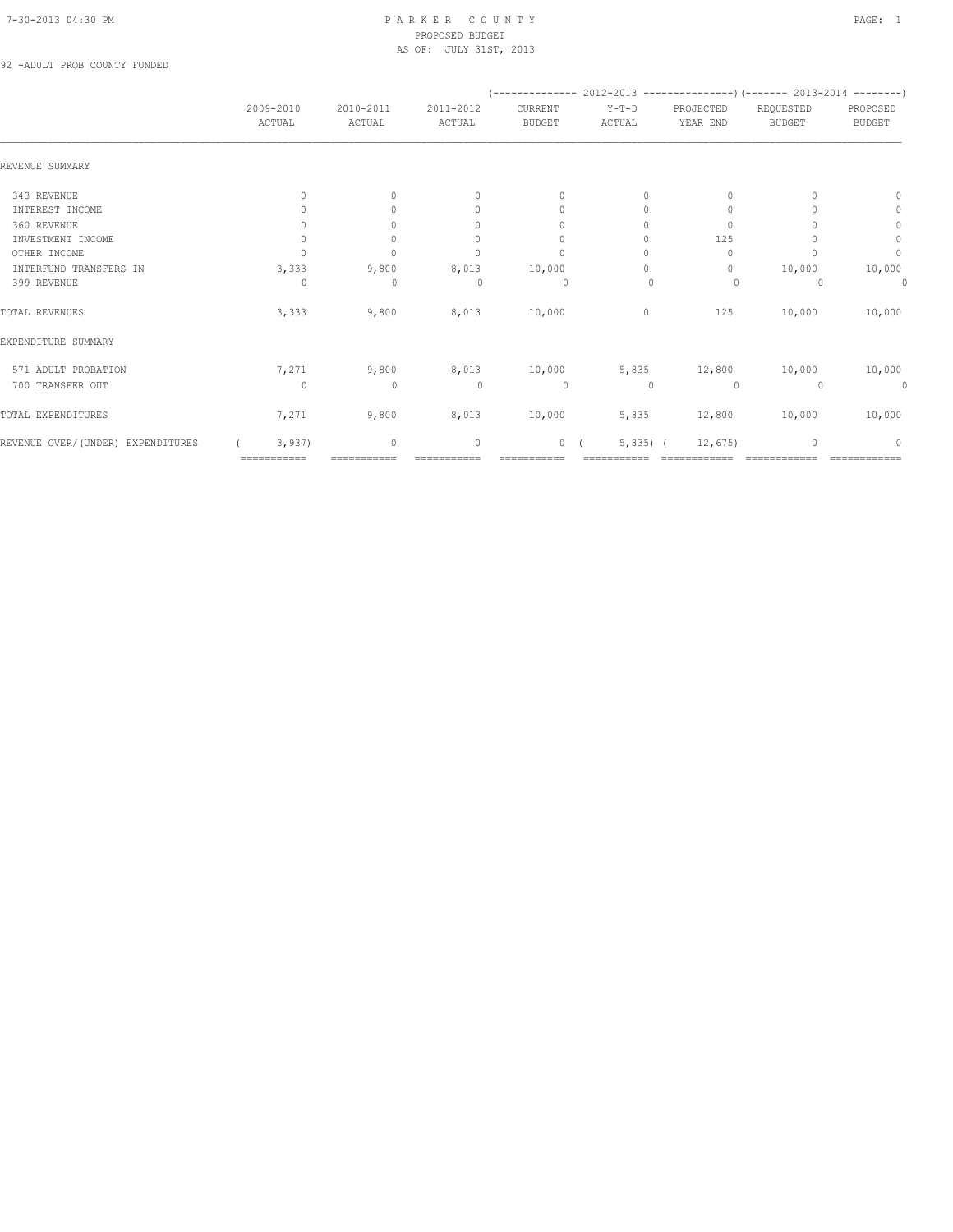92 -ADULT PROB COUNTY FUNDED

|                                   |           |              |                     |                     |                          |                   | (-------------- 2012-2013 -------------------) (------- 2013-2014 ---------) |                            |                           |
|-----------------------------------|-----------|--------------|---------------------|---------------------|--------------------------|-------------------|------------------------------------------------------------------------------|----------------------------|---------------------------|
|                                   | 2009-2010 | ACTUAL       | 2010-2011<br>ACTUAL | 2011-2012<br>ACTUAL | CURRENT<br><b>BUDGET</b> | $Y-T-D$<br>ACTUAL | PROJECTED<br>YEAR END                                                        | REQUESTED<br><b>BUDGET</b> | PROPOSED<br><b>BUDGET</b> |
| REVENUE SUMMARY                   |           |              |                     |                     |                          |                   |                                                                              |                            |                           |
| 343 REVENUE                       |           | $\mathbf{0}$ | $\circ$             | $\mathbf{0}$        | $\mathbf{0}$             | 0                 | $\mathbf{0}$                                                                 |                            | $\Omega$                  |
| INTEREST INCOME                   |           |              | $\Omega$            | 0                   | $\mathbf{0}$             | 0                 | 0                                                                            |                            | $\mathbf{0}$              |
| 360 REVENUE                       |           | 0            | $\Omega$            | 0                   | $\mathbf{0}$             | 0                 | $\mathbf{0}$                                                                 |                            | $\circ$                   |
| INVESTMENT INCOME                 |           | $\mathbf{0}$ | $\circ$             | $\mathbf{0}$        | 0                        | 0                 | 125                                                                          |                            | $\circ$                   |
| OTHER INCOME                      |           | $\cap$       | $\Omega$            | $\Omega$            | $\mathbf{0}$             | $\Omega$          | $\Omega$                                                                     |                            | $\mathbf{0}$              |
| INTERFUND TRANSFERS IN            |           | 3,333        | 9,800               | 8,013               | 10,000                   | $\Omega$          | $\mathbf{0}$                                                                 | 10,000                     | 10,000                    |
| 399 REVENUE                       |           | $\Omega$     | $\mathbf{0}$        | $\Omega$            | $\Omega$                 | $\mathbf{0}$      | $\Omega$                                                                     | $\Omega$                   | 0                         |
| TOTAL REVENUES                    |           | 3,333        | 9,800               | 8,013               | 10,000                   | $\circ$           | 125                                                                          | 10,000                     | 10,000                    |
| EXPENDITURE SUMMARY               |           |              |                     |                     |                          |                   |                                                                              |                            |                           |
| 571 ADULT PROBATION               |           | 7,271        | 9,800               | 8,013               | 10,000                   | 5,835             | 12,800                                                                       | 10,000                     | 10,000                    |
| 700 TRANSFER OUT                  |           | $\Omega$     | $\mathbf 0$         | $\Omega$            | $\circ$                  | $\cup$            | $\Omega$                                                                     | $\Omega$                   | 0                         |
| TOTAL EXPENDITURES                |           | 7,271        | 9,800               | 8,013               | 10,000                   | 5,835             | 12,800                                                                       | 10,000                     | 10,000                    |
| REVENUE OVER/(UNDER) EXPENDITURES |           | 3,937        | 0                   | $\mathbf{0}$        |                          | $5,835$ ) (<br>0( | 12,675                                                                       | $\mathbf{0}$               | $\Omega$                  |
|                                   |           | ===========  | ===========         | ===========         | ===========              |                   | ============                                                                 | ============               | ============              |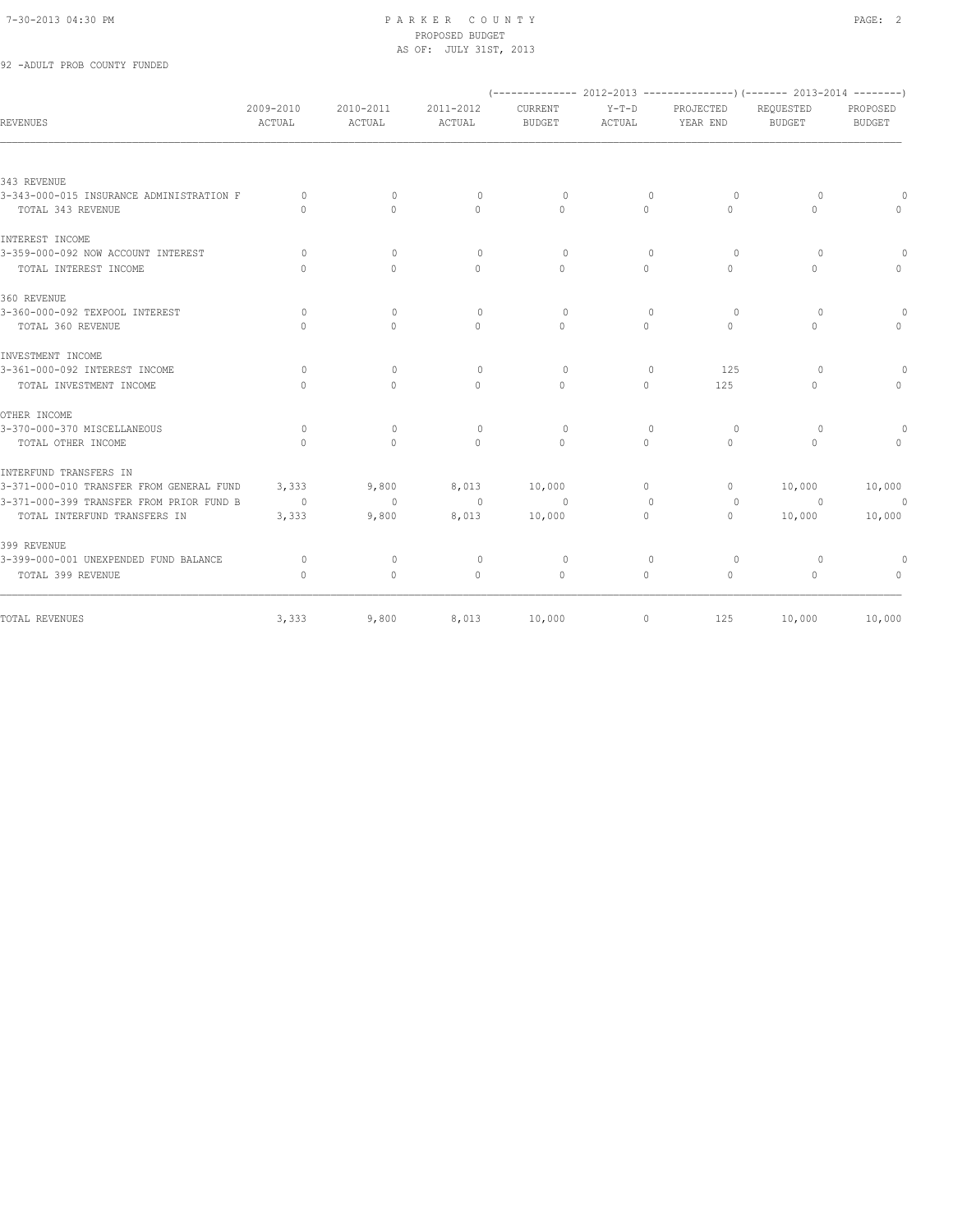# 92 -ADULT PROB COUNTY FUNDED

| <b>REVENUES</b>                          | 2009-2010<br>ACTUAL              | 2010-2011<br>ACTUAL | 2011-2012<br>ACTUAL              | CURRENT<br><b>BUDGET</b>         | $Y-T-D$<br>ACTUAL | PROJECTED<br>YEAR END | REQUESTED<br><b>BUDGET</b> | PROPOSED<br><b>BUDGET</b> |
|------------------------------------------|----------------------------------|---------------------|----------------------------------|----------------------------------|-------------------|-----------------------|----------------------------|---------------------------|
|                                          |                                  |                     |                                  |                                  |                   |                       |                            |                           |
| 343 REVENUE                              |                                  |                     |                                  |                                  |                   |                       |                            |                           |
| 3-343-000-015 INSURANCE ADMINISTRATION F | $\circ$                          | $\mathbf{0}$        | $\circ$                          | $\circ$                          | $\circ$           | $\circ$               | $\overline{0}$             |                           |
| TOTAL 343 REVENUE                        | $\bigcap$                        | $\bigcap$           | $\Omega$                         | $\Omega$                         | $\Omega$          | $\Omega$              | $\Omega$                   | $\cap$                    |
| INTEREST INCOME                          |                                  |                     |                                  |                                  |                   |                       |                            |                           |
| 3-359-000-092 NOW ACCOUNT INTEREST       | $\circ$                          | $\mathbf{0}$        | $\circ$                          | $\circ$                          | $\mathbf{0}$      | $\circ$               | $\circ$                    |                           |
| TOTAL INTEREST INCOME                    | $\begin{array}{c} \n\end{array}$ | $\Omega$            | $\Omega$                         | $\Omega$                         | $\Omega$          | $\Omega$              | $\Omega$                   | $\Omega$                  |
| 360 REVENUE                              |                                  |                     |                                  |                                  |                   |                       |                            |                           |
| 3-360-000-092 TEXPOOL INTEREST           | $\Omega$                         | $\Omega$            | $\circ$                          | $\Omega$                         | $\mathbf{0}$      | $\circ$               | $\circ$                    |                           |
| TOTAL 360 REVENUE                        | $\bigcap$                        | $\bigcap$           | $\begin{array}{c} \n\end{array}$ | $\bigcap$                        | $\Omega$          | $\Omega$              | $\Omega$                   | $\Omega$                  |
| INVESTMENT INCOME                        |                                  |                     |                                  |                                  |                   |                       |                            |                           |
| 3-361-000-092 INTEREST INCOME            | $\circ$                          | $\mathbf{0}$        | $\circ$                          | $\circ$                          | $\mathbf{0}$      | 125                   | $\circ$                    |                           |
| TOTAL INVESTMENT INCOME                  | $\bigcap$                        | $\Omega$            | $\begin{array}{c} \n\end{array}$ | $\begin{array}{c} \n\end{array}$ | $\Omega$          | 125                   | $\Omega$                   | $\Omega$                  |
| OTHER INCOME                             |                                  |                     |                                  |                                  |                   |                       |                            |                           |
| 3-370-000-370 MISCELLANEOUS              | $\circ$                          | $\mathbf{0}$        | $\circ$                          | $\circ$                          | $\mathbf{0}$      | 0                     | $\circ$                    | $\Omega$                  |
| TOTAL OTHER INCOME                       | $\cap$                           | $\cap$              | $\bigcap$                        | $\bigcap$                        | $\bigcap$         | $\cap$                | $\cap$                     | $\bigcap$                 |
| INTERFUND TRANSFERS IN                   |                                  |                     |                                  |                                  |                   |                       |                            |                           |
| 3-371-000-010 TRANSFER FROM GENERAL FUND | 3,333                            | 9,800               | 8,013                            | 10,000                           | $\circ$           | $\circ$               | 10,000                     | 10,000                    |
| 3-371-000-399 TRANSFER FROM PRIOR FUND B | $\sim$ 0                         | $\sim$ 0            | $\sim$ 0                         | $\Omega$                         | $\Omega$          | $\circ$               | $\overline{0}$             | $\overline{0}$            |
| TOTAL INTERFUND TRANSFERS IN             | 3,333                            | 9,800               | 8,013                            | 10,000                           | $\Omega$          | $\circ$               | 10,000                     | 10,000                    |
| 399 REVENUE                              |                                  |                     |                                  |                                  |                   |                       |                            |                           |
| 3-399-000-001 UNEXPENDED FUND BALANCE    | $\circ$                          | $\mathbf{0}$        | $\circ$                          | $\circ$                          | $\mathbf{0}$      | $\Omega$              | $\overline{0}$             | $\circ$                   |
| TOTAL 399 REVENUE                        | $\Omega$                         | $\circ$             | $\mathbf{0}$                     | $\mathbf{0}$                     | $\circ$           | $\circ$               | $\circ$                    | $\circ$                   |
| TOTAL REVENUES                           | 3,333                            | 9,800               |                                  | 8,013 10,000                     | $\circ$           | 125                   | 10,000                     | 10,000                    |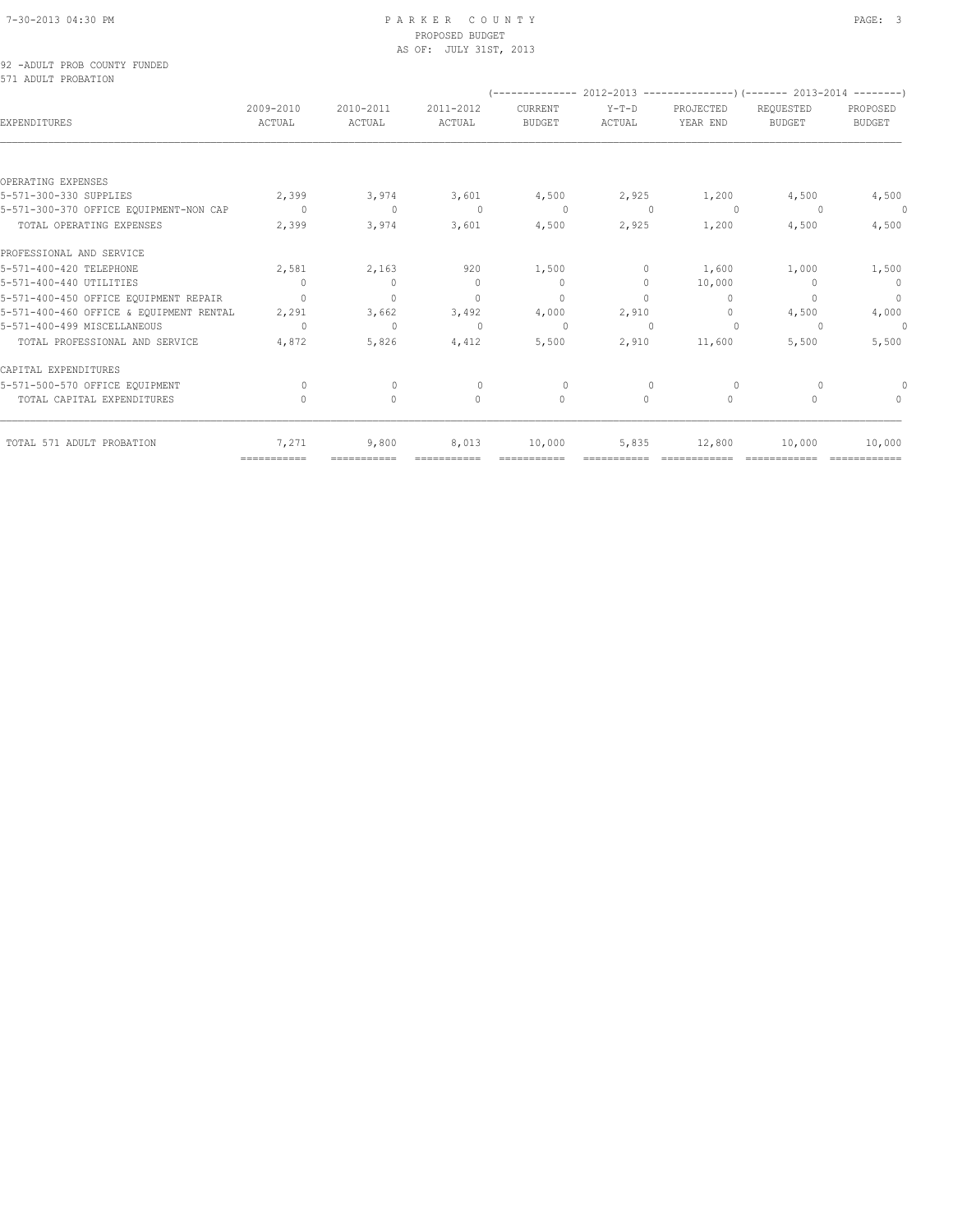|                     | 92 -ADULT PROB COUNTY FUNDED |  |
|---------------------|------------------------------|--|
| 571 ADULT PROBATION |                              |  |

|                                         |                     |                     |                                  |                          |                          |                       | (-------------- 2012-2013 --------------------) (------- 2013-2014 ---------) |                                  |
|-----------------------------------------|---------------------|---------------------|----------------------------------|--------------------------|--------------------------|-----------------------|-------------------------------------------------------------------------------|----------------------------------|
| <b>EXPENDITURES</b>                     | 2009-2010<br>ACTUAL | 2010-2011<br>ACTUAL | 2011-2012<br>ACTUAL              | CURRENT<br><b>BUDGET</b> | $Y-T-D$<br><b>ACTUAL</b> | PROJECTED<br>YEAR END | REOUESTED<br><b>BUDGET</b>                                                    | PROPOSED<br><b>BUDGET</b>        |
|                                         |                     |                     |                                  |                          |                          |                       |                                                                               |                                  |
| OPERATING EXPENSES                      |                     |                     |                                  |                          |                          |                       |                                                                               |                                  |
| 5-571-300-330 SUPPLIES                  | 2,399               | 3,974               | 3,601                            | 4,500                    | 2,925                    | 1,200                 | 4,500                                                                         | 4,500                            |
| 5-571-300-370 OFFICE EQUIPMENT-NON CAP  | $\Omega$            | $\circ$             | $\Omega$                         | $\Omega$                 | $\Omega$                 | $\overline{0}$        | $\Omega$                                                                      | $\circ$                          |
| TOTAL OPERATING EXPENSES                | 2,399               | 3,974               | 3,601                            | 4,500                    | 2,925                    | 1,200                 | 4,500                                                                         | 4,500                            |
| PROFESSIONAL AND SERVICE                |                     |                     |                                  |                          |                          |                       |                                                                               |                                  |
| 5-571-400-420 TELEPHONE                 | 2,581               | 2,163               | 920                              | 1,500                    | $\circ$                  | 1,600                 | 1,000                                                                         | 1,500                            |
| 5-571-400-440 UTILITIES                 | $\Omega$            | $\circ$             | $\mathbf{0}$                     | $\mathbf{0}$             | $\circ$                  | 10,000                | $\begin{array}{c} \n\end{array}$                                              | $\circ$                          |
| 5-571-400-450 OFFICE EQUIPMENT REPAIR   | $\cap$              | $\mathbf{0}$        | $\begin{array}{c} \n\end{array}$ | $\mathbf{0}$             | $\Omega$                 | $\Omega$              | $\bigcap$                                                                     | $\circ$                          |
| 5-571-400-460 OFFICE & EQUIPMENT RENTAL | 2,291               | 3,662               | 3,492                            | 4,000                    | 2,910                    | $\circ$               | 4,500                                                                         | 4,000                            |
| 5-571-400-499 MISCELLANEOUS             | $\Omega$            | $\mathbf{0}$        | $\Omega$                         | $\cap$                   | $\Omega$                 | $\circ$               | $\cup$                                                                        | 0                                |
| TOTAL PROFESSIONAL AND SERVICE          | 4,872               | 5,826               | 4,412                            | 5,500                    | 2,910                    | 11,600                | 5,500                                                                         | 5,500                            |
| CAPITAL EXPENDITURES                    |                     |                     |                                  |                          |                          |                       |                                                                               |                                  |
| 5-571-500-570 OFFICE EQUIPMENT          | $\Omega$            | $\Omega$            | $\bigcap$                        | $\Omega$                 | $\bigcap$                | $\Omega$              |                                                                               |                                  |
| TOTAL CAPITAL EXPENDITURES              | 0                   | $\circ$             | $\mathbf{0}$                     | $\mathbf{0}$             | $\circ$                  | $\circ$               | $\Omega$                                                                      | $\begin{array}{c} \n\end{array}$ |
| TOTAL 571 ADULT PROBATION               | 7,271               | 9,800               | 8,013                            | 10,000                   | 5,835                    | 12,800                | 10,000                                                                        | 10,000                           |
|                                         | ============        | ===========         |                                  |                          |                          |                       |                                                                               |                                  |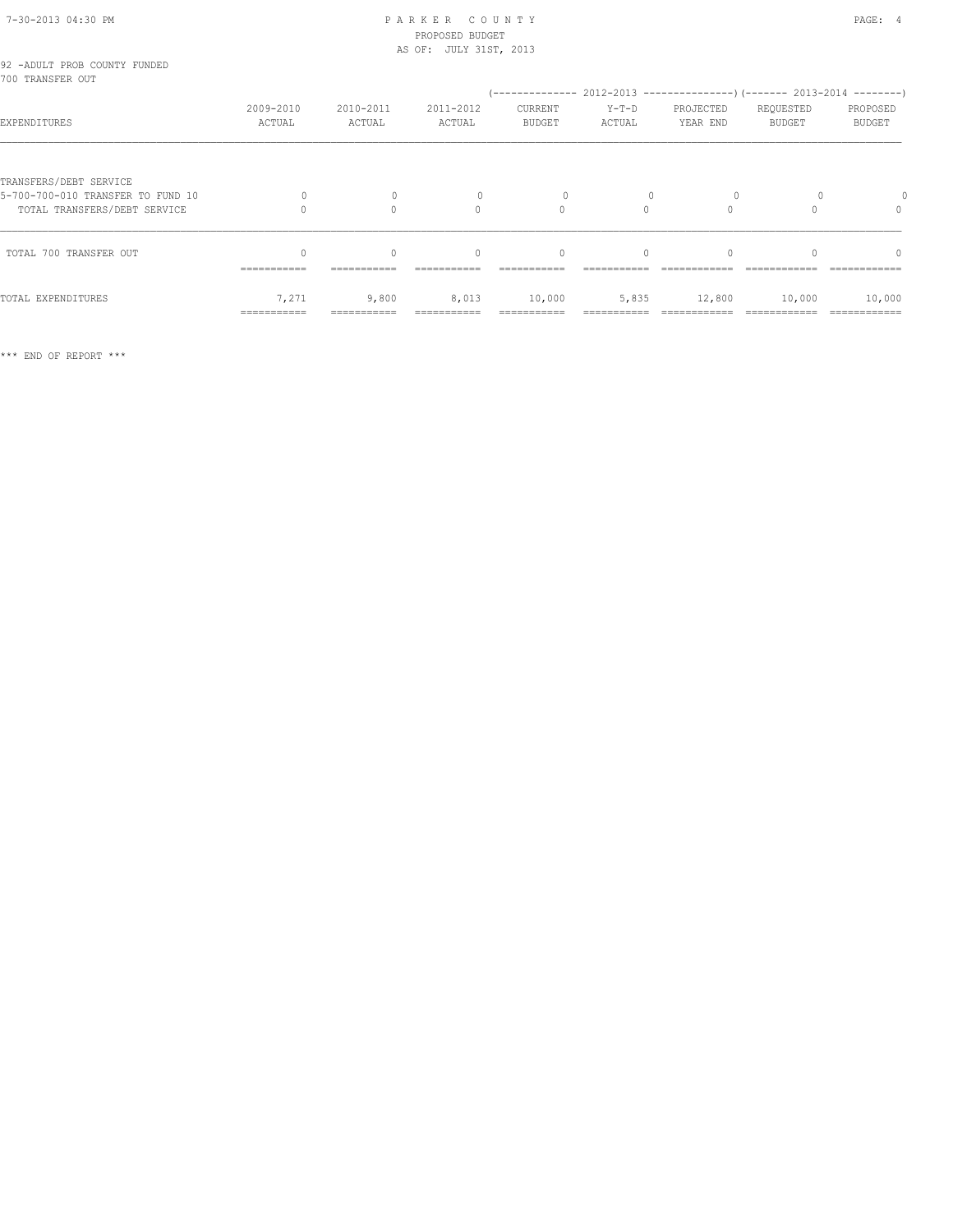| 92 -ADULT PROB COUNTY FUNDED<br>700 TRANSFER OUT                  |                      |                          |                           |                          |                           |                       |                            | (-------------- 2012-2013 -----------------) (------- 2013-2014 --------) |
|-------------------------------------------------------------------|----------------------|--------------------------|---------------------------|--------------------------|---------------------------|-----------------------|----------------------------|---------------------------------------------------------------------------|
| EXPENDITURES                                                      | 2009-2010<br>ACTUAL  | 2010-2011<br>ACTUAL      | 2011-2012<br>ACTUAL       | CURRENT<br><b>BUDGET</b> | $Y-T-D$<br>ACTUAL         | PROJECTED<br>YEAR END | REQUESTED<br><b>BUDGET</b> | PROPOSED<br><b>BUDGET</b>                                                 |
|                                                                   |                      |                          |                           |                          |                           |                       |                            |                                                                           |
| TRANSFERS/DEBT SERVICE                                            |                      |                          |                           |                          |                           |                       |                            |                                                                           |
| 5-700-700-010 TRANSFER TO FUND 10<br>TOTAL TRANSFERS/DEBT SERVICE | 0                    | $\mathbf{0}$<br>$\Omega$ | $\mathbf{0}$<br>$\bigcap$ | 0<br>$\Omega$            | $\mathbf{0}$<br>$\bigcap$ | $\circ$<br>$\Omega$   |                            | $\begin{array}{c} \n\end{array}$                                          |
| TOTAL 700 TRANSFER OUT                                            | $\Omega$             | $\Omega$                 | $\Omega$                  | $\mathbf{0}$             | $\Omega$                  |                       |                            |                                                                           |
|                                                                   | -----------          |                          |                           |                          |                           |                       |                            |                                                                           |
| TOTAL EXPENDITURES                                                | 7,271<br>=========== | 9,800                    | 8,013                     | 10,000                   | 5,835                     | 12,800                | 10,000                     | 10,000                                                                    |
|                                                                   |                      |                          |                           |                          |                           |                       |                            |                                                                           |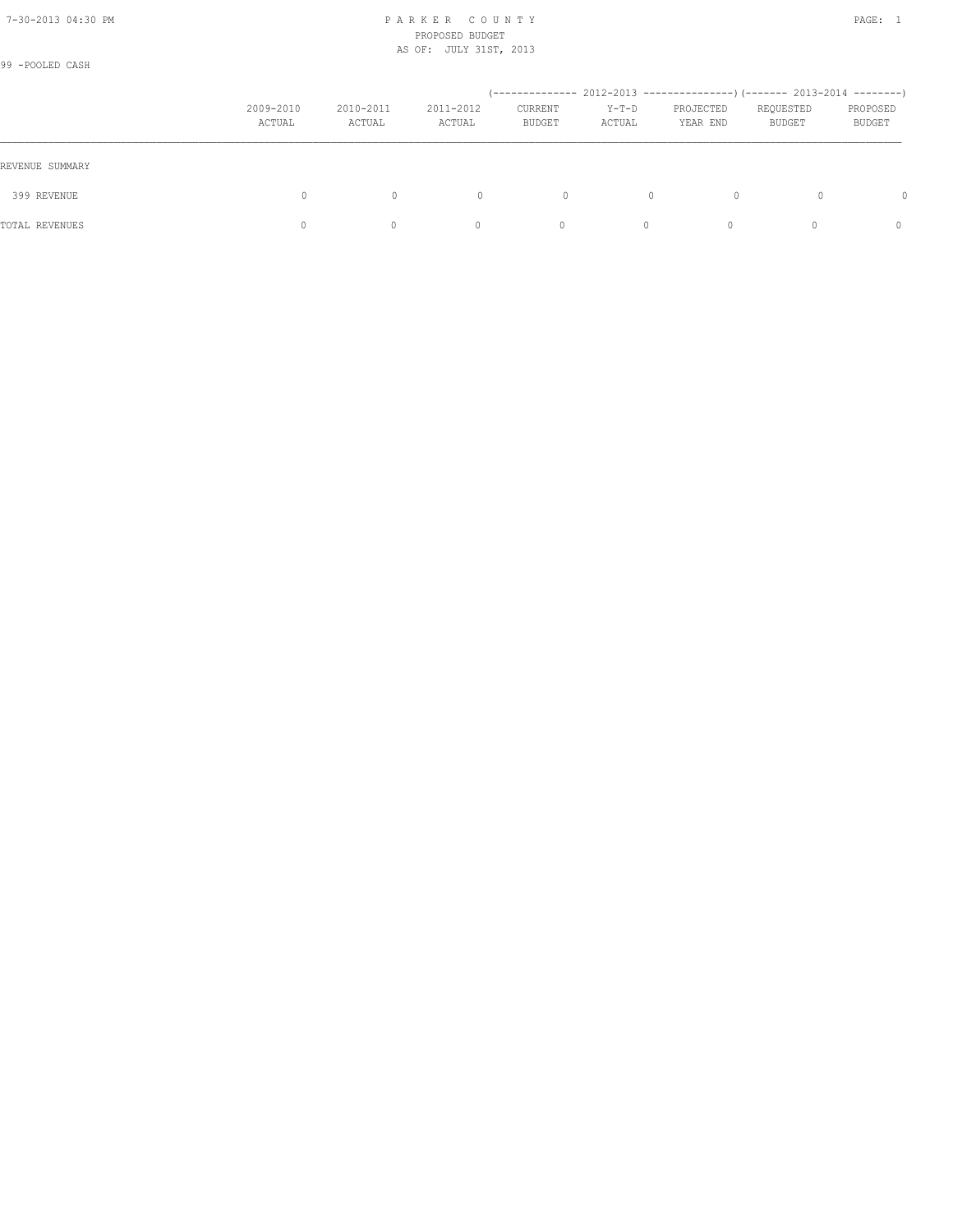99 -POOLED CASH

|                 | 2009-2010<br>ACTUAL | 2010-2011<br>ACTUAL | 2011-2012<br>ACTUAL | CURRENT<br><b>BUDGET</b> | $Y-T-D$<br>ACTUAL | (-------------- 2012-2013 ----------------) (------- 2013-2014 --------)<br>PROJECTED<br>YEAR END | REQUESTED<br>BUDGET | PROPOSED<br><b>BUDGET</b> |
|-----------------|---------------------|---------------------|---------------------|--------------------------|-------------------|---------------------------------------------------------------------------------------------------|---------------------|---------------------------|
| REVENUE SUMMARY |                     |                     |                     |                          |                   |                                                                                                   |                     |                           |
| 399 REVENUE     | 0                   | $\mathbf{0}$        | $\circ$             | $\Omega$                 |                   | $\Omega$                                                                                          |                     | <sup>0</sup>              |
| TOTAL REVENUES  |                     | 0                   | $\Omega$            | $\mathbf{0}$             | $\Omega$          | $\Omega$                                                                                          |                     | $\Omega$                  |